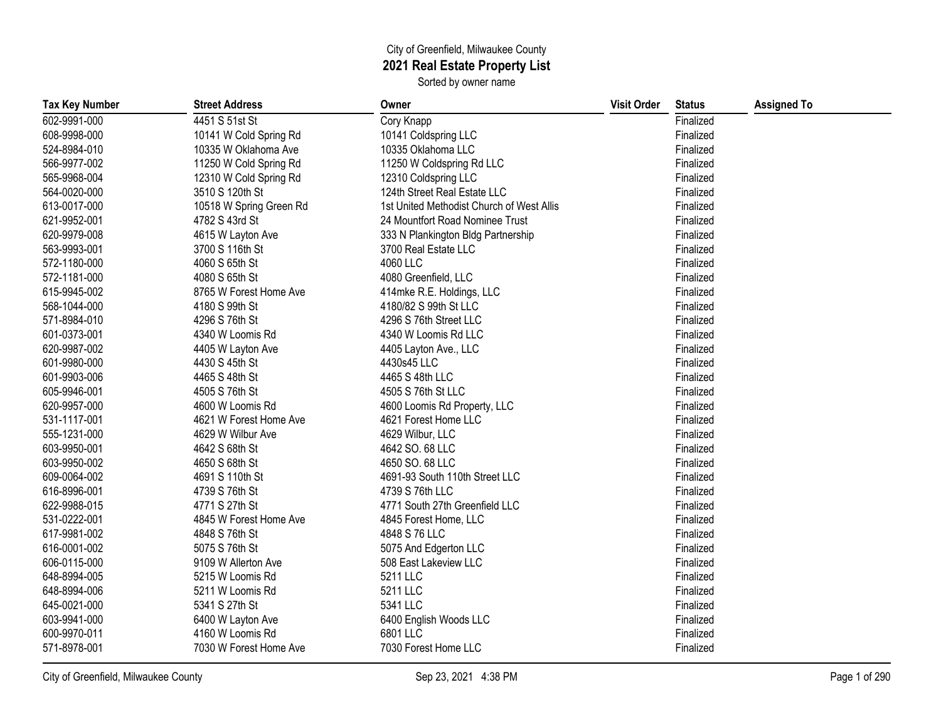## City of Greenfield, Milwaukee County **2021 Real Estate Property List**

Sorted by owner name

| <b>Tax Key Number</b> | <b>Street Address</b>   | Owner                                     | <b>Visit Order</b> | <b>Status</b> | <b>Assigned To</b> |
|-----------------------|-------------------------|-------------------------------------------|--------------------|---------------|--------------------|
| 602-9991-000          | 4451 S 51st St          | Cory Knapp                                |                    | Finalized     |                    |
| 608-9998-000          | 10141 W Cold Spring Rd  | 10141 Coldspring LLC                      |                    | Finalized     |                    |
| 524-8984-010          | 10335 W Oklahoma Ave    | 10335 Oklahoma LLC                        |                    | Finalized     |                    |
| 566-9977-002          | 11250 W Cold Spring Rd  | 11250 W Coldspring Rd LLC                 |                    | Finalized     |                    |
| 565-9968-004          | 12310 W Cold Spring Rd  | 12310 Coldspring LLC                      |                    | Finalized     |                    |
| 564-0020-000          | 3510 S 120th St         | 124th Street Real Estate LLC              |                    | Finalized     |                    |
| 613-0017-000          | 10518 W Spring Green Rd | 1st United Methodist Church of West Allis |                    | Finalized     |                    |
| 621-9952-001          | 4782 S 43rd St          | 24 Mountfort Road Nominee Trust           |                    | Finalized     |                    |
| 620-9979-008          | 4615 W Layton Ave       | 333 N Plankington Bldg Partnership        |                    | Finalized     |                    |
| 563-9993-001          | 3700 S 116th St         | 3700 Real Estate LLC                      |                    | Finalized     |                    |
| 572-1180-000          | 4060 S 65th St          | 4060 LLC                                  |                    | Finalized     |                    |
| 572-1181-000          | 4080 S 65th St          | 4080 Greenfield, LLC                      |                    | Finalized     |                    |
| 615-9945-002          | 8765 W Forest Home Ave  | 414mke R.E. Holdings, LLC                 |                    | Finalized     |                    |
| 568-1044-000          | 4180 S 99th St          | 4180/82 S 99th St LLC                     |                    | Finalized     |                    |
| 571-8984-010          | 4296 S 76th St          | 4296 S 76th Street LLC                    |                    | Finalized     |                    |
| 601-0373-001          | 4340 W Loomis Rd        | 4340 W Loomis Rd LLC                      |                    | Finalized     |                    |
| 620-9987-002          | 4405 W Layton Ave       | 4405 Layton Ave., LLC                     |                    | Finalized     |                    |
| 601-9980-000          | 4430 S 45th St          | 4430s45 LLC                               |                    | Finalized     |                    |
| 601-9903-006          | 4465 S 48th St          | 4465 S 48th LLC                           |                    | Finalized     |                    |
| 605-9946-001          | 4505 S 76th St          | 4505 S 76th St LLC                        |                    | Finalized     |                    |
| 620-9957-000          | 4600 W Loomis Rd        | 4600 Loomis Rd Property, LLC              |                    | Finalized     |                    |
| 531-1117-001          | 4621 W Forest Home Ave  | 4621 Forest Home LLC                      |                    | Finalized     |                    |
| 555-1231-000          | 4629 W Wilbur Ave       | 4629 Wilbur, LLC                          |                    | Finalized     |                    |
| 603-9950-001          | 4642 S 68th St          | 4642 SO. 68 LLC                           |                    | Finalized     |                    |
| 603-9950-002          | 4650 S 68th St          | 4650 SO. 68 LLC                           |                    | Finalized     |                    |
| 609-0064-002          | 4691 S 110th St         | 4691-93 South 110th Street LLC            |                    | Finalized     |                    |
| 616-8996-001          | 4739 S 76th St          | 4739 S 76th LLC                           |                    | Finalized     |                    |
| 622-9988-015          | 4771 S 27th St          | 4771 South 27th Greenfield LLC            |                    | Finalized     |                    |
| 531-0222-001          | 4845 W Forest Home Ave  | 4845 Forest Home, LLC                     |                    | Finalized     |                    |
| 617-9981-002          | 4848 S 76th St          | 4848 S 76 LLC                             |                    | Finalized     |                    |
| 616-0001-002          | 5075 S 76th St          | 5075 And Edgerton LLC                     |                    | Finalized     |                    |
| 606-0115-000          | 9109 W Allerton Ave     | 508 East Lakeview LLC                     |                    | Finalized     |                    |
| 648-8994-005          | 5215 W Loomis Rd        | 5211 LLC                                  |                    | Finalized     |                    |
| 648-8994-006          | 5211 W Loomis Rd        | 5211 LLC                                  |                    | Finalized     |                    |
| 645-0021-000          | 5341 S 27th St          | 5341 LLC                                  |                    | Finalized     |                    |
| 603-9941-000          | 6400 W Layton Ave       | 6400 English Woods LLC                    |                    | Finalized     |                    |
| 600-9970-011          | 4160 W Loomis Rd        | 6801 LLC                                  |                    | Finalized     |                    |
| 571-8978-001          | 7030 W Forest Home Ave  | 7030 Forest Home LLC                      |                    | Finalized     |                    |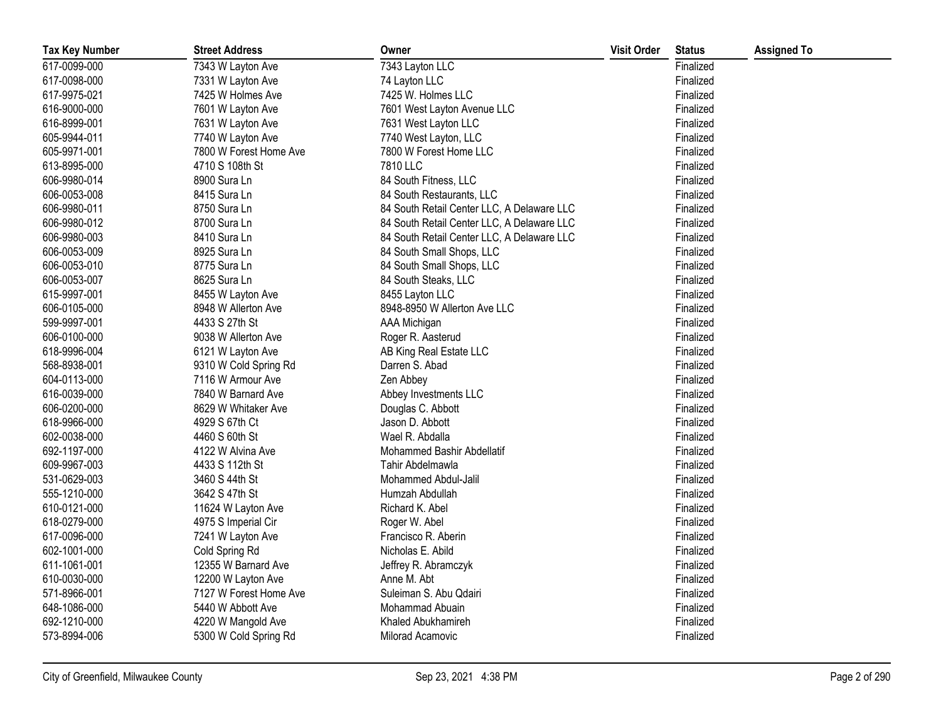| <b>Tax Key Number</b> | <b>Street Address</b>  | Owner                                      | <b>Visit Order</b> | <b>Status</b> | <b>Assigned To</b> |
|-----------------------|------------------------|--------------------------------------------|--------------------|---------------|--------------------|
| 617-0099-000          | 7343 W Layton Ave      | 7343 Layton LLC                            |                    | Finalized     |                    |
| 617-0098-000          | 7331 W Layton Ave      | 74 Layton LLC                              |                    | Finalized     |                    |
| 617-9975-021          | 7425 W Holmes Ave      | 7425 W. Holmes LLC                         |                    | Finalized     |                    |
| 616-9000-000          | 7601 W Layton Ave      | 7601 West Layton Avenue LLC                |                    | Finalized     |                    |
| 616-8999-001          | 7631 W Layton Ave      | 7631 West Layton LLC                       |                    | Finalized     |                    |
| 605-9944-011          | 7740 W Layton Ave      | 7740 West Layton, LLC                      |                    | Finalized     |                    |
| 605-9971-001          | 7800 W Forest Home Ave | 7800 W Forest Home LLC                     |                    | Finalized     |                    |
| 613-8995-000          | 4710 S 108th St        | 7810 LLC                                   |                    | Finalized     |                    |
| 606-9980-014          | 8900 Sura Ln           | 84 South Fitness, LLC                      |                    | Finalized     |                    |
| 606-0053-008          | 8415 Sura Ln           | 84 South Restaurants, LLC                  |                    | Finalized     |                    |
| 606-9980-011          | 8750 Sura Ln           | 84 South Retail Center LLC, A Delaware LLC |                    | Finalized     |                    |
| 606-9980-012          | 8700 Sura Ln           | 84 South Retail Center LLC, A Delaware LLC |                    | Finalized     |                    |
| 606-9980-003          | 8410 Sura Ln           | 84 South Retail Center LLC, A Delaware LLC |                    | Finalized     |                    |
| 606-0053-009          | 8925 Sura Ln           | 84 South Small Shops, LLC                  |                    | Finalized     |                    |
| 606-0053-010          | 8775 Sura Ln           | 84 South Small Shops, LLC                  |                    | Finalized     |                    |
| 606-0053-007          | 8625 Sura Ln           | 84 South Steaks, LLC                       |                    | Finalized     |                    |
| 615-9997-001          | 8455 W Layton Ave      | 8455 Layton LLC                            |                    | Finalized     |                    |
| 606-0105-000          | 8948 W Allerton Ave    | 8948-8950 W Allerton Ave LLC               |                    | Finalized     |                    |
| 599-9997-001          | 4433 S 27th St         | <b>AAA Michigan</b>                        |                    | Finalized     |                    |
| 606-0100-000          | 9038 W Allerton Ave    | Roger R. Aasterud                          |                    | Finalized     |                    |
| 618-9996-004          | 6121 W Layton Ave      | AB King Real Estate LLC                    |                    | Finalized     |                    |
| 568-8938-001          | 9310 W Cold Spring Rd  | Darren S. Abad                             |                    | Finalized     |                    |
| 604-0113-000          | 7116 W Armour Ave      | Zen Abbey                                  |                    | Finalized     |                    |
| 616-0039-000          | 7840 W Barnard Ave     | Abbey Investments LLC                      |                    | Finalized     |                    |
| 606-0200-000          | 8629 W Whitaker Ave    | Douglas C. Abbott                          |                    | Finalized     |                    |
| 618-9966-000          | 4929 S 67th Ct         | Jason D. Abbott                            |                    | Finalized     |                    |
| 602-0038-000          | 4460 S 60th St         | Wael R. Abdalla                            |                    | Finalized     |                    |
| 692-1197-000          | 4122 W Alvina Ave      | Mohammed Bashir Abdellatif                 |                    | Finalized     |                    |
| 609-9967-003          | 4433 S 112th St        | Tahir Abdelmawla                           |                    | Finalized     |                    |
| 531-0629-003          | 3460 S 44th St         | Mohammed Abdul-Jalil                       |                    | Finalized     |                    |
| 555-1210-000          | 3642 S 47th St         | Humzah Abdullah                            |                    | Finalized     |                    |
| 610-0121-000          | 11624 W Layton Ave     | Richard K. Abel                            |                    | Finalized     |                    |
| 618-0279-000          | 4975 S Imperial Cir    | Roger W. Abel                              |                    | Finalized     |                    |
| 617-0096-000          | 7241 W Layton Ave      | Francisco R. Aberin                        |                    | Finalized     |                    |
| 602-1001-000          | Cold Spring Rd         | Nicholas E. Abild                          |                    | Finalized     |                    |
| 611-1061-001          | 12355 W Barnard Ave    | Jeffrey R. Abramczyk                       |                    | Finalized     |                    |
| 610-0030-000          | 12200 W Layton Ave     | Anne M. Abt                                |                    | Finalized     |                    |
| 571-8966-001          | 7127 W Forest Home Ave | Suleiman S. Abu Qdairi                     |                    | Finalized     |                    |
| 648-1086-000          | 5440 W Abbott Ave      | Mohammad Abuain                            |                    | Finalized     |                    |
| 692-1210-000          | 4220 W Mangold Ave     | Khaled Abukhamireh                         |                    | Finalized     |                    |
| 573-8994-006          | 5300 W Cold Spring Rd  | Milorad Acamovic                           |                    | Finalized     |                    |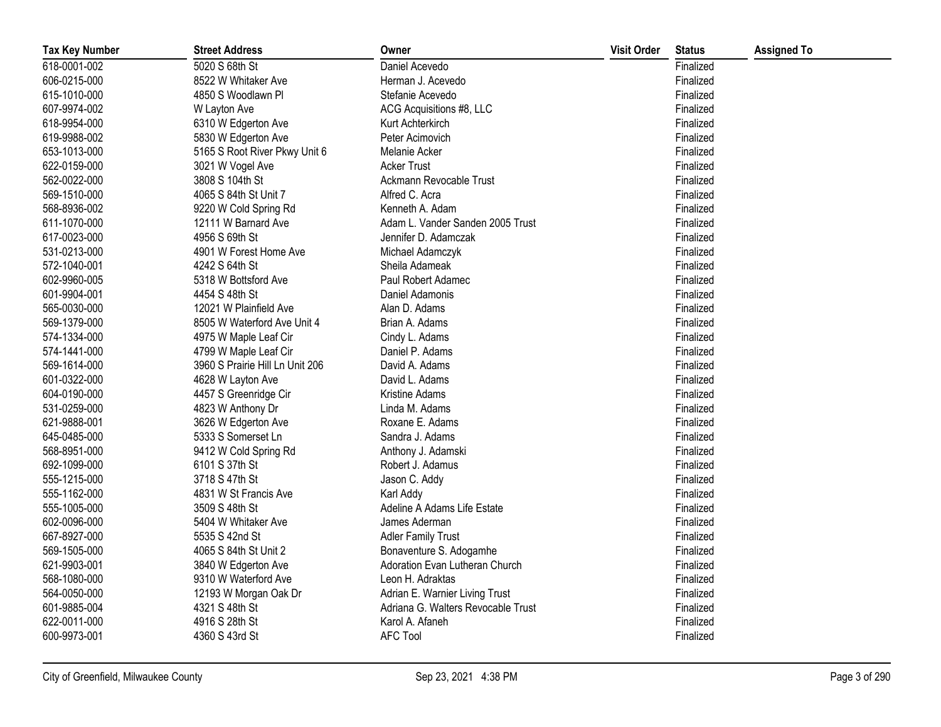| <b>Tax Key Number</b> | <b>Street Address</b>           | Owner                              | <b>Visit Order</b> | <b>Status</b> | <b>Assigned To</b> |
|-----------------------|---------------------------------|------------------------------------|--------------------|---------------|--------------------|
| 618-0001-002          | 5020 S 68th St                  | Daniel Acevedo                     |                    | Finalized     |                    |
| 606-0215-000          | 8522 W Whitaker Ave             | Herman J. Acevedo                  |                    | Finalized     |                    |
| 615-1010-000          | 4850 S Woodlawn Pl              | Stefanie Acevedo                   |                    | Finalized     |                    |
| 607-9974-002          | W Layton Ave                    | ACG Acquisitions #8, LLC           |                    | Finalized     |                    |
| 618-9954-000          | 6310 W Edgerton Ave             | Kurt Achterkirch                   |                    | Finalized     |                    |
| 619-9988-002          | 5830 W Edgerton Ave             | Peter Acimovich                    |                    | Finalized     |                    |
| 653-1013-000          | 5165 S Root River Pkwy Unit 6   | Melanie Acker                      |                    | Finalized     |                    |
| 622-0159-000          | 3021 W Vogel Ave                | <b>Acker Trust</b>                 |                    | Finalized     |                    |
| 562-0022-000          | 3808 S 104th St                 | Ackmann Revocable Trust            |                    | Finalized     |                    |
| 569-1510-000          | 4065 S 84th St Unit 7           | Alfred C. Acra                     |                    | Finalized     |                    |
| 568-8936-002          | 9220 W Cold Spring Rd           | Kenneth A. Adam                    |                    | Finalized     |                    |
| 611-1070-000          | 12111 W Barnard Ave             | Adam L. Vander Sanden 2005 Trust   |                    | Finalized     |                    |
| 617-0023-000          | 4956 S 69th St                  | Jennifer D. Adamczak               |                    | Finalized     |                    |
| 531-0213-000          | 4901 W Forest Home Ave          | Michael Adamczyk                   |                    | Finalized     |                    |
| 572-1040-001          | 4242 S 64th St                  | Sheila Adameak                     |                    | Finalized     |                    |
| 602-9960-005          | 5318 W Bottsford Ave            | Paul Robert Adamec                 |                    | Finalized     |                    |
| 601-9904-001          | 4454 S 48th St                  | Daniel Adamonis                    |                    | Finalized     |                    |
| 565-0030-000          | 12021 W Plainfield Ave          | Alan D. Adams                      |                    | Finalized     |                    |
| 569-1379-000          | 8505 W Waterford Ave Unit 4     | Brian A. Adams                     |                    | Finalized     |                    |
| 574-1334-000          | 4975 W Maple Leaf Cir           | Cindy L. Adams                     |                    | Finalized     |                    |
| 574-1441-000          | 4799 W Maple Leaf Cir           | Daniel P. Adams                    |                    | Finalized     |                    |
| 569-1614-000          | 3960 S Prairie Hill Ln Unit 206 | David A. Adams                     |                    | Finalized     |                    |
| 601-0322-000          | 4628 W Layton Ave               | David L. Adams                     |                    | Finalized     |                    |
| 604-0190-000          | 4457 S Greenridge Cir           | Kristine Adams                     |                    | Finalized     |                    |
| 531-0259-000          | 4823 W Anthony Dr               | Linda M. Adams                     |                    | Finalized     |                    |
| 621-9888-001          | 3626 W Edgerton Ave             | Roxane E. Adams                    |                    | Finalized     |                    |
| 645-0485-000          | 5333 S Somerset Ln              | Sandra J. Adams                    |                    | Finalized     |                    |
| 568-8951-000          | 9412 W Cold Spring Rd           | Anthony J. Adamski                 |                    | Finalized     |                    |
| 692-1099-000          | 6101 S 37th St                  | Robert J. Adamus                   |                    | Finalized     |                    |
| 555-1215-000          | 3718 S 47th St                  | Jason C. Addy                      |                    | Finalized     |                    |
| 555-1162-000          | 4831 W St Francis Ave           | Karl Addy                          |                    | Finalized     |                    |
| 555-1005-000          | 3509 S 48th St                  | Adeline A Adams Life Estate        |                    | Finalized     |                    |
| 602-0096-000          | 5404 W Whitaker Ave             | James Aderman                      |                    | Finalized     |                    |
| 667-8927-000          | 5535 S 42nd St                  | <b>Adler Family Trust</b>          |                    | Finalized     |                    |
| 569-1505-000          | 4065 S 84th St Unit 2           | Bonaventure S. Adogamhe            |                    | Finalized     |                    |
| 621-9903-001          | 3840 W Edgerton Ave             | Adoration Evan Lutheran Church     |                    | Finalized     |                    |
| 568-1080-000          | 9310 W Waterford Ave            | Leon H. Adraktas                   |                    | Finalized     |                    |
| 564-0050-000          | 12193 W Morgan Oak Dr           | Adrian E. Warnier Living Trust     |                    | Finalized     |                    |
| 601-9885-004          | 4321 S 48th St                  | Adriana G. Walters Revocable Trust |                    | Finalized     |                    |
| 622-0011-000          | 4916 S 28th St                  | Karol A. Afaneh                    |                    | Finalized     |                    |
| 600-9973-001          | 4360 S 43rd St                  | <b>AFC Tool</b>                    |                    | Finalized     |                    |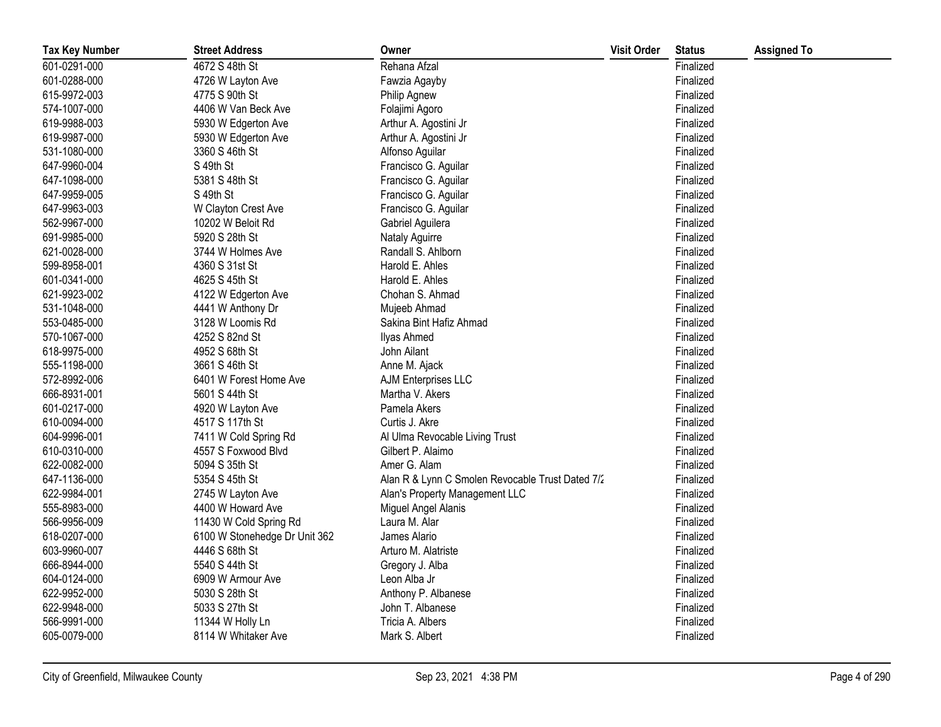| <b>Tax Key Number</b> | <b>Street Address</b>         | Owner                                            | <b>Visit Order</b> | <b>Status</b> | <b>Assigned To</b> |
|-----------------------|-------------------------------|--------------------------------------------------|--------------------|---------------|--------------------|
| 601-0291-000          | 4672 S 48th St                | Rehana Afzal                                     |                    | Finalized     |                    |
| 601-0288-000          | 4726 W Layton Ave             | Fawzia Agayby                                    |                    | Finalized     |                    |
| 615-9972-003          | 4775 S 90th St                | Philip Agnew                                     |                    | Finalized     |                    |
| 574-1007-000          | 4406 W Van Beck Ave           | Folajimi Agoro                                   |                    | Finalized     |                    |
| 619-9988-003          | 5930 W Edgerton Ave           | Arthur A. Agostini Jr                            |                    | Finalized     |                    |
| 619-9987-000          | 5930 W Edgerton Ave           | Arthur A. Agostini Jr                            |                    | Finalized     |                    |
| 531-1080-000          | 3360 S 46th St                | Alfonso Aguilar                                  |                    | Finalized     |                    |
| 647-9960-004          | S 49th St                     | Francisco G. Aguilar                             |                    | Finalized     |                    |
| 647-1098-000          | 5381 S 48th St                | Francisco G. Aguilar                             |                    | Finalized     |                    |
| 647-9959-005          | S 49th St                     | Francisco G. Aguilar                             |                    | Finalized     |                    |
| 647-9963-003          | W Clayton Crest Ave           | Francisco G. Aguilar                             |                    | Finalized     |                    |
| 562-9967-000          | 10202 W Beloit Rd             | Gabriel Aguilera                                 |                    | Finalized     |                    |
| 691-9985-000          | 5920 S 28th St                | Nataly Aguirre                                   |                    | Finalized     |                    |
| 621-0028-000          | 3744 W Holmes Ave             | Randall S. Ahlborn                               |                    | Finalized     |                    |
| 599-8958-001          | 4360 S 31st St                | Harold E. Ahles                                  |                    | Finalized     |                    |
| 601-0341-000          | 4625 S 45th St                | Harold E. Ahles                                  |                    | Finalized     |                    |
| 621-9923-002          | 4122 W Edgerton Ave           | Chohan S. Ahmad                                  |                    | Finalized     |                    |
| 531-1048-000          | 4441 W Anthony Dr             | Mujeeb Ahmad                                     |                    | Finalized     |                    |
| 553-0485-000          | 3128 W Loomis Rd              | Sakina Bint Hafiz Ahmad                          |                    | Finalized     |                    |
| 570-1067-000          | 4252 S 82nd St                | <b>Ilyas Ahmed</b>                               |                    | Finalized     |                    |
| 618-9975-000          | 4952 S 68th St                | John Ailant                                      |                    | Finalized     |                    |
| 555-1198-000          | 3661 S 46th St                | Anne M. Ajack                                    |                    | Finalized     |                    |
| 572-8992-006          | 6401 W Forest Home Ave        | AJM Enterprises LLC                              |                    | Finalized     |                    |
| 666-8931-001          | 5601 S 44th St                | Martha V. Akers                                  |                    | Finalized     |                    |
| 601-0217-000          | 4920 W Layton Ave             | Pamela Akers                                     |                    | Finalized     |                    |
| 610-0094-000          | 4517 S 117th St               | Curtis J. Akre                                   |                    | Finalized     |                    |
| 604-9996-001          | 7411 W Cold Spring Rd         | Al Ulma Revocable Living Trust                   |                    | Finalized     |                    |
| 610-0310-000          | 4557 S Foxwood Blvd           | Gilbert P. Alaimo                                |                    | Finalized     |                    |
| 622-0082-000          | 5094 S 35th St                | Amer G. Alam                                     |                    | Finalized     |                    |
| 647-1136-000          | 5354 S 45th St                | Alan R & Lynn C Smolen Revocable Trust Dated 7/2 |                    | Finalized     |                    |
| 622-9984-001          | 2745 W Layton Ave             | Alan's Property Management LLC                   |                    | Finalized     |                    |
| 555-8983-000          | 4400 W Howard Ave             | Miguel Angel Alanis                              |                    | Finalized     |                    |
| 566-9956-009          | 11430 W Cold Spring Rd        | Laura M. Alar                                    |                    | Finalized     |                    |
| 618-0207-000          | 6100 W Stonehedge Dr Unit 362 | James Alario                                     |                    | Finalized     |                    |
| 603-9960-007          | 4446 S 68th St                | Arturo M. Alatriste                              |                    | Finalized     |                    |
| 666-8944-000          | 5540 S 44th St                | Gregory J. Alba                                  |                    | Finalized     |                    |
| 604-0124-000          | 6909 W Armour Ave             | Leon Alba Jr                                     |                    | Finalized     |                    |
| 622-9952-000          | 5030 S 28th St                | Anthony P. Albanese                              |                    | Finalized     |                    |
| 622-9948-000          | 5033 S 27th St                | John T. Albanese                                 |                    | Finalized     |                    |
| 566-9991-000          | 11344 W Holly Ln              | Tricia A. Albers                                 |                    | Finalized     |                    |
| 605-0079-000          | 8114 W Whitaker Ave           | Mark S. Albert                                   |                    | Finalized     |                    |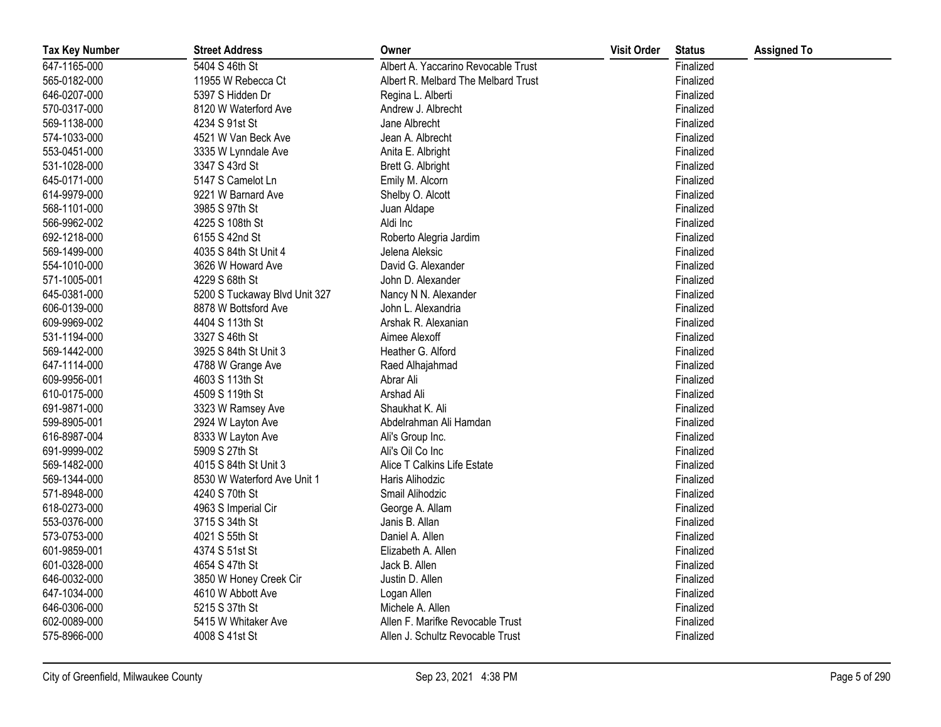| <b>Tax Key Number</b> | <b>Street Address</b>         | Owner                               | <b>Visit Order</b> | <b>Status</b> | <b>Assigned To</b> |
|-----------------------|-------------------------------|-------------------------------------|--------------------|---------------|--------------------|
| 647-1165-000          | 5404 S 46th St                | Albert A. Yaccarino Revocable Trust |                    | Finalized     |                    |
| 565-0182-000          | 11955 W Rebecca Ct            | Albert R. Melbard The Melbard Trust |                    | Finalized     |                    |
| 646-0207-000          | 5397 S Hidden Dr              | Regina L. Alberti                   |                    | Finalized     |                    |
| 570-0317-000          | 8120 W Waterford Ave          | Andrew J. Albrecht                  |                    | Finalized     |                    |
| 569-1138-000          | 4234 S 91st St                | Jane Albrecht                       |                    | Finalized     |                    |
| 574-1033-000          | 4521 W Van Beck Ave           | Jean A. Albrecht                    |                    | Finalized     |                    |
| 553-0451-000          | 3335 W Lynndale Ave           | Anita E. Albright                   |                    | Finalized     |                    |
| 531-1028-000          | 3347 S 43rd St                | Brett G. Albright                   |                    | Finalized     |                    |
| 645-0171-000          | 5147 S Camelot Ln             | Emily M. Alcorn                     |                    | Finalized     |                    |
| 614-9979-000          | 9221 W Barnard Ave            | Shelby O. Alcott                    |                    | Finalized     |                    |
| 568-1101-000          | 3985 S 97th St                | Juan Aldape                         |                    | Finalized     |                    |
| 566-9962-002          | 4225 S 108th St               | Aldi Inc                            |                    | Finalized     |                    |
| 692-1218-000          | 6155 S 42nd St                | Roberto Alegria Jardim              |                    | Finalized     |                    |
| 569-1499-000          | 4035 S 84th St Unit 4         | Jelena Aleksic                      |                    | Finalized     |                    |
| 554-1010-000          | 3626 W Howard Ave             | David G. Alexander                  |                    | Finalized     |                    |
| 571-1005-001          | 4229 S 68th St                | John D. Alexander                   |                    | Finalized     |                    |
| 645-0381-000          | 5200 S Tuckaway Blvd Unit 327 | Nancy N N. Alexander                |                    | Finalized     |                    |
| 606-0139-000          | 8878 W Bottsford Ave          | John L. Alexandria                  |                    | Finalized     |                    |
| 609-9969-002          | 4404 S 113th St               | Arshak R. Alexanian                 |                    | Finalized     |                    |
| 531-1194-000          | 3327 S 46th St                | Aimee Alexoff                       |                    | Finalized     |                    |
| 569-1442-000          | 3925 S 84th St Unit 3         | Heather G. Alford                   |                    | Finalized     |                    |
| 647-1114-000          | 4788 W Grange Ave             | Raed Alhajahmad                     |                    | Finalized     |                    |
| 609-9956-001          | 4603 S 113th St               | Abrar Ali                           |                    | Finalized     |                    |
| 610-0175-000          | 4509 S 119th St               | Arshad Ali                          |                    | Finalized     |                    |
| 691-9871-000          | 3323 W Ramsey Ave             | Shaukhat K. Ali                     |                    | Finalized     |                    |
| 599-8905-001          | 2924 W Layton Ave             | Abdelrahman Ali Hamdan              |                    | Finalized     |                    |
| 616-8987-004          | 8333 W Layton Ave             | Ali's Group Inc.                    |                    | Finalized     |                    |
| 691-9999-002          | 5909 S 27th St                | Ali's Oil Co Inc                    |                    | Finalized     |                    |
| 569-1482-000          | 4015 S 84th St Unit 3         | Alice T Calkins Life Estate         |                    | Finalized     |                    |
| 569-1344-000          | 8530 W Waterford Ave Unit 1   | Haris Alihodzic                     |                    | Finalized     |                    |
| 571-8948-000          | 4240 S 70th St                | Smail Alihodzic                     |                    | Finalized     |                    |
| 618-0273-000          | 4963 S Imperial Cir           | George A. Allam                     |                    | Finalized     |                    |
| 553-0376-000          | 3715 S 34th St                | Janis B. Allan                      |                    | Finalized     |                    |
| 573-0753-000          | 4021 S 55th St                | Daniel A. Allen                     |                    | Finalized     |                    |
| 601-9859-001          | 4374 S 51st St                | Elizabeth A. Allen                  |                    | Finalized     |                    |
| 601-0328-000          | 4654 S 47th St                | Jack B. Allen                       |                    | Finalized     |                    |
| 646-0032-000          | 3850 W Honey Creek Cir        | Justin D. Allen                     |                    | Finalized     |                    |
| 647-1034-000          | 4610 W Abbott Ave             | Logan Allen                         |                    | Finalized     |                    |
| 646-0306-000          | 5215 S 37th St                | Michele A. Allen                    |                    | Finalized     |                    |
| 602-0089-000          | 5415 W Whitaker Ave           | Allen F. Marifke Revocable Trust    |                    | Finalized     |                    |
| 575-8966-000          | 4008 S 41st St                | Allen J. Schultz Revocable Trust    |                    | Finalized     |                    |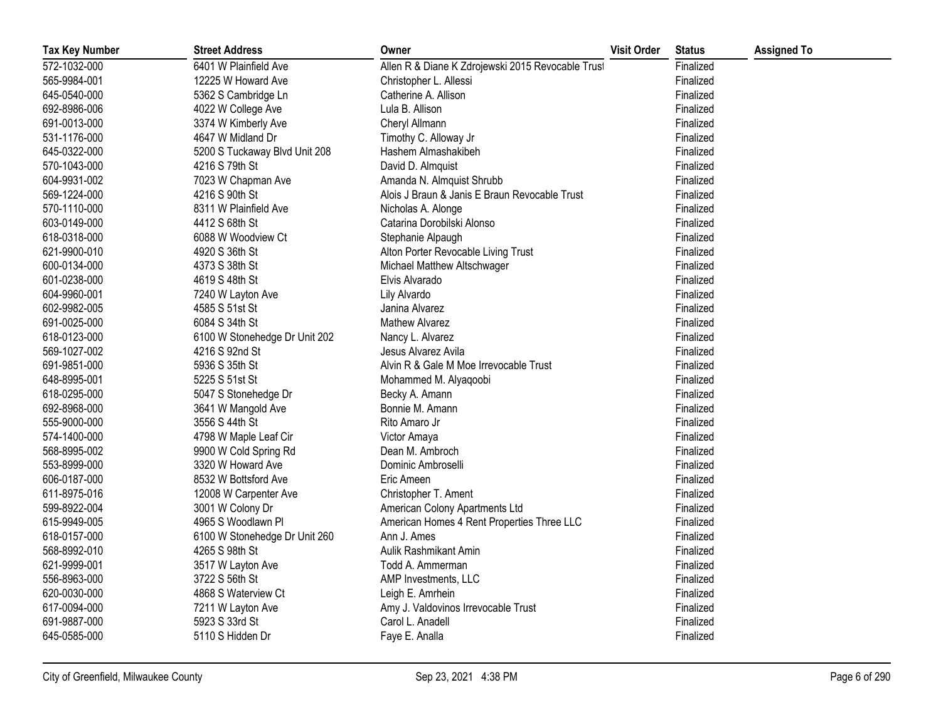| <b>Tax Key Number</b> | <b>Street Address</b>         | Owner                                             | <b>Visit Order</b> | <b>Status</b> | <b>Assigned To</b> |
|-----------------------|-------------------------------|---------------------------------------------------|--------------------|---------------|--------------------|
| 572-1032-000          | 6401 W Plainfield Ave         | Allen R & Diane K Zdrojewski 2015 Revocable Trust |                    | Finalized     |                    |
| 565-9984-001          | 12225 W Howard Ave            | Christopher L. Allessi                            |                    | Finalized     |                    |
| 645-0540-000          | 5362 S Cambridge Ln           | Catherine A. Allison                              |                    | Finalized     |                    |
| 692-8986-006          | 4022 W College Ave            | Lula B. Allison                                   |                    | Finalized     |                    |
| 691-0013-000          | 3374 W Kimberly Ave           | Cheryl Allmann                                    |                    | Finalized     |                    |
| 531-1176-000          | 4647 W Midland Dr             | Timothy C. Alloway Jr                             |                    | Finalized     |                    |
| 645-0322-000          | 5200 S Tuckaway Blvd Unit 208 | Hashem Almashakibeh                               |                    | Finalized     |                    |
| 570-1043-000          | 4216 S 79th St                | David D. Almquist                                 |                    | Finalized     |                    |
| 604-9931-002          | 7023 W Chapman Ave            | Amanda N. Almquist Shrubb                         |                    | Finalized     |                    |
| 569-1224-000          | 4216 S 90th St                | Alois J Braun & Janis E Braun Revocable Trust     |                    | Finalized     |                    |
| 570-1110-000          | 8311 W Plainfield Ave         | Nicholas A. Alonge                                |                    | Finalized     |                    |
| 603-0149-000          | 4412 S 68th St                | Catarina Dorobilski Alonso                        |                    | Finalized     |                    |
| 618-0318-000          | 6088 W Woodview Ct            | Stephanie Alpaugh                                 |                    | Finalized     |                    |
| 621-9900-010          | 4920 S 36th St                | Alton Porter Revocable Living Trust               |                    | Finalized     |                    |
| 600-0134-000          | 4373 S 38th St                | Michael Matthew Altschwager                       |                    | Finalized     |                    |
| 601-0238-000          | 4619 S 48th St                | Elvis Alvarado                                    |                    | Finalized     |                    |
| 604-9960-001          | 7240 W Layton Ave             | Lily Alvardo                                      |                    | Finalized     |                    |
| 602-9982-005          | 4585 S 51st St                | Janina Alvarez                                    |                    | Finalized     |                    |
| 691-0025-000          | 6084 S 34th St                | Mathew Alvarez                                    |                    | Finalized     |                    |
| 618-0123-000          | 6100 W Stonehedge Dr Unit 202 | Nancy L. Alvarez                                  |                    | Finalized     |                    |
| 569-1027-002          | 4216 S 92nd St                | Jesus Alvarez Avila                               |                    | Finalized     |                    |
| 691-9851-000          | 5936 S 35th St                | Alvin R & Gale M Moe Irrevocable Trust            |                    | Finalized     |                    |
| 648-8995-001          | 5225 S 51st St                | Mohammed M. Alyaqoobi                             |                    | Finalized     |                    |
| 618-0295-000          | 5047 S Stonehedge Dr          | Becky A. Amann                                    |                    | Finalized     |                    |
| 692-8968-000          | 3641 W Mangold Ave            | Bonnie M. Amann                                   |                    | Finalized     |                    |
| 555-9000-000          | 3556 S 44th St                | Rito Amaro Jr                                     |                    | Finalized     |                    |
| 574-1400-000          | 4798 W Maple Leaf Cir         | Victor Amaya                                      |                    | Finalized     |                    |
| 568-8995-002          | 9900 W Cold Spring Rd         | Dean M. Ambroch                                   |                    | Finalized     |                    |
| 553-8999-000          | 3320 W Howard Ave             | Dominic Ambroselli                                |                    | Finalized     |                    |
| 606-0187-000          | 8532 W Bottsford Ave          | Eric Ameen                                        |                    | Finalized     |                    |
| 611-8975-016          | 12008 W Carpenter Ave         | Christopher T. Ament                              |                    | Finalized     |                    |
| 599-8922-004          | 3001 W Colony Dr              | American Colony Apartments Ltd                    |                    | Finalized     |                    |
| 615-9949-005          | 4965 S Woodlawn Pl            | American Homes 4 Rent Properties Three LLC        |                    | Finalized     |                    |
| 618-0157-000          | 6100 W Stonehedge Dr Unit 260 | Ann J. Ames                                       |                    | Finalized     |                    |
| 568-8992-010          | 4265 S 98th St                | Aulik Rashmikant Amin                             |                    | Finalized     |                    |
| 621-9999-001          | 3517 W Layton Ave             | Todd A. Ammerman                                  |                    | Finalized     |                    |
| 556-8963-000          | 3722 S 56th St                | AMP Investments, LLC                              |                    | Finalized     |                    |
| 620-0030-000          | 4868 S Waterview Ct           | Leigh E. Amrhein                                  |                    | Finalized     |                    |
| 617-0094-000          | 7211 W Layton Ave             | Amy J. Valdovinos Irrevocable Trust               |                    | Finalized     |                    |
| 691-9887-000          | 5923 S 33rd St                | Carol L. Anadell                                  |                    | Finalized     |                    |
| 645-0585-000          | 5110 S Hidden Dr              | Faye E. Analla                                    |                    | Finalized     |                    |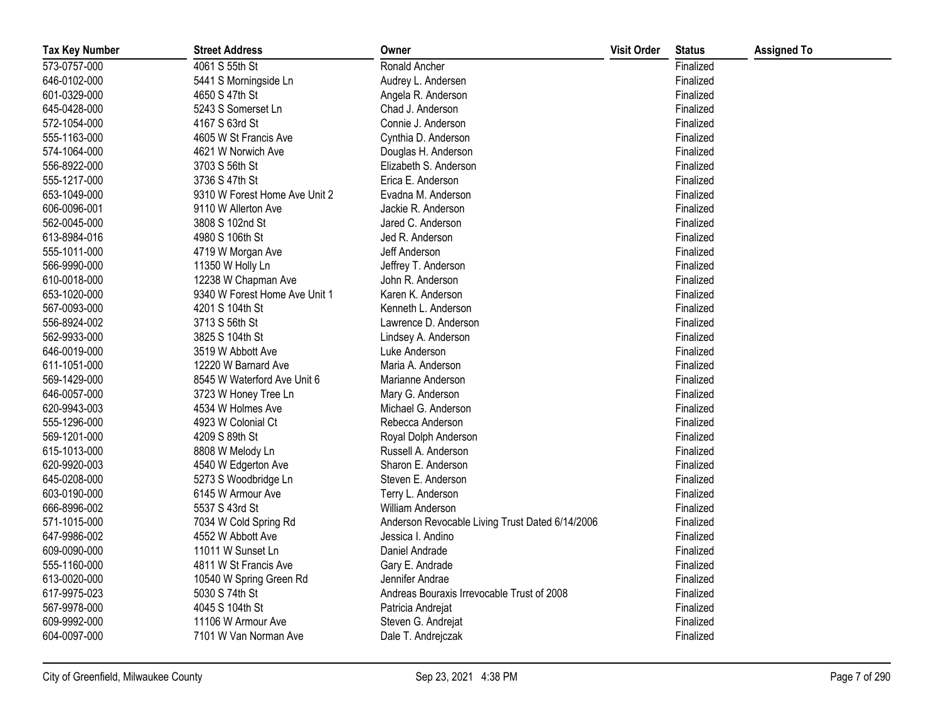| <b>Tax Key Number</b> | <b>Street Address</b>         | Owner                                           | <b>Visit Order</b> | <b>Status</b> | <b>Assigned To</b> |
|-----------------------|-------------------------------|-------------------------------------------------|--------------------|---------------|--------------------|
| 573-0757-000          | 4061 S 55th St                | Ronald Ancher                                   |                    | Finalized     |                    |
| 646-0102-000          | 5441 S Morningside Ln         | Audrey L. Andersen                              |                    | Finalized     |                    |
| 601-0329-000          | 4650 S 47th St                | Angela R. Anderson                              |                    | Finalized     |                    |
| 645-0428-000          | 5243 S Somerset Ln            | Chad J. Anderson                                |                    | Finalized     |                    |
| 572-1054-000          | 4167 S 63rd St                | Connie J. Anderson                              |                    | Finalized     |                    |
| 555-1163-000          | 4605 W St Francis Ave         | Cynthia D. Anderson                             |                    | Finalized     |                    |
| 574-1064-000          | 4621 W Norwich Ave            | Douglas H. Anderson                             |                    | Finalized     |                    |
| 556-8922-000          | 3703 S 56th St                | Elizabeth S. Anderson                           |                    | Finalized     |                    |
| 555-1217-000          | 3736 S 47th St                | Erica E. Anderson                               |                    | Finalized     |                    |
| 653-1049-000          | 9310 W Forest Home Ave Unit 2 | Evadna M. Anderson                              |                    | Finalized     |                    |
| 606-0096-001          | 9110 W Allerton Ave           | Jackie R. Anderson                              |                    | Finalized     |                    |
| 562-0045-000          | 3808 S 102nd St               | Jared C. Anderson                               |                    | Finalized     |                    |
| 613-8984-016          | 4980 S 106th St               | Jed R. Anderson                                 |                    | Finalized     |                    |
| 555-1011-000          | 4719 W Morgan Ave             | Jeff Anderson                                   |                    | Finalized     |                    |
| 566-9990-000          | 11350 W Holly Ln              | Jeffrey T. Anderson                             |                    | Finalized     |                    |
| 610-0018-000          | 12238 W Chapman Ave           | John R. Anderson                                |                    | Finalized     |                    |
| 653-1020-000          | 9340 W Forest Home Ave Unit 1 | Karen K. Anderson                               |                    | Finalized     |                    |
| 567-0093-000          | 4201 S 104th St               | Kenneth L. Anderson                             |                    | Finalized     |                    |
| 556-8924-002          | 3713 S 56th St                | Lawrence D. Anderson                            |                    | Finalized     |                    |
| 562-9933-000          | 3825 S 104th St               | Lindsey A. Anderson                             |                    | Finalized     |                    |
| 646-0019-000          | 3519 W Abbott Ave             | Luke Anderson                                   |                    | Finalized     |                    |
| 611-1051-000          | 12220 W Barnard Ave           | Maria A. Anderson                               |                    | Finalized     |                    |
| 569-1429-000          | 8545 W Waterford Ave Unit 6   | Marianne Anderson                               |                    | Finalized     |                    |
| 646-0057-000          | 3723 W Honey Tree Ln          | Mary G. Anderson                                |                    | Finalized     |                    |
| 620-9943-003          | 4534 W Holmes Ave             | Michael G. Anderson                             |                    | Finalized     |                    |
| 555-1296-000          | 4923 W Colonial Ct            | Rebecca Anderson                                |                    | Finalized     |                    |
| 569-1201-000          | 4209 S 89th St                | Royal Dolph Anderson                            |                    | Finalized     |                    |
| 615-1013-000          | 8808 W Melody Ln              | Russell A. Anderson                             |                    | Finalized     |                    |
| 620-9920-003          | 4540 W Edgerton Ave           | Sharon E. Anderson                              |                    | Finalized     |                    |
| 645-0208-000          | 5273 S Woodbridge Ln          | Steven E. Anderson                              |                    | Finalized     |                    |
| 603-0190-000          | 6145 W Armour Ave             | Terry L. Anderson                               |                    | Finalized     |                    |
| 666-8996-002          | 5537 S 43rd St                | William Anderson                                |                    | Finalized     |                    |
| 571-1015-000          | 7034 W Cold Spring Rd         | Anderson Revocable Living Trust Dated 6/14/2006 |                    | Finalized     |                    |
| 647-9986-002          | 4552 W Abbott Ave             | Jessica I. Andino                               |                    | Finalized     |                    |
| 609-0090-000          | 11011 W Sunset Ln             | Daniel Andrade                                  |                    | Finalized     |                    |
| 555-1160-000          | 4811 W St Francis Ave         | Gary E. Andrade                                 |                    | Finalized     |                    |
| 613-0020-000          | 10540 W Spring Green Rd       | Jennifer Andrae                                 |                    | Finalized     |                    |
| 617-9975-023          | 5030 S 74th St                | Andreas Bouraxis Irrevocable Trust of 2008      |                    | Finalized     |                    |
| 567-9978-000          | 4045 S 104th St               | Patricia Andrejat                               |                    | Finalized     |                    |
| 609-9992-000          | 11106 W Armour Ave            | Steven G. Andrejat                              |                    | Finalized     |                    |
| 604-0097-000          | 7101 W Van Norman Ave         | Dale T. Andrejczak                              |                    | Finalized     |                    |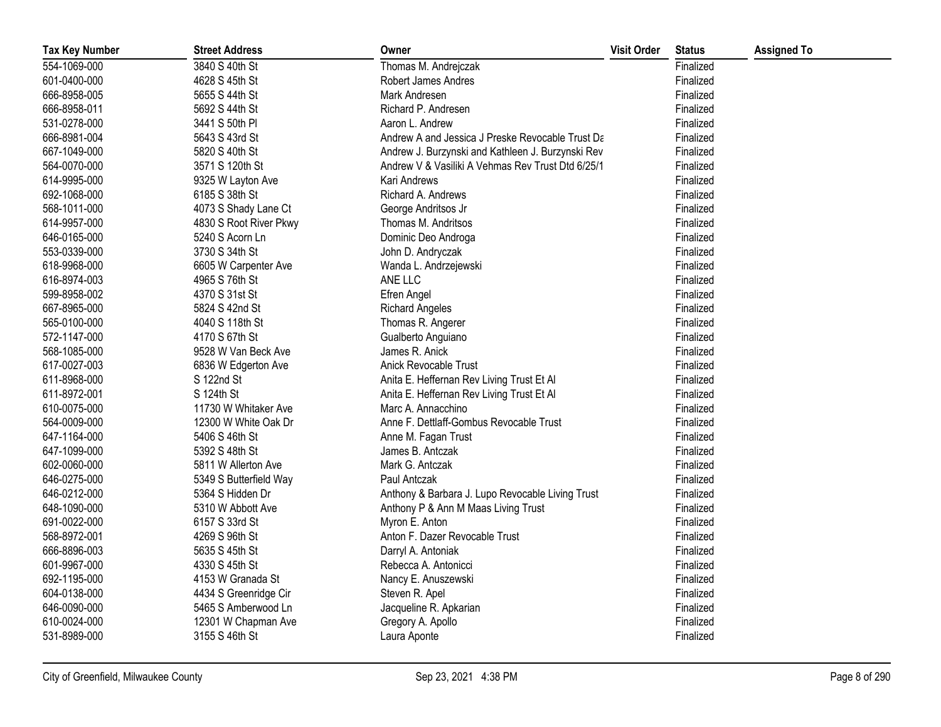| <b>Tax Key Number</b> | <b>Street Address</b>  | Owner                                             | <b>Visit Order</b> | <b>Status</b> | <b>Assigned To</b> |
|-----------------------|------------------------|---------------------------------------------------|--------------------|---------------|--------------------|
| 554-1069-000          | 3840 S 40th St         | Thomas M. Andrejczak                              |                    | Finalized     |                    |
| 601-0400-000          | 4628 S 45th St         | Robert James Andres                               |                    | Finalized     |                    |
| 666-8958-005          | 5655 S 44th St         | Mark Andresen                                     |                    | Finalized     |                    |
| 666-8958-011          | 5692 S 44th St         | Richard P. Andresen                               |                    | Finalized     |                    |
| 531-0278-000          | 3441 S 50th PI         | Aaron L. Andrew                                   |                    | Finalized     |                    |
| 666-8981-004          | 5643 S 43rd St         | Andrew A and Jessica J Preske Revocable Trust Da  |                    | Finalized     |                    |
| 667-1049-000          | 5820 S 40th St         | Andrew J. Burzynski and Kathleen J. Burzynski Rev |                    | Finalized     |                    |
| 564-0070-000          | 3571 S 120th St        | Andrew V & Vasiliki A Vehmas Rev Trust Dtd 6/25/1 |                    | Finalized     |                    |
| 614-9995-000          | 9325 W Layton Ave      | Kari Andrews                                      |                    | Finalized     |                    |
| 692-1068-000          | 6185 S 38th St         | Richard A. Andrews                                |                    | Finalized     |                    |
| 568-1011-000          | 4073 S Shady Lane Ct   | George Andritsos Jr                               |                    | Finalized     |                    |
| 614-9957-000          | 4830 S Root River Pkwy | Thomas M. Andritsos                               |                    | Finalized     |                    |
| 646-0165-000          | 5240 S Acorn Ln        | Dominic Deo Androga                               |                    | Finalized     |                    |
| 553-0339-000          | 3730 S 34th St         | John D. Andryczak                                 |                    | Finalized     |                    |
| 618-9968-000          | 6605 W Carpenter Ave   | Wanda L. Andrzejewski                             |                    | Finalized     |                    |
| 616-8974-003          | 4965 S 76th St         | ANE LLC                                           |                    | Finalized     |                    |
| 599-8958-002          | 4370 S 31st St         | Efren Angel                                       |                    | Finalized     |                    |
| 667-8965-000          | 5824 S 42nd St         | <b>Richard Angeles</b>                            |                    | Finalized     |                    |
| 565-0100-000          | 4040 S 118th St        | Thomas R. Angerer                                 |                    | Finalized     |                    |
| 572-1147-000          | 4170 S 67th St         | Gualberto Anguiano                                |                    | Finalized     |                    |
| 568-1085-000          | 9528 W Van Beck Ave    | James R. Anick                                    |                    | Finalized     |                    |
| 617-0027-003          | 6836 W Edgerton Ave    | Anick Revocable Trust                             |                    | Finalized     |                    |
| 611-8968-000          | S 122nd St             | Anita E. Heffernan Rev Living Trust Et Al         |                    | Finalized     |                    |
| 611-8972-001          | S 124th St             | Anita E. Heffernan Rev Living Trust Et Al         |                    | Finalized     |                    |
| 610-0075-000          | 11730 W Whitaker Ave   | Marc A. Annacchino                                |                    | Finalized     |                    |
| 564-0009-000          | 12300 W White Oak Dr   | Anne F. Dettlaff-Gombus Revocable Trust           |                    | Finalized     |                    |
| 647-1164-000          | 5406 S 46th St         | Anne M. Fagan Trust                               |                    | Finalized     |                    |
| 647-1099-000          | 5392 S 48th St         | James B. Antczak                                  |                    | Finalized     |                    |
| 602-0060-000          | 5811 W Allerton Ave    | Mark G. Antczak                                   |                    | Finalized     |                    |
| 646-0275-000          | 5349 S Butterfield Way | Paul Antczak                                      |                    | Finalized     |                    |
| 646-0212-000          | 5364 S Hidden Dr       | Anthony & Barbara J. Lupo Revocable Living Trust  |                    | Finalized     |                    |
| 648-1090-000          | 5310 W Abbott Ave      | Anthony P & Ann M Maas Living Trust               |                    | Finalized     |                    |
| 691-0022-000          | 6157 S 33rd St         | Myron E. Anton                                    |                    | Finalized     |                    |
| 568-8972-001          | 4269 S 96th St         | Anton F. Dazer Revocable Trust                    |                    | Finalized     |                    |
| 666-8896-003          | 5635 S 45th St         | Darryl A. Antoniak                                |                    | Finalized     |                    |
| 601-9967-000          | 4330 S 45th St         | Rebecca A. Antonicci                              |                    | Finalized     |                    |
| 692-1195-000          | 4153 W Granada St      | Nancy E. Anuszewski                               |                    | Finalized     |                    |
| 604-0138-000          | 4434 S Greenridge Cir  | Steven R. Apel                                    |                    | Finalized     |                    |
| 646-0090-000          | 5465 S Amberwood Ln    | Jacqueline R. Apkarian                            |                    | Finalized     |                    |
| 610-0024-000          | 12301 W Chapman Ave    | Gregory A. Apollo                                 |                    | Finalized     |                    |
| 531-8989-000          | 3155 S 46th St         | Laura Aponte                                      |                    | Finalized     |                    |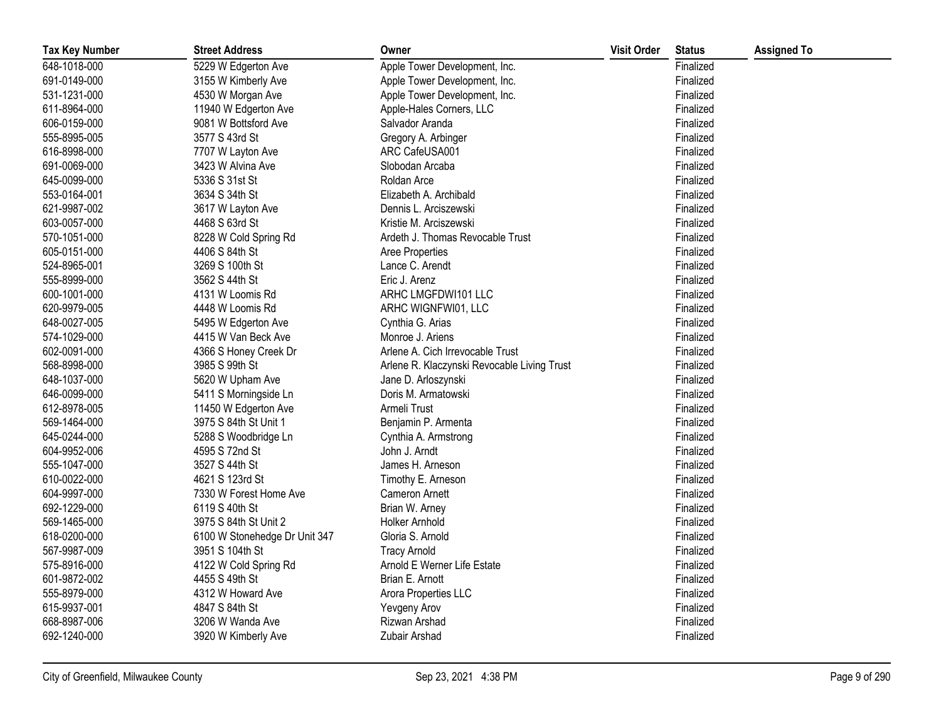| <b>Tax Key Number</b> | <b>Street Address</b>         | Owner                                       | <b>Visit Order</b> | <b>Status</b> | <b>Assigned To</b> |
|-----------------------|-------------------------------|---------------------------------------------|--------------------|---------------|--------------------|
| 648-1018-000          | 5229 W Edgerton Ave           | Apple Tower Development, Inc.               |                    | Finalized     |                    |
| 691-0149-000          | 3155 W Kimberly Ave           | Apple Tower Development, Inc.               |                    | Finalized     |                    |
| 531-1231-000          | 4530 W Morgan Ave             | Apple Tower Development, Inc.               |                    | Finalized     |                    |
| 611-8964-000          | 11940 W Edgerton Ave          | Apple-Hales Corners, LLC                    |                    | Finalized     |                    |
| 606-0159-000          | 9081 W Bottsford Ave          | Salvador Aranda                             |                    | Finalized     |                    |
| 555-8995-005          | 3577 S 43rd St                | Gregory A. Arbinger                         |                    | Finalized     |                    |
| 616-8998-000          | 7707 W Layton Ave             | ARC CafeUSA001                              |                    | Finalized     |                    |
| 691-0069-000          | 3423 W Alvina Ave             | Slobodan Arcaba                             |                    | Finalized     |                    |
| 645-0099-000          | 5336 S 31st St                | Roldan Arce                                 |                    | Finalized     |                    |
| 553-0164-001          | 3634 S 34th St                | Elizabeth A. Archibald                      |                    | Finalized     |                    |
| 621-9987-002          | 3617 W Layton Ave             | Dennis L. Arciszewski                       |                    | Finalized     |                    |
| 603-0057-000          | 4468 S 63rd St                | Kristie M. Arciszewski                      |                    | Finalized     |                    |
| 570-1051-000          | 8228 W Cold Spring Rd         | Ardeth J. Thomas Revocable Trust            |                    | Finalized     |                    |
| 605-0151-000          | 4406 S 84th St                | Aree Properties                             |                    | Finalized     |                    |
| 524-8965-001          | 3269 S 100th St               | Lance C. Arendt                             |                    | Finalized     |                    |
| 555-8999-000          | 3562 S 44th St                | Eric J. Arenz                               |                    | Finalized     |                    |
| 600-1001-000          | 4131 W Loomis Rd              | ARHC LMGFDWI101 LLC                         |                    | Finalized     |                    |
| 620-9979-005          | 4448 W Loomis Rd              | ARHC WIGNFWI01, LLC                         |                    | Finalized     |                    |
| 648-0027-005          | 5495 W Edgerton Ave           | Cynthia G. Arias                            |                    | Finalized     |                    |
| 574-1029-000          | 4415 W Van Beck Ave           | Monroe J. Ariens                            |                    | Finalized     |                    |
| 602-0091-000          | 4366 S Honey Creek Dr         | Arlene A. Cich Irrevocable Trust            |                    | Finalized     |                    |
| 568-8998-000          | 3985 S 99th St                | Arlene R. Klaczynski Revocable Living Trust |                    | Finalized     |                    |
| 648-1037-000          | 5620 W Upham Ave              | Jane D. Arloszynski                         |                    | Finalized     |                    |
| 646-0099-000          | 5411 S Morningside Ln         | Doris M. Armatowski                         |                    | Finalized     |                    |
| 612-8978-005          | 11450 W Edgerton Ave          | Armeli Trust                                |                    | Finalized     |                    |
| 569-1464-000          | 3975 S 84th St Unit 1         | Benjamin P. Armenta                         |                    | Finalized     |                    |
| 645-0244-000          | 5288 S Woodbridge Ln          | Cynthia A. Armstrong                        |                    | Finalized     |                    |
| 604-9952-006          | 4595 S 72nd St                | John J. Arndt                               |                    | Finalized     |                    |
| 555-1047-000          | 3527 S 44th St                | James H. Arneson                            |                    | Finalized     |                    |
| 610-0022-000          | 4621 S 123rd St               | Timothy E. Arneson                          |                    | Finalized     |                    |
| 604-9997-000          | 7330 W Forest Home Ave        | <b>Cameron Arnett</b>                       |                    | Finalized     |                    |
| 692-1229-000          | 6119 S 40th St                | Brian W. Arney                              |                    | Finalized     |                    |
| 569-1465-000          | 3975 S 84th St Unit 2         | <b>Holker Arnhold</b>                       |                    | Finalized     |                    |
| 618-0200-000          | 6100 W Stonehedge Dr Unit 347 | Gloria S. Arnold                            |                    | Finalized     |                    |
| 567-9987-009          | 3951 S 104th St               | <b>Tracy Arnold</b>                         |                    | Finalized     |                    |
| 575-8916-000          | 4122 W Cold Spring Rd         | Arnold E Werner Life Estate                 |                    | Finalized     |                    |
| 601-9872-002          | 4455 S 49th St                | Brian E. Arnott                             |                    | Finalized     |                    |
| 555-8979-000          | 4312 W Howard Ave             | Arora Properties LLC                        |                    | Finalized     |                    |
| 615-9937-001          | 4847 S 84th St                | Yevgeny Arov                                |                    | Finalized     |                    |
| 668-8987-006          | 3206 W Wanda Ave              | Rizwan Arshad                               |                    | Finalized     |                    |
| 692-1240-000          | 3920 W Kimberly Ave           | Zubair Arshad                               |                    | Finalized     |                    |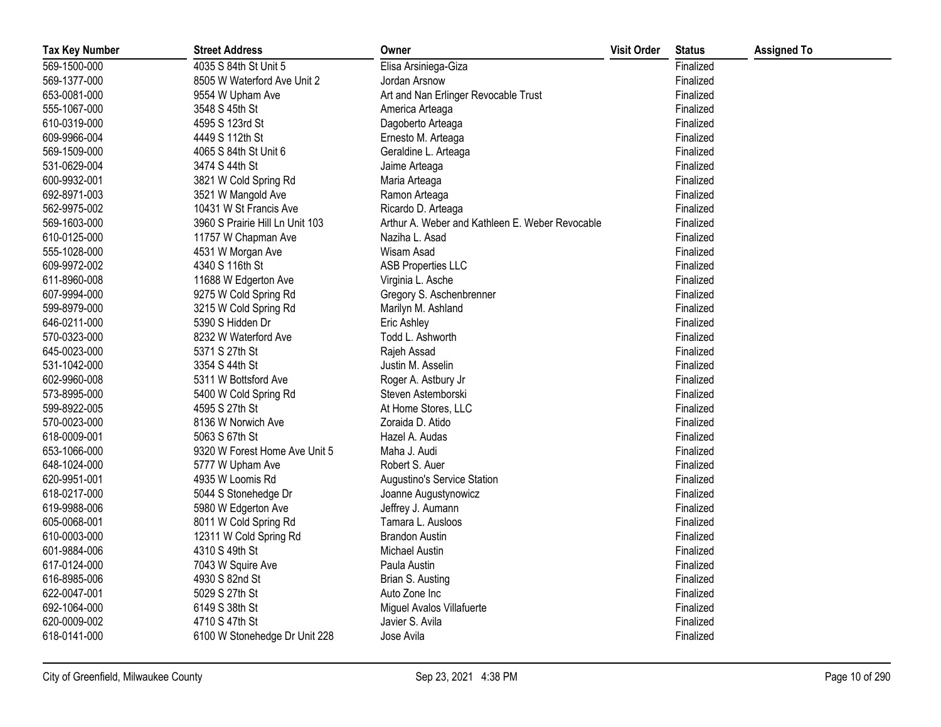| <b>Tax Key Number</b> | <b>Street Address</b>           | Owner                                           | <b>Visit Order</b> | <b>Status</b> | <b>Assigned To</b> |
|-----------------------|---------------------------------|-------------------------------------------------|--------------------|---------------|--------------------|
| 569-1500-000          | 4035 S 84th St Unit 5           | Elisa Arsiniega-Giza                            |                    | Finalized     |                    |
| 569-1377-000          | 8505 W Waterford Ave Unit 2     | Jordan Arsnow                                   |                    | Finalized     |                    |
| 653-0081-000          | 9554 W Upham Ave                | Art and Nan Erlinger Revocable Trust            |                    | Finalized     |                    |
| 555-1067-000          | 3548 S 45th St                  | America Arteaga                                 |                    | Finalized     |                    |
| 610-0319-000          | 4595 S 123rd St                 | Dagoberto Arteaga                               |                    | Finalized     |                    |
| 609-9966-004          | 4449 S 112th St                 | Ernesto M. Arteaga                              |                    | Finalized     |                    |
| 569-1509-000          | 4065 S 84th St Unit 6           | Geraldine L. Arteaga                            |                    | Finalized     |                    |
| 531-0629-004          | 3474 S 44th St                  | Jaime Arteaga                                   |                    | Finalized     |                    |
| 600-9932-001          | 3821 W Cold Spring Rd           | Maria Arteaga                                   |                    | Finalized     |                    |
| 692-8971-003          | 3521 W Mangold Ave              | Ramon Arteaga                                   |                    | Finalized     |                    |
| 562-9975-002          | 10431 W St Francis Ave          | Ricardo D. Arteaga                              |                    | Finalized     |                    |
| 569-1603-000          | 3960 S Prairie Hill Ln Unit 103 | Arthur A. Weber and Kathleen E. Weber Revocable |                    | Finalized     |                    |
| 610-0125-000          | 11757 W Chapman Ave             | Naziha L. Asad                                  |                    | Finalized     |                    |
| 555-1028-000          | 4531 W Morgan Ave               | Wisam Asad                                      |                    | Finalized     |                    |
| 609-9972-002          | 4340 S 116th St                 | <b>ASB Properties LLC</b>                       |                    | Finalized     |                    |
| 611-8960-008          | 11688 W Edgerton Ave            | Virginia L. Asche                               |                    | Finalized     |                    |
| 607-9994-000          | 9275 W Cold Spring Rd           | Gregory S. Aschenbrenner                        |                    | Finalized     |                    |
| 599-8979-000          | 3215 W Cold Spring Rd           | Marilyn M. Ashland                              |                    | Finalized     |                    |
| 646-0211-000          | 5390 S Hidden Dr                | Eric Ashley                                     |                    | Finalized     |                    |
| 570-0323-000          | 8232 W Waterford Ave            | Todd L. Ashworth                                |                    | Finalized     |                    |
| 645-0023-000          | 5371 S 27th St                  | Rajeh Assad                                     |                    | Finalized     |                    |
| 531-1042-000          | 3354 S 44th St                  | Justin M. Asselin                               |                    | Finalized     |                    |
| 602-9960-008          | 5311 W Bottsford Ave            | Roger A. Astbury Jr                             |                    | Finalized     |                    |
| 573-8995-000          | 5400 W Cold Spring Rd           | Steven Astemborski                              |                    | Finalized     |                    |
| 599-8922-005          | 4595 S 27th St                  | At Home Stores, LLC                             |                    | Finalized     |                    |
| 570-0023-000          | 8136 W Norwich Ave              | Zoraida D. Atido                                |                    | Finalized     |                    |
| 618-0009-001          | 5063 S 67th St                  | Hazel A. Audas                                  |                    | Finalized     |                    |
| 653-1066-000          | 9320 W Forest Home Ave Unit 5   | Maha J. Audi                                    |                    | Finalized     |                    |
| 648-1024-000          | 5777 W Upham Ave                | Robert S. Auer                                  |                    | Finalized     |                    |
| 620-9951-001          | 4935 W Loomis Rd                | Augustino's Service Station                     |                    | Finalized     |                    |
| 618-0217-000          | 5044 S Stonehedge Dr            | Joanne Augustynowicz                            |                    | Finalized     |                    |
| 619-9988-006          | 5980 W Edgerton Ave             | Jeffrey J. Aumann                               |                    | Finalized     |                    |
| 605-0068-001          | 8011 W Cold Spring Rd           | Tamara L. Ausloos                               |                    | Finalized     |                    |
| 610-0003-000          | 12311 W Cold Spring Rd          | <b>Brandon Austin</b>                           |                    | Finalized     |                    |
| 601-9884-006          | 4310 S 49th St                  | Michael Austin                                  |                    | Finalized     |                    |
| 617-0124-000          | 7043 W Squire Ave               | Paula Austin                                    |                    | Finalized     |                    |
| 616-8985-006          | 4930 S 82nd St                  | Brian S. Austing                                |                    | Finalized     |                    |
| 622-0047-001          | 5029 S 27th St                  | Auto Zone Inc                                   |                    | Finalized     |                    |
| 692-1064-000          | 6149 S 38th St                  | Miguel Avalos Villafuerte                       |                    | Finalized     |                    |
| 620-0009-002          | 4710 S 47th St                  | Javier S. Avila                                 |                    | Finalized     |                    |
| 618-0141-000          | 6100 W Stonehedge Dr Unit 228   | Jose Avila                                      |                    | Finalized     |                    |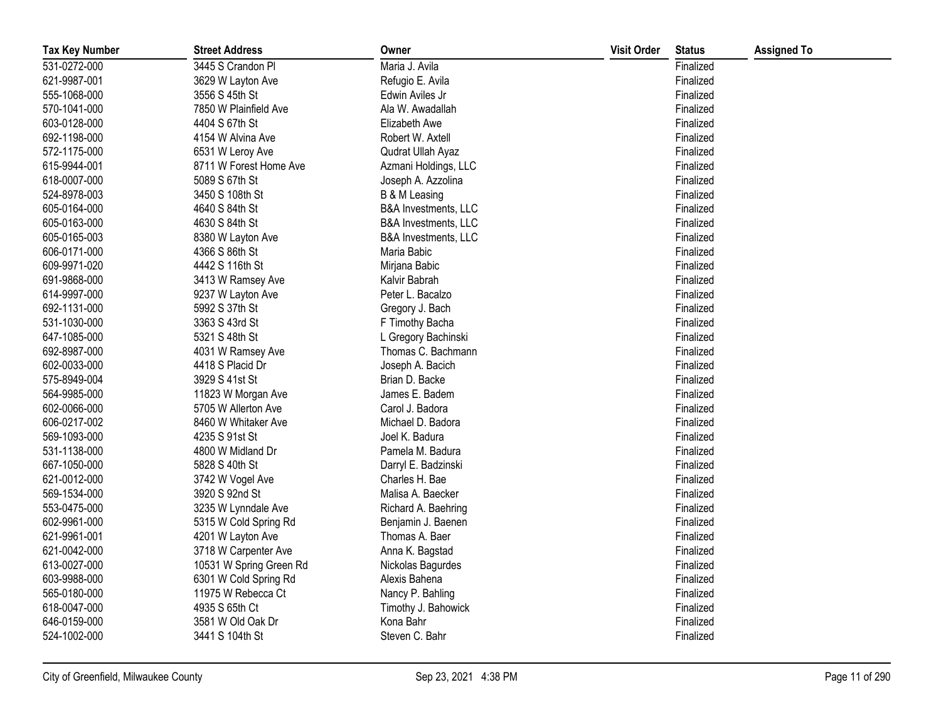| <b>Tax Key Number</b> | <b>Street Address</b>   | Owner                           | <b>Visit Order</b> | <b>Status</b> | <b>Assigned To</b> |
|-----------------------|-------------------------|---------------------------------|--------------------|---------------|--------------------|
| 531-0272-000          | 3445 S Crandon Pl       | Maria J. Avila                  |                    | Finalized     |                    |
| 621-9987-001          | 3629 W Layton Ave       | Refugio E. Avila                |                    | Finalized     |                    |
| 555-1068-000          | 3556 S 45th St          | Edwin Aviles Jr                 |                    | Finalized     |                    |
| 570-1041-000          | 7850 W Plainfield Ave   | Ala W. Awadallah                |                    | Finalized     |                    |
| 603-0128-000          | 4404 S 67th St          | Elizabeth Awe                   |                    | Finalized     |                    |
| 692-1198-000          | 4154 W Alvina Ave       | Robert W. Axtell                |                    | Finalized     |                    |
| 572-1175-000          | 6531 W Leroy Ave        | Qudrat Ullah Ayaz               |                    | Finalized     |                    |
| 615-9944-001          | 8711 W Forest Home Ave  | Azmani Holdings, LLC            |                    | Finalized     |                    |
| 618-0007-000          | 5089 S 67th St          | Joseph A. Azzolina              |                    | Finalized     |                    |
| 524-8978-003          | 3450 S 108th St         | B & M Leasing                   |                    | Finalized     |                    |
| 605-0164-000          | 4640 S 84th St          | B&A Investments, LLC            |                    | Finalized     |                    |
| 605-0163-000          | 4630 S 84th St          | <b>B&amp;A Investments, LLC</b> |                    | Finalized     |                    |
| 605-0165-003          | 8380 W Layton Ave       | B&A Investments, LLC            |                    | Finalized     |                    |
| 606-0171-000          | 4366 S 86th St          | Maria Babic                     |                    | Finalized     |                    |
| 609-9971-020          | 4442 S 116th St         | Mirjana Babic                   |                    | Finalized     |                    |
| 691-9868-000          | 3413 W Ramsey Ave       | Kalvir Babrah                   |                    | Finalized     |                    |
| 614-9997-000          | 9237 W Layton Ave       | Peter L. Bacalzo                |                    | Finalized     |                    |
| 692-1131-000          | 5992 S 37th St          | Gregory J. Bach                 |                    | Finalized     |                    |
| 531-1030-000          | 3363 S 43rd St          | F Timothy Bacha                 |                    | Finalized     |                    |
| 647-1085-000          | 5321 S 48th St          | L Gregory Bachinski             |                    | Finalized     |                    |
| 692-8987-000          | 4031 W Ramsey Ave       | Thomas C. Bachmann              |                    | Finalized     |                    |
| 602-0033-000          | 4418 S Placid Dr        | Joseph A. Bacich                |                    | Finalized     |                    |
| 575-8949-004          | 3929 S 41st St          | Brian D. Backe                  |                    | Finalized     |                    |
| 564-9985-000          | 11823 W Morgan Ave      | James E. Badem                  |                    | Finalized     |                    |
| 602-0066-000          | 5705 W Allerton Ave     | Carol J. Badora                 |                    | Finalized     |                    |
| 606-0217-002          | 8460 W Whitaker Ave     | Michael D. Badora               |                    | Finalized     |                    |
| 569-1093-000          | 4235 S 91st St          | Joel K. Badura                  |                    | Finalized     |                    |
| 531-1138-000          | 4800 W Midland Dr       | Pamela M. Badura                |                    | Finalized     |                    |
| 667-1050-000          | 5828 S 40th St          | Darryl E. Badzinski             |                    | Finalized     |                    |
| 621-0012-000          | 3742 W Vogel Ave        | Charles H. Bae                  |                    | Finalized     |                    |
| 569-1534-000          | 3920 S 92nd St          | Malisa A. Baecker               |                    | Finalized     |                    |
| 553-0475-000          | 3235 W Lynndale Ave     | Richard A. Baehring             |                    | Finalized     |                    |
| 602-9961-000          | 5315 W Cold Spring Rd   | Benjamin J. Baenen              |                    | Finalized     |                    |
| 621-9961-001          | 4201 W Layton Ave       | Thomas A. Baer                  |                    | Finalized     |                    |
| 621-0042-000          | 3718 W Carpenter Ave    | Anna K. Bagstad                 |                    | Finalized     |                    |
| 613-0027-000          | 10531 W Spring Green Rd | Nickolas Bagurdes               |                    | Finalized     |                    |
| 603-9988-000          | 6301 W Cold Spring Rd   | Alexis Bahena                   |                    | Finalized     |                    |
| 565-0180-000          | 11975 W Rebecca Ct      | Nancy P. Bahling                |                    | Finalized     |                    |
| 618-0047-000          | 4935 S 65th Ct          | Timothy J. Bahowick             |                    | Finalized     |                    |
| 646-0159-000          | 3581 W Old Oak Dr       | Kona Bahr                       |                    | Finalized     |                    |
| 524-1002-000          | 3441 S 104th St         | Steven C. Bahr                  |                    | Finalized     |                    |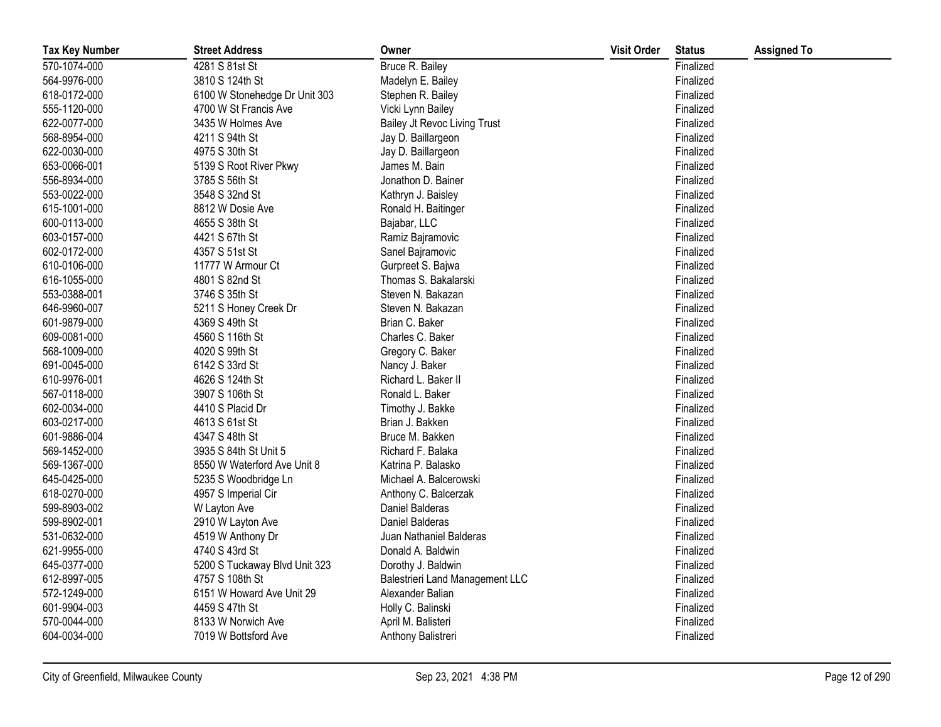| <b>Tax Key Number</b> | <b>Street Address</b>         | Owner                                  | <b>Visit Order</b> | <b>Status</b> | <b>Assigned To</b> |
|-----------------------|-------------------------------|----------------------------------------|--------------------|---------------|--------------------|
| 570-1074-000          | 4281 S 81st St                | Bruce R. Bailey                        |                    | Finalized     |                    |
| 564-9976-000          | 3810 S 124th St               | Madelyn E. Bailey                      |                    | Finalized     |                    |
| 618-0172-000          | 6100 W Stonehedge Dr Unit 303 | Stephen R. Bailey                      |                    | Finalized     |                    |
| 555-1120-000          | 4700 W St Francis Ave         | Vicki Lynn Bailey                      |                    | Finalized     |                    |
| 622-0077-000          | 3435 W Holmes Ave             | Bailey Jt Revoc Living Trust           |                    | Finalized     |                    |
| 568-8954-000          | 4211 S 94th St                | Jay D. Baillargeon                     |                    | Finalized     |                    |
| 622-0030-000          | 4975 S 30th St                | Jay D. Baillargeon                     |                    | Finalized     |                    |
| 653-0066-001          | 5139 S Root River Pkwy        | James M. Bain                          |                    | Finalized     |                    |
| 556-8934-000          | 3785 S 56th St                | Jonathon D. Bainer                     |                    | Finalized     |                    |
| 553-0022-000          | 3548 S 32nd St                | Kathryn J. Baisley                     |                    | Finalized     |                    |
| 615-1001-000          | 8812 W Dosie Ave              | Ronald H. Baitinger                    |                    | Finalized     |                    |
| 600-0113-000          | 4655 S 38th St                | Bajabar, LLC                           |                    | Finalized     |                    |
| 603-0157-000          | 4421 S 67th St                | Ramiz Bajramovic                       |                    | Finalized     |                    |
| 602-0172-000          | 4357 S 51st St                | Sanel Bajramovic                       |                    | Finalized     |                    |
| 610-0106-000          | 11777 W Armour Ct             | Gurpreet S. Bajwa                      |                    | Finalized     |                    |
| 616-1055-000          | 4801 S 82nd St                | Thomas S. Bakalarski                   |                    | Finalized     |                    |
| 553-0388-001          | 3746 S 35th St                | Steven N. Bakazan                      |                    | Finalized     |                    |
| 646-9960-007          | 5211 S Honey Creek Dr         | Steven N. Bakazan                      |                    | Finalized     |                    |
| 601-9879-000          | 4369 S 49th St                | Brian C. Baker                         |                    | Finalized     |                    |
| 609-0081-000          | 4560 S 116th St               | Charles C. Baker                       |                    | Finalized     |                    |
| 568-1009-000          | 4020 S 99th St                | Gregory C. Baker                       |                    | Finalized     |                    |
| 691-0045-000          | 6142 S 33rd St                | Nancy J. Baker                         |                    | Finalized     |                    |
| 610-9976-001          | 4626 S 124th St               | Richard L. Baker II                    |                    | Finalized     |                    |
| 567-0118-000          | 3907 S 106th St               | Ronald L. Baker                        |                    | Finalized     |                    |
| 602-0034-000          | 4410 S Placid Dr              | Timothy J. Bakke                       |                    | Finalized     |                    |
| 603-0217-000          | 4613 S 61st St                | Brian J. Bakken                        |                    | Finalized     |                    |
| 601-9886-004          | 4347 S 48th St                | Bruce M. Bakken                        |                    | Finalized     |                    |
| 569-1452-000          | 3935 S 84th St Unit 5         | Richard F. Balaka                      |                    | Finalized     |                    |
| 569-1367-000          | 8550 W Waterford Ave Unit 8   | Katrina P. Balasko                     |                    | Finalized     |                    |
| 645-0425-000          | 5235 S Woodbridge Ln          | Michael A. Balcerowski                 |                    | Finalized     |                    |
| 618-0270-000          | 4957 S Imperial Cir           | Anthony C. Balcerzak                   |                    | Finalized     |                    |
| 599-8903-002          | W Layton Ave                  | Daniel Balderas                        |                    | Finalized     |                    |
| 599-8902-001          | 2910 W Layton Ave             | Daniel Balderas                        |                    | Finalized     |                    |
| 531-0632-000          | 4519 W Anthony Dr             | Juan Nathaniel Balderas                |                    | Finalized     |                    |
| 621-9955-000          | 4740 S 43rd St                | Donald A. Baldwin                      |                    | Finalized     |                    |
| 645-0377-000          | 5200 S Tuckaway Blvd Unit 323 | Dorothy J. Baldwin                     |                    | Finalized     |                    |
| 612-8997-005          | 4757 S 108th St               | <b>Balestrieri Land Management LLC</b> |                    | Finalized     |                    |
| 572-1249-000          | 6151 W Howard Ave Unit 29     | Alexander Balian                       |                    | Finalized     |                    |
| 601-9904-003          | 4459 S 47th St                | Holly C. Balinski                      |                    | Finalized     |                    |
| 570-0044-000          | 8133 W Norwich Ave            | April M. Balisteri                     |                    | Finalized     |                    |
| 604-0034-000          | 7019 W Bottsford Ave          | Anthony Balistreri                     |                    | Finalized     |                    |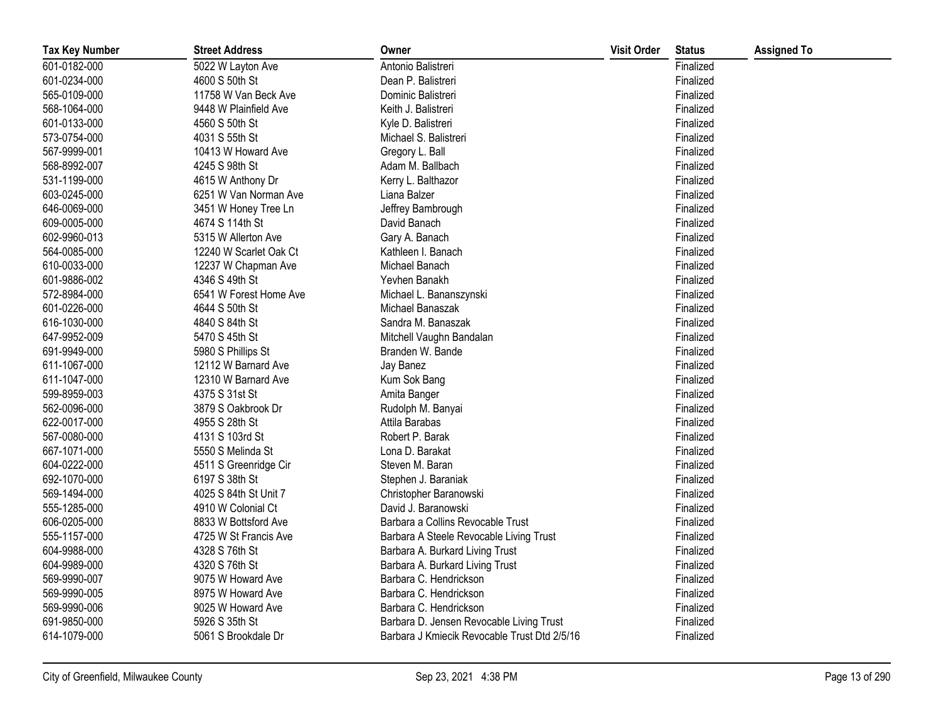| <b>Tax Key Number</b> | <b>Street Address</b>  | Owner                                        | <b>Visit Order</b> | <b>Status</b> | <b>Assigned To</b> |
|-----------------------|------------------------|----------------------------------------------|--------------------|---------------|--------------------|
| 601-0182-000          | 5022 W Layton Ave      | Antonio Balistreri                           |                    | Finalized     |                    |
| 601-0234-000          | 4600 S 50th St         | Dean P. Balistreri                           |                    | Finalized     |                    |
| 565-0109-000          | 11758 W Van Beck Ave   | Dominic Balistreri                           |                    | Finalized     |                    |
| 568-1064-000          | 9448 W Plainfield Ave  | Keith J. Balistreri                          |                    | Finalized     |                    |
| 601-0133-000          | 4560 S 50th St         | Kyle D. Balistreri                           |                    | Finalized     |                    |
| 573-0754-000          | 4031 S 55th St         | Michael S. Balistreri                        |                    | Finalized     |                    |
| 567-9999-001          | 10413 W Howard Ave     | Gregory L. Ball                              |                    | Finalized     |                    |
| 568-8992-007          | 4245 S 98th St         | Adam M. Ballbach                             |                    | Finalized     |                    |
| 531-1199-000          | 4615 W Anthony Dr      | Kerry L. Balthazor                           |                    | Finalized     |                    |
| 603-0245-000          | 6251 W Van Norman Ave  | Liana Balzer                                 |                    | Finalized     |                    |
| 646-0069-000          | 3451 W Honey Tree Ln   | Jeffrey Bambrough                            |                    | Finalized     |                    |
| 609-0005-000          | 4674 S 114th St        | David Banach                                 |                    | Finalized     |                    |
| 602-9960-013          | 5315 W Allerton Ave    | Gary A. Banach                               |                    | Finalized     |                    |
| 564-0085-000          | 12240 W Scarlet Oak Ct | Kathleen I. Banach                           |                    | Finalized     |                    |
| 610-0033-000          | 12237 W Chapman Ave    | Michael Banach                               |                    | Finalized     |                    |
| 601-9886-002          | 4346 S 49th St         | Yevhen Banakh                                |                    | Finalized     |                    |
| 572-8984-000          | 6541 W Forest Home Ave | Michael L. Bananszynski                      |                    | Finalized     |                    |
| 601-0226-000          | 4644 S 50th St         | Michael Banaszak                             |                    | Finalized     |                    |
| 616-1030-000          | 4840 S 84th St         | Sandra M. Banaszak                           |                    | Finalized     |                    |
| 647-9952-009          | 5470 S 45th St         | Mitchell Vaughn Bandalan                     |                    | Finalized     |                    |
| 691-9949-000          | 5980 S Phillips St     | Branden W. Bande                             |                    | Finalized     |                    |
| 611-1067-000          | 12112 W Barnard Ave    | Jay Banez                                    |                    | Finalized     |                    |
| 611-1047-000          | 12310 W Barnard Ave    | Kum Sok Bang                                 |                    | Finalized     |                    |
| 599-8959-003          | 4375 S 31st St         | Amita Banger                                 |                    | Finalized     |                    |
| 562-0096-000          | 3879 S Oakbrook Dr     | Rudolph M. Banyai                            |                    | Finalized     |                    |
| 622-0017-000          | 4955 S 28th St         | Attila Barabas                               |                    | Finalized     |                    |
| 567-0080-000          | 4131 S 103rd St        | Robert P. Barak                              |                    | Finalized     |                    |
| 667-1071-000          | 5550 S Melinda St      | Lona D. Barakat                              |                    | Finalized     |                    |
| 604-0222-000          | 4511 S Greenridge Cir  | Steven M. Baran                              |                    | Finalized     |                    |
| 692-1070-000          | 6197 S 38th St         | Stephen J. Baraniak                          |                    | Finalized     |                    |
| 569-1494-000          | 4025 S 84th St Unit 7  | Christopher Baranowski                       |                    | Finalized     |                    |
| 555-1285-000          | 4910 W Colonial Ct     | David J. Baranowski                          |                    | Finalized     |                    |
| 606-0205-000          | 8833 W Bottsford Ave   | Barbara a Collins Revocable Trust            |                    | Finalized     |                    |
| 555-1157-000          | 4725 W St Francis Ave  | Barbara A Steele Revocable Living Trust      |                    | Finalized     |                    |
| 604-9988-000          | 4328 S 76th St         | Barbara A. Burkard Living Trust              |                    | Finalized     |                    |
| 604-9989-000          | 4320 S 76th St         | Barbara A. Burkard Living Trust              |                    | Finalized     |                    |
| 569-9990-007          | 9075 W Howard Ave      | Barbara C. Hendrickson                       |                    | Finalized     |                    |
| 569-9990-005          | 8975 W Howard Ave      | Barbara C. Hendrickson                       |                    | Finalized     |                    |
| 569-9990-006          | 9025 W Howard Ave      | Barbara C. Hendrickson                       |                    | Finalized     |                    |
| 691-9850-000          | 5926 S 35th St         | Barbara D. Jensen Revocable Living Trust     |                    | Finalized     |                    |
| 614-1079-000          | 5061 S Brookdale Dr    | Barbara J Kmiecik Revocable Trust Dtd 2/5/16 |                    | Finalized     |                    |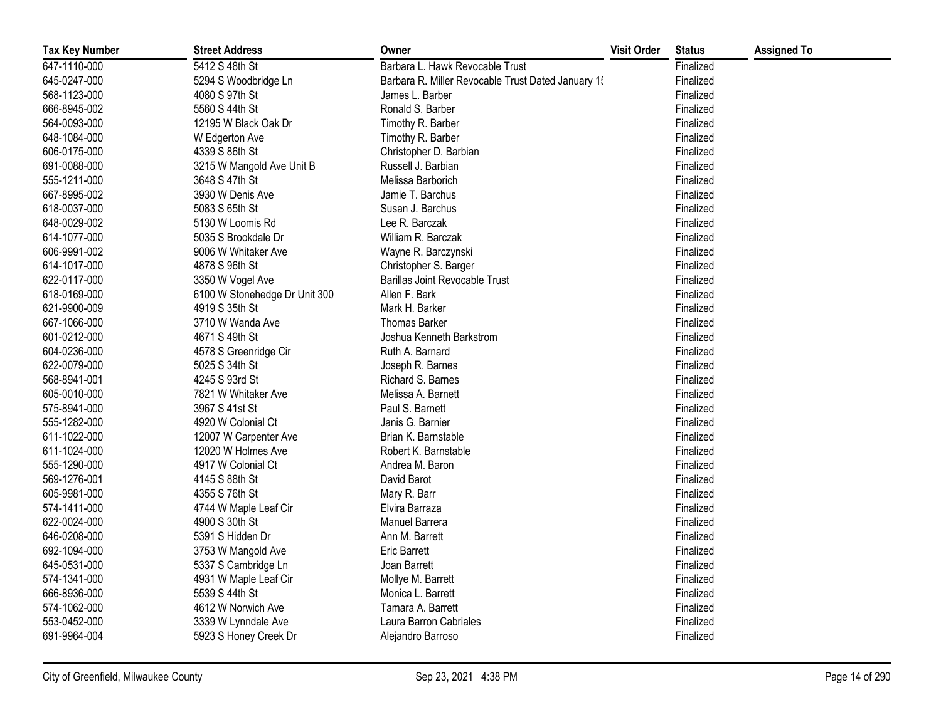| <b>Tax Key Number</b> | <b>Street Address</b>         | Owner                                              | <b>Visit Order</b> | <b>Status</b> | <b>Assigned To</b> |
|-----------------------|-------------------------------|----------------------------------------------------|--------------------|---------------|--------------------|
| 647-1110-000          | 5412 S 48th St                | Barbara L. Hawk Revocable Trust                    |                    | Finalized     |                    |
| 645-0247-000          | 5294 S Woodbridge Ln          | Barbara R. Miller Revocable Trust Dated January 15 |                    | Finalized     |                    |
| 568-1123-000          | 4080 S 97th St                | James L. Barber                                    |                    | Finalized     |                    |
| 666-8945-002          | 5560 S 44th St                | Ronald S. Barber                                   |                    | Finalized     |                    |
| 564-0093-000          | 12195 W Black Oak Dr          | Timothy R. Barber                                  |                    | Finalized     |                    |
| 648-1084-000          | W Edgerton Ave                | Timothy R. Barber                                  |                    | Finalized     |                    |
| 606-0175-000          | 4339 S 86th St                | Christopher D. Barbian                             |                    | Finalized     |                    |
| 691-0088-000          | 3215 W Mangold Ave Unit B     | Russell J. Barbian                                 |                    | Finalized     |                    |
| 555-1211-000          | 3648 S 47th St                | Melissa Barborich                                  |                    | Finalized     |                    |
| 667-8995-002          | 3930 W Denis Ave              | Jamie T. Barchus                                   |                    | Finalized     |                    |
| 618-0037-000          | 5083 S 65th St                | Susan J. Barchus                                   |                    | Finalized     |                    |
| 648-0029-002          | 5130 W Loomis Rd              | Lee R. Barczak                                     |                    | Finalized     |                    |
| 614-1077-000          | 5035 S Brookdale Dr           | William R. Barczak                                 |                    | Finalized     |                    |
| 606-9991-002          | 9006 W Whitaker Ave           | Wayne R. Barczynski                                |                    | Finalized     |                    |
| 614-1017-000          | 4878 S 96th St                | Christopher S. Barger                              |                    | Finalized     |                    |
| 622-0117-000          | 3350 W Vogel Ave              | <b>Barillas Joint Revocable Trust</b>              |                    | Finalized     |                    |
| 618-0169-000          | 6100 W Stonehedge Dr Unit 300 | Allen F. Bark                                      |                    | Finalized     |                    |
| 621-9900-009          | 4919 S 35th St                | Mark H. Barker                                     |                    | Finalized     |                    |
| 667-1066-000          | 3710 W Wanda Ave              | <b>Thomas Barker</b>                               |                    | Finalized     |                    |
| 601-0212-000          | 4671 S 49th St                | Joshua Kenneth Barkstrom                           |                    | Finalized     |                    |
| 604-0236-000          | 4578 S Greenridge Cir         | Ruth A. Barnard                                    |                    | Finalized     |                    |
| 622-0079-000          | 5025 S 34th St                | Joseph R. Barnes                                   |                    | Finalized     |                    |
| 568-8941-001          | 4245 S 93rd St                | Richard S. Barnes                                  |                    | Finalized     |                    |
| 605-0010-000          | 7821 W Whitaker Ave           | Melissa A. Barnett                                 |                    | Finalized     |                    |
| 575-8941-000          | 3967 S 41st St                | Paul S. Barnett                                    |                    | Finalized     |                    |
| 555-1282-000          | 4920 W Colonial Ct            | Janis G. Barnier                                   |                    | Finalized     |                    |
| 611-1022-000          | 12007 W Carpenter Ave         | Brian K. Barnstable                                |                    | Finalized     |                    |
| 611-1024-000          | 12020 W Holmes Ave            | Robert K. Barnstable                               |                    | Finalized     |                    |
| 555-1290-000          | 4917 W Colonial Ct            | Andrea M. Baron                                    |                    | Finalized     |                    |
| 569-1276-001          | 4145 S 88th St                | David Barot                                        |                    | Finalized     |                    |
| 605-9981-000          | 4355 S 76th St                | Mary R. Barr                                       |                    | Finalized     |                    |
| 574-1411-000          | 4744 W Maple Leaf Cir         | Elvira Barraza                                     |                    | Finalized     |                    |
| 622-0024-000          | 4900 S 30th St                | Manuel Barrera                                     |                    | Finalized     |                    |
| 646-0208-000          | 5391 S Hidden Dr              | Ann M. Barrett                                     |                    | Finalized     |                    |
| 692-1094-000          | 3753 W Mangold Ave            | <b>Eric Barrett</b>                                |                    | Finalized     |                    |
| 645-0531-000          | 5337 S Cambridge Ln           | Joan Barrett                                       |                    | Finalized     |                    |
| 574-1341-000          | 4931 W Maple Leaf Cir         | Mollye M. Barrett                                  |                    | Finalized     |                    |
| 666-8936-000          | 5539 S 44th St                | Monica L. Barrett                                  |                    | Finalized     |                    |
| 574-1062-000          | 4612 W Norwich Ave            | Tamara A. Barrett                                  |                    | Finalized     |                    |
| 553-0452-000          | 3339 W Lynndale Ave           | Laura Barron Cabriales                             |                    | Finalized     |                    |
| 691-9964-004          | 5923 S Honey Creek Dr         | Alejandro Barroso                                  |                    | Finalized     |                    |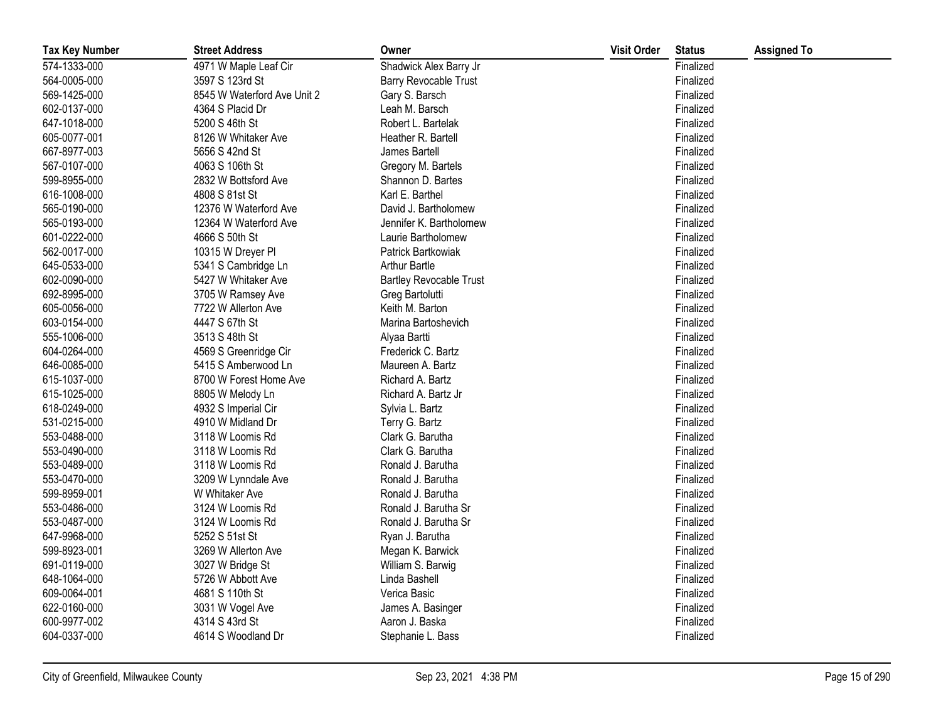| <b>Tax Key Number</b> | <b>Street Address</b>       | Owner                          | <b>Visit Order</b> | <b>Status</b> | <b>Assigned To</b> |
|-----------------------|-----------------------------|--------------------------------|--------------------|---------------|--------------------|
| 574-1333-000          | 4971 W Maple Leaf Cir       | Shadwick Alex Barry Jr         |                    | Finalized     |                    |
| 564-0005-000          | 3597 S 123rd St             | Barry Revocable Trust          |                    | Finalized     |                    |
| 569-1425-000          | 8545 W Waterford Ave Unit 2 | Gary S. Barsch                 |                    | Finalized     |                    |
| 602-0137-000          | 4364 S Placid Dr            | Leah M. Barsch                 |                    | Finalized     |                    |
| 647-1018-000          | 5200 S 46th St              | Robert L. Bartelak             |                    | Finalized     |                    |
| 605-0077-001          | 8126 W Whitaker Ave         | Heather R. Bartell             |                    | Finalized     |                    |
| 667-8977-003          | 5656 S 42nd St              | James Bartell                  |                    | Finalized     |                    |
| 567-0107-000          | 4063 S 106th St             | Gregory M. Bartels             |                    | Finalized     |                    |
| 599-8955-000          | 2832 W Bottsford Ave        | Shannon D. Bartes              |                    | Finalized     |                    |
| 616-1008-000          | 4808 S 81st St              | Karl E. Barthel                |                    | Finalized     |                    |
| 565-0190-000          | 12376 W Waterford Ave       | David J. Bartholomew           |                    | Finalized     |                    |
| 565-0193-000          | 12364 W Waterford Ave       | Jennifer K. Bartholomew        |                    | Finalized     |                    |
| 601-0222-000          | 4666 S 50th St              | Laurie Bartholomew             |                    | Finalized     |                    |
| 562-0017-000          | 10315 W Dreyer Pl           | Patrick Bartkowiak             |                    | Finalized     |                    |
| 645-0533-000          | 5341 S Cambridge Ln         | <b>Arthur Bartle</b>           |                    | Finalized     |                    |
| 602-0090-000          | 5427 W Whitaker Ave         | <b>Bartley Revocable Trust</b> |                    | Finalized     |                    |
| 692-8995-000          | 3705 W Ramsey Ave           | Greg Bartolutti                |                    | Finalized     |                    |
| 605-0056-000          | 7722 W Allerton Ave         | Keith M. Barton                |                    | Finalized     |                    |
| 603-0154-000          | 4447 S 67th St              | Marina Bartoshevich            |                    | Finalized     |                    |
| 555-1006-000          | 3513 S 48th St              | Alyaa Bartti                   |                    | Finalized     |                    |
| 604-0264-000          | 4569 S Greenridge Cir       | Frederick C. Bartz             |                    | Finalized     |                    |
| 646-0085-000          | 5415 S Amberwood Ln         | Maureen A. Bartz               |                    | Finalized     |                    |
| 615-1037-000          | 8700 W Forest Home Ave      | Richard A. Bartz               |                    | Finalized     |                    |
| 615-1025-000          | 8805 W Melody Ln            | Richard A. Bartz Jr            |                    | Finalized     |                    |
| 618-0249-000          | 4932 S Imperial Cir         | Sylvia L. Bartz                |                    | Finalized     |                    |
| 531-0215-000          | 4910 W Midland Dr           | Terry G. Bartz                 |                    | Finalized     |                    |
| 553-0488-000          | 3118 W Loomis Rd            | Clark G. Barutha               |                    | Finalized     |                    |
| 553-0490-000          | 3118 W Loomis Rd            | Clark G. Barutha               |                    | Finalized     |                    |
| 553-0489-000          | 3118 W Loomis Rd            | Ronald J. Barutha              |                    | Finalized     |                    |
| 553-0470-000          | 3209 W Lynndale Ave         | Ronald J. Barutha              |                    | Finalized     |                    |
| 599-8959-001          | W Whitaker Ave              | Ronald J. Barutha              |                    | Finalized     |                    |
| 553-0486-000          | 3124 W Loomis Rd            | Ronald J. Barutha Sr           |                    | Finalized     |                    |
| 553-0487-000          | 3124 W Loomis Rd            | Ronald J. Barutha Sr           |                    | Finalized     |                    |
| 647-9968-000          | 5252 S 51st St              | Ryan J. Barutha                |                    | Finalized     |                    |
| 599-8923-001          | 3269 W Allerton Ave         | Megan K. Barwick               |                    | Finalized     |                    |
| 691-0119-000          | 3027 W Bridge St            | William S. Barwig              |                    | Finalized     |                    |
| 648-1064-000          | 5726 W Abbott Ave           | Linda Bashell                  |                    | Finalized     |                    |
| 609-0064-001          | 4681 S 110th St             | Verica Basic                   |                    | Finalized     |                    |
| 622-0160-000          | 3031 W Vogel Ave            | James A. Basinger              |                    | Finalized     |                    |
| 600-9977-002          | 4314 S 43rd St              | Aaron J. Baska                 |                    | Finalized     |                    |
| 604-0337-000          | 4614 S Woodland Dr          | Stephanie L. Bass              |                    | Finalized     |                    |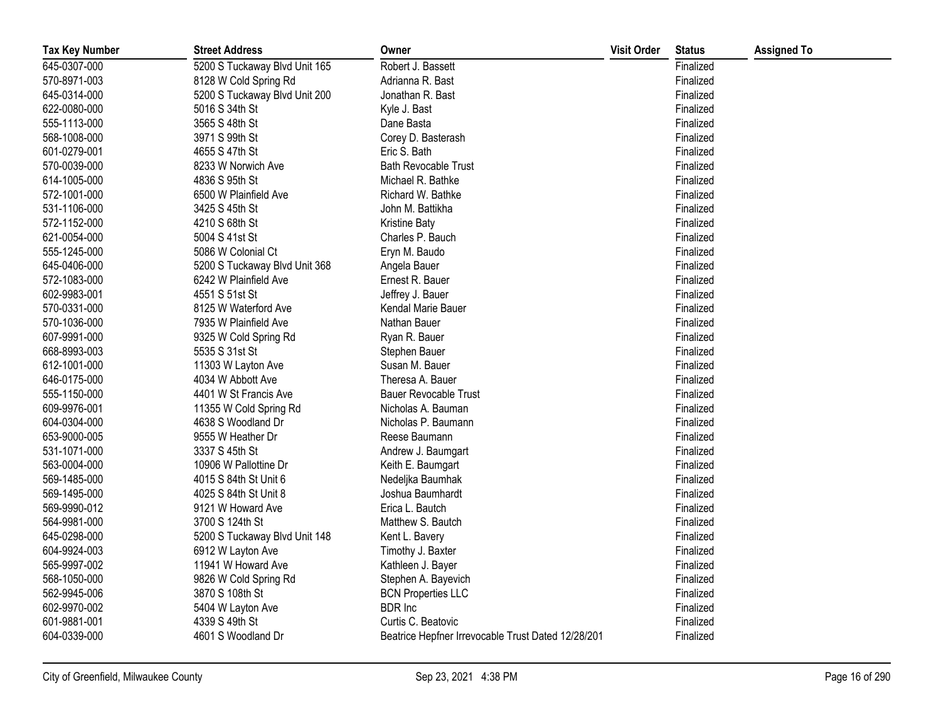| <b>Tax Key Number</b> | <b>Street Address</b>         | Owner                                              | <b>Visit Order</b> | <b>Status</b> | <b>Assigned To</b> |
|-----------------------|-------------------------------|----------------------------------------------------|--------------------|---------------|--------------------|
| 645-0307-000          | 5200 S Tuckaway Blvd Unit 165 | Robert J. Bassett                                  |                    | Finalized     |                    |
| 570-8971-003          | 8128 W Cold Spring Rd         | Adrianna R. Bast                                   |                    | Finalized     |                    |
| 645-0314-000          | 5200 S Tuckaway Blvd Unit 200 | Jonathan R. Bast                                   |                    | Finalized     |                    |
| 622-0080-000          | 5016 S 34th St                | Kyle J. Bast                                       |                    | Finalized     |                    |
| 555-1113-000          | 3565 S 48th St                | Dane Basta                                         |                    | Finalized     |                    |
| 568-1008-000          | 3971 S 99th St                | Corey D. Basterash                                 |                    | Finalized     |                    |
| 601-0279-001          | 4655 S 47th St                | Eric S. Bath                                       |                    | Finalized     |                    |
| 570-0039-000          | 8233 W Norwich Ave            | <b>Bath Revocable Trust</b>                        |                    | Finalized     |                    |
| 614-1005-000          | 4836 S 95th St                | Michael R. Bathke                                  |                    | Finalized     |                    |
| 572-1001-000          | 6500 W Plainfield Ave         | Richard W. Bathke                                  |                    | Finalized     |                    |
| 531-1106-000          | 3425 S 45th St                | John M. Battikha                                   |                    | Finalized     |                    |
| 572-1152-000          | 4210 S 68th St                | <b>Kristine Baty</b>                               |                    | Finalized     |                    |
| 621-0054-000          | 5004 S 41st St                | Charles P. Bauch                                   |                    | Finalized     |                    |
| 555-1245-000          | 5086 W Colonial Ct            | Eryn M. Baudo                                      |                    | Finalized     |                    |
| 645-0406-000          | 5200 S Tuckaway Blvd Unit 368 | Angela Bauer                                       |                    | Finalized     |                    |
| 572-1083-000          | 6242 W Plainfield Ave         | Ernest R. Bauer                                    |                    | Finalized     |                    |
| 602-9983-001          | 4551 S 51st St                | Jeffrey J. Bauer                                   |                    | Finalized     |                    |
| 570-0331-000          | 8125 W Waterford Ave          | Kendal Marie Bauer                                 |                    | Finalized     |                    |
| 570-1036-000          | 7935 W Plainfield Ave         | Nathan Bauer                                       |                    | Finalized     |                    |
| 607-9991-000          | 9325 W Cold Spring Rd         | Ryan R. Bauer                                      |                    | Finalized     |                    |
| 668-8993-003          | 5535 S 31st St                | Stephen Bauer                                      |                    | Finalized     |                    |
| 612-1001-000          | 11303 W Layton Ave            | Susan M. Bauer                                     |                    | Finalized     |                    |
| 646-0175-000          | 4034 W Abbott Ave             | Theresa A. Bauer                                   |                    | Finalized     |                    |
| 555-1150-000          | 4401 W St Francis Ave         | <b>Bauer Revocable Trust</b>                       |                    | Finalized     |                    |
| 609-9976-001          | 11355 W Cold Spring Rd        | Nicholas A. Bauman                                 |                    | Finalized     |                    |
| 604-0304-000          | 4638 S Woodland Dr            | Nicholas P. Baumann                                |                    | Finalized     |                    |
| 653-9000-005          | 9555 W Heather Dr             | Reese Baumann                                      |                    | Finalized     |                    |
| 531-1071-000          | 3337 S 45th St                | Andrew J. Baumgart                                 |                    | Finalized     |                    |
| 563-0004-000          | 10906 W Pallottine Dr         | Keith E. Baumgart                                  |                    | Finalized     |                    |
| 569-1485-000          | 4015 S 84th St Unit 6         | Nedeljka Baumhak                                   |                    | Finalized     |                    |
| 569-1495-000          | 4025 S 84th St Unit 8         | Joshua Baumhardt                                   |                    | Finalized     |                    |
| 569-9990-012          | 9121 W Howard Ave             | Erica L. Bautch                                    |                    | Finalized     |                    |
| 564-9981-000          | 3700 S 124th St               | Matthew S. Bautch                                  |                    | Finalized     |                    |
| 645-0298-000          | 5200 S Tuckaway Blvd Unit 148 | Kent L. Bavery                                     |                    | Finalized     |                    |
| 604-9924-003          | 6912 W Layton Ave             | Timothy J. Baxter                                  |                    | Finalized     |                    |
| 565-9997-002          | 11941 W Howard Ave            | Kathleen J. Bayer                                  |                    | Finalized     |                    |
| 568-1050-000          | 9826 W Cold Spring Rd         | Stephen A. Bayevich                                |                    | Finalized     |                    |
| 562-9945-006          | 3870 S 108th St               | <b>BCN Properties LLC</b>                          |                    | Finalized     |                    |
| 602-9970-002          | 5404 W Layton Ave             | <b>BDR</b> Inc                                     |                    | Finalized     |                    |
| 601-9881-001          | 4339 S 49th St                | Curtis C. Beatovic                                 |                    | Finalized     |                    |
| 604-0339-000          | 4601 S Woodland Dr            | Beatrice Hepfner Irrevocable Trust Dated 12/28/201 |                    | Finalized     |                    |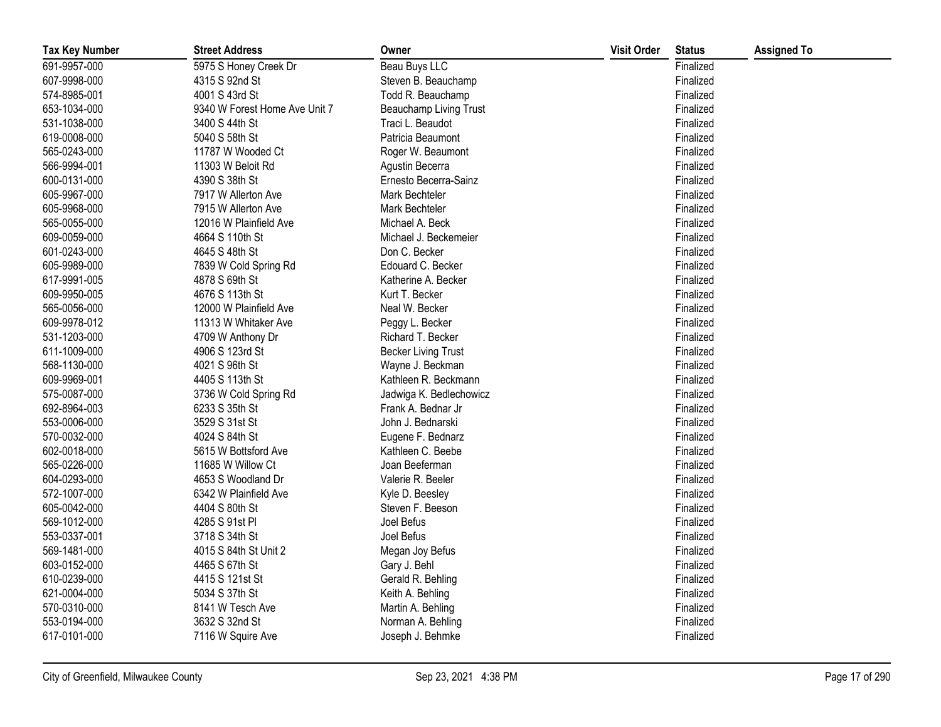| <b>Tax Key Number</b> | <b>Street Address</b>         | Owner                      | <b>Visit Order</b> | <b>Status</b> | <b>Assigned To</b> |
|-----------------------|-------------------------------|----------------------------|--------------------|---------------|--------------------|
| 691-9957-000          | 5975 S Honey Creek Dr         | Beau Buys LLC              |                    | Finalized     |                    |
| 607-9998-000          | 4315 S 92nd St                | Steven B. Beauchamp        |                    | Finalized     |                    |
| 574-8985-001          | 4001 S 43rd St                | Todd R. Beauchamp          |                    | Finalized     |                    |
| 653-1034-000          | 9340 W Forest Home Ave Unit 7 | Beauchamp Living Trust     |                    | Finalized     |                    |
| 531-1038-000          | 3400 S 44th St                | Traci L. Beaudot           |                    | Finalized     |                    |
| 619-0008-000          | 5040 S 58th St                | Patricia Beaumont          |                    | Finalized     |                    |
| 565-0243-000          | 11787 W Wooded Ct             | Roger W. Beaumont          |                    | Finalized     |                    |
| 566-9994-001          | 11303 W Beloit Rd             | Agustin Becerra            |                    | Finalized     |                    |
| 600-0131-000          | 4390 S 38th St                | Ernesto Becerra-Sainz      |                    | Finalized     |                    |
| 605-9967-000          | 7917 W Allerton Ave           | Mark Bechteler             |                    | Finalized     |                    |
| 605-9968-000          | 7915 W Allerton Ave           | Mark Bechteler             |                    | Finalized     |                    |
| 565-0055-000          | 12016 W Plainfield Ave        | Michael A. Beck            |                    | Finalized     |                    |
| 609-0059-000          | 4664 S 110th St               | Michael J. Beckemeier      |                    | Finalized     |                    |
| 601-0243-000          | 4645 S 48th St                | Don C. Becker              |                    | Finalized     |                    |
| 605-9989-000          | 7839 W Cold Spring Rd         | Edouard C. Becker          |                    | Finalized     |                    |
| 617-9991-005          | 4878 S 69th St                | Katherine A. Becker        |                    | Finalized     |                    |
| 609-9950-005          | 4676 S 113th St               | Kurt T. Becker             |                    | Finalized     |                    |
| 565-0056-000          | 12000 W Plainfield Ave        | Neal W. Becker             |                    | Finalized     |                    |
| 609-9978-012          | 11313 W Whitaker Ave          | Peggy L. Becker            |                    | Finalized     |                    |
| 531-1203-000          | 4709 W Anthony Dr             | Richard T. Becker          |                    | Finalized     |                    |
| 611-1009-000          | 4906 S 123rd St               | <b>Becker Living Trust</b> |                    | Finalized     |                    |
| 568-1130-000          | 4021 S 96th St                | Wayne J. Beckman           |                    | Finalized     |                    |
| 609-9969-001          | 4405 S 113th St               | Kathleen R. Beckmann       |                    | Finalized     |                    |
| 575-0087-000          | 3736 W Cold Spring Rd         | Jadwiga K. Bedlechowicz    |                    | Finalized     |                    |
| 692-8964-003          | 6233 S 35th St                | Frank A. Bednar Jr         |                    | Finalized     |                    |
| 553-0006-000          | 3529 S 31st St                | John J. Bednarski          |                    | Finalized     |                    |
| 570-0032-000          | 4024 S 84th St                | Eugene F. Bednarz          |                    | Finalized     |                    |
| 602-0018-000          | 5615 W Bottsford Ave          | Kathleen C. Beebe          |                    | Finalized     |                    |
| 565-0226-000          | 11685 W Willow Ct             | Joan Beeferman             |                    | Finalized     |                    |
| 604-0293-000          | 4653 S Woodland Dr            | Valerie R. Beeler          |                    | Finalized     |                    |
| 572-1007-000          | 6342 W Plainfield Ave         | Kyle D. Beesley            |                    | Finalized     |                    |
| 605-0042-000          | 4404 S 80th St                | Steven F. Beeson           |                    | Finalized     |                    |
| 569-1012-000          | 4285 S 91st PI                | Joel Befus                 |                    | Finalized     |                    |
| 553-0337-001          | 3718 S 34th St                | Joel Befus                 |                    | Finalized     |                    |
| 569-1481-000          | 4015 S 84th St Unit 2         | Megan Joy Befus            |                    | Finalized     |                    |
| 603-0152-000          | 4465 S 67th St                | Gary J. Behl               |                    | Finalized     |                    |
| 610-0239-000          | 4415 S 121st St               | Gerald R. Behling          |                    | Finalized     |                    |
| 621-0004-000          | 5034 S 37th St                | Keith A. Behling           |                    | Finalized     |                    |
| 570-0310-000          | 8141 W Tesch Ave              | Martin A. Behling          |                    | Finalized     |                    |
| 553-0194-000          | 3632 S 32nd St                | Norman A. Behling          |                    | Finalized     |                    |
| 617-0101-000          | 7116 W Squire Ave             | Joseph J. Behmke           |                    | Finalized     |                    |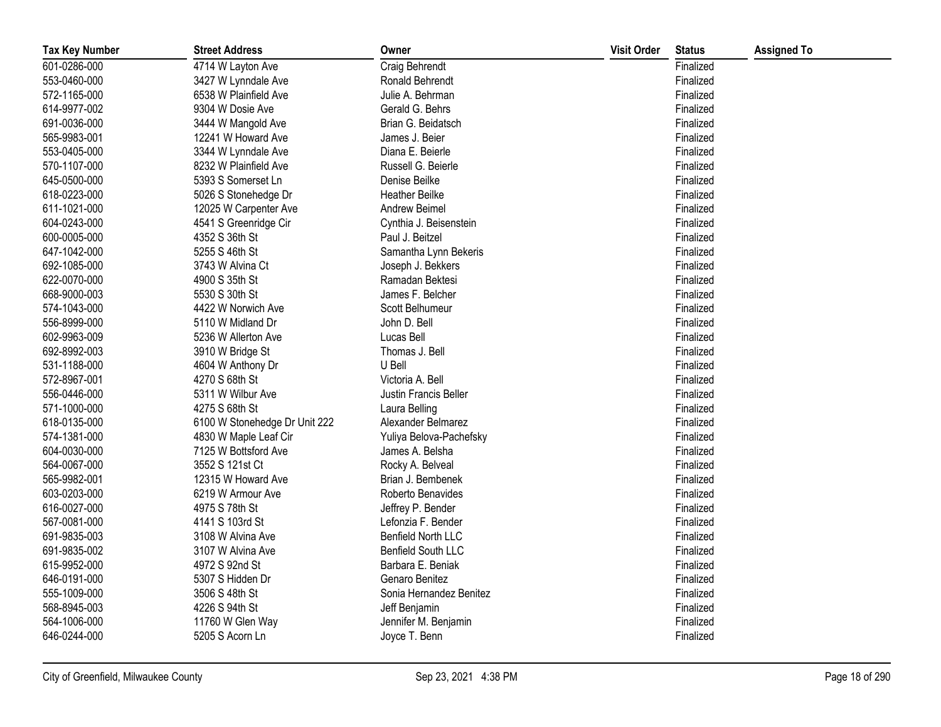| <b>Tax Key Number</b> | <b>Street Address</b>         | Owner                     | <b>Visit Order</b> | <b>Status</b> | <b>Assigned To</b> |
|-----------------------|-------------------------------|---------------------------|--------------------|---------------|--------------------|
| 601-0286-000          | 4714 W Layton Ave             | Craig Behrendt            |                    | Finalized     |                    |
| 553-0460-000          | 3427 W Lynndale Ave           | Ronald Behrendt           |                    | Finalized     |                    |
| 572-1165-000          | 6538 W Plainfield Ave         | Julie A. Behrman          |                    | Finalized     |                    |
| 614-9977-002          | 9304 W Dosie Ave              | Gerald G. Behrs           |                    | Finalized     |                    |
| 691-0036-000          | 3444 W Mangold Ave            | Brian G. Beidatsch        |                    | Finalized     |                    |
| 565-9983-001          | 12241 W Howard Ave            | James J. Beier            |                    | Finalized     |                    |
| 553-0405-000          | 3344 W Lynndale Ave           | Diana E. Beierle          |                    | Finalized     |                    |
| 570-1107-000          | 8232 W Plainfield Ave         | Russell G. Beierle        |                    | Finalized     |                    |
| 645-0500-000          | 5393 S Somerset Ln            | Denise Beilke             |                    | Finalized     |                    |
| 618-0223-000          | 5026 S Stonehedge Dr          | <b>Heather Beilke</b>     |                    | Finalized     |                    |
| 611-1021-000          | 12025 W Carpenter Ave         | Andrew Beimel             |                    | Finalized     |                    |
| 604-0243-000          | 4541 S Greenridge Cir         | Cynthia J. Beisenstein    |                    | Finalized     |                    |
| 600-0005-000          | 4352 S 36th St                | Paul J. Beitzel           |                    | Finalized     |                    |
| 647-1042-000          | 5255 S 46th St                | Samantha Lynn Bekeris     |                    | Finalized     |                    |
| 692-1085-000          | 3743 W Alvina Ct              | Joseph J. Bekkers         |                    | Finalized     |                    |
| 622-0070-000          | 4900 S 35th St                | Ramadan Bektesi           |                    | Finalized     |                    |
| 668-9000-003          | 5530 S 30th St                | James F. Belcher          |                    | Finalized     |                    |
| 574-1043-000          | 4422 W Norwich Ave            | Scott Belhumeur           |                    | Finalized     |                    |
| 556-8999-000          | 5110 W Midland Dr             | John D. Bell              |                    | Finalized     |                    |
| 602-9963-009          | 5236 W Allerton Ave           | Lucas Bell                |                    | Finalized     |                    |
| 692-8992-003          | 3910 W Bridge St              | Thomas J. Bell            |                    | Finalized     |                    |
| 531-1188-000          | 4604 W Anthony Dr             | U Bell                    |                    | Finalized     |                    |
| 572-8967-001          | 4270 S 68th St                | Victoria A. Bell          |                    | Finalized     |                    |
| 556-0446-000          | 5311 W Wilbur Ave             | Justin Francis Beller     |                    | Finalized     |                    |
| 571-1000-000          | 4275 S 68th St                | Laura Belling             |                    | Finalized     |                    |
| 618-0135-000          | 6100 W Stonehedge Dr Unit 222 | Alexander Belmarez        |                    | Finalized     |                    |
| 574-1381-000          | 4830 W Maple Leaf Cir         | Yuliya Belova-Pachefsky   |                    | Finalized     |                    |
| 604-0030-000          | 7125 W Bottsford Ave          | James A. Belsha           |                    | Finalized     |                    |
| 564-0067-000          | 3552 S 121st Ct               | Rocky A. Belveal          |                    | Finalized     |                    |
| 565-9982-001          | 12315 W Howard Ave            | Brian J. Bembenek         |                    | Finalized     |                    |
| 603-0203-000          | 6219 W Armour Ave             | Roberto Benavides         |                    | Finalized     |                    |
| 616-0027-000          | 4975 S 78th St                | Jeffrey P. Bender         |                    | Finalized     |                    |
| 567-0081-000          | 4141 S 103rd St               | Lefonzia F. Bender        |                    | Finalized     |                    |
| 691-9835-003          | 3108 W Alvina Ave             | <b>Benfield North LLC</b> |                    | Finalized     |                    |
| 691-9835-002          | 3107 W Alvina Ave             | <b>Benfield South LLC</b> |                    | Finalized     |                    |
| 615-9952-000          | 4972 S 92nd St                | Barbara E. Beniak         |                    | Finalized     |                    |
| 646-0191-000          | 5307 S Hidden Dr              | Genaro Benitez            |                    | Finalized     |                    |
| 555-1009-000          | 3506 S 48th St                | Sonia Hernandez Benitez   |                    | Finalized     |                    |
| 568-8945-003          | 4226 S 94th St                | Jeff Benjamin             |                    | Finalized     |                    |
| 564-1006-000          | 11760 W Glen Way              | Jennifer M. Benjamin      |                    | Finalized     |                    |
| 646-0244-000          | 5205 S Acorn Ln               | Joyce T. Benn             |                    | Finalized     |                    |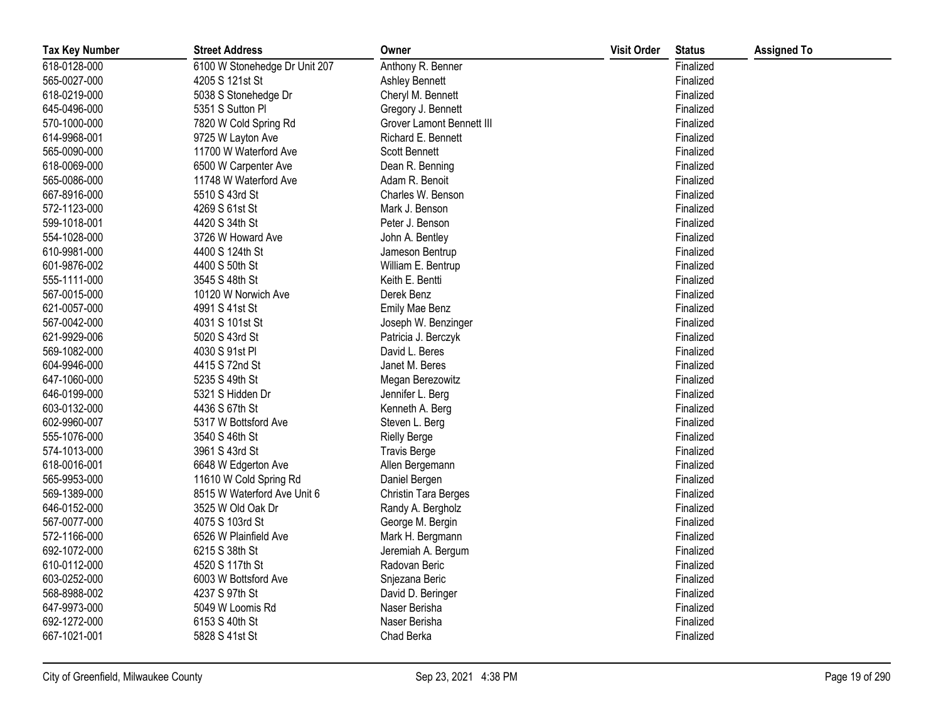| <b>Tax Key Number</b> | <b>Street Address</b>         | Owner                     | <b>Visit Order</b> | <b>Status</b> | <b>Assigned To</b> |
|-----------------------|-------------------------------|---------------------------|--------------------|---------------|--------------------|
| 618-0128-000          | 6100 W Stonehedge Dr Unit 207 | Anthony R. Benner         |                    | Finalized     |                    |
| 565-0027-000          | 4205 S 121st St               | Ashley Bennett            |                    | Finalized     |                    |
| 618-0219-000          | 5038 S Stonehedge Dr          | Cheryl M. Bennett         |                    | Finalized     |                    |
| 645-0496-000          | 5351 S Sutton PI              | Gregory J. Bennett        |                    | Finalized     |                    |
| 570-1000-000          | 7820 W Cold Spring Rd         | Grover Lamont Bennett III |                    | Finalized     |                    |
| 614-9968-001          | 9725 W Layton Ave             | Richard E. Bennett        |                    | Finalized     |                    |
| 565-0090-000          | 11700 W Waterford Ave         | <b>Scott Bennett</b>      |                    | Finalized     |                    |
| 618-0069-000          | 6500 W Carpenter Ave          | Dean R. Benning           |                    | Finalized     |                    |
| 565-0086-000          | 11748 W Waterford Ave         | Adam R. Benoit            |                    | Finalized     |                    |
| 667-8916-000          | 5510 S 43rd St                | Charles W. Benson         |                    | Finalized     |                    |
| 572-1123-000          | 4269 S 61st St                | Mark J. Benson            |                    | Finalized     |                    |
| 599-1018-001          | 4420 S 34th St                | Peter J. Benson           |                    | Finalized     |                    |
| 554-1028-000          | 3726 W Howard Ave             | John A. Bentley           |                    | Finalized     |                    |
| 610-9981-000          | 4400 S 124th St               | Jameson Bentrup           |                    | Finalized     |                    |
| 601-9876-002          | 4400 S 50th St                | William E. Bentrup        |                    | Finalized     |                    |
| 555-1111-000          | 3545 S 48th St                | Keith E. Bentti           |                    | Finalized     |                    |
| 567-0015-000          | 10120 W Norwich Ave           | Derek Benz                |                    | Finalized     |                    |
| 621-0057-000          | 4991 S 41st St                | Emily Mae Benz            |                    | Finalized     |                    |
| 567-0042-000          | 4031 S 101st St               | Joseph W. Benzinger       |                    | Finalized     |                    |
| 621-9929-006          | 5020 S 43rd St                | Patricia J. Berczyk       |                    | Finalized     |                    |
| 569-1082-000          | 4030 S 91st PI                | David L. Beres            |                    | Finalized     |                    |
| 604-9946-000          | 4415 S 72nd St                | Janet M. Beres            |                    | Finalized     |                    |
| 647-1060-000          | 5235 S 49th St                | Megan Berezowitz          |                    | Finalized     |                    |
| 646-0199-000          | 5321 S Hidden Dr              | Jennifer L. Berg          |                    | Finalized     |                    |
| 603-0132-000          | 4436 S 67th St                | Kenneth A. Berg           |                    | Finalized     |                    |
| 602-9960-007          | 5317 W Bottsford Ave          | Steven L. Berg            |                    | Finalized     |                    |
| 555-1076-000          | 3540 S 46th St                | <b>Rielly Berge</b>       |                    | Finalized     |                    |
| 574-1013-000          | 3961 S 43rd St                | <b>Travis Berge</b>       |                    | Finalized     |                    |
| 618-0016-001          | 6648 W Edgerton Ave           | Allen Bergemann           |                    | Finalized     |                    |
| 565-9953-000          | 11610 W Cold Spring Rd        | Daniel Bergen             |                    | Finalized     |                    |
| 569-1389-000          | 8515 W Waterford Ave Unit 6   | Christin Tara Berges      |                    | Finalized     |                    |
| 646-0152-000          | 3525 W Old Oak Dr             | Randy A. Bergholz         |                    | Finalized     |                    |
| 567-0077-000          | 4075 S 103rd St               | George M. Bergin          |                    | Finalized     |                    |
| 572-1166-000          | 6526 W Plainfield Ave         | Mark H. Bergmann          |                    | Finalized     |                    |
| 692-1072-000          | 6215 S 38th St                | Jeremiah A. Bergum        |                    | Finalized     |                    |
| 610-0112-000          | 4520 S 117th St               | Radovan Beric             |                    | Finalized     |                    |
| 603-0252-000          | 6003 W Bottsford Ave          | Snjezana Beric            |                    | Finalized     |                    |
| 568-8988-002          | 4237 S 97th St                | David D. Beringer         |                    | Finalized     |                    |
| 647-9973-000          | 5049 W Loomis Rd              | Naser Berisha             |                    | Finalized     |                    |
| 692-1272-000          | 6153 S 40th St                | Naser Berisha             |                    | Finalized     |                    |
| 667-1021-001          | 5828 S 41st St                | Chad Berka                |                    | Finalized     |                    |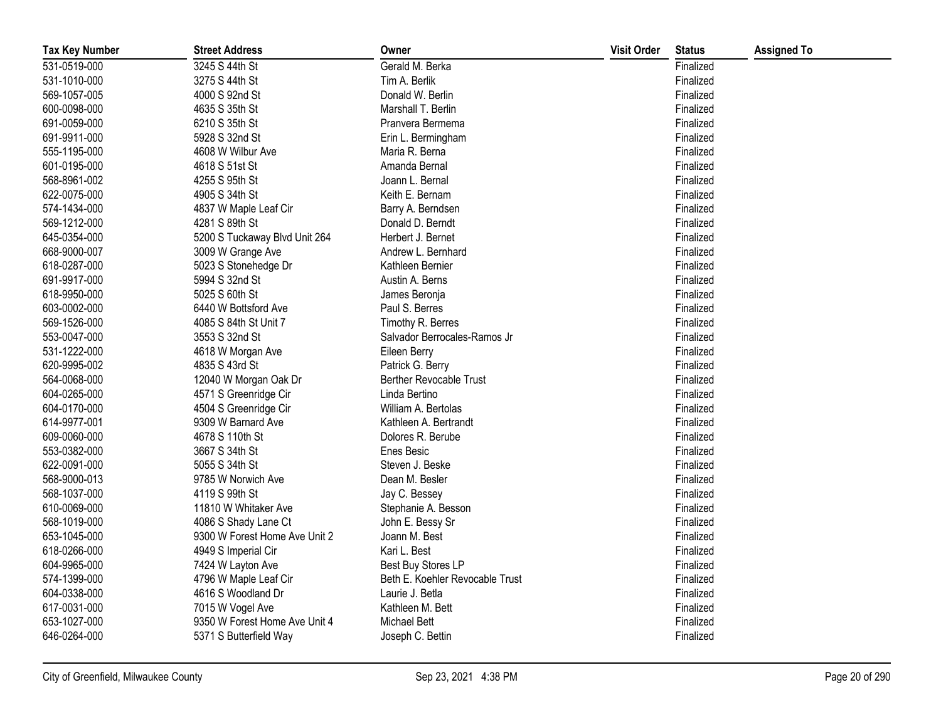| <b>Tax Key Number</b> | <b>Street Address</b>         | Owner                           | <b>Visit Order</b> | <b>Status</b> | <b>Assigned To</b> |
|-----------------------|-------------------------------|---------------------------------|--------------------|---------------|--------------------|
| 531-0519-000          | 3245 S 44th St                | Gerald M. Berka                 |                    | Finalized     |                    |
| 531-1010-000          | 3275 S 44th St                | Tim A. Berlik                   |                    | Finalized     |                    |
| 569-1057-005          | 4000 S 92nd St                | Donald W. Berlin                |                    | Finalized     |                    |
| 600-0098-000          | 4635 S 35th St                | Marshall T. Berlin              |                    | Finalized     |                    |
| 691-0059-000          | 6210 S 35th St                | Pranvera Bermema                |                    | Finalized     |                    |
| 691-9911-000          | 5928 S 32nd St                | Erin L. Bermingham              |                    | Finalized     |                    |
| 555-1195-000          | 4608 W Wilbur Ave             | Maria R. Berna                  |                    | Finalized     |                    |
| 601-0195-000          | 4618 S 51st St                | Amanda Bernal                   |                    | Finalized     |                    |
| 568-8961-002          | 4255 S 95th St                | Joann L. Bernal                 |                    | Finalized     |                    |
| 622-0075-000          | 4905 S 34th St                | Keith E. Bernam                 |                    | Finalized     |                    |
| 574-1434-000          | 4837 W Maple Leaf Cir         | Barry A. Berndsen               |                    | Finalized     |                    |
| 569-1212-000          | 4281 S 89th St                | Donald D. Berndt                |                    | Finalized     |                    |
| 645-0354-000          | 5200 S Tuckaway Blvd Unit 264 | Herbert J. Bernet               |                    | Finalized     |                    |
| 668-9000-007          | 3009 W Grange Ave             | Andrew L. Bernhard              |                    | Finalized     |                    |
| 618-0287-000          | 5023 S Stonehedge Dr          | Kathleen Bernier                |                    | Finalized     |                    |
| 691-9917-000          | 5994 S 32nd St                | Austin A. Berns                 |                    | Finalized     |                    |
| 618-9950-000          | 5025 S 60th St                | James Beronja                   |                    | Finalized     |                    |
| 603-0002-000          | 6440 W Bottsford Ave          | Paul S. Berres                  |                    | Finalized     |                    |
| 569-1526-000          | 4085 S 84th St Unit 7         | Timothy R. Berres               |                    | Finalized     |                    |
| 553-0047-000          | 3553 S 32nd St                | Salvador Berrocales-Ramos Jr    |                    | Finalized     |                    |
| 531-1222-000          | 4618 W Morgan Ave             | Eileen Berry                    |                    | Finalized     |                    |
| 620-9995-002          | 4835 S 43rd St                | Patrick G. Berry                |                    | Finalized     |                    |
| 564-0068-000          | 12040 W Morgan Oak Dr         | <b>Berther Revocable Trust</b>  |                    | Finalized     |                    |
| 604-0265-000          | 4571 S Greenridge Cir         | Linda Bertino                   |                    | Finalized     |                    |
| 604-0170-000          | 4504 S Greenridge Cir         | William A. Bertolas             |                    | Finalized     |                    |
| 614-9977-001          | 9309 W Barnard Ave            | Kathleen A. Bertrandt           |                    | Finalized     |                    |
| 609-0060-000          | 4678 S 110th St               | Dolores R. Berube               |                    | Finalized     |                    |
| 553-0382-000          | 3667 S 34th St                | Enes Besic                      |                    | Finalized     |                    |
| 622-0091-000          | 5055 S 34th St                | Steven J. Beske                 |                    | Finalized     |                    |
| 568-9000-013          | 9785 W Norwich Ave            | Dean M. Besler                  |                    | Finalized     |                    |
| 568-1037-000          | 4119 S 99th St                | Jay C. Bessey                   |                    | Finalized     |                    |
| 610-0069-000          | 11810 W Whitaker Ave          | Stephanie A. Besson             |                    | Finalized     |                    |
| 568-1019-000          | 4086 S Shady Lane Ct          | John E. Bessy Sr                |                    | Finalized     |                    |
| 653-1045-000          | 9300 W Forest Home Ave Unit 2 | Joann M. Best                   |                    | Finalized     |                    |
| 618-0266-000          | 4949 S Imperial Cir           | Kari L. Best                    |                    | Finalized     |                    |
| 604-9965-000          | 7424 W Layton Ave             | Best Buy Stores LP              |                    | Finalized     |                    |
| 574-1399-000          | 4796 W Maple Leaf Cir         | Beth E. Koehler Revocable Trust |                    | Finalized     |                    |
| 604-0338-000          | 4616 S Woodland Dr            | Laurie J. Betla                 |                    | Finalized     |                    |
| 617-0031-000          | 7015 W Vogel Ave              | Kathleen M. Bett                |                    | Finalized     |                    |
| 653-1027-000          | 9350 W Forest Home Ave Unit 4 | <b>Michael Bett</b>             |                    | Finalized     |                    |
| 646-0264-000          | 5371 S Butterfield Way        | Joseph C. Bettin                |                    | Finalized     |                    |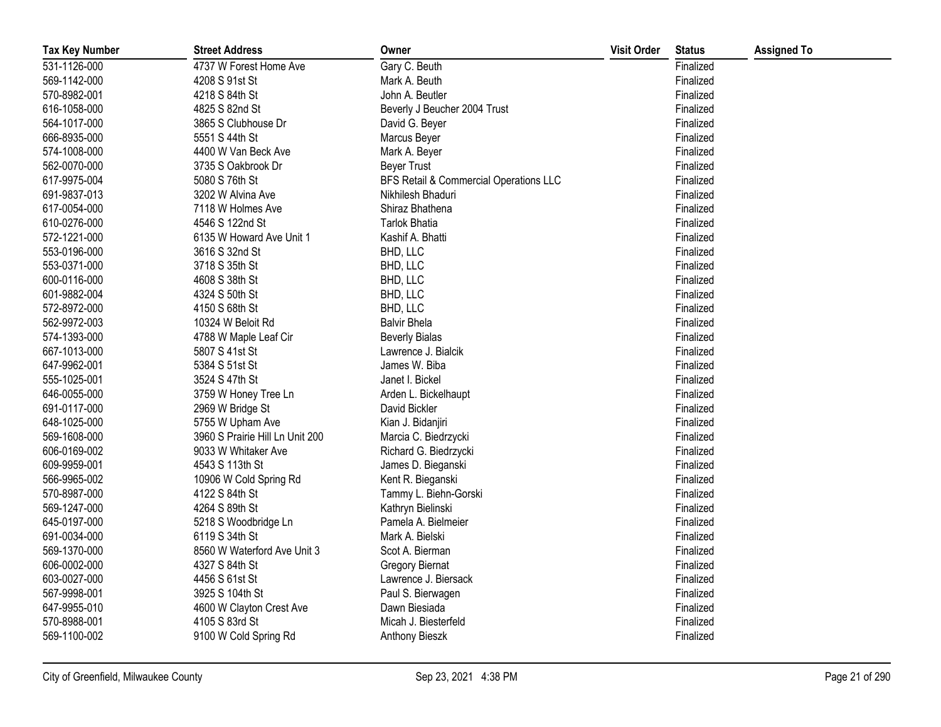| <b>Tax Key Number</b> | <b>Street Address</b>           | Owner                                  | <b>Visit Order</b> | <b>Status</b> | <b>Assigned To</b> |
|-----------------------|---------------------------------|----------------------------------------|--------------------|---------------|--------------------|
| 531-1126-000          | 4737 W Forest Home Ave          | Gary C. Beuth                          |                    | Finalized     |                    |
| 569-1142-000          | 4208 S 91st St                  | Mark A. Beuth                          |                    | Finalized     |                    |
| 570-8982-001          | 4218 S 84th St                  | John A. Beutler                        |                    | Finalized     |                    |
| 616-1058-000          | 4825 S 82nd St                  | Beverly J Beucher 2004 Trust           |                    | Finalized     |                    |
| 564-1017-000          | 3865 S Clubhouse Dr             | David G. Beyer                         |                    | Finalized     |                    |
| 666-8935-000          | 5551 S 44th St                  | Marcus Beyer                           |                    | Finalized     |                    |
| 574-1008-000          | 4400 W Van Beck Ave             | Mark A. Beyer                          |                    | Finalized     |                    |
| 562-0070-000          | 3735 S Oakbrook Dr              | <b>Beyer Trust</b>                     |                    | Finalized     |                    |
| 617-9975-004          | 5080 S 76th St                  | BFS Retail & Commercial Operations LLC |                    | Finalized     |                    |
| 691-9837-013          | 3202 W Alvina Ave               | Nikhilesh Bhaduri                      |                    | Finalized     |                    |
| 617-0054-000          | 7118 W Holmes Ave               | Shiraz Bhathena                        |                    | Finalized     |                    |
| 610-0276-000          | 4546 S 122nd St                 | Tarlok Bhatia                          |                    | Finalized     |                    |
| 572-1221-000          | 6135 W Howard Ave Unit 1        | Kashif A. Bhatti                       |                    | Finalized     |                    |
| 553-0196-000          | 3616 S 32nd St                  | BHD, LLC                               |                    | Finalized     |                    |
| 553-0371-000          | 3718 S 35th St                  | BHD, LLC                               |                    | Finalized     |                    |
| 600-0116-000          | 4608 S 38th St                  | BHD, LLC                               |                    | Finalized     |                    |
| 601-9882-004          | 4324 S 50th St                  | BHD, LLC                               |                    | Finalized     |                    |
| 572-8972-000          | 4150 S 68th St                  | BHD, LLC                               |                    | Finalized     |                    |
| 562-9972-003          | 10324 W Beloit Rd               | <b>Balvir Bhela</b>                    |                    | Finalized     |                    |
| 574-1393-000          | 4788 W Maple Leaf Cir           | <b>Beverly Bialas</b>                  |                    | Finalized     |                    |
| 667-1013-000          | 5807 S 41st St                  | Lawrence J. Bialcik                    |                    | Finalized     |                    |
| 647-9962-001          | 5384 S 51st St                  | James W. Biba                          |                    | Finalized     |                    |
| 555-1025-001          | 3524 S 47th St                  | Janet I. Bickel                        |                    | Finalized     |                    |
| 646-0055-000          | 3759 W Honey Tree Ln            | Arden L. Bickelhaupt                   |                    | Finalized     |                    |
| 691-0117-000          | 2969 W Bridge St                | David Bickler                          |                    | Finalized     |                    |
| 648-1025-000          | 5755 W Upham Ave                | Kian J. Bidanjiri                      |                    | Finalized     |                    |
| 569-1608-000          | 3960 S Prairie Hill Ln Unit 200 | Marcia C. Biedrzycki                   |                    | Finalized     |                    |
| 606-0169-002          | 9033 W Whitaker Ave             | Richard G. Biedrzycki                  |                    | Finalized     |                    |
| 609-9959-001          | 4543 S 113th St                 | James D. Bieganski                     |                    | Finalized     |                    |
| 566-9965-002          | 10906 W Cold Spring Rd          | Kent R. Bieganski                      |                    | Finalized     |                    |
| 570-8987-000          | 4122 S 84th St                  | Tammy L. Biehn-Gorski                  |                    | Finalized     |                    |
| 569-1247-000          | 4264 S 89th St                  | Kathryn Bielinski                      |                    | Finalized     |                    |
| 645-0197-000          | 5218 S Woodbridge Ln            | Pamela A. Bielmeier                    |                    | Finalized     |                    |
| 691-0034-000          | 6119 S 34th St                  | Mark A. Bielski                        |                    | Finalized     |                    |
| 569-1370-000          | 8560 W Waterford Ave Unit 3     | Scot A. Bierman                        |                    | Finalized     |                    |
| 606-0002-000          | 4327 S 84th St                  | <b>Gregory Biernat</b>                 |                    | Finalized     |                    |
| 603-0027-000          | 4456 S 61st St                  | Lawrence J. Biersack                   |                    | Finalized     |                    |
| 567-9998-001          | 3925 S 104th St                 | Paul S. Bierwagen                      |                    | Finalized     |                    |
| 647-9955-010          | 4600 W Clayton Crest Ave        | Dawn Biesiada                          |                    | Finalized     |                    |
| 570-8988-001          | 4105 S 83rd St                  | Micah J. Biesterfeld                   |                    | Finalized     |                    |
| 569-1100-002          | 9100 W Cold Spring Rd           | Anthony Bieszk                         |                    | Finalized     |                    |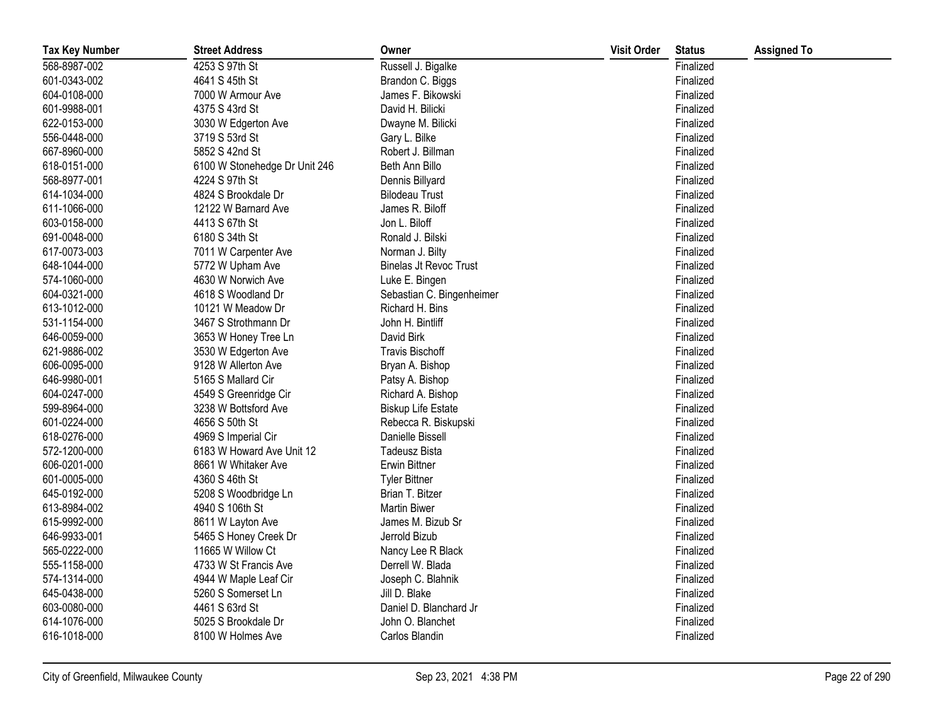| <b>Tax Key Number</b> | <b>Street Address</b>         | Owner                         | <b>Visit Order</b> | <b>Status</b> | <b>Assigned To</b> |
|-----------------------|-------------------------------|-------------------------------|--------------------|---------------|--------------------|
| 568-8987-002          | 4253 S 97th St                | Russell J. Bigalke            |                    | Finalized     |                    |
| 601-0343-002          | 4641 S 45th St                | Brandon C. Biggs              |                    | Finalized     |                    |
| 604-0108-000          | 7000 W Armour Ave             | James F. Bikowski             |                    | Finalized     |                    |
| 601-9988-001          | 4375 S 43rd St                | David H. Bilicki              |                    | Finalized     |                    |
| 622-0153-000          | 3030 W Edgerton Ave           | Dwayne M. Bilicki             |                    | Finalized     |                    |
| 556-0448-000          | 3719 S 53rd St                | Gary L. Bilke                 |                    | Finalized     |                    |
| 667-8960-000          | 5852 S 42nd St                | Robert J. Billman             |                    | Finalized     |                    |
| 618-0151-000          | 6100 W Stonehedge Dr Unit 246 | Beth Ann Billo                |                    | Finalized     |                    |
| 568-8977-001          | 4224 S 97th St                | Dennis Billyard               |                    | Finalized     |                    |
| 614-1034-000          | 4824 S Brookdale Dr           | <b>Bilodeau Trust</b>         |                    | Finalized     |                    |
| 611-1066-000          | 12122 W Barnard Ave           | James R. Biloff               |                    | Finalized     |                    |
| 603-0158-000          | 4413 S 67th St                | Jon L. Biloff                 |                    | Finalized     |                    |
| 691-0048-000          | 6180 S 34th St                | Ronald J. Bilski              |                    | Finalized     |                    |
| 617-0073-003          | 7011 W Carpenter Ave          | Norman J. Bilty               |                    | Finalized     |                    |
| 648-1044-000          | 5772 W Upham Ave              | <b>Binelas Jt Revoc Trust</b> |                    | Finalized     |                    |
| 574-1060-000          | 4630 W Norwich Ave            | Luke E. Bingen                |                    | Finalized     |                    |
| 604-0321-000          | 4618 S Woodland Dr            | Sebastian C. Bingenheimer     |                    | Finalized     |                    |
| 613-1012-000          | 10121 W Meadow Dr             | Richard H. Bins               |                    | Finalized     |                    |
| 531-1154-000          | 3467 S Strothmann Dr          | John H. Bintliff              |                    | Finalized     |                    |
| 646-0059-000          | 3653 W Honey Tree Ln          | David Birk                    |                    | Finalized     |                    |
| 621-9886-002          | 3530 W Edgerton Ave           | <b>Travis Bischoff</b>        |                    | Finalized     |                    |
| 606-0095-000          | 9128 W Allerton Ave           | Bryan A. Bishop               |                    | Finalized     |                    |
| 646-9980-001          | 5165 S Mallard Cir            | Patsy A. Bishop               |                    | Finalized     |                    |
| 604-0247-000          | 4549 S Greenridge Cir         | Richard A. Bishop             |                    | Finalized     |                    |
| 599-8964-000          | 3238 W Bottsford Ave          | <b>Biskup Life Estate</b>     |                    | Finalized     |                    |
| 601-0224-000          | 4656 S 50th St                | Rebecca R. Biskupski          |                    | Finalized     |                    |
| 618-0276-000          | 4969 S Imperial Cir           | Danielle Bissell              |                    | Finalized     |                    |
| 572-1200-000          | 6183 W Howard Ave Unit 12     | <b>Tadeusz Bista</b>          |                    | Finalized     |                    |
| 606-0201-000          | 8661 W Whitaker Ave           | Erwin Bittner                 |                    | Finalized     |                    |
| 601-0005-000          | 4360 S 46th St                | <b>Tyler Bittner</b>          |                    | Finalized     |                    |
| 645-0192-000          | 5208 S Woodbridge Ln          | Brian T. Bitzer               |                    | Finalized     |                    |
| 613-8984-002          | 4940 S 106th St               | <b>Martin Biwer</b>           |                    | Finalized     |                    |
| 615-9992-000          | 8611 W Layton Ave             | James M. Bizub Sr             |                    | Finalized     |                    |
| 646-9933-001          | 5465 S Honey Creek Dr         | Jerrold Bizub                 |                    | Finalized     |                    |
| 565-0222-000          | 11665 W Willow Ct             | Nancy Lee R Black             |                    | Finalized     |                    |
| 555-1158-000          | 4733 W St Francis Ave         | Derrell W. Blada              |                    | Finalized     |                    |
| 574-1314-000          | 4944 W Maple Leaf Cir         | Joseph C. Blahnik             |                    | Finalized     |                    |
| 645-0438-000          | 5260 S Somerset Ln            | Jill D. Blake                 |                    | Finalized     |                    |
| 603-0080-000          | 4461 S 63rd St                | Daniel D. Blanchard Jr        |                    | Finalized     |                    |
| 614-1076-000          | 5025 S Brookdale Dr           | John O. Blanchet              |                    | Finalized     |                    |
| 616-1018-000          | 8100 W Holmes Ave             | Carlos Blandin                |                    | Finalized     |                    |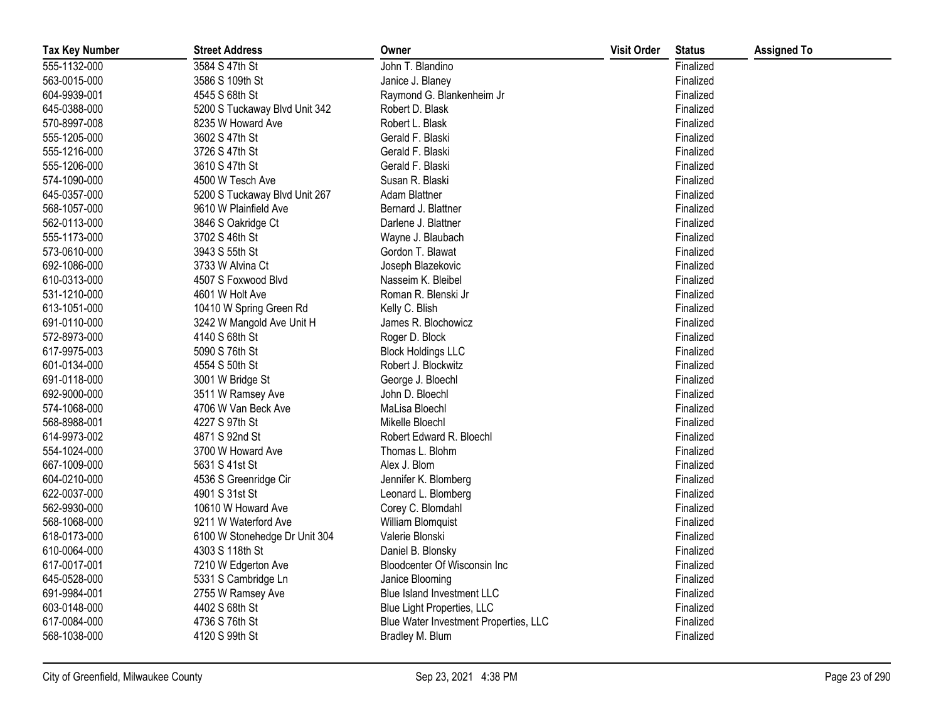| <b>Tax Key Number</b> | <b>Street Address</b>         | Owner                                 | <b>Visit Order</b> | <b>Status</b> | <b>Assigned To</b> |
|-----------------------|-------------------------------|---------------------------------------|--------------------|---------------|--------------------|
| 555-1132-000          | 3584 S 47th St                | John T. Blandino                      |                    | Finalized     |                    |
| 563-0015-000          | 3586 S 109th St               | Janice J. Blaney                      |                    | Finalized     |                    |
| 604-9939-001          | 4545 S 68th St                | Raymond G. Blankenheim Jr             |                    | Finalized     |                    |
| 645-0388-000          | 5200 S Tuckaway Blvd Unit 342 | Robert D. Blask                       |                    | Finalized     |                    |
| 570-8997-008          | 8235 W Howard Ave             | Robert L. Blask                       |                    | Finalized     |                    |
| 555-1205-000          | 3602 S 47th St                | Gerald F. Blaski                      |                    | Finalized     |                    |
| 555-1216-000          | 3726 S 47th St                | Gerald F. Blaski                      |                    | Finalized     |                    |
| 555-1206-000          | 3610 S 47th St                | Gerald F. Blaski                      |                    | Finalized     |                    |
| 574-1090-000          | 4500 W Tesch Ave              | Susan R. Blaski                       |                    | Finalized     |                    |
| 645-0357-000          | 5200 S Tuckaway Blvd Unit 267 | Adam Blattner                         |                    | Finalized     |                    |
| 568-1057-000          | 9610 W Plainfield Ave         | Bernard J. Blattner                   |                    | Finalized     |                    |
| 562-0113-000          | 3846 S Oakridge Ct            | Darlene J. Blattner                   |                    | Finalized     |                    |
| 555-1173-000          | 3702 S 46th St                | Wayne J. Blaubach                     |                    | Finalized     |                    |
| 573-0610-000          | 3943 S 55th St                | Gordon T. Blawat                      |                    | Finalized     |                    |
| 692-1086-000          | 3733 W Alvina Ct              | Joseph Blazekovic                     |                    | Finalized     |                    |
| 610-0313-000          | 4507 S Foxwood Blvd           | Nasseim K. Bleibel                    |                    | Finalized     |                    |
| 531-1210-000          | 4601 W Holt Ave               | Roman R. Blenski Jr                   |                    | Finalized     |                    |
| 613-1051-000          | 10410 W Spring Green Rd       | Kelly C. Blish                        |                    | Finalized     |                    |
| 691-0110-000          | 3242 W Mangold Ave Unit H     | James R. Blochowicz                   |                    | Finalized     |                    |
| 572-8973-000          | 4140 S 68th St                | Roger D. Block                        |                    | Finalized     |                    |
| 617-9975-003          | 5090 S 76th St                | <b>Block Holdings LLC</b>             |                    | Finalized     |                    |
| 601-0134-000          | 4554 S 50th St                | Robert J. Blockwitz                   |                    | Finalized     |                    |
| 691-0118-000          | 3001 W Bridge St              | George J. Bloechl                     |                    | Finalized     |                    |
| 692-9000-000          | 3511 W Ramsey Ave             | John D. Bloechl                       |                    | Finalized     |                    |
| 574-1068-000          | 4706 W Van Beck Ave           | MaLisa Bloechl                        |                    | Finalized     |                    |
| 568-8988-001          | 4227 S 97th St                | Mikelle Bloechl                       |                    | Finalized     |                    |
| 614-9973-002          | 4871 S 92nd St                | Robert Edward R. Bloechl              |                    | Finalized     |                    |
| 554-1024-000          | 3700 W Howard Ave             | Thomas L. Blohm                       |                    | Finalized     |                    |
| 667-1009-000          | 5631 S 41st St                | Alex J. Blom                          |                    | Finalized     |                    |
| 604-0210-000          | 4536 S Greenridge Cir         | Jennifer K. Blomberg                  |                    | Finalized     |                    |
| 622-0037-000          | 4901 S 31st St                | Leonard L. Blomberg                   |                    | Finalized     |                    |
| 562-9930-000          | 10610 W Howard Ave            | Corey C. Blomdahl                     |                    | Finalized     |                    |
| 568-1068-000          | 9211 W Waterford Ave          | William Blomquist                     |                    | Finalized     |                    |
| 618-0173-000          | 6100 W Stonehedge Dr Unit 304 | Valerie Blonski                       |                    | Finalized     |                    |
| 610-0064-000          | 4303 S 118th St               | Daniel B. Blonsky                     |                    | Finalized     |                    |
| 617-0017-001          | 7210 W Edgerton Ave           | Bloodcenter Of Wisconsin Inc          |                    | Finalized     |                    |
| 645-0528-000          | 5331 S Cambridge Ln           | Janice Blooming                       |                    | Finalized     |                    |
| 691-9984-001          | 2755 W Ramsey Ave             | Blue Island Investment LLC            |                    | Finalized     |                    |
| 603-0148-000          | 4402 S 68th St                | Blue Light Properties, LLC            |                    | Finalized     |                    |
| 617-0084-000          | 4736 S 76th St                | Blue Water Investment Properties, LLC |                    | Finalized     |                    |
| 568-1038-000          | 4120 S 99th St                | Bradley M. Blum                       |                    | Finalized     |                    |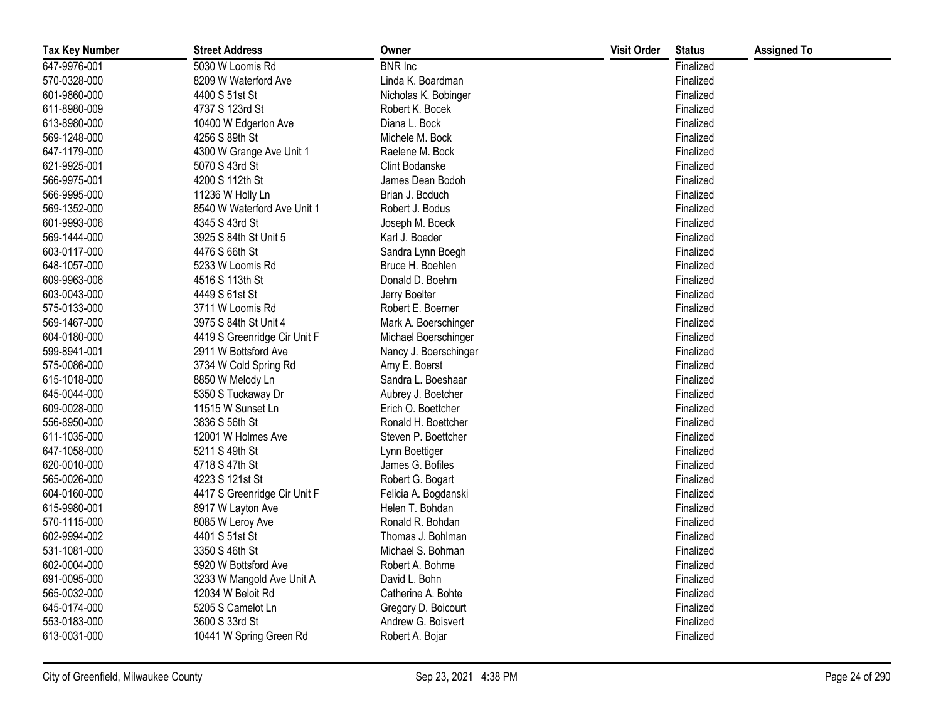| <b>Tax Key Number</b> | <b>Street Address</b>        | Owner                 | <b>Visit Order</b> | <b>Status</b> | <b>Assigned To</b> |
|-----------------------|------------------------------|-----------------------|--------------------|---------------|--------------------|
| 647-9976-001          | 5030 W Loomis Rd             | <b>BNR</b> Inc        |                    | Finalized     |                    |
| 570-0328-000          | 8209 W Waterford Ave         | Linda K. Boardman     |                    | Finalized     |                    |
| 601-9860-000          | 4400 S 51st St               | Nicholas K. Bobinger  |                    | Finalized     |                    |
| 611-8980-009          | 4737 S 123rd St              | Robert K. Bocek       |                    | Finalized     |                    |
| 613-8980-000          | 10400 W Edgerton Ave         | Diana L. Bock         |                    | Finalized     |                    |
| 569-1248-000          | 4256 S 89th St               | Michele M. Bock       |                    | Finalized     |                    |
| 647-1179-000          | 4300 W Grange Ave Unit 1     | Raelene M. Bock       |                    | Finalized     |                    |
| 621-9925-001          | 5070 S 43rd St               | Clint Bodanske        |                    | Finalized     |                    |
| 566-9975-001          | 4200 S 112th St              | James Dean Bodoh      |                    | Finalized     |                    |
| 566-9995-000          | 11236 W Holly Ln             | Brian J. Boduch       |                    | Finalized     |                    |
| 569-1352-000          | 8540 W Waterford Ave Unit 1  | Robert J. Bodus       |                    | Finalized     |                    |
| 601-9993-006          | 4345 S 43rd St               | Joseph M. Boeck       |                    | Finalized     |                    |
| 569-1444-000          | 3925 S 84th St Unit 5        | Karl J. Boeder        |                    | Finalized     |                    |
| 603-0117-000          | 4476 S 66th St               | Sandra Lynn Boegh     |                    | Finalized     |                    |
| 648-1057-000          | 5233 W Loomis Rd             | Bruce H. Boehlen      |                    | Finalized     |                    |
| 609-9963-006          | 4516 S 113th St              | Donald D. Boehm       |                    | Finalized     |                    |
| 603-0043-000          | 4449 S 61st St               | Jerry Boelter         |                    | Finalized     |                    |
| 575-0133-000          | 3711 W Loomis Rd             | Robert E. Boerner     |                    | Finalized     |                    |
| 569-1467-000          | 3975 S 84th St Unit 4        | Mark A. Boerschinger  |                    | Finalized     |                    |
| 604-0180-000          | 4419 S Greenridge Cir Unit F | Michael Boerschinger  |                    | Finalized     |                    |
| 599-8941-001          | 2911 W Bottsford Ave         | Nancy J. Boerschinger |                    | Finalized     |                    |
| 575-0086-000          | 3734 W Cold Spring Rd        | Amy E. Boerst         |                    | Finalized     |                    |
| 615-1018-000          | 8850 W Melody Ln             | Sandra L. Boeshaar    |                    | Finalized     |                    |
| 645-0044-000          | 5350 S Tuckaway Dr           | Aubrey J. Boetcher    |                    | Finalized     |                    |
| 609-0028-000          | 11515 W Sunset Ln            | Erich O. Boettcher    |                    | Finalized     |                    |
| 556-8950-000          | 3836 S 56th St               | Ronald H. Boettcher   |                    | Finalized     |                    |
| 611-1035-000          | 12001 W Holmes Ave           | Steven P. Boettcher   |                    | Finalized     |                    |
| 647-1058-000          | 5211 S 49th St               | Lynn Boettiger        |                    | Finalized     |                    |
| 620-0010-000          | 4718 S 47th St               | James G. Bofiles      |                    | Finalized     |                    |
| 565-0026-000          | 4223 S 121st St              | Robert G. Bogart      |                    | Finalized     |                    |
| 604-0160-000          | 4417 S Greenridge Cir Unit F | Felicia A. Bogdanski  |                    | Finalized     |                    |
| 615-9980-001          | 8917 W Layton Ave            | Helen T. Bohdan       |                    | Finalized     |                    |
| 570-1115-000          | 8085 W Leroy Ave             | Ronald R. Bohdan      |                    | Finalized     |                    |
| 602-9994-002          | 4401 S 51st St               | Thomas J. Bohlman     |                    | Finalized     |                    |
| 531-1081-000          | 3350 S 46th St               | Michael S. Bohman     |                    | Finalized     |                    |
| 602-0004-000          | 5920 W Bottsford Ave         | Robert A. Bohme       |                    | Finalized     |                    |
| 691-0095-000          | 3233 W Mangold Ave Unit A    | David L. Bohn         |                    | Finalized     |                    |
| 565-0032-000          | 12034 W Beloit Rd            | Catherine A. Bohte    |                    | Finalized     |                    |
| 645-0174-000          | 5205 S Camelot Ln            | Gregory D. Boicourt   |                    | Finalized     |                    |
| 553-0183-000          | 3600 S 33rd St               | Andrew G. Boisvert    |                    | Finalized     |                    |
| 613-0031-000          | 10441 W Spring Green Rd      | Robert A. Bojar       |                    | Finalized     |                    |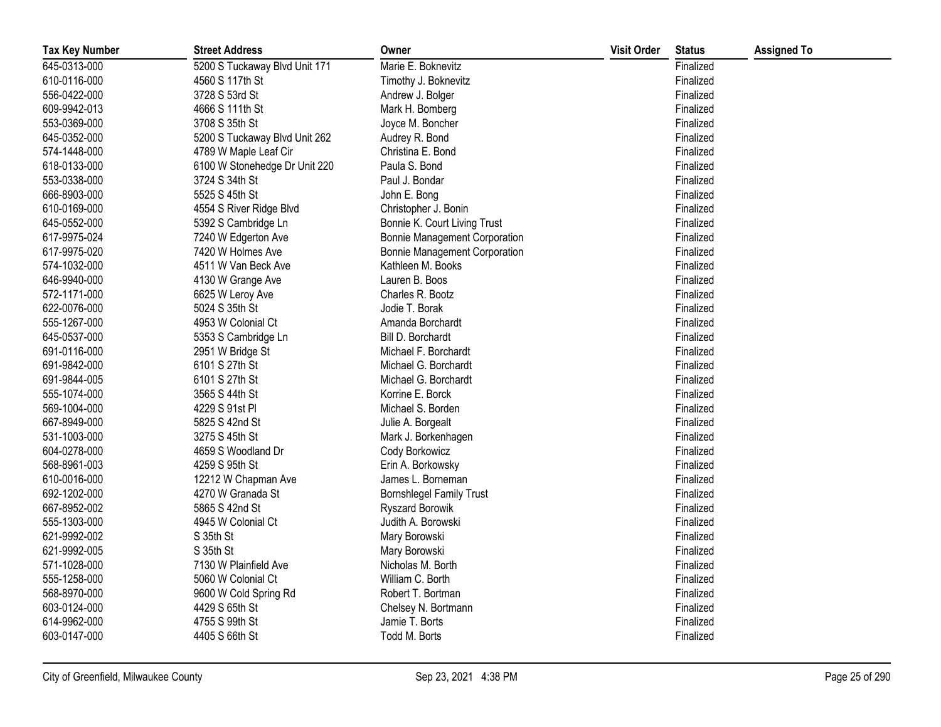| <b>Tax Key Number</b> | <b>Street Address</b>         | Owner                                | <b>Visit Order</b> | <b>Status</b> | <b>Assigned To</b> |
|-----------------------|-------------------------------|--------------------------------------|--------------------|---------------|--------------------|
| 645-0313-000          | 5200 S Tuckaway Blvd Unit 171 | Marie E. Boknevitz                   |                    | Finalized     |                    |
| 610-0116-000          | 4560 S 117th St               | Timothy J. Boknevitz                 |                    | Finalized     |                    |
| 556-0422-000          | 3728 S 53rd St                | Andrew J. Bolger                     |                    | Finalized     |                    |
| 609-9942-013          | 4666 S 111th St               | Mark H. Bomberg                      |                    | Finalized     |                    |
| 553-0369-000          | 3708 S 35th St                | Joyce M. Boncher                     |                    | Finalized     |                    |
| 645-0352-000          | 5200 S Tuckaway Blvd Unit 262 | Audrey R. Bond                       |                    | Finalized     |                    |
| 574-1448-000          | 4789 W Maple Leaf Cir         | Christina E. Bond                    |                    | Finalized     |                    |
| 618-0133-000          | 6100 W Stonehedge Dr Unit 220 | Paula S. Bond                        |                    | Finalized     |                    |
| 553-0338-000          | 3724 S 34th St                | Paul J. Bondar                       |                    | Finalized     |                    |
| 666-8903-000          | 5525 S 45th St                | John E. Bong                         |                    | Finalized     |                    |
| 610-0169-000          | 4554 S River Ridge Blvd       | Christopher J. Bonin                 |                    | Finalized     |                    |
| 645-0552-000          | 5392 S Cambridge Ln           | Bonnie K. Court Living Trust         |                    | Finalized     |                    |
| 617-9975-024          | 7240 W Edgerton Ave           | <b>Bonnie Management Corporation</b> |                    | Finalized     |                    |
| 617-9975-020          | 7420 W Holmes Ave             | <b>Bonnie Management Corporation</b> |                    | Finalized     |                    |
| 574-1032-000          | 4511 W Van Beck Ave           | Kathleen M. Books                    |                    | Finalized     |                    |
| 646-9940-000          | 4130 W Grange Ave             | Lauren B. Boos                       |                    | Finalized     |                    |
| 572-1171-000          | 6625 W Leroy Ave              | Charles R. Bootz                     |                    | Finalized     |                    |
| 622-0076-000          | 5024 S 35th St                | Jodie T. Borak                       |                    | Finalized     |                    |
| 555-1267-000          | 4953 W Colonial Ct            | Amanda Borchardt                     |                    | Finalized     |                    |
| 645-0537-000          | 5353 S Cambridge Ln           | Bill D. Borchardt                    |                    | Finalized     |                    |
| 691-0116-000          | 2951 W Bridge St              | Michael F. Borchardt                 |                    | Finalized     |                    |
| 691-9842-000          | 6101 S 27th St                | Michael G. Borchardt                 |                    | Finalized     |                    |
| 691-9844-005          | 6101 S 27th St                | Michael G. Borchardt                 |                    | Finalized     |                    |
| 555-1074-000          | 3565 S 44th St                | Korrine E. Borck                     |                    | Finalized     |                    |
| 569-1004-000          | 4229 S 91st PI                | Michael S. Borden                    |                    | Finalized     |                    |
| 667-8949-000          | 5825 S 42nd St                | Julie A. Borgealt                    |                    | Finalized     |                    |
| 531-1003-000          | 3275 S 45th St                | Mark J. Borkenhagen                  |                    | Finalized     |                    |
| 604-0278-000          | 4659 S Woodland Dr            | Cody Borkowicz                       |                    | Finalized     |                    |
| 568-8961-003          | 4259 S 95th St                | Erin A. Borkowsky                    |                    | Finalized     |                    |
| 610-0016-000          | 12212 W Chapman Ave           | James L. Borneman                    |                    | Finalized     |                    |
| 692-1202-000          | 4270 W Granada St             | <b>Bornshlegel Family Trust</b>      |                    | Finalized     |                    |
| 667-8952-002          | 5865 S 42nd St                | Ryszard Borowik                      |                    | Finalized     |                    |
| 555-1303-000          | 4945 W Colonial Ct            | Judith A. Borowski                   |                    | Finalized     |                    |
| 621-9992-002          | S 35th St                     | Mary Borowski                        |                    | Finalized     |                    |
| 621-9992-005          | S 35th St                     | Mary Borowski                        |                    | Finalized     |                    |
| 571-1028-000          | 7130 W Plainfield Ave         | Nicholas M. Borth                    |                    | Finalized     |                    |
| 555-1258-000          | 5060 W Colonial Ct            | William C. Borth                     |                    | Finalized     |                    |
| 568-8970-000          | 9600 W Cold Spring Rd         | Robert T. Bortman                    |                    | Finalized     |                    |
| 603-0124-000          | 4429 S 65th St                | Chelsey N. Bortmann                  |                    | Finalized     |                    |
| 614-9962-000          | 4755 S 99th St                | Jamie T. Borts                       |                    | Finalized     |                    |
| 603-0147-000          | 4405 S 66th St                | Todd M. Borts                        |                    | Finalized     |                    |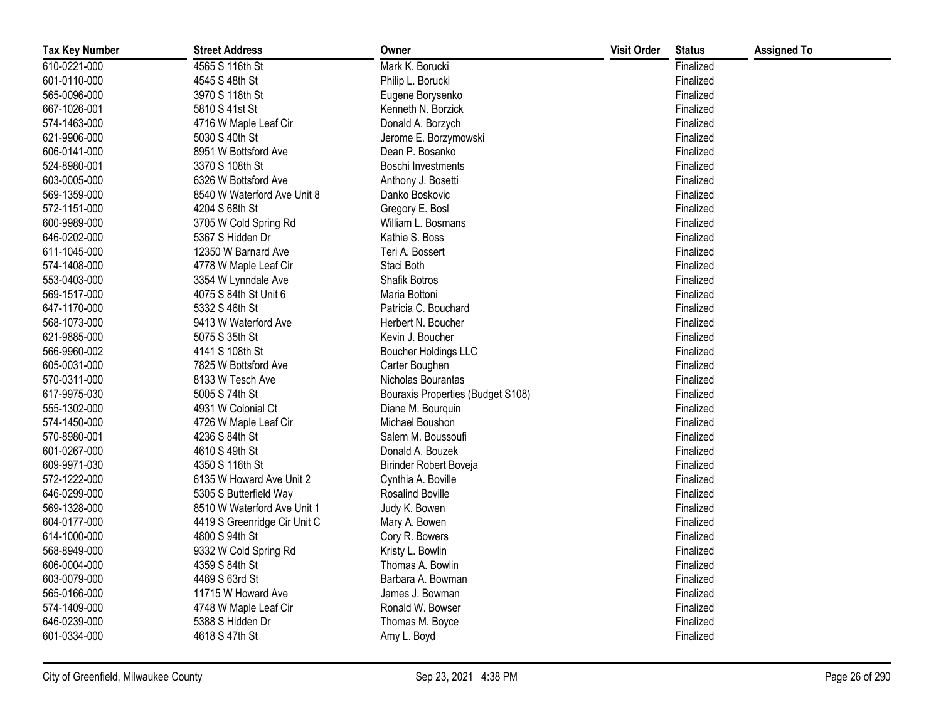| <b>Tax Key Number</b> | <b>Street Address</b>        | Owner                             | <b>Visit Order</b> | <b>Status</b> | <b>Assigned To</b> |
|-----------------------|------------------------------|-----------------------------------|--------------------|---------------|--------------------|
| 610-0221-000          | 4565 S 116th St              | Mark K. Borucki                   |                    | Finalized     |                    |
| 601-0110-000          | 4545 S 48th St               | Philip L. Borucki                 |                    | Finalized     |                    |
| 565-0096-000          | 3970 S 118th St              | Eugene Borysenko                  |                    | Finalized     |                    |
| 667-1026-001          | 5810 S 41st St               | Kenneth N. Borzick                |                    | Finalized     |                    |
| 574-1463-000          | 4716 W Maple Leaf Cir        | Donald A. Borzych                 |                    | Finalized     |                    |
| 621-9906-000          | 5030 S 40th St               | Jerome E. Borzymowski             |                    | Finalized     |                    |
| 606-0141-000          | 8951 W Bottsford Ave         | Dean P. Bosanko                   |                    | Finalized     |                    |
| 524-8980-001          | 3370 S 108th St              | Boschi Investments                |                    | Finalized     |                    |
| 603-0005-000          | 6326 W Bottsford Ave         | Anthony J. Bosetti                |                    | Finalized     |                    |
| 569-1359-000          | 8540 W Waterford Ave Unit 8  | Danko Boskovic                    |                    | Finalized     |                    |
| 572-1151-000          | 4204 S 68th St               | Gregory E. Bosl                   |                    | Finalized     |                    |
| 600-9989-000          | 3705 W Cold Spring Rd        | William L. Bosmans                |                    | Finalized     |                    |
| 646-0202-000          | 5367 S Hidden Dr             | Kathie S. Boss                    |                    | Finalized     |                    |
| 611-1045-000          | 12350 W Barnard Ave          | Teri A. Bossert                   |                    | Finalized     |                    |
| 574-1408-000          | 4778 W Maple Leaf Cir        | Staci Both                        |                    | Finalized     |                    |
| 553-0403-000          | 3354 W Lynndale Ave          | Shafik Botros                     |                    | Finalized     |                    |
| 569-1517-000          | 4075 S 84th St Unit 6        | Maria Bottoni                     |                    | Finalized     |                    |
| 647-1170-000          | 5332 S 46th St               | Patricia C. Bouchard              |                    | Finalized     |                    |
| 568-1073-000          | 9413 W Waterford Ave         | Herbert N. Boucher                |                    | Finalized     |                    |
| 621-9885-000          | 5075 S 35th St               | Kevin J. Boucher                  |                    | Finalized     |                    |
| 566-9960-002          | 4141 S 108th St              | Boucher Holdings LLC              |                    | Finalized     |                    |
| 605-0031-000          | 7825 W Bottsford Ave         | Carter Boughen                    |                    | Finalized     |                    |
| 570-0311-000          | 8133 W Tesch Ave             | Nicholas Bourantas                |                    | Finalized     |                    |
| 617-9975-030          | 5005 S 74th St               | Bouraxis Properties (Budget S108) |                    | Finalized     |                    |
| 555-1302-000          | 4931 W Colonial Ct           | Diane M. Bourquin                 |                    | Finalized     |                    |
| 574-1450-000          | 4726 W Maple Leaf Cir        | Michael Boushon                   |                    | Finalized     |                    |
| 570-8980-001          | 4236 S 84th St               | Salem M. Boussoufi                |                    | Finalized     |                    |
| 601-0267-000          | 4610 S 49th St               | Donald A. Bouzek                  |                    | Finalized     |                    |
| 609-9971-030          | 4350 S 116th St              | Birinder Robert Boveja            |                    | Finalized     |                    |
| 572-1222-000          | 6135 W Howard Ave Unit 2     | Cynthia A. Boville                |                    | Finalized     |                    |
| 646-0299-000          | 5305 S Butterfield Way       | Rosalind Boville                  |                    | Finalized     |                    |
| 569-1328-000          | 8510 W Waterford Ave Unit 1  | Judy K. Bowen                     |                    | Finalized     |                    |
| 604-0177-000          | 4419 S Greenridge Cir Unit C | Mary A. Bowen                     |                    | Finalized     |                    |
| 614-1000-000          | 4800 S 94th St               | Cory R. Bowers                    |                    | Finalized     |                    |
| 568-8949-000          | 9332 W Cold Spring Rd        | Kristy L. Bowlin                  |                    | Finalized     |                    |
| 606-0004-000          | 4359 S 84th St               | Thomas A. Bowlin                  |                    | Finalized     |                    |
| 603-0079-000          | 4469 S 63rd St               | Barbara A. Bowman                 |                    | Finalized     |                    |
| 565-0166-000          | 11715 W Howard Ave           | James J. Bowman                   |                    | Finalized     |                    |
| 574-1409-000          | 4748 W Maple Leaf Cir        | Ronald W. Bowser                  |                    | Finalized     |                    |
| 646-0239-000          | 5388 S Hidden Dr             | Thomas M. Boyce                   |                    | Finalized     |                    |
| 601-0334-000          | 4618 S 47th St               | Amy L. Boyd                       |                    | Finalized     |                    |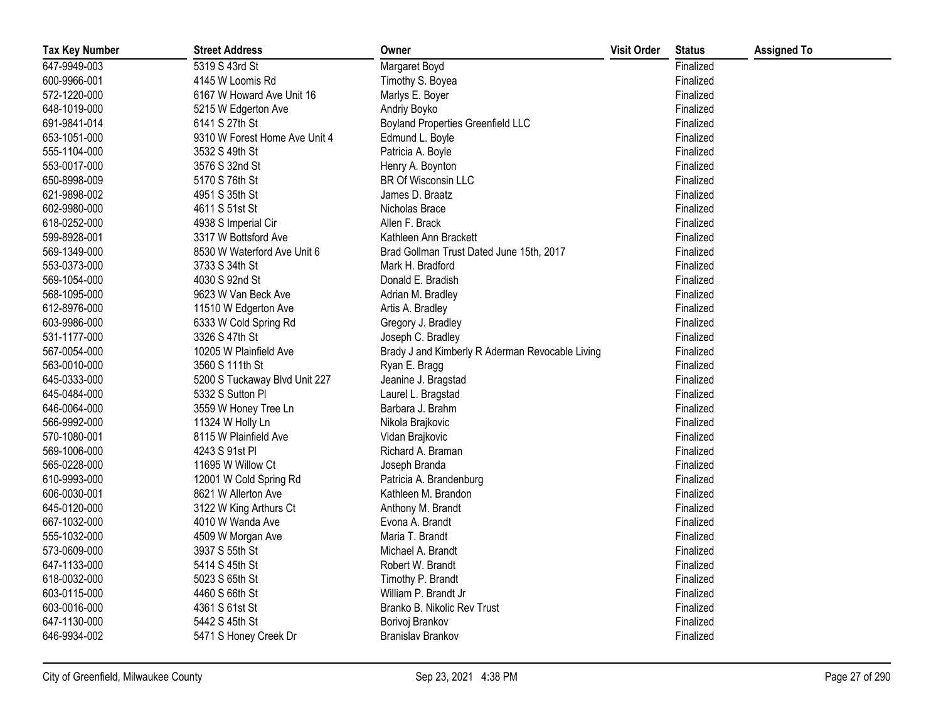| <b>Tax Key Number</b> | <b>Street Address</b>         | Owner                                           | <b>Visit Order</b> | <b>Status</b> | <b>Assigned To</b> |
|-----------------------|-------------------------------|-------------------------------------------------|--------------------|---------------|--------------------|
| 647-9949-003          | 5319 S 43rd St                | Margaret Boyd                                   |                    | Finalized     |                    |
| 600-9966-001          | 4145 W Loomis Rd              | Timothy S. Boyea                                |                    | Finalized     |                    |
| 572-1220-000          | 6167 W Howard Ave Unit 16     | Marlys E. Boyer                                 |                    | Finalized     |                    |
| 648-1019-000          | 5215 W Edgerton Ave           | Andriy Boyko                                    |                    | Finalized     |                    |
| 691-9841-014          | 6141 S 27th St                | <b>Boyland Properties Greenfield LLC</b>        |                    | Finalized     |                    |
| 653-1051-000          | 9310 W Forest Home Ave Unit 4 | Edmund L. Boyle                                 |                    | Finalized     |                    |
| 555-1104-000          | 3532 S 49th St                | Patricia A. Boyle                               |                    | Finalized     |                    |
| 553-0017-000          | 3576 S 32nd St                | Henry A. Boynton                                |                    | Finalized     |                    |
| 650-8998-009          | 5170 S 76th St                | BR Of Wisconsin LLC                             |                    | Finalized     |                    |
| 621-9898-002          | 4951 S 35th St                | James D. Braatz                                 |                    | Finalized     |                    |
| 602-9980-000          | 4611 S 51st St                | Nicholas Brace                                  |                    | Finalized     |                    |
| 618-0252-000          | 4938 S Imperial Cir           | Allen F. Brack                                  |                    | Finalized     |                    |
| 599-8928-001          | 3317 W Bottsford Ave          | Kathleen Ann Brackett                           |                    | Finalized     |                    |
| 569-1349-000          | 8530 W Waterford Ave Unit 6   | Brad Gollman Trust Dated June 15th, 2017        |                    | Finalized     |                    |
| 553-0373-000          | 3733 S 34th St                | Mark H. Bradford                                |                    | Finalized     |                    |
| 569-1054-000          | 4030 S 92nd St                | Donald E. Bradish                               |                    | Finalized     |                    |
| 568-1095-000          | 9623 W Van Beck Ave           | Adrian M. Bradley                               |                    | Finalized     |                    |
| 612-8976-000          | 11510 W Edgerton Ave          | Artis A. Bradley                                |                    | Finalized     |                    |
| 603-9986-000          | 6333 W Cold Spring Rd         | Gregory J. Bradley                              |                    | Finalized     |                    |
| 531-1177-000          | 3326 S 47th St                | Joseph C. Bradley                               |                    | Finalized     |                    |
| 567-0054-000          | 10205 W Plainfield Ave        | Brady J and Kimberly R Aderman Revocable Living |                    | Finalized     |                    |
| 563-0010-000          | 3560 S 111th St               | Ryan E. Bragg                                   |                    | Finalized     |                    |
| 645-0333-000          | 5200 S Tuckaway Blvd Unit 227 | Jeanine J. Bragstad                             |                    | Finalized     |                    |
| 645-0484-000          | 5332 S Sutton Pl              | Laurel L. Bragstad                              |                    | Finalized     |                    |
| 646-0064-000          | 3559 W Honey Tree Ln          | Barbara J. Brahm                                |                    | Finalized     |                    |
| 566-9992-000          | 11324 W Holly Ln              | Nikola Brajkovic                                |                    | Finalized     |                    |
| 570-1080-001          | 8115 W Plainfield Ave         | Vidan Brajkovic                                 |                    | Finalized     |                    |
| 569-1006-000          | 4243 S 91st PI                | Richard A. Braman                               |                    | Finalized     |                    |
| 565-0228-000          | 11695 W Willow Ct             | Joseph Branda                                   |                    | Finalized     |                    |
| 610-9993-000          | 12001 W Cold Spring Rd        | Patricia A. Brandenburg                         |                    | Finalized     |                    |
| 606-0030-001          | 8621 W Allerton Ave           | Kathleen M. Brandon                             |                    | Finalized     |                    |
| 645-0120-000          | 3122 W King Arthurs Ct        | Anthony M. Brandt                               |                    | Finalized     |                    |
| 667-1032-000          | 4010 W Wanda Ave              | Evona A. Brandt                                 |                    | Finalized     |                    |
| 555-1032-000          | 4509 W Morgan Ave             | Maria T. Brandt                                 |                    | Finalized     |                    |
| 573-0609-000          | 3937 S 55th St                | Michael A. Brandt                               |                    | Finalized     |                    |
| 647-1133-000          | 5414 S 45th St                | Robert W. Brandt                                |                    | Finalized     |                    |
| 618-0032-000          | 5023 S 65th St                | Timothy P. Brandt                               |                    | Finalized     |                    |
| 603-0115-000          | 4460 S 66th St                | William P. Brandt Jr                            |                    | Finalized     |                    |
| 603-0016-000          | 4361 S 61st St                | Branko B. Nikolic Rev Trust                     |                    | Finalized     |                    |
| 647-1130-000          | 5442 S 45th St                | Borivoj Brankov                                 |                    | Finalized     |                    |
| 646-9934-002          | 5471 S Honey Creek Dr         | Branislav Brankov                               |                    | Finalized     |                    |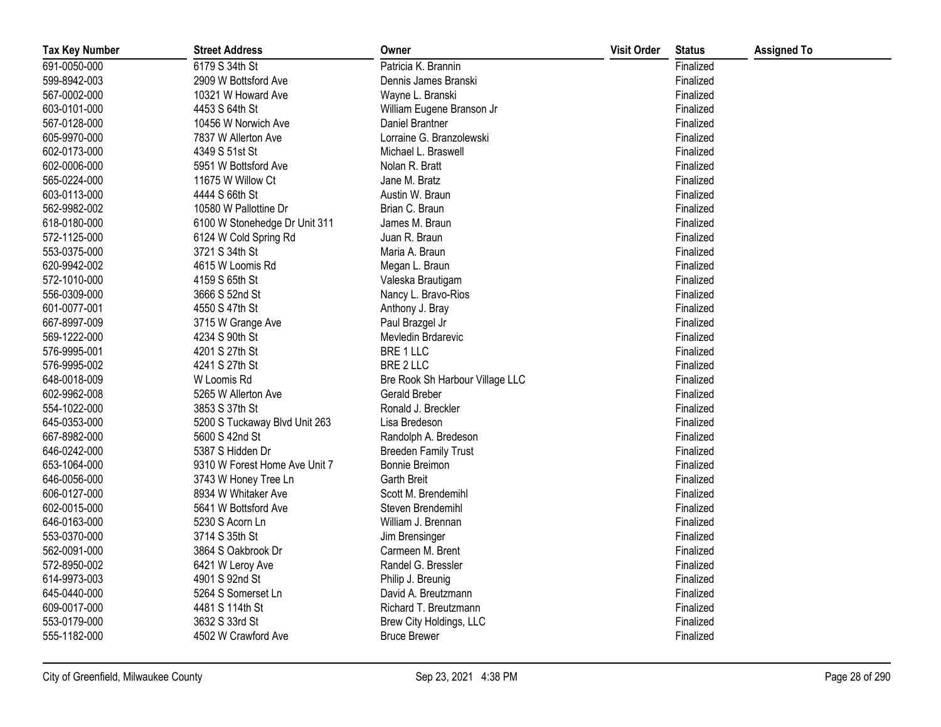| <b>Tax Key Number</b> | <b>Street Address</b>         | Owner                           | <b>Visit Order</b> | <b>Status</b> | <b>Assigned To</b> |
|-----------------------|-------------------------------|---------------------------------|--------------------|---------------|--------------------|
| 691-0050-000          | 6179 S 34th St                | Patricia K. Brannin             |                    | Finalized     |                    |
| 599-8942-003          | 2909 W Bottsford Ave          | Dennis James Branski            |                    | Finalized     |                    |
| 567-0002-000          | 10321 W Howard Ave            | Wayne L. Branski                |                    | Finalized     |                    |
| 603-0101-000          | 4453 S 64th St                | William Eugene Branson Jr       |                    | Finalized     |                    |
| 567-0128-000          | 10456 W Norwich Ave           | Daniel Brantner                 |                    | Finalized     |                    |
| 605-9970-000          | 7837 W Allerton Ave           | Lorraine G. Branzolewski        |                    | Finalized     |                    |
| 602-0173-000          | 4349 S 51st St                | Michael L. Braswell             |                    | Finalized     |                    |
| 602-0006-000          | 5951 W Bottsford Ave          | Nolan R. Bratt                  |                    | Finalized     |                    |
| 565-0224-000          | 11675 W Willow Ct             | Jane M. Bratz                   |                    | Finalized     |                    |
| 603-0113-000          | 4444 S 66th St                | Austin W. Braun                 |                    | Finalized     |                    |
| 562-9982-002          | 10580 W Pallottine Dr         | Brian C. Braun                  |                    | Finalized     |                    |
| 618-0180-000          | 6100 W Stonehedge Dr Unit 311 | James M. Braun                  |                    | Finalized     |                    |
| 572-1125-000          | 6124 W Cold Spring Rd         | Juan R. Braun                   |                    | Finalized     |                    |
| 553-0375-000          | 3721 S 34th St                | Maria A. Braun                  |                    | Finalized     |                    |
| 620-9942-002          | 4615 W Loomis Rd              | Megan L. Braun                  |                    | Finalized     |                    |
| 572-1010-000          | 4159 S 65th St                | Valeska Brautigam               |                    | Finalized     |                    |
| 556-0309-000          | 3666 S 52nd St                | Nancy L. Bravo-Rios             |                    | Finalized     |                    |
| 601-0077-001          | 4550 S 47th St                | Anthony J. Bray                 |                    | Finalized     |                    |
| 667-8997-009          | 3715 W Grange Ave             | Paul Brazgel Jr                 |                    | Finalized     |                    |
| 569-1222-000          | 4234 S 90th St                | Mevledin Brdarevic              |                    | Finalized     |                    |
| 576-9995-001          | 4201 S 27th St                | BRE 1 LLC                       |                    | Finalized     |                    |
| 576-9995-002          | 4241 S 27th St                | BRE 2 LLC                       |                    | Finalized     |                    |
| 648-0018-009          | W Loomis Rd                   | Bre Rook Sh Harbour Village LLC |                    | Finalized     |                    |
| 602-9962-008          | 5265 W Allerton Ave           | Gerald Breber                   |                    | Finalized     |                    |
| 554-1022-000          | 3853 S 37th St                | Ronald J. Breckler              |                    | Finalized     |                    |
| 645-0353-000          | 5200 S Tuckaway Blvd Unit 263 | Lisa Bredeson                   |                    | Finalized     |                    |
| 667-8982-000          | 5600 S 42nd St                | Randolph A. Bredeson            |                    | Finalized     |                    |
| 646-0242-000          | 5387 S Hidden Dr              | <b>Breeden Family Trust</b>     |                    | Finalized     |                    |
| 653-1064-000          | 9310 W Forest Home Ave Unit 7 | Bonnie Breimon                  |                    | Finalized     |                    |
| 646-0056-000          | 3743 W Honey Tree Ln          | Garth Breit                     |                    | Finalized     |                    |
| 606-0127-000          | 8934 W Whitaker Ave           | Scott M. Brendemihl             |                    | Finalized     |                    |
| 602-0015-000          | 5641 W Bottsford Ave          | Steven Brendemihl               |                    | Finalized     |                    |
| 646-0163-000          | 5230 S Acorn Ln               | William J. Brennan              |                    | Finalized     |                    |
| 553-0370-000          | 3714 S 35th St                | Jim Brensinger                  |                    | Finalized     |                    |
| 562-0091-000          | 3864 S Oakbrook Dr            | Carmeen M. Brent                |                    | Finalized     |                    |
| 572-8950-002          | 6421 W Leroy Ave              | Randel G. Bressler              |                    | Finalized     |                    |
| 614-9973-003          | 4901 S 92nd St                | Philip J. Breunig               |                    | Finalized     |                    |
| 645-0440-000          | 5264 S Somerset Ln            | David A. Breutzmann             |                    | Finalized     |                    |
| 609-0017-000          | 4481 S 114th St               | Richard T. Breutzmann           |                    | Finalized     |                    |
| 553-0179-000          | 3632 S 33rd St                | Brew City Holdings, LLC         |                    | Finalized     |                    |
| 555-1182-000          | 4502 W Crawford Ave           | <b>Bruce Brewer</b>             |                    | Finalized     |                    |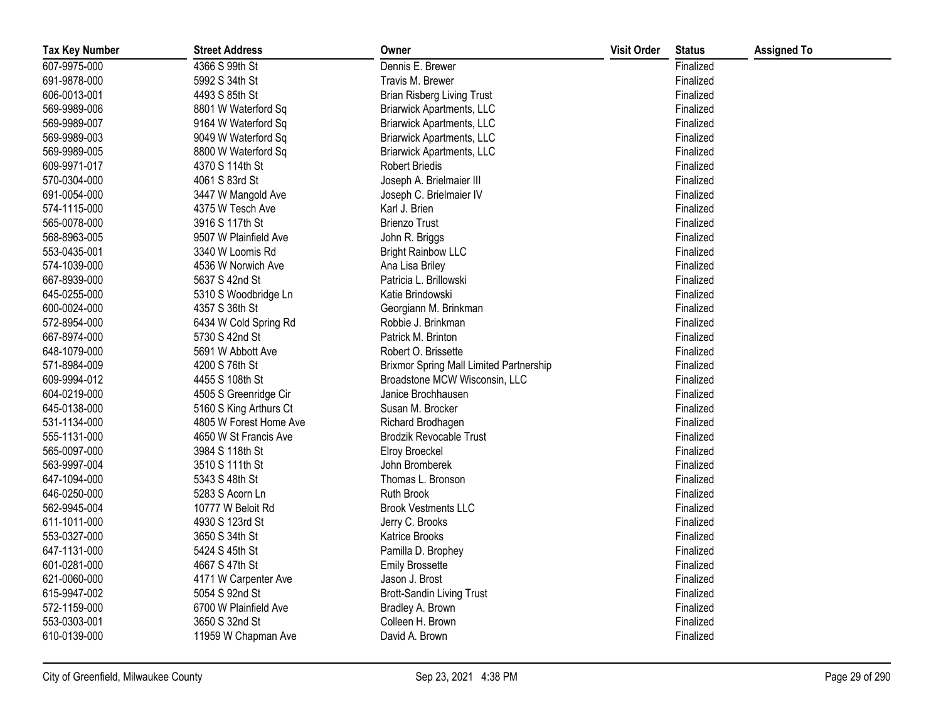| <b>Tax Key Number</b> | <b>Street Address</b>  | Owner                                   | <b>Visit Order</b> | <b>Status</b> | <b>Assigned To</b> |
|-----------------------|------------------------|-----------------------------------------|--------------------|---------------|--------------------|
| 607-9975-000          | 4366 S 99th St         | Dennis E. Brewer                        |                    | Finalized     |                    |
| 691-9878-000          | 5992 S 34th St         | Travis M. Brewer                        |                    | Finalized     |                    |
| 606-0013-001          | 4493 S 85th St         | <b>Brian Risberg Living Trust</b>       |                    | Finalized     |                    |
| 569-9989-006          | 8801 W Waterford Sq    | <b>Briarwick Apartments, LLC</b>        |                    | Finalized     |                    |
| 569-9989-007          | 9164 W Waterford Sq    | <b>Briarwick Apartments, LLC</b>        |                    | Finalized     |                    |
| 569-9989-003          | 9049 W Waterford Sq    | <b>Briarwick Apartments, LLC</b>        |                    | Finalized     |                    |
| 569-9989-005          | 8800 W Waterford Sq    | <b>Briarwick Apartments, LLC</b>        |                    | Finalized     |                    |
| 609-9971-017          | 4370 S 114th St        | <b>Robert Briedis</b>                   |                    | Finalized     |                    |
| 570-0304-000          | 4061 S 83rd St         | Joseph A. Brielmaier III                |                    | Finalized     |                    |
| 691-0054-000          | 3447 W Mangold Ave     | Joseph C. Brielmaier IV                 |                    | Finalized     |                    |
| 574-1115-000          | 4375 W Tesch Ave       | Karl J. Brien                           |                    | Finalized     |                    |
| 565-0078-000          | 3916 S 117th St        | <b>Brienzo Trust</b>                    |                    | Finalized     |                    |
| 568-8963-005          | 9507 W Plainfield Ave  | John R. Briggs                          |                    | Finalized     |                    |
| 553-0435-001          | 3340 W Loomis Rd       | <b>Bright Rainbow LLC</b>               |                    | Finalized     |                    |
| 574-1039-000          | 4536 W Norwich Ave     | Ana Lisa Briley                         |                    | Finalized     |                    |
| 667-8939-000          | 5637 S 42nd St         | Patricia L. Brillowski                  |                    | Finalized     |                    |
| 645-0255-000          | 5310 S Woodbridge Ln   | Katie Brindowski                        |                    | Finalized     |                    |
| 600-0024-000          | 4357 S 36th St         | Georgiann M. Brinkman                   |                    | Finalized     |                    |
| 572-8954-000          | 6434 W Cold Spring Rd  | Robbie J. Brinkman                      |                    | Finalized     |                    |
| 667-8974-000          | 5730 S 42nd St         | Patrick M. Brinton                      |                    | Finalized     |                    |
| 648-1079-000          | 5691 W Abbott Ave      | Robert O. Brissette                     |                    | Finalized     |                    |
| 571-8984-009          | 4200 S 76th St         | Brixmor Spring Mall Limited Partnership |                    | Finalized     |                    |
| 609-9994-012          | 4455 S 108th St        | Broadstone MCW Wisconsin, LLC           |                    | Finalized     |                    |
| 604-0219-000          | 4505 S Greenridge Cir  | Janice Brochhausen                      |                    | Finalized     |                    |
| 645-0138-000          | 5160 S King Arthurs Ct | Susan M. Brocker                        |                    | Finalized     |                    |
| 531-1134-000          | 4805 W Forest Home Ave | Richard Brodhagen                       |                    | Finalized     |                    |
| 555-1131-000          | 4650 W St Francis Ave  | <b>Brodzik Revocable Trust</b>          |                    | Finalized     |                    |
| 565-0097-000          | 3984 S 118th St        | Elroy Broeckel                          |                    | Finalized     |                    |
| 563-9997-004          | 3510 S 111th St        | John Bromberek                          |                    | Finalized     |                    |
| 647-1094-000          | 5343 S 48th St         | Thomas L. Bronson                       |                    | Finalized     |                    |
| 646-0250-000          | 5283 S Acorn Ln        | Ruth Brook                              |                    | Finalized     |                    |
| 562-9945-004          | 10777 W Beloit Rd      | <b>Brook Vestments LLC</b>              |                    | Finalized     |                    |
| 611-1011-000          | 4930 S 123rd St        | Jerry C. Brooks                         |                    | Finalized     |                    |
| 553-0327-000          | 3650 S 34th St         | Katrice Brooks                          |                    | Finalized     |                    |
| 647-1131-000          | 5424 S 45th St         | Pamilla D. Brophey                      |                    | Finalized     |                    |
| 601-0281-000          | 4667 S 47th St         | <b>Emily Brossette</b>                  |                    | Finalized     |                    |
| 621-0060-000          | 4171 W Carpenter Ave   | Jason J. Brost                          |                    | Finalized     |                    |
| 615-9947-002          | 5054 S 92nd St         | <b>Brott-Sandin Living Trust</b>        |                    | Finalized     |                    |
| 572-1159-000          | 6700 W Plainfield Ave  | Bradley A. Brown                        |                    | Finalized     |                    |
| 553-0303-001          | 3650 S 32nd St         | Colleen H. Brown                        |                    | Finalized     |                    |
| 610-0139-000          | 11959 W Chapman Ave    | David A. Brown                          |                    | Finalized     |                    |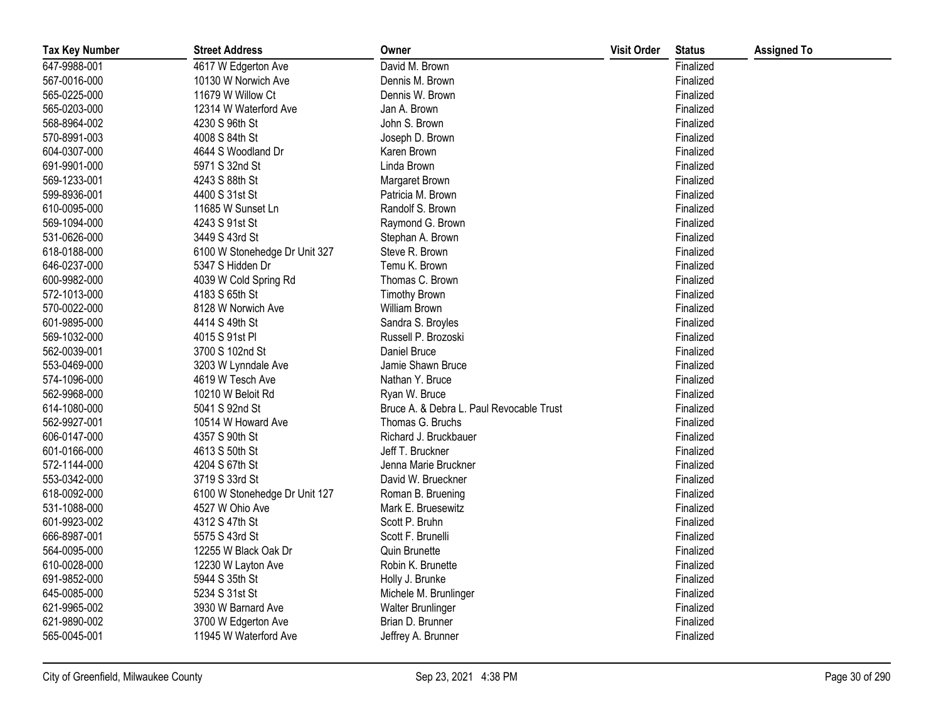| <b>Tax Key Number</b> | <b>Street Address</b>         | Owner                                    | <b>Visit Order</b> | <b>Status</b> | <b>Assigned To</b> |
|-----------------------|-------------------------------|------------------------------------------|--------------------|---------------|--------------------|
| 647-9988-001          | 4617 W Edgerton Ave           | David M. Brown                           |                    | Finalized     |                    |
| 567-0016-000          | 10130 W Norwich Ave           | Dennis M. Brown                          |                    | Finalized     |                    |
| 565-0225-000          | 11679 W Willow Ct             | Dennis W. Brown                          |                    | Finalized     |                    |
| 565-0203-000          | 12314 W Waterford Ave         | Jan A. Brown                             |                    | Finalized     |                    |
| 568-8964-002          | 4230 S 96th St                | John S. Brown                            |                    | Finalized     |                    |
| 570-8991-003          | 4008 S 84th St                | Joseph D. Brown                          |                    | Finalized     |                    |
| 604-0307-000          | 4644 S Woodland Dr            | Karen Brown                              |                    | Finalized     |                    |
| 691-9901-000          | 5971 S 32nd St                | Linda Brown                              |                    | Finalized     |                    |
| 569-1233-001          | 4243 S 88th St                | Margaret Brown                           |                    | Finalized     |                    |
| 599-8936-001          | 4400 S 31st St                | Patricia M. Brown                        |                    | Finalized     |                    |
| 610-0095-000          | 11685 W Sunset Ln             | Randolf S. Brown                         |                    | Finalized     |                    |
| 569-1094-000          | 4243 S 91st St                | Raymond G. Brown                         |                    | Finalized     |                    |
| 531-0626-000          | 3449 S 43rd St                | Stephan A. Brown                         |                    | Finalized     |                    |
| 618-0188-000          | 6100 W Stonehedge Dr Unit 327 | Steve R. Brown                           |                    | Finalized     |                    |
| 646-0237-000          | 5347 S Hidden Dr              | Temu K. Brown                            |                    | Finalized     |                    |
| 600-9982-000          | 4039 W Cold Spring Rd         | Thomas C. Brown                          |                    | Finalized     |                    |
| 572-1013-000          | 4183 S 65th St                | <b>Timothy Brown</b>                     |                    | Finalized     |                    |
| 570-0022-000          | 8128 W Norwich Ave            | William Brown                            |                    | Finalized     |                    |
| 601-9895-000          | 4414 S 49th St                | Sandra S. Broyles                        |                    | Finalized     |                    |
| 569-1032-000          | 4015 S 91st Pl                | Russell P. Brozoski                      |                    | Finalized     |                    |
| 562-0039-001          | 3700 S 102nd St               | Daniel Bruce                             |                    | Finalized     |                    |
| 553-0469-000          | 3203 W Lynndale Ave           | Jamie Shawn Bruce                        |                    | Finalized     |                    |
| 574-1096-000          | 4619 W Tesch Ave              | Nathan Y. Bruce                          |                    | Finalized     |                    |
| 562-9968-000          | 10210 W Beloit Rd             | Ryan W. Bruce                            |                    | Finalized     |                    |
| 614-1080-000          | 5041 S 92nd St                | Bruce A. & Debra L. Paul Revocable Trust |                    | Finalized     |                    |
| 562-9927-001          | 10514 W Howard Ave            | Thomas G. Bruchs                         |                    | Finalized     |                    |
| 606-0147-000          | 4357 S 90th St                | Richard J. Bruckbauer                    |                    | Finalized     |                    |
| 601-0166-000          | 4613 S 50th St                | Jeff T. Bruckner                         |                    | Finalized     |                    |
| 572-1144-000          | 4204 S 67th St                | Jenna Marie Bruckner                     |                    | Finalized     |                    |
| 553-0342-000          | 3719 S 33rd St                | David W. Brueckner                       |                    | Finalized     |                    |
| 618-0092-000          | 6100 W Stonehedge Dr Unit 127 | Roman B. Bruening                        |                    | Finalized     |                    |
| 531-1088-000          | 4527 W Ohio Ave               | Mark E. Bruesewitz                       |                    | Finalized     |                    |
| 601-9923-002          | 4312 S 47th St                | Scott P. Bruhn                           |                    | Finalized     |                    |
| 666-8987-001          | 5575 S 43rd St                | Scott F. Brunelli                        |                    | Finalized     |                    |
| 564-0095-000          | 12255 W Black Oak Dr          | Quin Brunette                            |                    | Finalized     |                    |
| 610-0028-000          | 12230 W Layton Ave            | Robin K. Brunette                        |                    | Finalized     |                    |
| 691-9852-000          | 5944 S 35th St                | Holly J. Brunke                          |                    | Finalized     |                    |
| 645-0085-000          | 5234 S 31st St                | Michele M. Brunlinger                    |                    | Finalized     |                    |
| 621-9965-002          | 3930 W Barnard Ave            | <b>Walter Brunlinger</b>                 |                    | Finalized     |                    |
| 621-9890-002          | 3700 W Edgerton Ave           | Brian D. Brunner                         |                    | Finalized     |                    |
| 565-0045-001          | 11945 W Waterford Ave         | Jeffrey A. Brunner                       |                    | Finalized     |                    |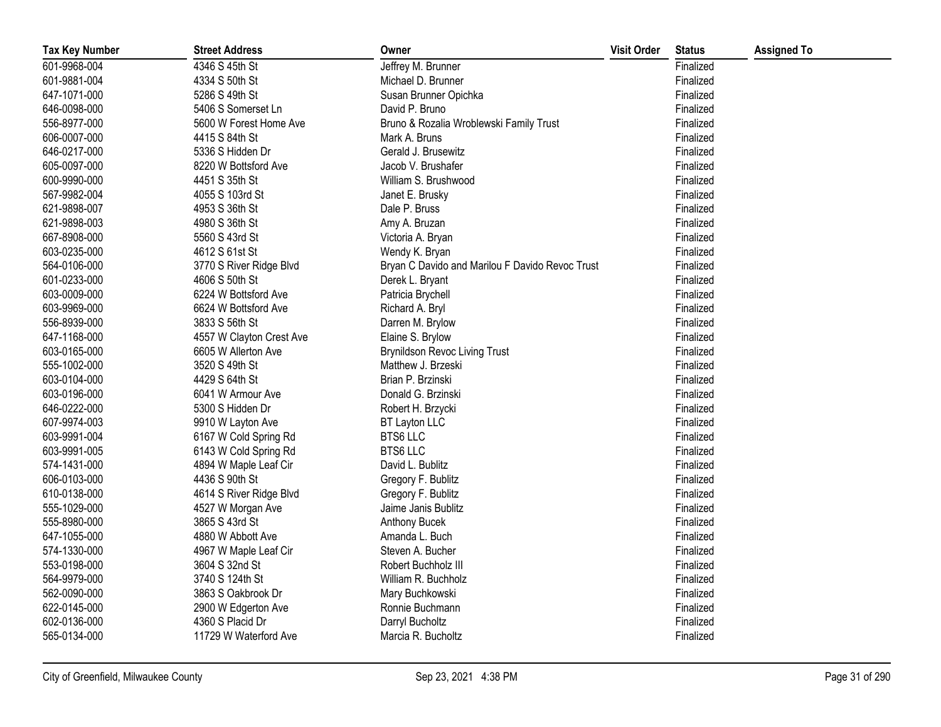| <b>Tax Key Number</b> | <b>Street Address</b>    | Owner                                           | <b>Visit Order</b> | <b>Status</b> | <b>Assigned To</b> |
|-----------------------|--------------------------|-------------------------------------------------|--------------------|---------------|--------------------|
| 601-9968-004          | 4346 S 45th St           | Jeffrey M. Brunner                              |                    | Finalized     |                    |
| 601-9881-004          | 4334 S 50th St           | Michael D. Brunner                              |                    | Finalized     |                    |
| 647-1071-000          | 5286 S 49th St           | Susan Brunner Opichka                           |                    | Finalized     |                    |
| 646-0098-000          | 5406 S Somerset Ln       | David P. Bruno                                  |                    | Finalized     |                    |
| 556-8977-000          | 5600 W Forest Home Ave   | Bruno & Rozalia Wroblewski Family Trust         |                    | Finalized     |                    |
| 606-0007-000          | 4415 S 84th St           | Mark A. Bruns                                   |                    | Finalized     |                    |
| 646-0217-000          | 5336 S Hidden Dr         | Gerald J. Brusewitz                             |                    | Finalized     |                    |
| 605-0097-000          | 8220 W Bottsford Ave     | Jacob V. Brushafer                              |                    | Finalized     |                    |
| 600-9990-000          | 4451 S 35th St           | William S. Brushwood                            |                    | Finalized     |                    |
| 567-9982-004          | 4055 S 103rd St          | Janet E. Brusky                                 |                    | Finalized     |                    |
| 621-9898-007          | 4953 S 36th St           | Dale P. Bruss                                   |                    | Finalized     |                    |
| 621-9898-003          | 4980 S 36th St           | Amy A. Bruzan                                   |                    | Finalized     |                    |
| 667-8908-000          | 5560 S 43rd St           | Victoria A. Bryan                               |                    | Finalized     |                    |
| 603-0235-000          | 4612 S 61st St           | Wendy K. Bryan                                  |                    | Finalized     |                    |
| 564-0106-000          | 3770 S River Ridge Blvd  | Bryan C Davido and Marilou F Davido Revoc Trust |                    | Finalized     |                    |
| 601-0233-000          | 4606 S 50th St           | Derek L. Bryant                                 |                    | Finalized     |                    |
| 603-0009-000          | 6224 W Bottsford Ave     | Patricia Brychell                               |                    | Finalized     |                    |
| 603-9969-000          | 6624 W Bottsford Ave     | Richard A. Bryl                                 |                    | Finalized     |                    |
| 556-8939-000          | 3833 S 56th St           | Darren M. Brylow                                |                    | Finalized     |                    |
| 647-1168-000          | 4557 W Clayton Crest Ave | Elaine S. Brylow                                |                    | Finalized     |                    |
| 603-0165-000          | 6605 W Allerton Ave      | <b>Brynildson Revoc Living Trust</b>            |                    | Finalized     |                    |
| 555-1002-000          | 3520 S 49th St           | Matthew J. Brzeski                              |                    | Finalized     |                    |
| 603-0104-000          | 4429 S 64th St           | Brian P. Brzinski                               |                    | Finalized     |                    |
| 603-0196-000          | 6041 W Armour Ave        | Donald G. Brzinski                              |                    | Finalized     |                    |
| 646-0222-000          | 5300 S Hidden Dr         | Robert H. Brzycki                               |                    | Finalized     |                    |
| 607-9974-003          | 9910 W Layton Ave        | BT Layton LLC                                   |                    | Finalized     |                    |
| 603-9991-004          | 6167 W Cold Spring Rd    | <b>BTS6 LLC</b>                                 |                    | Finalized     |                    |
| 603-9991-005          | 6143 W Cold Spring Rd    | <b>BTS6 LLC</b>                                 |                    | Finalized     |                    |
| 574-1431-000          | 4894 W Maple Leaf Cir    | David L. Bublitz                                |                    | Finalized     |                    |
| 606-0103-000          | 4436 S 90th St           | Gregory F. Bublitz                              |                    | Finalized     |                    |
| 610-0138-000          | 4614 S River Ridge Blvd  | Gregory F. Bublitz                              |                    | Finalized     |                    |
| 555-1029-000          | 4527 W Morgan Ave        | Jaime Janis Bublitz                             |                    | Finalized     |                    |
| 555-8980-000          | 3865 S 43rd St           | Anthony Bucek                                   |                    | Finalized     |                    |
| 647-1055-000          | 4880 W Abbott Ave        | Amanda L. Buch                                  |                    | Finalized     |                    |
| 574-1330-000          | 4967 W Maple Leaf Cir    | Steven A. Bucher                                |                    | Finalized     |                    |
| 553-0198-000          | 3604 S 32nd St           | Robert Buchholz III                             |                    | Finalized     |                    |
| 564-9979-000          | 3740 S 124th St          | William R. Buchholz                             |                    | Finalized     |                    |
| 562-0090-000          | 3863 S Oakbrook Dr       | Mary Buchkowski                                 |                    | Finalized     |                    |
| 622-0145-000          | 2900 W Edgerton Ave      | Ronnie Buchmann                                 |                    | Finalized     |                    |
| 602-0136-000          | 4360 S Placid Dr         | Darryl Bucholtz                                 |                    | Finalized     |                    |
| 565-0134-000          | 11729 W Waterford Ave    | Marcia R. Bucholtz                              |                    | Finalized     |                    |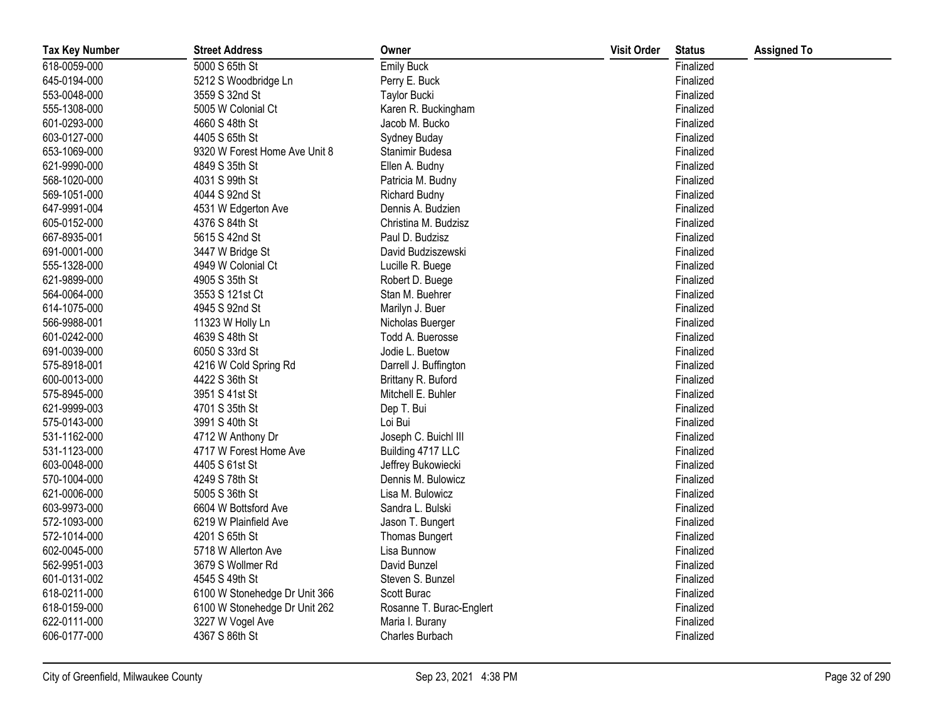| <b>Tax Key Number</b> | <b>Street Address</b>         | Owner                    | <b>Visit Order</b> | <b>Status</b> | <b>Assigned To</b> |
|-----------------------|-------------------------------|--------------------------|--------------------|---------------|--------------------|
| 618-0059-000          | 5000 S 65th St                | <b>Emily Buck</b>        |                    | Finalized     |                    |
| 645-0194-000          | 5212 S Woodbridge Ln          | Perry E. Buck            |                    | Finalized     |                    |
| 553-0048-000          | 3559 S 32nd St                | <b>Taylor Bucki</b>      |                    | Finalized     |                    |
| 555-1308-000          | 5005 W Colonial Ct            | Karen R. Buckingham      |                    | Finalized     |                    |
| 601-0293-000          | 4660 S 48th St                | Jacob M. Bucko           |                    | Finalized     |                    |
| 603-0127-000          | 4405 S 65th St                | Sydney Buday             |                    | Finalized     |                    |
| 653-1069-000          | 9320 W Forest Home Ave Unit 8 | Stanimir Budesa          |                    | Finalized     |                    |
| 621-9990-000          | 4849 S 35th St                | Ellen A. Budny           |                    | Finalized     |                    |
| 568-1020-000          | 4031 S 99th St                | Patricia M. Budny        |                    | Finalized     |                    |
| 569-1051-000          | 4044 S 92nd St                | <b>Richard Budny</b>     |                    | Finalized     |                    |
| 647-9991-004          | 4531 W Edgerton Ave           | Dennis A. Budzien        |                    | Finalized     |                    |
| 605-0152-000          | 4376 S 84th St                | Christina M. Budzisz     |                    | Finalized     |                    |
| 667-8935-001          | 5615 S 42nd St                | Paul D. Budzisz          |                    | Finalized     |                    |
| 691-0001-000          | 3447 W Bridge St              | David Budziszewski       |                    | Finalized     |                    |
| 555-1328-000          | 4949 W Colonial Ct            | Lucille R. Buege         |                    | Finalized     |                    |
| 621-9899-000          | 4905 S 35th St                | Robert D. Buege          |                    | Finalized     |                    |
| 564-0064-000          | 3553 S 121st Ct               | Stan M. Buehrer          |                    | Finalized     |                    |
| 614-1075-000          | 4945 S 92nd St                | Marilyn J. Buer          |                    | Finalized     |                    |
| 566-9988-001          | 11323 W Holly Ln              | Nicholas Buerger         |                    | Finalized     |                    |
| 601-0242-000          | 4639 S 48th St                | Todd A. Buerosse         |                    | Finalized     |                    |
| 691-0039-000          | 6050 S 33rd St                | Jodie L. Buetow          |                    | Finalized     |                    |
| 575-8918-001          | 4216 W Cold Spring Rd         | Darrell J. Buffington    |                    | Finalized     |                    |
| 600-0013-000          | 4422 S 36th St                | Brittany R. Buford       |                    | Finalized     |                    |
| 575-8945-000          | 3951 S 41st St                | Mitchell E. Buhler       |                    | Finalized     |                    |
| 621-9999-003          | 4701 S 35th St                | Dep T. Bui               |                    | Finalized     |                    |
| 575-0143-000          | 3991 S 40th St                | Loi Bui                  |                    | Finalized     |                    |
| 531-1162-000          | 4712 W Anthony Dr             | Joseph C. Buichl III     |                    | Finalized     |                    |
| 531-1123-000          | 4717 W Forest Home Ave        | Building 4717 LLC        |                    | Finalized     |                    |
| 603-0048-000          | 4405 S 61st St                | Jeffrey Bukowiecki       |                    | Finalized     |                    |
| 570-1004-000          | 4249 S 78th St                | Dennis M. Bulowicz       |                    | Finalized     |                    |
| 621-0006-000          | 5005 S 36th St                | Lisa M. Bulowicz         |                    | Finalized     |                    |
| 603-9973-000          | 6604 W Bottsford Ave          | Sandra L. Bulski         |                    | Finalized     |                    |
| 572-1093-000          | 6219 W Plainfield Ave         | Jason T. Bungert         |                    | Finalized     |                    |
| 572-1014-000          | 4201 S 65th St                | Thomas Bungert           |                    | Finalized     |                    |
| 602-0045-000          | 5718 W Allerton Ave           | Lisa Bunnow              |                    | Finalized     |                    |
| 562-9951-003          | 3679 S Wollmer Rd             | David Bunzel             |                    | Finalized     |                    |
| 601-0131-002          | 4545 S 49th St                | Steven S. Bunzel         |                    | Finalized     |                    |
| 618-0211-000          | 6100 W Stonehedge Dr Unit 366 | Scott Burac              |                    | Finalized     |                    |
| 618-0159-000          | 6100 W Stonehedge Dr Unit 262 | Rosanne T. Burac-Englert |                    | Finalized     |                    |
| 622-0111-000          | 3227 W Vogel Ave              | Maria I. Burany          |                    | Finalized     |                    |
| 606-0177-000          | 4367 S 86th St                | Charles Burbach          |                    | Finalized     |                    |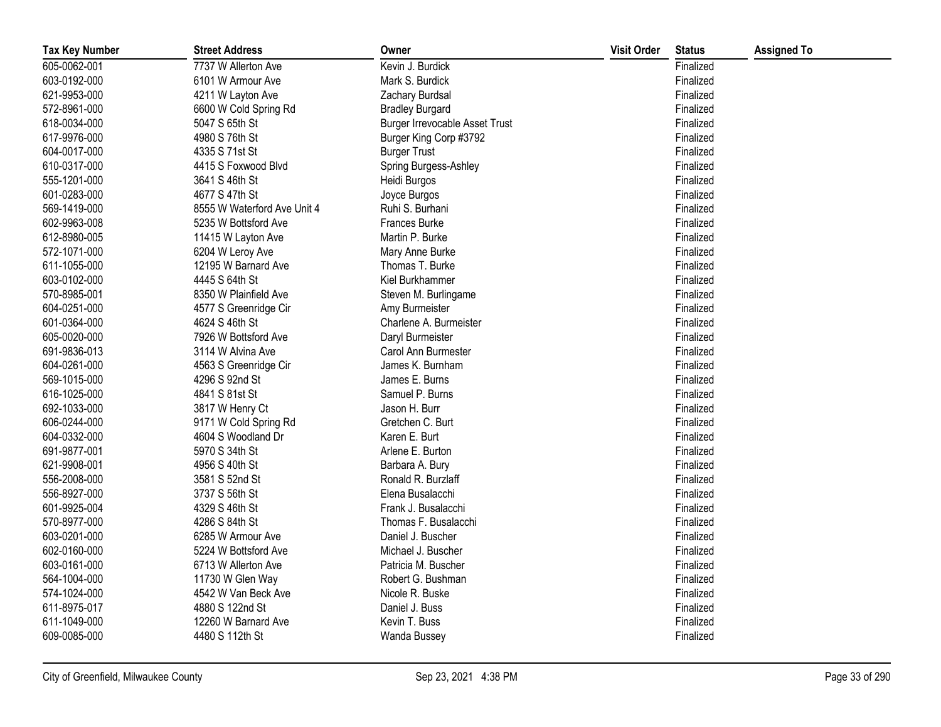| <b>Tax Key Number</b> | <b>Street Address</b>       | Owner                                 | <b>Visit Order</b> | <b>Status</b> | <b>Assigned To</b> |
|-----------------------|-----------------------------|---------------------------------------|--------------------|---------------|--------------------|
| 605-0062-001          | 7737 W Allerton Ave         | Kevin J. Burdick                      |                    | Finalized     |                    |
| 603-0192-000          | 6101 W Armour Ave           | Mark S. Burdick                       |                    | Finalized     |                    |
| 621-9953-000          | 4211 W Layton Ave           | Zachary Burdsal                       |                    | Finalized     |                    |
| 572-8961-000          | 6600 W Cold Spring Rd       | <b>Bradley Burgard</b>                |                    | Finalized     |                    |
| 618-0034-000          | 5047 S 65th St              | <b>Burger Irrevocable Asset Trust</b> |                    | Finalized     |                    |
| 617-9976-000          | 4980 S 76th St              | Burger King Corp #3792                |                    | Finalized     |                    |
| 604-0017-000          | 4335 S 71st St              | <b>Burger Trust</b>                   |                    | Finalized     |                    |
| 610-0317-000          | 4415 S Foxwood Blvd         | Spring Burgess-Ashley                 |                    | Finalized     |                    |
| 555-1201-000          | 3641 S 46th St              | Heidi Burgos                          |                    | Finalized     |                    |
| 601-0283-000          | 4677 S 47th St              | Joyce Burgos                          |                    | Finalized     |                    |
| 569-1419-000          | 8555 W Waterford Ave Unit 4 | Ruhi S. Burhani                       |                    | Finalized     |                    |
| 602-9963-008          | 5235 W Bottsford Ave        | Frances Burke                         |                    | Finalized     |                    |
| 612-8980-005          | 11415 W Layton Ave          | Martin P. Burke                       |                    | Finalized     |                    |
| 572-1071-000          | 6204 W Leroy Ave            | Mary Anne Burke                       |                    | Finalized     |                    |
| 611-1055-000          | 12195 W Barnard Ave         | Thomas T. Burke                       |                    | Finalized     |                    |
| 603-0102-000          | 4445 S 64th St              | Kiel Burkhammer                       |                    | Finalized     |                    |
| 570-8985-001          | 8350 W Plainfield Ave       | Steven M. Burlingame                  |                    | Finalized     |                    |
| 604-0251-000          | 4577 S Greenridge Cir       | Amy Burmeister                        |                    | Finalized     |                    |
| 601-0364-000          | 4624 S 46th St              | Charlene A. Burmeister                |                    | Finalized     |                    |
| 605-0020-000          | 7926 W Bottsford Ave        | Daryl Burmeister                      |                    | Finalized     |                    |
| 691-9836-013          | 3114 W Alvina Ave           | Carol Ann Burmester                   |                    | Finalized     |                    |
| 604-0261-000          | 4563 S Greenridge Cir       | James K. Burnham                      |                    | Finalized     |                    |
| 569-1015-000          | 4296 S 92nd St              | James E. Burns                        |                    | Finalized     |                    |
| 616-1025-000          | 4841 S 81st St              | Samuel P. Burns                       |                    | Finalized     |                    |
| 692-1033-000          | 3817 W Henry Ct             | Jason H. Burr                         |                    | Finalized     |                    |
| 606-0244-000          | 9171 W Cold Spring Rd       | Gretchen C. Burt                      |                    | Finalized     |                    |
| 604-0332-000          | 4604 S Woodland Dr          | Karen E. Burt                         |                    | Finalized     |                    |
| 691-9877-001          | 5970 S 34th St              | Arlene E. Burton                      |                    | Finalized     |                    |
| 621-9908-001          | 4956 S 40th St              | Barbara A. Bury                       |                    | Finalized     |                    |
| 556-2008-000          | 3581 S 52nd St              | Ronald R. Burzlaff                    |                    | Finalized     |                    |
| 556-8927-000          | 3737 S 56th St              | Elena Busalacchi                      |                    | Finalized     |                    |
| 601-9925-004          | 4329 S 46th St              | Frank J. Busalacchi                   |                    | Finalized     |                    |
| 570-8977-000          | 4286 S 84th St              | Thomas F. Busalacchi                  |                    | Finalized     |                    |
| 603-0201-000          | 6285 W Armour Ave           | Daniel J. Buscher                     |                    | Finalized     |                    |
| 602-0160-000          | 5224 W Bottsford Ave        | Michael J. Buscher                    |                    | Finalized     |                    |
| 603-0161-000          | 6713 W Allerton Ave         | Patricia M. Buscher                   |                    | Finalized     |                    |
| 564-1004-000          | 11730 W Glen Way            | Robert G. Bushman                     |                    | Finalized     |                    |
| 574-1024-000          | 4542 W Van Beck Ave         | Nicole R. Buske                       |                    | Finalized     |                    |
| 611-8975-017          | 4880 S 122nd St             | Daniel J. Buss                        |                    | Finalized     |                    |
| 611-1049-000          | 12260 W Barnard Ave         | Kevin T. Buss                         |                    | Finalized     |                    |
| 609-0085-000          | 4480 S 112th St             | Wanda Bussey                          |                    | Finalized     |                    |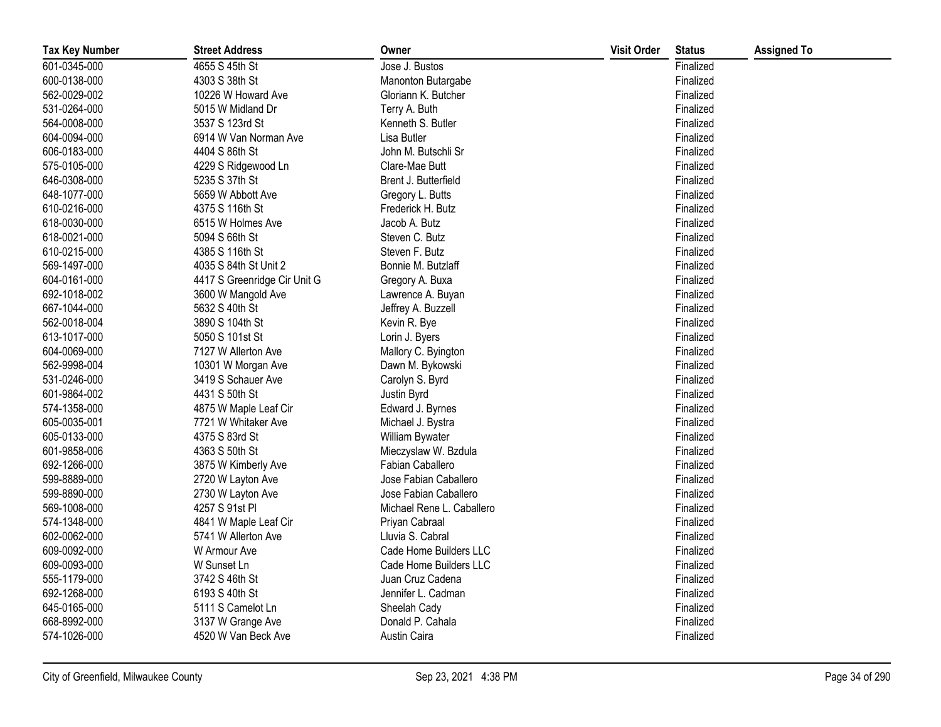| <b>Tax Key Number</b> | <b>Street Address</b>        | Owner                     | <b>Visit Order</b> | <b>Status</b> | <b>Assigned To</b> |
|-----------------------|------------------------------|---------------------------|--------------------|---------------|--------------------|
| 601-0345-000          | 4655 S 45th St               | Jose J. Bustos            |                    | Finalized     |                    |
| 600-0138-000          | 4303 S 38th St               | Manonton Butargabe        |                    | Finalized     |                    |
| 562-0029-002          | 10226 W Howard Ave           | Gloriann K. Butcher       |                    | Finalized     |                    |
| 531-0264-000          | 5015 W Midland Dr            | Terry A. Buth             |                    | Finalized     |                    |
| 564-0008-000          | 3537 S 123rd St              | Kenneth S. Butler         |                    | Finalized     |                    |
| 604-0094-000          | 6914 W Van Norman Ave        | Lisa Butler               |                    | Finalized     |                    |
| 606-0183-000          | 4404 S 86th St               | John M. Butschli Sr       |                    | Finalized     |                    |
| 575-0105-000          | 4229 S Ridgewood Ln          | Clare-Mae Butt            |                    | Finalized     |                    |
| 646-0308-000          | 5235 S 37th St               | Brent J. Butterfield      |                    | Finalized     |                    |
| 648-1077-000          | 5659 W Abbott Ave            | Gregory L. Butts          |                    | Finalized     |                    |
| 610-0216-000          | 4375 S 116th St              | Frederick H. Butz         |                    | Finalized     |                    |
| 618-0030-000          | 6515 W Holmes Ave            | Jacob A. Butz             |                    | Finalized     |                    |
| 618-0021-000          | 5094 S 66th St               | Steven C. Butz            |                    | Finalized     |                    |
| 610-0215-000          | 4385 S 116th St              | Steven F. Butz            |                    | Finalized     |                    |
| 569-1497-000          | 4035 S 84th St Unit 2        | Bonnie M. Butzlaff        |                    | Finalized     |                    |
| 604-0161-000          | 4417 S Greenridge Cir Unit G | Gregory A. Buxa           |                    | Finalized     |                    |
| 692-1018-002          | 3600 W Mangold Ave           | Lawrence A. Buyan         |                    | Finalized     |                    |
| 667-1044-000          | 5632 S 40th St               | Jeffrey A. Buzzell        |                    | Finalized     |                    |
| 562-0018-004          | 3890 S 104th St              | Kevin R. Bye              |                    | Finalized     |                    |
| 613-1017-000          | 5050 S 101st St              | Lorin J. Byers            |                    | Finalized     |                    |
| 604-0069-000          | 7127 W Allerton Ave          | Mallory C. Byington       |                    | Finalized     |                    |
| 562-9998-004          | 10301 W Morgan Ave           | Dawn M. Bykowski          |                    | Finalized     |                    |
| 531-0246-000          | 3419 S Schauer Ave           | Carolyn S. Byrd           |                    | Finalized     |                    |
| 601-9864-002          | 4431 S 50th St               | Justin Byrd               |                    | Finalized     |                    |
| 574-1358-000          | 4875 W Maple Leaf Cir        | Edward J. Byrnes          |                    | Finalized     |                    |
| 605-0035-001          | 7721 W Whitaker Ave          | Michael J. Bystra         |                    | Finalized     |                    |
| 605-0133-000          | 4375 S 83rd St               | William Bywater           |                    | Finalized     |                    |
| 601-9858-006          | 4363 S 50th St               | Mieczyslaw W. Bzdula      |                    | Finalized     |                    |
| 692-1266-000          | 3875 W Kimberly Ave          | Fabian Caballero          |                    | Finalized     |                    |
| 599-8889-000          | 2720 W Layton Ave            | Jose Fabian Caballero     |                    | Finalized     |                    |
| 599-8890-000          | 2730 W Layton Ave            | Jose Fabian Caballero     |                    | Finalized     |                    |
| 569-1008-000          | 4257 S 91st Pl               | Michael Rene L. Caballero |                    | Finalized     |                    |
| 574-1348-000          | 4841 W Maple Leaf Cir        | Priyan Cabraal            |                    | Finalized     |                    |
| 602-0062-000          | 5741 W Allerton Ave          | Lluvia S. Cabral          |                    | Finalized     |                    |
| 609-0092-000          | W Armour Ave                 | Cade Home Builders LLC    |                    | Finalized     |                    |
| 609-0093-000          | W Sunset Ln                  | Cade Home Builders LLC    |                    | Finalized     |                    |
| 555-1179-000          | 3742 S 46th St               | Juan Cruz Cadena          |                    | Finalized     |                    |
| 692-1268-000          | 6193 S 40th St               | Jennifer L. Cadman        |                    | Finalized     |                    |
| 645-0165-000          | 5111 S Camelot Ln            | Sheelah Cady              |                    | Finalized     |                    |
| 668-8992-000          | 3137 W Grange Ave            | Donald P. Cahala          |                    | Finalized     |                    |
| 574-1026-000          | 4520 W Van Beck Ave          | Austin Caira              |                    | Finalized     |                    |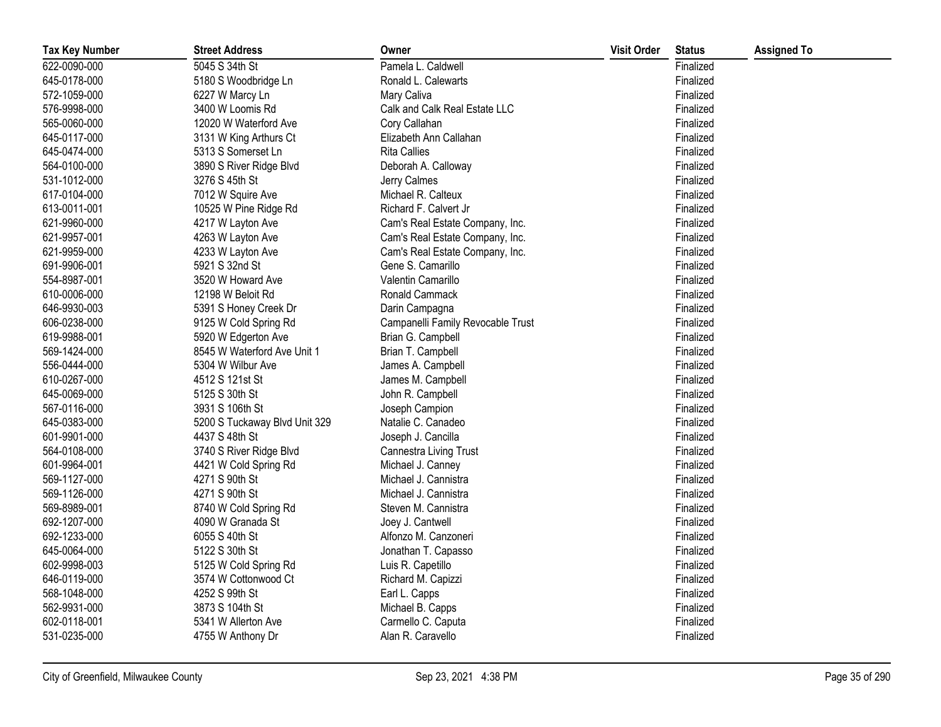| <b>Tax Key Number</b> | <b>Street Address</b>         | Owner                             | <b>Visit Order</b> | <b>Status</b> | <b>Assigned To</b> |
|-----------------------|-------------------------------|-----------------------------------|--------------------|---------------|--------------------|
| 622-0090-000          | 5045 S 34th St                | Pamela L. Caldwell                |                    | Finalized     |                    |
| 645-0178-000          | 5180 S Woodbridge Ln          | Ronald L. Calewarts               |                    | Finalized     |                    |
| 572-1059-000          | 6227 W Marcy Ln               | Mary Caliva                       |                    | Finalized     |                    |
| 576-9998-000          | 3400 W Loomis Rd              | Calk and Calk Real Estate LLC     |                    | Finalized     |                    |
| 565-0060-000          | 12020 W Waterford Ave         | Cory Callahan                     |                    | Finalized     |                    |
| 645-0117-000          | 3131 W King Arthurs Ct        | Elizabeth Ann Callahan            |                    | Finalized     |                    |
| 645-0474-000          | 5313 S Somerset Ln            | <b>Rita Callies</b>               |                    | Finalized     |                    |
| 564-0100-000          | 3890 S River Ridge Blvd       | Deborah A. Calloway               |                    | Finalized     |                    |
| 531-1012-000          | 3276 S 45th St                | Jerry Calmes                      |                    | Finalized     |                    |
| 617-0104-000          | 7012 W Squire Ave             | Michael R. Calteux                |                    | Finalized     |                    |
| 613-0011-001          | 10525 W Pine Ridge Rd         | Richard F. Calvert Jr             |                    | Finalized     |                    |
| 621-9960-000          | 4217 W Layton Ave             | Cam's Real Estate Company, Inc.   |                    | Finalized     |                    |
| 621-9957-001          | 4263 W Layton Ave             | Cam's Real Estate Company, Inc.   |                    | Finalized     |                    |
| 621-9959-000          | 4233 W Layton Ave             | Cam's Real Estate Company, Inc.   |                    | Finalized     |                    |
| 691-9906-001          | 5921 S 32nd St                | Gene S. Camarillo                 |                    | Finalized     |                    |
| 554-8987-001          | 3520 W Howard Ave             | Valentin Camarillo                |                    | Finalized     |                    |
| 610-0006-000          | 12198 W Beloit Rd             | Ronald Cammack                    |                    | Finalized     |                    |
| 646-9930-003          | 5391 S Honey Creek Dr         | Darin Campagna                    |                    | Finalized     |                    |
| 606-0238-000          | 9125 W Cold Spring Rd         | Campanelli Family Revocable Trust |                    | Finalized     |                    |
| 619-9988-001          | 5920 W Edgerton Ave           | Brian G. Campbell                 |                    | Finalized     |                    |
| 569-1424-000          | 8545 W Waterford Ave Unit 1   | Brian T. Campbell                 |                    | Finalized     |                    |
| 556-0444-000          | 5304 W Wilbur Ave             | James A. Campbell                 |                    | Finalized     |                    |
| 610-0267-000          | 4512 S 121st St               | James M. Campbell                 |                    | Finalized     |                    |
| 645-0069-000          | 5125 S 30th St                | John R. Campbell                  |                    | Finalized     |                    |
| 567-0116-000          | 3931 S 106th St               | Joseph Campion                    |                    | Finalized     |                    |
| 645-0383-000          | 5200 S Tuckaway Blvd Unit 329 | Natalie C. Canadeo                |                    | Finalized     |                    |
| 601-9901-000          | 4437 S 48th St                | Joseph J. Cancilla                |                    | Finalized     |                    |
| 564-0108-000          | 3740 S River Ridge Blvd       | Cannestra Living Trust            |                    | Finalized     |                    |
| 601-9964-001          | 4421 W Cold Spring Rd         | Michael J. Canney                 |                    | Finalized     |                    |
| 569-1127-000          | 4271 S 90th St                | Michael J. Cannistra              |                    | Finalized     |                    |
| 569-1126-000          | 4271 S 90th St                | Michael J. Cannistra              |                    | Finalized     |                    |
| 569-8989-001          | 8740 W Cold Spring Rd         | Steven M. Cannistra               |                    | Finalized     |                    |
| 692-1207-000          | 4090 W Granada St             | Joey J. Cantwell                  |                    | Finalized     |                    |
| 692-1233-000          | 6055 S 40th St                | Alfonzo M. Canzoneri              |                    | Finalized     |                    |
| 645-0064-000          | 5122 S 30th St                | Jonathan T. Capasso               |                    | Finalized     |                    |
| 602-9998-003          | 5125 W Cold Spring Rd         | Luis R. Capetillo                 |                    | Finalized     |                    |
| 646-0119-000          | 3574 W Cottonwood Ct          | Richard M. Capizzi                |                    | Finalized     |                    |
| 568-1048-000          | 4252 S 99th St                | Earl L. Capps                     |                    | Finalized     |                    |
| 562-9931-000          | 3873 S 104th St               | Michael B. Capps                  |                    | Finalized     |                    |
| 602-0118-001          | 5341 W Allerton Ave           | Carmello C. Caputa                |                    | Finalized     |                    |
| 531-0235-000          | 4755 W Anthony Dr             | Alan R. Caravello                 |                    | Finalized     |                    |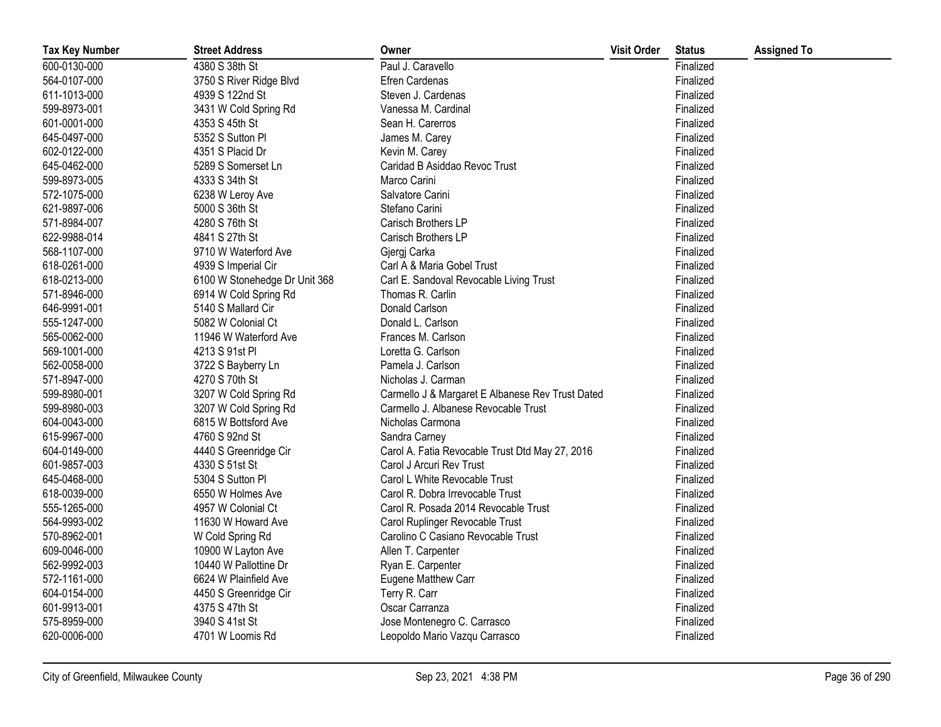| <b>Tax Key Number</b> | <b>Street Address</b>         | Owner                                            | <b>Visit Order</b> | <b>Status</b> | <b>Assigned To</b> |
|-----------------------|-------------------------------|--------------------------------------------------|--------------------|---------------|--------------------|
| 600-0130-000          | 4380 S 38th St                | Paul J. Caravello                                |                    | Finalized     |                    |
| 564-0107-000          | 3750 S River Ridge Blvd       | <b>Efren Cardenas</b>                            |                    | Finalized     |                    |
| 611-1013-000          | 4939 S 122nd St               | Steven J. Cardenas                               |                    | Finalized     |                    |
| 599-8973-001          | 3431 W Cold Spring Rd         | Vanessa M. Cardinal                              |                    | Finalized     |                    |
| 601-0001-000          | 4353 S 45th St                | Sean H. Carerros                                 |                    | Finalized     |                    |
| 645-0497-000          | 5352 S Sutton Pl              | James M. Carey                                   |                    | Finalized     |                    |
| 602-0122-000          | 4351 S Placid Dr              | Kevin M. Carey                                   |                    | Finalized     |                    |
| 645-0462-000          | 5289 S Somerset Ln            | Caridad B Asiddao Revoc Trust                    |                    | Finalized     |                    |
| 599-8973-005          | 4333 S 34th St                | Marco Carini                                     |                    | Finalized     |                    |
| 572-1075-000          | 6238 W Leroy Ave              | Salvatore Carini                                 |                    | Finalized     |                    |
| 621-9897-006          | 5000 S 36th St                | Stefano Carini                                   |                    | Finalized     |                    |
| 571-8984-007          | 4280 S 76th St                | Carisch Brothers LP                              |                    | Finalized     |                    |
| 622-9988-014          | 4841 S 27th St                | Carisch Brothers LP                              |                    | Finalized     |                    |
| 568-1107-000          | 9710 W Waterford Ave          | Gjergj Carka                                     |                    | Finalized     |                    |
| 618-0261-000          | 4939 S Imperial Cir           | Carl A & Maria Gobel Trust                       |                    | Finalized     |                    |
| 618-0213-000          | 6100 W Stonehedge Dr Unit 368 | Carl E. Sandoval Revocable Living Trust          |                    | Finalized     |                    |
| 571-8946-000          | 6914 W Cold Spring Rd         | Thomas R. Carlin                                 |                    | Finalized     |                    |
| 646-9991-001          | 5140 S Mallard Cir            | Donald Carlson                                   |                    | Finalized     |                    |
| 555-1247-000          | 5082 W Colonial Ct            | Donald L. Carlson                                |                    | Finalized     |                    |
| 565-0062-000          | 11946 W Waterford Ave         | Frances M. Carlson                               |                    | Finalized     |                    |
| 569-1001-000          | 4213 S 91st PI                | Loretta G. Carlson                               |                    | Finalized     |                    |
| 562-0058-000          | 3722 S Bayberry Ln            | Pamela J. Carlson                                |                    | Finalized     |                    |
| 571-8947-000          | 4270 S 70th St                | Nicholas J. Carman                               |                    | Finalized     |                    |
| 599-8980-001          | 3207 W Cold Spring Rd         | Carmello J & Margaret E Albanese Rev Trust Dated |                    | Finalized     |                    |
| 599-8980-003          | 3207 W Cold Spring Rd         | Carmello J. Albanese Revocable Trust             |                    | Finalized     |                    |
| 604-0043-000          | 6815 W Bottsford Ave          | Nicholas Carmona                                 |                    | Finalized     |                    |
| 615-9967-000          | 4760 S 92nd St                | Sandra Carney                                    |                    | Finalized     |                    |
| 604-0149-000          | 4440 S Greenridge Cir         | Carol A. Fatia Revocable Trust Dtd May 27, 2016  |                    | Finalized     |                    |
| 601-9857-003          | 4330 S 51st St                | Carol J Arcuri Rev Trust                         |                    | Finalized     |                    |
| 645-0468-000          | 5304 S Sutton Pl              | Carol L White Revocable Trust                    |                    | Finalized     |                    |
| 618-0039-000          | 6550 W Holmes Ave             | Carol R. Dobra Irrevocable Trust                 |                    | Finalized     |                    |
| 555-1265-000          | 4957 W Colonial Ct            | Carol R. Posada 2014 Revocable Trust             |                    | Finalized     |                    |
| 564-9993-002          | 11630 W Howard Ave            | Carol Ruplinger Revocable Trust                  |                    | Finalized     |                    |
| 570-8962-001          | W Cold Spring Rd              | Carolino C Casiano Revocable Trust               |                    | Finalized     |                    |
| 609-0046-000          | 10900 W Layton Ave            | Allen T. Carpenter                               |                    | Finalized     |                    |
| 562-9992-003          | 10440 W Pallottine Dr         | Ryan E. Carpenter                                |                    | Finalized     |                    |
| 572-1161-000          | 6624 W Plainfield Ave         | Eugene Matthew Carr                              |                    | Finalized     |                    |
| 604-0154-000          | 4450 S Greenridge Cir         | Terry R. Carr                                    |                    | Finalized     |                    |
| 601-9913-001          | 4375 S 47th St                | Oscar Carranza                                   |                    | Finalized     |                    |
| 575-8959-000          | 3940 S 41st St                | Jose Montenegro C. Carrasco                      |                    | Finalized     |                    |
| 620-0006-000          | 4701 W Loomis Rd              | Leopoldo Mario Vazqu Carrasco                    |                    | Finalized     |                    |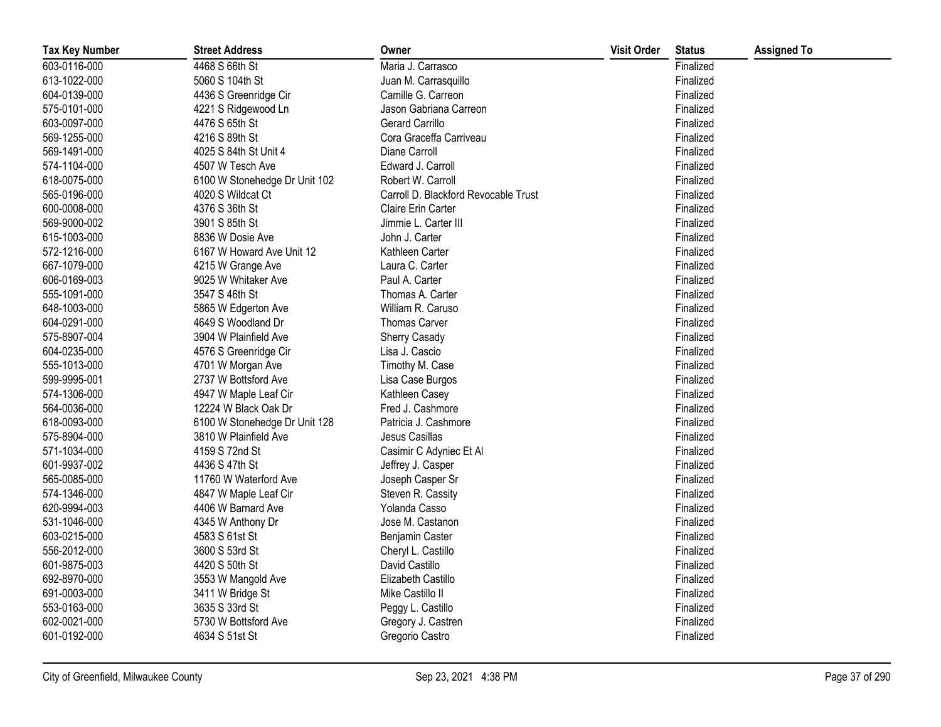| <b>Tax Key Number</b> | <b>Street Address</b>         | Owner                                | <b>Visit Order</b> | <b>Status</b> | <b>Assigned To</b> |
|-----------------------|-------------------------------|--------------------------------------|--------------------|---------------|--------------------|
| 603-0116-000          | 4468 S 66th St                | Maria J. Carrasco                    |                    | Finalized     |                    |
| 613-1022-000          | 5060 S 104th St               | Juan M. Carrasquillo                 |                    | Finalized     |                    |
| 604-0139-000          | 4436 S Greenridge Cir         | Camille G. Carreon                   |                    | Finalized     |                    |
| 575-0101-000          | 4221 S Ridgewood Ln           | Jason Gabriana Carreon               |                    | Finalized     |                    |
| 603-0097-000          | 4476 S 65th St                | <b>Gerard Carrillo</b>               |                    | Finalized     |                    |
| 569-1255-000          | 4216 S 89th St                | Cora Graceffa Carriveau              |                    | Finalized     |                    |
| 569-1491-000          | 4025 S 84th St Unit 4         | Diane Carroll                        |                    | Finalized     |                    |
| 574-1104-000          | 4507 W Tesch Ave              | Edward J. Carroll                    |                    | Finalized     |                    |
| 618-0075-000          | 6100 W Stonehedge Dr Unit 102 | Robert W. Carroll                    |                    | Finalized     |                    |
| 565-0196-000          | 4020 S Wildcat Ct             | Carroll D. Blackford Revocable Trust |                    | Finalized     |                    |
| 600-0008-000          | 4376 S 36th St                | Claire Erin Carter                   |                    | Finalized     |                    |
| 569-9000-002          | 3901 S 85th St                | Jimmie L. Carter III                 |                    | Finalized     |                    |
| 615-1003-000          | 8836 W Dosie Ave              | John J. Carter                       |                    | Finalized     |                    |
| 572-1216-000          | 6167 W Howard Ave Unit 12     | Kathleen Carter                      |                    | Finalized     |                    |
| 667-1079-000          | 4215 W Grange Ave             | Laura C. Carter                      |                    | Finalized     |                    |
| 606-0169-003          | 9025 W Whitaker Ave           | Paul A. Carter                       |                    | Finalized     |                    |
| 555-1091-000          | 3547 S 46th St                | Thomas A. Carter                     |                    | Finalized     |                    |
| 648-1003-000          | 5865 W Edgerton Ave           | William R. Caruso                    |                    | Finalized     |                    |
| 604-0291-000          | 4649 S Woodland Dr            | <b>Thomas Carver</b>                 |                    | Finalized     |                    |
| 575-8907-004          | 3904 W Plainfield Ave         | Sherry Casady                        |                    | Finalized     |                    |
| 604-0235-000          | 4576 S Greenridge Cir         | Lisa J. Cascio                       |                    | Finalized     |                    |
| 555-1013-000          | 4701 W Morgan Ave             | Timothy M. Case                      |                    | Finalized     |                    |
| 599-9995-001          | 2737 W Bottsford Ave          | Lisa Case Burgos                     |                    | Finalized     |                    |
| 574-1306-000          | 4947 W Maple Leaf Cir         | Kathleen Casey                       |                    | Finalized     |                    |
| 564-0036-000          | 12224 W Black Oak Dr          | Fred J. Cashmore                     |                    | Finalized     |                    |
| 618-0093-000          | 6100 W Stonehedge Dr Unit 128 | Patricia J. Cashmore                 |                    | Finalized     |                    |
| 575-8904-000          | 3810 W Plainfield Ave         | Jesus Casillas                       |                    | Finalized     |                    |
| 571-1034-000          | 4159 S 72nd St                | Casimir C Adyniec Et Al              |                    | Finalized     |                    |
| 601-9937-002          | 4436 S 47th St                | Jeffrey J. Casper                    |                    | Finalized     |                    |
| 565-0085-000          | 11760 W Waterford Ave         | Joseph Casper Sr                     |                    | Finalized     |                    |
| 574-1346-000          | 4847 W Maple Leaf Cir         | Steven R. Cassity                    |                    | Finalized     |                    |
| 620-9994-003          | 4406 W Barnard Ave            | Yolanda Casso                        |                    | Finalized     |                    |
| 531-1046-000          | 4345 W Anthony Dr             | Jose M. Castanon                     |                    | Finalized     |                    |
| 603-0215-000          | 4583 S 61st St                | Benjamin Caster                      |                    | Finalized     |                    |
| 556-2012-000          | 3600 S 53rd St                | Cheryl L. Castillo                   |                    | Finalized     |                    |
| 601-9875-003          | 4420 S 50th St                | David Castillo                       |                    | Finalized     |                    |
| 692-8970-000          | 3553 W Mangold Ave            | Elizabeth Castillo                   |                    | Finalized     |                    |
| 691-0003-000          | 3411 W Bridge St              | Mike Castillo II                     |                    | Finalized     |                    |
| 553-0163-000          | 3635 S 33rd St                | Peggy L. Castillo                    |                    | Finalized     |                    |
| 602-0021-000          | 5730 W Bottsford Ave          | Gregory J. Castren                   |                    | Finalized     |                    |
| 601-0192-000          | 4634 S 51st St                | Gregorio Castro                      |                    | Finalized     |                    |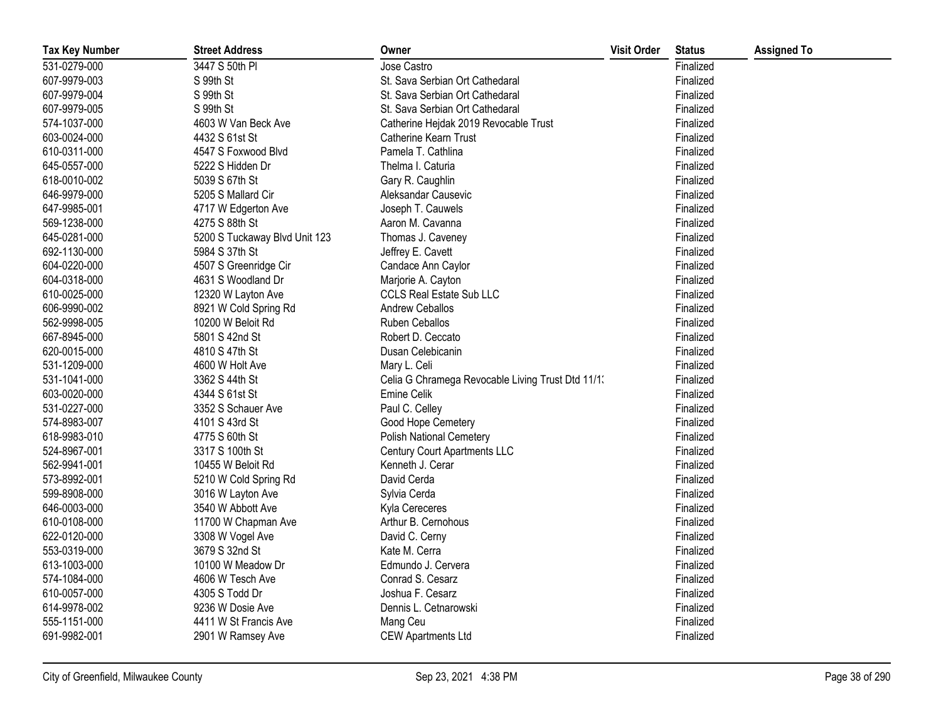| <b>Tax Key Number</b> | <b>Street Address</b>         | Owner                                             | <b>Visit Order</b> | <b>Status</b> | <b>Assigned To</b> |
|-----------------------|-------------------------------|---------------------------------------------------|--------------------|---------------|--------------------|
| 531-0279-000          | 3447 S 50th PI                | Jose Castro                                       |                    | Finalized     |                    |
| 607-9979-003          | S 99th St                     | St. Sava Serbian Ort Cathedaral                   |                    | Finalized     |                    |
| 607-9979-004          | S 99th St                     | St. Sava Serbian Ort Cathedaral                   |                    | Finalized     |                    |
| 607-9979-005          | S 99th St                     | St. Sava Serbian Ort Cathedaral                   |                    | Finalized     |                    |
| 574-1037-000          | 4603 W Van Beck Ave           | Catherine Hejdak 2019 Revocable Trust             |                    | Finalized     |                    |
| 603-0024-000          | 4432 S 61st St                | Catherine Kearn Trust                             |                    | Finalized     |                    |
| 610-0311-000          | 4547 S Foxwood Blvd           | Pamela T. Cathlina                                |                    | Finalized     |                    |
| 645-0557-000          | 5222 S Hidden Dr              | Thelma I. Caturia                                 |                    | Finalized     |                    |
| 618-0010-002          | 5039 S 67th St                | Gary R. Caughlin                                  |                    | Finalized     |                    |
| 646-9979-000          | 5205 S Mallard Cir            | Aleksandar Causevic                               |                    | Finalized     |                    |
| 647-9985-001          | 4717 W Edgerton Ave           | Joseph T. Cauwels                                 |                    | Finalized     |                    |
| 569-1238-000          | 4275 S 88th St                | Aaron M. Cavanna                                  |                    | Finalized     |                    |
| 645-0281-000          | 5200 S Tuckaway Blvd Unit 123 | Thomas J. Caveney                                 |                    | Finalized     |                    |
| 692-1130-000          | 5984 S 37th St                | Jeffrey E. Cavett                                 |                    | Finalized     |                    |
| 604-0220-000          | 4507 S Greenridge Cir         | Candace Ann Caylor                                |                    | Finalized     |                    |
| 604-0318-000          | 4631 S Woodland Dr            | Marjorie A. Cayton                                |                    | Finalized     |                    |
| 610-0025-000          | 12320 W Layton Ave            | <b>CCLS Real Estate Sub LLC</b>                   |                    | Finalized     |                    |
| 606-9990-002          | 8921 W Cold Spring Rd         | <b>Andrew Ceballos</b>                            |                    | Finalized     |                    |
| 562-9998-005          | 10200 W Beloit Rd             | Ruben Ceballos                                    |                    | Finalized     |                    |
| 667-8945-000          | 5801 S 42nd St                | Robert D. Ceccato                                 |                    | Finalized     |                    |
| 620-0015-000          | 4810 S 47th St                | Dusan Celebicanin                                 |                    | Finalized     |                    |
| 531-1209-000          | 4600 W Holt Ave               | Mary L. Celi                                      |                    | Finalized     |                    |
| 531-1041-000          | 3362 S 44th St                | Celia G Chramega Revocable Living Trust Dtd 11/1. |                    | Finalized     |                    |
| 603-0020-000          | 4344 S 61st St                | Emine Celik                                       |                    | Finalized     |                    |
| 531-0227-000          | 3352 S Schauer Ave            | Paul C. Celley                                    |                    | Finalized     |                    |
| 574-8983-007          | 4101 S 43rd St                | Good Hope Cemetery                                |                    | Finalized     |                    |
| 618-9983-010          | 4775 S 60th St                | <b>Polish National Cemetery</b>                   |                    | Finalized     |                    |
| 524-8967-001          | 3317 S 100th St               | <b>Century Court Apartments LLC</b>               |                    | Finalized     |                    |
| 562-9941-001          | 10455 W Beloit Rd             | Kenneth J. Cerar                                  |                    | Finalized     |                    |
| 573-8992-001          | 5210 W Cold Spring Rd         | David Cerda                                       |                    | Finalized     |                    |
| 599-8908-000          | 3016 W Layton Ave             | Sylvia Cerda                                      |                    | Finalized     |                    |
| 646-0003-000          | 3540 W Abbott Ave             | Kyla Cereceres                                    |                    | Finalized     |                    |
| 610-0108-000          | 11700 W Chapman Ave           | Arthur B. Cernohous                               |                    | Finalized     |                    |
| 622-0120-000          | 3308 W Vogel Ave              | David C. Cerny                                    |                    | Finalized     |                    |
| 553-0319-000          | 3679 S 32nd St                | Kate M. Cerra                                     |                    | Finalized     |                    |
| 613-1003-000          | 10100 W Meadow Dr             | Edmundo J. Cervera                                |                    | Finalized     |                    |
| 574-1084-000          | 4606 W Tesch Ave              | Conrad S. Cesarz                                  |                    | Finalized     |                    |
| 610-0057-000          | 4305 S Todd Dr                | Joshua F. Cesarz                                  |                    | Finalized     |                    |
| 614-9978-002          | 9236 W Dosie Ave              | Dennis L. Cetnarowski                             |                    | Finalized     |                    |
| 555-1151-000          | 4411 W St Francis Ave         | Mang Ceu                                          |                    | Finalized     |                    |
| 691-9982-001          | 2901 W Ramsey Ave             | <b>CEW Apartments Ltd</b>                         |                    | Finalized     |                    |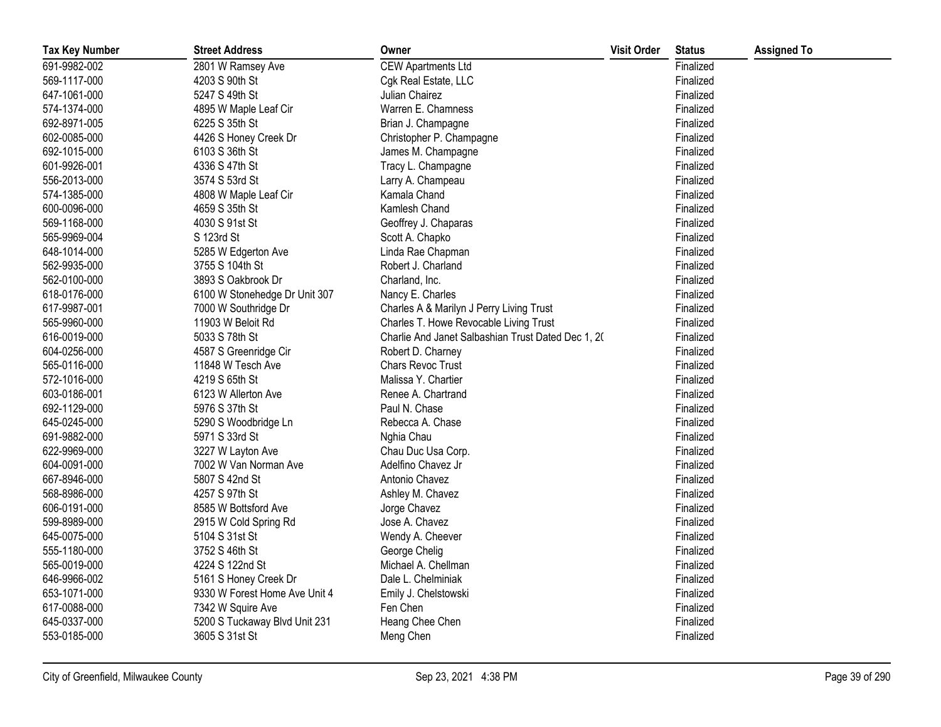| <b>Tax Key Number</b> | <b>Street Address</b>         | Owner                                              | <b>Visit Order</b> | <b>Status</b> | <b>Assigned To</b> |
|-----------------------|-------------------------------|----------------------------------------------------|--------------------|---------------|--------------------|
| 691-9982-002          | 2801 W Ramsey Ave             | <b>CEW Apartments Ltd</b>                          |                    | Finalized     |                    |
| 569-1117-000          | 4203 S 90th St                | Cgk Real Estate, LLC                               |                    | Finalized     |                    |
| 647-1061-000          | 5247 S 49th St                | Julian Chairez                                     |                    | Finalized     |                    |
| 574-1374-000          | 4895 W Maple Leaf Cir         | Warren E. Chamness                                 |                    | Finalized     |                    |
| 692-8971-005          | 6225 S 35th St                | Brian J. Champagne                                 |                    | Finalized     |                    |
| 602-0085-000          | 4426 S Honey Creek Dr         | Christopher P. Champagne                           |                    | Finalized     |                    |
| 692-1015-000          | 6103 S 36th St                | James M. Champagne                                 |                    | Finalized     |                    |
| 601-9926-001          | 4336 S 47th St                | Tracy L. Champagne                                 |                    | Finalized     |                    |
| 556-2013-000          | 3574 S 53rd St                | Larry A. Champeau                                  |                    | Finalized     |                    |
| 574-1385-000          | 4808 W Maple Leaf Cir         | Kamala Chand                                       |                    | Finalized     |                    |
| 600-0096-000          | 4659 S 35th St                | Kamlesh Chand                                      |                    | Finalized     |                    |
| 569-1168-000          | 4030 S 91st St                | Geoffrey J. Chaparas                               |                    | Finalized     |                    |
| 565-9969-004          | S 123rd St                    | Scott A. Chapko                                    |                    | Finalized     |                    |
| 648-1014-000          | 5285 W Edgerton Ave           | Linda Rae Chapman                                  |                    | Finalized     |                    |
| 562-9935-000          | 3755 S 104th St               | Robert J. Charland                                 |                    | Finalized     |                    |
| 562-0100-000          | 3893 S Oakbrook Dr            | Charland, Inc.                                     |                    | Finalized     |                    |
| 618-0176-000          | 6100 W Stonehedge Dr Unit 307 | Nancy E. Charles                                   |                    | Finalized     |                    |
| 617-9987-001          | 7000 W Southridge Dr          | Charles A & Marilyn J Perry Living Trust           |                    | Finalized     |                    |
| 565-9960-000          | 11903 W Beloit Rd             | Charles T. Howe Revocable Living Trust             |                    | Finalized     |                    |
| 616-0019-000          | 5033 S 78th St                | Charlie And Janet Salbashian Trust Dated Dec 1, 20 |                    | Finalized     |                    |
| 604-0256-000          | 4587 S Greenridge Cir         | Robert D. Charney                                  |                    | Finalized     |                    |
| 565-0116-000          | 11848 W Tesch Ave             | Chars Revoc Trust                                  |                    | Finalized     |                    |
| 572-1016-000          | 4219 S 65th St                | Malissa Y. Chartier                                |                    | Finalized     |                    |
| 603-0186-001          | 6123 W Allerton Ave           | Renee A. Chartrand                                 |                    | Finalized     |                    |
| 692-1129-000          | 5976 S 37th St                | Paul N. Chase                                      |                    | Finalized     |                    |
| 645-0245-000          | 5290 S Woodbridge Ln          | Rebecca A. Chase                                   |                    | Finalized     |                    |
| 691-9882-000          | 5971 S 33rd St                | Nghia Chau                                         |                    | Finalized     |                    |
| 622-9969-000          | 3227 W Layton Ave             | Chau Duc Usa Corp.                                 |                    | Finalized     |                    |
| 604-0091-000          | 7002 W Van Norman Ave         | Adelfino Chavez Jr                                 |                    | Finalized     |                    |
| 667-8946-000          | 5807 S 42nd St                | Antonio Chavez                                     |                    | Finalized     |                    |
| 568-8986-000          | 4257 S 97th St                | Ashley M. Chavez                                   |                    | Finalized     |                    |
| 606-0191-000          | 8585 W Bottsford Ave          | Jorge Chavez                                       |                    | Finalized     |                    |
| 599-8989-000          | 2915 W Cold Spring Rd         | Jose A. Chavez                                     |                    | Finalized     |                    |
| 645-0075-000          | 5104 S 31st St                | Wendy A. Cheever                                   |                    | Finalized     |                    |
| 555-1180-000          | 3752 S 46th St                | George Chelig                                      |                    | Finalized     |                    |
| 565-0019-000          | 4224 S 122nd St               | Michael A. Chellman                                |                    | Finalized     |                    |
| 646-9966-002          | 5161 S Honey Creek Dr         | Dale L. Chelminiak                                 |                    | Finalized     |                    |
| 653-1071-000          | 9330 W Forest Home Ave Unit 4 | Emily J. Chelstowski                               |                    | Finalized     |                    |
| 617-0088-000          | 7342 W Squire Ave             | Fen Chen                                           |                    | Finalized     |                    |
| 645-0337-000          | 5200 S Tuckaway Blvd Unit 231 | Heang Chee Chen                                    |                    | Finalized     |                    |
| 553-0185-000          | 3605 S 31st St                | Meng Chen                                          |                    | Finalized     |                    |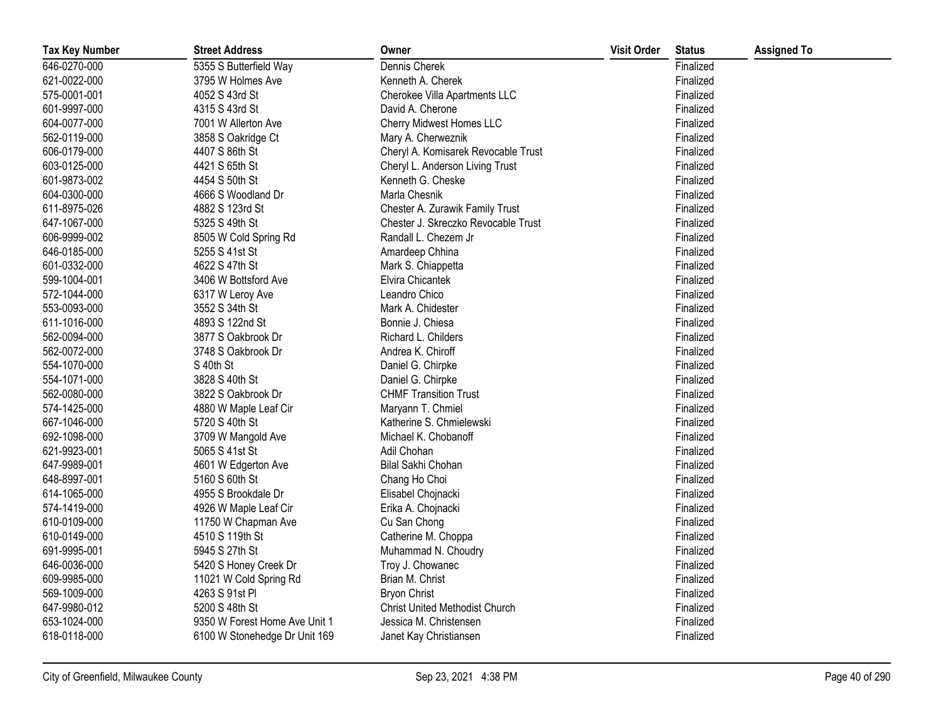| <b>Tax Key Number</b> | <b>Street Address</b>         | Owner                                 | <b>Visit Order</b> | <b>Status</b> | <b>Assigned To</b> |
|-----------------------|-------------------------------|---------------------------------------|--------------------|---------------|--------------------|
| 646-0270-000          | 5355 S Butterfield Way        | Dennis Cherek                         |                    | Finalized     |                    |
| 621-0022-000          | 3795 W Holmes Ave             | Kenneth A. Cherek                     |                    | Finalized     |                    |
| 575-0001-001          | 4052 S 43rd St                | Cherokee Villa Apartments LLC         |                    | Finalized     |                    |
| 601-9997-000          | 4315 S 43rd St                | David A. Cherone                      |                    | Finalized     |                    |
| 604-0077-000          | 7001 W Allerton Ave           | Cherry Midwest Homes LLC              |                    | Finalized     |                    |
| 562-0119-000          | 3858 S Oakridge Ct            | Mary A. Cherweznik                    |                    | Finalized     |                    |
| 606-0179-000          | 4407 S 86th St                | Cheryl A. Komisarek Revocable Trust   |                    | Finalized     |                    |
| 603-0125-000          | 4421 S 65th St                | Cheryl L. Anderson Living Trust       |                    | Finalized     |                    |
| 601-9873-002          | 4454 S 50th St                | Kenneth G. Cheske                     |                    | Finalized     |                    |
| 604-0300-000          | 4666 S Woodland Dr            | Marla Chesnik                         |                    | Finalized     |                    |
| 611-8975-026          | 4882 S 123rd St               | Chester A. Zurawik Family Trust       |                    | Finalized     |                    |
| 647-1067-000          | 5325 S 49th St                | Chester J. Skreczko Revocable Trust   |                    | Finalized     |                    |
| 606-9999-002          | 8505 W Cold Spring Rd         | Randall L. Chezem Jr                  |                    | Finalized     |                    |
| 646-0185-000          | 5255 S 41st St                | Amardeep Chhina                       |                    | Finalized     |                    |
| 601-0332-000          | 4622 S 47th St                | Mark S. Chiappetta                    |                    | Finalized     |                    |
| 599-1004-001          | 3406 W Bottsford Ave          | Elvira Chicantek                      |                    | Finalized     |                    |
| 572-1044-000          | 6317 W Leroy Ave              | Leandro Chico                         |                    | Finalized     |                    |
| 553-0093-000          | 3552 S 34th St                | Mark A. Chidester                     |                    | Finalized     |                    |
| 611-1016-000          | 4893 S 122nd St               | Bonnie J. Chiesa                      |                    | Finalized     |                    |
| 562-0094-000          | 3877 S Oakbrook Dr            | Richard L. Childers                   |                    | Finalized     |                    |
| 562-0072-000          | 3748 S Oakbrook Dr            | Andrea K. Chiroff                     |                    | Finalized     |                    |
| 554-1070-000          | S 40th St                     | Daniel G. Chirpke                     |                    | Finalized     |                    |
| 554-1071-000          | 3828 S 40th St                | Daniel G. Chirpke                     |                    | Finalized     |                    |
| 562-0080-000          | 3822 S Oakbrook Dr            | <b>CHMF Transition Trust</b>          |                    | Finalized     |                    |
| 574-1425-000          | 4880 W Maple Leaf Cir         | Maryann T. Chmiel                     |                    | Finalized     |                    |
| 667-1046-000          | 5720 S 40th St                | Katherine S. Chmielewski              |                    | Finalized     |                    |
| 692-1098-000          | 3709 W Mangold Ave            | Michael K. Chobanoff                  |                    | Finalized     |                    |
| 621-9923-001          | 5065 S 41st St                | Adil Chohan                           |                    | Finalized     |                    |
| 647-9989-001          | 4601 W Edgerton Ave           | Bilal Sakhi Chohan                    |                    | Finalized     |                    |
| 648-8997-001          | 5160 S 60th St                | Chang Ho Choi                         |                    | Finalized     |                    |
| 614-1065-000          | 4955 S Brookdale Dr           | Elisabel Chojnacki                    |                    | Finalized     |                    |
| 574-1419-000          | 4926 W Maple Leaf Cir         | Erika A. Chojnacki                    |                    | Finalized     |                    |
| 610-0109-000          | 11750 W Chapman Ave           | Cu San Chong                          |                    | Finalized     |                    |
| 610-0149-000          | 4510 S 119th St               | Catherine M. Choppa                   |                    | Finalized     |                    |
| 691-9995-001          | 5945 S 27th St                | Muhammad N. Choudry                   |                    | Finalized     |                    |
| 646-0036-000          | 5420 S Honey Creek Dr         | Troy J. Chowanec                      |                    | Finalized     |                    |
| 609-9985-000          | 11021 W Cold Spring Rd        | Brian M. Christ                       |                    | Finalized     |                    |
| 569-1009-000          | 4263 S 91st Pl                | <b>Bryon Christ</b>                   |                    | Finalized     |                    |
| 647-9980-012          | 5200 S 48th St                | <b>Christ United Methodist Church</b> |                    | Finalized     |                    |
| 653-1024-000          | 9350 W Forest Home Ave Unit 1 | Jessica M. Christensen                |                    | Finalized     |                    |
| 618-0118-000          | 6100 W Stonehedge Dr Unit 169 | Janet Kay Christiansen                |                    | Finalized     |                    |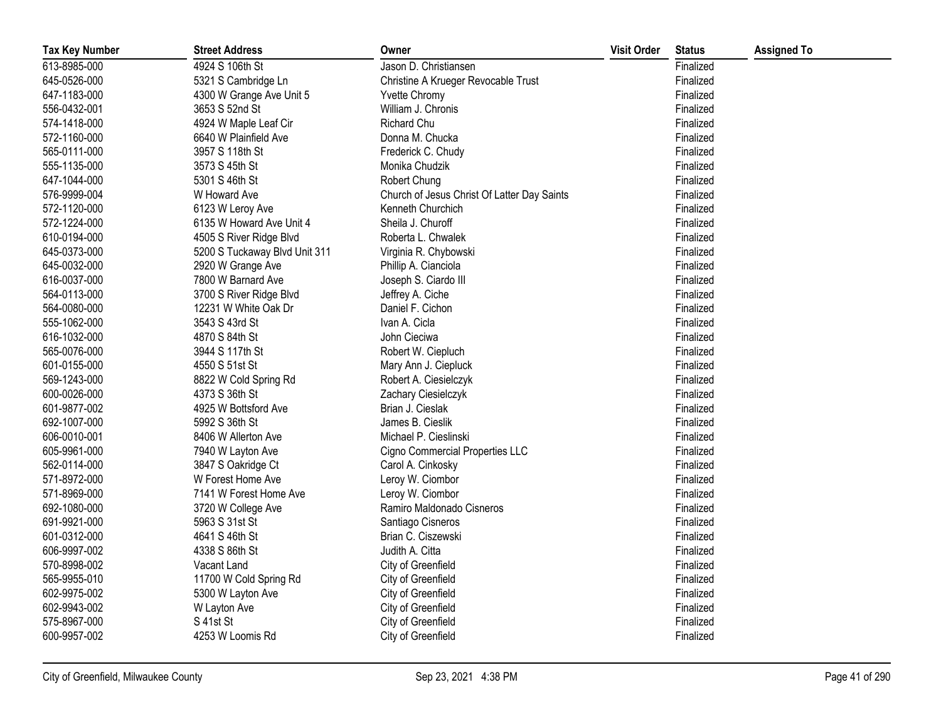| <b>Tax Key Number</b> | <b>Street Address</b>         | Owner                                       | <b>Visit Order</b> | <b>Status</b> | <b>Assigned To</b> |
|-----------------------|-------------------------------|---------------------------------------------|--------------------|---------------|--------------------|
| 613-8985-000          | 4924 S 106th St               | Jason D. Christiansen                       |                    | Finalized     |                    |
| 645-0526-000          | 5321 S Cambridge Ln           | Christine A Krueger Revocable Trust         |                    | Finalized     |                    |
| 647-1183-000          | 4300 W Grange Ave Unit 5      | Yvette Chromy                               |                    | Finalized     |                    |
| 556-0432-001          | 3653 S 52nd St                | William J. Chronis                          |                    | Finalized     |                    |
| 574-1418-000          | 4924 W Maple Leaf Cir         | Richard Chu                                 |                    | Finalized     |                    |
| 572-1160-000          | 6640 W Plainfield Ave         | Donna M. Chucka                             |                    | Finalized     |                    |
| 565-0111-000          | 3957 S 118th St               | Frederick C. Chudy                          |                    | Finalized     |                    |
| 555-1135-000          | 3573 S 45th St                | Monika Chudzik                              |                    | Finalized     |                    |
| 647-1044-000          | 5301 S 46th St                | Robert Chung                                |                    | Finalized     |                    |
| 576-9999-004          | W Howard Ave                  | Church of Jesus Christ Of Latter Day Saints |                    | Finalized     |                    |
| 572-1120-000          | 6123 W Leroy Ave              | Kenneth Churchich                           |                    | Finalized     |                    |
| 572-1224-000          | 6135 W Howard Ave Unit 4      | Sheila J. Churoff                           |                    | Finalized     |                    |
| 610-0194-000          | 4505 S River Ridge Blvd       | Roberta L. Chwalek                          |                    | Finalized     |                    |
| 645-0373-000          | 5200 S Tuckaway Blvd Unit 311 | Virginia R. Chybowski                       |                    | Finalized     |                    |
| 645-0032-000          | 2920 W Grange Ave             | Phillip A. Cianciola                        |                    | Finalized     |                    |
| 616-0037-000          | 7800 W Barnard Ave            | Joseph S. Ciardo III                        |                    | Finalized     |                    |
| 564-0113-000          | 3700 S River Ridge Blvd       | Jeffrey A. Ciche                            |                    | Finalized     |                    |
| 564-0080-000          | 12231 W White Oak Dr          | Daniel F. Cichon                            |                    | Finalized     |                    |
| 555-1062-000          | 3543 S 43rd St                | Ivan A. Cicla                               |                    | Finalized     |                    |
| 616-1032-000          | 4870 S 84th St                | John Cieciwa                                |                    | Finalized     |                    |
| 565-0076-000          | 3944 S 117th St               | Robert W. Ciepluch                          |                    | Finalized     |                    |
| 601-0155-000          | 4550 S 51st St                | Mary Ann J. Ciepluck                        |                    | Finalized     |                    |
| 569-1243-000          | 8822 W Cold Spring Rd         | Robert A. Ciesielczyk                       |                    | Finalized     |                    |
| 600-0026-000          | 4373 S 36th St                | Zachary Ciesielczyk                         |                    | Finalized     |                    |
| 601-9877-002          | 4925 W Bottsford Ave          | Brian J. Cieslak                            |                    | Finalized     |                    |
| 692-1007-000          | 5992 S 36th St                | James B. Cieslik                            |                    | Finalized     |                    |
| 606-0010-001          | 8406 W Allerton Ave           | Michael P. Cieslinski                       |                    | Finalized     |                    |
| 605-9961-000          | 7940 W Layton Ave             | Cigno Commercial Properties LLC             |                    | Finalized     |                    |
| 562-0114-000          | 3847 S Oakridge Ct            | Carol A. Cinkosky                           |                    | Finalized     |                    |
| 571-8972-000          | W Forest Home Ave             | Leroy W. Ciombor                            |                    | Finalized     |                    |
| 571-8969-000          | 7141 W Forest Home Ave        | Leroy W. Ciombor                            |                    | Finalized     |                    |
| 692-1080-000          | 3720 W College Ave            | Ramiro Maldonado Cisneros                   |                    | Finalized     |                    |
| 691-9921-000          | 5963 S 31st St                | Santiago Cisneros                           |                    | Finalized     |                    |
| 601-0312-000          | 4641 S 46th St                | Brian C. Ciszewski                          |                    | Finalized     |                    |
| 606-9997-002          | 4338 S 86th St                | Judith A. Citta                             |                    | Finalized     |                    |
| 570-8998-002          | Vacant Land                   | City of Greenfield                          |                    | Finalized     |                    |
| 565-9955-010          | 11700 W Cold Spring Rd        | City of Greenfield                          |                    | Finalized     |                    |
| 602-9975-002          | 5300 W Layton Ave             | City of Greenfield                          |                    | Finalized     |                    |
| 602-9943-002          | W Layton Ave                  | City of Greenfield                          |                    | Finalized     |                    |
| 575-8967-000          | S 41st St                     | City of Greenfield                          |                    | Finalized     |                    |
| 600-9957-002          | 4253 W Loomis Rd              | City of Greenfield                          |                    | Finalized     |                    |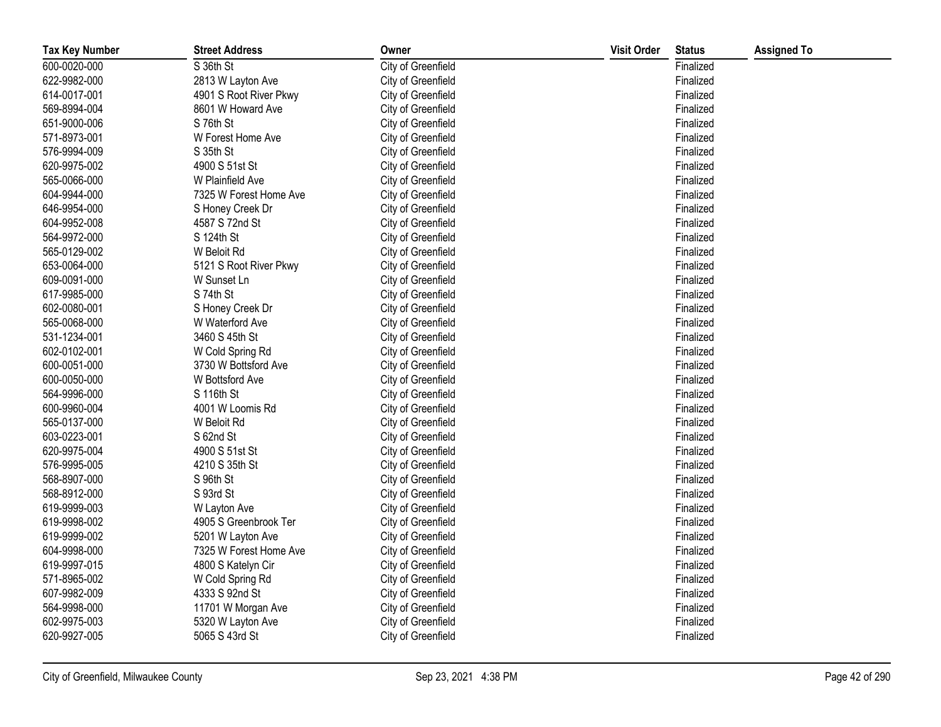| <b>Tax Key Number</b> | <b>Street Address</b>  | Owner              | <b>Visit Order</b> | <b>Status</b> | <b>Assigned To</b> |
|-----------------------|------------------------|--------------------|--------------------|---------------|--------------------|
| 600-0020-000          | S 36th St              | City of Greenfield |                    | Finalized     |                    |
| 622-9982-000          | 2813 W Layton Ave      | City of Greenfield |                    | Finalized     |                    |
| 614-0017-001          | 4901 S Root River Pkwy | City of Greenfield |                    | Finalized     |                    |
| 569-8994-004          | 8601 W Howard Ave      | City of Greenfield |                    | Finalized     |                    |
| 651-9000-006          | S 76th St              | City of Greenfield |                    | Finalized     |                    |
| 571-8973-001          | W Forest Home Ave      | City of Greenfield |                    | Finalized     |                    |
| 576-9994-009          | S 35th St              | City of Greenfield |                    | Finalized     |                    |
| 620-9975-002          | 4900 S 51st St         | City of Greenfield |                    | Finalized     |                    |
| 565-0066-000          | W Plainfield Ave       | City of Greenfield |                    | Finalized     |                    |
| 604-9944-000          | 7325 W Forest Home Ave | City of Greenfield |                    | Finalized     |                    |
| 646-9954-000          | S Honey Creek Dr       | City of Greenfield |                    | Finalized     |                    |
| 604-9952-008          | 4587 S 72nd St         | City of Greenfield |                    | Finalized     |                    |
| 564-9972-000          | S 124th St             | City of Greenfield |                    | Finalized     |                    |
| 565-0129-002          | W Beloit Rd            | City of Greenfield |                    | Finalized     |                    |
| 653-0064-000          | 5121 S Root River Pkwy | City of Greenfield |                    | Finalized     |                    |
| 609-0091-000          | W Sunset Ln            | City of Greenfield |                    | Finalized     |                    |
| 617-9985-000          | S 74th St              | City of Greenfield |                    | Finalized     |                    |
| 602-0080-001          | S Honey Creek Dr       | City of Greenfield |                    | Finalized     |                    |
| 565-0068-000          | W Waterford Ave        | City of Greenfield |                    | Finalized     |                    |
| 531-1234-001          | 3460 S 45th St         | City of Greenfield |                    | Finalized     |                    |
| 602-0102-001          | W Cold Spring Rd       | City of Greenfield |                    | Finalized     |                    |
| 600-0051-000          | 3730 W Bottsford Ave   | City of Greenfield |                    | Finalized     |                    |
| 600-0050-000          | W Bottsford Ave        | City of Greenfield |                    | Finalized     |                    |
| 564-9996-000          | S 116th St             | City of Greenfield |                    | Finalized     |                    |
| 600-9960-004          | 4001 W Loomis Rd       | City of Greenfield |                    | Finalized     |                    |
| 565-0137-000          | W Beloit Rd            | City of Greenfield |                    | Finalized     |                    |
| 603-0223-001          | S 62nd St              | City of Greenfield |                    | Finalized     |                    |
| 620-9975-004          | 4900 S 51st St         | City of Greenfield |                    | Finalized     |                    |
| 576-9995-005          | 4210 S 35th St         | City of Greenfield |                    | Finalized     |                    |
| 568-8907-000          | S 96th St              | City of Greenfield |                    | Finalized     |                    |
| 568-8912-000          | S 93rd St              | City of Greenfield |                    | Finalized     |                    |
| 619-9999-003          | W Layton Ave           | City of Greenfield |                    | Finalized     |                    |
| 619-9998-002          | 4905 S Greenbrook Ter  | City of Greenfield |                    | Finalized     |                    |
| 619-9999-002          | 5201 W Layton Ave      | City of Greenfield |                    | Finalized     |                    |
| 604-9998-000          | 7325 W Forest Home Ave | City of Greenfield |                    | Finalized     |                    |
| 619-9997-015          | 4800 S Katelyn Cir     | City of Greenfield |                    | Finalized     |                    |
| 571-8965-002          | W Cold Spring Rd       | City of Greenfield |                    | Finalized     |                    |
| 607-9982-009          | 4333 S 92nd St         | City of Greenfield |                    | Finalized     |                    |
| 564-9998-000          | 11701 W Morgan Ave     | City of Greenfield |                    | Finalized     |                    |
| 602-9975-003          | 5320 W Layton Ave      | City of Greenfield |                    | Finalized     |                    |
| 620-9927-005          | 5065 S 43rd St         | City of Greenfield |                    | Finalized     |                    |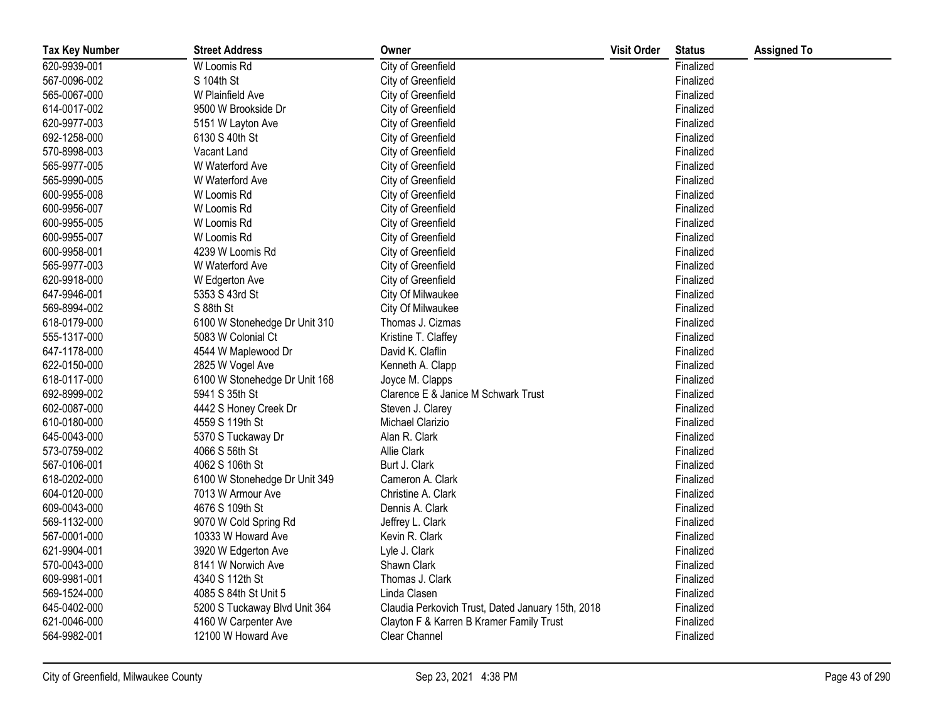| <b>Tax Key Number</b> | <b>Street Address</b>         | Owner                                             | <b>Visit Order</b> | <b>Status</b> | <b>Assigned To</b> |
|-----------------------|-------------------------------|---------------------------------------------------|--------------------|---------------|--------------------|
| 620-9939-001          | W Loomis Rd                   | City of Greenfield                                |                    | Finalized     |                    |
| 567-0096-002          | S 104th St                    | City of Greenfield                                |                    | Finalized     |                    |
| 565-0067-000          | W Plainfield Ave              | City of Greenfield                                |                    | Finalized     |                    |
| 614-0017-002          | 9500 W Brookside Dr           | City of Greenfield                                |                    | Finalized     |                    |
| 620-9977-003          | 5151 W Layton Ave             | City of Greenfield                                |                    | Finalized     |                    |
| 692-1258-000          | 6130 S 40th St                | City of Greenfield                                |                    | Finalized     |                    |
| 570-8998-003          | Vacant Land                   | City of Greenfield                                |                    | Finalized     |                    |
| 565-9977-005          | W Waterford Ave               | City of Greenfield                                |                    | Finalized     |                    |
| 565-9990-005          | W Waterford Ave               | City of Greenfield                                |                    | Finalized     |                    |
| 600-9955-008          | W Loomis Rd                   | City of Greenfield                                |                    | Finalized     |                    |
| 600-9956-007          | W Loomis Rd                   | City of Greenfield                                |                    | Finalized     |                    |
| 600-9955-005          | W Loomis Rd                   | City of Greenfield                                |                    | Finalized     |                    |
| 600-9955-007          | W Loomis Rd                   | City of Greenfield                                |                    | Finalized     |                    |
| 600-9958-001          | 4239 W Loomis Rd              | City of Greenfield                                |                    | Finalized     |                    |
| 565-9977-003          | W Waterford Ave               | City of Greenfield                                |                    | Finalized     |                    |
| 620-9918-000          | W Edgerton Ave                | City of Greenfield                                |                    | Finalized     |                    |
| 647-9946-001          | 5353 S 43rd St                | City Of Milwaukee                                 |                    | Finalized     |                    |
| 569-8994-002          | S 88th St                     | City Of Milwaukee                                 |                    | Finalized     |                    |
| 618-0179-000          | 6100 W Stonehedge Dr Unit 310 | Thomas J. Cizmas                                  |                    | Finalized     |                    |
| 555-1317-000          | 5083 W Colonial Ct            | Kristine T. Claffey                               |                    | Finalized     |                    |
| 647-1178-000          | 4544 W Maplewood Dr           | David K. Claflin                                  |                    | Finalized     |                    |
| 622-0150-000          | 2825 W Vogel Ave              | Kenneth A. Clapp                                  |                    | Finalized     |                    |
| 618-0117-000          | 6100 W Stonehedge Dr Unit 168 | Joyce M. Clapps                                   |                    | Finalized     |                    |
| 692-8999-002          | 5941 S 35th St                | Clarence E & Janice M Schwark Trust               |                    | Finalized     |                    |
| 602-0087-000          | 4442 S Honey Creek Dr         | Steven J. Clarey                                  |                    | Finalized     |                    |
| 610-0180-000          | 4559 S 119th St               | Michael Clarizio                                  |                    | Finalized     |                    |
| 645-0043-000          | 5370 S Tuckaway Dr            | Alan R. Clark                                     |                    | Finalized     |                    |
| 573-0759-002          | 4066 S 56th St                | Allie Clark                                       |                    | Finalized     |                    |
| 567-0106-001          | 4062 S 106th St               | Burt J. Clark                                     |                    | Finalized     |                    |
| 618-0202-000          | 6100 W Stonehedge Dr Unit 349 | Cameron A. Clark                                  |                    | Finalized     |                    |
| 604-0120-000          | 7013 W Armour Ave             | Christine A. Clark                                |                    | Finalized     |                    |
| 609-0043-000          | 4676 S 109th St               | Dennis A. Clark                                   |                    | Finalized     |                    |
| 569-1132-000          | 9070 W Cold Spring Rd         | Jeffrey L. Clark                                  |                    | Finalized     |                    |
| 567-0001-000          | 10333 W Howard Ave            | Kevin R. Clark                                    |                    | Finalized     |                    |
| 621-9904-001          | 3920 W Edgerton Ave           | Lyle J. Clark                                     |                    | Finalized     |                    |
| 570-0043-000          | 8141 W Norwich Ave            | Shawn Clark                                       |                    | Finalized     |                    |
| 609-9981-001          | 4340 S 112th St               | Thomas J. Clark                                   |                    | Finalized     |                    |
| 569-1524-000          | 4085 S 84th St Unit 5         | Linda Clasen                                      |                    | Finalized     |                    |
| 645-0402-000          | 5200 S Tuckaway Blvd Unit 364 | Claudia Perkovich Trust, Dated January 15th, 2018 |                    | Finalized     |                    |
| 621-0046-000          | 4160 W Carpenter Ave          | Clayton F & Karren B Kramer Family Trust          |                    | Finalized     |                    |
| 564-9982-001          | 12100 W Howard Ave            | Clear Channel                                     |                    | Finalized     |                    |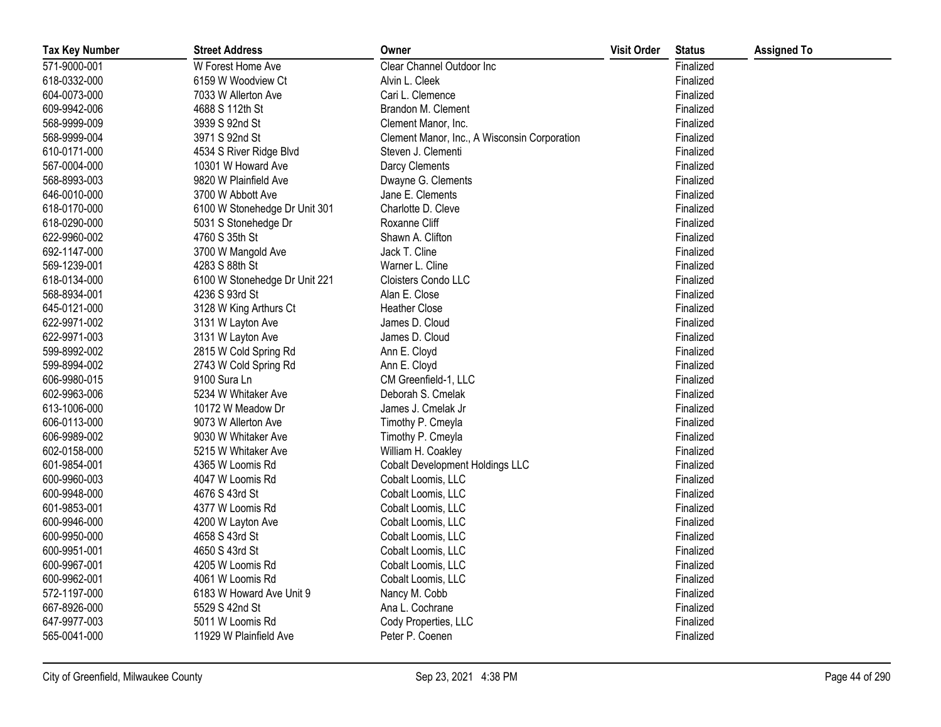| <b>Tax Key Number</b> | <b>Street Address</b>         | Owner                                        | <b>Visit Order</b> | <b>Status</b> | <b>Assigned To</b> |
|-----------------------|-------------------------------|----------------------------------------------|--------------------|---------------|--------------------|
| 571-9000-001          | W Forest Home Ave             | Clear Channel Outdoor Inc                    |                    | Finalized     |                    |
| 618-0332-000          | 6159 W Woodview Ct            | Alvin L. Cleek                               |                    | Finalized     |                    |
| 604-0073-000          | 7033 W Allerton Ave           | Cari L. Clemence                             |                    | Finalized     |                    |
| 609-9942-006          | 4688 S 112th St               | Brandon M. Clement                           |                    | Finalized     |                    |
| 568-9999-009          | 3939 S 92nd St                | Clement Manor, Inc.                          |                    | Finalized     |                    |
| 568-9999-004          | 3971 S 92nd St                | Clement Manor, Inc., A Wisconsin Corporation |                    | Finalized     |                    |
| 610-0171-000          | 4534 S River Ridge Blvd       | Steven J. Clementi                           |                    | Finalized     |                    |
| 567-0004-000          | 10301 W Howard Ave            | Darcy Clements                               |                    | Finalized     |                    |
| 568-8993-003          | 9820 W Plainfield Ave         | Dwayne G. Clements                           |                    | Finalized     |                    |
| 646-0010-000          | 3700 W Abbott Ave             | Jane E. Clements                             |                    | Finalized     |                    |
| 618-0170-000          | 6100 W Stonehedge Dr Unit 301 | Charlotte D. Cleve                           |                    | Finalized     |                    |
| 618-0290-000          | 5031 S Stonehedge Dr          | Roxanne Cliff                                |                    | Finalized     |                    |
| 622-9960-002          | 4760 S 35th St                | Shawn A. Clifton                             |                    | Finalized     |                    |
| 692-1147-000          | 3700 W Mangold Ave            | Jack T. Cline                                |                    | Finalized     |                    |
| 569-1239-001          | 4283 S 88th St                | Warner L. Cline                              |                    | Finalized     |                    |
| 618-0134-000          | 6100 W Stonehedge Dr Unit 221 | Cloisters Condo LLC                          |                    | Finalized     |                    |
| 568-8934-001          | 4236 S 93rd St                | Alan E. Close                                |                    | Finalized     |                    |
| 645-0121-000          | 3128 W King Arthurs Ct        | <b>Heather Close</b>                         |                    | Finalized     |                    |
| 622-9971-002          | 3131 W Layton Ave             | James D. Cloud                               |                    | Finalized     |                    |
| 622-9971-003          | 3131 W Layton Ave             | James D. Cloud                               |                    | Finalized     |                    |
| 599-8992-002          | 2815 W Cold Spring Rd         | Ann E. Cloyd                                 |                    | Finalized     |                    |
| 599-8994-002          | 2743 W Cold Spring Rd         | Ann E. Cloyd                                 |                    | Finalized     |                    |
| 606-9980-015          | 9100 Sura Ln                  | CM Greenfield-1, LLC                         |                    | Finalized     |                    |
| 602-9963-006          | 5234 W Whitaker Ave           | Deborah S. Cmelak                            |                    | Finalized     |                    |
| 613-1006-000          | 10172 W Meadow Dr             | James J. Cmelak Jr                           |                    | Finalized     |                    |
| 606-0113-000          | 9073 W Allerton Ave           | Timothy P. Cmeyla                            |                    | Finalized     |                    |
| 606-9989-002          | 9030 W Whitaker Ave           | Timothy P. Cmeyla                            |                    | Finalized     |                    |
| 602-0158-000          | 5215 W Whitaker Ave           | William H. Coakley                           |                    | Finalized     |                    |
| 601-9854-001          | 4365 W Loomis Rd              | <b>Cobalt Development Holdings LLC</b>       |                    | Finalized     |                    |
| 600-9960-003          | 4047 W Loomis Rd              | Cobalt Loomis, LLC                           |                    | Finalized     |                    |
| 600-9948-000          | 4676 S 43rd St                | Cobalt Loomis, LLC                           |                    | Finalized     |                    |
| 601-9853-001          | 4377 W Loomis Rd              | Cobalt Loomis, LLC                           |                    | Finalized     |                    |
| 600-9946-000          | 4200 W Layton Ave             | Cobalt Loomis, LLC                           |                    | Finalized     |                    |
| 600-9950-000          | 4658 S 43rd St                | Cobalt Loomis, LLC                           |                    | Finalized     |                    |
| 600-9951-001          | 4650 S 43rd St                | Cobalt Loomis, LLC                           |                    | Finalized     |                    |
| 600-9967-001          | 4205 W Loomis Rd              | Cobalt Loomis, LLC                           |                    | Finalized     |                    |
| 600-9962-001          | 4061 W Loomis Rd              | Cobalt Loomis, LLC                           |                    | Finalized     |                    |
| 572-1197-000          | 6183 W Howard Ave Unit 9      | Nancy M. Cobb                                |                    | Finalized     |                    |
| 667-8926-000          | 5529 S 42nd St                | Ana L. Cochrane                              |                    | Finalized     |                    |
| 647-9977-003          | 5011 W Loomis Rd              | Cody Properties, LLC                         |                    | Finalized     |                    |
| 565-0041-000          | 11929 W Plainfield Ave        | Peter P. Coenen                              |                    | Finalized     |                    |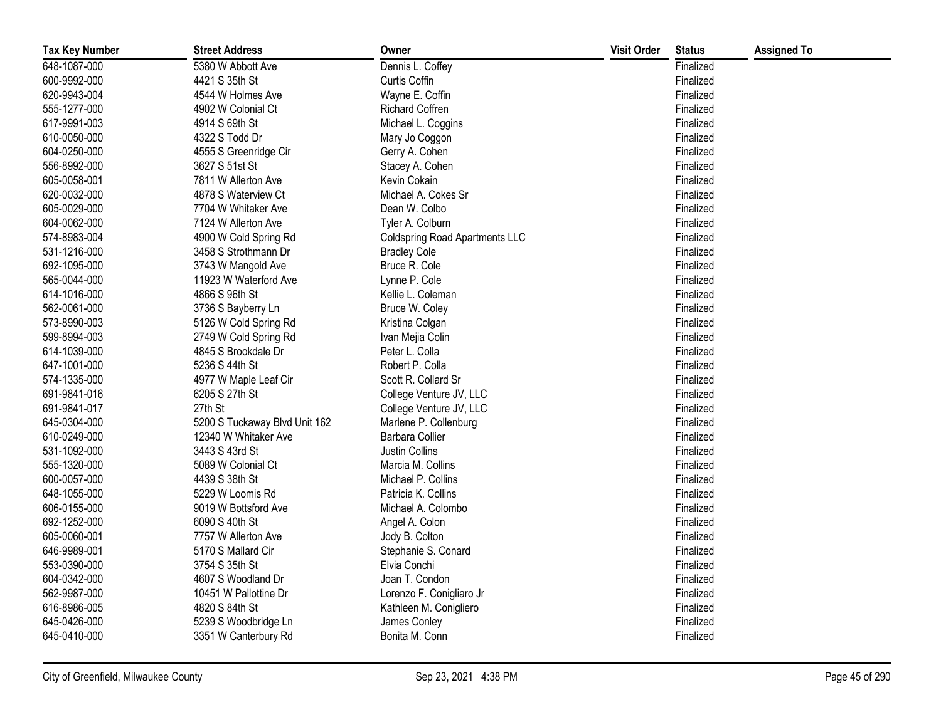| <b>Tax Key Number</b> | <b>Street Address</b>         | Owner                                 | <b>Visit Order</b> | <b>Status</b> | <b>Assigned To</b> |
|-----------------------|-------------------------------|---------------------------------------|--------------------|---------------|--------------------|
| 648-1087-000          | 5380 W Abbott Ave             | Dennis L. Coffey                      |                    | Finalized     |                    |
| 600-9992-000          | 4421 S 35th St                | Curtis Coffin                         |                    | Finalized     |                    |
| 620-9943-004          | 4544 W Holmes Ave             | Wayne E. Coffin                       |                    | Finalized     |                    |
| 555-1277-000          | 4902 W Colonial Ct            | <b>Richard Coffren</b>                |                    | Finalized     |                    |
| 617-9991-003          | 4914 S 69th St                | Michael L. Coggins                    |                    | Finalized     |                    |
| 610-0050-000          | 4322 S Todd Dr                | Mary Jo Coggon                        |                    | Finalized     |                    |
| 604-0250-000          | 4555 S Greenridge Cir         | Gerry A. Cohen                        |                    | Finalized     |                    |
| 556-8992-000          | 3627 S 51st St                | Stacey A. Cohen                       |                    | Finalized     |                    |
| 605-0058-001          | 7811 W Allerton Ave           | Kevin Cokain                          |                    | Finalized     |                    |
| 620-0032-000          | 4878 S Waterview Ct           | Michael A. Cokes Sr                   |                    | Finalized     |                    |
| 605-0029-000          | 7704 W Whitaker Ave           | Dean W. Colbo                         |                    | Finalized     |                    |
| 604-0062-000          | 7124 W Allerton Ave           | Tyler A. Colburn                      |                    | Finalized     |                    |
| 574-8983-004          | 4900 W Cold Spring Rd         | <b>Coldspring Road Apartments LLC</b> |                    | Finalized     |                    |
| 531-1216-000          | 3458 S Strothmann Dr          | <b>Bradley Cole</b>                   |                    | Finalized     |                    |
| 692-1095-000          | 3743 W Mangold Ave            | Bruce R. Cole                         |                    | Finalized     |                    |
| 565-0044-000          | 11923 W Waterford Ave         | Lynne P. Cole                         |                    | Finalized     |                    |
| 614-1016-000          | 4866 S 96th St                | Kellie L. Coleman                     |                    | Finalized     |                    |
| 562-0061-000          | 3736 S Bayberry Ln            | Bruce W. Coley                        |                    | Finalized     |                    |
| 573-8990-003          | 5126 W Cold Spring Rd         | Kristina Colgan                       |                    | Finalized     |                    |
| 599-8994-003          | 2749 W Cold Spring Rd         | Ivan Mejia Colin                      |                    | Finalized     |                    |
| 614-1039-000          | 4845 S Brookdale Dr           | Peter L. Colla                        |                    | Finalized     |                    |
| 647-1001-000          | 5236 S 44th St                | Robert P. Colla                       |                    | Finalized     |                    |
| 574-1335-000          | 4977 W Maple Leaf Cir         | Scott R. Collard Sr                   |                    | Finalized     |                    |
| 691-9841-016          | 6205 S 27th St                | College Venture JV, LLC               |                    | Finalized     |                    |
| 691-9841-017          | 27th St                       | College Venture JV, LLC               |                    | Finalized     |                    |
| 645-0304-000          | 5200 S Tuckaway Blvd Unit 162 | Marlene P. Collenburg                 |                    | Finalized     |                    |
| 610-0249-000          | 12340 W Whitaker Ave          | Barbara Collier                       |                    | Finalized     |                    |
| 531-1092-000          | 3443 S 43rd St                | Justin Collins                        |                    | Finalized     |                    |
| 555-1320-000          | 5089 W Colonial Ct            | Marcia M. Collins                     |                    | Finalized     |                    |
| 600-0057-000          | 4439 S 38th St                | Michael P. Collins                    |                    | Finalized     |                    |
| 648-1055-000          | 5229 W Loomis Rd              | Patricia K. Collins                   |                    | Finalized     |                    |
| 606-0155-000          | 9019 W Bottsford Ave          | Michael A. Colombo                    |                    | Finalized     |                    |
| 692-1252-000          | 6090 S 40th St                | Angel A. Colon                        |                    | Finalized     |                    |
| 605-0060-001          | 7757 W Allerton Ave           | Jody B. Colton                        |                    | Finalized     |                    |
| 646-9989-001          | 5170 S Mallard Cir            | Stephanie S. Conard                   |                    | Finalized     |                    |
| 553-0390-000          | 3754 S 35th St                | Elvia Conchi                          |                    | Finalized     |                    |
| 604-0342-000          | 4607 S Woodland Dr            | Joan T. Condon                        |                    | Finalized     |                    |
| 562-9987-000          | 10451 W Pallottine Dr         | Lorenzo F. Conigliaro Jr              |                    | Finalized     |                    |
| 616-8986-005          | 4820 S 84th St                | Kathleen M. Conigliero                |                    | Finalized     |                    |
| 645-0426-000          | 5239 S Woodbridge Ln          | James Conley                          |                    | Finalized     |                    |
| 645-0410-000          | 3351 W Canterbury Rd          | Bonita M. Conn                        |                    | Finalized     |                    |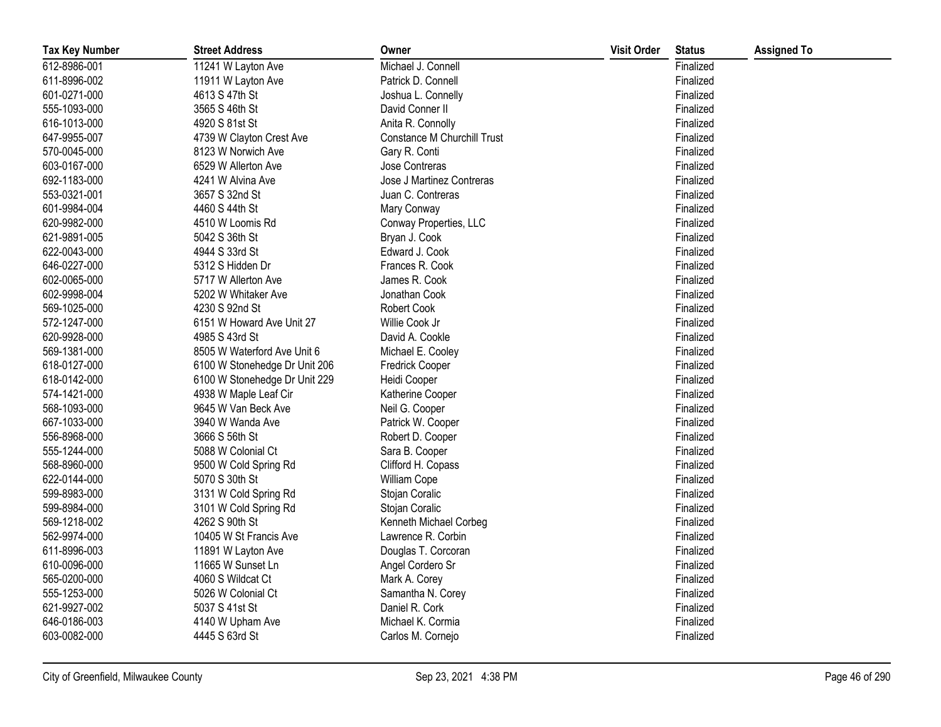| <b>Tax Key Number</b> | <b>Street Address</b>         | Owner                       | <b>Visit Order</b> | <b>Status</b> | <b>Assigned To</b> |
|-----------------------|-------------------------------|-----------------------------|--------------------|---------------|--------------------|
| 612-8986-001          | 11241 W Layton Ave            | Michael J. Connell          |                    | Finalized     |                    |
| 611-8996-002          | 11911 W Layton Ave            | Patrick D. Connell          |                    | Finalized     |                    |
| 601-0271-000          | 4613 S 47th St                | Joshua L. Connelly          |                    | Finalized     |                    |
| 555-1093-000          | 3565 S 46th St                | David Conner II             |                    | Finalized     |                    |
| 616-1013-000          | 4920 S 81st St                | Anita R. Connolly           |                    | Finalized     |                    |
| 647-9955-007          | 4739 W Clayton Crest Ave      | Constance M Churchill Trust |                    | Finalized     |                    |
| 570-0045-000          | 8123 W Norwich Ave            | Gary R. Conti               |                    | Finalized     |                    |
| 603-0167-000          | 6529 W Allerton Ave           | Jose Contreras              |                    | Finalized     |                    |
| 692-1183-000          | 4241 W Alvina Ave             | Jose J Martinez Contreras   |                    | Finalized     |                    |
| 553-0321-001          | 3657 S 32nd St                | Juan C. Contreras           |                    | Finalized     |                    |
| 601-9984-004          | 4460 S 44th St                | Mary Conway                 |                    | Finalized     |                    |
| 620-9982-000          | 4510 W Loomis Rd              | Conway Properties, LLC      |                    | Finalized     |                    |
| 621-9891-005          | 5042 S 36th St                | Bryan J. Cook               |                    | Finalized     |                    |
| 622-0043-000          | 4944 S 33rd St                | Edward J. Cook              |                    | Finalized     |                    |
| 646-0227-000          | 5312 S Hidden Dr              | Frances R. Cook             |                    | Finalized     |                    |
| 602-0065-000          | 5717 W Allerton Ave           | James R. Cook               |                    | Finalized     |                    |
| 602-9998-004          | 5202 W Whitaker Ave           | Jonathan Cook               |                    | Finalized     |                    |
| 569-1025-000          | 4230 S 92nd St                | Robert Cook                 |                    | Finalized     |                    |
| 572-1247-000          | 6151 W Howard Ave Unit 27     | Willie Cook Jr              |                    | Finalized     |                    |
| 620-9928-000          | 4985 S 43rd St                | David A. Cookle             |                    | Finalized     |                    |
| 569-1381-000          | 8505 W Waterford Ave Unit 6   | Michael E. Cooley           |                    | Finalized     |                    |
| 618-0127-000          | 6100 W Stonehedge Dr Unit 206 | <b>Fredrick Cooper</b>      |                    | Finalized     |                    |
| 618-0142-000          | 6100 W Stonehedge Dr Unit 229 | Heidi Cooper                |                    | Finalized     |                    |
| 574-1421-000          | 4938 W Maple Leaf Cir         | Katherine Cooper            |                    | Finalized     |                    |
| 568-1093-000          | 9645 W Van Beck Ave           | Neil G. Cooper              |                    | Finalized     |                    |
| 667-1033-000          | 3940 W Wanda Ave              | Patrick W. Cooper           |                    | Finalized     |                    |
| 556-8968-000          | 3666 S 56th St                | Robert D. Cooper            |                    | Finalized     |                    |
| 555-1244-000          | 5088 W Colonial Ct            | Sara B. Cooper              |                    | Finalized     |                    |
| 568-8960-000          | 9500 W Cold Spring Rd         | Clifford H. Copass          |                    | Finalized     |                    |
| 622-0144-000          | 5070 S 30th St                | William Cope                |                    | Finalized     |                    |
| 599-8983-000          | 3131 W Cold Spring Rd         | Stojan Coralic              |                    | Finalized     |                    |
| 599-8984-000          | 3101 W Cold Spring Rd         | Stojan Coralic              |                    | Finalized     |                    |
| 569-1218-002          | 4262 S 90th St                | Kenneth Michael Corbeg      |                    | Finalized     |                    |
| 562-9974-000          | 10405 W St Francis Ave        | Lawrence R. Corbin          |                    | Finalized     |                    |
| 611-8996-003          | 11891 W Layton Ave            | Douglas T. Corcoran         |                    | Finalized     |                    |
| 610-0096-000          | 11665 W Sunset Ln             | Angel Cordero Sr            |                    | Finalized     |                    |
| 565-0200-000          | 4060 S Wildcat Ct             | Mark A. Corey               |                    | Finalized     |                    |
| 555-1253-000          | 5026 W Colonial Ct            | Samantha N. Corey           |                    | Finalized     |                    |
| 621-9927-002          | 5037 S 41st St                | Daniel R. Cork              |                    | Finalized     |                    |
| 646-0186-003          | 4140 W Upham Ave              | Michael K. Cormia           |                    | Finalized     |                    |
| 603-0082-000          | 4445 S 63rd St                | Carlos M. Cornejo           |                    | Finalized     |                    |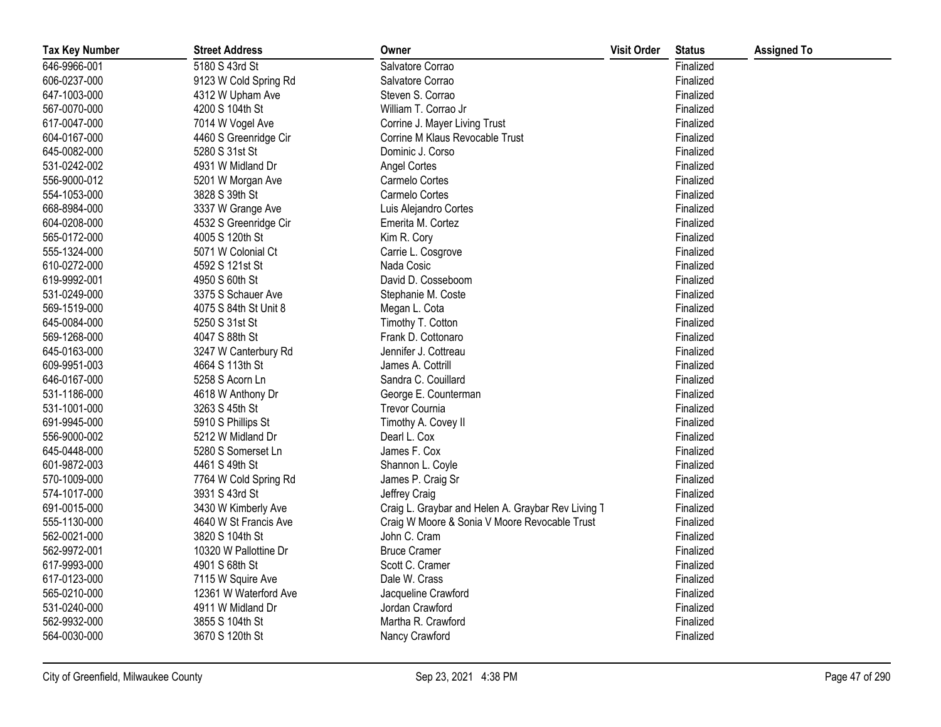| <b>Tax Key Number</b> | <b>Street Address</b> | Owner                                              | <b>Visit Order</b> | <b>Status</b> | <b>Assigned To</b> |
|-----------------------|-----------------------|----------------------------------------------------|--------------------|---------------|--------------------|
| 646-9966-001          | 5180 S 43rd St        | Salvatore Corrao                                   |                    | Finalized     |                    |
| 606-0237-000          | 9123 W Cold Spring Rd | Salvatore Corrao                                   |                    | Finalized     |                    |
| 647-1003-000          | 4312 W Upham Ave      | Steven S. Corrao                                   |                    | Finalized     |                    |
| 567-0070-000          | 4200 S 104th St       | William T. Corrao Jr                               |                    | Finalized     |                    |
| 617-0047-000          | 7014 W Vogel Ave      | Corrine J. Mayer Living Trust                      |                    | Finalized     |                    |
| 604-0167-000          | 4460 S Greenridge Cir | Corrine M Klaus Revocable Trust                    |                    | Finalized     |                    |
| 645-0082-000          | 5280 S 31st St        | Dominic J. Corso                                   |                    | Finalized     |                    |
| 531-0242-002          | 4931 W Midland Dr     | <b>Angel Cortes</b>                                |                    | Finalized     |                    |
| 556-9000-012          | 5201 W Morgan Ave     | Carmelo Cortes                                     |                    | Finalized     |                    |
| 554-1053-000          | 3828 S 39th St        | Carmelo Cortes                                     |                    | Finalized     |                    |
| 668-8984-000          | 3337 W Grange Ave     | Luis Alejandro Cortes                              |                    | Finalized     |                    |
| 604-0208-000          | 4532 S Greenridge Cir | Emerita M. Cortez                                  |                    | Finalized     |                    |
| 565-0172-000          | 4005 S 120th St       | Kim R. Cory                                        |                    | Finalized     |                    |
| 555-1324-000          | 5071 W Colonial Ct    | Carrie L. Cosgrove                                 |                    | Finalized     |                    |
| 610-0272-000          | 4592 S 121st St       | Nada Cosic                                         |                    | Finalized     |                    |
| 619-9992-001          | 4950 S 60th St        | David D. Cosseboom                                 |                    | Finalized     |                    |
| 531-0249-000          | 3375 S Schauer Ave    | Stephanie M. Coste                                 |                    | Finalized     |                    |
| 569-1519-000          | 4075 S 84th St Unit 8 | Megan L. Cota                                      |                    | Finalized     |                    |
| 645-0084-000          | 5250 S 31st St        | Timothy T. Cotton                                  |                    | Finalized     |                    |
| 569-1268-000          | 4047 S 88th St        | Frank D. Cottonaro                                 |                    | Finalized     |                    |
| 645-0163-000          | 3247 W Canterbury Rd  | Jennifer J. Cottreau                               |                    | Finalized     |                    |
| 609-9951-003          | 4664 S 113th St       | James A. Cottrill                                  |                    | Finalized     |                    |
| 646-0167-000          | 5258 S Acorn Ln       | Sandra C. Couillard                                |                    | Finalized     |                    |
| 531-1186-000          | 4618 W Anthony Dr     | George E. Counterman                               |                    | Finalized     |                    |
| 531-1001-000          | 3263 S 45th St        | <b>Trevor Cournia</b>                              |                    | Finalized     |                    |
| 691-9945-000          | 5910 S Phillips St    | Timothy A. Covey II                                |                    | Finalized     |                    |
| 556-9000-002          | 5212 W Midland Dr     | Dearl L. Cox                                       |                    | Finalized     |                    |
| 645-0448-000          | 5280 S Somerset Ln    | James F. Cox                                       |                    | Finalized     |                    |
| 601-9872-003          | 4461 S 49th St        | Shannon L. Coyle                                   |                    | Finalized     |                    |
| 570-1009-000          | 7764 W Cold Spring Rd | James P. Craig Sr                                  |                    | Finalized     |                    |
| 574-1017-000          | 3931 S 43rd St        | Jeffrey Craig                                      |                    | Finalized     |                    |
| 691-0015-000          | 3430 W Kimberly Ave   | Craig L. Graybar and Helen A. Graybar Rev Living T |                    | Finalized     |                    |
| 555-1130-000          | 4640 W St Francis Ave | Craig W Moore & Sonia V Moore Revocable Trust      |                    | Finalized     |                    |
| 562-0021-000          | 3820 S 104th St       | John C. Cram                                       |                    | Finalized     |                    |
| 562-9972-001          | 10320 W Pallottine Dr | <b>Bruce Cramer</b>                                |                    | Finalized     |                    |
| 617-9993-000          | 4901 S 68th St        | Scott C. Cramer                                    |                    | Finalized     |                    |
| 617-0123-000          | 7115 W Squire Ave     | Dale W. Crass                                      |                    | Finalized     |                    |
| 565-0210-000          | 12361 W Waterford Ave | Jacqueline Crawford                                |                    | Finalized     |                    |
| 531-0240-000          | 4911 W Midland Dr     | Jordan Crawford                                    |                    | Finalized     |                    |
| 562-9932-000          | 3855 S 104th St       | Martha R. Crawford                                 |                    | Finalized     |                    |
| 564-0030-000          | 3670 S 120th St       | Nancy Crawford                                     |                    | Finalized     |                    |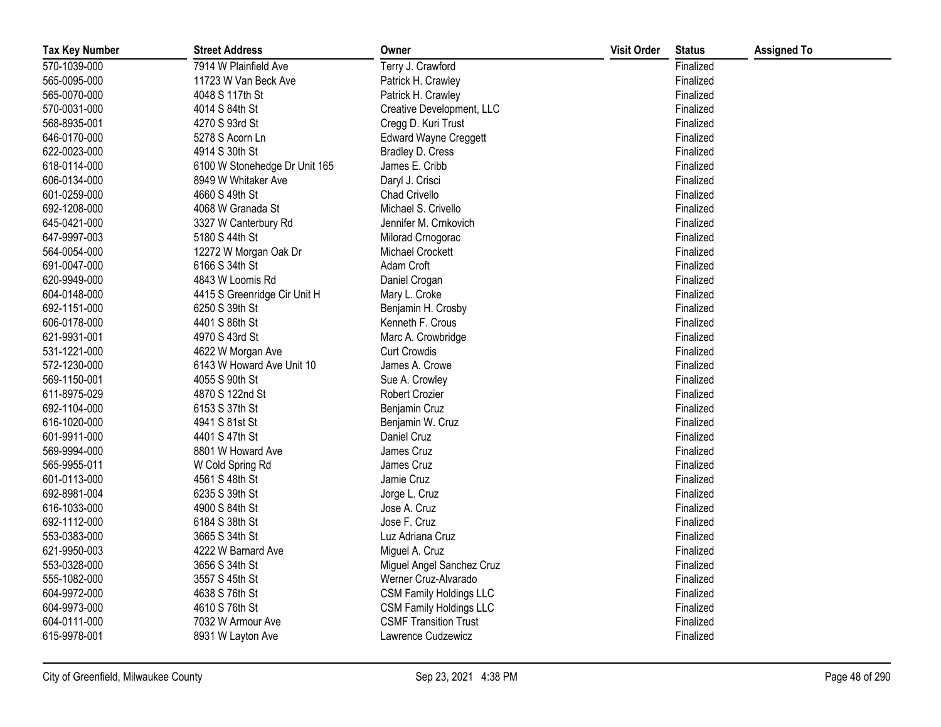| <b>Tax Key Number</b> | <b>Street Address</b>         | Owner                          | <b>Visit Order</b> | <b>Status</b> | <b>Assigned To</b> |
|-----------------------|-------------------------------|--------------------------------|--------------------|---------------|--------------------|
| 570-1039-000          | 7914 W Plainfield Ave         | Terry J. Crawford              |                    | Finalized     |                    |
| 565-0095-000          | 11723 W Van Beck Ave          | Patrick H. Crawley             |                    | Finalized     |                    |
| 565-0070-000          | 4048 S 117th St               | Patrick H. Crawley             |                    | Finalized     |                    |
| 570-0031-000          | 4014 S 84th St                | Creative Development, LLC      |                    | Finalized     |                    |
| 568-8935-001          | 4270 S 93rd St                | Cregg D. Kuri Trust            |                    | Finalized     |                    |
| 646-0170-000          | 5278 S Acorn Ln               | <b>Edward Wayne Creggett</b>   |                    | Finalized     |                    |
| 622-0023-000          | 4914 S 30th St                | Bradley D. Cress               |                    | Finalized     |                    |
| 618-0114-000          | 6100 W Stonehedge Dr Unit 165 | James E. Cribb                 |                    | Finalized     |                    |
| 606-0134-000          | 8949 W Whitaker Ave           | Daryl J. Crisci                |                    | Finalized     |                    |
| 601-0259-000          | 4660 S 49th St                | Chad Crivello                  |                    | Finalized     |                    |
| 692-1208-000          | 4068 W Granada St             | Michael S. Crivello            |                    | Finalized     |                    |
| 645-0421-000          | 3327 W Canterbury Rd          | Jennifer M. Crnkovich          |                    | Finalized     |                    |
| 647-9997-003          | 5180 S 44th St                | Milorad Crnogorac              |                    | Finalized     |                    |
| 564-0054-000          | 12272 W Morgan Oak Dr         | <b>Michael Crockett</b>        |                    | Finalized     |                    |
| 691-0047-000          | 6166 S 34th St                | Adam Croft                     |                    | Finalized     |                    |
| 620-9949-000          | 4843 W Loomis Rd              | Daniel Crogan                  |                    | Finalized     |                    |
| 604-0148-000          | 4415 S Greenridge Cir Unit H  | Mary L. Croke                  |                    | Finalized     |                    |
| 692-1151-000          | 6250 S 39th St                | Benjamin H. Crosby             |                    | Finalized     |                    |
| 606-0178-000          | 4401 S 86th St                | Kenneth F. Crous               |                    | Finalized     |                    |
| 621-9931-001          | 4970 S 43rd St                | Marc A. Crowbridge             |                    | Finalized     |                    |
| 531-1221-000          | 4622 W Morgan Ave             | <b>Curt Crowdis</b>            |                    | Finalized     |                    |
| 572-1230-000          | 6143 W Howard Ave Unit 10     | James A. Crowe                 |                    | Finalized     |                    |
| 569-1150-001          | 4055 S 90th St                | Sue A. Crowley                 |                    | Finalized     |                    |
| 611-8975-029          | 4870 S 122nd St               | Robert Crozier                 |                    | Finalized     |                    |
| 692-1104-000          | 6153 S 37th St                | Benjamin Cruz                  |                    | Finalized     |                    |
| 616-1020-000          | 4941 S 81st St                | Benjamin W. Cruz               |                    | Finalized     |                    |
| 601-9911-000          | 4401 S 47th St                | Daniel Cruz                    |                    | Finalized     |                    |
| 569-9994-000          | 8801 W Howard Ave             | James Cruz                     |                    | Finalized     |                    |
| 565-9955-011          | W Cold Spring Rd              | James Cruz                     |                    | Finalized     |                    |
| 601-0113-000          | 4561 S 48th St                | Jamie Cruz                     |                    | Finalized     |                    |
| 692-8981-004          | 6235 S 39th St                | Jorge L. Cruz                  |                    | Finalized     |                    |
| 616-1033-000          | 4900 S 84th St                | Jose A. Cruz                   |                    | Finalized     |                    |
| 692-1112-000          | 6184 S 38th St                | Jose F. Cruz                   |                    | Finalized     |                    |
| 553-0383-000          | 3665 S 34th St                | Luz Adriana Cruz               |                    | Finalized     |                    |
| 621-9950-003          | 4222 W Barnard Ave            | Miguel A. Cruz                 |                    | Finalized     |                    |
| 553-0328-000          | 3656 S 34th St                | Miguel Angel Sanchez Cruz      |                    | Finalized     |                    |
| 555-1082-000          | 3557 S 45th St                | Werner Cruz-Alvarado           |                    | Finalized     |                    |
| 604-9972-000          | 4638 S 76th St                | <b>CSM Family Holdings LLC</b> |                    | Finalized     |                    |
| 604-9973-000          | 4610 S 76th St                | <b>CSM Family Holdings LLC</b> |                    | Finalized     |                    |
| 604-0111-000          | 7032 W Armour Ave             | <b>CSMF Transition Trust</b>   |                    | Finalized     |                    |
| 615-9978-001          | 8931 W Layton Ave             | Lawrence Cudzewicz             |                    | Finalized     |                    |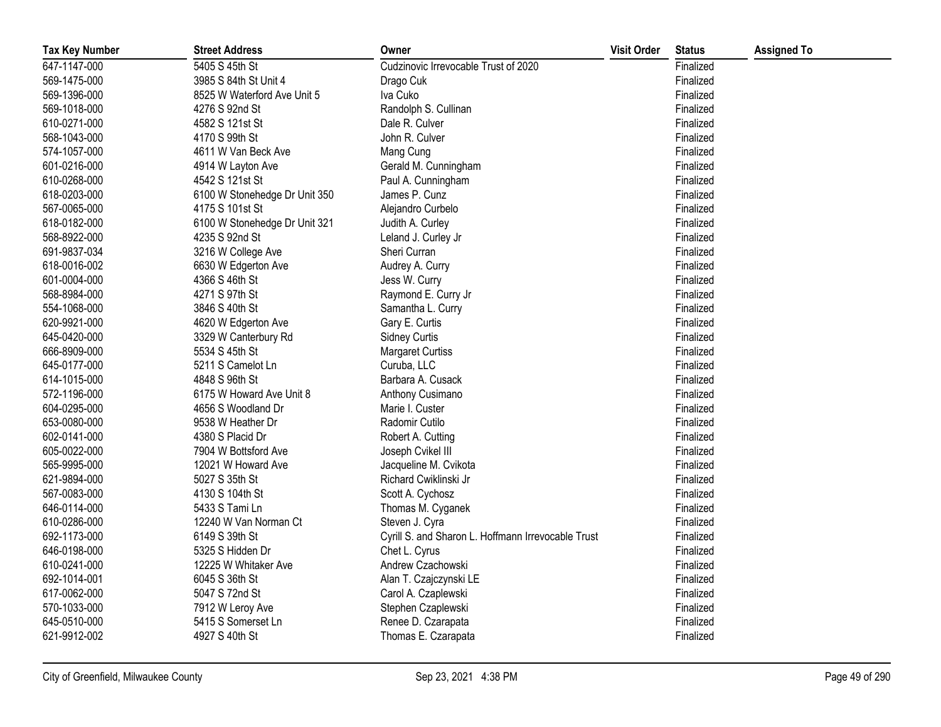| <b>Tax Key Number</b> | <b>Street Address</b>         | Owner                                              | <b>Visit Order</b> | <b>Status</b> | <b>Assigned To</b> |
|-----------------------|-------------------------------|----------------------------------------------------|--------------------|---------------|--------------------|
| 647-1147-000          | 5405 S 45th St                | Cudzinovic Irrevocable Trust of 2020               |                    | Finalized     |                    |
| 569-1475-000          | 3985 S 84th St Unit 4         | Drago Cuk                                          |                    | Finalized     |                    |
| 569-1396-000          | 8525 W Waterford Ave Unit 5   | Iva Cuko                                           |                    | Finalized     |                    |
| 569-1018-000          | 4276 S 92nd St                | Randolph S. Cullinan                               |                    | Finalized     |                    |
| 610-0271-000          | 4582 S 121st St               | Dale R. Culver                                     |                    | Finalized     |                    |
| 568-1043-000          | 4170 S 99th St                | John R. Culver                                     |                    | Finalized     |                    |
| 574-1057-000          | 4611 W Van Beck Ave           | Mang Cung                                          |                    | Finalized     |                    |
| 601-0216-000          | 4914 W Layton Ave             | Gerald M. Cunningham                               |                    | Finalized     |                    |
| 610-0268-000          | 4542 S 121st St               | Paul A. Cunningham                                 |                    | Finalized     |                    |
| 618-0203-000          | 6100 W Stonehedge Dr Unit 350 | James P. Cunz                                      |                    | Finalized     |                    |
| 567-0065-000          | 4175 S 101st St               | Alejandro Curbelo                                  |                    | Finalized     |                    |
| 618-0182-000          | 6100 W Stonehedge Dr Unit 321 | Judith A. Curley                                   |                    | Finalized     |                    |
| 568-8922-000          | 4235 S 92nd St                | Leland J. Curley Jr                                |                    | Finalized     |                    |
| 691-9837-034          | 3216 W College Ave            | Sheri Curran                                       |                    | Finalized     |                    |
| 618-0016-002          | 6630 W Edgerton Ave           | Audrey A. Curry                                    |                    | Finalized     |                    |
| 601-0004-000          | 4366 S 46th St                | Jess W. Curry                                      |                    | Finalized     |                    |
| 568-8984-000          | 4271 S 97th St                | Raymond E. Curry Jr                                |                    | Finalized     |                    |
| 554-1068-000          | 3846 S 40th St                | Samantha L. Curry                                  |                    | Finalized     |                    |
| 620-9921-000          | 4620 W Edgerton Ave           | Gary E. Curtis                                     |                    | Finalized     |                    |
| 645-0420-000          | 3329 W Canterbury Rd          | <b>Sidney Curtis</b>                               |                    | Finalized     |                    |
| 666-8909-000          | 5534 S 45th St                | <b>Margaret Curtiss</b>                            |                    | Finalized     |                    |
| 645-0177-000          | 5211 S Camelot Ln             | Curuba, LLC                                        |                    | Finalized     |                    |
| 614-1015-000          | 4848 S 96th St                | Barbara A. Cusack                                  |                    | Finalized     |                    |
| 572-1196-000          | 6175 W Howard Ave Unit 8      | Anthony Cusimano                                   |                    | Finalized     |                    |
| 604-0295-000          | 4656 S Woodland Dr            | Marie I. Custer                                    |                    | Finalized     |                    |
| 653-0080-000          | 9538 W Heather Dr             | Radomir Cutilo                                     |                    | Finalized     |                    |
| 602-0141-000          | 4380 S Placid Dr              | Robert A. Cutting                                  |                    | Finalized     |                    |
| 605-0022-000          | 7904 W Bottsford Ave          | Joseph Cvikel III                                  |                    | Finalized     |                    |
| 565-9995-000          | 12021 W Howard Ave            | Jacqueline M. Cvikota                              |                    | Finalized     |                    |
| 621-9894-000          | 5027 S 35th St                | Richard Cwiklinski Jr                              |                    | Finalized     |                    |
| 567-0083-000          | 4130 S 104th St               | Scott A. Cychosz                                   |                    | Finalized     |                    |
| 646-0114-000          | 5433 S Tami Ln                | Thomas M. Cyganek                                  |                    | Finalized     |                    |
| 610-0286-000          | 12240 W Van Norman Ct         | Steven J. Cyra                                     |                    | Finalized     |                    |
| 692-1173-000          | 6149 S 39th St                | Cyrill S. and Sharon L. Hoffmann Irrevocable Trust |                    | Finalized     |                    |
| 646-0198-000          | 5325 S Hidden Dr              | Chet L. Cyrus                                      |                    | Finalized     |                    |
| 610-0241-000          | 12225 W Whitaker Ave          | Andrew Czachowski                                  |                    | Finalized     |                    |
| 692-1014-001          | 6045 S 36th St                | Alan T. Czajczynski LE                             |                    | Finalized     |                    |
| 617-0062-000          | 5047 S 72nd St                | Carol A. Czaplewski                                |                    | Finalized     |                    |
| 570-1033-000          | 7912 W Leroy Ave              | Stephen Czaplewski                                 |                    | Finalized     |                    |
| 645-0510-000          | 5415 S Somerset Ln            | Renee D. Czarapata                                 |                    | Finalized     |                    |
| 621-9912-002          | 4927 S 40th St                | Thomas E. Czarapata                                |                    | Finalized     |                    |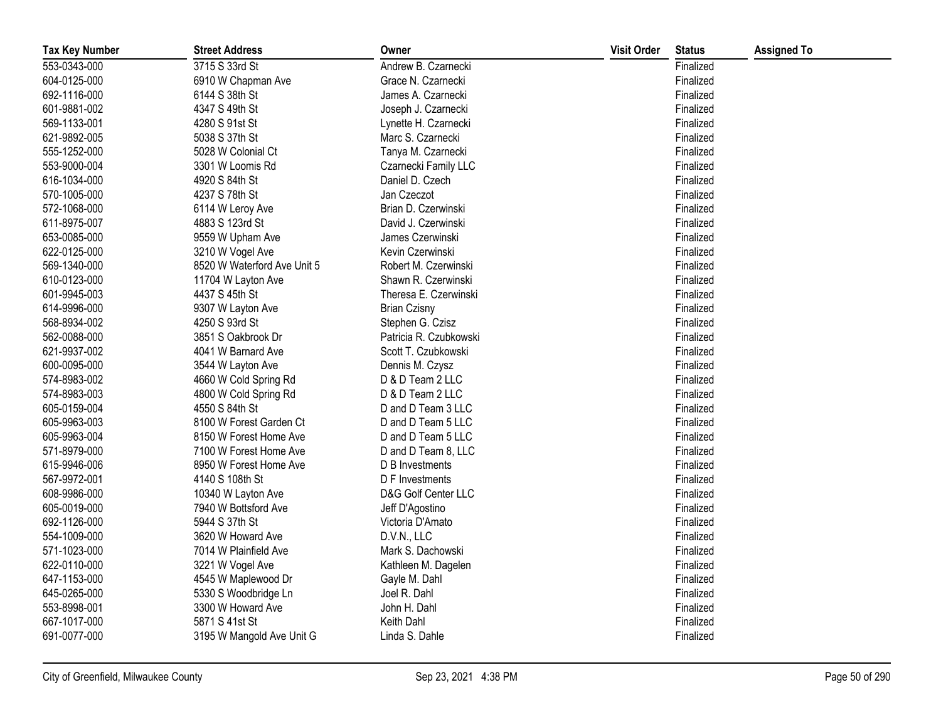| <b>Tax Key Number</b> | <b>Street Address</b>       | Owner                  | <b>Visit Order</b> | <b>Status</b> | <b>Assigned To</b> |
|-----------------------|-----------------------------|------------------------|--------------------|---------------|--------------------|
| 553-0343-000          | 3715 S 33rd St              | Andrew B. Czarnecki    |                    | Finalized     |                    |
| 604-0125-000          | 6910 W Chapman Ave          | Grace N. Czarnecki     |                    | Finalized     |                    |
| 692-1116-000          | 6144 S 38th St              | James A. Czarnecki     |                    | Finalized     |                    |
| 601-9881-002          | 4347 S 49th St              | Joseph J. Czarnecki    |                    | Finalized     |                    |
| 569-1133-001          | 4280 S 91st St              | Lynette H. Czarnecki   |                    | Finalized     |                    |
| 621-9892-005          | 5038 S 37th St              | Marc S. Czarnecki      |                    | Finalized     |                    |
| 555-1252-000          | 5028 W Colonial Ct          | Tanya M. Czarnecki     |                    | Finalized     |                    |
| 553-9000-004          | 3301 W Loomis Rd            | Czarnecki Family LLC   |                    | Finalized     |                    |
| 616-1034-000          | 4920 S 84th St              | Daniel D. Czech        |                    | Finalized     |                    |
| 570-1005-000          | 4237 S 78th St              | Jan Czeczot            |                    | Finalized     |                    |
| 572-1068-000          | 6114 W Leroy Ave            | Brian D. Czerwinski    |                    | Finalized     |                    |
| 611-8975-007          | 4883 S 123rd St             | David J. Czerwinski    |                    | Finalized     |                    |
| 653-0085-000          | 9559 W Upham Ave            | James Czerwinski       |                    | Finalized     |                    |
| 622-0125-000          | 3210 W Vogel Ave            | Kevin Czerwinski       |                    | Finalized     |                    |
| 569-1340-000          | 8520 W Waterford Ave Unit 5 | Robert M. Czerwinski   |                    | Finalized     |                    |
| 610-0123-000          | 11704 W Layton Ave          | Shawn R. Czerwinski    |                    | Finalized     |                    |
| 601-9945-003          | 4437 S 45th St              | Theresa E. Czerwinski  |                    | Finalized     |                    |
| 614-9996-000          | 9307 W Layton Ave           | <b>Brian Czisny</b>    |                    | Finalized     |                    |
| 568-8934-002          | 4250 S 93rd St              | Stephen G. Czisz       |                    | Finalized     |                    |
| 562-0088-000          | 3851 S Oakbrook Dr          | Patricia R. Czubkowski |                    | Finalized     |                    |
| 621-9937-002          | 4041 W Barnard Ave          | Scott T. Czubkowski    |                    | Finalized     |                    |
| 600-0095-000          | 3544 W Layton Ave           | Dennis M. Czysz        |                    | Finalized     |                    |
| 574-8983-002          | 4660 W Cold Spring Rd       | D & D Team 2 LLC       |                    | Finalized     |                    |
| 574-8983-003          | 4800 W Cold Spring Rd       | D & D Team 2 LLC       |                    | Finalized     |                    |
| 605-0159-004          | 4550 S 84th St              | D and D Team 3 LLC     |                    | Finalized     |                    |
| 605-9963-003          | 8100 W Forest Garden Ct     | D and D Team 5 LLC     |                    | Finalized     |                    |
| 605-9963-004          | 8150 W Forest Home Ave      | D and D Team 5 LLC     |                    | Finalized     |                    |
| 571-8979-000          | 7100 W Forest Home Ave      | D and D Team 8, LLC    |                    | Finalized     |                    |
| 615-9946-006          | 8950 W Forest Home Ave      | D B Investments        |                    | Finalized     |                    |
| 567-9972-001          | 4140 S 108th St             | D F Investments        |                    | Finalized     |                    |
| 608-9986-000          | 10340 W Layton Ave          | D&G Golf Center LLC    |                    | Finalized     |                    |
| 605-0019-000          | 7940 W Bottsford Ave        | Jeff D'Agostino        |                    | Finalized     |                    |
| 692-1126-000          | 5944 S 37th St              | Victoria D'Amato       |                    | Finalized     |                    |
| 554-1009-000          | 3620 W Howard Ave           | D.V.N., LLC            |                    | Finalized     |                    |
| 571-1023-000          | 7014 W Plainfield Ave       | Mark S. Dachowski      |                    | Finalized     |                    |
| 622-0110-000          | 3221 W Vogel Ave            | Kathleen M. Dagelen    |                    | Finalized     |                    |
| 647-1153-000          | 4545 W Maplewood Dr         | Gayle M. Dahl          |                    | Finalized     |                    |
| 645-0265-000          | 5330 S Woodbridge Ln        | Joel R. Dahl           |                    | Finalized     |                    |
| 553-8998-001          | 3300 W Howard Ave           | John H. Dahl           |                    | Finalized     |                    |
| 667-1017-000          | 5871 S 41st St              | Keith Dahl             |                    | Finalized     |                    |
| 691-0077-000          | 3195 W Mangold Ave Unit G   | Linda S. Dahle         |                    | Finalized     |                    |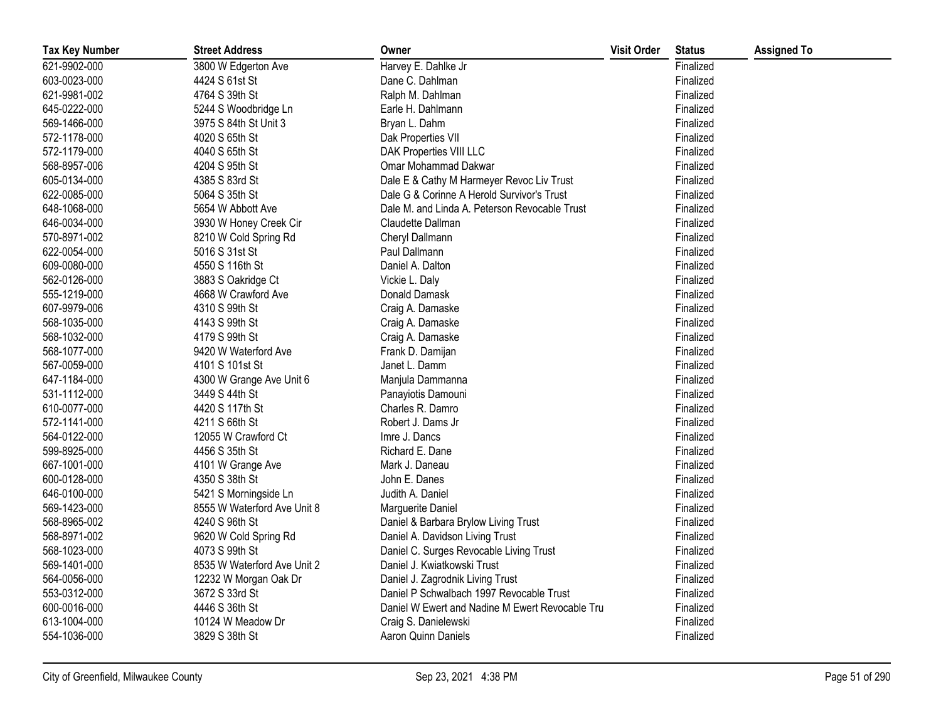| <b>Tax Key Number</b> | <b>Street Address</b>       | Owner                                           | <b>Visit Order</b> | <b>Status</b> | <b>Assigned To</b> |
|-----------------------|-----------------------------|-------------------------------------------------|--------------------|---------------|--------------------|
| 621-9902-000          | 3800 W Edgerton Ave         | Harvey E. Dahlke Jr                             |                    | Finalized     |                    |
| 603-0023-000          | 4424 S 61st St              | Dane C. Dahlman                                 |                    | Finalized     |                    |
| 621-9981-002          | 4764 S 39th St              | Ralph M. Dahlman                                |                    | Finalized     |                    |
| 645-0222-000          | 5244 S Woodbridge Ln        | Earle H. Dahlmann                               |                    | Finalized     |                    |
| 569-1466-000          | 3975 S 84th St Unit 3       | Bryan L. Dahm                                   |                    | Finalized     |                    |
| 572-1178-000          | 4020 S 65th St              | Dak Properties VII                              |                    | Finalized     |                    |
| 572-1179-000          | 4040 S 65th St              | DAK Properties VIII LLC                         |                    | Finalized     |                    |
| 568-8957-006          | 4204 S 95th St              | Omar Mohammad Dakwar                            |                    | Finalized     |                    |
| 605-0134-000          | 4385 S 83rd St              | Dale E & Cathy M Harmeyer Revoc Liv Trust       |                    | Finalized     |                    |
| 622-0085-000          | 5064 S 35th St              | Dale G & Corinne A Herold Survivor's Trust      |                    | Finalized     |                    |
| 648-1068-000          | 5654 W Abbott Ave           | Dale M. and Linda A. Peterson Revocable Trust   |                    | Finalized     |                    |
| 646-0034-000          | 3930 W Honey Creek Cir      | Claudette Dallman                               |                    | Finalized     |                    |
| 570-8971-002          | 8210 W Cold Spring Rd       | Cheryl Dallmann                                 |                    | Finalized     |                    |
| 622-0054-000          | 5016 S 31st St              | Paul Dallmann                                   |                    | Finalized     |                    |
| 609-0080-000          | 4550 S 116th St             | Daniel A. Dalton                                |                    | Finalized     |                    |
| 562-0126-000          | 3883 S Oakridge Ct          | Vickie L. Daly                                  |                    | Finalized     |                    |
| 555-1219-000          | 4668 W Crawford Ave         | Donald Damask                                   |                    | Finalized     |                    |
| 607-9979-006          | 4310 S 99th St              | Craig A. Damaske                                |                    | Finalized     |                    |
| 568-1035-000          | 4143 S 99th St              | Craig A. Damaske                                |                    | Finalized     |                    |
| 568-1032-000          | 4179 S 99th St              | Craig A. Damaske                                |                    | Finalized     |                    |
| 568-1077-000          | 9420 W Waterford Ave        | Frank D. Damijan                                |                    | Finalized     |                    |
| 567-0059-000          | 4101 S 101st St             | Janet L. Damm                                   |                    | Finalized     |                    |
| 647-1184-000          | 4300 W Grange Ave Unit 6    | Manjula Dammanna                                |                    | Finalized     |                    |
| 531-1112-000          | 3449 S 44th St              | Panayiotis Damouni                              |                    | Finalized     |                    |
| 610-0077-000          | 4420 S 117th St             | Charles R. Damro                                |                    | Finalized     |                    |
| 572-1141-000          | 4211 S 66th St              | Robert J. Dams Jr                               |                    | Finalized     |                    |
| 564-0122-000          | 12055 W Crawford Ct         | Imre J. Dancs                                   |                    | Finalized     |                    |
| 599-8925-000          | 4456 S 35th St              | Richard E. Dane                                 |                    | Finalized     |                    |
| 667-1001-000          | 4101 W Grange Ave           | Mark J. Daneau                                  |                    | Finalized     |                    |
| 600-0128-000          | 4350 S 38th St              | John E. Danes                                   |                    | Finalized     |                    |
| 646-0100-000          | 5421 S Morningside Ln       | Judith A. Daniel                                |                    | Finalized     |                    |
| 569-1423-000          | 8555 W Waterford Ave Unit 8 | Marguerite Daniel                               |                    | Finalized     |                    |
| 568-8965-002          | 4240 S 96th St              | Daniel & Barbara Brylow Living Trust            |                    | Finalized     |                    |
| 568-8971-002          | 9620 W Cold Spring Rd       | Daniel A. Davidson Living Trust                 |                    | Finalized     |                    |
| 568-1023-000          | 4073 S 99th St              | Daniel C. Surges Revocable Living Trust         |                    | Finalized     |                    |
| 569-1401-000          | 8535 W Waterford Ave Unit 2 | Daniel J. Kwiatkowski Trust                     |                    | Finalized     |                    |
| 564-0056-000          | 12232 W Morgan Oak Dr       | Daniel J. Zagrodnik Living Trust                |                    | Finalized     |                    |
| 553-0312-000          | 3672 S 33rd St              | Daniel P Schwalbach 1997 Revocable Trust        |                    | Finalized     |                    |
| 600-0016-000          | 4446 S 36th St              | Daniel W Ewert and Nadine M Ewert Revocable Tru |                    | Finalized     |                    |
| 613-1004-000          | 10124 W Meadow Dr           | Craig S. Danielewski                            |                    | Finalized     |                    |
| 554-1036-000          | 3829 S 38th St              | Aaron Quinn Daniels                             |                    | Finalized     |                    |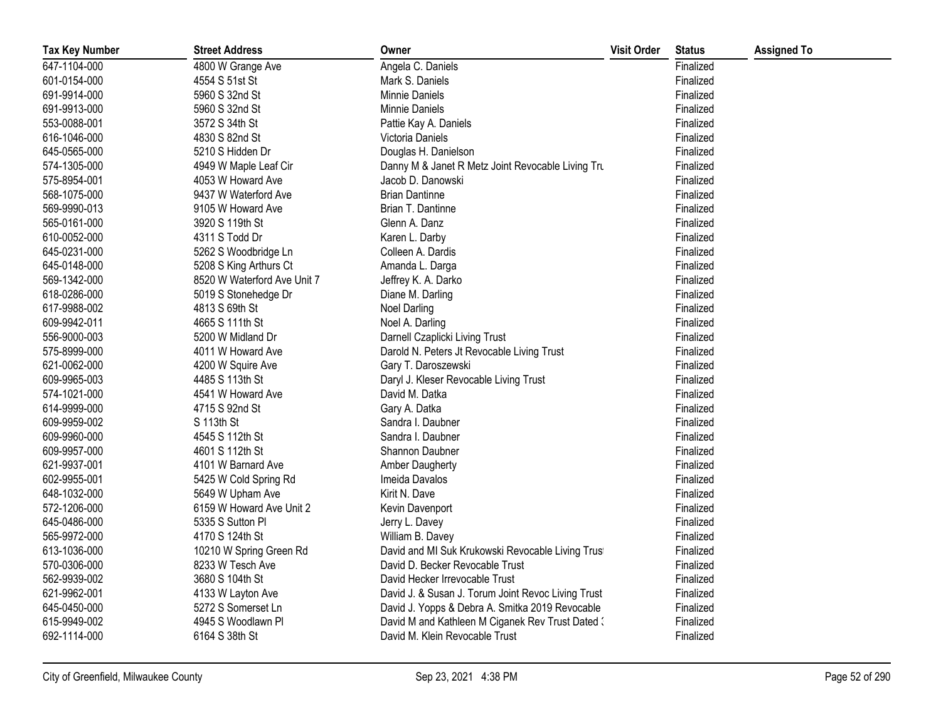| <b>Tax Key Number</b> | <b>Street Address</b>       | Owner                                              | <b>Visit Order</b> | <b>Status</b> | <b>Assigned To</b> |
|-----------------------|-----------------------------|----------------------------------------------------|--------------------|---------------|--------------------|
| 647-1104-000          | 4800 W Grange Ave           | Angela C. Daniels                                  |                    | Finalized     |                    |
| 601-0154-000          | 4554 S 51st St              | Mark S. Daniels                                    |                    | Finalized     |                    |
| 691-9914-000          | 5960 S 32nd St              | Minnie Daniels                                     |                    | Finalized     |                    |
| 691-9913-000          | 5960 S 32nd St              | Minnie Daniels                                     |                    | Finalized     |                    |
| 553-0088-001          | 3572 S 34th St              | Pattie Kay A. Daniels                              |                    | Finalized     |                    |
| 616-1046-000          | 4830 S 82nd St              | Victoria Daniels                                   |                    | Finalized     |                    |
| 645-0565-000          | 5210 S Hidden Dr            | Douglas H. Danielson                               |                    | Finalized     |                    |
| 574-1305-000          | 4949 W Maple Leaf Cir       | Danny M & Janet R Metz Joint Revocable Living Tru  |                    | Finalized     |                    |
| 575-8954-001          | 4053 W Howard Ave           | Jacob D. Danowski                                  |                    | Finalized     |                    |
| 568-1075-000          | 9437 W Waterford Ave        | <b>Brian Dantinne</b>                              |                    | Finalized     |                    |
| 569-9990-013          | 9105 W Howard Ave           | Brian T. Dantinne                                  |                    | Finalized     |                    |
| 565-0161-000          | 3920 S 119th St             | Glenn A. Danz                                      |                    | Finalized     |                    |
| 610-0052-000          | 4311 S Todd Dr              | Karen L. Darby                                     |                    | Finalized     |                    |
| 645-0231-000          | 5262 S Woodbridge Ln        | Colleen A. Dardis                                  |                    | Finalized     |                    |
| 645-0148-000          | 5208 S King Arthurs Ct      | Amanda L. Darga                                    |                    | Finalized     |                    |
| 569-1342-000          | 8520 W Waterford Ave Unit 7 | Jeffrey K. A. Darko                                |                    | Finalized     |                    |
| 618-0286-000          | 5019 S Stonehedge Dr        | Diane M. Darling                                   |                    | Finalized     |                    |
| 617-9988-002          | 4813 S 69th St              | <b>Noel Darling</b>                                |                    | Finalized     |                    |
| 609-9942-011          | 4665 S 111th St             | Noel A. Darling                                    |                    | Finalized     |                    |
| 556-9000-003          | 5200 W Midland Dr           | Darnell Czaplicki Living Trust                     |                    | Finalized     |                    |
| 575-8999-000          | 4011 W Howard Ave           | Darold N. Peters Jt Revocable Living Trust         |                    | Finalized     |                    |
| 621-0062-000          | 4200 W Squire Ave           | Gary T. Daroszewski                                |                    | Finalized     |                    |
| 609-9965-003          | 4485 S 113th St             | Daryl J. Kleser Revocable Living Trust             |                    | Finalized     |                    |
| 574-1021-000          | 4541 W Howard Ave           | David M. Datka                                     |                    | Finalized     |                    |
| 614-9999-000          | 4715 S 92nd St              | Gary A. Datka                                      |                    | Finalized     |                    |
| 609-9959-002          | S 113th St                  | Sandra I. Daubner                                  |                    | Finalized     |                    |
| 609-9960-000          | 4545 S 112th St             | Sandra I. Daubner                                  |                    | Finalized     |                    |
| 609-9957-000          | 4601 S 112th St             | Shannon Daubner                                    |                    | Finalized     |                    |
| 621-9937-001          | 4101 W Barnard Ave          | <b>Amber Daugherty</b>                             |                    | Finalized     |                    |
| 602-9955-001          | 5425 W Cold Spring Rd       | Imeida Davalos                                     |                    | Finalized     |                    |
| 648-1032-000          | 5649 W Upham Ave            | Kirit N. Dave                                      |                    | Finalized     |                    |
| 572-1206-000          | 6159 W Howard Ave Unit 2    | Kevin Davenport                                    |                    | Finalized     |                    |
| 645-0486-000          | 5335 S Sutton Pl            | Jerry L. Davey                                     |                    | Finalized     |                    |
| 565-9972-000          | 4170 S 124th St             | William B. Davey                                   |                    | Finalized     |                    |
| 613-1036-000          | 10210 W Spring Green Rd     | David and MI Suk Krukowski Revocable Living Trust  |                    | Finalized     |                    |
| 570-0306-000          | 8233 W Tesch Ave            | David D. Becker Revocable Trust                    |                    | Finalized     |                    |
| 562-9939-002          | 3680 S 104th St             | David Hecker Irrevocable Trust                     |                    | Finalized     |                    |
| 621-9962-001          | 4133 W Layton Ave           | David J. & Susan J. Torum Joint Revoc Living Trust |                    | Finalized     |                    |
| 645-0450-000          | 5272 S Somerset Ln          | David J. Yopps & Debra A. Smitka 2019 Revocable    |                    | Finalized     |                    |
| 615-9949-002          | 4945 S Woodlawn Pl          | David M and Kathleen M Ciganek Rev Trust Dated 3   |                    | Finalized     |                    |
| 692-1114-000          | 6164 S 38th St              | David M. Klein Revocable Trust                     |                    | Finalized     |                    |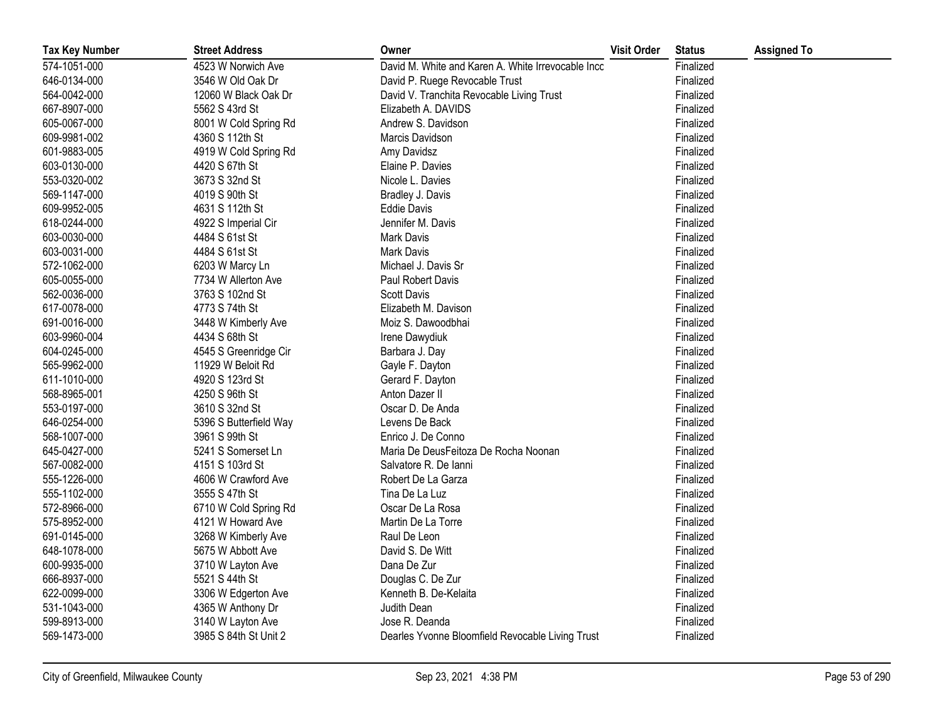| <b>Tax Key Number</b> | <b>Street Address</b>  | Owner                                              | <b>Visit Order</b> | <b>Status</b> | <b>Assigned To</b> |
|-----------------------|------------------------|----------------------------------------------------|--------------------|---------------|--------------------|
| 574-1051-000          | 4523 W Norwich Ave     | David M. White and Karen A. White Irrevocable Inco |                    | Finalized     |                    |
| 646-0134-000          | 3546 W Old Oak Dr      | David P. Ruege Revocable Trust                     |                    | Finalized     |                    |
| 564-0042-000          | 12060 W Black Oak Dr   | David V. Tranchita Revocable Living Trust          |                    | Finalized     |                    |
| 667-8907-000          | 5562 S 43rd St         | Elizabeth A. DAVIDS                                |                    | Finalized     |                    |
| 605-0067-000          | 8001 W Cold Spring Rd  | Andrew S. Davidson                                 |                    | Finalized     |                    |
| 609-9981-002          | 4360 S 112th St        | Marcis Davidson                                    |                    | Finalized     |                    |
| 601-9883-005          | 4919 W Cold Spring Rd  | Amy Davidsz                                        |                    | Finalized     |                    |
| 603-0130-000          | 4420 S 67th St         | Elaine P. Davies                                   |                    | Finalized     |                    |
| 553-0320-002          | 3673 S 32nd St         | Nicole L. Davies                                   |                    | Finalized     |                    |
| 569-1147-000          | 4019 S 90th St         | Bradley J. Davis                                   |                    | Finalized     |                    |
| 609-9952-005          | 4631 S 112th St        | <b>Eddie Davis</b>                                 |                    | Finalized     |                    |
| 618-0244-000          | 4922 S Imperial Cir    | Jennifer M. Davis                                  |                    | Finalized     |                    |
| 603-0030-000          | 4484 S 61st St         | Mark Davis                                         |                    | Finalized     |                    |
| 603-0031-000          | 4484 S 61st St         | <b>Mark Davis</b>                                  |                    | Finalized     |                    |
| 572-1062-000          | 6203 W Marcy Ln        | Michael J. Davis Sr                                |                    | Finalized     |                    |
| 605-0055-000          | 7734 W Allerton Ave    | Paul Robert Davis                                  |                    | Finalized     |                    |
| 562-0036-000          | 3763 S 102nd St        | <b>Scott Davis</b>                                 |                    | Finalized     |                    |
| 617-0078-000          | 4773 S 74th St         | Elizabeth M. Davison                               |                    | Finalized     |                    |
| 691-0016-000          | 3448 W Kimberly Ave    | Moiz S. Dawoodbhai                                 |                    | Finalized     |                    |
| 603-9960-004          | 4434 S 68th St         | Irene Dawydiuk                                     |                    | Finalized     |                    |
| 604-0245-000          | 4545 S Greenridge Cir  | Barbara J. Day                                     |                    | Finalized     |                    |
| 565-9962-000          | 11929 W Beloit Rd      | Gayle F. Dayton                                    |                    | Finalized     |                    |
| 611-1010-000          | 4920 S 123rd St        | Gerard F. Dayton                                   |                    | Finalized     |                    |
| 568-8965-001          | 4250 S 96th St         | Anton Dazer II                                     |                    | Finalized     |                    |
| 553-0197-000          | 3610 S 32nd St         | Oscar D. De Anda                                   |                    | Finalized     |                    |
| 646-0254-000          | 5396 S Butterfield Way | Levens De Back                                     |                    | Finalized     |                    |
| 568-1007-000          | 3961 S 99th St         | Enrico J. De Conno                                 |                    | Finalized     |                    |
| 645-0427-000          | 5241 S Somerset Ln     | Maria De DeusFeitoza De Rocha Noonan               |                    | Finalized     |                    |
| 567-0082-000          | 4151 S 103rd St        | Salvatore R. De lanni                              |                    | Finalized     |                    |
| 555-1226-000          | 4606 W Crawford Ave    | Robert De La Garza                                 |                    | Finalized     |                    |
| 555-1102-000          | 3555 S 47th St         | Tina De La Luz                                     |                    | Finalized     |                    |
| 572-8966-000          | 6710 W Cold Spring Rd  | Oscar De La Rosa                                   |                    | Finalized     |                    |
| 575-8952-000          | 4121 W Howard Ave      | Martin De La Torre                                 |                    | Finalized     |                    |
| 691-0145-000          | 3268 W Kimberly Ave    | Raul De Leon                                       |                    | Finalized     |                    |
| 648-1078-000          | 5675 W Abbott Ave      | David S. De Witt                                   |                    | Finalized     |                    |
| 600-9935-000          | 3710 W Layton Ave      | Dana De Zur                                        |                    | Finalized     |                    |
| 666-8937-000          | 5521 S 44th St         | Douglas C. De Zur                                  |                    | Finalized     |                    |
| 622-0099-000          | 3306 W Edgerton Ave    | Kenneth B. De-Kelaita                              |                    | Finalized     |                    |
| 531-1043-000          | 4365 W Anthony Dr      | Judith Dean                                        |                    | Finalized     |                    |
| 599-8913-000          | 3140 W Layton Ave      | Jose R. Deanda                                     |                    | Finalized     |                    |
| 569-1473-000          | 3985 S 84th St Unit 2  | Dearles Yvonne Bloomfield Revocable Living Trust   |                    | Finalized     |                    |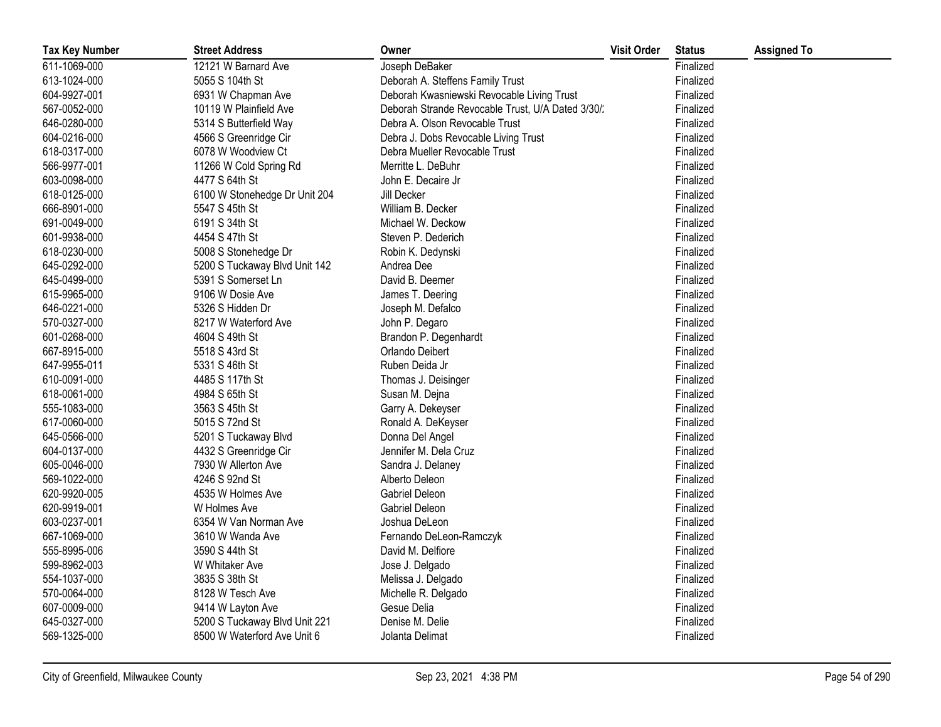| <b>Tax Key Number</b> | <b>Street Address</b>         | Owner                                             | <b>Visit Order</b> | <b>Status</b> | <b>Assigned To</b> |
|-----------------------|-------------------------------|---------------------------------------------------|--------------------|---------------|--------------------|
| 611-1069-000          | 12121 W Barnard Ave           | Joseph DeBaker                                    |                    | Finalized     |                    |
| 613-1024-000          | 5055 S 104th St               | Deborah A. Steffens Family Trust                  |                    | Finalized     |                    |
| 604-9927-001          | 6931 W Chapman Ave            | Deborah Kwasniewski Revocable Living Trust        |                    | Finalized     |                    |
| 567-0052-000          | 10119 W Plainfield Ave        | Deborah Strande Revocable Trust, U/A Dated 3/30/. |                    | Finalized     |                    |
| 646-0280-000          | 5314 S Butterfield Way        | Debra A. Olson Revocable Trust                    |                    | Finalized     |                    |
| 604-0216-000          | 4566 S Greenridge Cir         | Debra J. Dobs Revocable Living Trust              |                    | Finalized     |                    |
| 618-0317-000          | 6078 W Woodview Ct            | Debra Mueller Revocable Trust                     |                    | Finalized     |                    |
| 566-9977-001          | 11266 W Cold Spring Rd        | Merritte L. DeBuhr                                |                    | Finalized     |                    |
| 603-0098-000          | 4477 S 64th St                | John E. Decaire Jr                                |                    | Finalized     |                    |
| 618-0125-000          | 6100 W Stonehedge Dr Unit 204 | Jill Decker                                       |                    | Finalized     |                    |
| 666-8901-000          | 5547 S 45th St                | William B. Decker                                 |                    | Finalized     |                    |
| 691-0049-000          | 6191 S 34th St                | Michael W. Deckow                                 |                    | Finalized     |                    |
| 601-9938-000          | 4454 S 47th St                | Steven P. Dederich                                |                    | Finalized     |                    |
| 618-0230-000          | 5008 S Stonehedge Dr          | Robin K. Dedynski                                 |                    | Finalized     |                    |
| 645-0292-000          | 5200 S Tuckaway Blvd Unit 142 | Andrea Dee                                        |                    | Finalized     |                    |
| 645-0499-000          | 5391 S Somerset Ln            | David B. Deemer                                   |                    | Finalized     |                    |
| 615-9965-000          | 9106 W Dosie Ave              | James T. Deering                                  |                    | Finalized     |                    |
| 646-0221-000          | 5326 S Hidden Dr              | Joseph M. Defalco                                 |                    | Finalized     |                    |
| 570-0327-000          | 8217 W Waterford Ave          | John P. Degaro                                    |                    | Finalized     |                    |
| 601-0268-000          | 4604 S 49th St                | Brandon P. Degenhardt                             |                    | Finalized     |                    |
| 667-8915-000          | 5518 S 43rd St                | Orlando Deibert                                   |                    | Finalized     |                    |
| 647-9955-011          | 5331 S 46th St                | Ruben Deida Jr                                    |                    | Finalized     |                    |
| 610-0091-000          | 4485 S 117th St               | Thomas J. Deisinger                               |                    | Finalized     |                    |
| 618-0061-000          | 4984 S 65th St                | Susan M. Dejna                                    |                    | Finalized     |                    |
| 555-1083-000          | 3563 S 45th St                | Garry A. Dekeyser                                 |                    | Finalized     |                    |
| 617-0060-000          | 5015 S 72nd St                | Ronald A. DeKeyser                                |                    | Finalized     |                    |
| 645-0566-000          | 5201 S Tuckaway Blvd          | Donna Del Angel                                   |                    | Finalized     |                    |
| 604-0137-000          | 4432 S Greenridge Cir         | Jennifer M. Dela Cruz                             |                    | Finalized     |                    |
| 605-0046-000          | 7930 W Allerton Ave           | Sandra J. Delaney                                 |                    | Finalized     |                    |
| 569-1022-000          | 4246 S 92nd St                | Alberto Deleon                                    |                    | Finalized     |                    |
| 620-9920-005          | 4535 W Holmes Ave             | Gabriel Deleon                                    |                    | Finalized     |                    |
| 620-9919-001          | W Holmes Ave                  | Gabriel Deleon                                    |                    | Finalized     |                    |
| 603-0237-001          | 6354 W Van Norman Ave         | Joshua DeLeon                                     |                    | Finalized     |                    |
| 667-1069-000          | 3610 W Wanda Ave              | Fernando DeLeon-Ramczyk                           |                    | Finalized     |                    |
| 555-8995-006          | 3590 S 44th St                | David M. Delfiore                                 |                    | Finalized     |                    |
| 599-8962-003          | W Whitaker Ave                | Jose J. Delgado                                   |                    | Finalized     |                    |
| 554-1037-000          | 3835 S 38th St                | Melissa J. Delgado                                |                    | Finalized     |                    |
| 570-0064-000          | 8128 W Tesch Ave              | Michelle R. Delgado                               |                    | Finalized     |                    |
| 607-0009-000          | 9414 W Layton Ave             | Gesue Delia                                       |                    | Finalized     |                    |
| 645-0327-000          | 5200 S Tuckaway Blvd Unit 221 | Denise M. Delie                                   |                    | Finalized     |                    |
| 569-1325-000          | 8500 W Waterford Ave Unit 6   | Jolanta Delimat                                   |                    | Finalized     |                    |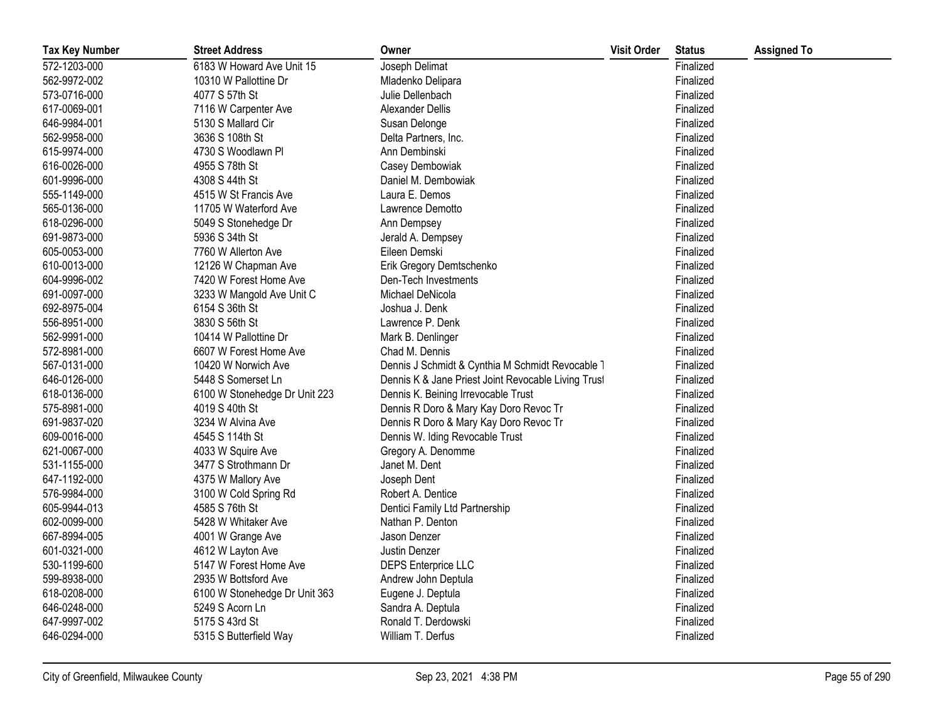| <b>Tax Key Number</b> | <b>Street Address</b>         | Owner                                               | <b>Visit Order</b> | <b>Status</b> | <b>Assigned To</b> |
|-----------------------|-------------------------------|-----------------------------------------------------|--------------------|---------------|--------------------|
| 572-1203-000          | 6183 W Howard Ave Unit 15     | Joseph Delimat                                      |                    | Finalized     |                    |
| 562-9972-002          | 10310 W Pallottine Dr         | Mladenko Delipara                                   |                    | Finalized     |                    |
| 573-0716-000          | 4077 S 57th St                | Julie Dellenbach                                    |                    | Finalized     |                    |
| 617-0069-001          | 7116 W Carpenter Ave          | Alexander Dellis                                    |                    | Finalized     |                    |
| 646-9984-001          | 5130 S Mallard Cir            | Susan Delonge                                       |                    | Finalized     |                    |
| 562-9958-000          | 3636 S 108th St               | Delta Partners, Inc.                                |                    | Finalized     |                    |
| 615-9974-000          | 4730 S Woodlawn Pl            | Ann Dembinski                                       |                    | Finalized     |                    |
| 616-0026-000          | 4955 S 78th St                | Casey Dembowiak                                     |                    | Finalized     |                    |
| 601-9996-000          | 4308 S 44th St                | Daniel M. Dembowiak                                 |                    | Finalized     |                    |
| 555-1149-000          | 4515 W St Francis Ave         | Laura E. Demos                                      |                    | Finalized     |                    |
| 565-0136-000          | 11705 W Waterford Ave         | Lawrence Demotto                                    |                    | Finalized     |                    |
| 618-0296-000          | 5049 S Stonehedge Dr          | Ann Dempsey                                         |                    | Finalized     |                    |
| 691-9873-000          | 5936 S 34th St                | Jerald A. Dempsey                                   |                    | Finalized     |                    |
| 605-0053-000          | 7760 W Allerton Ave           | Eileen Demski                                       |                    | Finalized     |                    |
| 610-0013-000          | 12126 W Chapman Ave           | Erik Gregory Demtschenko                            |                    | Finalized     |                    |
| 604-9996-002          | 7420 W Forest Home Ave        | Den-Tech Investments                                |                    | Finalized     |                    |
| 691-0097-000          | 3233 W Mangold Ave Unit C     | Michael DeNicola                                    |                    | Finalized     |                    |
| 692-8975-004          | 6154 S 36th St                | Joshua J. Denk                                      |                    | Finalized     |                    |
| 556-8951-000          | 3830 S 56th St                | Lawrence P. Denk                                    |                    | Finalized     |                    |
| 562-9991-000          | 10414 W Pallottine Dr         | Mark B. Denlinger                                   |                    | Finalized     |                    |
| 572-8981-000          | 6607 W Forest Home Ave        | Chad M. Dennis                                      |                    | Finalized     |                    |
| 567-0131-000          | 10420 W Norwich Ave           | Dennis J Schmidt & Cynthia M Schmidt Revocable 1    |                    | Finalized     |                    |
| 646-0126-000          | 5448 S Somerset Ln            | Dennis K & Jane Priest Joint Revocable Living Trust |                    | Finalized     |                    |
| 618-0136-000          | 6100 W Stonehedge Dr Unit 223 | Dennis K. Beining Irrevocable Trust                 |                    | Finalized     |                    |
| 575-8981-000          | 4019 S 40th St                | Dennis R Doro & Mary Kay Doro Revoc Tr              |                    | Finalized     |                    |
| 691-9837-020          | 3234 W Alvina Ave             | Dennis R Doro & Mary Kay Doro Revoc Tr              |                    | Finalized     |                    |
| 609-0016-000          | 4545 S 114th St               | Dennis W. Iding Revocable Trust                     |                    | Finalized     |                    |
| 621-0067-000          | 4033 W Squire Ave             | Gregory A. Denomme                                  |                    | Finalized     |                    |
| 531-1155-000          | 3477 S Strothmann Dr          | Janet M. Dent                                       |                    | Finalized     |                    |
| 647-1192-000          | 4375 W Mallory Ave            | Joseph Dent                                         |                    | Finalized     |                    |
| 576-9984-000          | 3100 W Cold Spring Rd         | Robert A. Dentice                                   |                    | Finalized     |                    |
| 605-9944-013          | 4585 S 76th St                | Dentici Family Ltd Partnership                      |                    | Finalized     |                    |
| 602-0099-000          | 5428 W Whitaker Ave           | Nathan P. Denton                                    |                    | Finalized     |                    |
| 667-8994-005          | 4001 W Grange Ave             | Jason Denzer                                        |                    | Finalized     |                    |
| 601-0321-000          | 4612 W Layton Ave             | Justin Denzer                                       |                    | Finalized     |                    |
| 530-1199-600          | 5147 W Forest Home Ave        | <b>DEPS Enterprice LLC</b>                          |                    | Finalized     |                    |
| 599-8938-000          | 2935 W Bottsford Ave          | Andrew John Deptula                                 |                    | Finalized     |                    |
| 618-0208-000          | 6100 W Stonehedge Dr Unit 363 | Eugene J. Deptula                                   |                    | Finalized     |                    |
| 646-0248-000          | 5249 S Acorn Ln               | Sandra A. Deptula                                   |                    | Finalized     |                    |
| 647-9997-002          | 5175 S 43rd St                | Ronald T. Derdowski                                 |                    | Finalized     |                    |
| 646-0294-000          | 5315 S Butterfield Way        | William T. Derfus                                   |                    | Finalized     |                    |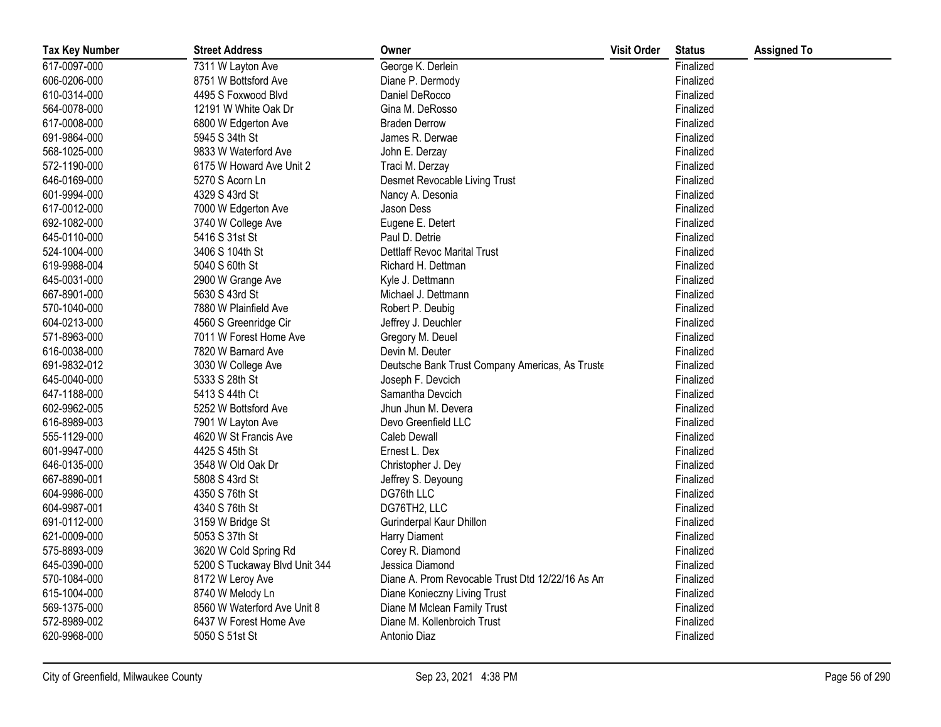| <b>Tax Key Number</b> | <b>Street Address</b>         | Owner                                            | <b>Visit Order</b> | <b>Status</b> | <b>Assigned To</b> |
|-----------------------|-------------------------------|--------------------------------------------------|--------------------|---------------|--------------------|
| 617-0097-000          | 7311 W Layton Ave             | George K. Derlein                                |                    | Finalized     |                    |
| 606-0206-000          | 8751 W Bottsford Ave          | Diane P. Dermody                                 |                    | Finalized     |                    |
| 610-0314-000          | 4495 S Foxwood Blvd           | Daniel DeRocco                                   |                    | Finalized     |                    |
| 564-0078-000          | 12191 W White Oak Dr          | Gina M. DeRosso                                  |                    | Finalized     |                    |
| 617-0008-000          | 6800 W Edgerton Ave           | <b>Braden Derrow</b>                             |                    | Finalized     |                    |
| 691-9864-000          | 5945 S 34th St                | James R. Derwae                                  |                    | Finalized     |                    |
| 568-1025-000          | 9833 W Waterford Ave          | John E. Derzay                                   |                    | Finalized     |                    |
| 572-1190-000          | 6175 W Howard Ave Unit 2      | Traci M. Derzay                                  |                    | Finalized     |                    |
| 646-0169-000          | 5270 S Acorn Ln               | Desmet Revocable Living Trust                    |                    | Finalized     |                    |
| 601-9994-000          | 4329 S 43rd St                | Nancy A. Desonia                                 |                    | Finalized     |                    |
| 617-0012-000          | 7000 W Edgerton Ave           | Jason Dess                                       |                    | Finalized     |                    |
| 692-1082-000          | 3740 W College Ave            | Eugene E. Detert                                 |                    | Finalized     |                    |
| 645-0110-000          | 5416 S 31st St                | Paul D. Detrie                                   |                    | Finalized     |                    |
| 524-1004-000          | 3406 S 104th St               | Dettlaff Revoc Marital Trust                     |                    | Finalized     |                    |
| 619-9988-004          | 5040 S 60th St                | Richard H. Dettman                               |                    | Finalized     |                    |
| 645-0031-000          | 2900 W Grange Ave             | Kyle J. Dettmann                                 |                    | Finalized     |                    |
| 667-8901-000          | 5630 S 43rd St                | Michael J. Dettmann                              |                    | Finalized     |                    |
| 570-1040-000          | 7880 W Plainfield Ave         | Robert P. Deubig                                 |                    | Finalized     |                    |
| 604-0213-000          | 4560 S Greenridge Cir         | Jeffrey J. Deuchler                              |                    | Finalized     |                    |
| 571-8963-000          | 7011 W Forest Home Ave        | Gregory M. Deuel                                 |                    | Finalized     |                    |
| 616-0038-000          | 7820 W Barnard Ave            | Devin M. Deuter                                  |                    | Finalized     |                    |
| 691-9832-012          | 3030 W College Ave            | Deutsche Bank Trust Company Americas, As Truste  |                    | Finalized     |                    |
| 645-0040-000          | 5333 S 28th St                | Joseph F. Devcich                                |                    | Finalized     |                    |
| 647-1188-000          | 5413 S 44th Ct                | Samantha Devcich                                 |                    | Finalized     |                    |
| 602-9962-005          | 5252 W Bottsford Ave          | Jhun Jhun M. Devera                              |                    | Finalized     |                    |
| 616-8989-003          | 7901 W Layton Ave             | Devo Greenfield LLC                              |                    | Finalized     |                    |
| 555-1129-000          | 4620 W St Francis Ave         | <b>Caleb Dewall</b>                              |                    | Finalized     |                    |
| 601-9947-000          | 4425 S 45th St                | Ernest L. Dex                                    |                    | Finalized     |                    |
| 646-0135-000          | 3548 W Old Oak Dr             | Christopher J. Dey                               |                    | Finalized     |                    |
| 667-8890-001          | 5808 S 43rd St                | Jeffrey S. Deyoung                               |                    | Finalized     |                    |
| 604-9986-000          | 4350 S 76th St                | DG76th LLC                                       |                    | Finalized     |                    |
| 604-9987-001          | 4340 S 76th St                | DG76TH2, LLC                                     |                    | Finalized     |                    |
| 691-0112-000          | 3159 W Bridge St              | Gurinderpal Kaur Dhillon                         |                    | Finalized     |                    |
| 621-0009-000          | 5053 S 37th St                | Harry Diament                                    |                    | Finalized     |                    |
| 575-8893-009          | 3620 W Cold Spring Rd         | Corey R. Diamond                                 |                    | Finalized     |                    |
| 645-0390-000          | 5200 S Tuckaway Blvd Unit 344 | Jessica Diamond                                  |                    | Finalized     |                    |
| 570-1084-000          | 8172 W Leroy Ave              | Diane A. Prom Revocable Trust Dtd 12/22/16 As An |                    | Finalized     |                    |
| 615-1004-000          | 8740 W Melody Ln              | Diane Konieczny Living Trust                     |                    | Finalized     |                    |
| 569-1375-000          | 8560 W Waterford Ave Unit 8   | Diane M Mclean Family Trust                      |                    | Finalized     |                    |
| 572-8989-002          | 6437 W Forest Home Ave        | Diane M. Kollenbroich Trust                      |                    | Finalized     |                    |
| 620-9968-000          | 5050 S 51st St                | Antonio Diaz                                     |                    | Finalized     |                    |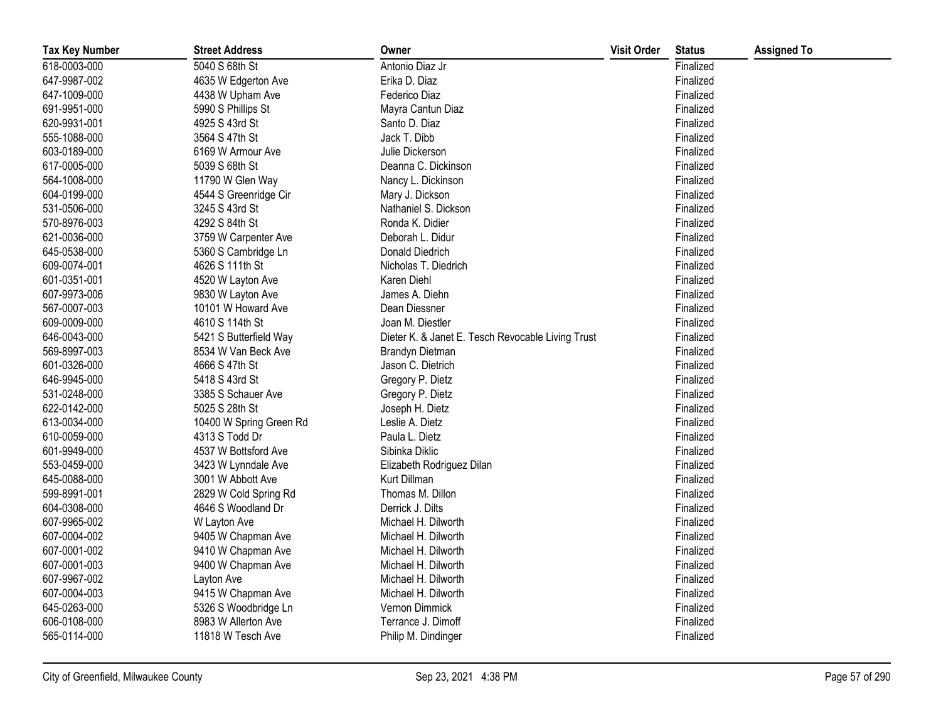| <b>Tax Key Number</b> | <b>Street Address</b>   | Owner                                             | <b>Visit Order</b> | <b>Status</b> | <b>Assigned To</b> |
|-----------------------|-------------------------|---------------------------------------------------|--------------------|---------------|--------------------|
| 618-0003-000          | 5040 S 68th St          | Antonio Diaz Jr                                   |                    | Finalized     |                    |
| 647-9987-002          | 4635 W Edgerton Ave     | Erika D. Diaz                                     |                    | Finalized     |                    |
| 647-1009-000          | 4438 W Upham Ave        | Federico Diaz                                     |                    | Finalized     |                    |
| 691-9951-000          | 5990 S Phillips St      | Mayra Cantun Diaz                                 |                    | Finalized     |                    |
| 620-9931-001          | 4925 S 43rd St          | Santo D. Diaz                                     |                    | Finalized     |                    |
| 555-1088-000          | 3564 S 47th St          | Jack T. Dibb                                      |                    | Finalized     |                    |
| 603-0189-000          | 6169 W Armour Ave       | Julie Dickerson                                   |                    | Finalized     |                    |
| 617-0005-000          | 5039 S 68th St          | Deanna C. Dickinson                               |                    | Finalized     |                    |
| 564-1008-000          | 11790 W Glen Way        | Nancy L. Dickinson                                |                    | Finalized     |                    |
| 604-0199-000          | 4544 S Greenridge Cir   | Mary J. Dickson                                   |                    | Finalized     |                    |
| 531-0506-000          | 3245 S 43rd St          | Nathaniel S. Dickson                              |                    | Finalized     |                    |
| 570-8976-003          | 4292 S 84th St          | Ronda K. Didier                                   |                    | Finalized     |                    |
| 621-0036-000          | 3759 W Carpenter Ave    | Deborah L. Didur                                  |                    | Finalized     |                    |
| 645-0538-000          | 5360 S Cambridge Ln     | Donald Diedrich                                   |                    | Finalized     |                    |
| 609-0074-001          | 4626 S 111th St         | Nicholas T. Diedrich                              |                    | Finalized     |                    |
| 601-0351-001          | 4520 W Layton Ave       | Karen Diehl                                       |                    | Finalized     |                    |
| 607-9973-006          | 9830 W Layton Ave       | James A. Diehn                                    |                    | Finalized     |                    |
| 567-0007-003          | 10101 W Howard Ave      | Dean Diessner                                     |                    | Finalized     |                    |
| 609-0009-000          | 4610 S 114th St         | Joan M. Diestler                                  |                    | Finalized     |                    |
| 646-0043-000          | 5421 S Butterfield Way  | Dieter K. & Janet E. Tesch Revocable Living Trust |                    | Finalized     |                    |
| 569-8997-003          | 8534 W Van Beck Ave     | Brandyn Dietman                                   |                    | Finalized     |                    |
| 601-0326-000          | 4666 S 47th St          | Jason C. Dietrich                                 |                    | Finalized     |                    |
| 646-9945-000          | 5418 S 43rd St          | Gregory P. Dietz                                  |                    | Finalized     |                    |
| 531-0248-000          | 3385 S Schauer Ave      | Gregory P. Dietz                                  |                    | Finalized     |                    |
| 622-0142-000          | 5025 S 28th St          | Joseph H. Dietz                                   |                    | Finalized     |                    |
| 613-0034-000          | 10400 W Spring Green Rd | Leslie A. Dietz                                   |                    | Finalized     |                    |
| 610-0059-000          | 4313 S Todd Dr          | Paula L. Dietz                                    |                    | Finalized     |                    |
| 601-9949-000          | 4537 W Bottsford Ave    | Sibinka Diklic                                    |                    | Finalized     |                    |
| 553-0459-000          | 3423 W Lynndale Ave     | Elizabeth Rodriguez Dilan                         |                    | Finalized     |                    |
| 645-0088-000          | 3001 W Abbott Ave       | Kurt Dillman                                      |                    | Finalized     |                    |
| 599-8991-001          | 2829 W Cold Spring Rd   | Thomas M. Dillon                                  |                    | Finalized     |                    |
| 604-0308-000          | 4646 S Woodland Dr      | Derrick J. Dilts                                  |                    | Finalized     |                    |
| 607-9965-002          | W Layton Ave            | Michael H. Dilworth                               |                    | Finalized     |                    |
| 607-0004-002          | 9405 W Chapman Ave      | Michael H. Dilworth                               |                    | Finalized     |                    |
| 607-0001-002          | 9410 W Chapman Ave      | Michael H. Dilworth                               |                    | Finalized     |                    |
| 607-0001-003          | 9400 W Chapman Ave      | Michael H. Dilworth                               |                    | Finalized     |                    |
| 607-9967-002          | Layton Ave              | Michael H. Dilworth                               |                    | Finalized     |                    |
| 607-0004-003          | 9415 W Chapman Ave      | Michael H. Dilworth                               |                    | Finalized     |                    |
| 645-0263-000          | 5326 S Woodbridge Ln    | Vernon Dimmick                                    |                    | Finalized     |                    |
| 606-0108-000          | 8983 W Allerton Ave     | Terrance J. Dimoff                                |                    | Finalized     |                    |
| 565-0114-000          | 11818 W Tesch Ave       | Philip M. Dindinger                               |                    | Finalized     |                    |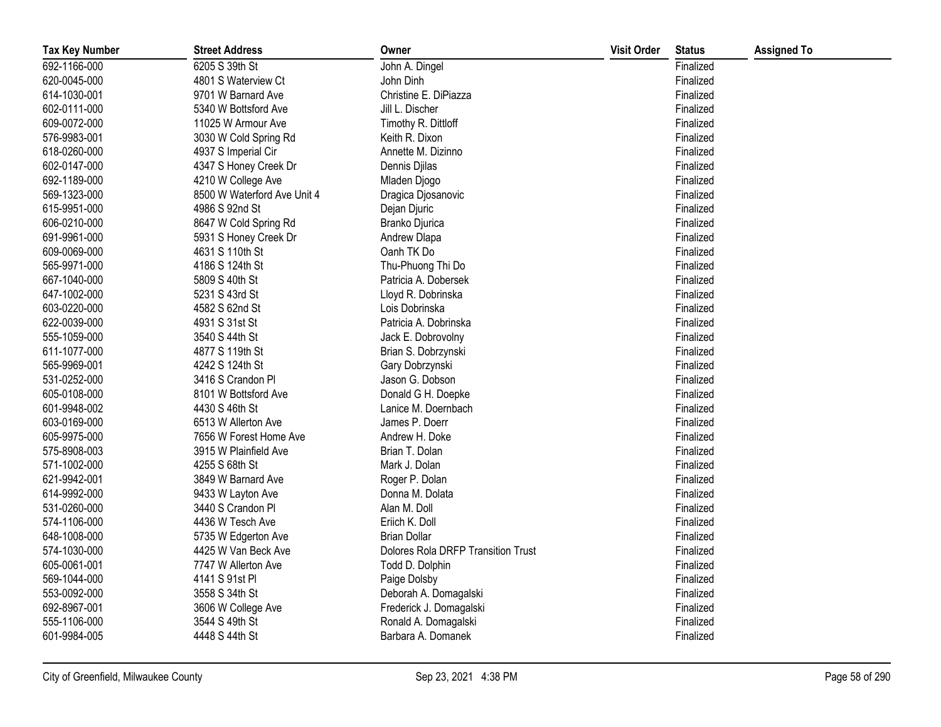| <b>Tax Key Number</b> | <b>Street Address</b>       | Owner                                     | <b>Visit Order</b> | <b>Status</b> | <b>Assigned To</b> |
|-----------------------|-----------------------------|-------------------------------------------|--------------------|---------------|--------------------|
| 692-1166-000          | 6205 S 39th St              | John A. Dingel                            |                    | Finalized     |                    |
| 620-0045-000          | 4801 S Waterview Ct         | John Dinh                                 |                    | Finalized     |                    |
| 614-1030-001          | 9701 W Barnard Ave          | Christine E. DiPiazza                     |                    | Finalized     |                    |
| 602-0111-000          | 5340 W Bottsford Ave        | Jill L. Discher                           |                    | Finalized     |                    |
| 609-0072-000          | 11025 W Armour Ave          | Timothy R. Dittloff                       |                    | Finalized     |                    |
| 576-9983-001          | 3030 W Cold Spring Rd       | Keith R. Dixon                            |                    | Finalized     |                    |
| 618-0260-000          | 4937 S Imperial Cir         | Annette M. Dizinno                        |                    | Finalized     |                    |
| 602-0147-000          | 4347 S Honey Creek Dr       | Dennis Djilas                             |                    | Finalized     |                    |
| 692-1189-000          | 4210 W College Ave          | Mladen Djogo                              |                    | Finalized     |                    |
| 569-1323-000          | 8500 W Waterford Ave Unit 4 | Dragica Djosanovic                        |                    | Finalized     |                    |
| 615-9951-000          | 4986 S 92nd St              | Dejan Djuric                              |                    | Finalized     |                    |
| 606-0210-000          | 8647 W Cold Spring Rd       | Branko Djurica                            |                    | Finalized     |                    |
| 691-9961-000          | 5931 S Honey Creek Dr       | Andrew Dlapa                              |                    | Finalized     |                    |
| 609-0069-000          | 4631 S 110th St             | Oanh TK Do                                |                    | Finalized     |                    |
| 565-9971-000          | 4186 S 124th St             | Thu-Phuong Thi Do                         |                    | Finalized     |                    |
| 667-1040-000          | 5809 S 40th St              | Patricia A. Dobersek                      |                    | Finalized     |                    |
| 647-1002-000          | 5231 S 43rd St              | Lloyd R. Dobrinska                        |                    | Finalized     |                    |
| 603-0220-000          | 4582 S 62nd St              | Lois Dobrinska                            |                    | Finalized     |                    |
| 622-0039-000          | 4931 S 31st St              | Patricia A. Dobrinska                     |                    | Finalized     |                    |
| 555-1059-000          | 3540 S 44th St              | Jack E. Dobrovolny                        |                    | Finalized     |                    |
| 611-1077-000          | 4877 S 119th St             | Brian S. Dobrzynski                       |                    | Finalized     |                    |
| 565-9969-001          | 4242 S 124th St             | Gary Dobrzynski                           |                    | Finalized     |                    |
| 531-0252-000          | 3416 S Crandon Pl           | Jason G. Dobson                           |                    | Finalized     |                    |
| 605-0108-000          | 8101 W Bottsford Ave        | Donald G H. Doepke                        |                    | Finalized     |                    |
| 601-9948-002          | 4430 S 46th St              | Lanice M. Doernbach                       |                    | Finalized     |                    |
| 603-0169-000          | 6513 W Allerton Ave         | James P. Doerr                            |                    | Finalized     |                    |
| 605-9975-000          | 7656 W Forest Home Ave      | Andrew H. Doke                            |                    | Finalized     |                    |
| 575-8908-003          | 3915 W Plainfield Ave       | Brian T. Dolan                            |                    | Finalized     |                    |
| 571-1002-000          | 4255 S 68th St              | Mark J. Dolan                             |                    | Finalized     |                    |
| 621-9942-001          | 3849 W Barnard Ave          | Roger P. Dolan                            |                    | Finalized     |                    |
| 614-9992-000          | 9433 W Layton Ave           | Donna M. Dolata                           |                    | Finalized     |                    |
| 531-0260-000          | 3440 S Crandon Pl           | Alan M. Doll                              |                    | Finalized     |                    |
| 574-1106-000          | 4436 W Tesch Ave            | Eriich K. Doll                            |                    | Finalized     |                    |
| 648-1008-000          | 5735 W Edgerton Ave         | <b>Brian Dollar</b>                       |                    | Finalized     |                    |
| 574-1030-000          | 4425 W Van Beck Ave         | <b>Dolores Rola DRFP Transition Trust</b> |                    | Finalized     |                    |
| 605-0061-001          | 7747 W Allerton Ave         | Todd D. Dolphin                           |                    | Finalized     |                    |
| 569-1044-000          | 4141 S 91st PI              | Paige Dolsby                              |                    | Finalized     |                    |
| 553-0092-000          | 3558 S 34th St              | Deborah A. Domagalski                     |                    | Finalized     |                    |
| 692-8967-001          | 3606 W College Ave          | Frederick J. Domagalski                   |                    | Finalized     |                    |
| 555-1106-000          | 3544 S 49th St              | Ronald A. Domagalski                      |                    | Finalized     |                    |
| 601-9984-005          | 4448 S 44th St              | Barbara A. Domanek                        |                    | Finalized     |                    |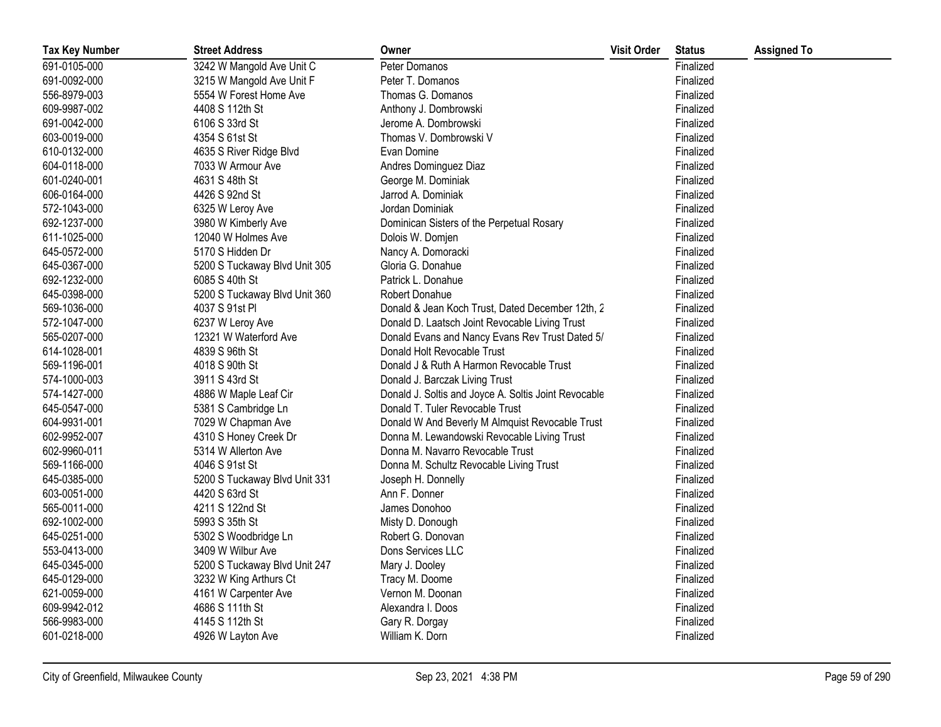| <b>Tax Key Number</b> | <b>Street Address</b>         | Owner                                                | <b>Visit Order</b> | <b>Status</b> | <b>Assigned To</b> |
|-----------------------|-------------------------------|------------------------------------------------------|--------------------|---------------|--------------------|
| 691-0105-000          | 3242 W Mangold Ave Unit C     | Peter Domanos                                        |                    | Finalized     |                    |
| 691-0092-000          | 3215 W Mangold Ave Unit F     | Peter T. Domanos                                     |                    | Finalized     |                    |
| 556-8979-003          | 5554 W Forest Home Ave        | Thomas G. Domanos                                    |                    | Finalized     |                    |
| 609-9987-002          | 4408 S 112th St               | Anthony J. Dombrowski                                |                    | Finalized     |                    |
| 691-0042-000          | 6106 S 33rd St                | Jerome A. Dombrowski                                 |                    | Finalized     |                    |
| 603-0019-000          | 4354 S 61st St                | Thomas V. Dombrowski V                               |                    | Finalized     |                    |
| 610-0132-000          | 4635 S River Ridge Blvd       | Evan Domine                                          |                    | Finalized     |                    |
| 604-0118-000          | 7033 W Armour Ave             | Andres Dominguez Diaz                                |                    | Finalized     |                    |
| 601-0240-001          | 4631 S 48th St                | George M. Dominiak                                   |                    | Finalized     |                    |
| 606-0164-000          | 4426 S 92nd St                | Jarrod A. Dominiak                                   |                    | Finalized     |                    |
| 572-1043-000          | 6325 W Leroy Ave              | Jordan Dominiak                                      |                    | Finalized     |                    |
| 692-1237-000          | 3980 W Kimberly Ave           | Dominican Sisters of the Perpetual Rosary            |                    | Finalized     |                    |
| 611-1025-000          | 12040 W Holmes Ave            | Dolois W. Domjen                                     |                    | Finalized     |                    |
| 645-0572-000          | 5170 S Hidden Dr              | Nancy A. Domoracki                                   |                    | Finalized     |                    |
| 645-0367-000          | 5200 S Tuckaway Blvd Unit 305 | Gloria G. Donahue                                    |                    | Finalized     |                    |
| 692-1232-000          | 6085 S 40th St                | Patrick L. Donahue                                   |                    | Finalized     |                    |
| 645-0398-000          | 5200 S Tuckaway Blvd Unit 360 | Robert Donahue                                       |                    | Finalized     |                    |
| 569-1036-000          | 4037 S 91st PI                | Donald & Jean Koch Trust, Dated December 12th, 2     |                    | Finalized     |                    |
| 572-1047-000          | 6237 W Leroy Ave              | Donald D. Laatsch Joint Revocable Living Trust       |                    | Finalized     |                    |
| 565-0207-000          | 12321 W Waterford Ave         | Donald Evans and Nancy Evans Rev Trust Dated 5/      |                    | Finalized     |                    |
| 614-1028-001          | 4839 S 96th St                | Donald Holt Revocable Trust                          |                    | Finalized     |                    |
| 569-1196-001          | 4018 S 90th St                | Donald J & Ruth A Harmon Revocable Trust             |                    | Finalized     |                    |
| 574-1000-003          | 3911 S 43rd St                | Donald J. Barczak Living Trust                       |                    | Finalized     |                    |
| 574-1427-000          | 4886 W Maple Leaf Cir         | Donald J. Soltis and Joyce A. Soltis Joint Revocable |                    | Finalized     |                    |
| 645-0547-000          | 5381 S Cambridge Ln           | Donald T. Tuler Revocable Trust                      |                    | Finalized     |                    |
| 604-9931-001          | 7029 W Chapman Ave            | Donald W And Beverly M Almquist Revocable Trust      |                    | Finalized     |                    |
| 602-9952-007          | 4310 S Honey Creek Dr         | Donna M. Lewandowski Revocable Living Trust          |                    | Finalized     |                    |
| 602-9960-011          | 5314 W Allerton Ave           | Donna M. Navarro Revocable Trust                     |                    | Finalized     |                    |
| 569-1166-000          | 4046 S 91st St                | Donna M. Schultz Revocable Living Trust              |                    | Finalized     |                    |
| 645-0385-000          | 5200 S Tuckaway Blvd Unit 331 | Joseph H. Donnelly                                   |                    | Finalized     |                    |
| 603-0051-000          | 4420 S 63rd St                | Ann F. Donner                                        |                    | Finalized     |                    |
| 565-0011-000          | 4211 S 122nd St               | James Donohoo                                        |                    | Finalized     |                    |
| 692-1002-000          | 5993 S 35th St                | Misty D. Donough                                     |                    | Finalized     |                    |
| 645-0251-000          | 5302 S Woodbridge Ln          | Robert G. Donovan                                    |                    | Finalized     |                    |
| 553-0413-000          | 3409 W Wilbur Ave             | Dons Services LLC                                    |                    | Finalized     |                    |
| 645-0345-000          | 5200 S Tuckaway Blvd Unit 247 | Mary J. Dooley                                       |                    | Finalized     |                    |
| 645-0129-000          | 3232 W King Arthurs Ct        | Tracy M. Doome                                       |                    | Finalized     |                    |
| 621-0059-000          | 4161 W Carpenter Ave          | Vernon M. Doonan                                     |                    | Finalized     |                    |
| 609-9942-012          | 4686 S 111th St               | Alexandra I. Doos                                    |                    | Finalized     |                    |
| 566-9983-000          | 4145 S 112th St               | Gary R. Dorgay                                       |                    | Finalized     |                    |
| 601-0218-000          | 4926 W Layton Ave             | William K. Dorn                                      |                    | Finalized     |                    |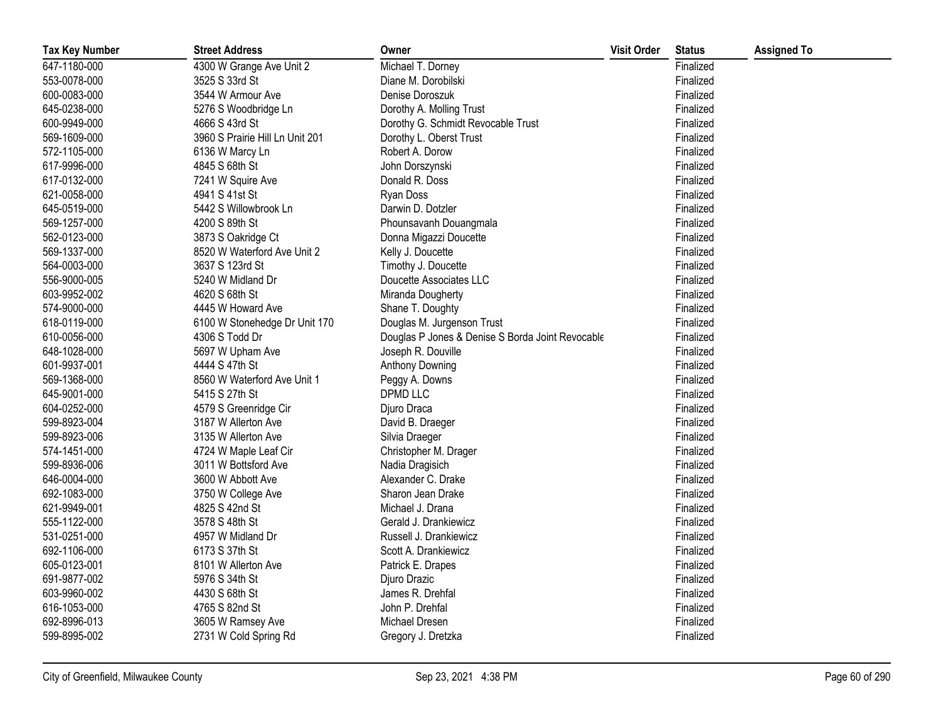| <b>Tax Key Number</b> | <b>Street Address</b>           | Owner                                            | <b>Visit Order</b> | <b>Status</b> | <b>Assigned To</b> |
|-----------------------|---------------------------------|--------------------------------------------------|--------------------|---------------|--------------------|
| 647-1180-000          | 4300 W Grange Ave Unit 2        | Michael T. Dorney                                |                    | Finalized     |                    |
| 553-0078-000          | 3525 S 33rd St                  | Diane M. Dorobilski                              |                    | Finalized     |                    |
| 600-0083-000          | 3544 W Armour Ave               | Denise Doroszuk                                  |                    | Finalized     |                    |
| 645-0238-000          | 5276 S Woodbridge Ln            | Dorothy A. Molling Trust                         |                    | Finalized     |                    |
| 600-9949-000          | 4666 S 43rd St                  | Dorothy G. Schmidt Revocable Trust               |                    | Finalized     |                    |
| 569-1609-000          | 3960 S Prairie Hill Ln Unit 201 | Dorothy L. Oberst Trust                          |                    | Finalized     |                    |
| 572-1105-000          | 6136 W Marcy Ln                 | Robert A. Dorow                                  |                    | Finalized     |                    |
| 617-9996-000          | 4845 S 68th St                  | John Dorszynski                                  |                    | Finalized     |                    |
| 617-0132-000          | 7241 W Squire Ave               | Donald R. Doss                                   |                    | Finalized     |                    |
| 621-0058-000          | 4941 S 41st St                  | Ryan Doss                                        |                    | Finalized     |                    |
| 645-0519-000          | 5442 S Willowbrook Ln           | Darwin D. Dotzler                                |                    | Finalized     |                    |
| 569-1257-000          | 4200 S 89th St                  | Phounsavanh Douangmala                           |                    | Finalized     |                    |
| 562-0123-000          | 3873 S Oakridge Ct              | Donna Migazzi Doucette                           |                    | Finalized     |                    |
| 569-1337-000          | 8520 W Waterford Ave Unit 2     | Kelly J. Doucette                                |                    | Finalized     |                    |
| 564-0003-000          | 3637 S 123rd St                 | Timothy J. Doucette                              |                    | Finalized     |                    |
| 556-9000-005          | 5240 W Midland Dr               | Doucette Associates LLC                          |                    | Finalized     |                    |
| 603-9952-002          | 4620 S 68th St                  | Miranda Dougherty                                |                    | Finalized     |                    |
| 574-9000-000          | 4445 W Howard Ave               | Shane T. Doughty                                 |                    | Finalized     |                    |
| 618-0119-000          | 6100 W Stonehedge Dr Unit 170   | Douglas M. Jurgenson Trust                       |                    | Finalized     |                    |
| 610-0056-000          | 4306 S Todd Dr                  | Douglas P Jones & Denise S Borda Joint Revocable |                    | Finalized     |                    |
| 648-1028-000          | 5697 W Upham Ave                | Joseph R. Douville                               |                    | Finalized     |                    |
| 601-9937-001          | 4444 S 47th St                  | Anthony Downing                                  |                    | Finalized     |                    |
| 569-1368-000          | 8560 W Waterford Ave Unit 1     | Peggy A. Downs                                   |                    | Finalized     |                    |
| 645-9001-000          | 5415 S 27th St                  | <b>DPMD LLC</b>                                  |                    | Finalized     |                    |
| 604-0252-000          | 4579 S Greenridge Cir           | Djuro Draca                                      |                    | Finalized     |                    |
| 599-8923-004          | 3187 W Allerton Ave             | David B. Draeger                                 |                    | Finalized     |                    |
| 599-8923-006          | 3135 W Allerton Ave             | Silvia Draeger                                   |                    | Finalized     |                    |
| 574-1451-000          | 4724 W Maple Leaf Cir           | Christopher M. Drager                            |                    | Finalized     |                    |
| 599-8936-006          | 3011 W Bottsford Ave            | Nadia Dragisich                                  |                    | Finalized     |                    |
| 646-0004-000          | 3600 W Abbott Ave               | Alexander C. Drake                               |                    | Finalized     |                    |
| 692-1083-000          | 3750 W College Ave              | Sharon Jean Drake                                |                    | Finalized     |                    |
| 621-9949-001          | 4825 S 42nd St                  | Michael J. Drana                                 |                    | Finalized     |                    |
| 555-1122-000          | 3578 S 48th St                  | Gerald J. Drankiewicz                            |                    | Finalized     |                    |
| 531-0251-000          | 4957 W Midland Dr               | Russell J. Drankiewicz                           |                    | Finalized     |                    |
| 692-1106-000          | 6173 S 37th St                  | Scott A. Drankiewicz                             |                    | Finalized     |                    |
| 605-0123-001          | 8101 W Allerton Ave             | Patrick E. Drapes                                |                    | Finalized     |                    |
| 691-9877-002          | 5976 S 34th St                  | Djuro Drazic                                     |                    | Finalized     |                    |
| 603-9960-002          | 4430 S 68th St                  | James R. Drehfal                                 |                    | Finalized     |                    |
| 616-1053-000          | 4765 S 82nd St                  | John P. Drehfal                                  |                    | Finalized     |                    |
| 692-8996-013          | 3605 W Ramsey Ave               | Michael Dresen                                   |                    | Finalized     |                    |
| 599-8995-002          | 2731 W Cold Spring Rd           | Gregory J. Dretzka                               |                    | Finalized     |                    |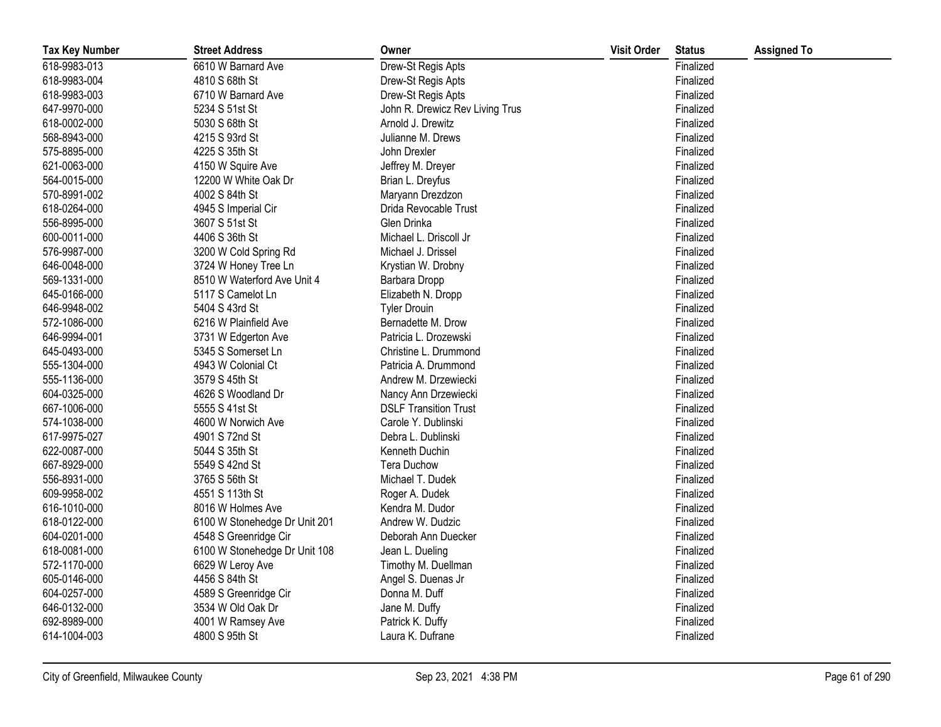| <b>Tax Key Number</b> | <b>Street Address</b>         | Owner                           | <b>Visit Order</b> | <b>Status</b> | <b>Assigned To</b> |
|-----------------------|-------------------------------|---------------------------------|--------------------|---------------|--------------------|
| 618-9983-013          | 6610 W Barnard Ave            | Drew-St Regis Apts              |                    | Finalized     |                    |
| 618-9983-004          | 4810 S 68th St                | Drew-St Regis Apts              |                    | Finalized     |                    |
| 618-9983-003          | 6710 W Barnard Ave            | Drew-St Regis Apts              |                    | Finalized     |                    |
| 647-9970-000          | 5234 S 51st St                | John R. Drewicz Rev Living Trus |                    | Finalized     |                    |
| 618-0002-000          | 5030 S 68th St                | Arnold J. Drewitz               |                    | Finalized     |                    |
| 568-8943-000          | 4215 S 93rd St                | Julianne M. Drews               |                    | Finalized     |                    |
| 575-8895-000          | 4225 S 35th St                | John Drexler                    |                    | Finalized     |                    |
| 621-0063-000          | 4150 W Squire Ave             | Jeffrey M. Dreyer               |                    | Finalized     |                    |
| 564-0015-000          | 12200 W White Oak Dr          | Brian L. Dreyfus                |                    | Finalized     |                    |
| 570-8991-002          | 4002 S 84th St                | Maryann Drezdzon                |                    | Finalized     |                    |
| 618-0264-000          | 4945 S Imperial Cir           | Drida Revocable Trust           |                    | Finalized     |                    |
| 556-8995-000          | 3607 S 51st St                | Glen Drinka                     |                    | Finalized     |                    |
| 600-0011-000          | 4406 S 36th St                | Michael L. Driscoll Jr          |                    | Finalized     |                    |
| 576-9987-000          | 3200 W Cold Spring Rd         | Michael J. Drissel              |                    | Finalized     |                    |
| 646-0048-000          | 3724 W Honey Tree Ln          | Krystian W. Drobny              |                    | Finalized     |                    |
| 569-1331-000          | 8510 W Waterford Ave Unit 4   | Barbara Dropp                   |                    | Finalized     |                    |
| 645-0166-000          | 5117 S Camelot Ln             | Elizabeth N. Dropp              |                    | Finalized     |                    |
| 646-9948-002          | 5404 S 43rd St                | <b>Tyler Drouin</b>             |                    | Finalized     |                    |
| 572-1086-000          | 6216 W Plainfield Ave         | Bernadette M. Drow              |                    | Finalized     |                    |
| 646-9994-001          | 3731 W Edgerton Ave           | Patricia L. Drozewski           |                    | Finalized     |                    |
| 645-0493-000          | 5345 S Somerset Ln            | Christine L. Drummond           |                    | Finalized     |                    |
| 555-1304-000          | 4943 W Colonial Ct            | Patricia A. Drummond            |                    | Finalized     |                    |
| 555-1136-000          | 3579 S 45th St                | Andrew M. Drzewiecki            |                    | Finalized     |                    |
| 604-0325-000          | 4626 S Woodland Dr            | Nancy Ann Drzewiecki            |                    | Finalized     |                    |
| 667-1006-000          | 5555 S 41st St                | <b>DSLF Transition Trust</b>    |                    | Finalized     |                    |
| 574-1038-000          | 4600 W Norwich Ave            | Carole Y. Dublinski             |                    | Finalized     |                    |
| 617-9975-027          | 4901 S 72nd St                | Debra L. Dublinski              |                    | Finalized     |                    |
| 622-0087-000          | 5044 S 35th St                | Kenneth Duchin                  |                    | Finalized     |                    |
| 667-8929-000          | 5549 S 42nd St                | <b>Tera Duchow</b>              |                    | Finalized     |                    |
| 556-8931-000          | 3765 S 56th St                | Michael T. Dudek                |                    | Finalized     |                    |
| 609-9958-002          | 4551 S 113th St               | Roger A. Dudek                  |                    | Finalized     |                    |
| 616-1010-000          | 8016 W Holmes Ave             | Kendra M. Dudor                 |                    | Finalized     |                    |
| 618-0122-000          | 6100 W Stonehedge Dr Unit 201 | Andrew W. Dudzic                |                    | Finalized     |                    |
| 604-0201-000          | 4548 S Greenridge Cir         | Deborah Ann Duecker             |                    | Finalized     |                    |
| 618-0081-000          | 6100 W Stonehedge Dr Unit 108 | Jean L. Dueling                 |                    | Finalized     |                    |
| 572-1170-000          | 6629 W Leroy Ave              | Timothy M. Duellman             |                    | Finalized     |                    |
| 605-0146-000          | 4456 S 84th St                | Angel S. Duenas Jr              |                    | Finalized     |                    |
| 604-0257-000          | 4589 S Greenridge Cir         | Donna M. Duff                   |                    | Finalized     |                    |
| 646-0132-000          | 3534 W Old Oak Dr             | Jane M. Duffy                   |                    | Finalized     |                    |
| 692-8989-000          | 4001 W Ramsey Ave             | Patrick K. Duffy                |                    | Finalized     |                    |
| 614-1004-003          | 4800 S 95th St                | Laura K. Dufrane                |                    | Finalized     |                    |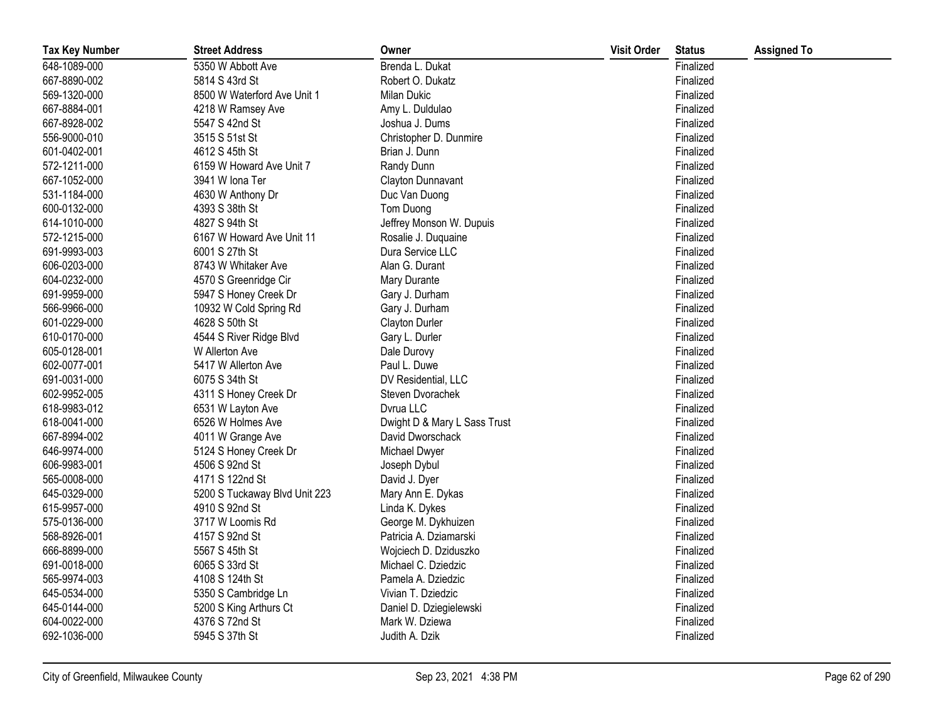| <b>Tax Key Number</b> | <b>Street Address</b>         | Owner                        | <b>Visit Order</b> | <b>Status</b> | <b>Assigned To</b> |
|-----------------------|-------------------------------|------------------------------|--------------------|---------------|--------------------|
| 648-1089-000          | 5350 W Abbott Ave             | Brenda L. Dukat              |                    | Finalized     |                    |
| 667-8890-002          | 5814 S 43rd St                | Robert O. Dukatz             |                    | Finalized     |                    |
| 569-1320-000          | 8500 W Waterford Ave Unit 1   | <b>Milan Dukic</b>           |                    | Finalized     |                    |
| 667-8884-001          | 4218 W Ramsey Ave             | Amy L. Duldulao              |                    | Finalized     |                    |
| 667-8928-002          | 5547 S 42nd St                | Joshua J. Dums               |                    | Finalized     |                    |
| 556-9000-010          | 3515 S 51st St                | Christopher D. Dunmire       |                    | Finalized     |                    |
| 601-0402-001          | 4612 S 45th St                | Brian J. Dunn                |                    | Finalized     |                    |
| 572-1211-000          | 6159 W Howard Ave Unit 7      | Randy Dunn                   |                    | Finalized     |                    |
| 667-1052-000          | 3941 W Iona Ter               | Clayton Dunnavant            |                    | Finalized     |                    |
| 531-1184-000          | 4630 W Anthony Dr             | Duc Van Duong                |                    | Finalized     |                    |
| 600-0132-000          | 4393 S 38th St                | Tom Duong                    |                    | Finalized     |                    |
| 614-1010-000          | 4827 S 94th St                | Jeffrey Monson W. Dupuis     |                    | Finalized     |                    |
| 572-1215-000          | 6167 W Howard Ave Unit 11     | Rosalie J. Duquaine          |                    | Finalized     |                    |
| 691-9993-003          | 6001 S 27th St                | Dura Service LLC             |                    | Finalized     |                    |
| 606-0203-000          | 8743 W Whitaker Ave           | Alan G. Durant               |                    | Finalized     |                    |
| 604-0232-000          | 4570 S Greenridge Cir         | Mary Durante                 |                    | Finalized     |                    |
| 691-9959-000          | 5947 S Honey Creek Dr         | Gary J. Durham               |                    | Finalized     |                    |
| 566-9966-000          | 10932 W Cold Spring Rd        | Gary J. Durham               |                    | Finalized     |                    |
| 601-0229-000          | 4628 S 50th St                | Clayton Durler               |                    | Finalized     |                    |
| 610-0170-000          | 4544 S River Ridge Blvd       | Gary L. Durler               |                    | Finalized     |                    |
| 605-0128-001          | W Allerton Ave                | Dale Durovy                  |                    | Finalized     |                    |
| 602-0077-001          | 5417 W Allerton Ave           | Paul L. Duwe                 |                    | Finalized     |                    |
| 691-0031-000          | 6075 S 34th St                | DV Residential, LLC          |                    | Finalized     |                    |
| 602-9952-005          | 4311 S Honey Creek Dr         | Steven Dvorachek             |                    | Finalized     |                    |
| 618-9983-012          | 6531 W Layton Ave             | Dvrua LLC                    |                    | Finalized     |                    |
| 618-0041-000          | 6526 W Holmes Ave             | Dwight D & Mary L Sass Trust |                    | Finalized     |                    |
| 667-8994-002          | 4011 W Grange Ave             | David Dworschack             |                    | Finalized     |                    |
| 646-9974-000          | 5124 S Honey Creek Dr         | Michael Dwyer                |                    | Finalized     |                    |
| 606-9983-001          | 4506 S 92nd St                | Joseph Dybul                 |                    | Finalized     |                    |
| 565-0008-000          | 4171 S 122nd St               | David J. Dyer                |                    | Finalized     |                    |
| 645-0329-000          | 5200 S Tuckaway Blvd Unit 223 | Mary Ann E. Dykas            |                    | Finalized     |                    |
| 615-9957-000          | 4910 S 92nd St                | Linda K. Dykes               |                    | Finalized     |                    |
| 575-0136-000          | 3717 W Loomis Rd              | George M. Dykhuizen          |                    | Finalized     |                    |
| 568-8926-001          | 4157 S 92nd St                | Patricia A. Dziamarski       |                    | Finalized     |                    |
| 666-8899-000          | 5567 S 45th St                | Wojciech D. Dziduszko        |                    | Finalized     |                    |
| 691-0018-000          | 6065 S 33rd St                | Michael C. Dziedzic          |                    | Finalized     |                    |
| 565-9974-003          | 4108 S 124th St               | Pamela A. Dziedzic           |                    | Finalized     |                    |
| 645-0534-000          | 5350 S Cambridge Ln           | Vivian T. Dziedzic           |                    | Finalized     |                    |
| 645-0144-000          | 5200 S King Arthurs Ct        | Daniel D. Dziegielewski      |                    | Finalized     |                    |
| 604-0022-000          | 4376 S 72nd St                | Mark W. Dziewa               |                    | Finalized     |                    |
| 692-1036-000          | 5945 S 37th St                | Judith A. Dzik               |                    | Finalized     |                    |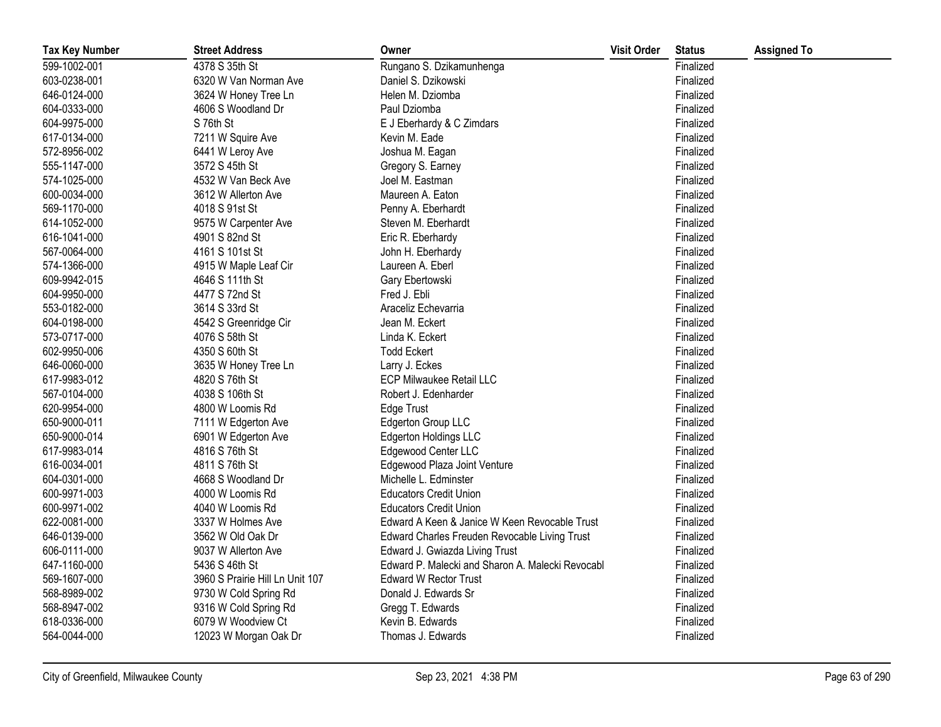| <b>Tax Key Number</b> | <b>Street Address</b>           | Owner                                            | <b>Visit Order</b> | <b>Status</b> | <b>Assigned To</b> |
|-----------------------|---------------------------------|--------------------------------------------------|--------------------|---------------|--------------------|
| 599-1002-001          | 4378 S 35th St                  | Rungano S. Dzikamunhenga                         |                    | Finalized     |                    |
| 603-0238-001          | 6320 W Van Norman Ave           | Daniel S. Dzikowski                              |                    | Finalized     |                    |
| 646-0124-000          | 3624 W Honey Tree Ln            | Helen M. Dziomba                                 |                    | Finalized     |                    |
| 604-0333-000          | 4606 S Woodland Dr              | Paul Dziomba                                     |                    | Finalized     |                    |
| 604-9975-000          | S 76th St                       | E J Eberhardy & C Zimdars                        |                    | Finalized     |                    |
| 617-0134-000          | 7211 W Squire Ave               | Kevin M. Eade                                    |                    | Finalized     |                    |
| 572-8956-002          | 6441 W Leroy Ave                | Joshua M. Eagan                                  |                    | Finalized     |                    |
| 555-1147-000          | 3572 S 45th St                  | Gregory S. Earney                                |                    | Finalized     |                    |
| 574-1025-000          | 4532 W Van Beck Ave             | Joel M. Eastman                                  |                    | Finalized     |                    |
| 600-0034-000          | 3612 W Allerton Ave             | Maureen A. Eaton                                 |                    | Finalized     |                    |
| 569-1170-000          | 4018 S 91st St                  | Penny A. Eberhardt                               |                    | Finalized     |                    |
| 614-1052-000          | 9575 W Carpenter Ave            | Steven M. Eberhardt                              |                    | Finalized     |                    |
| 616-1041-000          | 4901 S 82nd St                  | Eric R. Eberhardy                                |                    | Finalized     |                    |
| 567-0064-000          | 4161 S 101st St                 | John H. Eberhardy                                |                    | Finalized     |                    |
| 574-1366-000          | 4915 W Maple Leaf Cir           | Laureen A. Eberl                                 |                    | Finalized     |                    |
| 609-9942-015          | 4646 S 111th St                 | Gary Ebertowski                                  |                    | Finalized     |                    |
| 604-9950-000          | 4477 S 72nd St                  | Fred J. Ebli                                     |                    | Finalized     |                    |
| 553-0182-000          | 3614 S 33rd St                  | Araceliz Echevarria                              |                    | Finalized     |                    |
| 604-0198-000          | 4542 S Greenridge Cir           | Jean M. Eckert                                   |                    | Finalized     |                    |
| 573-0717-000          | 4076 S 58th St                  | Linda K. Eckert                                  |                    | Finalized     |                    |
| 602-9950-006          | 4350 S 60th St                  | <b>Todd Eckert</b>                               |                    | Finalized     |                    |
| 646-0060-000          | 3635 W Honey Tree Ln            | Larry J. Eckes                                   |                    | Finalized     |                    |
| 617-9983-012          | 4820 S 76th St                  | ECP Milwaukee Retail LLC                         |                    | Finalized     |                    |
| 567-0104-000          | 4038 S 106th St                 | Robert J. Edenharder                             |                    | Finalized     |                    |
| 620-9954-000          | 4800 W Loomis Rd                | Edge Trust                                       |                    | Finalized     |                    |
| 650-9000-011          | 7111 W Edgerton Ave             | <b>Edgerton Group LLC</b>                        |                    | Finalized     |                    |
| 650-9000-014          | 6901 W Edgerton Ave             | Edgerton Holdings LLC                            |                    | Finalized     |                    |
| 617-9983-014          | 4816 S 76th St                  | Edgewood Center LLC                              |                    | Finalized     |                    |
| 616-0034-001          | 4811 S 76th St                  | Edgewood Plaza Joint Venture                     |                    | Finalized     |                    |
| 604-0301-000          | 4668 S Woodland Dr              | Michelle L. Edminster                            |                    | Finalized     |                    |
| 600-9971-003          | 4000 W Loomis Rd                | <b>Educators Credit Union</b>                    |                    | Finalized     |                    |
| 600-9971-002          | 4040 W Loomis Rd                | <b>Educators Credit Union</b>                    |                    | Finalized     |                    |
| 622-0081-000          | 3337 W Holmes Ave               | Edward A Keen & Janice W Keen Revocable Trust    |                    | Finalized     |                    |
| 646-0139-000          | 3562 W Old Oak Dr               | Edward Charles Freuden Revocable Living Trust    |                    | Finalized     |                    |
| 606-0111-000          | 9037 W Allerton Ave             | Edward J. Gwiazda Living Trust                   |                    | Finalized     |                    |
| 647-1160-000          | 5436 S 46th St                  | Edward P. Malecki and Sharon A. Malecki Revocabl |                    | Finalized     |                    |
| 569-1607-000          | 3960 S Prairie Hill Ln Unit 107 | <b>Edward W Rector Trust</b>                     |                    | Finalized     |                    |
| 568-8989-002          | 9730 W Cold Spring Rd           | Donald J. Edwards Sr                             |                    | Finalized     |                    |
| 568-8947-002          | 9316 W Cold Spring Rd           | Gregg T. Edwards                                 |                    | Finalized     |                    |
| 618-0336-000          | 6079 W Woodview Ct              | Kevin B. Edwards                                 |                    | Finalized     |                    |
| 564-0044-000          | 12023 W Morgan Oak Dr           | Thomas J. Edwards                                |                    | Finalized     |                    |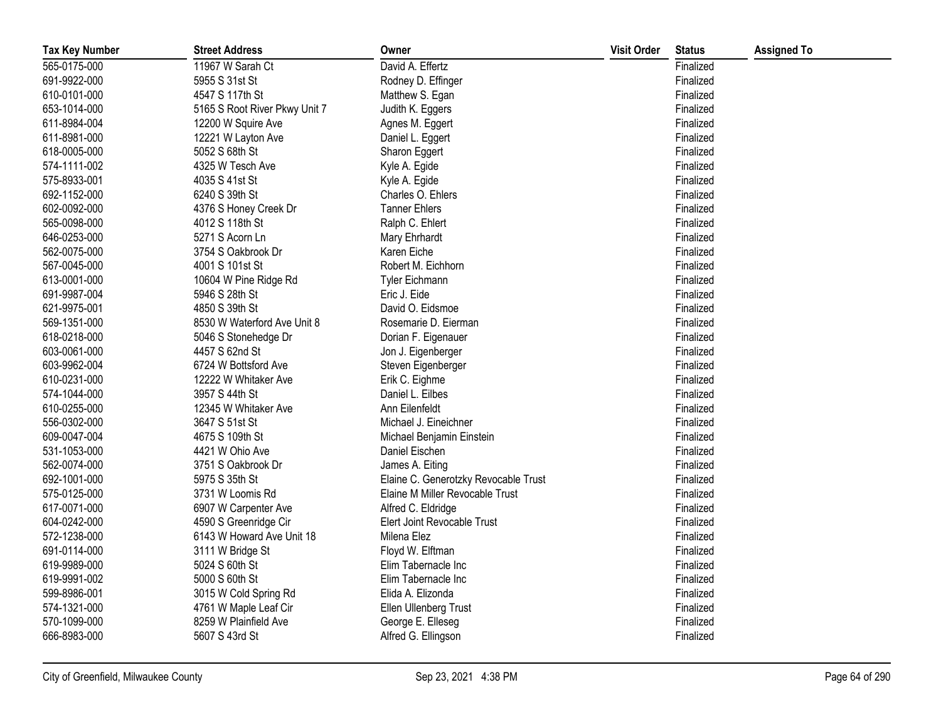| <b>Tax Key Number</b> | <b>Street Address</b>         | Owner                                | <b>Visit Order</b> | <b>Status</b> | <b>Assigned To</b> |
|-----------------------|-------------------------------|--------------------------------------|--------------------|---------------|--------------------|
| 565-0175-000          | 11967 W Sarah Ct              | David A. Effertz                     |                    | Finalized     |                    |
| 691-9922-000          | 5955 S 31st St                | Rodney D. Effinger                   |                    | Finalized     |                    |
| 610-0101-000          | 4547 S 117th St               | Matthew S. Egan                      |                    | Finalized     |                    |
| 653-1014-000          | 5165 S Root River Pkwy Unit 7 | Judith K. Eggers                     |                    | Finalized     |                    |
| 611-8984-004          | 12200 W Squire Ave            | Agnes M. Eggert                      |                    | Finalized     |                    |
| 611-8981-000          | 12221 W Layton Ave            | Daniel L. Eggert                     |                    | Finalized     |                    |
| 618-0005-000          | 5052 S 68th St                | Sharon Eggert                        |                    | Finalized     |                    |
| 574-1111-002          | 4325 W Tesch Ave              | Kyle A. Egide                        |                    | Finalized     |                    |
| 575-8933-001          | 4035 S 41st St                | Kyle A. Egide                        |                    | Finalized     |                    |
| 692-1152-000          | 6240 S 39th St                | Charles O. Ehlers                    |                    | Finalized     |                    |
| 602-0092-000          | 4376 S Honey Creek Dr         | <b>Tanner Ehlers</b>                 |                    | Finalized     |                    |
| 565-0098-000          | 4012 S 118th St               | Ralph C. Ehlert                      |                    | Finalized     |                    |
| 646-0253-000          | 5271 S Acorn Ln               | Mary Ehrhardt                        |                    | Finalized     |                    |
| 562-0075-000          | 3754 S Oakbrook Dr            | Karen Eiche                          |                    | Finalized     |                    |
| 567-0045-000          | 4001 S 101st St               | Robert M. Eichhorn                   |                    | Finalized     |                    |
| 613-0001-000          | 10604 W Pine Ridge Rd         | <b>Tyler Eichmann</b>                |                    | Finalized     |                    |
| 691-9987-004          | 5946 S 28th St                | Eric J. Eide                         |                    | Finalized     |                    |
| 621-9975-001          | 4850 S 39th St                | David O. Eidsmoe                     |                    | Finalized     |                    |
| 569-1351-000          | 8530 W Waterford Ave Unit 8   | Rosemarie D. Eierman                 |                    | Finalized     |                    |
| 618-0218-000          | 5046 S Stonehedge Dr          | Dorian F. Eigenauer                  |                    | Finalized     |                    |
| 603-0061-000          | 4457 S 62nd St                | Jon J. Eigenberger                   |                    | Finalized     |                    |
| 603-9962-004          | 6724 W Bottsford Ave          | Steven Eigenberger                   |                    | Finalized     |                    |
| 610-0231-000          | 12222 W Whitaker Ave          | Erik C. Eighme                       |                    | Finalized     |                    |
| 574-1044-000          | 3957 S 44th St                | Daniel L. Eilbes                     |                    | Finalized     |                    |
| 610-0255-000          | 12345 W Whitaker Ave          | Ann Eilenfeldt                       |                    | Finalized     |                    |
| 556-0302-000          | 3647 S 51st St                | Michael J. Eineichner                |                    | Finalized     |                    |
| 609-0047-004          | 4675 S 109th St               | Michael Benjamin Einstein            |                    | Finalized     |                    |
| 531-1053-000          | 4421 W Ohio Ave               | Daniel Eischen                       |                    | Finalized     |                    |
| 562-0074-000          | 3751 S Oakbrook Dr            | James A. Eiting                      |                    | Finalized     |                    |
| 692-1001-000          | 5975 S 35th St                | Elaine C. Generotzky Revocable Trust |                    | Finalized     |                    |
| 575-0125-000          | 3731 W Loomis Rd              | Elaine M Miller Revocable Trust      |                    | Finalized     |                    |
| 617-0071-000          | 6907 W Carpenter Ave          | Alfred C. Eldridge                   |                    | Finalized     |                    |
| 604-0242-000          | 4590 S Greenridge Cir         | Elert Joint Revocable Trust          |                    | Finalized     |                    |
| 572-1238-000          | 6143 W Howard Ave Unit 18     | Milena Elez                          |                    | Finalized     |                    |
| 691-0114-000          | 3111 W Bridge St              | Floyd W. Elftman                     |                    | Finalized     |                    |
| 619-9989-000          | 5024 S 60th St                | Elim Tabernacle Inc                  |                    | Finalized     |                    |
| 619-9991-002          | 5000 S 60th St                | Elim Tabernacle Inc                  |                    | Finalized     |                    |
| 599-8986-001          | 3015 W Cold Spring Rd         | Elida A. Elizonda                    |                    | Finalized     |                    |
| 574-1321-000          | 4761 W Maple Leaf Cir         | Ellen Ullenberg Trust                |                    | Finalized     |                    |
| 570-1099-000          | 8259 W Plainfield Ave         | George E. Elleseg                    |                    | Finalized     |                    |
| 666-8983-000          | 5607 S 43rd St                | Alfred G. Ellingson                  |                    | Finalized     |                    |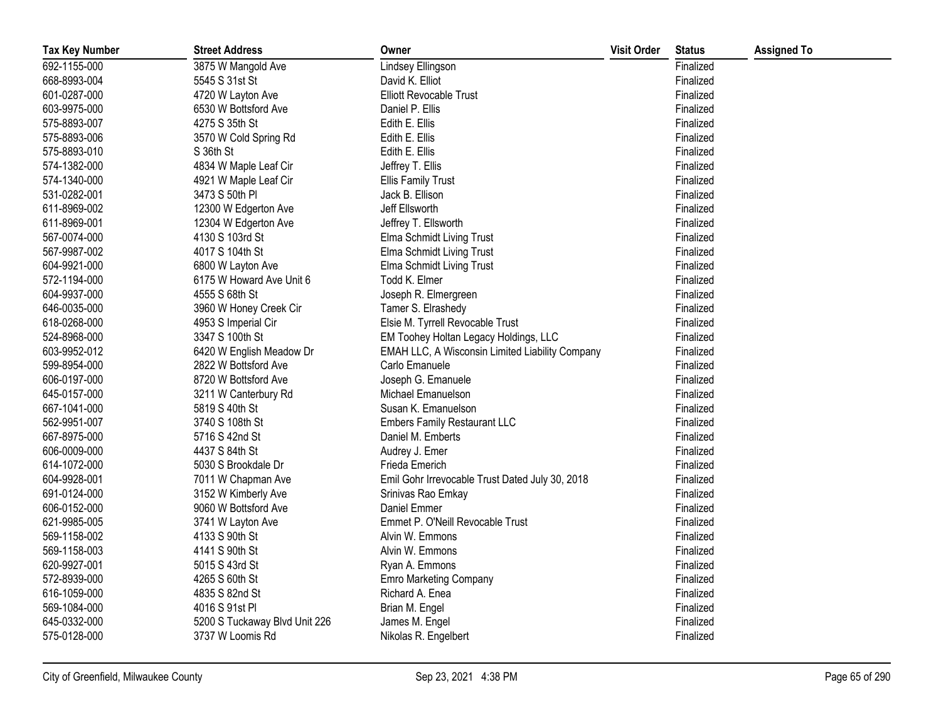| <b>Tax Key Number</b> | <b>Street Address</b>         | Owner                                           | <b>Visit Order</b> | <b>Status</b> | <b>Assigned To</b> |
|-----------------------|-------------------------------|-------------------------------------------------|--------------------|---------------|--------------------|
| 692-1155-000          | 3875 W Mangold Ave            | Lindsey Ellingson                               |                    | Finalized     |                    |
| 668-8993-004          | 5545 S 31st St                | David K. Elliot                                 |                    | Finalized     |                    |
| 601-0287-000          | 4720 W Layton Ave             | <b>Elliott Revocable Trust</b>                  |                    | Finalized     |                    |
| 603-9975-000          | 6530 W Bottsford Ave          | Daniel P. Ellis                                 |                    | Finalized     |                    |
| 575-8893-007          | 4275 S 35th St                | Edith E. Ellis                                  |                    | Finalized     |                    |
| 575-8893-006          | 3570 W Cold Spring Rd         | Edith E. Ellis                                  |                    | Finalized     |                    |
| 575-8893-010          | S 36th St                     | Edith E. Ellis                                  |                    | Finalized     |                    |
| 574-1382-000          | 4834 W Maple Leaf Cir         | Jeffrey T. Ellis                                |                    | Finalized     |                    |
| 574-1340-000          | 4921 W Maple Leaf Cir         | <b>Ellis Family Trust</b>                       |                    | Finalized     |                    |
| 531-0282-001          | 3473 S 50th PI                | Jack B. Ellison                                 |                    | Finalized     |                    |
| 611-8969-002          | 12300 W Edgerton Ave          | Jeff Ellsworth                                  |                    | Finalized     |                    |
| 611-8969-001          | 12304 W Edgerton Ave          | Jeffrey T. Ellsworth                            |                    | Finalized     |                    |
| 567-0074-000          | 4130 S 103rd St               | Elma Schmidt Living Trust                       |                    | Finalized     |                    |
| 567-9987-002          | 4017 S 104th St               | Elma Schmidt Living Trust                       |                    | Finalized     |                    |
| 604-9921-000          | 6800 W Layton Ave             | Elma Schmidt Living Trust                       |                    | Finalized     |                    |
| 572-1194-000          | 6175 W Howard Ave Unit 6      | Todd K. Elmer                                   |                    | Finalized     |                    |
| 604-9937-000          | 4555 S 68th St                | Joseph R. Elmergreen                            |                    | Finalized     |                    |
| 646-0035-000          | 3960 W Honey Creek Cir        | Tamer S. Elrashedy                              |                    | Finalized     |                    |
| 618-0268-000          | 4953 S Imperial Cir           | Elsie M. Tyrrell Revocable Trust                |                    | Finalized     |                    |
| 524-8968-000          | 3347 S 100th St               | EM Toohey Holtan Legacy Holdings, LLC           |                    | Finalized     |                    |
| 603-9952-012          | 6420 W English Meadow Dr      | EMAH LLC, A Wisconsin Limited Liability Company |                    | Finalized     |                    |
| 599-8954-000          | 2822 W Bottsford Ave          | Carlo Emanuele                                  |                    | Finalized     |                    |
| 606-0197-000          | 8720 W Bottsford Ave          | Joseph G. Emanuele                              |                    | Finalized     |                    |
| 645-0157-000          | 3211 W Canterbury Rd          | Michael Emanuelson                              |                    | Finalized     |                    |
| 667-1041-000          | 5819 S 40th St                | Susan K. Emanuelson                             |                    | Finalized     |                    |
| 562-9951-007          | 3740 S 108th St               | <b>Embers Family Restaurant LLC</b>             |                    | Finalized     |                    |
| 667-8975-000          | 5716 S 42nd St                | Daniel M. Emberts                               |                    | Finalized     |                    |
| 606-0009-000          | 4437 S 84th St                | Audrey J. Emer                                  |                    | Finalized     |                    |
| 614-1072-000          | 5030 S Brookdale Dr           | Frieda Emerich                                  |                    | Finalized     |                    |
| 604-9928-001          | 7011 W Chapman Ave            | Emil Gohr Irrevocable Trust Dated July 30, 2018 |                    | Finalized     |                    |
| 691-0124-000          | 3152 W Kimberly Ave           | Srinivas Rao Emkay                              |                    | Finalized     |                    |
| 606-0152-000          | 9060 W Bottsford Ave          | Daniel Emmer                                    |                    | Finalized     |                    |
| 621-9985-005          | 3741 W Layton Ave             | Emmet P. O'Neill Revocable Trust                |                    | Finalized     |                    |
| 569-1158-002          | 4133 S 90th St                | Alvin W. Emmons                                 |                    | Finalized     |                    |
| 569-1158-003          | 4141 S 90th St                | Alvin W. Emmons                                 |                    | Finalized     |                    |
| 620-9927-001          | 5015 S 43rd St                | Ryan A. Emmons                                  |                    | Finalized     |                    |
| 572-8939-000          | 4265 S 60th St                | <b>Emro Marketing Company</b>                   |                    | Finalized     |                    |
| 616-1059-000          | 4835 S 82nd St                | Richard A. Enea                                 |                    | Finalized     |                    |
| 569-1084-000          | 4016 S 91st Pl                | Brian M. Engel                                  |                    | Finalized     |                    |
| 645-0332-000          | 5200 S Tuckaway Blvd Unit 226 | James M. Engel                                  |                    | Finalized     |                    |
| 575-0128-000          | 3737 W Loomis Rd              | Nikolas R. Engelbert                            |                    | Finalized     |                    |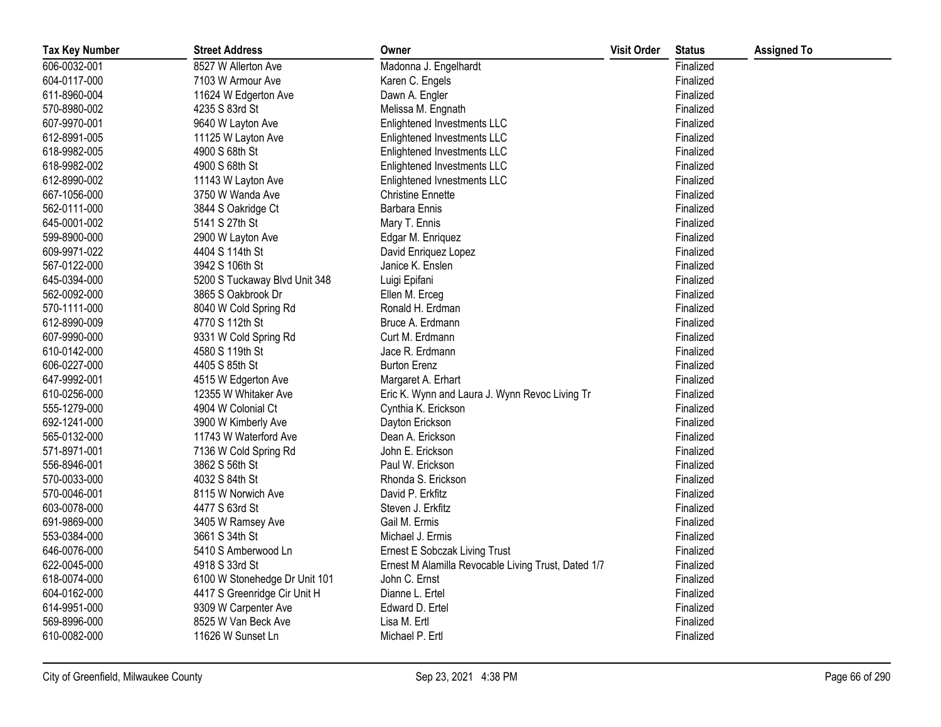| <b>Tax Key Number</b> | <b>Street Address</b>         | Owner                                               | <b>Visit Order</b> | <b>Status</b> | <b>Assigned To</b> |
|-----------------------|-------------------------------|-----------------------------------------------------|--------------------|---------------|--------------------|
| 606-0032-001          | 8527 W Allerton Ave           | Madonna J. Engelhardt                               |                    | Finalized     |                    |
| 604-0117-000          | 7103 W Armour Ave             | Karen C. Engels                                     |                    | Finalized     |                    |
| 611-8960-004          | 11624 W Edgerton Ave          | Dawn A. Engler                                      |                    | Finalized     |                    |
| 570-8980-002          | 4235 S 83rd St                | Melissa M. Engnath                                  |                    | Finalized     |                    |
| 607-9970-001          | 9640 W Layton Ave             | Enlightened Investments LLC                         |                    | Finalized     |                    |
| 612-8991-005          | 11125 W Layton Ave            | Enlightened Investments LLC                         |                    | Finalized     |                    |
| 618-9982-005          | 4900 S 68th St                | Enlightened Investments LLC                         |                    | Finalized     |                    |
| 618-9982-002          | 4900 S 68th St                | Enlightened Investments LLC                         |                    | Finalized     |                    |
| 612-8990-002          | 11143 W Layton Ave            | Enlightened Ivnestments LLC                         |                    | Finalized     |                    |
| 667-1056-000          | 3750 W Wanda Ave              | <b>Christine Ennette</b>                            |                    | Finalized     |                    |
| 562-0111-000          | 3844 S Oakridge Ct            | Barbara Ennis                                       |                    | Finalized     |                    |
| 645-0001-002          | 5141 S 27th St                | Mary T. Ennis                                       |                    | Finalized     |                    |
| 599-8900-000          | 2900 W Layton Ave             | Edgar M. Enriquez                                   |                    | Finalized     |                    |
| 609-9971-022          | 4404 S 114th St               | David Enriquez Lopez                                |                    | Finalized     |                    |
| 567-0122-000          | 3942 S 106th St               | Janice K. Enslen                                    |                    | Finalized     |                    |
| 645-0394-000          | 5200 S Tuckaway Blvd Unit 348 | Luigi Epifani                                       |                    | Finalized     |                    |
| 562-0092-000          | 3865 S Oakbrook Dr            | Ellen M. Erceg                                      |                    | Finalized     |                    |
| 570-1111-000          | 8040 W Cold Spring Rd         | Ronald H. Erdman                                    |                    | Finalized     |                    |
| 612-8990-009          | 4770 S 112th St               | Bruce A. Erdmann                                    |                    | Finalized     |                    |
| 607-9990-000          | 9331 W Cold Spring Rd         | Curt M. Erdmann                                     |                    | Finalized     |                    |
| 610-0142-000          | 4580 S 119th St               | Jace R. Erdmann                                     |                    | Finalized     |                    |
| 606-0227-000          | 4405 S 85th St                | <b>Burton Erenz</b>                                 |                    | Finalized     |                    |
| 647-9992-001          | 4515 W Edgerton Ave           | Margaret A. Erhart                                  |                    | Finalized     |                    |
| 610-0256-000          | 12355 W Whitaker Ave          | Eric K. Wynn and Laura J. Wynn Revoc Living Tr      |                    | Finalized     |                    |
| 555-1279-000          | 4904 W Colonial Ct            | Cynthia K. Erickson                                 |                    | Finalized     |                    |
| 692-1241-000          | 3900 W Kimberly Ave           | Dayton Erickson                                     |                    | Finalized     |                    |
| 565-0132-000          | 11743 W Waterford Ave         | Dean A. Erickson                                    |                    | Finalized     |                    |
| 571-8971-001          | 7136 W Cold Spring Rd         | John E. Erickson                                    |                    | Finalized     |                    |
| 556-8946-001          | 3862 S 56th St                | Paul W. Erickson                                    |                    | Finalized     |                    |
| 570-0033-000          | 4032 S 84th St                | Rhonda S. Erickson                                  |                    | Finalized     |                    |
| 570-0046-001          | 8115 W Norwich Ave            | David P. Erkfitz                                    |                    | Finalized     |                    |
| 603-0078-000          | 4477 S 63rd St                | Steven J. Erkfitz                                   |                    | Finalized     |                    |
| 691-9869-000          | 3405 W Ramsey Ave             | Gail M. Ermis                                       |                    | Finalized     |                    |
| 553-0384-000          | 3661 S 34th St                | Michael J. Ermis                                    |                    | Finalized     |                    |
| 646-0076-000          | 5410 S Amberwood Ln           | Ernest E Sobczak Living Trust                       |                    | Finalized     |                    |
| 622-0045-000          | 4918 S 33rd St                | Ernest M Alamilla Revocable Living Trust, Dated 1/7 |                    | Finalized     |                    |
| 618-0074-000          | 6100 W Stonehedge Dr Unit 101 | John C. Ernst                                       |                    | Finalized     |                    |
| 604-0162-000          | 4417 S Greenridge Cir Unit H  | Dianne L. Ertel                                     |                    | Finalized     |                    |
| 614-9951-000          | 9309 W Carpenter Ave          | Edward D. Ertel                                     |                    | Finalized     |                    |
| 569-8996-000          | 8525 W Van Beck Ave           | Lisa M. Ertl                                        |                    | Finalized     |                    |
| 610-0082-000          | 11626 W Sunset Ln             | Michael P. Ertl                                     |                    | Finalized     |                    |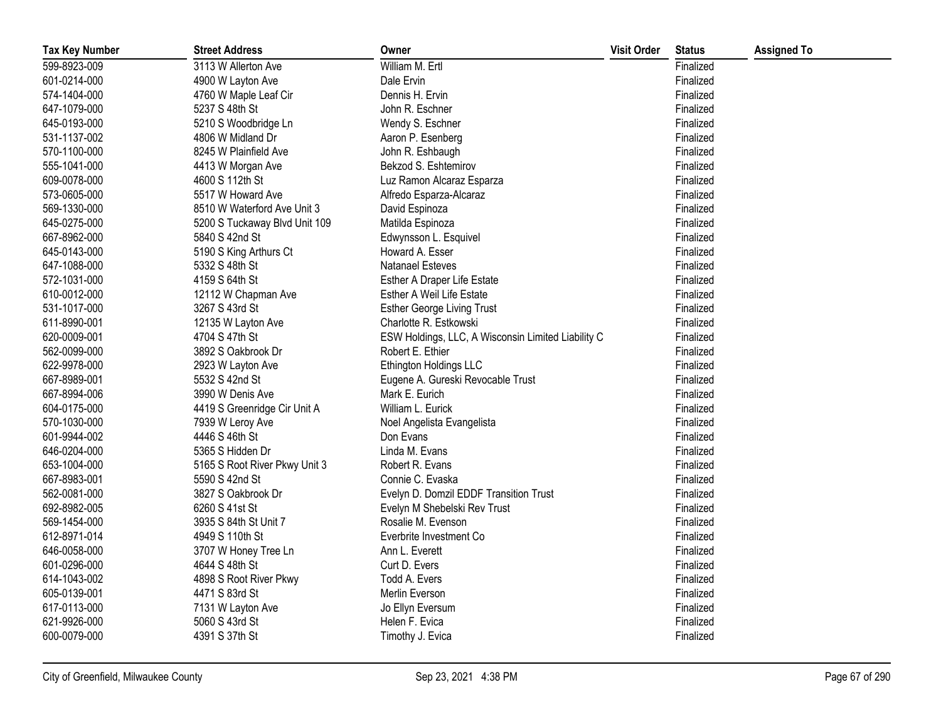| <b>Tax Key Number</b> | <b>Street Address</b>         | Owner                                              | <b>Visit Order</b> | <b>Status</b> | <b>Assigned To</b> |
|-----------------------|-------------------------------|----------------------------------------------------|--------------------|---------------|--------------------|
| 599-8923-009          | 3113 W Allerton Ave           | William M. Ertl                                    |                    | Finalized     |                    |
| 601-0214-000          | 4900 W Layton Ave             | Dale Ervin                                         |                    | Finalized     |                    |
| 574-1404-000          | 4760 W Maple Leaf Cir         | Dennis H. Ervin                                    |                    | Finalized     |                    |
| 647-1079-000          | 5237 S 48th St                | John R. Eschner                                    |                    | Finalized     |                    |
| 645-0193-000          | 5210 S Woodbridge Ln          | Wendy S. Eschner                                   |                    | Finalized     |                    |
| 531-1137-002          | 4806 W Midland Dr             | Aaron P. Esenberg                                  |                    | Finalized     |                    |
| 570-1100-000          | 8245 W Plainfield Ave         | John R. Eshbaugh                                   |                    | Finalized     |                    |
| 555-1041-000          | 4413 W Morgan Ave             | Bekzod S. Eshtemirov                               |                    | Finalized     |                    |
| 609-0078-000          | 4600 S 112th St               | Luz Ramon Alcaraz Esparza                          |                    | Finalized     |                    |
| 573-0605-000          | 5517 W Howard Ave             | Alfredo Esparza-Alcaraz                            |                    | Finalized     |                    |
| 569-1330-000          | 8510 W Waterford Ave Unit 3   | David Espinoza                                     |                    | Finalized     |                    |
| 645-0275-000          | 5200 S Tuckaway Blvd Unit 109 | Matilda Espinoza                                   |                    | Finalized     |                    |
| 667-8962-000          | 5840 S 42nd St                | Edwynsson L. Esquivel                              |                    | Finalized     |                    |
| 645-0143-000          | 5190 S King Arthurs Ct        | Howard A. Esser                                    |                    | Finalized     |                    |
| 647-1088-000          | 5332 S 48th St                | <b>Natanael Esteves</b>                            |                    | Finalized     |                    |
| 572-1031-000          | 4159 S 64th St                | Esther A Draper Life Estate                        |                    | Finalized     |                    |
| 610-0012-000          | 12112 W Chapman Ave           | <b>Esther A Weil Life Estate</b>                   |                    | Finalized     |                    |
| 531-1017-000          | 3267 S 43rd St                | <b>Esther George Living Trust</b>                  |                    | Finalized     |                    |
| 611-8990-001          | 12135 W Layton Ave            | Charlotte R. Estkowski                             |                    | Finalized     |                    |
| 620-0009-001          | 4704 S 47th St                | ESW Holdings, LLC, A Wisconsin Limited Liability C |                    | Finalized     |                    |
| 562-0099-000          | 3892 S Oakbrook Dr            | Robert E. Ethier                                   |                    | Finalized     |                    |
| 622-9978-000          | 2923 W Layton Ave             | Ethington Holdings LLC                             |                    | Finalized     |                    |
| 667-8989-001          | 5532 S 42nd St                | Eugene A. Gureski Revocable Trust                  |                    | Finalized     |                    |
| 667-8994-006          | 3990 W Denis Ave              | Mark E. Eurich                                     |                    | Finalized     |                    |
| 604-0175-000          | 4419 S Greenridge Cir Unit A  | William L. Eurick                                  |                    | Finalized     |                    |
| 570-1030-000          | 7939 W Leroy Ave              | Noel Angelista Evangelista                         |                    | Finalized     |                    |
| 601-9944-002          | 4446 S 46th St                | Don Evans                                          |                    | Finalized     |                    |
| 646-0204-000          | 5365 S Hidden Dr              | Linda M. Evans                                     |                    | Finalized     |                    |
| 653-1004-000          | 5165 S Root River Pkwy Unit 3 | Robert R. Evans                                    |                    | Finalized     |                    |
| 667-8983-001          | 5590 S 42nd St                | Connie C. Evaska                                   |                    | Finalized     |                    |
| 562-0081-000          | 3827 S Oakbrook Dr            | Evelyn D. Domzil EDDF Transition Trust             |                    | Finalized     |                    |
| 692-8982-005          | 6260 S 41st St                | Evelyn M Shebelski Rev Trust                       |                    | Finalized     |                    |
| 569-1454-000          | 3935 S 84th St Unit 7         | Rosalie M. Evenson                                 |                    | Finalized     |                    |
| 612-8971-014          | 4949 S 110th St               | Everbrite Investment Co                            |                    | Finalized     |                    |
| 646-0058-000          | 3707 W Honey Tree Ln          | Ann L. Everett                                     |                    | Finalized     |                    |
| 601-0296-000          | 4644 S 48th St                | Curt D. Evers                                      |                    | Finalized     |                    |
| 614-1043-002          | 4898 S Root River Pkwy        | Todd A. Evers                                      |                    | Finalized     |                    |
| 605-0139-001          | 4471 S 83rd St                | Merlin Everson                                     |                    | Finalized     |                    |
| 617-0113-000          | 7131 W Layton Ave             | Jo Ellyn Eversum                                   |                    | Finalized     |                    |
| 621-9926-000          | 5060 S 43rd St                | Helen F. Evica                                     |                    | Finalized     |                    |
| 600-0079-000          | 4391 S 37th St                | Timothy J. Evica                                   |                    | Finalized     |                    |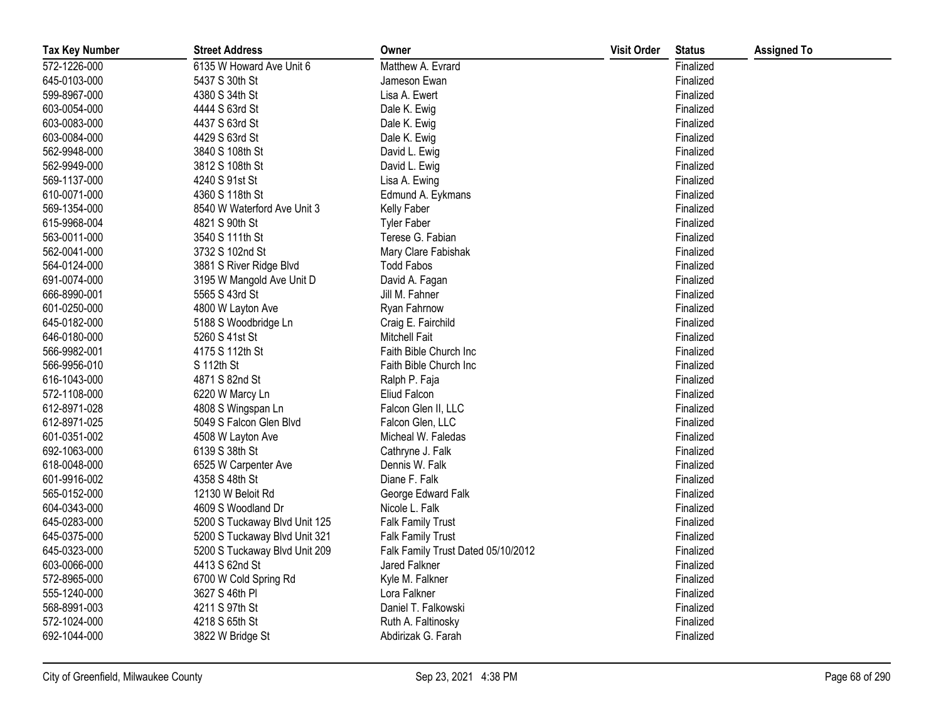| <b>Tax Key Number</b> | <b>Street Address</b>         | Owner                              | <b>Visit Order</b> | <b>Status</b> | <b>Assigned To</b> |
|-----------------------|-------------------------------|------------------------------------|--------------------|---------------|--------------------|
| 572-1226-000          | 6135 W Howard Ave Unit 6      | Matthew A. Evrard                  |                    | Finalized     |                    |
| 645-0103-000          | 5437 S 30th St                | Jameson Ewan                       |                    | Finalized     |                    |
| 599-8967-000          | 4380 S 34th St                | Lisa A. Ewert                      |                    | Finalized     |                    |
| 603-0054-000          | 4444 S 63rd St                | Dale K. Ewig                       |                    | Finalized     |                    |
| 603-0083-000          | 4437 S 63rd St                | Dale K. Ewig                       |                    | Finalized     |                    |
| 603-0084-000          | 4429 S 63rd St                | Dale K. Ewig                       |                    | Finalized     |                    |
| 562-9948-000          | 3840 S 108th St               | David L. Ewig                      |                    | Finalized     |                    |
| 562-9949-000          | 3812 S 108th St               | David L. Ewig                      |                    | Finalized     |                    |
| 569-1137-000          | 4240 S 91st St                | Lisa A. Ewing                      |                    | Finalized     |                    |
| 610-0071-000          | 4360 S 118th St               | Edmund A. Eykmans                  |                    | Finalized     |                    |
| 569-1354-000          | 8540 W Waterford Ave Unit 3   | Kelly Faber                        |                    | Finalized     |                    |
| 615-9968-004          | 4821 S 90th St                | <b>Tyler Faber</b>                 |                    | Finalized     |                    |
| 563-0011-000          | 3540 S 111th St               | Terese G. Fabian                   |                    | Finalized     |                    |
| 562-0041-000          | 3732 S 102nd St               | Mary Clare Fabishak                |                    | Finalized     |                    |
| 564-0124-000          | 3881 S River Ridge Blvd       | <b>Todd Fabos</b>                  |                    | Finalized     |                    |
| 691-0074-000          | 3195 W Mangold Ave Unit D     | David A. Fagan                     |                    | Finalized     |                    |
| 666-8990-001          | 5565 S 43rd St                | Jill M. Fahner                     |                    | Finalized     |                    |
| 601-0250-000          | 4800 W Layton Ave             | Ryan Fahrnow                       |                    | Finalized     |                    |
| 645-0182-000          | 5188 S Woodbridge Ln          | Craig E. Fairchild                 |                    | Finalized     |                    |
| 646-0180-000          | 5260 S 41st St                | <b>Mitchell Fait</b>               |                    | Finalized     |                    |
| 566-9982-001          | 4175 S 112th St               | Faith Bible Church Inc             |                    | Finalized     |                    |
| 566-9956-010          | S 112th St                    | Faith Bible Church Inc             |                    | Finalized     |                    |
| 616-1043-000          | 4871 S 82nd St                | Ralph P. Faja                      |                    | Finalized     |                    |
| 572-1108-000          | 6220 W Marcy Ln               | Eliud Falcon                       |                    | Finalized     |                    |
| 612-8971-028          | 4808 S Wingspan Ln            | Falcon Glen II, LLC                |                    | Finalized     |                    |
| 612-8971-025          | 5049 S Falcon Glen Blvd       | Falcon Glen, LLC                   |                    | Finalized     |                    |
| 601-0351-002          | 4508 W Layton Ave             | Micheal W. Faledas                 |                    | Finalized     |                    |
| 692-1063-000          | 6139 S 38th St                | Cathryne J. Falk                   |                    | Finalized     |                    |
| 618-0048-000          | 6525 W Carpenter Ave          | Dennis W. Falk                     |                    | Finalized     |                    |
| 601-9916-002          | 4358 S 48th St                | Diane F. Falk                      |                    | Finalized     |                    |
| 565-0152-000          | 12130 W Beloit Rd             | George Edward Falk                 |                    | Finalized     |                    |
| 604-0343-000          | 4609 S Woodland Dr            | Nicole L. Falk                     |                    | Finalized     |                    |
| 645-0283-000          | 5200 S Tuckaway Blvd Unit 125 | <b>Falk Family Trust</b>           |                    | Finalized     |                    |
| 645-0375-000          | 5200 S Tuckaway Blvd Unit 321 | <b>Falk Family Trust</b>           |                    | Finalized     |                    |
| 645-0323-000          | 5200 S Tuckaway Blvd Unit 209 | Falk Family Trust Dated 05/10/2012 |                    | Finalized     |                    |
| 603-0066-000          | 4413 S 62nd St                | Jared Falkner                      |                    | Finalized     |                    |
| 572-8965-000          | 6700 W Cold Spring Rd         | Kyle M. Falkner                    |                    | Finalized     |                    |
| 555-1240-000          | 3627 S 46th PI                | Lora Falkner                       |                    | Finalized     |                    |
| 568-8991-003          | 4211 S 97th St                | Daniel T. Falkowski                |                    | Finalized     |                    |
| 572-1024-000          | 4218 S 65th St                | Ruth A. Faltinosky                 |                    | Finalized     |                    |
| 692-1044-000          | 3822 W Bridge St              | Abdirizak G. Farah                 |                    | Finalized     |                    |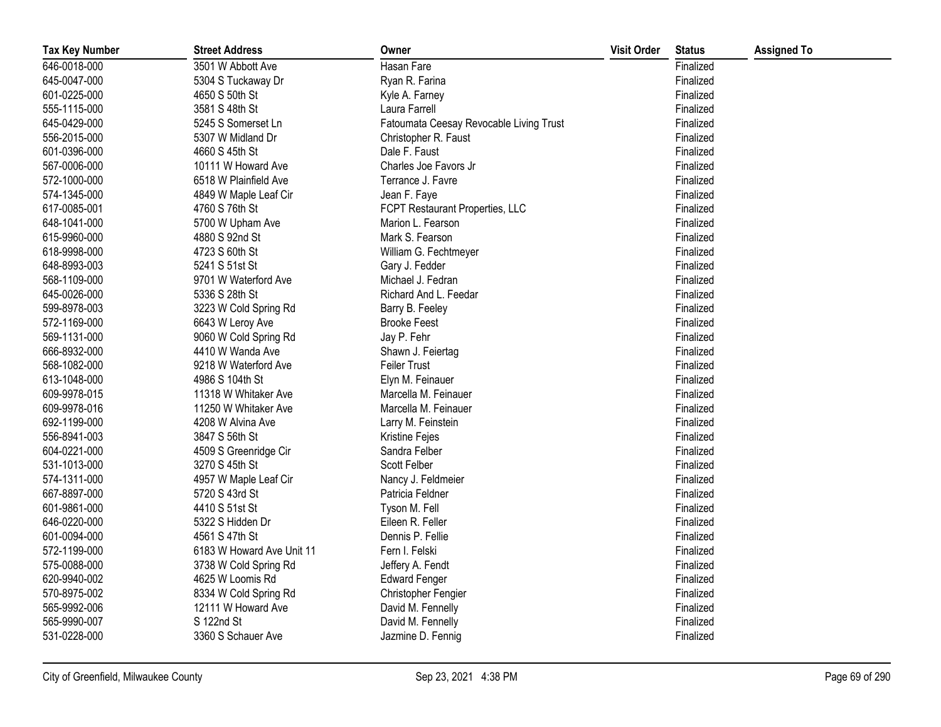| <b>Tax Key Number</b> | <b>Street Address</b>     | Owner                                   | <b>Visit Order</b> | <b>Status</b> | <b>Assigned To</b> |
|-----------------------|---------------------------|-----------------------------------------|--------------------|---------------|--------------------|
| 646-0018-000          | 3501 W Abbott Ave         | Hasan Fare                              |                    | Finalized     |                    |
| 645-0047-000          | 5304 S Tuckaway Dr        | Ryan R. Farina                          |                    | Finalized     |                    |
| 601-0225-000          | 4650 S 50th St            | Kyle A. Farney                          |                    | Finalized     |                    |
| 555-1115-000          | 3581 S 48th St            | Laura Farrell                           |                    | Finalized     |                    |
| 645-0429-000          | 5245 S Somerset Ln        | Fatoumata Ceesay Revocable Living Trust |                    | Finalized     |                    |
| 556-2015-000          | 5307 W Midland Dr         | Christopher R. Faust                    |                    | Finalized     |                    |
| 601-0396-000          | 4660 S 45th St            | Dale F. Faust                           |                    | Finalized     |                    |
| 567-0006-000          | 10111 W Howard Ave        | Charles Joe Favors Jr                   |                    | Finalized     |                    |
| 572-1000-000          | 6518 W Plainfield Ave     | Terrance J. Favre                       |                    | Finalized     |                    |
| 574-1345-000          | 4849 W Maple Leaf Cir     | Jean F. Faye                            |                    | Finalized     |                    |
| 617-0085-001          | 4760 S 76th St            | FCPT Restaurant Properties, LLC         |                    | Finalized     |                    |
| 648-1041-000          | 5700 W Upham Ave          | Marion L. Fearson                       |                    | Finalized     |                    |
| 615-9960-000          | 4880 S 92nd St            | Mark S. Fearson                         |                    | Finalized     |                    |
| 618-9998-000          | 4723 S 60th St            | William G. Fechtmeyer                   |                    | Finalized     |                    |
| 648-8993-003          | 5241 S 51st St            | Gary J. Fedder                          |                    | Finalized     |                    |
| 568-1109-000          | 9701 W Waterford Ave      | Michael J. Fedran                       |                    | Finalized     |                    |
| 645-0026-000          | 5336 S 28th St            | Richard And L. Feedar                   |                    | Finalized     |                    |
| 599-8978-003          | 3223 W Cold Spring Rd     | Barry B. Feeley                         |                    | Finalized     |                    |
| 572-1169-000          | 6643 W Leroy Ave          | <b>Brooke Feest</b>                     |                    | Finalized     |                    |
| 569-1131-000          | 9060 W Cold Spring Rd     | Jay P. Fehr                             |                    | Finalized     |                    |
| 666-8932-000          | 4410 W Wanda Ave          | Shawn J. Feiertag                       |                    | Finalized     |                    |
| 568-1082-000          | 9218 W Waterford Ave      | <b>Feiler Trust</b>                     |                    | Finalized     |                    |
| 613-1048-000          | 4986 S 104th St           | Elyn M. Feinauer                        |                    | Finalized     |                    |
| 609-9978-015          | 11318 W Whitaker Ave      | Marcella M. Feinauer                    |                    | Finalized     |                    |
| 609-9978-016          | 11250 W Whitaker Ave      | Marcella M. Feinauer                    |                    | Finalized     |                    |
| 692-1199-000          | 4208 W Alvina Ave         | Larry M. Feinstein                      |                    | Finalized     |                    |
| 556-8941-003          | 3847 S 56th St            | Kristine Fejes                          |                    | Finalized     |                    |
| 604-0221-000          | 4509 S Greenridge Cir     | Sandra Felber                           |                    | Finalized     |                    |
| 531-1013-000          | 3270 S 45th St            | Scott Felber                            |                    | Finalized     |                    |
| 574-1311-000          | 4957 W Maple Leaf Cir     | Nancy J. Feldmeier                      |                    | Finalized     |                    |
| 667-8897-000          | 5720 S 43rd St            | Patricia Feldner                        |                    | Finalized     |                    |
| 601-9861-000          | 4410 S 51st St            | Tyson M. Fell                           |                    | Finalized     |                    |
| 646-0220-000          | 5322 S Hidden Dr          | Eileen R. Feller                        |                    | Finalized     |                    |
| 601-0094-000          | 4561 S 47th St            | Dennis P. Fellie                        |                    | Finalized     |                    |
| 572-1199-000          | 6183 W Howard Ave Unit 11 | Fern I. Felski                          |                    | Finalized     |                    |
| 575-0088-000          | 3738 W Cold Spring Rd     | Jeffery A. Fendt                        |                    | Finalized     |                    |
| 620-9940-002          | 4625 W Loomis Rd          | <b>Edward Fenger</b>                    |                    | Finalized     |                    |
| 570-8975-002          | 8334 W Cold Spring Rd     | Christopher Fengier                     |                    | Finalized     |                    |
| 565-9992-006          | 12111 W Howard Ave        | David M. Fennelly                       |                    | Finalized     |                    |
| 565-9990-007          | S 122nd St                | David M. Fennelly                       |                    | Finalized     |                    |
| 531-0228-000          | 3360 S Schauer Ave        | Jazmine D. Fennig                       |                    | Finalized     |                    |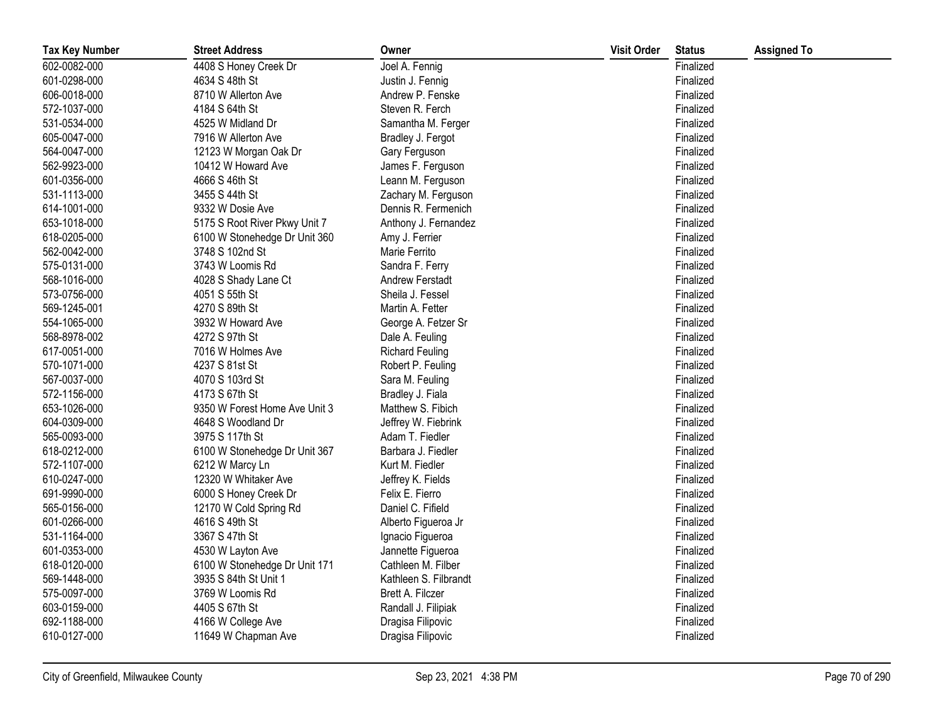| <b>Tax Key Number</b> | <b>Street Address</b>         | Owner                  | <b>Visit Order</b> | <b>Status</b> | <b>Assigned To</b> |
|-----------------------|-------------------------------|------------------------|--------------------|---------------|--------------------|
| 602-0082-000          | 4408 S Honey Creek Dr         | Joel A. Fennig         |                    | Finalized     |                    |
| 601-0298-000          | 4634 S 48th St                | Justin J. Fennig       |                    | Finalized     |                    |
| 606-0018-000          | 8710 W Allerton Ave           | Andrew P. Fenske       |                    | Finalized     |                    |
| 572-1037-000          | 4184 S 64th St                | Steven R. Ferch        |                    | Finalized     |                    |
| 531-0534-000          | 4525 W Midland Dr             | Samantha M. Ferger     |                    | Finalized     |                    |
| 605-0047-000          | 7916 W Allerton Ave           | Bradley J. Fergot      |                    | Finalized     |                    |
| 564-0047-000          | 12123 W Morgan Oak Dr         | Gary Ferguson          |                    | Finalized     |                    |
| 562-9923-000          | 10412 W Howard Ave            | James F. Ferguson      |                    | Finalized     |                    |
| 601-0356-000          | 4666 S 46th St                | Leann M. Ferguson      |                    | Finalized     |                    |
| 531-1113-000          | 3455 S 44th St                | Zachary M. Ferguson    |                    | Finalized     |                    |
| 614-1001-000          | 9332 W Dosie Ave              | Dennis R. Fermenich    |                    | Finalized     |                    |
| 653-1018-000          | 5175 S Root River Pkwy Unit 7 | Anthony J. Fernandez   |                    | Finalized     |                    |
| 618-0205-000          | 6100 W Stonehedge Dr Unit 360 | Amy J. Ferrier         |                    | Finalized     |                    |
| 562-0042-000          | 3748 S 102nd St               | Marie Ferrito          |                    | Finalized     |                    |
| 575-0131-000          | 3743 W Loomis Rd              | Sandra F. Ferry        |                    | Finalized     |                    |
| 568-1016-000          | 4028 S Shady Lane Ct          | Andrew Ferstadt        |                    | Finalized     |                    |
| 573-0756-000          | 4051 S 55th St                | Sheila J. Fessel       |                    | Finalized     |                    |
| 569-1245-001          | 4270 S 89th St                | Martin A. Fetter       |                    | Finalized     |                    |
| 554-1065-000          | 3932 W Howard Ave             | George A. Fetzer Sr    |                    | Finalized     |                    |
| 568-8978-002          | 4272 S 97th St                | Dale A. Feuling        |                    | Finalized     |                    |
| 617-0051-000          | 7016 W Holmes Ave             | <b>Richard Feuling</b> |                    | Finalized     |                    |
| 570-1071-000          | 4237 S 81st St                | Robert P. Feuling      |                    | Finalized     |                    |
| 567-0037-000          | 4070 S 103rd St               | Sara M. Feuling        |                    | Finalized     |                    |
| 572-1156-000          | 4173 S 67th St                | Bradley J. Fiala       |                    | Finalized     |                    |
| 653-1026-000          | 9350 W Forest Home Ave Unit 3 | Matthew S. Fibich      |                    | Finalized     |                    |
| 604-0309-000          | 4648 S Woodland Dr            | Jeffrey W. Fiebrink    |                    | Finalized     |                    |
| 565-0093-000          | 3975 S 117th St               | Adam T. Fiedler        |                    | Finalized     |                    |
| 618-0212-000          | 6100 W Stonehedge Dr Unit 367 | Barbara J. Fiedler     |                    | Finalized     |                    |
| 572-1107-000          | 6212 W Marcy Ln               | Kurt M. Fiedler        |                    | Finalized     |                    |
| 610-0247-000          | 12320 W Whitaker Ave          | Jeffrey K. Fields      |                    | Finalized     |                    |
| 691-9990-000          | 6000 S Honey Creek Dr         | Felix E. Fierro        |                    | Finalized     |                    |
| 565-0156-000          | 12170 W Cold Spring Rd        | Daniel C. Fifield      |                    | Finalized     |                    |
| 601-0266-000          | 4616 S 49th St                | Alberto Figueroa Jr    |                    | Finalized     |                    |
| 531-1164-000          | 3367 S 47th St                | Ignacio Figueroa       |                    | Finalized     |                    |
| 601-0353-000          | 4530 W Layton Ave             | Jannette Figueroa      |                    | Finalized     |                    |
| 618-0120-000          | 6100 W Stonehedge Dr Unit 171 | Cathleen M. Filber     |                    | Finalized     |                    |
| 569-1448-000          | 3935 S 84th St Unit 1         | Kathleen S. Filbrandt  |                    | Finalized     |                    |
| 575-0097-000          | 3769 W Loomis Rd              | Brett A. Filczer       |                    | Finalized     |                    |
| 603-0159-000          | 4405 S 67th St                | Randall J. Filipiak    |                    | Finalized     |                    |
| 692-1188-000          | 4166 W College Ave            | Dragisa Filipovic      |                    | Finalized     |                    |
| 610-0127-000          | 11649 W Chapman Ave           | Dragisa Filipovic      |                    | Finalized     |                    |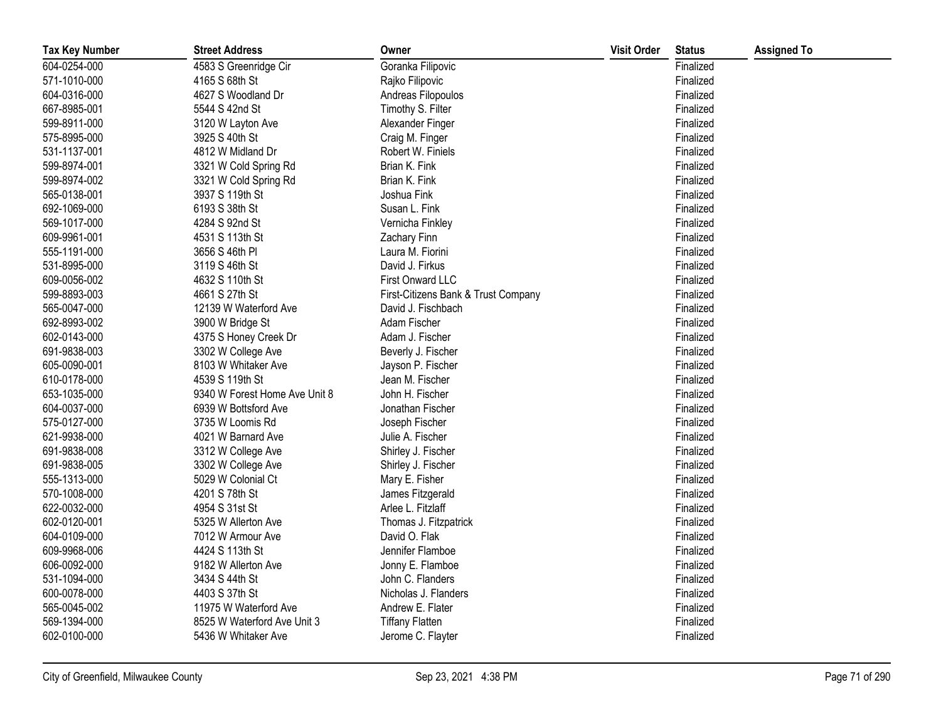| <b>Tax Key Number</b> | <b>Street Address</b>         | Owner                               | <b>Visit Order</b> | <b>Status</b> | <b>Assigned To</b> |
|-----------------------|-------------------------------|-------------------------------------|--------------------|---------------|--------------------|
| 604-0254-000          | 4583 S Greenridge Cir         | Goranka Filipovic                   |                    | Finalized     |                    |
| 571-1010-000          | 4165 S 68th St                | Rajko Filipovic                     |                    | Finalized     |                    |
| 604-0316-000          | 4627 S Woodland Dr            | Andreas Filopoulos                  |                    | Finalized     |                    |
| 667-8985-001          | 5544 S 42nd St                | Timothy S. Filter                   |                    | Finalized     |                    |
| 599-8911-000          | 3120 W Layton Ave             | Alexander Finger                    |                    | Finalized     |                    |
| 575-8995-000          | 3925 S 40th St                | Craig M. Finger                     |                    | Finalized     |                    |
| 531-1137-001          | 4812 W Midland Dr             | Robert W. Finiels                   |                    | Finalized     |                    |
| 599-8974-001          | 3321 W Cold Spring Rd         | Brian K. Fink                       |                    | Finalized     |                    |
| 599-8974-002          | 3321 W Cold Spring Rd         | Brian K. Fink                       |                    | Finalized     |                    |
| 565-0138-001          | 3937 S 119th St               | Joshua Fink                         |                    | Finalized     |                    |
| 692-1069-000          | 6193 S 38th St                | Susan L. Fink                       |                    | Finalized     |                    |
| 569-1017-000          | 4284 S 92nd St                | Vernicha Finkley                    |                    | Finalized     |                    |
| 609-9961-001          | 4531 S 113th St               | <b>Zachary Finn</b>                 |                    | Finalized     |                    |
| 555-1191-000          | 3656 S 46th PI                | Laura M. Fiorini                    |                    | Finalized     |                    |
| 531-8995-000          | 3119 S 46th St                | David J. Firkus                     |                    | Finalized     |                    |
| 609-0056-002          | 4632 S 110th St               | First Onward LLC                    |                    | Finalized     |                    |
| 599-8893-003          | 4661 S 27th St                | First-Citizens Bank & Trust Company |                    | Finalized     |                    |
| 565-0047-000          | 12139 W Waterford Ave         | David J. Fischbach                  |                    | Finalized     |                    |
| 692-8993-002          | 3900 W Bridge St              | Adam Fischer                        |                    | Finalized     |                    |
| 602-0143-000          | 4375 S Honey Creek Dr         | Adam J. Fischer                     |                    | Finalized     |                    |
| 691-9838-003          | 3302 W College Ave            | Beverly J. Fischer                  |                    | Finalized     |                    |
| 605-0090-001          | 8103 W Whitaker Ave           | Jayson P. Fischer                   |                    | Finalized     |                    |
| 610-0178-000          | 4539 S 119th St               | Jean M. Fischer                     |                    | Finalized     |                    |
| 653-1035-000          | 9340 W Forest Home Ave Unit 8 | John H. Fischer                     |                    | Finalized     |                    |
| 604-0037-000          | 6939 W Bottsford Ave          | Jonathan Fischer                    |                    | Finalized     |                    |
| 575-0127-000          | 3735 W Loomis Rd              | Joseph Fischer                      |                    | Finalized     |                    |
| 621-9938-000          | 4021 W Barnard Ave            | Julie A. Fischer                    |                    | Finalized     |                    |
| 691-9838-008          | 3312 W College Ave            | Shirley J. Fischer                  |                    | Finalized     |                    |
| 691-9838-005          | 3302 W College Ave            | Shirley J. Fischer                  |                    | Finalized     |                    |
| 555-1313-000          | 5029 W Colonial Ct            | Mary E. Fisher                      |                    | Finalized     |                    |
| 570-1008-000          | 4201 S 78th St                | James Fitzgerald                    |                    | Finalized     |                    |
| 622-0032-000          | 4954 S 31st St                | Arlee L. Fitzlaff                   |                    | Finalized     |                    |
| 602-0120-001          | 5325 W Allerton Ave           | Thomas J. Fitzpatrick               |                    | Finalized     |                    |
| 604-0109-000          | 7012 W Armour Ave             | David O. Flak                       |                    | Finalized     |                    |
| 609-9968-006          | 4424 S 113th St               | Jennifer Flamboe                    |                    | Finalized     |                    |
| 606-0092-000          | 9182 W Allerton Ave           | Jonny E. Flamboe                    |                    | Finalized     |                    |
| 531-1094-000          | 3434 S 44th St                | John C. Flanders                    |                    | Finalized     |                    |
| 600-0078-000          | 4403 S 37th St                | Nicholas J. Flanders                |                    | Finalized     |                    |
| 565-0045-002          | 11975 W Waterford Ave         | Andrew E. Flater                    |                    | Finalized     |                    |
| 569-1394-000          | 8525 W Waterford Ave Unit 3   | <b>Tiffany Flatten</b>              |                    | Finalized     |                    |
| 602-0100-000          | 5436 W Whitaker Ave           | Jerome C. Flayter                   |                    | Finalized     |                    |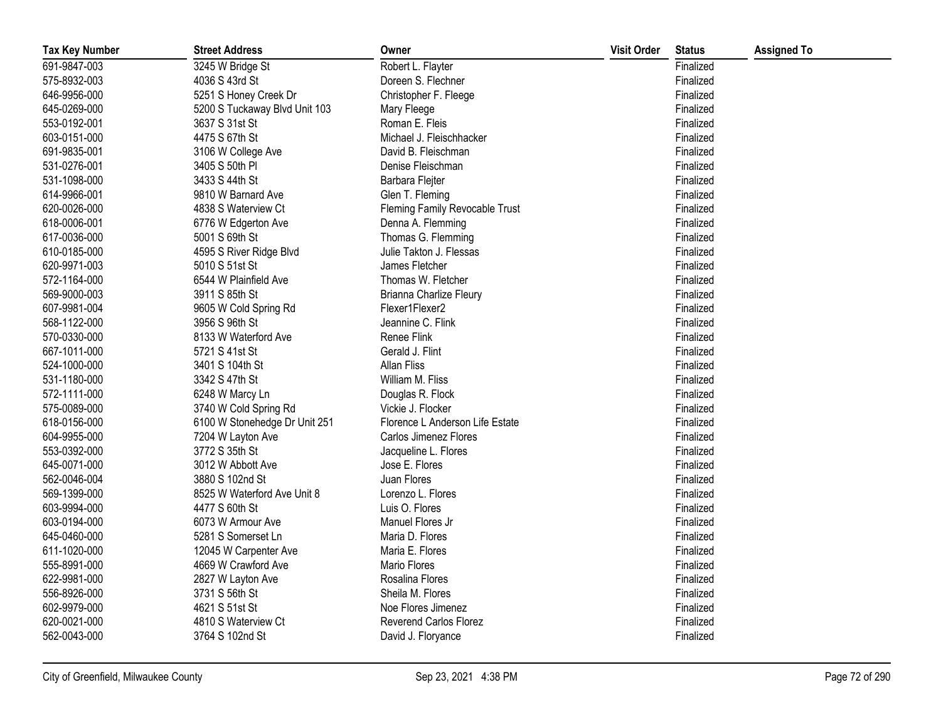| <b>Tax Key Number</b> | <b>Street Address</b>         | Owner                           | <b>Visit Order</b> | <b>Status</b> | <b>Assigned To</b> |
|-----------------------|-------------------------------|---------------------------------|--------------------|---------------|--------------------|
| 691-9847-003          | 3245 W Bridge St              | Robert L. Flayter               |                    | Finalized     |                    |
| 575-8932-003          | 4036 S 43rd St                | Doreen S. Flechner              |                    | Finalized     |                    |
| 646-9956-000          | 5251 S Honey Creek Dr         | Christopher F. Fleege           |                    | Finalized     |                    |
| 645-0269-000          | 5200 S Tuckaway Blvd Unit 103 | Mary Fleege                     |                    | Finalized     |                    |
| 553-0192-001          | 3637 S 31st St                | Roman E. Fleis                  |                    | Finalized     |                    |
| 603-0151-000          | 4475 S 67th St                | Michael J. Fleischhacker        |                    | Finalized     |                    |
| 691-9835-001          | 3106 W College Ave            | David B. Fleischman             |                    | Finalized     |                    |
| 531-0276-001          | 3405 S 50th PI                | Denise Fleischman               |                    | Finalized     |                    |
| 531-1098-000          | 3433 S 44th St                | Barbara Flejter                 |                    | Finalized     |                    |
| 614-9966-001          | 9810 W Barnard Ave            | Glen T. Fleming                 |                    | Finalized     |                    |
| 620-0026-000          | 4838 S Waterview Ct           | Fleming Family Revocable Trust  |                    | Finalized     |                    |
| 618-0006-001          | 6776 W Edgerton Ave           | Denna A. Flemming               |                    | Finalized     |                    |
| 617-0036-000          | 5001 S 69th St                | Thomas G. Flemming              |                    | Finalized     |                    |
| 610-0185-000          | 4595 S River Ridge Blvd       | Julie Takton J. Flessas         |                    | Finalized     |                    |
| 620-9971-003          | 5010 S 51st St                | James Fletcher                  |                    | Finalized     |                    |
| 572-1164-000          | 6544 W Plainfield Ave         | Thomas W. Fletcher              |                    | Finalized     |                    |
| 569-9000-003          | 3911 S 85th St                | Brianna Charlize Fleury         |                    | Finalized     |                    |
| 607-9981-004          | 9605 W Cold Spring Rd         | Flexer1Flexer2                  |                    | Finalized     |                    |
| 568-1122-000          | 3956 S 96th St                | Jeannine C. Flink               |                    | Finalized     |                    |
| 570-0330-000          | 8133 W Waterford Ave          | Renee Flink                     |                    | Finalized     |                    |
| 667-1011-000          | 5721 S 41st St                | Gerald J. Flint                 |                    | Finalized     |                    |
| 524-1000-000          | 3401 S 104th St               | <b>Allan Fliss</b>              |                    | Finalized     |                    |
| 531-1180-000          | 3342 S 47th St                | William M. Fliss                |                    | Finalized     |                    |
| 572-1111-000          | 6248 W Marcy Ln               | Douglas R. Flock                |                    | Finalized     |                    |
| 575-0089-000          | 3740 W Cold Spring Rd         | Vickie J. Flocker               |                    | Finalized     |                    |
| 618-0156-000          | 6100 W Stonehedge Dr Unit 251 | Florence L Anderson Life Estate |                    | Finalized     |                    |
| 604-9955-000          | 7204 W Layton Ave             | Carlos Jimenez Flores           |                    | Finalized     |                    |
| 553-0392-000          | 3772 S 35th St                | Jacqueline L. Flores            |                    | Finalized     |                    |
| 645-0071-000          | 3012 W Abbott Ave             | Jose E. Flores                  |                    | Finalized     |                    |
| 562-0046-004          | 3880 S 102nd St               | Juan Flores                     |                    | Finalized     |                    |
| 569-1399-000          | 8525 W Waterford Ave Unit 8   | Lorenzo L. Flores               |                    | Finalized     |                    |
| 603-9994-000          | 4477 S 60th St                | Luis O. Flores                  |                    | Finalized     |                    |
| 603-0194-000          | 6073 W Armour Ave             | Manuel Flores Jr                |                    | Finalized     |                    |
| 645-0460-000          | 5281 S Somerset Ln            | Maria D. Flores                 |                    | Finalized     |                    |
| 611-1020-000          | 12045 W Carpenter Ave         | Maria E. Flores                 |                    | Finalized     |                    |
| 555-8991-000          | 4669 W Crawford Ave           | <b>Mario Flores</b>             |                    | Finalized     |                    |
| 622-9981-000          | 2827 W Layton Ave             | Rosalina Flores                 |                    | Finalized     |                    |
| 556-8926-000          | 3731 S 56th St                | Sheila M. Flores                |                    | Finalized     |                    |
| 602-9979-000          | 4621 S 51st St                | Noe Flores Jimenez              |                    | Finalized     |                    |
| 620-0021-000          | 4810 S Waterview Ct           | <b>Reverend Carlos Florez</b>   |                    | Finalized     |                    |
| 562-0043-000          | 3764 S 102nd St               | David J. Floryance              |                    | Finalized     |                    |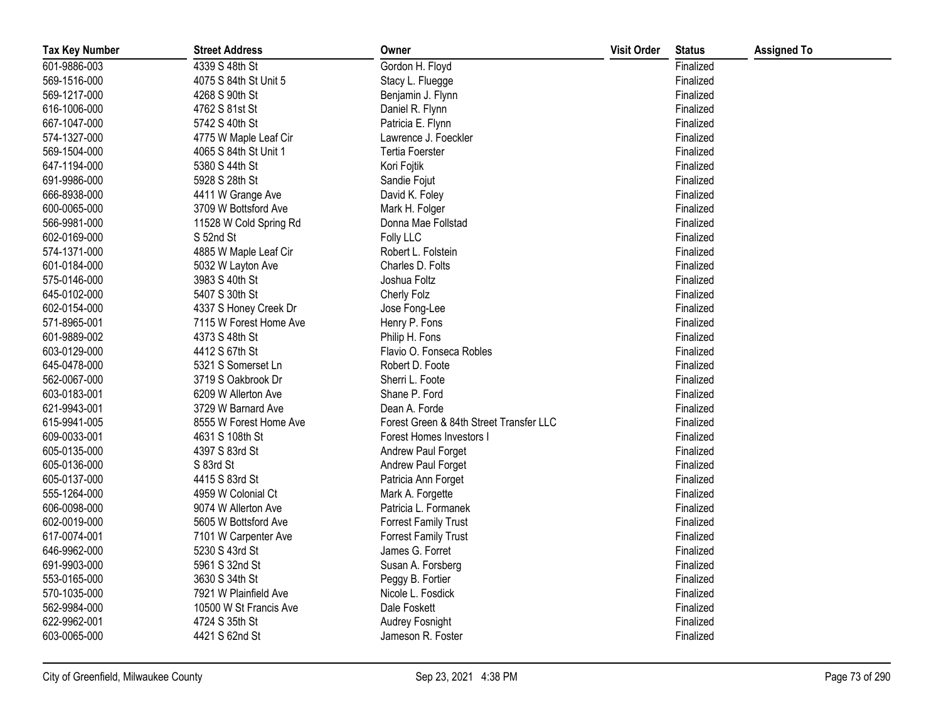| <b>Tax Key Number</b> | <b>Street Address</b>  | Owner                                   | <b>Visit Order</b> | <b>Status</b> | <b>Assigned To</b> |
|-----------------------|------------------------|-----------------------------------------|--------------------|---------------|--------------------|
| 601-9886-003          | 4339 S 48th St         | Gordon H. Floyd                         |                    | Finalized     |                    |
| 569-1516-000          | 4075 S 84th St Unit 5  | Stacy L. Fluegge                        |                    | Finalized     |                    |
| 569-1217-000          | 4268 S 90th St         | Benjamin J. Flynn                       |                    | Finalized     |                    |
| 616-1006-000          | 4762 S 81st St         | Daniel R. Flynn                         |                    | Finalized     |                    |
| 667-1047-000          | 5742 S 40th St         | Patricia E. Flynn                       |                    | Finalized     |                    |
| 574-1327-000          | 4775 W Maple Leaf Cir  | Lawrence J. Foeckler                    |                    | Finalized     |                    |
| 569-1504-000          | 4065 S 84th St Unit 1  | <b>Tertia Foerster</b>                  |                    | Finalized     |                    |
| 647-1194-000          | 5380 S 44th St         | Kori Fojtik                             |                    | Finalized     |                    |
| 691-9986-000          | 5928 S 28th St         | Sandie Fojut                            |                    | Finalized     |                    |
| 666-8938-000          | 4411 W Grange Ave      | David K. Foley                          |                    | Finalized     |                    |
| 600-0065-000          | 3709 W Bottsford Ave   | Mark H. Folger                          |                    | Finalized     |                    |
| 566-9981-000          | 11528 W Cold Spring Rd | Donna Mae Follstad                      |                    | Finalized     |                    |
| 602-0169-000          | S 52nd St              | Folly LLC                               |                    | Finalized     |                    |
| 574-1371-000          | 4885 W Maple Leaf Cir  | Robert L. Folstein                      |                    | Finalized     |                    |
| 601-0184-000          | 5032 W Layton Ave      | Charles D. Folts                        |                    | Finalized     |                    |
| 575-0146-000          | 3983 S 40th St         | Joshua Foltz                            |                    | Finalized     |                    |
| 645-0102-000          | 5407 S 30th St         | Cherly Folz                             |                    | Finalized     |                    |
| 602-0154-000          | 4337 S Honey Creek Dr  | Jose Fong-Lee                           |                    | Finalized     |                    |
| 571-8965-001          | 7115 W Forest Home Ave | Henry P. Fons                           |                    | Finalized     |                    |
| 601-9889-002          | 4373 S 48th St         | Philip H. Fons                          |                    | Finalized     |                    |
| 603-0129-000          | 4412 S 67th St         | Flavio O. Fonseca Robles                |                    | Finalized     |                    |
| 645-0478-000          | 5321 S Somerset Ln     | Robert D. Foote                         |                    | Finalized     |                    |
| 562-0067-000          | 3719 S Oakbrook Dr     | Sherri L. Foote                         |                    | Finalized     |                    |
| 603-0183-001          | 6209 W Allerton Ave    | Shane P. Ford                           |                    | Finalized     |                    |
| 621-9943-001          | 3729 W Barnard Ave     | Dean A. Forde                           |                    | Finalized     |                    |
| 615-9941-005          | 8555 W Forest Home Ave | Forest Green & 84th Street Transfer LLC |                    | Finalized     |                    |
| 609-0033-001          | 4631 S 108th St        | Forest Homes Investors I                |                    | Finalized     |                    |
| 605-0135-000          | 4397 S 83rd St         | Andrew Paul Forget                      |                    | Finalized     |                    |
| 605-0136-000          | S 83rd St              | Andrew Paul Forget                      |                    | Finalized     |                    |
| 605-0137-000          | 4415 S 83rd St         | Patricia Ann Forget                     |                    | Finalized     |                    |
| 555-1264-000          | 4959 W Colonial Ct     | Mark A. Forgette                        |                    | Finalized     |                    |
| 606-0098-000          | 9074 W Allerton Ave    | Patricia L. Formanek                    |                    | Finalized     |                    |
| 602-0019-000          | 5605 W Bottsford Ave   | <b>Forrest Family Trust</b>             |                    | Finalized     |                    |
| 617-0074-001          | 7101 W Carpenter Ave   | <b>Forrest Family Trust</b>             |                    | Finalized     |                    |
| 646-9962-000          | 5230 S 43rd St         | James G. Forret                         |                    | Finalized     |                    |
| 691-9903-000          | 5961 S 32nd St         | Susan A. Forsberg                       |                    | Finalized     |                    |
| 553-0165-000          | 3630 S 34th St         | Peggy B. Fortier                        |                    | Finalized     |                    |
| 570-1035-000          | 7921 W Plainfield Ave  | Nicole L. Fosdick                       |                    | Finalized     |                    |
| 562-9984-000          | 10500 W St Francis Ave | Dale Foskett                            |                    | Finalized     |                    |
| 622-9962-001          | 4724 S 35th St         | Audrey Fosnight                         |                    | Finalized     |                    |
| 603-0065-000          | 4421 S 62nd St         | Jameson R. Foster                       |                    | Finalized     |                    |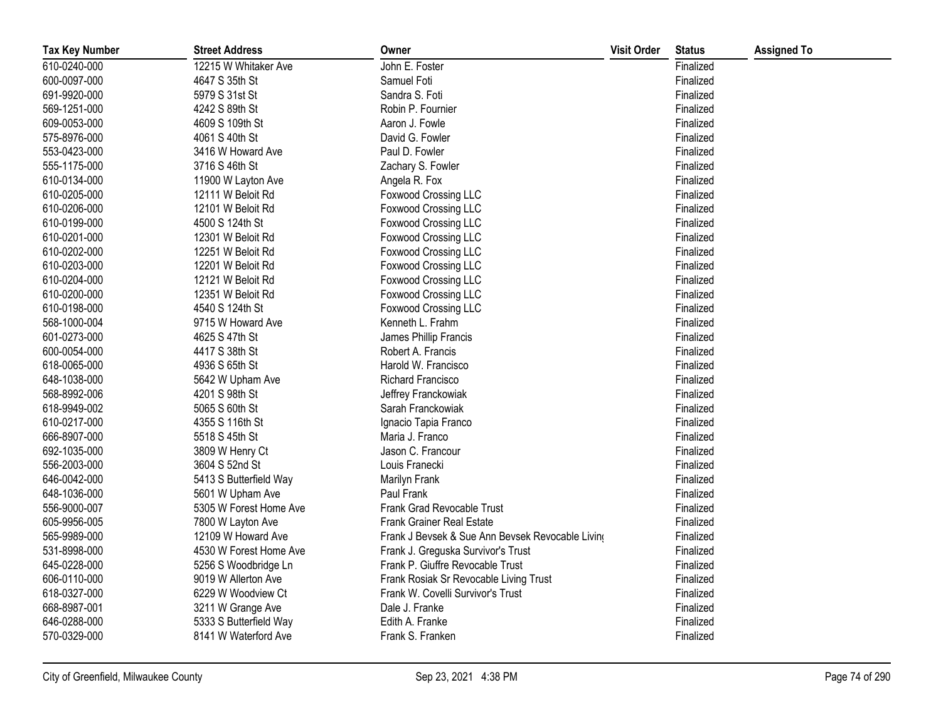| <b>Tax Key Number</b> | <b>Street Address</b>  | Owner                                            | <b>Visit Order</b> | <b>Status</b> | <b>Assigned To</b> |
|-----------------------|------------------------|--------------------------------------------------|--------------------|---------------|--------------------|
| 610-0240-000          | 12215 W Whitaker Ave   | John E. Foster                                   |                    | Finalized     |                    |
| 600-0097-000          | 4647 S 35th St         | Samuel Foti                                      |                    | Finalized     |                    |
| 691-9920-000          | 5979 S 31st St         | Sandra S. Foti                                   |                    | Finalized     |                    |
| 569-1251-000          | 4242 S 89th St         | Robin P. Fournier                                |                    | Finalized     |                    |
| 609-0053-000          | 4609 S 109th St        | Aaron J. Fowle                                   |                    | Finalized     |                    |
| 575-8976-000          | 4061 S 40th St         | David G. Fowler                                  |                    | Finalized     |                    |
| 553-0423-000          | 3416 W Howard Ave      | Paul D. Fowler                                   |                    | Finalized     |                    |
| 555-1175-000          | 3716 S 46th St         | Zachary S. Fowler                                |                    | Finalized     |                    |
| 610-0134-000          | 11900 W Layton Ave     | Angela R. Fox                                    |                    | Finalized     |                    |
| 610-0205-000          | 12111 W Beloit Rd      | Foxwood Crossing LLC                             |                    | Finalized     |                    |
| 610-0206-000          | 12101 W Beloit Rd      | <b>Foxwood Crossing LLC</b>                      |                    | Finalized     |                    |
| 610-0199-000          | 4500 S 124th St        | <b>Foxwood Crossing LLC</b>                      |                    | Finalized     |                    |
| 610-0201-000          | 12301 W Beloit Rd      | Foxwood Crossing LLC                             |                    | Finalized     |                    |
| 610-0202-000          | 12251 W Beloit Rd      | Foxwood Crossing LLC                             |                    | Finalized     |                    |
| 610-0203-000          | 12201 W Beloit Rd      | <b>Foxwood Crossing LLC</b>                      |                    | Finalized     |                    |
| 610-0204-000          | 12121 W Beloit Rd      | Foxwood Crossing LLC                             |                    | Finalized     |                    |
| 610-0200-000          | 12351 W Beloit Rd      | <b>Foxwood Crossing LLC</b>                      |                    | Finalized     |                    |
| 610-0198-000          | 4540 S 124th St        | <b>Foxwood Crossing LLC</b>                      |                    | Finalized     |                    |
| 568-1000-004          | 9715 W Howard Ave      | Kenneth L. Frahm                                 |                    | Finalized     |                    |
| 601-0273-000          | 4625 S 47th St         | James Phillip Francis                            |                    | Finalized     |                    |
| 600-0054-000          | 4417 S 38th St         | Robert A. Francis                                |                    | Finalized     |                    |
| 618-0065-000          | 4936 S 65th St         | Harold W. Francisco                              |                    | Finalized     |                    |
| 648-1038-000          | 5642 W Upham Ave       | Richard Francisco                                |                    | Finalized     |                    |
| 568-8992-006          | 4201 S 98th St         | Jeffrey Franckowiak                              |                    | Finalized     |                    |
| 618-9949-002          | 5065 S 60th St         | Sarah Franckowiak                                |                    | Finalized     |                    |
| 610-0217-000          | 4355 S 116th St        | Ignacio Tapia Franco                             |                    | Finalized     |                    |
| 666-8907-000          | 5518 S 45th St         | Maria J. Franco                                  |                    | Finalized     |                    |
| 692-1035-000          | 3809 W Henry Ct        | Jason C. Francour                                |                    | Finalized     |                    |
| 556-2003-000          | 3604 S 52nd St         | Louis Franecki                                   |                    | Finalized     |                    |
| 646-0042-000          | 5413 S Butterfield Way | Marilyn Frank                                    |                    | Finalized     |                    |
| 648-1036-000          | 5601 W Upham Ave       | Paul Frank                                       |                    | Finalized     |                    |
| 556-9000-007          | 5305 W Forest Home Ave | Frank Grad Revocable Trust                       |                    | Finalized     |                    |
| 605-9956-005          | 7800 W Layton Ave      | <b>Frank Grainer Real Estate</b>                 |                    | Finalized     |                    |
| 565-9989-000          | 12109 W Howard Ave     | Frank J Bevsek & Sue Ann Bevsek Revocable Living |                    | Finalized     |                    |
| 531-8998-000          | 4530 W Forest Home Ave | Frank J. Greguska Survivor's Trust               |                    | Finalized     |                    |
| 645-0228-000          | 5256 S Woodbridge Ln   | Frank P. Giuffre Revocable Trust                 |                    | Finalized     |                    |
| 606-0110-000          | 9019 W Allerton Ave    | Frank Rosiak Sr Revocable Living Trust           |                    | Finalized     |                    |
| 618-0327-000          | 6229 W Woodview Ct     | Frank W. Covelli Survivor's Trust                |                    | Finalized     |                    |
| 668-8987-001          | 3211 W Grange Ave      | Dale J. Franke                                   |                    | Finalized     |                    |
| 646-0288-000          | 5333 S Butterfield Way | Edith A. Franke                                  |                    | Finalized     |                    |
| 570-0329-000          | 8141 W Waterford Ave   | Frank S. Franken                                 |                    | Finalized     |                    |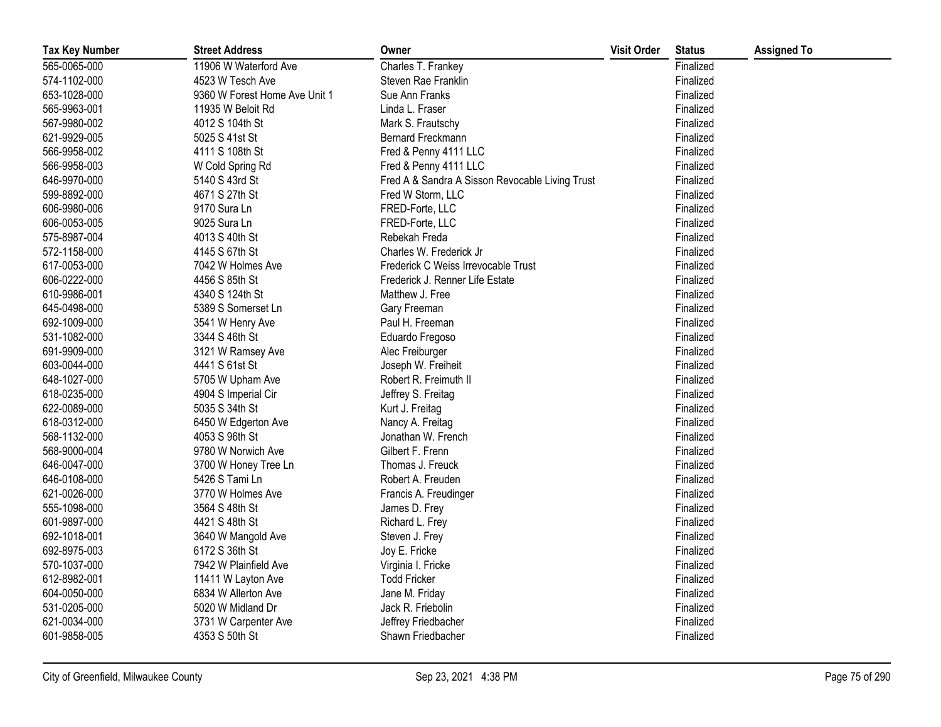| <b>Tax Key Number</b> | <b>Street Address</b>         | Owner                                           | <b>Visit Order</b> | <b>Status</b> | <b>Assigned To</b> |
|-----------------------|-------------------------------|-------------------------------------------------|--------------------|---------------|--------------------|
| 565-0065-000          | 11906 W Waterford Ave         | Charles T. Frankey                              |                    | Finalized     |                    |
| 574-1102-000          | 4523 W Tesch Ave              | Steven Rae Franklin                             |                    | Finalized     |                    |
| 653-1028-000          | 9360 W Forest Home Ave Unit 1 | Sue Ann Franks                                  |                    | Finalized     |                    |
| 565-9963-001          | 11935 W Beloit Rd             | Linda L. Fraser                                 |                    | Finalized     |                    |
| 567-9980-002          | 4012 S 104th St               | Mark S. Frautschy                               |                    | Finalized     |                    |
| 621-9929-005          | 5025 S 41st St                | Bernard Freckmann                               |                    | Finalized     |                    |
| 566-9958-002          | 4111 S 108th St               | Fred & Penny 4111 LLC                           |                    | Finalized     |                    |
| 566-9958-003          | W Cold Spring Rd              | Fred & Penny 4111 LLC                           |                    | Finalized     |                    |
| 646-9970-000          | 5140 S 43rd St                | Fred A & Sandra A Sisson Revocable Living Trust |                    | Finalized     |                    |
| 599-8892-000          | 4671 S 27th St                | Fred W Storm, LLC                               |                    | Finalized     |                    |
| 606-9980-006          | 9170 Sura Ln                  | FRED-Forte, LLC                                 |                    | Finalized     |                    |
| 606-0053-005          | 9025 Sura Ln                  | FRED-Forte, LLC                                 |                    | Finalized     |                    |
| 575-8987-004          | 4013 S 40th St                | Rebekah Freda                                   |                    | Finalized     |                    |
| 572-1158-000          | 4145 S 67th St                | Charles W. Frederick Jr                         |                    | Finalized     |                    |
| 617-0053-000          | 7042 W Holmes Ave             | Frederick C Weiss Irrevocable Trust             |                    | Finalized     |                    |
| 606-0222-000          | 4456 S 85th St                | Frederick J. Renner Life Estate                 |                    | Finalized     |                    |
| 610-9986-001          | 4340 S 124th St               | Matthew J. Free                                 |                    | Finalized     |                    |
| 645-0498-000          | 5389 S Somerset Ln            | Gary Freeman                                    |                    | Finalized     |                    |
| 692-1009-000          | 3541 W Henry Ave              | Paul H. Freeman                                 |                    | Finalized     |                    |
| 531-1082-000          | 3344 S 46th St                | Eduardo Fregoso                                 |                    | Finalized     |                    |
| 691-9909-000          | 3121 W Ramsey Ave             | Alec Freiburger                                 |                    | Finalized     |                    |
| 603-0044-000          | 4441 S 61st St                | Joseph W. Freiheit                              |                    | Finalized     |                    |
| 648-1027-000          | 5705 W Upham Ave              | Robert R. Freimuth II                           |                    | Finalized     |                    |
| 618-0235-000          | 4904 S Imperial Cir           | Jeffrey S. Freitag                              |                    | Finalized     |                    |
| 622-0089-000          | 5035 S 34th St                | Kurt J. Freitag                                 |                    | Finalized     |                    |
| 618-0312-000          | 6450 W Edgerton Ave           | Nancy A. Freitag                                |                    | Finalized     |                    |
| 568-1132-000          | 4053 S 96th St                | Jonathan W. French                              |                    | Finalized     |                    |
| 568-9000-004          | 9780 W Norwich Ave            | Gilbert F. Frenn                                |                    | Finalized     |                    |
| 646-0047-000          | 3700 W Honey Tree Ln          | Thomas J. Freuck                                |                    | Finalized     |                    |
| 646-0108-000          | 5426 S Tami Ln                | Robert A. Freuden                               |                    | Finalized     |                    |
| 621-0026-000          | 3770 W Holmes Ave             | Francis A. Freudinger                           |                    | Finalized     |                    |
| 555-1098-000          | 3564 S 48th St                | James D. Frey                                   |                    | Finalized     |                    |
| 601-9897-000          | 4421 S 48th St                | Richard L. Frey                                 |                    | Finalized     |                    |
| 692-1018-001          | 3640 W Mangold Ave            | Steven J. Frey                                  |                    | Finalized     |                    |
| 692-8975-003          | 6172 S 36th St                | Joy E. Fricke                                   |                    | Finalized     |                    |
| 570-1037-000          | 7942 W Plainfield Ave         | Virginia I. Fricke                              |                    | Finalized     |                    |
| 612-8982-001          | 11411 W Layton Ave            | <b>Todd Fricker</b>                             |                    | Finalized     |                    |
| 604-0050-000          | 6834 W Allerton Ave           | Jane M. Friday                                  |                    | Finalized     |                    |
| 531-0205-000          | 5020 W Midland Dr             | Jack R. Friebolin                               |                    | Finalized     |                    |
| 621-0034-000          | 3731 W Carpenter Ave          | Jeffrey Friedbacher                             |                    | Finalized     |                    |
| 601-9858-005          | 4353 S 50th St                | Shawn Friedbacher                               |                    | Finalized     |                    |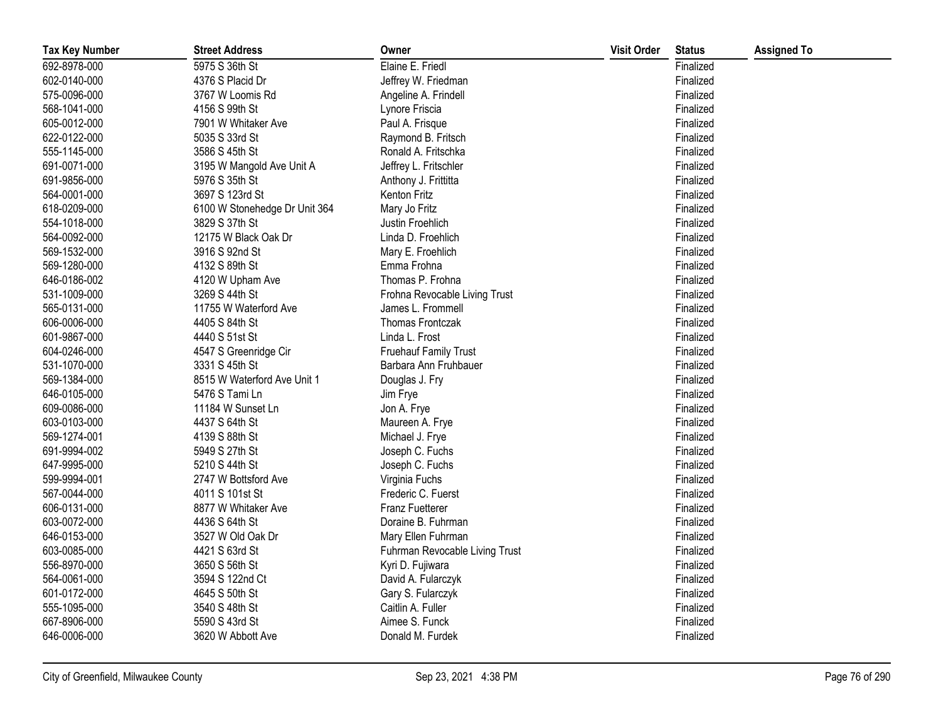| <b>Tax Key Number</b> | <b>Street Address</b>         | Owner                          | <b>Visit Order</b> | <b>Status</b> | <b>Assigned To</b> |
|-----------------------|-------------------------------|--------------------------------|--------------------|---------------|--------------------|
| 692-8978-000          | 5975 S 36th St                | Elaine E. Friedl               |                    | Finalized     |                    |
| 602-0140-000          | 4376 S Placid Dr              | Jeffrey W. Friedman            |                    | Finalized     |                    |
| 575-0096-000          | 3767 W Loomis Rd              | Angeline A. Frindell           |                    | Finalized     |                    |
| 568-1041-000          | 4156 S 99th St                | Lynore Friscia                 |                    | Finalized     |                    |
| 605-0012-000          | 7901 W Whitaker Ave           | Paul A. Frisque                |                    | Finalized     |                    |
| 622-0122-000          | 5035 S 33rd St                | Raymond B. Fritsch             |                    | Finalized     |                    |
| 555-1145-000          | 3586 S 45th St                | Ronald A. Fritschka            |                    | Finalized     |                    |
| 691-0071-000          | 3195 W Mangold Ave Unit A     | Jeffrey L. Fritschler          |                    | Finalized     |                    |
| 691-9856-000          | 5976 S 35th St                | Anthony J. Frittitta           |                    | Finalized     |                    |
| 564-0001-000          | 3697 S 123rd St               | Kenton Fritz                   |                    | Finalized     |                    |
| 618-0209-000          | 6100 W Stonehedge Dr Unit 364 | Mary Jo Fritz                  |                    | Finalized     |                    |
| 554-1018-000          | 3829 S 37th St                | Justin Froehlich               |                    | Finalized     |                    |
| 564-0092-000          | 12175 W Black Oak Dr          | Linda D. Froehlich             |                    | Finalized     |                    |
| 569-1532-000          | 3916 S 92nd St                | Mary E. Froehlich              |                    | Finalized     |                    |
| 569-1280-000          | 4132 S 89th St                | Emma Frohna                    |                    | Finalized     |                    |
| 646-0186-002          | 4120 W Upham Ave              | Thomas P. Frohna               |                    | Finalized     |                    |
| 531-1009-000          | 3269 S 44th St                | Frohna Revocable Living Trust  |                    | Finalized     |                    |
| 565-0131-000          | 11755 W Waterford Ave         | James L. Frommell              |                    | Finalized     |                    |
| 606-0006-000          | 4405 S 84th St                | Thomas Frontczak               |                    | Finalized     |                    |
| 601-9867-000          | 4440 S 51st St                | Linda L. Frost                 |                    | Finalized     |                    |
| 604-0246-000          | 4547 S Greenridge Cir         | <b>Fruehauf Family Trust</b>   |                    | Finalized     |                    |
| 531-1070-000          | 3331 S 45th St                | Barbara Ann Fruhbauer          |                    | Finalized     |                    |
| 569-1384-000          | 8515 W Waterford Ave Unit 1   | Douglas J. Fry                 |                    | Finalized     |                    |
| 646-0105-000          | 5476 S Tami Ln                | Jim Frye                       |                    | Finalized     |                    |
| 609-0086-000          | 11184 W Sunset Ln             | Jon A. Frye                    |                    | Finalized     |                    |
| 603-0103-000          | 4437 S 64th St                | Maureen A. Frye                |                    | Finalized     |                    |
| 569-1274-001          | 4139 S 88th St                | Michael J. Frye                |                    | Finalized     |                    |
| 691-9994-002          | 5949 S 27th St                | Joseph C. Fuchs                |                    | Finalized     |                    |
| 647-9995-000          | 5210 S 44th St                | Joseph C. Fuchs                |                    | Finalized     |                    |
| 599-9994-001          | 2747 W Bottsford Ave          | Virginia Fuchs                 |                    | Finalized     |                    |
| 567-0044-000          | 4011 S 101st St               | Frederic C. Fuerst             |                    | Finalized     |                    |
| 606-0131-000          | 8877 W Whitaker Ave           | <b>Franz Fuetterer</b>         |                    | Finalized     |                    |
| 603-0072-000          | 4436 S 64th St                | Doraine B. Fuhrman             |                    | Finalized     |                    |
| 646-0153-000          | 3527 W Old Oak Dr             | Mary Ellen Fuhrman             |                    | Finalized     |                    |
| 603-0085-000          | 4421 S 63rd St                | Fuhrman Revocable Living Trust |                    | Finalized     |                    |
| 556-8970-000          | 3650 S 56th St                | Kyri D. Fujiwara               |                    | Finalized     |                    |
| 564-0061-000          | 3594 S 122nd Ct               | David A. Fularczyk             |                    | Finalized     |                    |
| 601-0172-000          | 4645 S 50th St                | Gary S. Fularczyk              |                    | Finalized     |                    |
| 555-1095-000          | 3540 S 48th St                | Caitlin A. Fuller              |                    | Finalized     |                    |
| 667-8906-000          | 5590 S 43rd St                | Aimee S. Funck                 |                    | Finalized     |                    |
| 646-0006-000          | 3620 W Abbott Ave             | Donald M. Furdek               |                    | Finalized     |                    |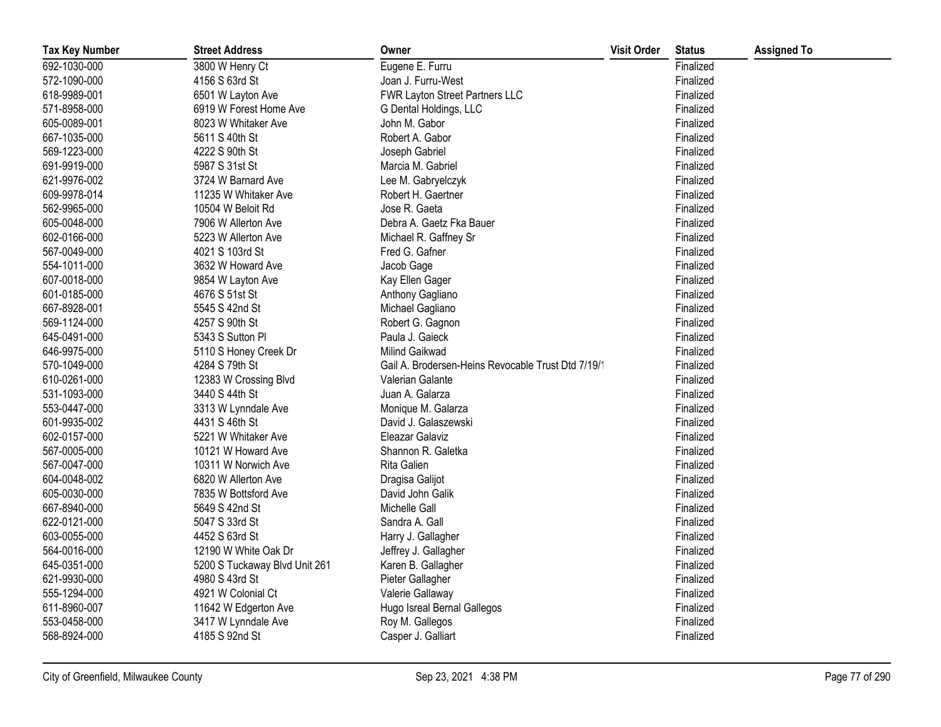| <b>Tax Key Number</b> | <b>Street Address</b>         | Owner                                              | <b>Visit Order</b> | <b>Status</b> | <b>Assigned To</b> |
|-----------------------|-------------------------------|----------------------------------------------------|--------------------|---------------|--------------------|
| 692-1030-000          | 3800 W Henry Ct               | Eugene E. Furru                                    |                    | Finalized     |                    |
| 572-1090-000          | 4156 S 63rd St                | Joan J. Furru-West                                 |                    | Finalized     |                    |
| 618-9989-001          | 6501 W Layton Ave             | FWR Layton Street Partners LLC                     |                    | Finalized     |                    |
| 571-8958-000          | 6919 W Forest Home Ave        | G Dental Holdings, LLC                             |                    | Finalized     |                    |
| 605-0089-001          | 8023 W Whitaker Ave           | John M. Gabor                                      |                    | Finalized     |                    |
| 667-1035-000          | 5611 S 40th St                | Robert A. Gabor                                    |                    | Finalized     |                    |
| 569-1223-000          | 4222 S 90th St                | Joseph Gabriel                                     |                    | Finalized     |                    |
| 691-9919-000          | 5987 S 31st St                | Marcia M. Gabriel                                  |                    | Finalized     |                    |
| 621-9976-002          | 3724 W Barnard Ave            | Lee M. Gabryelczyk                                 |                    | Finalized     |                    |
| 609-9978-014          | 11235 W Whitaker Ave          | Robert H. Gaertner                                 |                    | Finalized     |                    |
| 562-9965-000          | 10504 W Beloit Rd             | Jose R. Gaeta                                      |                    | Finalized     |                    |
| 605-0048-000          | 7906 W Allerton Ave           | Debra A. Gaetz Fka Bauer                           |                    | Finalized     |                    |
| 602-0166-000          | 5223 W Allerton Ave           | Michael R. Gaffney Sr                              |                    | Finalized     |                    |
| 567-0049-000          | 4021 S 103rd St               | Fred G. Gafner                                     |                    | Finalized     |                    |
| 554-1011-000          | 3632 W Howard Ave             | Jacob Gage                                         |                    | Finalized     |                    |
| 607-0018-000          | 9854 W Layton Ave             | Kay Ellen Gager                                    |                    | Finalized     |                    |
| 601-0185-000          | 4676 S 51st St                | Anthony Gagliano                                   |                    | Finalized     |                    |
| 667-8928-001          | 5545 S 42nd St                | Michael Gagliano                                   |                    | Finalized     |                    |
| 569-1124-000          | 4257 S 90th St                | Robert G. Gagnon                                   |                    | Finalized     |                    |
| 645-0491-000          | 5343 S Sutton Pl              | Paula J. Gaieck                                    |                    | Finalized     |                    |
| 646-9975-000          | 5110 S Honey Creek Dr         | Milind Gaikwad                                     |                    | Finalized     |                    |
| 570-1049-000          | 4284 S 79th St                | Gail A. Brodersen-Heins Revocable Trust Dtd 7/19/1 |                    | Finalized     |                    |
| 610-0261-000          | 12383 W Crossing Blvd         | Valerian Galante                                   |                    | Finalized     |                    |
| 531-1093-000          | 3440 S 44th St                | Juan A. Galarza                                    |                    | Finalized     |                    |
| 553-0447-000          | 3313 W Lynndale Ave           | Monique M. Galarza                                 |                    | Finalized     |                    |
| 601-9935-002          | 4431 S 46th St                | David J. Galaszewski                               |                    | Finalized     |                    |
| 602-0157-000          | 5221 W Whitaker Ave           | Eleazar Galaviz                                    |                    | Finalized     |                    |
| 567-0005-000          | 10121 W Howard Ave            | Shannon R. Galetka                                 |                    | Finalized     |                    |
| 567-0047-000          | 10311 W Norwich Ave           | Rita Galien                                        |                    | Finalized     |                    |
| 604-0048-002          | 6820 W Allerton Ave           | Dragisa Galijot                                    |                    | Finalized     |                    |
| 605-0030-000          | 7835 W Bottsford Ave          | David John Galik                                   |                    | Finalized     |                    |
| 667-8940-000          | 5649 S 42nd St                | Michelle Gall                                      |                    | Finalized     |                    |
| 622-0121-000          | 5047 S 33rd St                | Sandra A. Gall                                     |                    | Finalized     |                    |
| 603-0055-000          | 4452 S 63rd St                | Harry J. Gallagher                                 |                    | Finalized     |                    |
| 564-0016-000          | 12190 W White Oak Dr          | Jeffrey J. Gallagher                               |                    | Finalized     |                    |
| 645-0351-000          | 5200 S Tuckaway Blvd Unit 261 | Karen B. Gallagher                                 |                    | Finalized     |                    |
| 621-9930-000          | 4980 S 43rd St                | Pieter Gallagher                                   |                    | Finalized     |                    |
| 555-1294-000          | 4921 W Colonial Ct            | Valerie Gallaway                                   |                    | Finalized     |                    |
| 611-8960-007          | 11642 W Edgerton Ave          | Hugo Isreal Bernal Gallegos                        |                    | Finalized     |                    |
| 553-0458-000          | 3417 W Lynndale Ave           | Roy M. Gallegos                                    |                    | Finalized     |                    |
| 568-8924-000          | 4185 S 92nd St                | Casper J. Galliart                                 |                    | Finalized     |                    |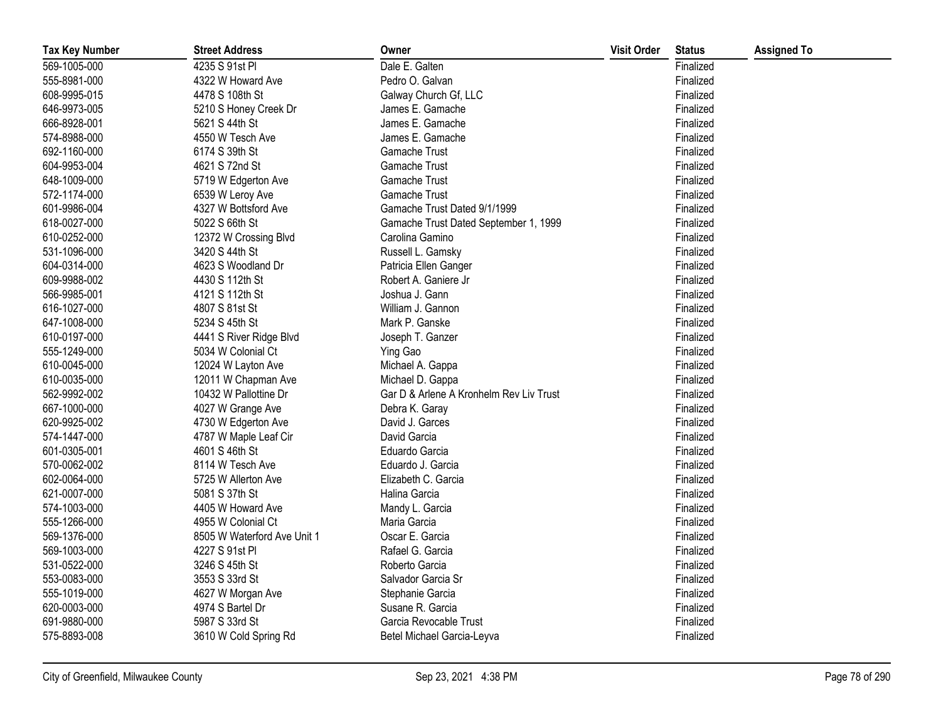| <b>Tax Key Number</b> | <b>Street Address</b>       | Owner                                   | <b>Visit Order</b> | <b>Status</b> | <b>Assigned To</b> |
|-----------------------|-----------------------------|-----------------------------------------|--------------------|---------------|--------------------|
| 569-1005-000          | 4235 S 91st Pl              | Dale E. Galten                          |                    | Finalized     |                    |
| 555-8981-000          | 4322 W Howard Ave           | Pedro O. Galvan                         |                    | Finalized     |                    |
| 608-9995-015          | 4478 S 108th St             | Galway Church Gf, LLC                   |                    | Finalized     |                    |
| 646-9973-005          | 5210 S Honey Creek Dr       | James E. Gamache                        |                    | Finalized     |                    |
| 666-8928-001          | 5621 S 44th St              | James E. Gamache                        |                    | Finalized     |                    |
| 574-8988-000          | 4550 W Tesch Ave            | James E. Gamache                        |                    | Finalized     |                    |
| 692-1160-000          | 6174 S 39th St              | Gamache Trust                           |                    | Finalized     |                    |
| 604-9953-004          | 4621 S 72nd St              | Gamache Trust                           |                    | Finalized     |                    |
| 648-1009-000          | 5719 W Edgerton Ave         | Gamache Trust                           |                    | Finalized     |                    |
| 572-1174-000          | 6539 W Leroy Ave            | Gamache Trust                           |                    | Finalized     |                    |
| 601-9986-004          | 4327 W Bottsford Ave        | Gamache Trust Dated 9/1/1999            |                    | Finalized     |                    |
| 618-0027-000          | 5022 S 66th St              | Gamache Trust Dated September 1, 1999   |                    | Finalized     |                    |
| 610-0252-000          | 12372 W Crossing Blvd       | Carolina Gamino                         |                    | Finalized     |                    |
| 531-1096-000          | 3420 S 44th St              | Russell L. Gamsky                       |                    | Finalized     |                    |
| 604-0314-000          | 4623 S Woodland Dr          | Patricia Ellen Ganger                   |                    | Finalized     |                    |
| 609-9988-002          | 4430 S 112th St             | Robert A. Ganiere Jr                    |                    | Finalized     |                    |
| 566-9985-001          | 4121 S 112th St             | Joshua J. Gann                          |                    | Finalized     |                    |
| 616-1027-000          | 4807 S 81st St              | William J. Gannon                       |                    | Finalized     |                    |
| 647-1008-000          | 5234 S 45th St              | Mark P. Ganske                          |                    | Finalized     |                    |
| 610-0197-000          | 4441 S River Ridge Blvd     | Joseph T. Ganzer                        |                    | Finalized     |                    |
| 555-1249-000          | 5034 W Colonial Ct          | Ying Gao                                |                    | Finalized     |                    |
| 610-0045-000          | 12024 W Layton Ave          | Michael A. Gappa                        |                    | Finalized     |                    |
| 610-0035-000          | 12011 W Chapman Ave         | Michael D. Gappa                        |                    | Finalized     |                    |
| 562-9992-002          | 10432 W Pallottine Dr       | Gar D & Arlene A Kronhelm Rev Liv Trust |                    | Finalized     |                    |
| 667-1000-000          | 4027 W Grange Ave           | Debra K. Garay                          |                    | Finalized     |                    |
| 620-9925-002          | 4730 W Edgerton Ave         | David J. Garces                         |                    | Finalized     |                    |
| 574-1447-000          | 4787 W Maple Leaf Cir       | David Garcia                            |                    | Finalized     |                    |
| 601-0305-001          | 4601 S 46th St              | Eduardo Garcia                          |                    | Finalized     |                    |
| 570-0062-002          | 8114 W Tesch Ave            | Eduardo J. Garcia                       |                    | Finalized     |                    |
| 602-0064-000          | 5725 W Allerton Ave         | Elizabeth C. Garcia                     |                    | Finalized     |                    |
| 621-0007-000          | 5081 S 37th St              | Halina Garcia                           |                    | Finalized     |                    |
| 574-1003-000          | 4405 W Howard Ave           | Mandy L. Garcia                         |                    | Finalized     |                    |
| 555-1266-000          | 4955 W Colonial Ct          | Maria Garcia                            |                    | Finalized     |                    |
| 569-1376-000          | 8505 W Waterford Ave Unit 1 | Oscar E. Garcia                         |                    | Finalized     |                    |
| 569-1003-000          | 4227 S 91st Pl              | Rafael G. Garcia                        |                    | Finalized     |                    |
| 531-0522-000          | 3246 S 45th St              | Roberto Garcia                          |                    | Finalized     |                    |
| 553-0083-000          | 3553 S 33rd St              | Salvador Garcia Sr                      |                    | Finalized     |                    |
| 555-1019-000          | 4627 W Morgan Ave           | Stephanie Garcia                        |                    | Finalized     |                    |
| 620-0003-000          | 4974 S Bartel Dr            | Susane R. Garcia                        |                    | Finalized     |                    |
| 691-9880-000          | 5987 S 33rd St              | Garcia Revocable Trust                  |                    | Finalized     |                    |
| 575-8893-008          | 3610 W Cold Spring Rd       | Betel Michael Garcia-Leyva              |                    | Finalized     |                    |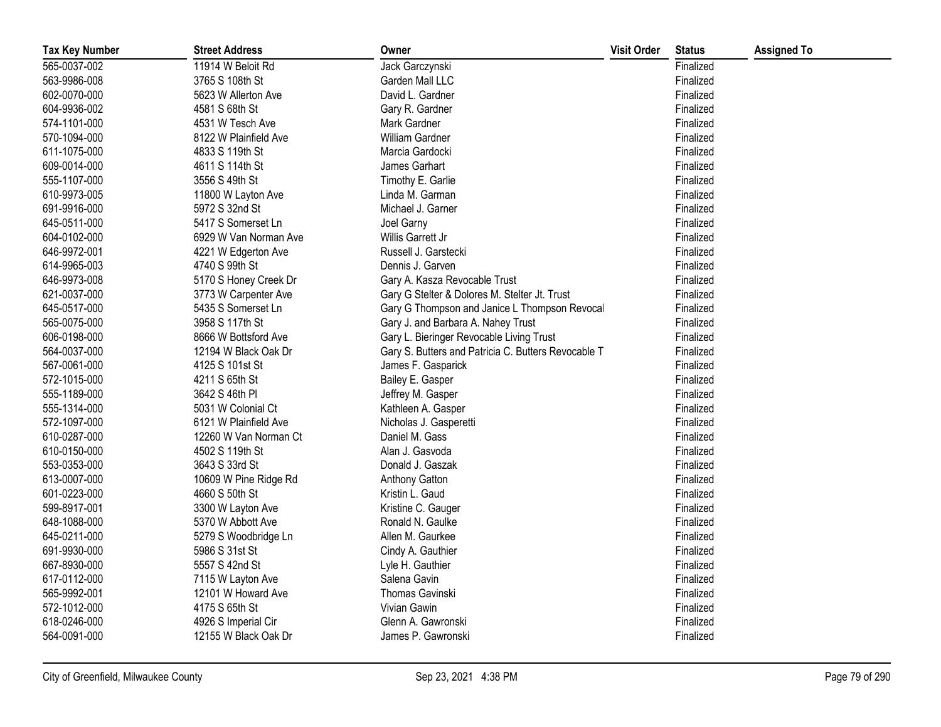| <b>Tax Key Number</b> | <b>Street Address</b> | Owner                                               | <b>Visit Order</b> | <b>Status</b> | <b>Assigned To</b> |
|-----------------------|-----------------------|-----------------------------------------------------|--------------------|---------------|--------------------|
| 565-0037-002          | 11914 W Beloit Rd     | Jack Garczynski                                     |                    | Finalized     |                    |
| 563-9986-008          | 3765 S 108th St       | Garden Mall LLC                                     |                    | Finalized     |                    |
| 602-0070-000          | 5623 W Allerton Ave   | David L. Gardner                                    |                    | Finalized     |                    |
| 604-9936-002          | 4581 S 68th St        | Gary R. Gardner                                     |                    | Finalized     |                    |
| 574-1101-000          | 4531 W Tesch Ave      | Mark Gardner                                        |                    | Finalized     |                    |
| 570-1094-000          | 8122 W Plainfield Ave | William Gardner                                     |                    | Finalized     |                    |
| 611-1075-000          | 4833 S 119th St       | Marcia Gardocki                                     |                    | Finalized     |                    |
| 609-0014-000          | 4611 S 114th St       | James Garhart                                       |                    | Finalized     |                    |
| 555-1107-000          | 3556 S 49th St        | Timothy E. Garlie                                   |                    | Finalized     |                    |
| 610-9973-005          | 11800 W Layton Ave    | Linda M. Garman                                     |                    | Finalized     |                    |
| 691-9916-000          | 5972 S 32nd St        | Michael J. Garner                                   |                    | Finalized     |                    |
| 645-0511-000          | 5417 S Somerset Ln    | Joel Garny                                          |                    | Finalized     |                    |
| 604-0102-000          | 6929 W Van Norman Ave | Willis Garrett Jr                                   |                    | Finalized     |                    |
| 646-9972-001          | 4221 W Edgerton Ave   | Russell J. Garstecki                                |                    | Finalized     |                    |
| 614-9965-003          | 4740 S 99th St        | Dennis J. Garven                                    |                    | Finalized     |                    |
| 646-9973-008          | 5170 S Honey Creek Dr | Gary A. Kasza Revocable Trust                       |                    | Finalized     |                    |
| 621-0037-000          | 3773 W Carpenter Ave  | Gary G Stelter & Dolores M. Stelter Jt. Trust       |                    | Finalized     |                    |
| 645-0517-000          | 5435 S Somerset Ln    | Gary G Thompson and Janice L Thompson Revocal       |                    | Finalized     |                    |
| 565-0075-000          | 3958 S 117th St       | Gary J. and Barbara A. Nahey Trust                  |                    | Finalized     |                    |
| 606-0198-000          | 8666 W Bottsford Ave  | Gary L. Bieringer Revocable Living Trust            |                    | Finalized     |                    |
| 564-0037-000          | 12194 W Black Oak Dr  | Gary S. Butters and Patricia C. Butters Revocable T |                    | Finalized     |                    |
| 567-0061-000          | 4125 S 101st St       | James F. Gasparick                                  |                    | Finalized     |                    |
| 572-1015-000          | 4211 S 65th St        | Bailey E. Gasper                                    |                    | Finalized     |                    |
| 555-1189-000          | 3642 S 46th PI        | Jeffrey M. Gasper                                   |                    | Finalized     |                    |
| 555-1314-000          | 5031 W Colonial Ct    | Kathleen A. Gasper                                  |                    | Finalized     |                    |
| 572-1097-000          | 6121 W Plainfield Ave | Nicholas J. Gasperetti                              |                    | Finalized     |                    |
| 610-0287-000          | 12260 W Van Norman Ct | Daniel M. Gass                                      |                    | Finalized     |                    |
| 610-0150-000          | 4502 S 119th St       | Alan J. Gasvoda                                     |                    | Finalized     |                    |
| 553-0353-000          | 3643 S 33rd St        | Donald J. Gaszak                                    |                    | Finalized     |                    |
| 613-0007-000          | 10609 W Pine Ridge Rd | Anthony Gatton                                      |                    | Finalized     |                    |
| 601-0223-000          | 4660 S 50th St        | Kristin L. Gaud                                     |                    | Finalized     |                    |
| 599-8917-001          | 3300 W Layton Ave     | Kristine C. Gauger                                  |                    | Finalized     |                    |
| 648-1088-000          | 5370 W Abbott Ave     | Ronald N. Gaulke                                    |                    | Finalized     |                    |
| 645-0211-000          | 5279 S Woodbridge Ln  | Allen M. Gaurkee                                    |                    | Finalized     |                    |
| 691-9930-000          | 5986 S 31st St        | Cindy A. Gauthier                                   |                    | Finalized     |                    |
| 667-8930-000          | 5557 S 42nd St        | Lyle H. Gauthier                                    |                    | Finalized     |                    |
| 617-0112-000          | 7115 W Layton Ave     | Salena Gavin                                        |                    | Finalized     |                    |
| 565-9992-001          | 12101 W Howard Ave    | Thomas Gavinski                                     |                    | Finalized     |                    |
| 572-1012-000          | 4175 S 65th St        | Vivian Gawin                                        |                    | Finalized     |                    |
| 618-0246-000          | 4926 S Imperial Cir   | Glenn A. Gawronski                                  |                    | Finalized     |                    |
| 564-0091-000          | 12155 W Black Oak Dr  | James P. Gawronski                                  |                    | Finalized     |                    |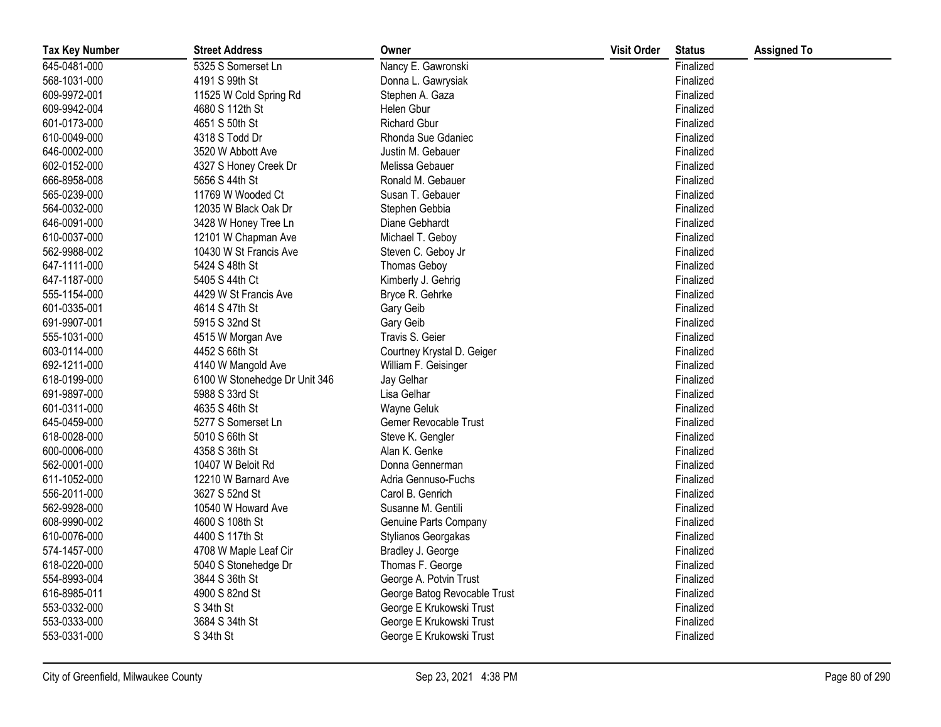| <b>Tax Key Number</b> | <b>Street Address</b>         | Owner                        | <b>Visit Order</b> | <b>Status</b> | <b>Assigned To</b> |
|-----------------------|-------------------------------|------------------------------|--------------------|---------------|--------------------|
| 645-0481-000          | 5325 S Somerset Ln            | Nancy E. Gawronski           |                    | Finalized     |                    |
| 568-1031-000          | 4191 S 99th St                | Donna L. Gawrysiak           |                    | Finalized     |                    |
| 609-9972-001          | 11525 W Cold Spring Rd        | Stephen A. Gaza              |                    | Finalized     |                    |
| 609-9942-004          | 4680 S 112th St               | Helen Gbur                   |                    | Finalized     |                    |
| 601-0173-000          | 4651 S 50th St                | <b>Richard Gbur</b>          |                    | Finalized     |                    |
| 610-0049-000          | 4318 S Todd Dr                | Rhonda Sue Gdaniec           |                    | Finalized     |                    |
| 646-0002-000          | 3520 W Abbott Ave             | Justin M. Gebauer            |                    | Finalized     |                    |
| 602-0152-000          | 4327 S Honey Creek Dr         | Melissa Gebauer              |                    | Finalized     |                    |
| 666-8958-008          | 5656 S 44th St                | Ronald M. Gebauer            |                    | Finalized     |                    |
| 565-0239-000          | 11769 W Wooded Ct             | Susan T. Gebauer             |                    | Finalized     |                    |
| 564-0032-000          | 12035 W Black Oak Dr          | Stephen Gebbia               |                    | Finalized     |                    |
| 646-0091-000          | 3428 W Honey Tree Ln          | Diane Gebhardt               |                    | Finalized     |                    |
| 610-0037-000          | 12101 W Chapman Ave           | Michael T. Geboy             |                    | Finalized     |                    |
| 562-9988-002          | 10430 W St Francis Ave        | Steven C. Geboy Jr           |                    | Finalized     |                    |
| 647-1111-000          | 5424 S 48th St                | <b>Thomas Geboy</b>          |                    | Finalized     |                    |
| 647-1187-000          | 5405 S 44th Ct                | Kimberly J. Gehrig           |                    | Finalized     |                    |
| 555-1154-000          | 4429 W St Francis Ave         | Bryce R. Gehrke              |                    | Finalized     |                    |
| 601-0335-001          | 4614 S 47th St                | Gary Geib                    |                    | Finalized     |                    |
| 691-9907-001          | 5915 S 32nd St                | Gary Geib                    |                    | Finalized     |                    |
| 555-1031-000          | 4515 W Morgan Ave             | Travis S. Geier              |                    | Finalized     |                    |
| 603-0114-000          | 4452 S 66th St                | Courtney Krystal D. Geiger   |                    | Finalized     |                    |
| 692-1211-000          | 4140 W Mangold Ave            | William F. Geisinger         |                    | Finalized     |                    |
| 618-0199-000          | 6100 W Stonehedge Dr Unit 346 | Jay Gelhar                   |                    | Finalized     |                    |
| 691-9897-000          | 5988 S 33rd St                | Lisa Gelhar                  |                    | Finalized     |                    |
| 601-0311-000          | 4635 S 46th St                | Wayne Geluk                  |                    | Finalized     |                    |
| 645-0459-000          | 5277 S Somerset Ln            | Gemer Revocable Trust        |                    | Finalized     |                    |
| 618-0028-000          | 5010 S 66th St                | Steve K. Gengler             |                    | Finalized     |                    |
| 600-0006-000          | 4358 S 36th St                | Alan K. Genke                |                    | Finalized     |                    |
| 562-0001-000          | 10407 W Beloit Rd             | Donna Gennerman              |                    | Finalized     |                    |
| 611-1052-000          | 12210 W Barnard Ave           | Adria Gennuso-Fuchs          |                    | Finalized     |                    |
| 556-2011-000          | 3627 S 52nd St                | Carol B. Genrich             |                    | Finalized     |                    |
| 562-9928-000          | 10540 W Howard Ave            | Susanne M. Gentili           |                    | Finalized     |                    |
| 608-9990-002          | 4600 S 108th St               | Genuine Parts Company        |                    | Finalized     |                    |
| 610-0076-000          | 4400 S 117th St               | Stylianos Georgakas          |                    | Finalized     |                    |
| 574-1457-000          | 4708 W Maple Leaf Cir         | Bradley J. George            |                    | Finalized     |                    |
| 618-0220-000          | 5040 S Stonehedge Dr          | Thomas F. George             |                    | Finalized     |                    |
| 554-8993-004          | 3844 S 36th St                | George A. Potvin Trust       |                    | Finalized     |                    |
| 616-8985-011          | 4900 S 82nd St                | George Batog Revocable Trust |                    | Finalized     |                    |
| 553-0332-000          | S 34th St                     | George E Krukowski Trust     |                    | Finalized     |                    |
| 553-0333-000          | 3684 S 34th St                | George E Krukowski Trust     |                    | Finalized     |                    |
| 553-0331-000          | S 34th St                     | George E Krukowski Trust     |                    | Finalized     |                    |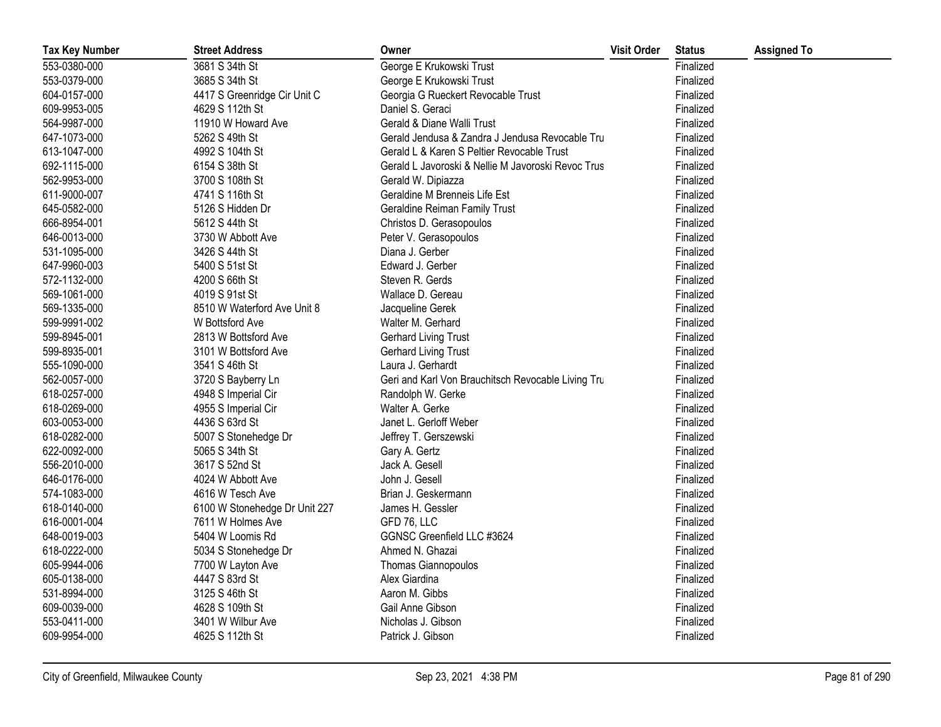| <b>Tax Key Number</b> | <b>Street Address</b>         | Owner                                              | <b>Visit Order</b> | <b>Status</b> | <b>Assigned To</b> |
|-----------------------|-------------------------------|----------------------------------------------------|--------------------|---------------|--------------------|
| 553-0380-000          | 3681 S 34th St                | George E Krukowski Trust                           |                    | Finalized     |                    |
| 553-0379-000          | 3685 S 34th St                | George E Krukowski Trust                           |                    | Finalized     |                    |
| 604-0157-000          | 4417 S Greenridge Cir Unit C  | Georgia G Rueckert Revocable Trust                 |                    | Finalized     |                    |
| 609-9953-005          | 4629 S 112th St               | Daniel S. Geraci                                   |                    | Finalized     |                    |
| 564-9987-000          | 11910 W Howard Ave            | Gerald & Diane Walli Trust                         |                    | Finalized     |                    |
| 647-1073-000          | 5262 S 49th St                | Gerald Jendusa & Zandra J Jendusa Revocable Tru    |                    | Finalized     |                    |
| 613-1047-000          | 4992 S 104th St               | Gerald L & Karen S Peltier Revocable Trust         |                    | Finalized     |                    |
| 692-1115-000          | 6154 S 38th St                | Gerald L Javoroski & Nellie M Javoroski Revoc Trus |                    | Finalized     |                    |
| 562-9953-000          | 3700 S 108th St               | Gerald W. Dipiazza                                 |                    | Finalized     |                    |
| 611-9000-007          | 4741 S 116th St               | Geraldine M Brenneis Life Est                      |                    | Finalized     |                    |
| 645-0582-000          | 5126 S Hidden Dr              | Geraldine Reiman Family Trust                      |                    | Finalized     |                    |
| 666-8954-001          | 5612 S 44th St                | Christos D. Gerasopoulos                           |                    | Finalized     |                    |
| 646-0013-000          | 3730 W Abbott Ave             | Peter V. Gerasopoulos                              |                    | Finalized     |                    |
| 531-1095-000          | 3426 S 44th St                | Diana J. Gerber                                    |                    | Finalized     |                    |
| 647-9960-003          | 5400 S 51st St                | Edward J. Gerber                                   |                    | Finalized     |                    |
| 572-1132-000          | 4200 S 66th St                | Steven R. Gerds                                    |                    | Finalized     |                    |
| 569-1061-000          | 4019 S 91st St                | Wallace D. Gereau                                  |                    | Finalized     |                    |
| 569-1335-000          | 8510 W Waterford Ave Unit 8   | Jacqueline Gerek                                   |                    | Finalized     |                    |
| 599-9991-002          | W Bottsford Ave               | Walter M. Gerhard                                  |                    | Finalized     |                    |
| 599-8945-001          | 2813 W Bottsford Ave          | <b>Gerhard Living Trust</b>                        |                    | Finalized     |                    |
| 599-8935-001          | 3101 W Bottsford Ave          | <b>Gerhard Living Trust</b>                        |                    | Finalized     |                    |
| 555-1090-000          | 3541 S 46th St                | Laura J. Gerhardt                                  |                    | Finalized     |                    |
| 562-0057-000          | 3720 S Bayberry Ln            | Geri and Karl Von Brauchitsch Revocable Living Tru |                    | Finalized     |                    |
| 618-0257-000          | 4948 S Imperial Cir           | Randolph W. Gerke                                  |                    | Finalized     |                    |
| 618-0269-000          | 4955 S Imperial Cir           | Walter A. Gerke                                    |                    | Finalized     |                    |
| 603-0053-000          | 4436 S 63rd St                | Janet L. Gerloff Weber                             |                    | Finalized     |                    |
| 618-0282-000          | 5007 S Stonehedge Dr          | Jeffrey T. Gerszewski                              |                    | Finalized     |                    |
| 622-0092-000          | 5065 S 34th St                | Gary A. Gertz                                      |                    | Finalized     |                    |
| 556-2010-000          | 3617 S 52nd St                | Jack A. Gesell                                     |                    | Finalized     |                    |
| 646-0176-000          | 4024 W Abbott Ave             | John J. Gesell                                     |                    | Finalized     |                    |
| 574-1083-000          | 4616 W Tesch Ave              | Brian J. Geskermann                                |                    | Finalized     |                    |
| 618-0140-000          | 6100 W Stonehedge Dr Unit 227 | James H. Gessler                                   |                    | Finalized     |                    |
| 616-0001-004          | 7611 W Holmes Ave             | GFD 76, LLC                                        |                    | Finalized     |                    |
| 648-0019-003          | 5404 W Loomis Rd              | GGNSC Greenfield LLC #3624                         |                    | Finalized     |                    |
| 618-0222-000          | 5034 S Stonehedge Dr          | Ahmed N. Ghazai                                    |                    | Finalized     |                    |
| 605-9944-006          | 7700 W Layton Ave             | <b>Thomas Giannopoulos</b>                         |                    | Finalized     |                    |
| 605-0138-000          | 4447 S 83rd St                | Alex Giardina                                      |                    | Finalized     |                    |
| 531-8994-000          | 3125 S 46th St                | Aaron M. Gibbs                                     |                    | Finalized     |                    |
| 609-0039-000          | 4628 S 109th St               | Gail Anne Gibson                                   |                    | Finalized     |                    |
| 553-0411-000          | 3401 W Wilbur Ave             | Nicholas J. Gibson                                 |                    | Finalized     |                    |
| 609-9954-000          | 4625 S 112th St               | Patrick J. Gibson                                  |                    | Finalized     |                    |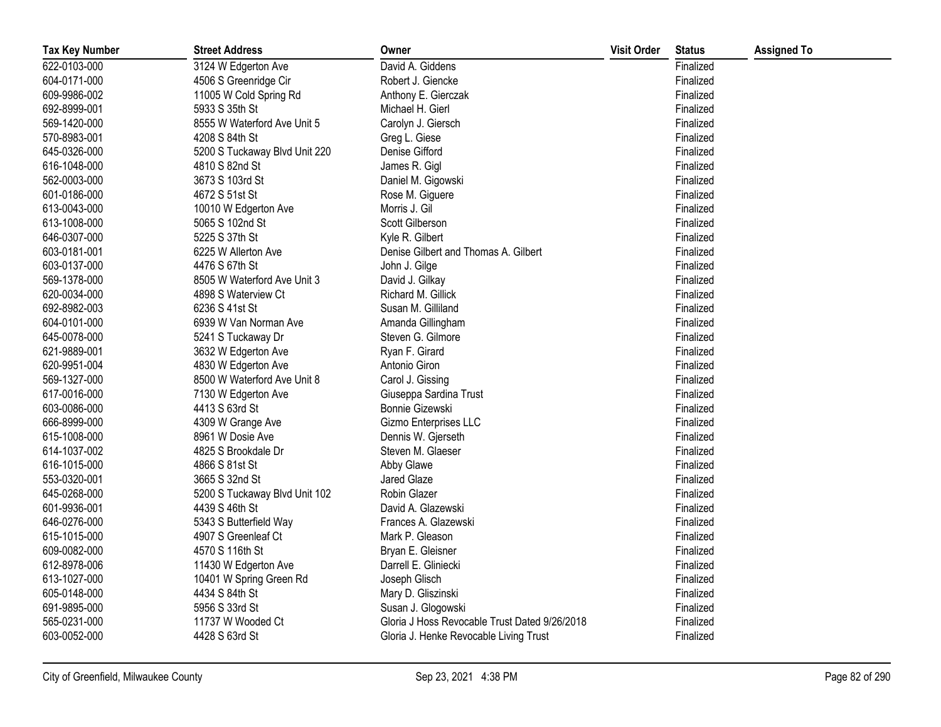| <b>Tax Key Number</b> | <b>Street Address</b>         | Owner                                         | <b>Visit Order</b> | <b>Status</b> | <b>Assigned To</b> |
|-----------------------|-------------------------------|-----------------------------------------------|--------------------|---------------|--------------------|
| 622-0103-000          | 3124 W Edgerton Ave           | David A. Giddens                              |                    | Finalized     |                    |
| 604-0171-000          | 4506 S Greenridge Cir         | Robert J. Giencke                             |                    | Finalized     |                    |
| 609-9986-002          | 11005 W Cold Spring Rd        | Anthony E. Gierczak                           |                    | Finalized     |                    |
| 692-8999-001          | 5933 S 35th St                | Michael H. Gierl                              |                    | Finalized     |                    |
| 569-1420-000          | 8555 W Waterford Ave Unit 5   | Carolyn J. Giersch                            |                    | Finalized     |                    |
| 570-8983-001          | 4208 S 84th St                | Greg L. Giese                                 |                    | Finalized     |                    |
| 645-0326-000          | 5200 S Tuckaway Blvd Unit 220 | Denise Gifford                                |                    | Finalized     |                    |
| 616-1048-000          | 4810 S 82nd St                | James R. Gigl                                 |                    | Finalized     |                    |
| 562-0003-000          | 3673 S 103rd St               | Daniel M. Gigowski                            |                    | Finalized     |                    |
| 601-0186-000          | 4672 S 51st St                | Rose M. Giguere                               |                    | Finalized     |                    |
| 613-0043-000          | 10010 W Edgerton Ave          | Morris J. Gil                                 |                    | Finalized     |                    |
| 613-1008-000          | 5065 S 102nd St               | Scott Gilberson                               |                    | Finalized     |                    |
| 646-0307-000          | 5225 S 37th St                | Kyle R. Gilbert                               |                    | Finalized     |                    |
| 603-0181-001          | 6225 W Allerton Ave           | Denise Gilbert and Thomas A. Gilbert          |                    | Finalized     |                    |
| 603-0137-000          | 4476 S 67th St                | John J. Gilge                                 |                    | Finalized     |                    |
| 569-1378-000          | 8505 W Waterford Ave Unit 3   | David J. Gilkay                               |                    | Finalized     |                    |
| 620-0034-000          | 4898 S Waterview Ct           | Richard M. Gillick                            |                    | Finalized     |                    |
| 692-8982-003          | 6236 S 41st St                | Susan M. Gilliland                            |                    | Finalized     |                    |
| 604-0101-000          | 6939 W Van Norman Ave         | Amanda Gillingham                             |                    | Finalized     |                    |
| 645-0078-000          | 5241 S Tuckaway Dr            | Steven G. Gilmore                             |                    | Finalized     |                    |
| 621-9889-001          | 3632 W Edgerton Ave           | Ryan F. Girard                                |                    | Finalized     |                    |
| 620-9951-004          | 4830 W Edgerton Ave           | Antonio Giron                                 |                    | Finalized     |                    |
| 569-1327-000          | 8500 W Waterford Ave Unit 8   | Carol J. Gissing                              |                    | Finalized     |                    |
| 617-0016-000          | 7130 W Edgerton Ave           | Giuseppa Sardina Trust                        |                    | Finalized     |                    |
| 603-0086-000          | 4413 S 63rd St                | Bonnie Gizewski                               |                    | Finalized     |                    |
| 666-8999-000          | 4309 W Grange Ave             | Gizmo Enterprises LLC                         |                    | Finalized     |                    |
| 615-1008-000          | 8961 W Dosie Ave              | Dennis W. Gjerseth                            |                    | Finalized     |                    |
| 614-1037-002          | 4825 S Brookdale Dr           | Steven M. Glaeser                             |                    | Finalized     |                    |
| 616-1015-000          | 4866 S 81st St                | Abby Glawe                                    |                    | Finalized     |                    |
| 553-0320-001          | 3665 S 32nd St                | Jared Glaze                                   |                    | Finalized     |                    |
| 645-0268-000          | 5200 S Tuckaway Blvd Unit 102 | Robin Glazer                                  |                    | Finalized     |                    |
| 601-9936-001          | 4439 S 46th St                | David A. Glazewski                            |                    | Finalized     |                    |
| 646-0276-000          | 5343 S Butterfield Way        | Frances A. Glazewski                          |                    | Finalized     |                    |
| 615-1015-000          | 4907 S Greenleaf Ct           | Mark P. Gleason                               |                    | Finalized     |                    |
| 609-0082-000          | 4570 S 116th St               | Bryan E. Gleisner                             |                    | Finalized     |                    |
| 612-8978-006          | 11430 W Edgerton Ave          | Darrell E. Gliniecki                          |                    | Finalized     |                    |
| 613-1027-000          | 10401 W Spring Green Rd       | Joseph Glisch                                 |                    | Finalized     |                    |
| 605-0148-000          | 4434 S 84th St                | Mary D. Gliszinski                            |                    | Finalized     |                    |
| 691-9895-000          | 5956 S 33rd St                | Susan J. Glogowski                            |                    | Finalized     |                    |
| 565-0231-000          | 11737 W Wooded Ct             | Gloria J Hoss Revocable Trust Dated 9/26/2018 |                    | Finalized     |                    |
| 603-0052-000          | 4428 S 63rd St                | Gloria J. Henke Revocable Living Trust        |                    | Finalized     |                    |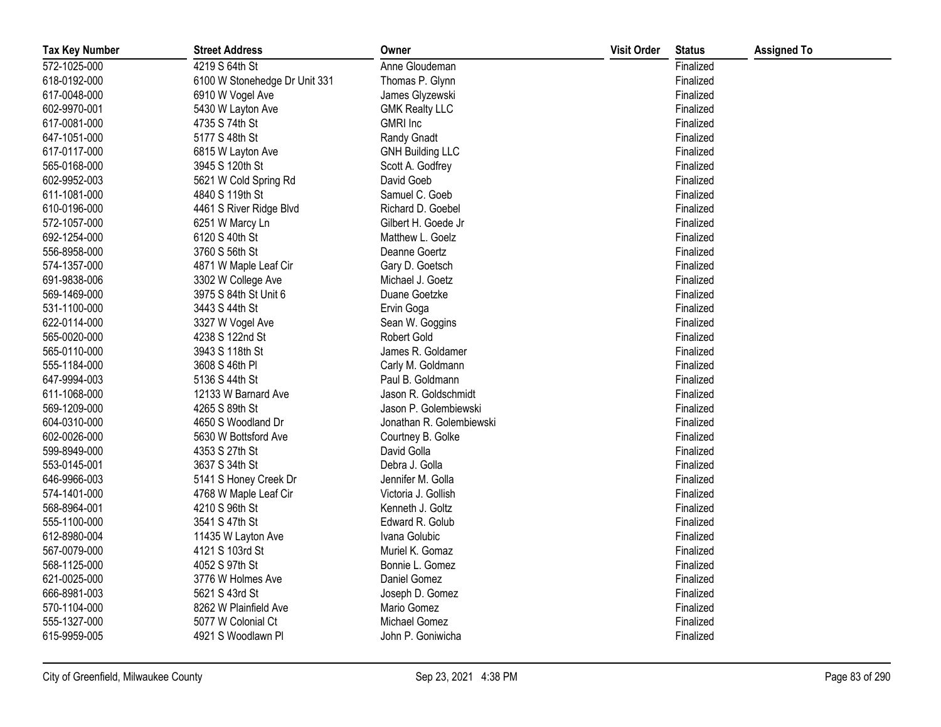| <b>Tax Key Number</b> | <b>Street Address</b>         | Owner                    | <b>Visit Order</b> | <b>Status</b> | <b>Assigned To</b> |
|-----------------------|-------------------------------|--------------------------|--------------------|---------------|--------------------|
| 572-1025-000          | 4219 S 64th St                | Anne Gloudeman           |                    | Finalized     |                    |
| 618-0192-000          | 6100 W Stonehedge Dr Unit 331 | Thomas P. Glynn          |                    | Finalized     |                    |
| 617-0048-000          | 6910 W Vogel Ave              | James Glyzewski          |                    | Finalized     |                    |
| 602-9970-001          | 5430 W Layton Ave             | <b>GMK Realty LLC</b>    |                    | Finalized     |                    |
| 617-0081-000          | 4735 S 74th St                | <b>GMRI</b> Inc          |                    | Finalized     |                    |
| 647-1051-000          | 5177 S 48th St                | Randy Gnadt              |                    | Finalized     |                    |
| 617-0117-000          | 6815 W Layton Ave             | <b>GNH Building LLC</b>  |                    | Finalized     |                    |
| 565-0168-000          | 3945 S 120th St               | Scott A. Godfrey         |                    | Finalized     |                    |
| 602-9952-003          | 5621 W Cold Spring Rd         | David Goeb               |                    | Finalized     |                    |
| 611-1081-000          | 4840 S 119th St               | Samuel C. Goeb           |                    | Finalized     |                    |
| 610-0196-000          | 4461 S River Ridge Blvd       | Richard D. Goebel        |                    | Finalized     |                    |
| 572-1057-000          | 6251 W Marcy Ln               | Gilbert H. Goede Jr      |                    | Finalized     |                    |
| 692-1254-000          | 6120 S 40th St                | Matthew L. Goelz         |                    | Finalized     |                    |
| 556-8958-000          | 3760 S 56th St                | Deanne Goertz            |                    | Finalized     |                    |
| 574-1357-000          | 4871 W Maple Leaf Cir         | Gary D. Goetsch          |                    | Finalized     |                    |
| 691-9838-006          | 3302 W College Ave            | Michael J. Goetz         |                    | Finalized     |                    |
| 569-1469-000          | 3975 S 84th St Unit 6         | Duane Goetzke            |                    | Finalized     |                    |
| 531-1100-000          | 3443 S 44th St                | Ervin Goga               |                    | Finalized     |                    |
| 622-0114-000          | 3327 W Vogel Ave              | Sean W. Goggins          |                    | Finalized     |                    |
| 565-0020-000          | 4238 S 122nd St               | Robert Gold              |                    | Finalized     |                    |
| 565-0110-000          | 3943 S 118th St               | James R. Goldamer        |                    | Finalized     |                    |
| 555-1184-000          | 3608 S 46th PI                | Carly M. Goldmann        |                    | Finalized     |                    |
| 647-9994-003          | 5136 S 44th St                | Paul B. Goldmann         |                    | Finalized     |                    |
| 611-1068-000          | 12133 W Barnard Ave           | Jason R. Goldschmidt     |                    | Finalized     |                    |
| 569-1209-000          | 4265 S 89th St                | Jason P. Golembiewski    |                    | Finalized     |                    |
| 604-0310-000          | 4650 S Woodland Dr            | Jonathan R. Golembiewski |                    | Finalized     |                    |
| 602-0026-000          | 5630 W Bottsford Ave          | Courtney B. Golke        |                    | Finalized     |                    |
| 599-8949-000          | 4353 S 27th St                | David Golla              |                    | Finalized     |                    |
| 553-0145-001          | 3637 S 34th St                | Debra J. Golla           |                    | Finalized     |                    |
| 646-9966-003          | 5141 S Honey Creek Dr         | Jennifer M. Golla        |                    | Finalized     |                    |
| 574-1401-000          | 4768 W Maple Leaf Cir         | Victoria J. Gollish      |                    | Finalized     |                    |
| 568-8964-001          | 4210 S 96th St                | Kenneth J. Goltz         |                    | Finalized     |                    |
| 555-1100-000          | 3541 S 47th St                | Edward R. Golub          |                    | Finalized     |                    |
| 612-8980-004          | 11435 W Layton Ave            | Ivana Golubic            |                    | Finalized     |                    |
| 567-0079-000          | 4121 S 103rd St               | Muriel K. Gomaz          |                    | Finalized     |                    |
| 568-1125-000          | 4052 S 97th St                | Bonnie L. Gomez          |                    | Finalized     |                    |
| 621-0025-000          | 3776 W Holmes Ave             | Daniel Gomez             |                    | Finalized     |                    |
| 666-8981-003          | 5621 S 43rd St                | Joseph D. Gomez          |                    | Finalized     |                    |
| 570-1104-000          | 8262 W Plainfield Ave         | Mario Gomez              |                    | Finalized     |                    |
| 555-1327-000          | 5077 W Colonial Ct            | Michael Gomez            |                    | Finalized     |                    |
| 615-9959-005          | 4921 S Woodlawn Pl            | John P. Goniwicha        |                    | Finalized     |                    |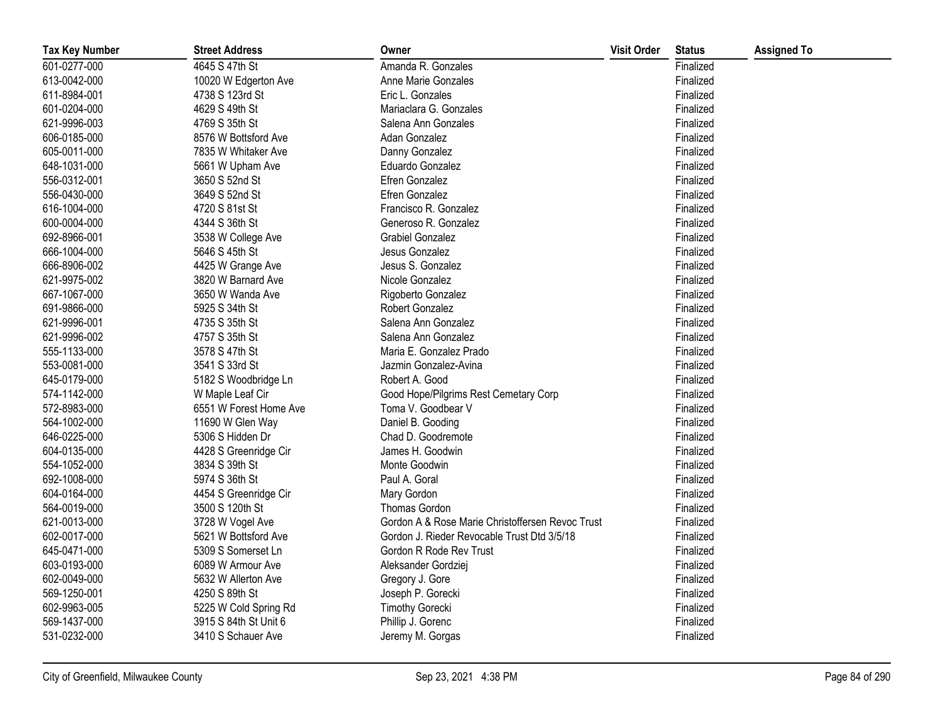| <b>Tax Key Number</b> | <b>Street Address</b>  | Owner                                            | <b>Visit Order</b> | <b>Status</b> | <b>Assigned To</b> |
|-----------------------|------------------------|--------------------------------------------------|--------------------|---------------|--------------------|
| 601-0277-000          | 4645 S 47th St         | Amanda R. Gonzales                               |                    | Finalized     |                    |
| 613-0042-000          | 10020 W Edgerton Ave   | Anne Marie Gonzales                              |                    | Finalized     |                    |
| 611-8984-001          | 4738 S 123rd St        | Eric L. Gonzales                                 |                    | Finalized     |                    |
| 601-0204-000          | 4629 S 49th St         | Mariaclara G. Gonzales                           |                    | Finalized     |                    |
| 621-9996-003          | 4769 S 35th St         | Salena Ann Gonzales                              |                    | Finalized     |                    |
| 606-0185-000          | 8576 W Bottsford Ave   | Adan Gonzalez                                    |                    | Finalized     |                    |
| 605-0011-000          | 7835 W Whitaker Ave    | Danny Gonzalez                                   |                    | Finalized     |                    |
| 648-1031-000          | 5661 W Upham Ave       | Eduardo Gonzalez                                 |                    | Finalized     |                    |
| 556-0312-001          | 3650 S 52nd St         | Efren Gonzalez                                   |                    | Finalized     |                    |
| 556-0430-000          | 3649 S 52nd St         | Efren Gonzalez                                   |                    | Finalized     |                    |
| 616-1004-000          | 4720 S 81st St         | Francisco R. Gonzalez                            |                    | Finalized     |                    |
| 600-0004-000          | 4344 S 36th St         | Generoso R. Gonzalez                             |                    | Finalized     |                    |
| 692-8966-001          | 3538 W College Ave     | <b>Grabiel Gonzalez</b>                          |                    | Finalized     |                    |
| 666-1004-000          | 5646 S 45th St         | Jesus Gonzalez                                   |                    | Finalized     |                    |
| 666-8906-002          | 4425 W Grange Ave      | Jesus S. Gonzalez                                |                    | Finalized     |                    |
| 621-9975-002          | 3820 W Barnard Ave     | Nicole Gonzalez                                  |                    | Finalized     |                    |
| 667-1067-000          | 3650 W Wanda Ave       | Rigoberto Gonzalez                               |                    | Finalized     |                    |
| 691-9866-000          | 5925 S 34th St         | Robert Gonzalez                                  |                    | Finalized     |                    |
| 621-9996-001          | 4735 S 35th St         | Salena Ann Gonzalez                              |                    | Finalized     |                    |
| 621-9996-002          | 4757 S 35th St         | Salena Ann Gonzalez                              |                    | Finalized     |                    |
| 555-1133-000          | 3578 S 47th St         | Maria E. Gonzalez Prado                          |                    | Finalized     |                    |
| 553-0081-000          | 3541 S 33rd St         | Jazmin Gonzalez-Avina                            |                    | Finalized     |                    |
| 645-0179-000          | 5182 S Woodbridge Ln   | Robert A. Good                                   |                    | Finalized     |                    |
| 574-1142-000          | W Maple Leaf Cir       | Good Hope/Pilgrims Rest Cemetary Corp            |                    | Finalized     |                    |
| 572-8983-000          | 6551 W Forest Home Ave | Toma V. Goodbear V                               |                    | Finalized     |                    |
| 564-1002-000          | 11690 W Glen Way       | Daniel B. Gooding                                |                    | Finalized     |                    |
| 646-0225-000          | 5306 S Hidden Dr       | Chad D. Goodremote                               |                    | Finalized     |                    |
| 604-0135-000          | 4428 S Greenridge Cir  | James H. Goodwin                                 |                    | Finalized     |                    |
| 554-1052-000          | 3834 S 39th St         | Monte Goodwin                                    |                    | Finalized     |                    |
| 692-1008-000          | 5974 S 36th St         | Paul A. Goral                                    |                    | Finalized     |                    |
| 604-0164-000          | 4454 S Greenridge Cir  | Mary Gordon                                      |                    | Finalized     |                    |
| 564-0019-000          | 3500 S 120th St        | Thomas Gordon                                    |                    | Finalized     |                    |
| 621-0013-000          | 3728 W Vogel Ave       | Gordon A & Rose Marie Christoffersen Revoc Trust |                    | Finalized     |                    |
| 602-0017-000          | 5621 W Bottsford Ave   | Gordon J. Rieder Revocable Trust Dtd 3/5/18      |                    | Finalized     |                    |
| 645-0471-000          | 5309 S Somerset Ln     | Gordon R Rode Rev Trust                          |                    | Finalized     |                    |
| 603-0193-000          | 6089 W Armour Ave      | Aleksander Gordziej                              |                    | Finalized     |                    |
| 602-0049-000          | 5632 W Allerton Ave    | Gregory J. Gore                                  |                    | Finalized     |                    |
| 569-1250-001          | 4250 S 89th St         | Joseph P. Gorecki                                |                    | Finalized     |                    |
| 602-9963-005          | 5225 W Cold Spring Rd  | <b>Timothy Gorecki</b>                           |                    | Finalized     |                    |
| 569-1437-000          | 3915 S 84th St Unit 6  | Phillip J. Gorenc                                |                    | Finalized     |                    |
| 531-0232-000          | 3410 S Schauer Ave     | Jeremy M. Gorgas                                 |                    | Finalized     |                    |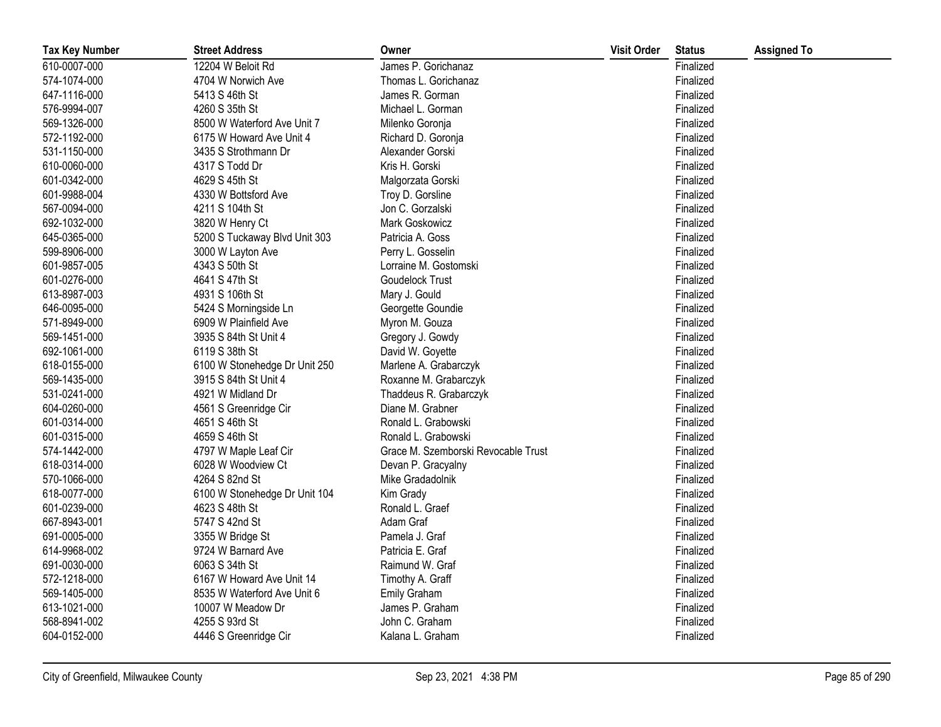| <b>Tax Key Number</b> | <b>Street Address</b>         | Owner                               | <b>Visit Order</b> | <b>Status</b> | <b>Assigned To</b> |
|-----------------------|-------------------------------|-------------------------------------|--------------------|---------------|--------------------|
| 610-0007-000          | 12204 W Beloit Rd             | James P. Gorichanaz                 |                    | Finalized     |                    |
| 574-1074-000          | 4704 W Norwich Ave            | Thomas L. Gorichanaz                |                    | Finalized     |                    |
| 647-1116-000          | 5413 S 46th St                | James R. Gorman                     |                    | Finalized     |                    |
| 576-9994-007          | 4260 S 35th St                | Michael L. Gorman                   |                    | Finalized     |                    |
| 569-1326-000          | 8500 W Waterford Ave Unit 7   | Milenko Goronja                     |                    | Finalized     |                    |
| 572-1192-000          | 6175 W Howard Ave Unit 4      | Richard D. Goronja                  |                    | Finalized     |                    |
| 531-1150-000          | 3435 S Strothmann Dr          | Alexander Gorski                    |                    | Finalized     |                    |
| 610-0060-000          | 4317 S Todd Dr                | Kris H. Gorski                      |                    | Finalized     |                    |
| 601-0342-000          | 4629 S 45th St                | Malgorzata Gorski                   |                    | Finalized     |                    |
| 601-9988-004          | 4330 W Bottsford Ave          | Troy D. Gorsline                    |                    | Finalized     |                    |
| 567-0094-000          | 4211 S 104th St               | Jon C. Gorzalski                    |                    | Finalized     |                    |
| 692-1032-000          | 3820 W Henry Ct               | Mark Goskowicz                      |                    | Finalized     |                    |
| 645-0365-000          | 5200 S Tuckaway Blvd Unit 303 | Patricia A. Goss                    |                    | Finalized     |                    |
| 599-8906-000          | 3000 W Layton Ave             | Perry L. Gosselin                   |                    | Finalized     |                    |
| 601-9857-005          | 4343 S 50th St                | Lorraine M. Gostomski               |                    | Finalized     |                    |
| 601-0276-000          | 4641 S 47th St                | Goudelock Trust                     |                    | Finalized     |                    |
| 613-8987-003          | 4931 S 106th St               | Mary J. Gould                       |                    | Finalized     |                    |
| 646-0095-000          | 5424 S Morningside Ln         | Georgette Goundie                   |                    | Finalized     |                    |
| 571-8949-000          | 6909 W Plainfield Ave         | Myron M. Gouza                      |                    | Finalized     |                    |
| 569-1451-000          | 3935 S 84th St Unit 4         | Gregory J. Gowdy                    |                    | Finalized     |                    |
| 692-1061-000          | 6119 S 38th St                | David W. Goyette                    |                    | Finalized     |                    |
| 618-0155-000          | 6100 W Stonehedge Dr Unit 250 | Marlene A. Grabarczyk               |                    | Finalized     |                    |
| 569-1435-000          | 3915 S 84th St Unit 4         | Roxanne M. Grabarczyk               |                    | Finalized     |                    |
| 531-0241-000          | 4921 W Midland Dr             | Thaddeus R. Grabarczyk              |                    | Finalized     |                    |
| 604-0260-000          | 4561 S Greenridge Cir         | Diane M. Grabner                    |                    | Finalized     |                    |
| 601-0314-000          | 4651 S 46th St                | Ronald L. Grabowski                 |                    | Finalized     |                    |
| 601-0315-000          | 4659 S 46th St                | Ronald L. Grabowski                 |                    | Finalized     |                    |
| 574-1442-000          | 4797 W Maple Leaf Cir         | Grace M. Szemborski Revocable Trust |                    | Finalized     |                    |
| 618-0314-000          | 6028 W Woodview Ct            | Devan P. Gracyalny                  |                    | Finalized     |                    |
| 570-1066-000          | 4264 S 82nd St                | Mike Gradadolnik                    |                    | Finalized     |                    |
| 618-0077-000          | 6100 W Stonehedge Dr Unit 104 | Kim Grady                           |                    | Finalized     |                    |
| 601-0239-000          | 4623 S 48th St                | Ronald L. Graef                     |                    | Finalized     |                    |
| 667-8943-001          | 5747 S 42nd St                | Adam Graf                           |                    | Finalized     |                    |
| 691-0005-000          | 3355 W Bridge St              | Pamela J. Graf                      |                    | Finalized     |                    |
| 614-9968-002          | 9724 W Barnard Ave            | Patricia E. Graf                    |                    | Finalized     |                    |
| 691-0030-000          | 6063 S 34th St                | Raimund W. Graf                     |                    | Finalized     |                    |
| 572-1218-000          | 6167 W Howard Ave Unit 14     | Timothy A. Graff                    |                    | Finalized     |                    |
| 569-1405-000          | 8535 W Waterford Ave Unit 6   | <b>Emily Graham</b>                 |                    | Finalized     |                    |
| 613-1021-000          | 10007 W Meadow Dr             | James P. Graham                     |                    | Finalized     |                    |
| 568-8941-002          | 4255 S 93rd St                | John C. Graham                      |                    | Finalized     |                    |
| 604-0152-000          | 4446 S Greenridge Cir         | Kalana L. Graham                    |                    | Finalized     |                    |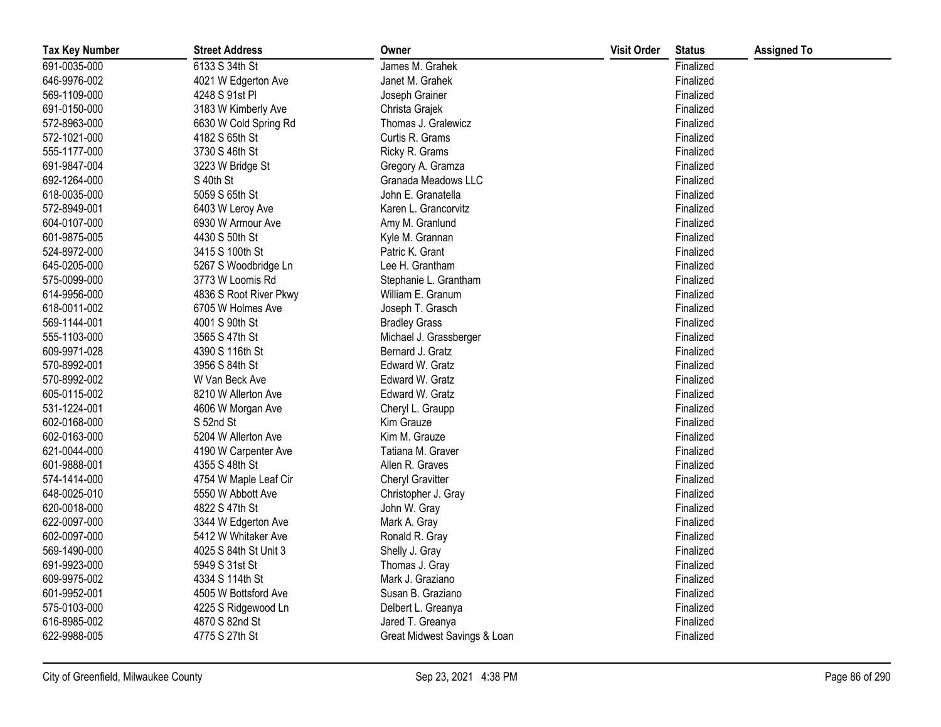| <b>Tax Key Number</b> | <b>Street Address</b>  | Owner                        | <b>Visit Order</b> | <b>Status</b> | <b>Assigned To</b> |
|-----------------------|------------------------|------------------------------|--------------------|---------------|--------------------|
| 691-0035-000          | 6133 S 34th St         | James M. Grahek              |                    | Finalized     |                    |
| 646-9976-002          | 4021 W Edgerton Ave    | Janet M. Grahek              |                    | Finalized     |                    |
| 569-1109-000          | 4248 S 91st PI         | Joseph Grainer               |                    | Finalized     |                    |
| 691-0150-000          | 3183 W Kimberly Ave    | Christa Grajek               |                    | Finalized     |                    |
| 572-8963-000          | 6630 W Cold Spring Rd  | Thomas J. Gralewicz          |                    | Finalized     |                    |
| 572-1021-000          | 4182 S 65th St         | Curtis R. Grams              |                    | Finalized     |                    |
| 555-1177-000          | 3730 S 46th St         | Ricky R. Grams               |                    | Finalized     |                    |
| 691-9847-004          | 3223 W Bridge St       | Gregory A. Gramza            |                    | Finalized     |                    |
| 692-1264-000          | S 40th St              | Granada Meadows LLC          |                    | Finalized     |                    |
| 618-0035-000          | 5059 S 65th St         | John E. Granatella           |                    | Finalized     |                    |
| 572-8949-001          | 6403 W Leroy Ave       | Karen L. Grancorvitz         |                    | Finalized     |                    |
| 604-0107-000          | 6930 W Armour Ave      | Amy M. Granlund              |                    | Finalized     |                    |
| 601-9875-005          | 4430 S 50th St         | Kyle M. Grannan              |                    | Finalized     |                    |
| 524-8972-000          | 3415 S 100th St        | Patric K. Grant              |                    | Finalized     |                    |
| 645-0205-000          | 5267 S Woodbridge Ln   | Lee H. Grantham              |                    | Finalized     |                    |
| 575-0099-000          | 3773 W Loomis Rd       | Stephanie L. Grantham        |                    | Finalized     |                    |
| 614-9956-000          | 4836 S Root River Pkwy | William E. Granum            |                    | Finalized     |                    |
| 618-0011-002          | 6705 W Holmes Ave      | Joseph T. Grasch             |                    | Finalized     |                    |
| 569-1144-001          | 4001 S 90th St         | <b>Bradley Grass</b>         |                    | Finalized     |                    |
| 555-1103-000          | 3565 S 47th St         | Michael J. Grassberger       |                    | Finalized     |                    |
| 609-9971-028          | 4390 S 116th St        | Bernard J. Gratz             |                    | Finalized     |                    |
| 570-8992-001          | 3956 S 84th St         | Edward W. Gratz              |                    | Finalized     |                    |
| 570-8992-002          | W Van Beck Ave         | Edward W. Gratz              |                    | Finalized     |                    |
| 605-0115-002          | 8210 W Allerton Ave    | Edward W. Gratz              |                    | Finalized     |                    |
| 531-1224-001          | 4606 W Morgan Ave      | Cheryl L. Graupp             |                    | Finalized     |                    |
| 602-0168-000          | S 52nd St              | Kim Grauze                   |                    | Finalized     |                    |
| 602-0163-000          | 5204 W Allerton Ave    | Kim M. Grauze                |                    | Finalized     |                    |
| 621-0044-000          | 4190 W Carpenter Ave   | Tatiana M. Graver            |                    | Finalized     |                    |
| 601-9888-001          | 4355 S 48th St         | Allen R. Graves              |                    | Finalized     |                    |
| 574-1414-000          | 4754 W Maple Leaf Cir  | <b>Cheryl Gravitter</b>      |                    | Finalized     |                    |
| 648-0025-010          | 5550 W Abbott Ave      | Christopher J. Gray          |                    | Finalized     |                    |
| 620-0018-000          | 4822 S 47th St         | John W. Gray                 |                    | Finalized     |                    |
| 622-0097-000          | 3344 W Edgerton Ave    | Mark A. Gray                 |                    | Finalized     |                    |
| 602-0097-000          | 5412 W Whitaker Ave    | Ronald R. Gray               |                    | Finalized     |                    |
| 569-1490-000          | 4025 S 84th St Unit 3  | Shelly J. Gray               |                    | Finalized     |                    |
| 691-9923-000          | 5949 S 31st St         | Thomas J. Gray               |                    | Finalized     |                    |
| 609-9975-002          | 4334 S 114th St        | Mark J. Graziano             |                    | Finalized     |                    |
| 601-9952-001          | 4505 W Bottsford Ave   | Susan B. Graziano            |                    | Finalized     |                    |
| 575-0103-000          | 4225 S Ridgewood Ln    | Delbert L. Greanya           |                    | Finalized     |                    |
| 616-8985-002          | 4870 S 82nd St         | Jared T. Greanya             |                    | Finalized     |                    |
| 622-9988-005          | 4775 S 27th St         | Great Midwest Savings & Loan |                    | Finalized     |                    |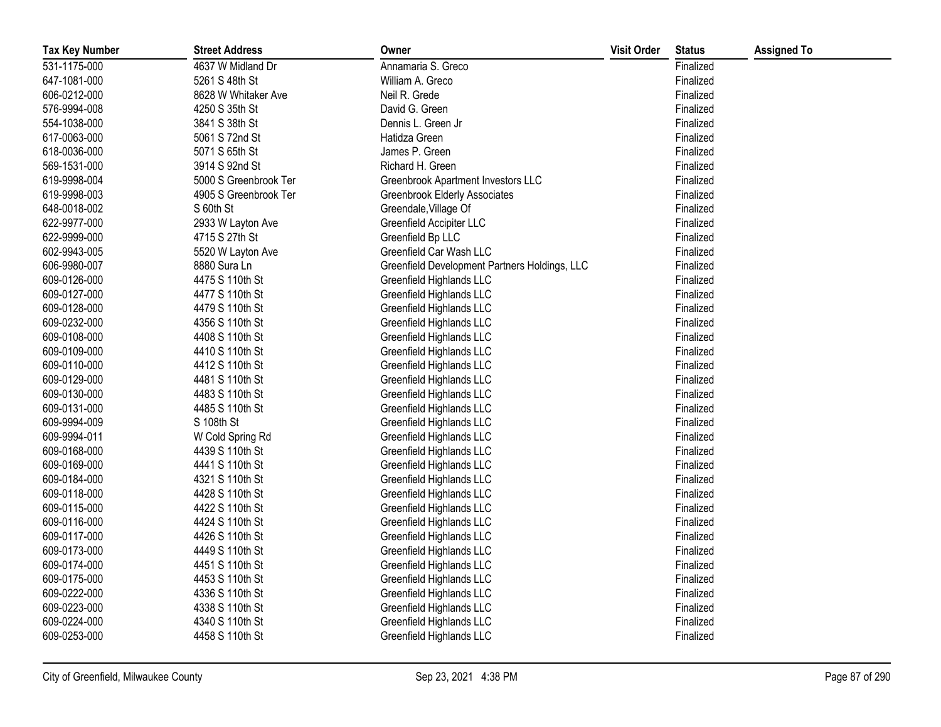| <b>Tax Key Number</b> | <b>Street Address</b> | Owner                                         | <b>Visit Order</b> | <b>Status</b> | <b>Assigned To</b> |
|-----------------------|-----------------------|-----------------------------------------------|--------------------|---------------|--------------------|
| 531-1175-000          | 4637 W Midland Dr     | Annamaria S. Greco                            |                    | Finalized     |                    |
| 647-1081-000          | 5261 S 48th St        | William A. Greco                              |                    | Finalized     |                    |
| 606-0212-000          | 8628 W Whitaker Ave   | Neil R. Grede                                 |                    | Finalized     |                    |
| 576-9994-008          | 4250 S 35th St        | David G. Green                                |                    | Finalized     |                    |
| 554-1038-000          | 3841 S 38th St        | Dennis L. Green Jr                            |                    | Finalized     |                    |
| 617-0063-000          | 5061 S 72nd St        | Hatidza Green                                 |                    | Finalized     |                    |
| 618-0036-000          | 5071 S 65th St        | James P. Green                                |                    | Finalized     |                    |
| 569-1531-000          | 3914 S 92nd St        | Richard H. Green                              |                    | Finalized     |                    |
| 619-9998-004          | 5000 S Greenbrook Ter | Greenbrook Apartment Investors LLC            |                    | Finalized     |                    |
| 619-9998-003          | 4905 S Greenbrook Ter | Greenbrook Elderly Associates                 |                    | Finalized     |                    |
| 648-0018-002          | S 60th St             | Greendale, Village Of                         |                    | Finalized     |                    |
| 622-9977-000          | 2933 W Layton Ave     | Greenfield Accipiter LLC                      |                    | Finalized     |                    |
| 622-9999-000          | 4715 S 27th St        | Greenfield Bp LLC                             |                    | Finalized     |                    |
| 602-9943-005          | 5520 W Layton Ave     | Greenfield Car Wash LLC                       |                    | Finalized     |                    |
| 606-9980-007          | 8880 Sura Ln          | Greenfield Development Partners Holdings, LLC |                    | Finalized     |                    |
| 609-0126-000          | 4475 S 110th St       | Greenfield Highlands LLC                      |                    | Finalized     |                    |
| 609-0127-000          | 4477 S 110th St       | Greenfield Highlands LLC                      |                    | Finalized     |                    |
| 609-0128-000          | 4479 S 110th St       | Greenfield Highlands LLC                      |                    | Finalized     |                    |
| 609-0232-000          | 4356 S 110th St       | Greenfield Highlands LLC                      |                    | Finalized     |                    |
| 609-0108-000          | 4408 S 110th St       | Greenfield Highlands LLC                      |                    | Finalized     |                    |
| 609-0109-000          | 4410 S 110th St       | Greenfield Highlands LLC                      |                    | Finalized     |                    |
| 609-0110-000          | 4412 S 110th St       | Greenfield Highlands LLC                      |                    | Finalized     |                    |
| 609-0129-000          | 4481 S 110th St       | Greenfield Highlands LLC                      |                    | Finalized     |                    |
| 609-0130-000          | 4483 S 110th St       | Greenfield Highlands LLC                      |                    | Finalized     |                    |
| 609-0131-000          | 4485 S 110th St       | Greenfield Highlands LLC                      |                    | Finalized     |                    |
| 609-9994-009          | S 108th St            | Greenfield Highlands LLC                      |                    | Finalized     |                    |
| 609-9994-011          | W Cold Spring Rd      | Greenfield Highlands LLC                      |                    | Finalized     |                    |
| 609-0168-000          | 4439 S 110th St       | Greenfield Highlands LLC                      |                    | Finalized     |                    |
| 609-0169-000          | 4441 S 110th St       | Greenfield Highlands LLC                      |                    | Finalized     |                    |
| 609-0184-000          | 4321 S 110th St       | Greenfield Highlands LLC                      |                    | Finalized     |                    |
| 609-0118-000          | 4428 S 110th St       | Greenfield Highlands LLC                      |                    | Finalized     |                    |
| 609-0115-000          | 4422 S 110th St       | Greenfield Highlands LLC                      |                    | Finalized     |                    |
| 609-0116-000          | 4424 S 110th St       | Greenfield Highlands LLC                      |                    | Finalized     |                    |
| 609-0117-000          | 4426 S 110th St       | Greenfield Highlands LLC                      |                    | Finalized     |                    |
| 609-0173-000          | 4449 S 110th St       | Greenfield Highlands LLC                      |                    | Finalized     |                    |
| 609-0174-000          | 4451 S 110th St       | Greenfield Highlands LLC                      |                    | Finalized     |                    |
| 609-0175-000          | 4453 S 110th St       | Greenfield Highlands LLC                      |                    | Finalized     |                    |
| 609-0222-000          | 4336 S 110th St       | Greenfield Highlands LLC                      |                    | Finalized     |                    |
| 609-0223-000          | 4338 S 110th St       | Greenfield Highlands LLC                      |                    | Finalized     |                    |
| 609-0224-000          | 4340 S 110th St       | Greenfield Highlands LLC                      |                    | Finalized     |                    |
| 609-0253-000          | 4458 S 110th St       | Greenfield Highlands LLC                      |                    | Finalized     |                    |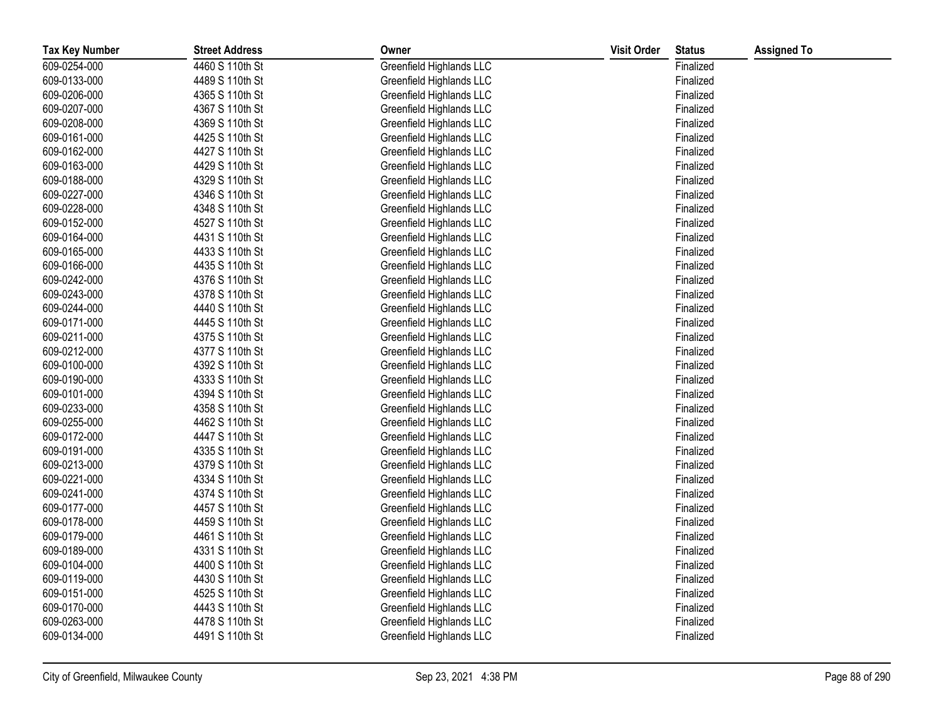| <b>Tax Key Number</b> | <b>Street Address</b> | Owner                    | <b>Visit Order</b> | <b>Status</b> | <b>Assigned To</b> |
|-----------------------|-----------------------|--------------------------|--------------------|---------------|--------------------|
| 609-0254-000          | 4460 S 110th St       | Greenfield Highlands LLC |                    | Finalized     |                    |
| 609-0133-000          | 4489 S 110th St       | Greenfield Highlands LLC |                    | Finalized     |                    |
| 609-0206-000          | 4365 S 110th St       | Greenfield Highlands LLC |                    | Finalized     |                    |
| 609-0207-000          | 4367 S 110th St       | Greenfield Highlands LLC |                    | Finalized     |                    |
| 609-0208-000          | 4369 S 110th St       | Greenfield Highlands LLC |                    | Finalized     |                    |
| 609-0161-000          | 4425 S 110th St       | Greenfield Highlands LLC |                    | Finalized     |                    |
| 609-0162-000          | 4427 S 110th St       | Greenfield Highlands LLC |                    | Finalized     |                    |
| 609-0163-000          | 4429 S 110th St       | Greenfield Highlands LLC |                    | Finalized     |                    |
| 609-0188-000          | 4329 S 110th St       | Greenfield Highlands LLC |                    | Finalized     |                    |
| 609-0227-000          | 4346 S 110th St       | Greenfield Highlands LLC |                    | Finalized     |                    |
| 609-0228-000          | 4348 S 110th St       | Greenfield Highlands LLC |                    | Finalized     |                    |
| 609-0152-000          | 4527 S 110th St       | Greenfield Highlands LLC |                    | Finalized     |                    |
| 609-0164-000          | 4431 S 110th St       | Greenfield Highlands LLC |                    | Finalized     |                    |
| 609-0165-000          | 4433 S 110th St       | Greenfield Highlands LLC |                    | Finalized     |                    |
| 609-0166-000          | 4435 S 110th St       | Greenfield Highlands LLC |                    | Finalized     |                    |
| 609-0242-000          | 4376 S 110th St       | Greenfield Highlands LLC |                    | Finalized     |                    |
| 609-0243-000          | 4378 S 110th St       | Greenfield Highlands LLC |                    | Finalized     |                    |
| 609-0244-000          | 4440 S 110th St       | Greenfield Highlands LLC |                    | Finalized     |                    |
| 609-0171-000          | 4445 S 110th St       | Greenfield Highlands LLC |                    | Finalized     |                    |
| 609-0211-000          | 4375 S 110th St       | Greenfield Highlands LLC |                    | Finalized     |                    |
| 609-0212-000          | 4377 S 110th St       | Greenfield Highlands LLC |                    | Finalized     |                    |
| 609-0100-000          | 4392 S 110th St       | Greenfield Highlands LLC |                    | Finalized     |                    |
| 609-0190-000          | 4333 S 110th St       | Greenfield Highlands LLC |                    | Finalized     |                    |
| 609-0101-000          | 4394 S 110th St       | Greenfield Highlands LLC |                    | Finalized     |                    |
| 609-0233-000          | 4358 S 110th St       | Greenfield Highlands LLC |                    | Finalized     |                    |
| 609-0255-000          | 4462 S 110th St       | Greenfield Highlands LLC |                    | Finalized     |                    |
| 609-0172-000          | 4447 S 110th St       | Greenfield Highlands LLC |                    | Finalized     |                    |
| 609-0191-000          | 4335 S 110th St       | Greenfield Highlands LLC |                    | Finalized     |                    |
| 609-0213-000          | 4379 S 110th St       | Greenfield Highlands LLC |                    | Finalized     |                    |
| 609-0221-000          | 4334 S 110th St       | Greenfield Highlands LLC |                    | Finalized     |                    |
| 609-0241-000          | 4374 S 110th St       | Greenfield Highlands LLC |                    | Finalized     |                    |
| 609-0177-000          | 4457 S 110th St       | Greenfield Highlands LLC |                    | Finalized     |                    |
| 609-0178-000          | 4459 S 110th St       | Greenfield Highlands LLC |                    | Finalized     |                    |
| 609-0179-000          | 4461 S 110th St       | Greenfield Highlands LLC |                    | Finalized     |                    |
| 609-0189-000          | 4331 S 110th St       | Greenfield Highlands LLC |                    | Finalized     |                    |
| 609-0104-000          | 4400 S 110th St       | Greenfield Highlands LLC |                    | Finalized     |                    |
| 609-0119-000          | 4430 S 110th St       | Greenfield Highlands LLC |                    | Finalized     |                    |
| 609-0151-000          | 4525 S 110th St       | Greenfield Highlands LLC |                    | Finalized     |                    |
| 609-0170-000          | 4443 S 110th St       | Greenfield Highlands LLC |                    | Finalized     |                    |
| 609-0263-000          | 4478 S 110th St       | Greenfield Highlands LLC |                    | Finalized     |                    |
| 609-0134-000          | 4491 S 110th St       | Greenfield Highlands LLC |                    | Finalized     |                    |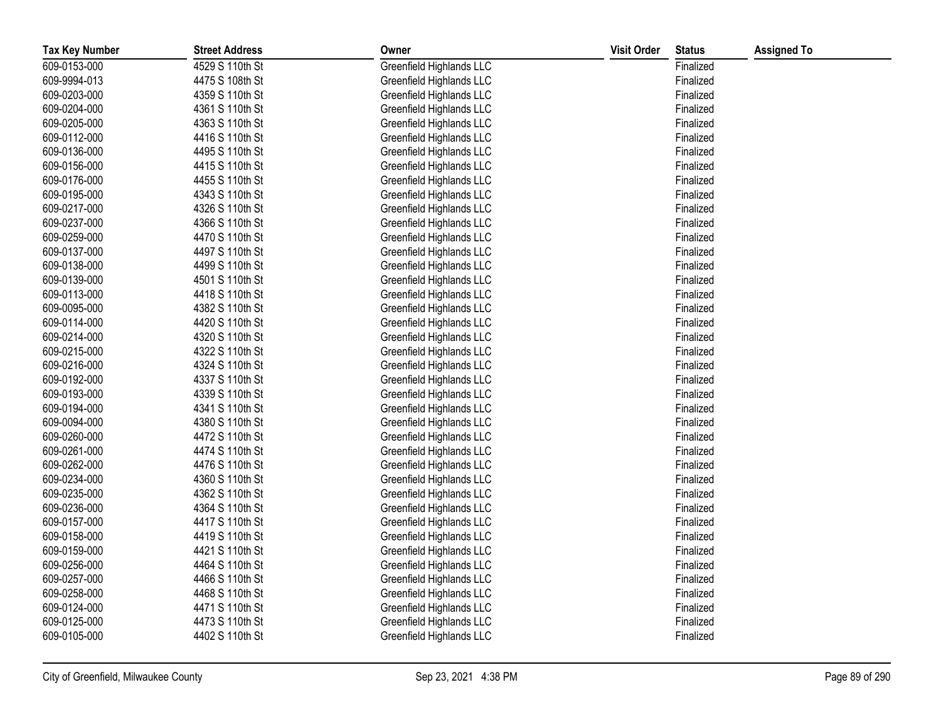| <b>Tax Key Number</b> | <b>Street Address</b> | Owner                    | <b>Visit Order</b> | <b>Status</b> | <b>Assigned To</b> |
|-----------------------|-----------------------|--------------------------|--------------------|---------------|--------------------|
| 609-0153-000          | 4529 S 110th St       | Greenfield Highlands LLC |                    | Finalized     |                    |
| 609-9994-013          | 4475 S 108th St       | Greenfield Highlands LLC |                    | Finalized     |                    |
| 609-0203-000          | 4359 S 110th St       | Greenfield Highlands LLC |                    | Finalized     |                    |
| 609-0204-000          | 4361 S 110th St       | Greenfield Highlands LLC |                    | Finalized     |                    |
| 609-0205-000          | 4363 S 110th St       | Greenfield Highlands LLC |                    | Finalized     |                    |
| 609-0112-000          | 4416 S 110th St       | Greenfield Highlands LLC |                    | Finalized     |                    |
| 609-0136-000          | 4495 S 110th St       | Greenfield Highlands LLC |                    | Finalized     |                    |
| 609-0156-000          | 4415 S 110th St       | Greenfield Highlands LLC |                    | Finalized     |                    |
| 609-0176-000          | 4455 S 110th St       | Greenfield Highlands LLC |                    | Finalized     |                    |
| 609-0195-000          | 4343 S 110th St       | Greenfield Highlands LLC |                    | Finalized     |                    |
| 609-0217-000          | 4326 S 110th St       | Greenfield Highlands LLC |                    | Finalized     |                    |
| 609-0237-000          | 4366 S 110th St       | Greenfield Highlands LLC |                    | Finalized     |                    |
| 609-0259-000          | 4470 S 110th St       | Greenfield Highlands LLC |                    | Finalized     |                    |
| 609-0137-000          | 4497 S 110th St       | Greenfield Highlands LLC |                    | Finalized     |                    |
| 609-0138-000          | 4499 S 110th St       | Greenfield Highlands LLC |                    | Finalized     |                    |
| 609-0139-000          | 4501 S 110th St       | Greenfield Highlands LLC |                    | Finalized     |                    |
| 609-0113-000          | 4418 S 110th St       | Greenfield Highlands LLC |                    | Finalized     |                    |
| 609-0095-000          | 4382 S 110th St       | Greenfield Highlands LLC |                    | Finalized     |                    |
| 609-0114-000          | 4420 S 110th St       | Greenfield Highlands LLC |                    | Finalized     |                    |
| 609-0214-000          | 4320 S 110th St       | Greenfield Highlands LLC |                    | Finalized     |                    |
| 609-0215-000          | 4322 S 110th St       | Greenfield Highlands LLC |                    | Finalized     |                    |
| 609-0216-000          | 4324 S 110th St       | Greenfield Highlands LLC |                    | Finalized     |                    |
| 609-0192-000          | 4337 S 110th St       | Greenfield Highlands LLC |                    | Finalized     |                    |
| 609-0193-000          | 4339 S 110th St       | Greenfield Highlands LLC |                    | Finalized     |                    |
| 609-0194-000          | 4341 S 110th St       | Greenfield Highlands LLC |                    | Finalized     |                    |
| 609-0094-000          | 4380 S 110th St       | Greenfield Highlands LLC |                    | Finalized     |                    |
| 609-0260-000          | 4472 S 110th St       | Greenfield Highlands LLC |                    | Finalized     |                    |
| 609-0261-000          | 4474 S 110th St       | Greenfield Highlands LLC |                    | Finalized     |                    |
| 609-0262-000          | 4476 S 110th St       | Greenfield Highlands LLC |                    | Finalized     |                    |
| 609-0234-000          | 4360 S 110th St       | Greenfield Highlands LLC |                    | Finalized     |                    |
| 609-0235-000          | 4362 S 110th St       | Greenfield Highlands LLC |                    | Finalized     |                    |
| 609-0236-000          | 4364 S 110th St       | Greenfield Highlands LLC |                    | Finalized     |                    |
| 609-0157-000          | 4417 S 110th St       | Greenfield Highlands LLC |                    | Finalized     |                    |
| 609-0158-000          | 4419 S 110th St       | Greenfield Highlands LLC |                    | Finalized     |                    |
| 609-0159-000          | 4421 S 110th St       | Greenfield Highlands LLC |                    | Finalized     |                    |
| 609-0256-000          | 4464 S 110th St       | Greenfield Highlands LLC |                    | Finalized     |                    |
| 609-0257-000          | 4466 S 110th St       | Greenfield Highlands LLC |                    | Finalized     |                    |
| 609-0258-000          | 4468 S 110th St       | Greenfield Highlands LLC |                    | Finalized     |                    |
| 609-0124-000          | 4471 S 110th St       | Greenfield Highlands LLC |                    | Finalized     |                    |
| 609-0125-000          | 4473 S 110th St       | Greenfield Highlands LLC |                    | Finalized     |                    |
| 609-0105-000          | 4402 S 110th St       | Greenfield Highlands LLC |                    | Finalized     |                    |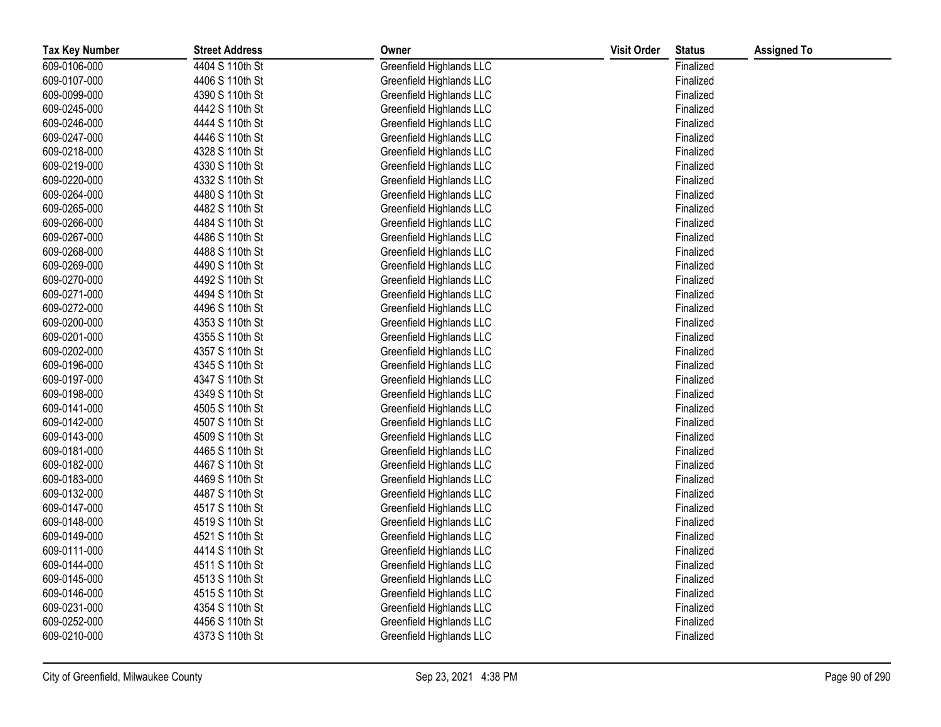| <b>Tax Key Number</b> | <b>Street Address</b> | Owner                    | <b>Visit Order</b> | <b>Status</b> | <b>Assigned To</b> |
|-----------------------|-----------------------|--------------------------|--------------------|---------------|--------------------|
| 609-0106-000          | 4404 S 110th St       | Greenfield Highlands LLC |                    | Finalized     |                    |
| 609-0107-000          | 4406 S 110th St       | Greenfield Highlands LLC |                    | Finalized     |                    |
| 609-0099-000          | 4390 S 110th St       | Greenfield Highlands LLC |                    | Finalized     |                    |
| 609-0245-000          | 4442 S 110th St       | Greenfield Highlands LLC |                    | Finalized     |                    |
| 609-0246-000          | 4444 S 110th St       | Greenfield Highlands LLC |                    | Finalized     |                    |
| 609-0247-000          | 4446 S 110th St       | Greenfield Highlands LLC |                    | Finalized     |                    |
| 609-0218-000          | 4328 S 110th St       | Greenfield Highlands LLC |                    | Finalized     |                    |
| 609-0219-000          | 4330 S 110th St       | Greenfield Highlands LLC |                    | Finalized     |                    |
| 609-0220-000          | 4332 S 110th St       | Greenfield Highlands LLC |                    | Finalized     |                    |
| 609-0264-000          | 4480 S 110th St       | Greenfield Highlands LLC |                    | Finalized     |                    |
| 609-0265-000          | 4482 S 110th St       | Greenfield Highlands LLC |                    | Finalized     |                    |
| 609-0266-000          | 4484 S 110th St       | Greenfield Highlands LLC |                    | Finalized     |                    |
| 609-0267-000          | 4486 S 110th St       | Greenfield Highlands LLC |                    | Finalized     |                    |
| 609-0268-000          | 4488 S 110th St       | Greenfield Highlands LLC |                    | Finalized     |                    |
| 609-0269-000          | 4490 S 110th St       | Greenfield Highlands LLC |                    | Finalized     |                    |
| 609-0270-000          | 4492 S 110th St       | Greenfield Highlands LLC |                    | Finalized     |                    |
| 609-0271-000          | 4494 S 110th St       | Greenfield Highlands LLC |                    | Finalized     |                    |
| 609-0272-000          | 4496 S 110th St       | Greenfield Highlands LLC |                    | Finalized     |                    |
| 609-0200-000          | 4353 S 110th St       | Greenfield Highlands LLC |                    | Finalized     |                    |
| 609-0201-000          | 4355 S 110th St       | Greenfield Highlands LLC |                    | Finalized     |                    |
| 609-0202-000          | 4357 S 110th St       | Greenfield Highlands LLC |                    | Finalized     |                    |
| 609-0196-000          | 4345 S 110th St       | Greenfield Highlands LLC |                    | Finalized     |                    |
| 609-0197-000          | 4347 S 110th St       | Greenfield Highlands LLC |                    | Finalized     |                    |
| 609-0198-000          | 4349 S 110th St       | Greenfield Highlands LLC |                    | Finalized     |                    |
| 609-0141-000          | 4505 S 110th St       | Greenfield Highlands LLC |                    | Finalized     |                    |
| 609-0142-000          | 4507 S 110th St       | Greenfield Highlands LLC |                    | Finalized     |                    |
| 609-0143-000          | 4509 S 110th St       | Greenfield Highlands LLC |                    | Finalized     |                    |
| 609-0181-000          | 4465 S 110th St       | Greenfield Highlands LLC |                    | Finalized     |                    |
| 609-0182-000          | 4467 S 110th St       | Greenfield Highlands LLC |                    | Finalized     |                    |
| 609-0183-000          | 4469 S 110th St       | Greenfield Highlands LLC |                    | Finalized     |                    |
| 609-0132-000          | 4487 S 110th St       | Greenfield Highlands LLC |                    | Finalized     |                    |
| 609-0147-000          | 4517 S 110th St       | Greenfield Highlands LLC |                    | Finalized     |                    |
| 609-0148-000          | 4519 S 110th St       | Greenfield Highlands LLC |                    | Finalized     |                    |
| 609-0149-000          | 4521 S 110th St       | Greenfield Highlands LLC |                    | Finalized     |                    |
| 609-0111-000          | 4414 S 110th St       | Greenfield Highlands LLC |                    | Finalized     |                    |
| 609-0144-000          | 4511 S 110th St       | Greenfield Highlands LLC |                    | Finalized     |                    |
| 609-0145-000          | 4513 S 110th St       | Greenfield Highlands LLC |                    | Finalized     |                    |
| 609-0146-000          | 4515 S 110th St       | Greenfield Highlands LLC |                    | Finalized     |                    |
| 609-0231-000          | 4354 S 110th St       | Greenfield Highlands LLC |                    | Finalized     |                    |
| 609-0252-000          | 4456 S 110th St       | Greenfield Highlands LLC |                    | Finalized     |                    |
| 609-0210-000          | 4373 S 110th St       | Greenfield Highlands LLC |                    | Finalized     |                    |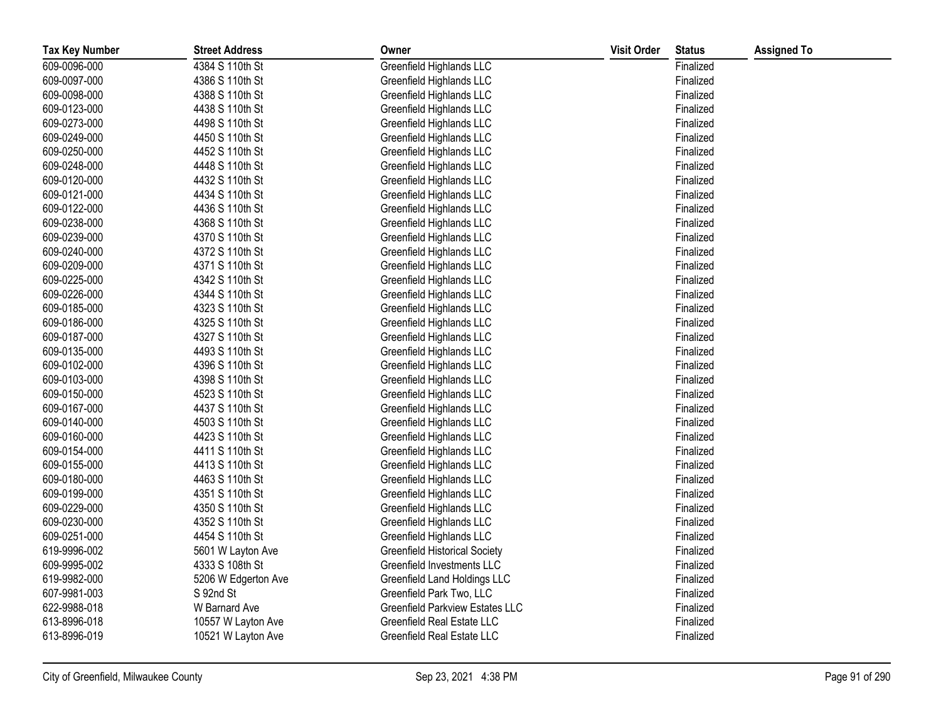| <b>Tax Key Number</b> | <b>Street Address</b> | Owner                                | <b>Visit Order</b> | <b>Status</b> | <b>Assigned To</b> |
|-----------------------|-----------------------|--------------------------------------|--------------------|---------------|--------------------|
| 609-0096-000          | 4384 S 110th St       | Greenfield Highlands LLC             |                    | Finalized     |                    |
| 609-0097-000          | 4386 S 110th St       | Greenfield Highlands LLC             |                    | Finalized     |                    |
| 609-0098-000          | 4388 S 110th St       | Greenfield Highlands LLC             |                    | Finalized     |                    |
| 609-0123-000          | 4438 S 110th St       | Greenfield Highlands LLC             |                    | Finalized     |                    |
| 609-0273-000          | 4498 S 110th St       | Greenfield Highlands LLC             |                    | Finalized     |                    |
| 609-0249-000          | 4450 S 110th St       | Greenfield Highlands LLC             |                    | Finalized     |                    |
| 609-0250-000          | 4452 S 110th St       | Greenfield Highlands LLC             |                    | Finalized     |                    |
| 609-0248-000          | 4448 S 110th St       | Greenfield Highlands LLC             |                    | Finalized     |                    |
| 609-0120-000          | 4432 S 110th St       | Greenfield Highlands LLC             |                    | Finalized     |                    |
| 609-0121-000          | 4434 S 110th St       | Greenfield Highlands LLC             |                    | Finalized     |                    |
| 609-0122-000          | 4436 S 110th St       | Greenfield Highlands LLC             |                    | Finalized     |                    |
| 609-0238-000          | 4368 S 110th St       | Greenfield Highlands LLC             |                    | Finalized     |                    |
| 609-0239-000          | 4370 S 110th St       | Greenfield Highlands LLC             |                    | Finalized     |                    |
| 609-0240-000          | 4372 S 110th St       | Greenfield Highlands LLC             |                    | Finalized     |                    |
| 609-0209-000          | 4371 S 110th St       | Greenfield Highlands LLC             |                    | Finalized     |                    |
| 609-0225-000          | 4342 S 110th St       | Greenfield Highlands LLC             |                    | Finalized     |                    |
| 609-0226-000          | 4344 S 110th St       | Greenfield Highlands LLC             |                    | Finalized     |                    |
| 609-0185-000          | 4323 S 110th St       | Greenfield Highlands LLC             |                    | Finalized     |                    |
| 609-0186-000          | 4325 S 110th St       | Greenfield Highlands LLC             |                    | Finalized     |                    |
| 609-0187-000          | 4327 S 110th St       | Greenfield Highlands LLC             |                    | Finalized     |                    |
| 609-0135-000          | 4493 S 110th St       | Greenfield Highlands LLC             |                    | Finalized     |                    |
| 609-0102-000          | 4396 S 110th St       | Greenfield Highlands LLC             |                    | Finalized     |                    |
| 609-0103-000          | 4398 S 110th St       | Greenfield Highlands LLC             |                    | Finalized     |                    |
| 609-0150-000          | 4523 S 110th St       | Greenfield Highlands LLC             |                    | Finalized     |                    |
| 609-0167-000          | 4437 S 110th St       | Greenfield Highlands LLC             |                    | Finalized     |                    |
| 609-0140-000          | 4503 S 110th St       | Greenfield Highlands LLC             |                    | Finalized     |                    |
| 609-0160-000          | 4423 S 110th St       | Greenfield Highlands LLC             |                    | Finalized     |                    |
| 609-0154-000          | 4411 S 110th St       | Greenfield Highlands LLC             |                    | Finalized     |                    |
| 609-0155-000          | 4413 S 110th St       | Greenfield Highlands LLC             |                    | Finalized     |                    |
| 609-0180-000          | 4463 S 110th St       | Greenfield Highlands LLC             |                    | Finalized     |                    |
| 609-0199-000          | 4351 S 110th St       | Greenfield Highlands LLC             |                    | Finalized     |                    |
| 609-0229-000          | 4350 S 110th St       | Greenfield Highlands LLC             |                    | Finalized     |                    |
| 609-0230-000          | 4352 S 110th St       | Greenfield Highlands LLC             |                    | Finalized     |                    |
| 609-0251-000          | 4454 S 110th St       | Greenfield Highlands LLC             |                    | Finalized     |                    |
| 619-9996-002          | 5601 W Layton Ave     | <b>Greenfield Historical Society</b> |                    | Finalized     |                    |
| 609-9995-002          | 4333 S 108th St       | Greenfield Investments LLC           |                    | Finalized     |                    |
| 619-9982-000          | 5206 W Edgerton Ave   | Greenfield Land Holdings LLC         |                    | Finalized     |                    |
| 607-9981-003          | S 92nd St             | Greenfield Park Two, LLC             |                    | Finalized     |                    |
| 622-9988-018          | W Barnard Ave         | Greenfield Parkview Estates LLC      |                    | Finalized     |                    |
| 613-8996-018          | 10557 W Layton Ave    | Greenfield Real Estate LLC           |                    | Finalized     |                    |
| 613-8996-019          | 10521 W Layton Ave    | Greenfield Real Estate LLC           |                    | Finalized     |                    |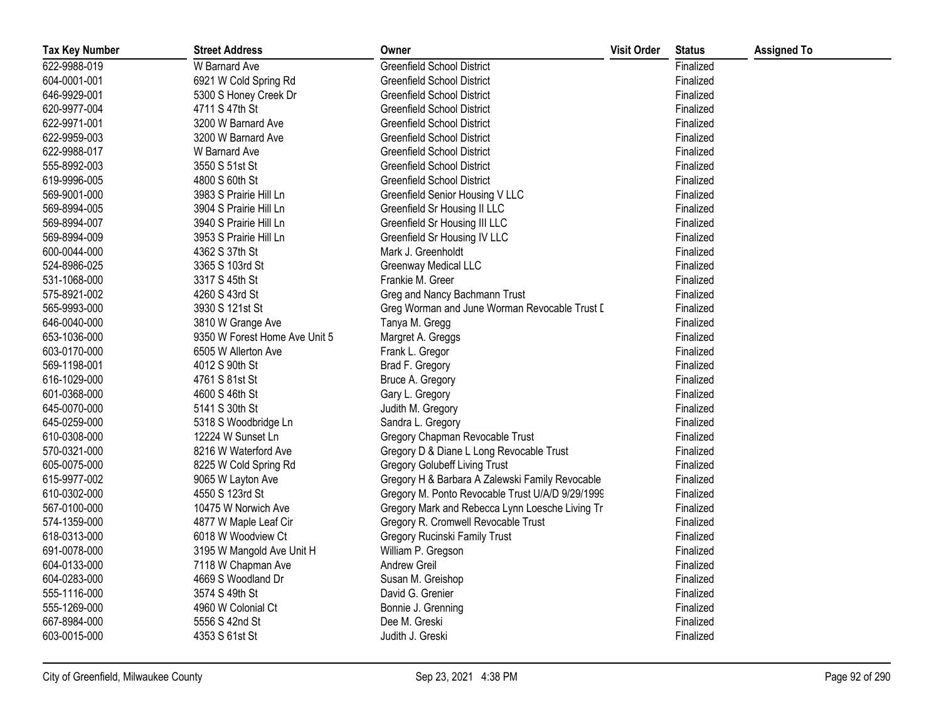| <b>Tax Key Number</b> | <b>Street Address</b>         | Owner                                            | <b>Visit Order</b> | <b>Status</b> | <b>Assigned To</b> |
|-----------------------|-------------------------------|--------------------------------------------------|--------------------|---------------|--------------------|
| 622-9988-019          | W Barnard Ave                 | <b>Greenfield School District</b>                |                    | Finalized     |                    |
| 604-0001-001          | 6921 W Cold Spring Rd         | <b>Greenfield School District</b>                |                    | Finalized     |                    |
| 646-9929-001          | 5300 S Honey Creek Dr         | Greenfield School District                       |                    | Finalized     |                    |
| 620-9977-004          | 4711 S 47th St                | Greenfield School District                       |                    | Finalized     |                    |
| 622-9971-001          | 3200 W Barnard Ave            | <b>Greenfield School District</b>                |                    | Finalized     |                    |
| 622-9959-003          | 3200 W Barnard Ave            | Greenfield School District                       |                    | Finalized     |                    |
| 622-9988-017          | W Barnard Ave                 | <b>Greenfield School District</b>                |                    | Finalized     |                    |
| 555-8992-003          | 3550 S 51st St                | <b>Greenfield School District</b>                |                    | Finalized     |                    |
| 619-9996-005          | 4800 S 60th St                | Greenfield School District                       |                    | Finalized     |                    |
| 569-9001-000          | 3983 S Prairie Hill Ln        | Greenfield Senior Housing V LLC                  |                    | Finalized     |                    |
| 569-8994-005          | 3904 S Prairie Hill Ln        | Greenfield Sr Housing II LLC                     |                    | Finalized     |                    |
| 569-8994-007          | 3940 S Prairie Hill Ln        | Greenfield Sr Housing III LLC                    |                    | Finalized     |                    |
| 569-8994-009          | 3953 S Prairie Hill Ln        | Greenfield Sr Housing IV LLC                     |                    | Finalized     |                    |
| 600-0044-000          | 4362 S 37th St                | Mark J. Greenholdt                               |                    | Finalized     |                    |
| 524-8986-025          | 3365 S 103rd St               | <b>Greenway Medical LLC</b>                      |                    | Finalized     |                    |
| 531-1068-000          | 3317 S 45th St                | Frankie M. Greer                                 |                    | Finalized     |                    |
| 575-8921-002          | 4260 S 43rd St                | Greg and Nancy Bachmann Trust                    |                    | Finalized     |                    |
| 565-9993-000          | 3930 S 121st St               | Greg Worman and June Worman Revocable Trust D    |                    | Finalized     |                    |
| 646-0040-000          | 3810 W Grange Ave             | Tanya M. Gregg                                   |                    | Finalized     |                    |
| 653-1036-000          | 9350 W Forest Home Ave Unit 5 | Margret A. Greggs                                |                    | Finalized     |                    |
| 603-0170-000          | 6505 W Allerton Ave           | Frank L. Gregor                                  |                    | Finalized     |                    |
| 569-1198-001          | 4012 S 90th St                | Brad F. Gregory                                  |                    | Finalized     |                    |
| 616-1029-000          | 4761 S 81st St                | Bruce A. Gregory                                 |                    | Finalized     |                    |
| 601-0368-000          | 4600 S 46th St                | Gary L. Gregory                                  |                    | Finalized     |                    |
| 645-0070-000          | 5141 S 30th St                | Judith M. Gregory                                |                    | Finalized     |                    |
| 645-0259-000          | 5318 S Woodbridge Ln          | Sandra L. Gregory                                |                    | Finalized     |                    |
| 610-0308-000          | 12224 W Sunset Ln             | Gregory Chapman Revocable Trust                  |                    | Finalized     |                    |
| 570-0321-000          | 8216 W Waterford Ave          | Gregory D & Diane L Long Revocable Trust         |                    | Finalized     |                    |
| 605-0075-000          | 8225 W Cold Spring Rd         | <b>Gregory Golubeff Living Trust</b>             |                    | Finalized     |                    |
| 615-9977-002          | 9065 W Layton Ave             | Gregory H & Barbara A Zalewski Family Revocable  |                    | Finalized     |                    |
| 610-0302-000          | 4550 S 123rd St               | Gregory M. Ponto Revocable Trust U/A/D 9/29/1999 |                    | Finalized     |                    |
| 567-0100-000          | 10475 W Norwich Ave           | Gregory Mark and Rebecca Lynn Loesche Living Tr  |                    | Finalized     |                    |
| 574-1359-000          | 4877 W Maple Leaf Cir         | Gregory R. Cromwell Revocable Trust              |                    | Finalized     |                    |
| 618-0313-000          | 6018 W Woodview Ct            | Gregory Rucinski Family Trust                    |                    | Finalized     |                    |
| 691-0078-000          | 3195 W Mangold Ave Unit H     | William P. Gregson                               |                    | Finalized     |                    |
| 604-0133-000          | 7118 W Chapman Ave            | Andrew Greil                                     |                    | Finalized     |                    |
| 604-0283-000          | 4669 S Woodland Dr            | Susan M. Greishop                                |                    | Finalized     |                    |
| 555-1116-000          | 3574 S 49th St                | David G. Grenier                                 |                    | Finalized     |                    |
| 555-1269-000          | 4960 W Colonial Ct            | Bonnie J. Grenning                               |                    | Finalized     |                    |
| 667-8984-000          | 5556 S 42nd St                | Dee M. Greski                                    |                    | Finalized     |                    |
| 603-0015-000          | 4353 S 61st St                | Judith J. Greski                                 |                    | Finalized     |                    |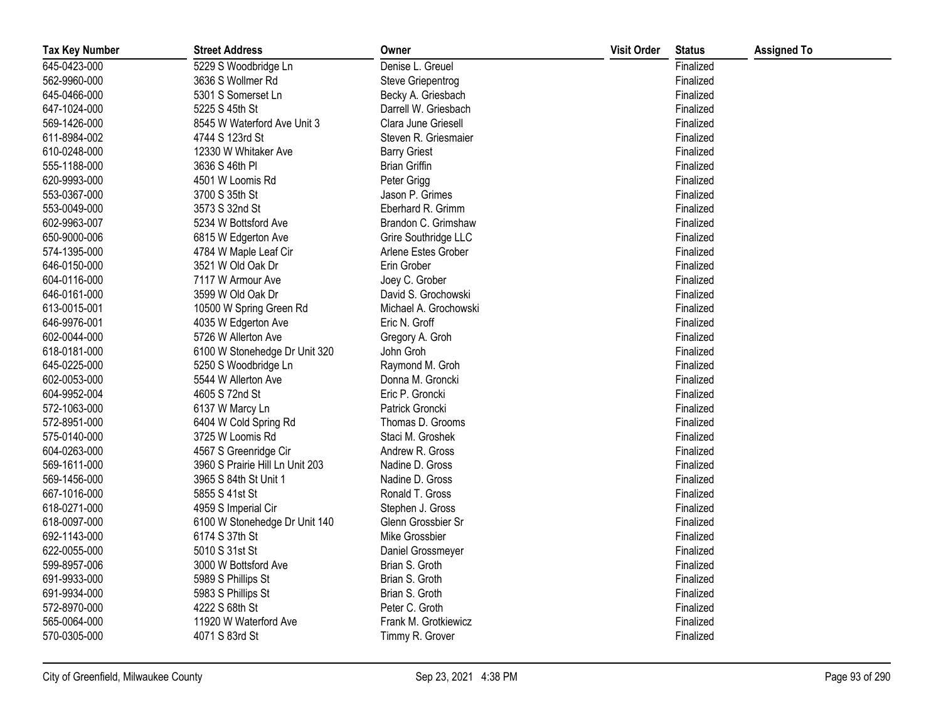| <b>Tax Key Number</b> | <b>Street Address</b>           | Owner                 | <b>Visit Order</b> | <b>Status</b> | <b>Assigned To</b> |
|-----------------------|---------------------------------|-----------------------|--------------------|---------------|--------------------|
| 645-0423-000          | 5229 S Woodbridge Ln            | Denise L. Greuel      |                    | Finalized     |                    |
| 562-9960-000          | 3636 S Wollmer Rd               | Steve Griepentrog     |                    | Finalized     |                    |
| 645-0466-000          | 5301 S Somerset Ln              | Becky A. Griesbach    |                    | Finalized     |                    |
| 647-1024-000          | 5225 S 45th St                  | Darrell W. Griesbach  |                    | Finalized     |                    |
| 569-1426-000          | 8545 W Waterford Ave Unit 3     | Clara June Griesell   |                    | Finalized     |                    |
| 611-8984-002          | 4744 S 123rd St                 | Steven R. Griesmaier  |                    | Finalized     |                    |
| 610-0248-000          | 12330 W Whitaker Ave            | <b>Barry Griest</b>   |                    | Finalized     |                    |
| 555-1188-000          | 3636 S 46th PI                  | <b>Brian Griffin</b>  |                    | Finalized     |                    |
| 620-9993-000          | 4501 W Loomis Rd                | Peter Grigg           |                    | Finalized     |                    |
| 553-0367-000          | 3700 S 35th St                  | Jason P. Grimes       |                    | Finalized     |                    |
| 553-0049-000          | 3573 S 32nd St                  | Eberhard R. Grimm     |                    | Finalized     |                    |
| 602-9963-007          | 5234 W Bottsford Ave            | Brandon C. Grimshaw   |                    | Finalized     |                    |
| 650-9000-006          | 6815 W Edgerton Ave             | Grire Southridge LLC  |                    | Finalized     |                    |
| 574-1395-000          | 4784 W Maple Leaf Cir           | Arlene Estes Grober   |                    | Finalized     |                    |
| 646-0150-000          | 3521 W Old Oak Dr               | Erin Grober           |                    | Finalized     |                    |
| 604-0116-000          | 7117 W Armour Ave               | Joey C. Grober        |                    | Finalized     |                    |
| 646-0161-000          | 3599 W Old Oak Dr               | David S. Grochowski   |                    | Finalized     |                    |
| 613-0015-001          | 10500 W Spring Green Rd         | Michael A. Grochowski |                    | Finalized     |                    |
| 646-9976-001          | 4035 W Edgerton Ave             | Eric N. Groff         |                    | Finalized     |                    |
| 602-0044-000          | 5726 W Allerton Ave             | Gregory A. Groh       |                    | Finalized     |                    |
| 618-0181-000          | 6100 W Stonehedge Dr Unit 320   | John Groh             |                    | Finalized     |                    |
| 645-0225-000          | 5250 S Woodbridge Ln            | Raymond M. Groh       |                    | Finalized     |                    |
| 602-0053-000          | 5544 W Allerton Ave             | Donna M. Groncki      |                    | Finalized     |                    |
| 604-9952-004          | 4605 S 72nd St                  | Eric P. Groncki       |                    | Finalized     |                    |
| 572-1063-000          | 6137 W Marcy Ln                 | Patrick Groncki       |                    | Finalized     |                    |
| 572-8951-000          | 6404 W Cold Spring Rd           | Thomas D. Grooms      |                    | Finalized     |                    |
| 575-0140-000          | 3725 W Loomis Rd                | Staci M. Groshek      |                    | Finalized     |                    |
| 604-0263-000          | 4567 S Greenridge Cir           | Andrew R. Gross       |                    | Finalized     |                    |
| 569-1611-000          | 3960 S Prairie Hill Ln Unit 203 | Nadine D. Gross       |                    | Finalized     |                    |
| 569-1456-000          | 3965 S 84th St Unit 1           | Nadine D. Gross       |                    | Finalized     |                    |
| 667-1016-000          | 5855 S 41st St                  | Ronald T. Gross       |                    | Finalized     |                    |
| 618-0271-000          | 4959 S Imperial Cir             | Stephen J. Gross      |                    | Finalized     |                    |
| 618-0097-000          | 6100 W Stonehedge Dr Unit 140   | Glenn Grossbier Sr    |                    | Finalized     |                    |
| 692-1143-000          | 6174 S 37th St                  | Mike Grossbier        |                    | Finalized     |                    |
| 622-0055-000          | 5010 S 31st St                  | Daniel Grossmeyer     |                    | Finalized     |                    |
| 599-8957-006          | 3000 W Bottsford Ave            | Brian S. Groth        |                    | Finalized     |                    |
| 691-9933-000          | 5989 S Phillips St              | Brian S. Groth        |                    | Finalized     |                    |
| 691-9934-000          | 5983 S Phillips St              | Brian S. Groth        |                    | Finalized     |                    |
| 572-8970-000          | 4222 S 68th St                  | Peter C. Groth        |                    | Finalized     |                    |
| 565-0064-000          | 11920 W Waterford Ave           | Frank M. Grotkiewicz  |                    | Finalized     |                    |
| 570-0305-000          | 4071 S 83rd St                  | Timmy R. Grover       |                    | Finalized     |                    |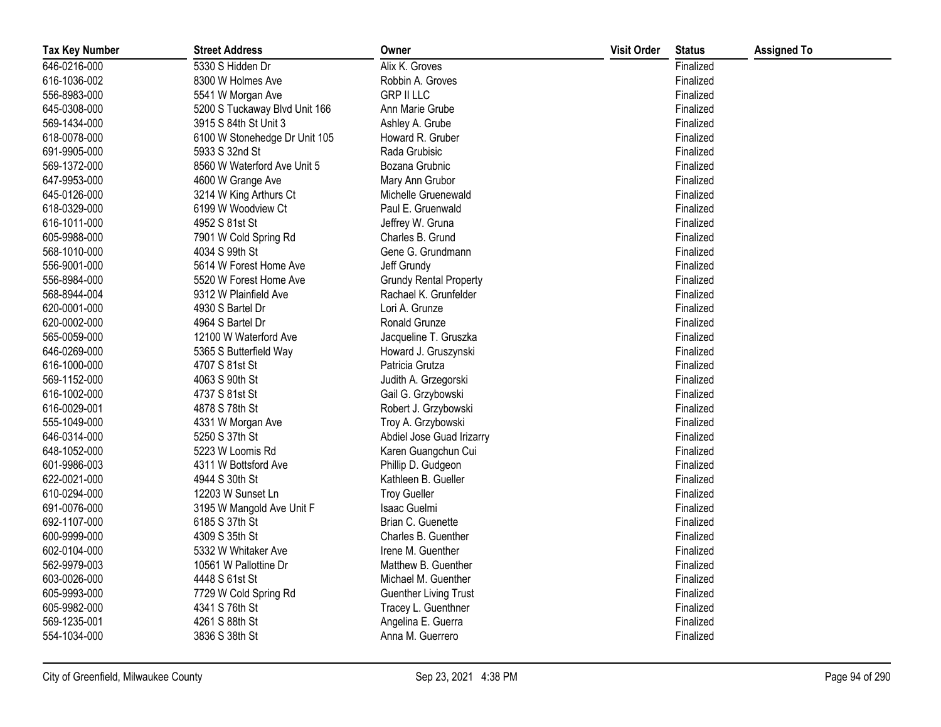| <b>Tax Key Number</b> | <b>Street Address</b>         | Owner                         | <b>Visit Order</b> | <b>Status</b> | <b>Assigned To</b> |
|-----------------------|-------------------------------|-------------------------------|--------------------|---------------|--------------------|
| 646-0216-000          | 5330 S Hidden Dr              | Alix K. Groves                |                    | Finalized     |                    |
| 616-1036-002          | 8300 W Holmes Ave             | Robbin A. Groves              |                    | Finalized     |                    |
| 556-8983-000          | 5541 W Morgan Ave             | <b>GRP II LLC</b>             |                    | Finalized     |                    |
| 645-0308-000          | 5200 S Tuckaway Blvd Unit 166 | Ann Marie Grube               |                    | Finalized     |                    |
| 569-1434-000          | 3915 S 84th St Unit 3         | Ashley A. Grube               |                    | Finalized     |                    |
| 618-0078-000          | 6100 W Stonehedge Dr Unit 105 | Howard R. Gruber              |                    | Finalized     |                    |
| 691-9905-000          | 5933 S 32nd St                | Rada Grubisic                 |                    | Finalized     |                    |
| 569-1372-000          | 8560 W Waterford Ave Unit 5   | Bozana Grubnic                |                    | Finalized     |                    |
| 647-9953-000          | 4600 W Grange Ave             | Mary Ann Grubor               |                    | Finalized     |                    |
| 645-0126-000          | 3214 W King Arthurs Ct        | Michelle Gruenewald           |                    | Finalized     |                    |
| 618-0329-000          | 6199 W Woodview Ct            | Paul E. Gruenwald             |                    | Finalized     |                    |
| 616-1011-000          | 4952 S 81st St                | Jeffrey W. Gruna              |                    | Finalized     |                    |
| 605-9988-000          | 7901 W Cold Spring Rd         | Charles B. Grund              |                    | Finalized     |                    |
| 568-1010-000          | 4034 S 99th St                | Gene G. Grundmann             |                    | Finalized     |                    |
| 556-9001-000          | 5614 W Forest Home Ave        | Jeff Grundy                   |                    | Finalized     |                    |
| 556-8984-000          | 5520 W Forest Home Ave        | <b>Grundy Rental Property</b> |                    | Finalized     |                    |
| 568-8944-004          | 9312 W Plainfield Ave         | Rachael K. Grunfelder         |                    | Finalized     |                    |
| 620-0001-000          | 4930 S Bartel Dr              | Lori A. Grunze                |                    | Finalized     |                    |
| 620-0002-000          | 4964 S Bartel Dr              | Ronald Grunze                 |                    | Finalized     |                    |
| 565-0059-000          | 12100 W Waterford Ave         | Jacqueline T. Gruszka         |                    | Finalized     |                    |
| 646-0269-000          | 5365 S Butterfield Way        | Howard J. Gruszynski          |                    | Finalized     |                    |
| 616-1000-000          | 4707 S 81st St                | Patricia Grutza               |                    | Finalized     |                    |
| 569-1152-000          | 4063 S 90th St                | Judith A. Grzegorski          |                    | Finalized     |                    |
| 616-1002-000          | 4737 S 81st St                | Gail G. Grzybowski            |                    | Finalized     |                    |
| 616-0029-001          | 4878 S 78th St                | Robert J. Grzybowski          |                    | Finalized     |                    |
| 555-1049-000          | 4331 W Morgan Ave             | Troy A. Grzybowski            |                    | Finalized     |                    |
| 646-0314-000          | 5250 S 37th St                | Abdiel Jose Guad Irizarry     |                    | Finalized     |                    |
| 648-1052-000          | 5223 W Loomis Rd              | Karen Guangchun Cui           |                    | Finalized     |                    |
| 601-9986-003          | 4311 W Bottsford Ave          | Phillip D. Gudgeon            |                    | Finalized     |                    |
| 622-0021-000          | 4944 S 30th St                | Kathleen B. Gueller           |                    | Finalized     |                    |
| 610-0294-000          | 12203 W Sunset Ln             | <b>Troy Gueller</b>           |                    | Finalized     |                    |
| 691-0076-000          | 3195 W Mangold Ave Unit F     | Isaac Guelmi                  |                    | Finalized     |                    |
| 692-1107-000          | 6185 S 37th St                | Brian C. Guenette             |                    | Finalized     |                    |
| 600-9999-000          | 4309 S 35th St                | Charles B. Guenther           |                    | Finalized     |                    |
| 602-0104-000          | 5332 W Whitaker Ave           | Irene M. Guenther             |                    | Finalized     |                    |
| 562-9979-003          | 10561 W Pallottine Dr         | Matthew B. Guenther           |                    | Finalized     |                    |
| 603-0026-000          | 4448 S 61st St                | Michael M. Guenther           |                    | Finalized     |                    |
| 605-9993-000          | 7729 W Cold Spring Rd         | <b>Guenther Living Trust</b>  |                    | Finalized     |                    |
| 605-9982-000          | 4341 S 76th St                | Tracey L. Guenthner           |                    | Finalized     |                    |
| 569-1235-001          | 4261 S 88th St                | Angelina E. Guerra            |                    | Finalized     |                    |
| 554-1034-000          | 3836 S 38th St                | Anna M. Guerrero              |                    | Finalized     |                    |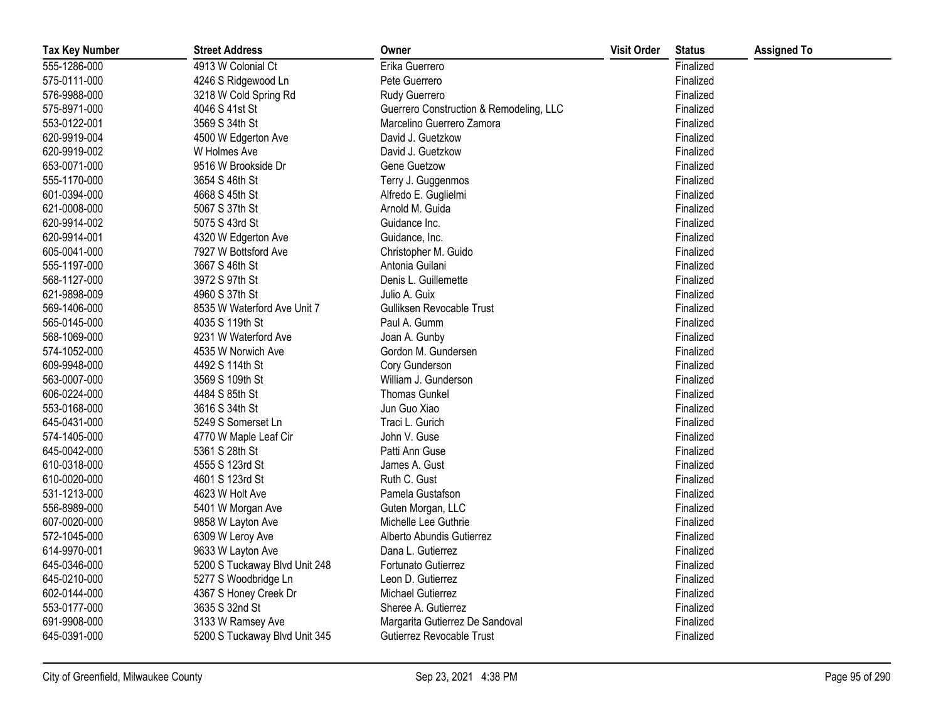| <b>Tax Key Number</b> | <b>Street Address</b>         | Owner                                   | <b>Visit Order</b> | <b>Status</b> | <b>Assigned To</b> |
|-----------------------|-------------------------------|-----------------------------------------|--------------------|---------------|--------------------|
| 555-1286-000          | 4913 W Colonial Ct            | Erika Guerrero                          |                    | Finalized     |                    |
| 575-0111-000          | 4246 S Ridgewood Ln           | Pete Guerrero                           |                    | Finalized     |                    |
| 576-9988-000          | 3218 W Cold Spring Rd         | Rudy Guerrero                           |                    | Finalized     |                    |
| 575-8971-000          | 4046 S 41st St                | Guerrero Construction & Remodeling, LLC |                    | Finalized     |                    |
| 553-0122-001          | 3569 S 34th St                | Marcelino Guerrero Zamora               |                    | Finalized     |                    |
| 620-9919-004          | 4500 W Edgerton Ave           | David J. Guetzkow                       |                    | Finalized     |                    |
| 620-9919-002          | W Holmes Ave                  | David J. Guetzkow                       |                    | Finalized     |                    |
| 653-0071-000          | 9516 W Brookside Dr           | Gene Guetzow                            |                    | Finalized     |                    |
| 555-1170-000          | 3654 S 46th St                | Terry J. Guggenmos                      |                    | Finalized     |                    |
| 601-0394-000          | 4668 S 45th St                | Alfredo E. Guglielmi                    |                    | Finalized     |                    |
| 621-0008-000          | 5067 S 37th St                | Arnold M. Guida                         |                    | Finalized     |                    |
| 620-9914-002          | 5075 S 43rd St                | Guidance Inc.                           |                    | Finalized     |                    |
| 620-9914-001          | 4320 W Edgerton Ave           | Guidance, Inc.                          |                    | Finalized     |                    |
| 605-0041-000          | 7927 W Bottsford Ave          | Christopher M. Guido                    |                    | Finalized     |                    |
| 555-1197-000          | 3667 S 46th St                | Antonia Guilani                         |                    | Finalized     |                    |
| 568-1127-000          | 3972 S 97th St                | Denis L. Guillemette                    |                    | Finalized     |                    |
| 621-9898-009          | 4960 S 37th St                | Julio A. Guix                           |                    | Finalized     |                    |
| 569-1406-000          | 8535 W Waterford Ave Unit 7   | Gulliksen Revocable Trust               |                    | Finalized     |                    |
| 565-0145-000          | 4035 S 119th St               | Paul A. Gumm                            |                    | Finalized     |                    |
| 568-1069-000          | 9231 W Waterford Ave          | Joan A. Gunby                           |                    | Finalized     |                    |
| 574-1052-000          | 4535 W Norwich Ave            | Gordon M. Gundersen                     |                    | Finalized     |                    |
| 609-9948-000          | 4492 S 114th St               | Cory Gunderson                          |                    | Finalized     |                    |
| 563-0007-000          | 3569 S 109th St               | William J. Gunderson                    |                    | Finalized     |                    |
| 606-0224-000          | 4484 S 85th St                | <b>Thomas Gunkel</b>                    |                    | Finalized     |                    |
| 553-0168-000          | 3616 S 34th St                | Jun Guo Xiao                            |                    | Finalized     |                    |
| 645-0431-000          | 5249 S Somerset Ln            | Traci L. Gurich                         |                    | Finalized     |                    |
| 574-1405-000          | 4770 W Maple Leaf Cir         | John V. Guse                            |                    | Finalized     |                    |
| 645-0042-000          | 5361 S 28th St                | Patti Ann Guse                          |                    | Finalized     |                    |
| 610-0318-000          | 4555 S 123rd St               | James A. Gust                           |                    | Finalized     |                    |
| 610-0020-000          | 4601 S 123rd St               | Ruth C. Gust                            |                    | Finalized     |                    |
| 531-1213-000          | 4623 W Holt Ave               | Pamela Gustafson                        |                    | Finalized     |                    |
| 556-8989-000          | 5401 W Morgan Ave             | Guten Morgan, LLC                       |                    | Finalized     |                    |
| 607-0020-000          | 9858 W Layton Ave             | Michelle Lee Guthrie                    |                    | Finalized     |                    |
| 572-1045-000          | 6309 W Leroy Ave              | Alberto Abundis Gutierrez               |                    | Finalized     |                    |
| 614-9970-001          | 9633 W Layton Ave             | Dana L. Gutierrez                       |                    | Finalized     |                    |
| 645-0346-000          | 5200 S Tuckaway Blvd Unit 248 | Fortunato Gutierrez                     |                    | Finalized     |                    |
| 645-0210-000          | 5277 S Woodbridge Ln          | Leon D. Gutierrez                       |                    | Finalized     |                    |
| 602-0144-000          | 4367 S Honey Creek Dr         | <b>Michael Gutierrez</b>                |                    | Finalized     |                    |
| 553-0177-000          | 3635 S 32nd St                | Sheree A. Gutierrez                     |                    | Finalized     |                    |
| 691-9908-000          | 3133 W Ramsey Ave             | Margarita Gutierrez De Sandoval         |                    | Finalized     |                    |
| 645-0391-000          | 5200 S Tuckaway Blvd Unit 345 | Gutierrez Revocable Trust               |                    | Finalized     |                    |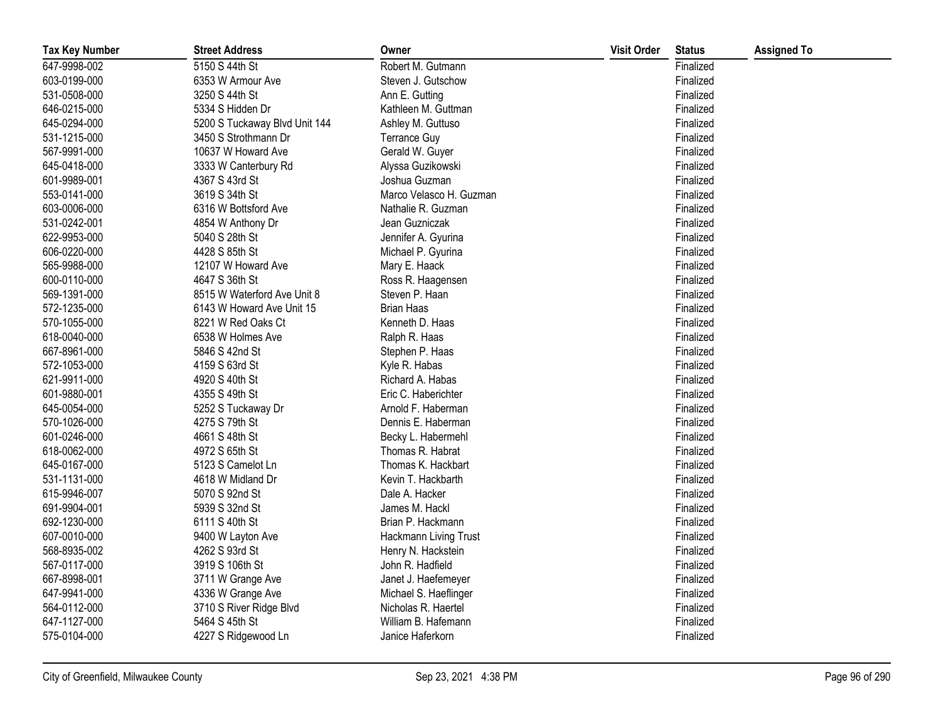| <b>Tax Key Number</b> | <b>Street Address</b>         | Owner                   | <b>Visit Order</b> | <b>Status</b> | <b>Assigned To</b> |
|-----------------------|-------------------------------|-------------------------|--------------------|---------------|--------------------|
| 647-9998-002          | 5150 S 44th St                | Robert M. Gutmann       |                    | Finalized     |                    |
| 603-0199-000          | 6353 W Armour Ave             | Steven J. Gutschow      |                    | Finalized     |                    |
| 531-0508-000          | 3250 S 44th St                | Ann E. Gutting          |                    | Finalized     |                    |
| 646-0215-000          | 5334 S Hidden Dr              | Kathleen M. Guttman     |                    | Finalized     |                    |
| 645-0294-000          | 5200 S Tuckaway Blvd Unit 144 | Ashley M. Guttuso       |                    | Finalized     |                    |
| 531-1215-000          | 3450 S Strothmann Dr          | <b>Terrance Guy</b>     |                    | Finalized     |                    |
| 567-9991-000          | 10637 W Howard Ave            | Gerald W. Guyer         |                    | Finalized     |                    |
| 645-0418-000          | 3333 W Canterbury Rd          | Alyssa Guzikowski       |                    | Finalized     |                    |
| 601-9989-001          | 4367 S 43rd St                | Joshua Guzman           |                    | Finalized     |                    |
| 553-0141-000          | 3619 S 34th St                | Marco Velasco H. Guzman |                    | Finalized     |                    |
| 603-0006-000          | 6316 W Bottsford Ave          | Nathalie R. Guzman      |                    | Finalized     |                    |
| 531-0242-001          | 4854 W Anthony Dr             | Jean Guzniczak          |                    | Finalized     |                    |
| 622-9953-000          | 5040 S 28th St                | Jennifer A. Gyurina     |                    | Finalized     |                    |
| 606-0220-000          | 4428 S 85th St                | Michael P. Gyurina      |                    | Finalized     |                    |
| 565-9988-000          | 12107 W Howard Ave            | Mary E. Haack           |                    | Finalized     |                    |
| 600-0110-000          | 4647 S 36th St                | Ross R. Haagensen       |                    | Finalized     |                    |
| 569-1391-000          | 8515 W Waterford Ave Unit 8   | Steven P. Haan          |                    | Finalized     |                    |
| 572-1235-000          | 6143 W Howard Ave Unit 15     | <b>Brian Haas</b>       |                    | Finalized     |                    |
| 570-1055-000          | 8221 W Red Oaks Ct            | Kenneth D. Haas         |                    | Finalized     |                    |
| 618-0040-000          | 6538 W Holmes Ave             | Ralph R. Haas           |                    | Finalized     |                    |
| 667-8961-000          | 5846 S 42nd St                | Stephen P. Haas         |                    | Finalized     |                    |
| 572-1053-000          | 4159 S 63rd St                | Kyle R. Habas           |                    | Finalized     |                    |
| 621-9911-000          | 4920 S 40th St                | Richard A. Habas        |                    | Finalized     |                    |
| 601-9880-001          | 4355 S 49th St                | Eric C. Haberichter     |                    | Finalized     |                    |
| 645-0054-000          | 5252 S Tuckaway Dr            | Arnold F. Haberman      |                    | Finalized     |                    |
| 570-1026-000          | 4275 S 79th St                | Dennis E. Haberman      |                    | Finalized     |                    |
| 601-0246-000          | 4661 S 48th St                | Becky L. Habermehl      |                    | Finalized     |                    |
| 618-0062-000          | 4972 S 65th St                | Thomas R. Habrat        |                    | Finalized     |                    |
| 645-0167-000          | 5123 S Camelot Ln             | Thomas K. Hackbart      |                    | Finalized     |                    |
| 531-1131-000          | 4618 W Midland Dr             | Kevin T. Hackbarth      |                    | Finalized     |                    |
| 615-9946-007          | 5070 S 92nd St                | Dale A. Hacker          |                    | Finalized     |                    |
| 691-9904-001          | 5939 S 32nd St                | James M. Hackl          |                    | Finalized     |                    |
| 692-1230-000          | 6111 S 40th St                | Brian P. Hackmann       |                    | Finalized     |                    |
| 607-0010-000          | 9400 W Layton Ave             | Hackmann Living Trust   |                    | Finalized     |                    |
| 568-8935-002          | 4262 S 93rd St                | Henry N. Hackstein      |                    | Finalized     |                    |
| 567-0117-000          | 3919 S 106th St               | John R. Hadfield        |                    | Finalized     |                    |
| 667-8998-001          | 3711 W Grange Ave             | Janet J. Haefemeyer     |                    | Finalized     |                    |
| 647-9941-000          | 4336 W Grange Ave             | Michael S. Haeflinger   |                    | Finalized     |                    |
| 564-0112-000          | 3710 S River Ridge Blvd       | Nicholas R. Haertel     |                    | Finalized     |                    |
| 647-1127-000          | 5464 S 45th St                | William B. Hafemann     |                    | Finalized     |                    |
| 575-0104-000          | 4227 S Ridgewood Ln           | Janice Haferkorn        |                    | Finalized     |                    |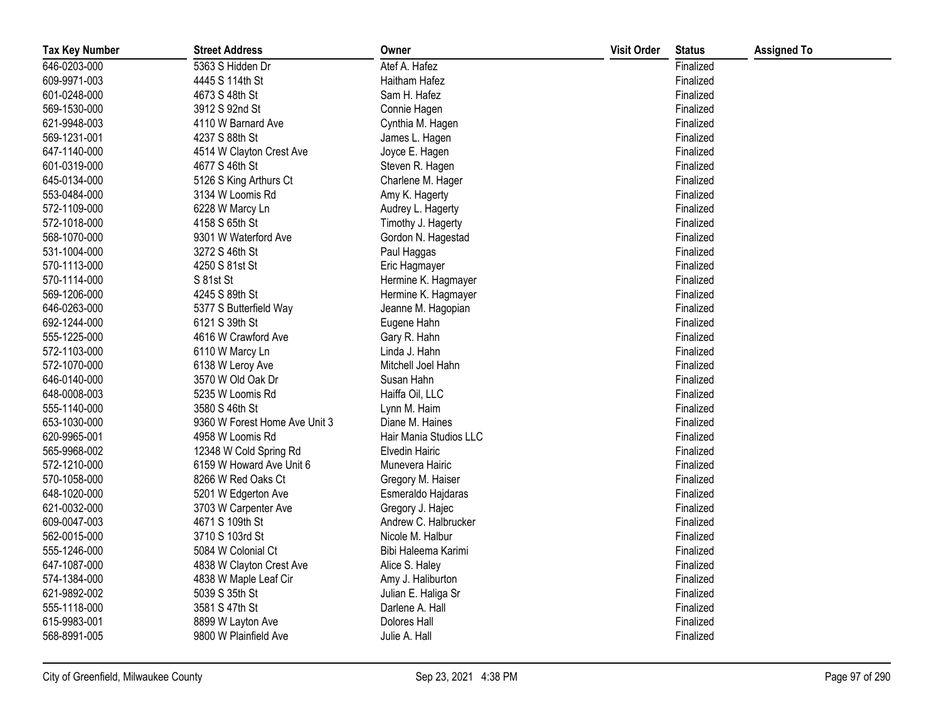| <b>Tax Key Number</b> | <b>Street Address</b>         | Owner                  | <b>Visit Order</b> | <b>Status</b> | <b>Assigned To</b> |
|-----------------------|-------------------------------|------------------------|--------------------|---------------|--------------------|
| 646-0203-000          | 5363 S Hidden Dr              | Atef A. Hafez          |                    | Finalized     |                    |
| 609-9971-003          | 4445 S 114th St               | Haitham Hafez          |                    | Finalized     |                    |
| 601-0248-000          | 4673 S 48th St                | Sam H. Hafez           |                    | Finalized     |                    |
| 569-1530-000          | 3912 S 92nd St                | Connie Hagen           |                    | Finalized     |                    |
| 621-9948-003          | 4110 W Barnard Ave            | Cynthia M. Hagen       |                    | Finalized     |                    |
| 569-1231-001          | 4237 S 88th St                | James L. Hagen         |                    | Finalized     |                    |
| 647-1140-000          | 4514 W Clayton Crest Ave      | Joyce E. Hagen         |                    | Finalized     |                    |
| 601-0319-000          | 4677 S 46th St                | Steven R. Hagen        |                    | Finalized     |                    |
| 645-0134-000          | 5126 S King Arthurs Ct        | Charlene M. Hager      |                    | Finalized     |                    |
| 553-0484-000          | 3134 W Loomis Rd              | Amy K. Hagerty         |                    | Finalized     |                    |
| 572-1109-000          | 6228 W Marcy Ln               | Audrey L. Hagerty      |                    | Finalized     |                    |
| 572-1018-000          | 4158 S 65th St                | Timothy J. Hagerty     |                    | Finalized     |                    |
| 568-1070-000          | 9301 W Waterford Ave          | Gordon N. Hagestad     |                    | Finalized     |                    |
| 531-1004-000          | 3272 S 46th St                | Paul Haggas            |                    | Finalized     |                    |
| 570-1113-000          | 4250 S 81st St                | Eric Hagmayer          |                    | Finalized     |                    |
| 570-1114-000          | S 81st St                     | Hermine K. Hagmayer    |                    | Finalized     |                    |
| 569-1206-000          | 4245 S 89th St                | Hermine K. Hagmayer    |                    | Finalized     |                    |
| 646-0263-000          | 5377 S Butterfield Way        | Jeanne M. Hagopian     |                    | Finalized     |                    |
| 692-1244-000          | 6121 S 39th St                | Eugene Hahn            |                    | Finalized     |                    |
| 555-1225-000          | 4616 W Crawford Ave           | Gary R. Hahn           |                    | Finalized     |                    |
| 572-1103-000          | 6110 W Marcy Ln               | Linda J. Hahn          |                    | Finalized     |                    |
| 572-1070-000          | 6138 W Leroy Ave              | Mitchell Joel Hahn     |                    | Finalized     |                    |
| 646-0140-000          | 3570 W Old Oak Dr             | Susan Hahn             |                    | Finalized     |                    |
| 648-0008-003          | 5235 W Loomis Rd              | Haiffa Oil, LLC        |                    | Finalized     |                    |
| 555-1140-000          | 3580 S 46th St                | Lynn M. Haim           |                    | Finalized     |                    |
| 653-1030-000          | 9360 W Forest Home Ave Unit 3 | Diane M. Haines        |                    | Finalized     |                    |
| 620-9965-001          | 4958 W Loomis Rd              | Hair Mania Studios LLC |                    | Finalized     |                    |
| 565-9968-002          | 12348 W Cold Spring Rd        | <b>Elvedin Hairic</b>  |                    | Finalized     |                    |
| 572-1210-000          | 6159 W Howard Ave Unit 6      | Munevera Hairic        |                    | Finalized     |                    |
| 570-1058-000          | 8266 W Red Oaks Ct            | Gregory M. Haiser      |                    | Finalized     |                    |
| 648-1020-000          | 5201 W Edgerton Ave           | Esmeraldo Hajdaras     |                    | Finalized     |                    |
| 621-0032-000          | 3703 W Carpenter Ave          | Gregory J. Hajec       |                    | Finalized     |                    |
| 609-0047-003          | 4671 S 109th St               | Andrew C. Halbrucker   |                    | Finalized     |                    |
| 562-0015-000          | 3710 S 103rd St               | Nicole M. Halbur       |                    | Finalized     |                    |
| 555-1246-000          | 5084 W Colonial Ct            | Bibi Haleema Karimi    |                    | Finalized     |                    |
| 647-1087-000          | 4838 W Clayton Crest Ave      | Alice S. Haley         |                    | Finalized     |                    |
| 574-1384-000          | 4838 W Maple Leaf Cir         | Amy J. Haliburton      |                    | Finalized     |                    |
| 621-9892-002          | 5039 S 35th St                | Julian E. Haliga Sr    |                    | Finalized     |                    |
| 555-1118-000          | 3581 S 47th St                | Darlene A. Hall        |                    | Finalized     |                    |
| 615-9983-001          | 8899 W Layton Ave             | Dolores Hall           |                    | Finalized     |                    |
| 568-8991-005          | 9800 W Plainfield Ave         | Julie A. Hall          |                    | Finalized     |                    |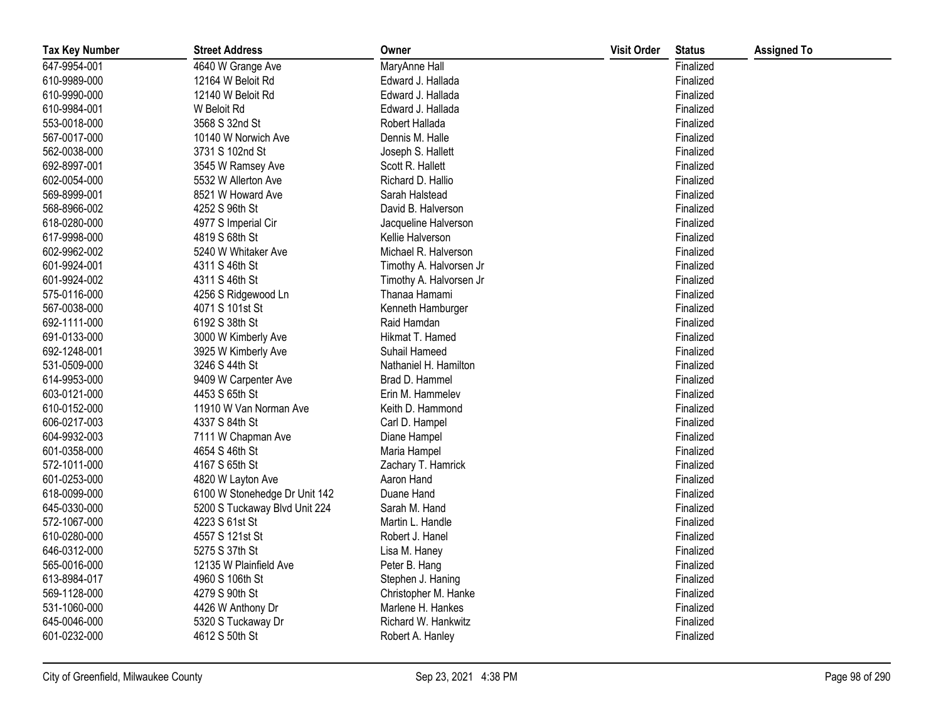| <b>Tax Key Number</b> | <b>Street Address</b>         | Owner                   | <b>Visit Order</b> | <b>Status</b> | <b>Assigned To</b> |
|-----------------------|-------------------------------|-------------------------|--------------------|---------------|--------------------|
| 647-9954-001          | 4640 W Grange Ave             | MaryAnne Hall           |                    | Finalized     |                    |
| 610-9989-000          | 12164 W Beloit Rd             | Edward J. Hallada       |                    | Finalized     |                    |
| 610-9990-000          | 12140 W Beloit Rd             | Edward J. Hallada       |                    | Finalized     |                    |
| 610-9984-001          | W Beloit Rd                   | Edward J. Hallada       |                    | Finalized     |                    |
| 553-0018-000          | 3568 S 32nd St                | Robert Hallada          |                    | Finalized     |                    |
| 567-0017-000          | 10140 W Norwich Ave           | Dennis M. Halle         |                    | Finalized     |                    |
| 562-0038-000          | 3731 S 102nd St               | Joseph S. Hallett       |                    | Finalized     |                    |
| 692-8997-001          | 3545 W Ramsey Ave             | Scott R. Hallett        |                    | Finalized     |                    |
| 602-0054-000          | 5532 W Allerton Ave           | Richard D. Hallio       |                    | Finalized     |                    |
| 569-8999-001          | 8521 W Howard Ave             | Sarah Halstead          |                    | Finalized     |                    |
| 568-8966-002          | 4252 S 96th St                | David B. Halverson      |                    | Finalized     |                    |
| 618-0280-000          | 4977 S Imperial Cir           | Jacqueline Halverson    |                    | Finalized     |                    |
| 617-9998-000          | 4819 S 68th St                | Kellie Halverson        |                    | Finalized     |                    |
| 602-9962-002          | 5240 W Whitaker Ave           | Michael R. Halverson    |                    | Finalized     |                    |
| 601-9924-001          | 4311 S 46th St                | Timothy A. Halvorsen Jr |                    | Finalized     |                    |
| 601-9924-002          | 4311 S 46th St                | Timothy A. Halvorsen Jr |                    | Finalized     |                    |
| 575-0116-000          | 4256 S Ridgewood Ln           | Thanaa Hamami           |                    | Finalized     |                    |
| 567-0038-000          | 4071 S 101st St               | Kenneth Hamburger       |                    | Finalized     |                    |
| 692-1111-000          | 6192 S 38th St                | Raid Hamdan             |                    | Finalized     |                    |
| 691-0133-000          | 3000 W Kimberly Ave           | Hikmat T. Hamed         |                    | Finalized     |                    |
| 692-1248-001          | 3925 W Kimberly Ave           | Suhail Hameed           |                    | Finalized     |                    |
| 531-0509-000          | 3246 S 44th St                | Nathaniel H. Hamilton   |                    | Finalized     |                    |
| 614-9953-000          | 9409 W Carpenter Ave          | Brad D. Hammel          |                    | Finalized     |                    |
| 603-0121-000          | 4453 S 65th St                | Erin M. Hammelev        |                    | Finalized     |                    |
| 610-0152-000          | 11910 W Van Norman Ave        | Keith D. Hammond        |                    | Finalized     |                    |
| 606-0217-003          | 4337 S 84th St                | Carl D. Hampel          |                    | Finalized     |                    |
| 604-9932-003          | 7111 W Chapman Ave            | Diane Hampel            |                    | Finalized     |                    |
| 601-0358-000          | 4654 S 46th St                | Maria Hampel            |                    | Finalized     |                    |
| 572-1011-000          | 4167 S 65th St                | Zachary T. Hamrick      |                    | Finalized     |                    |
| 601-0253-000          | 4820 W Layton Ave             | Aaron Hand              |                    | Finalized     |                    |
| 618-0099-000          | 6100 W Stonehedge Dr Unit 142 | Duane Hand              |                    | Finalized     |                    |
| 645-0330-000          | 5200 S Tuckaway Blvd Unit 224 | Sarah M. Hand           |                    | Finalized     |                    |
| 572-1067-000          | 4223 S 61st St                | Martin L. Handle        |                    | Finalized     |                    |
| 610-0280-000          | 4557 S 121st St               | Robert J. Hanel         |                    | Finalized     |                    |
| 646-0312-000          | 5275 S 37th St                | Lisa M. Haney           |                    | Finalized     |                    |
| 565-0016-000          | 12135 W Plainfield Ave        | Peter B. Hang           |                    | Finalized     |                    |
| 613-8984-017          | 4960 S 106th St               | Stephen J. Haning       |                    | Finalized     |                    |
| 569-1128-000          | 4279 S 90th St                | Christopher M. Hanke    |                    | Finalized     |                    |
| 531-1060-000          | 4426 W Anthony Dr             | Marlene H. Hankes       |                    | Finalized     |                    |
| 645-0046-000          | 5320 S Tuckaway Dr            | Richard W. Hankwitz     |                    | Finalized     |                    |
| 601-0232-000          | 4612 S 50th St                | Robert A. Hanley        |                    | Finalized     |                    |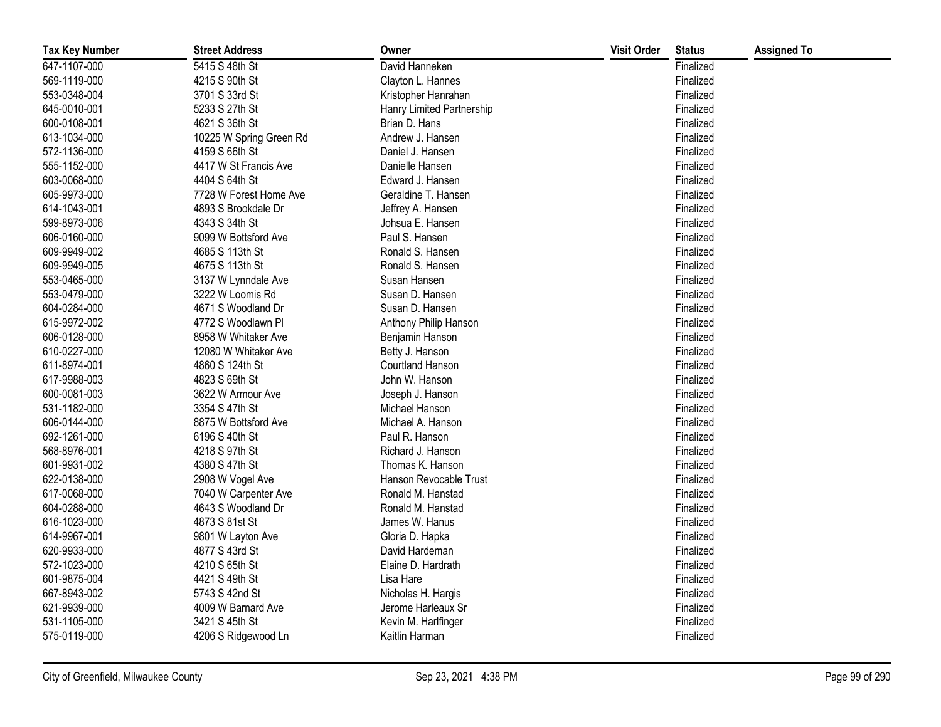| <b>Tax Key Number</b> | <b>Street Address</b>   | Owner                     | <b>Visit Order</b> | <b>Status</b> | <b>Assigned To</b> |
|-----------------------|-------------------------|---------------------------|--------------------|---------------|--------------------|
| 647-1107-000          | 5415 S 48th St          | David Hanneken            |                    | Finalized     |                    |
| 569-1119-000          | 4215 S 90th St          | Clayton L. Hannes         |                    | Finalized     |                    |
| 553-0348-004          | 3701 S 33rd St          | Kristopher Hanrahan       |                    | Finalized     |                    |
| 645-0010-001          | 5233 S 27th St          | Hanry Limited Partnership |                    | Finalized     |                    |
| 600-0108-001          | 4621 S 36th St          | Brian D. Hans             |                    | Finalized     |                    |
| 613-1034-000          | 10225 W Spring Green Rd | Andrew J. Hansen          |                    | Finalized     |                    |
| 572-1136-000          | 4159 S 66th St          | Daniel J. Hansen          |                    | Finalized     |                    |
| 555-1152-000          | 4417 W St Francis Ave   | Danielle Hansen           |                    | Finalized     |                    |
| 603-0068-000          | 4404 S 64th St          | Edward J. Hansen          |                    | Finalized     |                    |
| 605-9973-000          | 7728 W Forest Home Ave  | Geraldine T. Hansen       |                    | Finalized     |                    |
| 614-1043-001          | 4893 S Brookdale Dr     | Jeffrey A. Hansen         |                    | Finalized     |                    |
| 599-8973-006          | 4343 S 34th St          | Johsua E. Hansen          |                    | Finalized     |                    |
| 606-0160-000          | 9099 W Bottsford Ave    | Paul S. Hansen            |                    | Finalized     |                    |
| 609-9949-002          | 4685 S 113th St         | Ronald S. Hansen          |                    | Finalized     |                    |
| 609-9949-005          | 4675 S 113th St         | Ronald S. Hansen          |                    | Finalized     |                    |
| 553-0465-000          | 3137 W Lynndale Ave     | Susan Hansen              |                    | Finalized     |                    |
| 553-0479-000          | 3222 W Loomis Rd        | Susan D. Hansen           |                    | Finalized     |                    |
| 604-0284-000          | 4671 S Woodland Dr      | Susan D. Hansen           |                    | Finalized     |                    |
| 615-9972-002          | 4772 S Woodlawn Pl      | Anthony Philip Hanson     |                    | Finalized     |                    |
| 606-0128-000          | 8958 W Whitaker Ave     | Benjamin Hanson           |                    | Finalized     |                    |
| 610-0227-000          | 12080 W Whitaker Ave    | Betty J. Hanson           |                    | Finalized     |                    |
| 611-8974-001          | 4860 S 124th St         | Courtland Hanson          |                    | Finalized     |                    |
| 617-9988-003          | 4823 S 69th St          | John W. Hanson            |                    | Finalized     |                    |
| 600-0081-003          | 3622 W Armour Ave       | Joseph J. Hanson          |                    | Finalized     |                    |
| 531-1182-000          | 3354 S 47th St          | Michael Hanson            |                    | Finalized     |                    |
| 606-0144-000          | 8875 W Bottsford Ave    | Michael A. Hanson         |                    | Finalized     |                    |
| 692-1261-000          | 6196 S 40th St          | Paul R. Hanson            |                    | Finalized     |                    |
| 568-8976-001          | 4218 S 97th St          | Richard J. Hanson         |                    | Finalized     |                    |
| 601-9931-002          | 4380 S 47th St          | Thomas K. Hanson          |                    | Finalized     |                    |
| 622-0138-000          | 2908 W Vogel Ave        | Hanson Revocable Trust    |                    | Finalized     |                    |
| 617-0068-000          | 7040 W Carpenter Ave    | Ronald M. Hanstad         |                    | Finalized     |                    |
| 604-0288-000          | 4643 S Woodland Dr      | Ronald M. Hanstad         |                    | Finalized     |                    |
| 616-1023-000          | 4873 S 81st St          | James W. Hanus            |                    | Finalized     |                    |
| 614-9967-001          | 9801 W Layton Ave       | Gloria D. Hapka           |                    | Finalized     |                    |
| 620-9933-000          | 4877 S 43rd St          | David Hardeman            |                    | Finalized     |                    |
| 572-1023-000          | 4210 S 65th St          | Elaine D. Hardrath        |                    | Finalized     |                    |
| 601-9875-004          | 4421 S 49th St          | Lisa Hare                 |                    | Finalized     |                    |
| 667-8943-002          | 5743 S 42nd St          | Nicholas H. Hargis        |                    | Finalized     |                    |
| 621-9939-000          | 4009 W Barnard Ave      | Jerome Harleaux Sr        |                    | Finalized     |                    |
| 531-1105-000          | 3421 S 45th St          | Kevin M. Harlfinger       |                    | Finalized     |                    |
| 575-0119-000          | 4206 S Ridgewood Ln     | Kaitlin Harman            |                    | Finalized     |                    |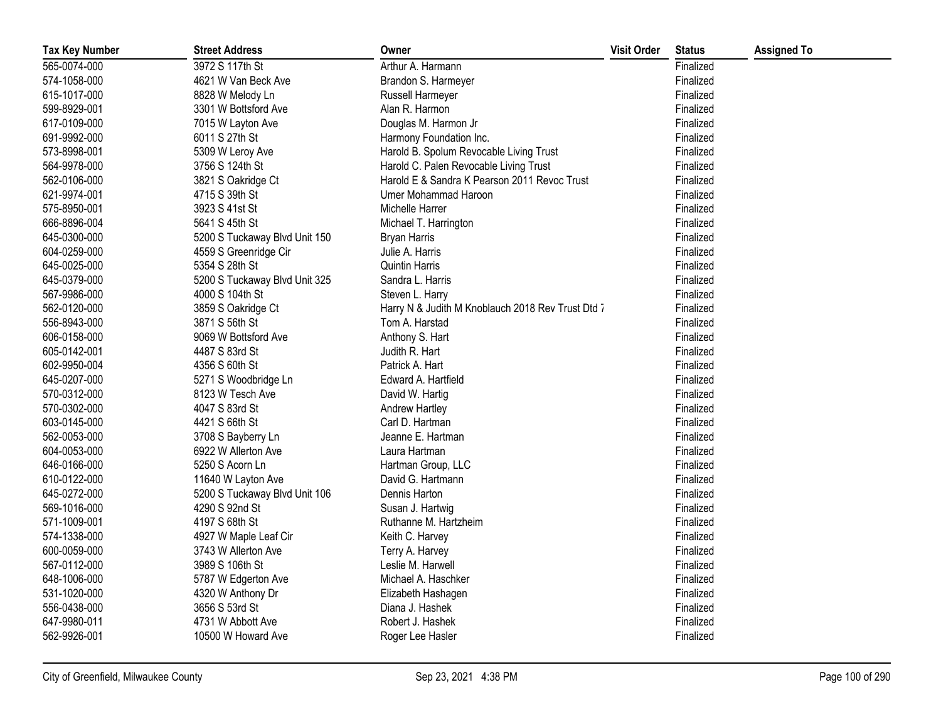| <b>Tax Key Number</b> | <b>Street Address</b>         | Owner                                             | <b>Visit Order</b> | <b>Status</b> | <b>Assigned To</b> |
|-----------------------|-------------------------------|---------------------------------------------------|--------------------|---------------|--------------------|
| 565-0074-000          | 3972 S 117th St               | Arthur A. Harmann                                 |                    | Finalized     |                    |
| 574-1058-000          | 4621 W Van Beck Ave           | Brandon S. Harmeyer                               |                    | Finalized     |                    |
| 615-1017-000          | 8828 W Melody Ln              | Russell Harmeyer                                  |                    | Finalized     |                    |
| 599-8929-001          | 3301 W Bottsford Ave          | Alan R. Harmon                                    |                    | Finalized     |                    |
| 617-0109-000          | 7015 W Layton Ave             | Douglas M. Harmon Jr                              |                    | Finalized     |                    |
| 691-9992-000          | 6011 S 27th St                | Harmony Foundation Inc.                           |                    | Finalized     |                    |
| 573-8998-001          | 5309 W Leroy Ave              | Harold B. Spolum Revocable Living Trust           |                    | Finalized     |                    |
| 564-9978-000          | 3756 S 124th St               | Harold C. Palen Revocable Living Trust            |                    | Finalized     |                    |
| 562-0106-000          | 3821 S Oakridge Ct            | Harold E & Sandra K Pearson 2011 Revoc Trust      |                    | Finalized     |                    |
| 621-9974-001          | 4715 S 39th St                | Umer Mohammad Haroon                              |                    | Finalized     |                    |
| 575-8950-001          | 3923 S 41st St                | Michelle Harrer                                   |                    | Finalized     |                    |
| 666-8896-004          | 5641 S 45th St                | Michael T. Harrington                             |                    | Finalized     |                    |
| 645-0300-000          | 5200 S Tuckaway Blvd Unit 150 | <b>Bryan Harris</b>                               |                    | Finalized     |                    |
| 604-0259-000          | 4559 S Greenridge Cir         | Julie A. Harris                                   |                    | Finalized     |                    |
| 645-0025-000          | 5354 S 28th St                | <b>Quintin Harris</b>                             |                    | Finalized     |                    |
| 645-0379-000          | 5200 S Tuckaway Blvd Unit 325 | Sandra L. Harris                                  |                    | Finalized     |                    |
| 567-9986-000          | 4000 S 104th St               | Steven L. Harry                                   |                    | Finalized     |                    |
| 562-0120-000          | 3859 S Oakridge Ct            | Harry N & Judith M Knoblauch 2018 Rev Trust Dtd 7 |                    | Finalized     |                    |
| 556-8943-000          | 3871 S 56th St                | Tom A. Harstad                                    |                    | Finalized     |                    |
| 606-0158-000          | 9069 W Bottsford Ave          | Anthony S. Hart                                   |                    | Finalized     |                    |
| 605-0142-001          | 4487 S 83rd St                | Judith R. Hart                                    |                    | Finalized     |                    |
| 602-9950-004          | 4356 S 60th St                | Patrick A. Hart                                   |                    | Finalized     |                    |
| 645-0207-000          | 5271 S Woodbridge Ln          | Edward A. Hartfield                               |                    | Finalized     |                    |
| 570-0312-000          | 8123 W Tesch Ave              | David W. Hartig                                   |                    | Finalized     |                    |
| 570-0302-000          | 4047 S 83rd St                | Andrew Hartley                                    |                    | Finalized     |                    |
| 603-0145-000          | 4421 S 66th St                | Carl D. Hartman                                   |                    | Finalized     |                    |
| 562-0053-000          | 3708 S Bayberry Ln            | Jeanne E. Hartman                                 |                    | Finalized     |                    |
| 604-0053-000          | 6922 W Allerton Ave           | Laura Hartman                                     |                    | Finalized     |                    |
| 646-0166-000          | 5250 S Acorn Ln               | Hartman Group, LLC                                |                    | Finalized     |                    |
| 610-0122-000          | 11640 W Layton Ave            | David G. Hartmann                                 |                    | Finalized     |                    |
| 645-0272-000          | 5200 S Tuckaway Blvd Unit 106 | Dennis Harton                                     |                    | Finalized     |                    |
| 569-1016-000          | 4290 S 92nd St                | Susan J. Hartwig                                  |                    | Finalized     |                    |
| 571-1009-001          | 4197 S 68th St                | Ruthanne M. Hartzheim                             |                    | Finalized     |                    |
| 574-1338-000          | 4927 W Maple Leaf Cir         | Keith C. Harvey                                   |                    | Finalized     |                    |
| 600-0059-000          | 3743 W Allerton Ave           | Terry A. Harvey                                   |                    | Finalized     |                    |
| 567-0112-000          | 3989 S 106th St               | Leslie M. Harwell                                 |                    | Finalized     |                    |
| 648-1006-000          | 5787 W Edgerton Ave           | Michael A. Haschker                               |                    | Finalized     |                    |
| 531-1020-000          | 4320 W Anthony Dr             | Elizabeth Hashagen                                |                    | Finalized     |                    |
| 556-0438-000          | 3656 S 53rd St                | Diana J. Hashek                                   |                    | Finalized     |                    |
| 647-9980-011          | 4731 W Abbott Ave             | Robert J. Hashek                                  |                    | Finalized     |                    |
| 562-9926-001          | 10500 W Howard Ave            | Roger Lee Hasler                                  |                    | Finalized     |                    |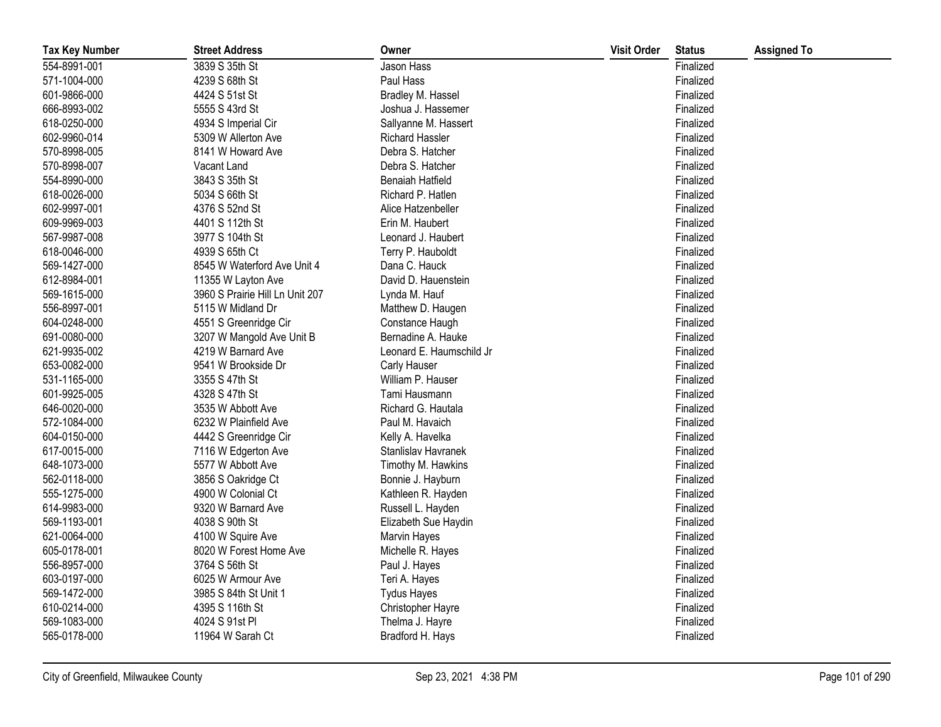| <b>Tax Key Number</b> | <b>Street Address</b>           | Owner                    | <b>Visit Order</b> | <b>Status</b> | <b>Assigned To</b> |
|-----------------------|---------------------------------|--------------------------|--------------------|---------------|--------------------|
| 554-8991-001          | 3839 S 35th St                  | Jason Hass               |                    | Finalized     |                    |
| 571-1004-000          | 4239 S 68th St                  | Paul Hass                |                    | Finalized     |                    |
| 601-9866-000          | 4424 S 51st St                  | Bradley M. Hassel        |                    | Finalized     |                    |
| 666-8993-002          | 5555 S 43rd St                  | Joshua J. Hassemer       |                    | Finalized     |                    |
| 618-0250-000          | 4934 S Imperial Cir             | Sallyanne M. Hassert     |                    | Finalized     |                    |
| 602-9960-014          | 5309 W Allerton Ave             | <b>Richard Hassler</b>   |                    | Finalized     |                    |
| 570-8998-005          | 8141 W Howard Ave               | Debra S. Hatcher         |                    | Finalized     |                    |
| 570-8998-007          | Vacant Land                     | Debra S. Hatcher         |                    | Finalized     |                    |
| 554-8990-000          | 3843 S 35th St                  | Benaiah Hatfield         |                    | Finalized     |                    |
| 618-0026-000          | 5034 S 66th St                  | Richard P. Hatlen        |                    | Finalized     |                    |
| 602-9997-001          | 4376 S 52nd St                  | Alice Hatzenbeller       |                    | Finalized     |                    |
| 609-9969-003          | 4401 S 112th St                 | Erin M. Haubert          |                    | Finalized     |                    |
| 567-9987-008          | 3977 S 104th St                 | Leonard J. Haubert       |                    | Finalized     |                    |
| 618-0046-000          | 4939 S 65th Ct                  | Terry P. Hauboldt        |                    | Finalized     |                    |
| 569-1427-000          | 8545 W Waterford Ave Unit 4     | Dana C. Hauck            |                    | Finalized     |                    |
| 612-8984-001          | 11355 W Layton Ave              | David D. Hauenstein      |                    | Finalized     |                    |
| 569-1615-000          | 3960 S Prairie Hill Ln Unit 207 | Lynda M. Hauf            |                    | Finalized     |                    |
| 556-8997-001          | 5115 W Midland Dr               | Matthew D. Haugen        |                    | Finalized     |                    |
| 604-0248-000          | 4551 S Greenridge Cir           | Constance Haugh          |                    | Finalized     |                    |
| 691-0080-000          | 3207 W Mangold Ave Unit B       | Bernadine A. Hauke       |                    | Finalized     |                    |
| 621-9935-002          | 4219 W Barnard Ave              | Leonard E. Haumschild Jr |                    | Finalized     |                    |
| 653-0082-000          | 9541 W Brookside Dr             | Carly Hauser             |                    | Finalized     |                    |
| 531-1165-000          | 3355 S 47th St                  | William P. Hauser        |                    | Finalized     |                    |
| 601-9925-005          | 4328 S 47th St                  | Tami Hausmann            |                    | Finalized     |                    |
| 646-0020-000          | 3535 W Abbott Ave               | Richard G. Hautala       |                    | Finalized     |                    |
| 572-1084-000          | 6232 W Plainfield Ave           | Paul M. Havaich          |                    | Finalized     |                    |
| 604-0150-000          | 4442 S Greenridge Cir           | Kelly A. Havelka         |                    | Finalized     |                    |
| 617-0015-000          | 7116 W Edgerton Ave             | Stanlislav Havranek      |                    | Finalized     |                    |
| 648-1073-000          | 5577 W Abbott Ave               | Timothy M. Hawkins       |                    | Finalized     |                    |
| 562-0118-000          | 3856 S Oakridge Ct              | Bonnie J. Hayburn        |                    | Finalized     |                    |
| 555-1275-000          | 4900 W Colonial Ct              | Kathleen R. Hayden       |                    | Finalized     |                    |
| 614-9983-000          | 9320 W Barnard Ave              | Russell L. Hayden        |                    | Finalized     |                    |
| 569-1193-001          | 4038 S 90th St                  | Elizabeth Sue Haydin     |                    | Finalized     |                    |
| 621-0064-000          | 4100 W Squire Ave               | <b>Marvin Hayes</b>      |                    | Finalized     |                    |
| 605-0178-001          | 8020 W Forest Home Ave          | Michelle R. Hayes        |                    | Finalized     |                    |
| 556-8957-000          | 3764 S 56th St                  | Paul J. Hayes            |                    | Finalized     |                    |
| 603-0197-000          | 6025 W Armour Ave               | Teri A. Hayes            |                    | Finalized     |                    |
| 569-1472-000          | 3985 S 84th St Unit 1           | <b>Tydus Hayes</b>       |                    | Finalized     |                    |
| 610-0214-000          | 4395 S 116th St                 | Christopher Hayre        |                    | Finalized     |                    |
| 569-1083-000          | 4024 S 91st PI                  | Thelma J. Hayre          |                    | Finalized     |                    |
| 565-0178-000          | 11964 W Sarah Ct                | Bradford H. Hays         |                    | Finalized     |                    |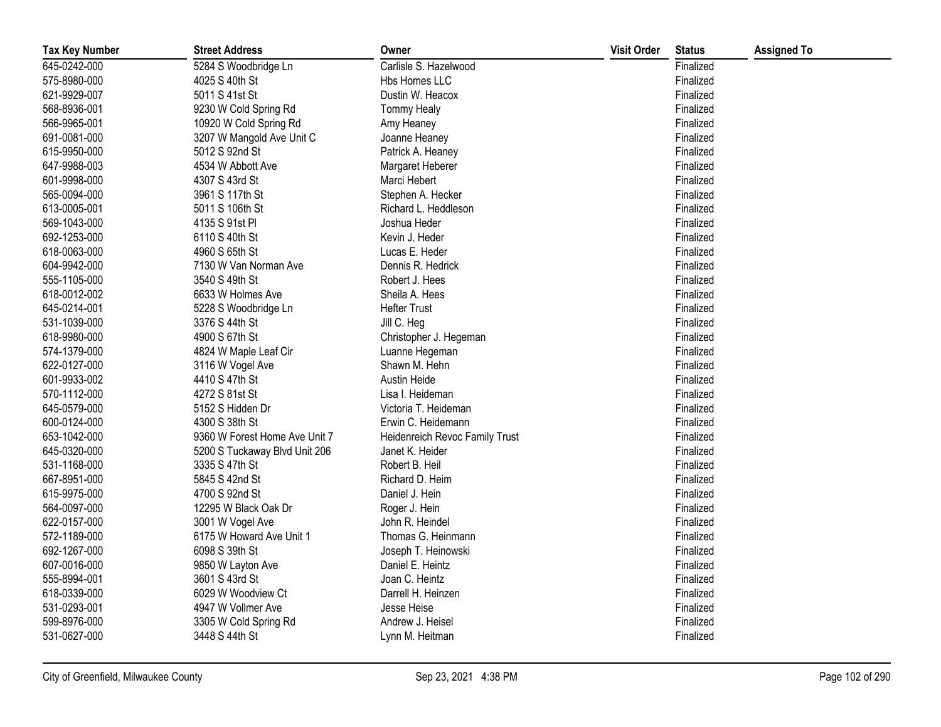| <b>Tax Key Number</b> | <b>Street Address</b>         | Owner                          | <b>Visit Order</b> | <b>Status</b> | <b>Assigned To</b> |
|-----------------------|-------------------------------|--------------------------------|--------------------|---------------|--------------------|
| 645-0242-000          | 5284 S Woodbridge Ln          | Carlisle S. Hazelwood          |                    | Finalized     |                    |
| 575-8980-000          | 4025 S 40th St                | Hbs Homes LLC                  |                    | Finalized     |                    |
| 621-9929-007          | 5011 S 41st St                | Dustin W. Heacox               |                    | Finalized     |                    |
| 568-8936-001          | 9230 W Cold Spring Rd         | <b>Tommy Healy</b>             |                    | Finalized     |                    |
| 566-9965-001          | 10920 W Cold Spring Rd        | Amy Heaney                     |                    | Finalized     |                    |
| 691-0081-000          | 3207 W Mangold Ave Unit C     | Joanne Heaney                  |                    | Finalized     |                    |
| 615-9950-000          | 5012 S 92nd St                | Patrick A. Heaney              |                    | Finalized     |                    |
| 647-9988-003          | 4534 W Abbott Ave             | Margaret Heberer               |                    | Finalized     |                    |
| 601-9998-000          | 4307 S 43rd St                | Marci Hebert                   |                    | Finalized     |                    |
| 565-0094-000          | 3961 S 117th St               | Stephen A. Hecker              |                    | Finalized     |                    |
| 613-0005-001          | 5011 S 106th St               | Richard L. Heddleson           |                    | Finalized     |                    |
| 569-1043-000          | 4135 S 91st PI                | Joshua Heder                   |                    | Finalized     |                    |
| 692-1253-000          | 6110 S 40th St                | Kevin J. Heder                 |                    | Finalized     |                    |
| 618-0063-000          | 4960 S 65th St                | Lucas E. Heder                 |                    | Finalized     |                    |
| 604-9942-000          | 7130 W Van Norman Ave         | Dennis R. Hedrick              |                    | Finalized     |                    |
| 555-1105-000          | 3540 S 49th St                | Robert J. Hees                 |                    | Finalized     |                    |
| 618-0012-002          | 6633 W Holmes Ave             | Sheila A. Hees                 |                    | Finalized     |                    |
| 645-0214-001          | 5228 S Woodbridge Ln          | <b>Hefter Trust</b>            |                    | Finalized     |                    |
| 531-1039-000          | 3376 S 44th St                | Jill C. Heg                    |                    | Finalized     |                    |
| 618-9980-000          | 4900 S 67th St                | Christopher J. Hegeman         |                    | Finalized     |                    |
| 574-1379-000          | 4824 W Maple Leaf Cir         | Luanne Hegeman                 |                    | Finalized     |                    |
| 622-0127-000          | 3116 W Vogel Ave              | Shawn M. Hehn                  |                    | Finalized     |                    |
| 601-9933-002          | 4410 S 47th St                | Austin Heide                   |                    | Finalized     |                    |
| 570-1112-000          | 4272 S 81st St                | Lisa I. Heideman               |                    | Finalized     |                    |
| 645-0579-000          | 5152 S Hidden Dr              | Victoria T. Heideman           |                    | Finalized     |                    |
| 600-0124-000          | 4300 S 38th St                | Erwin C. Heidemann             |                    | Finalized     |                    |
| 653-1042-000          | 9360 W Forest Home Ave Unit 7 | Heidenreich Revoc Family Trust |                    | Finalized     |                    |
| 645-0320-000          | 5200 S Tuckaway Blvd Unit 206 | Janet K. Heider                |                    | Finalized     |                    |
| 531-1168-000          | 3335 S 47th St                | Robert B. Heil                 |                    | Finalized     |                    |
| 667-8951-000          | 5845 S 42nd St                | Richard D. Heim                |                    | Finalized     |                    |
| 615-9975-000          | 4700 S 92nd St                | Daniel J. Hein                 |                    | Finalized     |                    |
| 564-0097-000          | 12295 W Black Oak Dr          | Roger J. Hein                  |                    | Finalized     |                    |
| 622-0157-000          | 3001 W Vogel Ave              | John R. Heindel                |                    | Finalized     |                    |
| 572-1189-000          | 6175 W Howard Ave Unit 1      | Thomas G. Heinmann             |                    | Finalized     |                    |
| 692-1267-000          | 6098 S 39th St                | Joseph T. Heinowski            |                    | Finalized     |                    |
| 607-0016-000          | 9850 W Layton Ave             | Daniel E. Heintz               |                    | Finalized     |                    |
| 555-8994-001          | 3601 S 43rd St                | Joan C. Heintz                 |                    | Finalized     |                    |
| 618-0339-000          | 6029 W Woodview Ct            | Darrell H. Heinzen             |                    | Finalized     |                    |
| 531-0293-001          | 4947 W Vollmer Ave            | Jesse Heise                    |                    | Finalized     |                    |
| 599-8976-000          | 3305 W Cold Spring Rd         | Andrew J. Heisel               |                    | Finalized     |                    |
| 531-0627-000          | 3448 S 44th St                | Lynn M. Heitman                |                    | Finalized     |                    |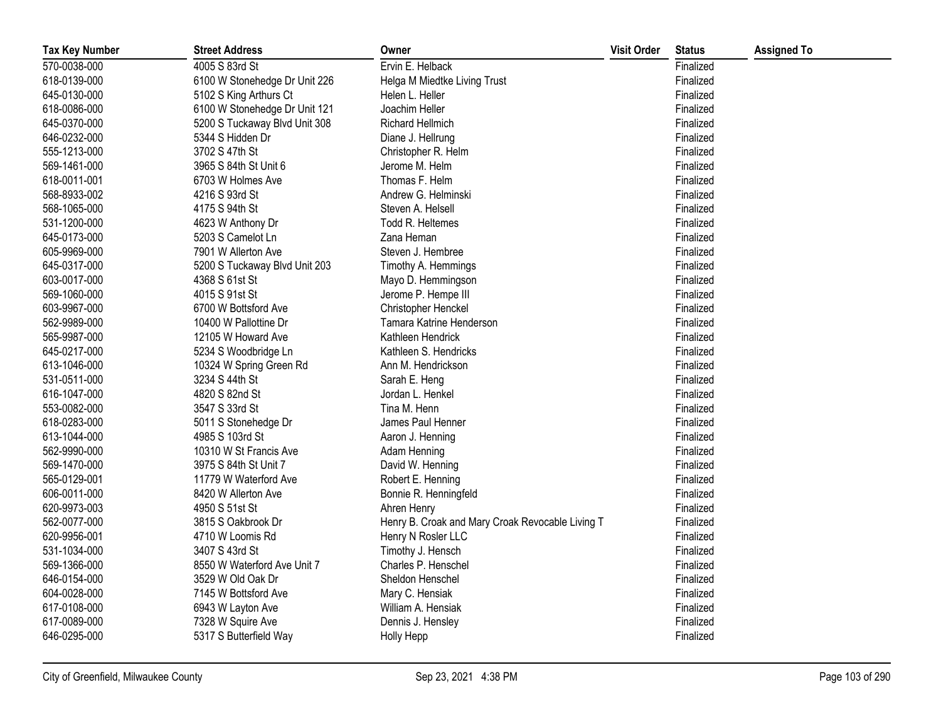| <b>Tax Key Number</b> | <b>Street Address</b>         | Owner                                            | <b>Visit Order</b> | <b>Status</b> | <b>Assigned To</b> |
|-----------------------|-------------------------------|--------------------------------------------------|--------------------|---------------|--------------------|
| 570-0038-000          | 4005 S 83rd St                | Ervin E. Helback                                 |                    | Finalized     |                    |
| 618-0139-000          | 6100 W Stonehedge Dr Unit 226 | Helga M Miedtke Living Trust                     |                    | Finalized     |                    |
| 645-0130-000          | 5102 S King Arthurs Ct        | Helen L. Heller                                  |                    | Finalized     |                    |
| 618-0086-000          | 6100 W Stonehedge Dr Unit 121 | Joachim Heller                                   |                    | Finalized     |                    |
| 645-0370-000          | 5200 S Tuckaway Blvd Unit 308 | Richard Hellmich                                 |                    | Finalized     |                    |
| 646-0232-000          | 5344 S Hidden Dr              | Diane J. Hellrung                                |                    | Finalized     |                    |
| 555-1213-000          | 3702 S 47th St                | Christopher R. Helm                              |                    | Finalized     |                    |
| 569-1461-000          | 3965 S 84th St Unit 6         | Jerome M. Helm                                   |                    | Finalized     |                    |
| 618-0011-001          | 6703 W Holmes Ave             | Thomas F. Helm                                   |                    | Finalized     |                    |
| 568-8933-002          | 4216 S 93rd St                | Andrew G. Helminski                              |                    | Finalized     |                    |
| 568-1065-000          | 4175 S 94th St                | Steven A. Helsell                                |                    | Finalized     |                    |
| 531-1200-000          | 4623 W Anthony Dr             | Todd R. Heltemes                                 |                    | Finalized     |                    |
| 645-0173-000          | 5203 S Camelot Ln             | Zana Heman                                       |                    | Finalized     |                    |
| 605-9969-000          | 7901 W Allerton Ave           | Steven J. Hembree                                |                    | Finalized     |                    |
| 645-0317-000          | 5200 S Tuckaway Blvd Unit 203 | Timothy A. Hemmings                              |                    | Finalized     |                    |
| 603-0017-000          | 4368 S 61st St                | Mayo D. Hemmingson                               |                    | Finalized     |                    |
| 569-1060-000          | 4015 S 91st St                | Jerome P. Hempe III                              |                    | Finalized     |                    |
| 603-9967-000          | 6700 W Bottsford Ave          | Christopher Henckel                              |                    | Finalized     |                    |
| 562-9989-000          | 10400 W Pallottine Dr         | Tamara Katrine Henderson                         |                    | Finalized     |                    |
| 565-9987-000          | 12105 W Howard Ave            | Kathleen Hendrick                                |                    | Finalized     |                    |
| 645-0217-000          | 5234 S Woodbridge Ln          | Kathleen S. Hendricks                            |                    | Finalized     |                    |
| 613-1046-000          | 10324 W Spring Green Rd       | Ann M. Hendrickson                               |                    | Finalized     |                    |
| 531-0511-000          | 3234 S 44th St                | Sarah E. Heng                                    |                    | Finalized     |                    |
| 616-1047-000          | 4820 S 82nd St                | Jordan L. Henkel                                 |                    | Finalized     |                    |
| 553-0082-000          | 3547 S 33rd St                | Tina M. Henn                                     |                    | Finalized     |                    |
| 618-0283-000          | 5011 S Stonehedge Dr          | James Paul Henner                                |                    | Finalized     |                    |
| 613-1044-000          | 4985 S 103rd St               | Aaron J. Henning                                 |                    | Finalized     |                    |
| 562-9990-000          | 10310 W St Francis Ave        | Adam Henning                                     |                    | Finalized     |                    |
| 569-1470-000          | 3975 S 84th St Unit 7         | David W. Henning                                 |                    | Finalized     |                    |
| 565-0129-001          | 11779 W Waterford Ave         | Robert E. Henning                                |                    | Finalized     |                    |
| 606-0011-000          | 8420 W Allerton Ave           | Bonnie R. Henningfeld                            |                    | Finalized     |                    |
| 620-9973-003          | 4950 S 51st St                | Ahren Henry                                      |                    | Finalized     |                    |
| 562-0077-000          | 3815 S Oakbrook Dr            | Henry B. Croak and Mary Croak Revocable Living T |                    | Finalized     |                    |
| 620-9956-001          | 4710 W Loomis Rd              | Henry N Rosler LLC                               |                    | Finalized     |                    |
| 531-1034-000          | 3407 S 43rd St                | Timothy J. Hensch                                |                    | Finalized     |                    |
| 569-1366-000          | 8550 W Waterford Ave Unit 7   | Charles P. Henschel                              |                    | Finalized     |                    |
| 646-0154-000          | 3529 W Old Oak Dr             | Sheldon Henschel                                 |                    | Finalized     |                    |
| 604-0028-000          | 7145 W Bottsford Ave          | Mary C. Hensiak                                  |                    | Finalized     |                    |
| 617-0108-000          | 6943 W Layton Ave             | William A. Hensiak                               |                    | Finalized     |                    |
| 617-0089-000          | 7328 W Squire Ave             | Dennis J. Hensley                                |                    | Finalized     |                    |
| 646-0295-000          | 5317 S Butterfield Way        | Holly Hepp                                       |                    | Finalized     |                    |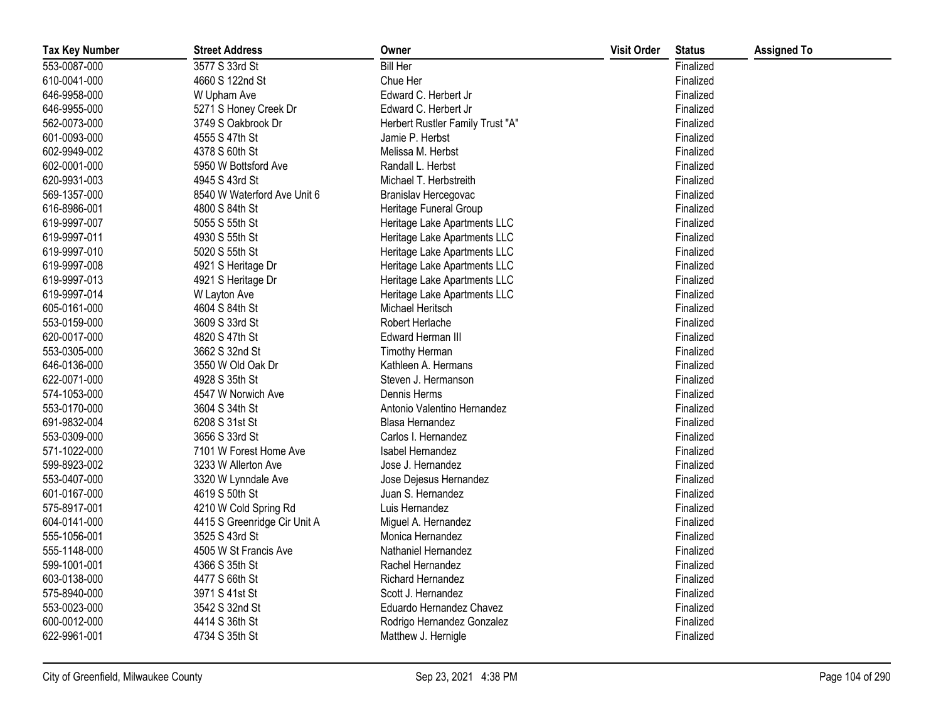| <b>Tax Key Number</b> | <b>Street Address</b>        | Owner                            | <b>Visit Order</b> | <b>Status</b> | <b>Assigned To</b> |
|-----------------------|------------------------------|----------------------------------|--------------------|---------------|--------------------|
| 553-0087-000          | 3577 S 33rd St               | <b>Bill Her</b>                  |                    | Finalized     |                    |
| 610-0041-000          | 4660 S 122nd St              | Chue Her                         |                    | Finalized     |                    |
| 646-9958-000          | W Upham Ave                  | Edward C. Herbert Jr             |                    | Finalized     |                    |
| 646-9955-000          | 5271 S Honey Creek Dr        | Edward C. Herbert Jr             |                    | Finalized     |                    |
| 562-0073-000          | 3749 S Oakbrook Dr           | Herbert Rustler Family Trust "A" |                    | Finalized     |                    |
| 601-0093-000          | 4555 S 47th St               | Jamie P. Herbst                  |                    | Finalized     |                    |
| 602-9949-002          | 4378 S 60th St               | Melissa M. Herbst                |                    | Finalized     |                    |
| 602-0001-000          | 5950 W Bottsford Ave         | Randall L. Herbst                |                    | Finalized     |                    |
| 620-9931-003          | 4945 S 43rd St               | Michael T. Herbstreith           |                    | Finalized     |                    |
| 569-1357-000          | 8540 W Waterford Ave Unit 6  | Branislav Hercegovac             |                    | Finalized     |                    |
| 616-8986-001          | 4800 S 84th St               | Heritage Funeral Group           |                    | Finalized     |                    |
| 619-9997-007          | 5055 S 55th St               | Heritage Lake Apartments LLC     |                    | Finalized     |                    |
| 619-9997-011          | 4930 S 55th St               | Heritage Lake Apartments LLC     |                    | Finalized     |                    |
| 619-9997-010          | 5020 S 55th St               | Heritage Lake Apartments LLC     |                    | Finalized     |                    |
| 619-9997-008          | 4921 S Heritage Dr           | Heritage Lake Apartments LLC     |                    | Finalized     |                    |
| 619-9997-013          | 4921 S Heritage Dr           | Heritage Lake Apartments LLC     |                    | Finalized     |                    |
| 619-9997-014          | W Layton Ave                 | Heritage Lake Apartments LLC     |                    | Finalized     |                    |
| 605-0161-000          | 4604 S 84th St               | Michael Heritsch                 |                    | Finalized     |                    |
| 553-0159-000          | 3609 S 33rd St               | Robert Herlache                  |                    | Finalized     |                    |
| 620-0017-000          | 4820 S 47th St               | Edward Herman III                |                    | Finalized     |                    |
| 553-0305-000          | 3662 S 32nd St               | Timothy Herman                   |                    | Finalized     |                    |
| 646-0136-000          | 3550 W Old Oak Dr            | Kathleen A. Hermans              |                    | Finalized     |                    |
| 622-0071-000          | 4928 S 35th St               | Steven J. Hermanson              |                    | Finalized     |                    |
| 574-1053-000          | 4547 W Norwich Ave           | Dennis Herms                     |                    | Finalized     |                    |
| 553-0170-000          | 3604 S 34th St               | Antonio Valentino Hernandez      |                    | Finalized     |                    |
| 691-9832-004          | 6208 S 31st St               | Blasa Hernandez                  |                    | Finalized     |                    |
| 553-0309-000          | 3656 S 33rd St               | Carlos I. Hernandez              |                    | Finalized     |                    |
| 571-1022-000          | 7101 W Forest Home Ave       | Isabel Hernandez                 |                    | Finalized     |                    |
| 599-8923-002          | 3233 W Allerton Ave          | Jose J. Hernandez                |                    | Finalized     |                    |
| 553-0407-000          | 3320 W Lynndale Ave          | Jose Dejesus Hernandez           |                    | Finalized     |                    |
| 601-0167-000          | 4619 S 50th St               | Juan S. Hernandez                |                    | Finalized     |                    |
| 575-8917-001          | 4210 W Cold Spring Rd        | Luis Hernandez                   |                    | Finalized     |                    |
| 604-0141-000          | 4415 S Greenridge Cir Unit A | Miguel A. Hernandez              |                    | Finalized     |                    |
| 555-1056-001          | 3525 S 43rd St               | Monica Hernandez                 |                    | Finalized     |                    |
| 555-1148-000          | 4505 W St Francis Ave        | Nathaniel Hernandez              |                    | Finalized     |                    |
| 599-1001-001          | 4366 S 35th St               | Rachel Hernandez                 |                    | Finalized     |                    |
| 603-0138-000          | 4477 S 66th St               | Richard Hernandez                |                    | Finalized     |                    |
| 575-8940-000          | 3971 S 41st St               | Scott J. Hernandez               |                    | Finalized     |                    |
| 553-0023-000          | 3542 S 32nd St               | Eduardo Hernandez Chavez         |                    | Finalized     |                    |
| 600-0012-000          | 4414 S 36th St               | Rodrigo Hernandez Gonzalez       |                    | Finalized     |                    |
| 622-9961-001          | 4734 S 35th St               | Matthew J. Hernigle              |                    | Finalized     |                    |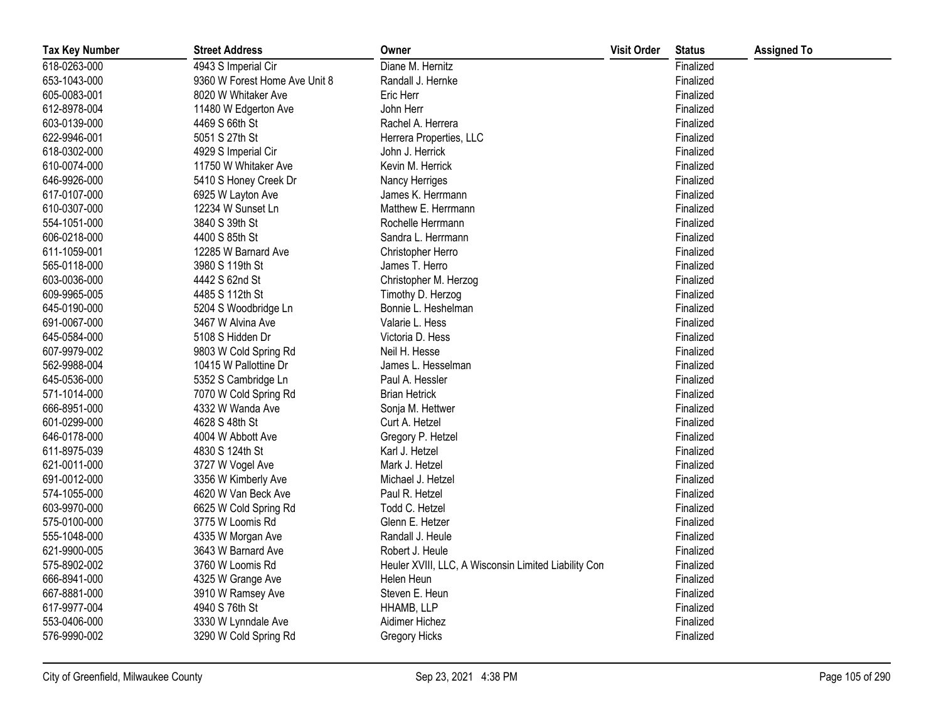| <b>Tax Key Number</b> | <b>Street Address</b>         | Owner                                                | <b>Visit Order</b> | <b>Status</b> | <b>Assigned To</b> |
|-----------------------|-------------------------------|------------------------------------------------------|--------------------|---------------|--------------------|
| 618-0263-000          | 4943 S Imperial Cir           | Diane M. Hernitz                                     |                    | Finalized     |                    |
| 653-1043-000          | 9360 W Forest Home Ave Unit 8 | Randall J. Hernke                                    |                    | Finalized     |                    |
| 605-0083-001          | 8020 W Whitaker Ave           | Eric Herr                                            |                    | Finalized     |                    |
| 612-8978-004          | 11480 W Edgerton Ave          | John Herr                                            |                    | Finalized     |                    |
| 603-0139-000          | 4469 S 66th St                | Rachel A. Herrera                                    |                    | Finalized     |                    |
| 622-9946-001          | 5051 S 27th St                | Herrera Properties, LLC                              |                    | Finalized     |                    |
| 618-0302-000          | 4929 S Imperial Cir           | John J. Herrick                                      |                    | Finalized     |                    |
| 610-0074-000          | 11750 W Whitaker Ave          | Kevin M. Herrick                                     |                    | Finalized     |                    |
| 646-9926-000          | 5410 S Honey Creek Dr         | Nancy Herriges                                       |                    | Finalized     |                    |
| 617-0107-000          | 6925 W Layton Ave             | James K. Herrmann                                    |                    | Finalized     |                    |
| 610-0307-000          | 12234 W Sunset Ln             | Matthew E. Herrmann                                  |                    | Finalized     |                    |
| 554-1051-000          | 3840 S 39th St                | Rochelle Herrmann                                    |                    | Finalized     |                    |
| 606-0218-000          | 4400 S 85th St                | Sandra L. Herrmann                                   |                    | Finalized     |                    |
| 611-1059-001          | 12285 W Barnard Ave           | Christopher Herro                                    |                    | Finalized     |                    |
| 565-0118-000          | 3980 S 119th St               | James T. Herro                                       |                    | Finalized     |                    |
| 603-0036-000          | 4442 S 62nd St                | Christopher M. Herzog                                |                    | Finalized     |                    |
| 609-9965-005          | 4485 S 112th St               | Timothy D. Herzog                                    |                    | Finalized     |                    |
| 645-0190-000          | 5204 S Woodbridge Ln          | Bonnie L. Heshelman                                  |                    | Finalized     |                    |
| 691-0067-000          | 3467 W Alvina Ave             | Valarie L. Hess                                      |                    | Finalized     |                    |
| 645-0584-000          | 5108 S Hidden Dr              | Victoria D. Hess                                     |                    | Finalized     |                    |
| 607-9979-002          | 9803 W Cold Spring Rd         | Neil H. Hesse                                        |                    | Finalized     |                    |
| 562-9988-004          | 10415 W Pallottine Dr         | James L. Hesselman                                   |                    | Finalized     |                    |
| 645-0536-000          | 5352 S Cambridge Ln           | Paul A. Hessler                                      |                    | Finalized     |                    |
| 571-1014-000          | 7070 W Cold Spring Rd         | <b>Brian Hetrick</b>                                 |                    | Finalized     |                    |
| 666-8951-000          | 4332 W Wanda Ave              | Sonja M. Hettwer                                     |                    | Finalized     |                    |
| 601-0299-000          | 4628 S 48th St                | Curt A. Hetzel                                       |                    | Finalized     |                    |
| 646-0178-000          | 4004 W Abbott Ave             | Gregory P. Hetzel                                    |                    | Finalized     |                    |
| 611-8975-039          | 4830 S 124th St               | Karl J. Hetzel                                       |                    | Finalized     |                    |
| 621-0011-000          | 3727 W Vogel Ave              | Mark J. Hetzel                                       |                    | Finalized     |                    |
| 691-0012-000          | 3356 W Kimberly Ave           | Michael J. Hetzel                                    |                    | Finalized     |                    |
| 574-1055-000          | 4620 W Van Beck Ave           | Paul R. Hetzel                                       |                    | Finalized     |                    |
| 603-9970-000          | 6625 W Cold Spring Rd         | Todd C. Hetzel                                       |                    | Finalized     |                    |
| 575-0100-000          | 3775 W Loomis Rd              | Glenn E. Hetzer                                      |                    | Finalized     |                    |
| 555-1048-000          | 4335 W Morgan Ave             | Randall J. Heule                                     |                    | Finalized     |                    |
| 621-9900-005          | 3643 W Barnard Ave            | Robert J. Heule                                      |                    | Finalized     |                    |
| 575-8902-002          | 3760 W Loomis Rd              | Heuler XVIII, LLC, A Wisconsin Limited Liability Con |                    | Finalized     |                    |
| 666-8941-000          | 4325 W Grange Ave             | Helen Heun                                           |                    | Finalized     |                    |
| 667-8881-000          | 3910 W Ramsey Ave             | Steven E. Heun                                       |                    | Finalized     |                    |
| 617-9977-004          | 4940 S 76th St                | HHAMB, LLP                                           |                    | Finalized     |                    |
| 553-0406-000          | 3330 W Lynndale Ave           | Aidimer Hichez                                       |                    | Finalized     |                    |
| 576-9990-002          | 3290 W Cold Spring Rd         | Gregory Hicks                                        |                    | Finalized     |                    |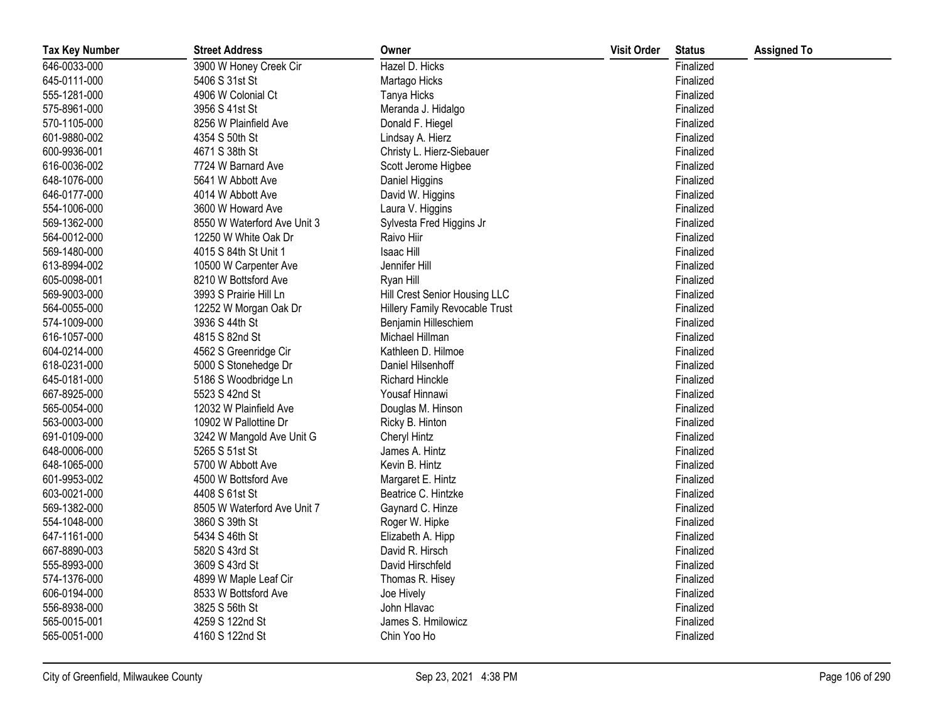| <b>Tax Key Number</b> | <b>Street Address</b>       | Owner                          | <b>Visit Order</b> | <b>Status</b> | <b>Assigned To</b> |
|-----------------------|-----------------------------|--------------------------------|--------------------|---------------|--------------------|
| 646-0033-000          | 3900 W Honey Creek Cir      | Hazel D. Hicks                 |                    | Finalized     |                    |
| 645-0111-000          | 5406 S 31st St              | Martago Hicks                  |                    | Finalized     |                    |
| 555-1281-000          | 4906 W Colonial Ct          | Tanya Hicks                    |                    | Finalized     |                    |
| 575-8961-000          | 3956 S 41st St              | Meranda J. Hidalgo             |                    | Finalized     |                    |
| 570-1105-000          | 8256 W Plainfield Ave       | Donald F. Hiegel               |                    | Finalized     |                    |
| 601-9880-002          | 4354 S 50th St              | Lindsay A. Hierz               |                    | Finalized     |                    |
| 600-9936-001          | 4671 S 38th St              | Christy L. Hierz-Siebauer      |                    | Finalized     |                    |
| 616-0036-002          | 7724 W Barnard Ave          | Scott Jerome Higbee            |                    | Finalized     |                    |
| 648-1076-000          | 5641 W Abbott Ave           | Daniel Higgins                 |                    | Finalized     |                    |
| 646-0177-000          | 4014 W Abbott Ave           | David W. Higgins               |                    | Finalized     |                    |
| 554-1006-000          | 3600 W Howard Ave           | Laura V. Higgins               |                    | Finalized     |                    |
| 569-1362-000          | 8550 W Waterford Ave Unit 3 | Sylvesta Fred Higgins Jr       |                    | Finalized     |                    |
| 564-0012-000          | 12250 W White Oak Dr        | Raivo Hiir                     |                    | Finalized     |                    |
| 569-1480-000          | 4015 S 84th St Unit 1       | Isaac Hill                     |                    | Finalized     |                    |
| 613-8994-002          | 10500 W Carpenter Ave       | Jennifer Hill                  |                    | Finalized     |                    |
| 605-0098-001          | 8210 W Bottsford Ave        | Ryan Hill                      |                    | Finalized     |                    |
| 569-9003-000          | 3993 S Prairie Hill Ln      | Hill Crest Senior Housing LLC  |                    | Finalized     |                    |
| 564-0055-000          | 12252 W Morgan Oak Dr       | Hillery Family Revocable Trust |                    | Finalized     |                    |
| 574-1009-000          | 3936 S 44th St              | Benjamin Hilleschiem           |                    | Finalized     |                    |
| 616-1057-000          | 4815 S 82nd St              | Michael Hillman                |                    | Finalized     |                    |
| 604-0214-000          | 4562 S Greenridge Cir       | Kathleen D. Hilmoe             |                    | Finalized     |                    |
| 618-0231-000          | 5000 S Stonehedge Dr        | Daniel Hilsenhoff              |                    | Finalized     |                    |
| 645-0181-000          | 5186 S Woodbridge Ln        | <b>Richard Hinckle</b>         |                    | Finalized     |                    |
| 667-8925-000          | 5523 S 42nd St              | Yousaf Hinnawi                 |                    | Finalized     |                    |
| 565-0054-000          | 12032 W Plainfield Ave      | Douglas M. Hinson              |                    | Finalized     |                    |
| 563-0003-000          | 10902 W Pallottine Dr       | Ricky B. Hinton                |                    | Finalized     |                    |
| 691-0109-000          | 3242 W Mangold Ave Unit G   | <b>Cheryl Hintz</b>            |                    | Finalized     |                    |
| 648-0006-000          | 5265 S 51st St              | James A. Hintz                 |                    | Finalized     |                    |
| 648-1065-000          | 5700 W Abbott Ave           | Kevin B. Hintz                 |                    | Finalized     |                    |
| 601-9953-002          | 4500 W Bottsford Ave        | Margaret E. Hintz              |                    | Finalized     |                    |
| 603-0021-000          | 4408 S 61st St              | Beatrice C. Hintzke            |                    | Finalized     |                    |
| 569-1382-000          | 8505 W Waterford Ave Unit 7 | Gaynard C. Hinze               |                    | Finalized     |                    |
| 554-1048-000          | 3860 S 39th St              | Roger W. Hipke                 |                    | Finalized     |                    |
| 647-1161-000          | 5434 S 46th St              | Elizabeth A. Hipp              |                    | Finalized     |                    |
| 667-8890-003          | 5820 S 43rd St              | David R. Hirsch                |                    | Finalized     |                    |
| 555-8993-000          | 3609 S 43rd St              | David Hirschfeld               |                    | Finalized     |                    |
| 574-1376-000          | 4899 W Maple Leaf Cir       | Thomas R. Hisey                |                    | Finalized     |                    |
| 606-0194-000          | 8533 W Bottsford Ave        | Joe Hively                     |                    | Finalized     |                    |
| 556-8938-000          | 3825 S 56th St              | John Hlavac                    |                    | Finalized     |                    |
| 565-0015-001          | 4259 S 122nd St             | James S. Hmilowicz             |                    | Finalized     |                    |
| 565-0051-000          | 4160 S 122nd St             | Chin Yoo Ho                    |                    | Finalized     |                    |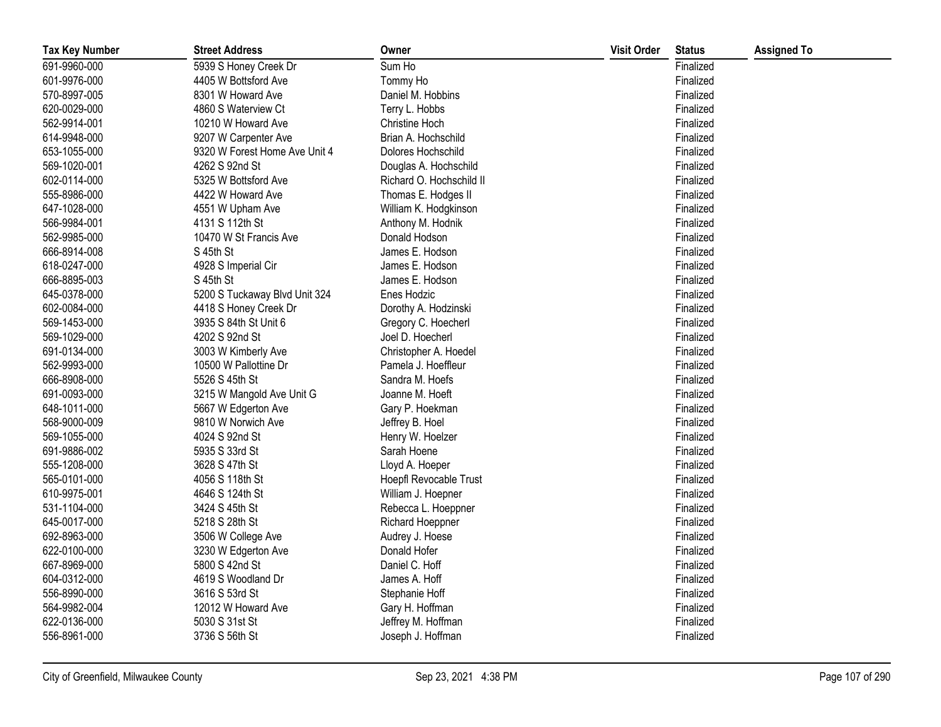| <b>Tax Key Number</b> | <b>Street Address</b>         | Owner                    | <b>Visit Order</b> | <b>Status</b> | <b>Assigned To</b> |
|-----------------------|-------------------------------|--------------------------|--------------------|---------------|--------------------|
| 691-9960-000          | 5939 S Honey Creek Dr         | Sum Ho                   |                    | Finalized     |                    |
| 601-9976-000          | 4405 W Bottsford Ave          | Tommy Ho                 |                    | Finalized     |                    |
| 570-8997-005          | 8301 W Howard Ave             | Daniel M. Hobbins        |                    | Finalized     |                    |
| 620-0029-000          | 4860 S Waterview Ct           | Terry L. Hobbs           |                    | Finalized     |                    |
| 562-9914-001          | 10210 W Howard Ave            | Christine Hoch           |                    | Finalized     |                    |
| 614-9948-000          | 9207 W Carpenter Ave          | Brian A. Hochschild      |                    | Finalized     |                    |
| 653-1055-000          | 9320 W Forest Home Ave Unit 4 | Dolores Hochschild       |                    | Finalized     |                    |
| 569-1020-001          | 4262 S 92nd St                | Douglas A. Hochschild    |                    | Finalized     |                    |
| 602-0114-000          | 5325 W Bottsford Ave          | Richard O. Hochschild II |                    | Finalized     |                    |
| 555-8986-000          | 4422 W Howard Ave             | Thomas E. Hodges II      |                    | Finalized     |                    |
| 647-1028-000          | 4551 W Upham Ave              | William K. Hodgkinson    |                    | Finalized     |                    |
| 566-9984-001          | 4131 S 112th St               | Anthony M. Hodnik        |                    | Finalized     |                    |
| 562-9985-000          | 10470 W St Francis Ave        | Donald Hodson            |                    | Finalized     |                    |
| 666-8914-008          | S 45th St                     | James E. Hodson          |                    | Finalized     |                    |
| 618-0247-000          | 4928 S Imperial Cir           | James E. Hodson          |                    | Finalized     |                    |
| 666-8895-003          | S 45th St                     | James E. Hodson          |                    | Finalized     |                    |
| 645-0378-000          | 5200 S Tuckaway Blvd Unit 324 | Enes Hodzic              |                    | Finalized     |                    |
| 602-0084-000          | 4418 S Honey Creek Dr         | Dorothy A. Hodzinski     |                    | Finalized     |                    |
| 569-1453-000          | 3935 S 84th St Unit 6         | Gregory C. Hoecherl      |                    | Finalized     |                    |
| 569-1029-000          | 4202 S 92nd St                | Joel D. Hoecherl         |                    | Finalized     |                    |
| 691-0134-000          | 3003 W Kimberly Ave           | Christopher A. Hoedel    |                    | Finalized     |                    |
| 562-9993-000          | 10500 W Pallottine Dr         | Pamela J. Hoeffleur      |                    | Finalized     |                    |
| 666-8908-000          | 5526 S 45th St                | Sandra M. Hoefs          |                    | Finalized     |                    |
| 691-0093-000          | 3215 W Mangold Ave Unit G     | Joanne M. Hoeft          |                    | Finalized     |                    |
| 648-1011-000          | 5667 W Edgerton Ave           | Gary P. Hoekman          |                    | Finalized     |                    |
| 568-9000-009          | 9810 W Norwich Ave            | Jeffrey B. Hoel          |                    | Finalized     |                    |
| 569-1055-000          | 4024 S 92nd St                | Henry W. Hoelzer         |                    | Finalized     |                    |
| 691-9886-002          | 5935 S 33rd St                | Sarah Hoene              |                    | Finalized     |                    |
| 555-1208-000          | 3628 S 47th St                | Lloyd A. Hoeper          |                    | Finalized     |                    |
| 565-0101-000          | 4056 S 118th St               | Hoepfl Revocable Trust   |                    | Finalized     |                    |
| 610-9975-001          | 4646 S 124th St               | William J. Hoepner       |                    | Finalized     |                    |
| 531-1104-000          | 3424 S 45th St                | Rebecca L. Hoeppner      |                    | Finalized     |                    |
| 645-0017-000          | 5218 S 28th St                | <b>Richard Hoeppner</b>  |                    | Finalized     |                    |
| 692-8963-000          | 3506 W College Ave            | Audrey J. Hoese          |                    | Finalized     |                    |
| 622-0100-000          | 3230 W Edgerton Ave           | Donald Hofer             |                    | Finalized     |                    |
| 667-8969-000          | 5800 S 42nd St                | Daniel C. Hoff           |                    | Finalized     |                    |
| 604-0312-000          | 4619 S Woodland Dr            | James A. Hoff            |                    | Finalized     |                    |
| 556-8990-000          | 3616 S 53rd St                | Stephanie Hoff           |                    | Finalized     |                    |
| 564-9982-004          | 12012 W Howard Ave            | Gary H. Hoffman          |                    | Finalized     |                    |
| 622-0136-000          | 5030 S 31st St                | Jeffrey M. Hoffman       |                    | Finalized     |                    |
| 556-8961-000          | 3736 S 56th St                | Joseph J. Hoffman        |                    | Finalized     |                    |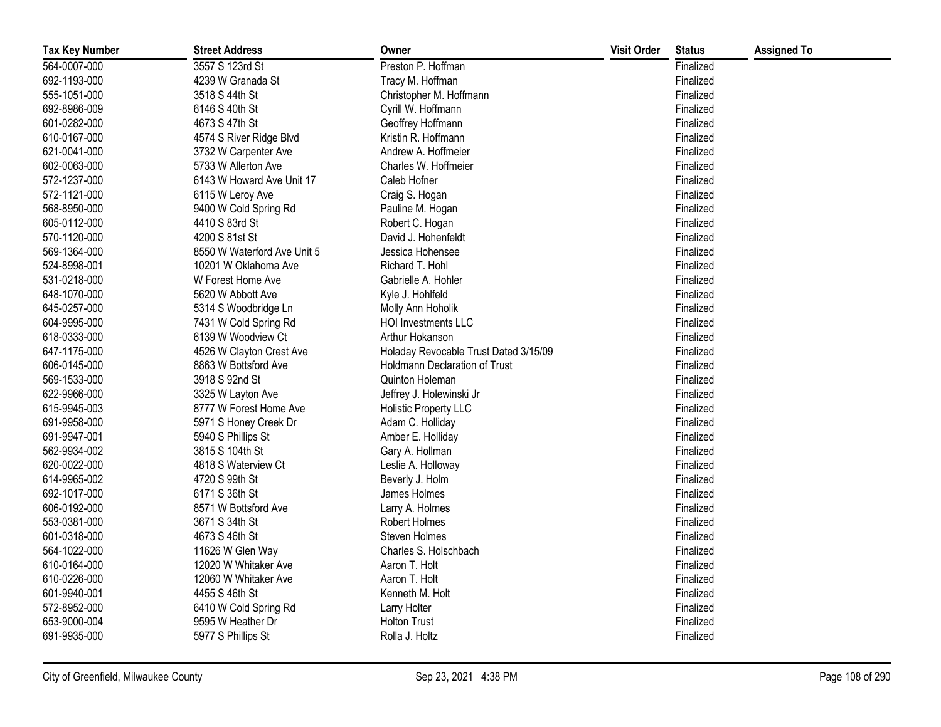| <b>Tax Key Number</b> | <b>Street Address</b>       | Owner                                 | <b>Visit Order</b> | <b>Status</b> | <b>Assigned To</b> |
|-----------------------|-----------------------------|---------------------------------------|--------------------|---------------|--------------------|
| 564-0007-000          | 3557 S 123rd St             | Preston P. Hoffman                    |                    | Finalized     |                    |
| 692-1193-000          | 4239 W Granada St           | Tracy M. Hoffman                      |                    | Finalized     |                    |
| 555-1051-000          | 3518 S 44th St              | Christopher M. Hoffmann               |                    | Finalized     |                    |
| 692-8986-009          | 6146 S 40th St              | Cyrill W. Hoffmann                    |                    | Finalized     |                    |
| 601-0282-000          | 4673 S 47th St              | Geoffrey Hoffmann                     |                    | Finalized     |                    |
| 610-0167-000          | 4574 S River Ridge Blvd     | Kristin R. Hoffmann                   |                    | Finalized     |                    |
| 621-0041-000          | 3732 W Carpenter Ave        | Andrew A. Hoffmeier                   |                    | Finalized     |                    |
| 602-0063-000          | 5733 W Allerton Ave         | Charles W. Hoffmeier                  |                    | Finalized     |                    |
| 572-1237-000          | 6143 W Howard Ave Unit 17   | Caleb Hofner                          |                    | Finalized     |                    |
| 572-1121-000          | 6115 W Leroy Ave            | Craig S. Hogan                        |                    | Finalized     |                    |
| 568-8950-000          | 9400 W Cold Spring Rd       | Pauline M. Hogan                      |                    | Finalized     |                    |
| 605-0112-000          | 4410 S 83rd St              | Robert C. Hogan                       |                    | Finalized     |                    |
| 570-1120-000          | 4200 S 81st St              | David J. Hohenfeldt                   |                    | Finalized     |                    |
| 569-1364-000          | 8550 W Waterford Ave Unit 5 | Jessica Hohensee                      |                    | Finalized     |                    |
| 524-8998-001          | 10201 W Oklahoma Ave        | Richard T. Hohl                       |                    | Finalized     |                    |
| 531-0218-000          | W Forest Home Ave           | Gabrielle A. Hohler                   |                    | Finalized     |                    |
| 648-1070-000          | 5620 W Abbott Ave           | Kyle J. Hohlfeld                      |                    | Finalized     |                    |
| 645-0257-000          | 5314 S Woodbridge Ln        | Molly Ann Hoholik                     |                    | Finalized     |                    |
| 604-9995-000          | 7431 W Cold Spring Rd       | <b>HOI Investments LLC</b>            |                    | Finalized     |                    |
| 618-0333-000          | 6139 W Woodview Ct          | Arthur Hokanson                       |                    | Finalized     |                    |
| 647-1175-000          | 4526 W Clayton Crest Ave    | Holaday Revocable Trust Dated 3/15/09 |                    | Finalized     |                    |
| 606-0145-000          | 8863 W Bottsford Ave        | <b>Holdmann Declaration of Trust</b>  |                    | Finalized     |                    |
| 569-1533-000          | 3918 S 92nd St              | Quinton Holeman                       |                    | Finalized     |                    |
| 622-9966-000          | 3325 W Layton Ave           | Jeffrey J. Holewinski Jr              |                    | Finalized     |                    |
| 615-9945-003          | 8777 W Forest Home Ave      | <b>Holistic Property LLC</b>          |                    | Finalized     |                    |
| 691-9958-000          | 5971 S Honey Creek Dr       | Adam C. Holliday                      |                    | Finalized     |                    |
| 691-9947-001          | 5940 S Phillips St          | Amber E. Holliday                     |                    | Finalized     |                    |
| 562-9934-002          | 3815 S 104th St             | Gary A. Hollman                       |                    | Finalized     |                    |
| 620-0022-000          | 4818 S Waterview Ct         | Leslie A. Holloway                    |                    | Finalized     |                    |
| 614-9965-002          | 4720 S 99th St              | Beverly J. Holm                       |                    | Finalized     |                    |
| 692-1017-000          | 6171 S 36th St              | James Holmes                          |                    | Finalized     |                    |
| 606-0192-000          | 8571 W Bottsford Ave        | Larry A. Holmes                       |                    | Finalized     |                    |
| 553-0381-000          | 3671 S 34th St              | Robert Holmes                         |                    | Finalized     |                    |
| 601-0318-000          | 4673 S 46th St              | Steven Holmes                         |                    | Finalized     |                    |
| 564-1022-000          | 11626 W Glen Way            | Charles S. Holschbach                 |                    | Finalized     |                    |
| 610-0164-000          | 12020 W Whitaker Ave        | Aaron T. Holt                         |                    | Finalized     |                    |
| 610-0226-000          | 12060 W Whitaker Ave        | Aaron T. Holt                         |                    | Finalized     |                    |
| 601-9940-001          | 4455 S 46th St              | Kenneth M. Holt                       |                    | Finalized     |                    |
| 572-8952-000          | 6410 W Cold Spring Rd       | Larry Holter                          |                    | Finalized     |                    |
| 653-9000-004          | 9595 W Heather Dr           | <b>Holton Trust</b>                   |                    | Finalized     |                    |
| 691-9935-000          | 5977 S Phillips St          | Rolla J. Holtz                        |                    | Finalized     |                    |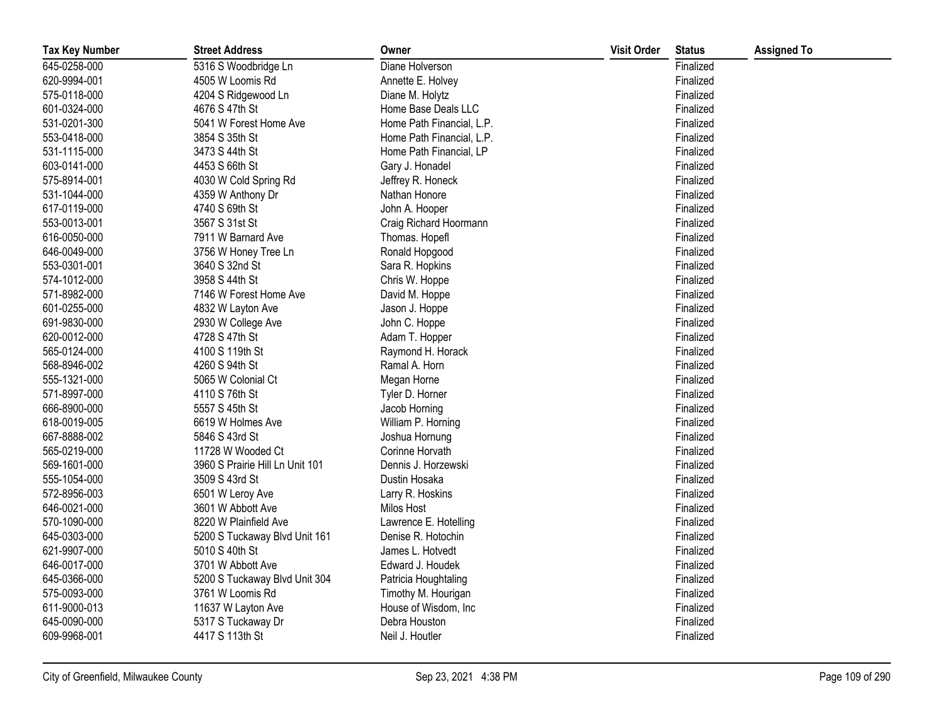| <b>Tax Key Number</b> | <b>Street Address</b>           | Owner                     | <b>Visit Order</b> | <b>Status</b> | <b>Assigned To</b> |
|-----------------------|---------------------------------|---------------------------|--------------------|---------------|--------------------|
| 645-0258-000          | 5316 S Woodbridge Ln            | Diane Holverson           |                    | Finalized     |                    |
| 620-9994-001          | 4505 W Loomis Rd                | Annette E. Holvey         |                    | Finalized     |                    |
| 575-0118-000          | 4204 S Ridgewood Ln             | Diane M. Holytz           |                    | Finalized     |                    |
| 601-0324-000          | 4676 S 47th St                  | Home Base Deals LLC       |                    | Finalized     |                    |
| 531-0201-300          | 5041 W Forest Home Ave          | Home Path Financial, L.P. |                    | Finalized     |                    |
| 553-0418-000          | 3854 S 35th St                  | Home Path Financial, L.P. |                    | Finalized     |                    |
| 531-1115-000          | 3473 S 44th St                  | Home Path Financial, LP   |                    | Finalized     |                    |
| 603-0141-000          | 4453 S 66th St                  | Gary J. Honadel           |                    | Finalized     |                    |
| 575-8914-001          | 4030 W Cold Spring Rd           | Jeffrey R. Honeck         |                    | Finalized     |                    |
| 531-1044-000          | 4359 W Anthony Dr               | Nathan Honore             |                    | Finalized     |                    |
| 617-0119-000          | 4740 S 69th St                  | John A. Hooper            |                    | Finalized     |                    |
| 553-0013-001          | 3567 S 31st St                  | Craig Richard Hoormann    |                    | Finalized     |                    |
| 616-0050-000          | 7911 W Barnard Ave              | Thomas. Hopefl            |                    | Finalized     |                    |
| 646-0049-000          | 3756 W Honey Tree Ln            | Ronald Hopgood            |                    | Finalized     |                    |
| 553-0301-001          | 3640 S 32nd St                  | Sara R. Hopkins           |                    | Finalized     |                    |
| 574-1012-000          | 3958 S 44th St                  | Chris W. Hoppe            |                    | Finalized     |                    |
| 571-8982-000          | 7146 W Forest Home Ave          | David M. Hoppe            |                    | Finalized     |                    |
| 601-0255-000          | 4832 W Layton Ave               | Jason J. Hoppe            |                    | Finalized     |                    |
| 691-9830-000          | 2930 W College Ave              | John C. Hoppe             |                    | Finalized     |                    |
| 620-0012-000          | 4728 S 47th St                  | Adam T. Hopper            |                    | Finalized     |                    |
| 565-0124-000          | 4100 S 119th St                 | Raymond H. Horack         |                    | Finalized     |                    |
| 568-8946-002          | 4260 S 94th St                  | Ramal A. Horn             |                    | Finalized     |                    |
| 555-1321-000          | 5065 W Colonial Ct              | Megan Horne               |                    | Finalized     |                    |
| 571-8997-000          | 4110 S 76th St                  | Tyler D. Horner           |                    | Finalized     |                    |
| 666-8900-000          | 5557 S 45th St                  | Jacob Horning             |                    | Finalized     |                    |
| 618-0019-005          | 6619 W Holmes Ave               | William P. Horning        |                    | Finalized     |                    |
| 667-8888-002          | 5846 S 43rd St                  | Joshua Hornung            |                    | Finalized     |                    |
| 565-0219-000          | 11728 W Wooded Ct               | Corinne Horvath           |                    | Finalized     |                    |
| 569-1601-000          | 3960 S Prairie Hill Ln Unit 101 | Dennis J. Horzewski       |                    | Finalized     |                    |
| 555-1054-000          | 3509 S 43rd St                  | Dustin Hosaka             |                    | Finalized     |                    |
| 572-8956-003          | 6501 W Leroy Ave                | Larry R. Hoskins          |                    | Finalized     |                    |
| 646-0021-000          | 3601 W Abbott Ave               | Milos Host                |                    | Finalized     |                    |
| 570-1090-000          | 8220 W Plainfield Ave           | Lawrence E. Hotelling     |                    | Finalized     |                    |
| 645-0303-000          | 5200 S Tuckaway Blvd Unit 161   | Denise R. Hotochin        |                    | Finalized     |                    |
| 621-9907-000          | 5010 S 40th St                  | James L. Hotvedt          |                    | Finalized     |                    |
| 646-0017-000          | 3701 W Abbott Ave               | Edward J. Houdek          |                    | Finalized     |                    |
| 645-0366-000          | 5200 S Tuckaway Blvd Unit 304   | Patricia Houghtaling      |                    | Finalized     |                    |
| 575-0093-000          | 3761 W Loomis Rd                | Timothy M. Hourigan       |                    | Finalized     |                    |
| 611-9000-013          | 11637 W Layton Ave              | House of Wisdom, Inc      |                    | Finalized     |                    |
| 645-0090-000          | 5317 S Tuckaway Dr              | Debra Houston             |                    | Finalized     |                    |
| 609-9968-001          | 4417 S 113th St                 | Neil J. Houtler           |                    | Finalized     |                    |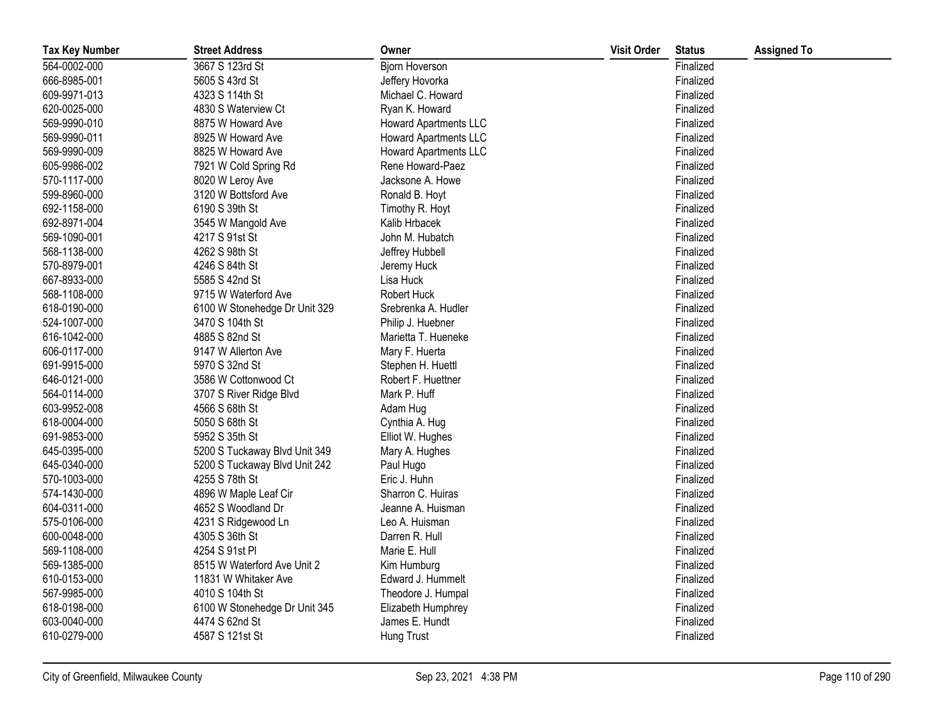| <b>Tax Key Number</b> | <b>Street Address</b>         | Owner                        | <b>Visit Order</b> | <b>Status</b> | <b>Assigned To</b> |
|-----------------------|-------------------------------|------------------------------|--------------------|---------------|--------------------|
| 564-0002-000          | 3667 S 123rd St               | <b>Bjorn Hoverson</b>        |                    | Finalized     |                    |
| 666-8985-001          | 5605 S 43rd St                | Jeffery Hovorka              |                    | Finalized     |                    |
| 609-9971-013          | 4323 S 114th St               | Michael C. Howard            |                    | Finalized     |                    |
| 620-0025-000          | 4830 S Waterview Ct           | Ryan K. Howard               |                    | Finalized     |                    |
| 569-9990-010          | 8875 W Howard Ave             | <b>Howard Apartments LLC</b> |                    | Finalized     |                    |
| 569-9990-011          | 8925 W Howard Ave             | <b>Howard Apartments LLC</b> |                    | Finalized     |                    |
| 569-9990-009          | 8825 W Howard Ave             | <b>Howard Apartments LLC</b> |                    | Finalized     |                    |
| 605-9986-002          | 7921 W Cold Spring Rd         | Rene Howard-Paez             |                    | Finalized     |                    |
| 570-1117-000          | 8020 W Leroy Ave              | Jacksone A. Howe             |                    | Finalized     |                    |
| 599-8960-000          | 3120 W Bottsford Ave          | Ronald B. Hoyt               |                    | Finalized     |                    |
| 692-1158-000          | 6190 S 39th St                | Timothy R. Hoyt              |                    | Finalized     |                    |
| 692-8971-004          | 3545 W Mangold Ave            | Kalib Hrbacek                |                    | Finalized     |                    |
| 569-1090-001          | 4217 S 91st St                | John M. Hubatch              |                    | Finalized     |                    |
| 568-1138-000          | 4262 S 98th St                | Jeffrey Hubbell              |                    | Finalized     |                    |
| 570-8979-001          | 4246 S 84th St                | Jeremy Huck                  |                    | Finalized     |                    |
| 667-8933-000          | 5585 S 42nd St                | Lisa Huck                    |                    | Finalized     |                    |
| 568-1108-000          | 9715 W Waterford Ave          | Robert Huck                  |                    | Finalized     |                    |
| 618-0190-000          | 6100 W Stonehedge Dr Unit 329 | Srebrenka A. Hudler          |                    | Finalized     |                    |
| 524-1007-000          | 3470 S 104th St               | Philip J. Huebner            |                    | Finalized     |                    |
| 616-1042-000          | 4885 S 82nd St                | Marietta T. Hueneke          |                    | Finalized     |                    |
| 606-0117-000          | 9147 W Allerton Ave           | Mary F. Huerta               |                    | Finalized     |                    |
| 691-9915-000          | 5970 S 32nd St                | Stephen H. Huettl            |                    | Finalized     |                    |
| 646-0121-000          | 3586 W Cottonwood Ct          | Robert F. Huettner           |                    | Finalized     |                    |
| 564-0114-000          | 3707 S River Ridge Blvd       | Mark P. Huff                 |                    | Finalized     |                    |
| 603-9952-008          | 4566 S 68th St                | Adam Hug                     |                    | Finalized     |                    |
| 618-0004-000          | 5050 S 68th St                | Cynthia A. Hug               |                    | Finalized     |                    |
| 691-9853-000          | 5952 S 35th St                | Elliot W. Hughes             |                    | Finalized     |                    |
| 645-0395-000          | 5200 S Tuckaway Blvd Unit 349 | Mary A. Hughes               |                    | Finalized     |                    |
| 645-0340-000          | 5200 S Tuckaway Blvd Unit 242 | Paul Hugo                    |                    | Finalized     |                    |
| 570-1003-000          | 4255 S 78th St                | Eric J. Huhn                 |                    | Finalized     |                    |
| 574-1430-000          | 4896 W Maple Leaf Cir         | Sharron C. Huiras            |                    | Finalized     |                    |
| 604-0311-000          | 4652 S Woodland Dr            | Jeanne A. Huisman            |                    | Finalized     |                    |
| 575-0106-000          | 4231 S Ridgewood Ln           | Leo A. Huisman               |                    | Finalized     |                    |
| 600-0048-000          | 4305 S 36th St                | Darren R. Hull               |                    | Finalized     |                    |
| 569-1108-000          | 4254 S 91st Pl                | Marie E. Hull                |                    | Finalized     |                    |
| 569-1385-000          | 8515 W Waterford Ave Unit 2   | Kim Humburg                  |                    | Finalized     |                    |
| 610-0153-000          | 11831 W Whitaker Ave          | Edward J. Hummelt            |                    | Finalized     |                    |
| 567-9985-000          | 4010 S 104th St               | Theodore J. Humpal           |                    | Finalized     |                    |
| 618-0198-000          | 6100 W Stonehedge Dr Unit 345 | Elizabeth Humphrey           |                    | Finalized     |                    |
| 603-0040-000          | 4474 S 62nd St                | James E. Hundt               |                    | Finalized     |                    |
| 610-0279-000          | 4587 S 121st St               | Hung Trust                   |                    | Finalized     |                    |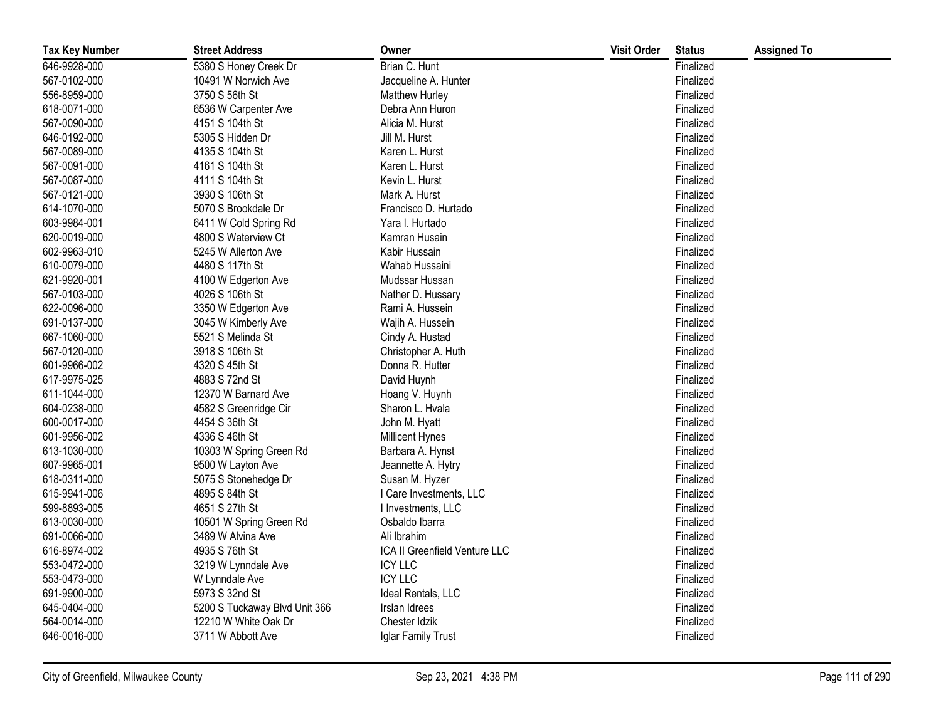| <b>Tax Key Number</b> | <b>Street Address</b>         | Owner                         | <b>Visit Order</b> | <b>Status</b> | <b>Assigned To</b> |
|-----------------------|-------------------------------|-------------------------------|--------------------|---------------|--------------------|
| 646-9928-000          | 5380 S Honey Creek Dr         | Brian C. Hunt                 |                    | Finalized     |                    |
| 567-0102-000          | 10491 W Norwich Ave           | Jacqueline A. Hunter          |                    | Finalized     |                    |
| 556-8959-000          | 3750 S 56th St                | Matthew Hurley                |                    | Finalized     |                    |
| 618-0071-000          | 6536 W Carpenter Ave          | Debra Ann Huron               |                    | Finalized     |                    |
| 567-0090-000          | 4151 S 104th St               | Alicia M. Hurst               |                    | Finalized     |                    |
| 646-0192-000          | 5305 S Hidden Dr              | Jill M. Hurst                 |                    | Finalized     |                    |
| 567-0089-000          | 4135 S 104th St               | Karen L. Hurst                |                    | Finalized     |                    |
| 567-0091-000          | 4161 S 104th St               | Karen L. Hurst                |                    | Finalized     |                    |
| 567-0087-000          | 4111 S 104th St               | Kevin L. Hurst                |                    | Finalized     |                    |
| 567-0121-000          | 3930 S 106th St               | Mark A. Hurst                 |                    | Finalized     |                    |
| 614-1070-000          | 5070 S Brookdale Dr           | Francisco D. Hurtado          |                    | Finalized     |                    |
| 603-9984-001          | 6411 W Cold Spring Rd         | Yara I. Hurtado               |                    | Finalized     |                    |
| 620-0019-000          | 4800 S Waterview Ct           | Kamran Husain                 |                    | Finalized     |                    |
| 602-9963-010          | 5245 W Allerton Ave           | Kabir Hussain                 |                    | Finalized     |                    |
| 610-0079-000          | 4480 S 117th St               | Wahab Hussaini                |                    | Finalized     |                    |
| 621-9920-001          | 4100 W Edgerton Ave           | Mudssar Hussan                |                    | Finalized     |                    |
| 567-0103-000          | 4026 S 106th St               | Nather D. Hussary             |                    | Finalized     |                    |
| 622-0096-000          | 3350 W Edgerton Ave           | Rami A. Hussein               |                    | Finalized     |                    |
| 691-0137-000          | 3045 W Kimberly Ave           | Wajih A. Hussein              |                    | Finalized     |                    |
| 667-1060-000          | 5521 S Melinda St             | Cindy A. Hustad               |                    | Finalized     |                    |
| 567-0120-000          | 3918 S 106th St               | Christopher A. Huth           |                    | Finalized     |                    |
| 601-9966-002          | 4320 S 45th St                | Donna R. Hutter               |                    | Finalized     |                    |
| 617-9975-025          | 4883 S 72nd St                | David Huynh                   |                    | Finalized     |                    |
| 611-1044-000          | 12370 W Barnard Ave           | Hoang V. Huynh                |                    | Finalized     |                    |
| 604-0238-000          | 4582 S Greenridge Cir         | Sharon L. Hvala               |                    | Finalized     |                    |
| 600-0017-000          | 4454 S 36th St                | John M. Hyatt                 |                    | Finalized     |                    |
| 601-9956-002          | 4336 S 46th St                | Millicent Hynes               |                    | Finalized     |                    |
| 613-1030-000          | 10303 W Spring Green Rd       | Barbara A. Hynst              |                    | Finalized     |                    |
| 607-9965-001          | 9500 W Layton Ave             | Jeannette A. Hytry            |                    | Finalized     |                    |
| 618-0311-000          | 5075 S Stonehedge Dr          | Susan M. Hyzer                |                    | Finalized     |                    |
| 615-9941-006          | 4895 S 84th St                | I Care Investments, LLC       |                    | Finalized     |                    |
| 599-8893-005          | 4651 S 27th St                | I Investments, LLC            |                    | Finalized     |                    |
| 613-0030-000          | 10501 W Spring Green Rd       | Osbaldo Ibarra                |                    | Finalized     |                    |
| 691-0066-000          | 3489 W Alvina Ave             | Ali Ibrahim                   |                    | Finalized     |                    |
| 616-8974-002          | 4935 S 76th St                | ICA II Greenfield Venture LLC |                    | Finalized     |                    |
| 553-0472-000          | 3219 W Lynndale Ave           | <b>ICY LLC</b>                |                    | Finalized     |                    |
| 553-0473-000          | W Lynndale Ave                | <b>ICY LLC</b>                |                    | Finalized     |                    |
| 691-9900-000          | 5973 S 32nd St                | Ideal Rentals, LLC            |                    | Finalized     |                    |
| 645-0404-000          | 5200 S Tuckaway Blvd Unit 366 | Irslan Idrees                 |                    | Finalized     |                    |
| 564-0014-000          | 12210 W White Oak Dr          | Chester Idzik                 |                    | Finalized     |                    |
| 646-0016-000          | 3711 W Abbott Ave             | Iglar Family Trust            |                    | Finalized     |                    |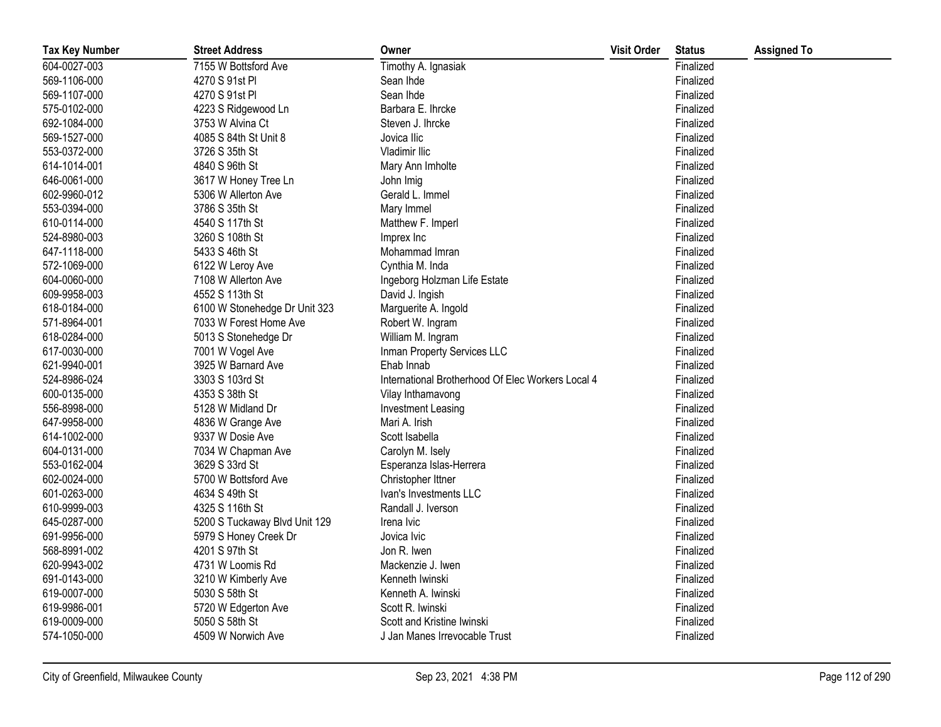| <b>Tax Key Number</b> | <b>Street Address</b>         | Owner                                             | <b>Visit Order</b> | <b>Status</b> | <b>Assigned To</b> |
|-----------------------|-------------------------------|---------------------------------------------------|--------------------|---------------|--------------------|
| 604-0027-003          | 7155 W Bottsford Ave          | Timothy A. Ignasiak                               |                    | Finalized     |                    |
| 569-1106-000          | 4270 S 91st PI                | Sean Ihde                                         |                    | Finalized     |                    |
| 569-1107-000          | 4270 S 91st PI                | Sean Ihde                                         |                    | Finalized     |                    |
| 575-0102-000          | 4223 S Ridgewood Ln           | Barbara E. Ihrcke                                 |                    | Finalized     |                    |
| 692-1084-000          | 3753 W Alvina Ct              | Steven J. Ihrcke                                  |                    | Finalized     |                    |
| 569-1527-000          | 4085 S 84th St Unit 8         | Jovica Ilic                                       |                    | Finalized     |                    |
| 553-0372-000          | 3726 S 35th St                | Vladimir Ilic                                     |                    | Finalized     |                    |
| 614-1014-001          | 4840 S 96th St                | Mary Ann Imholte                                  |                    | Finalized     |                    |
| 646-0061-000          | 3617 W Honey Tree Ln          | John Imig                                         |                    | Finalized     |                    |
| 602-9960-012          | 5306 W Allerton Ave           | Gerald L. Immel                                   |                    | Finalized     |                    |
| 553-0394-000          | 3786 S 35th St                | Mary Immel                                        |                    | Finalized     |                    |
| 610-0114-000          | 4540 S 117th St               | Matthew F. Imperl                                 |                    | Finalized     |                    |
| 524-8980-003          | 3260 S 108th St               | Imprex Inc                                        |                    | Finalized     |                    |
| 647-1118-000          | 5433 S 46th St                | Mohammad Imran                                    |                    | Finalized     |                    |
| 572-1069-000          | 6122 W Leroy Ave              | Cynthia M. Inda                                   |                    | Finalized     |                    |
| 604-0060-000          | 7108 W Allerton Ave           | Ingeborg Holzman Life Estate                      |                    | Finalized     |                    |
| 609-9958-003          | 4552 S 113th St               | David J. Ingish                                   |                    | Finalized     |                    |
| 618-0184-000          | 6100 W Stonehedge Dr Unit 323 | Marguerite A. Ingold                              |                    | Finalized     |                    |
| 571-8964-001          | 7033 W Forest Home Ave        | Robert W. Ingram                                  |                    | Finalized     |                    |
| 618-0284-000          | 5013 S Stonehedge Dr          | William M. Ingram                                 |                    | Finalized     |                    |
| 617-0030-000          | 7001 W Vogel Ave              | Inman Property Services LLC                       |                    | Finalized     |                    |
| 621-9940-001          | 3925 W Barnard Ave            | Ehab Innab                                        |                    | Finalized     |                    |
| 524-8986-024          | 3303 S 103rd St               | International Brotherhood Of Elec Workers Local 4 |                    | Finalized     |                    |
| 600-0135-000          | 4353 S 38th St                | Vilay Inthamavong                                 |                    | Finalized     |                    |
| 556-8998-000          | 5128 W Midland Dr             | Investment Leasing                                |                    | Finalized     |                    |
| 647-9958-000          | 4836 W Grange Ave             | Mari A. Irish                                     |                    | Finalized     |                    |
| 614-1002-000          | 9337 W Dosie Ave              | Scott Isabella                                    |                    | Finalized     |                    |
| 604-0131-000          | 7034 W Chapman Ave            | Carolyn M. Isely                                  |                    | Finalized     |                    |
| 553-0162-004          | 3629 S 33rd St                | Esperanza Islas-Herrera                           |                    | Finalized     |                    |
| 602-0024-000          | 5700 W Bottsford Ave          | Christopher Ittner                                |                    | Finalized     |                    |
| 601-0263-000          | 4634 S 49th St                | Ivan's Investments LLC                            |                    | Finalized     |                    |
| 610-9999-003          | 4325 S 116th St               | Randall J. Iverson                                |                    | Finalized     |                    |
| 645-0287-000          | 5200 S Tuckaway Blvd Unit 129 | Irena Ivic                                        |                    | Finalized     |                    |
| 691-9956-000          | 5979 S Honey Creek Dr         | Jovica Ivic                                       |                    | Finalized     |                    |
| 568-8991-002          | 4201 S 97th St                | Jon R. Iwen                                       |                    | Finalized     |                    |
| 620-9943-002          | 4731 W Loomis Rd              | Mackenzie J. Iwen                                 |                    | Finalized     |                    |
| 691-0143-000          | 3210 W Kimberly Ave           | Kenneth Iwinski                                   |                    | Finalized     |                    |
| 619-0007-000          | 5030 S 58th St                | Kenneth A. Iwinski                                |                    | Finalized     |                    |
| 619-9986-001          | 5720 W Edgerton Ave           | Scott R. Iwinski                                  |                    | Finalized     |                    |
| 619-0009-000          | 5050 S 58th St                | Scott and Kristine Iwinski                        |                    | Finalized     |                    |
| 574-1050-000          | 4509 W Norwich Ave            | J Jan Manes Irrevocable Trust                     |                    | Finalized     |                    |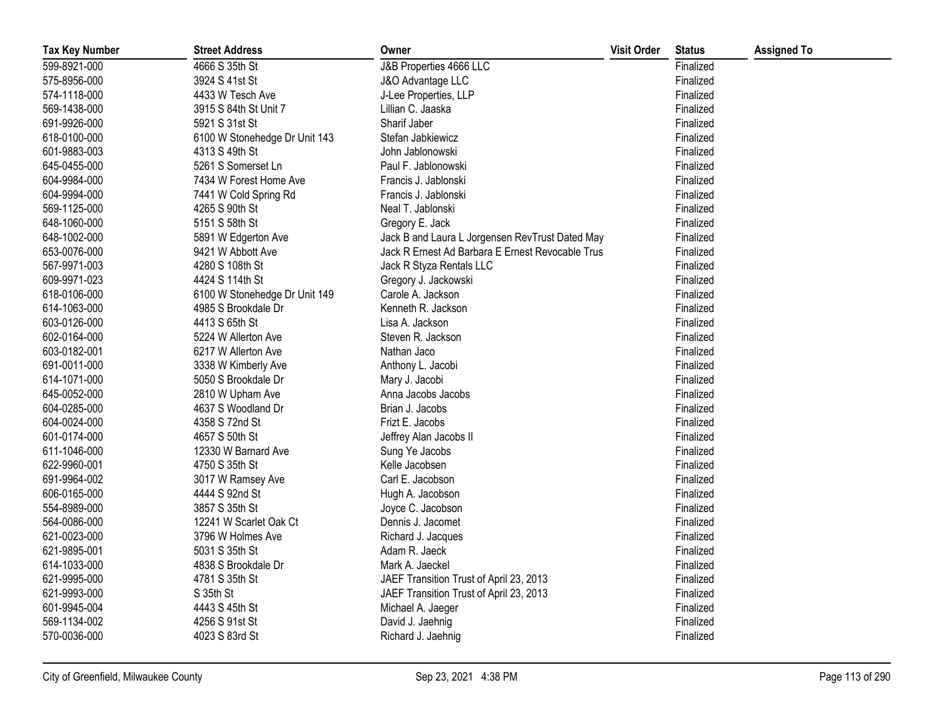| <b>Tax Key Number</b> | <b>Street Address</b>         | Owner                                            | <b>Visit Order</b> | <b>Status</b> | <b>Assigned To</b> |
|-----------------------|-------------------------------|--------------------------------------------------|--------------------|---------------|--------------------|
| 599-8921-000          | 4666 S 35th St                | J&B Properties 4666 LLC                          |                    | Finalized     |                    |
| 575-8956-000          | 3924 S 41st St                | J&O Advantage LLC                                |                    | Finalized     |                    |
| 574-1118-000          | 4433 W Tesch Ave              | J-Lee Properties, LLP                            |                    | Finalized     |                    |
| 569-1438-000          | 3915 S 84th St Unit 7         | Lillian C. Jaaska                                |                    | Finalized     |                    |
| 691-9926-000          | 5921 S 31st St                | Sharif Jaber                                     |                    | Finalized     |                    |
| 618-0100-000          | 6100 W Stonehedge Dr Unit 143 | Stefan Jabkiewicz                                |                    | Finalized     |                    |
| 601-9883-003          | 4313 S 49th St                | John Jablonowski                                 |                    | Finalized     |                    |
| 645-0455-000          | 5261 S Somerset Ln            | Paul F. Jablonowski                              |                    | Finalized     |                    |
| 604-9984-000          | 7434 W Forest Home Ave        | Francis J. Jablonski                             |                    | Finalized     |                    |
| 604-9994-000          | 7441 W Cold Spring Rd         | Francis J. Jablonski                             |                    | Finalized     |                    |
| 569-1125-000          | 4265 S 90th St                | Neal T. Jablonski                                |                    | Finalized     |                    |
| 648-1060-000          | 5151 S 58th St                | Gregory E. Jack                                  |                    | Finalized     |                    |
| 648-1002-000          | 5891 W Edgerton Ave           | Jack B and Laura L Jorgensen RevTrust Dated May  |                    | Finalized     |                    |
| 653-0076-000          | 9421 W Abbott Ave             | Jack R Ernest Ad Barbara E Ernest Revocable Trus |                    | Finalized     |                    |
| 567-9971-003          | 4280 S 108th St               | Jack R Styza Rentals LLC                         |                    | Finalized     |                    |
| 609-9971-023          | 4424 S 114th St               | Gregory J. Jackowski                             |                    | Finalized     |                    |
| 618-0106-000          | 6100 W Stonehedge Dr Unit 149 | Carole A. Jackson                                |                    | Finalized     |                    |
| 614-1063-000          | 4985 S Brookdale Dr           | Kenneth R. Jackson                               |                    | Finalized     |                    |
| 603-0126-000          | 4413 S 65th St                | Lisa A. Jackson                                  |                    | Finalized     |                    |
| 602-0164-000          | 5224 W Allerton Ave           | Steven R. Jackson                                |                    | Finalized     |                    |
| 603-0182-001          | 6217 W Allerton Ave           | Nathan Jaco                                      |                    | Finalized     |                    |
| 691-0011-000          | 3338 W Kimberly Ave           | Anthony L. Jacobi                                |                    | Finalized     |                    |
| 614-1071-000          | 5050 S Brookdale Dr           | Mary J. Jacobi                                   |                    | Finalized     |                    |
| 645-0052-000          | 2810 W Upham Ave              | Anna Jacobs Jacobs                               |                    | Finalized     |                    |
| 604-0285-000          | 4637 S Woodland Dr            | Brian J. Jacobs                                  |                    | Finalized     |                    |
| 604-0024-000          | 4358 S 72nd St                | Frizt E. Jacobs                                  |                    | Finalized     |                    |
| 601-0174-000          | 4657 S 50th St                | Jeffrey Alan Jacobs II                           |                    | Finalized     |                    |
| 611-1046-000          | 12330 W Barnard Ave           | Sung Ye Jacobs                                   |                    | Finalized     |                    |
| 622-9960-001          | 4750 S 35th St                | Kelle Jacobsen                                   |                    | Finalized     |                    |
| 691-9964-002          | 3017 W Ramsey Ave             | Carl E. Jacobson                                 |                    | Finalized     |                    |
| 606-0165-000          | 4444 S 92nd St                | Hugh A. Jacobson                                 |                    | Finalized     |                    |
| 554-8989-000          | 3857 S 35th St                | Joyce C. Jacobson                                |                    | Finalized     |                    |
| 564-0086-000          | 12241 W Scarlet Oak Ct        | Dennis J. Jacomet                                |                    | Finalized     |                    |
| 621-0023-000          | 3796 W Holmes Ave             | Richard J. Jacques                               |                    | Finalized     |                    |
| 621-9895-001          | 5031 S 35th St                | Adam R. Jaeck                                    |                    | Finalized     |                    |
| 614-1033-000          | 4838 S Brookdale Dr           | Mark A. Jaeckel                                  |                    | Finalized     |                    |
| 621-9995-000          | 4781 S 35th St                | JAEF Transition Trust of April 23, 2013          |                    | Finalized     |                    |
| 621-9993-000          | S 35th St                     | JAEF Transition Trust of April 23, 2013          |                    | Finalized     |                    |
| 601-9945-004          | 4443 S 45th St                | Michael A. Jaeger                                |                    | Finalized     |                    |
| 569-1134-002          | 4256 S 91st St                | David J. Jaehnig                                 |                    | Finalized     |                    |
| 570-0036-000          | 4023 S 83rd St                | Richard J. Jaehnig                               |                    | Finalized     |                    |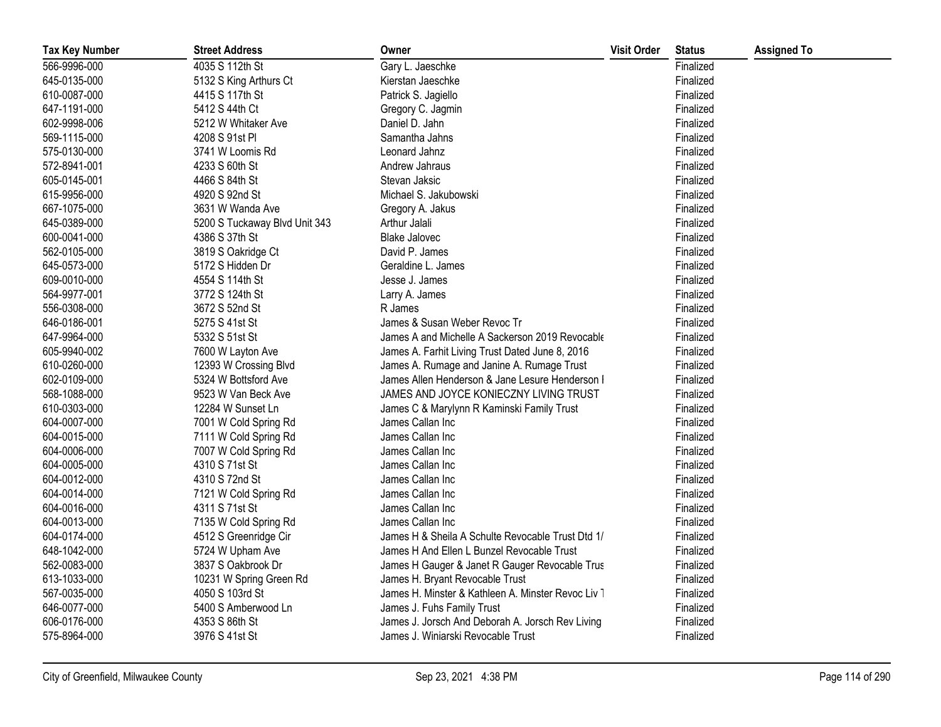| <b>Tax Key Number</b> | <b>Street Address</b>         | Owner                                              | <b>Visit Order</b> | <b>Status</b> | <b>Assigned To</b> |
|-----------------------|-------------------------------|----------------------------------------------------|--------------------|---------------|--------------------|
| 566-9996-000          | 4035 S 112th St               | Gary L. Jaeschke                                   |                    | Finalized     |                    |
| 645-0135-000          | 5132 S King Arthurs Ct        | Kierstan Jaeschke                                  |                    | Finalized     |                    |
| 610-0087-000          | 4415 S 117th St               | Patrick S. Jagiello                                |                    | Finalized     |                    |
| 647-1191-000          | 5412 S 44th Ct                | Gregory C. Jagmin                                  |                    | Finalized     |                    |
| 602-9998-006          | 5212 W Whitaker Ave           | Daniel D. Jahn                                     |                    | Finalized     |                    |
| 569-1115-000          | 4208 S 91st Pl                | Samantha Jahns                                     |                    | Finalized     |                    |
| 575-0130-000          | 3741 W Loomis Rd              | Leonard Jahnz                                      |                    | Finalized     |                    |
| 572-8941-001          | 4233 S 60th St                | Andrew Jahraus                                     |                    | Finalized     |                    |
| 605-0145-001          | 4466 S 84th St                | Stevan Jaksic                                      |                    | Finalized     |                    |
| 615-9956-000          | 4920 S 92nd St                | Michael S. Jakubowski                              |                    | Finalized     |                    |
| 667-1075-000          | 3631 W Wanda Ave              | Gregory A. Jakus                                   |                    | Finalized     |                    |
| 645-0389-000          | 5200 S Tuckaway Blvd Unit 343 | Arthur Jalali                                      |                    | Finalized     |                    |
| 600-0041-000          | 4386 S 37th St                | <b>Blake Jalovec</b>                               |                    | Finalized     |                    |
| 562-0105-000          | 3819 S Oakridge Ct            | David P. James                                     |                    | Finalized     |                    |
| 645-0573-000          | 5172 S Hidden Dr              | Geraldine L. James                                 |                    | Finalized     |                    |
| 609-0010-000          | 4554 S 114th St               | Jesse J. James                                     |                    | Finalized     |                    |
| 564-9977-001          | 3772 S 124th St               | Larry A. James                                     |                    | Finalized     |                    |
| 556-0308-000          | 3672 S 52nd St                | R James                                            |                    | Finalized     |                    |
| 646-0186-001          | 5275 S 41st St                | James & Susan Weber Revoc Tr                       |                    | Finalized     |                    |
| 647-9964-000          | 5332 S 51st St                | James A and Michelle A Sackerson 2019 Revocable    |                    | Finalized     |                    |
| 605-9940-002          | 7600 W Layton Ave             | James A. Farhit Living Trust Dated June 8, 2016    |                    | Finalized     |                    |
| 610-0260-000          | 12393 W Crossing Blvd         | James A. Rumage and Janine A. Rumage Trust         |                    | Finalized     |                    |
| 602-0109-000          | 5324 W Bottsford Ave          | James Allen Henderson & Jane Lesure Henderson I    |                    | Finalized     |                    |
| 568-1088-000          | 9523 W Van Beck Ave           | JAMES AND JOYCE KONIECZNY LIVING TRUST             |                    | Finalized     |                    |
| 610-0303-000          | 12284 W Sunset Ln             | James C & Marylynn R Kaminski Family Trust         |                    | Finalized     |                    |
| 604-0007-000          | 7001 W Cold Spring Rd         | James Callan Inc                                   |                    | Finalized     |                    |
| 604-0015-000          | 7111 W Cold Spring Rd         | James Callan Inc                                   |                    | Finalized     |                    |
| 604-0006-000          | 7007 W Cold Spring Rd         | James Callan Inc                                   |                    | Finalized     |                    |
| 604-0005-000          | 4310 S 71st St                | James Callan Inc                                   |                    | Finalized     |                    |
| 604-0012-000          | 4310 S 72nd St                | James Callan Inc                                   |                    | Finalized     |                    |
| 604-0014-000          | 7121 W Cold Spring Rd         | James Callan Inc                                   |                    | Finalized     |                    |
| 604-0016-000          | 4311 S 71st St                | James Callan Inc                                   |                    | Finalized     |                    |
| 604-0013-000          | 7135 W Cold Spring Rd         | James Callan Inc                                   |                    | Finalized     |                    |
| 604-0174-000          | 4512 S Greenridge Cir         | James H & Sheila A Schulte Revocable Trust Dtd 1/  |                    | Finalized     |                    |
| 648-1042-000          | 5724 W Upham Ave              | James H And Ellen L Bunzel Revocable Trust         |                    | Finalized     |                    |
| 562-0083-000          | 3837 S Oakbrook Dr            | James H Gauger & Janet R Gauger Revocable Trus     |                    | Finalized     |                    |
| 613-1033-000          | 10231 W Spring Green Rd       | James H. Bryant Revocable Trust                    |                    | Finalized     |                    |
| 567-0035-000          | 4050 S 103rd St               | James H. Minster & Kathleen A. Minster Revoc Liv 1 |                    | Finalized     |                    |
| 646-0077-000          | 5400 S Amberwood Ln           | James J. Fuhs Family Trust                         |                    | Finalized     |                    |
| 606-0176-000          | 4353 S 86th St                | James J. Jorsch And Deborah A. Jorsch Rev Living   |                    | Finalized     |                    |
| 575-8964-000          | 3976 S 41st St                | James J. Winiarski Revocable Trust                 |                    | Finalized     |                    |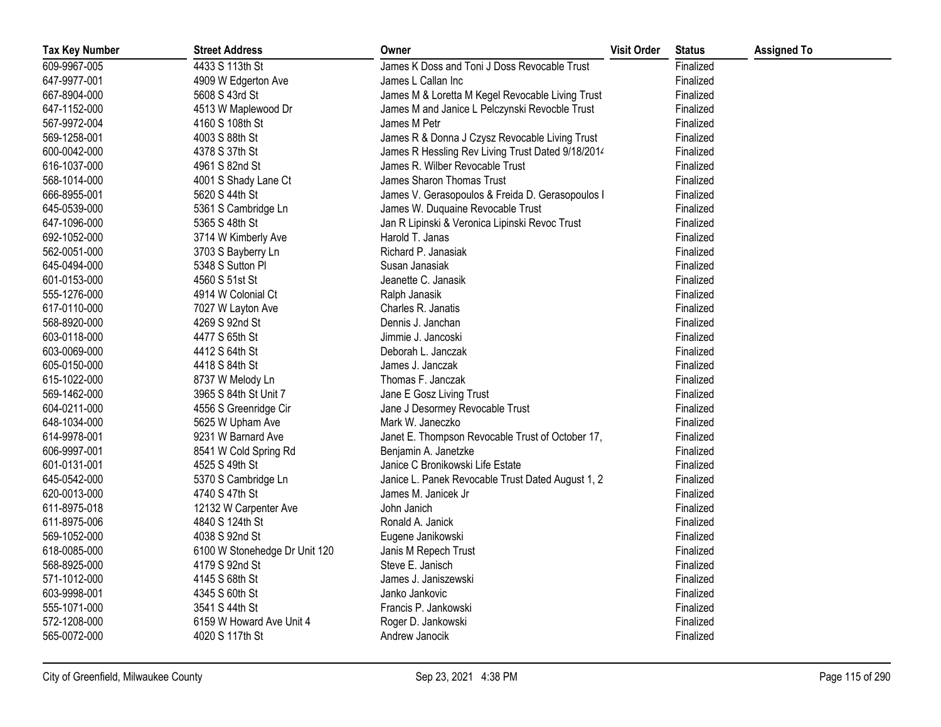| <b>Tax Key Number</b> | <b>Street Address</b>         | Owner                                             | <b>Visit Order</b> | <b>Status</b> | <b>Assigned To</b> |
|-----------------------|-------------------------------|---------------------------------------------------|--------------------|---------------|--------------------|
| 609-9967-005          | 4433 S 113th St               | James K Doss and Toni J Doss Revocable Trust      |                    | Finalized     |                    |
| 647-9977-001          | 4909 W Edgerton Ave           | James L Callan Inc                                |                    | Finalized     |                    |
| 667-8904-000          | 5608 S 43rd St                | James M & Loretta M Kegel Revocable Living Trust  |                    | Finalized     |                    |
| 647-1152-000          | 4513 W Maplewood Dr           | James M and Janice L Pelczynski Revocble Trust    |                    | Finalized     |                    |
| 567-9972-004          | 4160 S 108th St               | James M Petr                                      |                    | Finalized     |                    |
| 569-1258-001          | 4003 S 88th St                | James R & Donna J Czysz Revocable Living Trust    |                    | Finalized     |                    |
| 600-0042-000          | 4378 S 37th St                | James R Hessling Rev Living Trust Dated 9/18/2014 |                    | Finalized     |                    |
| 616-1037-000          | 4961 S 82nd St                | James R. Wilber Revocable Trust                   |                    | Finalized     |                    |
| 568-1014-000          | 4001 S Shady Lane Ct          | James Sharon Thomas Trust                         |                    | Finalized     |                    |
| 666-8955-001          | 5620 S 44th St                | James V. Gerasopoulos & Freida D. Gerasopoulos I  |                    | Finalized     |                    |
| 645-0539-000          | 5361 S Cambridge Ln           | James W. Duquaine Revocable Trust                 |                    | Finalized     |                    |
| 647-1096-000          | 5365 S 48th St                | Jan R Lipinski & Veronica Lipinski Revoc Trust    |                    | Finalized     |                    |
| 692-1052-000          | 3714 W Kimberly Ave           | Harold T. Janas                                   |                    | Finalized     |                    |
| 562-0051-000          | 3703 S Bayberry Ln            | Richard P. Janasiak                               |                    | Finalized     |                    |
| 645-0494-000          | 5348 S Sutton Pl              | Susan Janasiak                                    |                    | Finalized     |                    |
| 601-0153-000          | 4560 S 51st St                | Jeanette C. Janasik                               |                    | Finalized     |                    |
| 555-1276-000          | 4914 W Colonial Ct            | Ralph Janasik                                     |                    | Finalized     |                    |
| 617-0110-000          | 7027 W Layton Ave             | Charles R. Janatis                                |                    | Finalized     |                    |
| 568-8920-000          | 4269 S 92nd St                | Dennis J. Janchan                                 |                    | Finalized     |                    |
| 603-0118-000          | 4477 S 65th St                | Jimmie J. Jancoski                                |                    | Finalized     |                    |
| 603-0069-000          | 4412 S 64th St                | Deborah L. Janczak                                |                    | Finalized     |                    |
| 605-0150-000          | 4418 S 84th St                | James J. Janczak                                  |                    | Finalized     |                    |
| 615-1022-000          | 8737 W Melody Ln              | Thomas F. Janczak                                 |                    | Finalized     |                    |
| 569-1462-000          | 3965 S 84th St Unit 7         | Jane E Gosz Living Trust                          |                    | Finalized     |                    |
| 604-0211-000          | 4556 S Greenridge Cir         | Jane J Desormey Revocable Trust                   |                    | Finalized     |                    |
| 648-1034-000          | 5625 W Upham Ave              | Mark W. Janeczko                                  |                    | Finalized     |                    |
| 614-9978-001          | 9231 W Barnard Ave            | Janet E. Thompson Revocable Trust of October 17,  |                    | Finalized     |                    |
| 606-9997-001          | 8541 W Cold Spring Rd         | Benjamin A. Janetzke                              |                    | Finalized     |                    |
| 601-0131-001          | 4525 S 49th St                | Janice C Bronikowski Life Estate                  |                    | Finalized     |                    |
| 645-0542-000          | 5370 S Cambridge Ln           | Janice L. Panek Revocable Trust Dated August 1, 2 |                    | Finalized     |                    |
| 620-0013-000          | 4740 S 47th St                | James M. Janicek Jr                               |                    | Finalized     |                    |
| 611-8975-018          | 12132 W Carpenter Ave         | John Janich                                       |                    | Finalized     |                    |
| 611-8975-006          | 4840 S 124th St               | Ronald A. Janick                                  |                    | Finalized     |                    |
| 569-1052-000          | 4038 S 92nd St                | Eugene Janikowski                                 |                    | Finalized     |                    |
| 618-0085-000          | 6100 W Stonehedge Dr Unit 120 | Janis M Repech Trust                              |                    | Finalized     |                    |
| 568-8925-000          | 4179 S 92nd St                | Steve E. Janisch                                  |                    | Finalized     |                    |
| 571-1012-000          | 4145 S 68th St                | James J. Janiszewski                              |                    | Finalized     |                    |
| 603-9998-001          | 4345 S 60th St                | Janko Jankovic                                    |                    | Finalized     |                    |
| 555-1071-000          | 3541 S 44th St                | Francis P. Jankowski                              |                    | Finalized     |                    |
| 572-1208-000          | 6159 W Howard Ave Unit 4      | Roger D. Jankowski                                |                    | Finalized     |                    |
| 565-0072-000          | 4020 S 117th St               | Andrew Janocik                                    |                    | Finalized     |                    |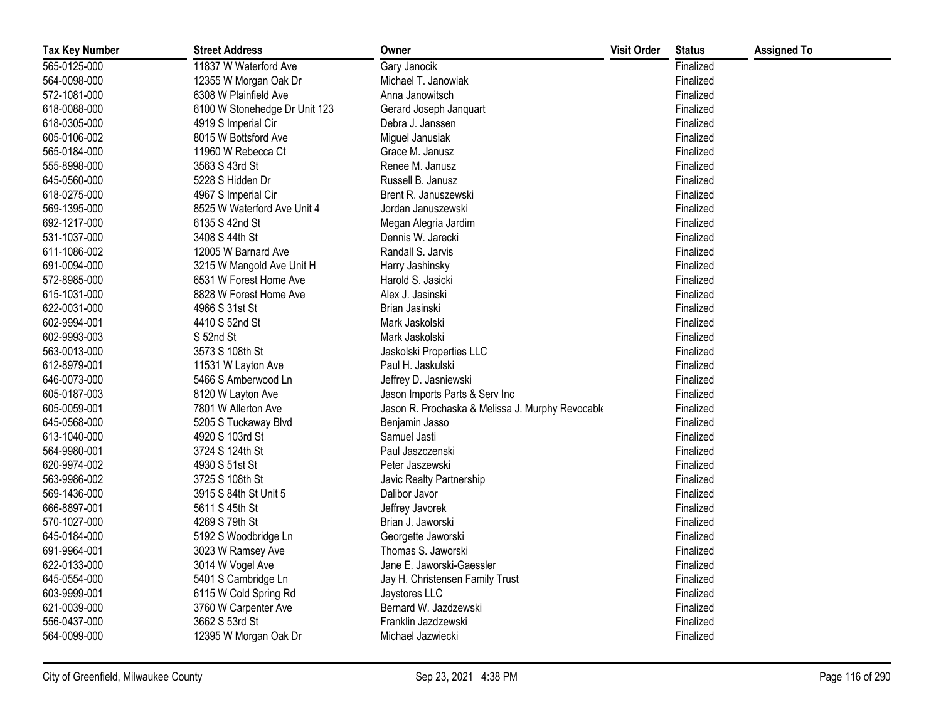| <b>Tax Key Number</b> | <b>Street Address</b>         | Owner                                            | <b>Visit Order</b> | <b>Status</b> | <b>Assigned To</b> |
|-----------------------|-------------------------------|--------------------------------------------------|--------------------|---------------|--------------------|
| 565-0125-000          | 11837 W Waterford Ave         | Gary Janocik                                     |                    | Finalized     |                    |
| 564-0098-000          | 12355 W Morgan Oak Dr         | Michael T. Janowiak                              |                    | Finalized     |                    |
| 572-1081-000          | 6308 W Plainfield Ave         | Anna Janowitsch                                  |                    | Finalized     |                    |
| 618-0088-000          | 6100 W Stonehedge Dr Unit 123 | Gerard Joseph Janquart                           |                    | Finalized     |                    |
| 618-0305-000          | 4919 S Imperial Cir           | Debra J. Janssen                                 |                    | Finalized     |                    |
| 605-0106-002          | 8015 W Bottsford Ave          | Miguel Janusiak                                  |                    | Finalized     |                    |
| 565-0184-000          | 11960 W Rebecca Ct            | Grace M. Janusz                                  |                    | Finalized     |                    |
| 555-8998-000          | 3563 S 43rd St                | Renee M. Janusz                                  |                    | Finalized     |                    |
| 645-0560-000          | 5228 S Hidden Dr              | Russell B. Janusz                                |                    | Finalized     |                    |
| 618-0275-000          | 4967 S Imperial Cir           | Brent R. Januszewski                             |                    | Finalized     |                    |
| 569-1395-000          | 8525 W Waterford Ave Unit 4   | Jordan Januszewski                               |                    | Finalized     |                    |
| 692-1217-000          | 6135 S 42nd St                | Megan Alegria Jardim                             |                    | Finalized     |                    |
| 531-1037-000          | 3408 S 44th St                | Dennis W. Jarecki                                |                    | Finalized     |                    |
| 611-1086-002          | 12005 W Barnard Ave           | Randall S. Jarvis                                |                    | Finalized     |                    |
| 691-0094-000          | 3215 W Mangold Ave Unit H     | Harry Jashinsky                                  |                    | Finalized     |                    |
| 572-8985-000          | 6531 W Forest Home Ave        | Harold S. Jasicki                                |                    | Finalized     |                    |
| 615-1031-000          | 8828 W Forest Home Ave        | Alex J. Jasinski                                 |                    | Finalized     |                    |
| 622-0031-000          | 4966 S 31st St                | Brian Jasinski                                   |                    | Finalized     |                    |
| 602-9994-001          | 4410 S 52nd St                | Mark Jaskolski                                   |                    | Finalized     |                    |
| 602-9993-003          | S 52nd St                     | Mark Jaskolski                                   |                    | Finalized     |                    |
| 563-0013-000          | 3573 S 108th St               | Jaskolski Properties LLC                         |                    | Finalized     |                    |
| 612-8979-001          | 11531 W Layton Ave            | Paul H. Jaskulski                                |                    | Finalized     |                    |
| 646-0073-000          | 5466 S Amberwood Ln           | Jeffrey D. Jasniewski                            |                    | Finalized     |                    |
| 605-0187-003          | 8120 W Layton Ave             | Jason Imports Parts & Serv Inc                   |                    | Finalized     |                    |
| 605-0059-001          | 7801 W Allerton Ave           | Jason R. Prochaska & Melissa J. Murphy Revocable |                    | Finalized     |                    |
| 645-0568-000          | 5205 S Tuckaway Blvd          | Benjamin Jasso                                   |                    | Finalized     |                    |
| 613-1040-000          | 4920 S 103rd St               | Samuel Jasti                                     |                    | Finalized     |                    |
| 564-9980-001          | 3724 S 124th St               | Paul Jaszczenski                                 |                    | Finalized     |                    |
| 620-9974-002          | 4930 S 51st St                | Peter Jaszewski                                  |                    | Finalized     |                    |
| 563-9986-002          | 3725 S 108th St               | Javic Realty Partnership                         |                    | Finalized     |                    |
| 569-1436-000          | 3915 S 84th St Unit 5         | Dalibor Javor                                    |                    | Finalized     |                    |
| 666-8897-001          | 5611 S 45th St                | Jeffrey Javorek                                  |                    | Finalized     |                    |
| 570-1027-000          | 4269 S 79th St                | Brian J. Jaworski                                |                    | Finalized     |                    |
| 645-0184-000          | 5192 S Woodbridge Ln          | Georgette Jaworski                               |                    | Finalized     |                    |
| 691-9964-001          | 3023 W Ramsey Ave             | Thomas S. Jaworski                               |                    | Finalized     |                    |
| 622-0133-000          | 3014 W Vogel Ave              | Jane E. Jaworski-Gaessler                        |                    | Finalized     |                    |
| 645-0554-000          | 5401 S Cambridge Ln           | Jay H. Christensen Family Trust                  |                    | Finalized     |                    |
| 603-9999-001          | 6115 W Cold Spring Rd         | Jaystores LLC                                    |                    | Finalized     |                    |
| 621-0039-000          | 3760 W Carpenter Ave          | Bernard W. Jazdzewski                            |                    | Finalized     |                    |
| 556-0437-000          | 3662 S 53rd St                | Franklin Jazdzewski                              |                    | Finalized     |                    |
| 564-0099-000          | 12395 W Morgan Oak Dr         | Michael Jazwiecki                                |                    | Finalized     |                    |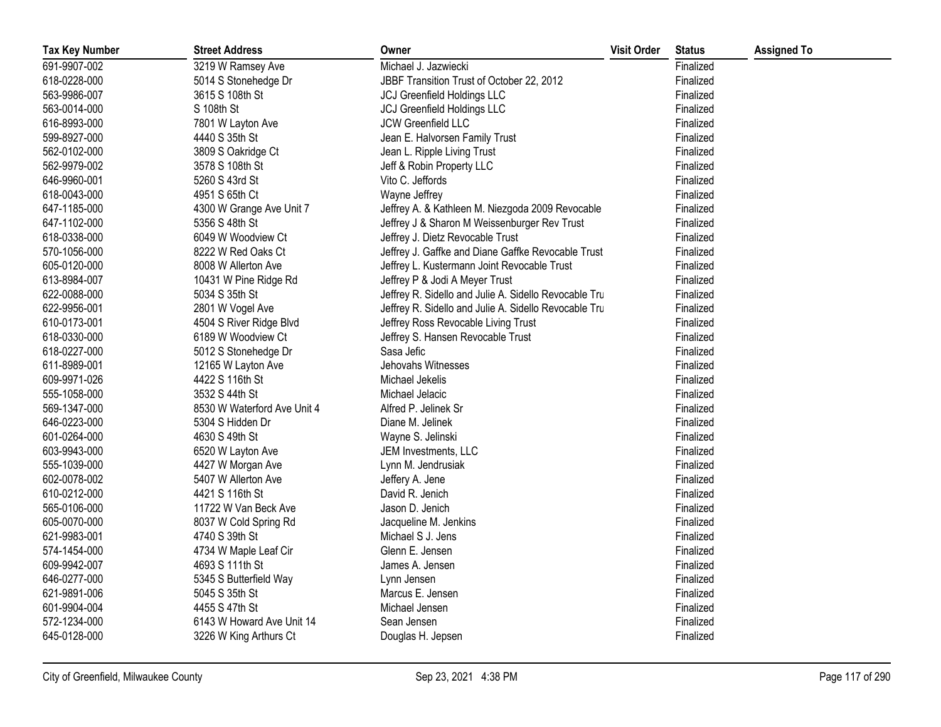| <b>Tax Key Number</b> | <b>Street Address</b>       | Owner                                                 | <b>Visit Order</b> | <b>Status</b> | <b>Assigned To</b> |
|-----------------------|-----------------------------|-------------------------------------------------------|--------------------|---------------|--------------------|
| 691-9907-002          | 3219 W Ramsey Ave           | Michael J. Jazwiecki                                  |                    | Finalized     |                    |
| 618-0228-000          | 5014 S Stonehedge Dr        | JBBF Transition Trust of October 22, 2012             |                    | Finalized     |                    |
| 563-9986-007          | 3615 S 108th St             | <b>JCJ Greenfield Holdings LLC</b>                    |                    | Finalized     |                    |
| 563-0014-000          | S 108th St                  | <b>JCJ Greenfield Holdings LLC</b>                    |                    | Finalized     |                    |
| 616-8993-000          | 7801 W Layton Ave           | JCW Greenfield LLC                                    |                    | Finalized     |                    |
| 599-8927-000          | 4440 S 35th St              | Jean E. Halvorsen Family Trust                        |                    | Finalized     |                    |
| 562-0102-000          | 3809 S Oakridge Ct          | Jean L. Ripple Living Trust                           |                    | Finalized     |                    |
| 562-9979-002          | 3578 S 108th St             | Jeff & Robin Property LLC                             |                    | Finalized     |                    |
| 646-9960-001          | 5260 S 43rd St              | Vito C. Jeffords                                      |                    | Finalized     |                    |
| 618-0043-000          | 4951 S 65th Ct              | Wayne Jeffrey                                         |                    | Finalized     |                    |
| 647-1185-000          | 4300 W Grange Ave Unit 7    | Jeffrey A. & Kathleen M. Niezgoda 2009 Revocable      |                    | Finalized     |                    |
| 647-1102-000          | 5356 S 48th St              | Jeffrey J & Sharon M Weissenburger Rev Trust          |                    | Finalized     |                    |
| 618-0338-000          | 6049 W Woodview Ct          | Jeffrey J. Dietz Revocable Trust                      |                    | Finalized     |                    |
| 570-1056-000          | 8222 W Red Oaks Ct          | Jeffrey J. Gaffke and Diane Gaffke Revocable Trust    |                    | Finalized     |                    |
| 605-0120-000          | 8008 W Allerton Ave         | Jeffrey L. Kustermann Joint Revocable Trust           |                    | Finalized     |                    |
| 613-8984-007          | 10431 W Pine Ridge Rd       | Jeffrey P & Jodi A Meyer Trust                        |                    | Finalized     |                    |
| 622-0088-000          | 5034 S 35th St              | Jeffrey R. Sidello and Julie A. Sidello Revocable Tru |                    | Finalized     |                    |
| 622-9956-001          | 2801 W Vogel Ave            | Jeffrey R. Sidello and Julie A. Sidello Revocable Tru |                    | Finalized     |                    |
| 610-0173-001          | 4504 S River Ridge Blvd     | Jeffrey Ross Revocable Living Trust                   |                    | Finalized     |                    |
| 618-0330-000          | 6189 W Woodview Ct          | Jeffrey S. Hansen Revocable Trust                     |                    | Finalized     |                    |
| 618-0227-000          | 5012 S Stonehedge Dr        | Sasa Jefic                                            |                    | Finalized     |                    |
| 611-8989-001          | 12165 W Layton Ave          | Jehovahs Witnesses                                    |                    | Finalized     |                    |
| 609-9971-026          | 4422 S 116th St             | Michael Jekelis                                       |                    | Finalized     |                    |
| 555-1058-000          | 3532 S 44th St              | Michael Jelacic                                       |                    | Finalized     |                    |
| 569-1347-000          | 8530 W Waterford Ave Unit 4 | Alfred P. Jelinek Sr                                  |                    | Finalized     |                    |
| 646-0223-000          | 5304 S Hidden Dr            | Diane M. Jelinek                                      |                    | Finalized     |                    |
| 601-0264-000          | 4630 S 49th St              | Wayne S. Jelinski                                     |                    | Finalized     |                    |
| 603-9943-000          | 6520 W Layton Ave           | JEM Investments, LLC                                  |                    | Finalized     |                    |
| 555-1039-000          | 4427 W Morgan Ave           | Lynn M. Jendrusiak                                    |                    | Finalized     |                    |
| 602-0078-002          | 5407 W Allerton Ave         | Jeffery A. Jene                                       |                    | Finalized     |                    |
| 610-0212-000          | 4421 S 116th St             | David R. Jenich                                       |                    | Finalized     |                    |
| 565-0106-000          | 11722 W Van Beck Ave        | Jason D. Jenich                                       |                    | Finalized     |                    |
| 605-0070-000          | 8037 W Cold Spring Rd       | Jacqueline M. Jenkins                                 |                    | Finalized     |                    |
| 621-9983-001          | 4740 S 39th St              | Michael S J. Jens                                     |                    | Finalized     |                    |
| 574-1454-000          | 4734 W Maple Leaf Cir       | Glenn E. Jensen                                       |                    | Finalized     |                    |
| 609-9942-007          | 4693 S 111th St             | James A. Jensen                                       |                    | Finalized     |                    |
| 646-0277-000          | 5345 S Butterfield Way      | Lynn Jensen                                           |                    | Finalized     |                    |
| 621-9891-006          | 5045 S 35th St              | Marcus E. Jensen                                      |                    | Finalized     |                    |
| 601-9904-004          | 4455 S 47th St              | Michael Jensen                                        |                    | Finalized     |                    |
| 572-1234-000          | 6143 W Howard Ave Unit 14   | Sean Jensen                                           |                    | Finalized     |                    |
| 645-0128-000          | 3226 W King Arthurs Ct      | Douglas H. Jepsen                                     |                    | Finalized     |                    |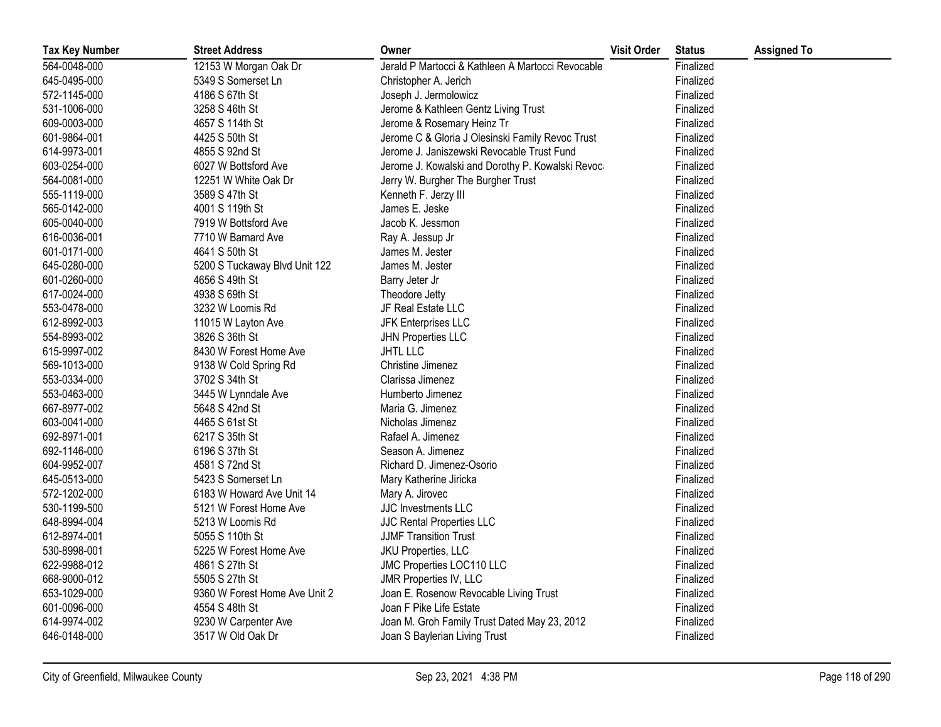| <b>Tax Key Number</b> | <b>Street Address</b>         | Owner                                             | <b>Visit Order</b> | <b>Status</b> | <b>Assigned To</b> |
|-----------------------|-------------------------------|---------------------------------------------------|--------------------|---------------|--------------------|
| 564-0048-000          | 12153 W Morgan Oak Dr         | Jerald P Martocci & Kathleen A Martocci Revocable |                    | Finalized     |                    |
| 645-0495-000          | 5349 S Somerset Ln            | Christopher A. Jerich                             |                    | Finalized     |                    |
| 572-1145-000          | 4186 S 67th St                | Joseph J. Jermolowicz                             |                    | Finalized     |                    |
| 531-1006-000          | 3258 S 46th St                | Jerome & Kathleen Gentz Living Trust              |                    | Finalized     |                    |
| 609-0003-000          | 4657 S 114th St               | Jerome & Rosemary Heinz Tr                        |                    | Finalized     |                    |
| 601-9864-001          | 4425 S 50th St                | Jerome C & Gloria J Olesinski Family Revoc Trust  |                    | Finalized     |                    |
| 614-9973-001          | 4855 S 92nd St                | Jerome J. Janiszewski Revocable Trust Fund        |                    | Finalized     |                    |
| 603-0254-000          | 6027 W Bottsford Ave          | Jerome J. Kowalski and Dorothy P. Kowalski Revoca |                    | Finalized     |                    |
| 564-0081-000          | 12251 W White Oak Dr          | Jerry W. Burgher The Burgher Trust                |                    | Finalized     |                    |
| 555-1119-000          | 3589 S 47th St                | Kenneth F. Jerzy III                              |                    | Finalized     |                    |
| 565-0142-000          | 4001 S 119th St               | James E. Jeske                                    |                    | Finalized     |                    |
| 605-0040-000          | 7919 W Bottsford Ave          | Jacob K. Jessmon                                  |                    | Finalized     |                    |
| 616-0036-001          | 7710 W Barnard Ave            | Ray A. Jessup Jr                                  |                    | Finalized     |                    |
| 601-0171-000          | 4641 S 50th St                | James M. Jester                                   |                    | Finalized     |                    |
| 645-0280-000          | 5200 S Tuckaway Blvd Unit 122 | James M. Jester                                   |                    | Finalized     |                    |
| 601-0260-000          | 4656 S 49th St                | Barry Jeter Jr                                    |                    | Finalized     |                    |
| 617-0024-000          | 4938 S 69th St                | Theodore Jetty                                    |                    | Finalized     |                    |
| 553-0478-000          | 3232 W Loomis Rd              | JF Real Estate LLC                                |                    | Finalized     |                    |
| 612-8992-003          | 11015 W Layton Ave            | JFK Enterprises LLC                               |                    | Finalized     |                    |
| 554-8993-002          | 3826 S 36th St                | <b>JHN Properties LLC</b>                         |                    | Finalized     |                    |
| 615-9997-002          | 8430 W Forest Home Ave        | <b>JHTL LLC</b>                                   |                    | Finalized     |                    |
| 569-1013-000          | 9138 W Cold Spring Rd         | Christine Jimenez                                 |                    | Finalized     |                    |
| 553-0334-000          | 3702 S 34th St                | Clarissa Jimenez                                  |                    | Finalized     |                    |
| 553-0463-000          | 3445 W Lynndale Ave           | Humberto Jimenez                                  |                    | Finalized     |                    |
| 667-8977-002          | 5648 S 42nd St                | Maria G. Jimenez                                  |                    | Finalized     |                    |
| 603-0041-000          | 4465 S 61st St                | Nicholas Jimenez                                  |                    | Finalized     |                    |
| 692-8971-001          | 6217 S 35th St                | Rafael A. Jimenez                                 |                    | Finalized     |                    |
| 692-1146-000          | 6196 S 37th St                | Season A. Jimenez                                 |                    | Finalized     |                    |
| 604-9952-007          | 4581 S 72nd St                | Richard D. Jimenez-Osorio                         |                    | Finalized     |                    |
| 645-0513-000          | 5423 S Somerset Ln            | Mary Katherine Jiricka                            |                    | Finalized     |                    |
| 572-1202-000          | 6183 W Howard Ave Unit 14     | Mary A. Jirovec                                   |                    | Finalized     |                    |
| 530-1199-500          | 5121 W Forest Home Ave        | JJC Investments LLC                               |                    | Finalized     |                    |
| 648-8994-004          | 5213 W Loomis Rd              | JJC Rental Properties LLC                         |                    | Finalized     |                    |
| 612-8974-001          | 5055 S 110th St               | <b>JJMF Transition Trust</b>                      |                    | Finalized     |                    |
| 530-8998-001          | 5225 W Forest Home Ave        | JKU Properties, LLC                               |                    | Finalized     |                    |
| 622-9988-012          | 4861 S 27th St                | JMC Properties LOC110 LLC                         |                    | Finalized     |                    |
| 668-9000-012          | 5505 S 27th St                | JMR Properties IV, LLC                            |                    | Finalized     |                    |
| 653-1029-000          | 9360 W Forest Home Ave Unit 2 | Joan E. Rosenow Revocable Living Trust            |                    | Finalized     |                    |
| 601-0096-000          | 4554 S 48th St                | Joan F Pike Life Estate                           |                    | Finalized     |                    |
| 614-9974-002          | 9230 W Carpenter Ave          | Joan M. Groh Family Trust Dated May 23, 2012      |                    | Finalized     |                    |
| 646-0148-000          | 3517 W Old Oak Dr             | Joan S Baylerian Living Trust                     |                    | Finalized     |                    |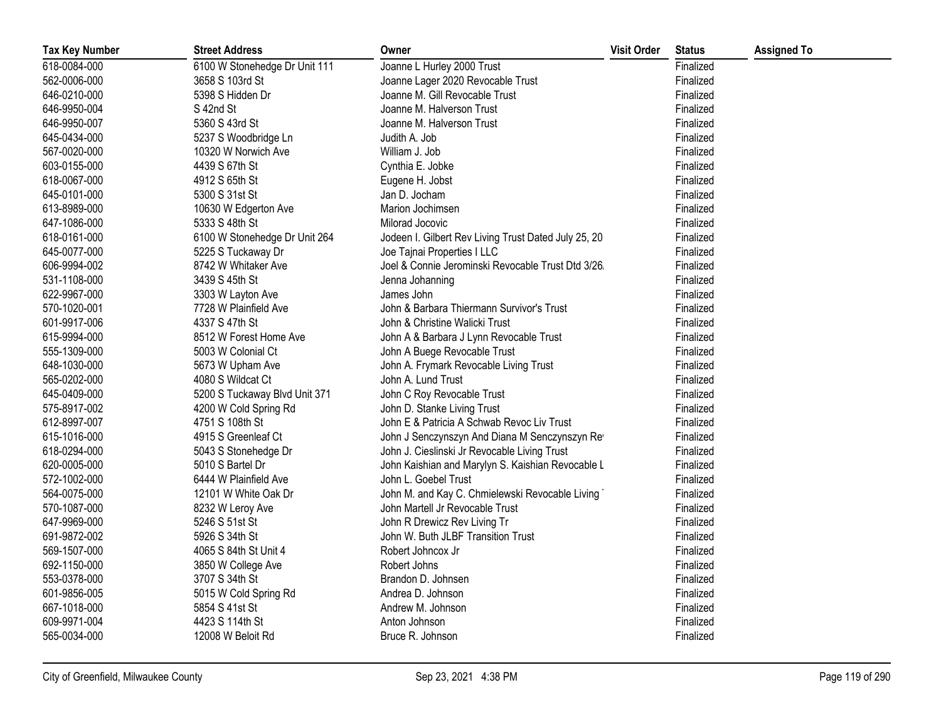| <b>Tax Key Number</b> | <b>Street Address</b>         | Owner                                                | <b>Visit Order</b> | <b>Status</b> | <b>Assigned To</b> |
|-----------------------|-------------------------------|------------------------------------------------------|--------------------|---------------|--------------------|
| 618-0084-000          | 6100 W Stonehedge Dr Unit 111 | Joanne L Hurley 2000 Trust                           |                    | Finalized     |                    |
| 562-0006-000          | 3658 S 103rd St               | Joanne Lager 2020 Revocable Trust                    |                    | Finalized     |                    |
| 646-0210-000          | 5398 S Hidden Dr              | Joanne M. Gill Revocable Trust                       |                    | Finalized     |                    |
| 646-9950-004          | S 42nd St                     | Joanne M. Halverson Trust                            |                    | Finalized     |                    |
| 646-9950-007          | 5360 S 43rd St                | Joanne M. Halverson Trust                            |                    | Finalized     |                    |
| 645-0434-000          | 5237 S Woodbridge Ln          | Judith A. Job                                        |                    | Finalized     |                    |
| 567-0020-000          | 10320 W Norwich Ave           | William J. Job                                       |                    | Finalized     |                    |
| 603-0155-000          | 4439 S 67th St                | Cynthia E. Jobke                                     |                    | Finalized     |                    |
| 618-0067-000          | 4912 S 65th St                | Eugene H. Jobst                                      |                    | Finalized     |                    |
| 645-0101-000          | 5300 S 31st St                | Jan D. Jocham                                        |                    | Finalized     |                    |
| 613-8989-000          | 10630 W Edgerton Ave          | Marion Jochimsen                                     |                    | Finalized     |                    |
| 647-1086-000          | 5333 S 48th St                | Milorad Jocovic                                      |                    | Finalized     |                    |
| 618-0161-000          | 6100 W Stonehedge Dr Unit 264 | Jodeen I. Gilbert Rev Living Trust Dated July 25, 20 |                    | Finalized     |                    |
| 645-0077-000          | 5225 S Tuckaway Dr            | Joe Tajnai Properties I LLC                          |                    | Finalized     |                    |
| 606-9994-002          | 8742 W Whitaker Ave           | Joel & Connie Jerominski Revocable Trust Dtd 3/26    |                    | Finalized     |                    |
| 531-1108-000          | 3439 S 45th St                | Jenna Johanning                                      |                    | Finalized     |                    |
| 622-9967-000          | 3303 W Layton Ave             | James John                                           |                    | Finalized     |                    |
| 570-1020-001          | 7728 W Plainfield Ave         | John & Barbara Thiermann Survivor's Trust            |                    | Finalized     |                    |
| 601-9917-006          | 4337 S 47th St                | John & Christine Walicki Trust                       |                    | Finalized     |                    |
| 615-9994-000          | 8512 W Forest Home Ave        | John A & Barbara J Lynn Revocable Trust              |                    | Finalized     |                    |
| 555-1309-000          | 5003 W Colonial Ct            | John A Buege Revocable Trust                         |                    | Finalized     |                    |
| 648-1030-000          | 5673 W Upham Ave              | John A. Frymark Revocable Living Trust               |                    | Finalized     |                    |
| 565-0202-000          | 4080 S Wildcat Ct             | John A. Lund Trust                                   |                    | Finalized     |                    |
| 645-0409-000          | 5200 S Tuckaway Blvd Unit 371 | John C Roy Revocable Trust                           |                    | Finalized     |                    |
| 575-8917-002          | 4200 W Cold Spring Rd         | John D. Stanke Living Trust                          |                    | Finalized     |                    |
| 612-8997-007          | 4751 S 108th St               | John E & Patricia A Schwab Revoc Liv Trust           |                    | Finalized     |                    |
| 615-1016-000          | 4915 S Greenleaf Ct           | John J Senczynszyn And Diana M Senczynszyn Rev       |                    | Finalized     |                    |
| 618-0294-000          | 5043 S Stonehedge Dr          | John J. Cieslinski Jr Revocable Living Trust         |                    | Finalized     |                    |
| 620-0005-000          | 5010 S Bartel Dr              | John Kaishian and Marylyn S. Kaishian Revocable L    |                    | Finalized     |                    |
| 572-1002-000          | 6444 W Plainfield Ave         | John L. Goebel Trust                                 |                    | Finalized     |                    |
| 564-0075-000          | 12101 W White Oak Dr          | John M. and Kay C. Chmielewski Revocable Living      |                    | Finalized     |                    |
| 570-1087-000          | 8232 W Leroy Ave              | John Martell Jr Revocable Trust                      |                    | Finalized     |                    |
| 647-9969-000          | 5246 S 51st St                | John R Drewicz Rev Living Tr                         |                    | Finalized     |                    |
| 691-9872-002          | 5926 S 34th St                | John W. Buth JLBF Transition Trust                   |                    | Finalized     |                    |
| 569-1507-000          | 4065 S 84th St Unit 4         | Robert Johncox Jr                                    |                    | Finalized     |                    |
| 692-1150-000          | 3850 W College Ave            | Robert Johns                                         |                    | Finalized     |                    |
| 553-0378-000          | 3707 S 34th St                | Brandon D. Johnsen                                   |                    | Finalized     |                    |
| 601-9856-005          | 5015 W Cold Spring Rd         | Andrea D. Johnson                                    |                    | Finalized     |                    |
| 667-1018-000          | 5854 S 41st St                | Andrew M. Johnson                                    |                    | Finalized     |                    |
| 609-9971-004          | 4423 S 114th St               | Anton Johnson                                        |                    | Finalized     |                    |
| 565-0034-000          | 12008 W Beloit Rd             | Bruce R. Johnson                                     |                    | Finalized     |                    |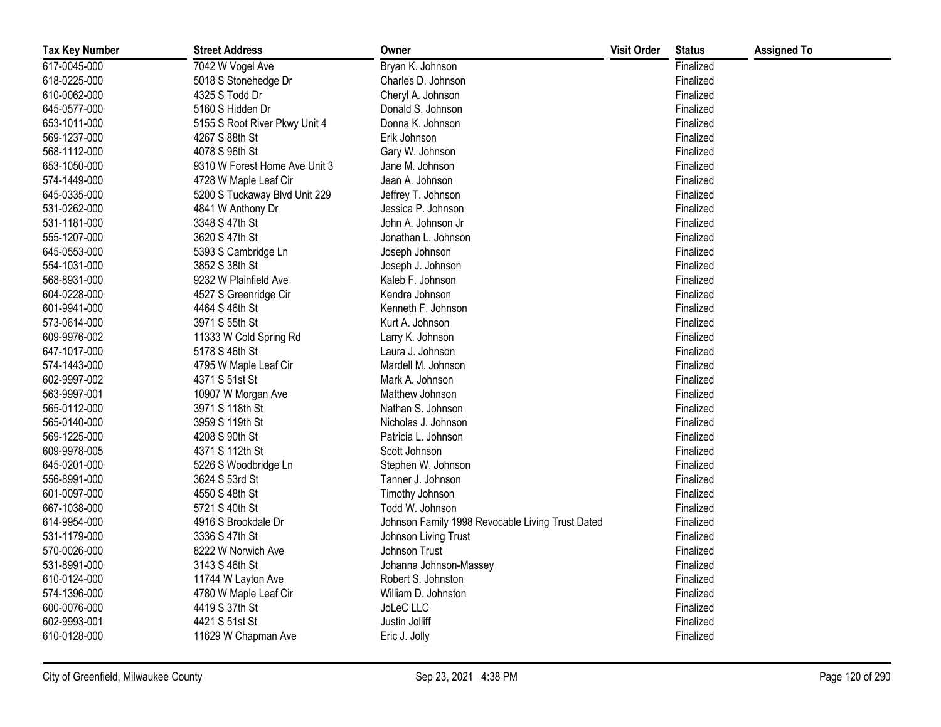| <b>Tax Key Number</b> | <b>Street Address</b>         | Owner                                            | <b>Visit Order</b> | <b>Status</b> | <b>Assigned To</b> |
|-----------------------|-------------------------------|--------------------------------------------------|--------------------|---------------|--------------------|
| 617-0045-000          | 7042 W Vogel Ave              | Bryan K. Johnson                                 |                    | Finalized     |                    |
| 618-0225-000          | 5018 S Stonehedge Dr          | Charles D. Johnson                               |                    | Finalized     |                    |
| 610-0062-000          | 4325 S Todd Dr                | Cheryl A. Johnson                                |                    | Finalized     |                    |
| 645-0577-000          | 5160 S Hidden Dr              | Donald S. Johnson                                |                    | Finalized     |                    |
| 653-1011-000          | 5155 S Root River Pkwy Unit 4 | Donna K. Johnson                                 |                    | Finalized     |                    |
| 569-1237-000          | 4267 S 88th St                | Erik Johnson                                     |                    | Finalized     |                    |
| 568-1112-000          | 4078 S 96th St                | Gary W. Johnson                                  |                    | Finalized     |                    |
| 653-1050-000          | 9310 W Forest Home Ave Unit 3 | Jane M. Johnson                                  |                    | Finalized     |                    |
| 574-1449-000          | 4728 W Maple Leaf Cir         | Jean A. Johnson                                  |                    | Finalized     |                    |
| 645-0335-000          | 5200 S Tuckaway Blvd Unit 229 | Jeffrey T. Johnson                               |                    | Finalized     |                    |
| 531-0262-000          | 4841 W Anthony Dr             | Jessica P. Johnson                               |                    | Finalized     |                    |
| 531-1181-000          | 3348 S 47th St                | John A. Johnson Jr                               |                    | Finalized     |                    |
| 555-1207-000          | 3620 S 47th St                | Jonathan L. Johnson                              |                    | Finalized     |                    |
| 645-0553-000          | 5393 S Cambridge Ln           | Joseph Johnson                                   |                    | Finalized     |                    |
| 554-1031-000          | 3852 S 38th St                | Joseph J. Johnson                                |                    | Finalized     |                    |
| 568-8931-000          | 9232 W Plainfield Ave         | Kaleb F. Johnson                                 |                    | Finalized     |                    |
| 604-0228-000          | 4527 S Greenridge Cir         | Kendra Johnson                                   |                    | Finalized     |                    |
| 601-9941-000          | 4464 S 46th St                | Kenneth F. Johnson                               |                    | Finalized     |                    |
| 573-0614-000          | 3971 S 55th St                | Kurt A. Johnson                                  |                    | Finalized     |                    |
| 609-9976-002          | 11333 W Cold Spring Rd        | Larry K. Johnson                                 |                    | Finalized     |                    |
| 647-1017-000          | 5178 S 46th St                | Laura J. Johnson                                 |                    | Finalized     |                    |
| 574-1443-000          | 4795 W Maple Leaf Cir         | Mardell M. Johnson                               |                    | Finalized     |                    |
| 602-9997-002          | 4371 S 51st St                | Mark A. Johnson                                  |                    | Finalized     |                    |
| 563-9997-001          | 10907 W Morgan Ave            | Matthew Johnson                                  |                    | Finalized     |                    |
| 565-0112-000          | 3971 S 118th St               | Nathan S. Johnson                                |                    | Finalized     |                    |
| 565-0140-000          | 3959 S 119th St               | Nicholas J. Johnson                              |                    | Finalized     |                    |
| 569-1225-000          | 4208 S 90th St                | Patricia L. Johnson                              |                    | Finalized     |                    |
| 609-9978-005          | 4371 S 112th St               | Scott Johnson                                    |                    | Finalized     |                    |
| 645-0201-000          | 5226 S Woodbridge Ln          | Stephen W. Johnson                               |                    | Finalized     |                    |
| 556-8991-000          | 3624 S 53rd St                | Tanner J. Johnson                                |                    | Finalized     |                    |
| 601-0097-000          | 4550 S 48th St                | Timothy Johnson                                  |                    | Finalized     |                    |
| 667-1038-000          | 5721 S 40th St                | Todd W. Johnson                                  |                    | Finalized     |                    |
| 614-9954-000          | 4916 S Brookdale Dr           | Johnson Family 1998 Revocable Living Trust Dated |                    | Finalized     |                    |
| 531-1179-000          | 3336 S 47th St                | Johnson Living Trust                             |                    | Finalized     |                    |
| 570-0026-000          | 8222 W Norwich Ave            | Johnson Trust                                    |                    | Finalized     |                    |
| 531-8991-000          | 3143 S 46th St                | Johanna Johnson-Massey                           |                    | Finalized     |                    |
| 610-0124-000          | 11744 W Layton Ave            | Robert S. Johnston                               |                    | Finalized     |                    |
| 574-1396-000          | 4780 W Maple Leaf Cir         | William D. Johnston                              |                    | Finalized     |                    |
| 600-0076-000          | 4419 S 37th St                | JoLeC LLC                                        |                    | Finalized     |                    |
| 602-9993-001          | 4421 S 51st St                | Justin Jolliff                                   |                    | Finalized     |                    |
| 610-0128-000          | 11629 W Chapman Ave           | Eric J. Jolly                                    |                    | Finalized     |                    |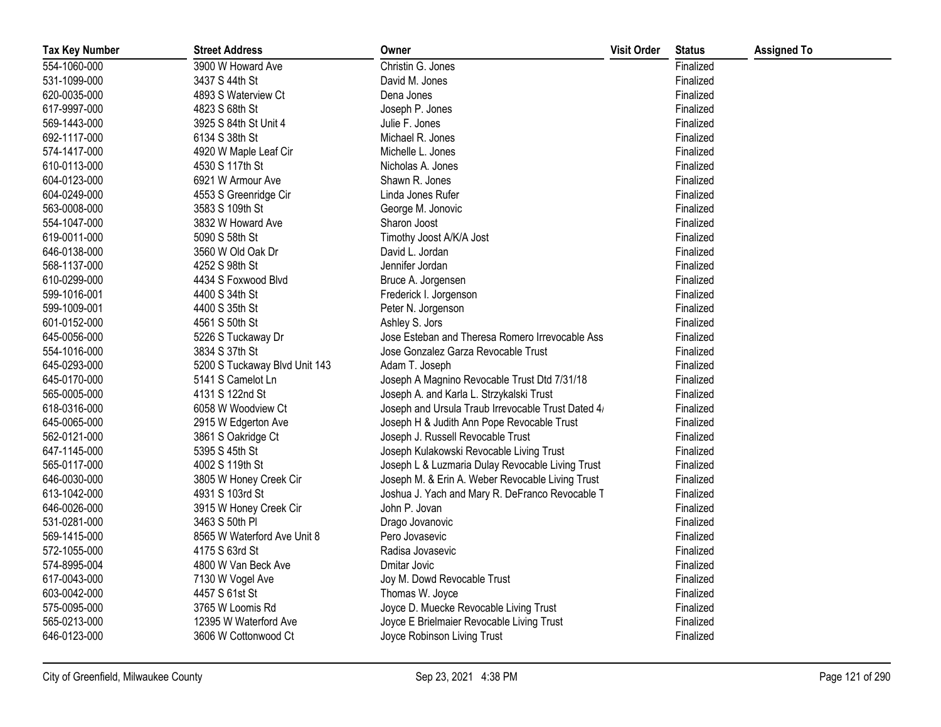| <b>Tax Key Number</b> | <b>Street Address</b>         | Owner                                              | <b>Visit Order</b> | <b>Status</b> | <b>Assigned To</b> |
|-----------------------|-------------------------------|----------------------------------------------------|--------------------|---------------|--------------------|
| 554-1060-000          | 3900 W Howard Ave             | Christin G. Jones                                  |                    | Finalized     |                    |
| 531-1099-000          | 3437 S 44th St                | David M. Jones                                     |                    | Finalized     |                    |
| 620-0035-000          | 4893 S Waterview Ct           | Dena Jones                                         |                    | Finalized     |                    |
| 617-9997-000          | 4823 S 68th St                | Joseph P. Jones                                    |                    | Finalized     |                    |
| 569-1443-000          | 3925 S 84th St Unit 4         | Julie F. Jones                                     |                    | Finalized     |                    |
| 692-1117-000          | 6134 S 38th St                | Michael R. Jones                                   |                    | Finalized     |                    |
| 574-1417-000          | 4920 W Maple Leaf Cir         | Michelle L. Jones                                  |                    | Finalized     |                    |
| 610-0113-000          | 4530 S 117th St               | Nicholas A. Jones                                  |                    | Finalized     |                    |
| 604-0123-000          | 6921 W Armour Ave             | Shawn R. Jones                                     |                    | Finalized     |                    |
| 604-0249-000          | 4553 S Greenridge Cir         | Linda Jones Rufer                                  |                    | Finalized     |                    |
| 563-0008-000          | 3583 S 109th St               | George M. Jonovic                                  |                    | Finalized     |                    |
| 554-1047-000          | 3832 W Howard Ave             | Sharon Joost                                       |                    | Finalized     |                    |
| 619-0011-000          | 5090 S 58th St                | Timothy Joost A/K/A Jost                           |                    | Finalized     |                    |
| 646-0138-000          | 3560 W Old Oak Dr             | David L. Jordan                                    |                    | Finalized     |                    |
| 568-1137-000          | 4252 S 98th St                | Jennifer Jordan                                    |                    | Finalized     |                    |
| 610-0299-000          | 4434 S Foxwood Blvd           | Bruce A. Jorgensen                                 |                    | Finalized     |                    |
| 599-1016-001          | 4400 S 34th St                | Frederick I. Jorgenson                             |                    | Finalized     |                    |
| 599-1009-001          | 4400 S 35th St                | Peter N. Jorgenson                                 |                    | Finalized     |                    |
| 601-0152-000          | 4561 S 50th St                | Ashley S. Jors                                     |                    | Finalized     |                    |
| 645-0056-000          | 5226 S Tuckaway Dr            | Jose Esteban and Theresa Romero Irrevocable Ass    |                    | Finalized     |                    |
| 554-1016-000          | 3834 S 37th St                | Jose Gonzalez Garza Revocable Trust                |                    | Finalized     |                    |
| 645-0293-000          | 5200 S Tuckaway Blvd Unit 143 | Adam T. Joseph                                     |                    | Finalized     |                    |
| 645-0170-000          | 5141 S Camelot Ln             | Joseph A Magnino Revocable Trust Dtd 7/31/18       |                    | Finalized     |                    |
| 565-0005-000          | 4131 S 122nd St               | Joseph A. and Karla L. Strzykalski Trust           |                    | Finalized     |                    |
| 618-0316-000          | 6058 W Woodview Ct            | Joseph and Ursula Traub Irrevocable Trust Dated 4/ |                    | Finalized     |                    |
| 645-0065-000          | 2915 W Edgerton Ave           | Joseph H & Judith Ann Pope Revocable Trust         |                    | Finalized     |                    |
| 562-0121-000          | 3861 S Oakridge Ct            | Joseph J. Russell Revocable Trust                  |                    | Finalized     |                    |
| 647-1145-000          | 5395 S 45th St                | Joseph Kulakowski Revocable Living Trust           |                    | Finalized     |                    |
| 565-0117-000          | 4002 S 119th St               | Joseph L & Luzmaria Dulay Revocable Living Trust   |                    | Finalized     |                    |
| 646-0030-000          | 3805 W Honey Creek Cir        | Joseph M. & Erin A. Weber Revocable Living Trust   |                    | Finalized     |                    |
| 613-1042-000          | 4931 S 103rd St               | Joshua J. Yach and Mary R. DeFranco Revocable T    |                    | Finalized     |                    |
| 646-0026-000          | 3915 W Honey Creek Cir        | John P. Jovan                                      |                    | Finalized     |                    |
| 531-0281-000          | 3463 S 50th PI                | Drago Jovanovic                                    |                    | Finalized     |                    |
| 569-1415-000          | 8565 W Waterford Ave Unit 8   | Pero Jovasevic                                     |                    | Finalized     |                    |
| 572-1055-000          | 4175 S 63rd St                | Radisa Jovasevic                                   |                    | Finalized     |                    |
| 574-8995-004          | 4800 W Van Beck Ave           | Dmitar Jovic                                       |                    | Finalized     |                    |
| 617-0043-000          | 7130 W Vogel Ave              | Joy M. Dowd Revocable Trust                        |                    | Finalized     |                    |
| 603-0042-000          | 4457 S 61st St                | Thomas W. Joyce                                    |                    | Finalized     |                    |
| 575-0095-000          | 3765 W Loomis Rd              | Joyce D. Muecke Revocable Living Trust             |                    | Finalized     |                    |
| 565-0213-000          | 12395 W Waterford Ave         | Joyce E Brielmaier Revocable Living Trust          |                    | Finalized     |                    |
| 646-0123-000          | 3606 W Cottonwood Ct          | Joyce Robinson Living Trust                        |                    | Finalized     |                    |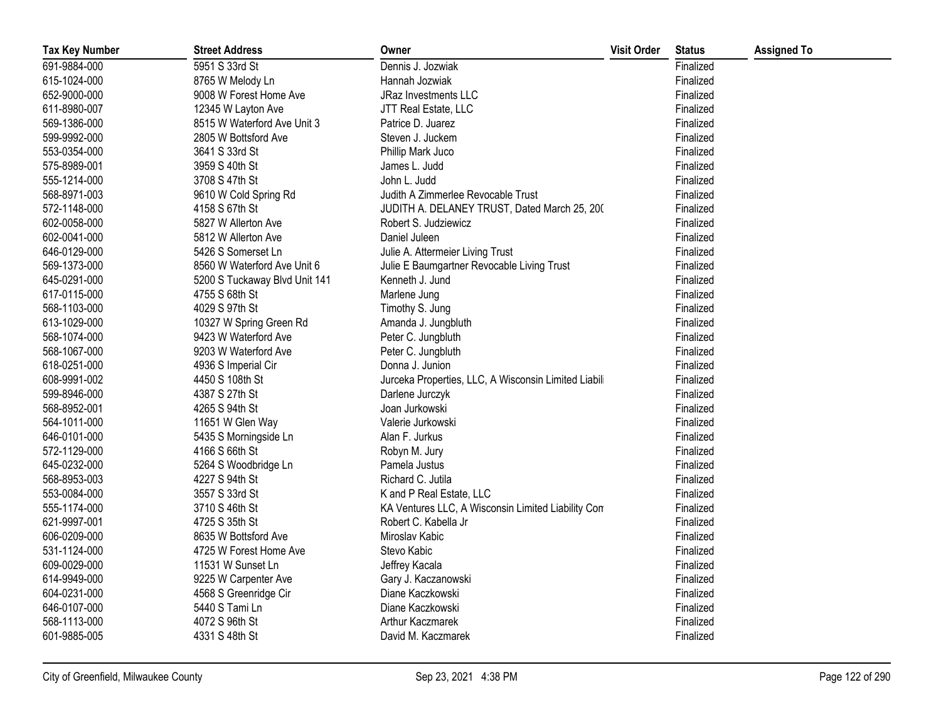| <b>Tax Key Number</b> | <b>Street Address</b>         | Owner                                                | <b>Visit Order</b> | <b>Status</b> | <b>Assigned To</b> |
|-----------------------|-------------------------------|------------------------------------------------------|--------------------|---------------|--------------------|
| 691-9884-000          | 5951 S 33rd St                | Dennis J. Jozwiak                                    |                    | Finalized     |                    |
| 615-1024-000          | 8765 W Melody Ln              | Hannah Jozwiak                                       |                    | Finalized     |                    |
| 652-9000-000          | 9008 W Forest Home Ave        | <b>JRaz Investments LLC</b>                          |                    | Finalized     |                    |
| 611-8980-007          | 12345 W Layton Ave            | JTT Real Estate, LLC                                 |                    | Finalized     |                    |
| 569-1386-000          | 8515 W Waterford Ave Unit 3   | Patrice D. Juarez                                    |                    | Finalized     |                    |
| 599-9992-000          | 2805 W Bottsford Ave          | Steven J. Juckem                                     |                    | Finalized     |                    |
| 553-0354-000          | 3641 S 33rd St                | Phillip Mark Juco                                    |                    | Finalized     |                    |
| 575-8989-001          | 3959 S 40th St                | James L. Judd                                        |                    | Finalized     |                    |
| 555-1214-000          | 3708 S 47th St                | John L. Judd                                         |                    | Finalized     |                    |
| 568-8971-003          | 9610 W Cold Spring Rd         | Judith A Zimmerlee Revocable Trust                   |                    | Finalized     |                    |
| 572-1148-000          | 4158 S 67th St                | JUDITH A. DELANEY TRUST, Dated March 25, 200         |                    | Finalized     |                    |
| 602-0058-000          | 5827 W Allerton Ave           | Robert S. Judziewicz                                 |                    | Finalized     |                    |
| 602-0041-000          | 5812 W Allerton Ave           | Daniel Juleen                                        |                    | Finalized     |                    |
| 646-0129-000          | 5426 S Somerset Ln            | Julie A. Attermeier Living Trust                     |                    | Finalized     |                    |
| 569-1373-000          | 8560 W Waterford Ave Unit 6   | Julie E Baumgartner Revocable Living Trust           |                    | Finalized     |                    |
| 645-0291-000          | 5200 S Tuckaway Blvd Unit 141 | Kenneth J. Jund                                      |                    | Finalized     |                    |
| 617-0115-000          | 4755 S 68th St                | Marlene Jung                                         |                    | Finalized     |                    |
| 568-1103-000          | 4029 S 97th St                | Timothy S. Jung                                      |                    | Finalized     |                    |
| 613-1029-000          | 10327 W Spring Green Rd       | Amanda J. Jungbluth                                  |                    | Finalized     |                    |
| 568-1074-000          | 9423 W Waterford Ave          | Peter C. Jungbluth                                   |                    | Finalized     |                    |
| 568-1067-000          | 9203 W Waterford Ave          | Peter C. Jungbluth                                   |                    | Finalized     |                    |
| 618-0251-000          | 4936 S Imperial Cir           | Donna J. Junion                                      |                    | Finalized     |                    |
| 608-9991-002          | 4450 S 108th St               | Jurceka Properties, LLC, A Wisconsin Limited Liabili |                    | Finalized     |                    |
| 599-8946-000          | 4387 S 27th St                | Darlene Jurczyk                                      |                    | Finalized     |                    |
| 568-8952-001          | 4265 S 94th St                | Joan Jurkowski                                       |                    | Finalized     |                    |
| 564-1011-000          | 11651 W Glen Way              | Valerie Jurkowski                                    |                    | Finalized     |                    |
| 646-0101-000          | 5435 S Morningside Ln         | Alan F. Jurkus                                       |                    | Finalized     |                    |
| 572-1129-000          | 4166 S 66th St                | Robyn M. Jury                                        |                    | Finalized     |                    |
| 645-0232-000          | 5264 S Woodbridge Ln          | Pamela Justus                                        |                    | Finalized     |                    |
| 568-8953-003          | 4227 S 94th St                | Richard C. Jutila                                    |                    | Finalized     |                    |
| 553-0084-000          | 3557 S 33rd St                | K and P Real Estate, LLC                             |                    | Finalized     |                    |
| 555-1174-000          | 3710 S 46th St                | KA Ventures LLC, A Wisconsin Limited Liability Con   |                    | Finalized     |                    |
| 621-9997-001          | 4725 S 35th St                | Robert C. Kabella Jr                                 |                    | Finalized     |                    |
| 606-0209-000          | 8635 W Bottsford Ave          | Miroslav Kabic                                       |                    | Finalized     |                    |
| 531-1124-000          | 4725 W Forest Home Ave        | Stevo Kabic                                          |                    | Finalized     |                    |
| 609-0029-000          | 11531 W Sunset Ln             | Jeffrey Kacala                                       |                    | Finalized     |                    |
| 614-9949-000          | 9225 W Carpenter Ave          | Gary J. Kaczanowski                                  |                    | Finalized     |                    |
| 604-0231-000          | 4568 S Greenridge Cir         | Diane Kaczkowski                                     |                    | Finalized     |                    |
| 646-0107-000          | 5440 S Tami Ln                | Diane Kaczkowski                                     |                    | Finalized     |                    |
| 568-1113-000          | 4072 S 96th St                | Arthur Kaczmarek                                     |                    | Finalized     |                    |
| 601-9885-005          | 4331 S 48th St                | David M. Kaczmarek                                   |                    | Finalized     |                    |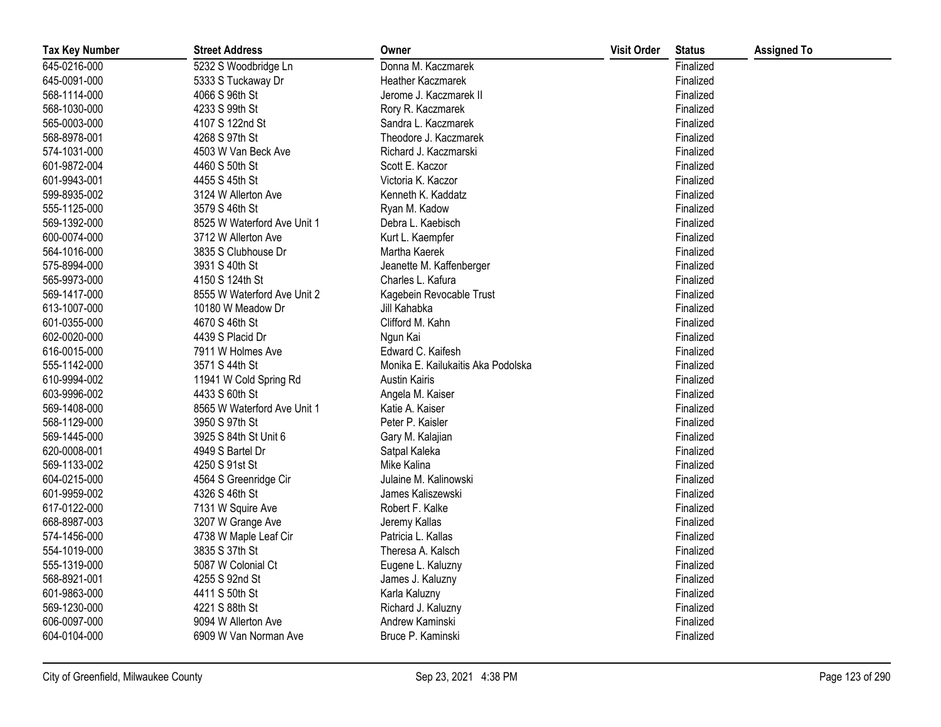| <b>Tax Key Number</b> | <b>Street Address</b>       | Owner                              | <b>Visit Order</b> | <b>Status</b> | <b>Assigned To</b> |
|-----------------------|-----------------------------|------------------------------------|--------------------|---------------|--------------------|
| 645-0216-000          | 5232 S Woodbridge Ln        | Donna M. Kaczmarek                 |                    | Finalized     |                    |
| 645-0091-000          | 5333 S Tuckaway Dr          | Heather Kaczmarek                  |                    | Finalized     |                    |
| 568-1114-000          | 4066 S 96th St              | Jerome J. Kaczmarek II             |                    | Finalized     |                    |
| 568-1030-000          | 4233 S 99th St              | Rory R. Kaczmarek                  |                    | Finalized     |                    |
| 565-0003-000          | 4107 S 122nd St             | Sandra L. Kaczmarek                |                    | Finalized     |                    |
| 568-8978-001          | 4268 S 97th St              | Theodore J. Kaczmarek              |                    | Finalized     |                    |
| 574-1031-000          | 4503 W Van Beck Ave         | Richard J. Kaczmarski              |                    | Finalized     |                    |
| 601-9872-004          | 4460 S 50th St              | Scott E. Kaczor                    |                    | Finalized     |                    |
| 601-9943-001          | 4455 S 45th St              | Victoria K. Kaczor                 |                    | Finalized     |                    |
| 599-8935-002          | 3124 W Allerton Ave         | Kenneth K. Kaddatz                 |                    | Finalized     |                    |
| 555-1125-000          | 3579 S 46th St              | Ryan M. Kadow                      |                    | Finalized     |                    |
| 569-1392-000          | 8525 W Waterford Ave Unit 1 | Debra L. Kaebisch                  |                    | Finalized     |                    |
| 600-0074-000          | 3712 W Allerton Ave         | Kurt L. Kaempfer                   |                    | Finalized     |                    |
| 564-1016-000          | 3835 S Clubhouse Dr         | Martha Kaerek                      |                    | Finalized     |                    |
| 575-8994-000          | 3931 S 40th St              | Jeanette M. Kaffenberger           |                    | Finalized     |                    |
| 565-9973-000          | 4150 S 124th St             | Charles L. Kafura                  |                    | Finalized     |                    |
| 569-1417-000          | 8555 W Waterford Ave Unit 2 | Kagebein Revocable Trust           |                    | Finalized     |                    |
| 613-1007-000          | 10180 W Meadow Dr           | Jill Kahabka                       |                    | Finalized     |                    |
| 601-0355-000          | 4670 S 46th St              | Clifford M. Kahn                   |                    | Finalized     |                    |
| 602-0020-000          | 4439 S Placid Dr            | Ngun Kai                           |                    | Finalized     |                    |
| 616-0015-000          | 7911 W Holmes Ave           | Edward C. Kaifesh                  |                    | Finalized     |                    |
| 555-1142-000          | 3571 S 44th St              | Monika E. Kailukaitis Aka Podolska |                    | Finalized     |                    |
| 610-9994-002          | 11941 W Cold Spring Rd      | <b>Austin Kairis</b>               |                    | Finalized     |                    |
| 603-9996-002          | 4433 S 60th St              | Angela M. Kaiser                   |                    | Finalized     |                    |
| 569-1408-000          | 8565 W Waterford Ave Unit 1 | Katie A. Kaiser                    |                    | Finalized     |                    |
| 568-1129-000          | 3950 S 97th St              | Peter P. Kaisler                   |                    | Finalized     |                    |
| 569-1445-000          | 3925 S 84th St Unit 6       | Gary M. Kalajian                   |                    | Finalized     |                    |
| 620-0008-001          | 4949 S Bartel Dr            | Satpal Kaleka                      |                    | Finalized     |                    |
| 569-1133-002          | 4250 S 91st St              | Mike Kalina                        |                    | Finalized     |                    |
| 604-0215-000          | 4564 S Greenridge Cir       | Julaine M. Kalinowski              |                    | Finalized     |                    |
| 601-9959-002          | 4326 S 46th St              | James Kaliszewski                  |                    | Finalized     |                    |
| 617-0122-000          | 7131 W Squire Ave           | Robert F. Kalke                    |                    | Finalized     |                    |
| 668-8987-003          | 3207 W Grange Ave           | Jeremy Kallas                      |                    | Finalized     |                    |
| 574-1456-000          | 4738 W Maple Leaf Cir       | Patricia L. Kallas                 |                    | Finalized     |                    |
| 554-1019-000          | 3835 S 37th St              | Theresa A. Kalsch                  |                    | Finalized     |                    |
| 555-1319-000          | 5087 W Colonial Ct          | Eugene L. Kaluzny                  |                    | Finalized     |                    |
| 568-8921-001          | 4255 S 92nd St              | James J. Kaluzny                   |                    | Finalized     |                    |
| 601-9863-000          | 4411 S 50th St              | Karla Kaluzny                      |                    | Finalized     |                    |
| 569-1230-000          | 4221 S 88th St              | Richard J. Kaluzny                 |                    | Finalized     |                    |
| 606-0097-000          | 9094 W Allerton Ave         | Andrew Kaminski                    |                    | Finalized     |                    |
| 604-0104-000          | 6909 W Van Norman Ave       | Bruce P. Kaminski                  |                    | Finalized     |                    |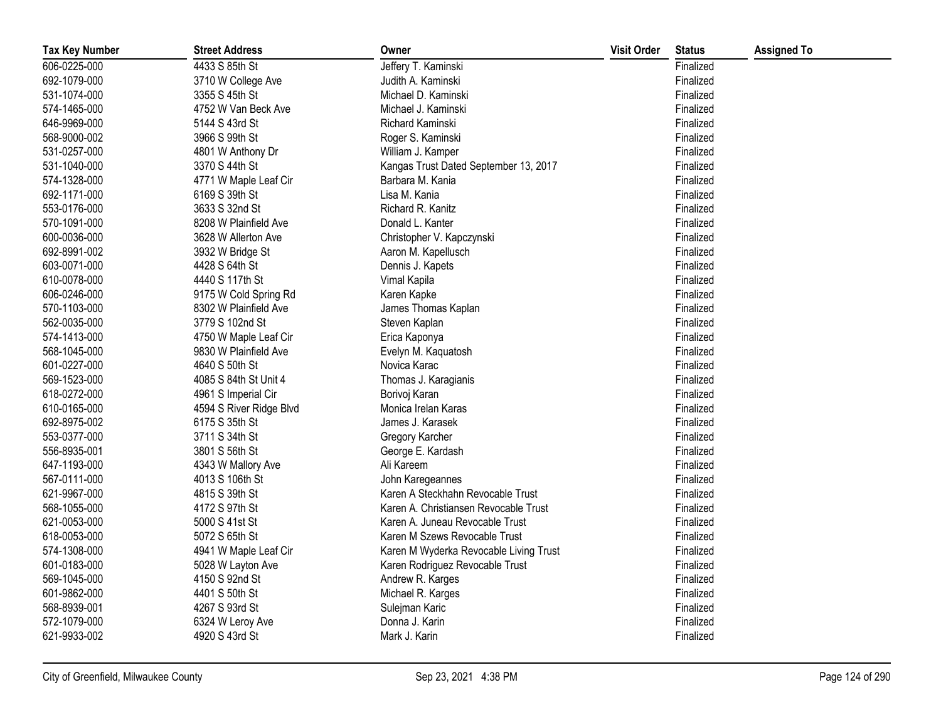| <b>Tax Key Number</b> | <b>Street Address</b>   | Owner                                  | <b>Visit Order</b> | <b>Status</b> | <b>Assigned To</b> |
|-----------------------|-------------------------|----------------------------------------|--------------------|---------------|--------------------|
| 606-0225-000          | 4433 S 85th St          | Jeffery T. Kaminski                    |                    | Finalized     |                    |
| 692-1079-000          | 3710 W College Ave      | Judith A. Kaminski                     |                    | Finalized     |                    |
| 531-1074-000          | 3355 S 45th St          | Michael D. Kaminski                    |                    | Finalized     |                    |
| 574-1465-000          | 4752 W Van Beck Ave     | Michael J. Kaminski                    |                    | Finalized     |                    |
| 646-9969-000          | 5144 S 43rd St          | Richard Kaminski                       |                    | Finalized     |                    |
| 568-9000-002          | 3966 S 99th St          | Roger S. Kaminski                      |                    | Finalized     |                    |
| 531-0257-000          | 4801 W Anthony Dr       | William J. Kamper                      |                    | Finalized     |                    |
| 531-1040-000          | 3370 S 44th St          | Kangas Trust Dated September 13, 2017  |                    | Finalized     |                    |
| 574-1328-000          | 4771 W Maple Leaf Cir   | Barbara M. Kania                       |                    | Finalized     |                    |
| 692-1171-000          | 6169 S 39th St          | Lisa M. Kania                          |                    | Finalized     |                    |
| 553-0176-000          | 3633 S 32nd St          | Richard R. Kanitz                      |                    | Finalized     |                    |
| 570-1091-000          | 8208 W Plainfield Ave   | Donald L. Kanter                       |                    | Finalized     |                    |
| 600-0036-000          | 3628 W Allerton Ave     | Christopher V. Kapczynski              |                    | Finalized     |                    |
| 692-8991-002          | 3932 W Bridge St        | Aaron M. Kapellusch                    |                    | Finalized     |                    |
| 603-0071-000          | 4428 S 64th St          | Dennis J. Kapets                       |                    | Finalized     |                    |
| 610-0078-000          | 4440 S 117th St         | Vimal Kapila                           |                    | Finalized     |                    |
| 606-0246-000          | 9175 W Cold Spring Rd   | Karen Kapke                            |                    | Finalized     |                    |
| 570-1103-000          | 8302 W Plainfield Ave   | James Thomas Kaplan                    |                    | Finalized     |                    |
| 562-0035-000          | 3779 S 102nd St         | Steven Kaplan                          |                    | Finalized     |                    |
| 574-1413-000          | 4750 W Maple Leaf Cir   | Erica Kaponya                          |                    | Finalized     |                    |
| 568-1045-000          | 9830 W Plainfield Ave   | Evelyn M. Kaquatosh                    |                    | Finalized     |                    |
| 601-0227-000          | 4640 S 50th St          | Novica Karac                           |                    | Finalized     |                    |
| 569-1523-000          | 4085 S 84th St Unit 4   | Thomas J. Karagianis                   |                    | Finalized     |                    |
| 618-0272-000          | 4961 S Imperial Cir     | Borivoj Karan                          |                    | Finalized     |                    |
| 610-0165-000          | 4594 S River Ridge Blvd | Monica Irelan Karas                    |                    | Finalized     |                    |
| 692-8975-002          | 6175 S 35th St          | James J. Karasek                       |                    | Finalized     |                    |
| 553-0377-000          | 3711 S 34th St          | Gregory Karcher                        |                    | Finalized     |                    |
| 556-8935-001          | 3801 S 56th St          | George E. Kardash                      |                    | Finalized     |                    |
| 647-1193-000          | 4343 W Mallory Ave      | Ali Kareem                             |                    | Finalized     |                    |
| 567-0111-000          | 4013 S 106th St         | John Karegeannes                       |                    | Finalized     |                    |
| 621-9967-000          | 4815 S 39th St          | Karen A Steckhahn Revocable Trust      |                    | Finalized     |                    |
| 568-1055-000          | 4172 S 97th St          | Karen A. Christiansen Revocable Trust  |                    | Finalized     |                    |
| 621-0053-000          | 5000 S 41st St          | Karen A. Juneau Revocable Trust        |                    | Finalized     |                    |
| 618-0053-000          | 5072 S 65th St          | Karen M Szews Revocable Trust          |                    | Finalized     |                    |
| 574-1308-000          | 4941 W Maple Leaf Cir   | Karen M Wyderka Revocable Living Trust |                    | Finalized     |                    |
| 601-0183-000          | 5028 W Layton Ave       | Karen Rodriguez Revocable Trust        |                    | Finalized     |                    |
| 569-1045-000          | 4150 S 92nd St          | Andrew R. Karges                       |                    | Finalized     |                    |
| 601-9862-000          | 4401 S 50th St          | Michael R. Karges                      |                    | Finalized     |                    |
| 568-8939-001          | 4267 S 93rd St          | Sulejman Karic                         |                    | Finalized     |                    |
| 572-1079-000          | 6324 W Leroy Ave        | Donna J. Karin                         |                    | Finalized     |                    |
| 621-9933-002          | 4920 S 43rd St          | Mark J. Karin                          |                    | Finalized     |                    |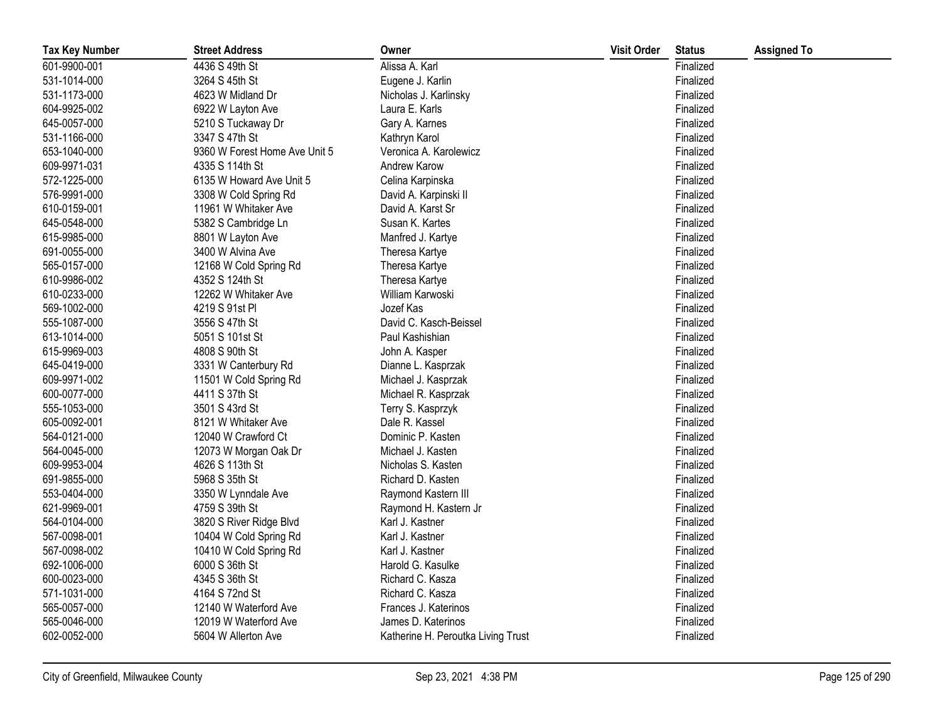| <b>Tax Key Number</b> | <b>Street Address</b>         | Owner                              | <b>Visit Order</b> | <b>Status</b> | <b>Assigned To</b> |
|-----------------------|-------------------------------|------------------------------------|--------------------|---------------|--------------------|
| 601-9900-001          | 4436 S 49th St                | Alissa A. Karl                     |                    | Finalized     |                    |
| 531-1014-000          | 3264 S 45th St                | Eugene J. Karlin                   |                    | Finalized     |                    |
| 531-1173-000          | 4623 W Midland Dr             | Nicholas J. Karlinsky              |                    | Finalized     |                    |
| 604-9925-002          | 6922 W Layton Ave             | Laura E. Karls                     |                    | Finalized     |                    |
| 645-0057-000          | 5210 S Tuckaway Dr            | Gary A. Karnes                     |                    | Finalized     |                    |
| 531-1166-000          | 3347 S 47th St                | Kathryn Karol                      |                    | Finalized     |                    |
| 653-1040-000          | 9360 W Forest Home Ave Unit 5 | Veronica A. Karolewicz             |                    | Finalized     |                    |
| 609-9971-031          | 4335 S 114th St               | Andrew Karow                       |                    | Finalized     |                    |
| 572-1225-000          | 6135 W Howard Ave Unit 5      | Celina Karpinska                   |                    | Finalized     |                    |
| 576-9991-000          | 3308 W Cold Spring Rd         | David A. Karpinski II              |                    | Finalized     |                    |
| 610-0159-001          | 11961 W Whitaker Ave          | David A. Karst Sr                  |                    | Finalized     |                    |
| 645-0548-000          | 5382 S Cambridge Ln           | Susan K. Kartes                    |                    | Finalized     |                    |
| 615-9985-000          | 8801 W Layton Ave             | Manfred J. Kartye                  |                    | Finalized     |                    |
| 691-0055-000          | 3400 W Alvina Ave             | Theresa Kartye                     |                    | Finalized     |                    |
| 565-0157-000          | 12168 W Cold Spring Rd        | Theresa Kartye                     |                    | Finalized     |                    |
| 610-9986-002          | 4352 S 124th St               | Theresa Kartye                     |                    | Finalized     |                    |
| 610-0233-000          | 12262 W Whitaker Ave          | William Karwoski                   |                    | Finalized     |                    |
| 569-1002-000          | 4219 S 91st PI                | Jozef Kas                          |                    | Finalized     |                    |
| 555-1087-000          | 3556 S 47th St                | David C. Kasch-Beissel             |                    | Finalized     |                    |
| 613-1014-000          | 5051 S 101st St               | Paul Kashishian                    |                    | Finalized     |                    |
| 615-9969-003          | 4808 S 90th St                | John A. Kasper                     |                    | Finalized     |                    |
| 645-0419-000          | 3331 W Canterbury Rd          | Dianne L. Kasprzak                 |                    | Finalized     |                    |
| 609-9971-002          | 11501 W Cold Spring Rd        | Michael J. Kasprzak                |                    | Finalized     |                    |
| 600-0077-000          | 4411 S 37th St                | Michael R. Kasprzak                |                    | Finalized     |                    |
| 555-1053-000          | 3501 S 43rd St                | Terry S. Kasprzyk                  |                    | Finalized     |                    |
| 605-0092-001          | 8121 W Whitaker Ave           | Dale R. Kassel                     |                    | Finalized     |                    |
| 564-0121-000          | 12040 W Crawford Ct           | Dominic P. Kasten                  |                    | Finalized     |                    |
| 564-0045-000          | 12073 W Morgan Oak Dr         | Michael J. Kasten                  |                    | Finalized     |                    |
| 609-9953-004          | 4626 S 113th St               | Nicholas S. Kasten                 |                    | Finalized     |                    |
| 691-9855-000          | 5968 S 35th St                | Richard D. Kasten                  |                    | Finalized     |                    |
| 553-0404-000          | 3350 W Lynndale Ave           | Raymond Kastern III                |                    | Finalized     |                    |
| 621-9969-001          | 4759 S 39th St                | Raymond H. Kastern Jr              |                    | Finalized     |                    |
| 564-0104-000          | 3820 S River Ridge Blvd       | Karl J. Kastner                    |                    | Finalized     |                    |
| 567-0098-001          | 10404 W Cold Spring Rd        | Karl J. Kastner                    |                    | Finalized     |                    |
| 567-0098-002          | 10410 W Cold Spring Rd        | Karl J. Kastner                    |                    | Finalized     |                    |
| 692-1006-000          | 6000 S 36th St                | Harold G. Kasulke                  |                    | Finalized     |                    |
| 600-0023-000          | 4345 S 36th St                | Richard C. Kasza                   |                    | Finalized     |                    |
| 571-1031-000          | 4164 S 72nd St                | Richard C. Kasza                   |                    | Finalized     |                    |
| 565-0057-000          | 12140 W Waterford Ave         | Frances J. Katerinos               |                    | Finalized     |                    |
| 565-0046-000          | 12019 W Waterford Ave         | James D. Katerinos                 |                    | Finalized     |                    |
| 602-0052-000          | 5604 W Allerton Ave           | Katherine H. Peroutka Living Trust |                    | Finalized     |                    |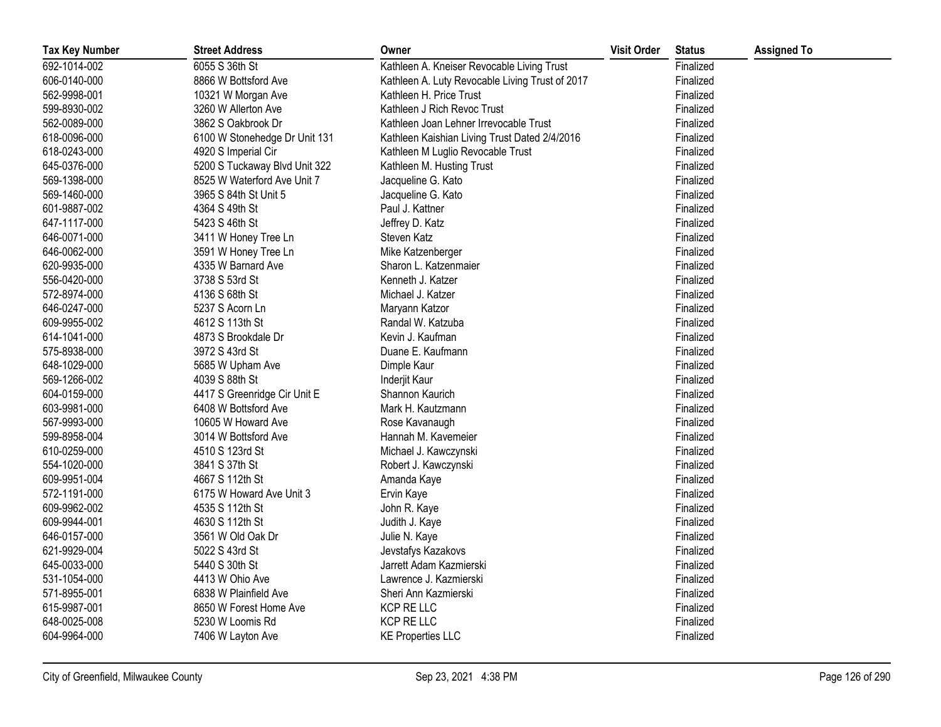| <b>Tax Key Number</b> | <b>Street Address</b>         | Owner                                           | <b>Visit Order</b> | <b>Status</b> | <b>Assigned To</b> |
|-----------------------|-------------------------------|-------------------------------------------------|--------------------|---------------|--------------------|
| 692-1014-002          | 6055 S 36th St                | Kathleen A. Kneiser Revocable Living Trust      |                    | Finalized     |                    |
| 606-0140-000          | 8866 W Bottsford Ave          | Kathleen A. Luty Revocable Living Trust of 2017 |                    | Finalized     |                    |
| 562-9998-001          | 10321 W Morgan Ave            | Kathleen H. Price Trust                         |                    | Finalized     |                    |
| 599-8930-002          | 3260 W Allerton Ave           | Kathleen J Rich Revoc Trust                     |                    | Finalized     |                    |
| 562-0089-000          | 3862 S Oakbrook Dr            | Kathleen Joan Lehner Irrevocable Trust          |                    | Finalized     |                    |
| 618-0096-000          | 6100 W Stonehedge Dr Unit 131 | Kathleen Kaishian Living Trust Dated 2/4/2016   |                    | Finalized     |                    |
| 618-0243-000          | 4920 S Imperial Cir           | Kathleen M Luglio Revocable Trust               |                    | Finalized     |                    |
| 645-0376-000          | 5200 S Tuckaway Blvd Unit 322 | Kathleen M. Husting Trust                       |                    | Finalized     |                    |
| 569-1398-000          | 8525 W Waterford Ave Unit 7   | Jacqueline G. Kato                              |                    | Finalized     |                    |
| 569-1460-000          | 3965 S 84th St Unit 5         | Jacqueline G. Kato                              |                    | Finalized     |                    |
| 601-9887-002          | 4364 S 49th St                | Paul J. Kattner                                 |                    | Finalized     |                    |
| 647-1117-000          | 5423 S 46th St                | Jeffrey D. Katz                                 |                    | Finalized     |                    |
| 646-0071-000          | 3411 W Honey Tree Ln          | Steven Katz                                     |                    | Finalized     |                    |
| 646-0062-000          | 3591 W Honey Tree Ln          | Mike Katzenberger                               |                    | Finalized     |                    |
| 620-9935-000          | 4335 W Barnard Ave            | Sharon L. Katzenmaier                           |                    | Finalized     |                    |
| 556-0420-000          | 3738 S 53rd St                | Kenneth J. Katzer                               |                    | Finalized     |                    |
| 572-8974-000          | 4136 S 68th St                | Michael J. Katzer                               |                    | Finalized     |                    |
| 646-0247-000          | 5237 S Acorn Ln               | Maryann Katzor                                  |                    | Finalized     |                    |
| 609-9955-002          | 4612 S 113th St               | Randal W. Katzuba                               |                    | Finalized     |                    |
| 614-1041-000          | 4873 S Brookdale Dr           | Kevin J. Kaufman                                |                    | Finalized     |                    |
| 575-8938-000          | 3972 S 43rd St                | Duane E. Kaufmann                               |                    | Finalized     |                    |
| 648-1029-000          | 5685 W Upham Ave              | Dimple Kaur                                     |                    | Finalized     |                    |
| 569-1266-002          | 4039 S 88th St                | Inderjit Kaur                                   |                    | Finalized     |                    |
| 604-0159-000          | 4417 S Greenridge Cir Unit E  | Shannon Kaurich                                 |                    | Finalized     |                    |
| 603-9981-000          | 6408 W Bottsford Ave          | Mark H. Kautzmann                               |                    | Finalized     |                    |
| 567-9993-000          | 10605 W Howard Ave            | Rose Kavanaugh                                  |                    | Finalized     |                    |
| 599-8958-004          | 3014 W Bottsford Ave          | Hannah M. Kavemeier                             |                    | Finalized     |                    |
| 610-0259-000          | 4510 S 123rd St               | Michael J. Kawczynski                           |                    | Finalized     |                    |
| 554-1020-000          | 3841 S 37th St                | Robert J. Kawczynski                            |                    | Finalized     |                    |
| 609-9951-004          | 4667 S 112th St               | Amanda Kaye                                     |                    | Finalized     |                    |
| 572-1191-000          | 6175 W Howard Ave Unit 3      | Ervin Kaye                                      |                    | Finalized     |                    |
| 609-9962-002          | 4535 S 112th St               | John R. Kaye                                    |                    | Finalized     |                    |
| 609-9944-001          | 4630 S 112th St               | Judith J. Kaye                                  |                    | Finalized     |                    |
| 646-0157-000          | 3561 W Old Oak Dr             | Julie N. Kaye                                   |                    | Finalized     |                    |
| 621-9929-004          | 5022 S 43rd St                | Jevstafys Kazakovs                              |                    | Finalized     |                    |
| 645-0033-000          | 5440 S 30th St                | Jarrett Adam Kazmierski                         |                    | Finalized     |                    |
| 531-1054-000          | 4413 W Ohio Ave               | Lawrence J. Kazmierski                          |                    | Finalized     |                    |
| 571-8955-001          | 6838 W Plainfield Ave         | Sheri Ann Kazmierski                            |                    | Finalized     |                    |
| 615-9987-001          | 8650 W Forest Home Ave        | KCP RE LLC                                      |                    | Finalized     |                    |
| 648-0025-008          | 5230 W Loomis Rd              | KCP RE LLC                                      |                    | Finalized     |                    |
| 604-9964-000          | 7406 W Layton Ave             | <b>KE Properties LLC</b>                        |                    | Finalized     |                    |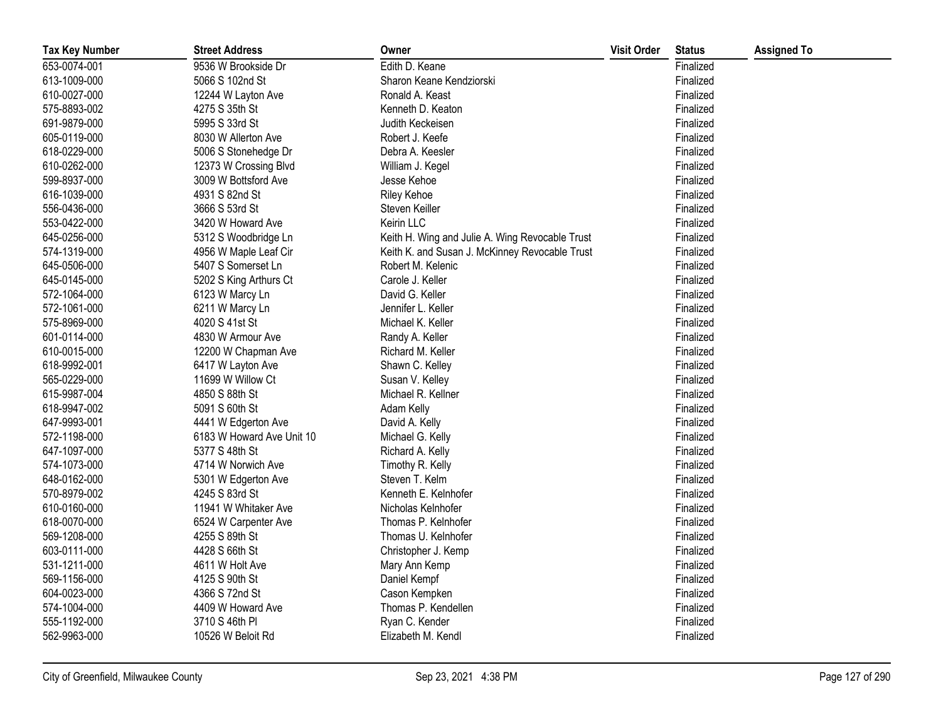| <b>Tax Key Number</b> | <b>Street Address</b>     | Owner                                           | <b>Visit Order</b> | <b>Status</b> | <b>Assigned To</b> |
|-----------------------|---------------------------|-------------------------------------------------|--------------------|---------------|--------------------|
| 653-0074-001          | 9536 W Brookside Dr       | Edith D. Keane                                  |                    | Finalized     |                    |
| 613-1009-000          | 5066 S 102nd St           | Sharon Keane Kendziorski                        |                    | Finalized     |                    |
| 610-0027-000          | 12244 W Layton Ave        | Ronald A. Keast                                 |                    | Finalized     |                    |
| 575-8893-002          | 4275 S 35th St            | Kenneth D. Keaton                               |                    | Finalized     |                    |
| 691-9879-000          | 5995 S 33rd St            | Judith Keckeisen                                |                    | Finalized     |                    |
| 605-0119-000          | 8030 W Allerton Ave       | Robert J. Keefe                                 |                    | Finalized     |                    |
| 618-0229-000          | 5006 S Stonehedge Dr      | Debra A. Keesler                                |                    | Finalized     |                    |
| 610-0262-000          | 12373 W Crossing Blvd     | William J. Kegel                                |                    | Finalized     |                    |
| 599-8937-000          | 3009 W Bottsford Ave      | Jesse Kehoe                                     |                    | Finalized     |                    |
| 616-1039-000          | 4931 S 82nd St            | <b>Riley Kehoe</b>                              |                    | Finalized     |                    |
| 556-0436-000          | 3666 S 53rd St            | Steven Keiller                                  |                    | Finalized     |                    |
| 553-0422-000          | 3420 W Howard Ave         | Keirin LLC                                      |                    | Finalized     |                    |
| 645-0256-000          | 5312 S Woodbridge Ln      | Keith H. Wing and Julie A. Wing Revocable Trust |                    | Finalized     |                    |
| 574-1319-000          | 4956 W Maple Leaf Cir     | Keith K. and Susan J. McKinney Revocable Trust  |                    | Finalized     |                    |
| 645-0506-000          | 5407 S Somerset Ln        | Robert M. Kelenic                               |                    | Finalized     |                    |
| 645-0145-000          | 5202 S King Arthurs Ct    | Carole J. Keller                                |                    | Finalized     |                    |
| 572-1064-000          | 6123 W Marcy Ln           | David G. Keller                                 |                    | Finalized     |                    |
| 572-1061-000          | 6211 W Marcy Ln           | Jennifer L. Keller                              |                    | Finalized     |                    |
| 575-8969-000          | 4020 S 41st St            | Michael K. Keller                               |                    | Finalized     |                    |
| 601-0114-000          | 4830 W Armour Ave         | Randy A. Keller                                 |                    | Finalized     |                    |
| 610-0015-000          | 12200 W Chapman Ave       | Richard M. Keller                               |                    | Finalized     |                    |
| 618-9992-001          | 6417 W Layton Ave         | Shawn C. Kelley                                 |                    | Finalized     |                    |
| 565-0229-000          | 11699 W Willow Ct         | Susan V. Kelley                                 |                    | Finalized     |                    |
| 615-9987-004          | 4850 S 88th St            | Michael R. Kellner                              |                    | Finalized     |                    |
| 618-9947-002          | 5091 S 60th St            | Adam Kelly                                      |                    | Finalized     |                    |
| 647-9993-001          | 4441 W Edgerton Ave       | David A. Kelly                                  |                    | Finalized     |                    |
| 572-1198-000          | 6183 W Howard Ave Unit 10 | Michael G. Kelly                                |                    | Finalized     |                    |
| 647-1097-000          | 5377 S 48th St            | Richard A. Kelly                                |                    | Finalized     |                    |
| 574-1073-000          | 4714 W Norwich Ave        | Timothy R. Kelly                                |                    | Finalized     |                    |
| 648-0162-000          | 5301 W Edgerton Ave       | Steven T. Kelm                                  |                    | Finalized     |                    |
| 570-8979-002          | 4245 S 83rd St            | Kenneth E. Kelnhofer                            |                    | Finalized     |                    |
| 610-0160-000          | 11941 W Whitaker Ave      | Nicholas Kelnhofer                              |                    | Finalized     |                    |
| 618-0070-000          | 6524 W Carpenter Ave      | Thomas P. Kelnhofer                             |                    | Finalized     |                    |
| 569-1208-000          | 4255 S 89th St            | Thomas U. Kelnhofer                             |                    | Finalized     |                    |
| 603-0111-000          | 4428 S 66th St            | Christopher J. Kemp                             |                    | Finalized     |                    |
| 531-1211-000          | 4611 W Holt Ave           | Mary Ann Kemp                                   |                    | Finalized     |                    |
| 569-1156-000          | 4125 S 90th St            | Daniel Kempf                                    |                    | Finalized     |                    |
| 604-0023-000          | 4366 S 72nd St            | Cason Kempken                                   |                    | Finalized     |                    |
| 574-1004-000          | 4409 W Howard Ave         | Thomas P. Kendellen                             |                    | Finalized     |                    |
| 555-1192-000          | 3710 S 46th PI            | Ryan C. Kender                                  |                    | Finalized     |                    |
| 562-9963-000          | 10526 W Beloit Rd         | Elizabeth M. Kendl                              |                    | Finalized     |                    |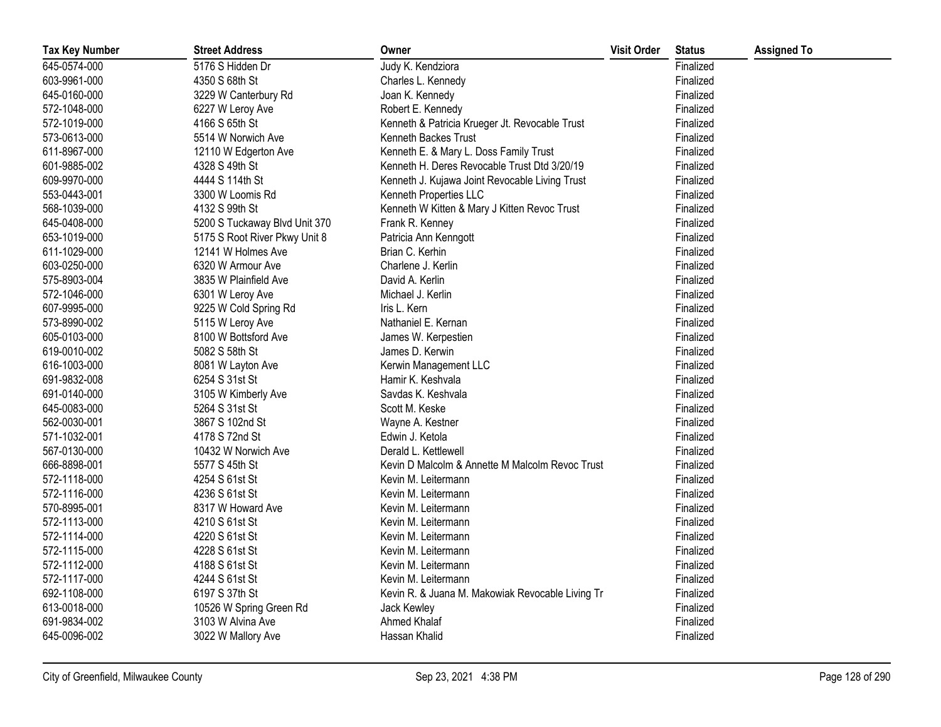| <b>Tax Key Number</b> | <b>Street Address</b>         | Owner                                            | <b>Visit Order</b> | <b>Status</b> | <b>Assigned To</b> |
|-----------------------|-------------------------------|--------------------------------------------------|--------------------|---------------|--------------------|
| 645-0574-000          | 5176 S Hidden Dr              | Judy K. Kendziora                                |                    | Finalized     |                    |
| 603-9961-000          | 4350 S 68th St                | Charles L. Kennedy                               |                    | Finalized     |                    |
| 645-0160-000          | 3229 W Canterbury Rd          | Joan K. Kennedy                                  |                    | Finalized     |                    |
| 572-1048-000          | 6227 W Leroy Ave              | Robert E. Kennedy                                |                    | Finalized     |                    |
| 572-1019-000          | 4166 S 65th St                | Kenneth & Patricia Krueger Jt. Revocable Trust   |                    | Finalized     |                    |
| 573-0613-000          | 5514 W Norwich Ave            | Kenneth Backes Trust                             |                    | Finalized     |                    |
| 611-8967-000          | 12110 W Edgerton Ave          | Kenneth E. & Mary L. Doss Family Trust           |                    | Finalized     |                    |
| 601-9885-002          | 4328 S 49th St                | Kenneth H. Deres Revocable Trust Dtd 3/20/19     |                    | Finalized     |                    |
| 609-9970-000          | 4444 S 114th St               | Kenneth J. Kujawa Joint Revocable Living Trust   |                    | Finalized     |                    |
| 553-0443-001          | 3300 W Loomis Rd              | Kenneth Properties LLC                           |                    | Finalized     |                    |
| 568-1039-000          | 4132 S 99th St                | Kenneth W Kitten & Mary J Kitten Revoc Trust     |                    | Finalized     |                    |
| 645-0408-000          | 5200 S Tuckaway Blvd Unit 370 | Frank R. Kenney                                  |                    | Finalized     |                    |
| 653-1019-000          | 5175 S Root River Pkwy Unit 8 | Patricia Ann Kenngott                            |                    | Finalized     |                    |
| 611-1029-000          | 12141 W Holmes Ave            | Brian C. Kerhin                                  |                    | Finalized     |                    |
| 603-0250-000          | 6320 W Armour Ave             | Charlene J. Kerlin                               |                    | Finalized     |                    |
| 575-8903-004          | 3835 W Plainfield Ave         | David A. Kerlin                                  |                    | Finalized     |                    |
| 572-1046-000          | 6301 W Leroy Ave              | Michael J. Kerlin                                |                    | Finalized     |                    |
| 607-9995-000          | 9225 W Cold Spring Rd         | Iris L. Kern                                     |                    | Finalized     |                    |
| 573-8990-002          | 5115 W Leroy Ave              | Nathaniel E. Kernan                              |                    | Finalized     |                    |
| 605-0103-000          | 8100 W Bottsford Ave          | James W. Kerpestien                              |                    | Finalized     |                    |
| 619-0010-002          | 5082 S 58th St                | James D. Kerwin                                  |                    | Finalized     |                    |
| 616-1003-000          | 8081 W Layton Ave             | Kerwin Management LLC                            |                    | Finalized     |                    |
| 691-9832-008          | 6254 S 31st St                | Hamir K. Keshvala                                |                    | Finalized     |                    |
| 691-0140-000          | 3105 W Kimberly Ave           | Savdas K. Keshvala                               |                    | Finalized     |                    |
| 645-0083-000          | 5264 S 31st St                | Scott M. Keske                                   |                    | Finalized     |                    |
| 562-0030-001          | 3867 S 102nd St               | Wayne A. Kestner                                 |                    | Finalized     |                    |
| 571-1032-001          | 4178 S 72nd St                | Edwin J. Ketola                                  |                    | Finalized     |                    |
| 567-0130-000          | 10432 W Norwich Ave           | Derald L. Kettlewell                             |                    | Finalized     |                    |
| 666-8898-001          | 5577 S 45th St                | Kevin D Malcolm & Annette M Malcolm Revoc Trust  |                    | Finalized     |                    |
| 572-1118-000          | 4254 S 61st St                | Kevin M. Leitermann                              |                    | Finalized     |                    |
| 572-1116-000          | 4236 S 61st St                | Kevin M. Leitermann                              |                    | Finalized     |                    |
| 570-8995-001          | 8317 W Howard Ave             | Kevin M. Leitermann                              |                    | Finalized     |                    |
| 572-1113-000          | 4210 S 61st St                | Kevin M. Leitermann                              |                    | Finalized     |                    |
| 572-1114-000          | 4220 S 61st St                | Kevin M. Leitermann                              |                    | Finalized     |                    |
| 572-1115-000          | 4228 S 61st St                | Kevin M. Leitermann                              |                    | Finalized     |                    |
| 572-1112-000          | 4188 S 61st St                | Kevin M. Leitermann                              |                    | Finalized     |                    |
| 572-1117-000          | 4244 S 61st St                | Kevin M. Leitermann                              |                    | Finalized     |                    |
| 692-1108-000          | 6197 S 37th St                | Kevin R. & Juana M. Makowiak Revocable Living Tr |                    | Finalized     |                    |
| 613-0018-000          | 10526 W Spring Green Rd       | Jack Kewley                                      |                    | Finalized     |                    |
| 691-9834-002          | 3103 W Alvina Ave             | Ahmed Khalaf                                     |                    | Finalized     |                    |
| 645-0096-002          | 3022 W Mallory Ave            | Hassan Khalid                                    |                    | Finalized     |                    |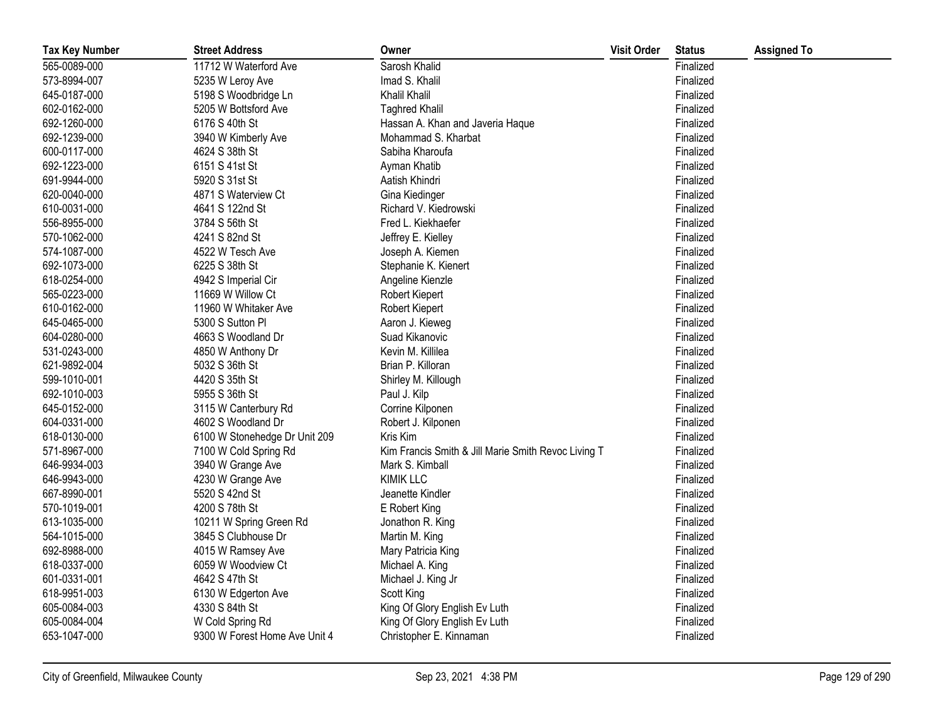| <b>Tax Key Number</b> | <b>Street Address</b>         | Owner                                               | <b>Visit Order</b> | <b>Status</b> | <b>Assigned To</b> |
|-----------------------|-------------------------------|-----------------------------------------------------|--------------------|---------------|--------------------|
| 565-0089-000          | 11712 W Waterford Ave         | Sarosh Khalid                                       |                    | Finalized     |                    |
| 573-8994-007          | 5235 W Leroy Ave              | Imad S. Khalil                                      |                    | Finalized     |                    |
| 645-0187-000          | 5198 S Woodbridge Ln          | Khalil Khalil                                       |                    | Finalized     |                    |
| 602-0162-000          | 5205 W Bottsford Ave          | <b>Taghred Khalil</b>                               |                    | Finalized     |                    |
| 692-1260-000          | 6176 S 40th St                | Hassan A. Khan and Javeria Haque                    |                    | Finalized     |                    |
| 692-1239-000          | 3940 W Kimberly Ave           | Mohammad S. Kharbat                                 |                    | Finalized     |                    |
| 600-0117-000          | 4624 S 38th St                | Sabiha Kharoufa                                     |                    | Finalized     |                    |
| 692-1223-000          | 6151 S 41st St                | Ayman Khatib                                        |                    | Finalized     |                    |
| 691-9944-000          | 5920 S 31st St                | Aatish Khindri                                      |                    | Finalized     |                    |
| 620-0040-000          | 4871 S Waterview Ct           | Gina Kiedinger                                      |                    | Finalized     |                    |
| 610-0031-000          | 4641 S 122nd St               | Richard V. Kiedrowski                               |                    | Finalized     |                    |
| 556-8955-000          | 3784 S 56th St                | Fred L. Kiekhaefer                                  |                    | Finalized     |                    |
| 570-1062-000          | 4241 S 82nd St                | Jeffrey E. Kielley                                  |                    | Finalized     |                    |
| 574-1087-000          | 4522 W Tesch Ave              | Joseph A. Kiemen                                    |                    | Finalized     |                    |
| 692-1073-000          | 6225 S 38th St                | Stephanie K. Kienert                                |                    | Finalized     |                    |
| 618-0254-000          | 4942 S Imperial Cir           | Angeline Kienzle                                    |                    | Finalized     |                    |
| 565-0223-000          | 11669 W Willow Ct             | Robert Kiepert                                      |                    | Finalized     |                    |
| 610-0162-000          | 11960 W Whitaker Ave          | Robert Kiepert                                      |                    | Finalized     |                    |
| 645-0465-000          | 5300 S Sutton Pl              | Aaron J. Kieweg                                     |                    | Finalized     |                    |
| 604-0280-000          | 4663 S Woodland Dr            | Suad Kikanovic                                      |                    | Finalized     |                    |
| 531-0243-000          | 4850 W Anthony Dr             | Kevin M. Killilea                                   |                    | Finalized     |                    |
| 621-9892-004          | 5032 S 36th St                | Brian P. Killoran                                   |                    | Finalized     |                    |
| 599-1010-001          | 4420 S 35th St                | Shirley M. Killough                                 |                    | Finalized     |                    |
| 692-1010-003          | 5955 S 36th St                | Paul J. Kilp                                        |                    | Finalized     |                    |
| 645-0152-000          | 3115 W Canterbury Rd          | Corrine Kilponen                                    |                    | Finalized     |                    |
| 604-0331-000          | 4602 S Woodland Dr            | Robert J. Kilponen                                  |                    | Finalized     |                    |
| 618-0130-000          | 6100 W Stonehedge Dr Unit 209 | Kris Kim                                            |                    | Finalized     |                    |
| 571-8967-000          | 7100 W Cold Spring Rd         | Kim Francis Smith & Jill Marie Smith Revoc Living T |                    | Finalized     |                    |
| 646-9934-003          | 3940 W Grange Ave             | Mark S. Kimball                                     |                    | Finalized     |                    |
| 646-9943-000          | 4230 W Grange Ave             | <b>KIMIK LLC</b>                                    |                    | Finalized     |                    |
| 667-8990-001          | 5520 S 42nd St                | Jeanette Kindler                                    |                    | Finalized     |                    |
| 570-1019-001          | 4200 S 78th St                | E Robert King                                       |                    | Finalized     |                    |
| 613-1035-000          | 10211 W Spring Green Rd       | Jonathon R. King                                    |                    | Finalized     |                    |
| 564-1015-000          | 3845 S Clubhouse Dr           | Martin M. King                                      |                    | Finalized     |                    |
| 692-8988-000          | 4015 W Ramsey Ave             | Mary Patricia King                                  |                    | Finalized     |                    |
| 618-0337-000          | 6059 W Woodview Ct            | Michael A. King                                     |                    | Finalized     |                    |
| 601-0331-001          | 4642 S 47th St                | Michael J. King Jr                                  |                    | Finalized     |                    |
| 618-9951-003          | 6130 W Edgerton Ave           | Scott King                                          |                    | Finalized     |                    |
| 605-0084-003          | 4330 S 84th St                | King Of Glory English Ev Luth                       |                    | Finalized     |                    |
| 605-0084-004          | W Cold Spring Rd              | King Of Glory English Ev Luth                       |                    | Finalized     |                    |
| 653-1047-000          | 9300 W Forest Home Ave Unit 4 | Christopher E. Kinnaman                             |                    | Finalized     |                    |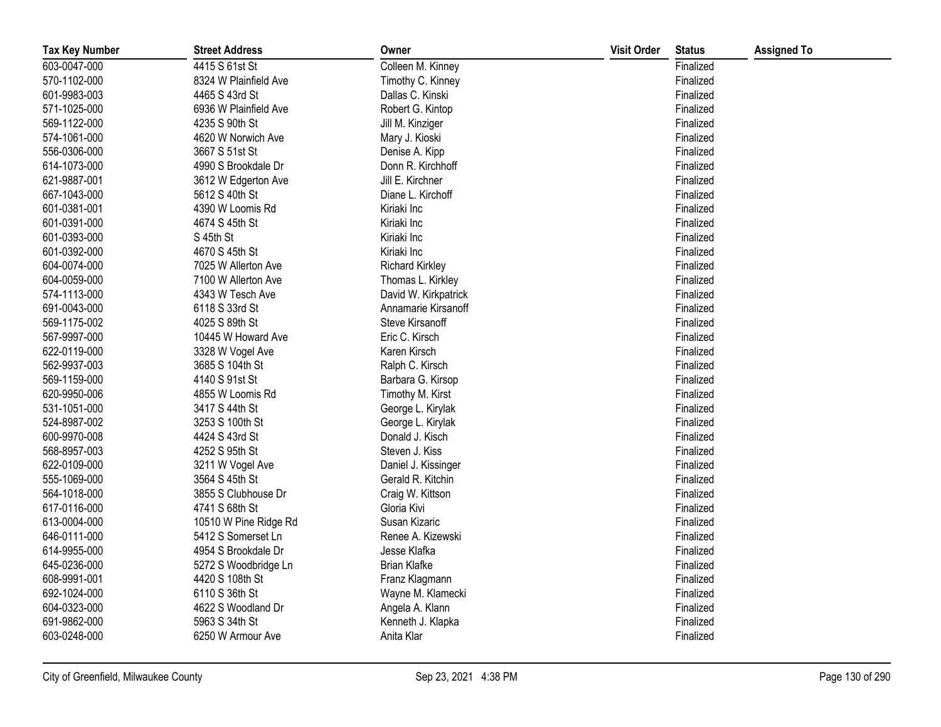| <b>Tax Key Number</b> | <b>Street Address</b> | Owner                  | <b>Visit Order</b> | <b>Status</b> | <b>Assigned To</b> |
|-----------------------|-----------------------|------------------------|--------------------|---------------|--------------------|
| 603-0047-000          | 4415 S 61st St        | Colleen M. Kinney      |                    | Finalized     |                    |
| 570-1102-000          | 8324 W Plainfield Ave | Timothy C. Kinney      |                    | Finalized     |                    |
| 601-9983-003          | 4465 S 43rd St        | Dallas C. Kinski       |                    | Finalized     |                    |
| 571-1025-000          | 6936 W Plainfield Ave | Robert G. Kintop       |                    | Finalized     |                    |
| 569-1122-000          | 4235 S 90th St        | Jill M. Kinziger       |                    | Finalized     |                    |
| 574-1061-000          | 4620 W Norwich Ave    | Mary J. Kioski         |                    | Finalized     |                    |
| 556-0306-000          | 3667 S 51st St        | Denise A. Kipp         |                    | Finalized     |                    |
| 614-1073-000          | 4990 S Brookdale Dr   | Donn R. Kirchhoff      |                    | Finalized     |                    |
| 621-9887-001          | 3612 W Edgerton Ave   | Jill E. Kirchner       |                    | Finalized     |                    |
| 667-1043-000          | 5612 S 40th St        | Diane L. Kirchoff      |                    | Finalized     |                    |
| 601-0381-001          | 4390 W Loomis Rd      | Kiriaki Inc            |                    | Finalized     |                    |
| 601-0391-000          | 4674 S 45th St        | Kiriaki Inc            |                    | Finalized     |                    |
| 601-0393-000          | S 45th St             | Kiriaki Inc            |                    | Finalized     |                    |
| 601-0392-000          | 4670 S 45th St        | Kiriaki Inc            |                    | Finalized     |                    |
| 604-0074-000          | 7025 W Allerton Ave   | <b>Richard Kirkley</b> |                    | Finalized     |                    |
| 604-0059-000          | 7100 W Allerton Ave   | Thomas L. Kirkley      |                    | Finalized     |                    |
| 574-1113-000          | 4343 W Tesch Ave      | David W. Kirkpatrick   |                    | Finalized     |                    |
| 691-0043-000          | 6118 S 33rd St        | Annamarie Kirsanoff    |                    | Finalized     |                    |
| 569-1175-002          | 4025 S 89th St        | Steve Kirsanoff        |                    | Finalized     |                    |
| 567-9997-000          | 10445 W Howard Ave    | Eric C. Kirsch         |                    | Finalized     |                    |
| 622-0119-000          | 3328 W Vogel Ave      | Karen Kirsch           |                    | Finalized     |                    |
| 562-9937-003          | 3685 S 104th St       | Ralph C. Kirsch        |                    | Finalized     |                    |
| 569-1159-000          | 4140 S 91st St        | Barbara G. Kirsop      |                    | Finalized     |                    |
| 620-9950-006          | 4855 W Loomis Rd      | Timothy M. Kirst       |                    | Finalized     |                    |
| 531-1051-000          | 3417 S 44th St        | George L. Kirylak      |                    | Finalized     |                    |
| 524-8987-002          | 3253 S 100th St       | George L. Kirylak      |                    | Finalized     |                    |
| 600-9970-008          | 4424 S 43rd St        | Donald J. Kisch        |                    | Finalized     |                    |
| 568-8957-003          | 4252 S 95th St        | Steven J. Kiss         |                    | Finalized     |                    |
| 622-0109-000          | 3211 W Vogel Ave      | Daniel J. Kissinger    |                    | Finalized     |                    |
| 555-1069-000          | 3564 S 45th St        | Gerald R. Kitchin      |                    | Finalized     |                    |
| 564-1018-000          | 3855 S Clubhouse Dr   | Craig W. Kittson       |                    | Finalized     |                    |
| 617-0116-000          | 4741 S 68th St        | Gloria Kivi            |                    | Finalized     |                    |
| 613-0004-000          | 10510 W Pine Ridge Rd | Susan Kizaric          |                    | Finalized     |                    |
| 646-0111-000          | 5412 S Somerset Ln    | Renee A. Kizewski      |                    | Finalized     |                    |
| 614-9955-000          | 4954 S Brookdale Dr   | Jesse Klafka           |                    | Finalized     |                    |
| 645-0236-000          | 5272 S Woodbridge Ln  | <b>Brian Klafke</b>    |                    | Finalized     |                    |
| 608-9991-001          | 4420 S 108th St       | Franz Klagmann         |                    | Finalized     |                    |
| 692-1024-000          | 6110 S 36th St        | Wayne M. Klamecki      |                    | Finalized     |                    |
| 604-0323-000          | 4622 S Woodland Dr    | Angela A. Klann        |                    | Finalized     |                    |
| 691-9862-000          | 5963 S 34th St        | Kenneth J. Klapka      |                    | Finalized     |                    |
| 603-0248-000          | 6250 W Armour Ave     | Anita Klar             |                    | Finalized     |                    |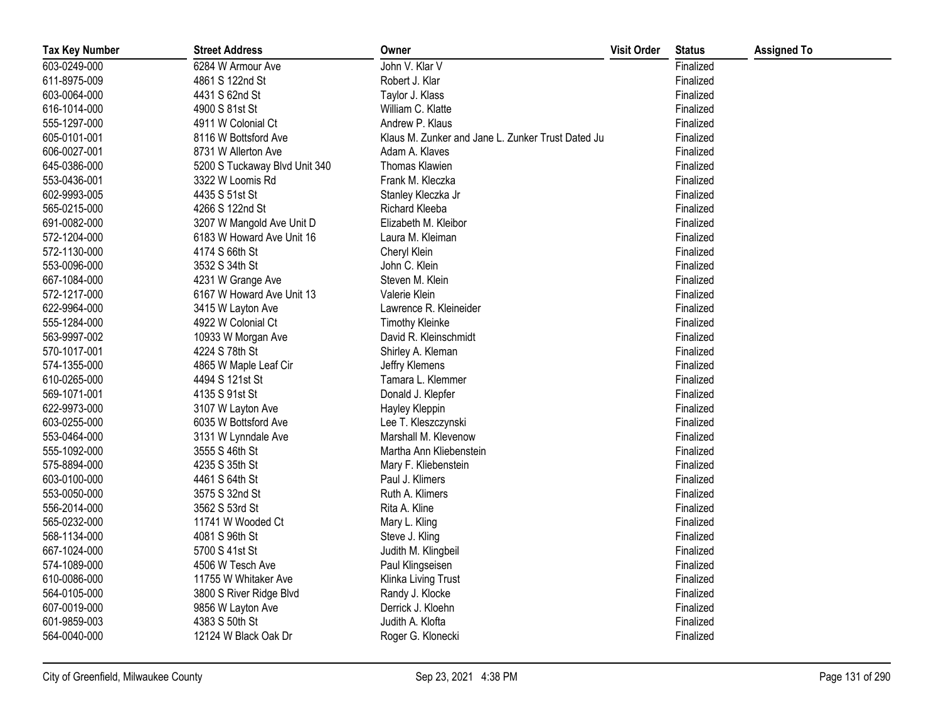| <b>Tax Key Number</b> | <b>Street Address</b>         | Owner                                             | <b>Visit Order</b> | <b>Status</b> | <b>Assigned To</b> |
|-----------------------|-------------------------------|---------------------------------------------------|--------------------|---------------|--------------------|
| 603-0249-000          | 6284 W Armour Ave             | John V. Klar V                                    |                    | Finalized     |                    |
| 611-8975-009          | 4861 S 122nd St               | Robert J. Klar                                    |                    | Finalized     |                    |
| 603-0064-000          | 4431 S 62nd St                | Taylor J. Klass                                   |                    | Finalized     |                    |
| 616-1014-000          | 4900 S 81st St                | William C. Klatte                                 |                    | Finalized     |                    |
| 555-1297-000          | 4911 W Colonial Ct            | Andrew P. Klaus                                   |                    | Finalized     |                    |
| 605-0101-001          | 8116 W Bottsford Ave          | Klaus M. Zunker and Jane L. Zunker Trust Dated Ju |                    | Finalized     |                    |
| 606-0027-001          | 8731 W Allerton Ave           | Adam A. Klaves                                    |                    | Finalized     |                    |
| 645-0386-000          | 5200 S Tuckaway Blvd Unit 340 | Thomas Klawien                                    |                    | Finalized     |                    |
| 553-0436-001          | 3322 W Loomis Rd              | Frank M. Kleczka                                  |                    | Finalized     |                    |
| 602-9993-005          | 4435 S 51st St                | Stanley Kleczka Jr                                |                    | Finalized     |                    |
| 565-0215-000          | 4266 S 122nd St               | Richard Kleeba                                    |                    | Finalized     |                    |
| 691-0082-000          | 3207 W Mangold Ave Unit D     | Elizabeth M. Kleibor                              |                    | Finalized     |                    |
| 572-1204-000          | 6183 W Howard Ave Unit 16     | Laura M. Kleiman                                  |                    | Finalized     |                    |
| 572-1130-000          | 4174 S 66th St                | Cheryl Klein                                      |                    | Finalized     |                    |
| 553-0096-000          | 3532 S 34th St                | John C. Klein                                     |                    | Finalized     |                    |
| 667-1084-000          | 4231 W Grange Ave             | Steven M. Klein                                   |                    | Finalized     |                    |
| 572-1217-000          | 6167 W Howard Ave Unit 13     | Valerie Klein                                     |                    | Finalized     |                    |
| 622-9964-000          | 3415 W Layton Ave             | Lawrence R. Kleineider                            |                    | Finalized     |                    |
| 555-1284-000          | 4922 W Colonial Ct            | <b>Timothy Kleinke</b>                            |                    | Finalized     |                    |
| 563-9997-002          | 10933 W Morgan Ave            | David R. Kleinschmidt                             |                    | Finalized     |                    |
| 570-1017-001          | 4224 S 78th St                | Shirley A. Kleman                                 |                    | Finalized     |                    |
| 574-1355-000          | 4865 W Maple Leaf Cir         | Jeffry Klemens                                    |                    | Finalized     |                    |
| 610-0265-000          | 4494 S 121st St               | Tamara L. Klemmer                                 |                    | Finalized     |                    |
| 569-1071-001          | 4135 S 91st St                | Donald J. Klepfer                                 |                    | Finalized     |                    |
| 622-9973-000          | 3107 W Layton Ave             | Hayley Kleppin                                    |                    | Finalized     |                    |
| 603-0255-000          | 6035 W Bottsford Ave          | Lee T. Kleszczynski                               |                    | Finalized     |                    |
| 553-0464-000          | 3131 W Lynndale Ave           | Marshall M. Klevenow                              |                    | Finalized     |                    |
| 555-1092-000          | 3555 S 46th St                | Martha Ann Kliebenstein                           |                    | Finalized     |                    |
| 575-8894-000          | 4235 S 35th St                | Mary F. Kliebenstein                              |                    | Finalized     |                    |
| 603-0100-000          | 4461 S 64th St                | Paul J. Klimers                                   |                    | Finalized     |                    |
| 553-0050-000          | 3575 S 32nd St                | Ruth A. Klimers                                   |                    | Finalized     |                    |
| 556-2014-000          | 3562 S 53rd St                | Rita A. Kline                                     |                    | Finalized     |                    |
| 565-0232-000          | 11741 W Wooded Ct             | Mary L. Kling                                     |                    | Finalized     |                    |
| 568-1134-000          | 4081 S 96th St                | Steve J. Kling                                    |                    | Finalized     |                    |
| 667-1024-000          | 5700 S 41st St                | Judith M. Klingbeil                               |                    | Finalized     |                    |
| 574-1089-000          | 4506 W Tesch Ave              | Paul Klingseisen                                  |                    | Finalized     |                    |
| 610-0086-000          | 11755 W Whitaker Ave          | Klinka Living Trust                               |                    | Finalized     |                    |
| 564-0105-000          | 3800 S River Ridge Blvd       | Randy J. Klocke                                   |                    | Finalized     |                    |
| 607-0019-000          | 9856 W Layton Ave             | Derrick J. Kloehn                                 |                    | Finalized     |                    |
| 601-9859-003          | 4383 S 50th St                | Judith A. Klofta                                  |                    | Finalized     |                    |
| 564-0040-000          | 12124 W Black Oak Dr          | Roger G. Klonecki                                 |                    | Finalized     |                    |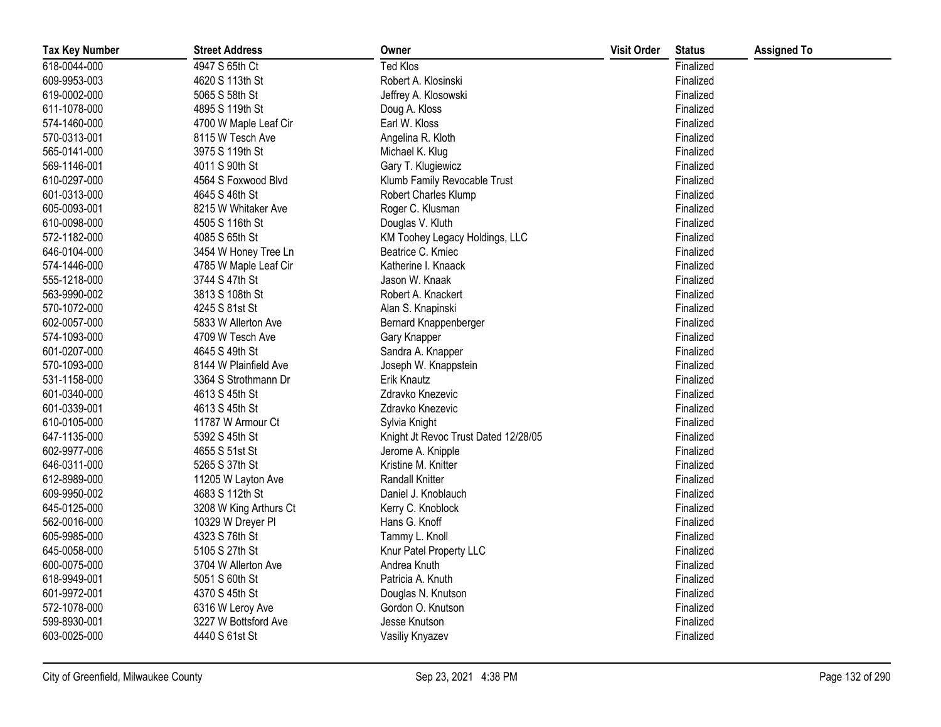| <b>Tax Key Number</b> | <b>Street Address</b>  | Owner                                | <b>Visit Order</b> | <b>Status</b> | <b>Assigned To</b> |
|-----------------------|------------------------|--------------------------------------|--------------------|---------------|--------------------|
| 618-0044-000          | 4947 S 65th Ct         | <b>Ted Klos</b>                      |                    | Finalized     |                    |
| 609-9953-003          | 4620 S 113th St        | Robert A. Klosinski                  |                    | Finalized     |                    |
| 619-0002-000          | 5065 S 58th St         | Jeffrey A. Klosowski                 |                    | Finalized     |                    |
| 611-1078-000          | 4895 S 119th St        | Doug A. Kloss                        |                    | Finalized     |                    |
| 574-1460-000          | 4700 W Maple Leaf Cir  | Earl W. Kloss                        |                    | Finalized     |                    |
| 570-0313-001          | 8115 W Tesch Ave       | Angelina R. Kloth                    |                    | Finalized     |                    |
| 565-0141-000          | 3975 S 119th St        | Michael K. Klug                      |                    | Finalized     |                    |
| 569-1146-001          | 4011 S 90th St         | Gary T. Klugiewicz                   |                    | Finalized     |                    |
| 610-0297-000          | 4564 S Foxwood Blvd    | Klumb Family Revocable Trust         |                    | Finalized     |                    |
| 601-0313-000          | 4645 S 46th St         | Robert Charles Klump                 |                    | Finalized     |                    |
| 605-0093-001          | 8215 W Whitaker Ave    | Roger C. Klusman                     |                    | Finalized     |                    |
| 610-0098-000          | 4505 S 116th St        | Douglas V. Kluth                     |                    | Finalized     |                    |
| 572-1182-000          | 4085 S 65th St         | KM Toohey Legacy Holdings, LLC       |                    | Finalized     |                    |
| 646-0104-000          | 3454 W Honey Tree Ln   | Beatrice C. Kmiec                    |                    | Finalized     |                    |
| 574-1446-000          | 4785 W Maple Leaf Cir  | Katherine I. Knaack                  |                    | Finalized     |                    |
| 555-1218-000          | 3744 S 47th St         | Jason W. Knaak                       |                    | Finalized     |                    |
| 563-9990-002          | 3813 S 108th St        | Robert A. Knackert                   |                    | Finalized     |                    |
| 570-1072-000          | 4245 S 81st St         | Alan S. Knapinski                    |                    | Finalized     |                    |
| 602-0057-000          | 5833 W Allerton Ave    | Bernard Knappenberger                |                    | Finalized     |                    |
| 574-1093-000          | 4709 W Tesch Ave       | Gary Knapper                         |                    | Finalized     |                    |
| 601-0207-000          | 4645 S 49th St         | Sandra A. Knapper                    |                    | Finalized     |                    |
| 570-1093-000          | 8144 W Plainfield Ave  | Joseph W. Knappstein                 |                    | Finalized     |                    |
| 531-1158-000          | 3364 S Strothmann Dr   | <b>Erik Knautz</b>                   |                    | Finalized     |                    |
| 601-0340-000          | 4613 S 45th St         | Zdravko Knezevic                     |                    | Finalized     |                    |
| 601-0339-001          | 4613 S 45th St         | Zdravko Knezevic                     |                    | Finalized     |                    |
| 610-0105-000          | 11787 W Armour Ct      | Sylvia Knight                        |                    | Finalized     |                    |
| 647-1135-000          | 5392 S 45th St         | Knight Jt Revoc Trust Dated 12/28/05 |                    | Finalized     |                    |
| 602-9977-006          | 4655 S 51st St         | Jerome A. Knipple                    |                    | Finalized     |                    |
| 646-0311-000          | 5265 S 37th St         | Kristine M. Knitter                  |                    | Finalized     |                    |
| 612-8989-000          | 11205 W Layton Ave     | <b>Randall Knitter</b>               |                    | Finalized     |                    |
| 609-9950-002          | 4683 S 112th St        | Daniel J. Knoblauch                  |                    | Finalized     |                    |
| 645-0125-000          | 3208 W King Arthurs Ct | Kerry C. Knoblock                    |                    | Finalized     |                    |
| 562-0016-000          | 10329 W Dreyer PI      | Hans G. Knoff                        |                    | Finalized     |                    |
| 605-9985-000          | 4323 S 76th St         | Tammy L. Knoll                       |                    | Finalized     |                    |
| 645-0058-000          | 5105 S 27th St         | Knur Patel Property LLC              |                    | Finalized     |                    |
| 600-0075-000          | 3704 W Allerton Ave    | Andrea Knuth                         |                    | Finalized     |                    |
| 618-9949-001          | 5051 S 60th St         | Patricia A. Knuth                    |                    | Finalized     |                    |
| 601-9972-001          | 4370 S 45th St         | Douglas N. Knutson                   |                    | Finalized     |                    |
| 572-1078-000          | 6316 W Leroy Ave       | Gordon O. Knutson                    |                    | Finalized     |                    |
| 599-8930-001          | 3227 W Bottsford Ave   | Jesse Knutson                        |                    | Finalized     |                    |
| 603-0025-000          | 4440 S 61st St         | Vasiliy Knyazev                      |                    | Finalized     |                    |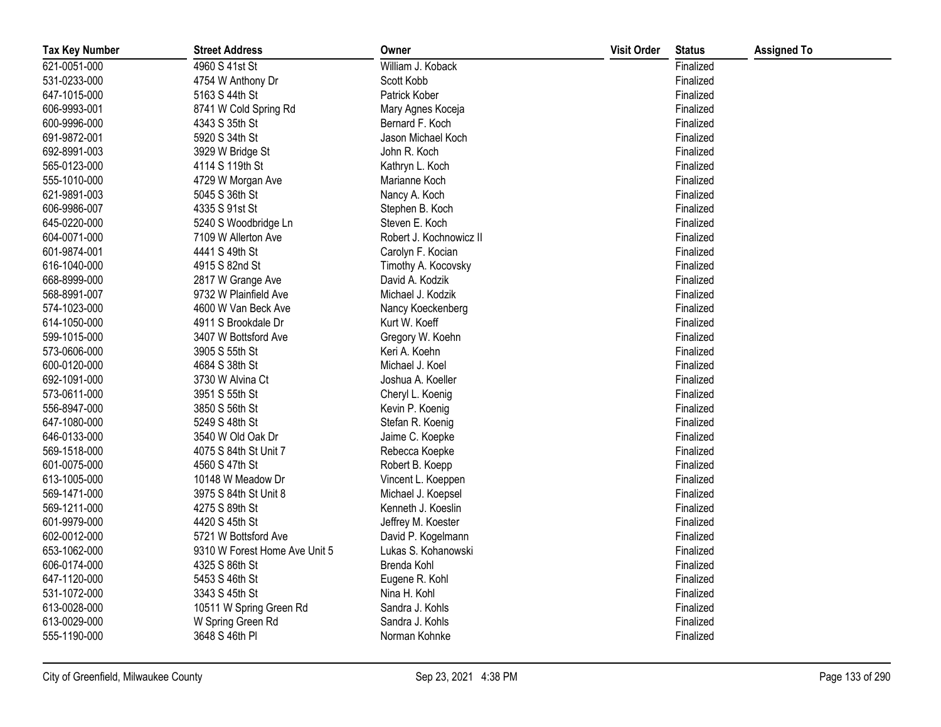| <b>Tax Key Number</b> | <b>Street Address</b>         | Owner                   | <b>Visit Order</b> | <b>Status</b> | <b>Assigned To</b> |
|-----------------------|-------------------------------|-------------------------|--------------------|---------------|--------------------|
| 621-0051-000          | 4960 S 41st St                | William J. Koback       |                    | Finalized     |                    |
| 531-0233-000          | 4754 W Anthony Dr             | Scott Kobb              |                    | Finalized     |                    |
| 647-1015-000          | 5163 S 44th St                | Patrick Kober           |                    | Finalized     |                    |
| 606-9993-001          | 8741 W Cold Spring Rd         | Mary Agnes Koceja       |                    | Finalized     |                    |
| 600-9996-000          | 4343 S 35th St                | Bernard F. Koch         |                    | Finalized     |                    |
| 691-9872-001          | 5920 S 34th St                | Jason Michael Koch      |                    | Finalized     |                    |
| 692-8991-003          | 3929 W Bridge St              | John R. Koch            |                    | Finalized     |                    |
| 565-0123-000          | 4114 S 119th St               | Kathryn L. Koch         |                    | Finalized     |                    |
| 555-1010-000          | 4729 W Morgan Ave             | Marianne Koch           |                    | Finalized     |                    |
| 621-9891-003          | 5045 S 36th St                | Nancy A. Koch           |                    | Finalized     |                    |
| 606-9986-007          | 4335 S 91st St                | Stephen B. Koch         |                    | Finalized     |                    |
| 645-0220-000          | 5240 S Woodbridge Ln          | Steven E. Koch          |                    | Finalized     |                    |
| 604-0071-000          | 7109 W Allerton Ave           | Robert J. Kochnowicz II |                    | Finalized     |                    |
| 601-9874-001          | 4441 S 49th St                | Carolyn F. Kocian       |                    | Finalized     |                    |
| 616-1040-000          | 4915 S 82nd St                | Timothy A. Kocovsky     |                    | Finalized     |                    |
| 668-8999-000          | 2817 W Grange Ave             | David A. Kodzik         |                    | Finalized     |                    |
| 568-8991-007          | 9732 W Plainfield Ave         | Michael J. Kodzik       |                    | Finalized     |                    |
| 574-1023-000          | 4600 W Van Beck Ave           | Nancy Koeckenberg       |                    | Finalized     |                    |
| 614-1050-000          | 4911 S Brookdale Dr           | Kurt W. Koeff           |                    | Finalized     |                    |
| 599-1015-000          | 3407 W Bottsford Ave          | Gregory W. Koehn        |                    | Finalized     |                    |
| 573-0606-000          | 3905 S 55th St                | Keri A. Koehn           |                    | Finalized     |                    |
| 600-0120-000          | 4684 S 38th St                | Michael J. Koel         |                    | Finalized     |                    |
| 692-1091-000          | 3730 W Alvina Ct              | Joshua A. Koeller       |                    | Finalized     |                    |
| 573-0611-000          | 3951 S 55th St                | Cheryl L. Koenig        |                    | Finalized     |                    |
| 556-8947-000          | 3850 S 56th St                | Kevin P. Koenig         |                    | Finalized     |                    |
| 647-1080-000          | 5249 S 48th St                | Stefan R. Koenig        |                    | Finalized     |                    |
| 646-0133-000          | 3540 W Old Oak Dr             | Jaime C. Koepke         |                    | Finalized     |                    |
| 569-1518-000          | 4075 S 84th St Unit 7         | Rebecca Koepke          |                    | Finalized     |                    |
| 601-0075-000          | 4560 S 47th St                | Robert B. Koepp         |                    | Finalized     |                    |
| 613-1005-000          | 10148 W Meadow Dr             | Vincent L. Koeppen      |                    | Finalized     |                    |
| 569-1471-000          | 3975 S 84th St Unit 8         | Michael J. Koepsel      |                    | Finalized     |                    |
| 569-1211-000          | 4275 S 89th St                | Kenneth J. Koeslin      |                    | Finalized     |                    |
| 601-9979-000          | 4420 S 45th St                | Jeffrey M. Koester      |                    | Finalized     |                    |
| 602-0012-000          | 5721 W Bottsford Ave          | David P. Kogelmann      |                    | Finalized     |                    |
| 653-1062-000          | 9310 W Forest Home Ave Unit 5 | Lukas S. Kohanowski     |                    | Finalized     |                    |
| 606-0174-000          | 4325 S 86th St                | Brenda Kohl             |                    | Finalized     |                    |
| 647-1120-000          | 5453 S 46th St                | Eugene R. Kohl          |                    | Finalized     |                    |
| 531-1072-000          | 3343 S 45th St                | Nina H. Kohl            |                    | Finalized     |                    |
| 613-0028-000          | 10511 W Spring Green Rd       | Sandra J. Kohls         |                    | Finalized     |                    |
| 613-0029-000          | W Spring Green Rd             | Sandra J. Kohls         |                    | Finalized     |                    |
| 555-1190-000          | 3648 S 46th PI                | Norman Kohnke           |                    | Finalized     |                    |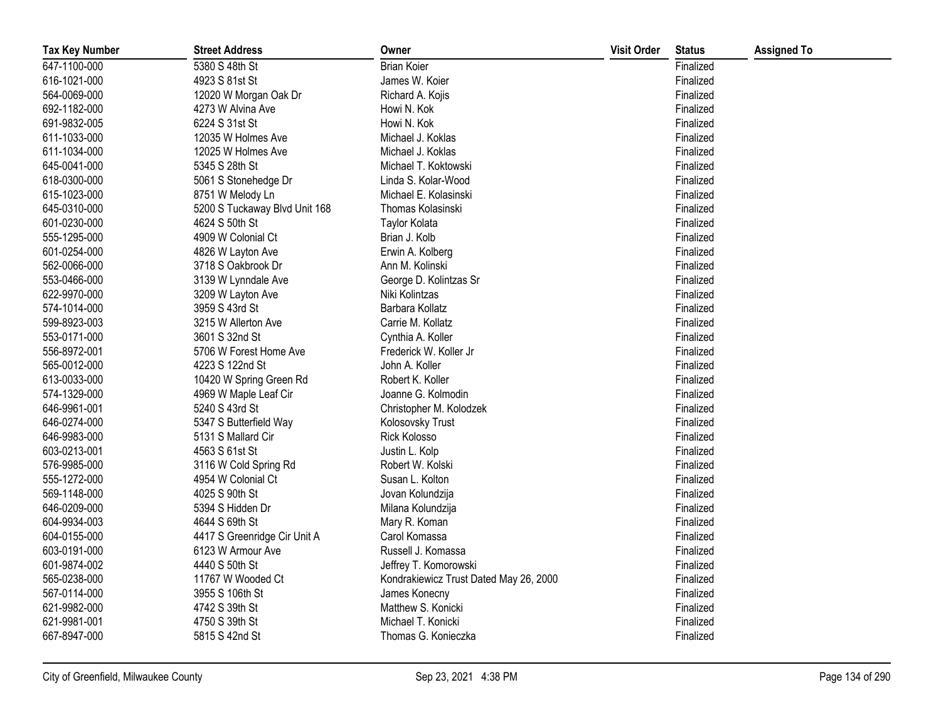| <b>Tax Key Number</b> | <b>Street Address</b>         | Owner                                  | <b>Visit Order</b> | <b>Status</b> | <b>Assigned To</b> |
|-----------------------|-------------------------------|----------------------------------------|--------------------|---------------|--------------------|
| 647-1100-000          | 5380 S 48th St                | <b>Brian Koier</b>                     |                    | Finalized     |                    |
| 616-1021-000          | 4923 S 81st St                | James W. Koier                         |                    | Finalized     |                    |
| 564-0069-000          | 12020 W Morgan Oak Dr         | Richard A. Kojis                       |                    | Finalized     |                    |
| 692-1182-000          | 4273 W Alvina Ave             | Howi N. Kok                            |                    | Finalized     |                    |
| 691-9832-005          | 6224 S 31st St                | Howi N. Kok                            |                    | Finalized     |                    |
| 611-1033-000          | 12035 W Holmes Ave            | Michael J. Koklas                      |                    | Finalized     |                    |
| 611-1034-000          | 12025 W Holmes Ave            | Michael J. Koklas                      |                    | Finalized     |                    |
| 645-0041-000          | 5345 S 28th St                | Michael T. Koktowski                   |                    | Finalized     |                    |
| 618-0300-000          | 5061 S Stonehedge Dr          | Linda S. Kolar-Wood                    |                    | Finalized     |                    |
| 615-1023-000          | 8751 W Melody Ln              | Michael E. Kolasinski                  |                    | Finalized     |                    |
| 645-0310-000          | 5200 S Tuckaway Blvd Unit 168 | Thomas Kolasinski                      |                    | Finalized     |                    |
| 601-0230-000          | 4624 S 50th St                | Taylor Kolata                          |                    | Finalized     |                    |
| 555-1295-000          | 4909 W Colonial Ct            | Brian J. Kolb                          |                    | Finalized     |                    |
| 601-0254-000          | 4826 W Layton Ave             | Erwin A. Kolberg                       |                    | Finalized     |                    |
| 562-0066-000          | 3718 S Oakbrook Dr            | Ann M. Kolinski                        |                    | Finalized     |                    |
| 553-0466-000          | 3139 W Lynndale Ave           | George D. Kolintzas Sr                 |                    | Finalized     |                    |
| 622-9970-000          | 3209 W Layton Ave             | Niki Kolintzas                         |                    | Finalized     |                    |
| 574-1014-000          | 3959 S 43rd St                | Barbara Kollatz                        |                    | Finalized     |                    |
| 599-8923-003          | 3215 W Allerton Ave           | Carrie M. Kollatz                      |                    | Finalized     |                    |
| 553-0171-000          | 3601 S 32nd St                | Cynthia A. Koller                      |                    | Finalized     |                    |
| 556-8972-001          | 5706 W Forest Home Ave        | Frederick W. Koller Jr                 |                    | Finalized     |                    |
| 565-0012-000          | 4223 S 122nd St               | John A. Koller                         |                    | Finalized     |                    |
| 613-0033-000          | 10420 W Spring Green Rd       | Robert K. Koller                       |                    | Finalized     |                    |
| 574-1329-000          | 4969 W Maple Leaf Cir         | Joanne G. Kolmodin                     |                    | Finalized     |                    |
| 646-9961-001          | 5240 S 43rd St                | Christopher M. Kolodzek                |                    | Finalized     |                    |
| 646-0274-000          | 5347 S Butterfield Way        | Kolosovsky Trust                       |                    | Finalized     |                    |
| 646-9983-000          | 5131 S Mallard Cir            | Rick Kolosso                           |                    | Finalized     |                    |
| 603-0213-001          | 4563 S 61st St                | Justin L. Kolp                         |                    | Finalized     |                    |
| 576-9985-000          | 3116 W Cold Spring Rd         | Robert W. Kolski                       |                    | Finalized     |                    |
| 555-1272-000          | 4954 W Colonial Ct            | Susan L. Kolton                        |                    | Finalized     |                    |
| 569-1148-000          | 4025 S 90th St                | Jovan Kolundzija                       |                    | Finalized     |                    |
| 646-0209-000          | 5394 S Hidden Dr              | Milana Kolundzija                      |                    | Finalized     |                    |
| 604-9934-003          | 4644 S 69th St                | Mary R. Koman                          |                    | Finalized     |                    |
| 604-0155-000          | 4417 S Greenridge Cir Unit A  | Carol Komassa                          |                    | Finalized     |                    |
| 603-0191-000          | 6123 W Armour Ave             | Russell J. Komassa                     |                    | Finalized     |                    |
| 601-9874-002          | 4440 S 50th St                | Jeffrey T. Komorowski                  |                    | Finalized     |                    |
| 565-0238-000          | 11767 W Wooded Ct             | Kondrakiewicz Trust Dated May 26, 2000 |                    | Finalized     |                    |
| 567-0114-000          | 3955 S 106th St               | James Konecny                          |                    | Finalized     |                    |
| 621-9982-000          | 4742 S 39th St                | Matthew S. Konicki                     |                    | Finalized     |                    |
| 621-9981-001          | 4750 S 39th St                | Michael T. Konicki                     |                    | Finalized     |                    |
| 667-8947-000          | 5815 S 42nd St                | Thomas G. Konieczka                    |                    | Finalized     |                    |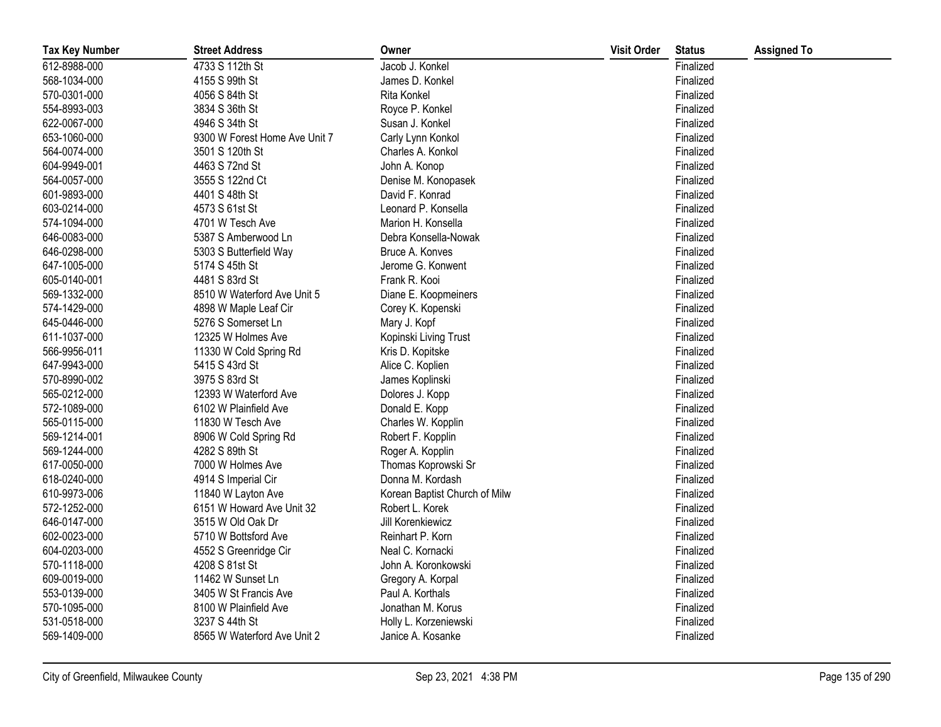| <b>Tax Key Number</b> | <b>Street Address</b>         | Owner                         | <b>Visit Order</b> | <b>Status</b> | <b>Assigned To</b> |
|-----------------------|-------------------------------|-------------------------------|--------------------|---------------|--------------------|
| 612-8988-000          | 4733 S 112th St               | Jacob J. Konkel               |                    | Finalized     |                    |
| 568-1034-000          | 4155 S 99th St                | James D. Konkel               |                    | Finalized     |                    |
| 570-0301-000          | 4056 S 84th St                | Rita Konkel                   |                    | Finalized     |                    |
| 554-8993-003          | 3834 S 36th St                | Royce P. Konkel               |                    | Finalized     |                    |
| 622-0067-000          | 4946 S 34th St                | Susan J. Konkel               |                    | Finalized     |                    |
| 653-1060-000          | 9300 W Forest Home Ave Unit 7 | Carly Lynn Konkol             |                    | Finalized     |                    |
| 564-0074-000          | 3501 S 120th St               | Charles A. Konkol             |                    | Finalized     |                    |
| 604-9949-001          | 4463 S 72nd St                | John A. Konop                 |                    | Finalized     |                    |
| 564-0057-000          | 3555 S 122nd Ct               | Denise M. Konopasek           |                    | Finalized     |                    |
| 601-9893-000          | 4401 S 48th St                | David F. Konrad               |                    | Finalized     |                    |
| 603-0214-000          | 4573 S 61st St                | Leonard P. Konsella           |                    | Finalized     |                    |
| 574-1094-000          | 4701 W Tesch Ave              | Marion H. Konsella            |                    | Finalized     |                    |
| 646-0083-000          | 5387 S Amberwood Ln           | Debra Konsella-Nowak          |                    | Finalized     |                    |
| 646-0298-000          | 5303 S Butterfield Way        | Bruce A. Konves               |                    | Finalized     |                    |
| 647-1005-000          | 5174 S 45th St                | Jerome G. Konwent             |                    | Finalized     |                    |
| 605-0140-001          | 4481 S 83rd St                | Frank R. Kooi                 |                    | Finalized     |                    |
| 569-1332-000          | 8510 W Waterford Ave Unit 5   | Diane E. Koopmeiners          |                    | Finalized     |                    |
| 574-1429-000          | 4898 W Maple Leaf Cir         | Corey K. Kopenski             |                    | Finalized     |                    |
| 645-0446-000          | 5276 S Somerset Ln            | Mary J. Kopf                  |                    | Finalized     |                    |
| 611-1037-000          | 12325 W Holmes Ave            | Kopinski Living Trust         |                    | Finalized     |                    |
| 566-9956-011          | 11330 W Cold Spring Rd        | Kris D. Kopitske              |                    | Finalized     |                    |
| 647-9943-000          | 5415 S 43rd St                | Alice C. Koplien              |                    | Finalized     |                    |
| 570-8990-002          | 3975 S 83rd St                | James Koplinski               |                    | Finalized     |                    |
| 565-0212-000          | 12393 W Waterford Ave         | Dolores J. Kopp               |                    | Finalized     |                    |
| 572-1089-000          | 6102 W Plainfield Ave         | Donald E. Kopp                |                    | Finalized     |                    |
| 565-0115-000          | 11830 W Tesch Ave             | Charles W. Kopplin            |                    | Finalized     |                    |
| 569-1214-001          | 8906 W Cold Spring Rd         | Robert F. Kopplin             |                    | Finalized     |                    |
| 569-1244-000          | 4282 S 89th St                | Roger A. Kopplin              |                    | Finalized     |                    |
| 617-0050-000          | 7000 W Holmes Ave             | Thomas Koprowski Sr           |                    | Finalized     |                    |
| 618-0240-000          | 4914 S Imperial Cir           | Donna M. Kordash              |                    | Finalized     |                    |
| 610-9973-006          | 11840 W Layton Ave            | Korean Baptist Church of Milw |                    | Finalized     |                    |
| 572-1252-000          | 6151 W Howard Ave Unit 32     | Robert L. Korek               |                    | Finalized     |                    |
| 646-0147-000          | 3515 W Old Oak Dr             | Jill Korenkiewicz             |                    | Finalized     |                    |
| 602-0023-000          | 5710 W Bottsford Ave          | Reinhart P. Korn              |                    | Finalized     |                    |
| 604-0203-000          | 4552 S Greenridge Cir         | Neal C. Kornacki              |                    | Finalized     |                    |
| 570-1118-000          | 4208 S 81st St                | John A. Koronkowski           |                    | Finalized     |                    |
| 609-0019-000          | 11462 W Sunset Ln             | Gregory A. Korpal             |                    | Finalized     |                    |
| 553-0139-000          | 3405 W St Francis Ave         | Paul A. Korthals              |                    | Finalized     |                    |
| 570-1095-000          | 8100 W Plainfield Ave         | Jonathan M. Korus             |                    | Finalized     |                    |
| 531-0518-000          | 3237 S 44th St                | Holly L. Korzeniewski         |                    | Finalized     |                    |
| 569-1409-000          | 8565 W Waterford Ave Unit 2   | Janice A. Kosanke             |                    | Finalized     |                    |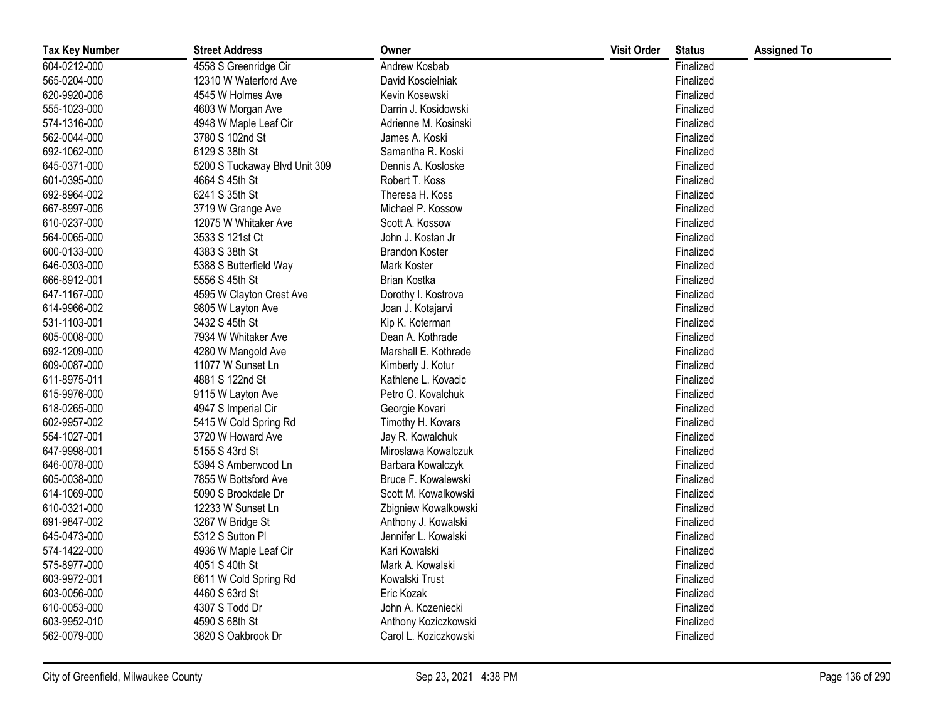| <b>Tax Key Number</b> | <b>Street Address</b>         | Owner                 | <b>Visit Order</b> | <b>Status</b> | <b>Assigned To</b> |
|-----------------------|-------------------------------|-----------------------|--------------------|---------------|--------------------|
| 604-0212-000          | 4558 S Greenridge Cir         | Andrew Kosbab         |                    | Finalized     |                    |
| 565-0204-000          | 12310 W Waterford Ave         | David Koscielniak     |                    | Finalized     |                    |
| 620-9920-006          | 4545 W Holmes Ave             | Kevin Kosewski        |                    | Finalized     |                    |
| 555-1023-000          | 4603 W Morgan Ave             | Darrin J. Kosidowski  |                    | Finalized     |                    |
| 574-1316-000          | 4948 W Maple Leaf Cir         | Adrienne M. Kosinski  |                    | Finalized     |                    |
| 562-0044-000          | 3780 S 102nd St               | James A. Koski        |                    | Finalized     |                    |
| 692-1062-000          | 6129 S 38th St                | Samantha R. Koski     |                    | Finalized     |                    |
| 645-0371-000          | 5200 S Tuckaway Blvd Unit 309 | Dennis A. Kosloske    |                    | Finalized     |                    |
| 601-0395-000          | 4664 S 45th St                | Robert T. Koss        |                    | Finalized     |                    |
| 692-8964-002          | 6241 S 35th St                | Theresa H. Koss       |                    | Finalized     |                    |
| 667-8997-006          | 3719 W Grange Ave             | Michael P. Kossow     |                    | Finalized     |                    |
| 610-0237-000          | 12075 W Whitaker Ave          | Scott A. Kossow       |                    | Finalized     |                    |
| 564-0065-000          | 3533 S 121st Ct               | John J. Kostan Jr     |                    | Finalized     |                    |
| 600-0133-000          | 4383 S 38th St                | <b>Brandon Koster</b> |                    | Finalized     |                    |
| 646-0303-000          | 5388 S Butterfield Way        | Mark Koster           |                    | Finalized     |                    |
| 666-8912-001          | 5556 S 45th St                | Brian Kostka          |                    | Finalized     |                    |
| 647-1167-000          | 4595 W Clayton Crest Ave      | Dorothy I. Kostrova   |                    | Finalized     |                    |
| 614-9966-002          | 9805 W Layton Ave             | Joan J. Kotajarvi     |                    | Finalized     |                    |
| 531-1103-001          | 3432 S 45th St                | Kip K. Koterman       |                    | Finalized     |                    |
| 605-0008-000          | 7934 W Whitaker Ave           | Dean A. Kothrade      |                    | Finalized     |                    |
| 692-1209-000          | 4280 W Mangold Ave            | Marshall E. Kothrade  |                    | Finalized     |                    |
| 609-0087-000          | 11077 W Sunset Ln             | Kimberly J. Kotur     |                    | Finalized     |                    |
| 611-8975-011          | 4881 S 122nd St               | Kathlene L. Kovacic   |                    | Finalized     |                    |
| 615-9976-000          | 9115 W Layton Ave             | Petro O. Kovalchuk    |                    | Finalized     |                    |
| 618-0265-000          | 4947 S Imperial Cir           | Georgie Kovari        |                    | Finalized     |                    |
| 602-9957-002          | 5415 W Cold Spring Rd         | Timothy H. Kovars     |                    | Finalized     |                    |
| 554-1027-001          | 3720 W Howard Ave             | Jay R. Kowalchuk      |                    | Finalized     |                    |
| 647-9998-001          | 5155 S 43rd St                | Miroslawa Kowalczuk   |                    | Finalized     |                    |
| 646-0078-000          | 5394 S Amberwood Ln           | Barbara Kowalczyk     |                    | Finalized     |                    |
| 605-0038-000          | 7855 W Bottsford Ave          | Bruce F. Kowalewski   |                    | Finalized     |                    |
| 614-1069-000          | 5090 S Brookdale Dr           | Scott M. Kowalkowski  |                    | Finalized     |                    |
| 610-0321-000          | 12233 W Sunset Ln             | Zbigniew Kowalkowski  |                    | Finalized     |                    |
| 691-9847-002          | 3267 W Bridge St              | Anthony J. Kowalski   |                    | Finalized     |                    |
| 645-0473-000          | 5312 S Sutton PI              | Jennifer L. Kowalski  |                    | Finalized     |                    |
| 574-1422-000          | 4936 W Maple Leaf Cir         | Kari Kowalski         |                    | Finalized     |                    |
| 575-8977-000          | 4051 S 40th St                | Mark A. Kowalski      |                    | Finalized     |                    |
| 603-9972-001          | 6611 W Cold Spring Rd         | Kowalski Trust        |                    | Finalized     |                    |
| 603-0056-000          | 4460 S 63rd St                | Eric Kozak            |                    | Finalized     |                    |
| 610-0053-000          | 4307 S Todd Dr                | John A. Kozeniecki    |                    | Finalized     |                    |
| 603-9952-010          | 4590 S 68th St                | Anthony Koziczkowski  |                    | Finalized     |                    |
| 562-0079-000          | 3820 S Oakbrook Dr            | Carol L. Koziczkowski |                    | Finalized     |                    |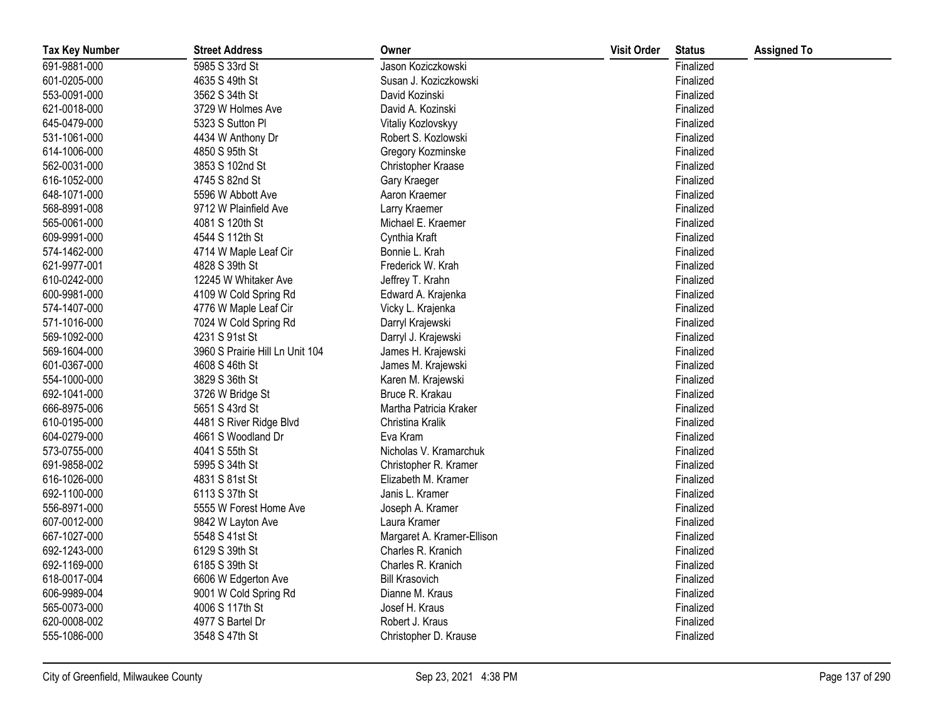| <b>Tax Key Number</b> | <b>Street Address</b>           | Owner                      | <b>Visit Order</b> | <b>Status</b> | <b>Assigned To</b> |
|-----------------------|---------------------------------|----------------------------|--------------------|---------------|--------------------|
| 691-9881-000          | 5985 S 33rd St                  | Jason Koziczkowski         |                    | Finalized     |                    |
| 601-0205-000          | 4635 S 49th St                  | Susan J. Koziczkowski      |                    | Finalized     |                    |
| 553-0091-000          | 3562 S 34th St                  | David Kozinski             |                    | Finalized     |                    |
| 621-0018-000          | 3729 W Holmes Ave               | David A. Kozinski          |                    | Finalized     |                    |
| 645-0479-000          | 5323 S Sutton Pl                | Vitaliy Kozlovskyy         |                    | Finalized     |                    |
| 531-1061-000          | 4434 W Anthony Dr               | Robert S. Kozlowski        |                    | Finalized     |                    |
| 614-1006-000          | 4850 S 95th St                  | Gregory Kozminske          |                    | Finalized     |                    |
| 562-0031-000          | 3853 S 102nd St                 | Christopher Kraase         |                    | Finalized     |                    |
| 616-1052-000          | 4745 S 82nd St                  | Gary Kraeger               |                    | Finalized     |                    |
| 648-1071-000          | 5596 W Abbott Ave               | Aaron Kraemer              |                    | Finalized     |                    |
| 568-8991-008          | 9712 W Plainfield Ave           | Larry Kraemer              |                    | Finalized     |                    |
| 565-0061-000          | 4081 S 120th St                 | Michael E. Kraemer         |                    | Finalized     |                    |
| 609-9991-000          | 4544 S 112th St                 | Cynthia Kraft              |                    | Finalized     |                    |
| 574-1462-000          | 4714 W Maple Leaf Cir           | Bonnie L. Krah             |                    | Finalized     |                    |
| 621-9977-001          | 4828 S 39th St                  | Frederick W. Krah          |                    | Finalized     |                    |
| 610-0242-000          | 12245 W Whitaker Ave            | Jeffrey T. Krahn           |                    | Finalized     |                    |
| 600-9981-000          | 4109 W Cold Spring Rd           | Edward A. Krajenka         |                    | Finalized     |                    |
| 574-1407-000          | 4776 W Maple Leaf Cir           | Vicky L. Krajenka          |                    | Finalized     |                    |
| 571-1016-000          | 7024 W Cold Spring Rd           | Darryl Krajewski           |                    | Finalized     |                    |
| 569-1092-000          | 4231 S 91st St                  | Darryl J. Krajewski        |                    | Finalized     |                    |
| 569-1604-000          | 3960 S Prairie Hill Ln Unit 104 | James H. Krajewski         |                    | Finalized     |                    |
| 601-0367-000          | 4608 S 46th St                  | James M. Krajewski         |                    | Finalized     |                    |
| 554-1000-000          | 3829 S 36th St                  | Karen M. Krajewski         |                    | Finalized     |                    |
| 692-1041-000          | 3726 W Bridge St                | Bruce R. Krakau            |                    | Finalized     |                    |
| 666-8975-006          | 5651 S 43rd St                  | Martha Patricia Kraker     |                    | Finalized     |                    |
| 610-0195-000          | 4481 S River Ridge Blvd         | Christina Kralik           |                    | Finalized     |                    |
| 604-0279-000          | 4661 S Woodland Dr              | Eva Kram                   |                    | Finalized     |                    |
| 573-0755-000          | 4041 S 55th St                  | Nicholas V. Kramarchuk     |                    | Finalized     |                    |
| 691-9858-002          | 5995 S 34th St                  | Christopher R. Kramer      |                    | Finalized     |                    |
| 616-1026-000          | 4831 S 81st St                  | Elizabeth M. Kramer        |                    | Finalized     |                    |
| 692-1100-000          | 6113 S 37th St                  | Janis L. Kramer            |                    | Finalized     |                    |
| 556-8971-000          | 5555 W Forest Home Ave          | Joseph A. Kramer           |                    | Finalized     |                    |
| 607-0012-000          | 9842 W Layton Ave               | Laura Kramer               |                    | Finalized     |                    |
| 667-1027-000          | 5548 S 41st St                  | Margaret A. Kramer-Ellison |                    | Finalized     |                    |
| 692-1243-000          | 6129 S 39th St                  | Charles R. Kranich         |                    | Finalized     |                    |
| 692-1169-000          | 6185 S 39th St                  | Charles R. Kranich         |                    | Finalized     |                    |
| 618-0017-004          | 6606 W Edgerton Ave             | <b>Bill Krasovich</b>      |                    | Finalized     |                    |
| 606-9989-004          | 9001 W Cold Spring Rd           | Dianne M. Kraus            |                    | Finalized     |                    |
| 565-0073-000          | 4006 S 117th St                 | Josef H. Kraus             |                    | Finalized     |                    |
| 620-0008-002          | 4977 S Bartel Dr                | Robert J. Kraus            |                    | Finalized     |                    |
| 555-1086-000          | 3548 S 47th St                  | Christopher D. Krause      |                    | Finalized     |                    |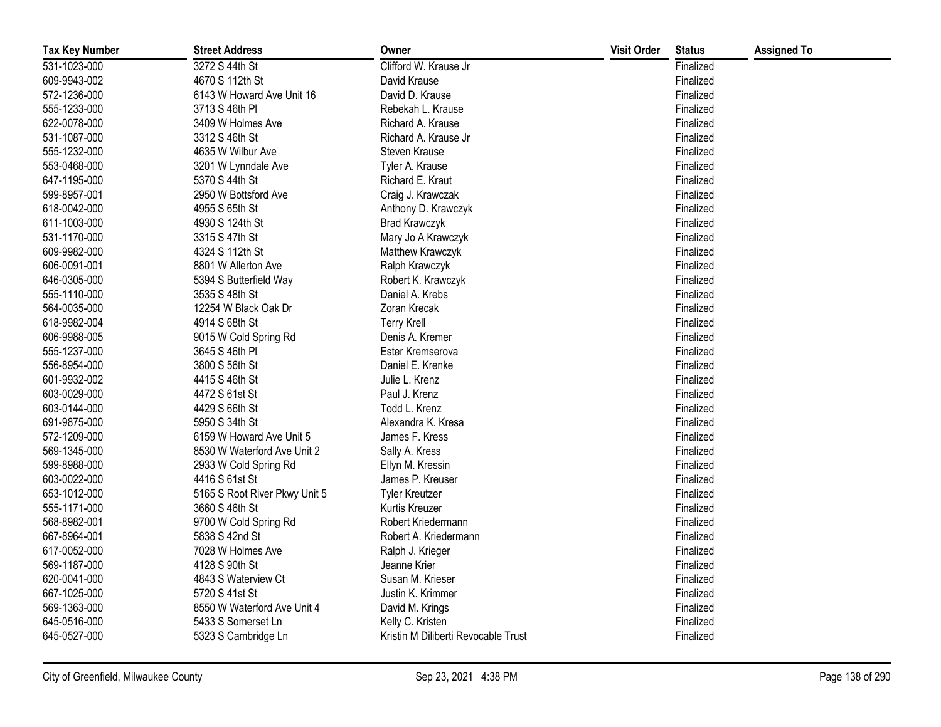| <b>Tax Key Number</b> | <b>Street Address</b>         | Owner                               | <b>Visit Order</b> | <b>Status</b> | <b>Assigned To</b> |
|-----------------------|-------------------------------|-------------------------------------|--------------------|---------------|--------------------|
| 531-1023-000          | 3272 S 44th St                | Clifford W. Krause Jr               |                    | Finalized     |                    |
| 609-9943-002          | 4670 S 112th St               | David Krause                        |                    | Finalized     |                    |
| 572-1236-000          | 6143 W Howard Ave Unit 16     | David D. Krause                     |                    | Finalized     |                    |
| 555-1233-000          | 3713 S 46th PI                | Rebekah L. Krause                   |                    | Finalized     |                    |
| 622-0078-000          | 3409 W Holmes Ave             | Richard A. Krause                   |                    | Finalized     |                    |
| 531-1087-000          | 3312 S 46th St                | Richard A. Krause Jr                |                    | Finalized     |                    |
| 555-1232-000          | 4635 W Wilbur Ave             | Steven Krause                       |                    | Finalized     |                    |
| 553-0468-000          | 3201 W Lynndale Ave           | Tyler A. Krause                     |                    | Finalized     |                    |
| 647-1195-000          | 5370 S 44th St                | Richard E. Kraut                    |                    | Finalized     |                    |
| 599-8957-001          | 2950 W Bottsford Ave          | Craig J. Krawczak                   |                    | Finalized     |                    |
| 618-0042-000          | 4955 S 65th St                | Anthony D. Krawczyk                 |                    | Finalized     |                    |
| 611-1003-000          | 4930 S 124th St               | <b>Brad Krawczyk</b>                |                    | Finalized     |                    |
| 531-1170-000          | 3315 S 47th St                | Mary Jo A Krawczyk                  |                    | Finalized     |                    |
| 609-9982-000          | 4324 S 112th St               | Matthew Krawczyk                    |                    | Finalized     |                    |
| 606-0091-001          | 8801 W Allerton Ave           | Ralph Krawczyk                      |                    | Finalized     |                    |
| 646-0305-000          | 5394 S Butterfield Way        | Robert K. Krawczyk                  |                    | Finalized     |                    |
| 555-1110-000          | 3535 S 48th St                | Daniel A. Krebs                     |                    | Finalized     |                    |
| 564-0035-000          | 12254 W Black Oak Dr          | Zoran Krecak                        |                    | Finalized     |                    |
| 618-9982-004          | 4914 S 68th St                | <b>Terry Krell</b>                  |                    | Finalized     |                    |
| 606-9988-005          | 9015 W Cold Spring Rd         | Denis A. Kremer                     |                    | Finalized     |                    |
| 555-1237-000          | 3645 S 46th PI                | Ester Kremserova                    |                    | Finalized     |                    |
| 556-8954-000          | 3800 S 56th St                | Daniel E. Krenke                    |                    | Finalized     |                    |
| 601-9932-002          | 4415 S 46th St                | Julie L. Krenz                      |                    | Finalized     |                    |
| 603-0029-000          | 4472 S 61st St                | Paul J. Krenz                       |                    | Finalized     |                    |
| 603-0144-000          | 4429 S 66th St                | Todd L. Krenz                       |                    | Finalized     |                    |
| 691-9875-000          | 5950 S 34th St                | Alexandra K. Kresa                  |                    | Finalized     |                    |
| 572-1209-000          | 6159 W Howard Ave Unit 5      | James F. Kress                      |                    | Finalized     |                    |
| 569-1345-000          | 8530 W Waterford Ave Unit 2   | Sally A. Kress                      |                    | Finalized     |                    |
| 599-8988-000          | 2933 W Cold Spring Rd         | Ellyn M. Kressin                    |                    | Finalized     |                    |
| 603-0022-000          | 4416 S 61st St                | James P. Kreuser                    |                    | Finalized     |                    |
| 653-1012-000          | 5165 S Root River Pkwy Unit 5 | <b>Tyler Kreutzer</b>               |                    | Finalized     |                    |
| 555-1171-000          | 3660 S 46th St                | Kurtis Kreuzer                      |                    | Finalized     |                    |
| 568-8982-001          | 9700 W Cold Spring Rd         | Robert Kriedermann                  |                    | Finalized     |                    |
| 667-8964-001          | 5838 S 42nd St                | Robert A. Kriedermann               |                    | Finalized     |                    |
| 617-0052-000          | 7028 W Holmes Ave             | Ralph J. Krieger                    |                    | Finalized     |                    |
| 569-1187-000          | 4128 S 90th St                | Jeanne Krier                        |                    | Finalized     |                    |
| 620-0041-000          | 4843 S Waterview Ct           | Susan M. Krieser                    |                    | Finalized     |                    |
| 667-1025-000          | 5720 S 41st St                | Justin K. Krimmer                   |                    | Finalized     |                    |
| 569-1363-000          | 8550 W Waterford Ave Unit 4   | David M. Krings                     |                    | Finalized     |                    |
| 645-0516-000          | 5433 S Somerset Ln            | Kelly C. Kristen                    |                    | Finalized     |                    |
| 645-0527-000          | 5323 S Cambridge Ln           | Kristin M Diliberti Revocable Trust |                    | Finalized     |                    |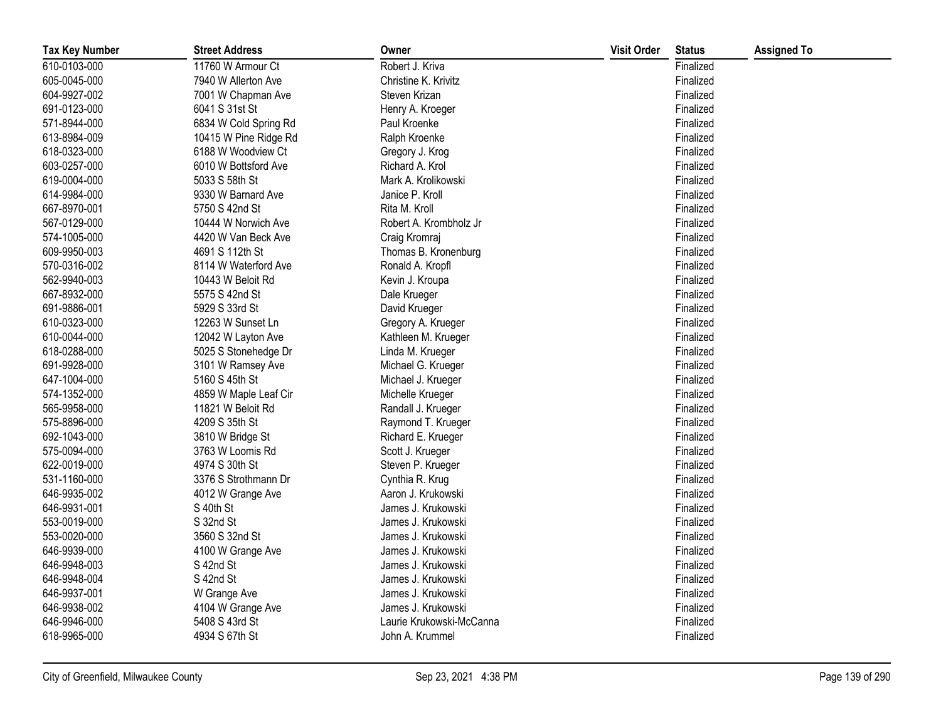| <b>Tax Key Number</b> | <b>Street Address</b> | Owner                    | <b>Visit Order</b> | <b>Status</b> | <b>Assigned To</b> |
|-----------------------|-----------------------|--------------------------|--------------------|---------------|--------------------|
| 610-0103-000          | 11760 W Armour Ct     | Robert J. Kriva          |                    | Finalized     |                    |
| 605-0045-000          | 7940 W Allerton Ave   | Christine K. Krivitz     |                    | Finalized     |                    |
| 604-9927-002          | 7001 W Chapman Ave    | Steven Krizan            |                    | Finalized     |                    |
| 691-0123-000          | 6041 S 31st St        | Henry A. Kroeger         |                    | Finalized     |                    |
| 571-8944-000          | 6834 W Cold Spring Rd | Paul Kroenke             |                    | Finalized     |                    |
| 613-8984-009          | 10415 W Pine Ridge Rd | Ralph Kroenke            |                    | Finalized     |                    |
| 618-0323-000          | 6188 W Woodview Ct    | Gregory J. Krog          |                    | Finalized     |                    |
| 603-0257-000          | 6010 W Bottsford Ave  | Richard A. Krol          |                    | Finalized     |                    |
| 619-0004-000          | 5033 S 58th St        | Mark A. Krolikowski      |                    | Finalized     |                    |
| 614-9984-000          | 9330 W Barnard Ave    | Janice P. Kroll          |                    | Finalized     |                    |
| 667-8970-001          | 5750 S 42nd St        | Rita M. Kroll            |                    | Finalized     |                    |
| 567-0129-000          | 10444 W Norwich Ave   | Robert A. Krombholz Jr   |                    | Finalized     |                    |
| 574-1005-000          | 4420 W Van Beck Ave   | Craig Kromraj            |                    | Finalized     |                    |
| 609-9950-003          | 4691 S 112th St       | Thomas B. Kronenburg     |                    | Finalized     |                    |
| 570-0316-002          | 8114 W Waterford Ave  | Ronald A. Kropfl         |                    | Finalized     |                    |
| 562-9940-003          | 10443 W Beloit Rd     | Kevin J. Kroupa          |                    | Finalized     |                    |
| 667-8932-000          | 5575 S 42nd St        | Dale Krueger             |                    | Finalized     |                    |
| 691-9886-001          | 5929 S 33rd St        | David Krueger            |                    | Finalized     |                    |
| 610-0323-000          | 12263 W Sunset Ln     | Gregory A. Krueger       |                    | Finalized     |                    |
| 610-0044-000          | 12042 W Layton Ave    | Kathleen M. Krueger      |                    | Finalized     |                    |
| 618-0288-000          | 5025 S Stonehedge Dr  | Linda M. Krueger         |                    | Finalized     |                    |
| 691-9928-000          | 3101 W Ramsey Ave     | Michael G. Krueger       |                    | Finalized     |                    |
| 647-1004-000          | 5160 S 45th St        | Michael J. Krueger       |                    | Finalized     |                    |
| 574-1352-000          | 4859 W Maple Leaf Cir | Michelle Krueger         |                    | Finalized     |                    |
| 565-9958-000          | 11821 W Beloit Rd     | Randall J. Krueger       |                    | Finalized     |                    |
| 575-8896-000          | 4209 S 35th St        | Raymond T. Krueger       |                    | Finalized     |                    |
| 692-1043-000          | 3810 W Bridge St      | Richard E. Krueger       |                    | Finalized     |                    |
| 575-0094-000          | 3763 W Loomis Rd      | Scott J. Krueger         |                    | Finalized     |                    |
| 622-0019-000          | 4974 S 30th St        | Steven P. Krueger        |                    | Finalized     |                    |
| 531-1160-000          | 3376 S Strothmann Dr  | Cynthia R. Krug          |                    | Finalized     |                    |
| 646-9935-002          | 4012 W Grange Ave     | Aaron J. Krukowski       |                    | Finalized     |                    |
| 646-9931-001          | S 40th St             | James J. Krukowski       |                    | Finalized     |                    |
| 553-0019-000          | S 32nd St             | James J. Krukowski       |                    | Finalized     |                    |
| 553-0020-000          | 3560 S 32nd St        | James J. Krukowski       |                    | Finalized     |                    |
| 646-9939-000          | 4100 W Grange Ave     | James J. Krukowski       |                    | Finalized     |                    |
| 646-9948-003          | S 42nd St             | James J. Krukowski       |                    | Finalized     |                    |
| 646-9948-004          | S 42nd St             | James J. Krukowski       |                    | Finalized     |                    |
| 646-9937-001          | W Grange Ave          | James J. Krukowski       |                    | Finalized     |                    |
| 646-9938-002          | 4104 W Grange Ave     | James J. Krukowski       |                    | Finalized     |                    |
| 646-9946-000          | 5408 S 43rd St        | Laurie Krukowski-McCanna |                    | Finalized     |                    |
| 618-9965-000          | 4934 S 67th St        | John A. Krummel          |                    | Finalized     |                    |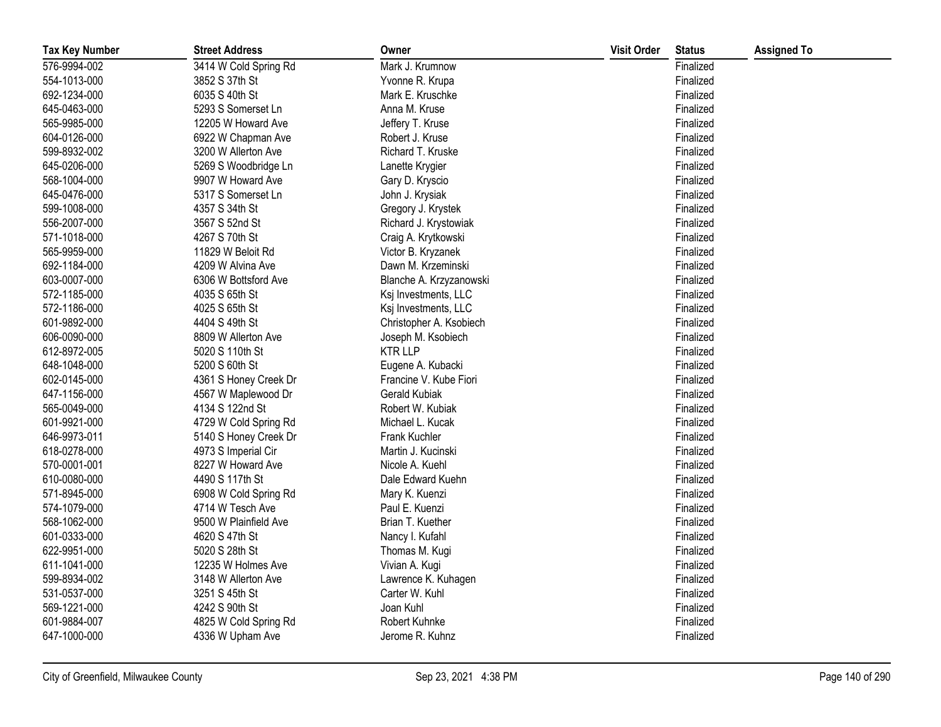| <b>Tax Key Number</b> | <b>Street Address</b> | Owner                   | <b>Visit Order</b> | <b>Status</b> | <b>Assigned To</b> |
|-----------------------|-----------------------|-------------------------|--------------------|---------------|--------------------|
| 576-9994-002          | 3414 W Cold Spring Rd | Mark J. Krumnow         |                    | Finalized     |                    |
| 554-1013-000          | 3852 S 37th St        | Yvonne R. Krupa         |                    | Finalized     |                    |
| 692-1234-000          | 6035 S 40th St        | Mark E. Kruschke        |                    | Finalized     |                    |
| 645-0463-000          | 5293 S Somerset Ln    | Anna M. Kruse           |                    | Finalized     |                    |
| 565-9985-000          | 12205 W Howard Ave    | Jeffery T. Kruse        |                    | Finalized     |                    |
| 604-0126-000          | 6922 W Chapman Ave    | Robert J. Kruse         |                    | Finalized     |                    |
| 599-8932-002          | 3200 W Allerton Ave   | Richard T. Kruske       |                    | Finalized     |                    |
| 645-0206-000          | 5269 S Woodbridge Ln  | Lanette Krygier         |                    | Finalized     |                    |
| 568-1004-000          | 9907 W Howard Ave     | Gary D. Kryscio         |                    | Finalized     |                    |
| 645-0476-000          | 5317 S Somerset Ln    | John J. Krysiak         |                    | Finalized     |                    |
| 599-1008-000          | 4357 S 34th St        | Gregory J. Krystek      |                    | Finalized     |                    |
| 556-2007-000          | 3567 S 52nd St        | Richard J. Krystowiak   |                    | Finalized     |                    |
| 571-1018-000          | 4267 S 70th St        | Craig A. Krytkowski     |                    | Finalized     |                    |
| 565-9959-000          | 11829 W Beloit Rd     | Victor B. Kryzanek      |                    | Finalized     |                    |
| 692-1184-000          | 4209 W Alvina Ave     | Dawn M. Krzeminski      |                    | Finalized     |                    |
| 603-0007-000          | 6306 W Bottsford Ave  | Blanche A. Krzyzanowski |                    | Finalized     |                    |
| 572-1185-000          | 4035 S 65th St        | Ksj Investments, LLC    |                    | Finalized     |                    |
| 572-1186-000          | 4025 S 65th St        | Ksj Investments, LLC    |                    | Finalized     |                    |
| 601-9892-000          | 4404 S 49th St        | Christopher A. Ksobiech |                    | Finalized     |                    |
| 606-0090-000          | 8809 W Allerton Ave   | Joseph M. Ksobiech      |                    | Finalized     |                    |
| 612-8972-005          | 5020 S 110th St       | <b>KTR LLP</b>          |                    | Finalized     |                    |
| 648-1048-000          | 5200 S 60th St        | Eugene A. Kubacki       |                    | Finalized     |                    |
| 602-0145-000          | 4361 S Honey Creek Dr | Francine V. Kube Fiori  |                    | Finalized     |                    |
| 647-1156-000          | 4567 W Maplewood Dr   | Gerald Kubiak           |                    | Finalized     |                    |
| 565-0049-000          | 4134 S 122nd St       | Robert W. Kubiak        |                    | Finalized     |                    |
| 601-9921-000          | 4729 W Cold Spring Rd | Michael L. Kucak        |                    | Finalized     |                    |
| 646-9973-011          | 5140 S Honey Creek Dr | Frank Kuchler           |                    | Finalized     |                    |
| 618-0278-000          | 4973 S Imperial Cir   | Martin J. Kucinski      |                    | Finalized     |                    |
| 570-0001-001          | 8227 W Howard Ave     | Nicole A. Kuehl         |                    | Finalized     |                    |
| 610-0080-000          | 4490 S 117th St       | Dale Edward Kuehn       |                    | Finalized     |                    |
| 571-8945-000          | 6908 W Cold Spring Rd | Mary K. Kuenzi          |                    | Finalized     |                    |
| 574-1079-000          | 4714 W Tesch Ave      | Paul E. Kuenzi          |                    | Finalized     |                    |
| 568-1062-000          | 9500 W Plainfield Ave | Brian T. Kuether        |                    | Finalized     |                    |
| 601-0333-000          | 4620 S 47th St        | Nancy I. Kufahl         |                    | Finalized     |                    |
| 622-9951-000          | 5020 S 28th St        | Thomas M. Kugi          |                    | Finalized     |                    |
| 611-1041-000          | 12235 W Holmes Ave    | Vivian A. Kugi          |                    | Finalized     |                    |
| 599-8934-002          | 3148 W Allerton Ave   | Lawrence K. Kuhagen     |                    | Finalized     |                    |
| 531-0537-000          | 3251 S 45th St        | Carter W. Kuhl          |                    | Finalized     |                    |
| 569-1221-000          | 4242 S 90th St        | Joan Kuhl               |                    | Finalized     |                    |
| 601-9884-007          | 4825 W Cold Spring Rd | <b>Robert Kuhnke</b>    |                    | Finalized     |                    |
| 647-1000-000          | 4336 W Upham Ave      | Jerome R. Kuhnz         |                    | Finalized     |                    |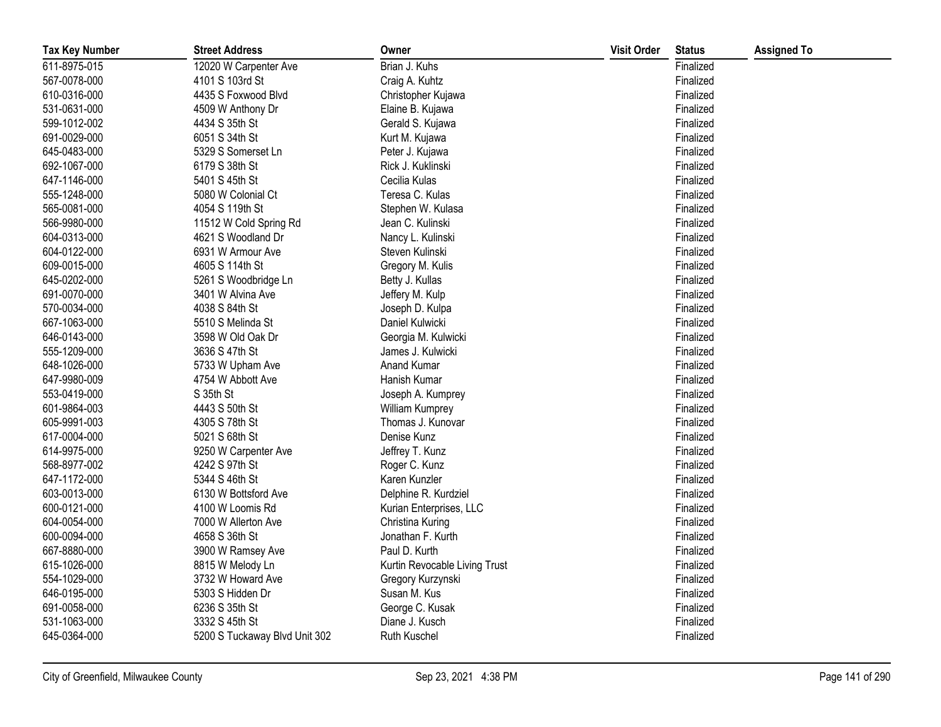| <b>Tax Key Number</b> | <b>Street Address</b>         | Owner                         | <b>Visit Order</b> | <b>Status</b> | <b>Assigned To</b> |
|-----------------------|-------------------------------|-------------------------------|--------------------|---------------|--------------------|
| 611-8975-015          | 12020 W Carpenter Ave         | Brian J. Kuhs                 |                    | Finalized     |                    |
| 567-0078-000          | 4101 S 103rd St               | Craig A. Kuhtz                |                    | Finalized     |                    |
| 610-0316-000          | 4435 S Foxwood Blvd           | Christopher Kujawa            |                    | Finalized     |                    |
| 531-0631-000          | 4509 W Anthony Dr             | Elaine B. Kujawa              |                    | Finalized     |                    |
| 599-1012-002          | 4434 S 35th St                | Gerald S. Kujawa              |                    | Finalized     |                    |
| 691-0029-000          | 6051 S 34th St                | Kurt M. Kujawa                |                    | Finalized     |                    |
| 645-0483-000          | 5329 S Somerset Ln            | Peter J. Kujawa               |                    | Finalized     |                    |
| 692-1067-000          | 6179 S 38th St                | Rick J. Kuklinski             |                    | Finalized     |                    |
| 647-1146-000          | 5401 S 45th St                | Cecilia Kulas                 |                    | Finalized     |                    |
| 555-1248-000          | 5080 W Colonial Ct            | Teresa C. Kulas               |                    | Finalized     |                    |
| 565-0081-000          | 4054 S 119th St               | Stephen W. Kulasa             |                    | Finalized     |                    |
| 566-9980-000          | 11512 W Cold Spring Rd        | Jean C. Kulinski              |                    | Finalized     |                    |
| 604-0313-000          | 4621 S Woodland Dr            | Nancy L. Kulinski             |                    | Finalized     |                    |
| 604-0122-000          | 6931 W Armour Ave             | Steven Kulinski               |                    | Finalized     |                    |
| 609-0015-000          | 4605 S 114th St               | Gregory M. Kulis              |                    | Finalized     |                    |
| 645-0202-000          | 5261 S Woodbridge Ln          | Betty J. Kullas               |                    | Finalized     |                    |
| 691-0070-000          | 3401 W Alvina Ave             | Jeffery M. Kulp               |                    | Finalized     |                    |
| 570-0034-000          | 4038 S 84th St                | Joseph D. Kulpa               |                    | Finalized     |                    |
| 667-1063-000          | 5510 S Melinda St             | Daniel Kulwicki               |                    | Finalized     |                    |
| 646-0143-000          | 3598 W Old Oak Dr             | Georgia M. Kulwicki           |                    | Finalized     |                    |
| 555-1209-000          | 3636 S 47th St                | James J. Kulwicki             |                    | Finalized     |                    |
| 648-1026-000          | 5733 W Upham Ave              | Anand Kumar                   |                    | Finalized     |                    |
| 647-9980-009          | 4754 W Abbott Ave             | Hanish Kumar                  |                    | Finalized     |                    |
| 553-0419-000          | S 35th St                     | Joseph A. Kumprey             |                    | Finalized     |                    |
| 601-9864-003          | 4443 S 50th St                | William Kumprey               |                    | Finalized     |                    |
| 605-9991-003          | 4305 S 78th St                | Thomas J. Kunovar             |                    | Finalized     |                    |
| 617-0004-000          | 5021 S 68th St                | Denise Kunz                   |                    | Finalized     |                    |
| 614-9975-000          | 9250 W Carpenter Ave          | Jeffrey T. Kunz               |                    | Finalized     |                    |
| 568-8977-002          | 4242 S 97th St                | Roger C. Kunz                 |                    | Finalized     |                    |
| 647-1172-000          | 5344 S 46th St                | Karen Kunzler                 |                    | Finalized     |                    |
| 603-0013-000          | 6130 W Bottsford Ave          | Delphine R. Kurdziel          |                    | Finalized     |                    |
| 600-0121-000          | 4100 W Loomis Rd              | Kurian Enterprises, LLC       |                    | Finalized     |                    |
| 604-0054-000          | 7000 W Allerton Ave           | Christina Kuring              |                    | Finalized     |                    |
| 600-0094-000          | 4658 S 36th St                | Jonathan F. Kurth             |                    | Finalized     |                    |
| 667-8880-000          | 3900 W Ramsey Ave             | Paul D. Kurth                 |                    | Finalized     |                    |
| 615-1026-000          | 8815 W Melody Ln              | Kurtin Revocable Living Trust |                    | Finalized     |                    |
| 554-1029-000          | 3732 W Howard Ave             | Gregory Kurzynski             |                    | Finalized     |                    |
| 646-0195-000          | 5303 S Hidden Dr              | Susan M. Kus                  |                    | Finalized     |                    |
| 691-0058-000          | 6236 S 35th St                | George C. Kusak               |                    | Finalized     |                    |
| 531-1063-000          | 3332 S 45th St                | Diane J. Kusch                |                    | Finalized     |                    |
| 645-0364-000          | 5200 S Tuckaway Blvd Unit 302 | Ruth Kuschel                  |                    | Finalized     |                    |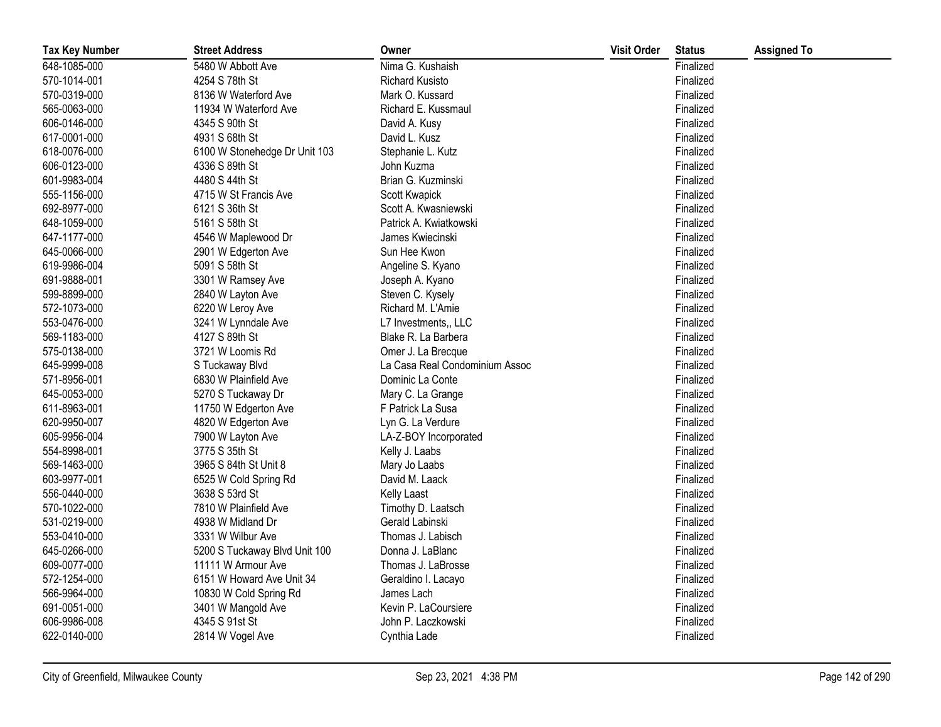| <b>Tax Key Number</b> | <b>Street Address</b>         | Owner                          | <b>Visit Order</b> | <b>Status</b> | <b>Assigned To</b> |
|-----------------------|-------------------------------|--------------------------------|--------------------|---------------|--------------------|
| 648-1085-000          | 5480 W Abbott Ave             | Nima G. Kushaish               |                    | Finalized     |                    |
| 570-1014-001          | 4254 S 78th St                | <b>Richard Kusisto</b>         |                    | Finalized     |                    |
| 570-0319-000          | 8136 W Waterford Ave          | Mark O. Kussard                |                    | Finalized     |                    |
| 565-0063-000          | 11934 W Waterford Ave         | Richard E. Kussmaul            |                    | Finalized     |                    |
| 606-0146-000          | 4345 S 90th St                | David A. Kusy                  |                    | Finalized     |                    |
| 617-0001-000          | 4931 S 68th St                | David L. Kusz                  |                    | Finalized     |                    |
| 618-0076-000          | 6100 W Stonehedge Dr Unit 103 | Stephanie L. Kutz              |                    | Finalized     |                    |
| 606-0123-000          | 4336 S 89th St                | John Kuzma                     |                    | Finalized     |                    |
| 601-9983-004          | 4480 S 44th St                | Brian G. Kuzminski             |                    | Finalized     |                    |
| 555-1156-000          | 4715 W St Francis Ave         | Scott Kwapick                  |                    | Finalized     |                    |
| 692-8977-000          | 6121 S 36th St                | Scott A. Kwasniewski           |                    | Finalized     |                    |
| 648-1059-000          | 5161 S 58th St                | Patrick A. Kwiatkowski         |                    | Finalized     |                    |
| 647-1177-000          | 4546 W Maplewood Dr           | James Kwiecinski               |                    | Finalized     |                    |
| 645-0066-000          | 2901 W Edgerton Ave           | Sun Hee Kwon                   |                    | Finalized     |                    |
| 619-9986-004          | 5091 S 58th St                | Angeline S. Kyano              |                    | Finalized     |                    |
| 691-9888-001          | 3301 W Ramsey Ave             | Joseph A. Kyano                |                    | Finalized     |                    |
| 599-8899-000          | 2840 W Layton Ave             | Steven C. Kysely               |                    | Finalized     |                    |
| 572-1073-000          | 6220 W Leroy Ave              | Richard M. L'Amie              |                    | Finalized     |                    |
| 553-0476-000          | 3241 W Lynndale Ave           | L7 Investments,, LLC           |                    | Finalized     |                    |
| 569-1183-000          | 4127 S 89th St                | Blake R. La Barbera            |                    | Finalized     |                    |
| 575-0138-000          | 3721 W Loomis Rd              | Omer J. La Brecque             |                    | Finalized     |                    |
| 645-9999-008          | S Tuckaway Blvd               | La Casa Real Condominium Assoc |                    | Finalized     |                    |
| 571-8956-001          | 6830 W Plainfield Ave         | Dominic La Conte               |                    | Finalized     |                    |
| 645-0053-000          | 5270 S Tuckaway Dr            | Mary C. La Grange              |                    | Finalized     |                    |
| 611-8963-001          | 11750 W Edgerton Ave          | F Patrick La Susa              |                    | Finalized     |                    |
| 620-9950-007          | 4820 W Edgerton Ave           | Lyn G. La Verdure              |                    | Finalized     |                    |
| 605-9956-004          | 7900 W Layton Ave             | LA-Z-BOY Incorporated          |                    | Finalized     |                    |
| 554-8998-001          | 3775 S 35th St                | Kelly J. Laabs                 |                    | Finalized     |                    |
| 569-1463-000          | 3965 S 84th St Unit 8         | Mary Jo Laabs                  |                    | Finalized     |                    |
| 603-9977-001          | 6525 W Cold Spring Rd         | David M. Laack                 |                    | Finalized     |                    |
| 556-0440-000          | 3638 S 53rd St                | Kelly Laast                    |                    | Finalized     |                    |
| 570-1022-000          | 7810 W Plainfield Ave         | Timothy D. Laatsch             |                    | Finalized     |                    |
| 531-0219-000          | 4938 W Midland Dr             | Gerald Labinski                |                    | Finalized     |                    |
| 553-0410-000          | 3331 W Wilbur Ave             | Thomas J. Labisch              |                    | Finalized     |                    |
| 645-0266-000          | 5200 S Tuckaway Blvd Unit 100 | Donna J. LaBlanc               |                    | Finalized     |                    |
| 609-0077-000          | 11111 W Armour Ave            | Thomas J. LaBrosse             |                    | Finalized     |                    |
| 572-1254-000          | 6151 W Howard Ave Unit 34     | Geraldino I. Lacayo            |                    | Finalized     |                    |
| 566-9964-000          | 10830 W Cold Spring Rd        | James Lach                     |                    | Finalized     |                    |
| 691-0051-000          | 3401 W Mangold Ave            | Kevin P. LaCoursiere           |                    | Finalized     |                    |
| 606-9986-008          | 4345 S 91st St                | John P. Laczkowski             |                    | Finalized     |                    |
| 622-0140-000          | 2814 W Vogel Ave              | Cynthia Lade                   |                    | Finalized     |                    |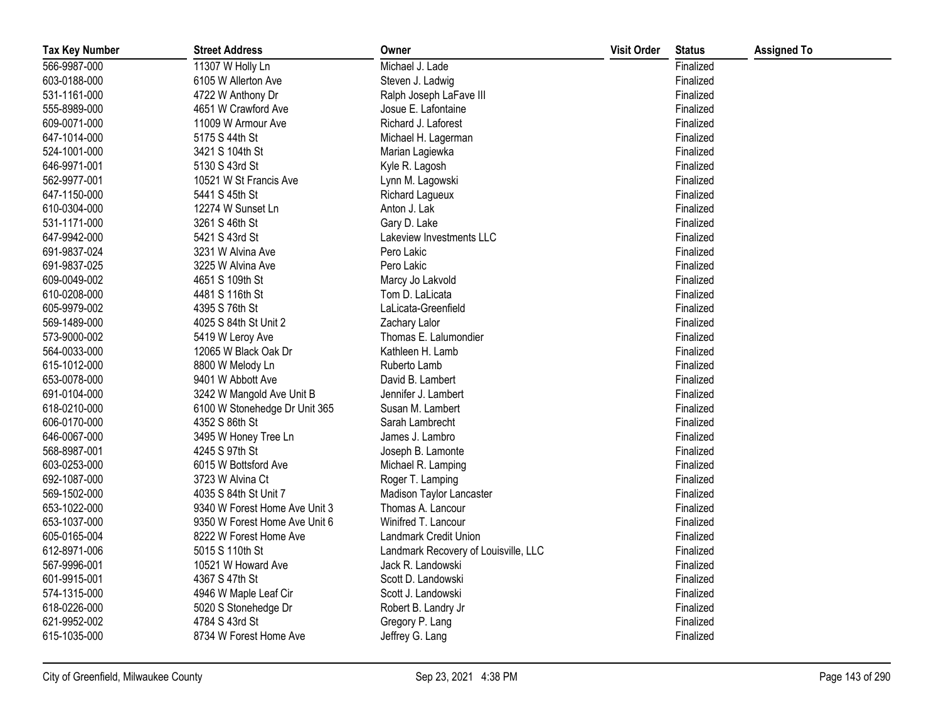| <b>Tax Key Number</b> | <b>Street Address</b>         | Owner                                | <b>Visit Order</b> | <b>Status</b> | <b>Assigned To</b> |
|-----------------------|-------------------------------|--------------------------------------|--------------------|---------------|--------------------|
| 566-9987-000          | 11307 W Holly Ln              | Michael J. Lade                      |                    | Finalized     |                    |
| 603-0188-000          | 6105 W Allerton Ave           | Steven J. Ladwig                     |                    | Finalized     |                    |
| 531-1161-000          | 4722 W Anthony Dr             | Ralph Joseph LaFave III              |                    | Finalized     |                    |
| 555-8989-000          | 4651 W Crawford Ave           | Josue E. Lafontaine                  |                    | Finalized     |                    |
| 609-0071-000          | 11009 W Armour Ave            | Richard J. Laforest                  |                    | Finalized     |                    |
| 647-1014-000          | 5175 S 44th St                | Michael H. Lagerman                  |                    | Finalized     |                    |
| 524-1001-000          | 3421 S 104th St               | Marian Lagiewka                      |                    | Finalized     |                    |
| 646-9971-001          | 5130 S 43rd St                | Kyle R. Lagosh                       |                    | Finalized     |                    |
| 562-9977-001          | 10521 W St Francis Ave        | Lynn M. Lagowski                     |                    | Finalized     |                    |
| 647-1150-000          | 5441 S 45th St                | Richard Lagueux                      |                    | Finalized     |                    |
| 610-0304-000          | 12274 W Sunset Ln             | Anton J. Lak                         |                    | Finalized     |                    |
| 531-1171-000          | 3261 S 46th St                | Gary D. Lake                         |                    | Finalized     |                    |
| 647-9942-000          | 5421 S 43rd St                | Lakeview Investments LLC             |                    | Finalized     |                    |
| 691-9837-024          | 3231 W Alvina Ave             | Pero Lakic                           |                    | Finalized     |                    |
| 691-9837-025          | 3225 W Alvina Ave             | Pero Lakic                           |                    | Finalized     |                    |
| 609-0049-002          | 4651 S 109th St               | Marcy Jo Lakvold                     |                    | Finalized     |                    |
| 610-0208-000          | 4481 S 116th St               | Tom D. LaLicata                      |                    | Finalized     |                    |
| 605-9979-002          | 4395 S 76th St                | LaLicata-Greenfield                  |                    | Finalized     |                    |
| 569-1489-000          | 4025 S 84th St Unit 2         | Zachary Lalor                        |                    | Finalized     |                    |
| 573-9000-002          | 5419 W Leroy Ave              | Thomas E. Lalumondier                |                    | Finalized     |                    |
| 564-0033-000          | 12065 W Black Oak Dr          | Kathleen H. Lamb                     |                    | Finalized     |                    |
| 615-1012-000          | 8800 W Melody Ln              | Ruberto Lamb                         |                    | Finalized     |                    |
| 653-0078-000          | 9401 W Abbott Ave             | David B. Lambert                     |                    | Finalized     |                    |
| 691-0104-000          | 3242 W Mangold Ave Unit B     | Jennifer J. Lambert                  |                    | Finalized     |                    |
| 618-0210-000          | 6100 W Stonehedge Dr Unit 365 | Susan M. Lambert                     |                    | Finalized     |                    |
| 606-0170-000          | 4352 S 86th St                | Sarah Lambrecht                      |                    | Finalized     |                    |
| 646-0067-000          | 3495 W Honey Tree Ln          | James J. Lambro                      |                    | Finalized     |                    |
| 568-8987-001          | 4245 S 97th St                | Joseph B. Lamonte                    |                    | Finalized     |                    |
| 603-0253-000          | 6015 W Bottsford Ave          | Michael R. Lamping                   |                    | Finalized     |                    |
| 692-1087-000          | 3723 W Alvina Ct              | Roger T. Lamping                     |                    | Finalized     |                    |
| 569-1502-000          | 4035 S 84th St Unit 7         | Madison Taylor Lancaster             |                    | Finalized     |                    |
| 653-1022-000          | 9340 W Forest Home Ave Unit 3 | Thomas A. Lancour                    |                    | Finalized     |                    |
| 653-1037-000          | 9350 W Forest Home Ave Unit 6 | Winifred T. Lancour                  |                    | Finalized     |                    |
| 605-0165-004          | 8222 W Forest Home Ave        | Landmark Credit Union                |                    | Finalized     |                    |
| 612-8971-006          | 5015 S 110th St               | Landmark Recovery of Louisville, LLC |                    | Finalized     |                    |
| 567-9996-001          | 10521 W Howard Ave            | Jack R. Landowski                    |                    | Finalized     |                    |
| 601-9915-001          | 4367 S 47th St                | Scott D. Landowski                   |                    | Finalized     |                    |
| 574-1315-000          | 4946 W Maple Leaf Cir         | Scott J. Landowski                   |                    | Finalized     |                    |
| 618-0226-000          | 5020 S Stonehedge Dr          | Robert B. Landry Jr                  |                    | Finalized     |                    |
| 621-9952-002          | 4784 S 43rd St                | Gregory P. Lang                      |                    | Finalized     |                    |
| 615-1035-000          | 8734 W Forest Home Ave        | Jeffrey G. Lang                      |                    | Finalized     |                    |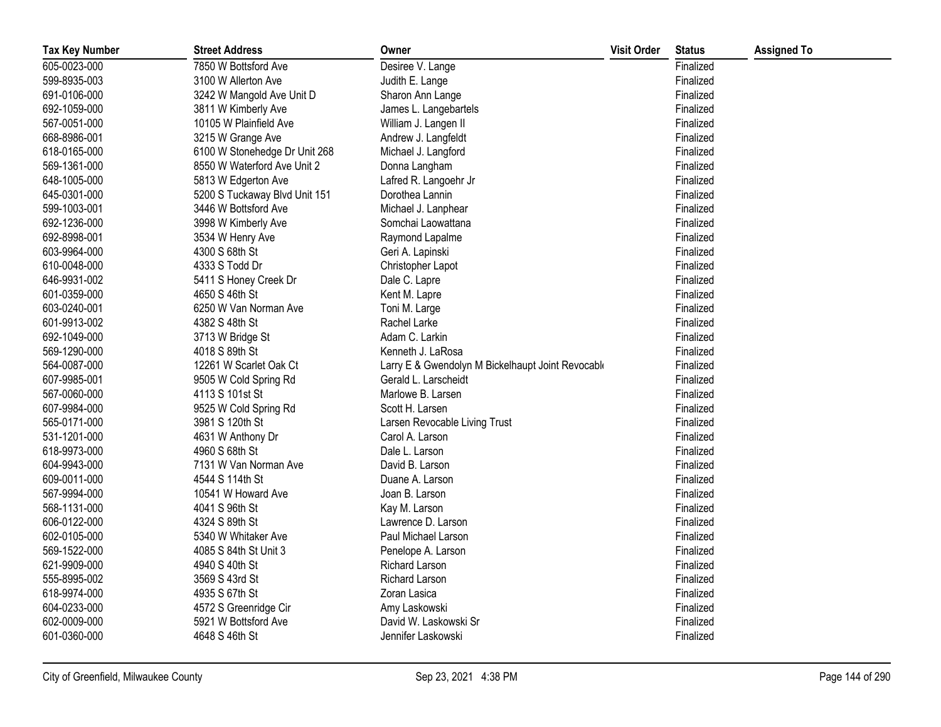| <b>Tax Key Number</b> | <b>Street Address</b>         | Owner                                             | <b>Visit Order</b> | <b>Status</b> | <b>Assigned To</b> |
|-----------------------|-------------------------------|---------------------------------------------------|--------------------|---------------|--------------------|
| 605-0023-000          | 7850 W Bottsford Ave          | Desiree V. Lange                                  |                    | Finalized     |                    |
| 599-8935-003          | 3100 W Allerton Ave           | Judith E. Lange                                   |                    | Finalized     |                    |
| 691-0106-000          | 3242 W Mangold Ave Unit D     | Sharon Ann Lange                                  |                    | Finalized     |                    |
| 692-1059-000          | 3811 W Kimberly Ave           | James L. Langebartels                             |                    | Finalized     |                    |
| 567-0051-000          | 10105 W Plainfield Ave        | William J. Langen II                              |                    | Finalized     |                    |
| 668-8986-001          | 3215 W Grange Ave             | Andrew J. Langfeldt                               |                    | Finalized     |                    |
| 618-0165-000          | 6100 W Stonehedge Dr Unit 268 | Michael J. Langford                               |                    | Finalized     |                    |
| 569-1361-000          | 8550 W Waterford Ave Unit 2   | Donna Langham                                     |                    | Finalized     |                    |
| 648-1005-000          | 5813 W Edgerton Ave           | Lafred R. Langoehr Jr                             |                    | Finalized     |                    |
| 645-0301-000          | 5200 S Tuckaway Blvd Unit 151 | Dorothea Lannin                                   |                    | Finalized     |                    |
| 599-1003-001          | 3446 W Bottsford Ave          | Michael J. Lanphear                               |                    | Finalized     |                    |
| 692-1236-000          | 3998 W Kimberly Ave           | Somchai Laowattana                                |                    | Finalized     |                    |
| 692-8998-001          | 3534 W Henry Ave              | Raymond Lapalme                                   |                    | Finalized     |                    |
| 603-9964-000          | 4300 S 68th St                | Geri A. Lapinski                                  |                    | Finalized     |                    |
| 610-0048-000          | 4333 S Todd Dr                | Christopher Lapot                                 |                    | Finalized     |                    |
| 646-9931-002          | 5411 S Honey Creek Dr         | Dale C. Lapre                                     |                    | Finalized     |                    |
| 601-0359-000          | 4650 S 46th St                | Kent M. Lapre                                     |                    | Finalized     |                    |
| 603-0240-001          | 6250 W Van Norman Ave         | Toni M. Large                                     |                    | Finalized     |                    |
| 601-9913-002          | 4382 S 48th St                | Rachel Larke                                      |                    | Finalized     |                    |
| 692-1049-000          | 3713 W Bridge St              | Adam C. Larkin                                    |                    | Finalized     |                    |
| 569-1290-000          | 4018 S 89th St                | Kenneth J. LaRosa                                 |                    | Finalized     |                    |
| 564-0087-000          | 12261 W Scarlet Oak Ct        | Larry E & Gwendolyn M Bickelhaupt Joint Revocable |                    | Finalized     |                    |
| 607-9985-001          | 9505 W Cold Spring Rd         | Gerald L. Larscheidt                              |                    | Finalized     |                    |
| 567-0060-000          | 4113 S 101st St               | Marlowe B. Larsen                                 |                    | Finalized     |                    |
| 607-9984-000          | 9525 W Cold Spring Rd         | Scott H. Larsen                                   |                    | Finalized     |                    |
| 565-0171-000          | 3981 S 120th St               | Larsen Revocable Living Trust                     |                    | Finalized     |                    |
| 531-1201-000          | 4631 W Anthony Dr             | Carol A. Larson                                   |                    | Finalized     |                    |
| 618-9973-000          | 4960 S 68th St                | Dale L. Larson                                    |                    | Finalized     |                    |
| 604-9943-000          | 7131 W Van Norman Ave         | David B. Larson                                   |                    | Finalized     |                    |
| 609-0011-000          | 4544 S 114th St               | Duane A. Larson                                   |                    | Finalized     |                    |
| 567-9994-000          | 10541 W Howard Ave            | Joan B. Larson                                    |                    | Finalized     |                    |
| 568-1131-000          | 4041 S 96th St                | Kay M. Larson                                     |                    | Finalized     |                    |
| 606-0122-000          | 4324 S 89th St                | Lawrence D. Larson                                |                    | Finalized     |                    |
| 602-0105-000          | 5340 W Whitaker Ave           | Paul Michael Larson                               |                    | Finalized     |                    |
| 569-1522-000          | 4085 S 84th St Unit 3         | Penelope A. Larson                                |                    | Finalized     |                    |
| 621-9909-000          | 4940 S 40th St                | <b>Richard Larson</b>                             |                    | Finalized     |                    |
| 555-8995-002          | 3569 S 43rd St                | Richard Larson                                    |                    | Finalized     |                    |
| 618-9974-000          | 4935 S 67th St                | Zoran Lasica                                      |                    | Finalized     |                    |
| 604-0233-000          | 4572 S Greenridge Cir         | Amy Laskowski                                     |                    | Finalized     |                    |
| 602-0009-000          | 5921 W Bottsford Ave          | David W. Laskowski Sr                             |                    | Finalized     |                    |
| 601-0360-000          | 4648 S 46th St                | Jennifer Laskowski                                |                    | Finalized     |                    |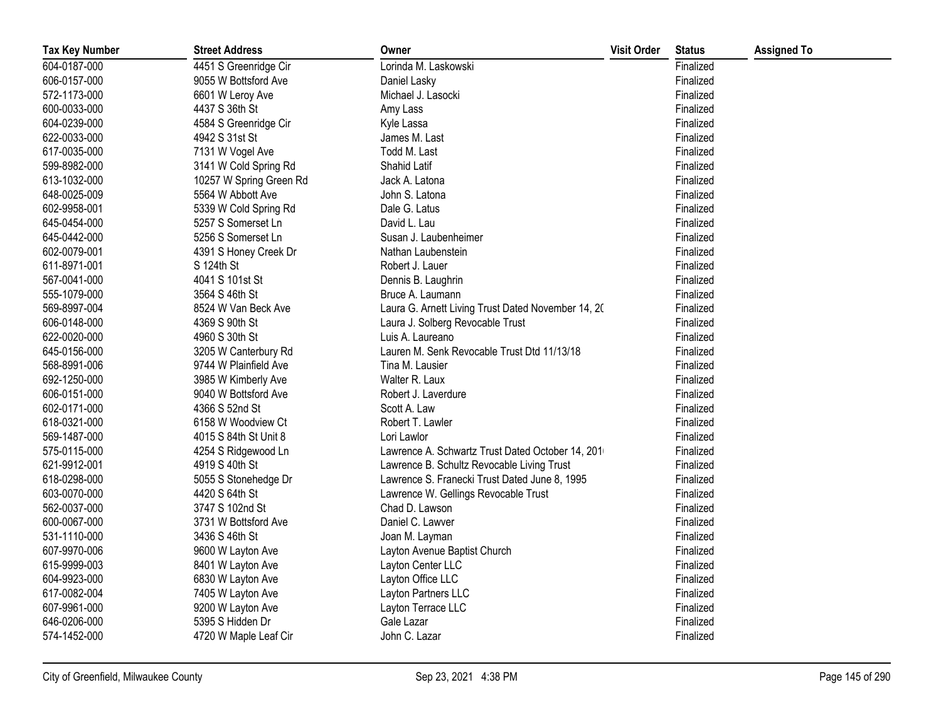| <b>Tax Key Number</b> | <b>Street Address</b>   | Owner                                              | <b>Visit Order</b> | <b>Status</b> | <b>Assigned To</b> |
|-----------------------|-------------------------|----------------------------------------------------|--------------------|---------------|--------------------|
| 604-0187-000          | 4451 S Greenridge Cir   | Lorinda M. Laskowski                               |                    | Finalized     |                    |
| 606-0157-000          | 9055 W Bottsford Ave    | Daniel Lasky                                       |                    | Finalized     |                    |
| 572-1173-000          | 6601 W Leroy Ave        | Michael J. Lasocki                                 |                    | Finalized     |                    |
| 600-0033-000          | 4437 S 36th St          | Amy Lass                                           |                    | Finalized     |                    |
| 604-0239-000          | 4584 S Greenridge Cir   | Kyle Lassa                                         |                    | Finalized     |                    |
| 622-0033-000          | 4942 S 31st St          | James M. Last                                      |                    | Finalized     |                    |
| 617-0035-000          | 7131 W Vogel Ave        | Todd M. Last                                       |                    | Finalized     |                    |
| 599-8982-000          | 3141 W Cold Spring Rd   | Shahid Latif                                       |                    | Finalized     |                    |
| 613-1032-000          | 10257 W Spring Green Rd | Jack A. Latona                                     |                    | Finalized     |                    |
| 648-0025-009          | 5564 W Abbott Ave       | John S. Latona                                     |                    | Finalized     |                    |
| 602-9958-001          | 5339 W Cold Spring Rd   | Dale G. Latus                                      |                    | Finalized     |                    |
| 645-0454-000          | 5257 S Somerset Ln      | David L. Lau                                       |                    | Finalized     |                    |
| 645-0442-000          | 5256 S Somerset Ln      | Susan J. Laubenheimer                              |                    | Finalized     |                    |
| 602-0079-001          | 4391 S Honey Creek Dr   | Nathan Laubenstein                                 |                    | Finalized     |                    |
| 611-8971-001          | S 124th St              | Robert J. Lauer                                    |                    | Finalized     |                    |
| 567-0041-000          | 4041 S 101st St         | Dennis B. Laughrin                                 |                    | Finalized     |                    |
| 555-1079-000          | 3564 S 46th St          | Bruce A. Laumann                                   |                    | Finalized     |                    |
| 569-8997-004          | 8524 W Van Beck Ave     | Laura G. Arnett Living Trust Dated November 14, 20 |                    | Finalized     |                    |
| 606-0148-000          | 4369 S 90th St          | Laura J. Solberg Revocable Trust                   |                    | Finalized     |                    |
| 622-0020-000          | 4960 S 30th St          | Luis A. Laureano                                   |                    | Finalized     |                    |
| 645-0156-000          | 3205 W Canterbury Rd    | Lauren M. Senk Revocable Trust Dtd 11/13/18        |                    | Finalized     |                    |
| 568-8991-006          | 9744 W Plainfield Ave   | Tina M. Lausier                                    |                    | Finalized     |                    |
| 692-1250-000          | 3985 W Kimberly Ave     | Walter R. Laux                                     |                    | Finalized     |                    |
| 606-0151-000          | 9040 W Bottsford Ave    | Robert J. Laverdure                                |                    | Finalized     |                    |
| 602-0171-000          | 4366 S 52nd St          | Scott A. Law                                       |                    | Finalized     |                    |
| 618-0321-000          | 6158 W Woodview Ct      | Robert T. Lawler                                   |                    | Finalized     |                    |
| 569-1487-000          | 4015 S 84th St Unit 8   | Lori Lawlor                                        |                    | Finalized     |                    |
| 575-0115-000          | 4254 S Ridgewood Ln     | Lawrence A. Schwartz Trust Dated October 14, 201   |                    | Finalized     |                    |
| 621-9912-001          | 4919 S 40th St          | Lawrence B. Schultz Revocable Living Trust         |                    | Finalized     |                    |
| 618-0298-000          | 5055 S Stonehedge Dr    | Lawrence S. Franecki Trust Dated June 8, 1995      |                    | Finalized     |                    |
| 603-0070-000          | 4420 S 64th St          | Lawrence W. Gellings Revocable Trust               |                    | Finalized     |                    |
| 562-0037-000          | 3747 S 102nd St         | Chad D. Lawson                                     |                    | Finalized     |                    |
| 600-0067-000          | 3731 W Bottsford Ave    | Daniel C. Lawver                                   |                    | Finalized     |                    |
| 531-1110-000          | 3436 S 46th St          | Joan M. Layman                                     |                    | Finalized     |                    |
| 607-9970-006          | 9600 W Layton Ave       | Layton Avenue Baptist Church                       |                    | Finalized     |                    |
| 615-9999-003          | 8401 W Layton Ave       | Layton Center LLC                                  |                    | Finalized     |                    |
| 604-9923-000          | 6830 W Layton Ave       | Layton Office LLC                                  |                    | Finalized     |                    |
| 617-0082-004          | 7405 W Layton Ave       | Layton Partners LLC                                |                    | Finalized     |                    |
| 607-9961-000          | 9200 W Layton Ave       | Layton Terrace LLC                                 |                    | Finalized     |                    |
| 646-0206-000          | 5395 S Hidden Dr        | Gale Lazar                                         |                    | Finalized     |                    |
| 574-1452-000          | 4720 W Maple Leaf Cir   | John C. Lazar                                      |                    | Finalized     |                    |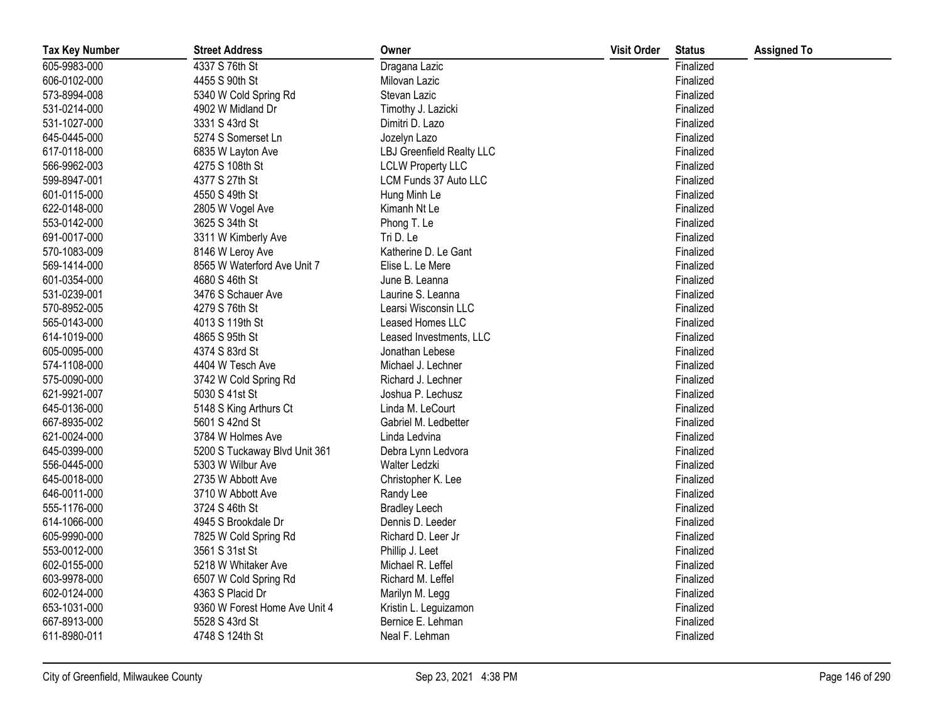| <b>Tax Key Number</b> | <b>Street Address</b>         | Owner                            | <b>Visit Order</b> | <b>Status</b> | <b>Assigned To</b> |
|-----------------------|-------------------------------|----------------------------------|--------------------|---------------|--------------------|
| 605-9983-000          | 4337 S 76th St                | Dragana Lazic                    |                    | Finalized     |                    |
| 606-0102-000          | 4455 S 90th St                | Milovan Lazic                    |                    | Finalized     |                    |
| 573-8994-008          | 5340 W Cold Spring Rd         | Stevan Lazic                     |                    | Finalized     |                    |
| 531-0214-000          | 4902 W Midland Dr             | Timothy J. Lazicki               |                    | Finalized     |                    |
| 531-1027-000          | 3331 S 43rd St                | Dimitri D. Lazo                  |                    | Finalized     |                    |
| 645-0445-000          | 5274 S Somerset Ln            | Jozelyn Lazo                     |                    | Finalized     |                    |
| 617-0118-000          | 6835 W Layton Ave             | <b>LBJ Greenfield Realty LLC</b> |                    | Finalized     |                    |
| 566-9962-003          | 4275 S 108th St               | <b>LCLW Property LLC</b>         |                    | Finalized     |                    |
| 599-8947-001          | 4377 S 27th St                | LCM Funds 37 Auto LLC            |                    | Finalized     |                    |
| 601-0115-000          | 4550 S 49th St                | Hung Minh Le                     |                    | Finalized     |                    |
| 622-0148-000          | 2805 W Vogel Ave              | Kimanh Nt Le                     |                    | Finalized     |                    |
| 553-0142-000          | 3625 S 34th St                | Phong T. Le                      |                    | Finalized     |                    |
| 691-0017-000          | 3311 W Kimberly Ave           | Tri D. Le                        |                    | Finalized     |                    |
| 570-1083-009          | 8146 W Leroy Ave              | Katherine D. Le Gant             |                    | Finalized     |                    |
| 569-1414-000          | 8565 W Waterford Ave Unit 7   | Elise L. Le Mere                 |                    | Finalized     |                    |
| 601-0354-000          | 4680 S 46th St                | June B. Leanna                   |                    | Finalized     |                    |
| 531-0239-001          | 3476 S Schauer Ave            | Laurine S. Leanna                |                    | Finalized     |                    |
| 570-8952-005          | 4279 S 76th St                | Learsi Wisconsin LLC             |                    | Finalized     |                    |
| 565-0143-000          | 4013 S 119th St               | Leased Homes LLC                 |                    | Finalized     |                    |
| 614-1019-000          | 4865 S 95th St                | Leased Investments, LLC          |                    | Finalized     |                    |
| 605-0095-000          | 4374 S 83rd St                | Jonathan Lebese                  |                    | Finalized     |                    |
| 574-1108-000          | 4404 W Tesch Ave              | Michael J. Lechner               |                    | Finalized     |                    |
| 575-0090-000          | 3742 W Cold Spring Rd         | Richard J. Lechner               |                    | Finalized     |                    |
| 621-9921-007          | 5030 S 41st St                | Joshua P. Lechusz                |                    | Finalized     |                    |
| 645-0136-000          | 5148 S King Arthurs Ct        | Linda M. LeCourt                 |                    | Finalized     |                    |
| 667-8935-002          | 5601 S 42nd St                | Gabriel M. Ledbetter             |                    | Finalized     |                    |
| 621-0024-000          | 3784 W Holmes Ave             | Linda Ledvina                    |                    | Finalized     |                    |
| 645-0399-000          | 5200 S Tuckaway Blvd Unit 361 | Debra Lynn Ledvora               |                    | Finalized     |                    |
| 556-0445-000          | 5303 W Wilbur Ave             | Walter Ledzki                    |                    | Finalized     |                    |
| 645-0018-000          | 2735 W Abbott Ave             | Christopher K. Lee               |                    | Finalized     |                    |
| 646-0011-000          | 3710 W Abbott Ave             | Randy Lee                        |                    | Finalized     |                    |
| 555-1176-000          | 3724 S 46th St                | <b>Bradley Leech</b>             |                    | Finalized     |                    |
| 614-1066-000          | 4945 S Brookdale Dr           | Dennis D. Leeder                 |                    | Finalized     |                    |
| 605-9990-000          | 7825 W Cold Spring Rd         | Richard D. Leer Jr               |                    | Finalized     |                    |
| 553-0012-000          | 3561 S 31st St                | Phillip J. Leet                  |                    | Finalized     |                    |
| 602-0155-000          | 5218 W Whitaker Ave           | Michael R. Leffel                |                    | Finalized     |                    |
| 603-9978-000          | 6507 W Cold Spring Rd         | Richard M. Leffel                |                    | Finalized     |                    |
| 602-0124-000          | 4363 S Placid Dr              | Marilyn M. Legg                  |                    | Finalized     |                    |
| 653-1031-000          | 9360 W Forest Home Ave Unit 4 | Kristin L. Leguizamon            |                    | Finalized     |                    |
| 667-8913-000          | 5528 S 43rd St                | Bernice E. Lehman                |                    | Finalized     |                    |
| 611-8980-011          | 4748 S 124th St               | Neal F. Lehman                   |                    | Finalized     |                    |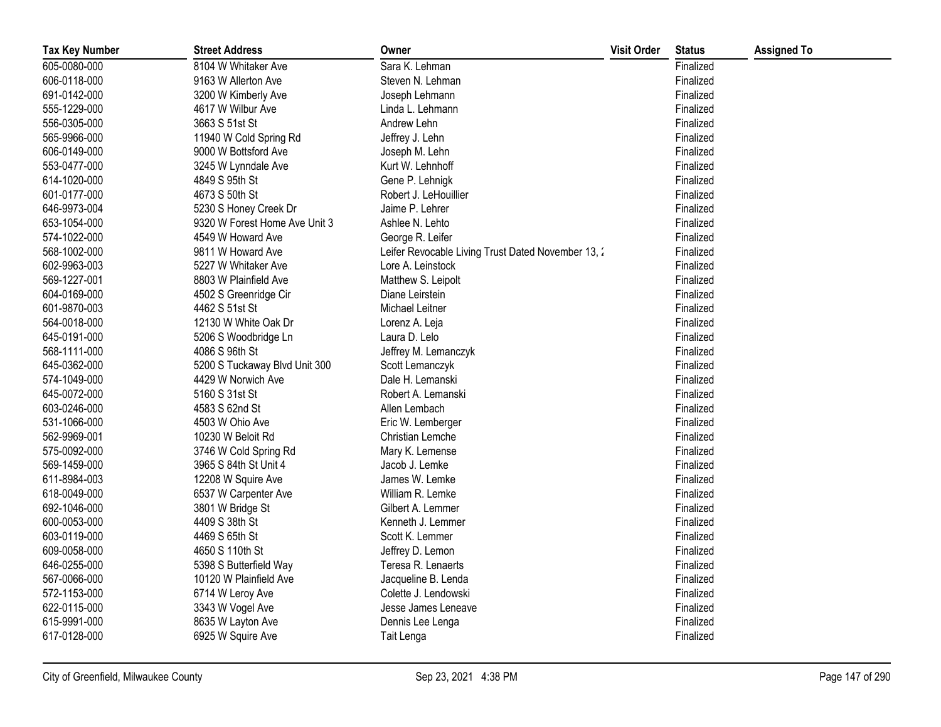| <b>Tax Key Number</b> | <b>Street Address</b>         | Owner                                              | <b>Visit Order</b> | <b>Status</b> | <b>Assigned To</b> |
|-----------------------|-------------------------------|----------------------------------------------------|--------------------|---------------|--------------------|
| 605-0080-000          | 8104 W Whitaker Ave           | Sara K. Lehman                                     |                    | Finalized     |                    |
| 606-0118-000          | 9163 W Allerton Ave           | Steven N. Lehman                                   |                    | Finalized     |                    |
| 691-0142-000          | 3200 W Kimberly Ave           | Joseph Lehmann                                     |                    | Finalized     |                    |
| 555-1229-000          | 4617 W Wilbur Ave             | Linda L. Lehmann                                   |                    | Finalized     |                    |
| 556-0305-000          | 3663 S 51st St                | Andrew Lehn                                        |                    | Finalized     |                    |
| 565-9966-000          | 11940 W Cold Spring Rd        | Jeffrey J. Lehn                                    |                    | Finalized     |                    |
| 606-0149-000          | 9000 W Bottsford Ave          | Joseph M. Lehn                                     |                    | Finalized     |                    |
| 553-0477-000          | 3245 W Lynndale Ave           | Kurt W. Lehnhoff                                   |                    | Finalized     |                    |
| 614-1020-000          | 4849 S 95th St                | Gene P. Lehnigk                                    |                    | Finalized     |                    |
| 601-0177-000          | 4673 S 50th St                | Robert J. LeHouillier                              |                    | Finalized     |                    |
| 646-9973-004          | 5230 S Honey Creek Dr         | Jaime P. Lehrer                                    |                    | Finalized     |                    |
| 653-1054-000          | 9320 W Forest Home Ave Unit 3 | Ashlee N. Lehto                                    |                    | Finalized     |                    |
| 574-1022-000          | 4549 W Howard Ave             | George R. Leifer                                   |                    | Finalized     |                    |
| 568-1002-000          | 9811 W Howard Ave             | Leifer Revocable Living Trust Dated November 13, 2 |                    | Finalized     |                    |
| 602-9963-003          | 5227 W Whitaker Ave           | Lore A. Leinstock                                  |                    | Finalized     |                    |
| 569-1227-001          | 8803 W Plainfield Ave         | Matthew S. Leipolt                                 |                    | Finalized     |                    |
| 604-0169-000          | 4502 S Greenridge Cir         | Diane Leirstein                                    |                    | Finalized     |                    |
| 601-9870-003          | 4462 S 51st St                | Michael Leitner                                    |                    | Finalized     |                    |
| 564-0018-000          | 12130 W White Oak Dr          | Lorenz A. Leja                                     |                    | Finalized     |                    |
| 645-0191-000          | 5206 S Woodbridge Ln          | Laura D. Lelo                                      |                    | Finalized     |                    |
| 568-1111-000          | 4086 S 96th St                | Jeffrey M. Lemanczyk                               |                    | Finalized     |                    |
| 645-0362-000          | 5200 S Tuckaway Blvd Unit 300 | Scott Lemanczyk                                    |                    | Finalized     |                    |
| 574-1049-000          | 4429 W Norwich Ave            | Dale H. Lemanski                                   |                    | Finalized     |                    |
| 645-0072-000          | 5160 S 31st St                | Robert A. Lemanski                                 |                    | Finalized     |                    |
| 603-0246-000          | 4583 S 62nd St                | Allen Lembach                                      |                    | Finalized     |                    |
| 531-1066-000          | 4503 W Ohio Ave               | Eric W. Lemberger                                  |                    | Finalized     |                    |
| 562-9969-001          | 10230 W Beloit Rd             | Christian Lemche                                   |                    | Finalized     |                    |
| 575-0092-000          | 3746 W Cold Spring Rd         | Mary K. Lemense                                    |                    | Finalized     |                    |
| 569-1459-000          | 3965 S 84th St Unit 4         | Jacob J. Lemke                                     |                    | Finalized     |                    |
| 611-8984-003          | 12208 W Squire Ave            | James W. Lemke                                     |                    | Finalized     |                    |
| 618-0049-000          | 6537 W Carpenter Ave          | William R. Lemke                                   |                    | Finalized     |                    |
| 692-1046-000          | 3801 W Bridge St              | Gilbert A. Lemmer                                  |                    | Finalized     |                    |
| 600-0053-000          | 4409 S 38th St                | Kenneth J. Lemmer                                  |                    | Finalized     |                    |
| 603-0119-000          | 4469 S 65th St                | Scott K. Lemmer                                    |                    | Finalized     |                    |
| 609-0058-000          | 4650 S 110th St               | Jeffrey D. Lemon                                   |                    | Finalized     |                    |
| 646-0255-000          | 5398 S Butterfield Way        | Teresa R. Lenaerts                                 |                    | Finalized     |                    |
| 567-0066-000          | 10120 W Plainfield Ave        | Jacqueline B. Lenda                                |                    | Finalized     |                    |
| 572-1153-000          | 6714 W Leroy Ave              | Colette J. Lendowski                               |                    | Finalized     |                    |
| 622-0115-000          | 3343 W Vogel Ave              | Jesse James Leneave                                |                    | Finalized     |                    |
| 615-9991-000          | 8635 W Layton Ave             | Dennis Lee Lenga                                   |                    | Finalized     |                    |
| 617-0128-000          | 6925 W Squire Ave             | Tait Lenga                                         |                    | Finalized     |                    |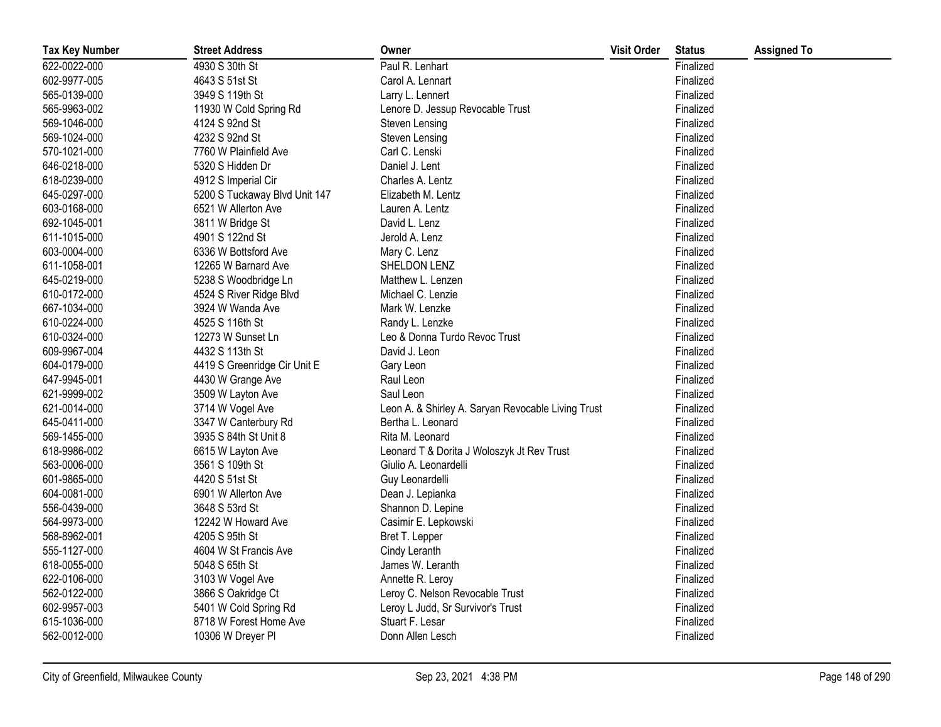| <b>Tax Key Number</b> | <b>Street Address</b>         | Owner                                              | <b>Visit Order</b> | <b>Status</b> | <b>Assigned To</b> |
|-----------------------|-------------------------------|----------------------------------------------------|--------------------|---------------|--------------------|
| 622-0022-000          | 4930 S 30th St                | Paul R. Lenhart                                    |                    | Finalized     |                    |
| 602-9977-005          | 4643 S 51st St                | Carol A. Lennart                                   |                    | Finalized     |                    |
| 565-0139-000          | 3949 S 119th St               | Larry L. Lennert                                   |                    | Finalized     |                    |
| 565-9963-002          | 11930 W Cold Spring Rd        | Lenore D. Jessup Revocable Trust                   |                    | Finalized     |                    |
| 569-1046-000          | 4124 S 92nd St                | Steven Lensing                                     |                    | Finalized     |                    |
| 569-1024-000          | 4232 S 92nd St                | Steven Lensing                                     |                    | Finalized     |                    |
| 570-1021-000          | 7760 W Plainfield Ave         | Carl C. Lenski                                     |                    | Finalized     |                    |
| 646-0218-000          | 5320 S Hidden Dr              | Daniel J. Lent                                     |                    | Finalized     |                    |
| 618-0239-000          | 4912 S Imperial Cir           | Charles A. Lentz                                   |                    | Finalized     |                    |
| 645-0297-000          | 5200 S Tuckaway Blvd Unit 147 | Elizabeth M. Lentz                                 |                    | Finalized     |                    |
| 603-0168-000          | 6521 W Allerton Ave           | Lauren A. Lentz                                    |                    | Finalized     |                    |
| 692-1045-001          | 3811 W Bridge St              | David L. Lenz                                      |                    | Finalized     |                    |
| 611-1015-000          | 4901 S 122nd St               | Jerold A. Lenz                                     |                    | Finalized     |                    |
| 603-0004-000          | 6336 W Bottsford Ave          | Mary C. Lenz                                       |                    | Finalized     |                    |
| 611-1058-001          | 12265 W Barnard Ave           | SHELDON LENZ                                       |                    | Finalized     |                    |
| 645-0219-000          | 5238 S Woodbridge Ln          | Matthew L. Lenzen                                  |                    | Finalized     |                    |
| 610-0172-000          | 4524 S River Ridge Blvd       | Michael C. Lenzie                                  |                    | Finalized     |                    |
| 667-1034-000          | 3924 W Wanda Ave              | Mark W. Lenzke                                     |                    | Finalized     |                    |
| 610-0224-000          | 4525 S 116th St               | Randy L. Lenzke                                    |                    | Finalized     |                    |
| 610-0324-000          | 12273 W Sunset Ln             | Leo & Donna Turdo Revoc Trust                      |                    | Finalized     |                    |
| 609-9967-004          | 4432 S 113th St               | David J. Leon                                      |                    | Finalized     |                    |
| 604-0179-000          | 4419 S Greenridge Cir Unit E  | Gary Leon                                          |                    | Finalized     |                    |
| 647-9945-001          | 4430 W Grange Ave             | Raul Leon                                          |                    | Finalized     |                    |
| 621-9999-002          | 3509 W Layton Ave             | Saul Leon                                          |                    | Finalized     |                    |
| 621-0014-000          | 3714 W Vogel Ave              | Leon A. & Shirley A. Saryan Revocable Living Trust |                    | Finalized     |                    |
| 645-0411-000          | 3347 W Canterbury Rd          | Bertha L. Leonard                                  |                    | Finalized     |                    |
| 569-1455-000          | 3935 S 84th St Unit 8         | Rita M. Leonard                                    |                    | Finalized     |                    |
| 618-9986-002          | 6615 W Layton Ave             | Leonard T & Dorita J Woloszyk Jt Rev Trust         |                    | Finalized     |                    |
| 563-0006-000          | 3561 S 109th St               | Giulio A. Leonardelli                              |                    | Finalized     |                    |
| 601-9865-000          | 4420 S 51st St                | Guy Leonardelli                                    |                    | Finalized     |                    |
| 604-0081-000          | 6901 W Allerton Ave           | Dean J. Lepianka                                   |                    | Finalized     |                    |
| 556-0439-000          | 3648 S 53rd St                | Shannon D. Lepine                                  |                    | Finalized     |                    |
| 564-9973-000          | 12242 W Howard Ave            | Casimir E. Lepkowski                               |                    | Finalized     |                    |
| 568-8962-001          | 4205 S 95th St                | Bret T. Lepper                                     |                    | Finalized     |                    |
| 555-1127-000          | 4604 W St Francis Ave         | Cindy Leranth                                      |                    | Finalized     |                    |
| 618-0055-000          | 5048 S 65th St                | James W. Leranth                                   |                    | Finalized     |                    |
| 622-0106-000          | 3103 W Vogel Ave              | Annette R. Leroy                                   |                    | Finalized     |                    |
| 562-0122-000          | 3866 S Oakridge Ct            | Leroy C. Nelson Revocable Trust                    |                    | Finalized     |                    |
| 602-9957-003          | 5401 W Cold Spring Rd         | Leroy L Judd, Sr Survivor's Trust                  |                    | Finalized     |                    |
| 615-1036-000          | 8718 W Forest Home Ave        | Stuart F. Lesar                                    |                    | Finalized     |                    |
| 562-0012-000          | 10306 W Dreyer Pl             | Donn Allen Lesch                                   |                    | Finalized     |                    |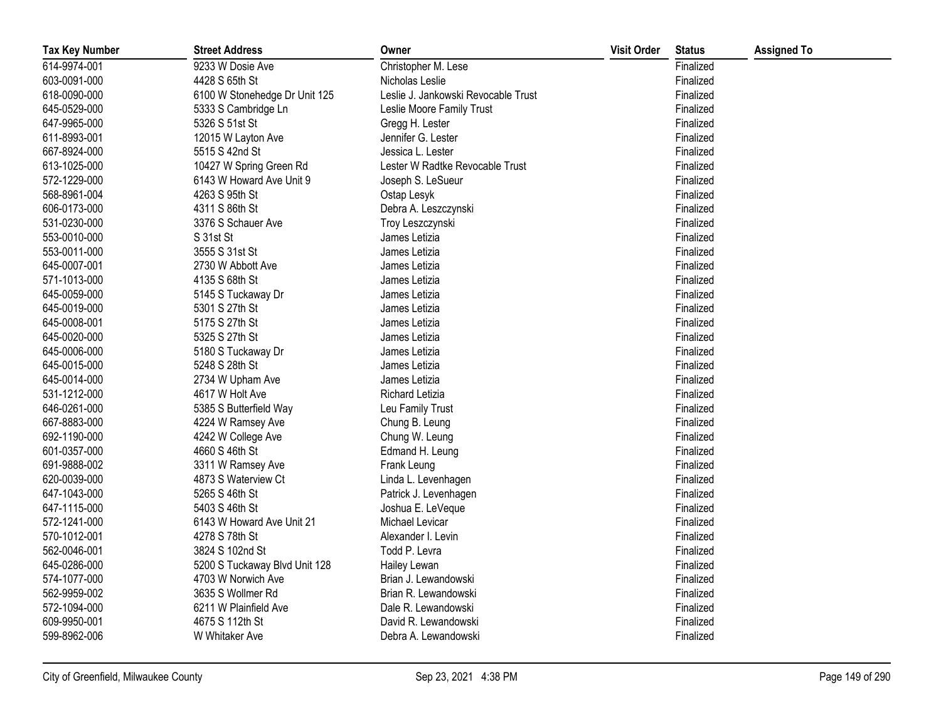| <b>Tax Key Number</b> | <b>Street Address</b>         | Owner                               | <b>Visit Order</b> | <b>Status</b> | <b>Assigned To</b> |
|-----------------------|-------------------------------|-------------------------------------|--------------------|---------------|--------------------|
| 614-9974-001          | 9233 W Dosie Ave              | Christopher M. Lese                 |                    | Finalized     |                    |
| 603-0091-000          | 4428 S 65th St                | Nicholas Leslie                     |                    | Finalized     |                    |
| 618-0090-000          | 6100 W Stonehedge Dr Unit 125 | Leslie J. Jankowski Revocable Trust |                    | Finalized     |                    |
| 645-0529-000          | 5333 S Cambridge Ln           | Leslie Moore Family Trust           |                    | Finalized     |                    |
| 647-9965-000          | 5326 S 51st St                | Gregg H. Lester                     |                    | Finalized     |                    |
| 611-8993-001          | 12015 W Layton Ave            | Jennifer G. Lester                  |                    | Finalized     |                    |
| 667-8924-000          | 5515 S 42nd St                | Jessica L. Lester                   |                    | Finalized     |                    |
| 613-1025-000          | 10427 W Spring Green Rd       | Lester W Radtke Revocable Trust     |                    | Finalized     |                    |
| 572-1229-000          | 6143 W Howard Ave Unit 9      | Joseph S. LeSueur                   |                    | Finalized     |                    |
| 568-8961-004          | 4263 S 95th St                | Ostap Lesyk                         |                    | Finalized     |                    |
| 606-0173-000          | 4311 S 86th St                | Debra A. Leszczynski                |                    | Finalized     |                    |
| 531-0230-000          | 3376 S Schauer Ave            | Troy Leszczynski                    |                    | Finalized     |                    |
| 553-0010-000          | S 31st St                     | James Letizia                       |                    | Finalized     |                    |
| 553-0011-000          | 3555 S 31st St                | James Letizia                       |                    | Finalized     |                    |
| 645-0007-001          | 2730 W Abbott Ave             | James Letizia                       |                    | Finalized     |                    |
| 571-1013-000          | 4135 S 68th St                | James Letizia                       |                    | Finalized     |                    |
| 645-0059-000          | 5145 S Tuckaway Dr            | James Letizia                       |                    | Finalized     |                    |
| 645-0019-000          | 5301 S 27th St                | James Letizia                       |                    | Finalized     |                    |
| 645-0008-001          | 5175 S 27th St                | James Letizia                       |                    | Finalized     |                    |
| 645-0020-000          | 5325 S 27th St                | James Letizia                       |                    | Finalized     |                    |
| 645-0006-000          | 5180 S Tuckaway Dr            | James Letizia                       |                    | Finalized     |                    |
| 645-0015-000          | 5248 S 28th St                | James Letizia                       |                    | Finalized     |                    |
| 645-0014-000          | 2734 W Upham Ave              | James Letizia                       |                    | Finalized     |                    |
| 531-1212-000          | 4617 W Holt Ave               | Richard Letizia                     |                    | Finalized     |                    |
| 646-0261-000          | 5385 S Butterfield Way        | Leu Family Trust                    |                    | Finalized     |                    |
| 667-8883-000          | 4224 W Ramsey Ave             | Chung B. Leung                      |                    | Finalized     |                    |
| 692-1190-000          | 4242 W College Ave            | Chung W. Leung                      |                    | Finalized     |                    |
| 601-0357-000          | 4660 S 46th St                | Edmand H. Leung                     |                    | Finalized     |                    |
| 691-9888-002          | 3311 W Ramsey Ave             | Frank Leung                         |                    | Finalized     |                    |
| 620-0039-000          | 4873 S Waterview Ct           | Linda L. Levenhagen                 |                    | Finalized     |                    |
| 647-1043-000          | 5265 S 46th St                | Patrick J. Levenhagen               |                    | Finalized     |                    |
| 647-1115-000          | 5403 S 46th St                | Joshua E. LeVeque                   |                    | Finalized     |                    |
| 572-1241-000          | 6143 W Howard Ave Unit 21     | Michael Levicar                     |                    | Finalized     |                    |
| 570-1012-001          | 4278 S 78th St                | Alexander I. Levin                  |                    | Finalized     |                    |
| 562-0046-001          | 3824 S 102nd St               | Todd P. Levra                       |                    | Finalized     |                    |
| 645-0286-000          | 5200 S Tuckaway Blvd Unit 128 | Hailey Lewan                        |                    | Finalized     |                    |
| 574-1077-000          | 4703 W Norwich Ave            | Brian J. Lewandowski                |                    | Finalized     |                    |
| 562-9959-002          | 3635 S Wollmer Rd             | Brian R. Lewandowski                |                    | Finalized     |                    |
| 572-1094-000          | 6211 W Plainfield Ave         | Dale R. Lewandowski                 |                    | Finalized     |                    |
| 609-9950-001          | 4675 S 112th St               | David R. Lewandowski                |                    | Finalized     |                    |
| 599-8962-006          | W Whitaker Ave                | Debra A. Lewandowski                |                    | Finalized     |                    |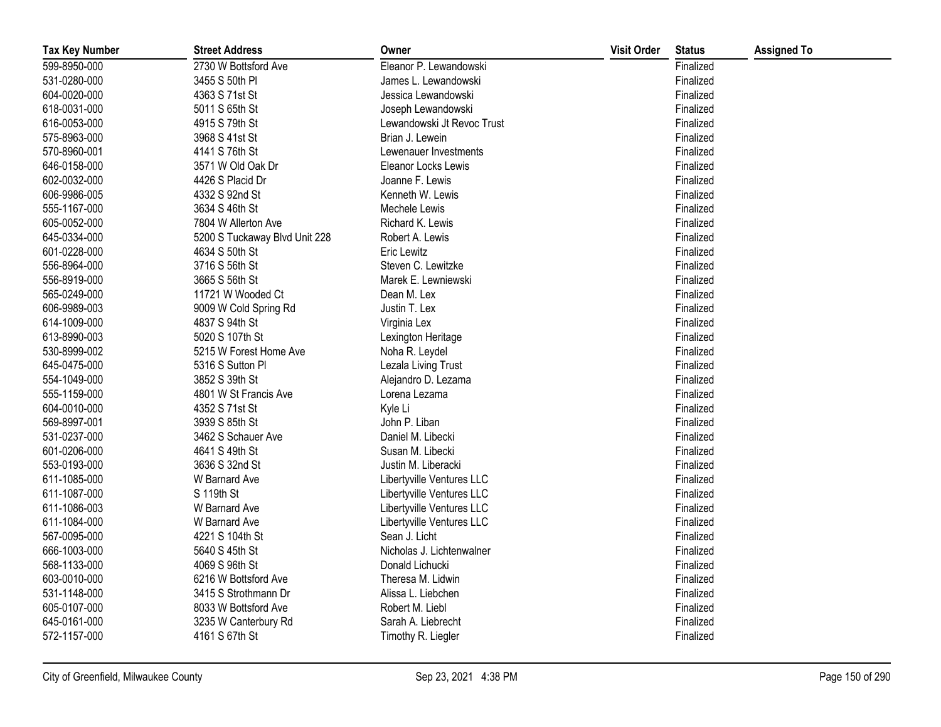| <b>Tax Key Number</b> | <b>Street Address</b>         | Owner                      | <b>Visit Order</b> | <b>Status</b> | <b>Assigned To</b> |
|-----------------------|-------------------------------|----------------------------|--------------------|---------------|--------------------|
| 599-8950-000          | 2730 W Bottsford Ave          | Eleanor P. Lewandowski     |                    | Finalized     |                    |
| 531-0280-000          | 3455 S 50th PI                | James L. Lewandowski       |                    | Finalized     |                    |
| 604-0020-000          | 4363 S 71st St                | Jessica Lewandowski        |                    | Finalized     |                    |
| 618-0031-000          | 5011 S 65th St                | Joseph Lewandowski         |                    | Finalized     |                    |
| 616-0053-000          | 4915 S 79th St                | Lewandowski Jt Revoc Trust |                    | Finalized     |                    |
| 575-8963-000          | 3968 S 41st St                | Brian J. Lewein            |                    | Finalized     |                    |
| 570-8960-001          | 4141 S 76th St                | Lewenauer Investments      |                    | Finalized     |                    |
| 646-0158-000          | 3571 W Old Oak Dr             | Eleanor Locks Lewis        |                    | Finalized     |                    |
| 602-0032-000          | 4426 S Placid Dr              | Joanne F. Lewis            |                    | Finalized     |                    |
| 606-9986-005          | 4332 S 92nd St                | Kenneth W. Lewis           |                    | Finalized     |                    |
| 555-1167-000          | 3634 S 46th St                | Mechele Lewis              |                    | Finalized     |                    |
| 605-0052-000          | 7804 W Allerton Ave           | Richard K. Lewis           |                    | Finalized     |                    |
| 645-0334-000          | 5200 S Tuckaway Blvd Unit 228 | Robert A. Lewis            |                    | Finalized     |                    |
| 601-0228-000          | 4634 S 50th St                | <b>Eric Lewitz</b>         |                    | Finalized     |                    |
| 556-8964-000          | 3716 S 56th St                | Steven C. Lewitzke         |                    | Finalized     |                    |
| 556-8919-000          | 3665 S 56th St                | Marek E. Lewniewski        |                    | Finalized     |                    |
| 565-0249-000          | 11721 W Wooded Ct             | Dean M. Lex                |                    | Finalized     |                    |
| 606-9989-003          | 9009 W Cold Spring Rd         | Justin T. Lex              |                    | Finalized     |                    |
| 614-1009-000          | 4837 S 94th St                | Virginia Lex               |                    | Finalized     |                    |
| 613-8990-003          | 5020 S 107th St               | Lexington Heritage         |                    | Finalized     |                    |
| 530-8999-002          | 5215 W Forest Home Ave        | Noha R. Leydel             |                    | Finalized     |                    |
| 645-0475-000          | 5316 S Sutton Pl              | Lezala Living Trust        |                    | Finalized     |                    |
| 554-1049-000          | 3852 S 39th St                | Alejandro D. Lezama        |                    | Finalized     |                    |
| 555-1159-000          | 4801 W St Francis Ave         | Lorena Lezama              |                    | Finalized     |                    |
| 604-0010-000          | 4352 S 71st St                | Kyle Li                    |                    | Finalized     |                    |
| 569-8997-001          | 3939 S 85th St                | John P. Liban              |                    | Finalized     |                    |
| 531-0237-000          | 3462 S Schauer Ave            | Daniel M. Libecki          |                    | Finalized     |                    |
| 601-0206-000          | 4641 S 49th St                | Susan M. Libecki           |                    | Finalized     |                    |
| 553-0193-000          | 3636 S 32nd St                | Justin M. Liberacki        |                    | Finalized     |                    |
| 611-1085-000          | W Barnard Ave                 | Libertyville Ventures LLC  |                    | Finalized     |                    |
| 611-1087-000          | S 119th St                    | Libertyville Ventures LLC  |                    | Finalized     |                    |
| 611-1086-003          | W Barnard Ave                 | Libertyville Ventures LLC  |                    | Finalized     |                    |
| 611-1084-000          | W Barnard Ave                 | Libertyville Ventures LLC  |                    | Finalized     |                    |
| 567-0095-000          | 4221 S 104th St               | Sean J. Licht              |                    | Finalized     |                    |
| 666-1003-000          | 5640 S 45th St                | Nicholas J. Lichtenwalner  |                    | Finalized     |                    |
| 568-1133-000          | 4069 S 96th St                | Donald Lichucki            |                    | Finalized     |                    |
| 603-0010-000          | 6216 W Bottsford Ave          | Theresa M. Lidwin          |                    | Finalized     |                    |
| 531-1148-000          | 3415 S Strothmann Dr          | Alissa L. Liebchen         |                    | Finalized     |                    |
| 605-0107-000          | 8033 W Bottsford Ave          | Robert M. Liebl            |                    | Finalized     |                    |
| 645-0161-000          | 3235 W Canterbury Rd          | Sarah A. Liebrecht         |                    | Finalized     |                    |
| 572-1157-000          | 4161 S 67th St                | Timothy R. Liegler         |                    | Finalized     |                    |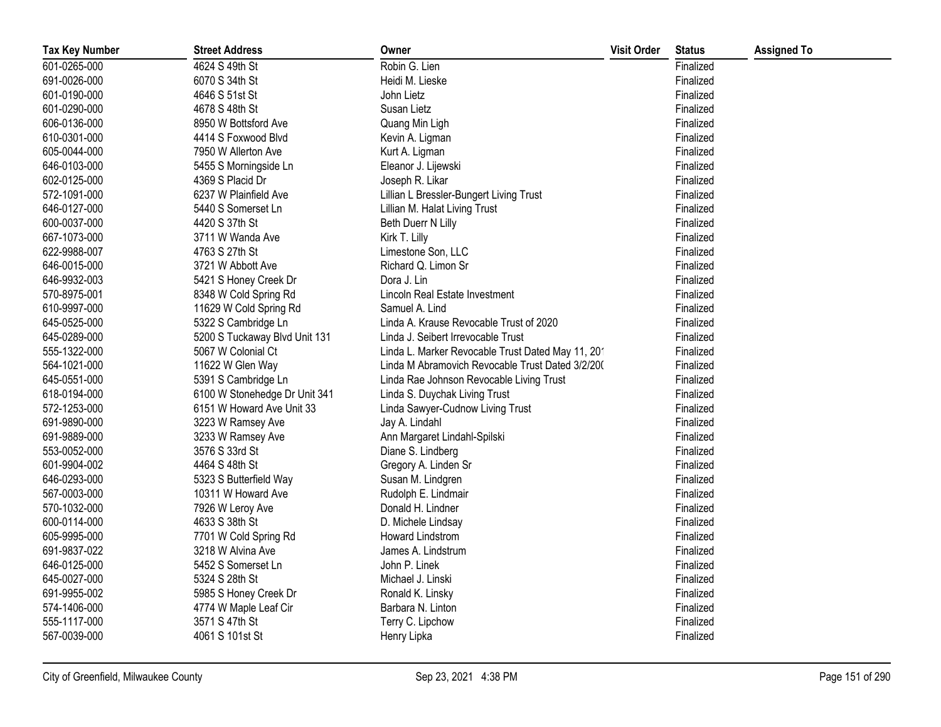| <b>Tax Key Number</b> | <b>Street Address</b>         | Owner                                             | <b>Visit Order</b> | <b>Status</b> | <b>Assigned To</b> |
|-----------------------|-------------------------------|---------------------------------------------------|--------------------|---------------|--------------------|
| 601-0265-000          | 4624 S 49th St                | Robin G. Lien                                     |                    | Finalized     |                    |
| 691-0026-000          | 6070 S 34th St                | Heidi M. Lieske                                   |                    | Finalized     |                    |
| 601-0190-000          | 4646 S 51st St                | John Lietz                                        |                    | Finalized     |                    |
| 601-0290-000          | 4678 S 48th St                | Susan Lietz                                       |                    | Finalized     |                    |
| 606-0136-000          | 8950 W Bottsford Ave          | Quang Min Ligh                                    |                    | Finalized     |                    |
| 610-0301-000          | 4414 S Foxwood Blvd           | Kevin A. Ligman                                   |                    | Finalized     |                    |
| 605-0044-000          | 7950 W Allerton Ave           | Kurt A. Ligman                                    |                    | Finalized     |                    |
| 646-0103-000          | 5455 S Morningside Ln         | Eleanor J. Lijewski                               |                    | Finalized     |                    |
| 602-0125-000          | 4369 S Placid Dr              | Joseph R. Likar                                   |                    | Finalized     |                    |
| 572-1091-000          | 6237 W Plainfield Ave         | Lillian L Bressler-Bungert Living Trust           |                    | Finalized     |                    |
| 646-0127-000          | 5440 S Somerset Ln            | Lillian M. Halat Living Trust                     |                    | Finalized     |                    |
| 600-0037-000          | 4420 S 37th St                | Beth Duerr N Lilly                                |                    | Finalized     |                    |
| 667-1073-000          | 3711 W Wanda Ave              | Kirk T. Lilly                                     |                    | Finalized     |                    |
| 622-9988-007          | 4763 S 27th St                | Limestone Son, LLC                                |                    | Finalized     |                    |
| 646-0015-000          | 3721 W Abbott Ave             | Richard Q. Limon Sr                               |                    | Finalized     |                    |
| 646-9932-003          | 5421 S Honey Creek Dr         | Dora J. Lin                                       |                    | Finalized     |                    |
| 570-8975-001          | 8348 W Cold Spring Rd         | Lincoln Real Estate Investment                    |                    | Finalized     |                    |
| 610-9997-000          | 11629 W Cold Spring Rd        | Samuel A. Lind                                    |                    | Finalized     |                    |
| 645-0525-000          | 5322 S Cambridge Ln           | Linda A. Krause Revocable Trust of 2020           |                    | Finalized     |                    |
| 645-0289-000          | 5200 S Tuckaway Blvd Unit 131 | Linda J. Seibert Irrevocable Trust                |                    | Finalized     |                    |
| 555-1322-000          | 5067 W Colonial Ct            | Linda L. Marker Revocable Trust Dated May 11, 201 |                    | Finalized     |                    |
| 564-1021-000          | 11622 W Glen Way              | Linda M Abramovich Revocable Trust Dated 3/2/200  |                    | Finalized     |                    |
| 645-0551-000          | 5391 S Cambridge Ln           | Linda Rae Johnson Revocable Living Trust          |                    | Finalized     |                    |
| 618-0194-000          | 6100 W Stonehedge Dr Unit 341 | Linda S. Duychak Living Trust                     |                    | Finalized     |                    |
| 572-1253-000          | 6151 W Howard Ave Unit 33     | Linda Sawyer-Cudnow Living Trust                  |                    | Finalized     |                    |
| 691-9890-000          | 3223 W Ramsey Ave             | Jay A. Lindahl                                    |                    | Finalized     |                    |
| 691-9889-000          | 3233 W Ramsey Ave             | Ann Margaret Lindahl-Spilski                      |                    | Finalized     |                    |
| 553-0052-000          | 3576 S 33rd St                | Diane S. Lindberg                                 |                    | Finalized     |                    |
| 601-9904-002          | 4464 S 48th St                | Gregory A. Linden Sr                              |                    | Finalized     |                    |
| 646-0293-000          | 5323 S Butterfield Way        | Susan M. Lindgren                                 |                    | Finalized     |                    |
| 567-0003-000          | 10311 W Howard Ave            | Rudolph E. Lindmair                               |                    | Finalized     |                    |
| 570-1032-000          | 7926 W Leroy Ave              | Donald H. Lindner                                 |                    | Finalized     |                    |
| 600-0114-000          | 4633 S 38th St                | D. Michele Lindsay                                |                    | Finalized     |                    |
| 605-9995-000          | 7701 W Cold Spring Rd         | <b>Howard Lindstrom</b>                           |                    | Finalized     |                    |
| 691-9837-022          | 3218 W Alvina Ave             | James A. Lindstrum                                |                    | Finalized     |                    |
| 646-0125-000          | 5452 S Somerset Ln            | John P. Linek                                     |                    | Finalized     |                    |
| 645-0027-000          | 5324 S 28th St                | Michael J. Linski                                 |                    | Finalized     |                    |
| 691-9955-002          | 5985 S Honey Creek Dr         | Ronald K. Linsky                                  |                    | Finalized     |                    |
| 574-1406-000          | 4774 W Maple Leaf Cir         | Barbara N. Linton                                 |                    | Finalized     |                    |
| 555-1117-000          | 3571 S 47th St                | Terry C. Lipchow                                  |                    | Finalized     |                    |
| 567-0039-000          | 4061 S 101st St               | Henry Lipka                                       |                    | Finalized     |                    |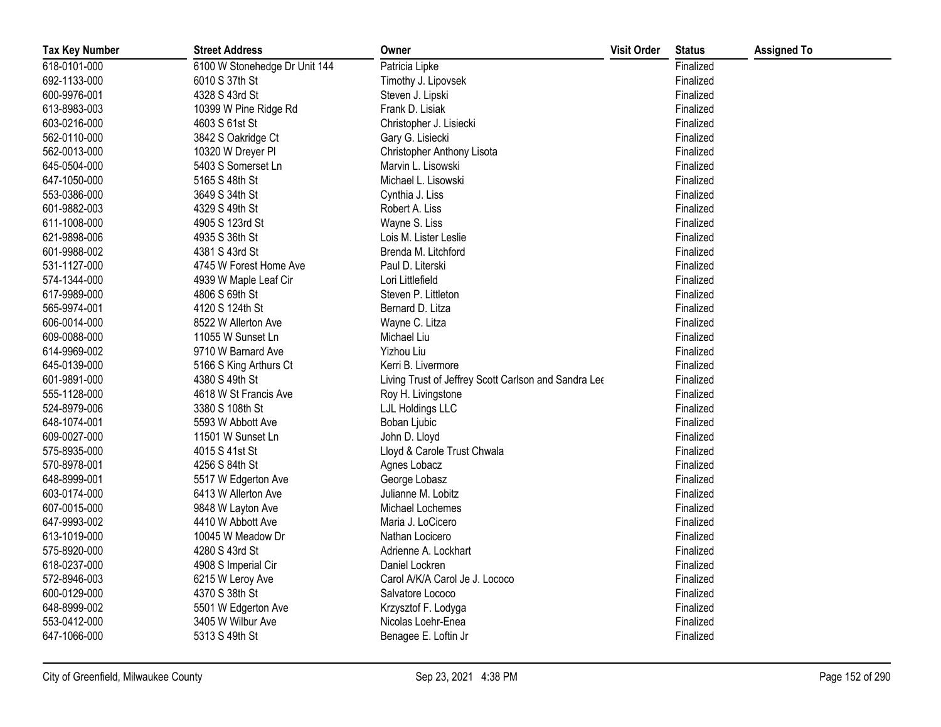| <b>Tax Key Number</b> | <b>Street Address</b>         | Owner                                                | <b>Visit Order</b> | <b>Status</b> | <b>Assigned To</b> |
|-----------------------|-------------------------------|------------------------------------------------------|--------------------|---------------|--------------------|
| 618-0101-000          | 6100 W Stonehedge Dr Unit 144 | Patricia Lipke                                       |                    | Finalized     |                    |
| 692-1133-000          | 6010 S 37th St                | Timothy J. Lipovsek                                  |                    | Finalized     |                    |
| 600-9976-001          | 4328 S 43rd St                | Steven J. Lipski                                     |                    | Finalized     |                    |
| 613-8983-003          | 10399 W Pine Ridge Rd         | Frank D. Lisiak                                      |                    | Finalized     |                    |
| 603-0216-000          | 4603 S 61st St                | Christopher J. Lisiecki                              |                    | Finalized     |                    |
| 562-0110-000          | 3842 S Oakridge Ct            | Gary G. Lisiecki                                     |                    | Finalized     |                    |
| 562-0013-000          | 10320 W Dreyer PI             | Christopher Anthony Lisota                           |                    | Finalized     |                    |
| 645-0504-000          | 5403 S Somerset Ln            | Marvin L. Lisowski                                   |                    | Finalized     |                    |
| 647-1050-000          | 5165 S 48th St                | Michael L. Lisowski                                  |                    | Finalized     |                    |
| 553-0386-000          | 3649 S 34th St                | Cynthia J. Liss                                      |                    | Finalized     |                    |
| 601-9882-003          | 4329 S 49th St                | Robert A. Liss                                       |                    | Finalized     |                    |
| 611-1008-000          | 4905 S 123rd St               | Wayne S. Liss                                        |                    | Finalized     |                    |
| 621-9898-006          | 4935 S 36th St                | Lois M. Lister Leslie                                |                    | Finalized     |                    |
| 601-9988-002          | 4381 S 43rd St                | Brenda M. Litchford                                  |                    | Finalized     |                    |
| 531-1127-000          | 4745 W Forest Home Ave        | Paul D. Literski                                     |                    | Finalized     |                    |
| 574-1344-000          | 4939 W Maple Leaf Cir         | Lori Littlefield                                     |                    | Finalized     |                    |
| 617-9989-000          | 4806 S 69th St                | Steven P. Littleton                                  |                    | Finalized     |                    |
| 565-9974-001          | 4120 S 124th St               | Bernard D. Litza                                     |                    | Finalized     |                    |
| 606-0014-000          | 8522 W Allerton Ave           | Wayne C. Litza                                       |                    | Finalized     |                    |
| 609-0088-000          | 11055 W Sunset Ln             | Michael Liu                                          |                    | Finalized     |                    |
| 614-9969-002          | 9710 W Barnard Ave            | Yizhou Liu                                           |                    | Finalized     |                    |
| 645-0139-000          | 5166 S King Arthurs Ct        | Kerri B. Livermore                                   |                    | Finalized     |                    |
| 601-9891-000          | 4380 S 49th St                | Living Trust of Jeffrey Scott Carlson and Sandra Lee |                    | Finalized     |                    |
| 555-1128-000          | 4618 W St Francis Ave         | Roy H. Livingstone                                   |                    | Finalized     |                    |
| 524-8979-006          | 3380 S 108th St               | LJL Holdings LLC                                     |                    | Finalized     |                    |
| 648-1074-001          | 5593 W Abbott Ave             | Boban Ljubic                                         |                    | Finalized     |                    |
| 609-0027-000          | 11501 W Sunset Ln             | John D. Lloyd                                        |                    | Finalized     |                    |
| 575-8935-000          | 4015 S 41st St                | Lloyd & Carole Trust Chwala                          |                    | Finalized     |                    |
| 570-8978-001          | 4256 S 84th St                | Agnes Lobacz                                         |                    | Finalized     |                    |
| 648-8999-001          | 5517 W Edgerton Ave           | George Lobasz                                        |                    | Finalized     |                    |
| 603-0174-000          | 6413 W Allerton Ave           | Julianne M. Lobitz                                   |                    | Finalized     |                    |
| 607-0015-000          | 9848 W Layton Ave             | Michael Lochemes                                     |                    | Finalized     |                    |
| 647-9993-002          | 4410 W Abbott Ave             | Maria J. LoCicero                                    |                    | Finalized     |                    |
| 613-1019-000          | 10045 W Meadow Dr             | Nathan Locicero                                      |                    | Finalized     |                    |
| 575-8920-000          | 4280 S 43rd St                | Adrienne A. Lockhart                                 |                    | Finalized     |                    |
| 618-0237-000          | 4908 S Imperial Cir           | Daniel Lockren                                       |                    | Finalized     |                    |
| 572-8946-003          | 6215 W Leroy Ave              | Carol A/K/A Carol Je J. Lococo                       |                    | Finalized     |                    |
| 600-0129-000          | 4370 S 38th St                | Salvatore Lococo                                     |                    | Finalized     |                    |
| 648-8999-002          | 5501 W Edgerton Ave           | Krzysztof F. Lodyga                                  |                    | Finalized     |                    |
| 553-0412-000          | 3405 W Wilbur Ave             | Nicolas Loehr-Enea                                   |                    | Finalized     |                    |
| 647-1066-000          | 5313 S 49th St                | Benagee E. Loftin Jr                                 |                    | Finalized     |                    |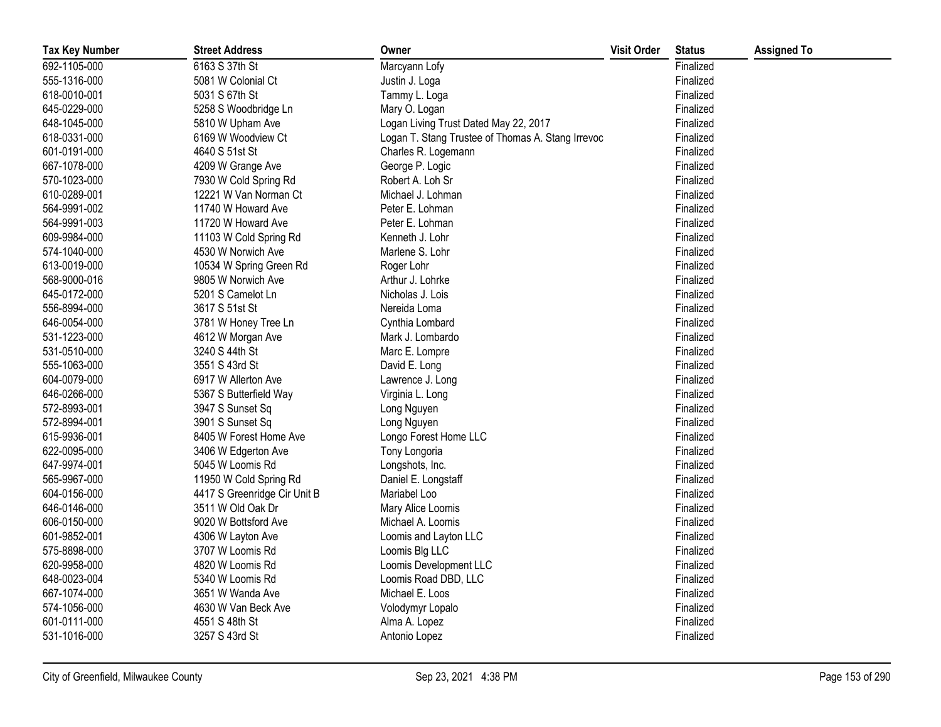| <b>Tax Key Number</b> | <b>Street Address</b>        | Owner                                             | <b>Visit Order</b> | <b>Status</b> | <b>Assigned To</b> |
|-----------------------|------------------------------|---------------------------------------------------|--------------------|---------------|--------------------|
| 692-1105-000          | 6163 S 37th St               | Marcyann Lofy                                     |                    | Finalized     |                    |
| 555-1316-000          | 5081 W Colonial Ct           | Justin J. Loga                                    |                    | Finalized     |                    |
| 618-0010-001          | 5031 S 67th St               | Tammy L. Loga                                     |                    | Finalized     |                    |
| 645-0229-000          | 5258 S Woodbridge Ln         | Mary O. Logan                                     |                    | Finalized     |                    |
| 648-1045-000          | 5810 W Upham Ave             | Logan Living Trust Dated May 22, 2017             |                    | Finalized     |                    |
| 618-0331-000          | 6169 W Woodview Ct           | Logan T. Stang Trustee of Thomas A. Stang Irrevoc |                    | Finalized     |                    |
| 601-0191-000          | 4640 S 51st St               | Charles R. Logemann                               |                    | Finalized     |                    |
| 667-1078-000          | 4209 W Grange Ave            | George P. Logic                                   |                    | Finalized     |                    |
| 570-1023-000          | 7930 W Cold Spring Rd        | Robert A. Loh Sr                                  |                    | Finalized     |                    |
| 610-0289-001          | 12221 W Van Norman Ct        | Michael J. Lohman                                 |                    | Finalized     |                    |
| 564-9991-002          | 11740 W Howard Ave           | Peter E. Lohman                                   |                    | Finalized     |                    |
| 564-9991-003          | 11720 W Howard Ave           | Peter E. Lohman                                   |                    | Finalized     |                    |
| 609-9984-000          | 11103 W Cold Spring Rd       | Kenneth J. Lohr                                   |                    | Finalized     |                    |
| 574-1040-000          | 4530 W Norwich Ave           | Marlene S. Lohr                                   |                    | Finalized     |                    |
| 613-0019-000          | 10534 W Spring Green Rd      | Roger Lohr                                        |                    | Finalized     |                    |
| 568-9000-016          | 9805 W Norwich Ave           | Arthur J. Lohrke                                  |                    | Finalized     |                    |
| 645-0172-000          | 5201 S Camelot Ln            | Nicholas J. Lois                                  |                    | Finalized     |                    |
| 556-8994-000          | 3617 S 51st St               | Nereida Loma                                      |                    | Finalized     |                    |
| 646-0054-000          | 3781 W Honey Tree Ln         | Cynthia Lombard                                   |                    | Finalized     |                    |
| 531-1223-000          | 4612 W Morgan Ave            | Mark J. Lombardo                                  |                    | Finalized     |                    |
| 531-0510-000          | 3240 S 44th St               | Marc E. Lompre                                    |                    | Finalized     |                    |
| 555-1063-000          | 3551 S 43rd St               | David E. Long                                     |                    | Finalized     |                    |
| 604-0079-000          | 6917 W Allerton Ave          | Lawrence J. Long                                  |                    | Finalized     |                    |
| 646-0266-000          | 5367 S Butterfield Way       | Virginia L. Long                                  |                    | Finalized     |                    |
| 572-8993-001          | 3947 S Sunset Sq             | Long Nguyen                                       |                    | Finalized     |                    |
| 572-8994-001          | 3901 S Sunset Sq             | Long Nguyen                                       |                    | Finalized     |                    |
| 615-9936-001          | 8405 W Forest Home Ave       | Longo Forest Home LLC                             |                    | Finalized     |                    |
| 622-0095-000          | 3406 W Edgerton Ave          | Tony Longoria                                     |                    | Finalized     |                    |
| 647-9974-001          | 5045 W Loomis Rd             | Longshots, Inc.                                   |                    | Finalized     |                    |
| 565-9967-000          | 11950 W Cold Spring Rd       | Daniel E. Longstaff                               |                    | Finalized     |                    |
| 604-0156-000          | 4417 S Greenridge Cir Unit B | Mariabel Loo                                      |                    | Finalized     |                    |
| 646-0146-000          | 3511 W Old Oak Dr            | Mary Alice Loomis                                 |                    | Finalized     |                    |
| 606-0150-000          | 9020 W Bottsford Ave         | Michael A. Loomis                                 |                    | Finalized     |                    |
| 601-9852-001          | 4306 W Layton Ave            | Loomis and Layton LLC                             |                    | Finalized     |                    |
| 575-8898-000          | 3707 W Loomis Rd             | Loomis Blg LLC                                    |                    | Finalized     |                    |
| 620-9958-000          | 4820 W Loomis Rd             | Loomis Development LLC                            |                    | Finalized     |                    |
| 648-0023-004          | 5340 W Loomis Rd             | Loomis Road DBD, LLC                              |                    | Finalized     |                    |
| 667-1074-000          | 3651 W Wanda Ave             | Michael E. Loos                                   |                    | Finalized     |                    |
| 574-1056-000          | 4630 W Van Beck Ave          | Volodymyr Lopalo                                  |                    | Finalized     |                    |
| 601-0111-000          | 4551 S 48th St               | Alma A. Lopez                                     |                    | Finalized     |                    |
| 531-1016-000          | 3257 S 43rd St               | Antonio Lopez                                     |                    | Finalized     |                    |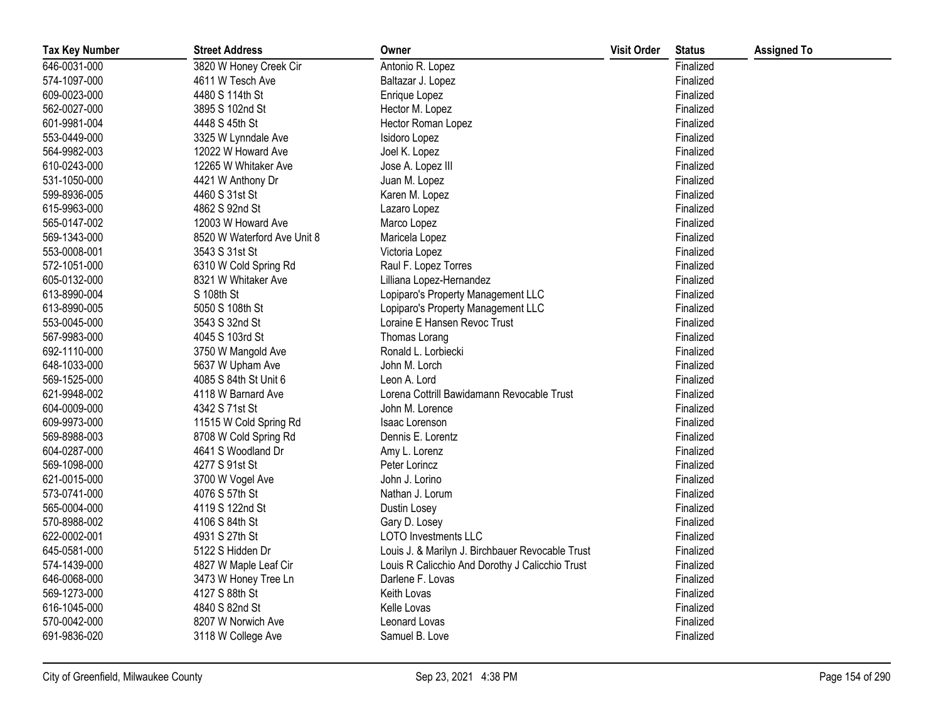| <b>Tax Key Number</b> | <b>Street Address</b>       | Owner                                            | <b>Visit Order</b> | <b>Status</b> | <b>Assigned To</b> |
|-----------------------|-----------------------------|--------------------------------------------------|--------------------|---------------|--------------------|
| 646-0031-000          | 3820 W Honey Creek Cir      | Antonio R. Lopez                                 |                    | Finalized     |                    |
| 574-1097-000          | 4611 W Tesch Ave            | Baltazar J. Lopez                                |                    | Finalized     |                    |
| 609-0023-000          | 4480 S 114th St             | Enrique Lopez                                    |                    | Finalized     |                    |
| 562-0027-000          | 3895 S 102nd St             | Hector M. Lopez                                  |                    | Finalized     |                    |
| 601-9981-004          | 4448 S 45th St              | Hector Roman Lopez                               |                    | Finalized     |                    |
| 553-0449-000          | 3325 W Lynndale Ave         | Isidoro Lopez                                    |                    | Finalized     |                    |
| 564-9982-003          | 12022 W Howard Ave          | Joel K. Lopez                                    |                    | Finalized     |                    |
| 610-0243-000          | 12265 W Whitaker Ave        | Jose A. Lopez III                                |                    | Finalized     |                    |
| 531-1050-000          | 4421 W Anthony Dr           | Juan M. Lopez                                    |                    | Finalized     |                    |
| 599-8936-005          | 4460 S 31st St              | Karen M. Lopez                                   |                    | Finalized     |                    |
| 615-9963-000          | 4862 S 92nd St              | Lazaro Lopez                                     |                    | Finalized     |                    |
| 565-0147-002          | 12003 W Howard Ave          | Marco Lopez                                      |                    | Finalized     |                    |
| 569-1343-000          | 8520 W Waterford Ave Unit 8 | Maricela Lopez                                   |                    | Finalized     |                    |
| 553-0008-001          | 3543 S 31st St              | Victoria Lopez                                   |                    | Finalized     |                    |
| 572-1051-000          | 6310 W Cold Spring Rd       | Raul F. Lopez Torres                             |                    | Finalized     |                    |
| 605-0132-000          | 8321 W Whitaker Ave         | Lilliana Lopez-Hernandez                         |                    | Finalized     |                    |
| 613-8990-004          | S 108th St                  | Lopiparo's Property Management LLC               |                    | Finalized     |                    |
| 613-8990-005          | 5050 S 108th St             | Lopiparo's Property Management LLC               |                    | Finalized     |                    |
| 553-0045-000          | 3543 S 32nd St              | Loraine E Hansen Revoc Trust                     |                    | Finalized     |                    |
| 567-9983-000          | 4045 S 103rd St             | Thomas Lorang                                    |                    | Finalized     |                    |
| 692-1110-000          | 3750 W Mangold Ave          | Ronald L. Lorbiecki                              |                    | Finalized     |                    |
| 648-1033-000          | 5637 W Upham Ave            | John M. Lorch                                    |                    | Finalized     |                    |
| 569-1525-000          | 4085 S 84th St Unit 6       | Leon A. Lord                                     |                    | Finalized     |                    |
| 621-9948-002          | 4118 W Barnard Ave          | Lorena Cottrill Bawidamann Revocable Trust       |                    | Finalized     |                    |
| 604-0009-000          | 4342 S 71st St              | John M. Lorence                                  |                    | Finalized     |                    |
| 609-9973-000          | 11515 W Cold Spring Rd      | Isaac Lorenson                                   |                    | Finalized     |                    |
| 569-8988-003          | 8708 W Cold Spring Rd       | Dennis E. Lorentz                                |                    | Finalized     |                    |
| 604-0287-000          | 4641 S Woodland Dr          | Amy L. Lorenz                                    |                    | Finalized     |                    |
| 569-1098-000          | 4277 S 91st St              | Peter Lorincz                                    |                    | Finalized     |                    |
| 621-0015-000          | 3700 W Vogel Ave            | John J. Lorino                                   |                    | Finalized     |                    |
| 573-0741-000          | 4076 S 57th St              | Nathan J. Lorum                                  |                    | Finalized     |                    |
| 565-0004-000          | 4119 S 122nd St             | Dustin Losey                                     |                    | Finalized     |                    |
| 570-8988-002          | 4106 S 84th St              | Gary D. Losey                                    |                    | Finalized     |                    |
| 622-0002-001          | 4931 S 27th St              | <b>LOTO Investments LLC</b>                      |                    | Finalized     |                    |
| 645-0581-000          | 5122 S Hidden Dr            | Louis J. & Marilyn J. Birchbauer Revocable Trust |                    | Finalized     |                    |
| 574-1439-000          | 4827 W Maple Leaf Cir       | Louis R Calicchio And Dorothy J Calicchio Trust  |                    | Finalized     |                    |
| 646-0068-000          | 3473 W Honey Tree Ln        | Darlene F. Lovas                                 |                    | Finalized     |                    |
| 569-1273-000          | 4127 S 88th St              | Keith Lovas                                      |                    | Finalized     |                    |
| 616-1045-000          | 4840 S 82nd St              | Kelle Lovas                                      |                    | Finalized     |                    |
| 570-0042-000          | 8207 W Norwich Ave          | Leonard Lovas                                    |                    | Finalized     |                    |
| 691-9836-020          | 3118 W College Ave          | Samuel B. Love                                   |                    | Finalized     |                    |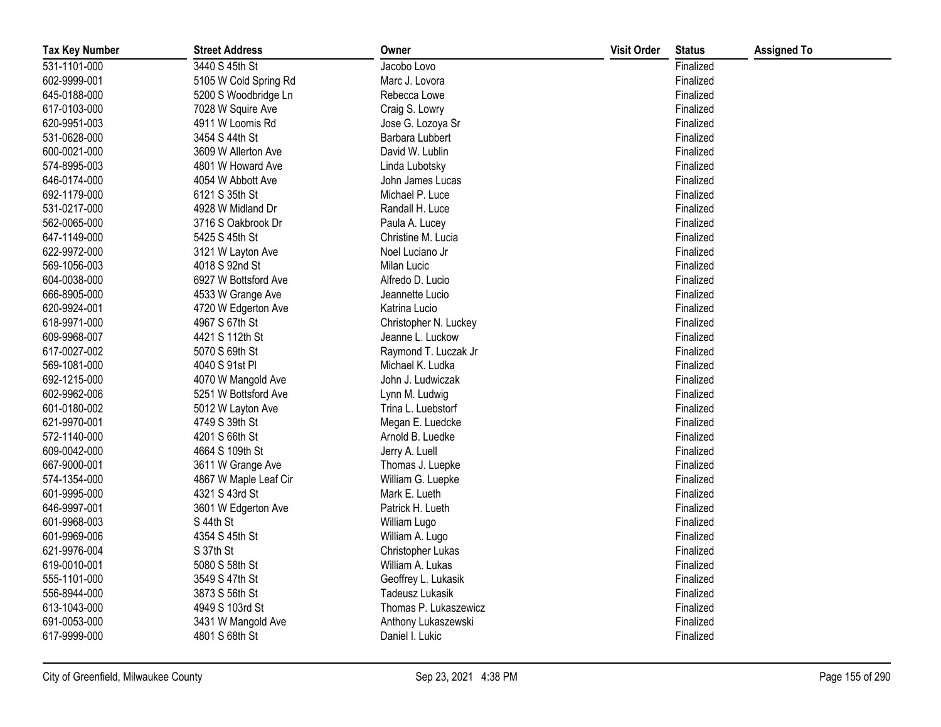| <b>Tax Key Number</b> | <b>Street Address</b> | Owner                  | <b>Visit Order</b> | <b>Status</b> | <b>Assigned To</b> |
|-----------------------|-----------------------|------------------------|--------------------|---------------|--------------------|
| 531-1101-000          | 3440 S 45th St        | Jacobo Lovo            |                    | Finalized     |                    |
| 602-9999-001          | 5105 W Cold Spring Rd | Marc J. Lovora         |                    | Finalized     |                    |
| 645-0188-000          | 5200 S Woodbridge Ln  | Rebecca Lowe           |                    | Finalized     |                    |
| 617-0103-000          | 7028 W Squire Ave     | Craig S. Lowry         |                    | Finalized     |                    |
| 620-9951-003          | 4911 W Loomis Rd      | Jose G. Lozoya Sr      |                    | Finalized     |                    |
| 531-0628-000          | 3454 S 44th St        | Barbara Lubbert        |                    | Finalized     |                    |
| 600-0021-000          | 3609 W Allerton Ave   | David W. Lublin        |                    | Finalized     |                    |
| 574-8995-003          | 4801 W Howard Ave     | Linda Lubotsky         |                    | Finalized     |                    |
| 646-0174-000          | 4054 W Abbott Ave     | John James Lucas       |                    | Finalized     |                    |
| 692-1179-000          | 6121 S 35th St        | Michael P. Luce        |                    | Finalized     |                    |
| 531-0217-000          | 4928 W Midland Dr     | Randall H. Luce        |                    | Finalized     |                    |
| 562-0065-000          | 3716 S Oakbrook Dr    | Paula A. Lucey         |                    | Finalized     |                    |
| 647-1149-000          | 5425 S 45th St        | Christine M. Lucia     |                    | Finalized     |                    |
| 622-9972-000          | 3121 W Layton Ave     | Noel Luciano Jr        |                    | Finalized     |                    |
| 569-1056-003          | 4018 S 92nd St        | Milan Lucic            |                    | Finalized     |                    |
| 604-0038-000          | 6927 W Bottsford Ave  | Alfredo D. Lucio       |                    | Finalized     |                    |
| 666-8905-000          | 4533 W Grange Ave     | Jeannette Lucio        |                    | Finalized     |                    |
| 620-9924-001          | 4720 W Edgerton Ave   | Katrina Lucio          |                    | Finalized     |                    |
| 618-9971-000          | 4967 S 67th St        | Christopher N. Luckey  |                    | Finalized     |                    |
| 609-9968-007          | 4421 S 112th St       | Jeanne L. Luckow       |                    | Finalized     |                    |
| 617-0027-002          | 5070 S 69th St        | Raymond T. Luczak Jr   |                    | Finalized     |                    |
| 569-1081-000          | 4040 S 91st PI        | Michael K. Ludka       |                    | Finalized     |                    |
| 692-1215-000          | 4070 W Mangold Ave    | John J. Ludwiczak      |                    | Finalized     |                    |
| 602-9962-006          | 5251 W Bottsford Ave  | Lynn M. Ludwig         |                    | Finalized     |                    |
| 601-0180-002          | 5012 W Layton Ave     | Trina L. Luebstorf     |                    | Finalized     |                    |
| 621-9970-001          | 4749 S 39th St        | Megan E. Luedcke       |                    | Finalized     |                    |
| 572-1140-000          | 4201 S 66th St        | Arnold B. Luedke       |                    | Finalized     |                    |
| 609-0042-000          | 4664 S 109th St       | Jerry A. Luell         |                    | Finalized     |                    |
| 667-9000-001          | 3611 W Grange Ave     | Thomas J. Luepke       |                    | Finalized     |                    |
| 574-1354-000          | 4867 W Maple Leaf Cir | William G. Luepke      |                    | Finalized     |                    |
| 601-9995-000          | 4321 S 43rd St        | Mark E. Lueth          |                    | Finalized     |                    |
| 646-9997-001          | 3601 W Edgerton Ave   | Patrick H. Lueth       |                    | Finalized     |                    |
| 601-9968-003          | S 44th St             | William Lugo           |                    | Finalized     |                    |
| 601-9969-006          | 4354 S 45th St        | William A. Lugo        |                    | Finalized     |                    |
| 621-9976-004          | S 37th St             | Christopher Lukas      |                    | Finalized     |                    |
| 619-0010-001          | 5080 S 58th St        | William A. Lukas       |                    | Finalized     |                    |
| 555-1101-000          | 3549 S 47th St        | Geoffrey L. Lukasik    |                    | Finalized     |                    |
| 556-8944-000          | 3873 S 56th St        | <b>Tadeusz Lukasik</b> |                    | Finalized     |                    |
| 613-1043-000          | 4949 S 103rd St       | Thomas P. Lukaszewicz  |                    | Finalized     |                    |
| 691-0053-000          | 3431 W Mangold Ave    | Anthony Lukaszewski    |                    | Finalized     |                    |
| 617-9999-000          | 4801 S 68th St        | Daniel I. Lukic        |                    | Finalized     |                    |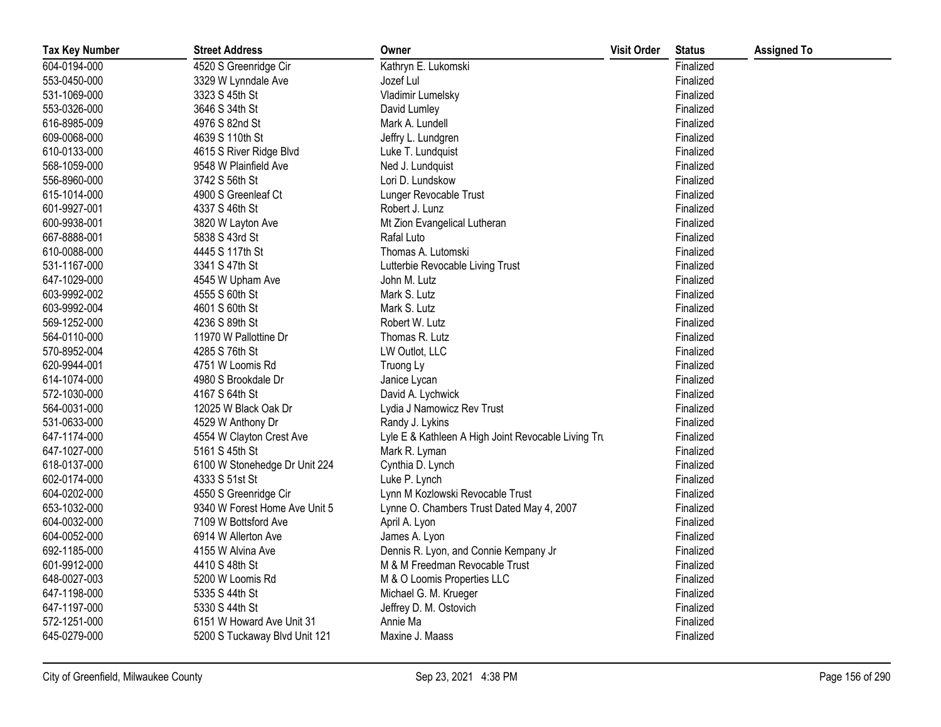| <b>Tax Key Number</b> | <b>Street Address</b>         | Owner                                               | <b>Visit Order</b> | <b>Status</b> | <b>Assigned To</b> |
|-----------------------|-------------------------------|-----------------------------------------------------|--------------------|---------------|--------------------|
| 604-0194-000          | 4520 S Greenridge Cir         | Kathryn E. Lukomski                                 |                    | Finalized     |                    |
| 553-0450-000          | 3329 W Lynndale Ave           | Jozef Lul                                           |                    | Finalized     |                    |
| 531-1069-000          | 3323 S 45th St                | Vladimir Lumelsky                                   |                    | Finalized     |                    |
| 553-0326-000          | 3646 S 34th St                | David Lumley                                        |                    | Finalized     |                    |
| 616-8985-009          | 4976 S 82nd St                | Mark A. Lundell                                     |                    | Finalized     |                    |
| 609-0068-000          | 4639 S 110th St               | Jeffry L. Lundgren                                  |                    | Finalized     |                    |
| 610-0133-000          | 4615 S River Ridge Blvd       | Luke T. Lundquist                                   |                    | Finalized     |                    |
| 568-1059-000          | 9548 W Plainfield Ave         | Ned J. Lundquist                                    |                    | Finalized     |                    |
| 556-8960-000          | 3742 S 56th St                | Lori D. Lundskow                                    |                    | Finalized     |                    |
| 615-1014-000          | 4900 S Greenleaf Ct           | Lunger Revocable Trust                              |                    | Finalized     |                    |
| 601-9927-001          | 4337 S 46th St                | Robert J. Lunz                                      |                    | Finalized     |                    |
| 600-9938-001          | 3820 W Layton Ave             | Mt Zion Evangelical Lutheran                        |                    | Finalized     |                    |
| 667-8888-001          | 5838 S 43rd St                | Rafal Luto                                          |                    | Finalized     |                    |
| 610-0088-000          | 4445 S 117th St               | Thomas A. Lutomski                                  |                    | Finalized     |                    |
| 531-1167-000          | 3341 S 47th St                | Lutterbie Revocable Living Trust                    |                    | Finalized     |                    |
| 647-1029-000          | 4545 W Upham Ave              | John M. Lutz                                        |                    | Finalized     |                    |
| 603-9992-002          | 4555 S 60th St                | Mark S. Lutz                                        |                    | Finalized     |                    |
| 603-9992-004          | 4601 S 60th St                | Mark S. Lutz                                        |                    | Finalized     |                    |
| 569-1252-000          | 4236 S 89th St                | Robert W. Lutz                                      |                    | Finalized     |                    |
| 564-0110-000          | 11970 W Pallottine Dr         | Thomas R. Lutz                                      |                    | Finalized     |                    |
| 570-8952-004          | 4285 S 76th St                | LW Outlot, LLC                                      |                    | Finalized     |                    |
| 620-9944-001          | 4751 W Loomis Rd              | Truong Ly                                           |                    | Finalized     |                    |
| 614-1074-000          | 4980 S Brookdale Dr           | Janice Lycan                                        |                    | Finalized     |                    |
| 572-1030-000          | 4167 S 64th St                | David A. Lychwick                                   |                    | Finalized     |                    |
| 564-0031-000          | 12025 W Black Oak Dr          | Lydia J Namowicz Rev Trust                          |                    | Finalized     |                    |
| 531-0633-000          | 4529 W Anthony Dr             | Randy J. Lykins                                     |                    | Finalized     |                    |
| 647-1174-000          | 4554 W Clayton Crest Ave      | Lyle E & Kathleen A High Joint Revocable Living Tru |                    | Finalized     |                    |
| 647-1027-000          | 5161 S 45th St                | Mark R. Lyman                                       |                    | Finalized     |                    |
| 618-0137-000          | 6100 W Stonehedge Dr Unit 224 | Cynthia D. Lynch                                    |                    | Finalized     |                    |
| 602-0174-000          | 4333 S 51st St                | Luke P. Lynch                                       |                    | Finalized     |                    |
| 604-0202-000          | 4550 S Greenridge Cir         | Lynn M Kozlowski Revocable Trust                    |                    | Finalized     |                    |
| 653-1032-000          | 9340 W Forest Home Ave Unit 5 | Lynne O. Chambers Trust Dated May 4, 2007           |                    | Finalized     |                    |
| 604-0032-000          | 7109 W Bottsford Ave          | April A. Lyon                                       |                    | Finalized     |                    |
| 604-0052-000          | 6914 W Allerton Ave           | James A. Lyon                                       |                    | Finalized     |                    |
| 692-1185-000          | 4155 W Alvina Ave             | Dennis R. Lyon, and Connie Kempany Jr               |                    | Finalized     |                    |
| 601-9912-000          | 4410 S 48th St                | M & M Freedman Revocable Trust                      |                    | Finalized     |                    |
| 648-0027-003          | 5200 W Loomis Rd              | M & O Loomis Properties LLC                         |                    | Finalized     |                    |
| 647-1198-000          | 5335 S 44th St                | Michael G. M. Krueger                               |                    | Finalized     |                    |
| 647-1197-000          | 5330 S 44th St                | Jeffrey D. M. Ostovich                              |                    | Finalized     |                    |
| 572-1251-000          | 6151 W Howard Ave Unit 31     | Annie Ma                                            |                    | Finalized     |                    |
| 645-0279-000          | 5200 S Tuckaway Blvd Unit 121 | Maxine J. Maass                                     |                    | Finalized     |                    |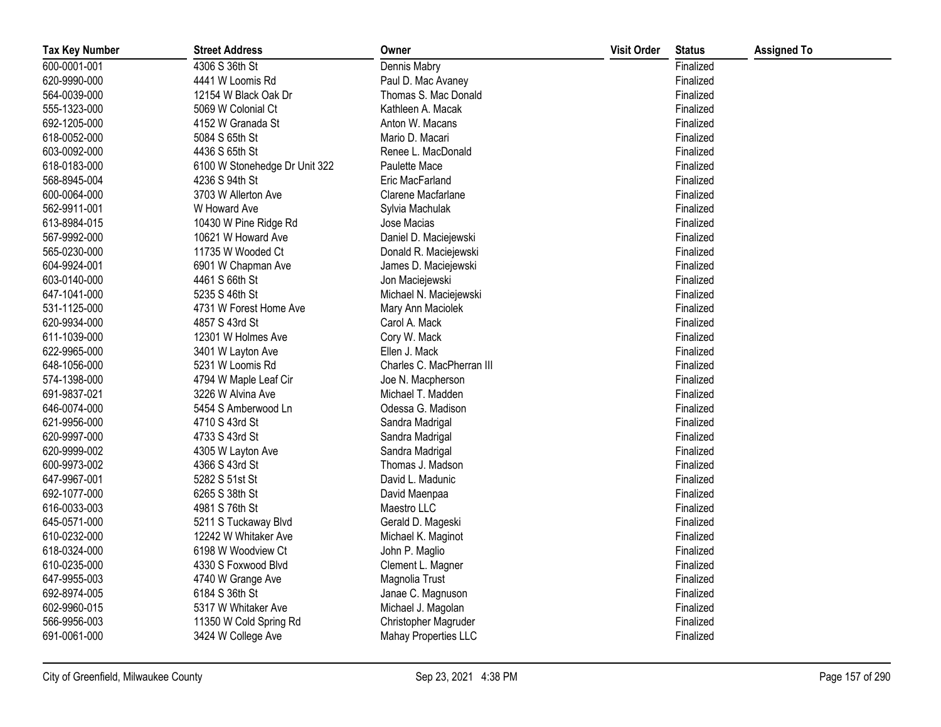| <b>Tax Key Number</b> | <b>Street Address</b>         | Owner                       | <b>Visit Order</b> | <b>Status</b> | <b>Assigned To</b> |
|-----------------------|-------------------------------|-----------------------------|--------------------|---------------|--------------------|
| 600-0001-001          | 4306 S 36th St                | Dennis Mabry                |                    | Finalized     |                    |
| 620-9990-000          | 4441 W Loomis Rd              | Paul D. Mac Avaney          |                    | Finalized     |                    |
| 564-0039-000          | 12154 W Black Oak Dr          | Thomas S. Mac Donald        |                    | Finalized     |                    |
| 555-1323-000          | 5069 W Colonial Ct            | Kathleen A. Macak           |                    | Finalized     |                    |
| 692-1205-000          | 4152 W Granada St             | Anton W. Macans             |                    | Finalized     |                    |
| 618-0052-000          | 5084 S 65th St                | Mario D. Macari             |                    | Finalized     |                    |
| 603-0092-000          | 4436 S 65th St                | Renee L. MacDonald          |                    | Finalized     |                    |
| 618-0183-000          | 6100 W Stonehedge Dr Unit 322 | Paulette Mace               |                    | Finalized     |                    |
| 568-8945-004          | 4236 S 94th St                | Eric MacFarland             |                    | Finalized     |                    |
| 600-0064-000          | 3703 W Allerton Ave           | Clarene Macfarlane          |                    | Finalized     |                    |
| 562-9911-001          | W Howard Ave                  | Sylvia Machulak             |                    | Finalized     |                    |
| 613-8984-015          | 10430 W Pine Ridge Rd         | Jose Macias                 |                    | Finalized     |                    |
| 567-9992-000          | 10621 W Howard Ave            | Daniel D. Maciejewski       |                    | Finalized     |                    |
| 565-0230-000          | 11735 W Wooded Ct             | Donald R. Maciejewski       |                    | Finalized     |                    |
| 604-9924-001          | 6901 W Chapman Ave            | James D. Maciejewski        |                    | Finalized     |                    |
| 603-0140-000          | 4461 S 66th St                | Jon Maciejewski             |                    | Finalized     |                    |
| 647-1041-000          | 5235 S 46th St                | Michael N. Maciejewski      |                    | Finalized     |                    |
| 531-1125-000          | 4731 W Forest Home Ave        | Mary Ann Maciolek           |                    | Finalized     |                    |
| 620-9934-000          | 4857 S 43rd St                | Carol A. Mack               |                    | Finalized     |                    |
| 611-1039-000          | 12301 W Holmes Ave            | Cory W. Mack                |                    | Finalized     |                    |
| 622-9965-000          | 3401 W Layton Ave             | Ellen J. Mack               |                    | Finalized     |                    |
| 648-1056-000          | 5231 W Loomis Rd              | Charles C. MacPherran III   |                    | Finalized     |                    |
| 574-1398-000          | 4794 W Maple Leaf Cir         | Joe N. Macpherson           |                    | Finalized     |                    |
| 691-9837-021          | 3226 W Alvina Ave             | Michael T. Madden           |                    | Finalized     |                    |
| 646-0074-000          | 5454 S Amberwood Ln           | Odessa G. Madison           |                    | Finalized     |                    |
| 621-9956-000          | 4710 S 43rd St                | Sandra Madrigal             |                    | Finalized     |                    |
| 620-9997-000          | 4733 S 43rd St                | Sandra Madrigal             |                    | Finalized     |                    |
| 620-9999-002          | 4305 W Layton Ave             | Sandra Madrigal             |                    | Finalized     |                    |
| 600-9973-002          | 4366 S 43rd St                | Thomas J. Madson            |                    | Finalized     |                    |
| 647-9967-001          | 5282 S 51st St                | David L. Madunic            |                    | Finalized     |                    |
| 692-1077-000          | 6265 S 38th St                | David Maenpaa               |                    | Finalized     |                    |
| 616-0033-003          | 4981 S 76th St                | Maestro LLC                 |                    | Finalized     |                    |
| 645-0571-000          | 5211 S Tuckaway Blvd          | Gerald D. Mageski           |                    | Finalized     |                    |
| 610-0232-000          | 12242 W Whitaker Ave          | Michael K. Maginot          |                    | Finalized     |                    |
| 618-0324-000          | 6198 W Woodview Ct            | John P. Maglio              |                    | Finalized     |                    |
| 610-0235-000          | 4330 S Foxwood Blvd           | Clement L. Magner           |                    | Finalized     |                    |
| 647-9955-003          | 4740 W Grange Ave             | Magnolia Trust              |                    | Finalized     |                    |
| 692-8974-005          | 6184 S 36th St                | Janae C. Magnuson           |                    | Finalized     |                    |
| 602-9960-015          | 5317 W Whitaker Ave           | Michael J. Magolan          |                    | Finalized     |                    |
| 566-9956-003          | 11350 W Cold Spring Rd        | Christopher Magruder        |                    | Finalized     |                    |
| 691-0061-000          | 3424 W College Ave            | <b>Mahay Properties LLC</b> |                    | Finalized     |                    |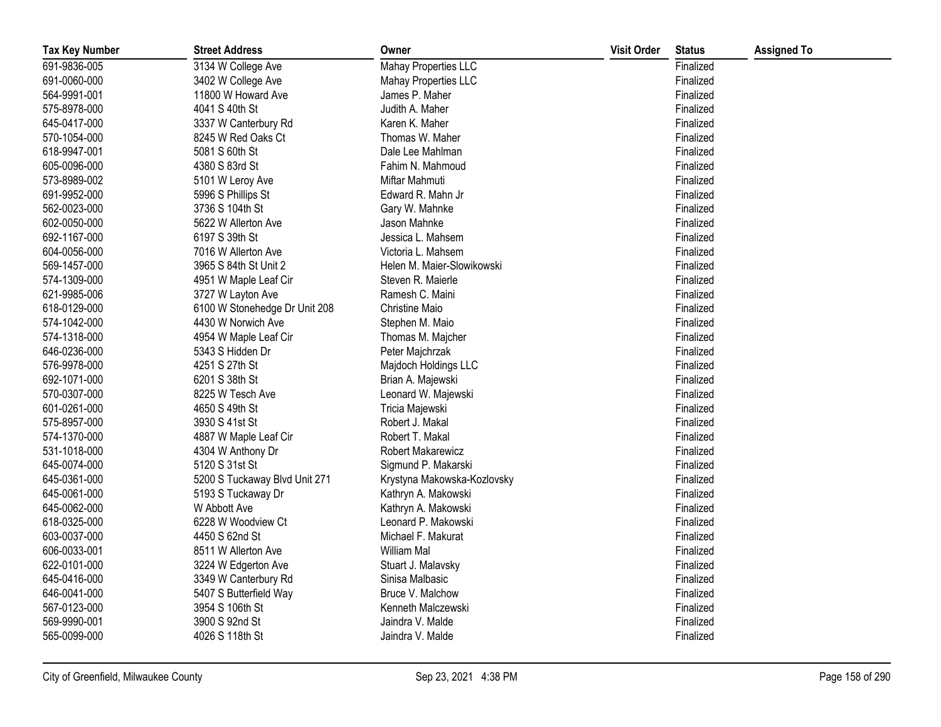| <b>Tax Key Number</b> | <b>Street Address</b>         | Owner                       | <b>Visit Order</b> | <b>Status</b> | <b>Assigned To</b> |
|-----------------------|-------------------------------|-----------------------------|--------------------|---------------|--------------------|
| 691-9836-005          | 3134 W College Ave            | Mahay Properties LLC        |                    | Finalized     |                    |
| 691-0060-000          | 3402 W College Ave            | Mahay Properties LLC        |                    | Finalized     |                    |
| 564-9991-001          | 11800 W Howard Ave            | James P. Maher              |                    | Finalized     |                    |
| 575-8978-000          | 4041 S 40th St                | Judith A. Maher             |                    | Finalized     |                    |
| 645-0417-000          | 3337 W Canterbury Rd          | Karen K. Maher              |                    | Finalized     |                    |
| 570-1054-000          | 8245 W Red Oaks Ct            | Thomas W. Maher             |                    | Finalized     |                    |
| 618-9947-001          | 5081 S 60th St                | Dale Lee Mahlman            |                    | Finalized     |                    |
| 605-0096-000          | 4380 S 83rd St                | Fahim N. Mahmoud            |                    | Finalized     |                    |
| 573-8989-002          | 5101 W Leroy Ave              | Miftar Mahmuti              |                    | Finalized     |                    |
| 691-9952-000          | 5996 S Phillips St            | Edward R. Mahn Jr           |                    | Finalized     |                    |
| 562-0023-000          | 3736 S 104th St               | Gary W. Mahnke              |                    | Finalized     |                    |
| 602-0050-000          | 5622 W Allerton Ave           | Jason Mahnke                |                    | Finalized     |                    |
| 692-1167-000          | 6197 S 39th St                | Jessica L. Mahsem           |                    | Finalized     |                    |
| 604-0056-000          | 7016 W Allerton Ave           | Victoria L. Mahsem          |                    | Finalized     |                    |
| 569-1457-000          | 3965 S 84th St Unit 2         | Helen M. Maier-Slowikowski  |                    | Finalized     |                    |
| 574-1309-000          | 4951 W Maple Leaf Cir         | Steven R. Maierle           |                    | Finalized     |                    |
| 621-9985-006          | 3727 W Layton Ave             | Ramesh C. Maini             |                    | Finalized     |                    |
| 618-0129-000          | 6100 W Stonehedge Dr Unit 208 | Christine Maio              |                    | Finalized     |                    |
| 574-1042-000          | 4430 W Norwich Ave            | Stephen M. Maio             |                    | Finalized     |                    |
| 574-1318-000          | 4954 W Maple Leaf Cir         | Thomas M. Majcher           |                    | Finalized     |                    |
| 646-0236-000          | 5343 S Hidden Dr              | Peter Majchrzak             |                    | Finalized     |                    |
| 576-9978-000          | 4251 S 27th St                | Majdoch Holdings LLC        |                    | Finalized     |                    |
| 692-1071-000          | 6201 S 38th St                | Brian A. Majewski           |                    | Finalized     |                    |
| 570-0307-000          | 8225 W Tesch Ave              | Leonard W. Majewski         |                    | Finalized     |                    |
| 601-0261-000          | 4650 S 49th St                | Tricia Majewski             |                    | Finalized     |                    |
| 575-8957-000          | 3930 S 41st St                | Robert J. Makal             |                    | Finalized     |                    |
| 574-1370-000          | 4887 W Maple Leaf Cir         | Robert T. Makal             |                    | Finalized     |                    |
| 531-1018-000          | 4304 W Anthony Dr             | Robert Makarewicz           |                    | Finalized     |                    |
| 645-0074-000          | 5120 S 31st St                | Sigmund P. Makarski         |                    | Finalized     |                    |
| 645-0361-000          | 5200 S Tuckaway Blvd Unit 271 | Krystyna Makowska-Kozlovsky |                    | Finalized     |                    |
| 645-0061-000          | 5193 S Tuckaway Dr            | Kathryn A. Makowski         |                    | Finalized     |                    |
| 645-0062-000          | W Abbott Ave                  | Kathryn A. Makowski         |                    | Finalized     |                    |
| 618-0325-000          | 6228 W Woodview Ct            | Leonard P. Makowski         |                    | Finalized     |                    |
| 603-0037-000          | 4450 S 62nd St                | Michael F. Makurat          |                    | Finalized     |                    |
| 606-0033-001          | 8511 W Allerton Ave           | William Mal                 |                    | Finalized     |                    |
| 622-0101-000          | 3224 W Edgerton Ave           | Stuart J. Malavsky          |                    | Finalized     |                    |
| 645-0416-000          | 3349 W Canterbury Rd          | Sinisa Malbasic             |                    | Finalized     |                    |
| 646-0041-000          | 5407 S Butterfield Way        | Bruce V. Malchow            |                    | Finalized     |                    |
| 567-0123-000          | 3954 S 106th St               | Kenneth Malczewski          |                    | Finalized     |                    |
| 569-9990-001          | 3900 S 92nd St                | Jaindra V. Malde            |                    | Finalized     |                    |
| 565-0099-000          | 4026 S 118th St               | Jaindra V. Malde            |                    | Finalized     |                    |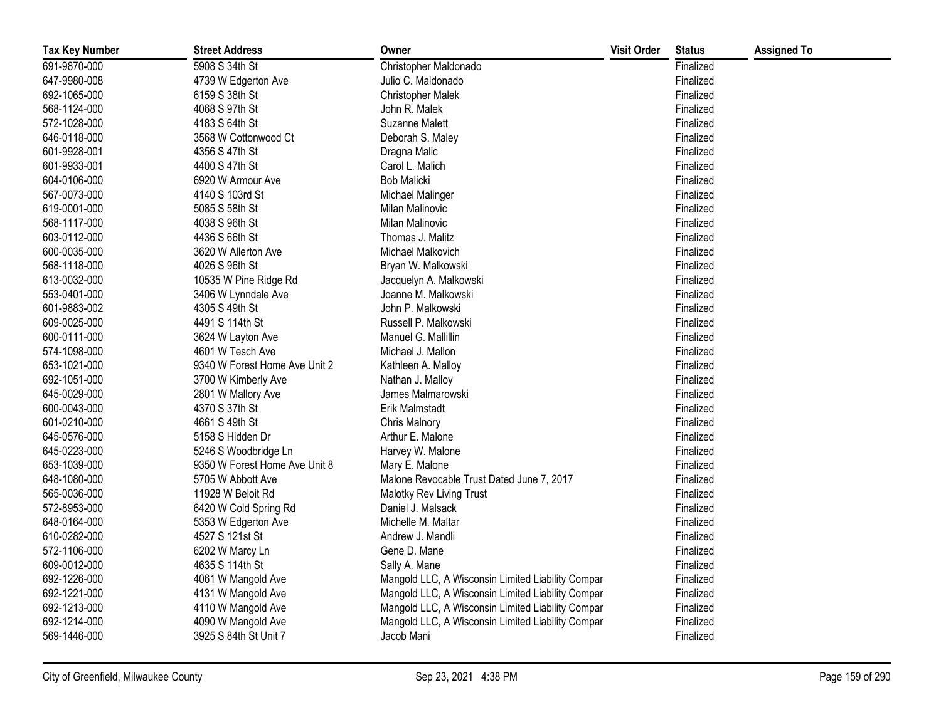| <b>Tax Key Number</b> | <b>Street Address</b>         | Owner                                             | <b>Visit Order</b> | <b>Status</b> | <b>Assigned To</b> |
|-----------------------|-------------------------------|---------------------------------------------------|--------------------|---------------|--------------------|
| 691-9870-000          | 5908 S 34th St                | Christopher Maldonado                             |                    | Finalized     |                    |
| 647-9980-008          | 4739 W Edgerton Ave           | Julio C. Maldonado                                |                    | Finalized     |                    |
| 692-1065-000          | 6159 S 38th St                | <b>Christopher Malek</b>                          |                    | Finalized     |                    |
| 568-1124-000          | 4068 S 97th St                | John R. Malek                                     |                    | Finalized     |                    |
| 572-1028-000          | 4183 S 64th St                | <b>Suzanne Malett</b>                             |                    | Finalized     |                    |
| 646-0118-000          | 3568 W Cottonwood Ct          | Deborah S. Maley                                  |                    | Finalized     |                    |
| 601-9928-001          | 4356 S 47th St                | Dragna Malic                                      |                    | Finalized     |                    |
| 601-9933-001          | 4400 S 47th St                | Carol L. Malich                                   |                    | Finalized     |                    |
| 604-0106-000          | 6920 W Armour Ave             | <b>Bob Malicki</b>                                |                    | Finalized     |                    |
| 567-0073-000          | 4140 S 103rd St               | Michael Malinger                                  |                    | Finalized     |                    |
| 619-0001-000          | 5085 S 58th St                | Milan Malinovic                                   |                    | Finalized     |                    |
| 568-1117-000          | 4038 S 96th St                | Milan Malinovic                                   |                    | Finalized     |                    |
| 603-0112-000          | 4436 S 66th St                | Thomas J. Malitz                                  |                    | Finalized     |                    |
| 600-0035-000          | 3620 W Allerton Ave           | Michael Malkovich                                 |                    | Finalized     |                    |
| 568-1118-000          | 4026 S 96th St                | Bryan W. Malkowski                                |                    | Finalized     |                    |
| 613-0032-000          | 10535 W Pine Ridge Rd         | Jacquelyn A. Malkowski                            |                    | Finalized     |                    |
| 553-0401-000          | 3406 W Lynndale Ave           | Joanne M. Malkowski                               |                    | Finalized     |                    |
| 601-9883-002          | 4305 S 49th St                | John P. Malkowski                                 |                    | Finalized     |                    |
| 609-0025-000          | 4491 S 114th St               | Russell P. Malkowski                              |                    | Finalized     |                    |
| 600-0111-000          | 3624 W Layton Ave             | Manuel G. Mallillin                               |                    | Finalized     |                    |
| 574-1098-000          | 4601 W Tesch Ave              | Michael J. Mallon                                 |                    | Finalized     |                    |
| 653-1021-000          | 9340 W Forest Home Ave Unit 2 | Kathleen A. Malloy                                |                    | Finalized     |                    |
| 692-1051-000          | 3700 W Kimberly Ave           | Nathan J. Malloy                                  |                    | Finalized     |                    |
| 645-0029-000          | 2801 W Mallory Ave            | James Malmarowski                                 |                    | Finalized     |                    |
| 600-0043-000          | 4370 S 37th St                | Erik Malmstadt                                    |                    | Finalized     |                    |
| 601-0210-000          | 4661 S 49th St                | Chris Malnory                                     |                    | Finalized     |                    |
| 645-0576-000          | 5158 S Hidden Dr              | Arthur E. Malone                                  |                    | Finalized     |                    |
| 645-0223-000          | 5246 S Woodbridge Ln          | Harvey W. Malone                                  |                    | Finalized     |                    |
| 653-1039-000          | 9350 W Forest Home Ave Unit 8 | Mary E. Malone                                    |                    | Finalized     |                    |
| 648-1080-000          | 5705 W Abbott Ave             | Malone Revocable Trust Dated June 7, 2017         |                    | Finalized     |                    |
| 565-0036-000          | 11928 W Beloit Rd             | Malotky Rev Living Trust                          |                    | Finalized     |                    |
| 572-8953-000          | 6420 W Cold Spring Rd         | Daniel J. Malsack                                 |                    | Finalized     |                    |
| 648-0164-000          | 5353 W Edgerton Ave           | Michelle M. Maltar                                |                    | Finalized     |                    |
| 610-0282-000          | 4527 S 121st St               | Andrew J. Mandli                                  |                    | Finalized     |                    |
| 572-1106-000          | 6202 W Marcy Ln               | Gene D. Mane                                      |                    | Finalized     |                    |
| 609-0012-000          | 4635 S 114th St               | Sally A. Mane                                     |                    | Finalized     |                    |
| 692-1226-000          | 4061 W Mangold Ave            | Mangold LLC, A Wisconsin Limited Liability Compar |                    | Finalized     |                    |
| 692-1221-000          | 4131 W Mangold Ave            | Mangold LLC, A Wisconsin Limited Liability Compar |                    | Finalized     |                    |
| 692-1213-000          | 4110 W Mangold Ave            | Mangold LLC, A Wisconsin Limited Liability Compar |                    | Finalized     |                    |
| 692-1214-000          | 4090 W Mangold Ave            | Mangold LLC, A Wisconsin Limited Liability Compar |                    | Finalized     |                    |
| 569-1446-000          | 3925 S 84th St Unit 7         | Jacob Mani                                        |                    | Finalized     |                    |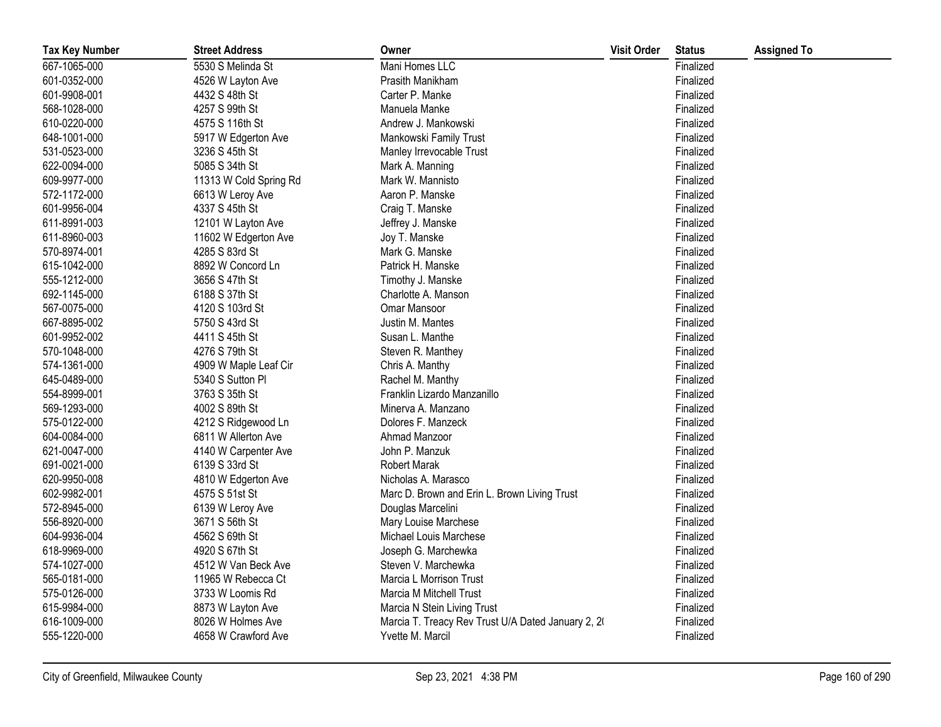| <b>Tax Key Number</b> | <b>Street Address</b>  | Owner                                              | <b>Visit Order</b> | <b>Status</b> | <b>Assigned To</b> |
|-----------------------|------------------------|----------------------------------------------------|--------------------|---------------|--------------------|
| 667-1065-000          | 5530 S Melinda St      | Mani Homes LLC                                     |                    | Finalized     |                    |
| 601-0352-000          | 4526 W Layton Ave      | Prasith Manikham                                   |                    | Finalized     |                    |
| 601-9908-001          | 4432 S 48th St         | Carter P. Manke                                    |                    | Finalized     |                    |
| 568-1028-000          | 4257 S 99th St         | Manuela Manke                                      |                    | Finalized     |                    |
| 610-0220-000          | 4575 S 116th St        | Andrew J. Mankowski                                |                    | Finalized     |                    |
| 648-1001-000          | 5917 W Edgerton Ave    | Mankowski Family Trust                             |                    | Finalized     |                    |
| 531-0523-000          | 3236 S 45th St         | Manley Irrevocable Trust                           |                    | Finalized     |                    |
| 622-0094-000          | 5085 S 34th St         | Mark A. Manning                                    |                    | Finalized     |                    |
| 609-9977-000          | 11313 W Cold Spring Rd | Mark W. Mannisto                                   |                    | Finalized     |                    |
| 572-1172-000          | 6613 W Leroy Ave       | Aaron P. Manske                                    |                    | Finalized     |                    |
| 601-9956-004          | 4337 S 45th St         | Craig T. Manske                                    |                    | Finalized     |                    |
| 611-8991-003          | 12101 W Layton Ave     | Jeffrey J. Manske                                  |                    | Finalized     |                    |
| 611-8960-003          | 11602 W Edgerton Ave   | Joy T. Manske                                      |                    | Finalized     |                    |
| 570-8974-001          | 4285 S 83rd St         | Mark G. Manske                                     |                    | Finalized     |                    |
| 615-1042-000          | 8892 W Concord Ln      | Patrick H. Manske                                  |                    | Finalized     |                    |
| 555-1212-000          | 3656 S 47th St         | Timothy J. Manske                                  |                    | Finalized     |                    |
| 692-1145-000          | 6188 S 37th St         | Charlotte A. Manson                                |                    | Finalized     |                    |
| 567-0075-000          | 4120 S 103rd St        | Omar Mansoor                                       |                    | Finalized     |                    |
| 667-8895-002          | 5750 S 43rd St         | Justin M. Mantes                                   |                    | Finalized     |                    |
| 601-9952-002          | 4411 S 45th St         | Susan L. Manthe                                    |                    | Finalized     |                    |
| 570-1048-000          | 4276 S 79th St         | Steven R. Manthey                                  |                    | Finalized     |                    |
| 574-1361-000          | 4909 W Maple Leaf Cir  | Chris A. Manthy                                    |                    | Finalized     |                    |
| 645-0489-000          | 5340 S Sutton PI       | Rachel M. Manthy                                   |                    | Finalized     |                    |
| 554-8999-001          | 3763 S 35th St         | Franklin Lizardo Manzanillo                        |                    | Finalized     |                    |
| 569-1293-000          | 4002 S 89th St         | Minerva A. Manzano                                 |                    | Finalized     |                    |
| 575-0122-000          | 4212 S Ridgewood Ln    | Dolores F. Manzeck                                 |                    | Finalized     |                    |
| 604-0084-000          | 6811 W Allerton Ave    | Ahmad Manzoor                                      |                    | Finalized     |                    |
| 621-0047-000          | 4140 W Carpenter Ave   | John P. Manzuk                                     |                    | Finalized     |                    |
| 691-0021-000          | 6139 S 33rd St         | <b>Robert Marak</b>                                |                    | Finalized     |                    |
| 620-9950-008          | 4810 W Edgerton Ave    | Nicholas A. Marasco                                |                    | Finalized     |                    |
| 602-9982-001          | 4575 S 51st St         | Marc D. Brown and Erin L. Brown Living Trust       |                    | Finalized     |                    |
| 572-8945-000          | 6139 W Leroy Ave       | Douglas Marcelini                                  |                    | Finalized     |                    |
| 556-8920-000          | 3671 S 56th St         | Mary Louise Marchese                               |                    | Finalized     |                    |
| 604-9936-004          | 4562 S 69th St         | Michael Louis Marchese                             |                    | Finalized     |                    |
| 618-9969-000          | 4920 S 67th St         | Joseph G. Marchewka                                |                    | Finalized     |                    |
| 574-1027-000          | 4512 W Van Beck Ave    | Steven V. Marchewka                                |                    | Finalized     |                    |
| 565-0181-000          | 11965 W Rebecca Ct     | Marcia L Morrison Trust                            |                    | Finalized     |                    |
| 575-0126-000          | 3733 W Loomis Rd       | Marcia M Mitchell Trust                            |                    | Finalized     |                    |
| 615-9984-000          | 8873 W Layton Ave      | Marcia N Stein Living Trust                        |                    | Finalized     |                    |
| 616-1009-000          | 8026 W Holmes Ave      | Marcia T. Treacy Rev Trust U/A Dated January 2, 20 |                    | Finalized     |                    |
| 555-1220-000          | 4658 W Crawford Ave    | Yvette M. Marcil                                   |                    | Finalized     |                    |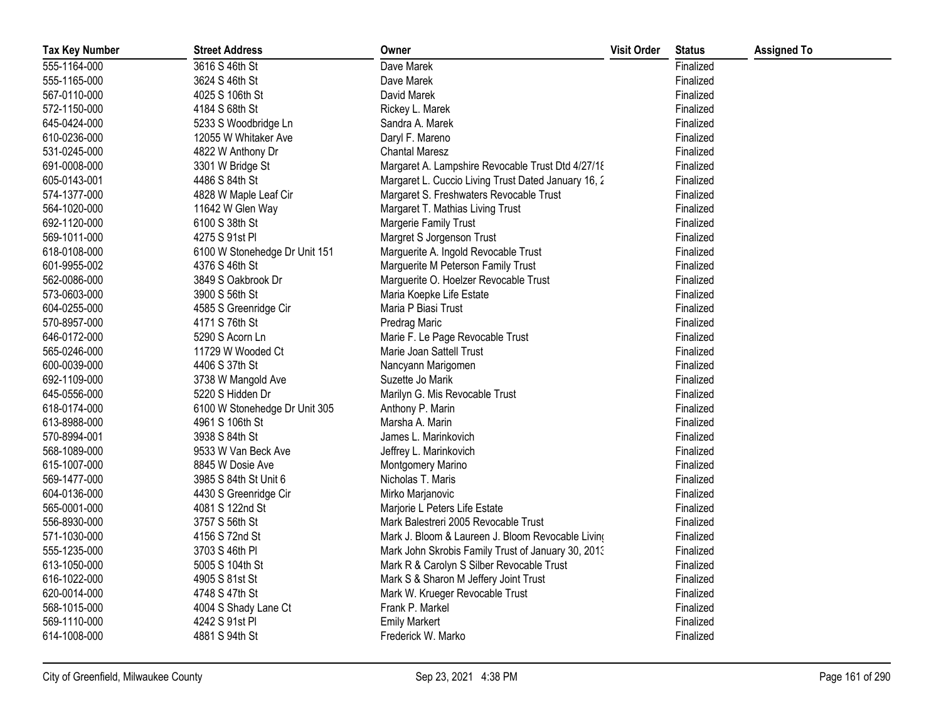| <b>Tax Key Number</b> | <b>Street Address</b>         | Owner                                               | <b>Visit Order</b> | <b>Status</b> | <b>Assigned To</b> |
|-----------------------|-------------------------------|-----------------------------------------------------|--------------------|---------------|--------------------|
| 555-1164-000          | 3616 S 46th St                | Dave Marek                                          |                    | Finalized     |                    |
| 555-1165-000          | 3624 S 46th St                | Dave Marek                                          |                    | Finalized     |                    |
| 567-0110-000          | 4025 S 106th St               | David Marek                                         |                    | Finalized     |                    |
| 572-1150-000          | 4184 S 68th St                | Rickey L. Marek                                     |                    | Finalized     |                    |
| 645-0424-000          | 5233 S Woodbridge Ln          | Sandra A. Marek                                     |                    | Finalized     |                    |
| 610-0236-000          | 12055 W Whitaker Ave          | Daryl F. Mareno                                     |                    | Finalized     |                    |
| 531-0245-000          | 4822 W Anthony Dr             | <b>Chantal Maresz</b>                               |                    | Finalized     |                    |
| 691-0008-000          | 3301 W Bridge St              | Margaret A. Lampshire Revocable Trust Dtd 4/27/18   |                    | Finalized     |                    |
| 605-0143-001          | 4486 S 84th St                | Margaret L. Cuccio Living Trust Dated January 16, 2 |                    | Finalized     |                    |
| 574-1377-000          | 4828 W Maple Leaf Cir         | Margaret S. Freshwaters Revocable Trust             |                    | Finalized     |                    |
| 564-1020-000          | 11642 W Glen Way              | Margaret T. Mathias Living Trust                    |                    | Finalized     |                    |
| 692-1120-000          | 6100 S 38th St                | Margerie Family Trust                               |                    | Finalized     |                    |
| 569-1011-000          | 4275 S 91st PI                | Margret S Jorgenson Trust                           |                    | Finalized     |                    |
| 618-0108-000          | 6100 W Stonehedge Dr Unit 151 | Marguerite A. Ingold Revocable Trust                |                    | Finalized     |                    |
| 601-9955-002          | 4376 S 46th St                | Marguerite M Peterson Family Trust                  |                    | Finalized     |                    |
| 562-0086-000          | 3849 S Oakbrook Dr            | Marguerite O. Hoelzer Revocable Trust               |                    | Finalized     |                    |
| 573-0603-000          | 3900 S 56th St                | Maria Koepke Life Estate                            |                    | Finalized     |                    |
| 604-0255-000          | 4585 S Greenridge Cir         | Maria P Biasi Trust                                 |                    | Finalized     |                    |
| 570-8957-000          | 4171 S 76th St                | Predrag Maric                                       |                    | Finalized     |                    |
| 646-0172-000          | 5290 S Acorn Ln               | Marie F. Le Page Revocable Trust                    |                    | Finalized     |                    |
| 565-0246-000          | 11729 W Wooded Ct             | Marie Joan Sattell Trust                            |                    | Finalized     |                    |
| 600-0039-000          | 4406 S 37th St                | Nancyann Marigomen                                  |                    | Finalized     |                    |
| 692-1109-000          | 3738 W Mangold Ave            | Suzette Jo Marik                                    |                    | Finalized     |                    |
| 645-0556-000          | 5220 S Hidden Dr              | Marilyn G. Mis Revocable Trust                      |                    | Finalized     |                    |
| 618-0174-000          | 6100 W Stonehedge Dr Unit 305 | Anthony P. Marin                                    |                    | Finalized     |                    |
| 613-8988-000          | 4961 S 106th St               | Marsha A. Marin                                     |                    | Finalized     |                    |
| 570-8994-001          | 3938 S 84th St                | James L. Marinkovich                                |                    | Finalized     |                    |
| 568-1089-000          | 9533 W Van Beck Ave           | Jeffrey L. Marinkovich                              |                    | Finalized     |                    |
| 615-1007-000          | 8845 W Dosie Ave              | Montgomery Marino                                   |                    | Finalized     |                    |
| 569-1477-000          | 3985 S 84th St Unit 6         | Nicholas T. Maris                                   |                    | Finalized     |                    |
| 604-0136-000          | 4430 S Greenridge Cir         | Mirko Marjanovic                                    |                    | Finalized     |                    |
| 565-0001-000          | 4081 S 122nd St               | Marjorie L Peters Life Estate                       |                    | Finalized     |                    |
| 556-8930-000          | 3757 S 56th St                | Mark Balestreri 2005 Revocable Trust                |                    | Finalized     |                    |
| 571-1030-000          | 4156 S 72nd St                | Mark J. Bloom & Laureen J. Bloom Revocable Living   |                    | Finalized     |                    |
| 555-1235-000          | 3703 S 46th PI                | Mark John Skrobis Family Trust of January 30, 2013  |                    | Finalized     |                    |
| 613-1050-000          | 5005 S 104th St               | Mark R & Carolyn S Silber Revocable Trust           |                    | Finalized     |                    |
| 616-1022-000          | 4905 S 81st St                | Mark S & Sharon M Jeffery Joint Trust               |                    | Finalized     |                    |
| 620-0014-000          | 4748 S 47th St                | Mark W. Krueger Revocable Trust                     |                    | Finalized     |                    |
| 568-1015-000          | 4004 S Shady Lane Ct          | Frank P. Markel                                     |                    | Finalized     |                    |
| 569-1110-000          | 4242 S 91st PI                | <b>Emily Markert</b>                                |                    | Finalized     |                    |
| 614-1008-000          | 4881 S 94th St                | Frederick W. Marko                                  |                    | Finalized     |                    |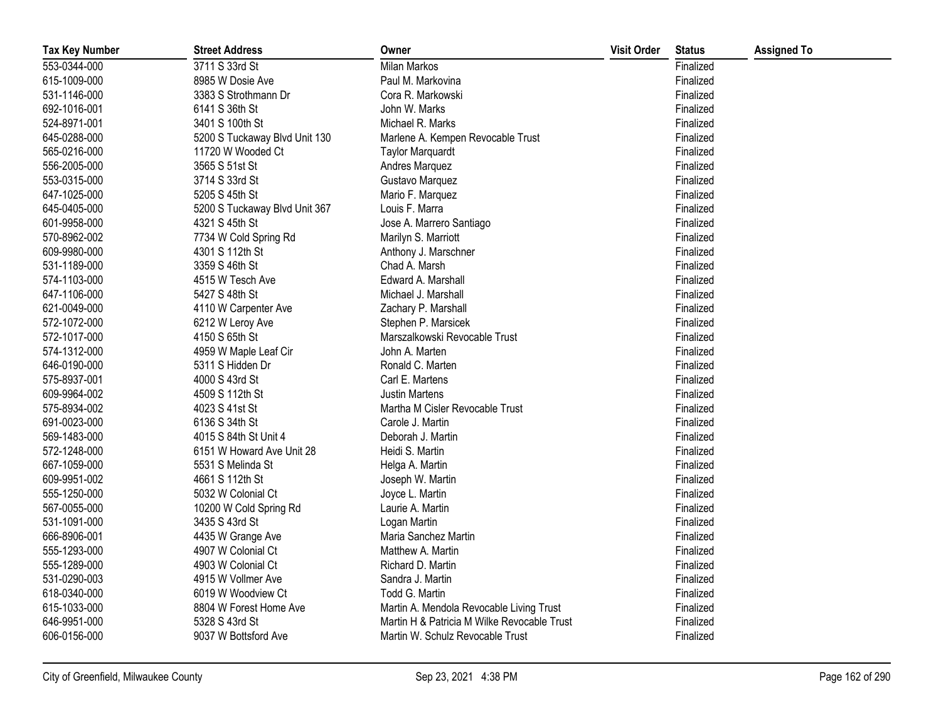| <b>Tax Key Number</b> | <b>Street Address</b>         | Owner                                       | <b>Visit Order</b> | <b>Status</b> | <b>Assigned To</b> |
|-----------------------|-------------------------------|---------------------------------------------|--------------------|---------------|--------------------|
| 553-0344-000          | 3711 S 33rd St                | Milan Markos                                |                    | Finalized     |                    |
| 615-1009-000          | 8985 W Dosie Ave              | Paul M. Markovina                           |                    | Finalized     |                    |
| 531-1146-000          | 3383 S Strothmann Dr          | Cora R. Markowski                           |                    | Finalized     |                    |
| 692-1016-001          | 6141 S 36th St                | John W. Marks                               |                    | Finalized     |                    |
| 524-8971-001          | 3401 S 100th St               | Michael R. Marks                            |                    | Finalized     |                    |
| 645-0288-000          | 5200 S Tuckaway Blvd Unit 130 | Marlene A. Kempen Revocable Trust           |                    | Finalized     |                    |
| 565-0216-000          | 11720 W Wooded Ct             | <b>Taylor Marquardt</b>                     |                    | Finalized     |                    |
| 556-2005-000          | 3565 S 51st St                | Andres Marquez                              |                    | Finalized     |                    |
| 553-0315-000          | 3714 S 33rd St                | Gustavo Marquez                             |                    | Finalized     |                    |
| 647-1025-000          | 5205 S 45th St                | Mario F. Marquez                            |                    | Finalized     |                    |
| 645-0405-000          | 5200 S Tuckaway Blvd Unit 367 | Louis F. Marra                              |                    | Finalized     |                    |
| 601-9958-000          | 4321 S 45th St                | Jose A. Marrero Santiago                    |                    | Finalized     |                    |
| 570-8962-002          | 7734 W Cold Spring Rd         | Marilyn S. Marriott                         |                    | Finalized     |                    |
| 609-9980-000          | 4301 S 112th St               | Anthony J. Marschner                        |                    | Finalized     |                    |
| 531-1189-000          | 3359 S 46th St                | Chad A. Marsh                               |                    | Finalized     |                    |
| 574-1103-000          | 4515 W Tesch Ave              | Edward A. Marshall                          |                    | Finalized     |                    |
| 647-1106-000          | 5427 S 48th St                | Michael J. Marshall                         |                    | Finalized     |                    |
| 621-0049-000          | 4110 W Carpenter Ave          | Zachary P. Marshall                         |                    | Finalized     |                    |
| 572-1072-000          | 6212 W Leroy Ave              | Stephen P. Marsicek                         |                    | Finalized     |                    |
| 572-1017-000          | 4150 S 65th St                | Marszalkowski Revocable Trust               |                    | Finalized     |                    |
| 574-1312-000          | 4959 W Maple Leaf Cir         | John A. Marten                              |                    | Finalized     |                    |
| 646-0190-000          | 5311 S Hidden Dr              | Ronald C. Marten                            |                    | Finalized     |                    |
| 575-8937-001          | 4000 S 43rd St                | Carl E. Martens                             |                    | Finalized     |                    |
| 609-9964-002          | 4509 S 112th St               | <b>Justin Martens</b>                       |                    | Finalized     |                    |
| 575-8934-002          | 4023 S 41st St                | Martha M Cisler Revocable Trust             |                    | Finalized     |                    |
| 691-0023-000          | 6136 S 34th St                | Carole J. Martin                            |                    | Finalized     |                    |
| 569-1483-000          | 4015 S 84th St Unit 4         | Deborah J. Martin                           |                    | Finalized     |                    |
| 572-1248-000          | 6151 W Howard Ave Unit 28     | Heidi S. Martin                             |                    | Finalized     |                    |
| 667-1059-000          | 5531 S Melinda St             | Helga A. Martin                             |                    | Finalized     |                    |
| 609-9951-002          | 4661 S 112th St               | Joseph W. Martin                            |                    | Finalized     |                    |
| 555-1250-000          | 5032 W Colonial Ct            | Joyce L. Martin                             |                    | Finalized     |                    |
| 567-0055-000          | 10200 W Cold Spring Rd        | Laurie A. Martin                            |                    | Finalized     |                    |
| 531-1091-000          | 3435 S 43rd St                | Logan Martin                                |                    | Finalized     |                    |
| 666-8906-001          | 4435 W Grange Ave             | Maria Sanchez Martin                        |                    | Finalized     |                    |
| 555-1293-000          | 4907 W Colonial Ct            | Matthew A. Martin                           |                    | Finalized     |                    |
| 555-1289-000          | 4903 W Colonial Ct            | Richard D. Martin                           |                    | Finalized     |                    |
| 531-0290-003          | 4915 W Vollmer Ave            | Sandra J. Martin                            |                    | Finalized     |                    |
| 618-0340-000          | 6019 W Woodview Ct            | Todd G. Martin                              |                    | Finalized     |                    |
| 615-1033-000          | 8804 W Forest Home Ave        | Martin A. Mendola Revocable Living Trust    |                    | Finalized     |                    |
| 646-9951-000          | 5328 S 43rd St                | Martin H & Patricia M Wilke Revocable Trust |                    | Finalized     |                    |
| 606-0156-000          | 9037 W Bottsford Ave          | Martin W. Schulz Revocable Trust            |                    | Finalized     |                    |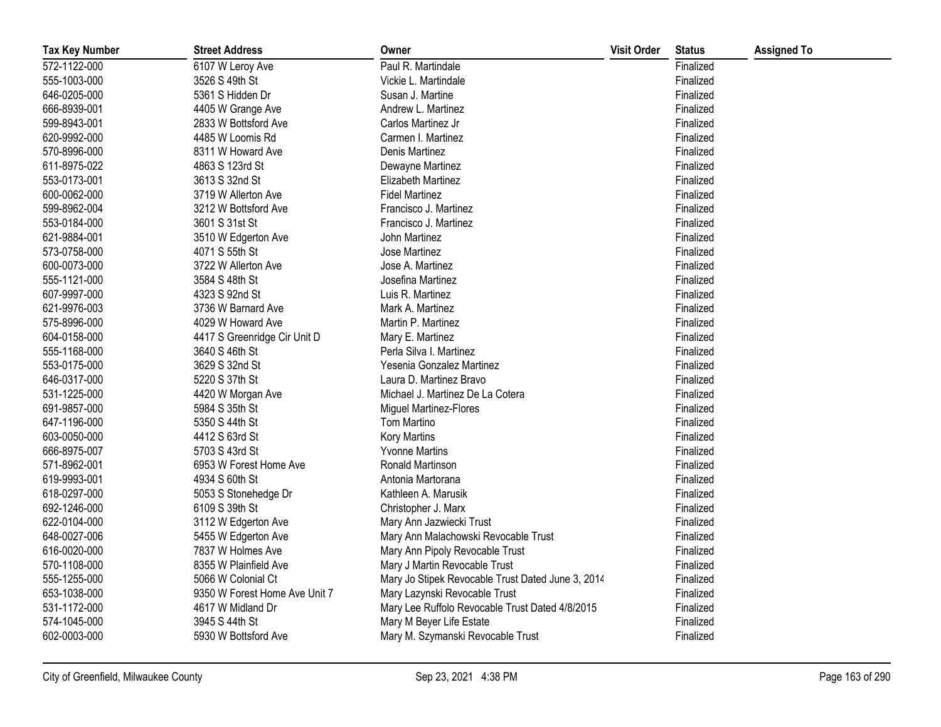| <b>Tax Key Number</b> | <b>Street Address</b>         | Owner                                             | <b>Visit Order</b> | <b>Status</b> | <b>Assigned To</b> |
|-----------------------|-------------------------------|---------------------------------------------------|--------------------|---------------|--------------------|
| 572-1122-000          | 6107 W Leroy Ave              | Paul R. Martindale                                |                    | Finalized     |                    |
| 555-1003-000          | 3526 S 49th St                | Vickie L. Martindale                              |                    | Finalized     |                    |
| 646-0205-000          | 5361 S Hidden Dr              | Susan J. Martine                                  |                    | Finalized     |                    |
| 666-8939-001          | 4405 W Grange Ave             | Andrew L. Martinez                                |                    | Finalized     |                    |
| 599-8943-001          | 2833 W Bottsford Ave          | Carlos Martinez Jr                                |                    | Finalized     |                    |
| 620-9992-000          | 4485 W Loomis Rd              | Carmen I. Martinez                                |                    | Finalized     |                    |
| 570-8996-000          | 8311 W Howard Ave             | Denis Martinez                                    |                    | Finalized     |                    |
| 611-8975-022          | 4863 S 123rd St               | Dewayne Martinez                                  |                    | Finalized     |                    |
| 553-0173-001          | 3613 S 32nd St                | Elizabeth Martinez                                |                    | Finalized     |                    |
| 600-0062-000          | 3719 W Allerton Ave           | <b>Fidel Martinez</b>                             |                    | Finalized     |                    |
| 599-8962-004          | 3212 W Bottsford Ave          | Francisco J. Martinez                             |                    | Finalized     |                    |
| 553-0184-000          | 3601 S 31st St                | Francisco J. Martinez                             |                    | Finalized     |                    |
| 621-9884-001          | 3510 W Edgerton Ave           | John Martinez                                     |                    | Finalized     |                    |
| 573-0758-000          | 4071 S 55th St                | Jose Martinez                                     |                    | Finalized     |                    |
| 600-0073-000          | 3722 W Allerton Ave           | Jose A. Martinez                                  |                    | Finalized     |                    |
| 555-1121-000          | 3584 S 48th St                | Josefina Martinez                                 |                    | Finalized     |                    |
| 607-9997-000          | 4323 S 92nd St                | Luis R. Martinez                                  |                    | Finalized     |                    |
| 621-9976-003          | 3736 W Barnard Ave            | Mark A. Martinez                                  |                    | Finalized     |                    |
| 575-8996-000          | 4029 W Howard Ave             | Martin P. Martinez                                |                    | Finalized     |                    |
| 604-0158-000          | 4417 S Greenridge Cir Unit D  | Mary E. Martinez                                  |                    | Finalized     |                    |
| 555-1168-000          | 3640 S 46th St                | Perla Silva I. Martinez                           |                    | Finalized     |                    |
| 553-0175-000          | 3629 S 32nd St                | Yesenia Gonzalez Martinez                         |                    | Finalized     |                    |
| 646-0317-000          | 5220 S 37th St                | Laura D. Martinez Bravo                           |                    | Finalized     |                    |
| 531-1225-000          | 4420 W Morgan Ave             | Michael J. Martinez De La Cotera                  |                    | Finalized     |                    |
| 691-9857-000          | 5984 S 35th St                | Miguel Martinez-Flores                            |                    | Finalized     |                    |
| 647-1196-000          | 5350 S 44th St                | Tom Martino                                       |                    | Finalized     |                    |
| 603-0050-000          | 4412 S 63rd St                | Kory Martins                                      |                    | Finalized     |                    |
| 666-8975-007          | 5703 S 43rd St                | <b>Yvonne Martins</b>                             |                    | Finalized     |                    |
| 571-8962-001          | 6953 W Forest Home Ave        | Ronald Martinson                                  |                    | Finalized     |                    |
| 619-9993-001          | 4934 S 60th St                | Antonia Martorana                                 |                    | Finalized     |                    |
| 618-0297-000          | 5053 S Stonehedge Dr          | Kathleen A. Marusik                               |                    | Finalized     |                    |
| 692-1246-000          | 6109 S 39th St                | Christopher J. Marx                               |                    | Finalized     |                    |
| 622-0104-000          | 3112 W Edgerton Ave           | Mary Ann Jazwiecki Trust                          |                    | Finalized     |                    |
| 648-0027-006          | 5455 W Edgerton Ave           | Mary Ann Malachowski Revocable Trust              |                    | Finalized     |                    |
| 616-0020-000          | 7837 W Holmes Ave             | Mary Ann Pipoly Revocable Trust                   |                    | Finalized     |                    |
| 570-1108-000          | 8355 W Plainfield Ave         | Mary J Martin Revocable Trust                     |                    | Finalized     |                    |
| 555-1255-000          | 5066 W Colonial Ct            | Mary Jo Stipek Revocable Trust Dated June 3, 2014 |                    | Finalized     |                    |
| 653-1038-000          | 9350 W Forest Home Ave Unit 7 | Mary Lazynski Revocable Trust                     |                    | Finalized     |                    |
| 531-1172-000          | 4617 W Midland Dr             | Mary Lee Ruffolo Revocable Trust Dated 4/8/2015   |                    | Finalized     |                    |
| 574-1045-000          | 3945 S 44th St                | Mary M Beyer Life Estate                          |                    | Finalized     |                    |
| 602-0003-000          | 5930 W Bottsford Ave          | Mary M. Szymanski Revocable Trust                 |                    | Finalized     |                    |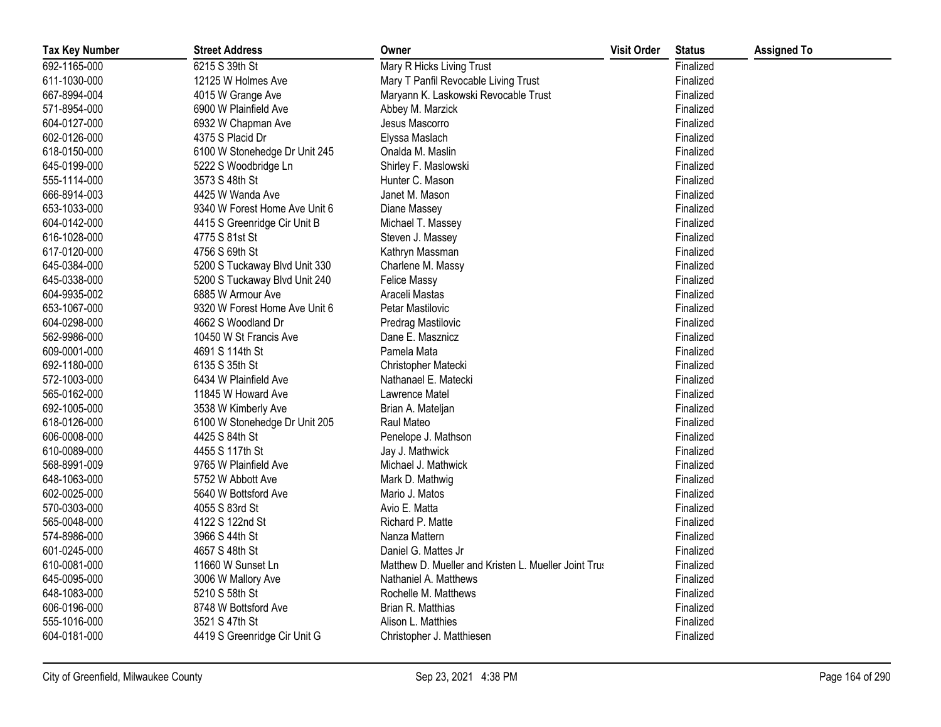| <b>Tax Key Number</b> | <b>Street Address</b>         | Owner                                                | <b>Visit Order</b> | <b>Status</b> | <b>Assigned To</b> |
|-----------------------|-------------------------------|------------------------------------------------------|--------------------|---------------|--------------------|
| 692-1165-000          | 6215 S 39th St                | Mary R Hicks Living Trust                            |                    | Finalized     |                    |
| 611-1030-000          | 12125 W Holmes Ave            | Mary T Panfil Revocable Living Trust                 |                    | Finalized     |                    |
| 667-8994-004          | 4015 W Grange Ave             | Maryann K. Laskowski Revocable Trust                 |                    | Finalized     |                    |
| 571-8954-000          | 6900 W Plainfield Ave         | Abbey M. Marzick                                     |                    | Finalized     |                    |
| 604-0127-000          | 6932 W Chapman Ave            | Jesus Mascorro                                       |                    | Finalized     |                    |
| 602-0126-000          | 4375 S Placid Dr              | Elyssa Maslach                                       |                    | Finalized     |                    |
| 618-0150-000          | 6100 W Stonehedge Dr Unit 245 | Onalda M. Maslin                                     |                    | Finalized     |                    |
| 645-0199-000          | 5222 S Woodbridge Ln          | Shirley F. Maslowski                                 |                    | Finalized     |                    |
| 555-1114-000          | 3573 S 48th St                | Hunter C. Mason                                      |                    | Finalized     |                    |
| 666-8914-003          | 4425 W Wanda Ave              | Janet M. Mason                                       |                    | Finalized     |                    |
| 653-1033-000          | 9340 W Forest Home Ave Unit 6 | Diane Massey                                         |                    | Finalized     |                    |
| 604-0142-000          | 4415 S Greenridge Cir Unit B  | Michael T. Massey                                    |                    | Finalized     |                    |
| 616-1028-000          | 4775 S 81st St                | Steven J. Massey                                     |                    | Finalized     |                    |
| 617-0120-000          | 4756 S 69th St                | Kathryn Massman                                      |                    | Finalized     |                    |
| 645-0384-000          | 5200 S Tuckaway Blvd Unit 330 | Charlene M. Massy                                    |                    | Finalized     |                    |
| 645-0338-000          | 5200 S Tuckaway Blvd Unit 240 | <b>Felice Massy</b>                                  |                    | Finalized     |                    |
| 604-9935-002          | 6885 W Armour Ave             | Araceli Mastas                                       |                    | Finalized     |                    |
| 653-1067-000          | 9320 W Forest Home Ave Unit 6 | Petar Mastilovic                                     |                    | Finalized     |                    |
| 604-0298-000          | 4662 S Woodland Dr            | Predrag Mastilovic                                   |                    | Finalized     |                    |
| 562-9986-000          | 10450 W St Francis Ave        | Dane E. Masznicz                                     |                    | Finalized     |                    |
| 609-0001-000          | 4691 S 114th St               | Pamela Mata                                          |                    | Finalized     |                    |
| 692-1180-000          | 6135 S 35th St                | Christopher Matecki                                  |                    | Finalized     |                    |
| 572-1003-000          | 6434 W Plainfield Ave         | Nathanael E. Matecki                                 |                    | Finalized     |                    |
| 565-0162-000          | 11845 W Howard Ave            | Lawrence Matel                                       |                    | Finalized     |                    |
| 692-1005-000          | 3538 W Kimberly Ave           | Brian A. Mateljan                                    |                    | Finalized     |                    |
| 618-0126-000          | 6100 W Stonehedge Dr Unit 205 | Raul Mateo                                           |                    | Finalized     |                    |
| 606-0008-000          | 4425 S 84th St                | Penelope J. Mathson                                  |                    | Finalized     |                    |
| 610-0089-000          | 4455 S 117th St               | Jay J. Mathwick                                      |                    | Finalized     |                    |
| 568-8991-009          | 9765 W Plainfield Ave         | Michael J. Mathwick                                  |                    | Finalized     |                    |
| 648-1063-000          | 5752 W Abbott Ave             | Mark D. Mathwig                                      |                    | Finalized     |                    |
| 602-0025-000          | 5640 W Bottsford Ave          | Mario J. Matos                                       |                    | Finalized     |                    |
| 570-0303-000          | 4055 S 83rd St                | Avio E. Matta                                        |                    | Finalized     |                    |
| 565-0048-000          | 4122 S 122nd St               | Richard P. Matte                                     |                    | Finalized     |                    |
| 574-8986-000          | 3966 S 44th St                | Nanza Mattern                                        |                    | Finalized     |                    |
| 601-0245-000          | 4657 S 48th St                | Daniel G. Mattes Jr                                  |                    | Finalized     |                    |
| 610-0081-000          | 11660 W Sunset Ln             | Matthew D. Mueller and Kristen L. Mueller Joint Trus |                    | Finalized     |                    |
| 645-0095-000          | 3006 W Mallory Ave            | Nathaniel A. Matthews                                |                    | Finalized     |                    |
| 648-1083-000          | 5210 S 58th St                | Rochelle M. Matthews                                 |                    | Finalized     |                    |
| 606-0196-000          | 8748 W Bottsford Ave          | Brian R. Matthias                                    |                    | Finalized     |                    |
| 555-1016-000          | 3521 S 47th St                | Alison L. Matthies                                   |                    | Finalized     |                    |
| 604-0181-000          | 4419 S Greenridge Cir Unit G  | Christopher J. Matthiesen                            |                    | Finalized     |                    |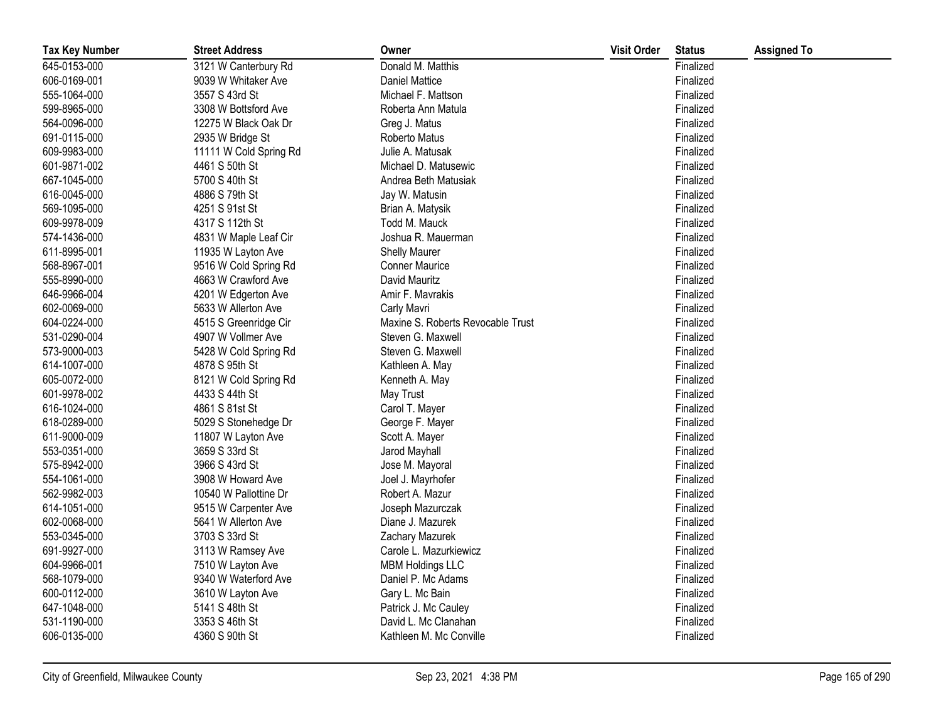| <b>Tax Key Number</b> | <b>Street Address</b>  | Owner                             | <b>Visit Order</b> | <b>Status</b> | <b>Assigned To</b> |
|-----------------------|------------------------|-----------------------------------|--------------------|---------------|--------------------|
| 645-0153-000          | 3121 W Canterbury Rd   | Donald M. Matthis                 |                    | Finalized     |                    |
| 606-0169-001          | 9039 W Whitaker Ave    | <b>Daniel Mattice</b>             |                    | Finalized     |                    |
| 555-1064-000          | 3557 S 43rd St         | Michael F. Mattson                |                    | Finalized     |                    |
| 599-8965-000          | 3308 W Bottsford Ave   | Roberta Ann Matula                |                    | Finalized     |                    |
| 564-0096-000          | 12275 W Black Oak Dr   | Greg J. Matus                     |                    | Finalized     |                    |
| 691-0115-000          | 2935 W Bridge St       | Roberto Matus                     |                    | Finalized     |                    |
| 609-9983-000          | 11111 W Cold Spring Rd | Julie A. Matusak                  |                    | Finalized     |                    |
| 601-9871-002          | 4461 S 50th St         | Michael D. Matusewic              |                    | Finalized     |                    |
| 667-1045-000          | 5700 S 40th St         | Andrea Beth Matusiak              |                    | Finalized     |                    |
| 616-0045-000          | 4886 S 79th St         | Jay W. Matusin                    |                    | Finalized     |                    |
| 569-1095-000          | 4251 S 91st St         | Brian A. Matysik                  |                    | Finalized     |                    |
| 609-9978-009          | 4317 S 112th St        | Todd M. Mauck                     |                    | Finalized     |                    |
| 574-1436-000          | 4831 W Maple Leaf Cir  | Joshua R. Mauerman                |                    | Finalized     |                    |
| 611-8995-001          | 11935 W Layton Ave     | <b>Shelly Maurer</b>              |                    | Finalized     |                    |
| 568-8967-001          | 9516 W Cold Spring Rd  | <b>Conner Maurice</b>             |                    | Finalized     |                    |
| 555-8990-000          | 4663 W Crawford Ave    | David Mauritz                     |                    | Finalized     |                    |
| 646-9966-004          | 4201 W Edgerton Ave    | Amir F. Mavrakis                  |                    | Finalized     |                    |
| 602-0069-000          | 5633 W Allerton Ave    | Carly Mavri                       |                    | Finalized     |                    |
| 604-0224-000          | 4515 S Greenridge Cir  | Maxine S. Roberts Revocable Trust |                    | Finalized     |                    |
| 531-0290-004          | 4907 W Vollmer Ave     | Steven G. Maxwell                 |                    | Finalized     |                    |
| 573-9000-003          | 5428 W Cold Spring Rd  | Steven G. Maxwell                 |                    | Finalized     |                    |
| 614-1007-000          | 4878 S 95th St         | Kathleen A. May                   |                    | Finalized     |                    |
| 605-0072-000          | 8121 W Cold Spring Rd  | Kenneth A. May                    |                    | Finalized     |                    |
| 601-9978-002          | 4433 S 44th St         | May Trust                         |                    | Finalized     |                    |
| 616-1024-000          | 4861 S 81st St         | Carol T. Mayer                    |                    | Finalized     |                    |
| 618-0289-000          | 5029 S Stonehedge Dr   | George F. Mayer                   |                    | Finalized     |                    |
| 611-9000-009          | 11807 W Layton Ave     | Scott A. Mayer                    |                    | Finalized     |                    |
| 553-0351-000          | 3659 S 33rd St         | Jarod Mayhall                     |                    | Finalized     |                    |
| 575-8942-000          | 3966 S 43rd St         | Jose M. Mayoral                   |                    | Finalized     |                    |
| 554-1061-000          | 3908 W Howard Ave      | Joel J. Mayrhofer                 |                    | Finalized     |                    |
| 562-9982-003          | 10540 W Pallottine Dr  | Robert A. Mazur                   |                    | Finalized     |                    |
| 614-1051-000          | 9515 W Carpenter Ave   | Joseph Mazurczak                  |                    | Finalized     |                    |
| 602-0068-000          | 5641 W Allerton Ave    | Diane J. Mazurek                  |                    | Finalized     |                    |
| 553-0345-000          | 3703 S 33rd St         | Zachary Mazurek                   |                    | Finalized     |                    |
| 691-9927-000          | 3113 W Ramsey Ave      | Carole L. Mazurkiewicz            |                    | Finalized     |                    |
| 604-9966-001          | 7510 W Layton Ave      | <b>MBM Holdings LLC</b>           |                    | Finalized     |                    |
| 568-1079-000          | 9340 W Waterford Ave   | Daniel P. Mc Adams                |                    | Finalized     |                    |
| 600-0112-000          | 3610 W Layton Ave      | Gary L. Mc Bain                   |                    | Finalized     |                    |
| 647-1048-000          | 5141 S 48th St         | Patrick J. Mc Cauley              |                    | Finalized     |                    |
| 531-1190-000          | 3353 S 46th St         | David L. Mc Clanahan              |                    | Finalized     |                    |
| 606-0135-000          | 4360 S 90th St         | Kathleen M. Mc Conville           |                    | Finalized     |                    |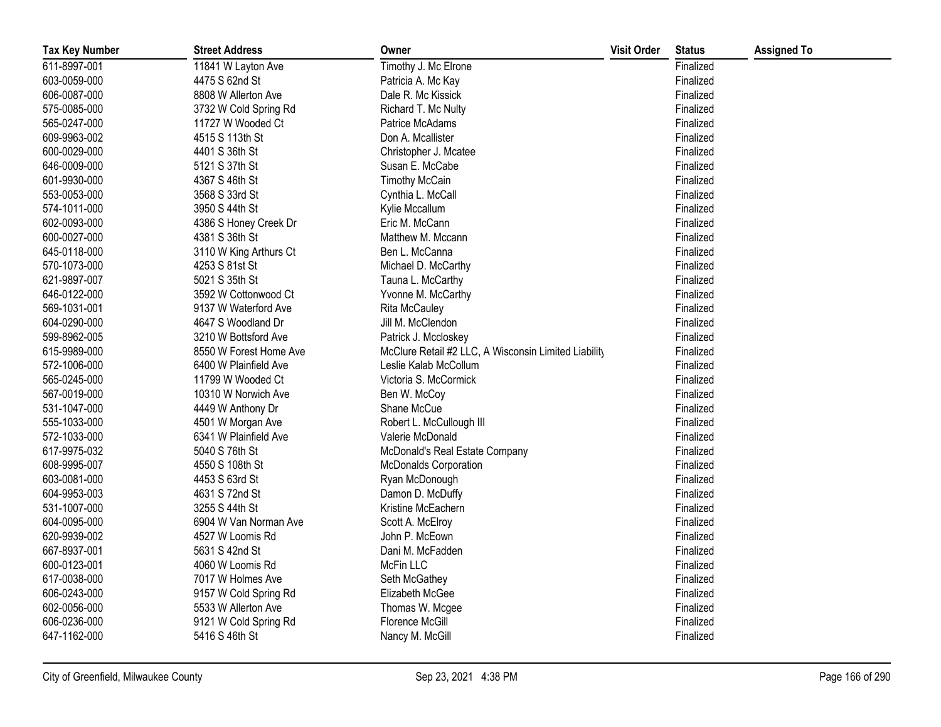| <b>Tax Key Number</b> | <b>Street Address</b>  | Owner                                                | <b>Visit Order</b> | <b>Status</b> | <b>Assigned To</b> |
|-----------------------|------------------------|------------------------------------------------------|--------------------|---------------|--------------------|
| 611-8997-001          | 11841 W Layton Ave     | Timothy J. Mc Elrone                                 |                    | Finalized     |                    |
| 603-0059-000          | 4475 S 62nd St         | Patricia A. Mc Kay                                   |                    | Finalized     |                    |
| 606-0087-000          | 8808 W Allerton Ave    | Dale R. Mc Kissick                                   |                    | Finalized     |                    |
| 575-0085-000          | 3732 W Cold Spring Rd  | Richard T. Mc Nulty                                  |                    | Finalized     |                    |
| 565-0247-000          | 11727 W Wooded Ct      | Patrice McAdams                                      |                    | Finalized     |                    |
| 609-9963-002          | 4515 S 113th St        | Don A. Mcallister                                    |                    | Finalized     |                    |
| 600-0029-000          | 4401 S 36th St         | Christopher J. Mcatee                                |                    | Finalized     |                    |
| 646-0009-000          | 5121 S 37th St         | Susan E. McCabe                                      |                    | Finalized     |                    |
| 601-9930-000          | 4367 S 46th St         | <b>Timothy McCain</b>                                |                    | Finalized     |                    |
| 553-0053-000          | 3568 S 33rd St         | Cynthia L. McCall                                    |                    | Finalized     |                    |
| 574-1011-000          | 3950 S 44th St         | Kylie Mccallum                                       |                    | Finalized     |                    |
| 602-0093-000          | 4386 S Honey Creek Dr  | Eric M. McCann                                       |                    | Finalized     |                    |
| 600-0027-000          | 4381 S 36th St         | Matthew M. Mccann                                    |                    | Finalized     |                    |
| 645-0118-000          | 3110 W King Arthurs Ct | Ben L. McCanna                                       |                    | Finalized     |                    |
| 570-1073-000          | 4253 S 81st St         | Michael D. McCarthy                                  |                    | Finalized     |                    |
| 621-9897-007          | 5021 S 35th St         | Tauna L. McCarthy                                    |                    | Finalized     |                    |
| 646-0122-000          | 3592 W Cottonwood Ct   | Yvonne M. McCarthy                                   |                    | Finalized     |                    |
| 569-1031-001          | 9137 W Waterford Ave   | <b>Rita McCauley</b>                                 |                    | Finalized     |                    |
| 604-0290-000          | 4647 S Woodland Dr     | Jill M. McClendon                                    |                    | Finalized     |                    |
| 599-8962-005          | 3210 W Bottsford Ave   | Patrick J. Mccloskey                                 |                    | Finalized     |                    |
| 615-9989-000          | 8550 W Forest Home Ave | McClure Retail #2 LLC, A Wisconsin Limited Liability |                    | Finalized     |                    |
| 572-1006-000          | 6400 W Plainfield Ave  | Leslie Kalab McCollum                                |                    | Finalized     |                    |
| 565-0245-000          | 11799 W Wooded Ct      | Victoria S. McCormick                                |                    | Finalized     |                    |
| 567-0019-000          | 10310 W Norwich Ave    | Ben W. McCoy                                         |                    | Finalized     |                    |
| 531-1047-000          | 4449 W Anthony Dr      | Shane McCue                                          |                    | Finalized     |                    |
| 555-1033-000          | 4501 W Morgan Ave      | Robert L. McCullough III                             |                    | Finalized     |                    |
| 572-1033-000          | 6341 W Plainfield Ave  | Valerie McDonald                                     |                    | Finalized     |                    |
| 617-9975-032          | 5040 S 76th St         | McDonald's Real Estate Company                       |                    | Finalized     |                    |
| 608-9995-007          | 4550 S 108th St        | <b>McDonalds Corporation</b>                         |                    | Finalized     |                    |
| 603-0081-000          | 4453 S 63rd St         | Ryan McDonough                                       |                    | Finalized     |                    |
| 604-9953-003          | 4631 S 72nd St         | Damon D. McDuffy                                     |                    | Finalized     |                    |
| 531-1007-000          | 3255 S 44th St         | Kristine McEachern                                   |                    | Finalized     |                    |
| 604-0095-000          | 6904 W Van Norman Ave  | Scott A. McElroy                                     |                    | Finalized     |                    |
| 620-9939-002          | 4527 W Loomis Rd       | John P. McEown                                       |                    | Finalized     |                    |
| 667-8937-001          | 5631 S 42nd St         | Dani M. McFadden                                     |                    | Finalized     |                    |
| 600-0123-001          | 4060 W Loomis Rd       | McFin LLC                                            |                    | Finalized     |                    |
| 617-0038-000          | 7017 W Holmes Ave      | Seth McGathey                                        |                    | Finalized     |                    |
| 606-0243-000          | 9157 W Cold Spring Rd  | Elizabeth McGee                                      |                    | Finalized     |                    |
| 602-0056-000          | 5533 W Allerton Ave    | Thomas W. Mcgee                                      |                    | Finalized     |                    |
| 606-0236-000          | 9121 W Cold Spring Rd  | Florence McGill                                      |                    | Finalized     |                    |
| 647-1162-000          | 5416 S 46th St         | Nancy M. McGill                                      |                    | Finalized     |                    |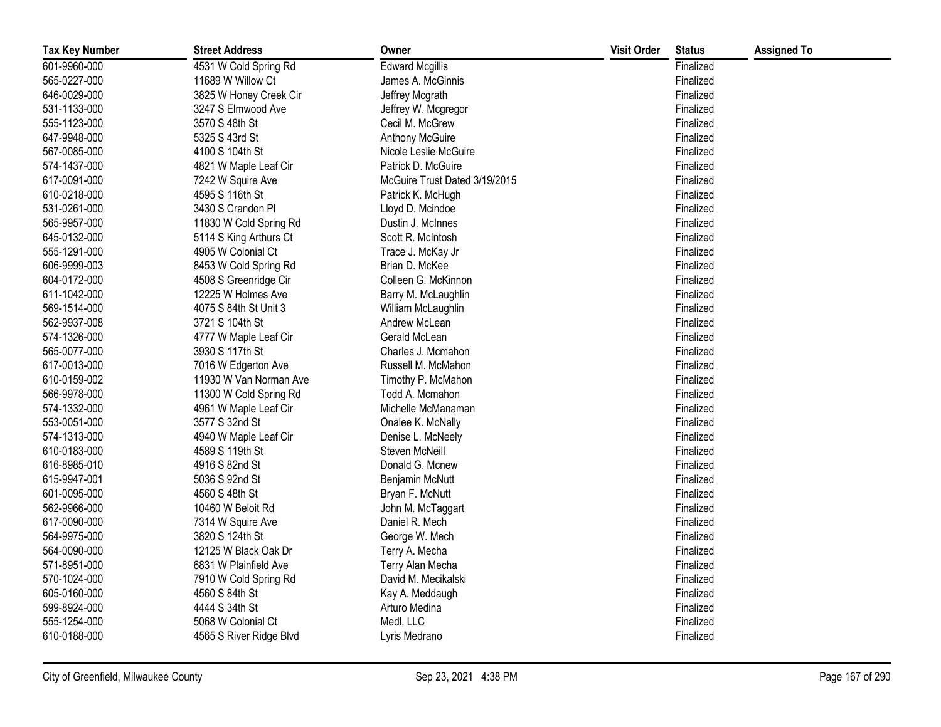| <b>Tax Key Number</b> | <b>Street Address</b>   | Owner                         | <b>Visit Order</b> | <b>Status</b> | <b>Assigned To</b> |
|-----------------------|-------------------------|-------------------------------|--------------------|---------------|--------------------|
| 601-9960-000          | 4531 W Cold Spring Rd   | <b>Edward Mcgillis</b>        |                    | Finalized     |                    |
| 565-0227-000          | 11689 W Willow Ct       | James A. McGinnis             |                    | Finalized     |                    |
| 646-0029-000          | 3825 W Honey Creek Cir  | Jeffrey Mcgrath               |                    | Finalized     |                    |
| 531-1133-000          | 3247 S Elmwood Ave      | Jeffrey W. Mcgregor           |                    | Finalized     |                    |
| 555-1123-000          | 3570 S 48th St          | Cecil M. McGrew               |                    | Finalized     |                    |
| 647-9948-000          | 5325 S 43rd St          | Anthony McGuire               |                    | Finalized     |                    |
| 567-0085-000          | 4100 S 104th St         | Nicole Leslie McGuire         |                    | Finalized     |                    |
| 574-1437-000          | 4821 W Maple Leaf Cir   | Patrick D. McGuire            |                    | Finalized     |                    |
| 617-0091-000          | 7242 W Squire Ave       | McGuire Trust Dated 3/19/2015 |                    | Finalized     |                    |
| 610-0218-000          | 4595 S 116th St         | Patrick K. McHugh             |                    | Finalized     |                    |
| 531-0261-000          | 3430 S Crandon Pl       | Lloyd D. Mcindoe              |                    | Finalized     |                    |
| 565-9957-000          | 11830 W Cold Spring Rd  | Dustin J. McInnes             |                    | Finalized     |                    |
| 645-0132-000          | 5114 S King Arthurs Ct  | Scott R. McIntosh             |                    | Finalized     |                    |
| 555-1291-000          | 4905 W Colonial Ct      | Trace J. McKay Jr             |                    | Finalized     |                    |
| 606-9999-003          | 8453 W Cold Spring Rd   | Brian D. McKee                |                    | Finalized     |                    |
| 604-0172-000          | 4508 S Greenridge Cir   | Colleen G. McKinnon           |                    | Finalized     |                    |
| 611-1042-000          | 12225 W Holmes Ave      | Barry M. McLaughlin           |                    | Finalized     |                    |
| 569-1514-000          | 4075 S 84th St Unit 3   | William McLaughlin            |                    | Finalized     |                    |
| 562-9937-008          | 3721 S 104th St         | Andrew McLean                 |                    | Finalized     |                    |
| 574-1326-000          | 4777 W Maple Leaf Cir   | Gerald McLean                 |                    | Finalized     |                    |
| 565-0077-000          | 3930 S 117th St         | Charles J. Mcmahon            |                    | Finalized     |                    |
| 617-0013-000          | 7016 W Edgerton Ave     | Russell M. McMahon            |                    | Finalized     |                    |
| 610-0159-002          | 11930 W Van Norman Ave  | Timothy P. McMahon            |                    | Finalized     |                    |
| 566-9978-000          | 11300 W Cold Spring Rd  | Todd A. Mcmahon               |                    | Finalized     |                    |
| 574-1332-000          | 4961 W Maple Leaf Cir   | Michelle McManaman            |                    | Finalized     |                    |
| 553-0051-000          | 3577 S 32nd St          | Onalee K. McNally             |                    | Finalized     |                    |
| 574-1313-000          | 4940 W Maple Leaf Cir   | Denise L. McNeely             |                    | Finalized     |                    |
| 610-0183-000          | 4589 S 119th St         | Steven McNeill                |                    | Finalized     |                    |
| 616-8985-010          | 4916 S 82nd St          | Donald G. Mcnew               |                    | Finalized     |                    |
| 615-9947-001          | 5036 S 92nd St          | Benjamin McNutt               |                    | Finalized     |                    |
| 601-0095-000          | 4560 S 48th St          | Bryan F. McNutt               |                    | Finalized     |                    |
| 562-9966-000          | 10460 W Beloit Rd       | John M. McTaggart             |                    | Finalized     |                    |
| 617-0090-000          | 7314 W Squire Ave       | Daniel R. Mech                |                    | Finalized     |                    |
| 564-9975-000          | 3820 S 124th St         | George W. Mech                |                    | Finalized     |                    |
| 564-0090-000          | 12125 W Black Oak Dr    | Terry A. Mecha                |                    | Finalized     |                    |
| 571-8951-000          | 6831 W Plainfield Ave   | Terry Alan Mecha              |                    | Finalized     |                    |
| 570-1024-000          | 7910 W Cold Spring Rd   | David M. Mecikalski           |                    | Finalized     |                    |
| 605-0160-000          | 4560 S 84th St          | Kay A. Meddaugh               |                    | Finalized     |                    |
| 599-8924-000          | 4444 S 34th St          | Arturo Medina                 |                    | Finalized     |                    |
| 555-1254-000          | 5068 W Colonial Ct      | Medl, LLC                     |                    | Finalized     |                    |
| 610-0188-000          | 4565 S River Ridge Blvd | Lyris Medrano                 |                    | Finalized     |                    |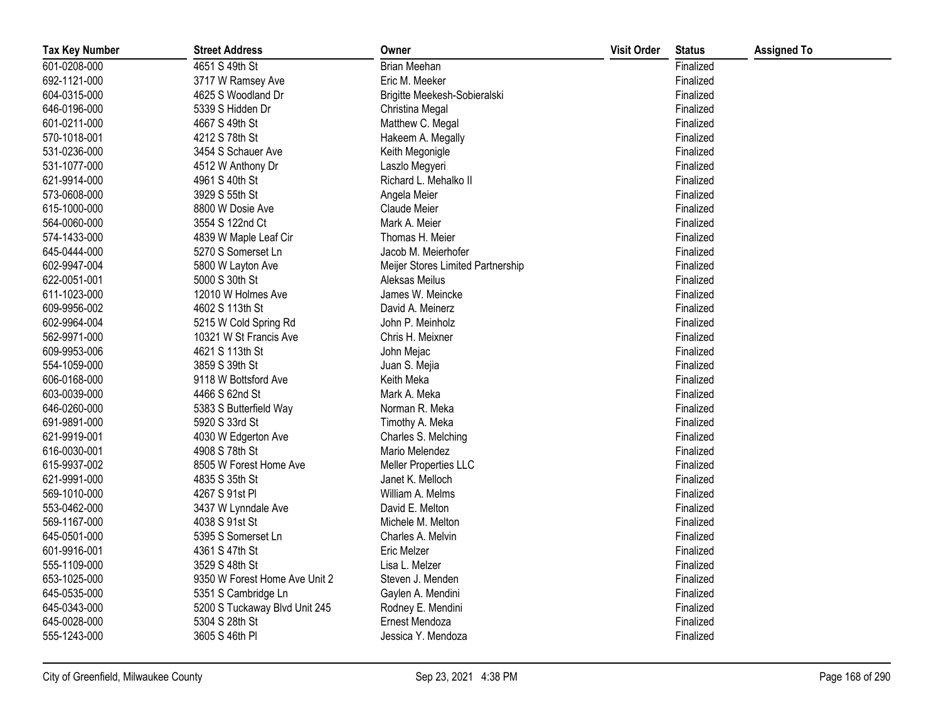| <b>Tax Key Number</b> | <b>Street Address</b>         | Owner                             | <b>Visit Order</b> | <b>Status</b> | <b>Assigned To</b> |
|-----------------------|-------------------------------|-----------------------------------|--------------------|---------------|--------------------|
| 601-0208-000          | 4651 S 49th St                | Brian Meehan                      |                    | Finalized     |                    |
| 692-1121-000          | 3717 W Ramsey Ave             | Eric M. Meeker                    |                    | Finalized     |                    |
| 604-0315-000          | 4625 S Woodland Dr            | Brigitte Meekesh-Sobieralski      |                    | Finalized     |                    |
| 646-0196-000          | 5339 S Hidden Dr              | Christina Megal                   |                    | Finalized     |                    |
| 601-0211-000          | 4667 S 49th St                | Matthew C. Megal                  |                    | Finalized     |                    |
| 570-1018-001          | 4212 S 78th St                | Hakeem A. Megally                 |                    | Finalized     |                    |
| 531-0236-000          | 3454 S Schauer Ave            | Keith Megonigle                   |                    | Finalized     |                    |
| 531-1077-000          | 4512 W Anthony Dr             | Laszlo Megyeri                    |                    | Finalized     |                    |
| 621-9914-000          | 4961 S 40th St                | Richard L. Mehalko II             |                    | Finalized     |                    |
| 573-0608-000          | 3929 S 55th St                | Angela Meier                      |                    | Finalized     |                    |
| 615-1000-000          | 8800 W Dosie Ave              | Claude Meier                      |                    | Finalized     |                    |
| 564-0060-000          | 3554 S 122nd Ct               | Mark A. Meier                     |                    | Finalized     |                    |
| 574-1433-000          | 4839 W Maple Leaf Cir         | Thomas H. Meier                   |                    | Finalized     |                    |
| 645-0444-000          | 5270 S Somerset Ln            | Jacob M. Meierhofer               |                    | Finalized     |                    |
| 602-9947-004          | 5800 W Layton Ave             | Meijer Stores Limited Partnership |                    | Finalized     |                    |
| 622-0051-001          | 5000 S 30th St                | Aleksas Meilus                    |                    | Finalized     |                    |
| 611-1023-000          | 12010 W Holmes Ave            | James W. Meincke                  |                    | Finalized     |                    |
| 609-9956-002          | 4602 S 113th St               | David A. Meinerz                  |                    | Finalized     |                    |
| 602-9964-004          | 5215 W Cold Spring Rd         | John P. Meinholz                  |                    | Finalized     |                    |
| 562-9971-000          | 10321 W St Francis Ave        | Chris H. Meixner                  |                    | Finalized     |                    |
| 609-9953-006          | 4621 S 113th St               | John Mejac                        |                    | Finalized     |                    |
| 554-1059-000          | 3859 S 39th St                | Juan S. Mejia                     |                    | Finalized     |                    |
| 606-0168-000          | 9118 W Bottsford Ave          | Keith Meka                        |                    | Finalized     |                    |
| 603-0039-000          | 4466 S 62nd St                | Mark A. Meka                      |                    | Finalized     |                    |
| 646-0260-000          | 5383 S Butterfield Way        | Norman R. Meka                    |                    | Finalized     |                    |
| 691-9891-000          | 5920 S 33rd St                | Timothy A. Meka                   |                    | Finalized     |                    |
| 621-9919-001          | 4030 W Edgerton Ave           | Charles S. Melching               |                    | Finalized     |                    |
| 616-0030-001          | 4908 S 78th St                | Mario Melendez                    |                    | Finalized     |                    |
| 615-9937-002          | 8505 W Forest Home Ave        | Meller Properties LLC             |                    | Finalized     |                    |
| 621-9991-000          | 4835 S 35th St                | Janet K. Melloch                  |                    | Finalized     |                    |
| 569-1010-000          | 4267 S 91st Pl                | William A. Melms                  |                    | Finalized     |                    |
| 553-0462-000          | 3437 W Lynndale Ave           | David E. Melton                   |                    | Finalized     |                    |
| 569-1167-000          | 4038 S 91st St                | Michele M. Melton                 |                    | Finalized     |                    |
| 645-0501-000          | 5395 S Somerset Ln            | Charles A. Melvin                 |                    | Finalized     |                    |
| 601-9916-001          | 4361 S 47th St                | <b>Eric Melzer</b>                |                    | Finalized     |                    |
| 555-1109-000          | 3529 S 48th St                | Lisa L. Melzer                    |                    | Finalized     |                    |
| 653-1025-000          | 9350 W Forest Home Ave Unit 2 | Steven J. Menden                  |                    | Finalized     |                    |
| 645-0535-000          | 5351 S Cambridge Ln           | Gaylen A. Mendini                 |                    | Finalized     |                    |
| 645-0343-000          | 5200 S Tuckaway Blvd Unit 245 | Rodney E. Mendini                 |                    | Finalized     |                    |
| 645-0028-000          | 5304 S 28th St                | Ernest Mendoza                    |                    | Finalized     |                    |
| 555-1243-000          | 3605 S 46th PI                | Jessica Y. Mendoza                |                    | Finalized     |                    |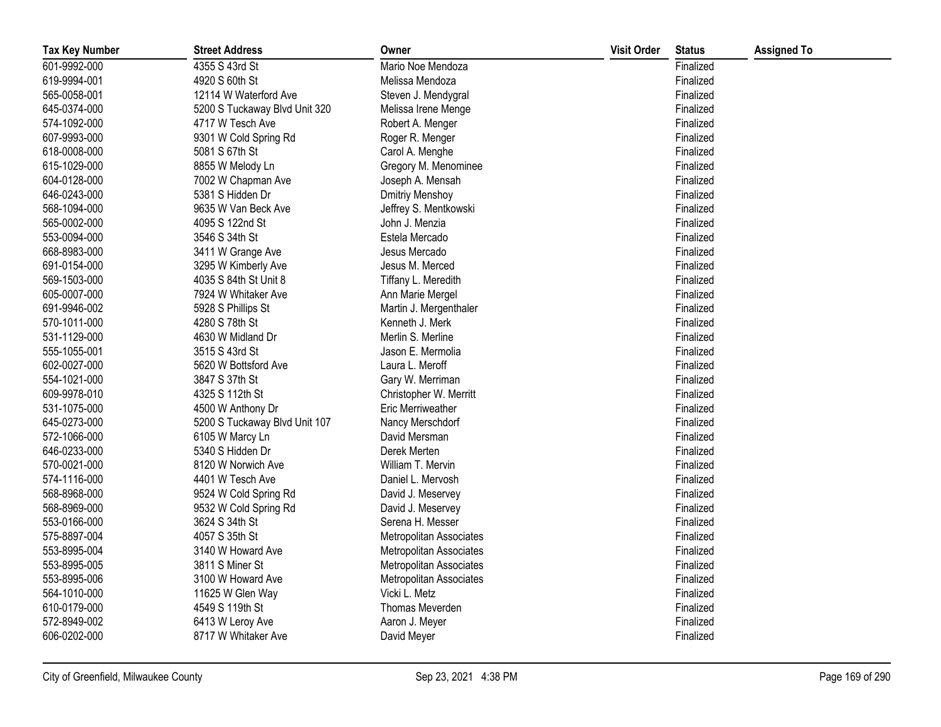| <b>Tax Key Number</b> | <b>Street Address</b>         | Owner                          | <b>Visit Order</b> | <b>Status</b> | <b>Assigned To</b> |
|-----------------------|-------------------------------|--------------------------------|--------------------|---------------|--------------------|
| 601-9992-000          | 4355 S 43rd St                | Mario Noe Mendoza              |                    | Finalized     |                    |
| 619-9994-001          | 4920 S 60th St                | Melissa Mendoza                |                    | Finalized     |                    |
| 565-0058-001          | 12114 W Waterford Ave         | Steven J. Mendygral            |                    | Finalized     |                    |
| 645-0374-000          | 5200 S Tuckaway Blvd Unit 320 | Melissa Irene Menge            |                    | Finalized     |                    |
| 574-1092-000          | 4717 W Tesch Ave              | Robert A. Menger               |                    | Finalized     |                    |
| 607-9993-000          | 9301 W Cold Spring Rd         | Roger R. Menger                |                    | Finalized     |                    |
| 618-0008-000          | 5081 S 67th St                | Carol A. Menghe                |                    | Finalized     |                    |
| 615-1029-000          | 8855 W Melody Ln              | Gregory M. Menominee           |                    | Finalized     |                    |
| 604-0128-000          | 7002 W Chapman Ave            | Joseph A. Mensah               |                    | Finalized     |                    |
| 646-0243-000          | 5381 S Hidden Dr              | <b>Dmitriy Menshoy</b>         |                    | Finalized     |                    |
| 568-1094-000          | 9635 W Van Beck Ave           | Jeffrey S. Mentkowski          |                    | Finalized     |                    |
| 565-0002-000          | 4095 S 122nd St               | John J. Menzia                 |                    | Finalized     |                    |
| 553-0094-000          | 3546 S 34th St                | Estela Mercado                 |                    | Finalized     |                    |
| 668-8983-000          | 3411 W Grange Ave             | Jesus Mercado                  |                    | Finalized     |                    |
| 691-0154-000          | 3295 W Kimberly Ave           | Jesus M. Merced                |                    | Finalized     |                    |
| 569-1503-000          | 4035 S 84th St Unit 8         | Tiffany L. Meredith            |                    | Finalized     |                    |
| 605-0007-000          | 7924 W Whitaker Ave           | Ann Marie Mergel               |                    | Finalized     |                    |
| 691-9946-002          | 5928 S Phillips St            | Martin J. Mergenthaler         |                    | Finalized     |                    |
| 570-1011-000          | 4280 S 78th St                | Kenneth J. Merk                |                    | Finalized     |                    |
| 531-1129-000          | 4630 W Midland Dr             | Merlin S. Merline              |                    | Finalized     |                    |
| 555-1055-001          | 3515 S 43rd St                | Jason E. Mermolia              |                    | Finalized     |                    |
| 602-0027-000          | 5620 W Bottsford Ave          | Laura L. Meroff                |                    | Finalized     |                    |
| 554-1021-000          | 3847 S 37th St                | Gary W. Merriman               |                    | Finalized     |                    |
| 609-9978-010          | 4325 S 112th St               | Christopher W. Merritt         |                    | Finalized     |                    |
| 531-1075-000          | 4500 W Anthony Dr             | <b>Eric Merriweather</b>       |                    | Finalized     |                    |
| 645-0273-000          | 5200 S Tuckaway Blvd Unit 107 | Nancy Merschdorf               |                    | Finalized     |                    |
| 572-1066-000          | 6105 W Marcy Ln               | David Mersman                  |                    | Finalized     |                    |
| 646-0233-000          | 5340 S Hidden Dr              | Derek Merten                   |                    | Finalized     |                    |
| 570-0021-000          | 8120 W Norwich Ave            | William T. Mervin              |                    | Finalized     |                    |
| 574-1116-000          | 4401 W Tesch Ave              | Daniel L. Mervosh              |                    | Finalized     |                    |
| 568-8968-000          | 9524 W Cold Spring Rd         | David J. Meservey              |                    | Finalized     |                    |
| 568-8969-000          | 9532 W Cold Spring Rd         | David J. Meservey              |                    | Finalized     |                    |
| 553-0166-000          | 3624 S 34th St                | Serena H. Messer               |                    | Finalized     |                    |
| 575-8897-004          | 4057 S 35th St                | Metropolitan Associates        |                    | Finalized     |                    |
| 553-8995-004          | 3140 W Howard Ave             | <b>Metropolitan Associates</b> |                    | Finalized     |                    |
| 553-8995-005          | 3811 S Miner St               | <b>Metropolitan Associates</b> |                    | Finalized     |                    |
| 553-8995-006          | 3100 W Howard Ave             | Metropolitan Associates        |                    | Finalized     |                    |
| 564-1010-000          | 11625 W Glen Way              | Vicki L. Metz                  |                    | Finalized     |                    |
| 610-0179-000          | 4549 S 119th St               | Thomas Meverden                |                    | Finalized     |                    |
| 572-8949-002          | 6413 W Leroy Ave              | Aaron J. Meyer                 |                    | Finalized     |                    |
| 606-0202-000          | 8717 W Whitaker Ave           | David Meyer                    |                    | Finalized     |                    |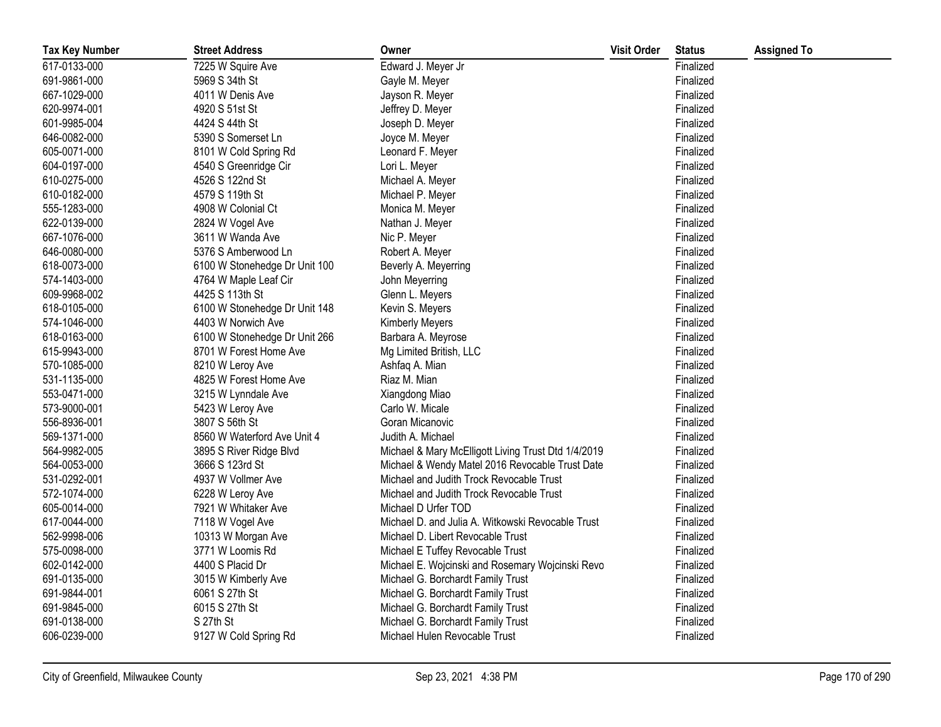| <b>Tax Key Number</b> | <b>Street Address</b>         | Owner                                               | <b>Visit Order</b> | <b>Status</b> | <b>Assigned To</b> |
|-----------------------|-------------------------------|-----------------------------------------------------|--------------------|---------------|--------------------|
| 617-0133-000          | 7225 W Squire Ave             | Edward J. Meyer Jr                                  |                    | Finalized     |                    |
| 691-9861-000          | 5969 S 34th St                | Gayle M. Meyer                                      |                    | Finalized     |                    |
| 667-1029-000          | 4011 W Denis Ave              | Jayson R. Meyer                                     |                    | Finalized     |                    |
| 620-9974-001          | 4920 S 51st St                | Jeffrey D. Meyer                                    |                    | Finalized     |                    |
| 601-9985-004          | 4424 S 44th St                | Joseph D. Meyer                                     |                    | Finalized     |                    |
| 646-0082-000          | 5390 S Somerset Ln            | Joyce M. Meyer                                      |                    | Finalized     |                    |
| 605-0071-000          | 8101 W Cold Spring Rd         | Leonard F. Meyer                                    |                    | Finalized     |                    |
| 604-0197-000          | 4540 S Greenridge Cir         | Lori L. Meyer                                       |                    | Finalized     |                    |
| 610-0275-000          | 4526 S 122nd St               | Michael A. Meyer                                    |                    | Finalized     |                    |
| 610-0182-000          | 4579 S 119th St               | Michael P. Meyer                                    |                    | Finalized     |                    |
| 555-1283-000          | 4908 W Colonial Ct            | Monica M. Meyer                                     |                    | Finalized     |                    |
| 622-0139-000          | 2824 W Vogel Ave              | Nathan J. Meyer                                     |                    | Finalized     |                    |
| 667-1076-000          | 3611 W Wanda Ave              | Nic P. Meyer                                        |                    | Finalized     |                    |
| 646-0080-000          | 5376 S Amberwood Ln           | Robert A. Meyer                                     |                    | Finalized     |                    |
| 618-0073-000          | 6100 W Stonehedge Dr Unit 100 | Beverly A. Meyerring                                |                    | Finalized     |                    |
| 574-1403-000          | 4764 W Maple Leaf Cir         | John Meyerring                                      |                    | Finalized     |                    |
| 609-9968-002          | 4425 S 113th St               | Glenn L. Meyers                                     |                    | Finalized     |                    |
| 618-0105-000          | 6100 W Stonehedge Dr Unit 148 | Kevin S. Meyers                                     |                    | Finalized     |                    |
| 574-1046-000          | 4403 W Norwich Ave            | <b>Kimberly Meyers</b>                              |                    | Finalized     |                    |
| 618-0163-000          | 6100 W Stonehedge Dr Unit 266 | Barbara A. Meyrose                                  |                    | Finalized     |                    |
| 615-9943-000          | 8701 W Forest Home Ave        | Mg Limited British, LLC                             |                    | Finalized     |                    |
| 570-1085-000          | 8210 W Leroy Ave              | Ashfaq A. Mian                                      |                    | Finalized     |                    |
| 531-1135-000          | 4825 W Forest Home Ave        | Riaz M. Mian                                        |                    | Finalized     |                    |
| 553-0471-000          | 3215 W Lynndale Ave           | Xiangdong Miao                                      |                    | Finalized     |                    |
| 573-9000-001          | 5423 W Leroy Ave              | Carlo W. Micale                                     |                    | Finalized     |                    |
| 556-8936-001          | 3807 S 56th St                | Goran Micanovic                                     |                    | Finalized     |                    |
| 569-1371-000          | 8560 W Waterford Ave Unit 4   | Judith A. Michael                                   |                    | Finalized     |                    |
| 564-9982-005          | 3895 S River Ridge Blvd       | Michael & Mary McElligott Living Trust Dtd 1/4/2019 |                    | Finalized     |                    |
| 564-0053-000          | 3666 S 123rd St               | Michael & Wendy Matel 2016 Revocable Trust Date     |                    | Finalized     |                    |
| 531-0292-001          | 4937 W Vollmer Ave            | Michael and Judith Trock Revocable Trust            |                    | Finalized     |                    |
| 572-1074-000          | 6228 W Leroy Ave              | Michael and Judith Trock Revocable Trust            |                    | Finalized     |                    |
| 605-0014-000          | 7921 W Whitaker Ave           | Michael D Urfer TOD                                 |                    | Finalized     |                    |
| 617-0044-000          | 7118 W Vogel Ave              | Michael D. and Julia A. Witkowski Revocable Trust   |                    | Finalized     |                    |
| 562-9998-006          | 10313 W Morgan Ave            | Michael D. Libert Revocable Trust                   |                    | Finalized     |                    |
| 575-0098-000          | 3771 W Loomis Rd              | Michael E Tuffey Revocable Trust                    |                    | Finalized     |                    |
| 602-0142-000          | 4400 S Placid Dr              | Michael E. Wojcinski and Rosemary Wojcinski Revo    |                    | Finalized     |                    |
| 691-0135-000          | 3015 W Kimberly Ave           | Michael G. Borchardt Family Trust                   |                    | Finalized     |                    |
| 691-9844-001          | 6061 S 27th St                | Michael G. Borchardt Family Trust                   |                    | Finalized     |                    |
| 691-9845-000          | 6015 S 27th St                | Michael G. Borchardt Family Trust                   |                    | Finalized     |                    |
| 691-0138-000          | S 27th St                     | Michael G. Borchardt Family Trust                   |                    | Finalized     |                    |
| 606-0239-000          | 9127 W Cold Spring Rd         | Michael Hulen Revocable Trust                       |                    | Finalized     |                    |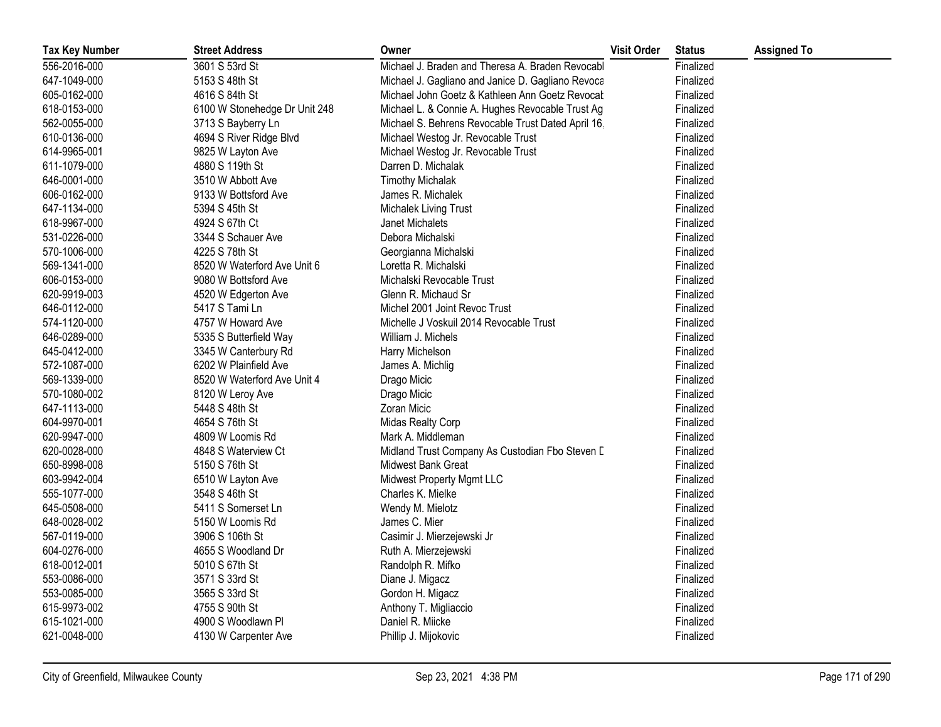| <b>Tax Key Number</b> | <b>Street Address</b>         | Owner                                              | <b>Visit Order</b> | <b>Status</b> | <b>Assigned To</b> |
|-----------------------|-------------------------------|----------------------------------------------------|--------------------|---------------|--------------------|
| 556-2016-000          | 3601 S 53rd St                | Michael J. Braden and Theresa A. Braden Revocabl   |                    | Finalized     |                    |
| 647-1049-000          | 5153 S 48th St                | Michael J. Gagliano and Janice D. Gagliano Revoca  |                    | Finalized     |                    |
| 605-0162-000          | 4616 S 84th St                | Michael John Goetz & Kathleen Ann Goetz Revocat    |                    | Finalized     |                    |
| 618-0153-000          | 6100 W Stonehedge Dr Unit 248 | Michael L. & Connie A. Hughes Revocable Trust Ag   |                    | Finalized     |                    |
| 562-0055-000          | 3713 S Bayberry Ln            | Michael S. Behrens Revocable Trust Dated April 16, |                    | Finalized     |                    |
| 610-0136-000          | 4694 S River Ridge Blvd       | Michael Westog Jr. Revocable Trust                 |                    | Finalized     |                    |
| 614-9965-001          | 9825 W Layton Ave             | Michael Westog Jr. Revocable Trust                 |                    | Finalized     |                    |
| 611-1079-000          | 4880 S 119th St               | Darren D. Michalak                                 |                    | Finalized     |                    |
| 646-0001-000          | 3510 W Abbott Ave             | <b>Timothy Michalak</b>                            |                    | Finalized     |                    |
| 606-0162-000          | 9133 W Bottsford Ave          | James R. Michalek                                  |                    | Finalized     |                    |
| 647-1134-000          | 5394 S 45th St                | Michalek Living Trust                              |                    | Finalized     |                    |
| 618-9967-000          | 4924 S 67th Ct                | Janet Michalets                                    |                    | Finalized     |                    |
| 531-0226-000          | 3344 S Schauer Ave            | Debora Michalski                                   |                    | Finalized     |                    |
| 570-1006-000          | 4225 S 78th St                | Georgianna Michalski                               |                    | Finalized     |                    |
| 569-1341-000          | 8520 W Waterford Ave Unit 6   | Loretta R. Michalski                               |                    | Finalized     |                    |
| 606-0153-000          | 9080 W Bottsford Ave          | Michalski Revocable Trust                          |                    | Finalized     |                    |
| 620-9919-003          | 4520 W Edgerton Ave           | Glenn R. Michaud Sr                                |                    | Finalized     |                    |
| 646-0112-000          | 5417 S Tami Ln                | Michel 2001 Joint Revoc Trust                      |                    | Finalized     |                    |
| 574-1120-000          | 4757 W Howard Ave             | Michelle J Voskuil 2014 Revocable Trust            |                    | Finalized     |                    |
| 646-0289-000          | 5335 S Butterfield Way        | William J. Michels                                 |                    | Finalized     |                    |
| 645-0412-000          | 3345 W Canterbury Rd          | Harry Michelson                                    |                    | Finalized     |                    |
| 572-1087-000          | 6202 W Plainfield Ave         | James A. Michlig                                   |                    | Finalized     |                    |
| 569-1339-000          | 8520 W Waterford Ave Unit 4   | Drago Micic                                        |                    | Finalized     |                    |
| 570-1080-002          | 8120 W Leroy Ave              | Drago Micic                                        |                    | Finalized     |                    |
| 647-1113-000          | 5448 S 48th St                | Zoran Micic                                        |                    | Finalized     |                    |
| 604-9970-001          | 4654 S 76th St                | Midas Realty Corp                                  |                    | Finalized     |                    |
| 620-9947-000          | 4809 W Loomis Rd              | Mark A. Middleman                                  |                    | Finalized     |                    |
| 620-0028-000          | 4848 S Waterview Ct           | Midland Trust Company As Custodian Fbo Steven D    |                    | Finalized     |                    |
| 650-8998-008          | 5150 S 76th St                | Midwest Bank Great                                 |                    | Finalized     |                    |
| 603-9942-004          | 6510 W Layton Ave             | Midwest Property Mgmt LLC                          |                    | Finalized     |                    |
| 555-1077-000          | 3548 S 46th St                | Charles K. Mielke                                  |                    | Finalized     |                    |
| 645-0508-000          | 5411 S Somerset Ln            | Wendy M. Mielotz                                   |                    | Finalized     |                    |
| 648-0028-002          | 5150 W Loomis Rd              | James C. Mier                                      |                    | Finalized     |                    |
| 567-0119-000          | 3906 S 106th St               | Casimir J. Mierzejewski Jr                         |                    | Finalized     |                    |
| 604-0276-000          | 4655 S Woodland Dr            | Ruth A. Mierzejewski                               |                    | Finalized     |                    |
| 618-0012-001          | 5010 S 67th St                | Randolph R. Mifko                                  |                    | Finalized     |                    |
| 553-0086-000          | 3571 S 33rd St                | Diane J. Migacz                                    |                    | Finalized     |                    |
| 553-0085-000          | 3565 S 33rd St                | Gordon H. Migacz                                   |                    | Finalized     |                    |
| 615-9973-002          | 4755 S 90th St                | Anthony T. Migliaccio                              |                    | Finalized     |                    |
| 615-1021-000          | 4900 S Woodlawn Pl            | Daniel R. Miicke                                   |                    | Finalized     |                    |
| 621-0048-000          | 4130 W Carpenter Ave          | Phillip J. Mijokovic                               |                    | Finalized     |                    |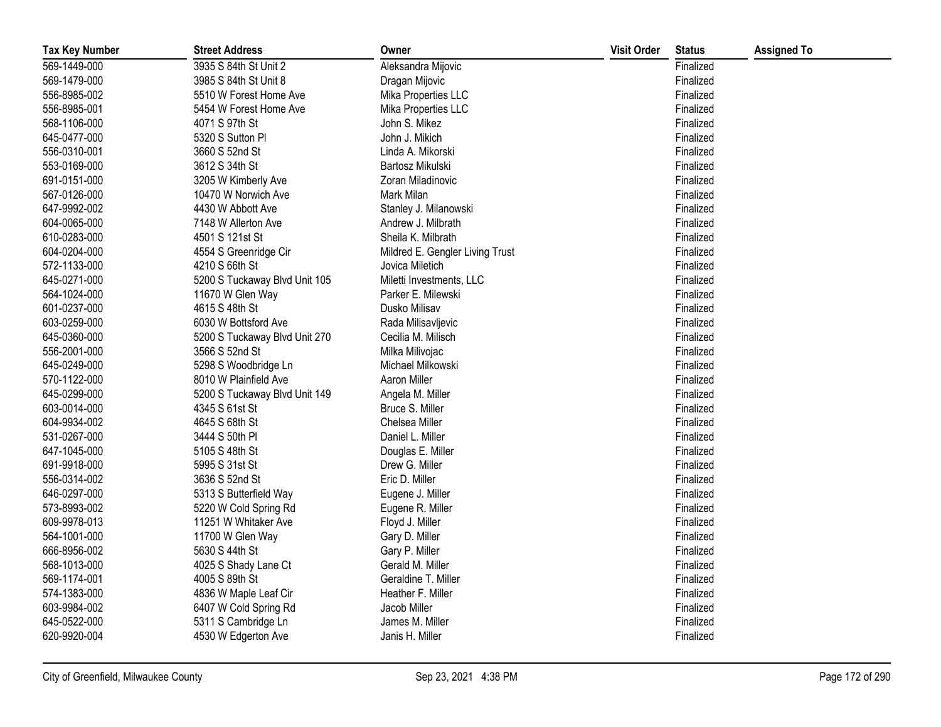| <b>Tax Key Number</b> | <b>Street Address</b>         | Owner                           | <b>Visit Order</b> | <b>Status</b> | <b>Assigned To</b> |
|-----------------------|-------------------------------|---------------------------------|--------------------|---------------|--------------------|
| 569-1449-000          | 3935 S 84th St Unit 2         | Aleksandra Mijovic              |                    | Finalized     |                    |
| 569-1479-000          | 3985 S 84th St Unit 8         | Dragan Mijovic                  |                    | Finalized     |                    |
| 556-8985-002          | 5510 W Forest Home Ave        | Mika Properties LLC             |                    | Finalized     |                    |
| 556-8985-001          | 5454 W Forest Home Ave        | Mika Properties LLC             |                    | Finalized     |                    |
| 568-1106-000          | 4071 S 97th St                | John S. Mikez                   |                    | Finalized     |                    |
| 645-0477-000          | 5320 S Sutton Pl              | John J. Mikich                  |                    | Finalized     |                    |
| 556-0310-001          | 3660 S 52nd St                | Linda A. Mikorski               |                    | Finalized     |                    |
| 553-0169-000          | 3612 S 34th St                | Bartosz Mikulski                |                    | Finalized     |                    |
| 691-0151-000          | 3205 W Kimberly Ave           | Zoran Miladinovic               |                    | Finalized     |                    |
| 567-0126-000          | 10470 W Norwich Ave           | Mark Milan                      |                    | Finalized     |                    |
| 647-9992-002          | 4430 W Abbott Ave             | Stanley J. Milanowski           |                    | Finalized     |                    |
| 604-0065-000          | 7148 W Allerton Ave           | Andrew J. Milbrath              |                    | Finalized     |                    |
| 610-0283-000          | 4501 S 121st St               | Sheila K. Milbrath              |                    | Finalized     |                    |
| 604-0204-000          | 4554 S Greenridge Cir         | Mildred E. Gengler Living Trust |                    | Finalized     |                    |
| 572-1133-000          | 4210 S 66th St                | Jovica Miletich                 |                    | Finalized     |                    |
| 645-0271-000          | 5200 S Tuckaway Blvd Unit 105 | Miletti Investments, LLC        |                    | Finalized     |                    |
| 564-1024-000          | 11670 W Glen Way              | Parker E. Milewski              |                    | Finalized     |                    |
| 601-0237-000          | 4615 S 48th St                | Dusko Milisav                   |                    | Finalized     |                    |
| 603-0259-000          | 6030 W Bottsford Ave          | Rada Milisavljevic              |                    | Finalized     |                    |
| 645-0360-000          | 5200 S Tuckaway Blvd Unit 270 | Cecilia M. Milisch              |                    | Finalized     |                    |
| 556-2001-000          | 3566 S 52nd St                | Milka Milivojac                 |                    | Finalized     |                    |
| 645-0249-000          | 5298 S Woodbridge Ln          | Michael Milkowski               |                    | Finalized     |                    |
| 570-1122-000          | 8010 W Plainfield Ave         | Aaron Miller                    |                    | Finalized     |                    |
| 645-0299-000          | 5200 S Tuckaway Blvd Unit 149 | Angela M. Miller                |                    | Finalized     |                    |
| 603-0014-000          | 4345 S 61st St                | Bruce S. Miller                 |                    | Finalized     |                    |
| 604-9934-002          | 4645 S 68th St                | Chelsea Miller                  |                    | Finalized     |                    |
| 531-0267-000          | 3444 S 50th PI                | Daniel L. Miller                |                    | Finalized     |                    |
| 647-1045-000          | 5105 S 48th St                | Douglas E. Miller               |                    | Finalized     |                    |
| 691-9918-000          | 5995 S 31st St                | Drew G. Miller                  |                    | Finalized     |                    |
| 556-0314-002          | 3636 S 52nd St                | Eric D. Miller                  |                    | Finalized     |                    |
| 646-0297-000          | 5313 S Butterfield Way        | Eugene J. Miller                |                    | Finalized     |                    |
| 573-8993-002          | 5220 W Cold Spring Rd         | Eugene R. Miller                |                    | Finalized     |                    |
| 609-9978-013          | 11251 W Whitaker Ave          | Floyd J. Miller                 |                    | Finalized     |                    |
| 564-1001-000          | 11700 W Glen Way              | Gary D. Miller                  |                    | Finalized     |                    |
| 666-8956-002          | 5630 S 44th St                | Gary P. Miller                  |                    | Finalized     |                    |
| 568-1013-000          | 4025 S Shady Lane Ct          | Gerald M. Miller                |                    | Finalized     |                    |
| 569-1174-001          | 4005 S 89th St                | Geraldine T. Miller             |                    | Finalized     |                    |
| 574-1383-000          | 4836 W Maple Leaf Cir         | Heather F. Miller               |                    | Finalized     |                    |
| 603-9984-002          | 6407 W Cold Spring Rd         | Jacob Miller                    |                    | Finalized     |                    |
| 645-0522-000          | 5311 S Cambridge Ln           | James M. Miller                 |                    | Finalized     |                    |
| 620-9920-004          | 4530 W Edgerton Ave           | Janis H. Miller                 |                    | Finalized     |                    |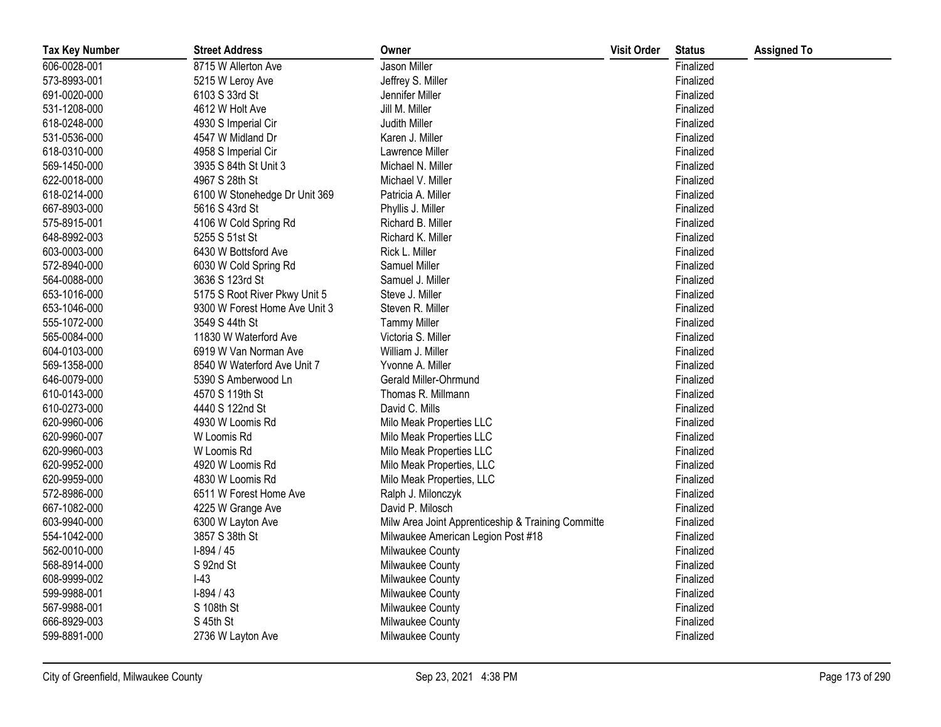| <b>Tax Key Number</b> | <b>Street Address</b>         | Owner                                              | <b>Visit Order</b> | <b>Status</b> | <b>Assigned To</b> |
|-----------------------|-------------------------------|----------------------------------------------------|--------------------|---------------|--------------------|
| 606-0028-001          | 8715 W Allerton Ave           | Jason Miller                                       |                    | Finalized     |                    |
| 573-8993-001          | 5215 W Leroy Ave              | Jeffrey S. Miller                                  |                    | Finalized     |                    |
| 691-0020-000          | 6103 S 33rd St                | Jennifer Miller                                    |                    | Finalized     |                    |
| 531-1208-000          | 4612 W Holt Ave               | Jill M. Miller                                     |                    | Finalized     |                    |
| 618-0248-000          | 4930 S Imperial Cir           | Judith Miller                                      |                    | Finalized     |                    |
| 531-0536-000          | 4547 W Midland Dr             | Karen J. Miller                                    |                    | Finalized     |                    |
| 618-0310-000          | 4958 S Imperial Cir           | Lawrence Miller                                    |                    | Finalized     |                    |
| 569-1450-000          | 3935 S 84th St Unit 3         | Michael N. Miller                                  |                    | Finalized     |                    |
| 622-0018-000          | 4967 S 28th St                | Michael V. Miller                                  |                    | Finalized     |                    |
| 618-0214-000          | 6100 W Stonehedge Dr Unit 369 | Patricia A. Miller                                 |                    | Finalized     |                    |
| 667-8903-000          | 5616 S 43rd St                | Phyllis J. Miller                                  |                    | Finalized     |                    |
| 575-8915-001          | 4106 W Cold Spring Rd         | Richard B. Miller                                  |                    | Finalized     |                    |
| 648-8992-003          | 5255 S 51st St                | Richard K. Miller                                  |                    | Finalized     |                    |
| 603-0003-000          | 6430 W Bottsford Ave          | Rick L. Miller                                     |                    | Finalized     |                    |
| 572-8940-000          | 6030 W Cold Spring Rd         | Samuel Miller                                      |                    | Finalized     |                    |
| 564-0088-000          | 3636 S 123rd St               | Samuel J. Miller                                   |                    | Finalized     |                    |
| 653-1016-000          | 5175 S Root River Pkwy Unit 5 | Steve J. Miller                                    |                    | Finalized     |                    |
| 653-1046-000          | 9300 W Forest Home Ave Unit 3 | Steven R. Miller                                   |                    | Finalized     |                    |
| 555-1072-000          | 3549 S 44th St                | <b>Tammy Miller</b>                                |                    | Finalized     |                    |
| 565-0084-000          | 11830 W Waterford Ave         | Victoria S. Miller                                 |                    | Finalized     |                    |
| 604-0103-000          | 6919 W Van Norman Ave         | William J. Miller                                  |                    | Finalized     |                    |
| 569-1358-000          | 8540 W Waterford Ave Unit 7   | Yvonne A. Miller                                   |                    | Finalized     |                    |
| 646-0079-000          | 5390 S Amberwood Ln           | Gerald Miller-Ohrmund                              |                    | Finalized     |                    |
| 610-0143-000          | 4570 S 119th St               | Thomas R. Millmann                                 |                    | Finalized     |                    |
| 610-0273-000          | 4440 S 122nd St               | David C. Mills                                     |                    | Finalized     |                    |
| 620-9960-006          | 4930 W Loomis Rd              | Milo Meak Properties LLC                           |                    | Finalized     |                    |
| 620-9960-007          | W Loomis Rd                   | Milo Meak Properties LLC                           |                    | Finalized     |                    |
| 620-9960-003          | W Loomis Rd                   | Milo Meak Properties LLC                           |                    | Finalized     |                    |
| 620-9952-000          | 4920 W Loomis Rd              | Milo Meak Properties, LLC                          |                    | Finalized     |                    |
| 620-9959-000          | 4830 W Loomis Rd              | Milo Meak Properties, LLC                          |                    | Finalized     |                    |
| 572-8986-000          | 6511 W Forest Home Ave        | Ralph J. Milonczyk                                 |                    | Finalized     |                    |
| 667-1082-000          | 4225 W Grange Ave             | David P. Milosch                                   |                    | Finalized     |                    |
| 603-9940-000          | 6300 W Layton Ave             | Milw Area Joint Apprenticeship & Training Committe |                    | Finalized     |                    |
| 554-1042-000          | 3857 S 38th St                | Milwaukee American Legion Post #18                 |                    | Finalized     |                    |
| 562-0010-000          | $I-894/45$                    | Milwaukee County                                   |                    | Finalized     |                    |
| 568-8914-000          | S 92nd St                     | Milwaukee County                                   |                    | Finalized     |                    |
| 608-9999-002          | $I-43$                        | Milwaukee County                                   |                    | Finalized     |                    |
| 599-9988-001          | $I-894/43$                    | Milwaukee County                                   |                    | Finalized     |                    |
| 567-9988-001          | S 108th St                    | Milwaukee County                                   |                    | Finalized     |                    |
| 666-8929-003          | S 45th St                     | Milwaukee County                                   |                    | Finalized     |                    |
| 599-8891-000          | 2736 W Layton Ave             | Milwaukee County                                   |                    | Finalized     |                    |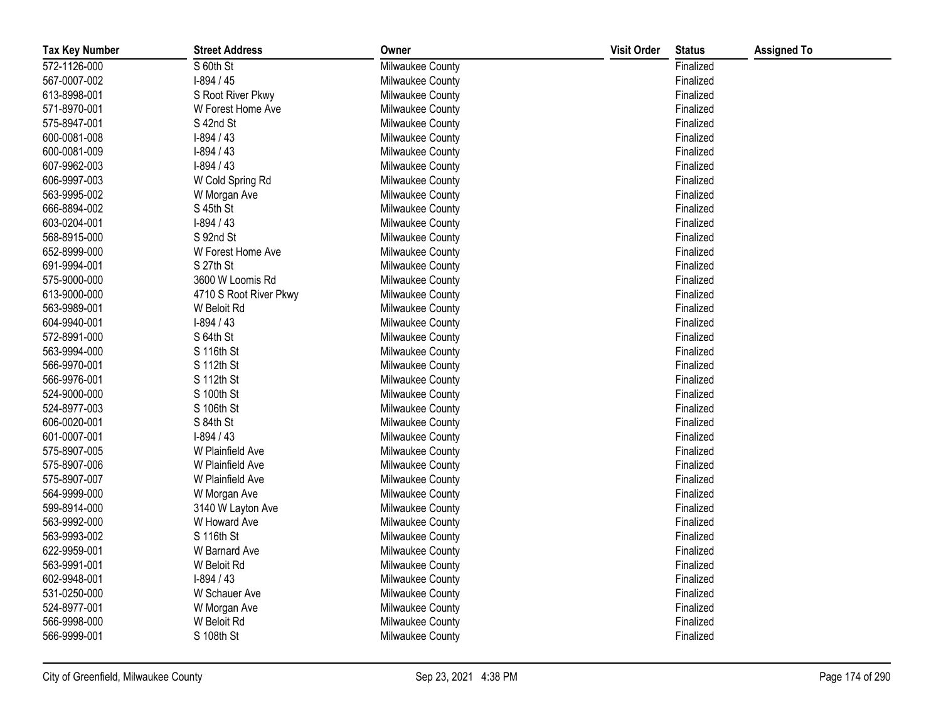| <b>Tax Key Number</b> | <b>Street Address</b>  | Owner            | <b>Visit Order</b> | <b>Status</b> | <b>Assigned To</b> |
|-----------------------|------------------------|------------------|--------------------|---------------|--------------------|
| 572-1126-000          | S 60th St              | Milwaukee County |                    | Finalized     |                    |
| 567-0007-002          | $I-894/45$             | Milwaukee County |                    | Finalized     |                    |
| 613-8998-001          | S Root River Pkwy      | Milwaukee County |                    | Finalized     |                    |
| 571-8970-001          | W Forest Home Ave      | Milwaukee County |                    | Finalized     |                    |
| 575-8947-001          | S 42nd St              | Milwaukee County |                    | Finalized     |                    |
| 600-0081-008          | $I-894/43$             | Milwaukee County |                    | Finalized     |                    |
| 600-0081-009          | $I-894/43$             | Milwaukee County |                    | Finalized     |                    |
| 607-9962-003          | $I-894/43$             | Milwaukee County |                    | Finalized     |                    |
| 606-9997-003          | W Cold Spring Rd       | Milwaukee County |                    | Finalized     |                    |
| 563-9995-002          | W Morgan Ave           | Milwaukee County |                    | Finalized     |                    |
| 666-8894-002          | S 45th St              | Milwaukee County |                    | Finalized     |                    |
| 603-0204-001          | $I-894/43$             | Milwaukee County |                    | Finalized     |                    |
| 568-8915-000          | S 92nd St              | Milwaukee County |                    | Finalized     |                    |
| 652-8999-000          | W Forest Home Ave      | Milwaukee County |                    | Finalized     |                    |
| 691-9994-001          | S 27th St              | Milwaukee County |                    | Finalized     |                    |
| 575-9000-000          | 3600 W Loomis Rd       | Milwaukee County |                    | Finalized     |                    |
| 613-9000-000          | 4710 S Root River Pkwy | Milwaukee County |                    | Finalized     |                    |
| 563-9989-001          | W Beloit Rd            | Milwaukee County |                    | Finalized     |                    |
| 604-9940-001          | $I-894/43$             | Milwaukee County |                    | Finalized     |                    |
| 572-8991-000          | S 64th St              | Milwaukee County |                    | Finalized     |                    |
| 563-9994-000          | S 116th St             | Milwaukee County |                    | Finalized     |                    |
| 566-9970-001          | S 112th St             | Milwaukee County |                    | Finalized     |                    |
| 566-9976-001          | S 112th St             | Milwaukee County |                    | Finalized     |                    |
| 524-9000-000          | S 100th St             | Milwaukee County |                    | Finalized     |                    |
| 524-8977-003          | S 106th St             | Milwaukee County |                    | Finalized     |                    |
| 606-0020-001          | S 84th St              | Milwaukee County |                    | Finalized     |                    |
| 601-0007-001          | $I-894/43$             | Milwaukee County |                    | Finalized     |                    |
| 575-8907-005          | W Plainfield Ave       | Milwaukee County |                    | Finalized     |                    |
| 575-8907-006          | W Plainfield Ave       | Milwaukee County |                    | Finalized     |                    |
| 575-8907-007          | W Plainfield Ave       | Milwaukee County |                    | Finalized     |                    |
| 564-9999-000          | W Morgan Ave           | Milwaukee County |                    | Finalized     |                    |
| 599-8914-000          | 3140 W Layton Ave      | Milwaukee County |                    | Finalized     |                    |
| 563-9992-000          | W Howard Ave           | Milwaukee County |                    | Finalized     |                    |
| 563-9993-002          | S 116th St             | Milwaukee County |                    | Finalized     |                    |
| 622-9959-001          | W Barnard Ave          | Milwaukee County |                    | Finalized     |                    |
| 563-9991-001          | W Beloit Rd            | Milwaukee County |                    | Finalized     |                    |
| 602-9948-001          | $I-894/43$             | Milwaukee County |                    | Finalized     |                    |
| 531-0250-000          | W Schauer Ave          | Milwaukee County |                    | Finalized     |                    |
| 524-8977-001          | W Morgan Ave           | Milwaukee County |                    | Finalized     |                    |
| 566-9998-000          | W Beloit Rd            | Milwaukee County |                    | Finalized     |                    |
| 566-9999-001          | S 108th St             | Milwaukee County |                    | Finalized     |                    |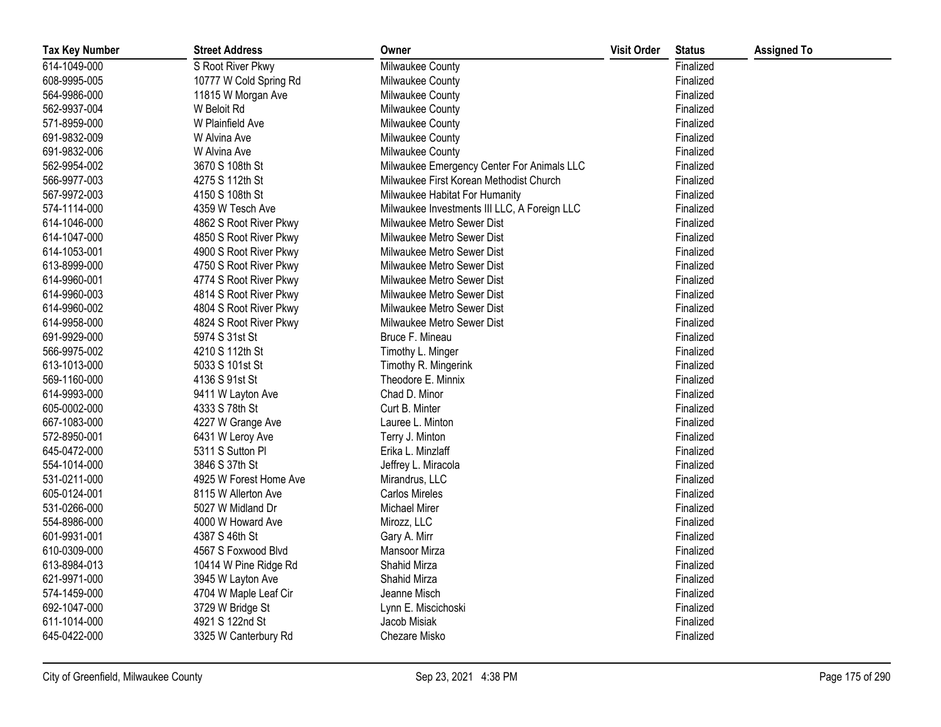| <b>Tax Key Number</b> | <b>Street Address</b>  | Owner                                        | <b>Visit Order</b> | <b>Status</b> | <b>Assigned To</b> |
|-----------------------|------------------------|----------------------------------------------|--------------------|---------------|--------------------|
| 614-1049-000          | S Root River Pkwy      | Milwaukee County                             |                    | Finalized     |                    |
| 608-9995-005          | 10777 W Cold Spring Rd | Milwaukee County                             |                    | Finalized     |                    |
| 564-9986-000          | 11815 W Morgan Ave     | Milwaukee County                             |                    | Finalized     |                    |
| 562-9937-004          | W Beloit Rd            | Milwaukee County                             |                    | Finalized     |                    |
| 571-8959-000          | W Plainfield Ave       | Milwaukee County                             |                    | Finalized     |                    |
| 691-9832-009          | W Alvina Ave           | Milwaukee County                             |                    | Finalized     |                    |
| 691-9832-006          | W Alvina Ave           | Milwaukee County                             |                    | Finalized     |                    |
| 562-9954-002          | 3670 S 108th St        | Milwaukee Emergency Center For Animals LLC   |                    | Finalized     |                    |
| 566-9977-003          | 4275 S 112th St        | Milwaukee First Korean Methodist Church      |                    | Finalized     |                    |
| 567-9972-003          | 4150 S 108th St        | Milwaukee Habitat For Humanity               |                    | Finalized     |                    |
| 574-1114-000          | 4359 W Tesch Ave       | Milwaukee Investments III LLC, A Foreign LLC |                    | Finalized     |                    |
| 614-1046-000          | 4862 S Root River Pkwy | Milwaukee Metro Sewer Dist                   |                    | Finalized     |                    |
| 614-1047-000          | 4850 S Root River Pkwy | Milwaukee Metro Sewer Dist                   |                    | Finalized     |                    |
| 614-1053-001          | 4900 S Root River Pkwy | Milwaukee Metro Sewer Dist                   |                    | Finalized     |                    |
| 613-8999-000          | 4750 S Root River Pkwy | Milwaukee Metro Sewer Dist                   |                    | Finalized     |                    |
| 614-9960-001          | 4774 S Root River Pkwy | Milwaukee Metro Sewer Dist                   |                    | Finalized     |                    |
| 614-9960-003          | 4814 S Root River Pkwy | Milwaukee Metro Sewer Dist                   |                    | Finalized     |                    |
| 614-9960-002          | 4804 S Root River Pkwy | Milwaukee Metro Sewer Dist                   |                    | Finalized     |                    |
| 614-9958-000          | 4824 S Root River Pkwy | Milwaukee Metro Sewer Dist                   |                    | Finalized     |                    |
| 691-9929-000          | 5974 S 31st St         | Bruce F. Mineau                              |                    | Finalized     |                    |
| 566-9975-002          | 4210 S 112th St        | Timothy L. Minger                            |                    | Finalized     |                    |
| 613-1013-000          | 5033 S 101st St        | Timothy R. Mingerink                         |                    | Finalized     |                    |
| 569-1160-000          | 4136 S 91st St         | Theodore E. Minnix                           |                    | Finalized     |                    |
| 614-9993-000          | 9411 W Layton Ave      | Chad D. Minor                                |                    | Finalized     |                    |
| 605-0002-000          | 4333 S 78th St         | Curt B. Minter                               |                    | Finalized     |                    |
| 667-1083-000          | 4227 W Grange Ave      | Lauree L. Minton                             |                    | Finalized     |                    |
| 572-8950-001          | 6431 W Leroy Ave       | Terry J. Minton                              |                    | Finalized     |                    |
| 645-0472-000          | 5311 S Sutton Pl       | Erika L. Minzlaff                            |                    | Finalized     |                    |
| 554-1014-000          | 3846 S 37th St         | Jeffrey L. Miracola                          |                    | Finalized     |                    |
| 531-0211-000          | 4925 W Forest Home Ave | Mirandrus, LLC                               |                    | Finalized     |                    |
| 605-0124-001          | 8115 W Allerton Ave    | <b>Carlos Mireles</b>                        |                    | Finalized     |                    |
| 531-0266-000          | 5027 W Midland Dr      | Michael Mirer                                |                    | Finalized     |                    |
| 554-8986-000          | 4000 W Howard Ave      | Mirozz, LLC                                  |                    | Finalized     |                    |
| 601-9931-001          | 4387 S 46th St         | Gary A. Mirr                                 |                    | Finalized     |                    |
| 610-0309-000          | 4567 S Foxwood Blvd    | Mansoor Mirza                                |                    | Finalized     |                    |
| 613-8984-013          | 10414 W Pine Ridge Rd  | <b>Shahid Mirza</b>                          |                    | Finalized     |                    |
| 621-9971-000          | 3945 W Layton Ave      | Shahid Mirza                                 |                    | Finalized     |                    |
| 574-1459-000          | 4704 W Maple Leaf Cir  | Jeanne Misch                                 |                    | Finalized     |                    |
| 692-1047-000          | 3729 W Bridge St       | Lynn E. Miscichoski                          |                    | Finalized     |                    |
| 611-1014-000          | 4921 S 122nd St        | Jacob Misiak                                 |                    | Finalized     |                    |
| 645-0422-000          | 3325 W Canterbury Rd   | Chezare Misko                                |                    | Finalized     |                    |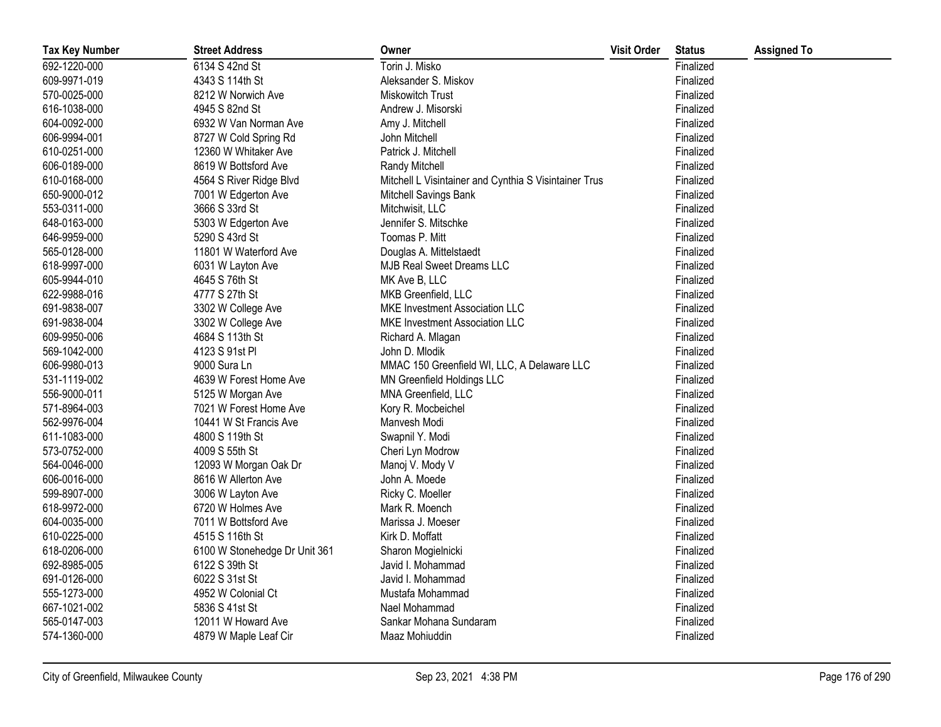| <b>Tax Key Number</b> | <b>Street Address</b>         | Owner                                                 | <b>Visit Order</b> | <b>Status</b> | <b>Assigned To</b> |
|-----------------------|-------------------------------|-------------------------------------------------------|--------------------|---------------|--------------------|
| 692-1220-000          | 6134 S 42nd St                | Torin J. Misko                                        |                    | Finalized     |                    |
| 609-9971-019          | 4343 S 114th St               | Aleksander S. Miskov                                  |                    | Finalized     |                    |
| 570-0025-000          | 8212 W Norwich Ave            | <b>Miskowitch Trust</b>                               |                    | Finalized     |                    |
| 616-1038-000          | 4945 S 82nd St                | Andrew J. Misorski                                    |                    | Finalized     |                    |
| 604-0092-000          | 6932 W Van Norman Ave         | Amy J. Mitchell                                       |                    | Finalized     |                    |
| 606-9994-001          | 8727 W Cold Spring Rd         | John Mitchell                                         |                    | Finalized     |                    |
| 610-0251-000          | 12360 W Whitaker Ave          | Patrick J. Mitchell                                   |                    | Finalized     |                    |
| 606-0189-000          | 8619 W Bottsford Ave          | Randy Mitchell                                        |                    | Finalized     |                    |
| 610-0168-000          | 4564 S River Ridge Blvd       | Mitchell L Visintainer and Cynthia S Visintainer Trus |                    | Finalized     |                    |
| 650-9000-012          | 7001 W Edgerton Ave           | Mitchell Savings Bank                                 |                    | Finalized     |                    |
| 553-0311-000          | 3666 S 33rd St                | Mitchwisit, LLC                                       |                    | Finalized     |                    |
| 648-0163-000          | 5303 W Edgerton Ave           | Jennifer S. Mitschke                                  |                    | Finalized     |                    |
| 646-9959-000          | 5290 S 43rd St                | Toomas P. Mitt                                        |                    | Finalized     |                    |
| 565-0128-000          | 11801 W Waterford Ave         | Douglas A. Mittelstaedt                               |                    | Finalized     |                    |
| 618-9997-000          | 6031 W Layton Ave             | <b>MJB Real Sweet Dreams LLC</b>                      |                    | Finalized     |                    |
| 605-9944-010          | 4645 S 76th St                | MK Ave B, LLC                                         |                    | Finalized     |                    |
| 622-9988-016          | 4777 S 27th St                | MKB Greenfield, LLC                                   |                    | Finalized     |                    |
| 691-9838-007          | 3302 W College Ave            | MKE Investment Association LLC                        |                    | Finalized     |                    |
| 691-9838-004          | 3302 W College Ave            | MKE Investment Association LLC                        |                    | Finalized     |                    |
| 609-9950-006          | 4684 S 113th St               | Richard A. Mlagan                                     |                    | Finalized     |                    |
| 569-1042-000          | 4123 S 91st Pl                | John D. Mlodik                                        |                    | Finalized     |                    |
| 606-9980-013          | 9000 Sura Ln                  | MMAC 150 Greenfield WI, LLC, A Delaware LLC           |                    | Finalized     |                    |
| 531-1119-002          | 4639 W Forest Home Ave        | MN Greenfield Holdings LLC                            |                    | Finalized     |                    |
| 556-9000-011          | 5125 W Morgan Ave             | MNA Greenfield, LLC                                   |                    | Finalized     |                    |
| 571-8964-003          | 7021 W Forest Home Ave        | Kory R. Mocbeichel                                    |                    | Finalized     |                    |
| 562-9976-004          | 10441 W St Francis Ave        | Manvesh Modi                                          |                    | Finalized     |                    |
| 611-1083-000          | 4800 S 119th St               | Swapnil Y. Modi                                       |                    | Finalized     |                    |
| 573-0752-000          | 4009 S 55th St                | Cheri Lyn Modrow                                      |                    | Finalized     |                    |
| 564-0046-000          | 12093 W Morgan Oak Dr         | Manoj V. Mody V                                       |                    | Finalized     |                    |
| 606-0016-000          | 8616 W Allerton Ave           | John A. Moede                                         |                    | Finalized     |                    |
| 599-8907-000          | 3006 W Layton Ave             | Ricky C. Moeller                                      |                    | Finalized     |                    |
| 618-9972-000          | 6720 W Holmes Ave             | Mark R. Moench                                        |                    | Finalized     |                    |
| 604-0035-000          | 7011 W Bottsford Ave          | Marissa J. Moeser                                     |                    | Finalized     |                    |
| 610-0225-000          | 4515 S 116th St               | Kirk D. Moffatt                                       |                    | Finalized     |                    |
| 618-0206-000          | 6100 W Stonehedge Dr Unit 361 | Sharon Mogielnicki                                    |                    | Finalized     |                    |
| 692-8985-005          | 6122 S 39th St                | Javid I. Mohammad                                     |                    | Finalized     |                    |
| 691-0126-000          | 6022 S 31st St                | Javid I. Mohammad                                     |                    | Finalized     |                    |
| 555-1273-000          | 4952 W Colonial Ct            | Mustafa Mohammad                                      |                    | Finalized     |                    |
| 667-1021-002          | 5836 S 41st St                | Nael Mohammad                                         |                    | Finalized     |                    |
| 565-0147-003          | 12011 W Howard Ave            | Sankar Mohana Sundaram                                |                    | Finalized     |                    |
| 574-1360-000          | 4879 W Maple Leaf Cir         | Maaz Mohiuddin                                        |                    | Finalized     |                    |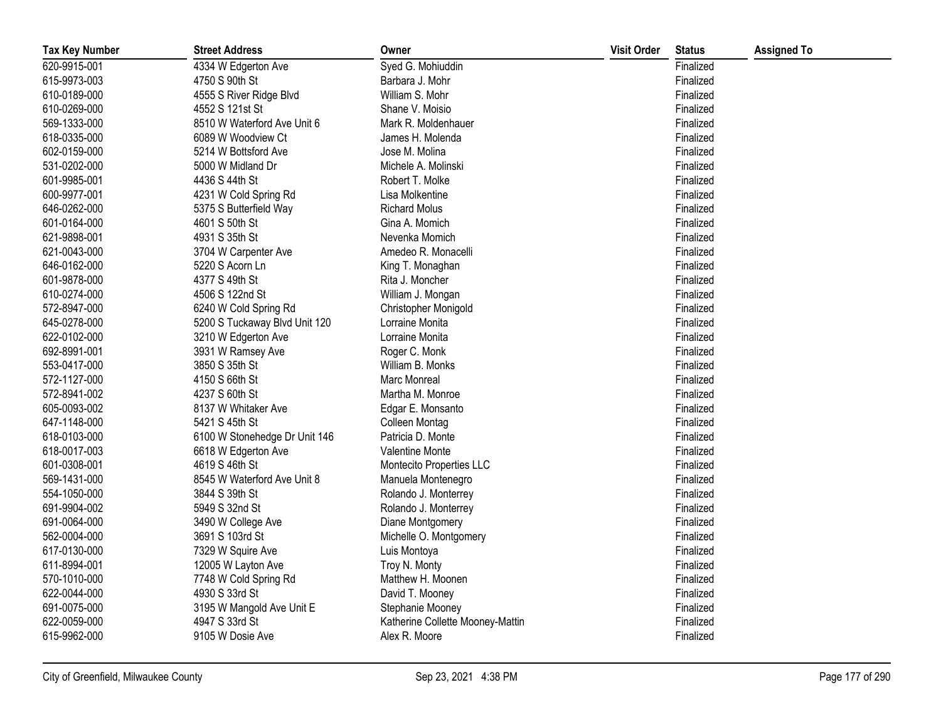| <b>Tax Key Number</b> | <b>Street Address</b>         | Owner                            | <b>Visit Order</b> | <b>Status</b> | <b>Assigned To</b> |
|-----------------------|-------------------------------|----------------------------------|--------------------|---------------|--------------------|
| 620-9915-001          | 4334 W Edgerton Ave           | Syed G. Mohiuddin                |                    | Finalized     |                    |
| 615-9973-003          | 4750 S 90th St                | Barbara J. Mohr                  |                    | Finalized     |                    |
| 610-0189-000          | 4555 S River Ridge Blvd       | William S. Mohr                  |                    | Finalized     |                    |
| 610-0269-000          | 4552 S 121st St               | Shane V. Moisio                  |                    | Finalized     |                    |
| 569-1333-000          | 8510 W Waterford Ave Unit 6   | Mark R. Moldenhauer              |                    | Finalized     |                    |
| 618-0335-000          | 6089 W Woodview Ct            | James H. Molenda                 |                    | Finalized     |                    |
| 602-0159-000          | 5214 W Bottsford Ave          | Jose M. Molina                   |                    | Finalized     |                    |
| 531-0202-000          | 5000 W Midland Dr             | Michele A. Molinski              |                    | Finalized     |                    |
| 601-9985-001          | 4436 S 44th St                | Robert T. Molke                  |                    | Finalized     |                    |
| 600-9977-001          | 4231 W Cold Spring Rd         | Lisa Molkentine                  |                    | Finalized     |                    |
| 646-0262-000          | 5375 S Butterfield Way        | <b>Richard Molus</b>             |                    | Finalized     |                    |
| 601-0164-000          | 4601 S 50th St                | Gina A. Momich                   |                    | Finalized     |                    |
| 621-9898-001          | 4931 S 35th St                | Nevenka Momich                   |                    | Finalized     |                    |
| 621-0043-000          | 3704 W Carpenter Ave          | Amedeo R. Monacelli              |                    | Finalized     |                    |
| 646-0162-000          | 5220 S Acorn Ln               | King T. Monaghan                 |                    | Finalized     |                    |
| 601-9878-000          | 4377 S 49th St                | Rita J. Moncher                  |                    | Finalized     |                    |
| 610-0274-000          | 4506 S 122nd St               | William J. Mongan                |                    | Finalized     |                    |
| 572-8947-000          | 6240 W Cold Spring Rd         | Christopher Monigold             |                    | Finalized     |                    |
| 645-0278-000          | 5200 S Tuckaway Blvd Unit 120 | Lorraine Monita                  |                    | Finalized     |                    |
| 622-0102-000          | 3210 W Edgerton Ave           | Lorraine Monita                  |                    | Finalized     |                    |
| 692-8991-001          | 3931 W Ramsey Ave             | Roger C. Monk                    |                    | Finalized     |                    |
| 553-0417-000          | 3850 S 35th St                | William B. Monks                 |                    | Finalized     |                    |
| 572-1127-000          | 4150 S 66th St                | Marc Monreal                     |                    | Finalized     |                    |
| 572-8941-002          | 4237 S 60th St                | Martha M. Monroe                 |                    | Finalized     |                    |
| 605-0093-002          | 8137 W Whitaker Ave           | Edgar E. Monsanto                |                    | Finalized     |                    |
| 647-1148-000          | 5421 S 45th St                | Colleen Montag                   |                    | Finalized     |                    |
| 618-0103-000          | 6100 W Stonehedge Dr Unit 146 | Patricia D. Monte                |                    | Finalized     |                    |
| 618-0017-003          | 6618 W Edgerton Ave           | Valentine Monte                  |                    | Finalized     |                    |
| 601-0308-001          | 4619 S 46th St                | Montecito Properties LLC         |                    | Finalized     |                    |
| 569-1431-000          | 8545 W Waterford Ave Unit 8   | Manuela Montenegro               |                    | Finalized     |                    |
| 554-1050-000          | 3844 S 39th St                | Rolando J. Monterrey             |                    | Finalized     |                    |
| 691-9904-002          | 5949 S 32nd St                | Rolando J. Monterrey             |                    | Finalized     |                    |
| 691-0064-000          | 3490 W College Ave            | Diane Montgomery                 |                    | Finalized     |                    |
| 562-0004-000          | 3691 S 103rd St               | Michelle O. Montgomery           |                    | Finalized     |                    |
| 617-0130-000          | 7329 W Squire Ave             | Luis Montoya                     |                    | Finalized     |                    |
| 611-8994-001          | 12005 W Layton Ave            | Troy N. Monty                    |                    | Finalized     |                    |
| 570-1010-000          | 7748 W Cold Spring Rd         | Matthew H. Moonen                |                    | Finalized     |                    |
| 622-0044-000          | 4930 S 33rd St                | David T. Mooney                  |                    | Finalized     |                    |
| 691-0075-000          | 3195 W Mangold Ave Unit E     | Stephanie Mooney                 |                    | Finalized     |                    |
| 622-0059-000          | 4947 S 33rd St                | Katherine Collette Mooney-Mattin |                    | Finalized     |                    |
| 615-9962-000          | 9105 W Dosie Ave              | Alex R. Moore                    |                    | Finalized     |                    |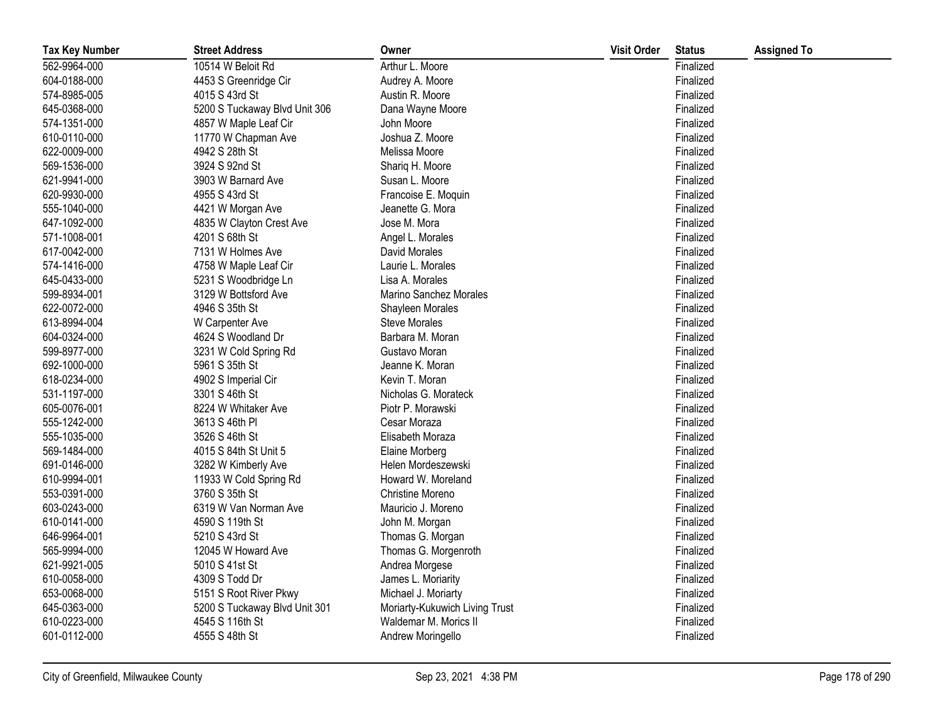| <b>Tax Key Number</b> | <b>Street Address</b>         | Owner                          | <b>Visit Order</b> | <b>Status</b> | <b>Assigned To</b> |
|-----------------------|-------------------------------|--------------------------------|--------------------|---------------|--------------------|
| 562-9964-000          | 10514 W Beloit Rd             | Arthur L. Moore                |                    | Finalized     |                    |
| 604-0188-000          | 4453 S Greenridge Cir         | Audrey A. Moore                |                    | Finalized     |                    |
| 574-8985-005          | 4015 S 43rd St                | Austin R. Moore                |                    | Finalized     |                    |
| 645-0368-000          | 5200 S Tuckaway Blvd Unit 306 | Dana Wayne Moore               |                    | Finalized     |                    |
| 574-1351-000          | 4857 W Maple Leaf Cir         | John Moore                     |                    | Finalized     |                    |
| 610-0110-000          | 11770 W Chapman Ave           | Joshua Z. Moore                |                    | Finalized     |                    |
| 622-0009-000          | 4942 S 28th St                | Melissa Moore                  |                    | Finalized     |                    |
| 569-1536-000          | 3924 S 92nd St                | Shariq H. Moore                |                    | Finalized     |                    |
| 621-9941-000          | 3903 W Barnard Ave            | Susan L. Moore                 |                    | Finalized     |                    |
| 620-9930-000          | 4955 S 43rd St                | Francoise E. Moquin            |                    | Finalized     |                    |
| 555-1040-000          | 4421 W Morgan Ave             | Jeanette G. Mora               |                    | Finalized     |                    |
| 647-1092-000          | 4835 W Clayton Crest Ave      | Jose M. Mora                   |                    | Finalized     |                    |
| 571-1008-001          | 4201 S 68th St                | Angel L. Morales               |                    | Finalized     |                    |
| 617-0042-000          | 7131 W Holmes Ave             | David Morales                  |                    | Finalized     |                    |
| 574-1416-000          | 4758 W Maple Leaf Cir         | Laurie L. Morales              |                    | Finalized     |                    |
| 645-0433-000          | 5231 S Woodbridge Ln          | Lisa A. Morales                |                    | Finalized     |                    |
| 599-8934-001          | 3129 W Bottsford Ave          | Marino Sanchez Morales         |                    | Finalized     |                    |
| 622-0072-000          | 4946 S 35th St                | Shayleen Morales               |                    | Finalized     |                    |
| 613-8994-004          | W Carpenter Ave               | Steve Morales                  |                    | Finalized     |                    |
| 604-0324-000          | 4624 S Woodland Dr            | Barbara M. Moran               |                    | Finalized     |                    |
| 599-8977-000          | 3231 W Cold Spring Rd         | Gustavo Moran                  |                    | Finalized     |                    |
| 692-1000-000          | 5961 S 35th St                | Jeanne K. Moran                |                    | Finalized     |                    |
| 618-0234-000          | 4902 S Imperial Cir           | Kevin T. Moran                 |                    | Finalized     |                    |
| 531-1197-000          | 3301 S 46th St                | Nicholas G. Morateck           |                    | Finalized     |                    |
| 605-0076-001          | 8224 W Whitaker Ave           | Piotr P. Morawski              |                    | Finalized     |                    |
| 555-1242-000          | 3613 S 46th PI                | Cesar Moraza                   |                    | Finalized     |                    |
| 555-1035-000          | 3526 S 46th St                | Elisabeth Moraza               |                    | Finalized     |                    |
| 569-1484-000          | 4015 S 84th St Unit 5         | Elaine Morberg                 |                    | Finalized     |                    |
| 691-0146-000          | 3282 W Kimberly Ave           | Helen Mordeszewski             |                    | Finalized     |                    |
| 610-9994-001          | 11933 W Cold Spring Rd        | Howard W. Moreland             |                    | Finalized     |                    |
| 553-0391-000          | 3760 S 35th St                | Christine Moreno               |                    | Finalized     |                    |
| 603-0243-000          | 6319 W Van Norman Ave         | Mauricio J. Moreno             |                    | Finalized     |                    |
| 610-0141-000          | 4590 S 119th St               | John M. Morgan                 |                    | Finalized     |                    |
| 646-9964-001          | 5210 S 43rd St                | Thomas G. Morgan               |                    | Finalized     |                    |
| 565-9994-000          | 12045 W Howard Ave            | Thomas G. Morgenroth           |                    | Finalized     |                    |
| 621-9921-005          | 5010 S 41st St                | Andrea Morgese                 |                    | Finalized     |                    |
| 610-0058-000          | 4309 S Todd Dr                | James L. Moriarity             |                    | Finalized     |                    |
| 653-0068-000          | 5151 S Root River Pkwy        | Michael J. Moriarty            |                    | Finalized     |                    |
| 645-0363-000          | 5200 S Tuckaway Blvd Unit 301 | Moriarty-Kukuwich Living Trust |                    | Finalized     |                    |
| 610-0223-000          | 4545 S 116th St               | Waldemar M. Morics II          |                    | Finalized     |                    |
| 601-0112-000          | 4555 S 48th St                | Andrew Moringello              |                    | Finalized     |                    |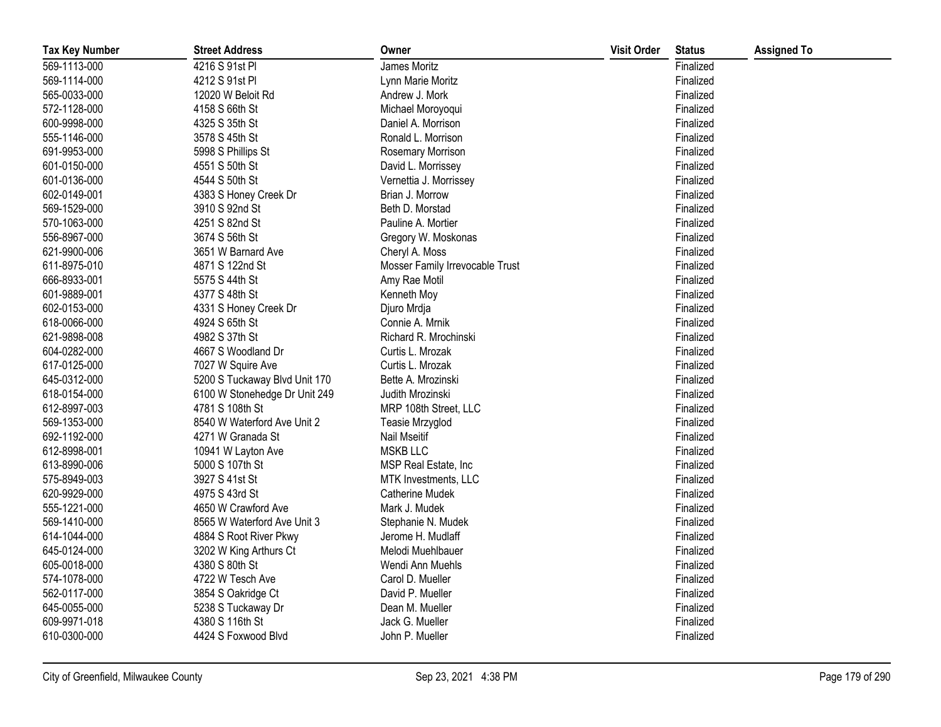| <b>Tax Key Number</b> | <b>Street Address</b>         | Owner                           | <b>Visit Order</b> | <b>Status</b> | <b>Assigned To</b> |
|-----------------------|-------------------------------|---------------------------------|--------------------|---------------|--------------------|
| 569-1113-000          | 4216 S 91st PI                | James Moritz                    |                    | Finalized     |                    |
| 569-1114-000          | 4212 S 91st PI                | Lynn Marie Moritz               |                    | Finalized     |                    |
| 565-0033-000          | 12020 W Beloit Rd             | Andrew J. Mork                  |                    | Finalized     |                    |
| 572-1128-000          | 4158 S 66th St                | Michael Moroyoqui               |                    | Finalized     |                    |
| 600-9998-000          | 4325 S 35th St                | Daniel A. Morrison              |                    | Finalized     |                    |
| 555-1146-000          | 3578 S 45th St                | Ronald L. Morrison              |                    | Finalized     |                    |
| 691-9953-000          | 5998 S Phillips St            | Rosemary Morrison               |                    | Finalized     |                    |
| 601-0150-000          | 4551 S 50th St                | David L. Morrissey              |                    | Finalized     |                    |
| 601-0136-000          | 4544 S 50th St                | Vernettia J. Morrissey          |                    | Finalized     |                    |
| 602-0149-001          | 4383 S Honey Creek Dr         | Brian J. Morrow                 |                    | Finalized     |                    |
| 569-1529-000          | 3910 S 92nd St                | Beth D. Morstad                 |                    | Finalized     |                    |
| 570-1063-000          | 4251 S 82nd St                | Pauline A. Mortier              |                    | Finalized     |                    |
| 556-8967-000          | 3674 S 56th St                | Gregory W. Moskonas             |                    | Finalized     |                    |
| 621-9900-006          | 3651 W Barnard Ave            | Cheryl A. Moss                  |                    | Finalized     |                    |
| 611-8975-010          | 4871 S 122nd St               | Mosser Family Irrevocable Trust |                    | Finalized     |                    |
| 666-8933-001          | 5575 S 44th St                | Amy Rae Motil                   |                    | Finalized     |                    |
| 601-9889-001          | 4377 S 48th St                | Kenneth Moy                     |                    | Finalized     |                    |
| 602-0153-000          | 4331 S Honey Creek Dr         | Djuro Mrdja                     |                    | Finalized     |                    |
| 618-0066-000          | 4924 S 65th St                | Connie A. Mrnik                 |                    | Finalized     |                    |
| 621-9898-008          | 4982 S 37th St                | Richard R. Mrochinski           |                    | Finalized     |                    |
| 604-0282-000          | 4667 S Woodland Dr            | Curtis L. Mrozak                |                    | Finalized     |                    |
| 617-0125-000          | 7027 W Squire Ave             | Curtis L. Mrozak                |                    | Finalized     |                    |
| 645-0312-000          | 5200 S Tuckaway Blvd Unit 170 | Bette A. Mrozinski              |                    | Finalized     |                    |
| 618-0154-000          | 6100 W Stonehedge Dr Unit 249 | Judith Mrozinski                |                    | Finalized     |                    |
| 612-8997-003          | 4781 S 108th St               | MRP 108th Street, LLC           |                    | Finalized     |                    |
| 569-1353-000          | 8540 W Waterford Ave Unit 2   | Teasie Mrzyglod                 |                    | Finalized     |                    |
| 692-1192-000          | 4271 W Granada St             | Nail Mseitif                    |                    | Finalized     |                    |
| 612-8998-001          | 10941 W Layton Ave            | <b>MSKB LLC</b>                 |                    | Finalized     |                    |
| 613-8990-006          | 5000 S 107th St               | MSP Real Estate, Inc            |                    | Finalized     |                    |
| 575-8949-003          | 3927 S 41st St                | MTK Investments, LLC            |                    | Finalized     |                    |
| 620-9929-000          | 4975 S 43rd St                | Catherine Mudek                 |                    | Finalized     |                    |
| 555-1221-000          | 4650 W Crawford Ave           | Mark J. Mudek                   |                    | Finalized     |                    |
| 569-1410-000          | 8565 W Waterford Ave Unit 3   | Stephanie N. Mudek              |                    | Finalized     |                    |
| 614-1044-000          | 4884 S Root River Pkwy        | Jerome H. Mudlaff               |                    | Finalized     |                    |
| 645-0124-000          | 3202 W King Arthurs Ct        | Melodi Muehlbauer               |                    | Finalized     |                    |
| 605-0018-000          | 4380 S 80th St                | Wendi Ann Muehls                |                    | Finalized     |                    |
| 574-1078-000          | 4722 W Tesch Ave              | Carol D. Mueller                |                    | Finalized     |                    |
| 562-0117-000          | 3854 S Oakridge Ct            | David P. Mueller                |                    | Finalized     |                    |
| 645-0055-000          | 5238 S Tuckaway Dr            | Dean M. Mueller                 |                    | Finalized     |                    |
| 609-9971-018          | 4380 S 116th St               | Jack G. Mueller                 |                    | Finalized     |                    |
| 610-0300-000          | 4424 S Foxwood Blvd           | John P. Mueller                 |                    | Finalized     |                    |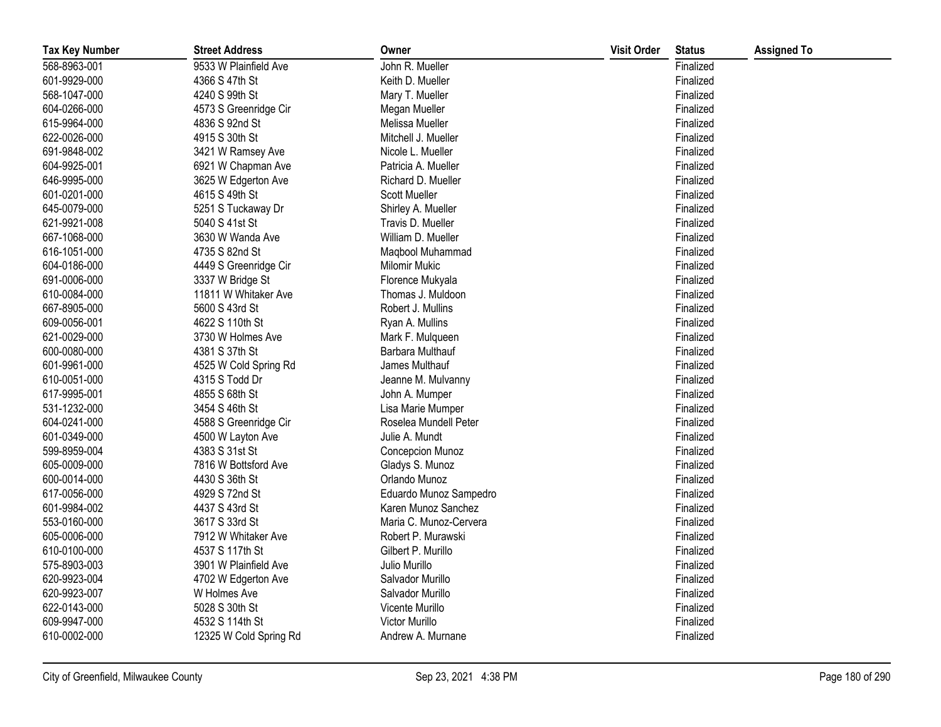| <b>Tax Key Number</b> | <b>Street Address</b>  | Owner                  | <b>Visit Order</b> | <b>Status</b> | <b>Assigned To</b> |
|-----------------------|------------------------|------------------------|--------------------|---------------|--------------------|
| 568-8963-001          | 9533 W Plainfield Ave  | John R. Mueller        |                    | Finalized     |                    |
| 601-9929-000          | 4366 S 47th St         | Keith D. Mueller       |                    | Finalized     |                    |
| 568-1047-000          | 4240 S 99th St         | Mary T. Mueller        |                    | Finalized     |                    |
| 604-0266-000          | 4573 S Greenridge Cir  | Megan Mueller          |                    | Finalized     |                    |
| 615-9964-000          | 4836 S 92nd St         | Melissa Mueller        |                    | Finalized     |                    |
| 622-0026-000          | 4915 S 30th St         | Mitchell J. Mueller    |                    | Finalized     |                    |
| 691-9848-002          | 3421 W Ramsey Ave      | Nicole L. Mueller      |                    | Finalized     |                    |
| 604-9925-001          | 6921 W Chapman Ave     | Patricia A. Mueller    |                    | Finalized     |                    |
| 646-9995-000          | 3625 W Edgerton Ave    | Richard D. Mueller     |                    | Finalized     |                    |
| 601-0201-000          | 4615 S 49th St         | <b>Scott Mueller</b>   |                    | Finalized     |                    |
| 645-0079-000          | 5251 S Tuckaway Dr     | Shirley A. Mueller     |                    | Finalized     |                    |
| 621-9921-008          | 5040 S 41st St         | Travis D. Mueller      |                    | Finalized     |                    |
| 667-1068-000          | 3630 W Wanda Ave       | William D. Mueller     |                    | Finalized     |                    |
| 616-1051-000          | 4735 S 82nd St         | Maqbool Muhammad       |                    | Finalized     |                    |
| 604-0186-000          | 4449 S Greenridge Cir  | <b>Milomir Mukic</b>   |                    | Finalized     |                    |
| 691-0006-000          | 3337 W Bridge St       | Florence Mukyala       |                    | Finalized     |                    |
| 610-0084-000          | 11811 W Whitaker Ave   | Thomas J. Muldoon      |                    | Finalized     |                    |
| 667-8905-000          | 5600 S 43rd St         | Robert J. Mullins      |                    | Finalized     |                    |
| 609-0056-001          | 4622 S 110th St        | Ryan A. Mullins        |                    | Finalized     |                    |
| 621-0029-000          | 3730 W Holmes Ave      | Mark F. Mulqueen       |                    | Finalized     |                    |
| 600-0080-000          | 4381 S 37th St         | Barbara Multhauf       |                    | Finalized     |                    |
| 601-9961-000          | 4525 W Cold Spring Rd  | James Multhauf         |                    | Finalized     |                    |
| 610-0051-000          | 4315 S Todd Dr         | Jeanne M. Mulvanny     |                    | Finalized     |                    |
| 617-9995-001          | 4855 S 68th St         | John A. Mumper         |                    | Finalized     |                    |
| 531-1232-000          | 3454 S 46th St         | Lisa Marie Mumper      |                    | Finalized     |                    |
| 604-0241-000          | 4588 S Greenridge Cir  | Roselea Mundell Peter  |                    | Finalized     |                    |
| 601-0349-000          | 4500 W Layton Ave      | Julie A. Mundt         |                    | Finalized     |                    |
| 599-8959-004          | 4383 S 31st St         | Concepcion Munoz       |                    | Finalized     |                    |
| 605-0009-000          | 7816 W Bottsford Ave   | Gladys S. Munoz        |                    | Finalized     |                    |
| 600-0014-000          | 4430 S 36th St         | Orlando Munoz          |                    | Finalized     |                    |
| 617-0056-000          | 4929 S 72nd St         | Eduardo Munoz Sampedro |                    | Finalized     |                    |
| 601-9984-002          | 4437 S 43rd St         | Karen Munoz Sanchez    |                    | Finalized     |                    |
| 553-0160-000          | 3617 S 33rd St         | Maria C. Munoz-Cervera |                    | Finalized     |                    |
| 605-0006-000          | 7912 W Whitaker Ave    | Robert P. Murawski     |                    | Finalized     |                    |
| 610-0100-000          | 4537 S 117th St        | Gilbert P. Murillo     |                    | Finalized     |                    |
| 575-8903-003          | 3901 W Plainfield Ave  | Julio Murillo          |                    | Finalized     |                    |
| 620-9923-004          | 4702 W Edgerton Ave    | Salvador Murillo       |                    | Finalized     |                    |
| 620-9923-007          | W Holmes Ave           | Salvador Murillo       |                    | Finalized     |                    |
| 622-0143-000          | 5028 S 30th St         | Vicente Murillo        |                    | Finalized     |                    |
| 609-9947-000          | 4532 S 114th St        | <b>Victor Murillo</b>  |                    | Finalized     |                    |
| 610-0002-000          | 12325 W Cold Spring Rd | Andrew A. Murnane      |                    | Finalized     |                    |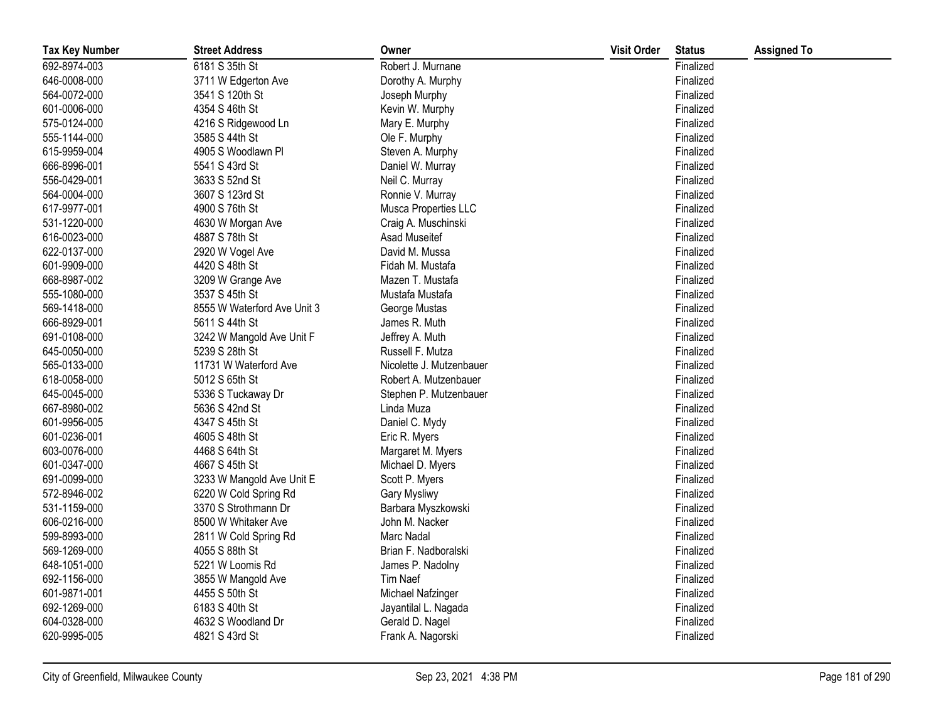| <b>Tax Key Number</b> | <b>Street Address</b>       | Owner                    | <b>Visit Order</b> | <b>Status</b> | <b>Assigned To</b> |
|-----------------------|-----------------------------|--------------------------|--------------------|---------------|--------------------|
| 692-8974-003          | 6181 S 35th St              | Robert J. Murnane        |                    | Finalized     |                    |
| 646-0008-000          | 3711 W Edgerton Ave         | Dorothy A. Murphy        |                    | Finalized     |                    |
| 564-0072-000          | 3541 S 120th St             | Joseph Murphy            |                    | Finalized     |                    |
| 601-0006-000          | 4354 S 46th St              | Kevin W. Murphy          |                    | Finalized     |                    |
| 575-0124-000          | 4216 S Ridgewood Ln         | Mary E. Murphy           |                    | Finalized     |                    |
| 555-1144-000          | 3585 S 44th St              | Ole F. Murphy            |                    | Finalized     |                    |
| 615-9959-004          | 4905 S Woodlawn Pl          | Steven A. Murphy         |                    | Finalized     |                    |
| 666-8996-001          | 5541 S 43rd St              | Daniel W. Murray         |                    | Finalized     |                    |
| 556-0429-001          | 3633 S 52nd St              | Neil C. Murray           |                    | Finalized     |                    |
| 564-0004-000          | 3607 S 123rd St             | Ronnie V. Murray         |                    | Finalized     |                    |
| 617-9977-001          | 4900 S 76th St              | Musca Properties LLC     |                    | Finalized     |                    |
| 531-1220-000          | 4630 W Morgan Ave           | Craig A. Muschinski      |                    | Finalized     |                    |
| 616-0023-000          | 4887 S 78th St              | Asad Museitef            |                    | Finalized     |                    |
| 622-0137-000          | 2920 W Vogel Ave            | David M. Mussa           |                    | Finalized     |                    |
| 601-9909-000          | 4420 S 48th St              | Fidah M. Mustafa         |                    | Finalized     |                    |
| 668-8987-002          | 3209 W Grange Ave           | Mazen T. Mustafa         |                    | Finalized     |                    |
| 555-1080-000          | 3537 S 45th St              | Mustafa Mustafa          |                    | Finalized     |                    |
| 569-1418-000          | 8555 W Waterford Ave Unit 3 | George Mustas            |                    | Finalized     |                    |
| 666-8929-001          | 5611 S 44th St              | James R. Muth            |                    | Finalized     |                    |
| 691-0108-000          | 3242 W Mangold Ave Unit F   | Jeffrey A. Muth          |                    | Finalized     |                    |
| 645-0050-000          | 5239 S 28th St              | Russell F. Mutza         |                    | Finalized     |                    |
| 565-0133-000          | 11731 W Waterford Ave       | Nicolette J. Mutzenbauer |                    | Finalized     |                    |
| 618-0058-000          | 5012 S 65th St              | Robert A. Mutzenbauer    |                    | Finalized     |                    |
| 645-0045-000          | 5336 S Tuckaway Dr          | Stephen P. Mutzenbauer   |                    | Finalized     |                    |
| 667-8980-002          | 5636 S 42nd St              | Linda Muza               |                    | Finalized     |                    |
| 601-9956-005          | 4347 S 45th St              | Daniel C. Mydy           |                    | Finalized     |                    |
| 601-0236-001          | 4605 S 48th St              | Eric R. Myers            |                    | Finalized     |                    |
| 603-0076-000          | 4468 S 64th St              | Margaret M. Myers        |                    | Finalized     |                    |
| 601-0347-000          | 4667 S 45th St              | Michael D. Myers         |                    | Finalized     |                    |
| 691-0099-000          | 3233 W Mangold Ave Unit E   | Scott P. Myers           |                    | Finalized     |                    |
| 572-8946-002          | 6220 W Cold Spring Rd       | Gary Mysliwy             |                    | Finalized     |                    |
| 531-1159-000          | 3370 S Strothmann Dr        | Barbara Myszkowski       |                    | Finalized     |                    |
| 606-0216-000          | 8500 W Whitaker Ave         | John M. Nacker           |                    | Finalized     |                    |
| 599-8993-000          | 2811 W Cold Spring Rd       | Marc Nadal               |                    | Finalized     |                    |
| 569-1269-000          | 4055 S 88th St              | Brian F. Nadboralski     |                    | Finalized     |                    |
| 648-1051-000          | 5221 W Loomis Rd            | James P. Nadolny         |                    | Finalized     |                    |
| 692-1156-000          | 3855 W Mangold Ave          | Tim Naef                 |                    | Finalized     |                    |
| 601-9871-001          | 4455 S 50th St              | Michael Nafzinger        |                    | Finalized     |                    |
| 692-1269-000          | 6183 S 40th St              | Jayantilal L. Nagada     |                    | Finalized     |                    |
| 604-0328-000          | 4632 S Woodland Dr          | Gerald D. Nagel          |                    | Finalized     |                    |
| 620-9995-005          | 4821 S 43rd St              | Frank A. Nagorski        |                    | Finalized     |                    |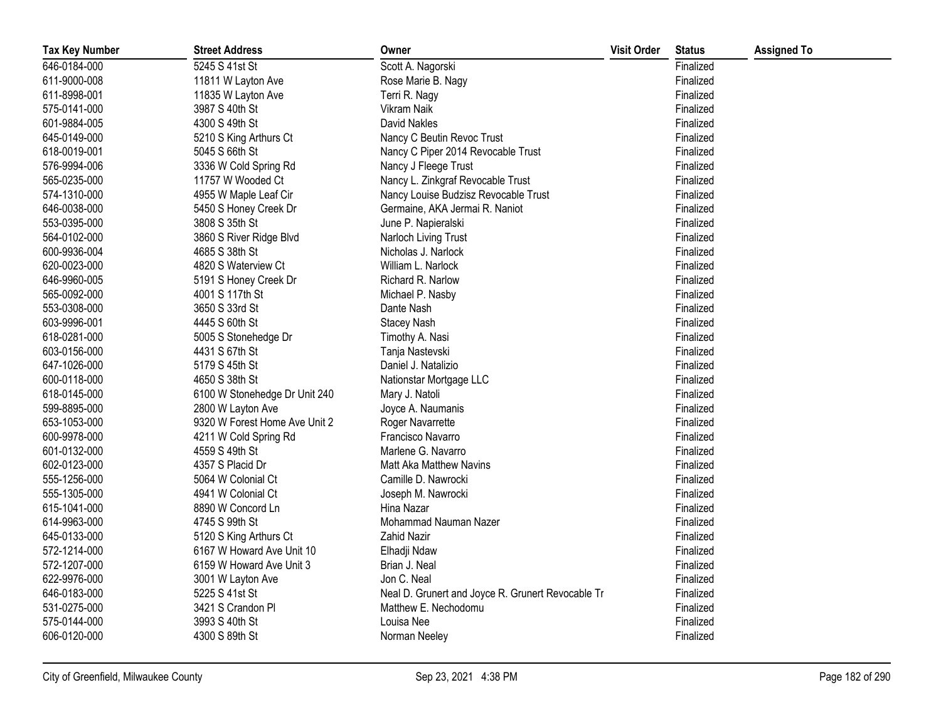| <b>Tax Key Number</b> | <b>Street Address</b>         | Owner                                             | <b>Visit Order</b> | <b>Status</b> | <b>Assigned To</b> |
|-----------------------|-------------------------------|---------------------------------------------------|--------------------|---------------|--------------------|
| 646-0184-000          | 5245 S 41st St                | Scott A. Nagorski                                 |                    | Finalized     |                    |
| 611-9000-008          | 11811 W Layton Ave            | Rose Marie B. Nagy                                |                    | Finalized     |                    |
| 611-8998-001          | 11835 W Layton Ave            | Terri R. Nagy                                     |                    | Finalized     |                    |
| 575-0141-000          | 3987 S 40th St                | Vikram Naik                                       |                    | Finalized     |                    |
| 601-9884-005          | 4300 S 49th St                | David Nakles                                      |                    | Finalized     |                    |
| 645-0149-000          | 5210 S King Arthurs Ct        | Nancy C Beutin Revoc Trust                        |                    | Finalized     |                    |
| 618-0019-001          | 5045 S 66th St                | Nancy C Piper 2014 Revocable Trust                |                    | Finalized     |                    |
| 576-9994-006          | 3336 W Cold Spring Rd         | Nancy J Fleege Trust                              |                    | Finalized     |                    |
| 565-0235-000          | 11757 W Wooded Ct             | Nancy L. Zinkgraf Revocable Trust                 |                    | Finalized     |                    |
| 574-1310-000          | 4955 W Maple Leaf Cir         | Nancy Louise Budzisz Revocable Trust              |                    | Finalized     |                    |
| 646-0038-000          | 5450 S Honey Creek Dr         | Germaine, AKA Jermai R. Naniot                    |                    | Finalized     |                    |
| 553-0395-000          | 3808 S 35th St                | June P. Napieralski                               |                    | Finalized     |                    |
| 564-0102-000          | 3860 S River Ridge Blvd       | Narloch Living Trust                              |                    | Finalized     |                    |
| 600-9936-004          | 4685 S 38th St                | Nicholas J. Narlock                               |                    | Finalized     |                    |
| 620-0023-000          | 4820 S Waterview Ct           | William L. Narlock                                |                    | Finalized     |                    |
| 646-9960-005          | 5191 S Honey Creek Dr         | Richard R. Narlow                                 |                    | Finalized     |                    |
| 565-0092-000          | 4001 S 117th St               | Michael P. Nasby                                  |                    | Finalized     |                    |
| 553-0308-000          | 3650 S 33rd St                | Dante Nash                                        |                    | Finalized     |                    |
| 603-9996-001          | 4445 S 60th St                | <b>Stacey Nash</b>                                |                    | Finalized     |                    |
| 618-0281-000          | 5005 S Stonehedge Dr          | Timothy A. Nasi                                   |                    | Finalized     |                    |
| 603-0156-000          | 4431 S 67th St                | Tanja Nastevski                                   |                    | Finalized     |                    |
| 647-1026-000          | 5179 S 45th St                | Daniel J. Natalizio                               |                    | Finalized     |                    |
| 600-0118-000          | 4650 S 38th St                | Nationstar Mortgage LLC                           |                    | Finalized     |                    |
| 618-0145-000          | 6100 W Stonehedge Dr Unit 240 | Mary J. Natoli                                    |                    | Finalized     |                    |
| 599-8895-000          | 2800 W Layton Ave             | Joyce A. Naumanis                                 |                    | Finalized     |                    |
| 653-1053-000          | 9320 W Forest Home Ave Unit 2 | Roger Navarrette                                  |                    | Finalized     |                    |
| 600-9978-000          | 4211 W Cold Spring Rd         | Francisco Navarro                                 |                    | Finalized     |                    |
| 601-0132-000          | 4559 S 49th St                | Marlene G. Navarro                                |                    | Finalized     |                    |
| 602-0123-000          | 4357 S Placid Dr              | Matt Aka Matthew Navins                           |                    | Finalized     |                    |
| 555-1256-000          | 5064 W Colonial Ct            | Camille D. Nawrocki                               |                    | Finalized     |                    |
| 555-1305-000          | 4941 W Colonial Ct            | Joseph M. Nawrocki                                |                    | Finalized     |                    |
| 615-1041-000          | 8890 W Concord Ln             | Hina Nazar                                        |                    | Finalized     |                    |
| 614-9963-000          | 4745 S 99th St                | Mohammad Nauman Nazer                             |                    | Finalized     |                    |
| 645-0133-000          | 5120 S King Arthurs Ct        | Zahid Nazir                                       |                    | Finalized     |                    |
| 572-1214-000          | 6167 W Howard Ave Unit 10     | Elhadji Ndaw                                      |                    | Finalized     |                    |
| 572-1207-000          | 6159 W Howard Ave Unit 3      | Brian J. Neal                                     |                    | Finalized     |                    |
| 622-9976-000          | 3001 W Layton Ave             | Jon C. Neal                                       |                    | Finalized     |                    |
| 646-0183-000          | 5225 S 41st St                | Neal D. Grunert and Joyce R. Grunert Revocable Tr |                    | Finalized     |                    |
| 531-0275-000          | 3421 S Crandon Pl             | Matthew E. Nechodomu                              |                    | Finalized     |                    |
| 575-0144-000          | 3993 S 40th St                | Louisa Nee                                        |                    | Finalized     |                    |
| 606-0120-000          | 4300 S 89th St                | Norman Neeley                                     |                    | Finalized     |                    |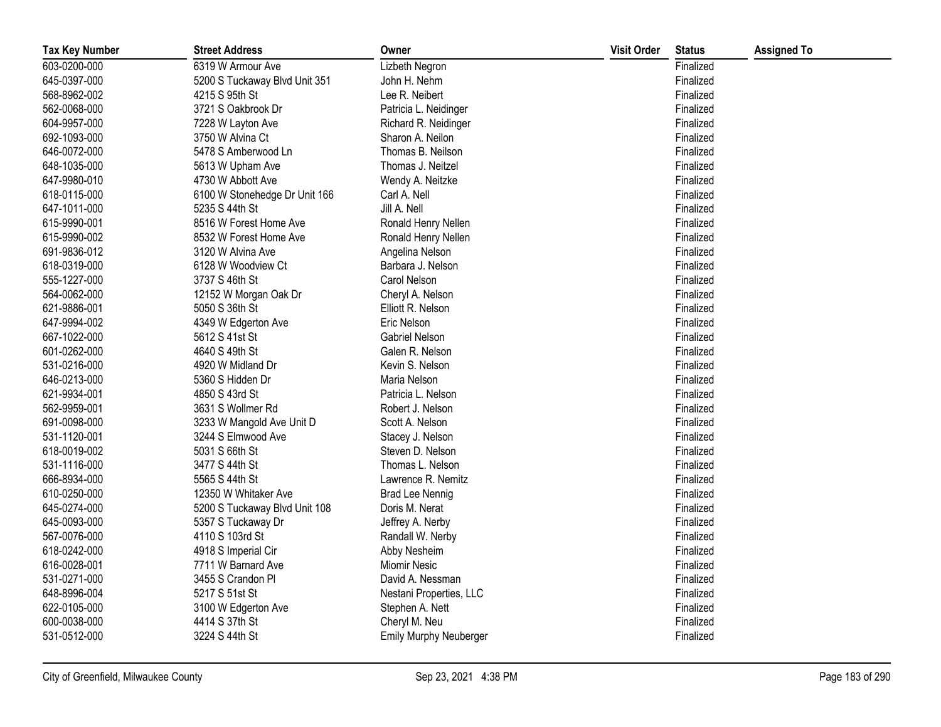| <b>Tax Key Number</b> | <b>Street Address</b>         | Owner                         | <b>Visit Order</b> | <b>Status</b> | <b>Assigned To</b> |
|-----------------------|-------------------------------|-------------------------------|--------------------|---------------|--------------------|
| 603-0200-000          | 6319 W Armour Ave             | Lizbeth Negron                |                    | Finalized     |                    |
| 645-0397-000          | 5200 S Tuckaway Blvd Unit 351 | John H. Nehm                  |                    | Finalized     |                    |
| 568-8962-002          | 4215 S 95th St                | Lee R. Neibert                |                    | Finalized     |                    |
| 562-0068-000          | 3721 S Oakbrook Dr            | Patricia L. Neidinger         |                    | Finalized     |                    |
| 604-9957-000          | 7228 W Layton Ave             | Richard R. Neidinger          |                    | Finalized     |                    |
| 692-1093-000          | 3750 W Alvina Ct              | Sharon A. Neilon              |                    | Finalized     |                    |
| 646-0072-000          | 5478 S Amberwood Ln           | Thomas B. Neilson             |                    | Finalized     |                    |
| 648-1035-000          | 5613 W Upham Ave              | Thomas J. Neitzel             |                    | Finalized     |                    |
| 647-9980-010          | 4730 W Abbott Ave             | Wendy A. Neitzke              |                    | Finalized     |                    |
| 618-0115-000          | 6100 W Stonehedge Dr Unit 166 | Carl A. Nell                  |                    | Finalized     |                    |
| 647-1011-000          | 5235 S 44th St                | Jill A. Nell                  |                    | Finalized     |                    |
| 615-9990-001          | 8516 W Forest Home Ave        | Ronald Henry Nellen           |                    | Finalized     |                    |
| 615-9990-002          | 8532 W Forest Home Ave        | Ronald Henry Nellen           |                    | Finalized     |                    |
| 691-9836-012          | 3120 W Alvina Ave             | Angelina Nelson               |                    | Finalized     |                    |
| 618-0319-000          | 6128 W Woodview Ct            | Barbara J. Nelson             |                    | Finalized     |                    |
| 555-1227-000          | 3737 S 46th St                | Carol Nelson                  |                    | Finalized     |                    |
| 564-0062-000          | 12152 W Morgan Oak Dr         | Cheryl A. Nelson              |                    | Finalized     |                    |
| 621-9886-001          | 5050 S 36th St                | Elliott R. Nelson             |                    | Finalized     |                    |
| 647-9994-002          | 4349 W Edgerton Ave           | Eric Nelson                   |                    | Finalized     |                    |
| 667-1022-000          | 5612 S 41st St                | Gabriel Nelson                |                    | Finalized     |                    |
| 601-0262-000          | 4640 S 49th St                | Galen R. Nelson               |                    | Finalized     |                    |
| 531-0216-000          | 4920 W Midland Dr             | Kevin S. Nelson               |                    | Finalized     |                    |
| 646-0213-000          | 5360 S Hidden Dr              | Maria Nelson                  |                    | Finalized     |                    |
| 621-9934-001          | 4850 S 43rd St                | Patricia L. Nelson            |                    | Finalized     |                    |
| 562-9959-001          | 3631 S Wollmer Rd             | Robert J. Nelson              |                    | Finalized     |                    |
| 691-0098-000          | 3233 W Mangold Ave Unit D     | Scott A. Nelson               |                    | Finalized     |                    |
| 531-1120-001          | 3244 S Elmwood Ave            | Stacey J. Nelson              |                    | Finalized     |                    |
| 618-0019-002          | 5031 S 66th St                | Steven D. Nelson              |                    | Finalized     |                    |
| 531-1116-000          | 3477 S 44th St                | Thomas L. Nelson              |                    | Finalized     |                    |
| 666-8934-000          | 5565 S 44th St                | Lawrence R. Nemitz            |                    | Finalized     |                    |
| 610-0250-000          | 12350 W Whitaker Ave          | <b>Brad Lee Nennig</b>        |                    | Finalized     |                    |
| 645-0274-000          | 5200 S Tuckaway Blvd Unit 108 | Doris M. Nerat                |                    | Finalized     |                    |
| 645-0093-000          | 5357 S Tuckaway Dr            | Jeffrey A. Nerby              |                    | Finalized     |                    |
| 567-0076-000          | 4110 S 103rd St               | Randall W. Nerby              |                    | Finalized     |                    |
| 618-0242-000          | 4918 S Imperial Cir           | Abby Nesheim                  |                    | Finalized     |                    |
| 616-0028-001          | 7711 W Barnard Ave            | <b>Miomir Nesic</b>           |                    | Finalized     |                    |
| 531-0271-000          | 3455 S Crandon Pl             | David A. Nessman              |                    | Finalized     |                    |
| 648-8996-004          | 5217 S 51st St                | Nestani Properties, LLC       |                    | Finalized     |                    |
| 622-0105-000          | 3100 W Edgerton Ave           | Stephen A. Nett               |                    | Finalized     |                    |
| 600-0038-000          | 4414 S 37th St                | Cheryl M. Neu                 |                    | Finalized     |                    |
| 531-0512-000          | 3224 S 44th St                | <b>Emily Murphy Neuberger</b> |                    | Finalized     |                    |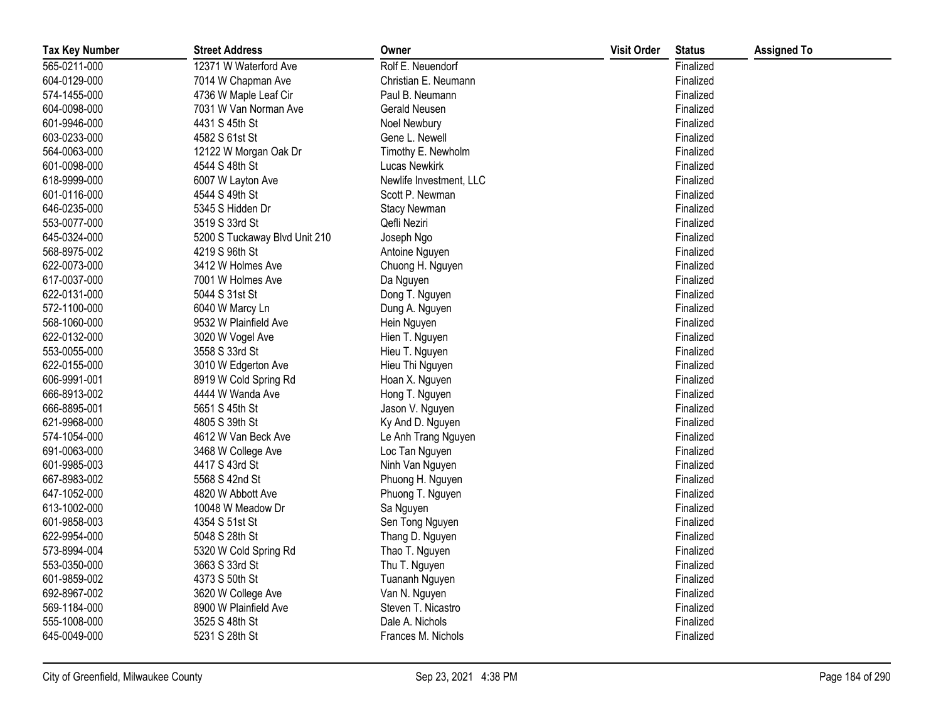| <b>Tax Key Number</b> | <b>Street Address</b>         | Owner                   | <b>Visit Order</b> | <b>Status</b> | <b>Assigned To</b> |
|-----------------------|-------------------------------|-------------------------|--------------------|---------------|--------------------|
| 565-0211-000          | 12371 W Waterford Ave         | Rolf E. Neuendorf       |                    | Finalized     |                    |
| 604-0129-000          | 7014 W Chapman Ave            | Christian E. Neumann    |                    | Finalized     |                    |
| 574-1455-000          | 4736 W Maple Leaf Cir         | Paul B. Neumann         |                    | Finalized     |                    |
| 604-0098-000          | 7031 W Van Norman Ave         | Gerald Neusen           |                    | Finalized     |                    |
| 601-9946-000          | 4431 S 45th St                | Noel Newbury            |                    | Finalized     |                    |
| 603-0233-000          | 4582 S 61st St                | Gene L. Newell          |                    | Finalized     |                    |
| 564-0063-000          | 12122 W Morgan Oak Dr         | Timothy E. Newholm      |                    | Finalized     |                    |
| 601-0098-000          | 4544 S 48th St                | <b>Lucas Newkirk</b>    |                    | Finalized     |                    |
| 618-9999-000          | 6007 W Layton Ave             | Newlife Investment, LLC |                    | Finalized     |                    |
| 601-0116-000          | 4544 S 49th St                | Scott P. Newman         |                    | Finalized     |                    |
| 646-0235-000          | 5345 S Hidden Dr              | <b>Stacy Newman</b>     |                    | Finalized     |                    |
| 553-0077-000          | 3519 S 33rd St                | Qefli Neziri            |                    | Finalized     |                    |
| 645-0324-000          | 5200 S Tuckaway Blvd Unit 210 | Joseph Ngo              |                    | Finalized     |                    |
| 568-8975-002          | 4219 S 96th St                | Antoine Nguyen          |                    | Finalized     |                    |
| 622-0073-000          | 3412 W Holmes Ave             | Chuong H. Nguyen        |                    | Finalized     |                    |
| 617-0037-000          | 7001 W Holmes Ave             | Da Nguyen               |                    | Finalized     |                    |
| 622-0131-000          | 5044 S 31st St                | Dong T. Nguyen          |                    | Finalized     |                    |
| 572-1100-000          | 6040 W Marcy Ln               | Dung A. Nguyen          |                    | Finalized     |                    |
| 568-1060-000          | 9532 W Plainfield Ave         | Hein Nguyen             |                    | Finalized     |                    |
| 622-0132-000          | 3020 W Vogel Ave              | Hien T. Nguyen          |                    | Finalized     |                    |
| 553-0055-000          | 3558 S 33rd St                | Hieu T. Nguyen          |                    | Finalized     |                    |
| 622-0155-000          | 3010 W Edgerton Ave           | Hieu Thi Nguyen         |                    | Finalized     |                    |
| 606-9991-001          | 8919 W Cold Spring Rd         | Hoan X. Nguyen          |                    | Finalized     |                    |
| 666-8913-002          | 4444 W Wanda Ave              | Hong T. Nguyen          |                    | Finalized     |                    |
| 666-8895-001          | 5651 S 45th St                | Jason V. Nguyen         |                    | Finalized     |                    |
| 621-9968-000          | 4805 S 39th St                | Ky And D. Nguyen        |                    | Finalized     |                    |
| 574-1054-000          | 4612 W Van Beck Ave           | Le Anh Trang Nguyen     |                    | Finalized     |                    |
| 691-0063-000          | 3468 W College Ave            | Loc Tan Nguyen          |                    | Finalized     |                    |
| 601-9985-003          | 4417 S 43rd St                | Ninh Van Nguyen         |                    | Finalized     |                    |
| 667-8983-002          | 5568 S 42nd St                | Phuong H. Nguyen        |                    | Finalized     |                    |
| 647-1052-000          | 4820 W Abbott Ave             | Phuong T. Nguyen        |                    | Finalized     |                    |
| 613-1002-000          | 10048 W Meadow Dr             | Sa Nguyen               |                    | Finalized     |                    |
| 601-9858-003          | 4354 S 51st St                | Sen Tong Nguyen         |                    | Finalized     |                    |
| 622-9954-000          | 5048 S 28th St                | Thang D. Nguyen         |                    | Finalized     |                    |
| 573-8994-004          | 5320 W Cold Spring Rd         | Thao T. Nguyen          |                    | Finalized     |                    |
| 553-0350-000          | 3663 S 33rd St                | Thu T. Nguyen           |                    | Finalized     |                    |
| 601-9859-002          | 4373 S 50th St                | Tuananh Nguyen          |                    | Finalized     |                    |
| 692-8967-002          | 3620 W College Ave            | Van N. Nguyen           |                    | Finalized     |                    |
| 569-1184-000          | 8900 W Plainfield Ave         | Steven T. Nicastro      |                    | Finalized     |                    |
| 555-1008-000          | 3525 S 48th St                | Dale A. Nichols         |                    | Finalized     |                    |
| 645-0049-000          | 5231 S 28th St                | Frances M. Nichols      |                    | Finalized     |                    |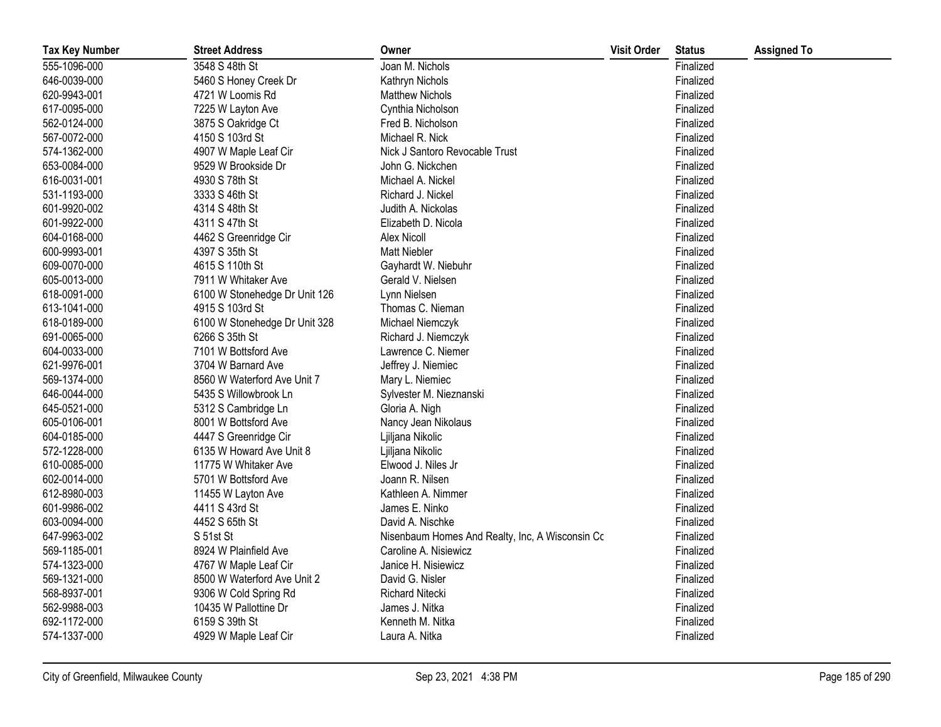| <b>Tax Key Number</b> | <b>Street Address</b>         | Owner                                           | <b>Visit Order</b> | <b>Status</b> | <b>Assigned To</b> |
|-----------------------|-------------------------------|-------------------------------------------------|--------------------|---------------|--------------------|
| 555-1096-000          | 3548 S 48th St                | Joan M. Nichols                                 |                    | Finalized     |                    |
| 646-0039-000          | 5460 S Honey Creek Dr         | Kathryn Nichols                                 |                    | Finalized     |                    |
| 620-9943-001          | 4721 W Loomis Rd              | <b>Matthew Nichols</b>                          |                    | Finalized     |                    |
| 617-0095-000          | 7225 W Layton Ave             | Cynthia Nicholson                               |                    | Finalized     |                    |
| 562-0124-000          | 3875 S Oakridge Ct            | Fred B. Nicholson                               |                    | Finalized     |                    |
| 567-0072-000          | 4150 S 103rd St               | Michael R. Nick                                 |                    | Finalized     |                    |
| 574-1362-000          | 4907 W Maple Leaf Cir         | Nick J Santoro Revocable Trust                  |                    | Finalized     |                    |
| 653-0084-000          | 9529 W Brookside Dr           | John G. Nickchen                                |                    | Finalized     |                    |
| 616-0031-001          | 4930 S 78th St                | Michael A. Nickel                               |                    | Finalized     |                    |
| 531-1193-000          | 3333 S 46th St                | Richard J. Nickel                               |                    | Finalized     |                    |
| 601-9920-002          | 4314 S 48th St                | Judith A. Nickolas                              |                    | Finalized     |                    |
| 601-9922-000          | 4311 S 47th St                | Elizabeth D. Nicola                             |                    | Finalized     |                    |
| 604-0168-000          | 4462 S Greenridge Cir         | Alex Nicoll                                     |                    | Finalized     |                    |
| 600-9993-001          | 4397 S 35th St                | <b>Matt Niebler</b>                             |                    | Finalized     |                    |
| 609-0070-000          | 4615 S 110th St               | Gayhardt W. Niebuhr                             |                    | Finalized     |                    |
| 605-0013-000          | 7911 W Whitaker Ave           | Gerald V. Nielsen                               |                    | Finalized     |                    |
| 618-0091-000          | 6100 W Stonehedge Dr Unit 126 | Lynn Nielsen                                    |                    | Finalized     |                    |
| 613-1041-000          | 4915 S 103rd St               | Thomas C. Nieman                                |                    | Finalized     |                    |
| 618-0189-000          | 6100 W Stonehedge Dr Unit 328 | Michael Niemczyk                                |                    | Finalized     |                    |
| 691-0065-000          | 6266 S 35th St                | Richard J. Niemczyk                             |                    | Finalized     |                    |
| 604-0033-000          | 7101 W Bottsford Ave          | Lawrence C. Niemer                              |                    | Finalized     |                    |
| 621-9976-001          | 3704 W Barnard Ave            | Jeffrey J. Niemiec                              |                    | Finalized     |                    |
| 569-1374-000          | 8560 W Waterford Ave Unit 7   | Mary L. Niemiec                                 |                    | Finalized     |                    |
| 646-0044-000          | 5435 S Willowbrook Ln         | Sylvester M. Nieznanski                         |                    | Finalized     |                    |
| 645-0521-000          | 5312 S Cambridge Ln           | Gloria A. Nigh                                  |                    | Finalized     |                    |
| 605-0106-001          | 8001 W Bottsford Ave          | Nancy Jean Nikolaus                             |                    | Finalized     |                    |
| 604-0185-000          | 4447 S Greenridge Cir         | Ljiljana Nikolic                                |                    | Finalized     |                    |
| 572-1228-000          | 6135 W Howard Ave Unit 8      | Ljiljana Nikolic                                |                    | Finalized     |                    |
| 610-0085-000          | 11775 W Whitaker Ave          | Elwood J. Niles Jr                              |                    | Finalized     |                    |
| 602-0014-000          | 5701 W Bottsford Ave          | Joann R. Nilsen                                 |                    | Finalized     |                    |
| 612-8980-003          | 11455 W Layton Ave            | Kathleen A. Nimmer                              |                    | Finalized     |                    |
| 601-9986-002          | 4411 S 43rd St                | James E. Ninko                                  |                    | Finalized     |                    |
| 603-0094-000          | 4452 S 65th St                | David A. Nischke                                |                    | Finalized     |                    |
| 647-9963-002          | S 51st St                     | Nisenbaum Homes And Realty, Inc, A Wisconsin Cc |                    | Finalized     |                    |
| 569-1185-001          | 8924 W Plainfield Ave         | Caroline A. Nisiewicz                           |                    | Finalized     |                    |
| 574-1323-000          | 4767 W Maple Leaf Cir         | Janice H. Nisiewicz                             |                    | Finalized     |                    |
| 569-1321-000          | 8500 W Waterford Ave Unit 2   | David G. Nisler                                 |                    | Finalized     |                    |
| 568-8937-001          | 9306 W Cold Spring Rd         | Richard Nitecki                                 |                    | Finalized     |                    |
| 562-9988-003          | 10435 W Pallottine Dr         | James J. Nitka                                  |                    | Finalized     |                    |
| 692-1172-000          | 6159 S 39th St                | Kenneth M. Nitka                                |                    | Finalized     |                    |
| 574-1337-000          | 4929 W Maple Leaf Cir         | Laura A. Nitka                                  |                    | Finalized     |                    |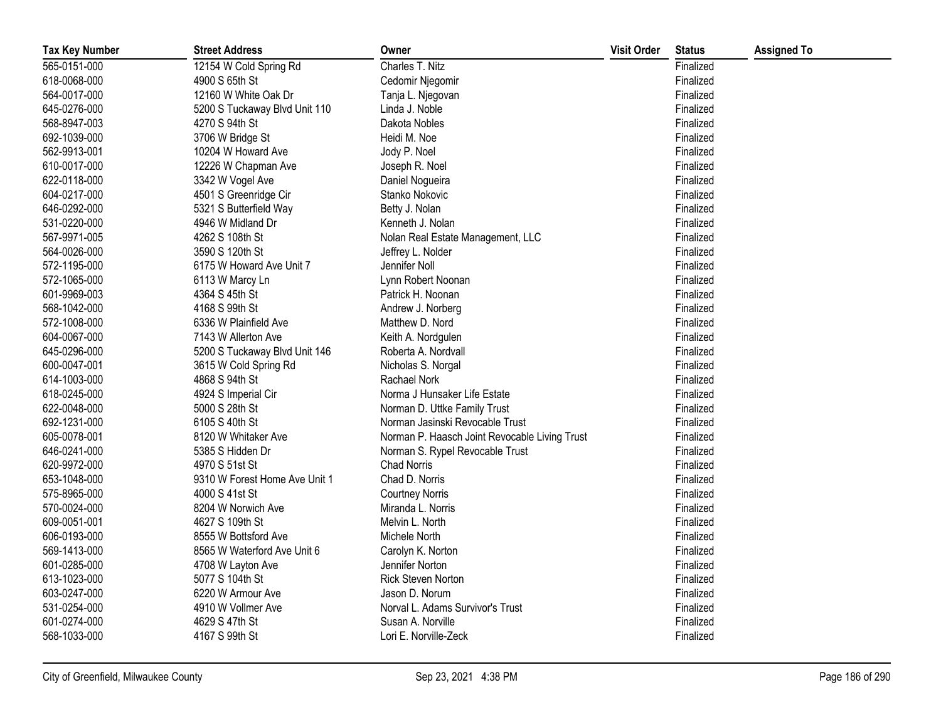| <b>Tax Key Number</b> | <b>Street Address</b>         | Owner                                         | <b>Visit Order</b> | <b>Status</b> | <b>Assigned To</b> |
|-----------------------|-------------------------------|-----------------------------------------------|--------------------|---------------|--------------------|
| 565-0151-000          | 12154 W Cold Spring Rd        | Charles T. Nitz                               |                    | Finalized     |                    |
| 618-0068-000          | 4900 S 65th St                | Cedomir Njegomir                              |                    | Finalized     |                    |
| 564-0017-000          | 12160 W White Oak Dr          | Tanja L. Njegovan                             |                    | Finalized     |                    |
| 645-0276-000          | 5200 S Tuckaway Blvd Unit 110 | Linda J. Noble                                |                    | Finalized     |                    |
| 568-8947-003          | 4270 S 94th St                | Dakota Nobles                                 |                    | Finalized     |                    |
| 692-1039-000          | 3706 W Bridge St              | Heidi M. Noe                                  |                    | Finalized     |                    |
| 562-9913-001          | 10204 W Howard Ave            | Jody P. Noel                                  |                    | Finalized     |                    |
| 610-0017-000          | 12226 W Chapman Ave           | Joseph R. Noel                                |                    | Finalized     |                    |
| 622-0118-000          | 3342 W Vogel Ave              | Daniel Nogueira                               |                    | Finalized     |                    |
| 604-0217-000          | 4501 S Greenridge Cir         | Stanko Nokovic                                |                    | Finalized     |                    |
| 646-0292-000          | 5321 S Butterfield Way        | Betty J. Nolan                                |                    | Finalized     |                    |
| 531-0220-000          | 4946 W Midland Dr             | Kenneth J. Nolan                              |                    | Finalized     |                    |
| 567-9971-005          | 4262 S 108th St               | Nolan Real Estate Management, LLC             |                    | Finalized     |                    |
| 564-0026-000          | 3590 S 120th St               | Jeffrey L. Nolder                             |                    | Finalized     |                    |
| 572-1195-000          | 6175 W Howard Ave Unit 7      | Jennifer Noll                                 |                    | Finalized     |                    |
| 572-1065-000          | 6113 W Marcy Ln               | Lynn Robert Noonan                            |                    | Finalized     |                    |
| 601-9969-003          | 4364 S 45th St                | Patrick H. Noonan                             |                    | Finalized     |                    |
| 568-1042-000          | 4168 S 99th St                | Andrew J. Norberg                             |                    | Finalized     |                    |
| 572-1008-000          | 6336 W Plainfield Ave         | Matthew D. Nord                               |                    | Finalized     |                    |
| 604-0067-000          | 7143 W Allerton Ave           | Keith A. Nordgulen                            |                    | Finalized     |                    |
| 645-0296-000          | 5200 S Tuckaway Blvd Unit 146 | Roberta A. Nordvall                           |                    | Finalized     |                    |
| 600-0047-001          | 3615 W Cold Spring Rd         | Nicholas S. Norgal                            |                    | Finalized     |                    |
| 614-1003-000          | 4868 S 94th St                | Rachael Nork                                  |                    | Finalized     |                    |
| 618-0245-000          | 4924 S Imperial Cir           | Norma J Hunsaker Life Estate                  |                    | Finalized     |                    |
| 622-0048-000          | 5000 S 28th St                | Norman D. Uttke Family Trust                  |                    | Finalized     |                    |
| 692-1231-000          | 6105 S 40th St                | Norman Jasinski Revocable Trust               |                    | Finalized     |                    |
| 605-0078-001          | 8120 W Whitaker Ave           | Norman P. Haasch Joint Revocable Living Trust |                    | Finalized     |                    |
| 646-0241-000          | 5385 S Hidden Dr              | Norman S. Rypel Revocable Trust               |                    | Finalized     |                    |
| 620-9972-000          | 4970 S 51st St                | <b>Chad Norris</b>                            |                    | Finalized     |                    |
| 653-1048-000          | 9310 W Forest Home Ave Unit 1 | Chad D. Norris                                |                    | Finalized     |                    |
| 575-8965-000          | 4000 S 41st St                | <b>Courtney Norris</b>                        |                    | Finalized     |                    |
| 570-0024-000          | 8204 W Norwich Ave            | Miranda L. Norris                             |                    | Finalized     |                    |
| 609-0051-001          | 4627 S 109th St               | Melvin L. North                               |                    | Finalized     |                    |
| 606-0193-000          | 8555 W Bottsford Ave          | Michele North                                 |                    | Finalized     |                    |
| 569-1413-000          | 8565 W Waterford Ave Unit 6   | Carolyn K. Norton                             |                    | Finalized     |                    |
| 601-0285-000          | 4708 W Layton Ave             | Jennifer Norton                               |                    | Finalized     |                    |
| 613-1023-000          | 5077 S 104th St               | Rick Steven Norton                            |                    | Finalized     |                    |
| 603-0247-000          | 6220 W Armour Ave             | Jason D. Norum                                |                    | Finalized     |                    |
| 531-0254-000          | 4910 W Vollmer Ave            | Norval L. Adams Survivor's Trust              |                    | Finalized     |                    |
| 601-0274-000          | 4629 S 47th St                | Susan A. Norville                             |                    | Finalized     |                    |
| 568-1033-000          | 4167 S 99th St                | Lori E. Norville-Zeck                         |                    | Finalized     |                    |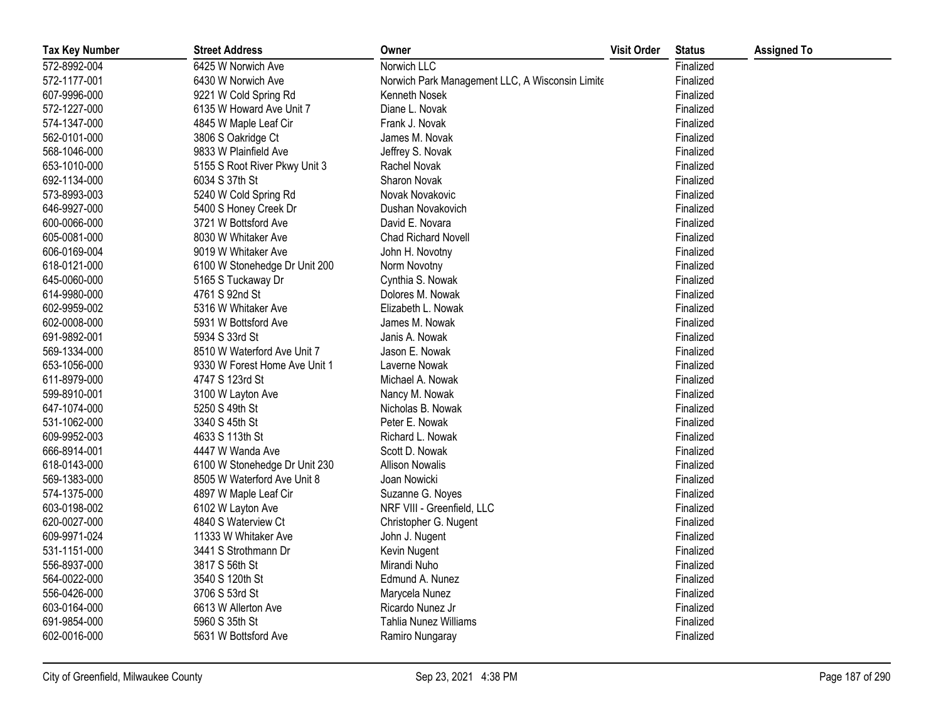| <b>Tax Key Number</b> | <b>Street Address</b>         | Owner                                           | <b>Visit Order</b> | <b>Status</b> | <b>Assigned To</b> |
|-----------------------|-------------------------------|-------------------------------------------------|--------------------|---------------|--------------------|
| 572-8992-004          | 6425 W Norwich Ave            | Norwich LLC                                     |                    | Finalized     |                    |
| 572-1177-001          | 6430 W Norwich Ave            | Norwich Park Management LLC, A Wisconsin Limite |                    | Finalized     |                    |
| 607-9996-000          | 9221 W Cold Spring Rd         | Kenneth Nosek                                   |                    | Finalized     |                    |
| 572-1227-000          | 6135 W Howard Ave Unit 7      | Diane L. Novak                                  |                    | Finalized     |                    |
| 574-1347-000          | 4845 W Maple Leaf Cir         | Frank J. Novak                                  |                    | Finalized     |                    |
| 562-0101-000          | 3806 S Oakridge Ct            | James M. Novak                                  |                    | Finalized     |                    |
| 568-1046-000          | 9833 W Plainfield Ave         | Jeffrey S. Novak                                |                    | Finalized     |                    |
| 653-1010-000          | 5155 S Root River Pkwy Unit 3 | Rachel Novak                                    |                    | Finalized     |                    |
| 692-1134-000          | 6034 S 37th St                | Sharon Novak                                    |                    | Finalized     |                    |
| 573-8993-003          | 5240 W Cold Spring Rd         | Novak Novakovic                                 |                    | Finalized     |                    |
| 646-9927-000          | 5400 S Honey Creek Dr         | Dushan Novakovich                               |                    | Finalized     |                    |
| 600-0066-000          | 3721 W Bottsford Ave          | David E. Novara                                 |                    | Finalized     |                    |
| 605-0081-000          | 8030 W Whitaker Ave           | <b>Chad Richard Novell</b>                      |                    | Finalized     |                    |
| 606-0169-004          | 9019 W Whitaker Ave           | John H. Novotny                                 |                    | Finalized     |                    |
| 618-0121-000          | 6100 W Stonehedge Dr Unit 200 | Norm Novotny                                    |                    | Finalized     |                    |
| 645-0060-000          | 5165 S Tuckaway Dr            | Cynthia S. Nowak                                |                    | Finalized     |                    |
| 614-9980-000          | 4761 S 92nd St                | Dolores M. Nowak                                |                    | Finalized     |                    |
| 602-9959-002          | 5316 W Whitaker Ave           | Elizabeth L. Nowak                              |                    | Finalized     |                    |
| 602-0008-000          | 5931 W Bottsford Ave          | James M. Nowak                                  |                    | Finalized     |                    |
| 691-9892-001          | 5934 S 33rd St                | Janis A. Nowak                                  |                    | Finalized     |                    |
| 569-1334-000          | 8510 W Waterford Ave Unit 7   | Jason E. Nowak                                  |                    | Finalized     |                    |
| 653-1056-000          | 9330 W Forest Home Ave Unit 1 | Laverne Nowak                                   |                    | Finalized     |                    |
| 611-8979-000          | 4747 S 123rd St               | Michael A. Nowak                                |                    | Finalized     |                    |
| 599-8910-001          | 3100 W Layton Ave             | Nancy M. Nowak                                  |                    | Finalized     |                    |
| 647-1074-000          | 5250 S 49th St                | Nicholas B. Nowak                               |                    | Finalized     |                    |
| 531-1062-000          | 3340 S 45th St                | Peter E. Nowak                                  |                    | Finalized     |                    |
| 609-9952-003          | 4633 S 113th St               | Richard L. Nowak                                |                    | Finalized     |                    |
| 666-8914-001          | 4447 W Wanda Ave              | Scott D. Nowak                                  |                    | Finalized     |                    |
| 618-0143-000          | 6100 W Stonehedge Dr Unit 230 | <b>Allison Nowalis</b>                          |                    | Finalized     |                    |
| 569-1383-000          | 8505 W Waterford Ave Unit 8   | Joan Nowicki                                    |                    | Finalized     |                    |
| 574-1375-000          | 4897 W Maple Leaf Cir         | Suzanne G. Noyes                                |                    | Finalized     |                    |
| 603-0198-002          | 6102 W Layton Ave             | NRF VIII - Greenfield, LLC                      |                    | Finalized     |                    |
| 620-0027-000          | 4840 S Waterview Ct           | Christopher G. Nugent                           |                    | Finalized     |                    |
| 609-9971-024          | 11333 W Whitaker Ave          | John J. Nugent                                  |                    | Finalized     |                    |
| 531-1151-000          | 3441 S Strothmann Dr          | Kevin Nugent                                    |                    | Finalized     |                    |
| 556-8937-000          | 3817 S 56th St                | Mirandi Nuho                                    |                    | Finalized     |                    |
| 564-0022-000          | 3540 S 120th St               | Edmund A. Nunez                                 |                    | Finalized     |                    |
| 556-0426-000          | 3706 S 53rd St                | Marycela Nunez                                  |                    | Finalized     |                    |
| 603-0164-000          | 6613 W Allerton Ave           | Ricardo Nunez Jr                                |                    | Finalized     |                    |
| 691-9854-000          | 5960 S 35th St                | Tahlia Nunez Williams                           |                    | Finalized     |                    |
| 602-0016-000          | 5631 W Bottsford Ave          | Ramiro Nungaray                                 |                    | Finalized     |                    |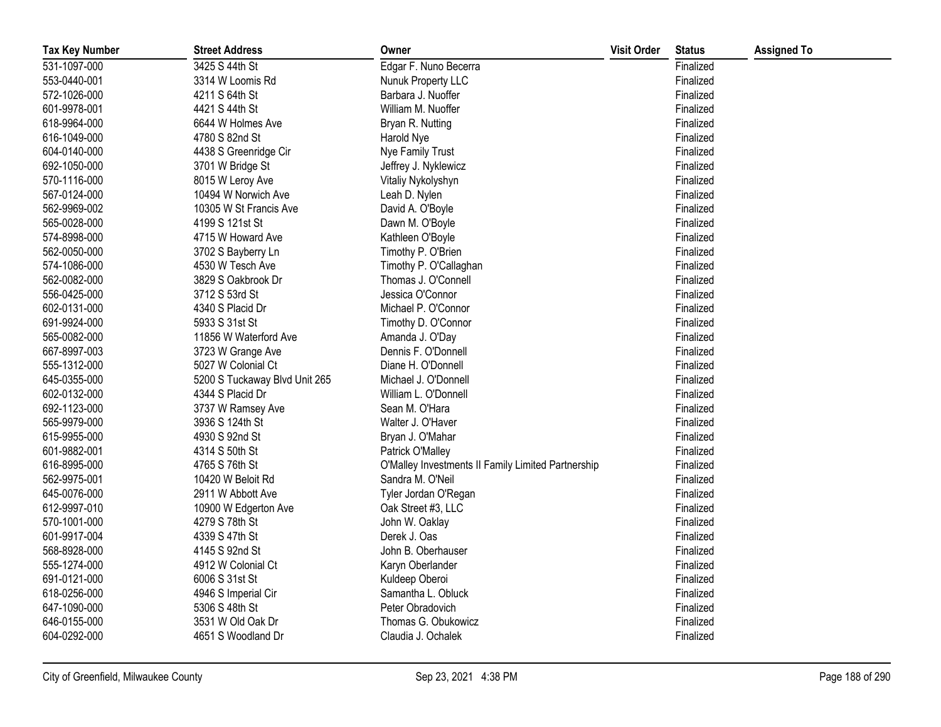| <b>Tax Key Number</b> | <b>Street Address</b>         | Owner                                              | <b>Visit Order</b> | <b>Status</b> | <b>Assigned To</b> |
|-----------------------|-------------------------------|----------------------------------------------------|--------------------|---------------|--------------------|
| 531-1097-000          | 3425 S 44th St                | Edgar F. Nuno Becerra                              |                    | Finalized     |                    |
| 553-0440-001          | 3314 W Loomis Rd              | Nunuk Property LLC                                 |                    | Finalized     |                    |
| 572-1026-000          | 4211 S 64th St                | Barbara J. Nuoffer                                 |                    | Finalized     |                    |
| 601-9978-001          | 4421 S 44th St                | William M. Nuoffer                                 |                    | Finalized     |                    |
| 618-9964-000          | 6644 W Holmes Ave             | Bryan R. Nutting                                   |                    | Finalized     |                    |
| 616-1049-000          | 4780 S 82nd St                | Harold Nye                                         |                    | Finalized     |                    |
| 604-0140-000          | 4438 S Greenridge Cir         | Nye Family Trust                                   |                    | Finalized     |                    |
| 692-1050-000          | 3701 W Bridge St              | Jeffrey J. Nyklewicz                               |                    | Finalized     |                    |
| 570-1116-000          | 8015 W Leroy Ave              | Vitaliy Nykolyshyn                                 |                    | Finalized     |                    |
| 567-0124-000          | 10494 W Norwich Ave           | Leah D. Nylen                                      |                    | Finalized     |                    |
| 562-9969-002          | 10305 W St Francis Ave        | David A. O'Boyle                                   |                    | Finalized     |                    |
| 565-0028-000          | 4199 S 121st St               | Dawn M. O'Boyle                                    |                    | Finalized     |                    |
| 574-8998-000          | 4715 W Howard Ave             | Kathleen O'Boyle                                   |                    | Finalized     |                    |
| 562-0050-000          | 3702 S Bayberry Ln            | Timothy P. O'Brien                                 |                    | Finalized     |                    |
| 574-1086-000          | 4530 W Tesch Ave              | Timothy P. O'Callaghan                             |                    | Finalized     |                    |
| 562-0082-000          | 3829 S Oakbrook Dr            | Thomas J. O'Connell                                |                    | Finalized     |                    |
| 556-0425-000          | 3712 S 53rd St                | Jessica O'Connor                                   |                    | Finalized     |                    |
| 602-0131-000          | 4340 S Placid Dr              | Michael P. O'Connor                                |                    | Finalized     |                    |
| 691-9924-000          | 5933 S 31st St                | Timothy D. O'Connor                                |                    | Finalized     |                    |
| 565-0082-000          | 11856 W Waterford Ave         | Amanda J. O'Day                                    |                    | Finalized     |                    |
| 667-8997-003          | 3723 W Grange Ave             | Dennis F. O'Donnell                                |                    | Finalized     |                    |
| 555-1312-000          | 5027 W Colonial Ct            | Diane H. O'Donnell                                 |                    | Finalized     |                    |
| 645-0355-000          | 5200 S Tuckaway Blvd Unit 265 | Michael J. O'Donnell                               |                    | Finalized     |                    |
| 602-0132-000          | 4344 S Placid Dr              | William L. O'Donnell                               |                    | Finalized     |                    |
| 692-1123-000          | 3737 W Ramsey Ave             | Sean M. O'Hara                                     |                    | Finalized     |                    |
| 565-9979-000          | 3936 S 124th St               | Walter J. O'Haver                                  |                    | Finalized     |                    |
| 615-9955-000          | 4930 S 92nd St                | Bryan J. O'Mahar                                   |                    | Finalized     |                    |
| 601-9882-001          | 4314 S 50th St                | Patrick O'Malley                                   |                    | Finalized     |                    |
| 616-8995-000          | 4765 S 76th St                | O'Malley Investments II Family Limited Partnership |                    | Finalized     |                    |
| 562-9975-001          | 10420 W Beloit Rd             | Sandra M. O'Neil                                   |                    | Finalized     |                    |
| 645-0076-000          | 2911 W Abbott Ave             | Tyler Jordan O'Regan                               |                    | Finalized     |                    |
| 612-9997-010          | 10900 W Edgerton Ave          | Oak Street #3, LLC                                 |                    | Finalized     |                    |
| 570-1001-000          | 4279 S 78th St                | John W. Oaklay                                     |                    | Finalized     |                    |
| 601-9917-004          | 4339 S 47th St                | Derek J. Oas                                       |                    | Finalized     |                    |
| 568-8928-000          | 4145 S 92nd St                | John B. Oberhauser                                 |                    | Finalized     |                    |
| 555-1274-000          | 4912 W Colonial Ct            | Karyn Oberlander                                   |                    | Finalized     |                    |
| 691-0121-000          | 6006 S 31st St                | Kuldeep Oberoi                                     |                    | Finalized     |                    |
| 618-0256-000          | 4946 S Imperial Cir           | Samantha L. Obluck                                 |                    | Finalized     |                    |
| 647-1090-000          | 5306 S 48th St                | Peter Obradovich                                   |                    | Finalized     |                    |
| 646-0155-000          | 3531 W Old Oak Dr             | Thomas G. Obukowicz                                |                    | Finalized     |                    |
| 604-0292-000          | 4651 S Woodland Dr            | Claudia J. Ochalek                                 |                    | Finalized     |                    |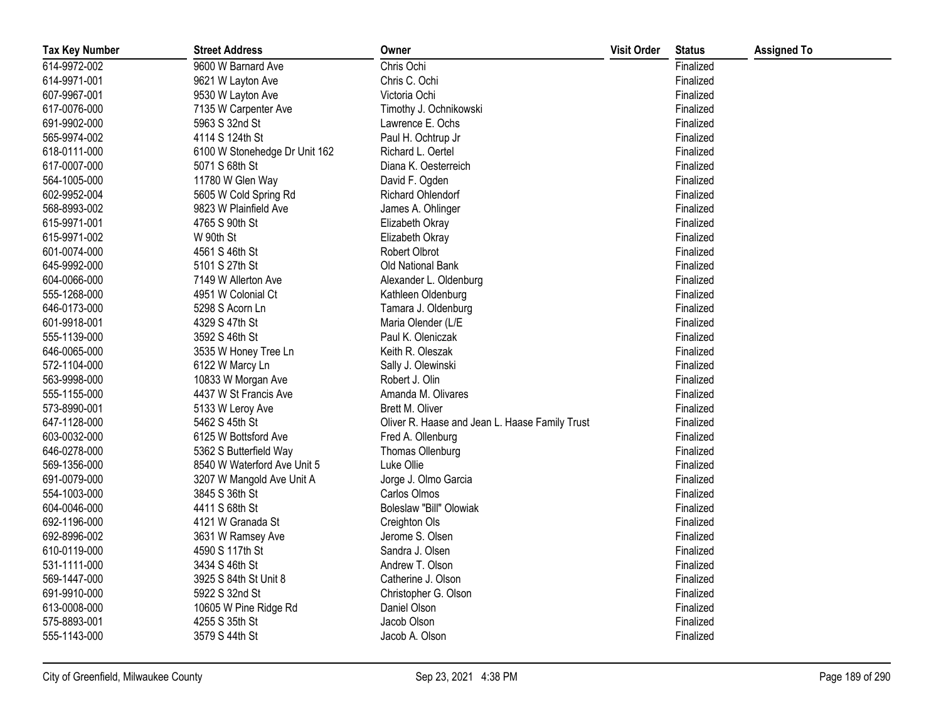| <b>Tax Key Number</b> | <b>Street Address</b>         | Owner                                          | <b>Visit Order</b> | <b>Status</b> | <b>Assigned To</b> |
|-----------------------|-------------------------------|------------------------------------------------|--------------------|---------------|--------------------|
| 614-9972-002          | 9600 W Barnard Ave            | Chris Ochi                                     |                    | Finalized     |                    |
| 614-9971-001          | 9621 W Layton Ave             | Chris C. Ochi                                  |                    | Finalized     |                    |
| 607-9967-001          | 9530 W Layton Ave             | Victoria Ochi                                  |                    | Finalized     |                    |
| 617-0076-000          | 7135 W Carpenter Ave          | Timothy J. Ochnikowski                         |                    | Finalized     |                    |
| 691-9902-000          | 5963 S 32nd St                | Lawrence E. Ochs                               |                    | Finalized     |                    |
| 565-9974-002          | 4114 S 124th St               | Paul H. Ochtrup Jr                             |                    | Finalized     |                    |
| 618-0111-000          | 6100 W Stonehedge Dr Unit 162 | Richard L. Oertel                              |                    | Finalized     |                    |
| 617-0007-000          | 5071 S 68th St                | Diana K. Oesterreich                           |                    | Finalized     |                    |
| 564-1005-000          | 11780 W Glen Way              | David F. Ogden                                 |                    | Finalized     |                    |
| 602-9952-004          | 5605 W Cold Spring Rd         | Richard Ohlendorf                              |                    | Finalized     |                    |
| 568-8993-002          | 9823 W Plainfield Ave         | James A. Ohlinger                              |                    | Finalized     |                    |
| 615-9971-001          | 4765 S 90th St                | Elizabeth Okray                                |                    | Finalized     |                    |
| 615-9971-002          | W 90th St                     | Elizabeth Okray                                |                    | Finalized     |                    |
| 601-0074-000          | 4561 S 46th St                | Robert Olbrot                                  |                    | Finalized     |                    |
| 645-9992-000          | 5101 S 27th St                | Old National Bank                              |                    | Finalized     |                    |
| 604-0066-000          | 7149 W Allerton Ave           | Alexander L. Oldenburg                         |                    | Finalized     |                    |
| 555-1268-000          | 4951 W Colonial Ct            | Kathleen Oldenburg                             |                    | Finalized     |                    |
| 646-0173-000          | 5298 S Acorn Ln               | Tamara J. Oldenburg                            |                    | Finalized     |                    |
| 601-9918-001          | 4329 S 47th St                | Maria Olender (L/E                             |                    | Finalized     |                    |
| 555-1139-000          | 3592 S 46th St                | Paul K. Oleniczak                              |                    | Finalized     |                    |
| 646-0065-000          | 3535 W Honey Tree Ln          | Keith R. Oleszak                               |                    | Finalized     |                    |
| 572-1104-000          | 6122 W Marcy Ln               | Sally J. Olewinski                             |                    | Finalized     |                    |
| 563-9998-000          | 10833 W Morgan Ave            | Robert J. Olin                                 |                    | Finalized     |                    |
| 555-1155-000          | 4437 W St Francis Ave         | Amanda M. Olivares                             |                    | Finalized     |                    |
| 573-8990-001          | 5133 W Leroy Ave              | Brett M. Oliver                                |                    | Finalized     |                    |
| 647-1128-000          | 5462 S 45th St                | Oliver R. Haase and Jean L. Haase Family Trust |                    | Finalized     |                    |
| 603-0032-000          | 6125 W Bottsford Ave          | Fred A. Ollenburg                              |                    | Finalized     |                    |
| 646-0278-000          | 5362 S Butterfield Way        | Thomas Ollenburg                               |                    | Finalized     |                    |
| 569-1356-000          | 8540 W Waterford Ave Unit 5   | Luke Ollie                                     |                    | Finalized     |                    |
| 691-0079-000          | 3207 W Mangold Ave Unit A     | Jorge J. Olmo Garcia                           |                    | Finalized     |                    |
| 554-1003-000          | 3845 S 36th St                | Carlos Olmos                                   |                    | Finalized     |                    |
| 604-0046-000          | 4411 S 68th St                | Boleslaw "Bill" Olowiak                        |                    | Finalized     |                    |
| 692-1196-000          | 4121 W Granada St             | Creighton Ols                                  |                    | Finalized     |                    |
| 692-8996-002          | 3631 W Ramsey Ave             | Jerome S. Olsen                                |                    | Finalized     |                    |
| 610-0119-000          | 4590 S 117th St               | Sandra J. Olsen                                |                    | Finalized     |                    |
| 531-1111-000          | 3434 S 46th St                | Andrew T. Olson                                |                    | Finalized     |                    |
| 569-1447-000          | 3925 S 84th St Unit 8         | Catherine J. Olson                             |                    | Finalized     |                    |
| 691-9910-000          | 5922 S 32nd St                | Christopher G. Olson                           |                    | Finalized     |                    |
| 613-0008-000          | 10605 W Pine Ridge Rd         | Daniel Olson                                   |                    | Finalized     |                    |
| 575-8893-001          | 4255 S 35th St                | Jacob Olson                                    |                    | Finalized     |                    |
| 555-1143-000          | 3579 S 44th St                | Jacob A. Olson                                 |                    | Finalized     |                    |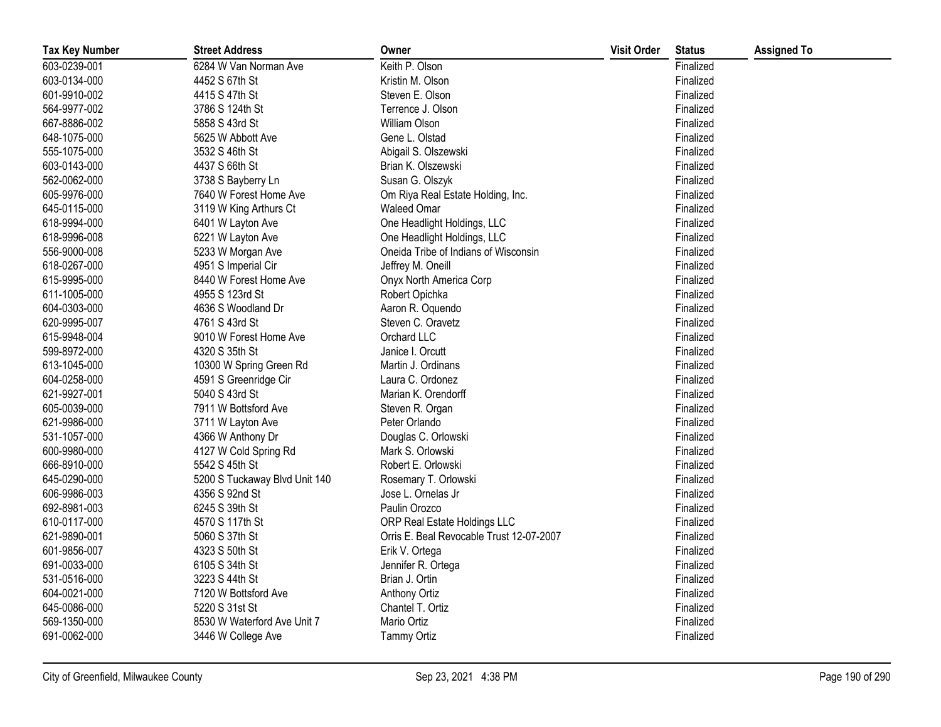| <b>Tax Key Number</b> | <b>Street Address</b>         | Owner                                    | <b>Visit Order</b> | <b>Status</b> | <b>Assigned To</b> |
|-----------------------|-------------------------------|------------------------------------------|--------------------|---------------|--------------------|
| 603-0239-001          | 6284 W Van Norman Ave         | Keith P. Olson                           |                    | Finalized     |                    |
| 603-0134-000          | 4452 S 67th St                | Kristin M. Olson                         |                    | Finalized     |                    |
| 601-9910-002          | 4415 S 47th St                | Steven E. Olson                          |                    | Finalized     |                    |
| 564-9977-002          | 3786 S 124th St               | Terrence J. Olson                        |                    | Finalized     |                    |
| 667-8886-002          | 5858 S 43rd St                | William Olson                            |                    | Finalized     |                    |
| 648-1075-000          | 5625 W Abbott Ave             | Gene L. Olstad                           |                    | Finalized     |                    |
| 555-1075-000          | 3532 S 46th St                | Abigail S. Olszewski                     |                    | Finalized     |                    |
| 603-0143-000          | 4437 S 66th St                | Brian K. Olszewski                       |                    | Finalized     |                    |
| 562-0062-000          | 3738 S Bayberry Ln            | Susan G. Olszyk                          |                    | Finalized     |                    |
| 605-9976-000          | 7640 W Forest Home Ave        | Om Riya Real Estate Holding, Inc.        |                    | Finalized     |                    |
| 645-0115-000          | 3119 W King Arthurs Ct        | <b>Waleed Omar</b>                       |                    | Finalized     |                    |
| 618-9994-000          | 6401 W Layton Ave             | One Headlight Holdings, LLC              |                    | Finalized     |                    |
| 618-9996-008          | 6221 W Layton Ave             | One Headlight Holdings, LLC              |                    | Finalized     |                    |
| 556-9000-008          | 5233 W Morgan Ave             | Oneida Tribe of Indians of Wisconsin     |                    | Finalized     |                    |
| 618-0267-000          | 4951 S Imperial Cir           | Jeffrey M. Oneill                        |                    | Finalized     |                    |
| 615-9995-000          | 8440 W Forest Home Ave        | Onyx North America Corp                  |                    | Finalized     |                    |
| 611-1005-000          | 4955 S 123rd St               | Robert Opichka                           |                    | Finalized     |                    |
| 604-0303-000          | 4636 S Woodland Dr            | Aaron R. Oquendo                         |                    | Finalized     |                    |
| 620-9995-007          | 4761 S 43rd St                | Steven C. Oravetz                        |                    | Finalized     |                    |
| 615-9948-004          | 9010 W Forest Home Ave        | Orchard LLC                              |                    | Finalized     |                    |
| 599-8972-000          | 4320 S 35th St                | Janice I. Orcutt                         |                    | Finalized     |                    |
| 613-1045-000          | 10300 W Spring Green Rd       | Martin J. Ordinans                       |                    | Finalized     |                    |
| 604-0258-000          | 4591 S Greenridge Cir         | Laura C. Ordonez                         |                    | Finalized     |                    |
| 621-9927-001          | 5040 S 43rd St                | Marian K. Orendorff                      |                    | Finalized     |                    |
| 605-0039-000          | 7911 W Bottsford Ave          | Steven R. Organ                          |                    | Finalized     |                    |
| 621-9986-000          | 3711 W Layton Ave             | Peter Orlando                            |                    | Finalized     |                    |
| 531-1057-000          | 4366 W Anthony Dr             | Douglas C. Orlowski                      |                    | Finalized     |                    |
| 600-9980-000          | 4127 W Cold Spring Rd         | Mark S. Orlowski                         |                    | Finalized     |                    |
| 666-8910-000          | 5542 S 45th St                | Robert E. Orlowski                       |                    | Finalized     |                    |
| 645-0290-000          | 5200 S Tuckaway Blvd Unit 140 | Rosemary T. Orlowski                     |                    | Finalized     |                    |
| 606-9986-003          | 4356 S 92nd St                | Jose L. Ornelas Jr                       |                    | Finalized     |                    |
| 692-8981-003          | 6245 S 39th St                | Paulin Orozco                            |                    | Finalized     |                    |
| 610-0117-000          | 4570 S 117th St               | ORP Real Estate Holdings LLC             |                    | Finalized     |                    |
| 621-9890-001          | 5060 S 37th St                | Orris E. Beal Revocable Trust 12-07-2007 |                    | Finalized     |                    |
| 601-9856-007          | 4323 S 50th St                | Erik V. Ortega                           |                    | Finalized     |                    |
| 691-0033-000          | 6105 S 34th St                | Jennifer R. Ortega                       |                    | Finalized     |                    |
| 531-0516-000          | 3223 S 44th St                | Brian J. Ortin                           |                    | Finalized     |                    |
| 604-0021-000          | 7120 W Bottsford Ave          | Anthony Ortiz                            |                    | Finalized     |                    |
| 645-0086-000          | 5220 S 31st St                | Chantel T. Ortiz                         |                    | Finalized     |                    |
| 569-1350-000          | 8530 W Waterford Ave Unit 7   | Mario Ortiz                              |                    | Finalized     |                    |
| 691-0062-000          | 3446 W College Ave            | <b>Tammy Ortiz</b>                       |                    | Finalized     |                    |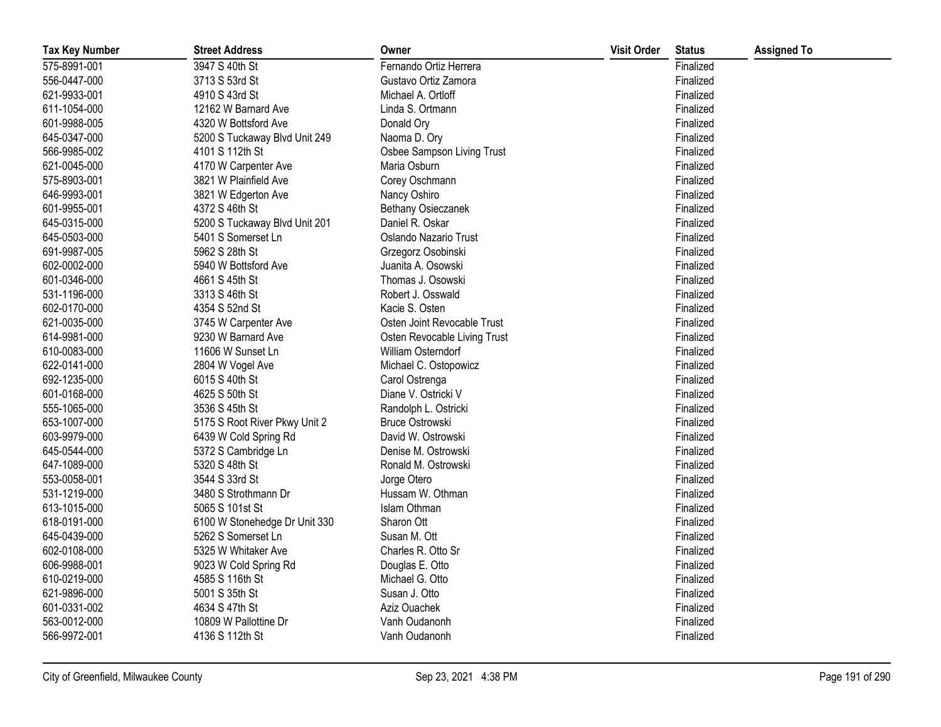| <b>Tax Key Number</b> | <b>Street Address</b>         | Owner                        | <b>Visit Order</b> | <b>Status</b> | <b>Assigned To</b> |
|-----------------------|-------------------------------|------------------------------|--------------------|---------------|--------------------|
| 575-8991-001          | 3947 S 40th St                | Fernando Ortiz Herrera       |                    | Finalized     |                    |
| 556-0447-000          | 3713 S 53rd St                | Gustavo Ortiz Zamora         |                    | Finalized     |                    |
| 621-9933-001          | 4910 S 43rd St                | Michael A. Ortloff           |                    | Finalized     |                    |
| 611-1054-000          | 12162 W Barnard Ave           | Linda S. Ortmann             |                    | Finalized     |                    |
| 601-9988-005          | 4320 W Bottsford Ave          | Donald Ory                   |                    | Finalized     |                    |
| 645-0347-000          | 5200 S Tuckaway Blvd Unit 249 | Naoma D. Ory                 |                    | Finalized     |                    |
| 566-9985-002          | 4101 S 112th St               | Osbee Sampson Living Trust   |                    | Finalized     |                    |
| 621-0045-000          | 4170 W Carpenter Ave          | Maria Osburn                 |                    | Finalized     |                    |
| 575-8903-001          | 3821 W Plainfield Ave         | Corey Oschmann               |                    | Finalized     |                    |
| 646-9993-001          | 3821 W Edgerton Ave           | Nancy Oshiro                 |                    | Finalized     |                    |
| 601-9955-001          | 4372 S 46th St                | <b>Bethany Osieczanek</b>    |                    | Finalized     |                    |
| 645-0315-000          | 5200 S Tuckaway Blvd Unit 201 | Daniel R. Oskar              |                    | Finalized     |                    |
| 645-0503-000          | 5401 S Somerset Ln            | Oslando Nazario Trust        |                    | Finalized     |                    |
| 691-9987-005          | 5962 S 28th St                | Grzegorz Osobinski           |                    | Finalized     |                    |
| 602-0002-000          | 5940 W Bottsford Ave          | Juanita A. Osowski           |                    | Finalized     |                    |
| 601-0346-000          | 4661 S 45th St                | Thomas J. Osowski            |                    | Finalized     |                    |
| 531-1196-000          | 3313 S 46th St                | Robert J. Osswald            |                    | Finalized     |                    |
| 602-0170-000          | 4354 S 52nd St                | Kacie S. Osten               |                    | Finalized     |                    |
| 621-0035-000          | 3745 W Carpenter Ave          | Osten Joint Revocable Trust  |                    | Finalized     |                    |
| 614-9981-000          | 9230 W Barnard Ave            | Osten Revocable Living Trust |                    | Finalized     |                    |
| 610-0083-000          | 11606 W Sunset Ln             | William Osterndorf           |                    | Finalized     |                    |
| 622-0141-000          | 2804 W Vogel Ave              | Michael C. Ostopowicz        |                    | Finalized     |                    |
| 692-1235-000          | 6015 S 40th St                | Carol Ostrenga               |                    | Finalized     |                    |
| 601-0168-000          | 4625 S 50th St                | Diane V. Ostricki V          |                    | Finalized     |                    |
| 555-1065-000          | 3536 S 45th St                | Randolph L. Ostricki         |                    | Finalized     |                    |
| 653-1007-000          | 5175 S Root River Pkwy Unit 2 | Bruce Ostrowski              |                    | Finalized     |                    |
| 603-9979-000          | 6439 W Cold Spring Rd         | David W. Ostrowski           |                    | Finalized     |                    |
| 645-0544-000          | 5372 S Cambridge Ln           | Denise M. Ostrowski          |                    | Finalized     |                    |
| 647-1089-000          | 5320 S 48th St                | Ronald M. Ostrowski          |                    | Finalized     |                    |
| 553-0058-001          | 3544 S 33rd St                | Jorge Otero                  |                    | Finalized     |                    |
| 531-1219-000          | 3480 S Strothmann Dr          | Hussam W. Othman             |                    | Finalized     |                    |
| 613-1015-000          | 5065 S 101st St               | Islam Othman                 |                    | Finalized     |                    |
| 618-0191-000          | 6100 W Stonehedge Dr Unit 330 | Sharon Ott                   |                    | Finalized     |                    |
| 645-0439-000          | 5262 S Somerset Ln            | Susan M. Ott                 |                    | Finalized     |                    |
| 602-0108-000          | 5325 W Whitaker Ave           | Charles R. Otto Sr           |                    | Finalized     |                    |
| 606-9988-001          | 9023 W Cold Spring Rd         | Douglas E. Otto              |                    | Finalized     |                    |
| 610-0219-000          | 4585 S 116th St               | Michael G. Otto              |                    | Finalized     |                    |
| 621-9896-000          | 5001 S 35th St                | Susan J. Otto                |                    | Finalized     |                    |
| 601-0331-002          | 4634 S 47th St                | Aziz Ouachek                 |                    | Finalized     |                    |
| 563-0012-000          | 10809 W Pallottine Dr         | Vanh Oudanonh                |                    | Finalized     |                    |
| 566-9972-001          | 4136 S 112th St               | Vanh Oudanonh                |                    | Finalized     |                    |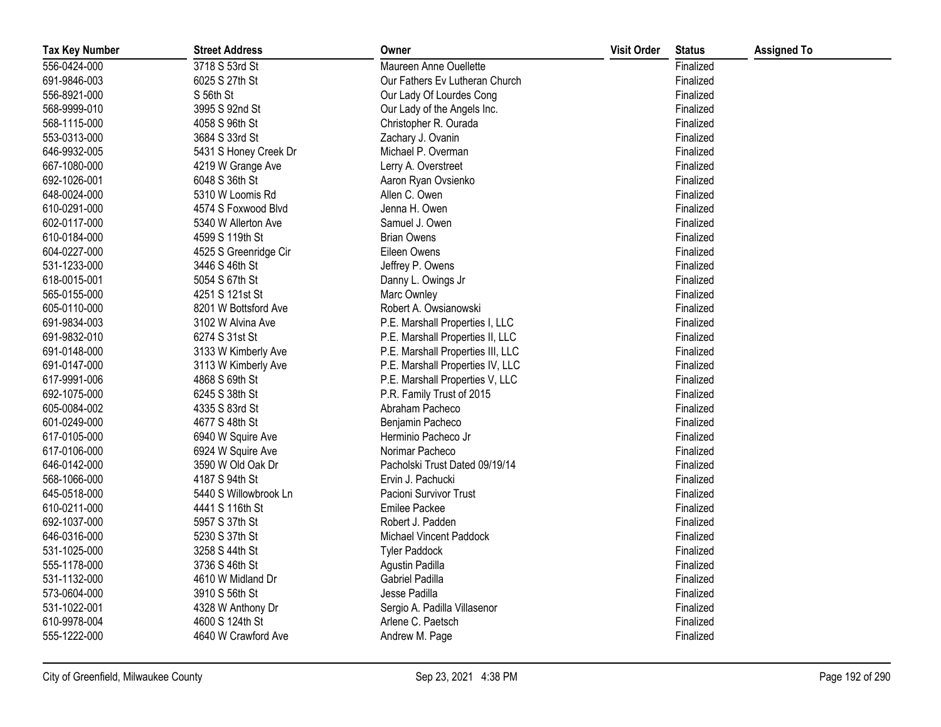| <b>Tax Key Number</b> | <b>Street Address</b> | Owner                             | <b>Visit Order</b> | <b>Status</b> | <b>Assigned To</b> |
|-----------------------|-----------------------|-----------------------------------|--------------------|---------------|--------------------|
| 556-0424-000          | 3718 S 53rd St        | Maureen Anne Ouellette            |                    | Finalized     |                    |
| 691-9846-003          | 6025 S 27th St        | Our Fathers Ev Lutheran Church    |                    | Finalized     |                    |
| 556-8921-000          | S 56th St             | Our Lady Of Lourdes Cong          |                    | Finalized     |                    |
| 568-9999-010          | 3995 S 92nd St        | Our Lady of the Angels Inc.       |                    | Finalized     |                    |
| 568-1115-000          | 4058 S 96th St        | Christopher R. Ourada             |                    | Finalized     |                    |
| 553-0313-000          | 3684 S 33rd St        | Zachary J. Ovanin                 |                    | Finalized     |                    |
| 646-9932-005          | 5431 S Honey Creek Dr | Michael P. Overman                |                    | Finalized     |                    |
| 667-1080-000          | 4219 W Grange Ave     | Lerry A. Overstreet               |                    | Finalized     |                    |
| 692-1026-001          | 6048 S 36th St        | Aaron Ryan Ovsienko               |                    | Finalized     |                    |
| 648-0024-000          | 5310 W Loomis Rd      | Allen C. Owen                     |                    | Finalized     |                    |
| 610-0291-000          | 4574 S Foxwood Blvd   | Jenna H. Owen                     |                    | Finalized     |                    |
| 602-0117-000          | 5340 W Allerton Ave   | Samuel J. Owen                    |                    | Finalized     |                    |
| 610-0184-000          | 4599 S 119th St       | <b>Brian Owens</b>                |                    | Finalized     |                    |
| 604-0227-000          | 4525 S Greenridge Cir | Eileen Owens                      |                    | Finalized     |                    |
| 531-1233-000          | 3446 S 46th St        | Jeffrey P. Owens                  |                    | Finalized     |                    |
| 618-0015-001          | 5054 S 67th St        | Danny L. Owings Jr                |                    | Finalized     |                    |
| 565-0155-000          | 4251 S 121st St       | Marc Ownley                       |                    | Finalized     |                    |
| 605-0110-000          | 8201 W Bottsford Ave  | Robert A. Owsianowski             |                    | Finalized     |                    |
| 691-9834-003          | 3102 W Alvina Ave     | P.E. Marshall Properties I, LLC   |                    | Finalized     |                    |
| 691-9832-010          | 6274 S 31st St        | P.E. Marshall Properties II, LLC  |                    | Finalized     |                    |
| 691-0148-000          | 3133 W Kimberly Ave   | P.E. Marshall Properties III, LLC |                    | Finalized     |                    |
| 691-0147-000          | 3113 W Kimberly Ave   | P.E. Marshall Properties IV, LLC  |                    | Finalized     |                    |
| 617-9991-006          | 4868 S 69th St        | P.E. Marshall Properties V, LLC   |                    | Finalized     |                    |
| 692-1075-000          | 6245 S 38th St        | P.R. Family Trust of 2015         |                    | Finalized     |                    |
| 605-0084-002          | 4335 S 83rd St        | Abraham Pacheco                   |                    | Finalized     |                    |
| 601-0249-000          | 4677 S 48th St        | Benjamin Pacheco                  |                    | Finalized     |                    |
| 617-0105-000          | 6940 W Squire Ave     | Herminio Pacheco Jr               |                    | Finalized     |                    |
| 617-0106-000          | 6924 W Squire Ave     | Norimar Pacheco                   |                    | Finalized     |                    |
| 646-0142-000          | 3590 W Old Oak Dr     | Pacholski Trust Dated 09/19/14    |                    | Finalized     |                    |
| 568-1066-000          | 4187 S 94th St        | Ervin J. Pachucki                 |                    | Finalized     |                    |
| 645-0518-000          | 5440 S Willowbrook Ln | Pacioni Survivor Trust            |                    | Finalized     |                    |
| 610-0211-000          | 4441 S 116th St       | Emilee Packee                     |                    | Finalized     |                    |
| 692-1037-000          | 5957 S 37th St        | Robert J. Padden                  |                    | Finalized     |                    |
| 646-0316-000          | 5230 S 37th St        | Michael Vincent Paddock           |                    | Finalized     |                    |
| 531-1025-000          | 3258 S 44th St        | <b>Tyler Paddock</b>              |                    | Finalized     |                    |
| 555-1178-000          | 3736 S 46th St        | Agustin Padilla                   |                    | Finalized     |                    |
| 531-1132-000          | 4610 W Midland Dr     | Gabriel Padilla                   |                    | Finalized     |                    |
| 573-0604-000          | 3910 S 56th St        | Jesse Padilla                     |                    | Finalized     |                    |
| 531-1022-001          | 4328 W Anthony Dr     | Sergio A. Padilla Villasenor      |                    | Finalized     |                    |
| 610-9978-004          | 4600 S 124th St       | Arlene C. Paetsch                 |                    | Finalized     |                    |
| 555-1222-000          | 4640 W Crawford Ave   | Andrew M. Page                    |                    | Finalized     |                    |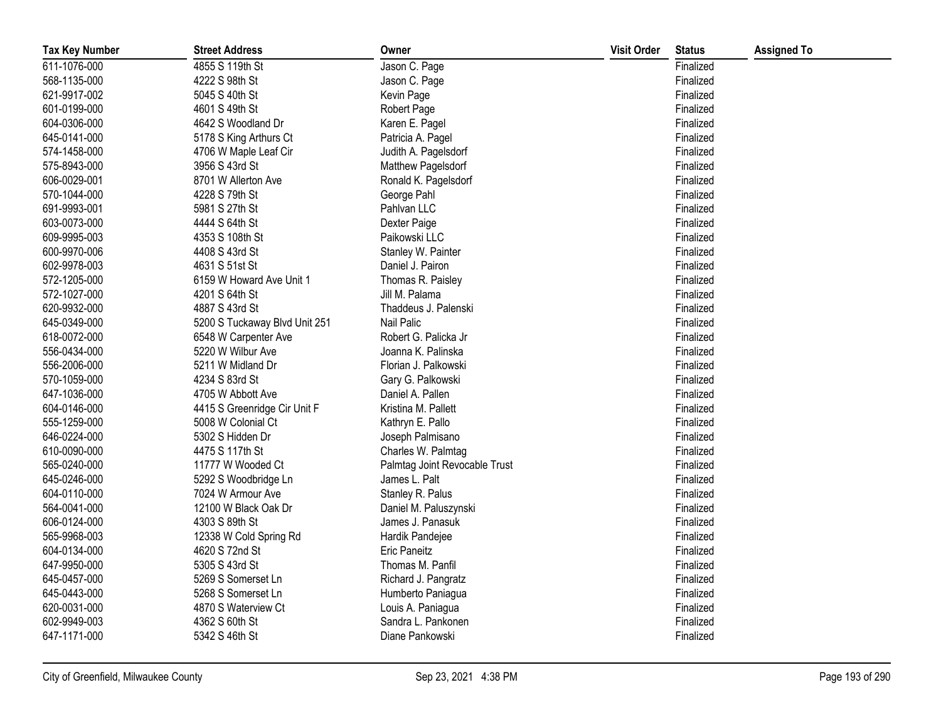| <b>Tax Key Number</b> | <b>Street Address</b>         | Owner                         | <b>Visit Order</b> | <b>Status</b> | <b>Assigned To</b> |
|-----------------------|-------------------------------|-------------------------------|--------------------|---------------|--------------------|
| 611-1076-000          | 4855 S 119th St               | Jason C. Page                 |                    | Finalized     |                    |
| 568-1135-000          | 4222 S 98th St                | Jason C. Page                 |                    | Finalized     |                    |
| 621-9917-002          | 5045 S 40th St                | Kevin Page                    |                    | Finalized     |                    |
| 601-0199-000          | 4601 S 49th St                | Robert Page                   |                    | Finalized     |                    |
| 604-0306-000          | 4642 S Woodland Dr            | Karen E. Pagel                |                    | Finalized     |                    |
| 645-0141-000          | 5178 S King Arthurs Ct        | Patricia A. Pagel             |                    | Finalized     |                    |
| 574-1458-000          | 4706 W Maple Leaf Cir         | Judith A. Pagelsdorf          |                    | Finalized     |                    |
| 575-8943-000          | 3956 S 43rd St                | Matthew Pagelsdorf            |                    | Finalized     |                    |
| 606-0029-001          | 8701 W Allerton Ave           | Ronald K. Pagelsdorf          |                    | Finalized     |                    |
| 570-1044-000          | 4228 S 79th St                | George Pahl                   |                    | Finalized     |                    |
| 691-9993-001          | 5981 S 27th St                | Pahlvan LLC                   |                    | Finalized     |                    |
| 603-0073-000          | 4444 S 64th St                | Dexter Paige                  |                    | Finalized     |                    |
| 609-9995-003          | 4353 S 108th St               | Paikowski LLC                 |                    | Finalized     |                    |
| 600-9970-006          | 4408 S 43rd St                | Stanley W. Painter            |                    | Finalized     |                    |
| 602-9978-003          | 4631 S 51st St                | Daniel J. Pairon              |                    | Finalized     |                    |
| 572-1205-000          | 6159 W Howard Ave Unit 1      | Thomas R. Paisley             |                    | Finalized     |                    |
| 572-1027-000          | 4201 S 64th St                | Jill M. Palama                |                    | Finalized     |                    |
| 620-9932-000          | 4887 S 43rd St                | Thaddeus J. Palenski          |                    | Finalized     |                    |
| 645-0349-000          | 5200 S Tuckaway Blvd Unit 251 | Nail Palic                    |                    | Finalized     |                    |
| 618-0072-000          | 6548 W Carpenter Ave          | Robert G. Palicka Jr          |                    | Finalized     |                    |
| 556-0434-000          | 5220 W Wilbur Ave             | Joanna K. Palinska            |                    | Finalized     |                    |
| 556-2006-000          | 5211 W Midland Dr             | Florian J. Palkowski          |                    | Finalized     |                    |
| 570-1059-000          | 4234 S 83rd St                | Gary G. Palkowski             |                    | Finalized     |                    |
| 647-1036-000          | 4705 W Abbott Ave             | Daniel A. Pallen              |                    | Finalized     |                    |
| 604-0146-000          | 4415 S Greenridge Cir Unit F  | Kristina M. Pallett           |                    | Finalized     |                    |
| 555-1259-000          | 5008 W Colonial Ct            | Kathryn E. Pallo              |                    | Finalized     |                    |
| 646-0224-000          | 5302 S Hidden Dr              | Joseph Palmisano              |                    | Finalized     |                    |
| 610-0090-000          | 4475 S 117th St               | Charles W. Palmtag            |                    | Finalized     |                    |
| 565-0240-000          | 11777 W Wooded Ct             | Palmtag Joint Revocable Trust |                    | Finalized     |                    |
| 645-0246-000          | 5292 S Woodbridge Ln          | James L. Palt                 |                    | Finalized     |                    |
| 604-0110-000          | 7024 W Armour Ave             | Stanley R. Palus              |                    | Finalized     |                    |
| 564-0041-000          | 12100 W Black Oak Dr          | Daniel M. Paluszynski         |                    | Finalized     |                    |
| 606-0124-000          | 4303 S 89th St                | James J. Panasuk              |                    | Finalized     |                    |
| 565-9968-003          | 12338 W Cold Spring Rd        | Hardik Pandejee               |                    | Finalized     |                    |
| 604-0134-000          | 4620 S 72nd St                | <b>Eric Paneitz</b>           |                    | Finalized     |                    |
| 647-9950-000          | 5305 S 43rd St                | Thomas M. Panfil              |                    | Finalized     |                    |
| 645-0457-000          | 5269 S Somerset Ln            | Richard J. Pangratz           |                    | Finalized     |                    |
| 645-0443-000          | 5268 S Somerset Ln            | Humberto Paniagua             |                    | Finalized     |                    |
| 620-0031-000          | 4870 S Waterview Ct           | Louis A. Paniagua             |                    | Finalized     |                    |
| 602-9949-003          | 4362 S 60th St                | Sandra L. Pankonen            |                    | Finalized     |                    |
| 647-1171-000          | 5342 S 46th St                | Diane Pankowski               |                    | Finalized     |                    |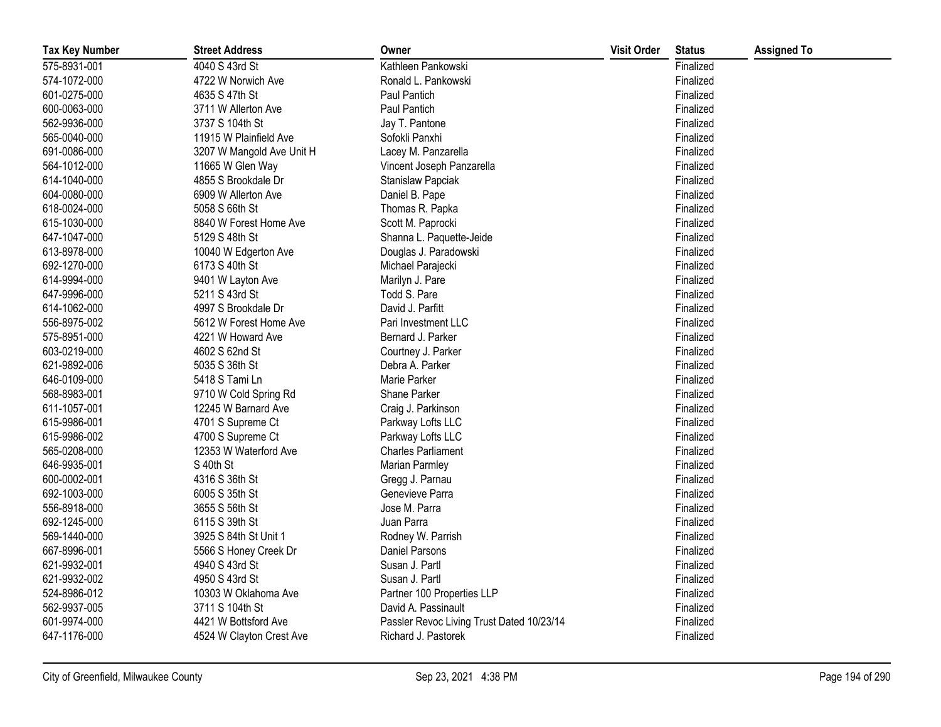| <b>Tax Key Number</b> | <b>Street Address</b>     | Owner                                     | <b>Visit Order</b> | <b>Status</b> | <b>Assigned To</b> |
|-----------------------|---------------------------|-------------------------------------------|--------------------|---------------|--------------------|
| 575-8931-001          | 4040 S 43rd St            | Kathleen Pankowski                        |                    | Finalized     |                    |
| 574-1072-000          | 4722 W Norwich Ave        | Ronald L. Pankowski                       |                    | Finalized     |                    |
| 601-0275-000          | 4635 S 47th St            | Paul Pantich                              |                    | Finalized     |                    |
| 600-0063-000          | 3711 W Allerton Ave       | Paul Pantich                              |                    | Finalized     |                    |
| 562-9936-000          | 3737 S 104th St           | Jay T. Pantone                            |                    | Finalized     |                    |
| 565-0040-000          | 11915 W Plainfield Ave    | Sofokli Panxhi                            |                    | Finalized     |                    |
| 691-0086-000          | 3207 W Mangold Ave Unit H | Lacey M. Panzarella                       |                    | Finalized     |                    |
| 564-1012-000          | 11665 W Glen Way          | Vincent Joseph Panzarella                 |                    | Finalized     |                    |
| 614-1040-000          | 4855 S Brookdale Dr       | Stanislaw Papciak                         |                    | Finalized     |                    |
| 604-0080-000          | 6909 W Allerton Ave       | Daniel B. Pape                            |                    | Finalized     |                    |
| 618-0024-000          | 5058 S 66th St            | Thomas R. Papka                           |                    | Finalized     |                    |
| 615-1030-000          | 8840 W Forest Home Ave    | Scott M. Paprocki                         |                    | Finalized     |                    |
| 647-1047-000          | 5129 S 48th St            | Shanna L. Paquette-Jeide                  |                    | Finalized     |                    |
| 613-8978-000          | 10040 W Edgerton Ave      | Douglas J. Paradowski                     |                    | Finalized     |                    |
| 692-1270-000          | 6173 S 40th St            | Michael Parajecki                         |                    | Finalized     |                    |
| 614-9994-000          | 9401 W Layton Ave         | Marilyn J. Pare                           |                    | Finalized     |                    |
| 647-9996-000          | 5211 S 43rd St            | Todd S. Pare                              |                    | Finalized     |                    |
| 614-1062-000          | 4997 S Brookdale Dr       | David J. Parfitt                          |                    | Finalized     |                    |
| 556-8975-002          | 5612 W Forest Home Ave    | Pari Investment LLC                       |                    | Finalized     |                    |
| 575-8951-000          | 4221 W Howard Ave         | Bernard J. Parker                         |                    | Finalized     |                    |
| 603-0219-000          | 4602 S 62nd St            | Courtney J. Parker                        |                    | Finalized     |                    |
| 621-9892-006          | 5035 S 36th St            | Debra A. Parker                           |                    | Finalized     |                    |
| 646-0109-000          | 5418 S Tami Ln            | Marie Parker                              |                    | Finalized     |                    |
| 568-8983-001          | 9710 W Cold Spring Rd     | Shane Parker                              |                    | Finalized     |                    |
| 611-1057-001          | 12245 W Barnard Ave       | Craig J. Parkinson                        |                    | Finalized     |                    |
| 615-9986-001          | 4701 S Supreme Ct         | Parkway Lofts LLC                         |                    | Finalized     |                    |
| 615-9986-002          | 4700 S Supreme Ct         | Parkway Lofts LLC                         |                    | Finalized     |                    |
| 565-0208-000          | 12353 W Waterford Ave     | <b>Charles Parliament</b>                 |                    | Finalized     |                    |
| 646-9935-001          | S 40th St                 | Marian Parmley                            |                    | Finalized     |                    |
| 600-0002-001          | 4316 S 36th St            | Gregg J. Parnau                           |                    | Finalized     |                    |
| 692-1003-000          | 6005 S 35th St            | Genevieve Parra                           |                    | Finalized     |                    |
| 556-8918-000          | 3655 S 56th St            | Jose M. Parra                             |                    | Finalized     |                    |
| 692-1245-000          | 6115 S 39th St            | Juan Parra                                |                    | Finalized     |                    |
| 569-1440-000          | 3925 S 84th St Unit 1     | Rodney W. Parrish                         |                    | Finalized     |                    |
| 667-8996-001          | 5566 S Honey Creek Dr     | Daniel Parsons                            |                    | Finalized     |                    |
| 621-9932-001          | 4940 S 43rd St            | Susan J. Partl                            |                    | Finalized     |                    |
| 621-9932-002          | 4950 S 43rd St            | Susan J. Partl                            |                    | Finalized     |                    |
| 524-8986-012          | 10303 W Oklahoma Ave      | Partner 100 Properties LLP                |                    | Finalized     |                    |
| 562-9937-005          | 3711 S 104th St           | David A. Passinault                       |                    | Finalized     |                    |
| 601-9974-000          | 4421 W Bottsford Ave      | Passler Revoc Living Trust Dated 10/23/14 |                    | Finalized     |                    |
| 647-1176-000          | 4524 W Clayton Crest Ave  | Richard J. Pastorek                       |                    | Finalized     |                    |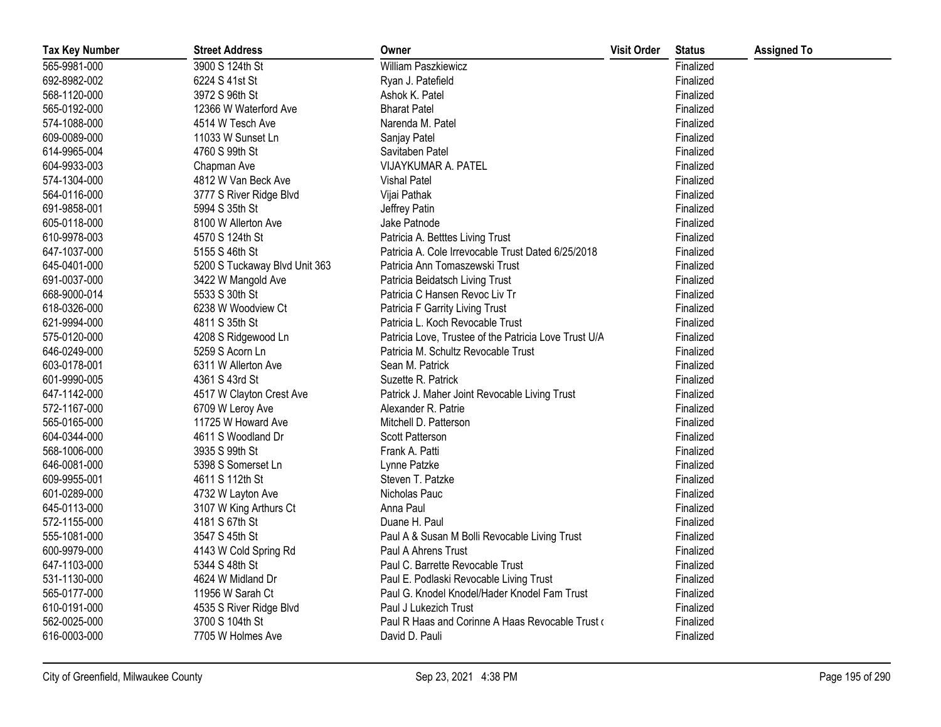| <b>Tax Key Number</b> | <b>Street Address</b>         | Owner                                                 | <b>Visit Order</b> | <b>Status</b> | <b>Assigned To</b> |
|-----------------------|-------------------------------|-------------------------------------------------------|--------------------|---------------|--------------------|
| 565-9981-000          | 3900 S 124th St               | William Paszkiewicz                                   |                    | Finalized     |                    |
| 692-8982-002          | 6224 S 41st St                | Ryan J. Patefield                                     |                    | Finalized     |                    |
| 568-1120-000          | 3972 S 96th St                | Ashok K. Patel                                        |                    | Finalized     |                    |
| 565-0192-000          | 12366 W Waterford Ave         | <b>Bharat Patel</b>                                   |                    | Finalized     |                    |
| 574-1088-000          | 4514 W Tesch Ave              | Narenda M. Patel                                      |                    | Finalized     |                    |
| 609-0089-000          | 11033 W Sunset Ln             | Sanjay Patel                                          |                    | Finalized     |                    |
| 614-9965-004          | 4760 S 99th St                | Savitaben Patel                                       |                    | Finalized     |                    |
| 604-9933-003          | Chapman Ave                   | VIJAYKUMAR A. PATEL                                   |                    | Finalized     |                    |
| 574-1304-000          | 4812 W Van Beck Ave           | <b>Vishal Patel</b>                                   |                    | Finalized     |                    |
| 564-0116-000          | 3777 S River Ridge Blvd       | Vijai Pathak                                          |                    | Finalized     |                    |
| 691-9858-001          | 5994 S 35th St                | Jeffrey Patin                                         |                    | Finalized     |                    |
| 605-0118-000          | 8100 W Allerton Ave           | Jake Patnode                                          |                    | Finalized     |                    |
| 610-9978-003          | 4570 S 124th St               | Patricia A. Betttes Living Trust                      |                    | Finalized     |                    |
| 647-1037-000          | 5155 S 46th St                | Patricia A. Cole Irrevocable Trust Dated 6/25/2018    |                    | Finalized     |                    |
| 645-0401-000          | 5200 S Tuckaway Blvd Unit 363 | Patricia Ann Tomaszewski Trust                        |                    | Finalized     |                    |
| 691-0037-000          | 3422 W Mangold Ave            | Patricia Beidatsch Living Trust                       |                    | Finalized     |                    |
| 668-9000-014          | 5533 S 30th St                | Patricia C Hansen Revoc Liv Tr                        |                    | Finalized     |                    |
| 618-0326-000          | 6238 W Woodview Ct            | Patricia F Garrity Living Trust                       |                    | Finalized     |                    |
| 621-9994-000          | 4811 S 35th St                | Patricia L. Koch Revocable Trust                      |                    | Finalized     |                    |
| 575-0120-000          | 4208 S Ridgewood Ln           | Patricia Love, Trustee of the Patricia Love Trust U/A |                    | Finalized     |                    |
| 646-0249-000          | 5259 S Acorn Ln               | Patricia M. Schultz Revocable Trust                   |                    | Finalized     |                    |
| 603-0178-001          | 6311 W Allerton Ave           | Sean M. Patrick                                       |                    | Finalized     |                    |
| 601-9990-005          | 4361 S 43rd St                | Suzette R. Patrick                                    |                    | Finalized     |                    |
| 647-1142-000          | 4517 W Clayton Crest Ave      | Patrick J. Maher Joint Revocable Living Trust         |                    | Finalized     |                    |
| 572-1167-000          | 6709 W Leroy Ave              | Alexander R. Patrie                                   |                    | Finalized     |                    |
| 565-0165-000          | 11725 W Howard Ave            | Mitchell D. Patterson                                 |                    | Finalized     |                    |
| 604-0344-000          | 4611 S Woodland Dr            | Scott Patterson                                       |                    | Finalized     |                    |
| 568-1006-000          | 3935 S 99th St                | Frank A. Patti                                        |                    | Finalized     |                    |
| 646-0081-000          | 5398 S Somerset Ln            | Lynne Patzke                                          |                    | Finalized     |                    |
| 609-9955-001          | 4611 S 112th St               | Steven T. Patzke                                      |                    | Finalized     |                    |
| 601-0289-000          | 4732 W Layton Ave             | Nicholas Pauc                                         |                    | Finalized     |                    |
| 645-0113-000          | 3107 W King Arthurs Ct        | Anna Paul                                             |                    | Finalized     |                    |
| 572-1155-000          | 4181 S 67th St                | Duane H. Paul                                         |                    | Finalized     |                    |
| 555-1081-000          | 3547 S 45th St                | Paul A & Susan M Bolli Revocable Living Trust         |                    | Finalized     |                    |
| 600-9979-000          | 4143 W Cold Spring Rd         | Paul A Ahrens Trust                                   |                    | Finalized     |                    |
| 647-1103-000          | 5344 S 48th St                | Paul C. Barrette Revocable Trust                      |                    | Finalized     |                    |
| 531-1130-000          | 4624 W Midland Dr             | Paul E. Podlaski Revocable Living Trust               |                    | Finalized     |                    |
| 565-0177-000          | 11956 W Sarah Ct              | Paul G. Knodel Knodel/Hader Knodel Fam Trust          |                    | Finalized     |                    |
| 610-0191-000          | 4535 S River Ridge Blvd       | Paul J Lukezich Trust                                 |                    | Finalized     |                    |
| 562-0025-000          | 3700 S 104th St               | Paul R Haas and Corinne A Haas Revocable Trust of     |                    | Finalized     |                    |
| 616-0003-000          | 7705 W Holmes Ave             | David D. Pauli                                        |                    | Finalized     |                    |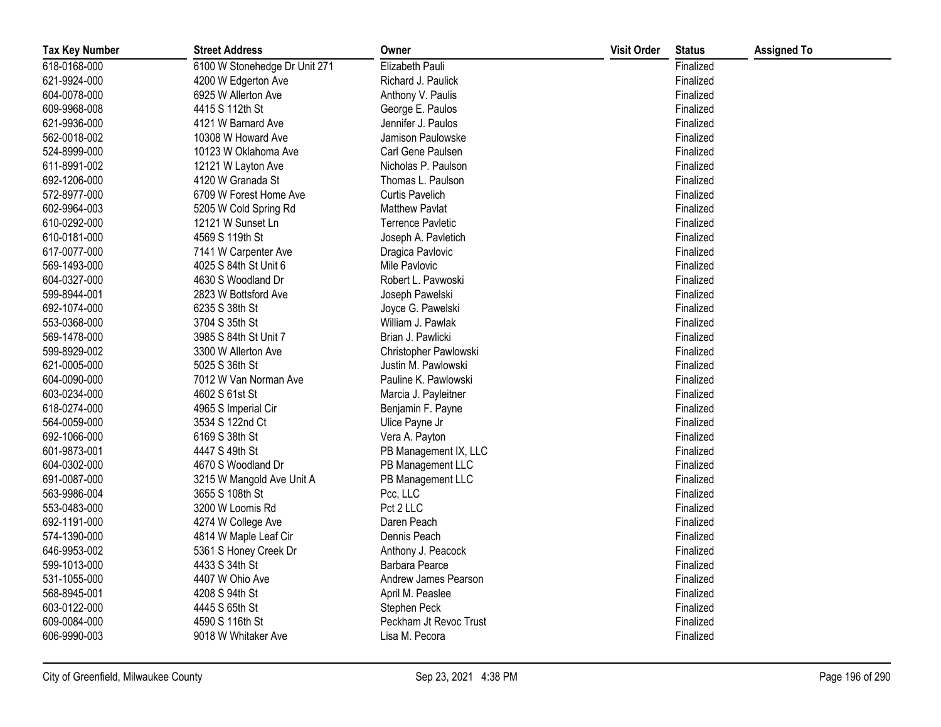| <b>Tax Key Number</b> | <b>Street Address</b>         | Owner                    | <b>Visit Order</b> | <b>Status</b> | <b>Assigned To</b> |
|-----------------------|-------------------------------|--------------------------|--------------------|---------------|--------------------|
| 618-0168-000          | 6100 W Stonehedge Dr Unit 271 | Elizabeth Pauli          |                    | Finalized     |                    |
| 621-9924-000          | 4200 W Edgerton Ave           | Richard J. Paulick       |                    | Finalized     |                    |
| 604-0078-000          | 6925 W Allerton Ave           | Anthony V. Paulis        |                    | Finalized     |                    |
| 609-9968-008          | 4415 S 112th St               | George E. Paulos         |                    | Finalized     |                    |
| 621-9936-000          | 4121 W Barnard Ave            | Jennifer J. Paulos       |                    | Finalized     |                    |
| 562-0018-002          | 10308 W Howard Ave            | Jamison Paulowske        |                    | Finalized     |                    |
| 524-8999-000          | 10123 W Oklahoma Ave          | Carl Gene Paulsen        |                    | Finalized     |                    |
| 611-8991-002          | 12121 W Layton Ave            | Nicholas P. Paulson      |                    | Finalized     |                    |
| 692-1206-000          | 4120 W Granada St             | Thomas L. Paulson        |                    | Finalized     |                    |
| 572-8977-000          | 6709 W Forest Home Ave        | <b>Curtis Pavelich</b>   |                    | Finalized     |                    |
| 602-9964-003          | 5205 W Cold Spring Rd         | <b>Matthew Pavlat</b>    |                    | Finalized     |                    |
| 610-0292-000          | 12121 W Sunset Ln             | <b>Terrence Pavletic</b> |                    | Finalized     |                    |
| 610-0181-000          | 4569 S 119th St               | Joseph A. Pavletich      |                    | Finalized     |                    |
| 617-0077-000          | 7141 W Carpenter Ave          | Dragica Pavlovic         |                    | Finalized     |                    |
| 569-1493-000          | 4025 S 84th St Unit 6         | Mile Pavlovic            |                    | Finalized     |                    |
| 604-0327-000          | 4630 S Woodland Dr            | Robert L. Pavwoski       |                    | Finalized     |                    |
| 599-8944-001          | 2823 W Bottsford Ave          | Joseph Pawelski          |                    | Finalized     |                    |
| 692-1074-000          | 6235 S 38th St                | Joyce G. Pawelski        |                    | Finalized     |                    |
| 553-0368-000          | 3704 S 35th St                | William J. Pawlak        |                    | Finalized     |                    |
| 569-1478-000          | 3985 S 84th St Unit 7         | Brian J. Pawlicki        |                    | Finalized     |                    |
| 599-8929-002          | 3300 W Allerton Ave           | Christopher Pawlowski    |                    | Finalized     |                    |
| 621-0005-000          | 5025 S 36th St                | Justin M. Pawlowski      |                    | Finalized     |                    |
| 604-0090-000          | 7012 W Van Norman Ave         | Pauline K. Pawlowski     |                    | Finalized     |                    |
| 603-0234-000          | 4602 S 61st St                | Marcia J. Payleitner     |                    | Finalized     |                    |
| 618-0274-000          | 4965 S Imperial Cir           | Benjamin F. Payne        |                    | Finalized     |                    |
| 564-0059-000          | 3534 S 122nd Ct               | Ulice Payne Jr           |                    | Finalized     |                    |
| 692-1066-000          | 6169 S 38th St                | Vera A. Payton           |                    | Finalized     |                    |
| 601-9873-001          | 4447 S 49th St                | PB Management IX, LLC    |                    | Finalized     |                    |
| 604-0302-000          | 4670 S Woodland Dr            | PB Management LLC        |                    | Finalized     |                    |
| 691-0087-000          | 3215 W Mangold Ave Unit A     | PB Management LLC        |                    | Finalized     |                    |
| 563-9986-004          | 3655 S 108th St               | Pcc, LLC                 |                    | Finalized     |                    |
| 553-0483-000          | 3200 W Loomis Rd              | Pct 2 LLC                |                    | Finalized     |                    |
| 692-1191-000          | 4274 W College Ave            | Daren Peach              |                    | Finalized     |                    |
| 574-1390-000          | 4814 W Maple Leaf Cir         | Dennis Peach             |                    | Finalized     |                    |
| 646-9953-002          | 5361 S Honey Creek Dr         | Anthony J. Peacock       |                    | Finalized     |                    |
| 599-1013-000          | 4433 S 34th St                | Barbara Pearce           |                    | Finalized     |                    |
| 531-1055-000          | 4407 W Ohio Ave               | Andrew James Pearson     |                    | Finalized     |                    |
| 568-8945-001          | 4208 S 94th St                | April M. Peaslee         |                    | Finalized     |                    |
| 603-0122-000          | 4445 S 65th St                | Stephen Peck             |                    | Finalized     |                    |
| 609-0084-000          | 4590 S 116th St               | Peckham Jt Revoc Trust   |                    | Finalized     |                    |
| 606-9990-003          | 9018 W Whitaker Ave           | Lisa M. Pecora           |                    | Finalized     |                    |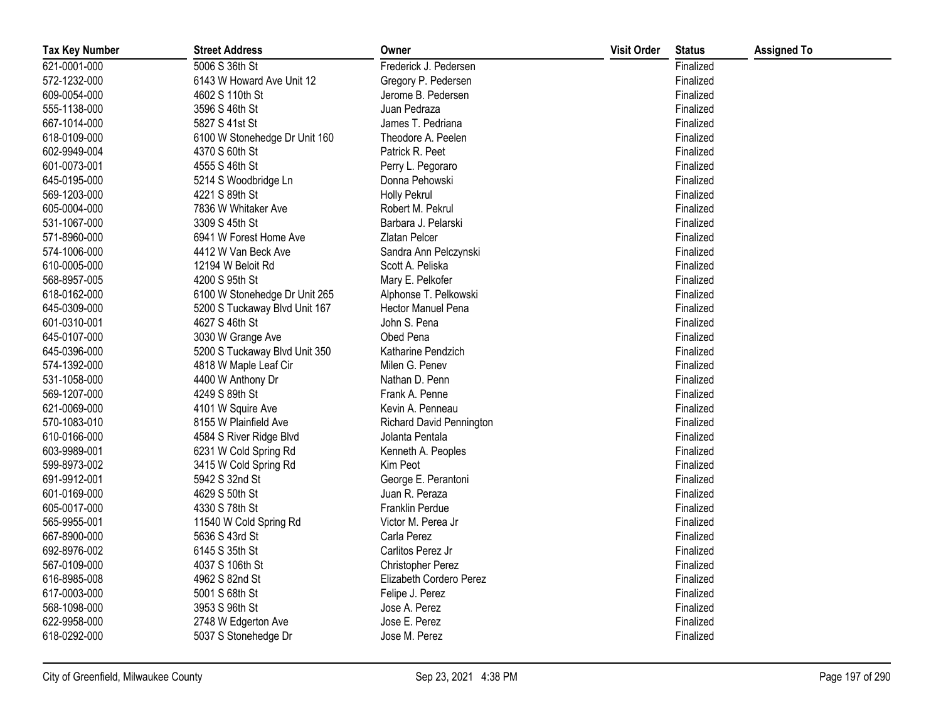| <b>Tax Key Number</b> | <b>Street Address</b>         | Owner                    | <b>Visit Order</b> | <b>Status</b> | <b>Assigned To</b> |
|-----------------------|-------------------------------|--------------------------|--------------------|---------------|--------------------|
| 621-0001-000          | 5006 S 36th St                | Frederick J. Pedersen    |                    | Finalized     |                    |
| 572-1232-000          | 6143 W Howard Ave Unit 12     | Gregory P. Pedersen      |                    | Finalized     |                    |
| 609-0054-000          | 4602 S 110th St               | Jerome B. Pedersen       |                    | Finalized     |                    |
| 555-1138-000          | 3596 S 46th St                | Juan Pedraza             |                    | Finalized     |                    |
| 667-1014-000          | 5827 S 41st St                | James T. Pedriana        |                    | Finalized     |                    |
| 618-0109-000          | 6100 W Stonehedge Dr Unit 160 | Theodore A. Peelen       |                    | Finalized     |                    |
| 602-9949-004          | 4370 S 60th St                | Patrick R. Peet          |                    | Finalized     |                    |
| 601-0073-001          | 4555 S 46th St                | Perry L. Pegoraro        |                    | Finalized     |                    |
| 645-0195-000          | 5214 S Woodbridge Ln          | Donna Pehowski           |                    | Finalized     |                    |
| 569-1203-000          | 4221 S 89th St                | Holly Pekrul             |                    | Finalized     |                    |
| 605-0004-000          | 7836 W Whitaker Ave           | Robert M. Pekrul         |                    | Finalized     |                    |
| 531-1067-000          | 3309 S 45th St                | Barbara J. Pelarski      |                    | Finalized     |                    |
| 571-8960-000          | 6941 W Forest Home Ave        | Zlatan Pelcer            |                    | Finalized     |                    |
| 574-1006-000          | 4412 W Van Beck Ave           | Sandra Ann Pelczynski    |                    | Finalized     |                    |
| 610-0005-000          | 12194 W Beloit Rd             | Scott A. Peliska         |                    | Finalized     |                    |
| 568-8957-005          | 4200 S 95th St                | Mary E. Pelkofer         |                    | Finalized     |                    |
| 618-0162-000          | 6100 W Stonehedge Dr Unit 265 | Alphonse T. Pelkowski    |                    | Finalized     |                    |
| 645-0309-000          | 5200 S Tuckaway Blvd Unit 167 | Hector Manuel Pena       |                    | Finalized     |                    |
| 601-0310-001          | 4627 S 46th St                | John S. Pena             |                    | Finalized     |                    |
| 645-0107-000          | 3030 W Grange Ave             | Obed Pena                |                    | Finalized     |                    |
| 645-0396-000          | 5200 S Tuckaway Blvd Unit 350 | Katharine Pendzich       |                    | Finalized     |                    |
| 574-1392-000          | 4818 W Maple Leaf Cir         | Milen G. Penev           |                    | Finalized     |                    |
| 531-1058-000          | 4400 W Anthony Dr             | Nathan D. Penn           |                    | Finalized     |                    |
| 569-1207-000          | 4249 S 89th St                | Frank A. Penne           |                    | Finalized     |                    |
| 621-0069-000          | 4101 W Squire Ave             | Kevin A. Penneau         |                    | Finalized     |                    |
| 570-1083-010          | 8155 W Plainfield Ave         | Richard David Pennington |                    | Finalized     |                    |
| 610-0166-000          | 4584 S River Ridge Blvd       | Jolanta Pentala          |                    | Finalized     |                    |
| 603-9989-001          | 6231 W Cold Spring Rd         | Kenneth A. Peoples       |                    | Finalized     |                    |
| 599-8973-002          | 3415 W Cold Spring Rd         | Kim Peot                 |                    | Finalized     |                    |
| 691-9912-001          | 5942 S 32nd St                | George E. Perantoni      |                    | Finalized     |                    |
| 601-0169-000          | 4629 S 50th St                | Juan R. Peraza           |                    | Finalized     |                    |
| 605-0017-000          | 4330 S 78th St                | Franklin Perdue          |                    | Finalized     |                    |
| 565-9955-001          | 11540 W Cold Spring Rd        | Victor M. Perea Jr       |                    | Finalized     |                    |
| 667-8900-000          | 5636 S 43rd St                | Carla Perez              |                    | Finalized     |                    |
| 692-8976-002          | 6145 S 35th St                | Carlitos Perez Jr        |                    | Finalized     |                    |
| 567-0109-000          | 4037 S 106th St               | <b>Christopher Perez</b> |                    | Finalized     |                    |
| 616-8985-008          | 4962 S 82nd St                | Elizabeth Cordero Perez  |                    | Finalized     |                    |
| 617-0003-000          | 5001 S 68th St                | Felipe J. Perez          |                    | Finalized     |                    |
| 568-1098-000          | 3953 S 96th St                | Jose A. Perez            |                    | Finalized     |                    |
| 622-9958-000          | 2748 W Edgerton Ave           | Jose E. Perez            |                    | Finalized     |                    |
| 618-0292-000          | 5037 S Stonehedge Dr          | Jose M. Perez            |                    | Finalized     |                    |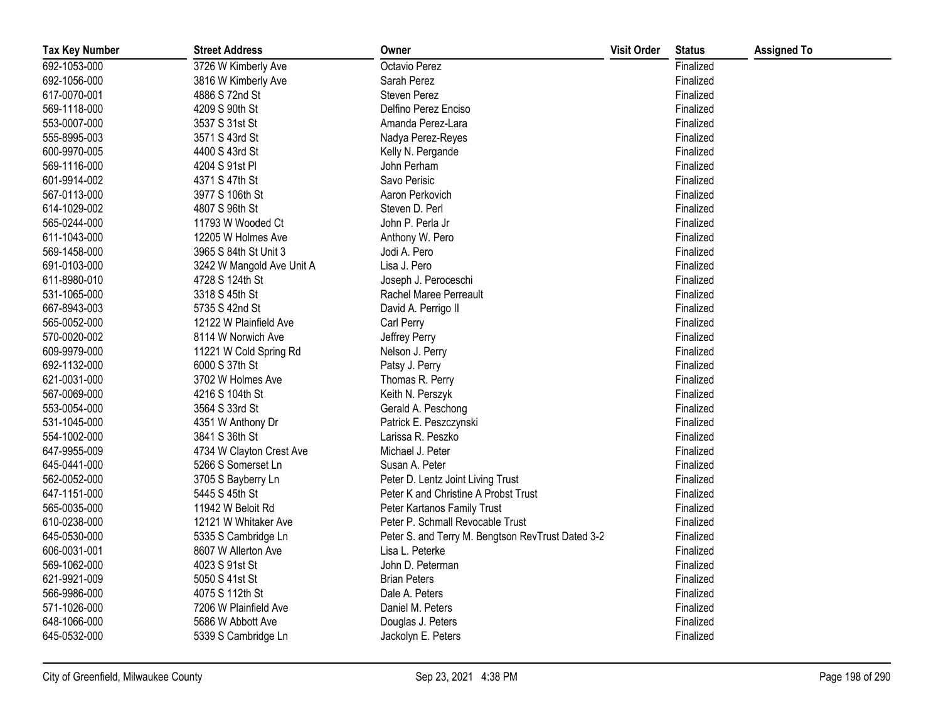| <b>Tax Key Number</b> | <b>Street Address</b>     | Owner                                             | <b>Visit Order</b> | <b>Status</b> | <b>Assigned To</b> |
|-----------------------|---------------------------|---------------------------------------------------|--------------------|---------------|--------------------|
| 692-1053-000          | 3726 W Kimberly Ave       | Octavio Perez                                     |                    | Finalized     |                    |
| 692-1056-000          | 3816 W Kimberly Ave       | Sarah Perez                                       |                    | Finalized     |                    |
| 617-0070-001          | 4886 S 72nd St            | <b>Steven Perez</b>                               |                    | Finalized     |                    |
| 569-1118-000          | 4209 S 90th St            | Delfino Perez Enciso                              |                    | Finalized     |                    |
| 553-0007-000          | 3537 S 31st St            | Amanda Perez-Lara                                 |                    | Finalized     |                    |
| 555-8995-003          | 3571 S 43rd St            | Nadya Perez-Reyes                                 |                    | Finalized     |                    |
| 600-9970-005          | 4400 S 43rd St            | Kelly N. Pergande                                 |                    | Finalized     |                    |
| 569-1116-000          | 4204 S 91st PI            | John Perham                                       |                    | Finalized     |                    |
| 601-9914-002          | 4371 S 47th St            | Savo Perisic                                      |                    | Finalized     |                    |
| 567-0113-000          | 3977 S 106th St           | Aaron Perkovich                                   |                    | Finalized     |                    |
| 614-1029-002          | 4807 S 96th St            | Steven D. Perl                                    |                    | Finalized     |                    |
| 565-0244-000          | 11793 W Wooded Ct         | John P. Perla Jr                                  |                    | Finalized     |                    |
| 611-1043-000          | 12205 W Holmes Ave        | Anthony W. Pero                                   |                    | Finalized     |                    |
| 569-1458-000          | 3965 S 84th St Unit 3     | Jodi A. Pero                                      |                    | Finalized     |                    |
| 691-0103-000          | 3242 W Mangold Ave Unit A | Lisa J. Pero                                      |                    | Finalized     |                    |
| 611-8980-010          | 4728 S 124th St           | Joseph J. Peroceschi                              |                    | Finalized     |                    |
| 531-1065-000          | 3318 S 45th St            | Rachel Maree Perreault                            |                    | Finalized     |                    |
| 667-8943-003          | 5735 S 42nd St            | David A. Perrigo II                               |                    | Finalized     |                    |
| 565-0052-000          | 12122 W Plainfield Ave    | Carl Perry                                        |                    | Finalized     |                    |
| 570-0020-002          | 8114 W Norwich Ave        | Jeffrey Perry                                     |                    | Finalized     |                    |
| 609-9979-000          | 11221 W Cold Spring Rd    | Nelson J. Perry                                   |                    | Finalized     |                    |
| 692-1132-000          | 6000 S 37th St            | Patsy J. Perry                                    |                    | Finalized     |                    |
| 621-0031-000          | 3702 W Holmes Ave         | Thomas R. Perry                                   |                    | Finalized     |                    |
| 567-0069-000          | 4216 S 104th St           | Keith N. Perszyk                                  |                    | Finalized     |                    |
| 553-0054-000          | 3564 S 33rd St            | Gerald A. Peschong                                |                    | Finalized     |                    |
| 531-1045-000          | 4351 W Anthony Dr         | Patrick E. Peszczynski                            |                    | Finalized     |                    |
| 554-1002-000          | 3841 S 36th St            | Larissa R. Peszko                                 |                    | Finalized     |                    |
| 647-9955-009          | 4734 W Clayton Crest Ave  | Michael J. Peter                                  |                    | Finalized     |                    |
| 645-0441-000          | 5266 S Somerset Ln        | Susan A. Peter                                    |                    | Finalized     |                    |
| 562-0052-000          | 3705 S Bayberry Ln        | Peter D. Lentz Joint Living Trust                 |                    | Finalized     |                    |
| 647-1151-000          | 5445 S 45th St            | Peter K and Christine A Probst Trust              |                    | Finalized     |                    |
| 565-0035-000          | 11942 W Beloit Rd         | Peter Kartanos Family Trust                       |                    | Finalized     |                    |
| 610-0238-000          | 12121 W Whitaker Ave      | Peter P. Schmall Revocable Trust                  |                    | Finalized     |                    |
| 645-0530-000          | 5335 S Cambridge Ln       | Peter S. and Terry M. Bengtson RevTrust Dated 3-2 |                    | Finalized     |                    |
| 606-0031-001          | 8607 W Allerton Ave       | Lisa L. Peterke                                   |                    | Finalized     |                    |
| 569-1062-000          | 4023 S 91st St            | John D. Peterman                                  |                    | Finalized     |                    |
| 621-9921-009          | 5050 S 41st St            | <b>Brian Peters</b>                               |                    | Finalized     |                    |
| 566-9986-000          | 4075 S 112th St           | Dale A. Peters                                    |                    | Finalized     |                    |
| 571-1026-000          | 7206 W Plainfield Ave     | Daniel M. Peters                                  |                    | Finalized     |                    |
| 648-1066-000          | 5686 W Abbott Ave         | Douglas J. Peters                                 |                    | Finalized     |                    |
| 645-0532-000          | 5339 S Cambridge Ln       | Jackolyn E. Peters                                |                    | Finalized     |                    |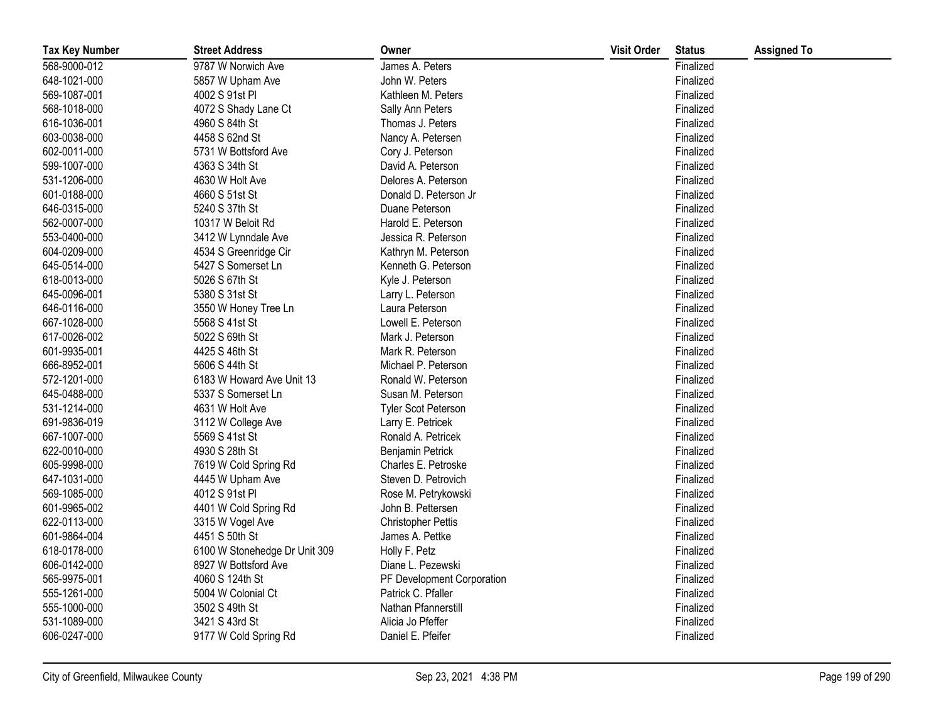| <b>Tax Key Number</b> | <b>Street Address</b>         | Owner                      | <b>Visit Order</b> | <b>Status</b> | <b>Assigned To</b> |
|-----------------------|-------------------------------|----------------------------|--------------------|---------------|--------------------|
| 568-9000-012          | 9787 W Norwich Ave            | James A. Peters            |                    | Finalized     |                    |
| 648-1021-000          | 5857 W Upham Ave              | John W. Peters             |                    | Finalized     |                    |
| 569-1087-001          | 4002 S 91st PI                | Kathleen M. Peters         |                    | Finalized     |                    |
| 568-1018-000          | 4072 S Shady Lane Ct          | Sally Ann Peters           |                    | Finalized     |                    |
| 616-1036-001          | 4960 S 84th St                | Thomas J. Peters           |                    | Finalized     |                    |
| 603-0038-000          | 4458 S 62nd St                | Nancy A. Petersen          |                    | Finalized     |                    |
| 602-0011-000          | 5731 W Bottsford Ave          | Cory J. Peterson           |                    | Finalized     |                    |
| 599-1007-000          | 4363 S 34th St                | David A. Peterson          |                    | Finalized     |                    |
| 531-1206-000          | 4630 W Holt Ave               | Delores A. Peterson        |                    | Finalized     |                    |
| 601-0188-000          | 4660 S 51st St                | Donald D. Peterson Jr      |                    | Finalized     |                    |
| 646-0315-000          | 5240 S 37th St                | Duane Peterson             |                    | Finalized     |                    |
| 562-0007-000          | 10317 W Beloit Rd             | Harold E. Peterson         |                    | Finalized     |                    |
| 553-0400-000          | 3412 W Lynndale Ave           | Jessica R. Peterson        |                    | Finalized     |                    |
| 604-0209-000          | 4534 S Greenridge Cir         | Kathryn M. Peterson        |                    | Finalized     |                    |
| 645-0514-000          | 5427 S Somerset Ln            | Kenneth G. Peterson        |                    | Finalized     |                    |
| 618-0013-000          | 5026 S 67th St                | Kyle J. Peterson           |                    | Finalized     |                    |
| 645-0096-001          | 5380 S 31st St                | Larry L. Peterson          |                    | Finalized     |                    |
| 646-0116-000          | 3550 W Honey Tree Ln          | Laura Peterson             |                    | Finalized     |                    |
| 667-1028-000          | 5568 S 41st St                | Lowell E. Peterson         |                    | Finalized     |                    |
| 617-0026-002          | 5022 S 69th St                | Mark J. Peterson           |                    | Finalized     |                    |
| 601-9935-001          | 4425 S 46th St                | Mark R. Peterson           |                    | Finalized     |                    |
| 666-8952-001          | 5606 S 44th St                | Michael P. Peterson        |                    | Finalized     |                    |
| 572-1201-000          | 6183 W Howard Ave Unit 13     | Ronald W. Peterson         |                    | Finalized     |                    |
| 645-0488-000          | 5337 S Somerset Ln            | Susan M. Peterson          |                    | Finalized     |                    |
| 531-1214-000          | 4631 W Holt Ave               | <b>Tyler Scot Peterson</b> |                    | Finalized     |                    |
| 691-9836-019          | 3112 W College Ave            | Larry E. Petricek          |                    | Finalized     |                    |
| 667-1007-000          | 5569 S 41st St                | Ronald A. Petricek         |                    | Finalized     |                    |
| 622-0010-000          | 4930 S 28th St                | Benjamin Petrick           |                    | Finalized     |                    |
| 605-9998-000          | 7619 W Cold Spring Rd         | Charles E. Petroske        |                    | Finalized     |                    |
| 647-1031-000          | 4445 W Upham Ave              | Steven D. Petrovich        |                    | Finalized     |                    |
| 569-1085-000          | 4012 S 91st PI                | Rose M. Petrykowski        |                    | Finalized     |                    |
| 601-9965-002          | 4401 W Cold Spring Rd         | John B. Pettersen          |                    | Finalized     |                    |
| 622-0113-000          | 3315 W Vogel Ave              | <b>Christopher Pettis</b>  |                    | Finalized     |                    |
| 601-9864-004          | 4451 S 50th St                | James A. Pettke            |                    | Finalized     |                    |
| 618-0178-000          | 6100 W Stonehedge Dr Unit 309 | Holly F. Petz              |                    | Finalized     |                    |
| 606-0142-000          | 8927 W Bottsford Ave          | Diane L. Pezewski          |                    | Finalized     |                    |
| 565-9975-001          | 4060 S 124th St               | PF Development Corporation |                    | Finalized     |                    |
| 555-1261-000          | 5004 W Colonial Ct            | Patrick C. Pfaller         |                    | Finalized     |                    |
| 555-1000-000          | 3502 S 49th St                | Nathan Pfannerstill        |                    | Finalized     |                    |
| 531-1089-000          | 3421 S 43rd St                | Alicia Jo Pfeffer          |                    | Finalized     |                    |
| 606-0247-000          | 9177 W Cold Spring Rd         | Daniel E. Pfeifer          |                    | Finalized     |                    |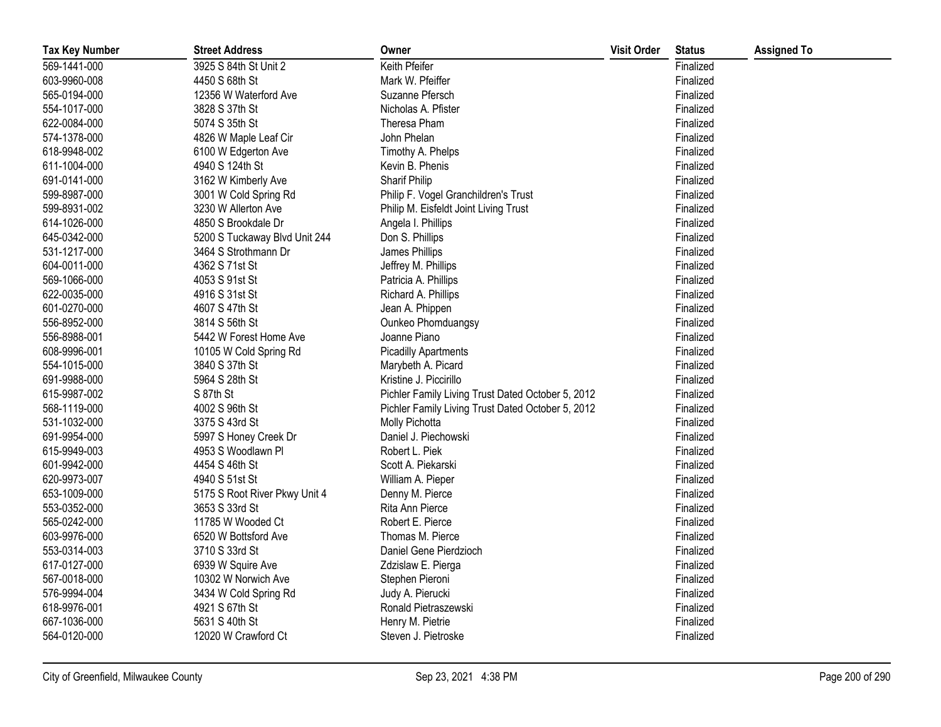| <b>Tax Key Number</b> | <b>Street Address</b>         | Owner                                             | <b>Visit Order</b> | <b>Status</b> | <b>Assigned To</b> |
|-----------------------|-------------------------------|---------------------------------------------------|--------------------|---------------|--------------------|
| 569-1441-000          | 3925 S 84th St Unit 2         | Keith Pfeifer                                     |                    | Finalized     |                    |
| 603-9960-008          | 4450 S 68th St                | Mark W. Pfeiffer                                  |                    | Finalized     |                    |
| 565-0194-000          | 12356 W Waterford Ave         | Suzanne Pfersch                                   |                    | Finalized     |                    |
| 554-1017-000          | 3828 S 37th St                | Nicholas A. Pfister                               |                    | Finalized     |                    |
| 622-0084-000          | 5074 S 35th St                | Theresa Pham                                      |                    | Finalized     |                    |
| 574-1378-000          | 4826 W Maple Leaf Cir         | John Phelan                                       |                    | Finalized     |                    |
| 618-9948-002          | 6100 W Edgerton Ave           | Timothy A. Phelps                                 |                    | Finalized     |                    |
| 611-1004-000          | 4940 S 124th St               | Kevin B. Phenis                                   |                    | Finalized     |                    |
| 691-0141-000          | 3162 W Kimberly Ave           | Sharif Philip                                     |                    | Finalized     |                    |
| 599-8987-000          | 3001 W Cold Spring Rd         | Philip F. Vogel Granchildren's Trust              |                    | Finalized     |                    |
| 599-8931-002          | 3230 W Allerton Ave           | Philip M. Eisfeldt Joint Living Trust             |                    | Finalized     |                    |
| 614-1026-000          | 4850 S Brookdale Dr           | Angela I. Phillips                                |                    | Finalized     |                    |
| 645-0342-000          | 5200 S Tuckaway Blvd Unit 244 | Don S. Phillips                                   |                    | Finalized     |                    |
| 531-1217-000          | 3464 S Strothmann Dr          | James Phillips                                    |                    | Finalized     |                    |
| 604-0011-000          | 4362 S 71st St                | Jeffrey M. Phillips                               |                    | Finalized     |                    |
| 569-1066-000          | 4053 S 91st St                | Patricia A. Phillips                              |                    | Finalized     |                    |
| 622-0035-000          | 4916 S 31st St                | Richard A. Phillips                               |                    | Finalized     |                    |
| 601-0270-000          | 4607 S 47th St                | Jean A. Phippen                                   |                    | Finalized     |                    |
| 556-8952-000          | 3814 S 56th St                | Ounkeo Phomduangsy                                |                    | Finalized     |                    |
| 556-8988-001          | 5442 W Forest Home Ave        | Joanne Piano                                      |                    | Finalized     |                    |
| 608-9996-001          | 10105 W Cold Spring Rd        | <b>Picadilly Apartments</b>                       |                    | Finalized     |                    |
| 554-1015-000          | 3840 S 37th St                | Marybeth A. Picard                                |                    | Finalized     |                    |
| 691-9988-000          | 5964 S 28th St                | Kristine J. Piccirillo                            |                    | Finalized     |                    |
| 615-9987-002          | S 87th St                     | Pichler Family Living Trust Dated October 5, 2012 |                    | Finalized     |                    |
| 568-1119-000          | 4002 S 96th St                | Pichler Family Living Trust Dated October 5, 2012 |                    | Finalized     |                    |
| 531-1032-000          | 3375 S 43rd St                | Molly Pichotta                                    |                    | Finalized     |                    |
| 691-9954-000          | 5997 S Honey Creek Dr         | Daniel J. Piechowski                              |                    | Finalized     |                    |
| 615-9949-003          | 4953 S Woodlawn Pl            | Robert L. Piek                                    |                    | Finalized     |                    |
| 601-9942-000          | 4454 S 46th St                | Scott A. Piekarski                                |                    | Finalized     |                    |
| 620-9973-007          | 4940 S 51st St                | William A. Pieper                                 |                    | Finalized     |                    |
| 653-1009-000          | 5175 S Root River Pkwy Unit 4 | Denny M. Pierce                                   |                    | Finalized     |                    |
| 553-0352-000          | 3653 S 33rd St                | Rita Ann Pierce                                   |                    | Finalized     |                    |
| 565-0242-000          | 11785 W Wooded Ct             | Robert E. Pierce                                  |                    | Finalized     |                    |
| 603-9976-000          | 6520 W Bottsford Ave          | Thomas M. Pierce                                  |                    | Finalized     |                    |
| 553-0314-003          | 3710 S 33rd St                | Daniel Gene Pierdzioch                            |                    | Finalized     |                    |
| 617-0127-000          | 6939 W Squire Ave             | Zdzislaw E. Pierga                                |                    | Finalized     |                    |
| 567-0018-000          | 10302 W Norwich Ave           | Stephen Pieroni                                   |                    | Finalized     |                    |
| 576-9994-004          | 3434 W Cold Spring Rd         | Judy A. Pierucki                                  |                    | Finalized     |                    |
| 618-9976-001          | 4921 S 67th St                | Ronald Pietraszewski                              |                    | Finalized     |                    |
| 667-1036-000          | 5631 S 40th St                | Henry M. Pietrie                                  |                    | Finalized     |                    |
| 564-0120-000          | 12020 W Crawford Ct           | Steven J. Pietroske                               |                    | Finalized     |                    |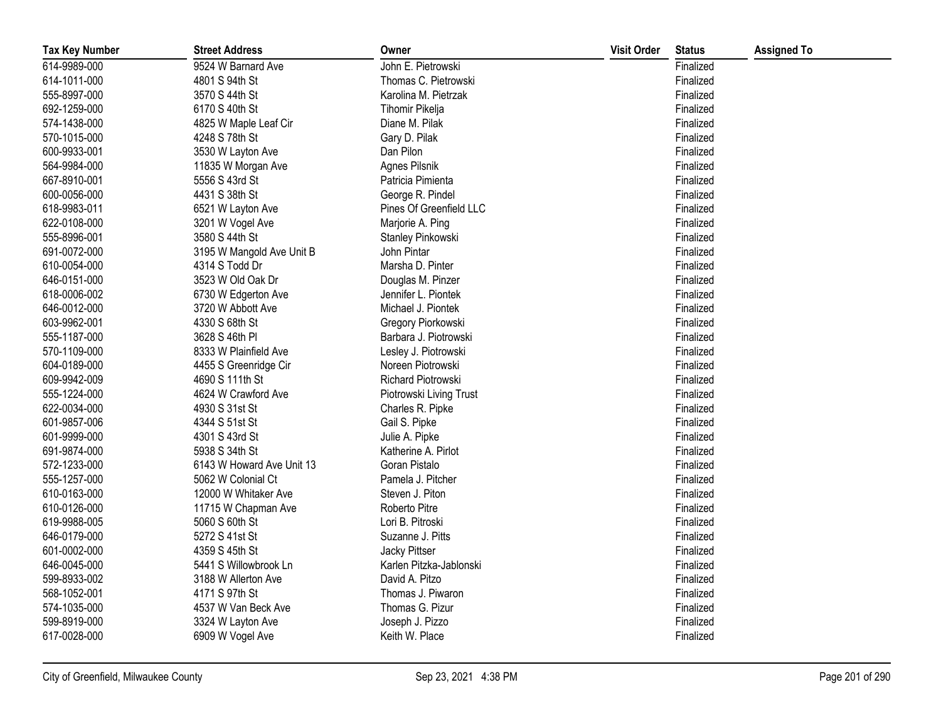| <b>Tax Key Number</b> | <b>Street Address</b>     | Owner                   | <b>Visit Order</b> | <b>Status</b> | <b>Assigned To</b> |
|-----------------------|---------------------------|-------------------------|--------------------|---------------|--------------------|
| 614-9989-000          | 9524 W Barnard Ave        | John E. Pietrowski      |                    | Finalized     |                    |
| 614-1011-000          | 4801 S 94th St            | Thomas C. Pietrowski    |                    | Finalized     |                    |
| 555-8997-000          | 3570 S 44th St            | Karolina M. Pietrzak    |                    | Finalized     |                    |
| 692-1259-000          | 6170 S 40th St            | Tihomir Pikelja         |                    | Finalized     |                    |
| 574-1438-000          | 4825 W Maple Leaf Cir     | Diane M. Pilak          |                    | Finalized     |                    |
| 570-1015-000          | 4248 S 78th St            | Gary D. Pilak           |                    | Finalized     |                    |
| 600-9933-001          | 3530 W Layton Ave         | Dan Pilon               |                    | Finalized     |                    |
| 564-9984-000          | 11835 W Morgan Ave        | Agnes Pilsnik           |                    | Finalized     |                    |
| 667-8910-001          | 5556 S 43rd St            | Patricia Pimienta       |                    | Finalized     |                    |
| 600-0056-000          | 4431 S 38th St            | George R. Pindel        |                    | Finalized     |                    |
| 618-9983-011          | 6521 W Layton Ave         | Pines Of Greenfield LLC |                    | Finalized     |                    |
| 622-0108-000          | 3201 W Vogel Ave          | Marjorie A. Ping        |                    | Finalized     |                    |
| 555-8996-001          | 3580 S 44th St            | Stanley Pinkowski       |                    | Finalized     |                    |
| 691-0072-000          | 3195 W Mangold Ave Unit B | John Pintar             |                    | Finalized     |                    |
| 610-0054-000          | 4314 S Todd Dr            | Marsha D. Pinter        |                    | Finalized     |                    |
| 646-0151-000          | 3523 W Old Oak Dr         | Douglas M. Pinzer       |                    | Finalized     |                    |
| 618-0006-002          | 6730 W Edgerton Ave       | Jennifer L. Piontek     |                    | Finalized     |                    |
| 646-0012-000          | 3720 W Abbott Ave         | Michael J. Piontek      |                    | Finalized     |                    |
| 603-9962-001          | 4330 S 68th St            | Gregory Piorkowski      |                    | Finalized     |                    |
| 555-1187-000          | 3628 S 46th PI            | Barbara J. Piotrowski   |                    | Finalized     |                    |
| 570-1109-000          | 8333 W Plainfield Ave     | Lesley J. Piotrowski    |                    | Finalized     |                    |
| 604-0189-000          | 4455 S Greenridge Cir     | Noreen Piotrowski       |                    | Finalized     |                    |
| 609-9942-009          | 4690 S 111th St           | Richard Piotrowski      |                    | Finalized     |                    |
| 555-1224-000          | 4624 W Crawford Ave       | Piotrowski Living Trust |                    | Finalized     |                    |
| 622-0034-000          | 4930 S 31st St            | Charles R. Pipke        |                    | Finalized     |                    |
| 601-9857-006          | 4344 S 51st St            | Gail S. Pipke           |                    | Finalized     |                    |
| 601-9999-000          | 4301 S 43rd St            | Julie A. Pipke          |                    | Finalized     |                    |
| 691-9874-000          | 5938 S 34th St            | Katherine A. Pirlot     |                    | Finalized     |                    |
| 572-1233-000          | 6143 W Howard Ave Unit 13 | Goran Pistalo           |                    | Finalized     |                    |
| 555-1257-000          | 5062 W Colonial Ct        | Pamela J. Pitcher       |                    | Finalized     |                    |
| 610-0163-000          | 12000 W Whitaker Ave      | Steven J. Piton         |                    | Finalized     |                    |
| 610-0126-000          | 11715 W Chapman Ave       | Roberto Pitre           |                    | Finalized     |                    |
| 619-9988-005          | 5060 S 60th St            | Lori B. Pitroski        |                    | Finalized     |                    |
| 646-0179-000          | 5272 S 41st St            | Suzanne J. Pitts        |                    | Finalized     |                    |
| 601-0002-000          | 4359 S 45th St            | Jacky Pittser           |                    | Finalized     |                    |
| 646-0045-000          | 5441 S Willowbrook Ln     | Karlen Pitzka-Jablonski |                    | Finalized     |                    |
| 599-8933-002          | 3188 W Allerton Ave       | David A. Pitzo          |                    | Finalized     |                    |
| 568-1052-001          | 4171 S 97th St            | Thomas J. Piwaron       |                    | Finalized     |                    |
| 574-1035-000          | 4537 W Van Beck Ave       | Thomas G. Pizur         |                    | Finalized     |                    |
| 599-8919-000          | 3324 W Layton Ave         | Joseph J. Pizzo         |                    | Finalized     |                    |
| 617-0028-000          | 6909 W Vogel Ave          | Keith W. Place          |                    | Finalized     |                    |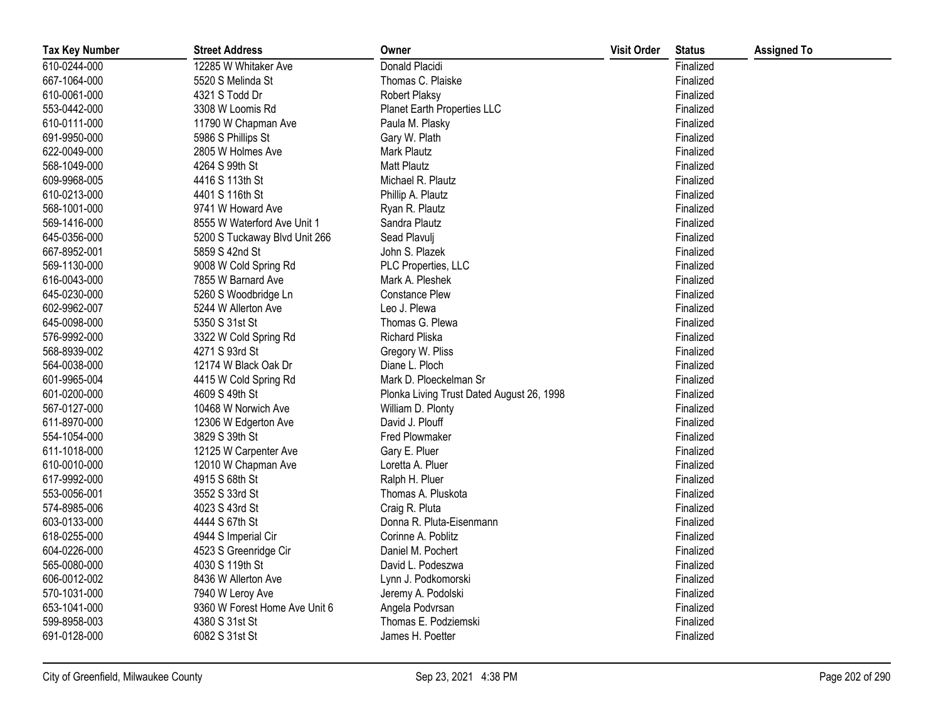| <b>Tax Key Number</b> | <b>Street Address</b>         | Owner                                     | <b>Visit Order</b> | <b>Status</b> | <b>Assigned To</b> |
|-----------------------|-------------------------------|-------------------------------------------|--------------------|---------------|--------------------|
| 610-0244-000          | 12285 W Whitaker Ave          | Donald Placidi                            |                    | Finalized     |                    |
| 667-1064-000          | 5520 S Melinda St             | Thomas C. Plaiske                         |                    | Finalized     |                    |
| 610-0061-000          | 4321 S Todd Dr                | Robert Plaksy                             |                    | Finalized     |                    |
| 553-0442-000          | 3308 W Loomis Rd              | Planet Earth Properties LLC               |                    | Finalized     |                    |
| 610-0111-000          | 11790 W Chapman Ave           | Paula M. Plasky                           |                    | Finalized     |                    |
| 691-9950-000          | 5986 S Phillips St            | Gary W. Plath                             |                    | Finalized     |                    |
| 622-0049-000          | 2805 W Holmes Ave             | Mark Plautz                               |                    | Finalized     |                    |
| 568-1049-000          | 4264 S 99th St                | Matt Plautz                               |                    | Finalized     |                    |
| 609-9968-005          | 4416 S 113th St               | Michael R. Plautz                         |                    | Finalized     |                    |
| 610-0213-000          | 4401 S 116th St               | Phillip A. Plautz                         |                    | Finalized     |                    |
| 568-1001-000          | 9741 W Howard Ave             | Ryan R. Plautz                            |                    | Finalized     |                    |
| 569-1416-000          | 8555 W Waterford Ave Unit 1   | Sandra Plautz                             |                    | Finalized     |                    |
| 645-0356-000          | 5200 S Tuckaway Blvd Unit 266 | Sead Plavulj                              |                    | Finalized     |                    |
| 667-8952-001          | 5859 S 42nd St                | John S. Plazek                            |                    | Finalized     |                    |
| 569-1130-000          | 9008 W Cold Spring Rd         | PLC Properties, LLC                       |                    | Finalized     |                    |
| 616-0043-000          | 7855 W Barnard Ave            | Mark A. Pleshek                           |                    | Finalized     |                    |
| 645-0230-000          | 5260 S Woodbridge Ln          | <b>Constance Plew</b>                     |                    | Finalized     |                    |
| 602-9962-007          | 5244 W Allerton Ave           | Leo J. Plewa                              |                    | Finalized     |                    |
| 645-0098-000          | 5350 S 31st St                | Thomas G. Plewa                           |                    | Finalized     |                    |
| 576-9992-000          | 3322 W Cold Spring Rd         | Richard Pliska                            |                    | Finalized     |                    |
| 568-8939-002          | 4271 S 93rd St                | Gregory W. Pliss                          |                    | Finalized     |                    |
| 564-0038-000          | 12174 W Black Oak Dr          | Diane L. Ploch                            |                    | Finalized     |                    |
| 601-9965-004          | 4415 W Cold Spring Rd         | Mark D. Ploeckelman Sr                    |                    | Finalized     |                    |
| 601-0200-000          | 4609 S 49th St                | Plonka Living Trust Dated August 26, 1998 |                    | Finalized     |                    |
| 567-0127-000          | 10468 W Norwich Ave           | William D. Plonty                         |                    | Finalized     |                    |
| 611-8970-000          | 12306 W Edgerton Ave          | David J. Plouff                           |                    | Finalized     |                    |
| 554-1054-000          | 3829 S 39th St                | Fred Plowmaker                            |                    | Finalized     |                    |
| 611-1018-000          | 12125 W Carpenter Ave         | Gary E. Pluer                             |                    | Finalized     |                    |
| 610-0010-000          | 12010 W Chapman Ave           | Loretta A. Pluer                          |                    | Finalized     |                    |
| 617-9992-000          | 4915 S 68th St                | Ralph H. Pluer                            |                    | Finalized     |                    |
| 553-0056-001          | 3552 S 33rd St                | Thomas A. Pluskota                        |                    | Finalized     |                    |
| 574-8985-006          | 4023 S 43rd St                | Craig R. Pluta                            |                    | Finalized     |                    |
| 603-0133-000          | 4444 S 67th St                | Donna R. Pluta-Eisenmann                  |                    | Finalized     |                    |
| 618-0255-000          | 4944 S Imperial Cir           | Corinne A. Poblitz                        |                    | Finalized     |                    |
| 604-0226-000          | 4523 S Greenridge Cir         | Daniel M. Pochert                         |                    | Finalized     |                    |
| 565-0080-000          | 4030 S 119th St               | David L. Podeszwa                         |                    | Finalized     |                    |
| 606-0012-002          | 8436 W Allerton Ave           | Lynn J. Podkomorski                       |                    | Finalized     |                    |
| 570-1031-000          | 7940 W Leroy Ave              | Jeremy A. Podolski                        |                    | Finalized     |                    |
| 653-1041-000          | 9360 W Forest Home Ave Unit 6 | Angela Podvrsan                           |                    | Finalized     |                    |
| 599-8958-003          | 4380 S 31st St                | Thomas E. Podziemski                      |                    | Finalized     |                    |
| 691-0128-000          | 6082 S 31st St                | James H. Poetter                          |                    | Finalized     |                    |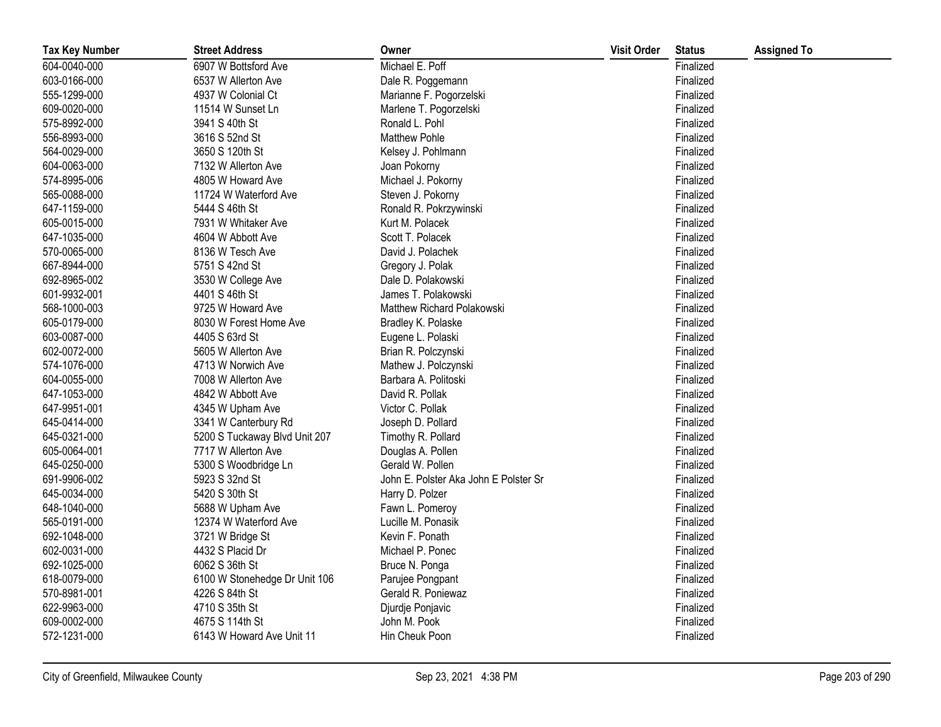| <b>Tax Key Number</b> | <b>Street Address</b>         | Owner                                 | <b>Visit Order</b> | <b>Status</b> | <b>Assigned To</b> |
|-----------------------|-------------------------------|---------------------------------------|--------------------|---------------|--------------------|
| 604-0040-000          | 6907 W Bottsford Ave          | Michael E. Poff                       |                    | Finalized     |                    |
| 603-0166-000          | 6537 W Allerton Ave           | Dale R. Poggemann                     |                    | Finalized     |                    |
| 555-1299-000          | 4937 W Colonial Ct            | Marianne F. Pogorzelski               |                    | Finalized     |                    |
| 609-0020-000          | 11514 W Sunset Ln             | Marlene T. Pogorzelski                |                    | Finalized     |                    |
| 575-8992-000          | 3941 S 40th St                | Ronald L. Pohl                        |                    | Finalized     |                    |
| 556-8993-000          | 3616 S 52nd St                | <b>Matthew Pohle</b>                  |                    | Finalized     |                    |
| 564-0029-000          | 3650 S 120th St               | Kelsey J. Pohlmann                    |                    | Finalized     |                    |
| 604-0063-000          | 7132 W Allerton Ave           | Joan Pokorny                          |                    | Finalized     |                    |
| 574-8995-006          | 4805 W Howard Ave             | Michael J. Pokorny                    |                    | Finalized     |                    |
| 565-0088-000          | 11724 W Waterford Ave         | Steven J. Pokorny                     |                    | Finalized     |                    |
| 647-1159-000          | 5444 S 46th St                | Ronald R. Pokrzywinski                |                    | Finalized     |                    |
| 605-0015-000          | 7931 W Whitaker Ave           | Kurt M. Polacek                       |                    | Finalized     |                    |
| 647-1035-000          | 4604 W Abbott Ave             | Scott T. Polacek                      |                    | Finalized     |                    |
| 570-0065-000          | 8136 W Tesch Ave              | David J. Polachek                     |                    | Finalized     |                    |
| 667-8944-000          | 5751 S 42nd St                | Gregory J. Polak                      |                    | Finalized     |                    |
| 692-8965-002          | 3530 W College Ave            | Dale D. Polakowski                    |                    | Finalized     |                    |
| 601-9932-001          | 4401 S 46th St                | James T. Polakowski                   |                    | Finalized     |                    |
| 568-1000-003          | 9725 W Howard Ave             | Matthew Richard Polakowski            |                    | Finalized     |                    |
| 605-0179-000          | 8030 W Forest Home Ave        | Bradley K. Polaske                    |                    | Finalized     |                    |
| 603-0087-000          | 4405 S 63rd St                | Eugene L. Polaski                     |                    | Finalized     |                    |
| 602-0072-000          | 5605 W Allerton Ave           | Brian R. Polczynski                   |                    | Finalized     |                    |
| 574-1076-000          | 4713 W Norwich Ave            | Mathew J. Polczynski                  |                    | Finalized     |                    |
| 604-0055-000          | 7008 W Allerton Ave           | Barbara A. Politoski                  |                    | Finalized     |                    |
| 647-1053-000          | 4842 W Abbott Ave             | David R. Pollak                       |                    | Finalized     |                    |
| 647-9951-001          | 4345 W Upham Ave              | Victor C. Pollak                      |                    | Finalized     |                    |
| 645-0414-000          | 3341 W Canterbury Rd          | Joseph D. Pollard                     |                    | Finalized     |                    |
| 645-0321-000          | 5200 S Tuckaway Blvd Unit 207 | Timothy R. Pollard                    |                    | Finalized     |                    |
| 605-0064-001          | 7717 W Allerton Ave           | Douglas A. Pollen                     |                    | Finalized     |                    |
| 645-0250-000          | 5300 S Woodbridge Ln          | Gerald W. Pollen                      |                    | Finalized     |                    |
| 691-9906-002          | 5923 S 32nd St                | John E. Polster Aka John E Polster Sr |                    | Finalized     |                    |
| 645-0034-000          | 5420 S 30th St                | Harry D. Polzer                       |                    | Finalized     |                    |
| 648-1040-000          | 5688 W Upham Ave              | Fawn L. Pomeroy                       |                    | Finalized     |                    |
| 565-0191-000          | 12374 W Waterford Ave         | Lucille M. Ponasik                    |                    | Finalized     |                    |
| 692-1048-000          | 3721 W Bridge St              | Kevin F. Ponath                       |                    | Finalized     |                    |
| 602-0031-000          | 4432 S Placid Dr              | Michael P. Ponec                      |                    | Finalized     |                    |
| 692-1025-000          | 6062 S 36th St                | Bruce N. Ponga                        |                    | Finalized     |                    |
| 618-0079-000          | 6100 W Stonehedge Dr Unit 106 | Parujee Pongpant                      |                    | Finalized     |                    |
| 570-8981-001          | 4226 S 84th St                | Gerald R. Poniewaz                    |                    | Finalized     |                    |
| 622-9963-000          | 4710 S 35th St                | Djurdje Ponjavic                      |                    | Finalized     |                    |
| 609-0002-000          | 4675 S 114th St               | John M. Pook                          |                    | Finalized     |                    |
| 572-1231-000          | 6143 W Howard Ave Unit 11     | Hin Cheuk Poon                        |                    | Finalized     |                    |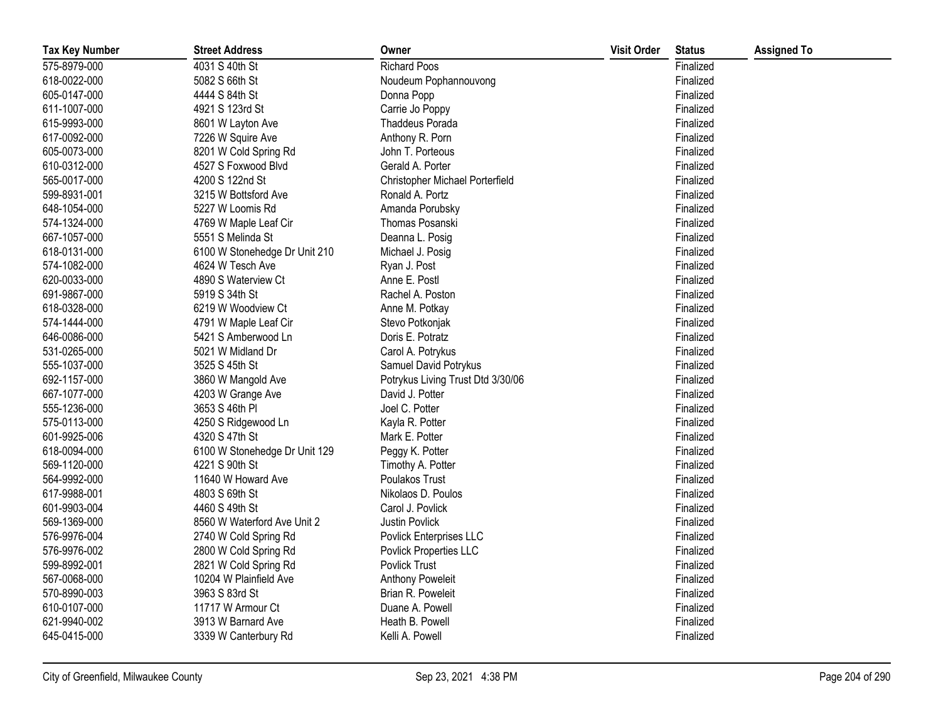| <b>Tax Key Number</b> | <b>Street Address</b>         | Owner                             | <b>Visit Order</b> | <b>Status</b> | <b>Assigned To</b> |
|-----------------------|-------------------------------|-----------------------------------|--------------------|---------------|--------------------|
| 575-8979-000          | 4031 S 40th St                | <b>Richard Poos</b>               |                    | Finalized     |                    |
| 618-0022-000          | 5082 S 66th St                | Noudeum Pophannouvong             |                    | Finalized     |                    |
| 605-0147-000          | 4444 S 84th St                | Donna Popp                        |                    | Finalized     |                    |
| 611-1007-000          | 4921 S 123rd St               | Carrie Jo Poppy                   |                    | Finalized     |                    |
| 615-9993-000          | 8601 W Layton Ave             | Thaddeus Porada                   |                    | Finalized     |                    |
| 617-0092-000          | 7226 W Squire Ave             | Anthony R. Porn                   |                    | Finalized     |                    |
| 605-0073-000          | 8201 W Cold Spring Rd         | John T. Porteous                  |                    | Finalized     |                    |
| 610-0312-000          | 4527 S Foxwood Blvd           | Gerald A. Porter                  |                    | Finalized     |                    |
| 565-0017-000          | 4200 S 122nd St               | Christopher Michael Porterfield   |                    | Finalized     |                    |
| 599-8931-001          | 3215 W Bottsford Ave          | Ronald A. Portz                   |                    | Finalized     |                    |
| 648-1054-000          | 5227 W Loomis Rd              | Amanda Porubsky                   |                    | Finalized     |                    |
| 574-1324-000          | 4769 W Maple Leaf Cir         | Thomas Posanski                   |                    | Finalized     |                    |
| 667-1057-000          | 5551 S Melinda St             | Deanna L. Posig                   |                    | Finalized     |                    |
| 618-0131-000          | 6100 W Stonehedge Dr Unit 210 | Michael J. Posig                  |                    | Finalized     |                    |
| 574-1082-000          | 4624 W Tesch Ave              | Ryan J. Post                      |                    | Finalized     |                    |
| 620-0033-000          | 4890 S Waterview Ct           | Anne E. Postl                     |                    | Finalized     |                    |
| 691-9867-000          | 5919 S 34th St                | Rachel A. Poston                  |                    | Finalized     |                    |
| 618-0328-000          | 6219 W Woodview Ct            | Anne M. Potkay                    |                    | Finalized     |                    |
| 574-1444-000          | 4791 W Maple Leaf Cir         | Stevo Potkonjak                   |                    | Finalized     |                    |
| 646-0086-000          | 5421 S Amberwood Ln           | Doris E. Potratz                  |                    | Finalized     |                    |
| 531-0265-000          | 5021 W Midland Dr             | Carol A. Potrykus                 |                    | Finalized     |                    |
| 555-1037-000          | 3525 S 45th St                | Samuel David Potrykus             |                    | Finalized     |                    |
| 692-1157-000          | 3860 W Mangold Ave            | Potrykus Living Trust Dtd 3/30/06 |                    | Finalized     |                    |
| 667-1077-000          | 4203 W Grange Ave             | David J. Potter                   |                    | Finalized     |                    |
| 555-1236-000          | 3653 S 46th PI                | Joel C. Potter                    |                    | Finalized     |                    |
| 575-0113-000          | 4250 S Ridgewood Ln           | Kayla R. Potter                   |                    | Finalized     |                    |
| 601-9925-006          | 4320 S 47th St                | Mark E. Potter                    |                    | Finalized     |                    |
| 618-0094-000          | 6100 W Stonehedge Dr Unit 129 | Peggy K. Potter                   |                    | Finalized     |                    |
| 569-1120-000          | 4221 S 90th St                | Timothy A. Potter                 |                    | Finalized     |                    |
| 564-9992-000          | 11640 W Howard Ave            | Poulakos Trust                    |                    | Finalized     |                    |
| 617-9988-001          | 4803 S 69th St                | Nikolaos D. Poulos                |                    | Finalized     |                    |
| 601-9903-004          | 4460 S 49th St                | Carol J. Povlick                  |                    | Finalized     |                    |
| 569-1369-000          | 8560 W Waterford Ave Unit 2   | Justin Povlick                    |                    | Finalized     |                    |
| 576-9976-004          | 2740 W Cold Spring Rd         | Povlick Enterprises LLC           |                    | Finalized     |                    |
| 576-9976-002          | 2800 W Cold Spring Rd         | Povlick Properties LLC            |                    | Finalized     |                    |
| 599-8992-001          | 2821 W Cold Spring Rd         | Povlick Trust                     |                    | Finalized     |                    |
| 567-0068-000          | 10204 W Plainfield Ave        | Anthony Poweleit                  |                    | Finalized     |                    |
| 570-8990-003          | 3963 S 83rd St                | Brian R. Poweleit                 |                    | Finalized     |                    |
| 610-0107-000          | 11717 W Armour Ct             | Duane A. Powell                   |                    | Finalized     |                    |
| 621-9940-002          | 3913 W Barnard Ave            | Heath B. Powell                   |                    | Finalized     |                    |
| 645-0415-000          | 3339 W Canterbury Rd          | Kelli A. Powell                   |                    | Finalized     |                    |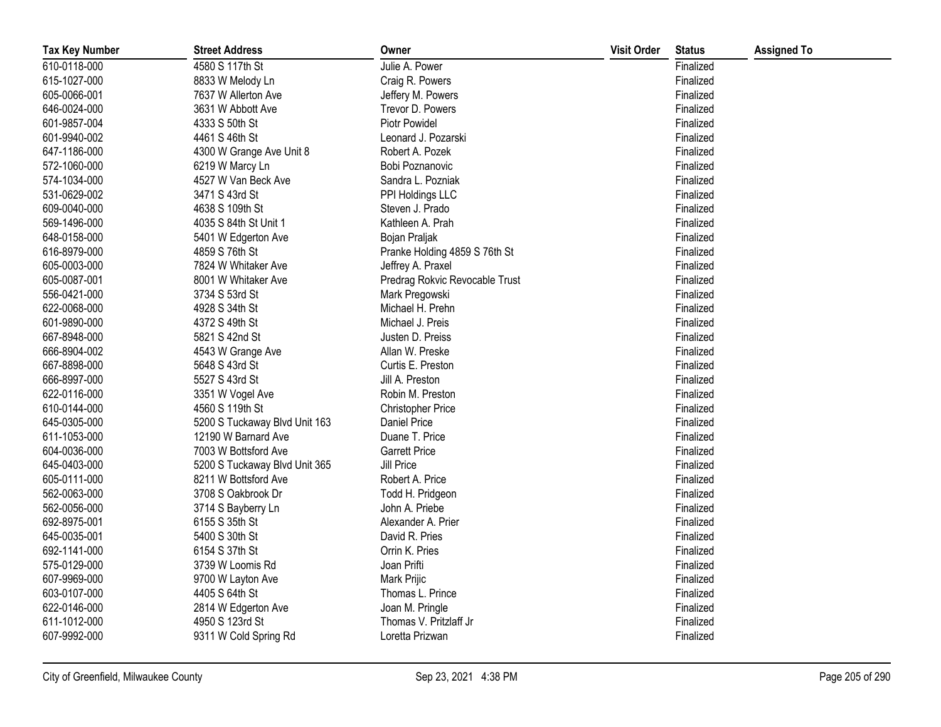| <b>Tax Key Number</b> | <b>Street Address</b>         | Owner                          | <b>Visit Order</b> | <b>Status</b> | <b>Assigned To</b> |
|-----------------------|-------------------------------|--------------------------------|--------------------|---------------|--------------------|
| 610-0118-000          | 4580 S 117th St               | Julie A. Power                 |                    | Finalized     |                    |
| 615-1027-000          | 8833 W Melody Ln              | Craig R. Powers                |                    | Finalized     |                    |
| 605-0066-001          | 7637 W Allerton Ave           | Jeffery M. Powers              |                    | Finalized     |                    |
| 646-0024-000          | 3631 W Abbott Ave             | Trevor D. Powers               |                    | Finalized     |                    |
| 601-9857-004          | 4333 S 50th St                | Piotr Powidel                  |                    | Finalized     |                    |
| 601-9940-002          | 4461 S 46th St                | Leonard J. Pozarski            |                    | Finalized     |                    |
| 647-1186-000          | 4300 W Grange Ave Unit 8      | Robert A. Pozek                |                    | Finalized     |                    |
| 572-1060-000          | 6219 W Marcy Ln               | Bobi Poznanovic                |                    | Finalized     |                    |
| 574-1034-000          | 4527 W Van Beck Ave           | Sandra L. Pozniak              |                    | Finalized     |                    |
| 531-0629-002          | 3471 S 43rd St                | PPI Holdings LLC               |                    | Finalized     |                    |
| 609-0040-000          | 4638 S 109th St               | Steven J. Prado                |                    | Finalized     |                    |
| 569-1496-000          | 4035 S 84th St Unit 1         | Kathleen A. Prah               |                    | Finalized     |                    |
| 648-0158-000          | 5401 W Edgerton Ave           | Bojan Praljak                  |                    | Finalized     |                    |
| 616-8979-000          | 4859 S 76th St                | Pranke Holding 4859 S 76th St  |                    | Finalized     |                    |
| 605-0003-000          | 7824 W Whitaker Ave           | Jeffrey A. Praxel              |                    | Finalized     |                    |
| 605-0087-001          | 8001 W Whitaker Ave           | Predrag Rokvic Revocable Trust |                    | Finalized     |                    |
| 556-0421-000          | 3734 S 53rd St                | Mark Pregowski                 |                    | Finalized     |                    |
| 622-0068-000          | 4928 S 34th St                | Michael H. Prehn               |                    | Finalized     |                    |
| 601-9890-000          | 4372 S 49th St                | Michael J. Preis               |                    | Finalized     |                    |
| 667-8948-000          | 5821 S 42nd St                | Justen D. Preiss               |                    | Finalized     |                    |
| 666-8904-002          | 4543 W Grange Ave             | Allan W. Preske                |                    | Finalized     |                    |
| 667-8898-000          | 5648 S 43rd St                | Curtis E. Preston              |                    | Finalized     |                    |
| 666-8997-000          | 5527 S 43rd St                | Jill A. Preston                |                    | Finalized     |                    |
| 622-0116-000          | 3351 W Vogel Ave              | Robin M. Preston               |                    | Finalized     |                    |
| 610-0144-000          | 4560 S 119th St               | <b>Christopher Price</b>       |                    | Finalized     |                    |
| 645-0305-000          | 5200 S Tuckaway Blvd Unit 163 | Daniel Price                   |                    | Finalized     |                    |
| 611-1053-000          | 12190 W Barnard Ave           | Duane T. Price                 |                    | Finalized     |                    |
| 604-0036-000          | 7003 W Bottsford Ave          | <b>Garrett Price</b>           |                    | Finalized     |                    |
| 645-0403-000          | 5200 S Tuckaway Blvd Unit 365 | Jill Price                     |                    | Finalized     |                    |
| 605-0111-000          | 8211 W Bottsford Ave          | Robert A. Price                |                    | Finalized     |                    |
| 562-0063-000          | 3708 S Oakbrook Dr            | Todd H. Pridgeon               |                    | Finalized     |                    |
| 562-0056-000          | 3714 S Bayberry Ln            | John A. Priebe                 |                    | Finalized     |                    |
| 692-8975-001          | 6155 S 35th St                | Alexander A. Prier             |                    | Finalized     |                    |
| 645-0035-001          | 5400 S 30th St                | David R. Pries                 |                    | Finalized     |                    |
| 692-1141-000          | 6154 S 37th St                | Orrin K. Pries                 |                    | Finalized     |                    |
| 575-0129-000          | 3739 W Loomis Rd              | Joan Prifti                    |                    | Finalized     |                    |
| 607-9969-000          | 9700 W Layton Ave             | Mark Prijic                    |                    | Finalized     |                    |
| 603-0107-000          | 4405 S 64th St                | Thomas L. Prince               |                    | Finalized     |                    |
| 622-0146-000          | 2814 W Edgerton Ave           | Joan M. Pringle                |                    | Finalized     |                    |
| 611-1012-000          | 4950 S 123rd St               | Thomas V. Pritzlaff Jr         |                    | Finalized     |                    |
| 607-9992-000          | 9311 W Cold Spring Rd         | Loretta Prizwan                |                    | Finalized     |                    |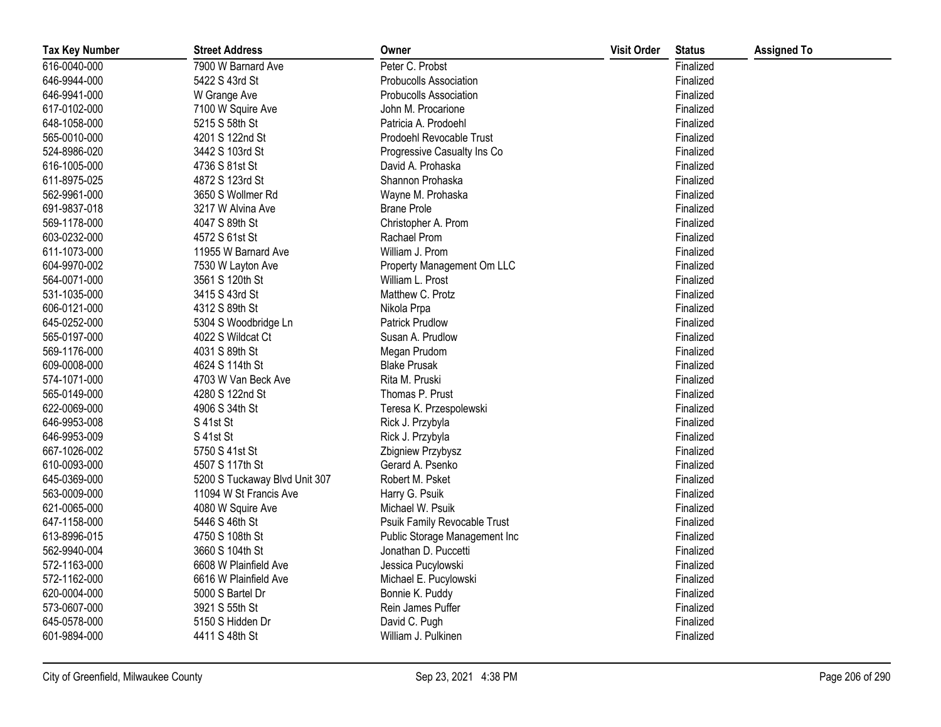| <b>Tax Key Number</b> | <b>Street Address</b>         | Owner                         | <b>Visit Order</b> | <b>Status</b> | <b>Assigned To</b> |
|-----------------------|-------------------------------|-------------------------------|--------------------|---------------|--------------------|
| 616-0040-000          | 7900 W Barnard Ave            | Peter C. Probst               |                    | Finalized     |                    |
| 646-9944-000          | 5422 S 43rd St                | <b>Probucolls Association</b> |                    | Finalized     |                    |
| 646-9941-000          | W Grange Ave                  | <b>Probucolls Association</b> |                    | Finalized     |                    |
| 617-0102-000          | 7100 W Squire Ave             | John M. Procarione            |                    | Finalized     |                    |
| 648-1058-000          | 5215 S 58th St                | Patricia A. Prodoehl          |                    | Finalized     |                    |
| 565-0010-000          | 4201 S 122nd St               | Prodoehl Revocable Trust      |                    | Finalized     |                    |
| 524-8986-020          | 3442 S 103rd St               | Progressive Casualty Ins Co   |                    | Finalized     |                    |
| 616-1005-000          | 4736 S 81st St                | David A. Prohaska             |                    | Finalized     |                    |
| 611-8975-025          | 4872 S 123rd St               | Shannon Prohaska              |                    | Finalized     |                    |
| 562-9961-000          | 3650 S Wollmer Rd             | Wayne M. Prohaska             |                    | Finalized     |                    |
| 691-9837-018          | 3217 W Alvina Ave             | <b>Brane Prole</b>            |                    | Finalized     |                    |
| 569-1178-000          | 4047 S 89th St                | Christopher A. Prom           |                    | Finalized     |                    |
| 603-0232-000          | 4572 S 61st St                | Rachael Prom                  |                    | Finalized     |                    |
| 611-1073-000          | 11955 W Barnard Ave           | William J. Prom               |                    | Finalized     |                    |
| 604-9970-002          | 7530 W Layton Ave             | Property Management Om LLC    |                    | Finalized     |                    |
| 564-0071-000          | 3561 S 120th St               | William L. Prost              |                    | Finalized     |                    |
| 531-1035-000          | 3415 S 43rd St                | Matthew C. Protz              |                    | Finalized     |                    |
| 606-0121-000          | 4312 S 89th St                | Nikola Prpa                   |                    | Finalized     |                    |
| 645-0252-000          | 5304 S Woodbridge Ln          | <b>Patrick Prudlow</b>        |                    | Finalized     |                    |
| 565-0197-000          | 4022 S Wildcat Ct             | Susan A. Prudlow              |                    | Finalized     |                    |
| 569-1176-000          | 4031 S 89th St                | Megan Prudom                  |                    | Finalized     |                    |
| 609-0008-000          | 4624 S 114th St               | <b>Blake Prusak</b>           |                    | Finalized     |                    |
| 574-1071-000          | 4703 W Van Beck Ave           | Rita M. Pruski                |                    | Finalized     |                    |
| 565-0149-000          | 4280 S 122nd St               | Thomas P. Prust               |                    | Finalized     |                    |
| 622-0069-000          | 4906 S 34th St                | Teresa K. Przespolewski       |                    | Finalized     |                    |
| 646-9953-008          | S 41st St                     | Rick J. Przybyla              |                    | Finalized     |                    |
| 646-9953-009          | S 41st St                     | Rick J. Przybyla              |                    | Finalized     |                    |
| 667-1026-002          | 5750 S 41st St                | Zbigniew Przybysz             |                    | Finalized     |                    |
| 610-0093-000          | 4507 S 117th St               | Gerard A. Psenko              |                    | Finalized     |                    |
| 645-0369-000          | 5200 S Tuckaway Blvd Unit 307 | Robert M. Psket               |                    | Finalized     |                    |
| 563-0009-000          | 11094 W St Francis Ave        | Harry G. Psuik                |                    | Finalized     |                    |
| 621-0065-000          | 4080 W Squire Ave             | Michael W. Psuik              |                    | Finalized     |                    |
| 647-1158-000          | 5446 S 46th St                | Psuik Family Revocable Trust  |                    | Finalized     |                    |
| 613-8996-015          | 4750 S 108th St               | Public Storage Management Inc |                    | Finalized     |                    |
| 562-9940-004          | 3660 S 104th St               | Jonathan D. Puccetti          |                    | Finalized     |                    |
| 572-1163-000          | 6608 W Plainfield Ave         | Jessica Pucylowski            |                    | Finalized     |                    |
| 572-1162-000          | 6616 W Plainfield Ave         | Michael E. Pucylowski         |                    | Finalized     |                    |
| 620-0004-000          | 5000 S Bartel Dr              | Bonnie K. Puddy               |                    | Finalized     |                    |
| 573-0607-000          | 3921 S 55th St                | Rein James Puffer             |                    | Finalized     |                    |
| 645-0578-000          | 5150 S Hidden Dr              | David C. Pugh                 |                    | Finalized     |                    |
| 601-9894-000          | 4411 S 48th St                | William J. Pulkinen           |                    | Finalized     |                    |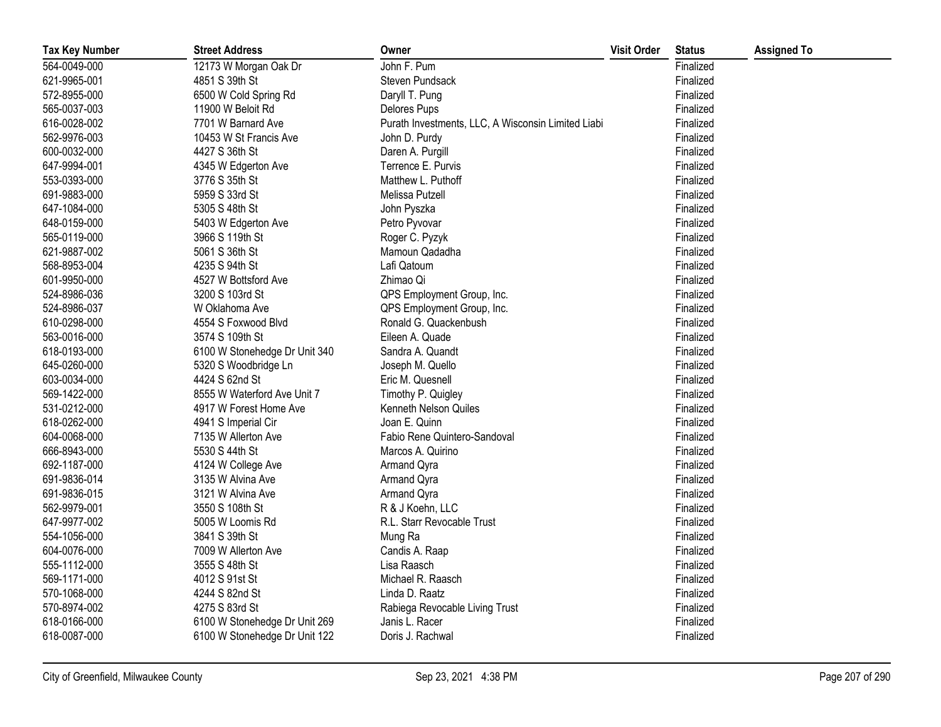| <b>Tax Key Number</b> | <b>Street Address</b>         | Owner                                              | <b>Visit Order</b> | <b>Status</b> | <b>Assigned To</b> |
|-----------------------|-------------------------------|----------------------------------------------------|--------------------|---------------|--------------------|
| 564-0049-000          | 12173 W Morgan Oak Dr         | John F. Pum                                        |                    | Finalized     |                    |
| 621-9965-001          | 4851 S 39th St                | Steven Pundsack                                    |                    | Finalized     |                    |
| 572-8955-000          | 6500 W Cold Spring Rd         | Daryll T. Pung                                     |                    | Finalized     |                    |
| 565-0037-003          | 11900 W Beloit Rd             | Delores Pups                                       |                    | Finalized     |                    |
| 616-0028-002          | 7701 W Barnard Ave            | Purath Investments, LLC, A Wisconsin Limited Liabi |                    | Finalized     |                    |
| 562-9976-003          | 10453 W St Francis Ave        | John D. Purdy                                      |                    | Finalized     |                    |
| 600-0032-000          | 4427 S 36th St                | Daren A. Purgill                                   |                    | Finalized     |                    |
| 647-9994-001          | 4345 W Edgerton Ave           | Terrence E. Purvis                                 |                    | Finalized     |                    |
| 553-0393-000          | 3776 S 35th St                | Matthew L. Puthoff                                 |                    | Finalized     |                    |
| 691-9883-000          | 5959 S 33rd St                | Melissa Putzell                                    |                    | Finalized     |                    |
| 647-1084-000          | 5305 S 48th St                | John Pyszka                                        |                    | Finalized     |                    |
| 648-0159-000          | 5403 W Edgerton Ave           | Petro Pyvovar                                      |                    | Finalized     |                    |
| 565-0119-000          | 3966 S 119th St               | Roger C. Pyzyk                                     |                    | Finalized     |                    |
| 621-9887-002          | 5061 S 36th St                | Mamoun Qadadha                                     |                    | Finalized     |                    |
| 568-8953-004          | 4235 S 94th St                | Lafi Qatoum                                        |                    | Finalized     |                    |
| 601-9950-000          | 4527 W Bottsford Ave          | Zhimao Qi                                          |                    | Finalized     |                    |
| 524-8986-036          | 3200 S 103rd St               | QPS Employment Group, Inc.                         |                    | Finalized     |                    |
| 524-8986-037          | W Oklahoma Ave                | QPS Employment Group, Inc.                         |                    | Finalized     |                    |
| 610-0298-000          | 4554 S Foxwood Blvd           | Ronald G. Quackenbush                              |                    | Finalized     |                    |
| 563-0016-000          | 3574 S 109th St               | Eileen A. Quade                                    |                    | Finalized     |                    |
| 618-0193-000          | 6100 W Stonehedge Dr Unit 340 | Sandra A. Quandt                                   |                    | Finalized     |                    |
| 645-0260-000          | 5320 S Woodbridge Ln          | Joseph M. Quello                                   |                    | Finalized     |                    |
| 603-0034-000          | 4424 S 62nd St                | Eric M. Quesnell                                   |                    | Finalized     |                    |
| 569-1422-000          | 8555 W Waterford Ave Unit 7   | Timothy P. Quigley                                 |                    | Finalized     |                    |
| 531-0212-000          | 4917 W Forest Home Ave        | Kenneth Nelson Quiles                              |                    | Finalized     |                    |
| 618-0262-000          | 4941 S Imperial Cir           | Joan E. Quinn                                      |                    | Finalized     |                    |
| 604-0068-000          | 7135 W Allerton Ave           | Fabio Rene Quintero-Sandoval                       |                    | Finalized     |                    |
| 666-8943-000          | 5530 S 44th St                | Marcos A. Quirino                                  |                    | Finalized     |                    |
| 692-1187-000          | 4124 W College Ave            | Armand Qyra                                        |                    | Finalized     |                    |
| 691-9836-014          | 3135 W Alvina Ave             | Armand Qyra                                        |                    | Finalized     |                    |
| 691-9836-015          | 3121 W Alvina Ave             | Armand Qyra                                        |                    | Finalized     |                    |
| 562-9979-001          | 3550 S 108th St               | R & J Koehn, LLC                                   |                    | Finalized     |                    |
| 647-9977-002          | 5005 W Loomis Rd              | R.L. Starr Revocable Trust                         |                    | Finalized     |                    |
| 554-1056-000          | 3841 S 39th St                | Mung Ra                                            |                    | Finalized     |                    |
| 604-0076-000          | 7009 W Allerton Ave           | Candis A. Raap                                     |                    | Finalized     |                    |
| 555-1112-000          | 3555 S 48th St                | Lisa Raasch                                        |                    | Finalized     |                    |
| 569-1171-000          | 4012 S 91st St                | Michael R. Raasch                                  |                    | Finalized     |                    |
| 570-1068-000          | 4244 S 82nd St                | Linda D. Raatz                                     |                    | Finalized     |                    |
| 570-8974-002          | 4275 S 83rd St                | Rabiega Revocable Living Trust                     |                    | Finalized     |                    |
| 618-0166-000          | 6100 W Stonehedge Dr Unit 269 | Janis L. Racer                                     |                    | Finalized     |                    |
| 618-0087-000          | 6100 W Stonehedge Dr Unit 122 | Doris J. Rachwal                                   |                    | Finalized     |                    |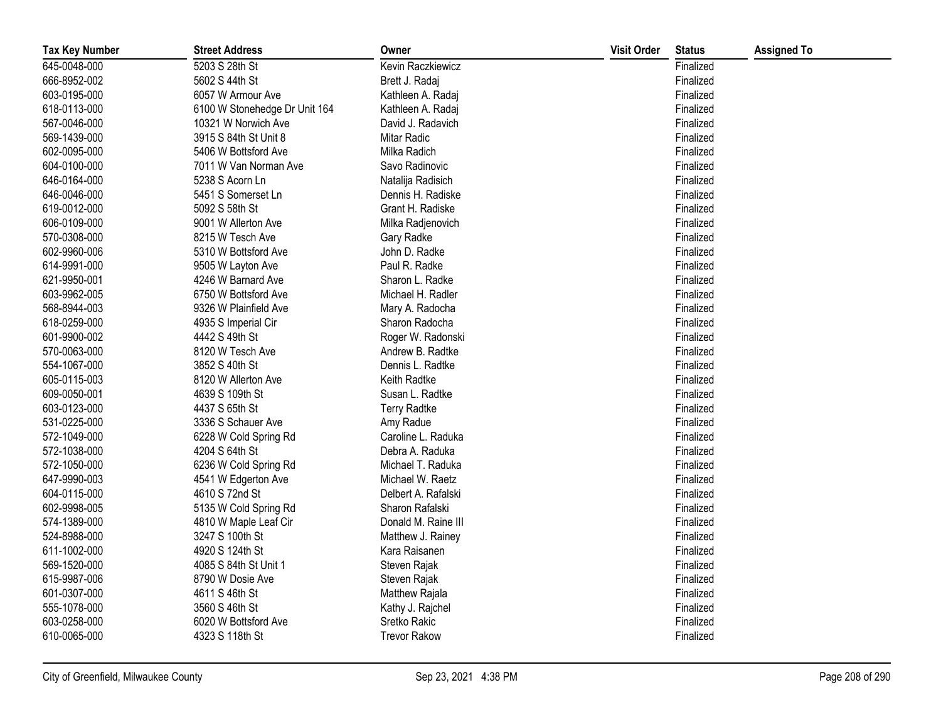| <b>Tax Key Number</b> | <b>Street Address</b>         | Owner               | <b>Visit Order</b> | <b>Status</b> | <b>Assigned To</b> |
|-----------------------|-------------------------------|---------------------|--------------------|---------------|--------------------|
| 645-0048-000          | 5203 S 28th St                | Kevin Raczkiewicz   |                    | Finalized     |                    |
| 666-8952-002          | 5602 S 44th St                | Brett J. Radaj      |                    | Finalized     |                    |
| 603-0195-000          | 6057 W Armour Ave             | Kathleen A. Radaj   |                    | Finalized     |                    |
| 618-0113-000          | 6100 W Stonehedge Dr Unit 164 | Kathleen A. Radaj   |                    | Finalized     |                    |
| 567-0046-000          | 10321 W Norwich Ave           | David J. Radavich   |                    | Finalized     |                    |
| 569-1439-000          | 3915 S 84th St Unit 8         | Mitar Radic         |                    | Finalized     |                    |
| 602-0095-000          | 5406 W Bottsford Ave          | Milka Radich        |                    | Finalized     |                    |
| 604-0100-000          | 7011 W Van Norman Ave         | Savo Radinovic      |                    | Finalized     |                    |
| 646-0164-000          | 5238 S Acorn Ln               | Natalija Radisich   |                    | Finalized     |                    |
| 646-0046-000          | 5451 S Somerset Ln            | Dennis H. Radiske   |                    | Finalized     |                    |
| 619-0012-000          | 5092 S 58th St                | Grant H. Radiske    |                    | Finalized     |                    |
| 606-0109-000          | 9001 W Allerton Ave           | Milka Radjenovich   |                    | Finalized     |                    |
| 570-0308-000          | 8215 W Tesch Ave              | Gary Radke          |                    | Finalized     |                    |
| 602-9960-006          | 5310 W Bottsford Ave          | John D. Radke       |                    | Finalized     |                    |
| 614-9991-000          | 9505 W Layton Ave             | Paul R. Radke       |                    | Finalized     |                    |
| 621-9950-001          | 4246 W Barnard Ave            | Sharon L. Radke     |                    | Finalized     |                    |
| 603-9962-005          | 6750 W Bottsford Ave          | Michael H. Radler   |                    | Finalized     |                    |
| 568-8944-003          | 9326 W Plainfield Ave         | Mary A. Radocha     |                    | Finalized     |                    |
| 618-0259-000          | 4935 S Imperial Cir           | Sharon Radocha      |                    | Finalized     |                    |
| 601-9900-002          | 4442 S 49th St                | Roger W. Radonski   |                    | Finalized     |                    |
| 570-0063-000          | 8120 W Tesch Ave              | Andrew B. Radtke    |                    | Finalized     |                    |
| 554-1067-000          | 3852 S 40th St                | Dennis L. Radtke    |                    | Finalized     |                    |
| 605-0115-003          | 8120 W Allerton Ave           | Keith Radtke        |                    | Finalized     |                    |
| 609-0050-001          | 4639 S 109th St               | Susan L. Radtke     |                    | Finalized     |                    |
| 603-0123-000          | 4437 S 65th St                | <b>Terry Radtke</b> |                    | Finalized     |                    |
| 531-0225-000          | 3336 S Schauer Ave            | Amy Radue           |                    | Finalized     |                    |
| 572-1049-000          | 6228 W Cold Spring Rd         | Caroline L. Raduka  |                    | Finalized     |                    |
| 572-1038-000          | 4204 S 64th St                | Debra A. Raduka     |                    | Finalized     |                    |
| 572-1050-000          | 6236 W Cold Spring Rd         | Michael T. Raduka   |                    | Finalized     |                    |
| 647-9990-003          | 4541 W Edgerton Ave           | Michael W. Raetz    |                    | Finalized     |                    |
| 604-0115-000          | 4610 S 72nd St                | Delbert A. Rafalski |                    | Finalized     |                    |
| 602-9998-005          | 5135 W Cold Spring Rd         | Sharon Rafalski     |                    | Finalized     |                    |
| 574-1389-000          | 4810 W Maple Leaf Cir         | Donald M. Raine III |                    | Finalized     |                    |
| 524-8988-000          | 3247 S 100th St               | Matthew J. Rainey   |                    | Finalized     |                    |
| 611-1002-000          | 4920 S 124th St               | Kara Raisanen       |                    | Finalized     |                    |
| 569-1520-000          | 4085 S 84th St Unit 1         | Steven Rajak        |                    | Finalized     |                    |
| 615-9987-006          | 8790 W Dosie Ave              | Steven Rajak        |                    | Finalized     |                    |
| 601-0307-000          | 4611 S 46th St                | Matthew Rajala      |                    | Finalized     |                    |
| 555-1078-000          | 3560 S 46th St                | Kathy J. Rajchel    |                    | Finalized     |                    |
| 603-0258-000          | 6020 W Bottsford Ave          | Sretko Rakic        |                    | Finalized     |                    |
| 610-0065-000          | 4323 S 118th St               | <b>Trevor Rakow</b> |                    | Finalized     |                    |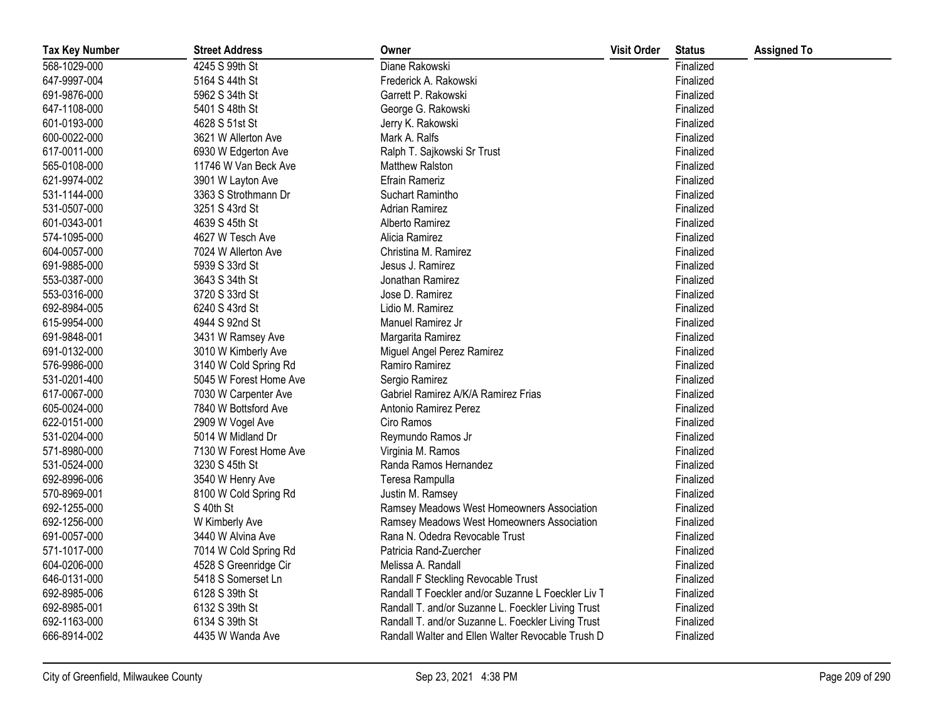| <b>Tax Key Number</b> | <b>Street Address</b>  | Owner                                              | <b>Visit Order</b> | <b>Status</b> | <b>Assigned To</b> |
|-----------------------|------------------------|----------------------------------------------------|--------------------|---------------|--------------------|
| 568-1029-000          | 4245 S 99th St         | Diane Rakowski                                     |                    | Finalized     |                    |
| 647-9997-004          | 5164 S 44th St         | Frederick A. Rakowski                              |                    | Finalized     |                    |
| 691-9876-000          | 5962 S 34th St         | Garrett P. Rakowski                                |                    | Finalized     |                    |
| 647-1108-000          | 5401 S 48th St         | George G. Rakowski                                 |                    | Finalized     |                    |
| 601-0193-000          | 4628 S 51st St         | Jerry K. Rakowski                                  |                    | Finalized     |                    |
| 600-0022-000          | 3621 W Allerton Ave    | Mark A. Ralfs                                      |                    | Finalized     |                    |
| 617-0011-000          | 6930 W Edgerton Ave    | Ralph T. Sajkowski Sr Trust                        |                    | Finalized     |                    |
| 565-0108-000          | 11746 W Van Beck Ave   | <b>Matthew Ralston</b>                             |                    | Finalized     |                    |
| 621-9974-002          | 3901 W Layton Ave      | <b>Efrain Rameriz</b>                              |                    | Finalized     |                    |
| 531-1144-000          | 3363 S Strothmann Dr   | Suchart Ramintho                                   |                    | Finalized     |                    |
| 531-0507-000          | 3251 S 43rd St         | <b>Adrian Ramirez</b>                              |                    | Finalized     |                    |
| 601-0343-001          | 4639 S 45th St         | Alberto Ramirez                                    |                    | Finalized     |                    |
| 574-1095-000          | 4627 W Tesch Ave       | Alicia Ramirez                                     |                    | Finalized     |                    |
| 604-0057-000          | 7024 W Allerton Ave    | Christina M. Ramirez                               |                    | Finalized     |                    |
| 691-9885-000          | 5939 S 33rd St         | Jesus J. Ramirez                                   |                    | Finalized     |                    |
| 553-0387-000          | 3643 S 34th St         | Jonathan Ramirez                                   |                    | Finalized     |                    |
| 553-0316-000          | 3720 S 33rd St         | Jose D. Ramirez                                    |                    | Finalized     |                    |
| 692-8984-005          | 6240 S 43rd St         | Lidio M. Ramirez                                   |                    | Finalized     |                    |
| 615-9954-000          | 4944 S 92nd St         | Manuel Ramirez Jr                                  |                    | Finalized     |                    |
| 691-9848-001          | 3431 W Ramsey Ave      | Margarita Ramirez                                  |                    | Finalized     |                    |
| 691-0132-000          | 3010 W Kimberly Ave    | Miguel Angel Perez Ramirez                         |                    | Finalized     |                    |
| 576-9986-000          | 3140 W Cold Spring Rd  | Ramiro Ramirez                                     |                    | Finalized     |                    |
| 531-0201-400          | 5045 W Forest Home Ave | Sergio Ramirez                                     |                    | Finalized     |                    |
| 617-0067-000          | 7030 W Carpenter Ave   | Gabriel Ramirez A/K/A Ramirez Frias                |                    | Finalized     |                    |
| 605-0024-000          | 7840 W Bottsford Ave   | Antonio Ramirez Perez                              |                    | Finalized     |                    |
| 622-0151-000          | 2909 W Vogel Ave       | Ciro Ramos                                         |                    | Finalized     |                    |
| 531-0204-000          | 5014 W Midland Dr      | Reymundo Ramos Jr                                  |                    | Finalized     |                    |
| 571-8980-000          | 7130 W Forest Home Ave | Virginia M. Ramos                                  |                    | Finalized     |                    |
| 531-0524-000          | 3230 S 45th St         | Randa Ramos Hernandez                              |                    | Finalized     |                    |
| 692-8996-006          | 3540 W Henry Ave       | Teresa Rampulla                                    |                    | Finalized     |                    |
| 570-8969-001          | 8100 W Cold Spring Rd  | Justin M. Ramsey                                   |                    | Finalized     |                    |
| 692-1255-000          | S 40th St              | Ramsey Meadows West Homeowners Association         |                    | Finalized     |                    |
| 692-1256-000          | W Kimberly Ave         | Ramsey Meadows West Homeowners Association         |                    | Finalized     |                    |
| 691-0057-000          | 3440 W Alvina Ave      | Rana N. Odedra Revocable Trust                     |                    | Finalized     |                    |
| 571-1017-000          | 7014 W Cold Spring Rd  | Patricia Rand-Zuercher                             |                    | Finalized     |                    |
| 604-0206-000          | 4528 S Greenridge Cir  | Melissa A. Randall                                 |                    | Finalized     |                    |
| 646-0131-000          | 5418 S Somerset Ln     | Randall F Steckling Revocable Trust                |                    | Finalized     |                    |
| 692-8985-006          | 6128 S 39th St         | Randall T Foeckler and/or Suzanne L Foeckler Liv T |                    | Finalized     |                    |
| 692-8985-001          | 6132 S 39th St         | Randall T. and/or Suzanne L. Foeckler Living Trust |                    | Finalized     |                    |
| 692-1163-000          | 6134 S 39th St         | Randall T. and/or Suzanne L. Foeckler Living Trust |                    | Finalized     |                    |
| 666-8914-002          | 4435 W Wanda Ave       | Randall Walter and Ellen Walter Revocable Trush D  |                    | Finalized     |                    |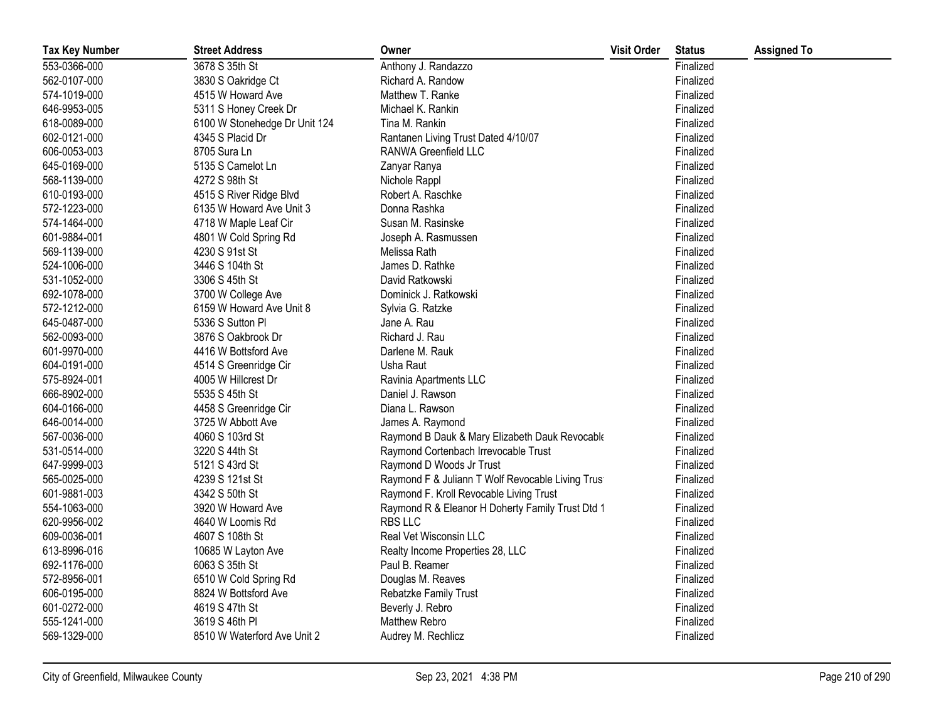| <b>Tax Key Number</b> | <b>Street Address</b>         | Owner                                             | <b>Visit Order</b> | <b>Status</b> | <b>Assigned To</b> |
|-----------------------|-------------------------------|---------------------------------------------------|--------------------|---------------|--------------------|
| 553-0366-000          | 3678 S 35th St                | Anthony J. Randazzo                               |                    | Finalized     |                    |
| 562-0107-000          | 3830 S Oakridge Ct            | Richard A. Randow                                 |                    | Finalized     |                    |
| 574-1019-000          | 4515 W Howard Ave             | Matthew T. Ranke                                  |                    | Finalized     |                    |
| 646-9953-005          | 5311 S Honey Creek Dr         | Michael K. Rankin                                 |                    | Finalized     |                    |
| 618-0089-000          | 6100 W Stonehedge Dr Unit 124 | Tina M. Rankin                                    |                    | Finalized     |                    |
| 602-0121-000          | 4345 S Placid Dr              | Rantanen Living Trust Dated 4/10/07               |                    | Finalized     |                    |
| 606-0053-003          | 8705 Sura Ln                  | RANWA Greenfield LLC                              |                    | Finalized     |                    |
| 645-0169-000          | 5135 S Camelot Ln             | Zanyar Ranya                                      |                    | Finalized     |                    |
| 568-1139-000          | 4272 S 98th St                | Nichole Rappl                                     |                    | Finalized     |                    |
| 610-0193-000          | 4515 S River Ridge Blvd       | Robert A. Raschke                                 |                    | Finalized     |                    |
| 572-1223-000          | 6135 W Howard Ave Unit 3      | Donna Rashka                                      |                    | Finalized     |                    |
| 574-1464-000          | 4718 W Maple Leaf Cir         | Susan M. Rasinske                                 |                    | Finalized     |                    |
| 601-9884-001          | 4801 W Cold Spring Rd         | Joseph A. Rasmussen                               |                    | Finalized     |                    |
| 569-1139-000          | 4230 S 91st St                | Melissa Rath                                      |                    | Finalized     |                    |
| 524-1006-000          | 3446 S 104th St               | James D. Rathke                                   |                    | Finalized     |                    |
| 531-1052-000          | 3306 S 45th St                | David Ratkowski                                   |                    | Finalized     |                    |
| 692-1078-000          | 3700 W College Ave            | Dominick J. Ratkowski                             |                    | Finalized     |                    |
| 572-1212-000          | 6159 W Howard Ave Unit 8      | Sylvia G. Ratzke                                  |                    | Finalized     |                    |
| 645-0487-000          | 5336 S Sutton PI              | Jane A. Rau                                       |                    | Finalized     |                    |
| 562-0093-000          | 3876 S Oakbrook Dr            | Richard J. Rau                                    |                    | Finalized     |                    |
| 601-9970-000          | 4416 W Bottsford Ave          | Darlene M. Rauk                                   |                    | Finalized     |                    |
| 604-0191-000          | 4514 S Greenridge Cir         | Usha Raut                                         |                    | Finalized     |                    |
| 575-8924-001          | 4005 W Hillcrest Dr           | Ravinia Apartments LLC                            |                    | Finalized     |                    |
| 666-8902-000          | 5535 S 45th St                | Daniel J. Rawson                                  |                    | Finalized     |                    |
| 604-0166-000          | 4458 S Greenridge Cir         | Diana L. Rawson                                   |                    | Finalized     |                    |
| 646-0014-000          | 3725 W Abbott Ave             | James A. Raymond                                  |                    | Finalized     |                    |
| 567-0036-000          | 4060 S 103rd St               | Raymond B Dauk & Mary Elizabeth Dauk Revocable    |                    | Finalized     |                    |
| 531-0514-000          | 3220 S 44th St                | Raymond Cortenbach Irrevocable Trust              |                    | Finalized     |                    |
| 647-9999-003          | 5121 S 43rd St                | Raymond D Woods Jr Trust                          |                    | Finalized     |                    |
| 565-0025-000          | 4239 S 121st St               | Raymond F & Juliann T Wolf Revocable Living Trust |                    | Finalized     |                    |
| 601-9881-003          | 4342 S 50th St                | Raymond F. Kroll Revocable Living Trust           |                    | Finalized     |                    |
| 554-1063-000          | 3920 W Howard Ave             | Raymond R & Eleanor H Doherty Family Trust Dtd 1  |                    | Finalized     |                    |
| 620-9956-002          | 4640 W Loomis Rd              | <b>RBS LLC</b>                                    |                    | Finalized     |                    |
| 609-0036-001          | 4607 S 108th St               | Real Vet Wisconsin LLC                            |                    | Finalized     |                    |
| 613-8996-016          | 10685 W Layton Ave            | Realty Income Properties 28, LLC                  |                    | Finalized     |                    |
| 692-1176-000          | 6063 S 35th St                | Paul B. Reamer                                    |                    | Finalized     |                    |
| 572-8956-001          | 6510 W Cold Spring Rd         | Douglas M. Reaves                                 |                    | Finalized     |                    |
| 606-0195-000          | 8824 W Bottsford Ave          | Rebatzke Family Trust                             |                    | Finalized     |                    |
| 601-0272-000          | 4619 S 47th St                | Beverly J. Rebro                                  |                    | Finalized     |                    |
| 555-1241-000          | 3619 S 46th PI                | Matthew Rebro                                     |                    | Finalized     |                    |
| 569-1329-000          | 8510 W Waterford Ave Unit 2   | Audrey M. Rechlicz                                |                    | Finalized     |                    |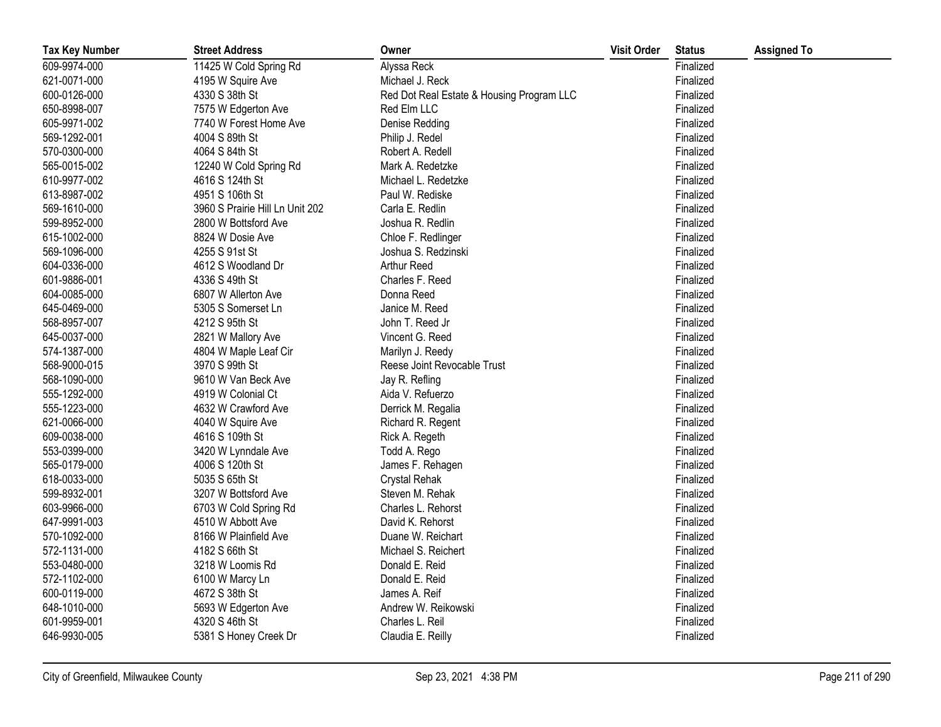| <b>Tax Key Number</b> | <b>Street Address</b>           | Owner                                     | <b>Visit Order</b> | <b>Status</b> | <b>Assigned To</b> |
|-----------------------|---------------------------------|-------------------------------------------|--------------------|---------------|--------------------|
| 609-9974-000          | 11425 W Cold Spring Rd          | Alyssa Reck                               |                    | Finalized     |                    |
| 621-0071-000          | 4195 W Squire Ave               | Michael J. Reck                           |                    | Finalized     |                    |
| 600-0126-000          | 4330 S 38th St                  | Red Dot Real Estate & Housing Program LLC |                    | Finalized     |                    |
| 650-8998-007          | 7575 W Edgerton Ave             | Red Elm LLC                               |                    | Finalized     |                    |
| 605-9971-002          | 7740 W Forest Home Ave          | Denise Redding                            |                    | Finalized     |                    |
| 569-1292-001          | 4004 S 89th St                  | Philip J. Redel                           |                    | Finalized     |                    |
| 570-0300-000          | 4064 S 84th St                  | Robert A. Redell                          |                    | Finalized     |                    |
| 565-0015-002          | 12240 W Cold Spring Rd          | Mark A. Redetzke                          |                    | Finalized     |                    |
| 610-9977-002          | 4616 S 124th St                 | Michael L. Redetzke                       |                    | Finalized     |                    |
| 613-8987-002          | 4951 S 106th St                 | Paul W. Rediske                           |                    | Finalized     |                    |
| 569-1610-000          | 3960 S Prairie Hill Ln Unit 202 | Carla E. Redlin                           |                    | Finalized     |                    |
| 599-8952-000          | 2800 W Bottsford Ave            | Joshua R. Redlin                          |                    | Finalized     |                    |
| 615-1002-000          | 8824 W Dosie Ave                | Chloe F. Redlinger                        |                    | Finalized     |                    |
| 569-1096-000          | 4255 S 91st St                  | Joshua S. Redzinski                       |                    | Finalized     |                    |
| 604-0336-000          | 4612 S Woodland Dr              | Arthur Reed                               |                    | Finalized     |                    |
| 601-9886-001          | 4336 S 49th St                  | Charles F. Reed                           |                    | Finalized     |                    |
| 604-0085-000          | 6807 W Allerton Ave             | Donna Reed                                |                    | Finalized     |                    |
| 645-0469-000          | 5305 S Somerset Ln              | Janice M. Reed                            |                    | Finalized     |                    |
| 568-8957-007          | 4212 S 95th St                  | John T. Reed Jr                           |                    | Finalized     |                    |
| 645-0037-000          | 2821 W Mallory Ave              | Vincent G. Reed                           |                    | Finalized     |                    |
| 574-1387-000          | 4804 W Maple Leaf Cir           | Marilyn J. Reedy                          |                    | Finalized     |                    |
| 568-9000-015          | 3970 S 99th St                  | Reese Joint Revocable Trust               |                    | Finalized     |                    |
| 568-1090-000          | 9610 W Van Beck Ave             | Jay R. Refling                            |                    | Finalized     |                    |
| 555-1292-000          | 4919 W Colonial Ct              | Aida V. Refuerzo                          |                    | Finalized     |                    |
| 555-1223-000          | 4632 W Crawford Ave             | Derrick M. Regalia                        |                    | Finalized     |                    |
| 621-0066-000          | 4040 W Squire Ave               | Richard R. Regent                         |                    | Finalized     |                    |
| 609-0038-000          | 4616 S 109th St                 | Rick A. Regeth                            |                    | Finalized     |                    |
| 553-0399-000          | 3420 W Lynndale Ave             | Todd A. Rego                              |                    | Finalized     |                    |
| 565-0179-000          | 4006 S 120th St                 | James F. Rehagen                          |                    | Finalized     |                    |
| 618-0033-000          | 5035 S 65th St                  | Crystal Rehak                             |                    | Finalized     |                    |
| 599-8932-001          | 3207 W Bottsford Ave            | Steven M. Rehak                           |                    | Finalized     |                    |
| 603-9966-000          | 6703 W Cold Spring Rd           | Charles L. Rehorst                        |                    | Finalized     |                    |
| 647-9991-003          | 4510 W Abbott Ave               | David K. Rehorst                          |                    | Finalized     |                    |
| 570-1092-000          | 8166 W Plainfield Ave           | Duane W. Reichart                         |                    | Finalized     |                    |
| 572-1131-000          | 4182 S 66th St                  | Michael S. Reichert                       |                    | Finalized     |                    |
| 553-0480-000          | 3218 W Loomis Rd                | Donald E. Reid                            |                    | Finalized     |                    |
| 572-1102-000          | 6100 W Marcy Ln                 | Donald E. Reid                            |                    | Finalized     |                    |
| 600-0119-000          | 4672 S 38th St                  | James A. Reif                             |                    | Finalized     |                    |
| 648-1010-000          | 5693 W Edgerton Ave             | Andrew W. Reikowski                       |                    | Finalized     |                    |
| 601-9959-001          | 4320 S 46th St                  | Charles L. Reil                           |                    | Finalized     |                    |
| 646-9930-005          | 5381 S Honey Creek Dr           | Claudia E. Reilly                         |                    | Finalized     |                    |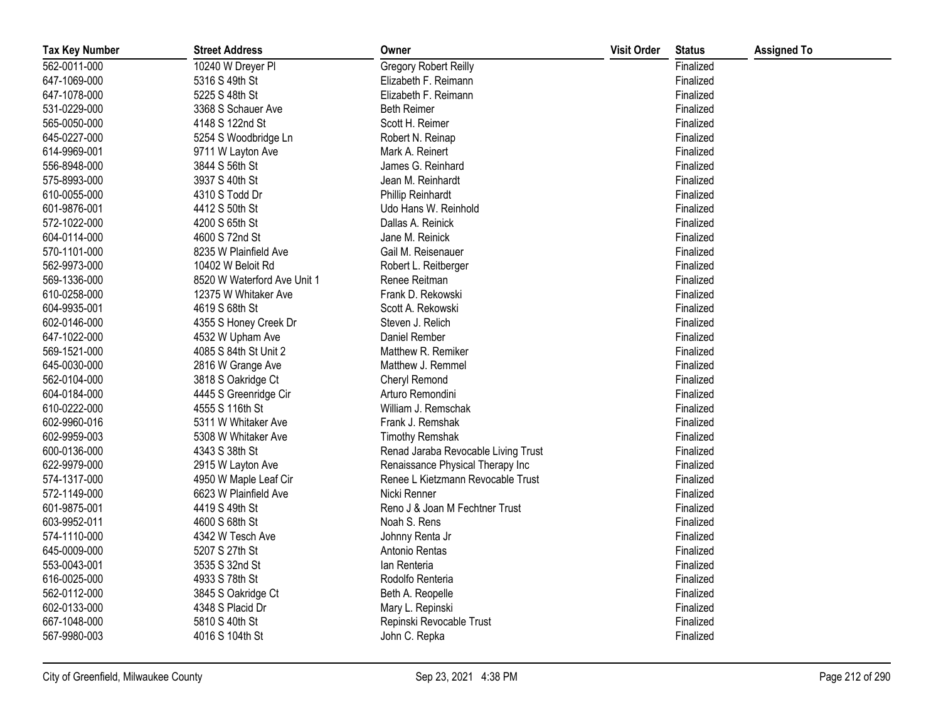| <b>Tax Key Number</b> | <b>Street Address</b>       | Owner                               | <b>Visit Order</b> | <b>Status</b> | <b>Assigned To</b> |
|-----------------------|-----------------------------|-------------------------------------|--------------------|---------------|--------------------|
| 562-0011-000          | 10240 W Dreyer PI           | Gregory Robert Reilly               |                    | Finalized     |                    |
| 647-1069-000          | 5316 S 49th St              | Elizabeth F. Reimann                |                    | Finalized     |                    |
| 647-1078-000          | 5225 S 48th St              | Elizabeth F. Reimann                |                    | Finalized     |                    |
| 531-0229-000          | 3368 S Schauer Ave          | <b>Beth Reimer</b>                  |                    | Finalized     |                    |
| 565-0050-000          | 4148 S 122nd St             | Scott H. Reimer                     |                    | Finalized     |                    |
| 645-0227-000          | 5254 S Woodbridge Ln        | Robert N. Reinap                    |                    | Finalized     |                    |
| 614-9969-001          | 9711 W Layton Ave           | Mark A. Reinert                     |                    | Finalized     |                    |
| 556-8948-000          | 3844 S 56th St              | James G. Reinhard                   |                    | Finalized     |                    |
| 575-8993-000          | 3937 S 40th St              | Jean M. Reinhardt                   |                    | Finalized     |                    |
| 610-0055-000          | 4310 S Todd Dr              | Phillip Reinhardt                   |                    | Finalized     |                    |
| 601-9876-001          | 4412 S 50th St              | Udo Hans W. Reinhold                |                    | Finalized     |                    |
| 572-1022-000          | 4200 S 65th St              | Dallas A. Reinick                   |                    | Finalized     |                    |
| 604-0114-000          | 4600 S 72nd St              | Jane M. Reinick                     |                    | Finalized     |                    |
| 570-1101-000          | 8235 W Plainfield Ave       | Gail M. Reisenauer                  |                    | Finalized     |                    |
| 562-9973-000          | 10402 W Beloit Rd           | Robert L. Reitberger                |                    | Finalized     |                    |
| 569-1336-000          | 8520 W Waterford Ave Unit 1 | Renee Reitman                       |                    | Finalized     |                    |
| 610-0258-000          | 12375 W Whitaker Ave        | Frank D. Rekowski                   |                    | Finalized     |                    |
| 604-9935-001          | 4619 S 68th St              | Scott A. Rekowski                   |                    | Finalized     |                    |
| 602-0146-000          | 4355 S Honey Creek Dr       | Steven J. Relich                    |                    | Finalized     |                    |
| 647-1022-000          | 4532 W Upham Ave            | Daniel Rember                       |                    | Finalized     |                    |
| 569-1521-000          | 4085 S 84th St Unit 2       | Matthew R. Remiker                  |                    | Finalized     |                    |
| 645-0030-000          | 2816 W Grange Ave           | Matthew J. Remmel                   |                    | Finalized     |                    |
| 562-0104-000          | 3818 S Oakridge Ct          | Cheryl Remond                       |                    | Finalized     |                    |
| 604-0184-000          | 4445 S Greenridge Cir       | Arturo Remondini                    |                    | Finalized     |                    |
| 610-0222-000          | 4555 S 116th St             | William J. Remschak                 |                    | Finalized     |                    |
| 602-9960-016          | 5311 W Whitaker Ave         | Frank J. Remshak                    |                    | Finalized     |                    |
| 602-9959-003          | 5308 W Whitaker Ave         | <b>Timothy Remshak</b>              |                    | Finalized     |                    |
| 600-0136-000          | 4343 S 38th St              | Renad Jaraba Revocable Living Trust |                    | Finalized     |                    |
| 622-9979-000          | 2915 W Layton Ave           | Renaissance Physical Therapy Inc    |                    | Finalized     |                    |
| 574-1317-000          | 4950 W Maple Leaf Cir       | Renee L Kietzmann Revocable Trust   |                    | Finalized     |                    |
| 572-1149-000          | 6623 W Plainfield Ave       | Nicki Renner                        |                    | Finalized     |                    |
| 601-9875-001          | 4419 S 49th St              | Reno J & Joan M Fechtner Trust      |                    | Finalized     |                    |
| 603-9952-011          | 4600 S 68th St              | Noah S. Rens                        |                    | Finalized     |                    |
| 574-1110-000          | 4342 W Tesch Ave            | Johnny Renta Jr                     |                    | Finalized     |                    |
| 645-0009-000          | 5207 S 27th St              | Antonio Rentas                      |                    | Finalized     |                    |
| 553-0043-001          | 3535 S 32nd St              | lan Renteria                        |                    | Finalized     |                    |
| 616-0025-000          | 4933 S 78th St              | Rodolfo Renteria                    |                    | Finalized     |                    |
| 562-0112-000          | 3845 S Oakridge Ct          | Beth A. Reopelle                    |                    | Finalized     |                    |
| 602-0133-000          | 4348 S Placid Dr            | Mary L. Repinski                    |                    | Finalized     |                    |
| 667-1048-000          | 5810 S 40th St              | Repinski Revocable Trust            |                    | Finalized     |                    |
| 567-9980-003          | 4016 S 104th St             | John C. Repka                       |                    | Finalized     |                    |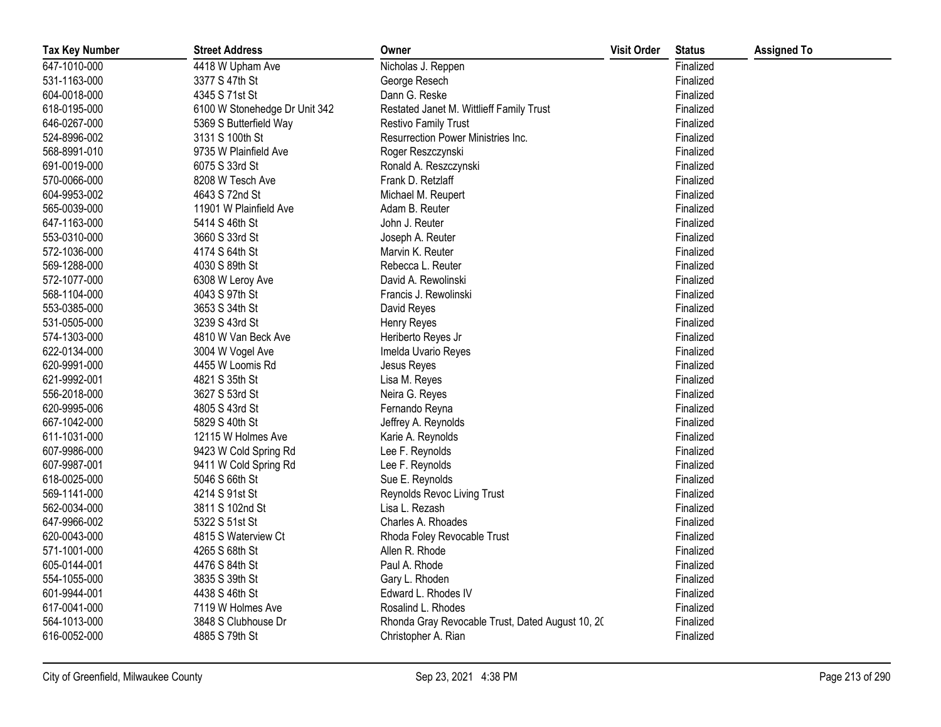| <b>Tax Key Number</b> | <b>Street Address</b>         | Owner                                            | <b>Visit Order</b> | <b>Status</b> | <b>Assigned To</b> |
|-----------------------|-------------------------------|--------------------------------------------------|--------------------|---------------|--------------------|
| 647-1010-000          | 4418 W Upham Ave              | Nicholas J. Reppen                               |                    | Finalized     |                    |
| 531-1163-000          | 3377 S 47th St                | George Resech                                    |                    | Finalized     |                    |
| 604-0018-000          | 4345 S 71st St                | Dann G. Reske                                    |                    | Finalized     |                    |
| 618-0195-000          | 6100 W Stonehedge Dr Unit 342 | Restated Janet M. Wittlieff Family Trust         |                    | Finalized     |                    |
| 646-0267-000          | 5369 S Butterfield Way        | <b>Restivo Family Trust</b>                      |                    | Finalized     |                    |
| 524-8996-002          | 3131 S 100th St               | Resurrection Power Ministries Inc.               |                    | Finalized     |                    |
| 568-8991-010          | 9735 W Plainfield Ave         | Roger Reszczynski                                |                    | Finalized     |                    |
| 691-0019-000          | 6075 S 33rd St                | Ronald A. Reszczynski                            |                    | Finalized     |                    |
| 570-0066-000          | 8208 W Tesch Ave              | Frank D. Retzlaff                                |                    | Finalized     |                    |
| 604-9953-002          | 4643 S 72nd St                | Michael M. Reupert                               |                    | Finalized     |                    |
| 565-0039-000          | 11901 W Plainfield Ave        | Adam B. Reuter                                   |                    | Finalized     |                    |
| 647-1163-000          | 5414 S 46th St                | John J. Reuter                                   |                    | Finalized     |                    |
| 553-0310-000          | 3660 S 33rd St                | Joseph A. Reuter                                 |                    | Finalized     |                    |
| 572-1036-000          | 4174 S 64th St                | Marvin K. Reuter                                 |                    | Finalized     |                    |
| 569-1288-000          | 4030 S 89th St                | Rebecca L. Reuter                                |                    | Finalized     |                    |
| 572-1077-000          | 6308 W Leroy Ave              | David A. Rewolinski                              |                    | Finalized     |                    |
| 568-1104-000          | 4043 S 97th St                | Francis J. Rewolinski                            |                    | Finalized     |                    |
| 553-0385-000          | 3653 S 34th St                | David Reyes                                      |                    | Finalized     |                    |
| 531-0505-000          | 3239 S 43rd St                | Henry Reyes                                      |                    | Finalized     |                    |
| 574-1303-000          | 4810 W Van Beck Ave           | Heriberto Reyes Jr                               |                    | Finalized     |                    |
| 622-0134-000          | 3004 W Vogel Ave              | Imelda Uvario Reyes                              |                    | Finalized     |                    |
| 620-9991-000          | 4455 W Loomis Rd              | Jesus Reyes                                      |                    | Finalized     |                    |
| 621-9992-001          | 4821 S 35th St                | Lisa M. Reyes                                    |                    | Finalized     |                    |
| 556-2018-000          | 3627 S 53rd St                | Neira G. Reyes                                   |                    | Finalized     |                    |
| 620-9995-006          | 4805 S 43rd St                | Fernando Reyna                                   |                    | Finalized     |                    |
| 667-1042-000          | 5829 S 40th St                | Jeffrey A. Reynolds                              |                    | Finalized     |                    |
| 611-1031-000          | 12115 W Holmes Ave            | Karie A. Reynolds                                |                    | Finalized     |                    |
| 607-9986-000          | 9423 W Cold Spring Rd         | Lee F. Reynolds                                  |                    | Finalized     |                    |
| 607-9987-001          | 9411 W Cold Spring Rd         | Lee F. Reynolds                                  |                    | Finalized     |                    |
| 618-0025-000          | 5046 S 66th St                | Sue E. Reynolds                                  |                    | Finalized     |                    |
| 569-1141-000          | 4214 S 91st St                | Reynolds Revoc Living Trust                      |                    | Finalized     |                    |
| 562-0034-000          | 3811 S 102nd St               | Lisa L. Rezash                                   |                    | Finalized     |                    |
| 647-9966-002          | 5322 S 51st St                | Charles A. Rhoades                               |                    | Finalized     |                    |
| 620-0043-000          | 4815 S Waterview Ct           | Rhoda Foley Revocable Trust                      |                    | Finalized     |                    |
| 571-1001-000          | 4265 S 68th St                | Allen R. Rhode                                   |                    | Finalized     |                    |
| 605-0144-001          | 4476 S 84th St                | Paul A. Rhode                                    |                    | Finalized     |                    |
| 554-1055-000          | 3835 S 39th St                | Gary L. Rhoden                                   |                    | Finalized     |                    |
| 601-9944-001          | 4438 S 46th St                | Edward L. Rhodes IV                              |                    | Finalized     |                    |
| 617-0041-000          | 7119 W Holmes Ave             | Rosalind L. Rhodes                               |                    | Finalized     |                    |
| 564-1013-000          | 3848 S Clubhouse Dr           | Rhonda Gray Revocable Trust, Dated August 10, 20 |                    | Finalized     |                    |
| 616-0052-000          | 4885 S 79th St                | Christopher A. Rian                              |                    | Finalized     |                    |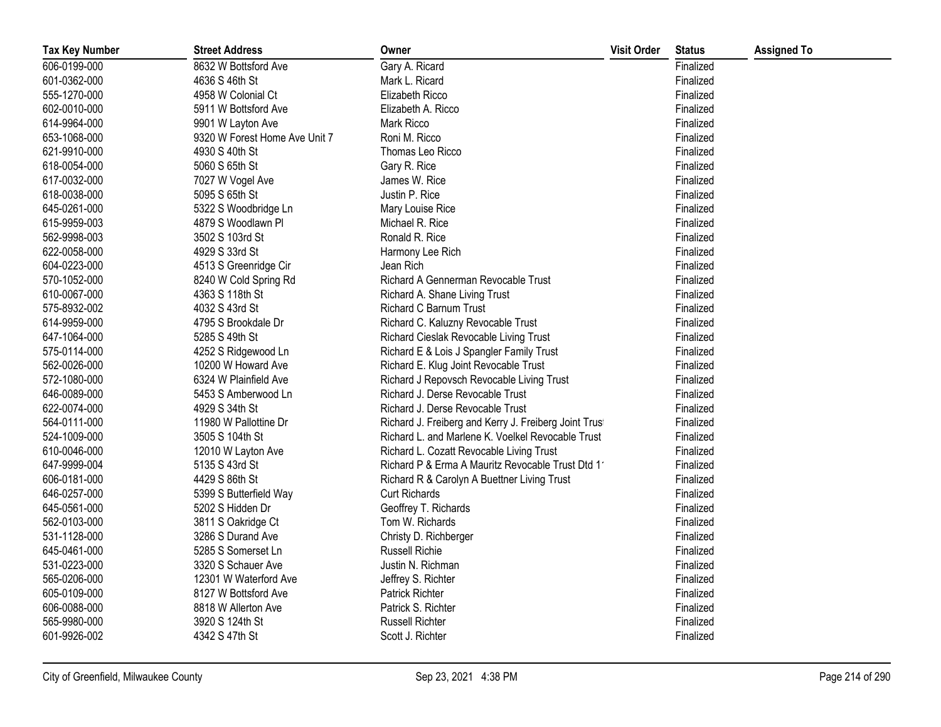| <b>Tax Key Number</b> | <b>Street Address</b>         | Owner                                                 | <b>Visit Order</b> | <b>Status</b> | <b>Assigned To</b> |
|-----------------------|-------------------------------|-------------------------------------------------------|--------------------|---------------|--------------------|
| 606-0199-000          | 8632 W Bottsford Ave          | Gary A. Ricard                                        |                    | Finalized     |                    |
| 601-0362-000          | 4636 S 46th St                | Mark L. Ricard                                        |                    | Finalized     |                    |
| 555-1270-000          | 4958 W Colonial Ct            | Elizabeth Ricco                                       |                    | Finalized     |                    |
| 602-0010-000          | 5911 W Bottsford Ave          | Elizabeth A. Ricco                                    |                    | Finalized     |                    |
| 614-9964-000          | 9901 W Layton Ave             | Mark Ricco                                            |                    | Finalized     |                    |
| 653-1068-000          | 9320 W Forest Home Ave Unit 7 | Roni M. Ricco                                         |                    | Finalized     |                    |
| 621-9910-000          | 4930 S 40th St                | Thomas Leo Ricco                                      |                    | Finalized     |                    |
| 618-0054-000          | 5060 S 65th St                | Gary R. Rice                                          |                    | Finalized     |                    |
| 617-0032-000          | 7027 W Vogel Ave              | James W. Rice                                         |                    | Finalized     |                    |
| 618-0038-000          | 5095 S 65th St                | Justin P. Rice                                        |                    | Finalized     |                    |
| 645-0261-000          | 5322 S Woodbridge Ln          | Mary Louise Rice                                      |                    | Finalized     |                    |
| 615-9959-003          | 4879 S Woodlawn Pl            | Michael R. Rice                                       |                    | Finalized     |                    |
| 562-9998-003          | 3502 S 103rd St               | Ronald R. Rice                                        |                    | Finalized     |                    |
| 622-0058-000          | 4929 S 33rd St                | Harmony Lee Rich                                      |                    | Finalized     |                    |
| 604-0223-000          | 4513 S Greenridge Cir         | Jean Rich                                             |                    | Finalized     |                    |
| 570-1052-000          | 8240 W Cold Spring Rd         | Richard A Gennerman Revocable Trust                   |                    | Finalized     |                    |
| 610-0067-000          | 4363 S 118th St               | Richard A. Shane Living Trust                         |                    | Finalized     |                    |
| 575-8932-002          | 4032 S 43rd St                | Richard C Barnum Trust                                |                    | Finalized     |                    |
| 614-9959-000          | 4795 S Brookdale Dr           | Richard C. Kaluzny Revocable Trust                    |                    | Finalized     |                    |
| 647-1064-000          | 5285 S 49th St                | Richard Cieslak Revocable Living Trust                |                    | Finalized     |                    |
| 575-0114-000          | 4252 S Ridgewood Ln           | Richard E & Lois J Spangler Family Trust              |                    | Finalized     |                    |
| 562-0026-000          | 10200 W Howard Ave            | Richard E. Klug Joint Revocable Trust                 |                    | Finalized     |                    |
| 572-1080-000          | 6324 W Plainfield Ave         | Richard J Repovsch Revocable Living Trust             |                    | Finalized     |                    |
| 646-0089-000          | 5453 S Amberwood Ln           | Richard J. Derse Revocable Trust                      |                    | Finalized     |                    |
| 622-0074-000          | 4929 S 34th St                | Richard J. Derse Revocable Trust                      |                    | Finalized     |                    |
| 564-0111-000          | 11980 W Pallottine Dr         | Richard J. Freiberg and Kerry J. Freiberg Joint Trust |                    | Finalized     |                    |
| 524-1009-000          | 3505 S 104th St               | Richard L. and Marlene K. Voelkel Revocable Trust     |                    | Finalized     |                    |
| 610-0046-000          | 12010 W Layton Ave            | Richard L. Cozatt Revocable Living Trust              |                    | Finalized     |                    |
| 647-9999-004          | 5135 S 43rd St                | Richard P & Erma A Mauritz Revocable Trust Dtd 11     |                    | Finalized     |                    |
| 606-0181-000          | 4429 S 86th St                | Richard R & Carolyn A Buettner Living Trust           |                    | Finalized     |                    |
| 646-0257-000          | 5399 S Butterfield Way        | <b>Curt Richards</b>                                  |                    | Finalized     |                    |
| 645-0561-000          | 5202 S Hidden Dr              | Geoffrey T. Richards                                  |                    | Finalized     |                    |
| 562-0103-000          | 3811 S Oakridge Ct            | Tom W. Richards                                       |                    | Finalized     |                    |
| 531-1128-000          | 3286 S Durand Ave             | Christy D. Richberger                                 |                    | Finalized     |                    |
| 645-0461-000          | 5285 S Somerset Ln            | <b>Russell Richie</b>                                 |                    | Finalized     |                    |
| 531-0223-000          | 3320 S Schauer Ave            | Justin N. Richman                                     |                    | Finalized     |                    |
| 565-0206-000          | 12301 W Waterford Ave         | Jeffrey S. Richter                                    |                    | Finalized     |                    |
| 605-0109-000          | 8127 W Bottsford Ave          | Patrick Richter                                       |                    | Finalized     |                    |
| 606-0088-000          | 8818 W Allerton Ave           | Patrick S. Richter                                    |                    | Finalized     |                    |
| 565-9980-000          | 3920 S 124th St               | <b>Russell Richter</b>                                |                    | Finalized     |                    |
| 601-9926-002          | 4342 S 47th St                | Scott J. Richter                                      |                    | Finalized     |                    |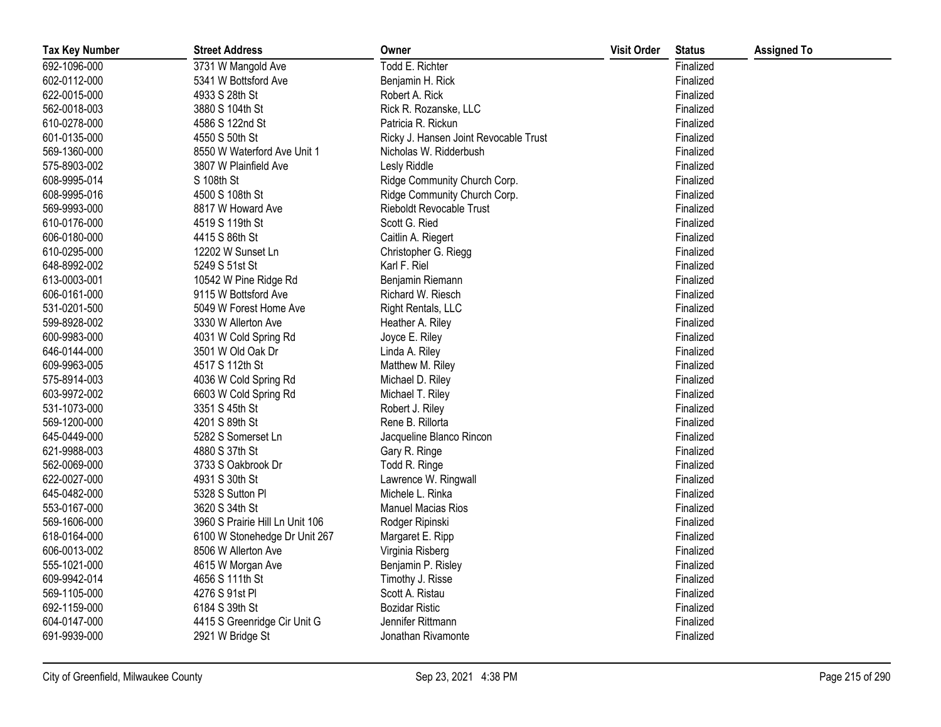| <b>Tax Key Number</b> | <b>Street Address</b>           | Owner                                 | <b>Visit Order</b> | <b>Status</b> | <b>Assigned To</b> |
|-----------------------|---------------------------------|---------------------------------------|--------------------|---------------|--------------------|
| 692-1096-000          | 3731 W Mangold Ave              | Todd E. Richter                       |                    | Finalized     |                    |
| 602-0112-000          | 5341 W Bottsford Ave            | Benjamin H. Rick                      |                    | Finalized     |                    |
| 622-0015-000          | 4933 S 28th St                  | Robert A. Rick                        |                    | Finalized     |                    |
| 562-0018-003          | 3880 S 104th St                 | Rick R. Rozanske, LLC                 |                    | Finalized     |                    |
| 610-0278-000          | 4586 S 122nd St                 | Patricia R. Rickun                    |                    | Finalized     |                    |
| 601-0135-000          | 4550 S 50th St                  | Ricky J. Hansen Joint Revocable Trust |                    | Finalized     |                    |
| 569-1360-000          | 8550 W Waterford Ave Unit 1     | Nicholas W. Ridderbush                |                    | Finalized     |                    |
| 575-8903-002          | 3807 W Plainfield Ave           | Lesly Riddle                          |                    | Finalized     |                    |
| 608-9995-014          | S 108th St                      | Ridge Community Church Corp.          |                    | Finalized     |                    |
| 608-9995-016          | 4500 S 108th St                 | Ridge Community Church Corp.          |                    | Finalized     |                    |
| 569-9993-000          | 8817 W Howard Ave               | Rieboldt Revocable Trust              |                    | Finalized     |                    |
| 610-0176-000          | 4519 S 119th St                 | Scott G. Ried                         |                    | Finalized     |                    |
| 606-0180-000          | 4415 S 86th St                  | Caitlin A. Riegert                    |                    | Finalized     |                    |
| 610-0295-000          | 12202 W Sunset Ln               | Christopher G. Riegg                  |                    | Finalized     |                    |
| 648-8992-002          | 5249 S 51st St                  | Karl F. Riel                          |                    | Finalized     |                    |
| 613-0003-001          | 10542 W Pine Ridge Rd           | Benjamin Riemann                      |                    | Finalized     |                    |
| 606-0161-000          | 9115 W Bottsford Ave            | Richard W. Riesch                     |                    | Finalized     |                    |
| 531-0201-500          | 5049 W Forest Home Ave          | Right Rentals, LLC                    |                    | Finalized     |                    |
| 599-8928-002          | 3330 W Allerton Ave             | Heather A. Riley                      |                    | Finalized     |                    |
| 600-9983-000          | 4031 W Cold Spring Rd           | Joyce E. Riley                        |                    | Finalized     |                    |
| 646-0144-000          | 3501 W Old Oak Dr               | Linda A. Riley                        |                    | Finalized     |                    |
| 609-9963-005          | 4517 S 112th St                 | Matthew M. Riley                      |                    | Finalized     |                    |
| 575-8914-003          | 4036 W Cold Spring Rd           | Michael D. Riley                      |                    | Finalized     |                    |
| 603-9972-002          | 6603 W Cold Spring Rd           | Michael T. Riley                      |                    | Finalized     |                    |
| 531-1073-000          | 3351 S 45th St                  | Robert J. Riley                       |                    | Finalized     |                    |
| 569-1200-000          | 4201 S 89th St                  | Rene B. Rillorta                      |                    | Finalized     |                    |
| 645-0449-000          | 5282 S Somerset Ln              | Jacqueline Blanco Rincon              |                    | Finalized     |                    |
| 621-9988-003          | 4880 S 37th St                  | Gary R. Ringe                         |                    | Finalized     |                    |
| 562-0069-000          | 3733 S Oakbrook Dr              | Todd R. Ringe                         |                    | Finalized     |                    |
| 622-0027-000          | 4931 S 30th St                  | Lawrence W. Ringwall                  |                    | Finalized     |                    |
| 645-0482-000          | 5328 S Sutton Pl                | Michele L. Rinka                      |                    | Finalized     |                    |
| 553-0167-000          | 3620 S 34th St                  | <b>Manuel Macias Rios</b>             |                    | Finalized     |                    |
| 569-1606-000          | 3960 S Prairie Hill Ln Unit 106 | Rodger Ripinski                       |                    | Finalized     |                    |
| 618-0164-000          | 6100 W Stonehedge Dr Unit 267   | Margaret E. Ripp                      |                    | Finalized     |                    |
| 606-0013-002          | 8506 W Allerton Ave             | Virginia Risberg                      |                    | Finalized     |                    |
| 555-1021-000          | 4615 W Morgan Ave               | Benjamin P. Risley                    |                    | Finalized     |                    |
| 609-9942-014          | 4656 S 111th St                 | Timothy J. Risse                      |                    | Finalized     |                    |
| 569-1105-000          | 4276 S 91st PI                  | Scott A. Ristau                       |                    | Finalized     |                    |
| 692-1159-000          | 6184 S 39th St                  | <b>Bozidar Ristic</b>                 |                    | Finalized     |                    |
| 604-0147-000          | 4415 S Greenridge Cir Unit G    | Jennifer Rittmann                     |                    | Finalized     |                    |
| 691-9939-000          | 2921 W Bridge St                | Jonathan Rivamonte                    |                    | Finalized     |                    |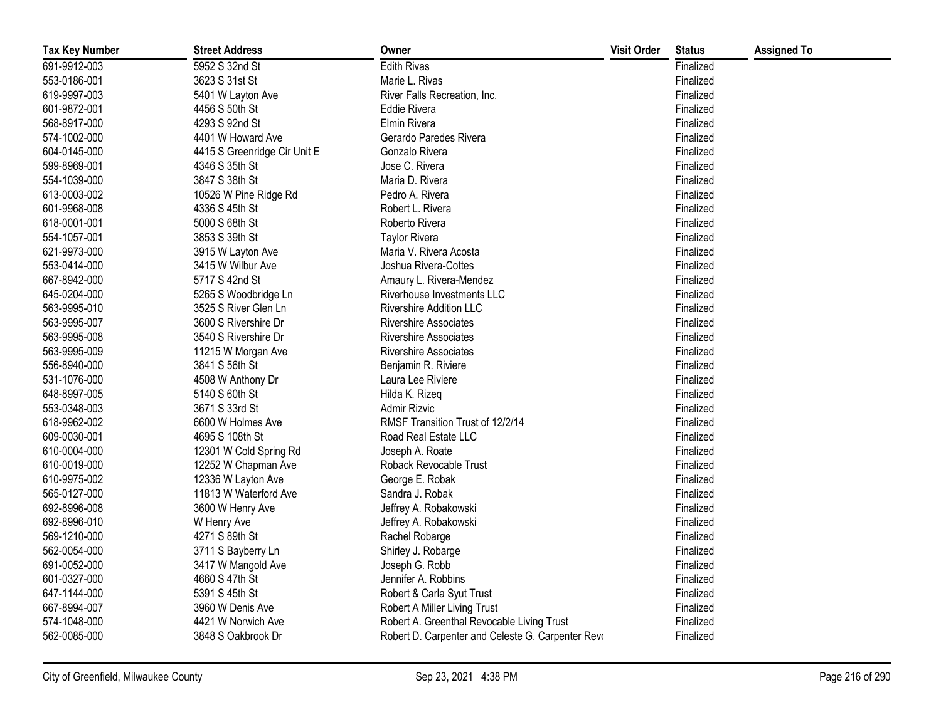| <b>Tax Key Number</b> | <b>Street Address</b>        | Owner                                             | <b>Visit Order</b> | <b>Status</b> | <b>Assigned To</b> |
|-----------------------|------------------------------|---------------------------------------------------|--------------------|---------------|--------------------|
| 691-9912-003          | 5952 S 32nd St               | <b>Edith Rivas</b>                                |                    | Finalized     |                    |
| 553-0186-001          | 3623 S 31st St               | Marie L. Rivas                                    |                    | Finalized     |                    |
| 619-9997-003          | 5401 W Layton Ave            | River Falls Recreation, Inc.                      |                    | Finalized     |                    |
| 601-9872-001          | 4456 S 50th St               | <b>Eddie Rivera</b>                               |                    | Finalized     |                    |
| 568-8917-000          | 4293 S 92nd St               | Elmin Rivera                                      |                    | Finalized     |                    |
| 574-1002-000          | 4401 W Howard Ave            | Gerardo Paredes Rivera                            |                    | Finalized     |                    |
| 604-0145-000          | 4415 S Greenridge Cir Unit E | Gonzalo Rivera                                    |                    | Finalized     |                    |
| 599-8969-001          | 4346 S 35th St               | Jose C. Rivera                                    |                    | Finalized     |                    |
| 554-1039-000          | 3847 S 38th St               | Maria D. Rivera                                   |                    | Finalized     |                    |
| 613-0003-002          | 10526 W Pine Ridge Rd        | Pedro A. Rivera                                   |                    | Finalized     |                    |
| 601-9968-008          | 4336 S 45th St               | Robert L. Rivera                                  |                    | Finalized     |                    |
| 618-0001-001          | 5000 S 68th St               | Roberto Rivera                                    |                    | Finalized     |                    |
| 554-1057-001          | 3853 S 39th St               | <b>Taylor Rivera</b>                              |                    | Finalized     |                    |
| 621-9973-000          | 3915 W Layton Ave            | Maria V. Rivera Acosta                            |                    | Finalized     |                    |
| 553-0414-000          | 3415 W Wilbur Ave            | Joshua Rivera-Cottes                              |                    | Finalized     |                    |
| 667-8942-000          | 5717 S 42nd St               | Amaury L. Rivera-Mendez                           |                    | Finalized     |                    |
| 645-0204-000          | 5265 S Woodbridge Ln         | Riverhouse Investments LLC                        |                    | Finalized     |                    |
| 563-9995-010          | 3525 S River Glen Ln         | <b>Rivershire Addition LLC</b>                    |                    | Finalized     |                    |
| 563-9995-007          | 3600 S Rivershire Dr         | <b>Rivershire Associates</b>                      |                    | Finalized     |                    |
| 563-9995-008          | 3540 S Rivershire Dr         | <b>Rivershire Associates</b>                      |                    | Finalized     |                    |
| 563-9995-009          | 11215 W Morgan Ave           | <b>Rivershire Associates</b>                      |                    | Finalized     |                    |
| 556-8940-000          | 3841 S 56th St               | Benjamin R. Riviere                               |                    | Finalized     |                    |
| 531-1076-000          | 4508 W Anthony Dr            | Laura Lee Riviere                                 |                    | Finalized     |                    |
| 648-8997-005          | 5140 S 60th St               | Hilda K. Rizeq                                    |                    | Finalized     |                    |
| 553-0348-003          | 3671 S 33rd St               | Admir Rizvic                                      |                    | Finalized     |                    |
| 618-9962-002          | 6600 W Holmes Ave            | RMSF Transition Trust of 12/2/14                  |                    | Finalized     |                    |
| 609-0030-001          | 4695 S 108th St              | Road Real Estate LLC                              |                    | Finalized     |                    |
| 610-0004-000          | 12301 W Cold Spring Rd       | Joseph A. Roate                                   |                    | Finalized     |                    |
| 610-0019-000          | 12252 W Chapman Ave          | Roback Revocable Trust                            |                    | Finalized     |                    |
| 610-9975-002          | 12336 W Layton Ave           | George E. Robak                                   |                    | Finalized     |                    |
| 565-0127-000          | 11813 W Waterford Ave        | Sandra J. Robak                                   |                    | Finalized     |                    |
| 692-8996-008          | 3600 W Henry Ave             | Jeffrey A. Robakowski                             |                    | Finalized     |                    |
| 692-8996-010          | W Henry Ave                  | Jeffrey A. Robakowski                             |                    | Finalized     |                    |
| 569-1210-000          | 4271 S 89th St               | Rachel Robarge                                    |                    | Finalized     |                    |
| 562-0054-000          | 3711 S Bayberry Ln           | Shirley J. Robarge                                |                    | Finalized     |                    |
| 691-0052-000          | 3417 W Mangold Ave           | Joseph G. Robb                                    |                    | Finalized     |                    |
| 601-0327-000          | 4660 S 47th St               | Jennifer A. Robbins                               |                    | Finalized     |                    |
| 647-1144-000          | 5391 S 45th St               | Robert & Carla Syut Trust                         |                    | Finalized     |                    |
| 667-8994-007          | 3960 W Denis Ave             | Robert A Miller Living Trust                      |                    | Finalized     |                    |
| 574-1048-000          | 4421 W Norwich Ave           | Robert A. Greenthal Revocable Living Trust        |                    | Finalized     |                    |
| 562-0085-000          | 3848 S Oakbrook Dr           | Robert D. Carpenter and Celeste G. Carpenter Revo |                    | Finalized     |                    |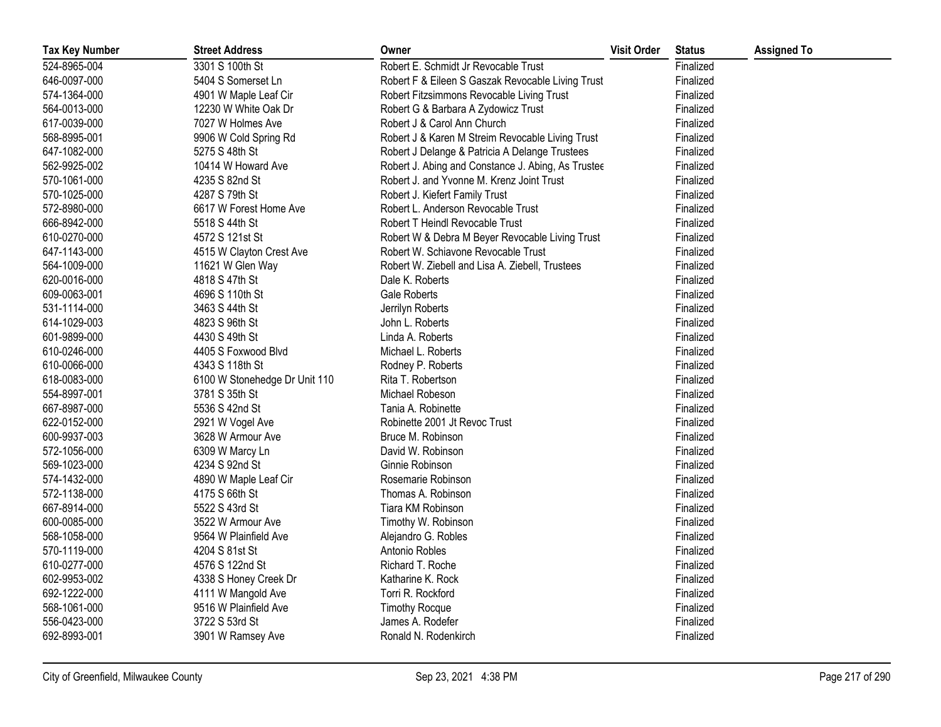| <b>Tax Key Number</b> | <b>Street Address</b>         | Owner                                              | <b>Visit Order</b> | <b>Status</b> | <b>Assigned To</b> |
|-----------------------|-------------------------------|----------------------------------------------------|--------------------|---------------|--------------------|
| 524-8965-004          | 3301 S 100th St               | Robert E. Schmidt Jr Revocable Trust               |                    | Finalized     |                    |
| 646-0097-000          | 5404 S Somerset Ln            | Robert F & Eileen S Gaszak Revocable Living Trust  |                    | Finalized     |                    |
| 574-1364-000          | 4901 W Maple Leaf Cir         | Robert Fitzsimmons Revocable Living Trust          |                    | Finalized     |                    |
| 564-0013-000          | 12230 W White Oak Dr          | Robert G & Barbara A Zydowicz Trust                |                    | Finalized     |                    |
| 617-0039-000          | 7027 W Holmes Ave             | Robert J & Carol Ann Church                        |                    | Finalized     |                    |
| 568-8995-001          | 9906 W Cold Spring Rd         | Robert J & Karen M Streim Revocable Living Trust   |                    | Finalized     |                    |
| 647-1082-000          | 5275 S 48th St                | Robert J Delange & Patricia A Delange Trustees     |                    | Finalized     |                    |
| 562-9925-002          | 10414 W Howard Ave            | Robert J. Abing and Constance J. Abing, As Trustee |                    | Finalized     |                    |
| 570-1061-000          | 4235 S 82nd St                | Robert J. and Yvonne M. Krenz Joint Trust          |                    | Finalized     |                    |
| 570-1025-000          | 4287 S 79th St                | Robert J. Kiefert Family Trust                     |                    | Finalized     |                    |
| 572-8980-000          | 6617 W Forest Home Ave        | Robert L. Anderson Revocable Trust                 |                    | Finalized     |                    |
| 666-8942-000          | 5518 S 44th St                | Robert T Heindl Revocable Trust                    |                    | Finalized     |                    |
| 610-0270-000          | 4572 S 121st St               | Robert W & Debra M Beyer Revocable Living Trust    |                    | Finalized     |                    |
| 647-1143-000          | 4515 W Clayton Crest Ave      | Robert W. Schiavone Revocable Trust                |                    | Finalized     |                    |
| 564-1009-000          | 11621 W Glen Way              | Robert W. Ziebell and Lisa A. Ziebell, Trustees    |                    | Finalized     |                    |
| 620-0016-000          | 4818 S 47th St                | Dale K. Roberts                                    |                    | Finalized     |                    |
| 609-0063-001          | 4696 S 110th St               | Gale Roberts                                       |                    | Finalized     |                    |
| 531-1114-000          | 3463 S 44th St                | Jerrilyn Roberts                                   |                    | Finalized     |                    |
| 614-1029-003          | 4823 S 96th St                | John L. Roberts                                    |                    | Finalized     |                    |
| 601-9899-000          | 4430 S 49th St                | Linda A. Roberts                                   |                    | Finalized     |                    |
| 610-0246-000          | 4405 S Foxwood Blvd           | Michael L. Roberts                                 |                    | Finalized     |                    |
| 610-0066-000          | 4343 S 118th St               | Rodney P. Roberts                                  |                    | Finalized     |                    |
| 618-0083-000          | 6100 W Stonehedge Dr Unit 110 | Rita T. Robertson                                  |                    | Finalized     |                    |
| 554-8997-001          | 3781 S 35th St                | Michael Robeson                                    |                    | Finalized     |                    |
| 667-8987-000          | 5536 S 42nd St                | Tania A. Robinette                                 |                    | Finalized     |                    |
| 622-0152-000          | 2921 W Vogel Ave              | Robinette 2001 Jt Revoc Trust                      |                    | Finalized     |                    |
| 600-9937-003          | 3628 W Armour Ave             | Bruce M. Robinson                                  |                    | Finalized     |                    |
| 572-1056-000          | 6309 W Marcy Ln               | David W. Robinson                                  |                    | Finalized     |                    |
| 569-1023-000          | 4234 S 92nd St                | Ginnie Robinson                                    |                    | Finalized     |                    |
| 574-1432-000          | 4890 W Maple Leaf Cir         | Rosemarie Robinson                                 |                    | Finalized     |                    |
| 572-1138-000          | 4175 S 66th St                | Thomas A. Robinson                                 |                    | Finalized     |                    |
| 667-8914-000          | 5522 S 43rd St                | Tiara KM Robinson                                  |                    | Finalized     |                    |
| 600-0085-000          | 3522 W Armour Ave             | Timothy W. Robinson                                |                    | Finalized     |                    |
| 568-1058-000          | 9564 W Plainfield Ave         | Alejandro G. Robles                                |                    | Finalized     |                    |
| 570-1119-000          | 4204 S 81st St                | Antonio Robles                                     |                    | Finalized     |                    |
| 610-0277-000          | 4576 S 122nd St               | Richard T. Roche                                   |                    | Finalized     |                    |
| 602-9953-002          | 4338 S Honey Creek Dr         | Katharine K. Rock                                  |                    | Finalized     |                    |
| 692-1222-000          | 4111 W Mangold Ave            | Torri R. Rockford                                  |                    | Finalized     |                    |
| 568-1061-000          | 9516 W Plainfield Ave         | <b>Timothy Rocque</b>                              |                    | Finalized     |                    |
| 556-0423-000          | 3722 S 53rd St                | James A. Rodefer                                   |                    | Finalized     |                    |
| 692-8993-001          | 3901 W Ramsey Ave             | Ronald N. Rodenkirch                               |                    | Finalized     |                    |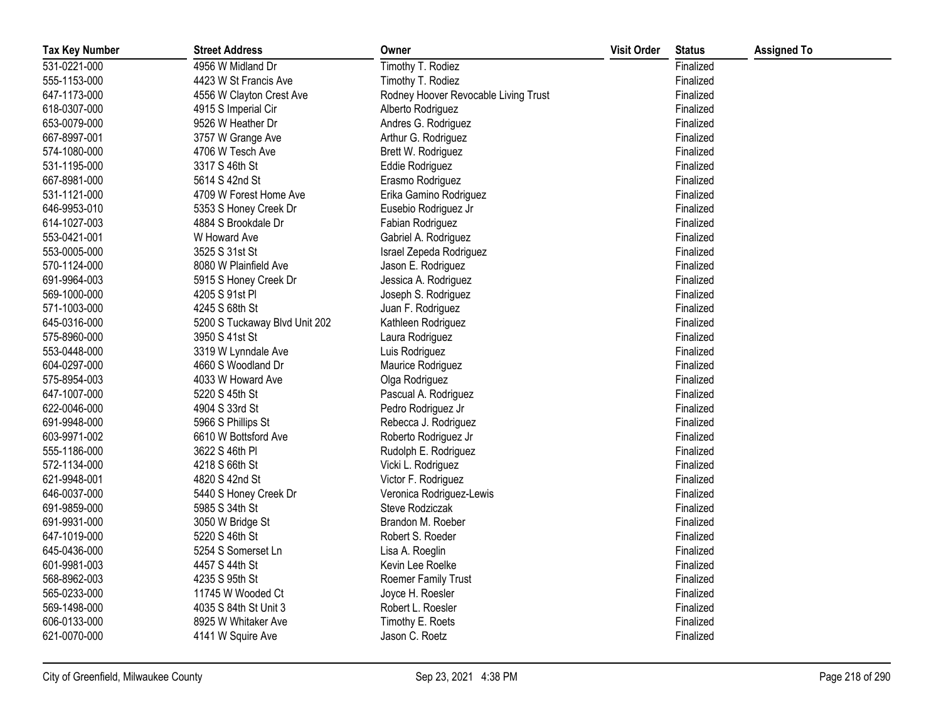| <b>Tax Key Number</b> | <b>Street Address</b>         | Owner                                | <b>Visit Order</b> | <b>Status</b> | <b>Assigned To</b> |
|-----------------------|-------------------------------|--------------------------------------|--------------------|---------------|--------------------|
| 531-0221-000          | 4956 W Midland Dr             | Timothy T. Rodiez                    |                    | Finalized     |                    |
| 555-1153-000          | 4423 W St Francis Ave         | Timothy T. Rodiez                    |                    | Finalized     |                    |
| 647-1173-000          | 4556 W Clayton Crest Ave      | Rodney Hoover Revocable Living Trust |                    | Finalized     |                    |
| 618-0307-000          | 4915 S Imperial Cir           | Alberto Rodriguez                    |                    | Finalized     |                    |
| 653-0079-000          | 9526 W Heather Dr             | Andres G. Rodriguez                  |                    | Finalized     |                    |
| 667-8997-001          | 3757 W Grange Ave             | Arthur G. Rodriguez                  |                    | Finalized     |                    |
| 574-1080-000          | 4706 W Tesch Ave              | Brett W. Rodriguez                   |                    | Finalized     |                    |
| 531-1195-000          | 3317 S 46th St                | Eddie Rodriguez                      |                    | Finalized     |                    |
| 667-8981-000          | 5614 S 42nd St                | Erasmo Rodriguez                     |                    | Finalized     |                    |
| 531-1121-000          | 4709 W Forest Home Ave        | Erika Gamino Rodriguez               |                    | Finalized     |                    |
| 646-9953-010          | 5353 S Honey Creek Dr         | Eusebio Rodriguez Jr                 |                    | Finalized     |                    |
| 614-1027-003          | 4884 S Brookdale Dr           | Fabian Rodriguez                     |                    | Finalized     |                    |
| 553-0421-001          | W Howard Ave                  | Gabriel A. Rodriguez                 |                    | Finalized     |                    |
| 553-0005-000          | 3525 S 31st St                | Israel Zepeda Rodriguez              |                    | Finalized     |                    |
| 570-1124-000          | 8080 W Plainfield Ave         | Jason E. Rodriguez                   |                    | Finalized     |                    |
| 691-9964-003          | 5915 S Honey Creek Dr         | Jessica A. Rodriguez                 |                    | Finalized     |                    |
| 569-1000-000          | 4205 S 91st PI                | Joseph S. Rodriguez                  |                    | Finalized     |                    |
| 571-1003-000          | 4245 S 68th St                | Juan F. Rodriguez                    |                    | Finalized     |                    |
| 645-0316-000          | 5200 S Tuckaway Blvd Unit 202 | Kathleen Rodriguez                   |                    | Finalized     |                    |
| 575-8960-000          | 3950 S 41st St                | Laura Rodriguez                      |                    | Finalized     |                    |
| 553-0448-000          | 3319 W Lynndale Ave           | Luis Rodriguez                       |                    | Finalized     |                    |
| 604-0297-000          | 4660 S Woodland Dr            | Maurice Rodriguez                    |                    | Finalized     |                    |
| 575-8954-003          | 4033 W Howard Ave             | Olga Rodriguez                       |                    | Finalized     |                    |
| 647-1007-000          | 5220 S 45th St                | Pascual A. Rodriguez                 |                    | Finalized     |                    |
| 622-0046-000          | 4904 S 33rd St                | Pedro Rodriguez Jr                   |                    | Finalized     |                    |
| 691-9948-000          | 5966 S Phillips St            | Rebecca J. Rodriguez                 |                    | Finalized     |                    |
| 603-9971-002          | 6610 W Bottsford Ave          | Roberto Rodriguez Jr                 |                    | Finalized     |                    |
| 555-1186-000          | 3622 S 46th PI                | Rudolph E. Rodriguez                 |                    | Finalized     |                    |
| 572-1134-000          | 4218 S 66th St                | Vicki L. Rodriguez                   |                    | Finalized     |                    |
| 621-9948-001          | 4820 S 42nd St                | Victor F. Rodriguez                  |                    | Finalized     |                    |
| 646-0037-000          | 5440 S Honey Creek Dr         | Veronica Rodriguez-Lewis             |                    | Finalized     |                    |
| 691-9859-000          | 5985 S 34th St                | Steve Rodziczak                      |                    | Finalized     |                    |
| 691-9931-000          | 3050 W Bridge St              | Brandon M. Roeber                    |                    | Finalized     |                    |
| 647-1019-000          | 5220 S 46th St                | Robert S. Roeder                     |                    | Finalized     |                    |
| 645-0436-000          | 5254 S Somerset Ln            | Lisa A. Roeglin                      |                    | Finalized     |                    |
| 601-9981-003          | 4457 S 44th St                | Kevin Lee Roelke                     |                    | Finalized     |                    |
| 568-8962-003          | 4235 S 95th St                | Roemer Family Trust                  |                    | Finalized     |                    |
| 565-0233-000          | 11745 W Wooded Ct             | Joyce H. Roesler                     |                    | Finalized     |                    |
| 569-1498-000          | 4035 S 84th St Unit 3         | Robert L. Roesler                    |                    | Finalized     |                    |
| 606-0133-000          | 8925 W Whitaker Ave           | Timothy E. Roets                     |                    | Finalized     |                    |
| 621-0070-000          | 4141 W Squire Ave             | Jason C. Roetz                       |                    | Finalized     |                    |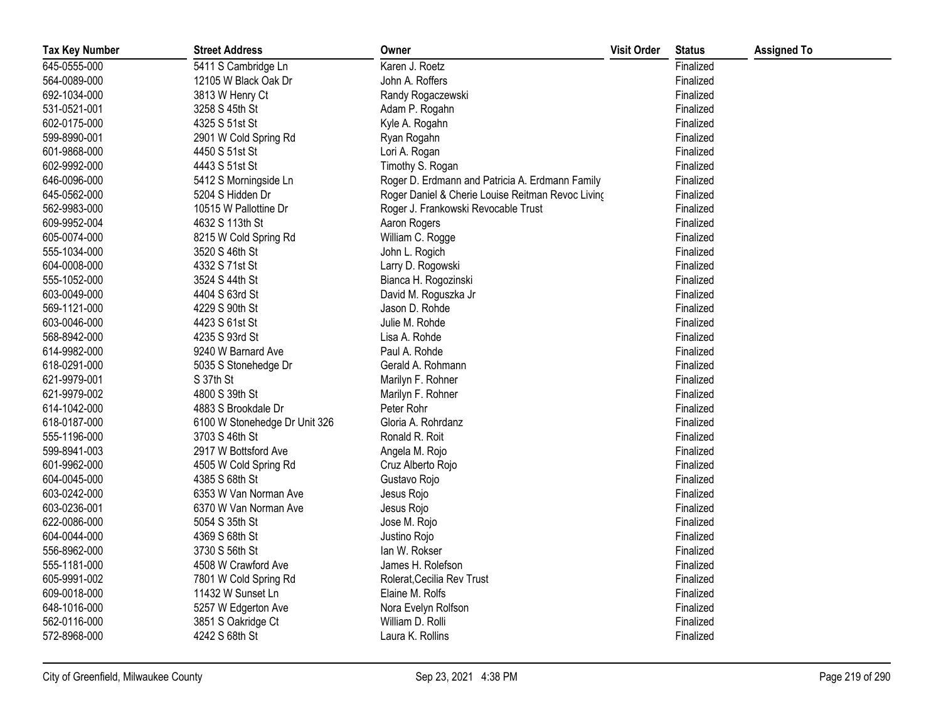| <b>Tax Key Number</b> | <b>Street Address</b>         | Owner                                             | <b>Visit Order</b> | <b>Status</b> | <b>Assigned To</b> |
|-----------------------|-------------------------------|---------------------------------------------------|--------------------|---------------|--------------------|
| 645-0555-000          | 5411 S Cambridge Ln           | Karen J. Roetz                                    |                    | Finalized     |                    |
| 564-0089-000          | 12105 W Black Oak Dr          | John A. Roffers                                   |                    | Finalized     |                    |
| 692-1034-000          | 3813 W Henry Ct               | Randy Rogaczewski                                 |                    | Finalized     |                    |
| 531-0521-001          | 3258 S 45th St                | Adam P. Rogahn                                    |                    | Finalized     |                    |
| 602-0175-000          | 4325 S 51st St                | Kyle A. Rogahn                                    |                    | Finalized     |                    |
| 599-8990-001          | 2901 W Cold Spring Rd         | Ryan Rogahn                                       |                    | Finalized     |                    |
| 601-9868-000          | 4450 S 51st St                | Lori A. Rogan                                     |                    | Finalized     |                    |
| 602-9992-000          | 4443 S 51st St                | Timothy S. Rogan                                  |                    | Finalized     |                    |
| 646-0096-000          | 5412 S Morningside Ln         | Roger D. Erdmann and Patricia A. Erdmann Family   |                    | Finalized     |                    |
| 645-0562-000          | 5204 S Hidden Dr              | Roger Daniel & Cherie Louise Reitman Revoc Living |                    | Finalized     |                    |
| 562-9983-000          | 10515 W Pallottine Dr         | Roger J. Frankowski Revocable Trust               |                    | Finalized     |                    |
| 609-9952-004          | 4632 S 113th St               | Aaron Rogers                                      |                    | Finalized     |                    |
| 605-0074-000          | 8215 W Cold Spring Rd         | William C. Rogge                                  |                    | Finalized     |                    |
| 555-1034-000          | 3520 S 46th St                | John L. Rogich                                    |                    | Finalized     |                    |
| 604-0008-000          | 4332 S 71st St                | Larry D. Rogowski                                 |                    | Finalized     |                    |
| 555-1052-000          | 3524 S 44th St                | Bianca H. Rogozinski                              |                    | Finalized     |                    |
| 603-0049-000          | 4404 S 63rd St                | David M. Roguszka Jr                              |                    | Finalized     |                    |
| 569-1121-000          | 4229 S 90th St                | Jason D. Rohde                                    |                    | Finalized     |                    |
| 603-0046-000          | 4423 S 61st St                | Julie M. Rohde                                    |                    | Finalized     |                    |
| 568-8942-000          | 4235 S 93rd St                | Lisa A. Rohde                                     |                    | Finalized     |                    |
| 614-9982-000          | 9240 W Barnard Ave            | Paul A. Rohde                                     |                    | Finalized     |                    |
| 618-0291-000          | 5035 S Stonehedge Dr          | Gerald A. Rohmann                                 |                    | Finalized     |                    |
| 621-9979-001          | S 37th St                     | Marilyn F. Rohner                                 |                    | Finalized     |                    |
| 621-9979-002          | 4800 S 39th St                | Marilyn F. Rohner                                 |                    | Finalized     |                    |
| 614-1042-000          | 4883 S Brookdale Dr           | Peter Rohr                                        |                    | Finalized     |                    |
| 618-0187-000          | 6100 W Stonehedge Dr Unit 326 | Gloria A. Rohrdanz                                |                    | Finalized     |                    |
| 555-1196-000          | 3703 S 46th St                | Ronald R. Roit                                    |                    | Finalized     |                    |
| 599-8941-003          | 2917 W Bottsford Ave          | Angela M. Rojo                                    |                    | Finalized     |                    |
| 601-9962-000          | 4505 W Cold Spring Rd         | Cruz Alberto Rojo                                 |                    | Finalized     |                    |
| 604-0045-000          | 4385 S 68th St                | Gustavo Rojo                                      |                    | Finalized     |                    |
| 603-0242-000          | 6353 W Van Norman Ave         | Jesus Rojo                                        |                    | Finalized     |                    |
| 603-0236-001          | 6370 W Van Norman Ave         | Jesus Rojo                                        |                    | Finalized     |                    |
| 622-0086-000          | 5054 S 35th St                | Jose M. Rojo                                      |                    | Finalized     |                    |
| 604-0044-000          | 4369 S 68th St                | Justino Rojo                                      |                    | Finalized     |                    |
| 556-8962-000          | 3730 S 56th St                | lan W. Rokser                                     |                    | Finalized     |                    |
| 555-1181-000          | 4508 W Crawford Ave           | James H. Rolefson                                 |                    | Finalized     |                    |
| 605-9991-002          | 7801 W Cold Spring Rd         | Rolerat, Cecilia Rev Trust                        |                    | Finalized     |                    |
| 609-0018-000          | 11432 W Sunset Ln             | Elaine M. Rolfs                                   |                    | Finalized     |                    |
| 648-1016-000          | 5257 W Edgerton Ave           | Nora Evelyn Rolfson                               |                    | Finalized     |                    |
| 562-0116-000          | 3851 S Oakridge Ct            | William D. Rolli                                  |                    | Finalized     |                    |
| 572-8968-000          | 4242 S 68th St                | Laura K. Rollins                                  |                    | Finalized     |                    |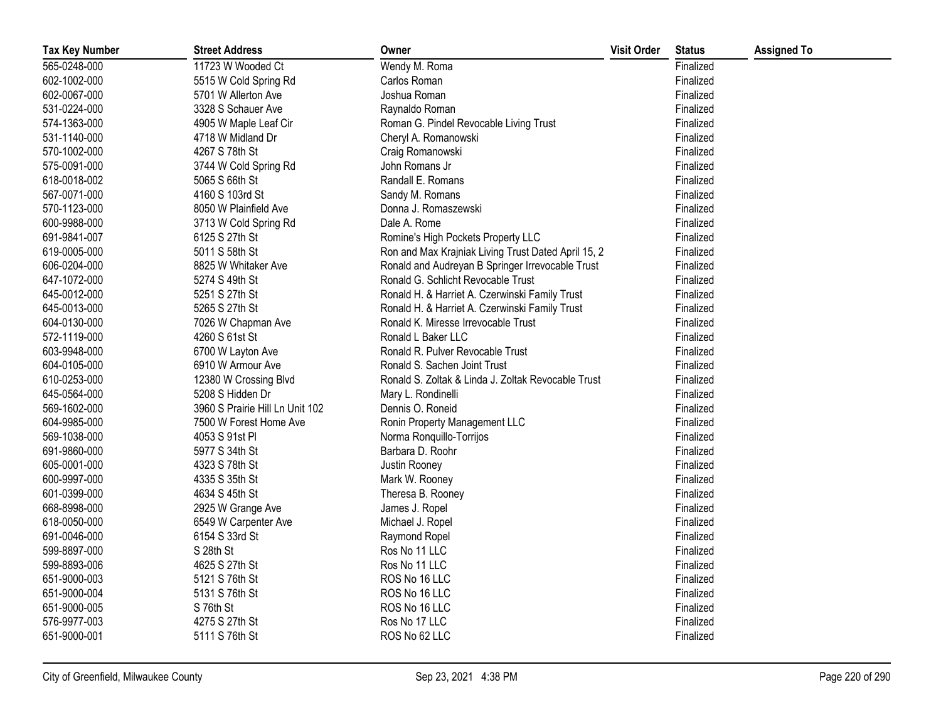| <b>Tax Key Number</b> | <b>Street Address</b>           | Owner                                               | <b>Visit Order</b> | <b>Status</b> | <b>Assigned To</b> |
|-----------------------|---------------------------------|-----------------------------------------------------|--------------------|---------------|--------------------|
| 565-0248-000          | 11723 W Wooded Ct               | Wendy M. Roma                                       |                    | Finalized     |                    |
| 602-1002-000          | 5515 W Cold Spring Rd           | Carlos Roman                                        |                    | Finalized     |                    |
| 602-0067-000          | 5701 W Allerton Ave             | Joshua Roman                                        |                    | Finalized     |                    |
| 531-0224-000          | 3328 S Schauer Ave              | Raynaldo Roman                                      |                    | Finalized     |                    |
| 574-1363-000          | 4905 W Maple Leaf Cir           | Roman G. Pindel Revocable Living Trust              |                    | Finalized     |                    |
| 531-1140-000          | 4718 W Midland Dr               | Cheryl A. Romanowski                                |                    | Finalized     |                    |
| 570-1002-000          | 4267 S 78th St                  | Craig Romanowski                                    |                    | Finalized     |                    |
| 575-0091-000          | 3744 W Cold Spring Rd           | John Romans Jr                                      |                    | Finalized     |                    |
| 618-0018-002          | 5065 S 66th St                  | Randall E. Romans                                   |                    | Finalized     |                    |
| 567-0071-000          | 4160 S 103rd St                 | Sandy M. Romans                                     |                    | Finalized     |                    |
| 570-1123-000          | 8050 W Plainfield Ave           | Donna J. Romaszewski                                |                    | Finalized     |                    |
| 600-9988-000          | 3713 W Cold Spring Rd           | Dale A. Rome                                        |                    | Finalized     |                    |
| 691-9841-007          | 6125 S 27th St                  | Romine's High Pockets Property LLC                  |                    | Finalized     |                    |
| 619-0005-000          | 5011 S 58th St                  | Ron and Max Krajniak Living Trust Dated April 15, 2 |                    | Finalized     |                    |
| 606-0204-000          | 8825 W Whitaker Ave             | Ronald and Audreyan B Springer Irrevocable Trust    |                    | Finalized     |                    |
| 647-1072-000          | 5274 S 49th St                  | Ronald G. Schlicht Revocable Trust                  |                    | Finalized     |                    |
| 645-0012-000          | 5251 S 27th St                  | Ronald H. & Harriet A. Czerwinski Family Trust      |                    | Finalized     |                    |
| 645-0013-000          | 5265 S 27th St                  | Ronald H. & Harriet A. Czerwinski Family Trust      |                    | Finalized     |                    |
| 604-0130-000          | 7026 W Chapman Ave              | Ronald K. Miresse Irrevocable Trust                 |                    | Finalized     |                    |
| 572-1119-000          | 4260 S 61st St                  | Ronald L Baker LLC                                  |                    | Finalized     |                    |
| 603-9948-000          | 6700 W Layton Ave               | Ronald R. Pulver Revocable Trust                    |                    | Finalized     |                    |
| 604-0105-000          | 6910 W Armour Ave               | Ronald S. Sachen Joint Trust                        |                    | Finalized     |                    |
| 610-0253-000          | 12380 W Crossing Blvd           | Ronald S. Zoltak & Linda J. Zoltak Revocable Trust  |                    | Finalized     |                    |
| 645-0564-000          | 5208 S Hidden Dr                | Mary L. Rondinelli                                  |                    | Finalized     |                    |
| 569-1602-000          | 3960 S Prairie Hill Ln Unit 102 | Dennis O. Roneid                                    |                    | Finalized     |                    |
| 604-9985-000          | 7500 W Forest Home Ave          | Ronin Property Management LLC                       |                    | Finalized     |                    |
| 569-1038-000          | 4053 S 91st PI                  | Norma Ronquillo-Torrijos                            |                    | Finalized     |                    |
| 691-9860-000          | 5977 S 34th St                  | Barbara D. Roohr                                    |                    | Finalized     |                    |
| 605-0001-000          | 4323 S 78th St                  | Justin Rooney                                       |                    | Finalized     |                    |
| 600-9997-000          | 4335 S 35th St                  | Mark W. Rooney                                      |                    | Finalized     |                    |
| 601-0399-000          | 4634 S 45th St                  | Theresa B. Rooney                                   |                    | Finalized     |                    |
| 668-8998-000          | 2925 W Grange Ave               | James J. Ropel                                      |                    | Finalized     |                    |
| 618-0050-000          | 6549 W Carpenter Ave            | Michael J. Ropel                                    |                    | Finalized     |                    |
| 691-0046-000          | 6154 S 33rd St                  | Raymond Ropel                                       |                    | Finalized     |                    |
| 599-8897-000          | S 28th St                       | Ros No 11 LLC                                       |                    | Finalized     |                    |
| 599-8893-006          | 4625 S 27th St                  | Ros No 11 LLC                                       |                    | Finalized     |                    |
| 651-9000-003          | 5121 S 76th St                  | ROS No 16 LLC                                       |                    | Finalized     |                    |
| 651-9000-004          | 5131 S 76th St                  | ROS No 16 LLC                                       |                    | Finalized     |                    |
| 651-9000-005          | S 76th St                       | ROS No 16 LLC                                       |                    | Finalized     |                    |
| 576-9977-003          | 4275 S 27th St                  | Ros No 17 LLC                                       |                    | Finalized     |                    |
| 651-9000-001          | 5111 S 76th St                  | ROS No 62 LLC                                       |                    | Finalized     |                    |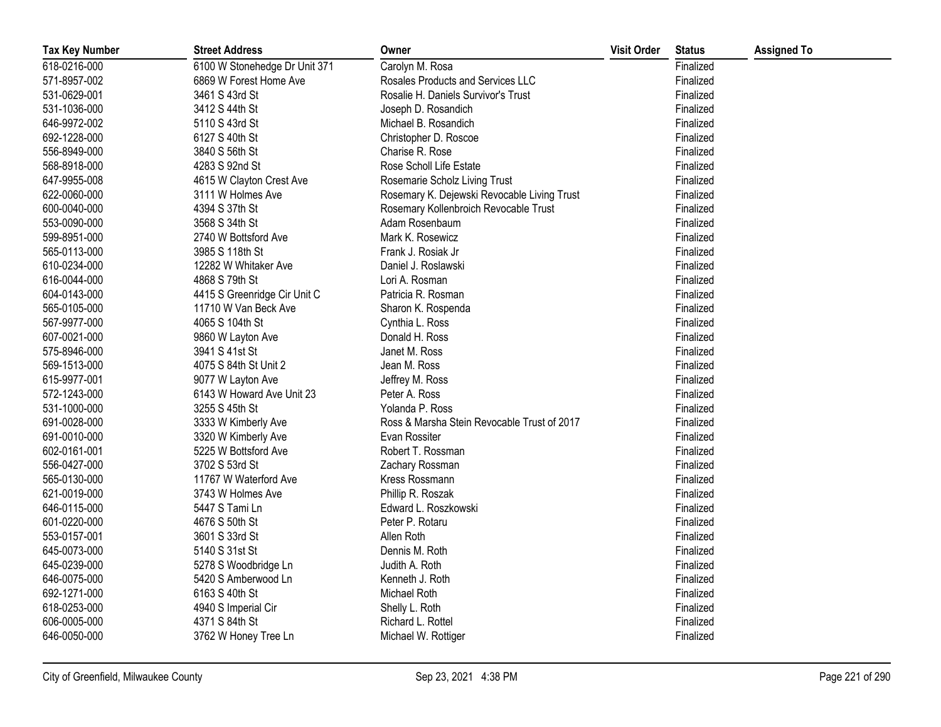| <b>Tax Key Number</b> | <b>Street Address</b>         | Owner                                       | <b>Visit Order</b> | <b>Status</b> | <b>Assigned To</b> |
|-----------------------|-------------------------------|---------------------------------------------|--------------------|---------------|--------------------|
| 618-0216-000          | 6100 W Stonehedge Dr Unit 371 | Carolyn M. Rosa                             |                    | Finalized     |                    |
| 571-8957-002          | 6869 W Forest Home Ave        | Rosales Products and Services LLC           |                    | Finalized     |                    |
| 531-0629-001          | 3461 S 43rd St                | Rosalie H. Daniels Survivor's Trust         |                    | Finalized     |                    |
| 531-1036-000          | 3412 S 44th St                | Joseph D. Rosandich                         |                    | Finalized     |                    |
| 646-9972-002          | 5110 S 43rd St                | Michael B. Rosandich                        |                    | Finalized     |                    |
| 692-1228-000          | 6127 S 40th St                | Christopher D. Roscoe                       |                    | Finalized     |                    |
| 556-8949-000          | 3840 S 56th St                | Charise R. Rose                             |                    | Finalized     |                    |
| 568-8918-000          | 4283 S 92nd St                | Rose Scholl Life Estate                     |                    | Finalized     |                    |
| 647-9955-008          | 4615 W Clayton Crest Ave      | Rosemarie Scholz Living Trust               |                    | Finalized     |                    |
| 622-0060-000          | 3111 W Holmes Ave             | Rosemary K. Dejewski Revocable Living Trust |                    | Finalized     |                    |
| 600-0040-000          | 4394 S 37th St                | Rosemary Kollenbroich Revocable Trust       |                    | Finalized     |                    |
| 553-0090-000          | 3568 S 34th St                | Adam Rosenbaum                              |                    | Finalized     |                    |
| 599-8951-000          | 2740 W Bottsford Ave          | Mark K. Rosewicz                            |                    | Finalized     |                    |
| 565-0113-000          | 3985 S 118th St               | Frank J. Rosiak Jr                          |                    | Finalized     |                    |
| 610-0234-000          | 12282 W Whitaker Ave          | Daniel J. Roslawski                         |                    | Finalized     |                    |
| 616-0044-000          | 4868 S 79th St                | Lori A. Rosman                              |                    | Finalized     |                    |
| 604-0143-000          | 4415 S Greenridge Cir Unit C  | Patricia R. Rosman                          |                    | Finalized     |                    |
| 565-0105-000          | 11710 W Van Beck Ave          | Sharon K. Rospenda                          |                    | Finalized     |                    |
| 567-9977-000          | 4065 S 104th St               | Cynthia L. Ross                             |                    | Finalized     |                    |
| 607-0021-000          | 9860 W Layton Ave             | Donald H. Ross                              |                    | Finalized     |                    |
| 575-8946-000          | 3941 S 41st St                | Janet M. Ross                               |                    | Finalized     |                    |
| 569-1513-000          | 4075 S 84th St Unit 2         | Jean M. Ross                                |                    | Finalized     |                    |
| 615-9977-001          | 9077 W Layton Ave             | Jeffrey M. Ross                             |                    | Finalized     |                    |
| 572-1243-000          | 6143 W Howard Ave Unit 23     | Peter A. Ross                               |                    | Finalized     |                    |
| 531-1000-000          | 3255 S 45th St                | Yolanda P. Ross                             |                    | Finalized     |                    |
| 691-0028-000          | 3333 W Kimberly Ave           | Ross & Marsha Stein Revocable Trust of 2017 |                    | Finalized     |                    |
| 691-0010-000          | 3320 W Kimberly Ave           | Evan Rossiter                               |                    | Finalized     |                    |
| 602-0161-001          | 5225 W Bottsford Ave          | Robert T. Rossman                           |                    | Finalized     |                    |
| 556-0427-000          | 3702 S 53rd St                | Zachary Rossman                             |                    | Finalized     |                    |
| 565-0130-000          | 11767 W Waterford Ave         | Kress Rossmann                              |                    | Finalized     |                    |
| 621-0019-000          | 3743 W Holmes Ave             | Phillip R. Roszak                           |                    | Finalized     |                    |
| 646-0115-000          | 5447 S Tami Ln                | Edward L. Roszkowski                        |                    | Finalized     |                    |
| 601-0220-000          | 4676 S 50th St                | Peter P. Rotaru                             |                    | Finalized     |                    |
| 553-0157-001          | 3601 S 33rd St                | Allen Roth                                  |                    | Finalized     |                    |
| 645-0073-000          | 5140 S 31st St                | Dennis M. Roth                              |                    | Finalized     |                    |
| 645-0239-000          | 5278 S Woodbridge Ln          | Judith A. Roth                              |                    | Finalized     |                    |
| 646-0075-000          | 5420 S Amberwood Ln           | Kenneth J. Roth                             |                    | Finalized     |                    |
| 692-1271-000          | 6163 S 40th St                | Michael Roth                                |                    | Finalized     |                    |
| 618-0253-000          | 4940 S Imperial Cir           | Shelly L. Roth                              |                    | Finalized     |                    |
| 606-0005-000          | 4371 S 84th St                | Richard L. Rottel                           |                    | Finalized     |                    |
| 646-0050-000          | 3762 W Honey Tree Ln          | Michael W. Rottiger                         |                    | Finalized     |                    |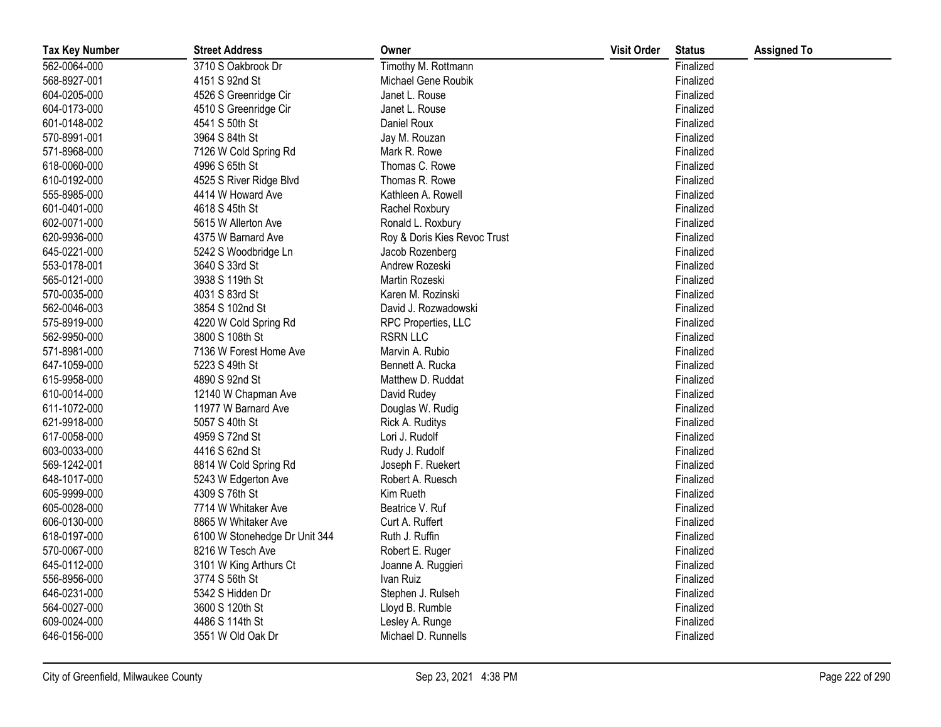| <b>Tax Key Number</b> | <b>Street Address</b>         | Owner                        | <b>Visit Order</b> | <b>Status</b> | <b>Assigned To</b> |
|-----------------------|-------------------------------|------------------------------|--------------------|---------------|--------------------|
| 562-0064-000          | 3710 S Oakbrook Dr            | Timothy M. Rottmann          |                    | Finalized     |                    |
| 568-8927-001          | 4151 S 92nd St                | Michael Gene Roubik          |                    | Finalized     |                    |
| 604-0205-000          | 4526 S Greenridge Cir         | Janet L. Rouse               |                    | Finalized     |                    |
| 604-0173-000          | 4510 S Greenridge Cir         | Janet L. Rouse               |                    | Finalized     |                    |
| 601-0148-002          | 4541 S 50th St                | Daniel Roux                  |                    | Finalized     |                    |
| 570-8991-001          | 3964 S 84th St                | Jay M. Rouzan                |                    | Finalized     |                    |
| 571-8968-000          | 7126 W Cold Spring Rd         | Mark R. Rowe                 |                    | Finalized     |                    |
| 618-0060-000          | 4996 S 65th St                | Thomas C. Rowe               |                    | Finalized     |                    |
| 610-0192-000          | 4525 S River Ridge Blvd       | Thomas R. Rowe               |                    | Finalized     |                    |
| 555-8985-000          | 4414 W Howard Ave             | Kathleen A. Rowell           |                    | Finalized     |                    |
| 601-0401-000          | 4618 S 45th St                | Rachel Roxbury               |                    | Finalized     |                    |
| 602-0071-000          | 5615 W Allerton Ave           | Ronald L. Roxbury            |                    | Finalized     |                    |
| 620-9936-000          | 4375 W Barnard Ave            | Roy & Doris Kies Revoc Trust |                    | Finalized     |                    |
| 645-0221-000          | 5242 S Woodbridge Ln          | Jacob Rozenberg              |                    | Finalized     |                    |
| 553-0178-001          | 3640 S 33rd St                | Andrew Rozeski               |                    | Finalized     |                    |
| 565-0121-000          | 3938 S 119th St               | Martin Rozeski               |                    | Finalized     |                    |
| 570-0035-000          | 4031 S 83rd St                | Karen M. Rozinski            |                    | Finalized     |                    |
| 562-0046-003          | 3854 S 102nd St               | David J. Rozwadowski         |                    | Finalized     |                    |
| 575-8919-000          | 4220 W Cold Spring Rd         | RPC Properties, LLC          |                    | Finalized     |                    |
| 562-9950-000          | 3800 S 108th St               | <b>RSRN LLC</b>              |                    | Finalized     |                    |
| 571-8981-000          | 7136 W Forest Home Ave        | Marvin A. Rubio              |                    | Finalized     |                    |
| 647-1059-000          | 5223 S 49th St                | Bennett A. Rucka             |                    | Finalized     |                    |
| 615-9958-000          | 4890 S 92nd St                | Matthew D. Ruddat            |                    | Finalized     |                    |
| 610-0014-000          | 12140 W Chapman Ave           | David Rudey                  |                    | Finalized     |                    |
| 611-1072-000          | 11977 W Barnard Ave           | Douglas W. Rudig             |                    | Finalized     |                    |
| 621-9918-000          | 5057 S 40th St                | Rick A. Ruditys              |                    | Finalized     |                    |
| 617-0058-000          | 4959 S 72nd St                | Lori J. Rudolf               |                    | Finalized     |                    |
| 603-0033-000          | 4416 S 62nd St                | Rudy J. Rudolf               |                    | Finalized     |                    |
| 569-1242-001          | 8814 W Cold Spring Rd         | Joseph F. Ruekert            |                    | Finalized     |                    |
| 648-1017-000          | 5243 W Edgerton Ave           | Robert A. Ruesch             |                    | Finalized     |                    |
| 605-9999-000          | 4309 S 76th St                | Kim Rueth                    |                    | Finalized     |                    |
| 605-0028-000          | 7714 W Whitaker Ave           | Beatrice V. Ruf              |                    | Finalized     |                    |
| 606-0130-000          | 8865 W Whitaker Ave           | Curt A. Ruffert              |                    | Finalized     |                    |
| 618-0197-000          | 6100 W Stonehedge Dr Unit 344 | Ruth J. Ruffin               |                    | Finalized     |                    |
| 570-0067-000          | 8216 W Tesch Ave              | Robert E. Ruger              |                    | Finalized     |                    |
| 645-0112-000          | 3101 W King Arthurs Ct        | Joanne A. Ruggieri           |                    | Finalized     |                    |
| 556-8956-000          | 3774 S 56th St                | Ivan Ruiz                    |                    | Finalized     |                    |
| 646-0231-000          | 5342 S Hidden Dr              | Stephen J. Rulseh            |                    | Finalized     |                    |
| 564-0027-000          | 3600 S 120th St               | Lloyd B. Rumble              |                    | Finalized     |                    |
| 609-0024-000          | 4486 S 114th St               | Lesley A. Runge              |                    | Finalized     |                    |
| 646-0156-000          | 3551 W Old Oak Dr             | Michael D. Runnells          |                    | Finalized     |                    |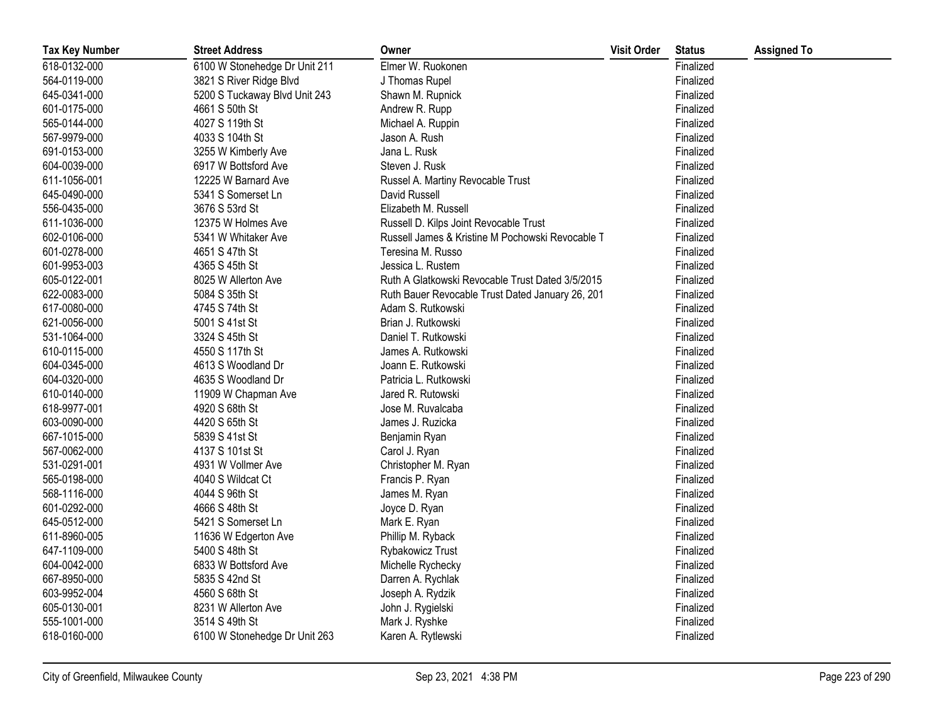| <b>Tax Key Number</b> | <b>Street Address</b>         | Owner                                            | <b>Visit Order</b> | <b>Status</b> | <b>Assigned To</b> |
|-----------------------|-------------------------------|--------------------------------------------------|--------------------|---------------|--------------------|
| 618-0132-000          | 6100 W Stonehedge Dr Unit 211 | Elmer W. Ruokonen                                |                    | Finalized     |                    |
| 564-0119-000          | 3821 S River Ridge Blvd       | J Thomas Rupel                                   |                    | Finalized     |                    |
| 645-0341-000          | 5200 S Tuckaway Blvd Unit 243 | Shawn M. Rupnick                                 |                    | Finalized     |                    |
| 601-0175-000          | 4661 S 50th St                | Andrew R. Rupp                                   |                    | Finalized     |                    |
| 565-0144-000          | 4027 S 119th St               | Michael A. Ruppin                                |                    | Finalized     |                    |
| 567-9979-000          | 4033 S 104th St               | Jason A. Rush                                    |                    | Finalized     |                    |
| 691-0153-000          | 3255 W Kimberly Ave           | Jana L. Rusk                                     |                    | Finalized     |                    |
| 604-0039-000          | 6917 W Bottsford Ave          | Steven J. Rusk                                   |                    | Finalized     |                    |
| 611-1056-001          | 12225 W Barnard Ave           | Russel A. Martiny Revocable Trust                |                    | Finalized     |                    |
| 645-0490-000          | 5341 S Somerset Ln            | David Russell                                    |                    | Finalized     |                    |
| 556-0435-000          | 3676 S 53rd St                | Elizabeth M. Russell                             |                    | Finalized     |                    |
| 611-1036-000          | 12375 W Holmes Ave            | Russell D. Kilps Joint Revocable Trust           |                    | Finalized     |                    |
| 602-0106-000          | 5341 W Whitaker Ave           | Russell James & Kristine M Pochowski Revocable T |                    | Finalized     |                    |
| 601-0278-000          | 4651 S 47th St                | Teresina M. Russo                                |                    | Finalized     |                    |
| 601-9953-003          | 4365 S 45th St                | Jessica L. Rustem                                |                    | Finalized     |                    |
| 605-0122-001          | 8025 W Allerton Ave           | Ruth A Glatkowski Revocable Trust Dated 3/5/2015 |                    | Finalized     |                    |
| 622-0083-000          | 5084 S 35th St                | Ruth Bauer Revocable Trust Dated January 26, 201 |                    | Finalized     |                    |
| 617-0080-000          | 4745 S 74th St                | Adam S. Rutkowski                                |                    | Finalized     |                    |
| 621-0056-000          | 5001 S 41st St                | Brian J. Rutkowski                               |                    | Finalized     |                    |
| 531-1064-000          | 3324 S 45th St                | Daniel T. Rutkowski                              |                    | Finalized     |                    |
| 610-0115-000          | 4550 S 117th St               | James A. Rutkowski                               |                    | Finalized     |                    |
| 604-0345-000          | 4613 S Woodland Dr            | Joann E. Rutkowski                               |                    | Finalized     |                    |
| 604-0320-000          | 4635 S Woodland Dr            | Patricia L. Rutkowski                            |                    | Finalized     |                    |
| 610-0140-000          | 11909 W Chapman Ave           | Jared R. Rutowski                                |                    | Finalized     |                    |
| 618-9977-001          | 4920 S 68th St                | Jose M. Ruvalcaba                                |                    | Finalized     |                    |
| 603-0090-000          | 4420 S 65th St                | James J. Ruzicka                                 |                    | Finalized     |                    |
| 667-1015-000          | 5839 S 41st St                | Benjamin Ryan                                    |                    | Finalized     |                    |
| 567-0062-000          | 4137 S 101st St               | Carol J. Ryan                                    |                    | Finalized     |                    |
| 531-0291-001          | 4931 W Vollmer Ave            | Christopher M. Ryan                              |                    | Finalized     |                    |
| 565-0198-000          | 4040 S Wildcat Ct             | Francis P. Ryan                                  |                    | Finalized     |                    |
| 568-1116-000          | 4044 S 96th St                | James M. Ryan                                    |                    | Finalized     |                    |
| 601-0292-000          | 4666 S 48th St                | Joyce D. Ryan                                    |                    | Finalized     |                    |
| 645-0512-000          | 5421 S Somerset Ln            | Mark E. Ryan                                     |                    | Finalized     |                    |
| 611-8960-005          | 11636 W Edgerton Ave          | Phillip M. Ryback                                |                    | Finalized     |                    |
| 647-1109-000          | 5400 S 48th St                | Rybakowicz Trust                                 |                    | Finalized     |                    |
| 604-0042-000          | 6833 W Bottsford Ave          | Michelle Rychecky                                |                    | Finalized     |                    |
| 667-8950-000          | 5835 S 42nd St                | Darren A. Rychlak                                |                    | Finalized     |                    |
| 603-9952-004          | 4560 S 68th St                | Joseph A. Rydzik                                 |                    | Finalized     |                    |
| 605-0130-001          | 8231 W Allerton Ave           | John J. Rygielski                                |                    | Finalized     |                    |
| 555-1001-000          | 3514 S 49th St                | Mark J. Ryshke                                   |                    | Finalized     |                    |
| 618-0160-000          | 6100 W Stonehedge Dr Unit 263 | Karen A. Rytlewski                               |                    | Finalized     |                    |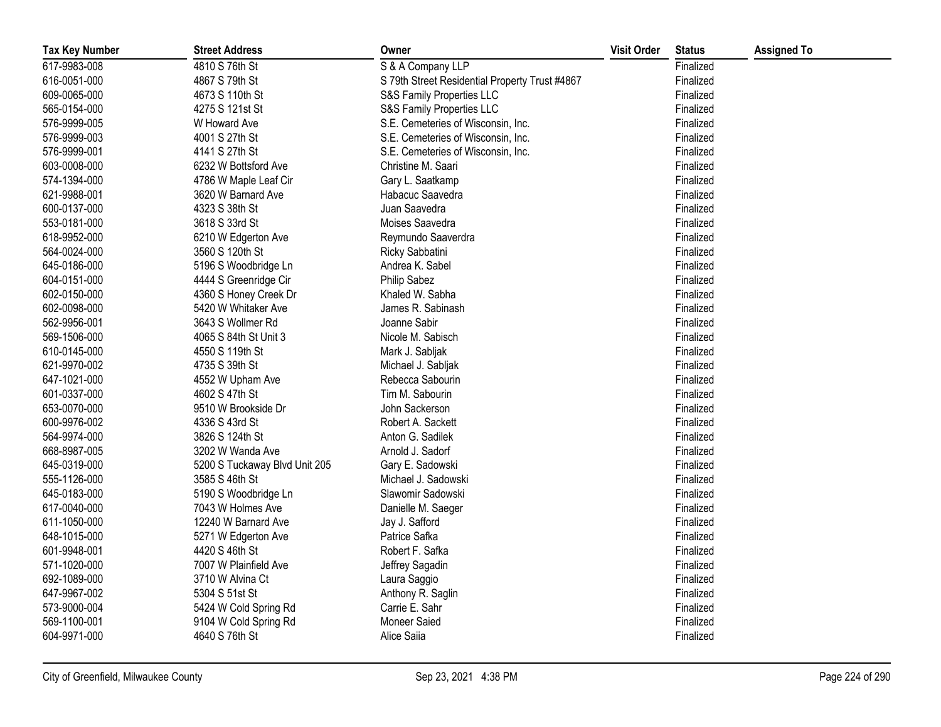| <b>Tax Key Number</b> | <b>Street Address</b>         | Owner                                          | <b>Visit Order</b> | <b>Status</b> | <b>Assigned To</b> |
|-----------------------|-------------------------------|------------------------------------------------|--------------------|---------------|--------------------|
| 617-9983-008          | 4810 S 76th St                | S & A Company LLP                              |                    | Finalized     |                    |
| 616-0051-000          | 4867 S 79th St                | S 79th Street Residential Property Trust #4867 |                    | Finalized     |                    |
| 609-0065-000          | 4673 S 110th St               | S&S Family Properties LLC                      |                    | Finalized     |                    |
| 565-0154-000          | 4275 S 121st St               | S&S Family Properties LLC                      |                    | Finalized     |                    |
| 576-9999-005          | W Howard Ave                  | S.E. Cemeteries of Wisconsin, Inc.             |                    | Finalized     |                    |
| 576-9999-003          | 4001 S 27th St                | S.E. Cemeteries of Wisconsin, Inc.             |                    | Finalized     |                    |
| 576-9999-001          | 4141 S 27th St                | S.E. Cemeteries of Wisconsin, Inc.             |                    | Finalized     |                    |
| 603-0008-000          | 6232 W Bottsford Ave          | Christine M. Saari                             |                    | Finalized     |                    |
| 574-1394-000          | 4786 W Maple Leaf Cir         | Gary L. Saatkamp                               |                    | Finalized     |                    |
| 621-9988-001          | 3620 W Barnard Ave            | Habacuc Saavedra                               |                    | Finalized     |                    |
| 600-0137-000          | 4323 S 38th St                | Juan Saavedra                                  |                    | Finalized     |                    |
| 553-0181-000          | 3618 S 33rd St                | Moises Saavedra                                |                    | Finalized     |                    |
| 618-9952-000          | 6210 W Edgerton Ave           | Reymundo Saaverdra                             |                    | Finalized     |                    |
| 564-0024-000          | 3560 S 120th St               | Ricky Sabbatini                                |                    | Finalized     |                    |
| 645-0186-000          | 5196 S Woodbridge Ln          | Andrea K. Sabel                                |                    | Finalized     |                    |
| 604-0151-000          | 4444 S Greenridge Cir         | Philip Sabez                                   |                    | Finalized     |                    |
| 602-0150-000          | 4360 S Honey Creek Dr         | Khaled W. Sabha                                |                    | Finalized     |                    |
| 602-0098-000          | 5420 W Whitaker Ave           | James R. Sabinash                              |                    | Finalized     |                    |
| 562-9956-001          | 3643 S Wollmer Rd             | Joanne Sabir                                   |                    | Finalized     |                    |
| 569-1506-000          | 4065 S 84th St Unit 3         | Nicole M. Sabisch                              |                    | Finalized     |                    |
| 610-0145-000          | 4550 S 119th St               | Mark J. Sabljak                                |                    | Finalized     |                    |
| 621-9970-002          | 4735 S 39th St                | Michael J. Sabljak                             |                    | Finalized     |                    |
| 647-1021-000          | 4552 W Upham Ave              | Rebecca Sabourin                               |                    | Finalized     |                    |
| 601-0337-000          | 4602 S 47th St                | Tim M. Sabourin                                |                    | Finalized     |                    |
| 653-0070-000          | 9510 W Brookside Dr           | John Sackerson                                 |                    | Finalized     |                    |
| 600-9976-002          | 4336 S 43rd St                | Robert A. Sackett                              |                    | Finalized     |                    |
| 564-9974-000          | 3826 S 124th St               | Anton G. Sadilek                               |                    | Finalized     |                    |
| 668-8987-005          | 3202 W Wanda Ave              | Arnold J. Sadorf                               |                    | Finalized     |                    |
| 645-0319-000          | 5200 S Tuckaway Blvd Unit 205 | Gary E. Sadowski                               |                    | Finalized     |                    |
| 555-1126-000          | 3585 S 46th St                | Michael J. Sadowski                            |                    | Finalized     |                    |
| 645-0183-000          | 5190 S Woodbridge Ln          | Slawomir Sadowski                              |                    | Finalized     |                    |
| 617-0040-000          | 7043 W Holmes Ave             | Danielle M. Saeger                             |                    | Finalized     |                    |
| 611-1050-000          | 12240 W Barnard Ave           | Jay J. Safford                                 |                    | Finalized     |                    |
| 648-1015-000          | 5271 W Edgerton Ave           | Patrice Safka                                  |                    | Finalized     |                    |
| 601-9948-001          | 4420 S 46th St                | Robert F. Safka                                |                    | Finalized     |                    |
| 571-1020-000          | 7007 W Plainfield Ave         | Jeffrey Sagadin                                |                    | Finalized     |                    |
| 692-1089-000          | 3710 W Alvina Ct              | Laura Saggio                                   |                    | Finalized     |                    |
| 647-9967-002          | 5304 S 51st St                | Anthony R. Saglin                              |                    | Finalized     |                    |
| 573-9000-004          | 5424 W Cold Spring Rd         | Carrie E. Sahr                                 |                    | Finalized     |                    |
| 569-1100-001          | 9104 W Cold Spring Rd         | Moneer Saied                                   |                    | Finalized     |                    |
| 604-9971-000          | 4640 S 76th St                | Alice Saiia                                    |                    | Finalized     |                    |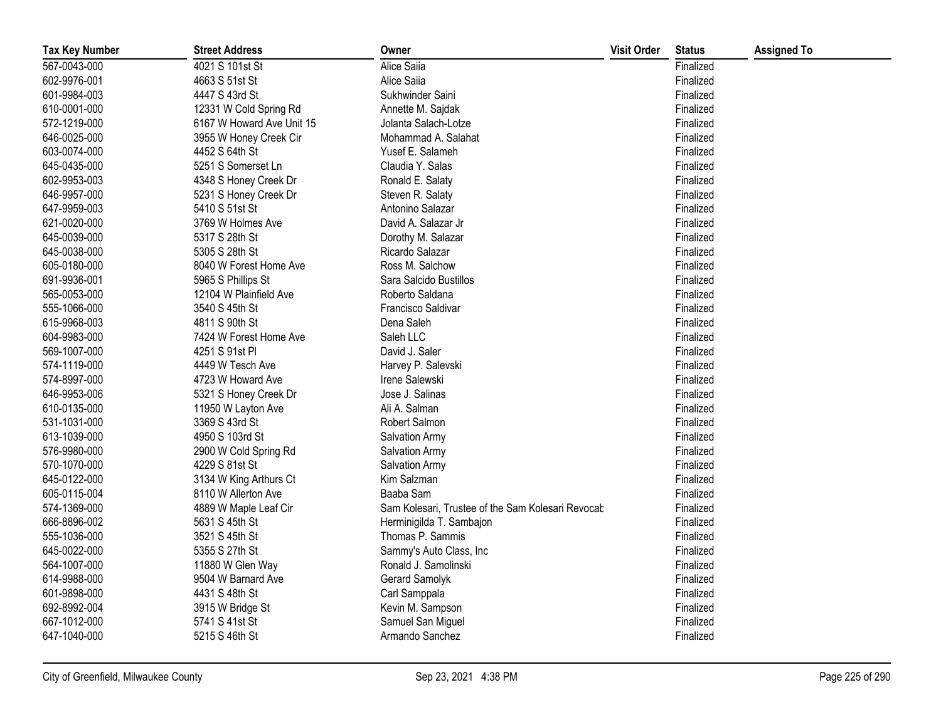| <b>Tax Key Number</b> | <b>Street Address</b>     | Owner                                             | <b>Visit Order</b> | <b>Status</b> | <b>Assigned To</b> |
|-----------------------|---------------------------|---------------------------------------------------|--------------------|---------------|--------------------|
| 567-0043-000          | 4021 S 101st St           | Alice Saiia                                       |                    | Finalized     |                    |
| 602-9976-001          | 4663 S 51st St            | Alice Saiia                                       |                    | Finalized     |                    |
| 601-9984-003          | 4447 S 43rd St            | Sukhwinder Saini                                  |                    | Finalized     |                    |
| 610-0001-000          | 12331 W Cold Spring Rd    | Annette M. Sajdak                                 |                    | Finalized     |                    |
| 572-1219-000          | 6167 W Howard Ave Unit 15 | Jolanta Salach-Lotze                              |                    | Finalized     |                    |
| 646-0025-000          | 3955 W Honey Creek Cir    | Mohammad A. Salahat                               |                    | Finalized     |                    |
| 603-0074-000          | 4452 S 64th St            | Yusef E. Salameh                                  |                    | Finalized     |                    |
| 645-0435-000          | 5251 S Somerset Ln        | Claudia Y. Salas                                  |                    | Finalized     |                    |
| 602-9953-003          | 4348 S Honey Creek Dr     | Ronald E. Salaty                                  |                    | Finalized     |                    |
| 646-9957-000          | 5231 S Honey Creek Dr     | Steven R. Salaty                                  |                    | Finalized     |                    |
| 647-9959-003          | 5410 S 51st St            | Antonino Salazar                                  |                    | Finalized     |                    |
| 621-0020-000          | 3769 W Holmes Ave         | David A. Salazar Jr                               |                    | Finalized     |                    |
| 645-0039-000          | 5317 S 28th St            | Dorothy M. Salazar                                |                    | Finalized     |                    |
| 645-0038-000          | 5305 S 28th St            | Ricardo Salazar                                   |                    | Finalized     |                    |
| 605-0180-000          | 8040 W Forest Home Ave    | Ross M. Salchow                                   |                    | Finalized     |                    |
| 691-9936-001          | 5965 S Phillips St        | Sara Salcido Bustillos                            |                    | Finalized     |                    |
| 565-0053-000          | 12104 W Plainfield Ave    | Roberto Saldana                                   |                    | Finalized     |                    |
| 555-1066-000          | 3540 S 45th St            | Francisco Saldivar                                |                    | Finalized     |                    |
| 615-9968-003          | 4811 S 90th St            | Dena Saleh                                        |                    | Finalized     |                    |
| 604-9983-000          | 7424 W Forest Home Ave    | Saleh LLC                                         |                    | Finalized     |                    |
| 569-1007-000          | 4251 S 91st PI            | David J. Saler                                    |                    | Finalized     |                    |
| 574-1119-000          | 4449 W Tesch Ave          | Harvey P. Salevski                                |                    | Finalized     |                    |
| 574-8997-000          | 4723 W Howard Ave         | Irene Salewski                                    |                    | Finalized     |                    |
| 646-9953-006          | 5321 S Honey Creek Dr     | Jose J. Salinas                                   |                    | Finalized     |                    |
| 610-0135-000          | 11950 W Layton Ave        | Ali A. Salman                                     |                    | Finalized     |                    |
| 531-1031-000          | 3369 S 43rd St            | Robert Salmon                                     |                    | Finalized     |                    |
| 613-1039-000          | 4950 S 103rd St           | Salvation Army                                    |                    | Finalized     |                    |
| 576-9980-000          | 2900 W Cold Spring Rd     | Salvation Army                                    |                    | Finalized     |                    |
| 570-1070-000          | 4229 S 81st St            | Salvation Army                                    |                    | Finalized     |                    |
| 645-0122-000          | 3134 W King Arthurs Ct    | Kim Salzman                                       |                    | Finalized     |                    |
| 605-0115-004          | 8110 W Allerton Ave       | Baaba Sam                                         |                    | Finalized     |                    |
| 574-1369-000          | 4889 W Maple Leaf Cir     | Sam Kolesari, Trustee of the Sam Kolesari Revocab |                    | Finalized     |                    |
| 666-8896-002          | 5631 S 45th St            | Herminigilda T. Sambajon                          |                    | Finalized     |                    |
| 555-1036-000          | 3521 S 45th St            | Thomas P. Sammis                                  |                    | Finalized     |                    |
| 645-0022-000          | 5355 S 27th St            | Sammy's Auto Class, Inc                           |                    | Finalized     |                    |
| 564-1007-000          | 11880 W Glen Way          | Ronald J. Samolinski                              |                    | Finalized     |                    |
| 614-9988-000          | 9504 W Barnard Ave        | Gerard Samolyk                                    |                    | Finalized     |                    |
| 601-9898-000          | 4431 S 48th St            | Carl Samppala                                     |                    | Finalized     |                    |
| 692-8992-004          | 3915 W Bridge St          | Kevin M. Sampson                                  |                    | Finalized     |                    |
| 667-1012-000          | 5741 S 41st St            | Samuel San Miguel                                 |                    | Finalized     |                    |
| 647-1040-000          | 5215 S 46th St            | Armando Sanchez                                   |                    | Finalized     |                    |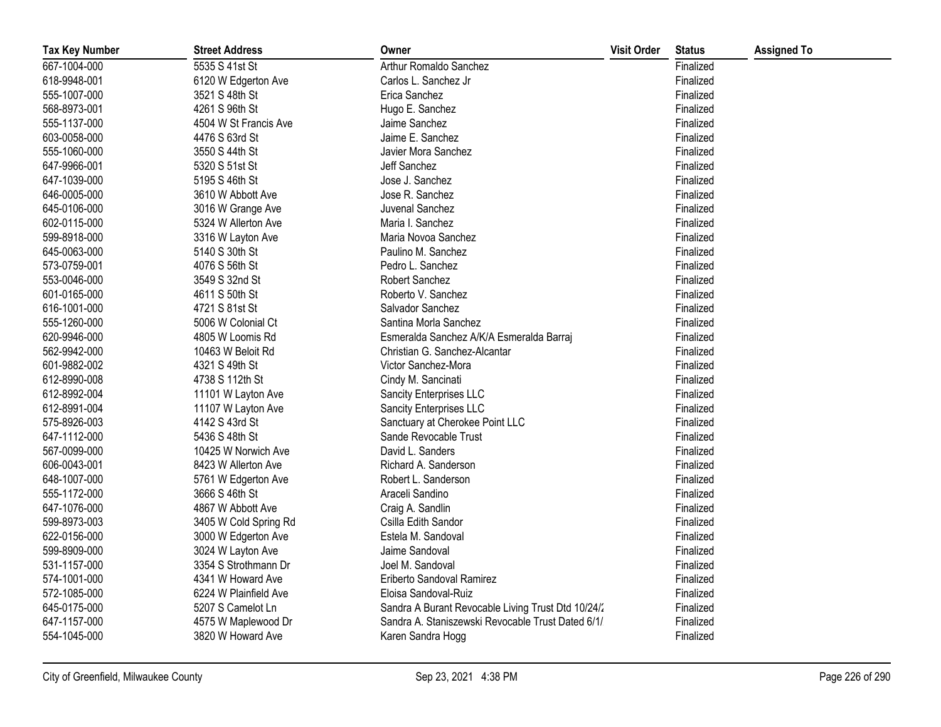| <b>Tax Key Number</b> | <b>Street Address</b> | Owner                                              | <b>Visit Order</b> | <b>Status</b> | <b>Assigned To</b> |
|-----------------------|-----------------------|----------------------------------------------------|--------------------|---------------|--------------------|
| 667-1004-000          | 5535 S 41st St        | Arthur Romaldo Sanchez                             |                    | Finalized     |                    |
| 618-9948-001          | 6120 W Edgerton Ave   | Carlos L. Sanchez Jr                               |                    | Finalized     |                    |
| 555-1007-000          | 3521 S 48th St        | Erica Sanchez                                      |                    | Finalized     |                    |
| 568-8973-001          | 4261 S 96th St        | Hugo E. Sanchez                                    |                    | Finalized     |                    |
| 555-1137-000          | 4504 W St Francis Ave | Jaime Sanchez                                      |                    | Finalized     |                    |
| 603-0058-000          | 4476 S 63rd St        | Jaime E. Sanchez                                   |                    | Finalized     |                    |
| 555-1060-000          | 3550 S 44th St        | Javier Mora Sanchez                                |                    | Finalized     |                    |
| 647-9966-001          | 5320 S 51st St        | Jeff Sanchez                                       |                    | Finalized     |                    |
| 647-1039-000          | 5195 S 46th St        | Jose J. Sanchez                                    |                    | Finalized     |                    |
| 646-0005-000          | 3610 W Abbott Ave     | Jose R. Sanchez                                    |                    | Finalized     |                    |
| 645-0106-000          | 3016 W Grange Ave     | Juvenal Sanchez                                    |                    | Finalized     |                    |
| 602-0115-000          | 5324 W Allerton Ave   | Maria I. Sanchez                                   |                    | Finalized     |                    |
| 599-8918-000          | 3316 W Layton Ave     | Maria Novoa Sanchez                                |                    | Finalized     |                    |
| 645-0063-000          | 5140 S 30th St        | Paulino M. Sanchez                                 |                    | Finalized     |                    |
| 573-0759-001          | 4076 S 56th St        | Pedro L. Sanchez                                   |                    | Finalized     |                    |
| 553-0046-000          | 3549 S 32nd St        | Robert Sanchez                                     |                    | Finalized     |                    |
| 601-0165-000          | 4611 S 50th St        | Roberto V. Sanchez                                 |                    | Finalized     |                    |
| 616-1001-000          | 4721 S 81st St        | Salvador Sanchez                                   |                    | Finalized     |                    |
| 555-1260-000          | 5006 W Colonial Ct    | Santina Morla Sanchez                              |                    | Finalized     |                    |
| 620-9946-000          | 4805 W Loomis Rd      | Esmeralda Sanchez A/K/A Esmeralda Barraj           |                    | Finalized     |                    |
| 562-9942-000          | 10463 W Beloit Rd     | Christian G. Sanchez-Alcantar                      |                    | Finalized     |                    |
| 601-9882-002          | 4321 S 49th St        | Victor Sanchez-Mora                                |                    | Finalized     |                    |
| 612-8990-008          | 4738 S 112th St       | Cindy M. Sancinati                                 |                    | Finalized     |                    |
| 612-8992-004          | 11101 W Layton Ave    | Sancity Enterprises LLC                            |                    | Finalized     |                    |
| 612-8991-004          | 11107 W Layton Ave    | Sancity Enterprises LLC                            |                    | Finalized     |                    |
| 575-8926-003          | 4142 S 43rd St        | Sanctuary at Cherokee Point LLC                    |                    | Finalized     |                    |
| 647-1112-000          | 5436 S 48th St        | Sande Revocable Trust                              |                    | Finalized     |                    |
| 567-0099-000          | 10425 W Norwich Ave   | David L. Sanders                                   |                    | Finalized     |                    |
| 606-0043-001          | 8423 W Allerton Ave   | Richard A. Sanderson                               |                    | Finalized     |                    |
| 648-1007-000          | 5761 W Edgerton Ave   | Robert L. Sanderson                                |                    | Finalized     |                    |
| 555-1172-000          | 3666 S 46th St        | Araceli Sandino                                    |                    | Finalized     |                    |
| 647-1076-000          | 4867 W Abbott Ave     | Craig A. Sandlin                                   |                    | Finalized     |                    |
| 599-8973-003          | 3405 W Cold Spring Rd | Csilla Edith Sandor                                |                    | Finalized     |                    |
| 622-0156-000          | 3000 W Edgerton Ave   | Estela M. Sandoval                                 |                    | Finalized     |                    |
| 599-8909-000          | 3024 W Layton Ave     | Jaime Sandoval                                     |                    | Finalized     |                    |
| 531-1157-000          | 3354 S Strothmann Dr  | Joel M. Sandoval                                   |                    | Finalized     |                    |
| 574-1001-000          | 4341 W Howard Ave     | Eriberto Sandoval Ramirez                          |                    | Finalized     |                    |
| 572-1085-000          | 6224 W Plainfield Ave | Eloisa Sandoval-Ruiz                               |                    | Finalized     |                    |
| 645-0175-000          | 5207 S Camelot Ln     | Sandra A Burant Revocable Living Trust Dtd 10/24/2 |                    | Finalized     |                    |
| 647-1157-000          | 4575 W Maplewood Dr   | Sandra A. Staniszewski Revocable Trust Dated 6/1/  |                    | Finalized     |                    |
| 554-1045-000          | 3820 W Howard Ave     | Karen Sandra Hogg                                  |                    | Finalized     |                    |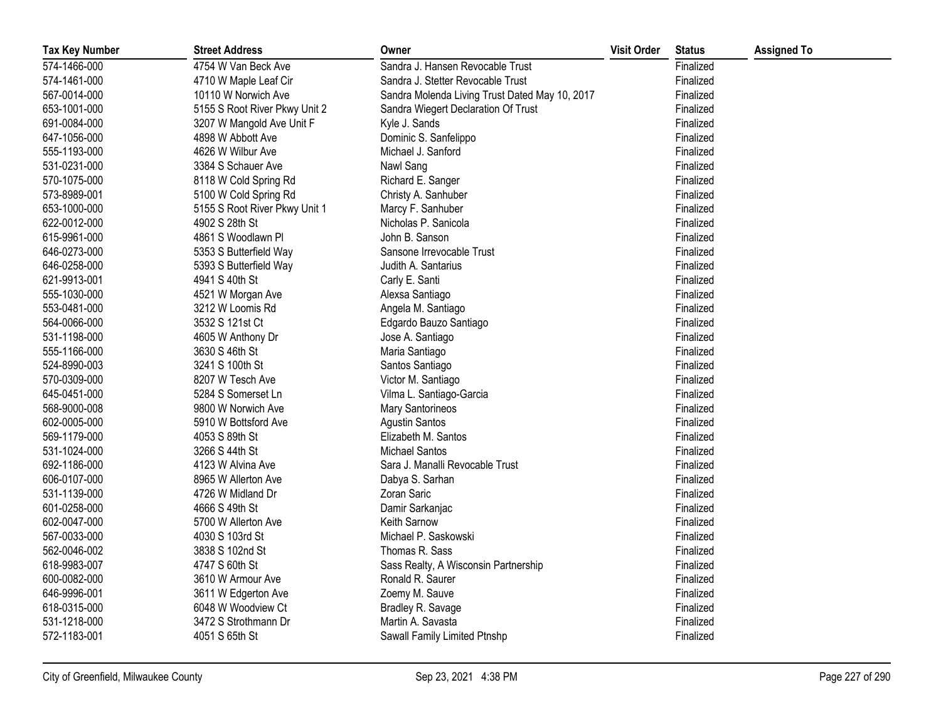| <b>Tax Key Number</b> | <b>Street Address</b>         | Owner                                          | <b>Visit Order</b> | <b>Status</b> | <b>Assigned To</b> |
|-----------------------|-------------------------------|------------------------------------------------|--------------------|---------------|--------------------|
| 574-1466-000          | 4754 W Van Beck Ave           | Sandra J. Hansen Revocable Trust               |                    | Finalized     |                    |
| 574-1461-000          | 4710 W Maple Leaf Cir         | Sandra J. Stetter Revocable Trust              |                    | Finalized     |                    |
| 567-0014-000          | 10110 W Norwich Ave           | Sandra Molenda Living Trust Dated May 10, 2017 |                    | Finalized     |                    |
| 653-1001-000          | 5155 S Root River Pkwy Unit 2 | Sandra Wiegert Declaration Of Trust            |                    | Finalized     |                    |
| 691-0084-000          | 3207 W Mangold Ave Unit F     | Kyle J. Sands                                  |                    | Finalized     |                    |
| 647-1056-000          | 4898 W Abbott Ave             | Dominic S. Sanfelippo                          |                    | Finalized     |                    |
| 555-1193-000          | 4626 W Wilbur Ave             | Michael J. Sanford                             |                    | Finalized     |                    |
| 531-0231-000          | 3384 S Schauer Ave            | Nawl Sang                                      |                    | Finalized     |                    |
| 570-1075-000          | 8118 W Cold Spring Rd         | Richard E. Sanger                              |                    | Finalized     |                    |
| 573-8989-001          | 5100 W Cold Spring Rd         | Christy A. Sanhuber                            |                    | Finalized     |                    |
| 653-1000-000          | 5155 S Root River Pkwy Unit 1 | Marcy F. Sanhuber                              |                    | Finalized     |                    |
| 622-0012-000          | 4902 S 28th St                | Nicholas P. Sanicola                           |                    | Finalized     |                    |
| 615-9961-000          | 4861 S Woodlawn Pl            | John B. Sanson                                 |                    | Finalized     |                    |
| 646-0273-000          | 5353 S Butterfield Way        | Sansone Irrevocable Trust                      |                    | Finalized     |                    |
| 646-0258-000          | 5393 S Butterfield Way        | Judith A. Santarius                            |                    | Finalized     |                    |
| 621-9913-001          | 4941 S 40th St                | Carly E. Santi                                 |                    | Finalized     |                    |
| 555-1030-000          | 4521 W Morgan Ave             | Alexsa Santiago                                |                    | Finalized     |                    |
| 553-0481-000          | 3212 W Loomis Rd              | Angela M. Santiago                             |                    | Finalized     |                    |
| 564-0066-000          | 3532 S 121st Ct               | Edgardo Bauzo Santiago                         |                    | Finalized     |                    |
| 531-1198-000          | 4605 W Anthony Dr             | Jose A. Santiago                               |                    | Finalized     |                    |
| 555-1166-000          | 3630 S 46th St                | Maria Santiago                                 |                    | Finalized     |                    |
| 524-8990-003          | 3241 S 100th St               | Santos Santiago                                |                    | Finalized     |                    |
| 570-0309-000          | 8207 W Tesch Ave              | Victor M. Santiago                             |                    | Finalized     |                    |
| 645-0451-000          | 5284 S Somerset Ln            | Vilma L. Santiago-Garcia                       |                    | Finalized     |                    |
| 568-9000-008          | 9800 W Norwich Ave            | <b>Mary Santorineos</b>                        |                    | Finalized     |                    |
| 602-0005-000          | 5910 W Bottsford Ave          | <b>Agustin Santos</b>                          |                    | Finalized     |                    |
| 569-1179-000          | 4053 S 89th St                | Elizabeth M. Santos                            |                    | Finalized     |                    |
| 531-1024-000          | 3266 S 44th St                | <b>Michael Santos</b>                          |                    | Finalized     |                    |
| 692-1186-000          | 4123 W Alvina Ave             | Sara J. Manalli Revocable Trust                |                    | Finalized     |                    |
| 606-0107-000          | 8965 W Allerton Ave           | Dabya S. Sarhan                                |                    | Finalized     |                    |
| 531-1139-000          | 4726 W Midland Dr             | Zoran Saric                                    |                    | Finalized     |                    |
| 601-0258-000          | 4666 S 49th St                | Damir Sarkanjac                                |                    | Finalized     |                    |
| 602-0047-000          | 5700 W Allerton Ave           | Keith Sarnow                                   |                    | Finalized     |                    |
| 567-0033-000          | 4030 S 103rd St               | Michael P. Saskowski                           |                    | Finalized     |                    |
| 562-0046-002          | 3838 S 102nd St               | Thomas R. Sass                                 |                    | Finalized     |                    |
| 618-9983-007          | 4747 S 60th St                | Sass Realty, A Wisconsin Partnership           |                    | Finalized     |                    |
| 600-0082-000          | 3610 W Armour Ave             | Ronald R. Saurer                               |                    | Finalized     |                    |
| 646-9996-001          | 3611 W Edgerton Ave           | Zoemy M. Sauve                                 |                    | Finalized     |                    |
| 618-0315-000          | 6048 W Woodview Ct            | Bradley R. Savage                              |                    | Finalized     |                    |
| 531-1218-000          | 3472 S Strothmann Dr          | Martin A. Savasta                              |                    | Finalized     |                    |
| 572-1183-001          | 4051 S 65th St                | Sawall Family Limited Ptnshp                   |                    | Finalized     |                    |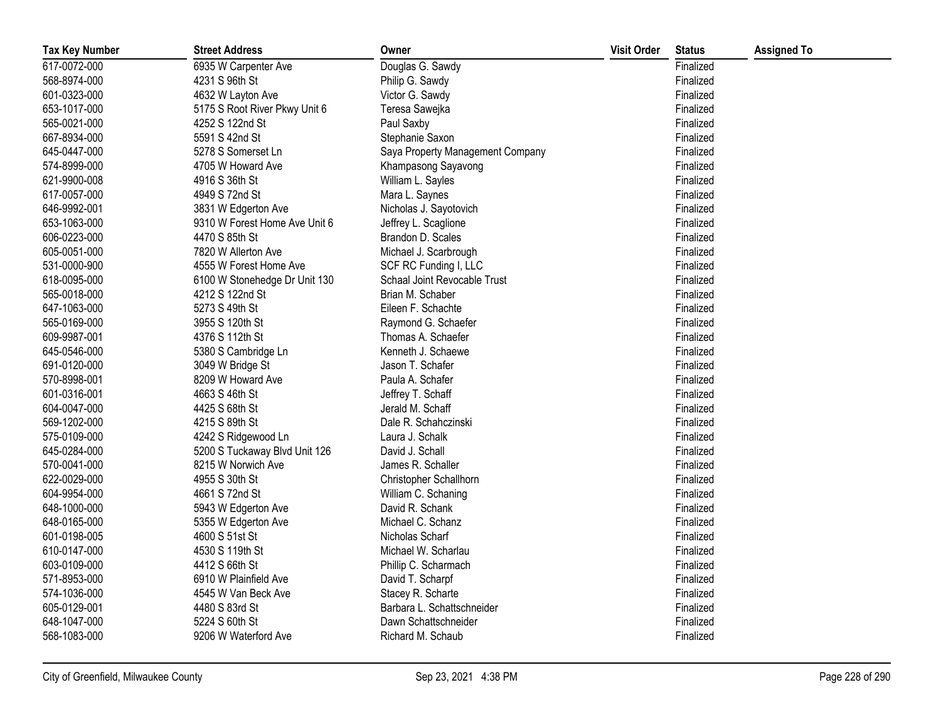| <b>Tax Key Number</b> | <b>Street Address</b>         | Owner                            | <b>Visit Order</b> | <b>Status</b> | <b>Assigned To</b> |
|-----------------------|-------------------------------|----------------------------------|--------------------|---------------|--------------------|
| 617-0072-000          | 6935 W Carpenter Ave          | Douglas G. Sawdy                 |                    | Finalized     |                    |
| 568-8974-000          | 4231 S 96th St                | Philip G. Sawdy                  |                    | Finalized     |                    |
| 601-0323-000          | 4632 W Layton Ave             | Victor G. Sawdy                  |                    | Finalized     |                    |
| 653-1017-000          | 5175 S Root River Pkwy Unit 6 | Teresa Sawejka                   |                    | Finalized     |                    |
| 565-0021-000          | 4252 S 122nd St               | Paul Saxby                       |                    | Finalized     |                    |
| 667-8934-000          | 5591 S 42nd St                | Stephanie Saxon                  |                    | Finalized     |                    |
| 645-0447-000          | 5278 S Somerset Ln            | Saya Property Management Company |                    | Finalized     |                    |
| 574-8999-000          | 4705 W Howard Ave             | Khampasong Sayavong              |                    | Finalized     |                    |
| 621-9900-008          | 4916 S 36th St                | William L. Sayles                |                    | Finalized     |                    |
| 617-0057-000          | 4949 S 72nd St                | Mara L. Saynes                   |                    | Finalized     |                    |
| 646-9992-001          | 3831 W Edgerton Ave           | Nicholas J. Sayotovich           |                    | Finalized     |                    |
| 653-1063-000          | 9310 W Forest Home Ave Unit 6 | Jeffrey L. Scaglione             |                    | Finalized     |                    |
| 606-0223-000          | 4470 S 85th St                | Brandon D. Scales                |                    | Finalized     |                    |
| 605-0051-000          | 7820 W Allerton Ave           | Michael J. Scarbrough            |                    | Finalized     |                    |
| 531-0000-900          | 4555 W Forest Home Ave        | SCF RC Funding I, LLC            |                    | Finalized     |                    |
| 618-0095-000          | 6100 W Stonehedge Dr Unit 130 | Schaal Joint Revocable Trust     |                    | Finalized     |                    |
| 565-0018-000          | 4212 S 122nd St               | Brian M. Schaber                 |                    | Finalized     |                    |
| 647-1063-000          | 5273 S 49th St                | Eileen F. Schachte               |                    | Finalized     |                    |
| 565-0169-000          | 3955 S 120th St               | Raymond G. Schaefer              |                    | Finalized     |                    |
| 609-9987-001          | 4376 S 112th St               | Thomas A. Schaefer               |                    | Finalized     |                    |
| 645-0546-000          | 5380 S Cambridge Ln           | Kenneth J. Schaewe               |                    | Finalized     |                    |
| 691-0120-000          | 3049 W Bridge St              | Jason T. Schafer                 |                    | Finalized     |                    |
| 570-8998-001          | 8209 W Howard Ave             | Paula A. Schafer                 |                    | Finalized     |                    |
| 601-0316-001          | 4663 S 46th St                | Jeffrey T. Schaff                |                    | Finalized     |                    |
| 604-0047-000          | 4425 S 68th St                | Jerald M. Schaff                 |                    | Finalized     |                    |
| 569-1202-000          | 4215 S 89th St                | Dale R. Schahczinski             |                    | Finalized     |                    |
| 575-0109-000          | 4242 S Ridgewood Ln           | Laura J. Schalk                  |                    | Finalized     |                    |
| 645-0284-000          | 5200 S Tuckaway Blvd Unit 126 | David J. Schall                  |                    | Finalized     |                    |
| 570-0041-000          | 8215 W Norwich Ave            | James R. Schaller                |                    | Finalized     |                    |
| 622-0029-000          | 4955 S 30th St                | Christopher Schallhorn           |                    | Finalized     |                    |
| 604-9954-000          | 4661 S 72nd St                | William C. Schaning              |                    | Finalized     |                    |
| 648-1000-000          | 5943 W Edgerton Ave           | David R. Schank                  |                    | Finalized     |                    |
| 648-0165-000          | 5355 W Edgerton Ave           | Michael C. Schanz                |                    | Finalized     |                    |
| 601-0198-005          | 4600 S 51st St                | Nicholas Scharf                  |                    | Finalized     |                    |
| 610-0147-000          | 4530 S 119th St               | Michael W. Scharlau              |                    | Finalized     |                    |
| 603-0109-000          | 4412 S 66th St                | Phillip C. Scharmach             |                    | Finalized     |                    |
| 571-8953-000          | 6910 W Plainfield Ave         | David T. Scharpf                 |                    | Finalized     |                    |
| 574-1036-000          | 4545 W Van Beck Ave           | Stacey R. Scharte                |                    | Finalized     |                    |
| 605-0129-001          | 4480 S 83rd St                | Barbara L. Schattschneider       |                    | Finalized     |                    |
| 648-1047-000          | 5224 S 60th St                | Dawn Schattschneider             |                    | Finalized     |                    |
| 568-1083-000          | 9206 W Waterford Ave          | Richard M. Schaub                |                    | Finalized     |                    |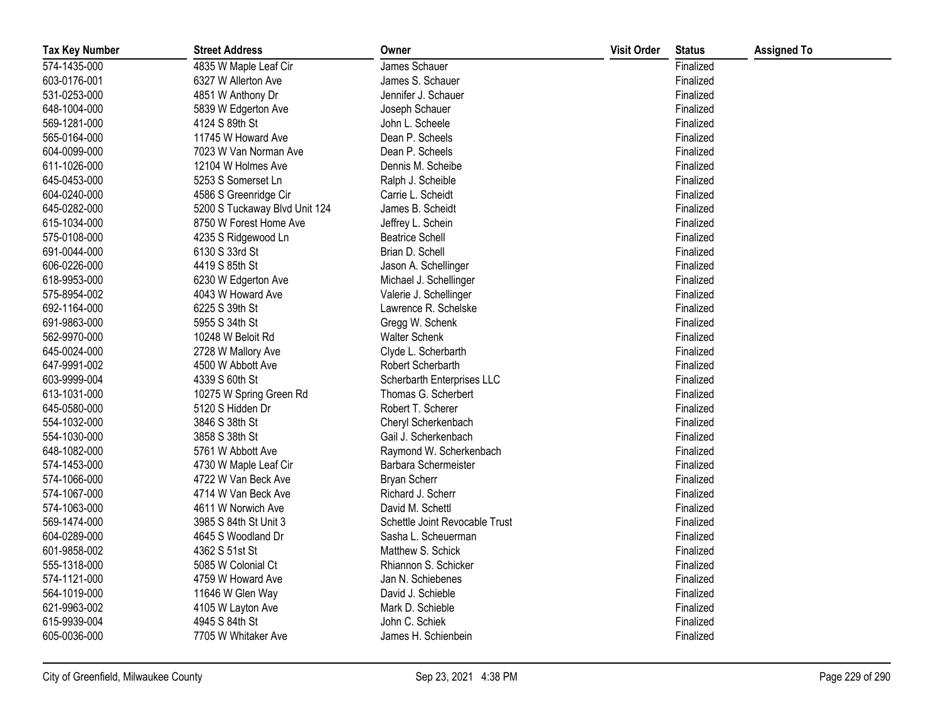| <b>Tax Key Number</b> | <b>Street Address</b>         | Owner                          | <b>Visit Order</b> | <b>Status</b> | <b>Assigned To</b> |
|-----------------------|-------------------------------|--------------------------------|--------------------|---------------|--------------------|
| 574-1435-000          | 4835 W Maple Leaf Cir         | James Schauer                  |                    | Finalized     |                    |
| 603-0176-001          | 6327 W Allerton Ave           | James S. Schauer               |                    | Finalized     |                    |
| 531-0253-000          | 4851 W Anthony Dr             | Jennifer J. Schauer            |                    | Finalized     |                    |
| 648-1004-000          | 5839 W Edgerton Ave           | Joseph Schauer                 |                    | Finalized     |                    |
| 569-1281-000          | 4124 S 89th St                | John L. Scheele                |                    | Finalized     |                    |
| 565-0164-000          | 11745 W Howard Ave            | Dean P. Scheels                |                    | Finalized     |                    |
| 604-0099-000          | 7023 W Van Norman Ave         | Dean P. Scheels                |                    | Finalized     |                    |
| 611-1026-000          | 12104 W Holmes Ave            | Dennis M. Scheibe              |                    | Finalized     |                    |
| 645-0453-000          | 5253 S Somerset Ln            | Ralph J. Scheible              |                    | Finalized     |                    |
| 604-0240-000          | 4586 S Greenridge Cir         | Carrie L. Scheidt              |                    | Finalized     |                    |
| 645-0282-000          | 5200 S Tuckaway Blvd Unit 124 | James B. Scheidt               |                    | Finalized     |                    |
| 615-1034-000          | 8750 W Forest Home Ave        | Jeffrey L. Schein              |                    | Finalized     |                    |
| 575-0108-000          | 4235 S Ridgewood Ln           | <b>Beatrice Schell</b>         |                    | Finalized     |                    |
| 691-0044-000          | 6130 S 33rd St                | Brian D. Schell                |                    | Finalized     |                    |
| 606-0226-000          | 4419 S 85th St                | Jason A. Schellinger           |                    | Finalized     |                    |
| 618-9953-000          | 6230 W Edgerton Ave           | Michael J. Schellinger         |                    | Finalized     |                    |
| 575-8954-002          | 4043 W Howard Ave             | Valerie J. Schellinger         |                    | Finalized     |                    |
| 692-1164-000          | 6225 S 39th St                | Lawrence R. Schelske           |                    | Finalized     |                    |
| 691-9863-000          | 5955 S 34th St                | Gregg W. Schenk                |                    | Finalized     |                    |
| 562-9970-000          | 10248 W Beloit Rd             | <b>Walter Schenk</b>           |                    | Finalized     |                    |
| 645-0024-000          | 2728 W Mallory Ave            | Clyde L. Scherbarth            |                    | Finalized     |                    |
| 647-9991-002          | 4500 W Abbott Ave             | Robert Scherbarth              |                    | Finalized     |                    |
| 603-9999-004          | 4339 S 60th St                | Scherbarth Enterprises LLC     |                    | Finalized     |                    |
| 613-1031-000          | 10275 W Spring Green Rd       | Thomas G. Scherbert            |                    | Finalized     |                    |
| 645-0580-000          | 5120 S Hidden Dr              | Robert T. Scherer              |                    | Finalized     |                    |
| 554-1032-000          | 3846 S 38th St                | Cheryl Scherkenbach            |                    | Finalized     |                    |
| 554-1030-000          | 3858 S 38th St                | Gail J. Scherkenbach           |                    | Finalized     |                    |
| 648-1082-000          | 5761 W Abbott Ave             | Raymond W. Scherkenbach        |                    | Finalized     |                    |
| 574-1453-000          | 4730 W Maple Leaf Cir         | Barbara Schermeister           |                    | Finalized     |                    |
| 574-1066-000          | 4722 W Van Beck Ave           | Bryan Scherr                   |                    | Finalized     |                    |
| 574-1067-000          | 4714 W Van Beck Ave           | Richard J. Scherr              |                    | Finalized     |                    |
| 574-1063-000          | 4611 W Norwich Ave            | David M. Schettl               |                    | Finalized     |                    |
| 569-1474-000          | 3985 S 84th St Unit 3         | Schettle Joint Revocable Trust |                    | Finalized     |                    |
| 604-0289-000          | 4645 S Woodland Dr            | Sasha L. Scheuerman            |                    | Finalized     |                    |
| 601-9858-002          | 4362 S 51st St                | Matthew S. Schick              |                    | Finalized     |                    |
| 555-1318-000          | 5085 W Colonial Ct            | Rhiannon S. Schicker           |                    | Finalized     |                    |
| 574-1121-000          | 4759 W Howard Ave             | Jan N. Schiebenes              |                    | Finalized     |                    |
| 564-1019-000          | 11646 W Glen Way              | David J. Schieble              |                    | Finalized     |                    |
| 621-9963-002          | 4105 W Layton Ave             | Mark D. Schieble               |                    | Finalized     |                    |
| 615-9939-004          | 4945 S 84th St                | John C. Schiek                 |                    | Finalized     |                    |
| 605-0036-000          | 7705 W Whitaker Ave           | James H. Schienbein            |                    | Finalized     |                    |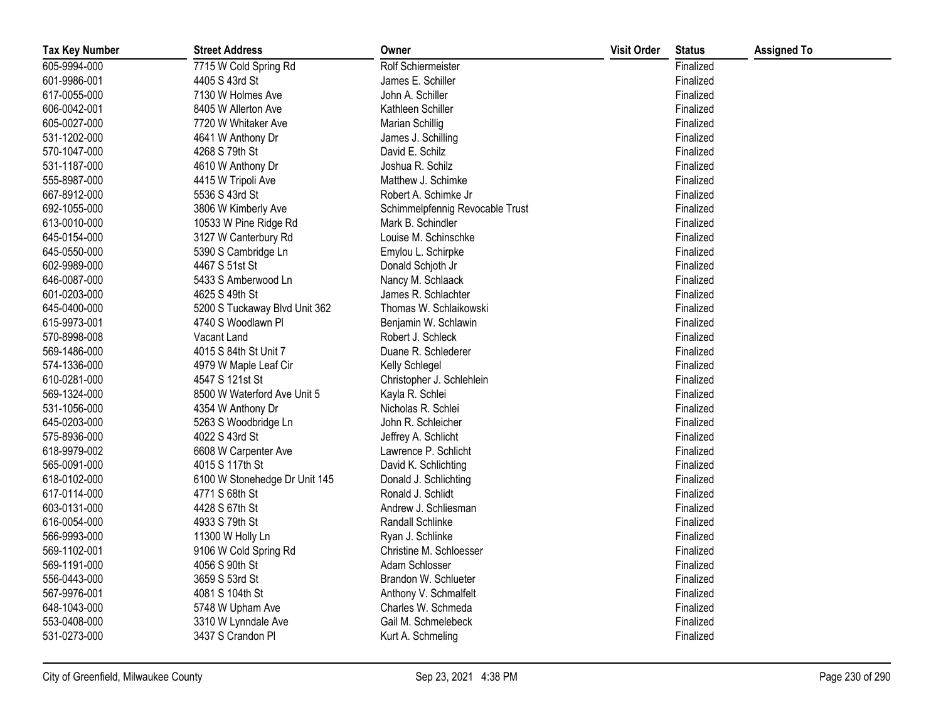| <b>Tax Key Number</b> | <b>Street Address</b>         | Owner                           | <b>Visit Order</b> | <b>Status</b> | <b>Assigned To</b> |
|-----------------------|-------------------------------|---------------------------------|--------------------|---------------|--------------------|
| 605-9994-000          | 7715 W Cold Spring Rd         | Rolf Schiermeister              |                    | Finalized     |                    |
| 601-9986-001          | 4405 S 43rd St                | James E. Schiller               |                    | Finalized     |                    |
| 617-0055-000          | 7130 W Holmes Ave             | John A. Schiller                |                    | Finalized     |                    |
| 606-0042-001          | 8405 W Allerton Ave           | Kathleen Schiller               |                    | Finalized     |                    |
| 605-0027-000          | 7720 W Whitaker Ave           | Marian Schillig                 |                    | Finalized     |                    |
| 531-1202-000          | 4641 W Anthony Dr             | James J. Schilling              |                    | Finalized     |                    |
| 570-1047-000          | 4268 S 79th St                | David E. Schilz                 |                    | Finalized     |                    |
| 531-1187-000          | 4610 W Anthony Dr             | Joshua R. Schilz                |                    | Finalized     |                    |
| 555-8987-000          | 4415 W Tripoli Ave            | Matthew J. Schimke              |                    | Finalized     |                    |
| 667-8912-000          | 5536 S 43rd St                | Robert A. Schimke Jr            |                    | Finalized     |                    |
| 692-1055-000          | 3806 W Kimberly Ave           | Schimmelpfennig Revocable Trust |                    | Finalized     |                    |
| 613-0010-000          | 10533 W Pine Ridge Rd         | Mark B. Schindler               |                    | Finalized     |                    |
| 645-0154-000          | 3127 W Canterbury Rd          | Louise M. Schinschke            |                    | Finalized     |                    |
| 645-0550-000          | 5390 S Cambridge Ln           | Emylou L. Schirpke              |                    | Finalized     |                    |
| 602-9989-000          | 4467 S 51st St                | Donald Schjoth Jr               |                    | Finalized     |                    |
| 646-0087-000          | 5433 S Amberwood Ln           | Nancy M. Schlaack               |                    | Finalized     |                    |
| 601-0203-000          | 4625 S 49th St                | James R. Schlachter             |                    | Finalized     |                    |
| 645-0400-000          | 5200 S Tuckaway Blvd Unit 362 | Thomas W. Schlaikowski          |                    | Finalized     |                    |
| 615-9973-001          | 4740 S Woodlawn Pl            | Benjamin W. Schlawin            |                    | Finalized     |                    |
| 570-8998-008          | Vacant Land                   | Robert J. Schleck               |                    | Finalized     |                    |
| 569-1486-000          | 4015 S 84th St Unit 7         | Duane R. Schlederer             |                    | Finalized     |                    |
| 574-1336-000          | 4979 W Maple Leaf Cir         | Kelly Schlegel                  |                    | Finalized     |                    |
| 610-0281-000          | 4547 S 121st St               | Christopher J. Schlehlein       |                    | Finalized     |                    |
| 569-1324-000          | 8500 W Waterford Ave Unit 5   | Kayla R. Schlei                 |                    | Finalized     |                    |
| 531-1056-000          | 4354 W Anthony Dr             | Nicholas R. Schlei              |                    | Finalized     |                    |
| 645-0203-000          | 5263 S Woodbridge Ln          | John R. Schleicher              |                    | Finalized     |                    |
| 575-8936-000          | 4022 S 43rd St                | Jeffrey A. Schlicht             |                    | Finalized     |                    |
| 618-9979-002          | 6608 W Carpenter Ave          | Lawrence P. Schlicht            |                    | Finalized     |                    |
| 565-0091-000          | 4015 S 117th St               | David K. Schlichting            |                    | Finalized     |                    |
| 618-0102-000          | 6100 W Stonehedge Dr Unit 145 | Donald J. Schlichting           |                    | Finalized     |                    |
| 617-0114-000          | 4771 S 68th St                | Ronald J. Schlidt               |                    | Finalized     |                    |
| 603-0131-000          | 4428 S 67th St                | Andrew J. Schliesman            |                    | Finalized     |                    |
| 616-0054-000          | 4933 S 79th St                | Randall Schlinke                |                    | Finalized     |                    |
| 566-9993-000          | 11300 W Holly Ln              | Ryan J. Schlinke                |                    | Finalized     |                    |
| 569-1102-001          | 9106 W Cold Spring Rd         | Christine M. Schloesser         |                    | Finalized     |                    |
| 569-1191-000          | 4056 S 90th St                | Adam Schlosser                  |                    | Finalized     |                    |
| 556-0443-000          | 3659 S 53rd St                | Brandon W. Schlueter            |                    | Finalized     |                    |
| 567-9976-001          | 4081 S 104th St               | Anthony V. Schmalfelt           |                    | Finalized     |                    |
| 648-1043-000          | 5748 W Upham Ave              | Charles W. Schmeda              |                    | Finalized     |                    |
| 553-0408-000          | 3310 W Lynndale Ave           | Gail M. Schmelebeck             |                    | Finalized     |                    |
| 531-0273-000          | 3437 S Crandon Pl             | Kurt A. Schmeling               |                    | Finalized     |                    |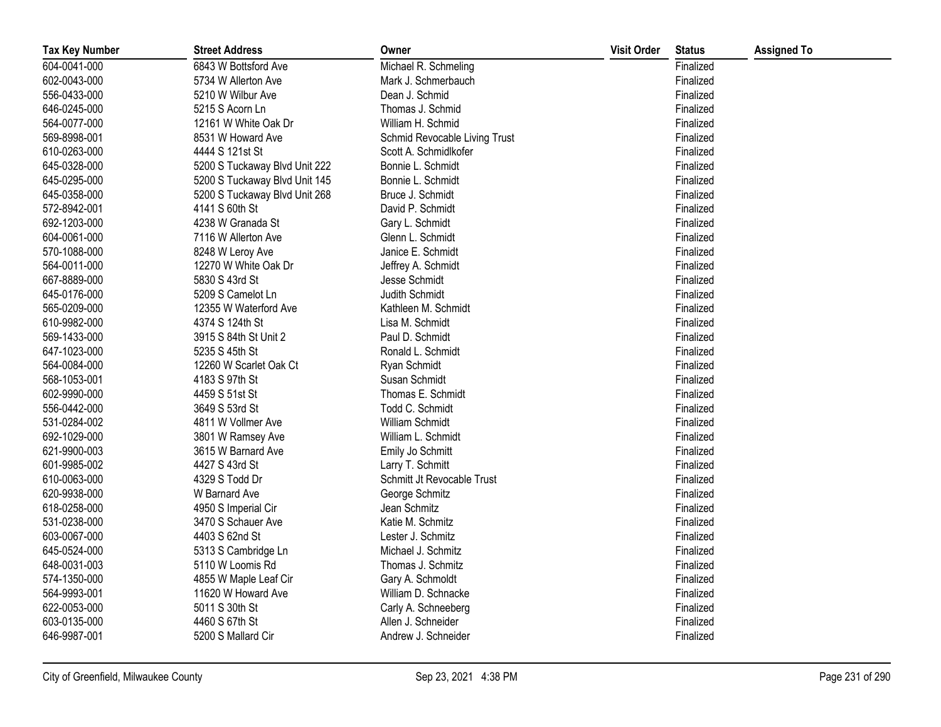| <b>Tax Key Number</b> | <b>Street Address</b>         | Owner                         | <b>Visit Order</b> | <b>Status</b> | <b>Assigned To</b> |
|-----------------------|-------------------------------|-------------------------------|--------------------|---------------|--------------------|
| 604-0041-000          | 6843 W Bottsford Ave          | Michael R. Schmeling          |                    | Finalized     |                    |
| 602-0043-000          | 5734 W Allerton Ave           | Mark J. Schmerbauch           |                    | Finalized     |                    |
| 556-0433-000          | 5210 W Wilbur Ave             | Dean J. Schmid                |                    | Finalized     |                    |
| 646-0245-000          | 5215 S Acorn Ln               | Thomas J. Schmid              |                    | Finalized     |                    |
| 564-0077-000          | 12161 W White Oak Dr          | William H. Schmid             |                    | Finalized     |                    |
| 569-8998-001          | 8531 W Howard Ave             | Schmid Revocable Living Trust |                    | Finalized     |                    |
| 610-0263-000          | 4444 S 121st St               | Scott A. Schmidlkofer         |                    | Finalized     |                    |
| 645-0328-000          | 5200 S Tuckaway Blvd Unit 222 | Bonnie L. Schmidt             |                    | Finalized     |                    |
| 645-0295-000          | 5200 S Tuckaway Blvd Unit 145 | Bonnie L. Schmidt             |                    | Finalized     |                    |
| 645-0358-000          | 5200 S Tuckaway Blvd Unit 268 | Bruce J. Schmidt              |                    | Finalized     |                    |
| 572-8942-001          | 4141 S 60th St                | David P. Schmidt              |                    | Finalized     |                    |
| 692-1203-000          | 4238 W Granada St             | Gary L. Schmidt               |                    | Finalized     |                    |
| 604-0061-000          | 7116 W Allerton Ave           | Glenn L. Schmidt              |                    | Finalized     |                    |
| 570-1088-000          | 8248 W Leroy Ave              | Janice E. Schmidt             |                    | Finalized     |                    |
| 564-0011-000          | 12270 W White Oak Dr          | Jeffrey A. Schmidt            |                    | Finalized     |                    |
| 667-8889-000          | 5830 S 43rd St                | Jesse Schmidt                 |                    | Finalized     |                    |
| 645-0176-000          | 5209 S Camelot Ln             | Judith Schmidt                |                    | Finalized     |                    |
| 565-0209-000          | 12355 W Waterford Ave         | Kathleen M. Schmidt           |                    | Finalized     |                    |
| 610-9982-000          | 4374 S 124th St               | Lisa M. Schmidt               |                    | Finalized     |                    |
| 569-1433-000          | 3915 S 84th St Unit 2         | Paul D. Schmidt               |                    | Finalized     |                    |
| 647-1023-000          | 5235 S 45th St                | Ronald L. Schmidt             |                    | Finalized     |                    |
| 564-0084-000          | 12260 W Scarlet Oak Ct        | Ryan Schmidt                  |                    | Finalized     |                    |
| 568-1053-001          | 4183 S 97th St                | Susan Schmidt                 |                    | Finalized     |                    |
| 602-9990-000          | 4459 S 51st St                | Thomas E. Schmidt             |                    | Finalized     |                    |
| 556-0442-000          | 3649 S 53rd St                | Todd C. Schmidt               |                    | Finalized     |                    |
| 531-0284-002          | 4811 W Vollmer Ave            | William Schmidt               |                    | Finalized     |                    |
| 692-1029-000          | 3801 W Ramsey Ave             | William L. Schmidt            |                    | Finalized     |                    |
| 621-9900-003          | 3615 W Barnard Ave            | Emily Jo Schmitt              |                    | Finalized     |                    |
| 601-9985-002          | 4427 S 43rd St                | Larry T. Schmitt              |                    | Finalized     |                    |
| 610-0063-000          | 4329 S Todd Dr                | Schmitt Jt Revocable Trust    |                    | Finalized     |                    |
| 620-9938-000          | W Barnard Ave                 | George Schmitz                |                    | Finalized     |                    |
| 618-0258-000          | 4950 S Imperial Cir           | Jean Schmitz                  |                    | Finalized     |                    |
| 531-0238-000          | 3470 S Schauer Ave            | Katie M. Schmitz              |                    | Finalized     |                    |
| 603-0067-000          | 4403 S 62nd St                | Lester J. Schmitz             |                    | Finalized     |                    |
| 645-0524-000          | 5313 S Cambridge Ln           | Michael J. Schmitz            |                    | Finalized     |                    |
| 648-0031-003          | 5110 W Loomis Rd              | Thomas J. Schmitz             |                    | Finalized     |                    |
| 574-1350-000          | 4855 W Maple Leaf Cir         | Gary A. Schmoldt              |                    | Finalized     |                    |
| 564-9993-001          | 11620 W Howard Ave            | William D. Schnacke           |                    | Finalized     |                    |
| 622-0053-000          | 5011 S 30th St                | Carly A. Schneeberg           |                    | Finalized     |                    |
| 603-0135-000          | 4460 S 67th St                | Allen J. Schneider            |                    | Finalized     |                    |
| 646-9987-001          | 5200 S Mallard Cir            | Andrew J. Schneider           |                    | Finalized     |                    |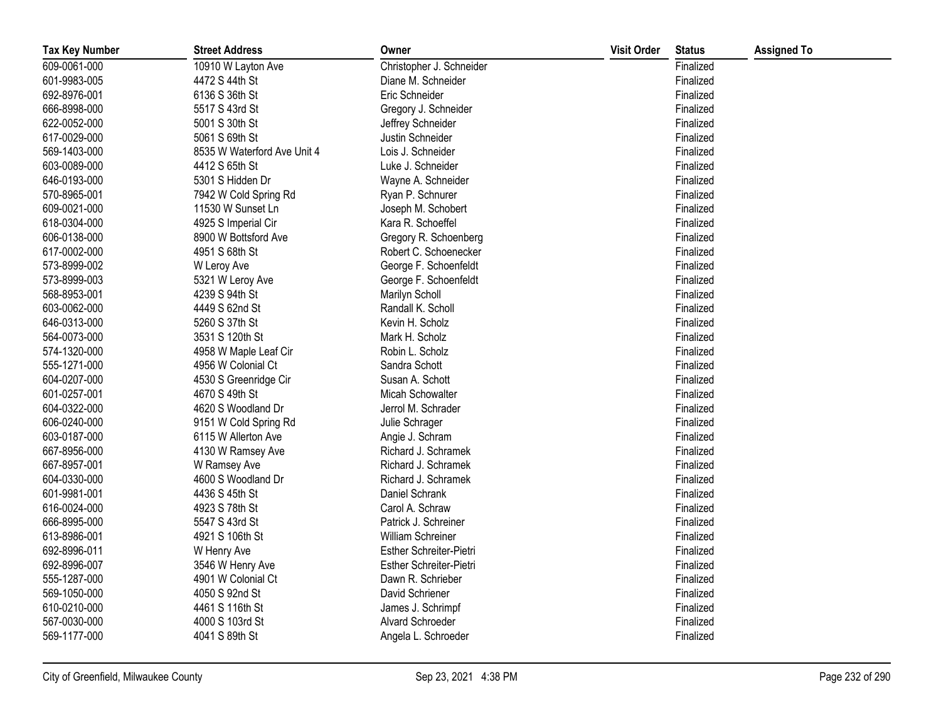| <b>Tax Key Number</b> | <b>Street Address</b>       | Owner                    | <b>Visit Order</b> | <b>Status</b> | <b>Assigned To</b> |
|-----------------------|-----------------------------|--------------------------|--------------------|---------------|--------------------|
| 609-0061-000          | 10910 W Layton Ave          | Christopher J. Schneider |                    | Finalized     |                    |
| 601-9983-005          | 4472 S 44th St              | Diane M. Schneider       |                    | Finalized     |                    |
| 692-8976-001          | 6136 S 36th St              | Eric Schneider           |                    | Finalized     |                    |
| 666-8998-000          | 5517 S 43rd St              | Gregory J. Schneider     |                    | Finalized     |                    |
| 622-0052-000          | 5001 S 30th St              | Jeffrey Schneider        |                    | Finalized     |                    |
| 617-0029-000          | 5061 S 69th St              | Justin Schneider         |                    | Finalized     |                    |
| 569-1403-000          | 8535 W Waterford Ave Unit 4 | Lois J. Schneider        |                    | Finalized     |                    |
| 603-0089-000          | 4412 S 65th St              | Luke J. Schneider        |                    | Finalized     |                    |
| 646-0193-000          | 5301 S Hidden Dr            | Wayne A. Schneider       |                    | Finalized     |                    |
| 570-8965-001          | 7942 W Cold Spring Rd       | Ryan P. Schnurer         |                    | Finalized     |                    |
| 609-0021-000          | 11530 W Sunset Ln           | Joseph M. Schobert       |                    | Finalized     |                    |
| 618-0304-000          | 4925 S Imperial Cir         | Kara R. Schoeffel        |                    | Finalized     |                    |
| 606-0138-000          | 8900 W Bottsford Ave        | Gregory R. Schoenberg    |                    | Finalized     |                    |
| 617-0002-000          | 4951 S 68th St              | Robert C. Schoenecker    |                    | Finalized     |                    |
| 573-8999-002          | W Leroy Ave                 | George F. Schoenfeldt    |                    | Finalized     |                    |
| 573-8999-003          | 5321 W Leroy Ave            | George F. Schoenfeldt    |                    | Finalized     |                    |
| 568-8953-001          | 4239 S 94th St              | Marilyn Scholl           |                    | Finalized     |                    |
| 603-0062-000          | 4449 S 62nd St              | Randall K. Scholl        |                    | Finalized     |                    |
| 646-0313-000          | 5260 S 37th St              | Kevin H. Scholz          |                    | Finalized     |                    |
| 564-0073-000          | 3531 S 120th St             | Mark H. Scholz           |                    | Finalized     |                    |
| 574-1320-000          | 4958 W Maple Leaf Cir       | Robin L. Scholz          |                    | Finalized     |                    |
| 555-1271-000          | 4956 W Colonial Ct          | Sandra Schott            |                    | Finalized     |                    |
| 604-0207-000          | 4530 S Greenridge Cir       | Susan A. Schott          |                    | Finalized     |                    |
| 601-0257-001          | 4670 S 49th St              | Micah Schowalter         |                    | Finalized     |                    |
| 604-0322-000          | 4620 S Woodland Dr          | Jerrol M. Schrader       |                    | Finalized     |                    |
| 606-0240-000          | 9151 W Cold Spring Rd       | Julie Schrager           |                    | Finalized     |                    |
| 603-0187-000          | 6115 W Allerton Ave         | Angie J. Schram          |                    | Finalized     |                    |
| 667-8956-000          | 4130 W Ramsey Ave           | Richard J. Schramek      |                    | Finalized     |                    |
| 667-8957-001          | W Ramsey Ave                | Richard J. Schramek      |                    | Finalized     |                    |
| 604-0330-000          | 4600 S Woodland Dr          | Richard J. Schramek      |                    | Finalized     |                    |
| 601-9981-001          | 4436 S 45th St              | Daniel Schrank           |                    | Finalized     |                    |
| 616-0024-000          | 4923 S 78th St              | Carol A. Schraw          |                    | Finalized     |                    |
| 666-8995-000          | 5547 S 43rd St              | Patrick J. Schreiner     |                    | Finalized     |                    |
| 613-8986-001          | 4921 S 106th St             | William Schreiner        |                    | Finalized     |                    |
| 692-8996-011          | W Henry Ave                 | Esther Schreiter-Pietri  |                    | Finalized     |                    |
| 692-8996-007          | 3546 W Henry Ave            | Esther Schreiter-Pietri  |                    | Finalized     |                    |
| 555-1287-000          | 4901 W Colonial Ct          | Dawn R. Schrieber        |                    | Finalized     |                    |
| 569-1050-000          | 4050 S 92nd St              | David Schriener          |                    | Finalized     |                    |
| 610-0210-000          | 4461 S 116th St             | James J. Schrimpf        |                    | Finalized     |                    |
| 567-0030-000          | 4000 S 103rd St             | Alvard Schroeder         |                    | Finalized     |                    |
| 569-1177-000          | 4041 S 89th St              | Angela L. Schroeder      |                    | Finalized     |                    |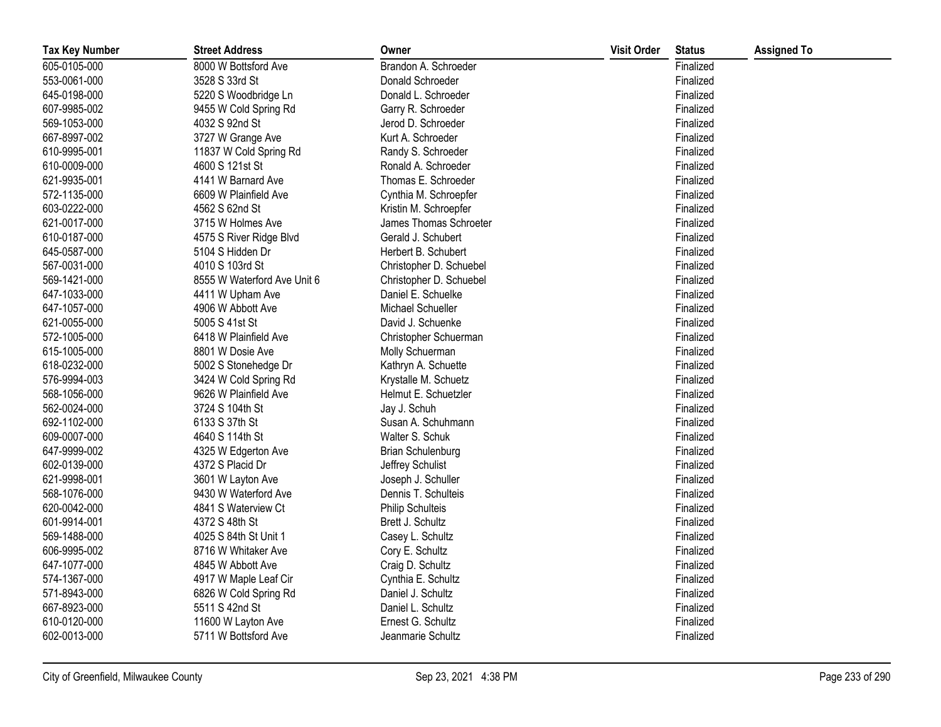| <b>Tax Key Number</b> | <b>Street Address</b>       | Owner                    | <b>Visit Order</b> | <b>Status</b> | <b>Assigned To</b> |
|-----------------------|-----------------------------|--------------------------|--------------------|---------------|--------------------|
| 605-0105-000          | 8000 W Bottsford Ave        | Brandon A. Schroeder     |                    | Finalized     |                    |
| 553-0061-000          | 3528 S 33rd St              | Donald Schroeder         |                    | Finalized     |                    |
| 645-0198-000          | 5220 S Woodbridge Ln        | Donald L. Schroeder      |                    | Finalized     |                    |
| 607-9985-002          | 9455 W Cold Spring Rd       | Garry R. Schroeder       |                    | Finalized     |                    |
| 569-1053-000          | 4032 S 92nd St              | Jerod D. Schroeder       |                    | Finalized     |                    |
| 667-8997-002          | 3727 W Grange Ave           | Kurt A. Schroeder        |                    | Finalized     |                    |
| 610-9995-001          | 11837 W Cold Spring Rd      | Randy S. Schroeder       |                    | Finalized     |                    |
| 610-0009-000          | 4600 S 121st St             | Ronald A. Schroeder      |                    | Finalized     |                    |
| 621-9935-001          | 4141 W Barnard Ave          | Thomas E. Schroeder      |                    | Finalized     |                    |
| 572-1135-000          | 6609 W Plainfield Ave       | Cynthia M. Schroepfer    |                    | Finalized     |                    |
| 603-0222-000          | 4562 S 62nd St              | Kristin M. Schroepfer    |                    | Finalized     |                    |
| 621-0017-000          | 3715 W Holmes Ave           | James Thomas Schroeter   |                    | Finalized     |                    |
| 610-0187-000          | 4575 S River Ridge Blvd     | Gerald J. Schubert       |                    | Finalized     |                    |
| 645-0587-000          | 5104 S Hidden Dr            | Herbert B. Schubert      |                    | Finalized     |                    |
| 567-0031-000          | 4010 S 103rd St             | Christopher D. Schuebel  |                    | Finalized     |                    |
| 569-1421-000          | 8555 W Waterford Ave Unit 6 | Christopher D. Schuebel  |                    | Finalized     |                    |
| 647-1033-000          | 4411 W Upham Ave            | Daniel E. Schuelke       |                    | Finalized     |                    |
| 647-1057-000          | 4906 W Abbott Ave           | Michael Schueller        |                    | Finalized     |                    |
| 621-0055-000          | 5005 S 41st St              | David J. Schuenke        |                    | Finalized     |                    |
| 572-1005-000          | 6418 W Plainfield Ave       | Christopher Schuerman    |                    | Finalized     |                    |
| 615-1005-000          | 8801 W Dosie Ave            | Molly Schuerman          |                    | Finalized     |                    |
| 618-0232-000          | 5002 S Stonehedge Dr        | Kathryn A. Schuette      |                    | Finalized     |                    |
| 576-9994-003          | 3424 W Cold Spring Rd       | Krystalle M. Schuetz     |                    | Finalized     |                    |
| 568-1056-000          | 9626 W Plainfield Ave       | Helmut E. Schuetzler     |                    | Finalized     |                    |
| 562-0024-000          | 3724 S 104th St             | Jay J. Schuh             |                    | Finalized     |                    |
| 692-1102-000          | 6133 S 37th St              | Susan A. Schuhmann       |                    | Finalized     |                    |
| 609-0007-000          | 4640 S 114th St             | Walter S. Schuk          |                    | Finalized     |                    |
| 647-9999-002          | 4325 W Edgerton Ave         | <b>Brian Schulenburg</b> |                    | Finalized     |                    |
| 602-0139-000          | 4372 S Placid Dr            | Jeffrey Schulist         |                    | Finalized     |                    |
| 621-9998-001          | 3601 W Layton Ave           | Joseph J. Schuller       |                    | Finalized     |                    |
| 568-1076-000          | 9430 W Waterford Ave        | Dennis T. Schulteis      |                    | Finalized     |                    |
| 620-0042-000          | 4841 S Waterview Ct         | Philip Schulteis         |                    | Finalized     |                    |
| 601-9914-001          | 4372 S 48th St              | Brett J. Schultz         |                    | Finalized     |                    |
| 569-1488-000          | 4025 S 84th St Unit 1       | Casey L. Schultz         |                    | Finalized     |                    |
| 606-9995-002          | 8716 W Whitaker Ave         | Cory E. Schultz          |                    | Finalized     |                    |
| 647-1077-000          | 4845 W Abbott Ave           | Craig D. Schultz         |                    | Finalized     |                    |
| 574-1367-000          | 4917 W Maple Leaf Cir       | Cynthia E. Schultz       |                    | Finalized     |                    |
| 571-8943-000          | 6826 W Cold Spring Rd       | Daniel J. Schultz        |                    | Finalized     |                    |
| 667-8923-000          | 5511 S 42nd St              | Daniel L. Schultz        |                    | Finalized     |                    |
| 610-0120-000          | 11600 W Layton Ave          | Ernest G. Schultz        |                    | Finalized     |                    |
| 602-0013-000          | 5711 W Bottsford Ave        | Jeanmarie Schultz        |                    | Finalized     |                    |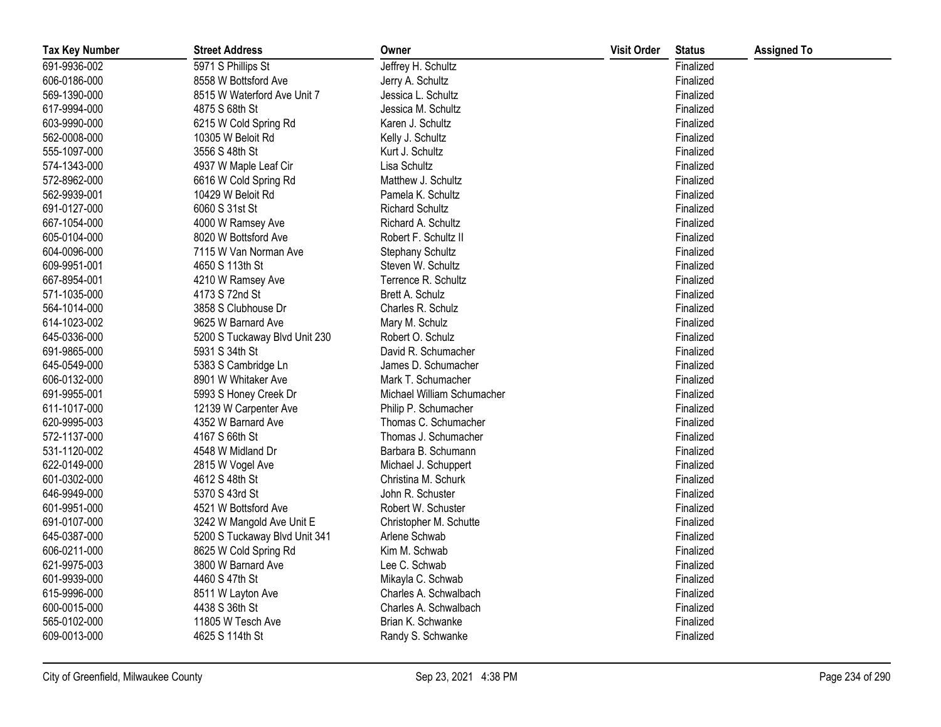| <b>Tax Key Number</b> | <b>Street Address</b>         | Owner                      | <b>Visit Order</b> | <b>Status</b> | <b>Assigned To</b> |
|-----------------------|-------------------------------|----------------------------|--------------------|---------------|--------------------|
| 691-9936-002          | 5971 S Phillips St            | Jeffrey H. Schultz         |                    | Finalized     |                    |
| 606-0186-000          | 8558 W Bottsford Ave          | Jerry A. Schultz           |                    | Finalized     |                    |
| 569-1390-000          | 8515 W Waterford Ave Unit 7   | Jessica L. Schultz         |                    | Finalized     |                    |
| 617-9994-000          | 4875 S 68th St                | Jessica M. Schultz         |                    | Finalized     |                    |
| 603-9990-000          | 6215 W Cold Spring Rd         | Karen J. Schultz           |                    | Finalized     |                    |
| 562-0008-000          | 10305 W Beloit Rd             | Kelly J. Schultz           |                    | Finalized     |                    |
| 555-1097-000          | 3556 S 48th St                | Kurt J. Schultz            |                    | Finalized     |                    |
| 574-1343-000          | 4937 W Maple Leaf Cir         | Lisa Schultz               |                    | Finalized     |                    |
| 572-8962-000          | 6616 W Cold Spring Rd         | Matthew J. Schultz         |                    | Finalized     |                    |
| 562-9939-001          | 10429 W Beloit Rd             | Pamela K. Schultz          |                    | Finalized     |                    |
| 691-0127-000          | 6060 S 31st St                | <b>Richard Schultz</b>     |                    | Finalized     |                    |
| 667-1054-000          | 4000 W Ramsey Ave             | Richard A. Schultz         |                    | Finalized     |                    |
| 605-0104-000          | 8020 W Bottsford Ave          | Robert F. Schultz II       |                    | Finalized     |                    |
| 604-0096-000          | 7115 W Van Norman Ave         | Stephany Schultz           |                    | Finalized     |                    |
| 609-9951-001          | 4650 S 113th St               | Steven W. Schultz          |                    | Finalized     |                    |
| 667-8954-001          | 4210 W Ramsey Ave             | Terrence R. Schultz        |                    | Finalized     |                    |
| 571-1035-000          | 4173 S 72nd St                | Brett A. Schulz            |                    | Finalized     |                    |
| 564-1014-000          | 3858 S Clubhouse Dr           | Charles R. Schulz          |                    | Finalized     |                    |
| 614-1023-002          | 9625 W Barnard Ave            | Mary M. Schulz             |                    | Finalized     |                    |
| 645-0336-000          | 5200 S Tuckaway Blvd Unit 230 | Robert O. Schulz           |                    | Finalized     |                    |
| 691-9865-000          | 5931 S 34th St                | David R. Schumacher        |                    | Finalized     |                    |
| 645-0549-000          | 5383 S Cambridge Ln           | James D. Schumacher        |                    | Finalized     |                    |
| 606-0132-000          | 8901 W Whitaker Ave           | Mark T. Schumacher         |                    | Finalized     |                    |
| 691-9955-001          | 5993 S Honey Creek Dr         | Michael William Schumacher |                    | Finalized     |                    |
| 611-1017-000          | 12139 W Carpenter Ave         | Philip P. Schumacher       |                    | Finalized     |                    |
| 620-9995-003          | 4352 W Barnard Ave            | Thomas C. Schumacher       |                    | Finalized     |                    |
| 572-1137-000          | 4167 S 66th St                | Thomas J. Schumacher       |                    | Finalized     |                    |
| 531-1120-002          | 4548 W Midland Dr             | Barbara B. Schumann        |                    | Finalized     |                    |
| 622-0149-000          | 2815 W Vogel Ave              | Michael J. Schuppert       |                    | Finalized     |                    |
| 601-0302-000          | 4612 S 48th St                | Christina M. Schurk        |                    | Finalized     |                    |
| 646-9949-000          | 5370 S 43rd St                | John R. Schuster           |                    | Finalized     |                    |
| 601-9951-000          | 4521 W Bottsford Ave          | Robert W. Schuster         |                    | Finalized     |                    |
| 691-0107-000          | 3242 W Mangold Ave Unit E     | Christopher M. Schutte     |                    | Finalized     |                    |
| 645-0387-000          | 5200 S Tuckaway Blvd Unit 341 | Arlene Schwab              |                    | Finalized     |                    |
| 606-0211-000          | 8625 W Cold Spring Rd         | Kim M. Schwab              |                    | Finalized     |                    |
| 621-9975-003          | 3800 W Barnard Ave            | Lee C. Schwab              |                    | Finalized     |                    |
| 601-9939-000          | 4460 S 47th St                | Mikayla C. Schwab          |                    | Finalized     |                    |
| 615-9996-000          | 8511 W Layton Ave             | Charles A. Schwalbach      |                    | Finalized     |                    |
| 600-0015-000          | 4438 S 36th St                | Charles A. Schwalbach      |                    | Finalized     |                    |
| 565-0102-000          | 11805 W Tesch Ave             | Brian K. Schwanke          |                    | Finalized     |                    |
| 609-0013-000          | 4625 S 114th St               | Randy S. Schwanke          |                    | Finalized     |                    |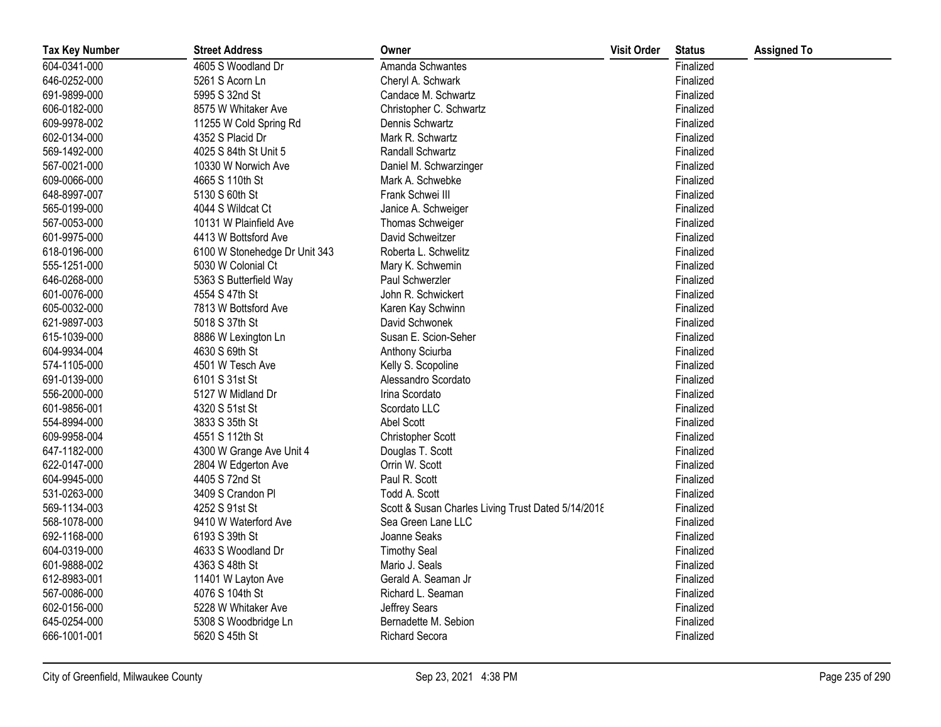| <b>Tax Key Number</b> | <b>Street Address</b>         | Owner                                              | <b>Visit Order</b> | <b>Status</b> | <b>Assigned To</b> |
|-----------------------|-------------------------------|----------------------------------------------------|--------------------|---------------|--------------------|
| 604-0341-000          | 4605 S Woodland Dr            | Amanda Schwantes                                   |                    | Finalized     |                    |
| 646-0252-000          | 5261 S Acorn Ln               | Cheryl A. Schwark                                  |                    | Finalized     |                    |
| 691-9899-000          | 5995 S 32nd St                | Candace M. Schwartz                                |                    | Finalized     |                    |
| 606-0182-000          | 8575 W Whitaker Ave           | Christopher C. Schwartz                            |                    | Finalized     |                    |
| 609-9978-002          | 11255 W Cold Spring Rd        | Dennis Schwartz                                    |                    | Finalized     |                    |
| 602-0134-000          | 4352 S Placid Dr              | Mark R. Schwartz                                   |                    | Finalized     |                    |
| 569-1492-000          | 4025 S 84th St Unit 5         | Randall Schwartz                                   |                    | Finalized     |                    |
| 567-0021-000          | 10330 W Norwich Ave           | Daniel M. Schwarzinger                             |                    | Finalized     |                    |
| 609-0066-000          | 4665 S 110th St               | Mark A. Schwebke                                   |                    | Finalized     |                    |
| 648-8997-007          | 5130 S 60th St                | Frank Schwei III                                   |                    | Finalized     |                    |
| 565-0199-000          | 4044 S Wildcat Ct             | Janice A. Schweiger                                |                    | Finalized     |                    |
| 567-0053-000          | 10131 W Plainfield Ave        | Thomas Schweiger                                   |                    | Finalized     |                    |
| 601-9975-000          | 4413 W Bottsford Ave          | David Schweitzer                                   |                    | Finalized     |                    |
| 618-0196-000          | 6100 W Stonehedge Dr Unit 343 | Roberta L. Schwelitz                               |                    | Finalized     |                    |
| 555-1251-000          | 5030 W Colonial Ct            | Mary K. Schwemin                                   |                    | Finalized     |                    |
| 646-0268-000          | 5363 S Butterfield Way        | Paul Schwerzler                                    |                    | Finalized     |                    |
| 601-0076-000          | 4554 S 47th St                | John R. Schwickert                                 |                    | Finalized     |                    |
| 605-0032-000          | 7813 W Bottsford Ave          | Karen Kay Schwinn                                  |                    | Finalized     |                    |
| 621-9897-003          | 5018 S 37th St                | David Schwonek                                     |                    | Finalized     |                    |
| 615-1039-000          | 8886 W Lexington Ln           | Susan E. Scion-Seher                               |                    | Finalized     |                    |
| 604-9934-004          | 4630 S 69th St                | Anthony Sciurba                                    |                    | Finalized     |                    |
| 574-1105-000          | 4501 W Tesch Ave              | Kelly S. Scopoline                                 |                    | Finalized     |                    |
| 691-0139-000          | 6101 S 31st St                | Alessandro Scordato                                |                    | Finalized     |                    |
| 556-2000-000          | 5127 W Midland Dr             | Irina Scordato                                     |                    | Finalized     |                    |
| 601-9856-001          | 4320 S 51st St                | Scordato LLC                                       |                    | Finalized     |                    |
| 554-8994-000          | 3833 S 35th St                | Abel Scott                                         |                    | Finalized     |                    |
| 609-9958-004          | 4551 S 112th St               | Christopher Scott                                  |                    | Finalized     |                    |
| 647-1182-000          | 4300 W Grange Ave Unit 4      | Douglas T. Scott                                   |                    | Finalized     |                    |
| 622-0147-000          | 2804 W Edgerton Ave           | Orrin W. Scott                                     |                    | Finalized     |                    |
| 604-9945-000          | 4405 S 72nd St                | Paul R. Scott                                      |                    | Finalized     |                    |
| 531-0263-000          | 3409 S Crandon Pl             | Todd A. Scott                                      |                    | Finalized     |                    |
| 569-1134-003          | 4252 S 91st St                | Scott & Susan Charles Living Trust Dated 5/14/2018 |                    | Finalized     |                    |
| 568-1078-000          | 9410 W Waterford Ave          | Sea Green Lane LLC                                 |                    | Finalized     |                    |
| 692-1168-000          | 6193 S 39th St                | Joanne Seaks                                       |                    | Finalized     |                    |
| 604-0319-000          | 4633 S Woodland Dr            | <b>Timothy Seal</b>                                |                    | Finalized     |                    |
| 601-9888-002          | 4363 S 48th St                | Mario J. Seals                                     |                    | Finalized     |                    |
| 612-8983-001          | 11401 W Layton Ave            | Gerald A. Seaman Jr                                |                    | Finalized     |                    |
| 567-0086-000          | 4076 S 104th St               | Richard L. Seaman                                  |                    | Finalized     |                    |
| 602-0156-000          | 5228 W Whitaker Ave           | Jeffrey Sears                                      |                    | Finalized     |                    |
| 645-0254-000          | 5308 S Woodbridge Ln          | Bernadette M. Sebion                               |                    | Finalized     |                    |
| 666-1001-001          | 5620 S 45th St                | Richard Secora                                     |                    | Finalized     |                    |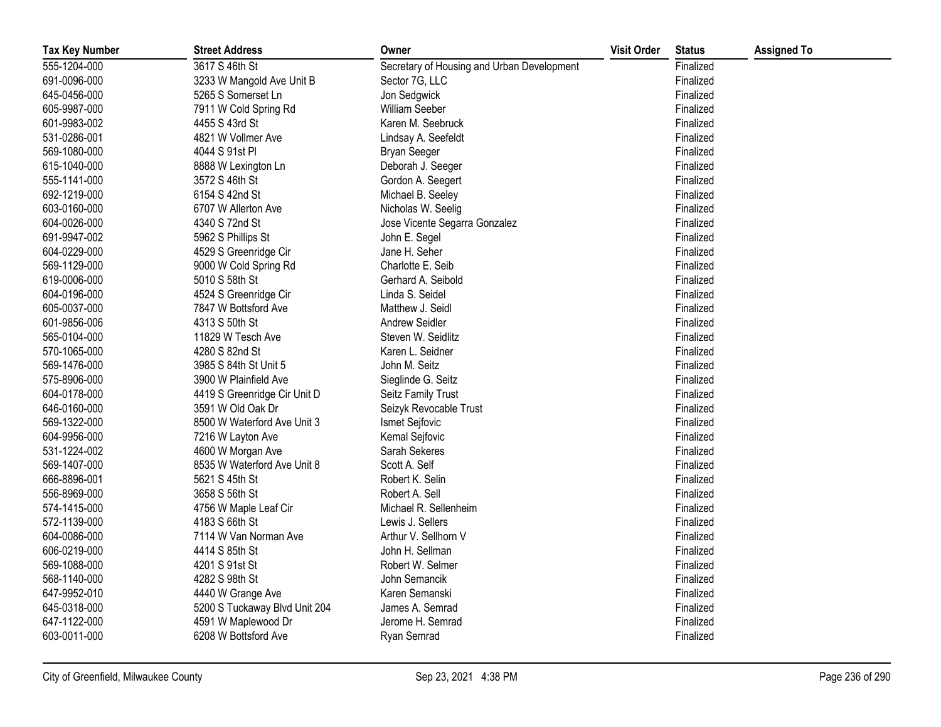| <b>Tax Key Number</b> | <b>Street Address</b>         | Owner                                      | <b>Visit Order</b> | <b>Status</b> | <b>Assigned To</b> |
|-----------------------|-------------------------------|--------------------------------------------|--------------------|---------------|--------------------|
| 555-1204-000          | 3617 S 46th St                | Secretary of Housing and Urban Development |                    | Finalized     |                    |
| 691-0096-000          | 3233 W Mangold Ave Unit B     | Sector 7G, LLC                             |                    | Finalized     |                    |
| 645-0456-000          | 5265 S Somerset Ln            | Jon Sedgwick                               |                    | Finalized     |                    |
| 605-9987-000          | 7911 W Cold Spring Rd         | William Seeber                             |                    | Finalized     |                    |
| 601-9983-002          | 4455 S 43rd St                | Karen M. Seebruck                          |                    | Finalized     |                    |
| 531-0286-001          | 4821 W Vollmer Ave            | Lindsay A. Seefeldt                        |                    | Finalized     |                    |
| 569-1080-000          | 4044 S 91st PI                | <b>Bryan Seeger</b>                        |                    | Finalized     |                    |
| 615-1040-000          | 8888 W Lexington Ln           | Deborah J. Seeger                          |                    | Finalized     |                    |
| 555-1141-000          | 3572 S 46th St                | Gordon A. Seegert                          |                    | Finalized     |                    |
| 692-1219-000          | 6154 S 42nd St                | Michael B. Seeley                          |                    | Finalized     |                    |
| 603-0160-000          | 6707 W Allerton Ave           | Nicholas W. Seelig                         |                    | Finalized     |                    |
| 604-0026-000          | 4340 S 72nd St                | Jose Vicente Segarra Gonzalez              |                    | Finalized     |                    |
| 691-9947-002          | 5962 S Phillips St            | John E. Segel                              |                    | Finalized     |                    |
| 604-0229-000          | 4529 S Greenridge Cir         | Jane H. Seher                              |                    | Finalized     |                    |
| 569-1129-000          | 9000 W Cold Spring Rd         | Charlotte E. Seib                          |                    | Finalized     |                    |
| 619-0006-000          | 5010 S 58th St                | Gerhard A. Seibold                         |                    | Finalized     |                    |
| 604-0196-000          | 4524 S Greenridge Cir         | Linda S. Seidel                            |                    | Finalized     |                    |
| 605-0037-000          | 7847 W Bottsford Ave          | Matthew J. Seidl                           |                    | Finalized     |                    |
| 601-9856-006          | 4313 S 50th St                | Andrew Seidler                             |                    | Finalized     |                    |
| 565-0104-000          | 11829 W Tesch Ave             | Steven W. Seidlitz                         |                    | Finalized     |                    |
| 570-1065-000          | 4280 S 82nd St                | Karen L. Seidner                           |                    | Finalized     |                    |
| 569-1476-000          | 3985 S 84th St Unit 5         | John M. Seitz                              |                    | Finalized     |                    |
| 575-8906-000          | 3900 W Plainfield Ave         | Sieglinde G. Seitz                         |                    | Finalized     |                    |
| 604-0178-000          | 4419 S Greenridge Cir Unit D  | Seitz Family Trust                         |                    | Finalized     |                    |
| 646-0160-000          | 3591 W Old Oak Dr             | Seizyk Revocable Trust                     |                    | Finalized     |                    |
| 569-1322-000          | 8500 W Waterford Ave Unit 3   | Ismet Sejfovic                             |                    | Finalized     |                    |
| 604-9956-000          | 7216 W Layton Ave             | Kemal Sejfovic                             |                    | Finalized     |                    |
| 531-1224-002          | 4600 W Morgan Ave             | Sarah Sekeres                              |                    | Finalized     |                    |
| 569-1407-000          | 8535 W Waterford Ave Unit 8   | Scott A. Self                              |                    | Finalized     |                    |
| 666-8896-001          | 5621 S 45th St                | Robert K. Selin                            |                    | Finalized     |                    |
| 556-8969-000          | 3658 S 56th St                | Robert A. Sell                             |                    | Finalized     |                    |
| 574-1415-000          | 4756 W Maple Leaf Cir         | Michael R. Sellenheim                      |                    | Finalized     |                    |
| 572-1139-000          | 4183 S 66th St                | Lewis J. Sellers                           |                    | Finalized     |                    |
| 604-0086-000          | 7114 W Van Norman Ave         | Arthur V. Sellhorn V                       |                    | Finalized     |                    |
| 606-0219-000          | 4414 S 85th St                | John H. Sellman                            |                    | Finalized     |                    |
| 569-1088-000          | 4201 S 91st St                | Robert W. Selmer                           |                    | Finalized     |                    |
| 568-1140-000          | 4282 S 98th St                | John Semancik                              |                    | Finalized     |                    |
| 647-9952-010          | 4440 W Grange Ave             | Karen Semanski                             |                    | Finalized     |                    |
| 645-0318-000          | 5200 S Tuckaway Blvd Unit 204 | James A. Semrad                            |                    | Finalized     |                    |
| 647-1122-000          | 4591 W Maplewood Dr           | Jerome H. Semrad                           |                    | Finalized     |                    |
| 603-0011-000          | 6208 W Bottsford Ave          | Ryan Semrad                                |                    | Finalized     |                    |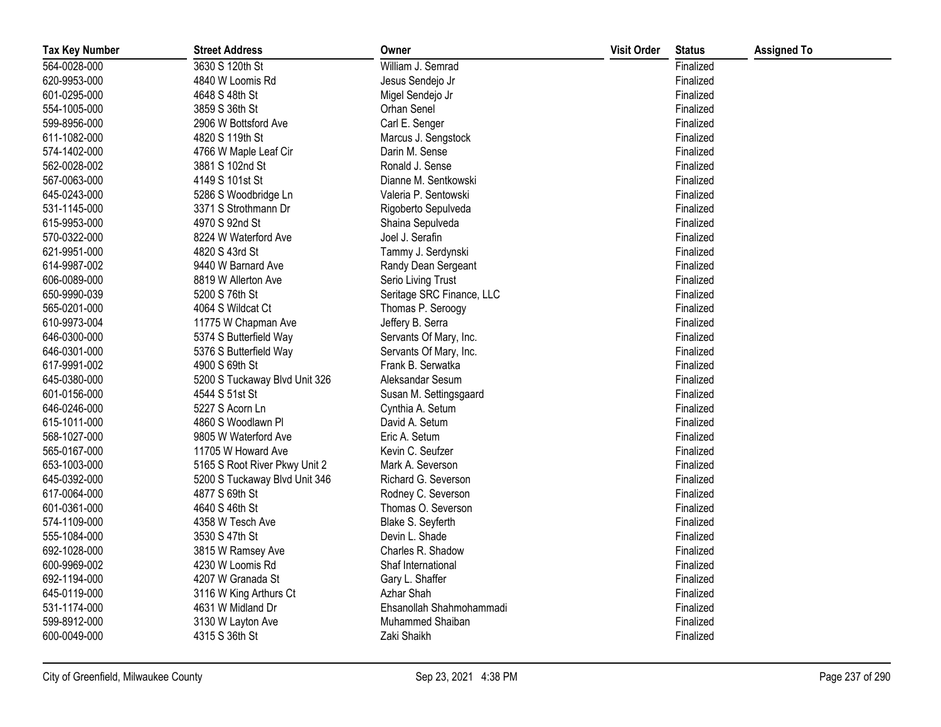| <b>Tax Key Number</b> | <b>Street Address</b>         | Owner                     | <b>Visit Order</b> | <b>Status</b> | <b>Assigned To</b> |
|-----------------------|-------------------------------|---------------------------|--------------------|---------------|--------------------|
| 564-0028-000          | 3630 S 120th St               | William J. Semrad         |                    | Finalized     |                    |
| 620-9953-000          | 4840 W Loomis Rd              | Jesus Sendejo Jr          |                    | Finalized     |                    |
| 601-0295-000          | 4648 S 48th St                | Migel Sendejo Jr          |                    | Finalized     |                    |
| 554-1005-000          | 3859 S 36th St                | Orhan Senel               |                    | Finalized     |                    |
| 599-8956-000          | 2906 W Bottsford Ave          | Carl E. Senger            |                    | Finalized     |                    |
| 611-1082-000          | 4820 S 119th St               | Marcus J. Sengstock       |                    | Finalized     |                    |
| 574-1402-000          | 4766 W Maple Leaf Cir         | Darin M. Sense            |                    | Finalized     |                    |
| 562-0028-002          | 3881 S 102nd St               | Ronald J. Sense           |                    | Finalized     |                    |
| 567-0063-000          | 4149 S 101st St               | Dianne M. Sentkowski      |                    | Finalized     |                    |
| 645-0243-000          | 5286 S Woodbridge Ln          | Valeria P. Sentowski      |                    | Finalized     |                    |
| 531-1145-000          | 3371 S Strothmann Dr          | Rigoberto Sepulveda       |                    | Finalized     |                    |
| 615-9953-000          | 4970 S 92nd St                | Shaina Sepulveda          |                    | Finalized     |                    |
| 570-0322-000          | 8224 W Waterford Ave          | Joel J. Serafin           |                    | Finalized     |                    |
| 621-9951-000          | 4820 S 43rd St                | Tammy J. Serdynski        |                    | Finalized     |                    |
| 614-9987-002          | 9440 W Barnard Ave            | Randy Dean Sergeant       |                    | Finalized     |                    |
| 606-0089-000          | 8819 W Allerton Ave           | Serio Living Trust        |                    | Finalized     |                    |
| 650-9990-039          | 5200 S 76th St                | Seritage SRC Finance, LLC |                    | Finalized     |                    |
| 565-0201-000          | 4064 S Wildcat Ct             | Thomas P. Seroogy         |                    | Finalized     |                    |
| 610-9973-004          | 11775 W Chapman Ave           | Jeffery B. Serra          |                    | Finalized     |                    |
| 646-0300-000          | 5374 S Butterfield Way        | Servants Of Mary, Inc.    |                    | Finalized     |                    |
| 646-0301-000          | 5376 S Butterfield Way        | Servants Of Mary, Inc.    |                    | Finalized     |                    |
| 617-9991-002          | 4900 S 69th St                | Frank B. Serwatka         |                    | Finalized     |                    |
| 645-0380-000          | 5200 S Tuckaway Blvd Unit 326 | Aleksandar Sesum          |                    | Finalized     |                    |
| 601-0156-000          | 4544 S 51st St                | Susan M. Settingsgaard    |                    | Finalized     |                    |
| 646-0246-000          | 5227 S Acorn Ln               | Cynthia A. Setum          |                    | Finalized     |                    |
| 615-1011-000          | 4860 S Woodlawn Pl            | David A. Setum            |                    | Finalized     |                    |
| 568-1027-000          | 9805 W Waterford Ave          | Eric A. Setum             |                    | Finalized     |                    |
| 565-0167-000          | 11705 W Howard Ave            | Kevin C. Seufzer          |                    | Finalized     |                    |
| 653-1003-000          | 5165 S Root River Pkwy Unit 2 | Mark A. Severson          |                    | Finalized     |                    |
| 645-0392-000          | 5200 S Tuckaway Blvd Unit 346 | Richard G. Severson       |                    | Finalized     |                    |
| 617-0064-000          | 4877 S 69th St                | Rodney C. Severson        |                    | Finalized     |                    |
| 601-0361-000          | 4640 S 46th St                | Thomas O. Severson        |                    | Finalized     |                    |
| 574-1109-000          | 4358 W Tesch Ave              | Blake S. Seyferth         |                    | Finalized     |                    |
| 555-1084-000          | 3530 S 47th St                | Devin L. Shade            |                    | Finalized     |                    |
| 692-1028-000          | 3815 W Ramsey Ave             | Charles R. Shadow         |                    | Finalized     |                    |
| 600-9969-002          | 4230 W Loomis Rd              | Shaf International        |                    | Finalized     |                    |
| 692-1194-000          | 4207 W Granada St             | Gary L. Shaffer           |                    | Finalized     |                    |
| 645-0119-000          | 3116 W King Arthurs Ct        | Azhar Shah                |                    | Finalized     |                    |
| 531-1174-000          | 4631 W Midland Dr             | Ehsanollah Shahmohammadi  |                    | Finalized     |                    |
| 599-8912-000          | 3130 W Layton Ave             | Muhammed Shaiban          |                    | Finalized     |                    |
| 600-0049-000          | 4315 S 36th St                | Zaki Shaikh               |                    | Finalized     |                    |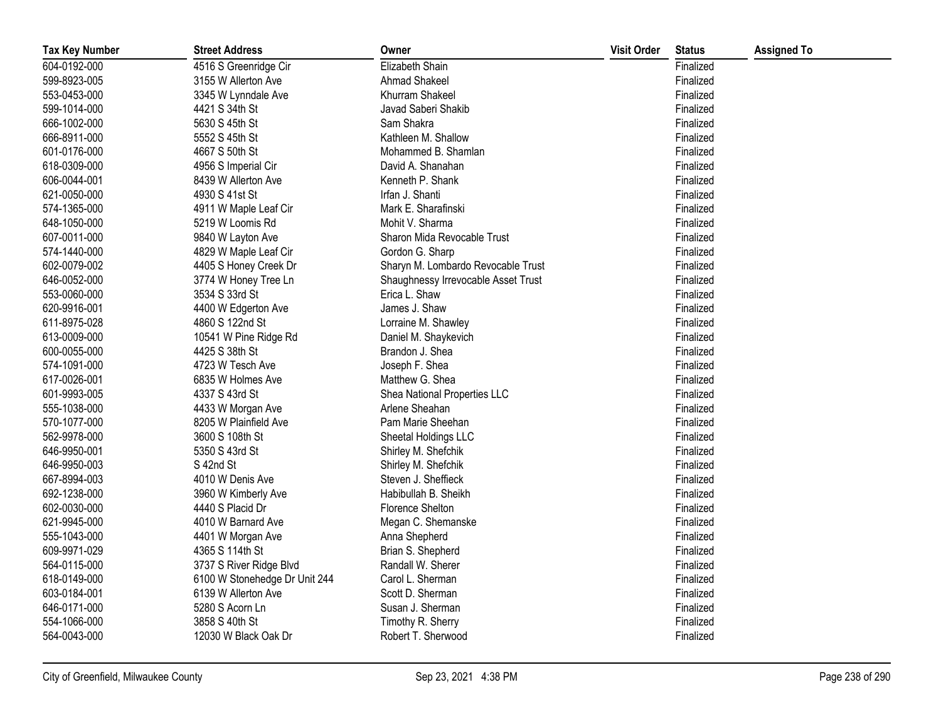| <b>Tax Key Number</b> | <b>Street Address</b>         | Owner                               | <b>Visit Order</b> | <b>Status</b> | <b>Assigned To</b> |
|-----------------------|-------------------------------|-------------------------------------|--------------------|---------------|--------------------|
| 604-0192-000          | 4516 S Greenridge Cir         | Elizabeth Shain                     |                    | Finalized     |                    |
| 599-8923-005          | 3155 W Allerton Ave           | Ahmad Shakeel                       |                    | Finalized     |                    |
| 553-0453-000          | 3345 W Lynndale Ave           | Khurram Shakeel                     |                    | Finalized     |                    |
| 599-1014-000          | 4421 S 34th St                | Javad Saberi Shakib                 |                    | Finalized     |                    |
| 666-1002-000          | 5630 S 45th St                | Sam Shakra                          |                    | Finalized     |                    |
| 666-8911-000          | 5552 S 45th St                | Kathleen M. Shallow                 |                    | Finalized     |                    |
| 601-0176-000          | 4667 S 50th St                | Mohammed B. Shamlan                 |                    | Finalized     |                    |
| 618-0309-000          | 4956 S Imperial Cir           | David A. Shanahan                   |                    | Finalized     |                    |
| 606-0044-001          | 8439 W Allerton Ave           | Kenneth P. Shank                    |                    | Finalized     |                    |
| 621-0050-000          | 4930 S 41st St                | Irfan J. Shanti                     |                    | Finalized     |                    |
| 574-1365-000          | 4911 W Maple Leaf Cir         | Mark E. Sharafinski                 |                    | Finalized     |                    |
| 648-1050-000          | 5219 W Loomis Rd              | Mohit V. Sharma                     |                    | Finalized     |                    |
| 607-0011-000          | 9840 W Layton Ave             | Sharon Mida Revocable Trust         |                    | Finalized     |                    |
| 574-1440-000          | 4829 W Maple Leaf Cir         | Gordon G. Sharp                     |                    | Finalized     |                    |
| 602-0079-002          | 4405 S Honey Creek Dr         | Sharyn M. Lombardo Revocable Trust  |                    | Finalized     |                    |
| 646-0052-000          | 3774 W Honey Tree Ln          | Shaughnessy Irrevocable Asset Trust |                    | Finalized     |                    |
| 553-0060-000          | 3534 S 33rd St                | Erica L. Shaw                       |                    | Finalized     |                    |
| 620-9916-001          | 4400 W Edgerton Ave           | James J. Shaw                       |                    | Finalized     |                    |
| 611-8975-028          | 4860 S 122nd St               | Lorraine M. Shawley                 |                    | Finalized     |                    |
| 613-0009-000          | 10541 W Pine Ridge Rd         | Daniel M. Shaykevich                |                    | Finalized     |                    |
| 600-0055-000          | 4425 S 38th St                | Brandon J. Shea                     |                    | Finalized     |                    |
| 574-1091-000          | 4723 W Tesch Ave              | Joseph F. Shea                      |                    | Finalized     |                    |
| 617-0026-001          | 6835 W Holmes Ave             | Matthew G. Shea                     |                    | Finalized     |                    |
| 601-9993-005          | 4337 S 43rd St                | Shea National Properties LLC        |                    | Finalized     |                    |
| 555-1038-000          | 4433 W Morgan Ave             | Arlene Sheahan                      |                    | Finalized     |                    |
| 570-1077-000          | 8205 W Plainfield Ave         | Pam Marie Sheehan                   |                    | Finalized     |                    |
| 562-9978-000          | 3600 S 108th St               | Sheetal Holdings LLC                |                    | Finalized     |                    |
| 646-9950-001          | 5350 S 43rd St                | Shirley M. Shefchik                 |                    | Finalized     |                    |
| 646-9950-003          | S 42nd St                     | Shirley M. Shefchik                 |                    | Finalized     |                    |
| 667-8994-003          | 4010 W Denis Ave              | Steven J. Sheffieck                 |                    | Finalized     |                    |
| 692-1238-000          | 3960 W Kimberly Ave           | Habibullah B. Sheikh                |                    | Finalized     |                    |
| 602-0030-000          | 4440 S Placid Dr              | <b>Florence Shelton</b>             |                    | Finalized     |                    |
| 621-9945-000          | 4010 W Barnard Ave            | Megan C. Shemanske                  |                    | Finalized     |                    |
| 555-1043-000          | 4401 W Morgan Ave             | Anna Shepherd                       |                    | Finalized     |                    |
| 609-9971-029          | 4365 S 114th St               | Brian S. Shepherd                   |                    | Finalized     |                    |
| 564-0115-000          | 3737 S River Ridge Blvd       | Randall W. Sherer                   |                    | Finalized     |                    |
| 618-0149-000          | 6100 W Stonehedge Dr Unit 244 | Carol L. Sherman                    |                    | Finalized     |                    |
| 603-0184-001          | 6139 W Allerton Ave           | Scott D. Sherman                    |                    | Finalized     |                    |
| 646-0171-000          | 5280 S Acorn Ln               | Susan J. Sherman                    |                    | Finalized     |                    |
| 554-1066-000          | 3858 S 40th St                | Timothy R. Sherry                   |                    | Finalized     |                    |
| 564-0043-000          | 12030 W Black Oak Dr          | Robert T. Sherwood                  |                    | Finalized     |                    |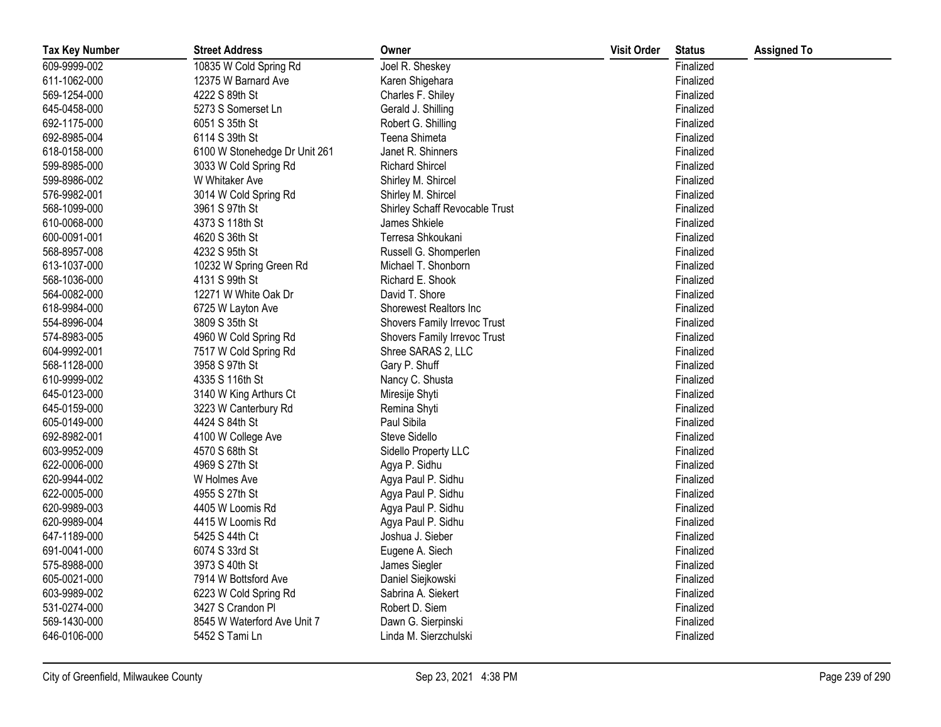| <b>Tax Key Number</b> | <b>Street Address</b>         | Owner                          | <b>Visit Order</b> | <b>Status</b> | <b>Assigned To</b> |
|-----------------------|-------------------------------|--------------------------------|--------------------|---------------|--------------------|
| 609-9999-002          | 10835 W Cold Spring Rd        | Joel R. Sheskey                |                    | Finalized     |                    |
| 611-1062-000          | 12375 W Barnard Ave           | Karen Shigehara                |                    | Finalized     |                    |
| 569-1254-000          | 4222 S 89th St                | Charles F. Shiley              |                    | Finalized     |                    |
| 645-0458-000          | 5273 S Somerset Ln            | Gerald J. Shilling             |                    | Finalized     |                    |
| 692-1175-000          | 6051 S 35th St                | Robert G. Shilling             |                    | Finalized     |                    |
| 692-8985-004          | 6114 S 39th St                | Teena Shimeta                  |                    | Finalized     |                    |
| 618-0158-000          | 6100 W Stonehedge Dr Unit 261 | Janet R. Shinners              |                    | Finalized     |                    |
| 599-8985-000          | 3033 W Cold Spring Rd         | <b>Richard Shircel</b>         |                    | Finalized     |                    |
| 599-8986-002          | W Whitaker Ave                | Shirley M. Shircel             |                    | Finalized     |                    |
| 576-9982-001          | 3014 W Cold Spring Rd         | Shirley M. Shircel             |                    | Finalized     |                    |
| 568-1099-000          | 3961 S 97th St                | Shirley Schaff Revocable Trust |                    | Finalized     |                    |
| 610-0068-000          | 4373 S 118th St               | James Shkiele                  |                    | Finalized     |                    |
| 600-0091-001          | 4620 S 36th St                | Terresa Shkoukani              |                    | Finalized     |                    |
| 568-8957-008          | 4232 S 95th St                | Russell G. Shomperlen          |                    | Finalized     |                    |
| 613-1037-000          | 10232 W Spring Green Rd       | Michael T. Shonborn            |                    | Finalized     |                    |
| 568-1036-000          | 4131 S 99th St                | Richard E. Shook               |                    | Finalized     |                    |
| 564-0082-000          | 12271 W White Oak Dr          | David T. Shore                 |                    | Finalized     |                    |
| 618-9984-000          | 6725 W Layton Ave             | Shorewest Realtors Inc         |                    | Finalized     |                    |
| 554-8996-004          | 3809 S 35th St                | Shovers Family Irrevoc Trust   |                    | Finalized     |                    |
| 574-8983-005          | 4960 W Cold Spring Rd         | Shovers Family Irrevoc Trust   |                    | Finalized     |                    |
| 604-9992-001          | 7517 W Cold Spring Rd         | Shree SARAS 2, LLC             |                    | Finalized     |                    |
| 568-1128-000          | 3958 S 97th St                | Gary P. Shuff                  |                    | Finalized     |                    |
| 610-9999-002          | 4335 S 116th St               | Nancy C. Shusta                |                    | Finalized     |                    |
| 645-0123-000          | 3140 W King Arthurs Ct        | Miresije Shyti                 |                    | Finalized     |                    |
| 645-0159-000          | 3223 W Canterbury Rd          | Remina Shyti                   |                    | Finalized     |                    |
| 605-0149-000          | 4424 S 84th St                | Paul Sibila                    |                    | Finalized     |                    |
| 692-8982-001          | 4100 W College Ave            | Steve Sidello                  |                    | Finalized     |                    |
| 603-9952-009          | 4570 S 68th St                | Sidello Property LLC           |                    | Finalized     |                    |
| 622-0006-000          | 4969 S 27th St                | Agya P. Sidhu                  |                    | Finalized     |                    |
| 620-9944-002          | W Holmes Ave                  | Agya Paul P. Sidhu             |                    | Finalized     |                    |
| 622-0005-000          | 4955 S 27th St                | Agya Paul P. Sidhu             |                    | Finalized     |                    |
| 620-9989-003          | 4405 W Loomis Rd              | Agya Paul P. Sidhu             |                    | Finalized     |                    |
| 620-9989-004          | 4415 W Loomis Rd              | Agya Paul P. Sidhu             |                    | Finalized     |                    |
| 647-1189-000          | 5425 S 44th Ct                | Joshua J. Sieber               |                    | Finalized     |                    |
| 691-0041-000          | 6074 S 33rd St                | Eugene A. Siech                |                    | Finalized     |                    |
| 575-8988-000          | 3973 S 40th St                | James Siegler                  |                    | Finalized     |                    |
| 605-0021-000          | 7914 W Bottsford Ave          | Daniel Siejkowski              |                    | Finalized     |                    |
| 603-9989-002          | 6223 W Cold Spring Rd         | Sabrina A. Siekert             |                    | Finalized     |                    |
| 531-0274-000          | 3427 S Crandon Pl             | Robert D. Siem                 |                    | Finalized     |                    |
| 569-1430-000          | 8545 W Waterford Ave Unit 7   | Dawn G. Sierpinski             |                    | Finalized     |                    |
| 646-0106-000          | 5452 S Tami Ln                | Linda M. Sierzchulski          |                    | Finalized     |                    |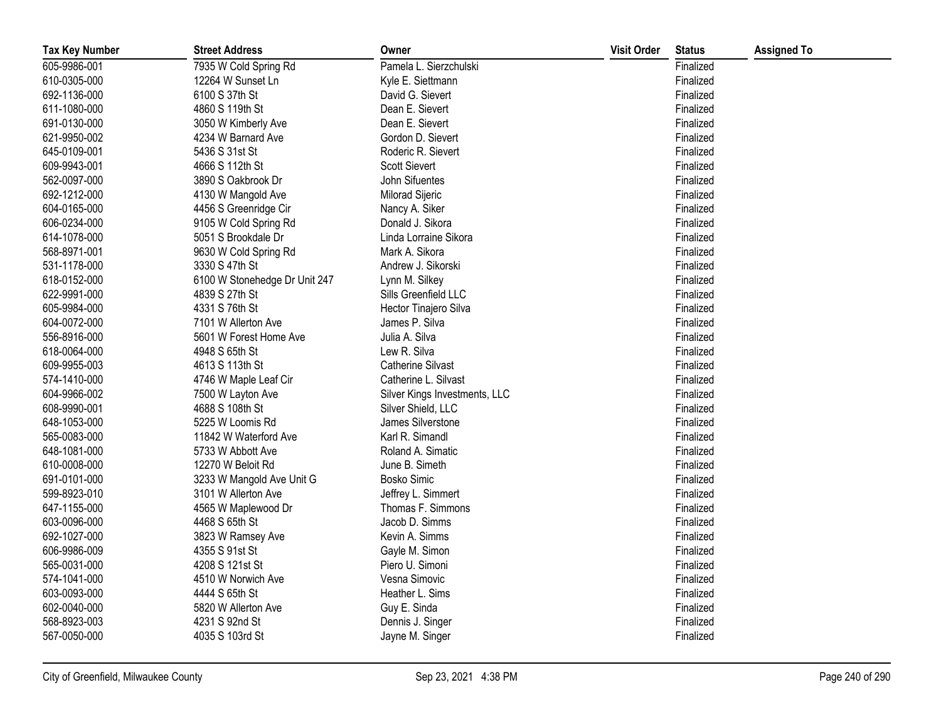| <b>Tax Key Number</b> | <b>Street Address</b>         | Owner                         | <b>Visit Order</b> | <b>Status</b> | <b>Assigned To</b> |
|-----------------------|-------------------------------|-------------------------------|--------------------|---------------|--------------------|
| 605-9986-001          | 7935 W Cold Spring Rd         | Pamela L. Sierzchulski        |                    | Finalized     |                    |
| 610-0305-000          | 12264 W Sunset Ln             | Kyle E. Siettmann             |                    | Finalized     |                    |
| 692-1136-000          | 6100 S 37th St                | David G. Sievert              |                    | Finalized     |                    |
| 611-1080-000          | 4860 S 119th St               | Dean E. Sievert               |                    | Finalized     |                    |
| 691-0130-000          | 3050 W Kimberly Ave           | Dean E. Sievert               |                    | Finalized     |                    |
| 621-9950-002          | 4234 W Barnard Ave            | Gordon D. Sievert             |                    | Finalized     |                    |
| 645-0109-001          | 5436 S 31st St                | Roderic R. Sievert            |                    | Finalized     |                    |
| 609-9943-001          | 4666 S 112th St               | <b>Scott Sievert</b>          |                    | Finalized     |                    |
| 562-0097-000          | 3890 S Oakbrook Dr            | John Sifuentes                |                    | Finalized     |                    |
| 692-1212-000          | 4130 W Mangold Ave            | Milorad Sijeric               |                    | Finalized     |                    |
| 604-0165-000          | 4456 S Greenridge Cir         | Nancy A. Siker                |                    | Finalized     |                    |
| 606-0234-000          | 9105 W Cold Spring Rd         | Donald J. Sikora              |                    | Finalized     |                    |
| 614-1078-000          | 5051 S Brookdale Dr           | Linda Lorraine Sikora         |                    | Finalized     |                    |
| 568-8971-001          | 9630 W Cold Spring Rd         | Mark A. Sikora                |                    | Finalized     |                    |
| 531-1178-000          | 3330 S 47th St                | Andrew J. Sikorski            |                    | Finalized     |                    |
| 618-0152-000          | 6100 W Stonehedge Dr Unit 247 | Lynn M. Silkey                |                    | Finalized     |                    |
| 622-9991-000          | 4839 S 27th St                | Sills Greenfield LLC          |                    | Finalized     |                    |
| 605-9984-000          | 4331 S 76th St                | Hector Tinajero Silva         |                    | Finalized     |                    |
| 604-0072-000          | 7101 W Allerton Ave           | James P. Silva                |                    | Finalized     |                    |
| 556-8916-000          | 5601 W Forest Home Ave        | Julia A. Silva                |                    | Finalized     |                    |
| 618-0064-000          | 4948 S 65th St                | Lew R. Silva                  |                    | Finalized     |                    |
| 609-9955-003          | 4613 S 113th St               | <b>Catherine Silvast</b>      |                    | Finalized     |                    |
| 574-1410-000          | 4746 W Maple Leaf Cir         | Catherine L. Silvast          |                    | Finalized     |                    |
| 604-9966-002          | 7500 W Layton Ave             | Silver Kings Investments, LLC |                    | Finalized     |                    |
| 608-9990-001          | 4688 S 108th St               | Silver Shield, LLC            |                    | Finalized     |                    |
| 648-1053-000          | 5225 W Loomis Rd              | James Silverstone             |                    | Finalized     |                    |
| 565-0083-000          | 11842 W Waterford Ave         | Karl R. Simandl               |                    | Finalized     |                    |
| 648-1081-000          | 5733 W Abbott Ave             | Roland A. Simatic             |                    | Finalized     |                    |
| 610-0008-000          | 12270 W Beloit Rd             | June B. Simeth                |                    | Finalized     |                    |
| 691-0101-000          | 3233 W Mangold Ave Unit G     | <b>Bosko Simic</b>            |                    | Finalized     |                    |
| 599-8923-010          | 3101 W Allerton Ave           | Jeffrey L. Simmert            |                    | Finalized     |                    |
| 647-1155-000          | 4565 W Maplewood Dr           | Thomas F. Simmons             |                    | Finalized     |                    |
| 603-0096-000          | 4468 S 65th St                | Jacob D. Simms                |                    | Finalized     |                    |
| 692-1027-000          | 3823 W Ramsey Ave             | Kevin A. Simms                |                    | Finalized     |                    |
| 606-9986-009          | 4355 S 91st St                | Gayle M. Simon                |                    | Finalized     |                    |
| 565-0031-000          | 4208 S 121st St               | Piero U. Simoni               |                    | Finalized     |                    |
| 574-1041-000          | 4510 W Norwich Ave            | Vesna Simovic                 |                    | Finalized     |                    |
| 603-0093-000          | 4444 S 65th St                | Heather L. Sims               |                    | Finalized     |                    |
| 602-0040-000          | 5820 W Allerton Ave           | Guy E. Sinda                  |                    | Finalized     |                    |
| 568-8923-003          | 4231 S 92nd St                | Dennis J. Singer              |                    | Finalized     |                    |
| 567-0050-000          | 4035 S 103rd St               | Jayne M. Singer               |                    | Finalized     |                    |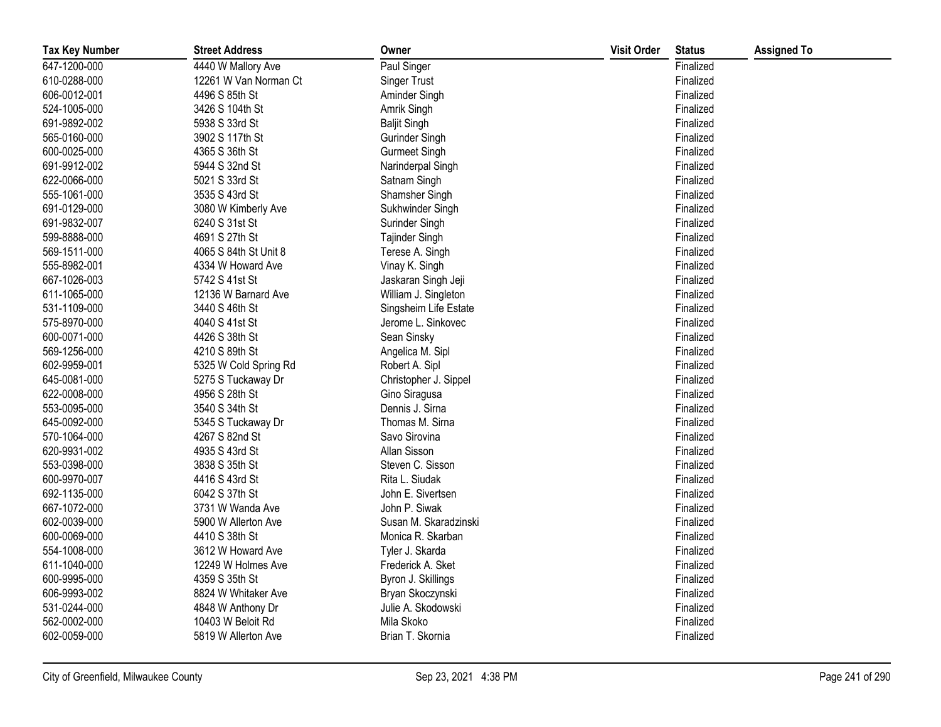| <b>Tax Key Number</b> | <b>Street Address</b> | Owner                 | <b>Visit Order</b> | <b>Status</b> | <b>Assigned To</b> |
|-----------------------|-----------------------|-----------------------|--------------------|---------------|--------------------|
| 647-1200-000          | 4440 W Mallory Ave    | Paul Singer           |                    | Finalized     |                    |
| 610-0288-000          | 12261 W Van Norman Ct | Singer Trust          |                    | Finalized     |                    |
| 606-0012-001          | 4496 S 85th St        | Aminder Singh         |                    | Finalized     |                    |
| 524-1005-000          | 3426 S 104th St       | Amrik Singh           |                    | Finalized     |                    |
| 691-9892-002          | 5938 S 33rd St        | <b>Baljit Singh</b>   |                    | Finalized     |                    |
| 565-0160-000          | 3902 S 117th St       | Gurinder Singh        |                    | Finalized     |                    |
| 600-0025-000          | 4365 S 36th St        | <b>Gurmeet Singh</b>  |                    | Finalized     |                    |
| 691-9912-002          | 5944 S 32nd St        | Narinderpal Singh     |                    | Finalized     |                    |
| 622-0066-000          | 5021 S 33rd St        | Satnam Singh          |                    | Finalized     |                    |
| 555-1061-000          | 3535 S 43rd St        | Shamsher Singh        |                    | Finalized     |                    |
| 691-0129-000          | 3080 W Kimberly Ave   | Sukhwinder Singh      |                    | Finalized     |                    |
| 691-9832-007          | 6240 S 31st St        | Surinder Singh        |                    | Finalized     |                    |
| 599-8888-000          | 4691 S 27th St        | Tajinder Singh        |                    | Finalized     |                    |
| 569-1511-000          | 4065 S 84th St Unit 8 | Terese A. Singh       |                    | Finalized     |                    |
| 555-8982-001          | 4334 W Howard Ave     | Vinay K. Singh        |                    | Finalized     |                    |
| 667-1026-003          | 5742 S 41st St        | Jaskaran Singh Jeji   |                    | Finalized     |                    |
| 611-1065-000          | 12136 W Barnard Ave   | William J. Singleton  |                    | Finalized     |                    |
| 531-1109-000          | 3440 S 46th St        | Singsheim Life Estate |                    | Finalized     |                    |
| 575-8970-000          | 4040 S 41st St        | Jerome L. Sinkovec    |                    | Finalized     |                    |
| 600-0071-000          | 4426 S 38th St        | Sean Sinsky           |                    | Finalized     |                    |
| 569-1256-000          | 4210 S 89th St        | Angelica M. Sipl      |                    | Finalized     |                    |
| 602-9959-001          | 5325 W Cold Spring Rd | Robert A. Sipl        |                    | Finalized     |                    |
| 645-0081-000          | 5275 S Tuckaway Dr    | Christopher J. Sippel |                    | Finalized     |                    |
| 622-0008-000          | 4956 S 28th St        | Gino Siragusa         |                    | Finalized     |                    |
| 553-0095-000          | 3540 S 34th St        | Dennis J. Sirna       |                    | Finalized     |                    |
| 645-0092-000          | 5345 S Tuckaway Dr    | Thomas M. Sirna       |                    | Finalized     |                    |
| 570-1064-000          | 4267 S 82nd St        | Savo Sirovina         |                    | Finalized     |                    |
| 620-9931-002          | 4935 S 43rd St        | Allan Sisson          |                    | Finalized     |                    |
| 553-0398-000          | 3838 S 35th St        | Steven C. Sisson      |                    | Finalized     |                    |
| 600-9970-007          | 4416 S 43rd St        | Rita L. Siudak        |                    | Finalized     |                    |
| 692-1135-000          | 6042 S 37th St        | John E. Sivertsen     |                    | Finalized     |                    |
| 667-1072-000          | 3731 W Wanda Ave      | John P. Siwak         |                    | Finalized     |                    |
| 602-0039-000          | 5900 W Allerton Ave   | Susan M. Skaradzinski |                    | Finalized     |                    |
| 600-0069-000          | 4410 S 38th St        | Monica R. Skarban     |                    | Finalized     |                    |
| 554-1008-000          | 3612 W Howard Ave     | Tyler J. Skarda       |                    | Finalized     |                    |
| 611-1040-000          | 12249 W Holmes Ave    | Frederick A. Sket     |                    | Finalized     |                    |
| 600-9995-000          | 4359 S 35th St        | Byron J. Skillings    |                    | Finalized     |                    |
| 606-9993-002          | 8824 W Whitaker Ave   | Bryan Skoczynski      |                    | Finalized     |                    |
| 531-0244-000          | 4848 W Anthony Dr     | Julie A. Skodowski    |                    | Finalized     |                    |
| 562-0002-000          | 10403 W Beloit Rd     | Mila Skoko            |                    | Finalized     |                    |
| 602-0059-000          | 5819 W Allerton Ave   | Brian T. Skornia      |                    | Finalized     |                    |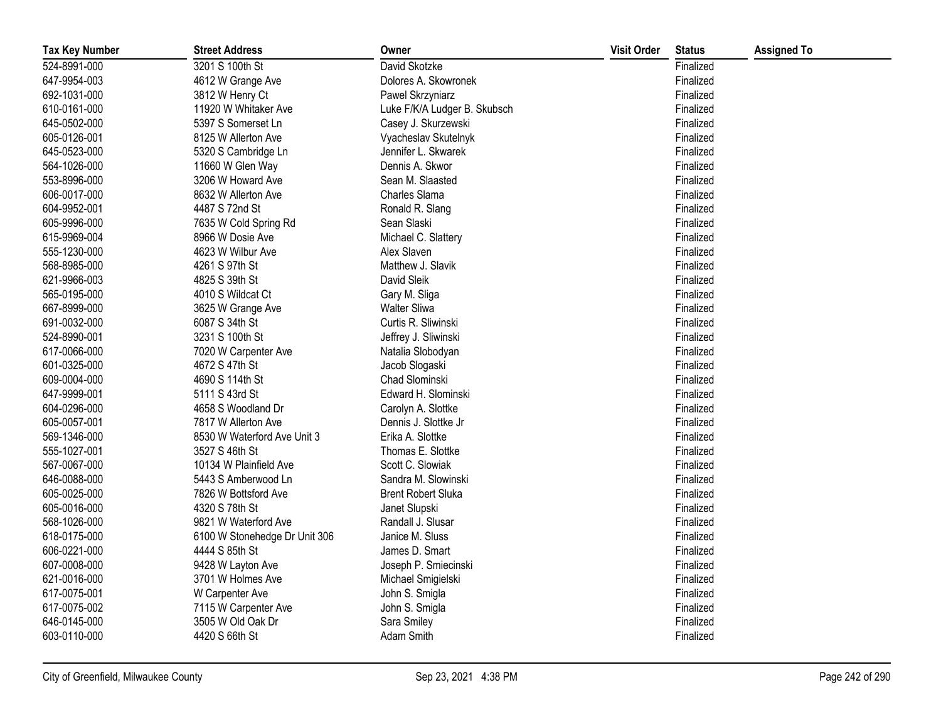| <b>Tax Key Number</b> | <b>Street Address</b>         | Owner                        | <b>Visit Order</b> | <b>Status</b> | <b>Assigned To</b> |
|-----------------------|-------------------------------|------------------------------|--------------------|---------------|--------------------|
| 524-8991-000          | 3201 S 100th St               | David Skotzke                |                    | Finalized     |                    |
| 647-9954-003          | 4612 W Grange Ave             | Dolores A. Skowronek         |                    | Finalized     |                    |
| 692-1031-000          | 3812 W Henry Ct               | Pawel Skrzyniarz             |                    | Finalized     |                    |
| 610-0161-000          | 11920 W Whitaker Ave          | Luke F/K/A Ludger B. Skubsch |                    | Finalized     |                    |
| 645-0502-000          | 5397 S Somerset Ln            | Casey J. Skurzewski          |                    | Finalized     |                    |
| 605-0126-001          | 8125 W Allerton Ave           | Vyacheslav Skutelnyk         |                    | Finalized     |                    |
| 645-0523-000          | 5320 S Cambridge Ln           | Jennifer L. Skwarek          |                    | Finalized     |                    |
| 564-1026-000          | 11660 W Glen Way              | Dennis A. Skwor              |                    | Finalized     |                    |
| 553-8996-000          | 3206 W Howard Ave             | Sean M. Slaasted             |                    | Finalized     |                    |
| 606-0017-000          | 8632 W Allerton Ave           | Charles Slama                |                    | Finalized     |                    |
| 604-9952-001          | 4487 S 72nd St                | Ronald R. Slang              |                    | Finalized     |                    |
| 605-9996-000          | 7635 W Cold Spring Rd         | Sean Slaski                  |                    | Finalized     |                    |
| 615-9969-004          | 8966 W Dosie Ave              | Michael C. Slattery          |                    | Finalized     |                    |
| 555-1230-000          | 4623 W Wilbur Ave             | Alex Slaven                  |                    | Finalized     |                    |
| 568-8985-000          | 4261 S 97th St                | Matthew J. Slavik            |                    | Finalized     |                    |
| 621-9966-003          | 4825 S 39th St                | David Sleik                  |                    | Finalized     |                    |
| 565-0195-000          | 4010 S Wildcat Ct             | Gary M. Sliga                |                    | Finalized     |                    |
| 667-8999-000          | 3625 W Grange Ave             | <b>Walter Sliwa</b>          |                    | Finalized     |                    |
| 691-0032-000          | 6087 S 34th St                | Curtis R. Sliwinski          |                    | Finalized     |                    |
| 524-8990-001          | 3231 S 100th St               | Jeffrey J. Sliwinski         |                    | Finalized     |                    |
| 617-0066-000          | 7020 W Carpenter Ave          | Natalia Slobodyan            |                    | Finalized     |                    |
| 601-0325-000          | 4672 S 47th St                | Jacob Slogaski               |                    | Finalized     |                    |
| 609-0004-000          | 4690 S 114th St               | Chad Slominski               |                    | Finalized     |                    |
| 647-9999-001          | 5111 S 43rd St                | Edward H. Slominski          |                    | Finalized     |                    |
| 604-0296-000          | 4658 S Woodland Dr            | Carolyn A. Slottke           |                    | Finalized     |                    |
| 605-0057-001          | 7817 W Allerton Ave           | Dennis J. Slottke Jr         |                    | Finalized     |                    |
| 569-1346-000          | 8530 W Waterford Ave Unit 3   | Erika A. Slottke             |                    | Finalized     |                    |
| 555-1027-001          | 3527 S 46th St                | Thomas E. Slottke            |                    | Finalized     |                    |
| 567-0067-000          | 10134 W Plainfield Ave        | Scott C. Slowiak             |                    | Finalized     |                    |
| 646-0088-000          | 5443 S Amberwood Ln           | Sandra M. Slowinski          |                    | Finalized     |                    |
| 605-0025-000          | 7826 W Bottsford Ave          | <b>Brent Robert Sluka</b>    |                    | Finalized     |                    |
| 605-0016-000          | 4320 S 78th St                | Janet Slupski                |                    | Finalized     |                    |
| 568-1026-000          | 9821 W Waterford Ave          | Randall J. Slusar            |                    | Finalized     |                    |
| 618-0175-000          | 6100 W Stonehedge Dr Unit 306 | Janice M. Sluss              |                    | Finalized     |                    |
| 606-0221-000          | 4444 S 85th St                | James D. Smart               |                    | Finalized     |                    |
| 607-0008-000          | 9428 W Layton Ave             | Joseph P. Smiecinski         |                    | Finalized     |                    |
| 621-0016-000          | 3701 W Holmes Ave             | Michael Smigielski           |                    | Finalized     |                    |
| 617-0075-001          | W Carpenter Ave               | John S. Smigla               |                    | Finalized     |                    |
| 617-0075-002          | 7115 W Carpenter Ave          | John S. Smigla               |                    | Finalized     |                    |
| 646-0145-000          | 3505 W Old Oak Dr             | Sara Smiley                  |                    | Finalized     |                    |
| 603-0110-000          | 4420 S 66th St                | Adam Smith                   |                    | Finalized     |                    |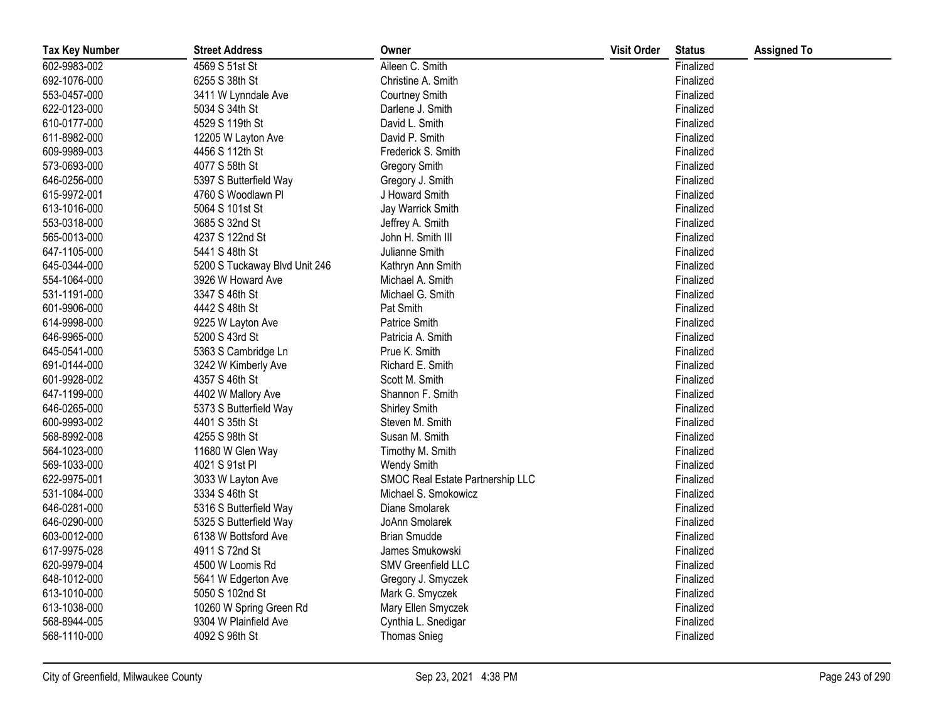| <b>Tax Key Number</b> | <b>Street Address</b>         | Owner                            | <b>Visit Order</b> | <b>Status</b> | <b>Assigned To</b> |
|-----------------------|-------------------------------|----------------------------------|--------------------|---------------|--------------------|
| 602-9983-002          | 4569 S 51st St                | Aileen C. Smith                  |                    | Finalized     |                    |
| 692-1076-000          | 6255 S 38th St                | Christine A. Smith               |                    | Finalized     |                    |
| 553-0457-000          | 3411 W Lynndale Ave           | Courtney Smith                   |                    | Finalized     |                    |
| 622-0123-000          | 5034 S 34th St                | Darlene J. Smith                 |                    | Finalized     |                    |
| 610-0177-000          | 4529 S 119th St               | David L. Smith                   |                    | Finalized     |                    |
| 611-8982-000          | 12205 W Layton Ave            | David P. Smith                   |                    | Finalized     |                    |
| 609-9989-003          | 4456 S 112th St               | Frederick S. Smith               |                    | Finalized     |                    |
| 573-0693-000          | 4077 S 58th St                | <b>Gregory Smith</b>             |                    | Finalized     |                    |
| 646-0256-000          | 5397 S Butterfield Way        | Gregory J. Smith                 |                    | Finalized     |                    |
| 615-9972-001          | 4760 S Woodlawn Pl            | J Howard Smith                   |                    | Finalized     |                    |
| 613-1016-000          | 5064 S 101st St               | Jay Warrick Smith                |                    | Finalized     |                    |
| 553-0318-000          | 3685 S 32nd St                | Jeffrey A. Smith                 |                    | Finalized     |                    |
| 565-0013-000          | 4237 S 122nd St               | John H. Smith III                |                    | Finalized     |                    |
| 647-1105-000          | 5441 S 48th St                | Julianne Smith                   |                    | Finalized     |                    |
| 645-0344-000          | 5200 S Tuckaway Blvd Unit 246 | Kathryn Ann Smith                |                    | Finalized     |                    |
| 554-1064-000          | 3926 W Howard Ave             | Michael A. Smith                 |                    | Finalized     |                    |
| 531-1191-000          | 3347 S 46th St                | Michael G. Smith                 |                    | Finalized     |                    |
| 601-9906-000          | 4442 S 48th St                | Pat Smith                        |                    | Finalized     |                    |
| 614-9998-000          | 9225 W Layton Ave             | Patrice Smith                    |                    | Finalized     |                    |
| 646-9965-000          | 5200 S 43rd St                | Patricia A. Smith                |                    | Finalized     |                    |
| 645-0541-000          | 5363 S Cambridge Ln           | Prue K. Smith                    |                    | Finalized     |                    |
| 691-0144-000          | 3242 W Kimberly Ave           | Richard E. Smith                 |                    | Finalized     |                    |
| 601-9928-002          | 4357 S 46th St                | Scott M. Smith                   |                    | Finalized     |                    |
| 647-1199-000          | 4402 W Mallory Ave            | Shannon F. Smith                 |                    | Finalized     |                    |
| 646-0265-000          | 5373 S Butterfield Way        | Shirley Smith                    |                    | Finalized     |                    |
| 600-9993-002          | 4401 S 35th St                | Steven M. Smith                  |                    | Finalized     |                    |
| 568-8992-008          | 4255 S 98th St                | Susan M. Smith                   |                    | Finalized     |                    |
| 564-1023-000          | 11680 W Glen Way              | Timothy M. Smith                 |                    | Finalized     |                    |
| 569-1033-000          | 4021 S 91st PI                | Wendy Smith                      |                    | Finalized     |                    |
| 622-9975-001          | 3033 W Layton Ave             | SMOC Real Estate Partnership LLC |                    | Finalized     |                    |
| 531-1084-000          | 3334 S 46th St                | Michael S. Smokowicz             |                    | Finalized     |                    |
| 646-0281-000          | 5316 S Butterfield Way        | Diane Smolarek                   |                    | Finalized     |                    |
| 646-0290-000          | 5325 S Butterfield Way        | JoAnn Smolarek                   |                    | Finalized     |                    |
| 603-0012-000          | 6138 W Bottsford Ave          | <b>Brian Smudde</b>              |                    | Finalized     |                    |
| 617-9975-028          | 4911 S 72nd St                | James Smukowski                  |                    | Finalized     |                    |
| 620-9979-004          | 4500 W Loomis Rd              | SMV Greenfield LLC               |                    | Finalized     |                    |
| 648-1012-000          | 5641 W Edgerton Ave           | Gregory J. Smyczek               |                    | Finalized     |                    |
| 613-1010-000          | 5050 S 102nd St               | Mark G. Smyczek                  |                    | Finalized     |                    |
| 613-1038-000          | 10260 W Spring Green Rd       | Mary Ellen Smyczek               |                    | Finalized     |                    |
| 568-8944-005          | 9304 W Plainfield Ave         | Cynthia L. Snedigar              |                    | Finalized     |                    |
| 568-1110-000          | 4092 S 96th St                | <b>Thomas Snieg</b>              |                    | Finalized     |                    |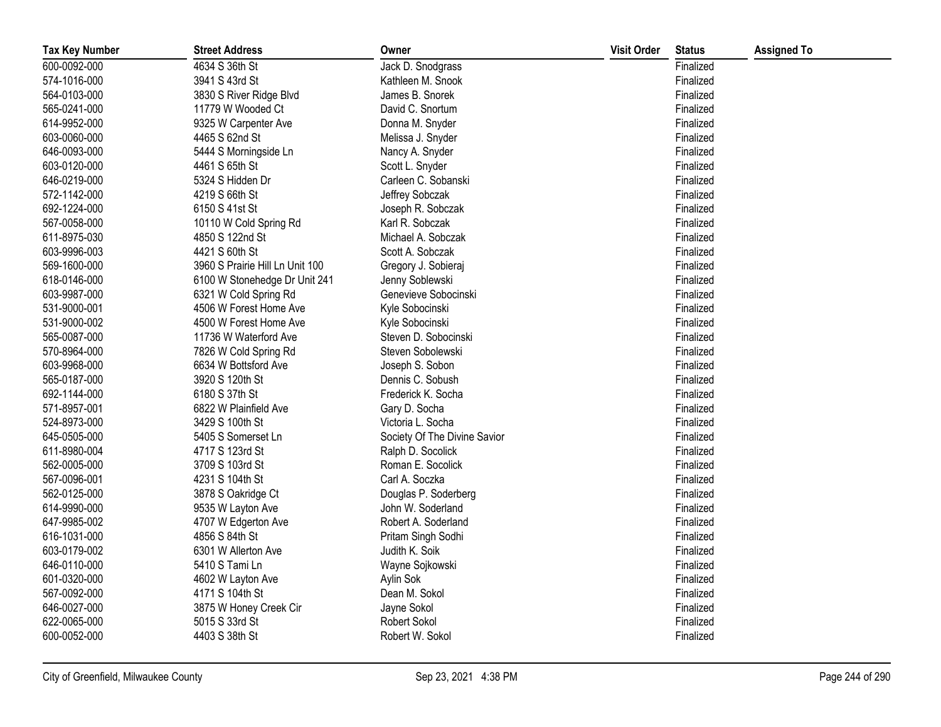| <b>Tax Key Number</b> | <b>Street Address</b>           | Owner                        | <b>Visit Order</b> | <b>Status</b> | <b>Assigned To</b> |
|-----------------------|---------------------------------|------------------------------|--------------------|---------------|--------------------|
| 600-0092-000          | 4634 S 36th St                  | Jack D. Snodgrass            |                    | Finalized     |                    |
| 574-1016-000          | 3941 S 43rd St                  | Kathleen M. Snook            |                    | Finalized     |                    |
| 564-0103-000          | 3830 S River Ridge Blvd         | James B. Snorek              |                    | Finalized     |                    |
| 565-0241-000          | 11779 W Wooded Ct               | David C. Snortum             |                    | Finalized     |                    |
| 614-9952-000          | 9325 W Carpenter Ave            | Donna M. Snyder              |                    | Finalized     |                    |
| 603-0060-000          | 4465 S 62nd St                  | Melissa J. Snyder            |                    | Finalized     |                    |
| 646-0093-000          | 5444 S Morningside Ln           | Nancy A. Snyder              |                    | Finalized     |                    |
| 603-0120-000          | 4461 S 65th St                  | Scott L. Snyder              |                    | Finalized     |                    |
| 646-0219-000          | 5324 S Hidden Dr                | Carleen C. Sobanski          |                    | Finalized     |                    |
| 572-1142-000          | 4219 S 66th St                  | Jeffrey Sobczak              |                    | Finalized     |                    |
| 692-1224-000          | 6150 S 41st St                  | Joseph R. Sobczak            |                    | Finalized     |                    |
| 567-0058-000          | 10110 W Cold Spring Rd          | Karl R. Sobczak              |                    | Finalized     |                    |
| 611-8975-030          | 4850 S 122nd St                 | Michael A. Sobczak           |                    | Finalized     |                    |
| 603-9996-003          | 4421 S 60th St                  | Scott A. Sobczak             |                    | Finalized     |                    |
| 569-1600-000          | 3960 S Prairie Hill Ln Unit 100 | Gregory J. Sobieraj          |                    | Finalized     |                    |
| 618-0146-000          | 6100 W Stonehedge Dr Unit 241   | Jenny Soblewski              |                    | Finalized     |                    |
| 603-9987-000          | 6321 W Cold Spring Rd           | Genevieve Sobocinski         |                    | Finalized     |                    |
| 531-9000-001          | 4506 W Forest Home Ave          | Kyle Sobocinski              |                    | Finalized     |                    |
| 531-9000-002          | 4500 W Forest Home Ave          | Kyle Sobocinski              |                    | Finalized     |                    |
| 565-0087-000          | 11736 W Waterford Ave           | Steven D. Sobocinski         |                    | Finalized     |                    |
| 570-8964-000          | 7826 W Cold Spring Rd           | Steven Sobolewski            |                    | Finalized     |                    |
| 603-9968-000          | 6634 W Bottsford Ave            | Joseph S. Sobon              |                    | Finalized     |                    |
| 565-0187-000          | 3920 S 120th St                 | Dennis C. Sobush             |                    | Finalized     |                    |
| 692-1144-000          | 6180 S 37th St                  | Frederick K. Socha           |                    | Finalized     |                    |
| 571-8957-001          | 6822 W Plainfield Ave           | Gary D. Socha                |                    | Finalized     |                    |
| 524-8973-000          | 3429 S 100th St                 | Victoria L. Socha            |                    | Finalized     |                    |
| 645-0505-000          | 5405 S Somerset Ln              | Society Of The Divine Savior |                    | Finalized     |                    |
| 611-8980-004          | 4717 S 123rd St                 | Ralph D. Socolick            |                    | Finalized     |                    |
| 562-0005-000          | 3709 S 103rd St                 | Roman E. Socolick            |                    | Finalized     |                    |
| 567-0096-001          | 4231 S 104th St                 | Carl A. Soczka               |                    | Finalized     |                    |
| 562-0125-000          | 3878 S Oakridge Ct              | Douglas P. Soderberg         |                    | Finalized     |                    |
| 614-9990-000          | 9535 W Layton Ave               | John W. Soderland            |                    | Finalized     |                    |
| 647-9985-002          | 4707 W Edgerton Ave             | Robert A. Soderland          |                    | Finalized     |                    |
| 616-1031-000          | 4856 S 84th St                  | Pritam Singh Sodhi           |                    | Finalized     |                    |
| 603-0179-002          | 6301 W Allerton Ave             | Judith K. Soik               |                    | Finalized     |                    |
| 646-0110-000          | 5410 S Tami Ln                  | Wayne Sojkowski              |                    | Finalized     |                    |
| 601-0320-000          | 4602 W Layton Ave               | Aylin Sok                    |                    | Finalized     |                    |
| 567-0092-000          | 4171 S 104th St                 | Dean M. Sokol                |                    | Finalized     |                    |
| 646-0027-000          | 3875 W Honey Creek Cir          | Jayne Sokol                  |                    | Finalized     |                    |
| 622-0065-000          | 5015 S 33rd St                  | Robert Sokol                 |                    | Finalized     |                    |
| 600-0052-000          | 4403 S 38th St                  | Robert W. Sokol              |                    | Finalized     |                    |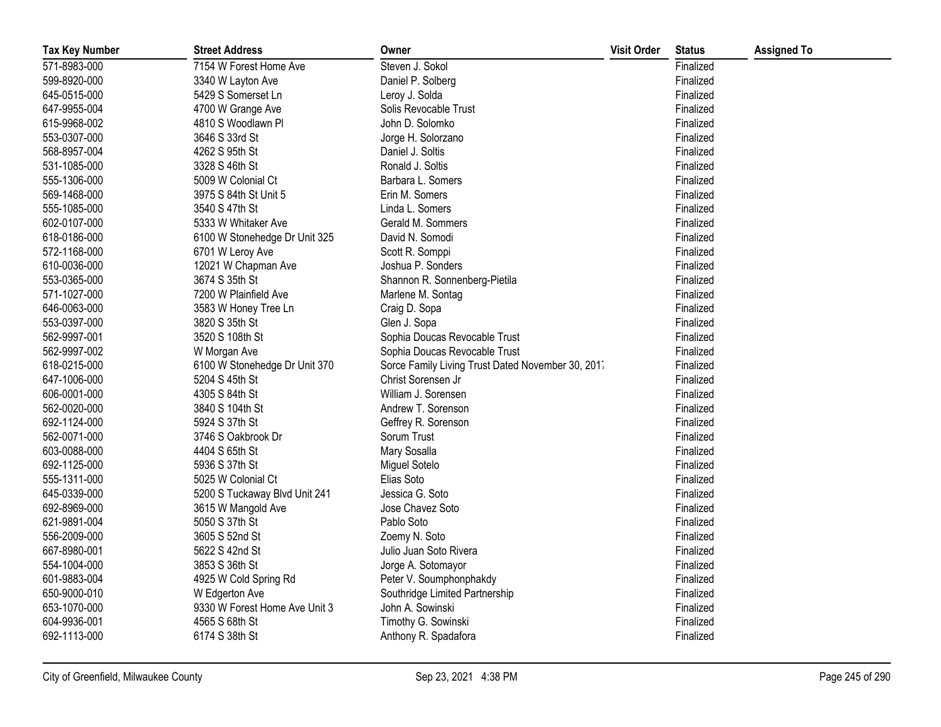| <b>Tax Key Number</b> | <b>Street Address</b>         | Owner                                             | <b>Visit Order</b> | <b>Status</b> | <b>Assigned To</b> |
|-----------------------|-------------------------------|---------------------------------------------------|--------------------|---------------|--------------------|
| 571-8983-000          | 7154 W Forest Home Ave        | Steven J. Sokol                                   |                    | Finalized     |                    |
| 599-8920-000          | 3340 W Layton Ave             | Daniel P. Solberg                                 |                    | Finalized     |                    |
| 645-0515-000          | 5429 S Somerset Ln            | Leroy J. Solda                                    |                    | Finalized     |                    |
| 647-9955-004          | 4700 W Grange Ave             | Solis Revocable Trust                             |                    | Finalized     |                    |
| 615-9968-002          | 4810 S Woodlawn Pl            | John D. Solomko                                   |                    | Finalized     |                    |
| 553-0307-000          | 3646 S 33rd St                | Jorge H. Solorzano                                |                    | Finalized     |                    |
| 568-8957-004          | 4262 S 95th St                | Daniel J. Soltis                                  |                    | Finalized     |                    |
| 531-1085-000          | 3328 S 46th St                | Ronald J. Soltis                                  |                    | Finalized     |                    |
| 555-1306-000          | 5009 W Colonial Ct            | Barbara L. Somers                                 |                    | Finalized     |                    |
| 569-1468-000          | 3975 S 84th St Unit 5         | Erin M. Somers                                    |                    | Finalized     |                    |
| 555-1085-000          | 3540 S 47th St                | Linda L. Somers                                   |                    | Finalized     |                    |
| 602-0107-000          | 5333 W Whitaker Ave           | Gerald M. Sommers                                 |                    | Finalized     |                    |
| 618-0186-000          | 6100 W Stonehedge Dr Unit 325 | David N. Somodi                                   |                    | Finalized     |                    |
| 572-1168-000          | 6701 W Leroy Ave              | Scott R. Somppi                                   |                    | Finalized     |                    |
| 610-0036-000          | 12021 W Chapman Ave           | Joshua P. Sonders                                 |                    | Finalized     |                    |
| 553-0365-000          | 3674 S 35th St                | Shannon R. Sonnenberg-Pietila                     |                    | Finalized     |                    |
| 571-1027-000          | 7200 W Plainfield Ave         | Marlene M. Sontag                                 |                    | Finalized     |                    |
| 646-0063-000          | 3583 W Honey Tree Ln          | Craig D. Sopa                                     |                    | Finalized     |                    |
| 553-0397-000          | 3820 S 35th St                | Glen J. Sopa                                      |                    | Finalized     |                    |
| 562-9997-001          | 3520 S 108th St               | Sophia Doucas Revocable Trust                     |                    | Finalized     |                    |
| 562-9997-002          | W Morgan Ave                  | Sophia Doucas Revocable Trust                     |                    | Finalized     |                    |
| 618-0215-000          | 6100 W Stonehedge Dr Unit 370 | Sorce Family Living Trust Dated November 30, 2017 |                    | Finalized     |                    |
| 647-1006-000          | 5204 S 45th St                | Christ Sorensen Jr                                |                    | Finalized     |                    |
| 606-0001-000          | 4305 S 84th St                | William J. Sorensen                               |                    | Finalized     |                    |
| 562-0020-000          | 3840 S 104th St               | Andrew T. Sorenson                                |                    | Finalized     |                    |
| 692-1124-000          | 5924 S 37th St                | Geffrey R. Sorenson                               |                    | Finalized     |                    |
| 562-0071-000          | 3746 S Oakbrook Dr            | Sorum Trust                                       |                    | Finalized     |                    |
| 603-0088-000          | 4404 S 65th St                | Mary Sosalla                                      |                    | Finalized     |                    |
| 692-1125-000          | 5936 S 37th St                | Miguel Sotelo                                     |                    | Finalized     |                    |
| 555-1311-000          | 5025 W Colonial Ct            | Elias Soto                                        |                    | Finalized     |                    |
| 645-0339-000          | 5200 S Tuckaway Blvd Unit 241 | Jessica G. Soto                                   |                    | Finalized     |                    |
| 692-8969-000          | 3615 W Mangold Ave            | Jose Chavez Soto                                  |                    | Finalized     |                    |
| 621-9891-004          | 5050 S 37th St                | Pablo Soto                                        |                    | Finalized     |                    |
| 556-2009-000          | 3605 S 52nd St                | Zoemy N. Soto                                     |                    | Finalized     |                    |
| 667-8980-001          | 5622 S 42nd St                | Julio Juan Soto Rivera                            |                    | Finalized     |                    |
| 554-1004-000          | 3853 S 36th St                | Jorge A. Sotomayor                                |                    | Finalized     |                    |
| 601-9883-004          | 4925 W Cold Spring Rd         | Peter V. Soumphonphakdy                           |                    | Finalized     |                    |
| 650-9000-010          | W Edgerton Ave                | Southridge Limited Partnership                    |                    | Finalized     |                    |
| 653-1070-000          | 9330 W Forest Home Ave Unit 3 | John A. Sowinski                                  |                    | Finalized     |                    |
| 604-9936-001          | 4565 S 68th St                | Timothy G. Sowinski                               |                    | Finalized     |                    |
| 692-1113-000          | 6174 S 38th St                | Anthony R. Spadafora                              |                    | Finalized     |                    |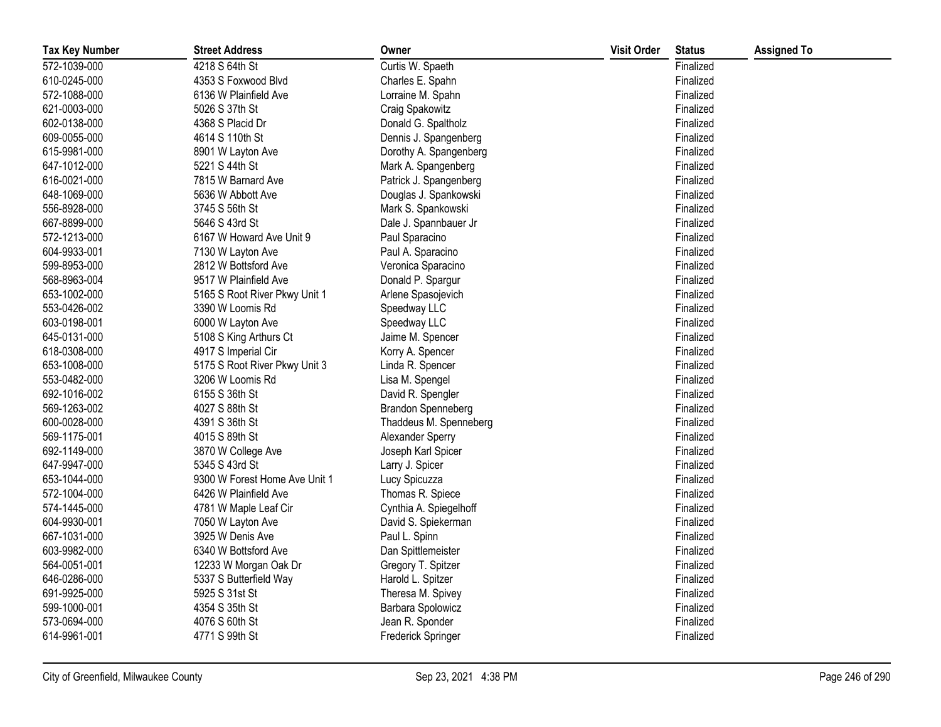| <b>Tax Key Number</b> | <b>Street Address</b>         | Owner                     | <b>Visit Order</b> | <b>Status</b> | <b>Assigned To</b> |
|-----------------------|-------------------------------|---------------------------|--------------------|---------------|--------------------|
| 572-1039-000          | 4218 S 64th St                | Curtis W. Spaeth          |                    | Finalized     |                    |
| 610-0245-000          | 4353 S Foxwood Blvd           | Charles E. Spahn          |                    | Finalized     |                    |
| 572-1088-000          | 6136 W Plainfield Ave         | Lorraine M. Spahn         |                    | Finalized     |                    |
| 621-0003-000          | 5026 S 37th St                | Craig Spakowitz           |                    | Finalized     |                    |
| 602-0138-000          | 4368 S Placid Dr              | Donald G. Spaltholz       |                    | Finalized     |                    |
| 609-0055-000          | 4614 S 110th St               | Dennis J. Spangenberg     |                    | Finalized     |                    |
| 615-9981-000          | 8901 W Layton Ave             | Dorothy A. Spangenberg    |                    | Finalized     |                    |
| 647-1012-000          | 5221 S 44th St                | Mark A. Spangenberg       |                    | Finalized     |                    |
| 616-0021-000          | 7815 W Barnard Ave            | Patrick J. Spangenberg    |                    | Finalized     |                    |
| 648-1069-000          | 5636 W Abbott Ave             | Douglas J. Spankowski     |                    | Finalized     |                    |
| 556-8928-000          | 3745 S 56th St                | Mark S. Spankowski        |                    | Finalized     |                    |
| 667-8899-000          | 5646 S 43rd St                | Dale J. Spannbauer Jr     |                    | Finalized     |                    |
| 572-1213-000          | 6167 W Howard Ave Unit 9      | Paul Sparacino            |                    | Finalized     |                    |
| 604-9933-001          | 7130 W Layton Ave             | Paul A. Sparacino         |                    | Finalized     |                    |
| 599-8953-000          | 2812 W Bottsford Ave          | Veronica Sparacino        |                    | Finalized     |                    |
| 568-8963-004          | 9517 W Plainfield Ave         | Donald P. Spargur         |                    | Finalized     |                    |
| 653-1002-000          | 5165 S Root River Pkwy Unit 1 | Arlene Spasojevich        |                    | Finalized     |                    |
| 553-0426-002          | 3390 W Loomis Rd              | Speedway LLC              |                    | Finalized     |                    |
| 603-0198-001          | 6000 W Layton Ave             | Speedway LLC              |                    | Finalized     |                    |
| 645-0131-000          | 5108 S King Arthurs Ct        | Jaime M. Spencer          |                    | Finalized     |                    |
| 618-0308-000          | 4917 S Imperial Cir           | Korry A. Spencer          |                    | Finalized     |                    |
| 653-1008-000          | 5175 S Root River Pkwy Unit 3 | Linda R. Spencer          |                    | Finalized     |                    |
| 553-0482-000          | 3206 W Loomis Rd              | Lisa M. Spengel           |                    | Finalized     |                    |
| 692-1016-002          | 6155 S 36th St                | David R. Spengler         |                    | Finalized     |                    |
| 569-1263-002          | 4027 S 88th St                | <b>Brandon Spenneberg</b> |                    | Finalized     |                    |
| 600-0028-000          | 4391 S 36th St                | Thaddeus M. Spenneberg    |                    | Finalized     |                    |
| 569-1175-001          | 4015 S 89th St                | Alexander Sperry          |                    | Finalized     |                    |
| 692-1149-000          | 3870 W College Ave            | Joseph Karl Spicer        |                    | Finalized     |                    |
| 647-9947-000          | 5345 S 43rd St                | Larry J. Spicer           |                    | Finalized     |                    |
| 653-1044-000          | 9300 W Forest Home Ave Unit 1 | Lucy Spicuzza             |                    | Finalized     |                    |
| 572-1004-000          | 6426 W Plainfield Ave         | Thomas R. Spiece          |                    | Finalized     |                    |
| 574-1445-000          | 4781 W Maple Leaf Cir         | Cynthia A. Spiegelhoff    |                    | Finalized     |                    |
| 604-9930-001          | 7050 W Layton Ave             | David S. Spiekerman       |                    | Finalized     |                    |
| 667-1031-000          | 3925 W Denis Ave              | Paul L. Spinn             |                    | Finalized     |                    |
| 603-9982-000          | 6340 W Bottsford Ave          | Dan Spittlemeister        |                    | Finalized     |                    |
| 564-0051-001          | 12233 W Morgan Oak Dr         | Gregory T. Spitzer        |                    | Finalized     |                    |
| 646-0286-000          | 5337 S Butterfield Way        | Harold L. Spitzer         |                    | Finalized     |                    |
| 691-9925-000          | 5925 S 31st St                | Theresa M. Spivey         |                    | Finalized     |                    |
| 599-1000-001          | 4354 S 35th St                | Barbara Spolowicz         |                    | Finalized     |                    |
| 573-0694-000          | 4076 S 60th St                | Jean R. Sponder           |                    | Finalized     |                    |
| 614-9961-001          | 4771 S 99th St                | <b>Frederick Springer</b> |                    | Finalized     |                    |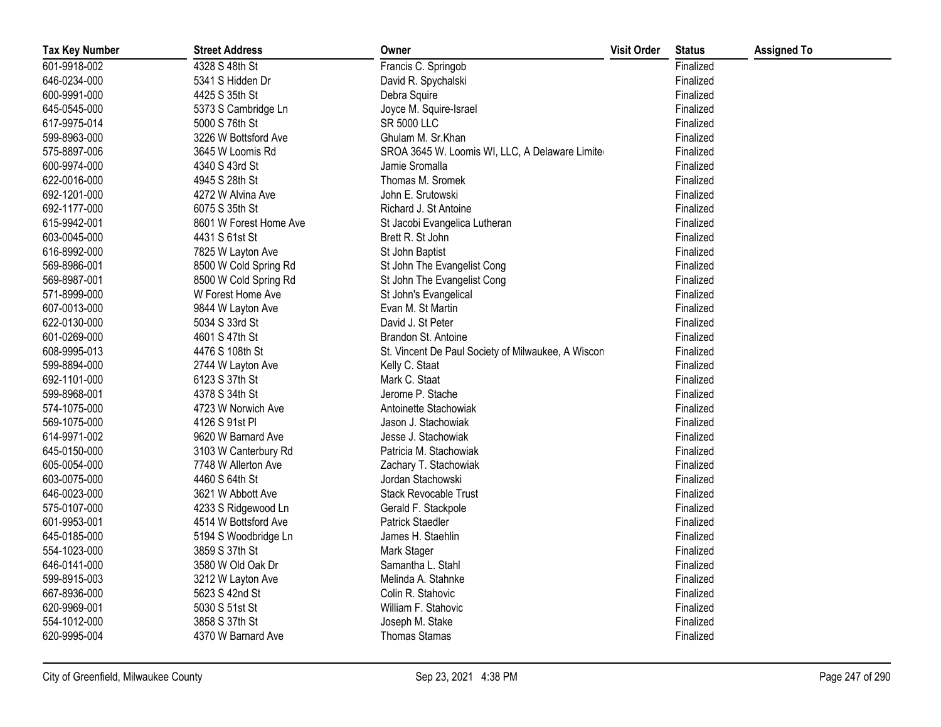| <b>Tax Key Number</b> | <b>Street Address</b>  | Owner                                              | <b>Visit Order</b> | <b>Status</b> | <b>Assigned To</b> |
|-----------------------|------------------------|----------------------------------------------------|--------------------|---------------|--------------------|
| 601-9918-002          | 4328 S 48th St         | Francis C. Springob                                |                    | Finalized     |                    |
| 646-0234-000          | 5341 S Hidden Dr       | David R. Spychalski                                |                    | Finalized     |                    |
| 600-9991-000          | 4425 S 35th St         | Debra Squire                                       |                    | Finalized     |                    |
| 645-0545-000          | 5373 S Cambridge Ln    | Joyce M. Squire-Israel                             |                    | Finalized     |                    |
| 617-9975-014          | 5000 S 76th St         | SR 5000 LLC                                        |                    | Finalized     |                    |
| 599-8963-000          | 3226 W Bottsford Ave   | Ghulam M. Sr.Khan                                  |                    | Finalized     |                    |
| 575-8897-006          | 3645 W Loomis Rd       | SROA 3645 W. Loomis WI, LLC, A Delaware Limiter    |                    | Finalized     |                    |
| 600-9974-000          | 4340 S 43rd St         | Jamie Sromalla                                     |                    | Finalized     |                    |
| 622-0016-000          | 4945 S 28th St         | Thomas M. Sromek                                   |                    | Finalized     |                    |
| 692-1201-000          | 4272 W Alvina Ave      | John E. Srutowski                                  |                    | Finalized     |                    |
| 692-1177-000          | 6075 S 35th St         | Richard J. St Antoine                              |                    | Finalized     |                    |
| 615-9942-001          | 8601 W Forest Home Ave | St Jacobi Evangelica Lutheran                      |                    | Finalized     |                    |
| 603-0045-000          | 4431 S 61st St         | Brett R. St John                                   |                    | Finalized     |                    |
| 616-8992-000          | 7825 W Layton Ave      | St John Baptist                                    |                    | Finalized     |                    |
| 569-8986-001          | 8500 W Cold Spring Rd  | St John The Evangelist Cong                        |                    | Finalized     |                    |
| 569-8987-001          | 8500 W Cold Spring Rd  | St John The Evangelist Cong                        |                    | Finalized     |                    |
| 571-8999-000          | W Forest Home Ave      | St John's Evangelical                              |                    | Finalized     |                    |
| 607-0013-000          | 9844 W Layton Ave      | Evan M. St Martin                                  |                    | Finalized     |                    |
| 622-0130-000          | 5034 S 33rd St         | David J. St Peter                                  |                    | Finalized     |                    |
| 601-0269-000          | 4601 S 47th St         | Brandon St. Antoine                                |                    | Finalized     |                    |
| 608-9995-013          | 4476 S 108th St        | St. Vincent De Paul Society of Milwaukee, A Wiscon |                    | Finalized     |                    |
| 599-8894-000          | 2744 W Layton Ave      | Kelly C. Staat                                     |                    | Finalized     |                    |
| 692-1101-000          | 6123 S 37th St         | Mark C. Staat                                      |                    | Finalized     |                    |
| 599-8968-001          | 4378 S 34th St         | Jerome P. Stache                                   |                    | Finalized     |                    |
| 574-1075-000          | 4723 W Norwich Ave     | Antoinette Stachowiak                              |                    | Finalized     |                    |
| 569-1075-000          | 4126 S 91st Pl         | Jason J. Stachowiak                                |                    | Finalized     |                    |
| 614-9971-002          | 9620 W Barnard Ave     | Jesse J. Stachowiak                                |                    | Finalized     |                    |
| 645-0150-000          | 3103 W Canterbury Rd   | Patricia M. Stachowiak                             |                    | Finalized     |                    |
| 605-0054-000          | 7748 W Allerton Ave    | Zachary T. Stachowiak                              |                    | Finalized     |                    |
| 603-0075-000          | 4460 S 64th St         | Jordan Stachowski                                  |                    | Finalized     |                    |
| 646-0023-000          | 3621 W Abbott Ave      | Stack Revocable Trust                              |                    | Finalized     |                    |
| 575-0107-000          | 4233 S Ridgewood Ln    | Gerald F. Stackpole                                |                    | Finalized     |                    |
| 601-9953-001          | 4514 W Bottsford Ave   | <b>Patrick Staedler</b>                            |                    | Finalized     |                    |
| 645-0185-000          | 5194 S Woodbridge Ln   | James H. Staehlin                                  |                    | Finalized     |                    |
| 554-1023-000          | 3859 S 37th St         | Mark Stager                                        |                    | Finalized     |                    |
| 646-0141-000          | 3580 W Old Oak Dr      | Samantha L. Stahl                                  |                    | Finalized     |                    |
| 599-8915-003          | 3212 W Layton Ave      | Melinda A. Stahnke                                 |                    | Finalized     |                    |
| 667-8936-000          | 5623 S 42nd St         | Colin R. Stahovic                                  |                    | Finalized     |                    |
| 620-9969-001          | 5030 S 51st St         | William F. Stahovic                                |                    | Finalized     |                    |
| 554-1012-000          | 3858 S 37th St         | Joseph M. Stake                                    |                    | Finalized     |                    |
| 620-9995-004          | 4370 W Barnard Ave     | <b>Thomas Stamas</b>                               |                    | Finalized     |                    |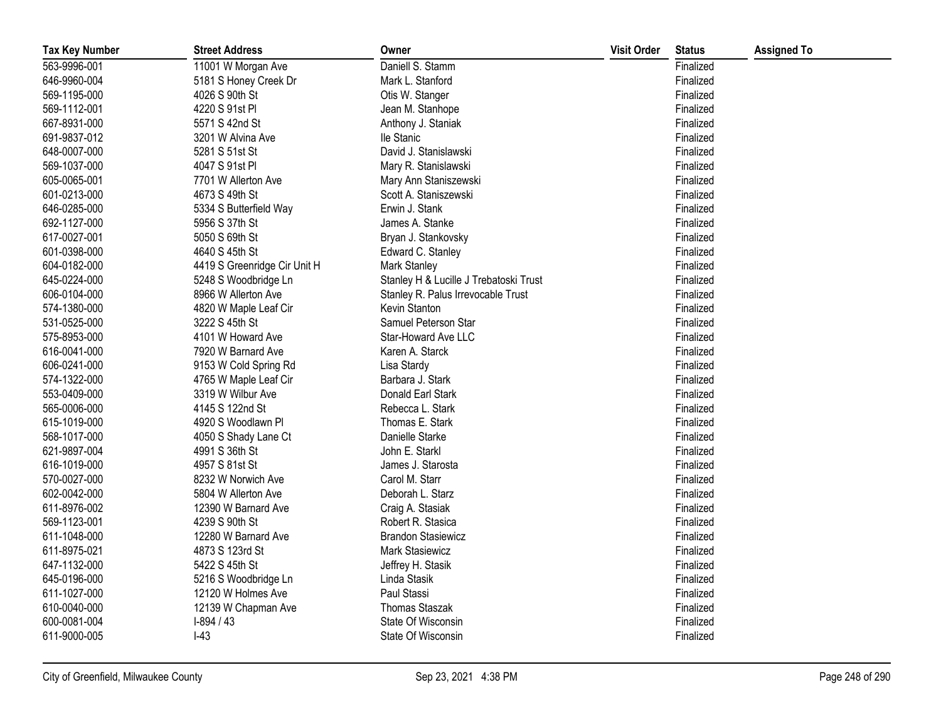| <b>Tax Key Number</b> | <b>Street Address</b>        | Owner                                  | <b>Visit Order</b> | <b>Status</b> | <b>Assigned To</b> |
|-----------------------|------------------------------|----------------------------------------|--------------------|---------------|--------------------|
| 563-9996-001          | 11001 W Morgan Ave           | Daniell S. Stamm                       |                    | Finalized     |                    |
| 646-9960-004          | 5181 S Honey Creek Dr        | Mark L. Stanford                       |                    | Finalized     |                    |
| 569-1195-000          | 4026 S 90th St               | Otis W. Stanger                        |                    | Finalized     |                    |
| 569-1112-001          | 4220 S 91st PI               | Jean M. Stanhope                       |                    | Finalized     |                    |
| 667-8931-000          | 5571 S 42nd St               | Anthony J. Staniak                     |                    | Finalized     |                    |
| 691-9837-012          | 3201 W Alvina Ave            | lle Stanic                             |                    | Finalized     |                    |
| 648-0007-000          | 5281 S 51st St               | David J. Stanislawski                  |                    | Finalized     |                    |
| 569-1037-000          | 4047 S 91st Pl               | Mary R. Stanislawski                   |                    | Finalized     |                    |
| 605-0065-001          | 7701 W Allerton Ave          | Mary Ann Staniszewski                  |                    | Finalized     |                    |
| 601-0213-000          | 4673 S 49th St               | Scott A. Staniszewski                  |                    | Finalized     |                    |
| 646-0285-000          | 5334 S Butterfield Way       | Erwin J. Stank                         |                    | Finalized     |                    |
| 692-1127-000          | 5956 S 37th St               | James A. Stanke                        |                    | Finalized     |                    |
| 617-0027-001          | 5050 S 69th St               | Bryan J. Stankovsky                    |                    | Finalized     |                    |
| 601-0398-000          | 4640 S 45th St               | Edward C. Stanley                      |                    | Finalized     |                    |
| 604-0182-000          | 4419 S Greenridge Cir Unit H | Mark Stanley                           |                    | Finalized     |                    |
| 645-0224-000          | 5248 S Woodbridge Ln         | Stanley H & Lucille J Trebatoski Trust |                    | Finalized     |                    |
| 606-0104-000          | 8966 W Allerton Ave          | Stanley R. Palus Irrevocable Trust     |                    | Finalized     |                    |
| 574-1380-000          | 4820 W Maple Leaf Cir        | Kevin Stanton                          |                    | Finalized     |                    |
| 531-0525-000          | 3222 S 45th St               | Samuel Peterson Star                   |                    | Finalized     |                    |
| 575-8953-000          | 4101 W Howard Ave            | Star-Howard Ave LLC                    |                    | Finalized     |                    |
| 616-0041-000          | 7920 W Barnard Ave           | Karen A. Starck                        |                    | Finalized     |                    |
| 606-0241-000          | 9153 W Cold Spring Rd        | Lisa Stardy                            |                    | Finalized     |                    |
| 574-1322-000          | 4765 W Maple Leaf Cir        | Barbara J. Stark                       |                    | Finalized     |                    |
| 553-0409-000          | 3319 W Wilbur Ave            | Donald Earl Stark                      |                    | Finalized     |                    |
| 565-0006-000          | 4145 S 122nd St              | Rebecca L. Stark                       |                    | Finalized     |                    |
| 615-1019-000          | 4920 S Woodlawn Pl           | Thomas E. Stark                        |                    | Finalized     |                    |
| 568-1017-000          | 4050 S Shady Lane Ct         | Danielle Starke                        |                    | Finalized     |                    |
| 621-9897-004          | 4991 S 36th St               | John E. Starkl                         |                    | Finalized     |                    |
| 616-1019-000          | 4957 S 81st St               | James J. Starosta                      |                    | Finalized     |                    |
| 570-0027-000          | 8232 W Norwich Ave           | Carol M. Starr                         |                    | Finalized     |                    |
| 602-0042-000          | 5804 W Allerton Ave          | Deborah L. Starz                       |                    | Finalized     |                    |
| 611-8976-002          | 12390 W Barnard Ave          | Craig A. Stasiak                       |                    | Finalized     |                    |
| 569-1123-001          | 4239 S 90th St               | Robert R. Stasica                      |                    | Finalized     |                    |
| 611-1048-000          | 12280 W Barnard Ave          | <b>Brandon Stasiewicz</b>              |                    | Finalized     |                    |
| 611-8975-021          | 4873 S 123rd St              | Mark Stasiewicz                        |                    | Finalized     |                    |
| 647-1132-000          | 5422 S 45th St               | Jeffrey H. Stasik                      |                    | Finalized     |                    |
| 645-0196-000          | 5216 S Woodbridge Ln         | Linda Stasik                           |                    | Finalized     |                    |
| 611-1027-000          | 12120 W Holmes Ave           | Paul Stassi                            |                    | Finalized     |                    |
| 610-0040-000          | 12139 W Chapman Ave          | Thomas Staszak                         |                    | Finalized     |                    |
| 600-0081-004          | $I-894/43$                   | State Of Wisconsin                     |                    | Finalized     |                    |
| 611-9000-005          | $I-43$                       | State Of Wisconsin                     |                    | Finalized     |                    |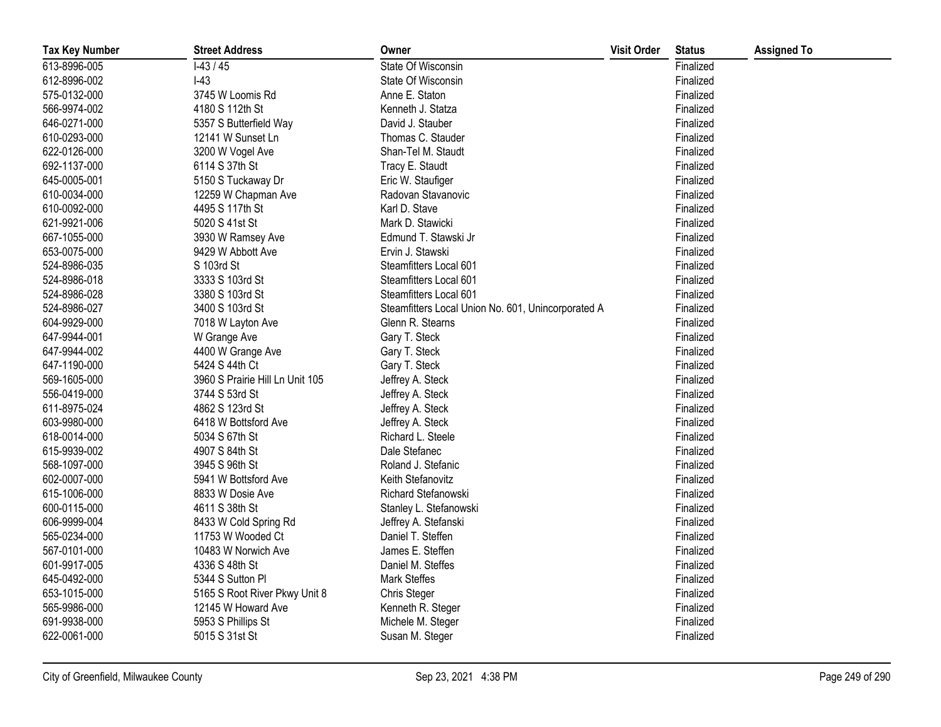| <b>Tax Key Number</b> | <b>Street Address</b>           | Owner                                              | <b>Visit Order</b> | <b>Status</b> | <b>Assigned To</b> |
|-----------------------|---------------------------------|----------------------------------------------------|--------------------|---------------|--------------------|
| 613-8996-005          | $1-43/45$                       | State Of Wisconsin                                 |                    | Finalized     |                    |
| 612-8996-002          | $I-43$                          | State Of Wisconsin                                 |                    | Finalized     |                    |
| 575-0132-000          | 3745 W Loomis Rd                | Anne E. Staton                                     |                    | Finalized     |                    |
| 566-9974-002          | 4180 S 112th St                 | Kenneth J. Statza                                  |                    | Finalized     |                    |
| 646-0271-000          | 5357 S Butterfield Way          | David J. Stauber                                   |                    | Finalized     |                    |
| 610-0293-000          | 12141 W Sunset Ln               | Thomas C. Stauder                                  |                    | Finalized     |                    |
| 622-0126-000          | 3200 W Vogel Ave                | Shan-Tel M. Staudt                                 |                    | Finalized     |                    |
| 692-1137-000          | 6114 S 37th St                  | Tracy E. Staudt                                    |                    | Finalized     |                    |
| 645-0005-001          | 5150 S Tuckaway Dr              | Eric W. Staufiger                                  |                    | Finalized     |                    |
| 610-0034-000          | 12259 W Chapman Ave             | Radovan Stavanovic                                 |                    | Finalized     |                    |
| 610-0092-000          | 4495 S 117th St                 | Karl D. Stave                                      |                    | Finalized     |                    |
| 621-9921-006          | 5020 S 41st St                  | Mark D. Stawicki                                   |                    | Finalized     |                    |
| 667-1055-000          | 3930 W Ramsey Ave               | Edmund T. Stawski Jr                               |                    | Finalized     |                    |
| 653-0075-000          | 9429 W Abbott Ave               | Ervin J. Stawski                                   |                    | Finalized     |                    |
| 524-8986-035          | S 103rd St                      | Steamfitters Local 601                             |                    | Finalized     |                    |
| 524-8986-018          | 3333 S 103rd St                 | Steamfitters Local 601                             |                    | Finalized     |                    |
| 524-8986-028          | 3380 S 103rd St                 | Steamfitters Local 601                             |                    | Finalized     |                    |
| 524-8986-027          | 3400 S 103rd St                 | Steamfitters Local Union No. 601, Unincorporated A |                    | Finalized     |                    |
| 604-9929-000          | 7018 W Layton Ave               | Glenn R. Stearns                                   |                    | Finalized     |                    |
| 647-9944-001          | W Grange Ave                    | Gary T. Steck                                      |                    | Finalized     |                    |
| 647-9944-002          | 4400 W Grange Ave               | Gary T. Steck                                      |                    | Finalized     |                    |
| 647-1190-000          | 5424 S 44th Ct                  | Gary T. Steck                                      |                    | Finalized     |                    |
| 569-1605-000          | 3960 S Prairie Hill Ln Unit 105 | Jeffrey A. Steck                                   |                    | Finalized     |                    |
| 556-0419-000          | 3744 S 53rd St                  | Jeffrey A. Steck                                   |                    | Finalized     |                    |
| 611-8975-024          | 4862 S 123rd St                 | Jeffrey A. Steck                                   |                    | Finalized     |                    |
| 603-9980-000          | 6418 W Bottsford Ave            | Jeffrey A. Steck                                   |                    | Finalized     |                    |
| 618-0014-000          | 5034 S 67th St                  | Richard L. Steele                                  |                    | Finalized     |                    |
| 615-9939-002          | 4907 S 84th St                  | Dale Stefanec                                      |                    | Finalized     |                    |
| 568-1097-000          | 3945 S 96th St                  | Roland J. Stefanic                                 |                    | Finalized     |                    |
| 602-0007-000          | 5941 W Bottsford Ave            | Keith Stefanovitz                                  |                    | Finalized     |                    |
| 615-1006-000          | 8833 W Dosie Ave                | Richard Stefanowski                                |                    | Finalized     |                    |
| 600-0115-000          | 4611 S 38th St                  | Stanley L. Stefanowski                             |                    | Finalized     |                    |
| 606-9999-004          | 8433 W Cold Spring Rd           | Jeffrey A. Stefanski                               |                    | Finalized     |                    |
| 565-0234-000          | 11753 W Wooded Ct               | Daniel T. Steffen                                  |                    | Finalized     |                    |
| 567-0101-000          | 10483 W Norwich Ave             | James E. Steffen                                   |                    | Finalized     |                    |
| 601-9917-005          | 4336 S 48th St                  | Daniel M. Steffes                                  |                    | Finalized     |                    |
| 645-0492-000          | 5344 S Sutton Pl                | <b>Mark Steffes</b>                                |                    | Finalized     |                    |
| 653-1015-000          | 5165 S Root River Pkwy Unit 8   | <b>Chris Steger</b>                                |                    | Finalized     |                    |
| 565-9986-000          | 12145 W Howard Ave              | Kenneth R. Steger                                  |                    | Finalized     |                    |
| 691-9938-000          | 5953 S Phillips St              | Michele M. Steger                                  |                    | Finalized     |                    |
| 622-0061-000          | 5015 S 31st St                  | Susan M. Steger                                    |                    | Finalized     |                    |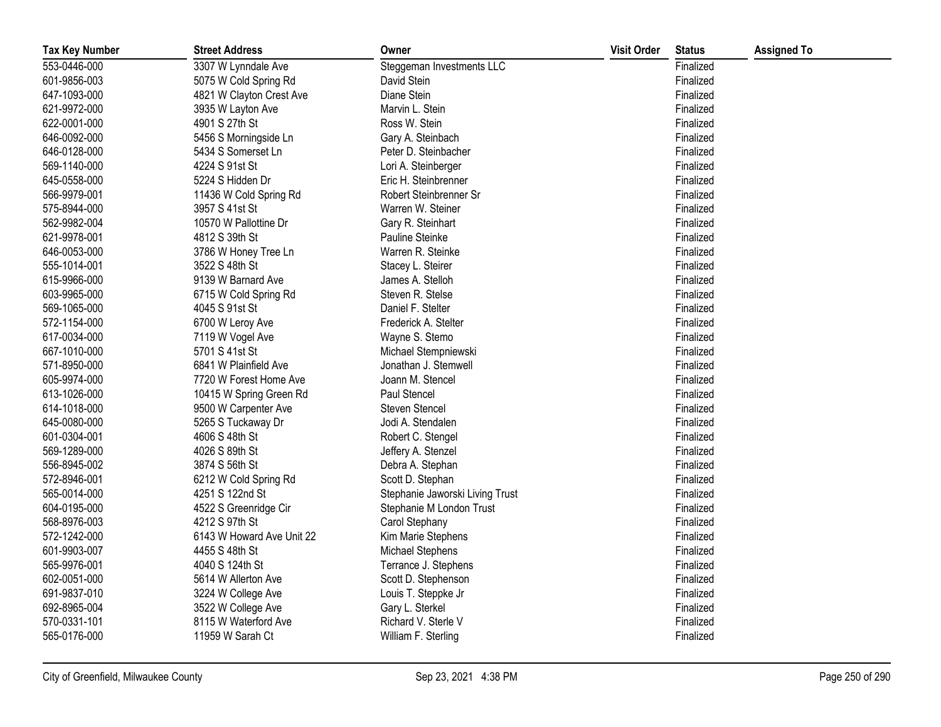| <b>Tax Key Number</b> | <b>Street Address</b>     | Owner                           | <b>Visit Order</b> | <b>Status</b> | <b>Assigned To</b> |
|-----------------------|---------------------------|---------------------------------|--------------------|---------------|--------------------|
| 553-0446-000          | 3307 W Lynndale Ave       | Steggeman Investments LLC       |                    | Finalized     |                    |
| 601-9856-003          | 5075 W Cold Spring Rd     | David Stein                     |                    | Finalized     |                    |
| 647-1093-000          | 4821 W Clayton Crest Ave  | Diane Stein                     |                    | Finalized     |                    |
| 621-9972-000          | 3935 W Layton Ave         | Marvin L. Stein                 |                    | Finalized     |                    |
| 622-0001-000          | 4901 S 27th St            | Ross W. Stein                   |                    | Finalized     |                    |
| 646-0092-000          | 5456 S Morningside Ln     | Gary A. Steinbach               |                    | Finalized     |                    |
| 646-0128-000          | 5434 S Somerset Ln        | Peter D. Steinbacher            |                    | Finalized     |                    |
| 569-1140-000          | 4224 S 91st St            | Lori A. Steinberger             |                    | Finalized     |                    |
| 645-0558-000          | 5224 S Hidden Dr          | Eric H. Steinbrenner            |                    | Finalized     |                    |
| 566-9979-001          | 11436 W Cold Spring Rd    | Robert Steinbrenner Sr          |                    | Finalized     |                    |
| 575-8944-000          | 3957 S 41st St            | Warren W. Steiner               |                    | Finalized     |                    |
| 562-9982-004          | 10570 W Pallottine Dr     | Gary R. Steinhart               |                    | Finalized     |                    |
| 621-9978-001          | 4812 S 39th St            | Pauline Steinke                 |                    | Finalized     |                    |
| 646-0053-000          | 3786 W Honey Tree Ln      | Warren R. Steinke               |                    | Finalized     |                    |
| 555-1014-001          | 3522 S 48th St            | Stacey L. Steirer               |                    | Finalized     |                    |
| 615-9966-000          | 9139 W Barnard Ave        | James A. Stelloh                |                    | Finalized     |                    |
| 603-9965-000          | 6715 W Cold Spring Rd     | Steven R. Stelse                |                    | Finalized     |                    |
| 569-1065-000          | 4045 S 91st St            | Daniel F. Stelter               |                    | Finalized     |                    |
| 572-1154-000          | 6700 W Leroy Ave          | Frederick A. Stelter            |                    | Finalized     |                    |
| 617-0034-000          | 7119 W Vogel Ave          | Wayne S. Stemo                  |                    | Finalized     |                    |
| 667-1010-000          | 5701 S 41st St            | Michael Stempniewski            |                    | Finalized     |                    |
| 571-8950-000          | 6841 W Plainfield Ave     | Jonathan J. Stemwell            |                    | Finalized     |                    |
| 605-9974-000          | 7720 W Forest Home Ave    | Joann M. Stencel                |                    | Finalized     |                    |
| 613-1026-000          | 10415 W Spring Green Rd   | Paul Stencel                    |                    | Finalized     |                    |
| 614-1018-000          | 9500 W Carpenter Ave      | <b>Steven Stencel</b>           |                    | Finalized     |                    |
| 645-0080-000          | 5265 S Tuckaway Dr        | Jodi A. Stendalen               |                    | Finalized     |                    |
| 601-0304-001          | 4606 S 48th St            | Robert C. Stengel               |                    | Finalized     |                    |
| 569-1289-000          | 4026 S 89th St            | Jeffery A. Stenzel              |                    | Finalized     |                    |
| 556-8945-002          | 3874 S 56th St            | Debra A. Stephan                |                    | Finalized     |                    |
| 572-8946-001          | 6212 W Cold Spring Rd     | Scott D. Stephan                |                    | Finalized     |                    |
| 565-0014-000          | 4251 S 122nd St           | Stephanie Jaworski Living Trust |                    | Finalized     |                    |
| 604-0195-000          | 4522 S Greenridge Cir     | Stephanie M London Trust        |                    | Finalized     |                    |
| 568-8976-003          | 4212 S 97th St            | Carol Stephany                  |                    | Finalized     |                    |
| 572-1242-000          | 6143 W Howard Ave Unit 22 | Kim Marie Stephens              |                    | Finalized     |                    |
| 601-9903-007          | 4455 S 48th St            | Michael Stephens                |                    | Finalized     |                    |
| 565-9976-001          | 4040 S 124th St           | Terrance J. Stephens            |                    | Finalized     |                    |
| 602-0051-000          | 5614 W Allerton Ave       | Scott D. Stephenson             |                    | Finalized     |                    |
| 691-9837-010          | 3224 W College Ave        | Louis T. Steppke Jr             |                    | Finalized     |                    |
| 692-8965-004          | 3522 W College Ave        | Gary L. Sterkel                 |                    | Finalized     |                    |
| 570-0331-101          | 8115 W Waterford Ave      | Richard V. Sterle V             |                    | Finalized     |                    |
| 565-0176-000          | 11959 W Sarah Ct          | William F. Sterling             |                    | Finalized     |                    |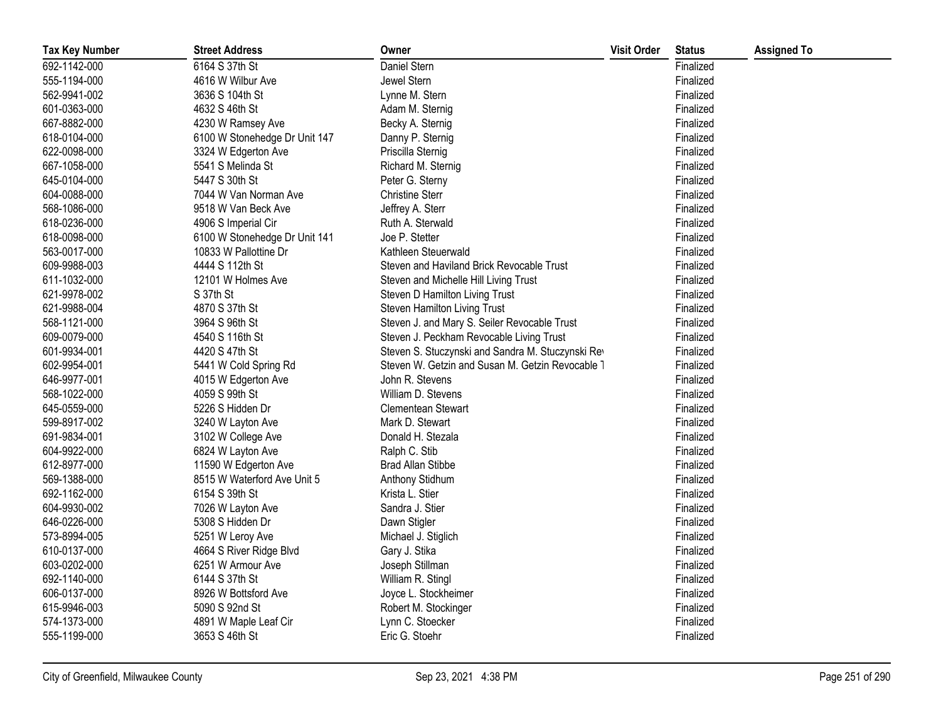| <b>Tax Key Number</b> | <b>Street Address</b>         | Owner                                             | <b>Visit Order</b> | <b>Status</b> | <b>Assigned To</b> |
|-----------------------|-------------------------------|---------------------------------------------------|--------------------|---------------|--------------------|
| 692-1142-000          | 6164 S 37th St                | Daniel Stern                                      |                    | Finalized     |                    |
| 555-1194-000          | 4616 W Wilbur Ave             | Jewel Stern                                       |                    | Finalized     |                    |
| 562-9941-002          | 3636 S 104th St               | Lynne M. Stern                                    |                    | Finalized     |                    |
| 601-0363-000          | 4632 S 46th St                | Adam M. Sternig                                   |                    | Finalized     |                    |
| 667-8882-000          | 4230 W Ramsey Ave             | Becky A. Sternig                                  |                    | Finalized     |                    |
| 618-0104-000          | 6100 W Stonehedge Dr Unit 147 | Danny P. Sternig                                  |                    | Finalized     |                    |
| 622-0098-000          | 3324 W Edgerton Ave           | Priscilla Sternig                                 |                    | Finalized     |                    |
| 667-1058-000          | 5541 S Melinda St             | Richard M. Sternig                                |                    | Finalized     |                    |
| 645-0104-000          | 5447 S 30th St                | Peter G. Sterny                                   |                    | Finalized     |                    |
| 604-0088-000          | 7044 W Van Norman Ave         | <b>Christine Sterr</b>                            |                    | Finalized     |                    |
| 568-1086-000          | 9518 W Van Beck Ave           | Jeffrey A. Sterr                                  |                    | Finalized     |                    |
| 618-0236-000          | 4906 S Imperial Cir           | Ruth A. Sterwald                                  |                    | Finalized     |                    |
| 618-0098-000          | 6100 W Stonehedge Dr Unit 141 | Joe P. Stetter                                    |                    | Finalized     |                    |
| 563-0017-000          | 10833 W Pallottine Dr         | Kathleen Steuerwald                               |                    | Finalized     |                    |
| 609-9988-003          | 4444 S 112th St               | Steven and Haviland Brick Revocable Trust         |                    | Finalized     |                    |
| 611-1032-000          | 12101 W Holmes Ave            | Steven and Michelle Hill Living Trust             |                    | Finalized     |                    |
| 621-9978-002          | S 37th St                     | Steven D Hamilton Living Trust                    |                    | Finalized     |                    |
| 621-9988-004          | 4870 S 37th St                | Steven Hamilton Living Trust                      |                    | Finalized     |                    |
| 568-1121-000          | 3964 S 96th St                | Steven J. and Mary S. Seiler Revocable Trust      |                    | Finalized     |                    |
| 609-0079-000          | 4540 S 116th St               | Steven J. Peckham Revocable Living Trust          |                    | Finalized     |                    |
| 601-9934-001          | 4420 S 47th St                | Steven S. Stuczynski and Sandra M. Stuczynski Rev |                    | Finalized     |                    |
| 602-9954-001          | 5441 W Cold Spring Rd         | Steven W. Getzin and Susan M. Getzin Revocable 1  |                    | Finalized     |                    |
| 646-9977-001          | 4015 W Edgerton Ave           | John R. Stevens                                   |                    | Finalized     |                    |
| 568-1022-000          | 4059 S 99th St                | William D. Stevens                                |                    | Finalized     |                    |
| 645-0559-000          | 5226 S Hidden Dr              | <b>Clementean Stewart</b>                         |                    | Finalized     |                    |
| 599-8917-002          | 3240 W Layton Ave             | Mark D. Stewart                                   |                    | Finalized     |                    |
| 691-9834-001          | 3102 W College Ave            | Donald H. Stezala                                 |                    | Finalized     |                    |
| 604-9922-000          | 6824 W Layton Ave             | Ralph C. Stib                                     |                    | Finalized     |                    |
| 612-8977-000          | 11590 W Edgerton Ave          | <b>Brad Allan Stibbe</b>                          |                    | Finalized     |                    |
| 569-1388-000          | 8515 W Waterford Ave Unit 5   | Anthony Stidhum                                   |                    | Finalized     |                    |
| 692-1162-000          | 6154 S 39th St                | Krista L. Stier                                   |                    | Finalized     |                    |
| 604-9930-002          | 7026 W Layton Ave             | Sandra J. Stier                                   |                    | Finalized     |                    |
| 646-0226-000          | 5308 S Hidden Dr              | Dawn Stigler                                      |                    | Finalized     |                    |
| 573-8994-005          | 5251 W Leroy Ave              | Michael J. Stiglich                               |                    | Finalized     |                    |
| 610-0137-000          | 4664 S River Ridge Blvd       | Gary J. Stika                                     |                    | Finalized     |                    |
| 603-0202-000          | 6251 W Armour Ave             | Joseph Stillman                                   |                    | Finalized     |                    |
| 692-1140-000          | 6144 S 37th St                | William R. Stingl                                 |                    | Finalized     |                    |
| 606-0137-000          | 8926 W Bottsford Ave          | Joyce L. Stockheimer                              |                    | Finalized     |                    |
| 615-9946-003          | 5090 S 92nd St                | Robert M. Stockinger                              |                    | Finalized     |                    |
| 574-1373-000          | 4891 W Maple Leaf Cir         | Lynn C. Stoecker                                  |                    | Finalized     |                    |
| 555-1199-000          | 3653 S 46th St                | Eric G. Stoehr                                    |                    | Finalized     |                    |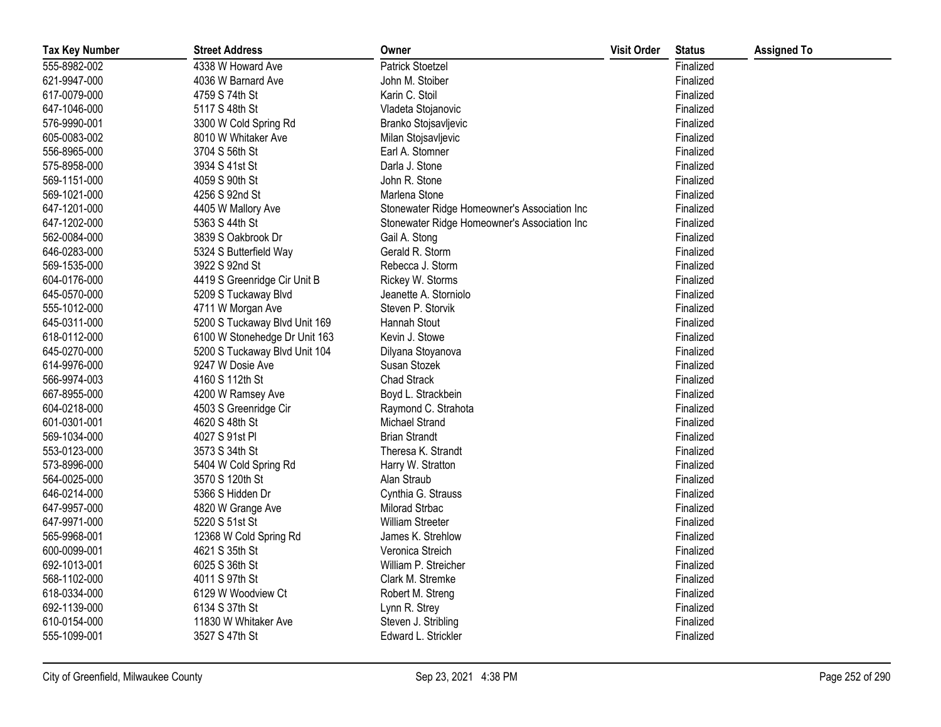| <b>Tax Key Number</b> | <b>Street Address</b>         | Owner                                        | <b>Visit Order</b> | <b>Status</b> | <b>Assigned To</b> |
|-----------------------|-------------------------------|----------------------------------------------|--------------------|---------------|--------------------|
| 555-8982-002          | 4338 W Howard Ave             | <b>Patrick Stoetzel</b>                      |                    | Finalized     |                    |
| 621-9947-000          | 4036 W Barnard Ave            | John M. Stoiber                              |                    | Finalized     |                    |
| 617-0079-000          | 4759 S 74th St                | Karin C. Stoil                               |                    | Finalized     |                    |
| 647-1046-000          | 5117 S 48th St                | Vladeta Stojanovic                           |                    | Finalized     |                    |
| 576-9990-001          | 3300 W Cold Spring Rd         | Branko Stojsavljevic                         |                    | Finalized     |                    |
| 605-0083-002          | 8010 W Whitaker Ave           | Milan Stojsavljevic                          |                    | Finalized     |                    |
| 556-8965-000          | 3704 S 56th St                | Earl A. Stomner                              |                    | Finalized     |                    |
| 575-8958-000          | 3934 S 41st St                | Darla J. Stone                               |                    | Finalized     |                    |
| 569-1151-000          | 4059 S 90th St                | John R. Stone                                |                    | Finalized     |                    |
| 569-1021-000          | 4256 S 92nd St                | Marlena Stone                                |                    | Finalized     |                    |
| 647-1201-000          | 4405 W Mallory Ave            | Stonewater Ridge Homeowner's Association Inc |                    | Finalized     |                    |
| 647-1202-000          | 5363 S 44th St                | Stonewater Ridge Homeowner's Association Inc |                    | Finalized     |                    |
| 562-0084-000          | 3839 S Oakbrook Dr            | Gail A. Stong                                |                    | Finalized     |                    |
| 646-0283-000          | 5324 S Butterfield Way        | Gerald R. Storm                              |                    | Finalized     |                    |
| 569-1535-000          | 3922 S 92nd St                | Rebecca J. Storm                             |                    | Finalized     |                    |
| 604-0176-000          | 4419 S Greenridge Cir Unit B  | Rickey W. Storms                             |                    | Finalized     |                    |
| 645-0570-000          | 5209 S Tuckaway Blvd          | Jeanette A. Storniolo                        |                    | Finalized     |                    |
| 555-1012-000          | 4711 W Morgan Ave             | Steven P. Storvik                            |                    | Finalized     |                    |
| 645-0311-000          | 5200 S Tuckaway Blvd Unit 169 | Hannah Stout                                 |                    | Finalized     |                    |
| 618-0112-000          | 6100 W Stonehedge Dr Unit 163 | Kevin J. Stowe                               |                    | Finalized     |                    |
| 645-0270-000          | 5200 S Tuckaway Blvd Unit 104 | Dilyana Stoyanova                            |                    | Finalized     |                    |
| 614-9976-000          | 9247 W Dosie Ave              | Susan Stozek                                 |                    | Finalized     |                    |
| 566-9974-003          | 4160 S 112th St               | Chad Strack                                  |                    | Finalized     |                    |
| 667-8955-000          | 4200 W Ramsey Ave             | Boyd L. Strackbein                           |                    | Finalized     |                    |
| 604-0218-000          | 4503 S Greenridge Cir         | Raymond C. Strahota                          |                    | Finalized     |                    |
| 601-0301-001          | 4620 S 48th St                | Michael Strand                               |                    | Finalized     |                    |
| 569-1034-000          | 4027 S 91st PI                | <b>Brian Strandt</b>                         |                    | Finalized     |                    |
| 553-0123-000          | 3573 S 34th St                | Theresa K. Strandt                           |                    | Finalized     |                    |
| 573-8996-000          | 5404 W Cold Spring Rd         | Harry W. Stratton                            |                    | Finalized     |                    |
| 564-0025-000          | 3570 S 120th St               | Alan Straub                                  |                    | Finalized     |                    |
| 646-0214-000          | 5366 S Hidden Dr              | Cynthia G. Strauss                           |                    | Finalized     |                    |
| 647-9957-000          | 4820 W Grange Ave             | Milorad Strbac                               |                    | Finalized     |                    |
| 647-9971-000          | 5220 S 51st St                | William Streeter                             |                    | Finalized     |                    |
| 565-9968-001          | 12368 W Cold Spring Rd        | James K. Strehlow                            |                    | Finalized     |                    |
| 600-0099-001          | 4621 S 35th St                | Veronica Streich                             |                    | Finalized     |                    |
| 692-1013-001          | 6025 S 36th St                | William P. Streicher                         |                    | Finalized     |                    |
| 568-1102-000          | 4011 S 97th St                | Clark M. Stremke                             |                    | Finalized     |                    |
| 618-0334-000          | 6129 W Woodview Ct            | Robert M. Streng                             |                    | Finalized     |                    |
| 692-1139-000          | 6134 S 37th St                | Lynn R. Strey                                |                    | Finalized     |                    |
| 610-0154-000          | 11830 W Whitaker Ave          | Steven J. Stribling                          |                    | Finalized     |                    |
| 555-1099-001          | 3527 S 47th St                | Edward L. Strickler                          |                    | Finalized     |                    |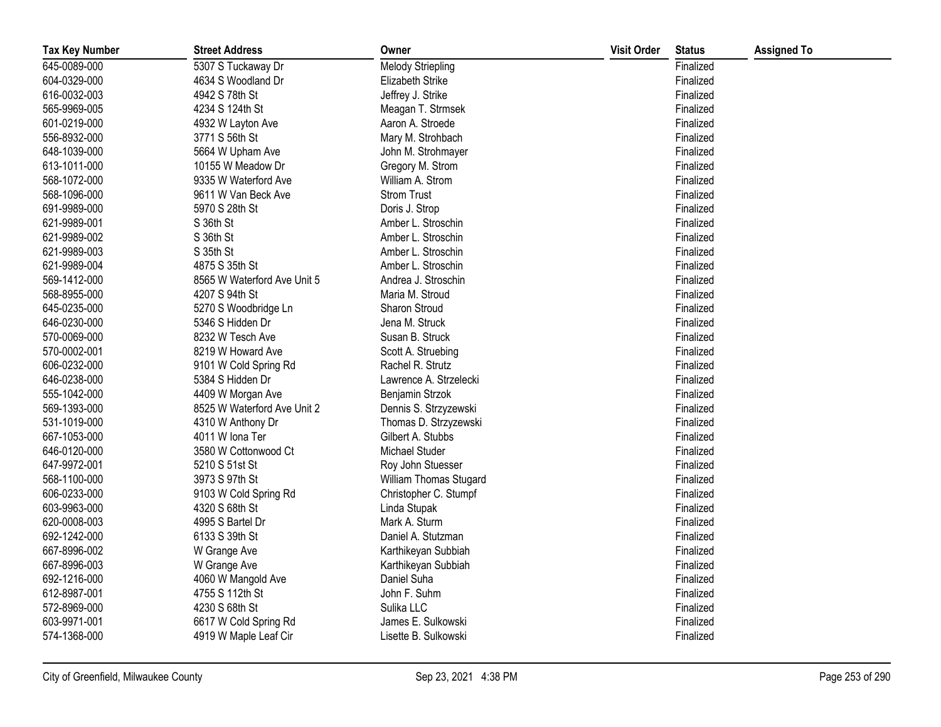| <b>Tax Key Number</b> | <b>Street Address</b>       | Owner                    | <b>Visit Order</b> | <b>Status</b> | <b>Assigned To</b> |
|-----------------------|-----------------------------|--------------------------|--------------------|---------------|--------------------|
| 645-0089-000          | 5307 S Tuckaway Dr          | <b>Melody Striepling</b> |                    | Finalized     |                    |
| 604-0329-000          | 4634 S Woodland Dr          | Elizabeth Strike         |                    | Finalized     |                    |
| 616-0032-003          | 4942 S 78th St              | Jeffrey J. Strike        |                    | Finalized     |                    |
| 565-9969-005          | 4234 S 124th St             | Meagan T. Strmsek        |                    | Finalized     |                    |
| 601-0219-000          | 4932 W Layton Ave           | Aaron A. Stroede         |                    | Finalized     |                    |
| 556-8932-000          | 3771 S 56th St              | Mary M. Strohbach        |                    | Finalized     |                    |
| 648-1039-000          | 5664 W Upham Ave            | John M. Strohmayer       |                    | Finalized     |                    |
| 613-1011-000          | 10155 W Meadow Dr           | Gregory M. Strom         |                    | Finalized     |                    |
| 568-1072-000          | 9335 W Waterford Ave        | William A. Strom         |                    | Finalized     |                    |
| 568-1096-000          | 9611 W Van Beck Ave         | <b>Strom Trust</b>       |                    | Finalized     |                    |
| 691-9989-000          | 5970 S 28th St              | Doris J. Strop           |                    | Finalized     |                    |
| 621-9989-001          | S 36th St                   | Amber L. Stroschin       |                    | Finalized     |                    |
| 621-9989-002          | S 36th St                   | Amber L. Stroschin       |                    | Finalized     |                    |
| 621-9989-003          | S 35th St                   | Amber L. Stroschin       |                    | Finalized     |                    |
| 621-9989-004          | 4875 S 35th St              | Amber L. Stroschin       |                    | Finalized     |                    |
| 569-1412-000          | 8565 W Waterford Ave Unit 5 | Andrea J. Stroschin      |                    | Finalized     |                    |
| 568-8955-000          | 4207 S 94th St              | Maria M. Stroud          |                    | Finalized     |                    |
| 645-0235-000          | 5270 S Woodbridge Ln        | Sharon Stroud            |                    | Finalized     |                    |
| 646-0230-000          | 5346 S Hidden Dr            | Jena M. Struck           |                    | Finalized     |                    |
| 570-0069-000          | 8232 W Tesch Ave            | Susan B. Struck          |                    | Finalized     |                    |
| 570-0002-001          | 8219 W Howard Ave           | Scott A. Struebing       |                    | Finalized     |                    |
| 606-0232-000          | 9101 W Cold Spring Rd       | Rachel R. Strutz         |                    | Finalized     |                    |
| 646-0238-000          | 5384 S Hidden Dr            | Lawrence A. Strzelecki   |                    | Finalized     |                    |
| 555-1042-000          | 4409 W Morgan Ave           | Benjamin Strzok          |                    | Finalized     |                    |
| 569-1393-000          | 8525 W Waterford Ave Unit 2 | Dennis S. Strzyzewski    |                    | Finalized     |                    |
| 531-1019-000          | 4310 W Anthony Dr           | Thomas D. Strzyzewski    |                    | Finalized     |                    |
| 667-1053-000          | 4011 W Iona Ter             | Gilbert A. Stubbs        |                    | Finalized     |                    |
| 646-0120-000          | 3580 W Cottonwood Ct        | Michael Studer           |                    | Finalized     |                    |
| 647-9972-001          | 5210 S 51st St              | Roy John Stuesser        |                    | Finalized     |                    |
| 568-1100-000          | 3973 S 97th St              | William Thomas Stugard   |                    | Finalized     |                    |
| 606-0233-000          | 9103 W Cold Spring Rd       | Christopher C. Stumpf    |                    | Finalized     |                    |
| 603-9963-000          | 4320 S 68th St              | Linda Stupak             |                    | Finalized     |                    |
| 620-0008-003          | 4995 S Bartel Dr            | Mark A. Sturm            |                    | Finalized     |                    |
| 692-1242-000          | 6133 S 39th St              | Daniel A. Stutzman       |                    | Finalized     |                    |
| 667-8996-002          | W Grange Ave                | Karthikeyan Subbiah      |                    | Finalized     |                    |
| 667-8996-003          | W Grange Ave                | Karthikeyan Subbiah      |                    | Finalized     |                    |
| 692-1216-000          | 4060 W Mangold Ave          | Daniel Suha              |                    | Finalized     |                    |
| 612-8987-001          | 4755 S 112th St             | John F. Suhm             |                    | Finalized     |                    |
| 572-8969-000          | 4230 S 68th St              | Sulika LLC               |                    | Finalized     |                    |
| 603-9971-001          | 6617 W Cold Spring Rd       | James E. Sulkowski       |                    | Finalized     |                    |
| 574-1368-000          | 4919 W Maple Leaf Cir       | Lisette B. Sulkowski     |                    | Finalized     |                    |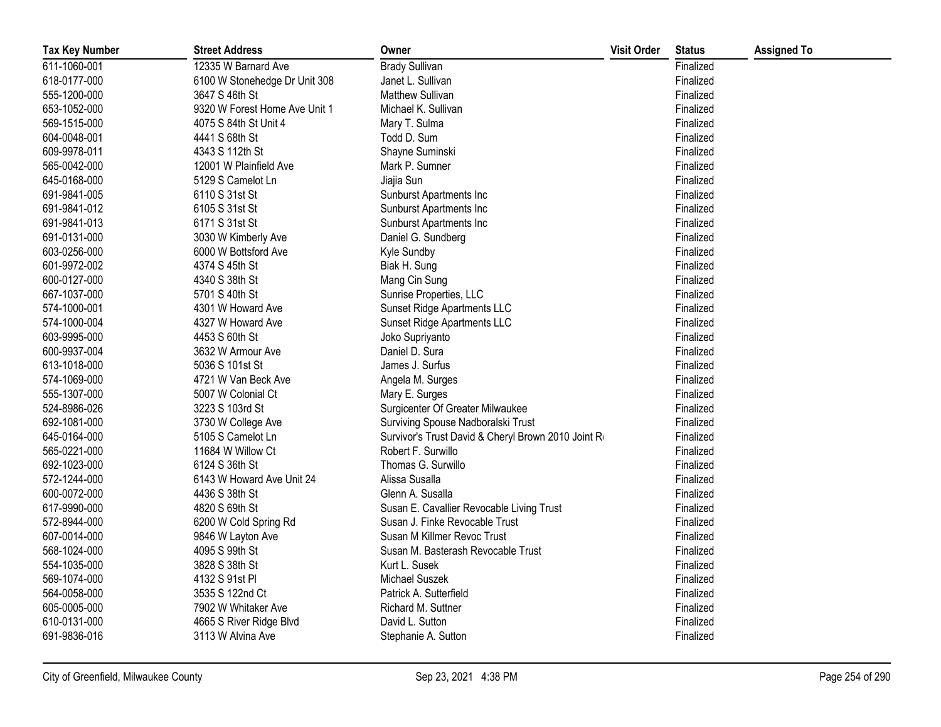| <b>Tax Key Number</b> | <b>Street Address</b>         | Owner                                               | <b>Visit Order</b> | <b>Status</b> | <b>Assigned To</b> |
|-----------------------|-------------------------------|-----------------------------------------------------|--------------------|---------------|--------------------|
| 611-1060-001          | 12335 W Barnard Ave           | <b>Brady Sullivan</b>                               |                    | Finalized     |                    |
| 618-0177-000          | 6100 W Stonehedge Dr Unit 308 | Janet L. Sullivan                                   |                    | Finalized     |                    |
| 555-1200-000          | 3647 S 46th St                | <b>Matthew Sullivan</b>                             |                    | Finalized     |                    |
| 653-1052-000          | 9320 W Forest Home Ave Unit 1 | Michael K. Sullivan                                 |                    | Finalized     |                    |
| 569-1515-000          | 4075 S 84th St Unit 4         | Mary T. Sulma                                       |                    | Finalized     |                    |
| 604-0048-001          | 4441 S 68th St                | Todd D. Sum                                         |                    | Finalized     |                    |
| 609-9978-011          | 4343 S 112th St               | Shayne Suminski                                     |                    | Finalized     |                    |
| 565-0042-000          | 12001 W Plainfield Ave        | Mark P. Sumner                                      |                    | Finalized     |                    |
| 645-0168-000          | 5129 S Camelot Ln             | Jiajia Sun                                          |                    | Finalized     |                    |
| 691-9841-005          | 6110 S 31st St                | Sunburst Apartments Inc                             |                    | Finalized     |                    |
| 691-9841-012          | 6105 S 31st St                | Sunburst Apartments Inc                             |                    | Finalized     |                    |
| 691-9841-013          | 6171 S 31st St                | Sunburst Apartments Inc                             |                    | Finalized     |                    |
| 691-0131-000          | 3030 W Kimberly Ave           | Daniel G. Sundberg                                  |                    | Finalized     |                    |
| 603-0256-000          | 6000 W Bottsford Ave          | Kyle Sundby                                         |                    | Finalized     |                    |
| 601-9972-002          | 4374 S 45th St                | Biak H. Sung                                        |                    | Finalized     |                    |
| 600-0127-000          | 4340 S 38th St                | Mang Cin Sung                                       |                    | Finalized     |                    |
| 667-1037-000          | 5701 S 40th St                | Sunrise Properties, LLC                             |                    | Finalized     |                    |
| 574-1000-001          | 4301 W Howard Ave             | Sunset Ridge Apartments LLC                         |                    | Finalized     |                    |
| 574-1000-004          | 4327 W Howard Ave             | Sunset Ridge Apartments LLC                         |                    | Finalized     |                    |
| 603-9995-000          | 4453 S 60th St                | Joko Supriyanto                                     |                    | Finalized     |                    |
| 600-9937-004          | 3632 W Armour Ave             | Daniel D. Sura                                      |                    | Finalized     |                    |
| 613-1018-000          | 5036 S 101st St               | James J. Surfus                                     |                    | Finalized     |                    |
| 574-1069-000          | 4721 W Van Beck Ave           | Angela M. Surges                                    |                    | Finalized     |                    |
| 555-1307-000          | 5007 W Colonial Ct            | Mary E. Surges                                      |                    | Finalized     |                    |
| 524-8986-026          | 3223 S 103rd St               | Surgicenter Of Greater Milwaukee                    |                    | Finalized     |                    |
| 692-1081-000          | 3730 W College Ave            | Surviving Spouse Nadboralski Trust                  |                    | Finalized     |                    |
| 645-0164-000          | 5105 S Camelot Ln             | Survivor's Trust David & Cheryl Brown 2010 Joint Ro |                    | Finalized     |                    |
| 565-0221-000          | 11684 W Willow Ct             | Robert F. Surwillo                                  |                    | Finalized     |                    |
| 692-1023-000          | 6124 S 36th St                | Thomas G. Surwillo                                  |                    | Finalized     |                    |
| 572-1244-000          | 6143 W Howard Ave Unit 24     | Alissa Susalla                                      |                    | Finalized     |                    |
| 600-0072-000          | 4436 S 38th St                | Glenn A. Susalla                                    |                    | Finalized     |                    |
| 617-9990-000          | 4820 S 69th St                | Susan E. Cavallier Revocable Living Trust           |                    | Finalized     |                    |
| 572-8944-000          | 6200 W Cold Spring Rd         | Susan J. Finke Revocable Trust                      |                    | Finalized     |                    |
| 607-0014-000          | 9846 W Layton Ave             | Susan M Killmer Revoc Trust                         |                    | Finalized     |                    |
| 568-1024-000          | 4095 S 99th St                | Susan M. Basterash Revocable Trust                  |                    | Finalized     |                    |
| 554-1035-000          | 3828 S 38th St                | Kurt L. Susek                                       |                    | Finalized     |                    |
| 569-1074-000          | 4132 S 91st PI                | Michael Suszek                                      |                    | Finalized     |                    |
| 564-0058-000          | 3535 S 122nd Ct               | Patrick A. Sutterfield                              |                    | Finalized     |                    |
| 605-0005-000          | 7902 W Whitaker Ave           | Richard M. Suttner                                  |                    | Finalized     |                    |
| 610-0131-000          | 4665 S River Ridge Blvd       | David L. Sutton                                     |                    | Finalized     |                    |
| 691-9836-016          | 3113 W Alvina Ave             | Stephanie A. Sutton                                 |                    | Finalized     |                    |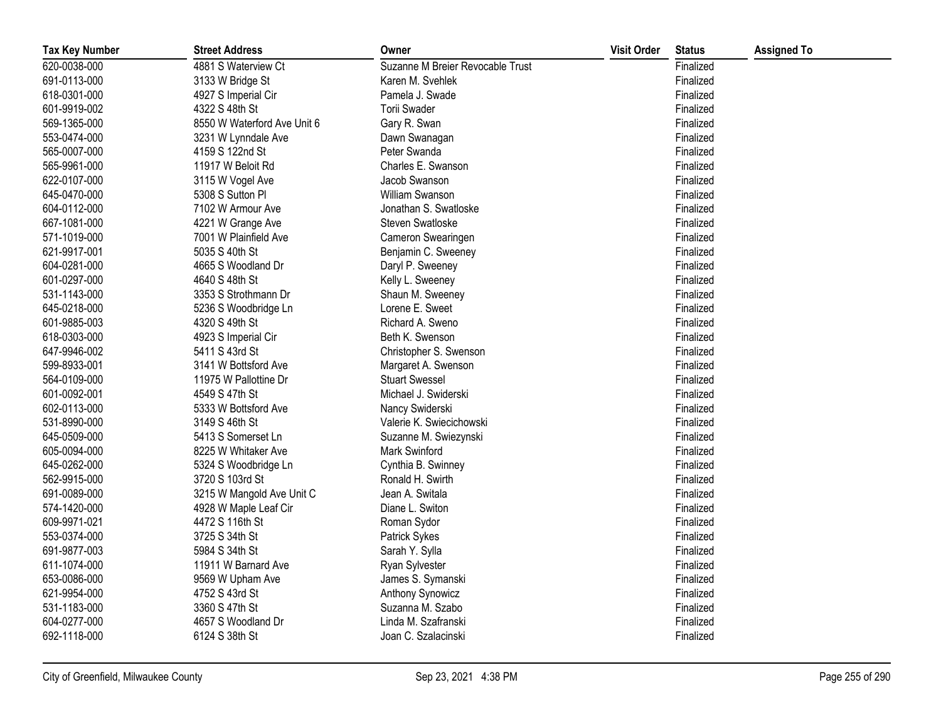| <b>Tax Key Number</b> | <b>Street Address</b>       | Owner                            | <b>Visit Order</b> | <b>Status</b> | <b>Assigned To</b> |
|-----------------------|-----------------------------|----------------------------------|--------------------|---------------|--------------------|
| 620-0038-000          | 4881 S Waterview Ct         | Suzanne M Breier Revocable Trust |                    | Finalized     |                    |
| 691-0113-000          | 3133 W Bridge St            | Karen M. Svehlek                 |                    | Finalized     |                    |
| 618-0301-000          | 4927 S Imperial Cir         | Pamela J. Swade                  |                    | Finalized     |                    |
| 601-9919-002          | 4322 S 48th St              | Torii Swader                     |                    | Finalized     |                    |
| 569-1365-000          | 8550 W Waterford Ave Unit 6 | Gary R. Swan                     |                    | Finalized     |                    |
| 553-0474-000          | 3231 W Lynndale Ave         | Dawn Swanagan                    |                    | Finalized     |                    |
| 565-0007-000          | 4159 S 122nd St             | Peter Swanda                     |                    | Finalized     |                    |
| 565-9961-000          | 11917 W Beloit Rd           | Charles E. Swanson               |                    | Finalized     |                    |
| 622-0107-000          | 3115 W Vogel Ave            | Jacob Swanson                    |                    | Finalized     |                    |
| 645-0470-000          | 5308 S Sutton Pl            | William Swanson                  |                    | Finalized     |                    |
| 604-0112-000          | 7102 W Armour Ave           | Jonathan S. Swatloske            |                    | Finalized     |                    |
| 667-1081-000          | 4221 W Grange Ave           | Steven Swatloske                 |                    | Finalized     |                    |
| 571-1019-000          | 7001 W Plainfield Ave       | Cameron Swearingen               |                    | Finalized     |                    |
| 621-9917-001          | 5035 S 40th St              | Benjamin C. Sweeney              |                    | Finalized     |                    |
| 604-0281-000          | 4665 S Woodland Dr          | Daryl P. Sweeney                 |                    | Finalized     |                    |
| 601-0297-000          | 4640 S 48th St              | Kelly L. Sweeney                 |                    | Finalized     |                    |
| 531-1143-000          | 3353 S Strothmann Dr        | Shaun M. Sweeney                 |                    | Finalized     |                    |
| 645-0218-000          | 5236 S Woodbridge Ln        | Lorene E. Sweet                  |                    | Finalized     |                    |
| 601-9885-003          | 4320 S 49th St              | Richard A. Sweno                 |                    | Finalized     |                    |
| 618-0303-000          | 4923 S Imperial Cir         | Beth K. Swenson                  |                    | Finalized     |                    |
| 647-9946-002          | 5411 S 43rd St              | Christopher S. Swenson           |                    | Finalized     |                    |
| 599-8933-001          | 3141 W Bottsford Ave        | Margaret A. Swenson              |                    | Finalized     |                    |
| 564-0109-000          | 11975 W Pallottine Dr       | <b>Stuart Swessel</b>            |                    | Finalized     |                    |
| 601-0092-001          | 4549 S 47th St              | Michael J. Swiderski             |                    | Finalized     |                    |
| 602-0113-000          | 5333 W Bottsford Ave        | Nancy Swiderski                  |                    | Finalized     |                    |
| 531-8990-000          | 3149 S 46th St              | Valerie K. Swiecichowski         |                    | Finalized     |                    |
| 645-0509-000          | 5413 S Somerset Ln          | Suzanne M. Swiezynski            |                    | Finalized     |                    |
| 605-0094-000          | 8225 W Whitaker Ave         | Mark Swinford                    |                    | Finalized     |                    |
| 645-0262-000          | 5324 S Woodbridge Ln        | Cynthia B. Swinney               |                    | Finalized     |                    |
| 562-9915-000          | 3720 S 103rd St             | Ronald H. Swirth                 |                    | Finalized     |                    |
| 691-0089-000          | 3215 W Mangold Ave Unit C   | Jean A. Switala                  |                    | Finalized     |                    |
| 574-1420-000          | 4928 W Maple Leaf Cir       | Diane L. Switon                  |                    | Finalized     |                    |
| 609-9971-021          | 4472 S 116th St             | Roman Sydor                      |                    | Finalized     |                    |
| 553-0374-000          | 3725 S 34th St              | Patrick Sykes                    |                    | Finalized     |                    |
| 691-9877-003          | 5984 S 34th St              | Sarah Y. Sylla                   |                    | Finalized     |                    |
| 611-1074-000          | 11911 W Barnard Ave         | Ryan Sylvester                   |                    | Finalized     |                    |
| 653-0086-000          | 9569 W Upham Ave            | James S. Symanski                |                    | Finalized     |                    |
| 621-9954-000          | 4752 S 43rd St              | Anthony Synowicz                 |                    | Finalized     |                    |
| 531-1183-000          | 3360 S 47th St              | Suzanna M. Szabo                 |                    | Finalized     |                    |
| 604-0277-000          | 4657 S Woodland Dr          | Linda M. Szafranski              |                    | Finalized     |                    |
| 692-1118-000          | 6124 S 38th St              | Joan C. Szalacinski              |                    | Finalized     |                    |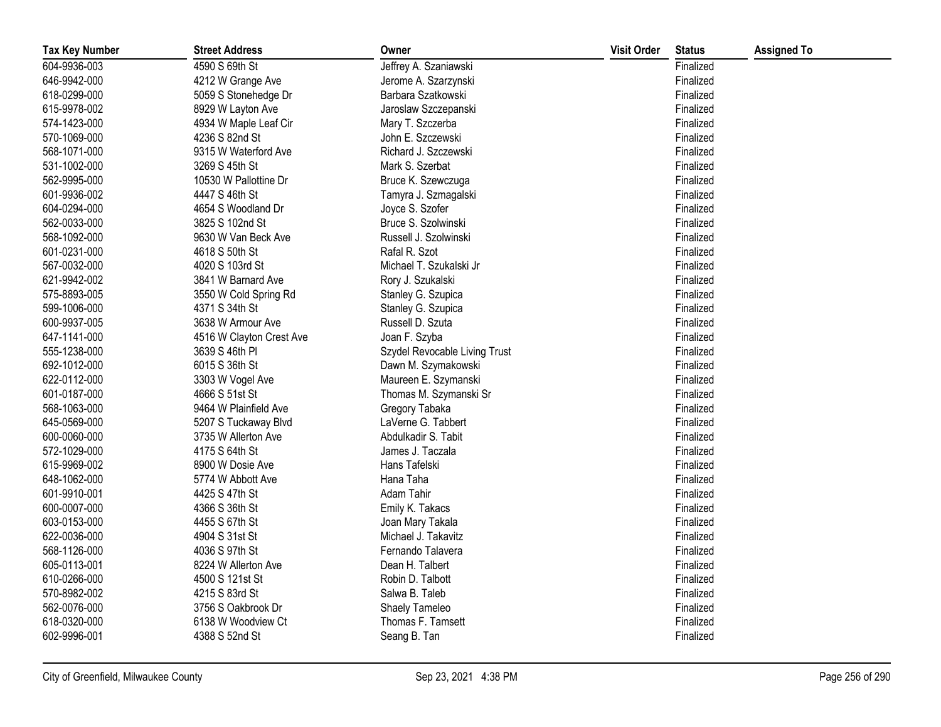| <b>Tax Key Number</b> | <b>Street Address</b>    | Owner                         | <b>Visit Order</b> | <b>Status</b> | <b>Assigned To</b> |
|-----------------------|--------------------------|-------------------------------|--------------------|---------------|--------------------|
| 604-9936-003          | 4590 S 69th St           | Jeffrey A. Szaniawski         |                    | Finalized     |                    |
| 646-9942-000          | 4212 W Grange Ave        | Jerome A. Szarzynski          |                    | Finalized     |                    |
| 618-0299-000          | 5059 S Stonehedge Dr     | Barbara Szatkowski            |                    | Finalized     |                    |
| 615-9978-002          | 8929 W Layton Ave        | Jaroslaw Szczepanski          |                    | Finalized     |                    |
| 574-1423-000          | 4934 W Maple Leaf Cir    | Mary T. Szczerba              |                    | Finalized     |                    |
| 570-1069-000          | 4236 S 82nd St           | John E. Szczewski             |                    | Finalized     |                    |
| 568-1071-000          | 9315 W Waterford Ave     | Richard J. Szczewski          |                    | Finalized     |                    |
| 531-1002-000          | 3269 S 45th St           | Mark S. Szerbat               |                    | Finalized     |                    |
| 562-9995-000          | 10530 W Pallottine Dr    | Bruce K. Szewczuga            |                    | Finalized     |                    |
| 601-9936-002          | 4447 S 46th St           | Tamyra J. Szmagalski          |                    | Finalized     |                    |
| 604-0294-000          | 4654 S Woodland Dr       | Joyce S. Szofer               |                    | Finalized     |                    |
| 562-0033-000          | 3825 S 102nd St          | Bruce S. Szolwinski           |                    | Finalized     |                    |
| 568-1092-000          | 9630 W Van Beck Ave      | Russell J. Szolwinski         |                    | Finalized     |                    |
| 601-0231-000          | 4618 S 50th St           | Rafal R. Szot                 |                    | Finalized     |                    |
| 567-0032-000          | 4020 S 103rd St          | Michael T. Szukalski Jr       |                    | Finalized     |                    |
| 621-9942-002          | 3841 W Barnard Ave       | Rory J. Szukalski             |                    | Finalized     |                    |
| 575-8893-005          | 3550 W Cold Spring Rd    | Stanley G. Szupica            |                    | Finalized     |                    |
| 599-1006-000          | 4371 S 34th St           | Stanley G. Szupica            |                    | Finalized     |                    |
| 600-9937-005          | 3638 W Armour Ave        | Russell D. Szuta              |                    | Finalized     |                    |
| 647-1141-000          | 4516 W Clayton Crest Ave | Joan F. Szyba                 |                    | Finalized     |                    |
| 555-1238-000          | 3639 S 46th PI           | Szydel Revocable Living Trust |                    | Finalized     |                    |
| 692-1012-000          | 6015 S 36th St           | Dawn M. Szymakowski           |                    | Finalized     |                    |
| 622-0112-000          | 3303 W Vogel Ave         | Maureen E. Szymanski          |                    | Finalized     |                    |
| 601-0187-000          | 4666 S 51st St           | Thomas M. Szymanski Sr        |                    | Finalized     |                    |
| 568-1063-000          | 9464 W Plainfield Ave    | Gregory Tabaka                |                    | Finalized     |                    |
| 645-0569-000          | 5207 S Tuckaway Blvd     | LaVerne G. Tabbert            |                    | Finalized     |                    |
| 600-0060-000          | 3735 W Allerton Ave      | Abdulkadir S. Tabit           |                    | Finalized     |                    |
| 572-1029-000          | 4175 S 64th St           | James J. Taczala              |                    | Finalized     |                    |
| 615-9969-002          | 8900 W Dosie Ave         | Hans Tafelski                 |                    | Finalized     |                    |
| 648-1062-000          | 5774 W Abbott Ave        | Hana Taha                     |                    | Finalized     |                    |
| 601-9910-001          | 4425 S 47th St           | Adam Tahir                    |                    | Finalized     |                    |
| 600-0007-000          | 4366 S 36th St           | Emily K. Takacs               |                    | Finalized     |                    |
| 603-0153-000          | 4455 S 67th St           | Joan Mary Takala              |                    | Finalized     |                    |
| 622-0036-000          | 4904 S 31st St           | Michael J. Takavitz           |                    | Finalized     |                    |
| 568-1126-000          | 4036 S 97th St           | Fernando Talavera             |                    | Finalized     |                    |
| 605-0113-001          | 8224 W Allerton Ave      | Dean H. Talbert               |                    | Finalized     |                    |
| 610-0266-000          | 4500 S 121st St          | Robin D. Talbott              |                    | Finalized     |                    |
| 570-8982-002          | 4215 S 83rd St           | Salwa B. Taleb                |                    | Finalized     |                    |
| 562-0076-000          | 3756 S Oakbrook Dr       | Shaely Tameleo                |                    | Finalized     |                    |
| 618-0320-000          | 6138 W Woodview Ct       | Thomas F. Tamsett             |                    | Finalized     |                    |
| 602-9996-001          | 4388 S 52nd St           | Seang B. Tan                  |                    | Finalized     |                    |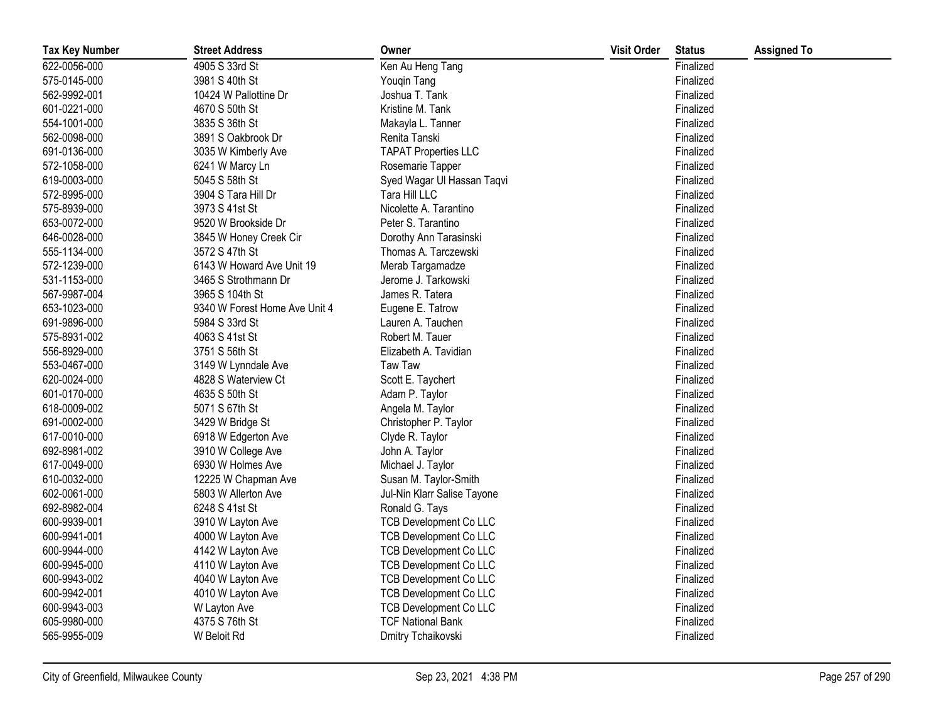| <b>Tax Key Number</b> | <b>Street Address</b>         | Owner                         | <b>Visit Order</b> | <b>Status</b> | <b>Assigned To</b> |
|-----------------------|-------------------------------|-------------------------------|--------------------|---------------|--------------------|
| 622-0056-000          | 4905 S 33rd St                | Ken Au Heng Tang              |                    | Finalized     |                    |
| 575-0145-000          | 3981 S 40th St                | Youqin Tang                   |                    | Finalized     |                    |
| 562-9992-001          | 10424 W Pallottine Dr         | Joshua T. Tank                |                    | Finalized     |                    |
| 601-0221-000          | 4670 S 50th St                | Kristine M. Tank              |                    | Finalized     |                    |
| 554-1001-000          | 3835 S 36th St                | Makayla L. Tanner             |                    | Finalized     |                    |
| 562-0098-000          | 3891 S Oakbrook Dr            | Renita Tanski                 |                    | Finalized     |                    |
| 691-0136-000          | 3035 W Kimberly Ave           | <b>TAPAT Properties LLC</b>   |                    | Finalized     |                    |
| 572-1058-000          | 6241 W Marcy Ln               | Rosemarie Tapper              |                    | Finalized     |                    |
| 619-0003-000          | 5045 S 58th St                | Syed Wagar Ul Hassan Taqvi    |                    | Finalized     |                    |
| 572-8995-000          | 3904 S Tara Hill Dr           | Tara Hill LLC                 |                    | Finalized     |                    |
| 575-8939-000          | 3973 S 41st St                | Nicolette A. Tarantino        |                    | Finalized     |                    |
| 653-0072-000          | 9520 W Brookside Dr           | Peter S. Tarantino            |                    | Finalized     |                    |
| 646-0028-000          | 3845 W Honey Creek Cir        | Dorothy Ann Tarasinski        |                    | Finalized     |                    |
| 555-1134-000          | 3572 S 47th St                | Thomas A. Tarczewski          |                    | Finalized     |                    |
| 572-1239-000          | 6143 W Howard Ave Unit 19     | Merab Targamadze              |                    | Finalized     |                    |
| 531-1153-000          | 3465 S Strothmann Dr          | Jerome J. Tarkowski           |                    | Finalized     |                    |
| 567-9987-004          | 3965 S 104th St               | James R. Tatera               |                    | Finalized     |                    |
| 653-1023-000          | 9340 W Forest Home Ave Unit 4 | Eugene E. Tatrow              |                    | Finalized     |                    |
| 691-9896-000          | 5984 S 33rd St                | Lauren A. Tauchen             |                    | Finalized     |                    |
| 575-8931-002          | 4063 S 41st St                | Robert M. Tauer               |                    | Finalized     |                    |
| 556-8929-000          | 3751 S 56th St                | Elizabeth A. Tavidian         |                    | Finalized     |                    |
| 553-0467-000          | 3149 W Lynndale Ave           | Taw Taw                       |                    | Finalized     |                    |
| 620-0024-000          | 4828 S Waterview Ct           | Scott E. Taychert             |                    | Finalized     |                    |
| 601-0170-000          | 4635 S 50th St                | Adam P. Taylor                |                    | Finalized     |                    |
| 618-0009-002          | 5071 S 67th St                | Angela M. Taylor              |                    | Finalized     |                    |
| 691-0002-000          | 3429 W Bridge St              | Christopher P. Taylor         |                    | Finalized     |                    |
| 617-0010-000          | 6918 W Edgerton Ave           | Clyde R. Taylor               |                    | Finalized     |                    |
| 692-8981-002          | 3910 W College Ave            | John A. Taylor                |                    | Finalized     |                    |
| 617-0049-000          | 6930 W Holmes Ave             | Michael J. Taylor             |                    | Finalized     |                    |
| 610-0032-000          | 12225 W Chapman Ave           | Susan M. Taylor-Smith         |                    | Finalized     |                    |
| 602-0061-000          | 5803 W Allerton Ave           | Jul-Nin Klarr Salise Tayone   |                    | Finalized     |                    |
| 692-8982-004          | 6248 S 41st St                | Ronald G. Tays                |                    | Finalized     |                    |
| 600-9939-001          | 3910 W Layton Ave             | <b>TCB Development Co LLC</b> |                    | Finalized     |                    |
| 600-9941-001          | 4000 W Layton Ave             | <b>TCB Development Co LLC</b> |                    | Finalized     |                    |
| 600-9944-000          | 4142 W Layton Ave             | <b>TCB Development Co LLC</b> |                    | Finalized     |                    |
| 600-9945-000          | 4110 W Layton Ave             | <b>TCB Development Co LLC</b> |                    | Finalized     |                    |
| 600-9943-002          | 4040 W Layton Ave             | <b>TCB Development Co LLC</b> |                    | Finalized     |                    |
| 600-9942-001          | 4010 W Layton Ave             | <b>TCB Development Co LLC</b> |                    | Finalized     |                    |
| 600-9943-003          | W Layton Ave                  | <b>TCB Development Co LLC</b> |                    | Finalized     |                    |
| 605-9980-000          | 4375 S 76th St                | <b>TCF National Bank</b>      |                    | Finalized     |                    |
| 565-9955-009          | W Beloit Rd                   | Dmitry Tchaikovski            |                    | Finalized     |                    |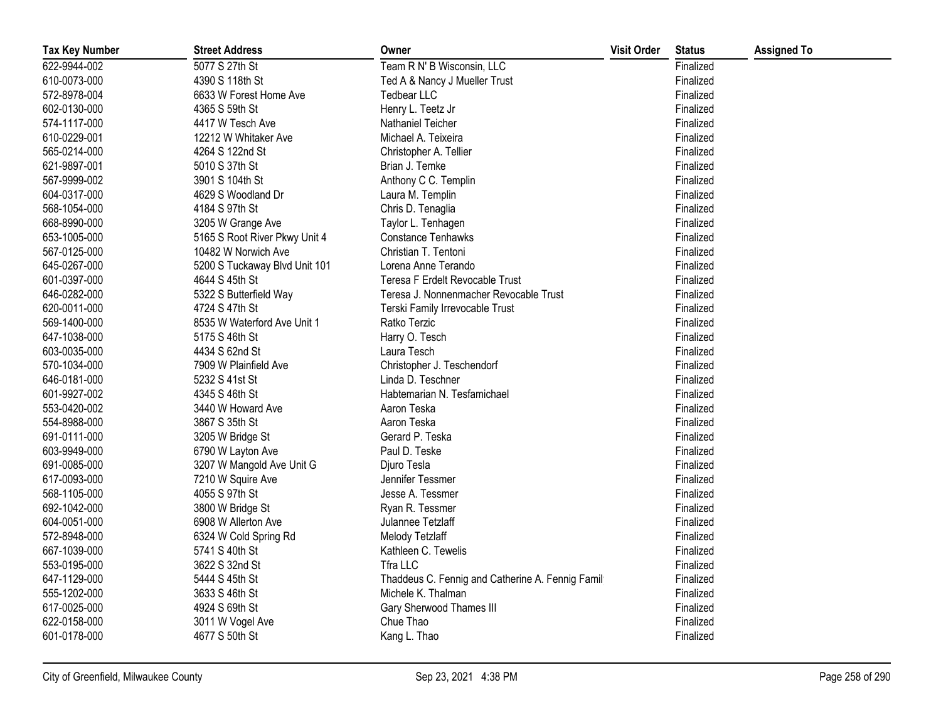| <b>Tax Key Number</b> | <b>Street Address</b>         | Owner                                            | <b>Visit Order</b> | <b>Status</b> | <b>Assigned To</b> |
|-----------------------|-------------------------------|--------------------------------------------------|--------------------|---------------|--------------------|
| 622-9944-002          | 5077 S 27th St                | Team R N' B Wisconsin, LLC                       |                    | Finalized     |                    |
| 610-0073-000          | 4390 S 118th St               | Ted A & Nancy J Mueller Trust                    |                    | Finalized     |                    |
| 572-8978-004          | 6633 W Forest Home Ave        | <b>Tedbear LLC</b>                               |                    | Finalized     |                    |
| 602-0130-000          | 4365 S 59th St                | Henry L. Teetz Jr                                |                    | Finalized     |                    |
| 574-1117-000          | 4417 W Tesch Ave              | Nathaniel Teicher                                |                    | Finalized     |                    |
| 610-0229-001          | 12212 W Whitaker Ave          | Michael A. Teixeira                              |                    | Finalized     |                    |
| 565-0214-000          | 4264 S 122nd St               | Christopher A. Tellier                           |                    | Finalized     |                    |
| 621-9897-001          | 5010 S 37th St                | Brian J. Temke                                   |                    | Finalized     |                    |
| 567-9999-002          | 3901 S 104th St               | Anthony C C. Templin                             |                    | Finalized     |                    |
| 604-0317-000          | 4629 S Woodland Dr            | Laura M. Templin                                 |                    | Finalized     |                    |
| 568-1054-000          | 4184 S 97th St                | Chris D. Tenaglia                                |                    | Finalized     |                    |
| 668-8990-000          | 3205 W Grange Ave             | Taylor L. Tenhagen                               |                    | Finalized     |                    |
| 653-1005-000          | 5165 S Root River Pkwy Unit 4 | <b>Constance Tenhawks</b>                        |                    | Finalized     |                    |
| 567-0125-000          | 10482 W Norwich Ave           | Christian T. Tentoni                             |                    | Finalized     |                    |
| 645-0267-000          | 5200 S Tuckaway Blvd Unit 101 | Lorena Anne Terando                              |                    | Finalized     |                    |
| 601-0397-000          | 4644 S 45th St                | Teresa F Erdelt Revocable Trust                  |                    | Finalized     |                    |
| 646-0282-000          | 5322 S Butterfield Way        | Teresa J. Nonnenmacher Revocable Trust           |                    | Finalized     |                    |
| 620-0011-000          | 4724 S 47th St                | Terski Family Irrevocable Trust                  |                    | Finalized     |                    |
| 569-1400-000          | 8535 W Waterford Ave Unit 1   | Ratko Terzic                                     |                    | Finalized     |                    |
| 647-1038-000          | 5175 S 46th St                | Harry O. Tesch                                   |                    | Finalized     |                    |
| 603-0035-000          | 4434 S 62nd St                | Laura Tesch                                      |                    | Finalized     |                    |
| 570-1034-000          | 7909 W Plainfield Ave         | Christopher J. Teschendorf                       |                    | Finalized     |                    |
| 646-0181-000          | 5232 S 41st St                | Linda D. Teschner                                |                    | Finalized     |                    |
| 601-9927-002          | 4345 S 46th St                | Habtemarian N. Tesfamichael                      |                    | Finalized     |                    |
| 553-0420-002          | 3440 W Howard Ave             | Aaron Teska                                      |                    | Finalized     |                    |
| 554-8988-000          | 3867 S 35th St                | Aaron Teska                                      |                    | Finalized     |                    |
| 691-0111-000          | 3205 W Bridge St              | Gerard P. Teska                                  |                    | Finalized     |                    |
| 603-9949-000          | 6790 W Layton Ave             | Paul D. Teske                                    |                    | Finalized     |                    |
| 691-0085-000          | 3207 W Mangold Ave Unit G     | Djuro Tesla                                      |                    | Finalized     |                    |
| 617-0093-000          | 7210 W Squire Ave             | Jennifer Tessmer                                 |                    | Finalized     |                    |
| 568-1105-000          | 4055 S 97th St                | Jesse A. Tessmer                                 |                    | Finalized     |                    |
| 692-1042-000          | 3800 W Bridge St              | Ryan R. Tessmer                                  |                    | Finalized     |                    |
| 604-0051-000          | 6908 W Allerton Ave           | Julannee Tetzlaff                                |                    | Finalized     |                    |
| 572-8948-000          | 6324 W Cold Spring Rd         | Melody Tetzlaff                                  |                    | Finalized     |                    |
| 667-1039-000          | 5741 S 40th St                | Kathleen C. Tewelis                              |                    | Finalized     |                    |
| 553-0195-000          | 3622 S 32nd St                | Tfra LLC                                         |                    | Finalized     |                    |
| 647-1129-000          | 5444 S 45th St                | Thaddeus C. Fennig and Catherine A. Fennig Famil |                    | Finalized     |                    |
| 555-1202-000          | 3633 S 46th St                | Michele K. Thalman                               |                    | Finalized     |                    |
| 617-0025-000          | 4924 S 69th St                | Gary Sherwood Thames III                         |                    | Finalized     |                    |
| 622-0158-000          | 3011 W Vogel Ave              | Chue Thao                                        |                    | Finalized     |                    |
| 601-0178-000          | 4677 S 50th St                | Kang L. Thao                                     |                    | Finalized     |                    |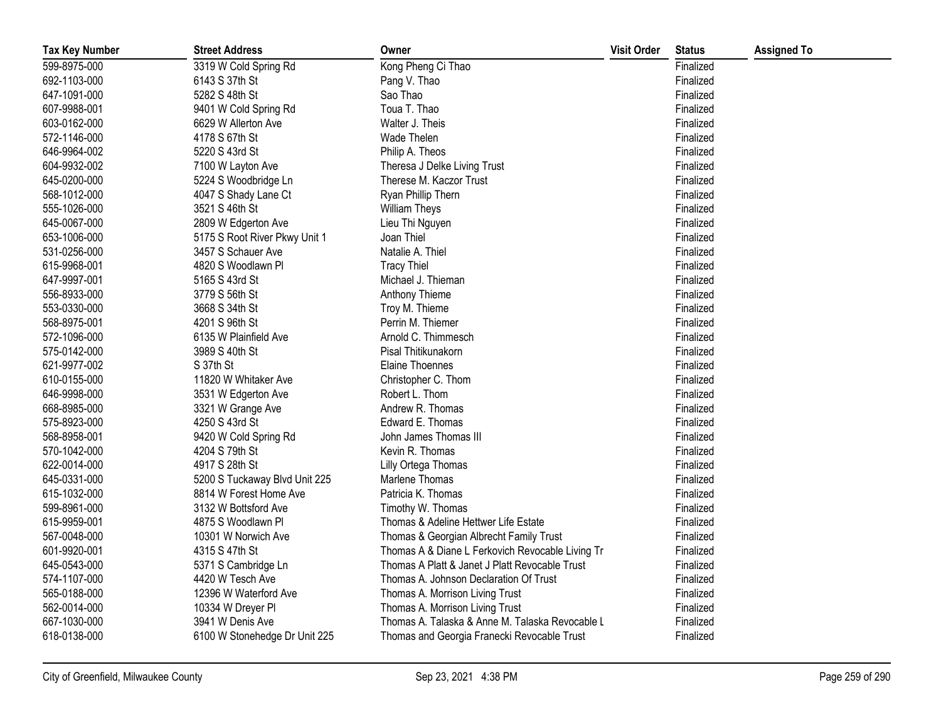| <b>Tax Key Number</b> | <b>Street Address</b>         | Owner                                            | <b>Visit Order</b> | <b>Status</b> | <b>Assigned To</b> |
|-----------------------|-------------------------------|--------------------------------------------------|--------------------|---------------|--------------------|
| 599-8975-000          | 3319 W Cold Spring Rd         | Kong Pheng Ci Thao                               |                    | Finalized     |                    |
| 692-1103-000          | 6143 S 37th St                | Pang V. Thao                                     |                    | Finalized     |                    |
| 647-1091-000          | 5282 S 48th St                | Sao Thao                                         |                    | Finalized     |                    |
| 607-9988-001          | 9401 W Cold Spring Rd         | Toua T. Thao                                     |                    | Finalized     |                    |
| 603-0162-000          | 6629 W Allerton Ave           | Walter J. Theis                                  |                    | Finalized     |                    |
| 572-1146-000          | 4178 S 67th St                | Wade Thelen                                      |                    | Finalized     |                    |
| 646-9964-002          | 5220 S 43rd St                | Philip A. Theos                                  |                    | Finalized     |                    |
| 604-9932-002          | 7100 W Layton Ave             | Theresa J Delke Living Trust                     |                    | Finalized     |                    |
| 645-0200-000          | 5224 S Woodbridge Ln          | Therese M. Kaczor Trust                          |                    | Finalized     |                    |
| 568-1012-000          | 4047 S Shady Lane Ct          | Ryan Phillip Thern                               |                    | Finalized     |                    |
| 555-1026-000          | 3521 S 46th St                | <b>William Theys</b>                             |                    | Finalized     |                    |
| 645-0067-000          | 2809 W Edgerton Ave           | Lieu Thi Nguyen                                  |                    | Finalized     |                    |
| 653-1006-000          | 5175 S Root River Pkwy Unit 1 | Joan Thiel                                       |                    | Finalized     |                    |
| 531-0256-000          | 3457 S Schauer Ave            | Natalie A. Thiel                                 |                    | Finalized     |                    |
| 615-9968-001          | 4820 S Woodlawn Pl            | <b>Tracy Thiel</b>                               |                    | Finalized     |                    |
| 647-9997-001          | 5165 S 43rd St                | Michael J. Thieman                               |                    | Finalized     |                    |
| 556-8933-000          | 3779 S 56th St                | Anthony Thieme                                   |                    | Finalized     |                    |
| 553-0330-000          | 3668 S 34th St                | Troy M. Thieme                                   |                    | Finalized     |                    |
| 568-8975-001          | 4201 S 96th St                | Perrin M. Thiemer                                |                    | Finalized     |                    |
| 572-1096-000          | 6135 W Plainfield Ave         | Arnold C. Thimmesch                              |                    | Finalized     |                    |
| 575-0142-000          | 3989 S 40th St                | Pisal Thitikunakorn                              |                    | Finalized     |                    |
| 621-9977-002          | S 37th St                     | <b>Elaine Thoennes</b>                           |                    | Finalized     |                    |
| 610-0155-000          | 11820 W Whitaker Ave          | Christopher C. Thom                              |                    | Finalized     |                    |
| 646-9998-000          | 3531 W Edgerton Ave           | Robert L. Thom                                   |                    | Finalized     |                    |
| 668-8985-000          | 3321 W Grange Ave             | Andrew R. Thomas                                 |                    | Finalized     |                    |
| 575-8923-000          | 4250 S 43rd St                | Edward E. Thomas                                 |                    | Finalized     |                    |
| 568-8958-001          | 9420 W Cold Spring Rd         | John James Thomas III                            |                    | Finalized     |                    |
| 570-1042-000          | 4204 S 79th St                | Kevin R. Thomas                                  |                    | Finalized     |                    |
| 622-0014-000          | 4917 S 28th St                | Lilly Ortega Thomas                              |                    | Finalized     |                    |
| 645-0331-000          | 5200 S Tuckaway Blvd Unit 225 | Marlene Thomas                                   |                    | Finalized     |                    |
| 615-1032-000          | 8814 W Forest Home Ave        | Patricia K. Thomas                               |                    | Finalized     |                    |
| 599-8961-000          | 3132 W Bottsford Ave          | Timothy W. Thomas                                |                    | Finalized     |                    |
| 615-9959-001          | 4875 S Woodlawn Pl            | Thomas & Adeline Hettwer Life Estate             |                    | Finalized     |                    |
| 567-0048-000          | 10301 W Norwich Ave           | Thomas & Georgian Albrecht Family Trust          |                    | Finalized     |                    |
| 601-9920-001          | 4315 S 47th St                | Thomas A & Diane L Ferkovich Revocable Living Tr |                    | Finalized     |                    |
| 645-0543-000          | 5371 S Cambridge Ln           | Thomas A Platt & Janet J Platt Revocable Trust   |                    | Finalized     |                    |
| 574-1107-000          | 4420 W Tesch Ave              | Thomas A. Johnson Declaration Of Trust           |                    | Finalized     |                    |
| 565-0188-000          | 12396 W Waterford Ave         | Thomas A. Morrison Living Trust                  |                    | Finalized     |                    |
| 562-0014-000          | 10334 W Dreyer Pl             | Thomas A. Morrison Living Trust                  |                    | Finalized     |                    |
| 667-1030-000          | 3941 W Denis Ave              | Thomas A. Talaska & Anne M. Talaska Revocable L  |                    | Finalized     |                    |
| 618-0138-000          | 6100 W Stonehedge Dr Unit 225 | Thomas and Georgia Franecki Revocable Trust      |                    | Finalized     |                    |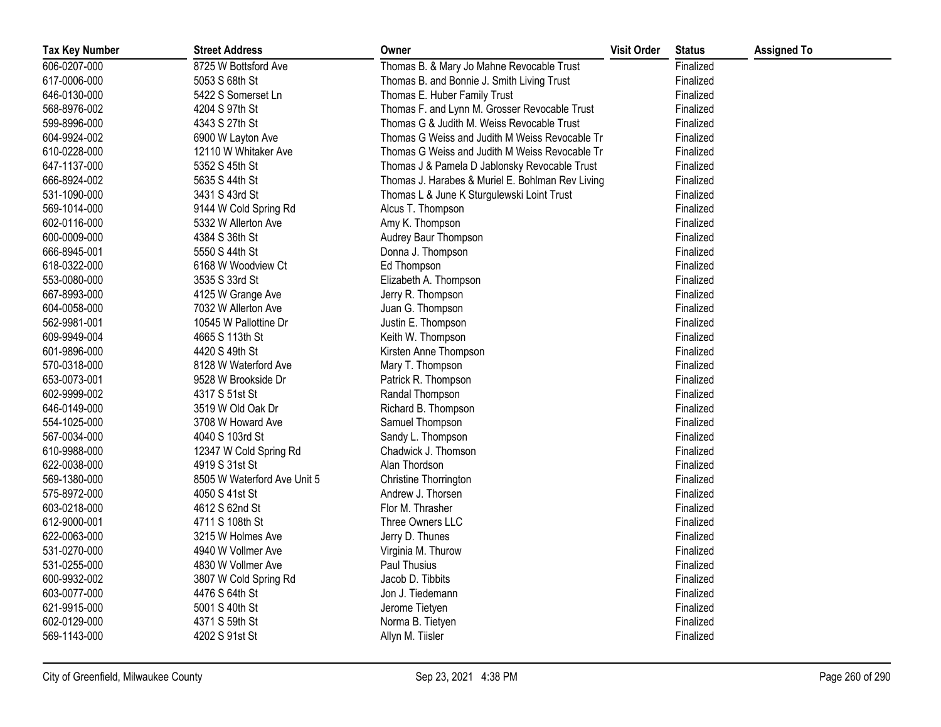| <b>Tax Key Number</b> | <b>Street Address</b>       | Owner                                            | <b>Visit Order</b> | <b>Status</b> | <b>Assigned To</b> |
|-----------------------|-----------------------------|--------------------------------------------------|--------------------|---------------|--------------------|
| 606-0207-000          | 8725 W Bottsford Ave        | Thomas B. & Mary Jo Mahne Revocable Trust        |                    | Finalized     |                    |
| 617-0006-000          | 5053 S 68th St              | Thomas B. and Bonnie J. Smith Living Trust       |                    | Finalized     |                    |
| 646-0130-000          | 5422 S Somerset Ln          | Thomas E. Huber Family Trust                     |                    | Finalized     |                    |
| 568-8976-002          | 4204 S 97th St              | Thomas F. and Lynn M. Grosser Revocable Trust    |                    | Finalized     |                    |
| 599-8996-000          | 4343 S 27th St              | Thomas G & Judith M. Weiss Revocable Trust       |                    | Finalized     |                    |
| 604-9924-002          | 6900 W Layton Ave           | Thomas G Weiss and Judith M Weiss Revocable Tri  |                    | Finalized     |                    |
| 610-0228-000          | 12110 W Whitaker Ave        | Thomas G Weiss and Judith M Weiss Revocable Tru  |                    | Finalized     |                    |
| 647-1137-000          | 5352 S 45th St              | Thomas J & Pamela D Jablonsky Revocable Trust    |                    | Finalized     |                    |
| 666-8924-002          | 5635 S 44th St              | Thomas J. Harabes & Muriel E. Bohlman Rev Living |                    | Finalized     |                    |
| 531-1090-000          | 3431 S 43rd St              | Thomas L & June K Sturgulewski Loint Trust       |                    | Finalized     |                    |
| 569-1014-000          | 9144 W Cold Spring Rd       | Alcus T. Thompson                                |                    | Finalized     |                    |
| 602-0116-000          | 5332 W Allerton Ave         | Amy K. Thompson                                  |                    | Finalized     |                    |
| 600-0009-000          | 4384 S 36th St              | Audrey Baur Thompson                             |                    | Finalized     |                    |
| 666-8945-001          | 5550 S 44th St              | Donna J. Thompson                                |                    | Finalized     |                    |
| 618-0322-000          | 6168 W Woodview Ct          | Ed Thompson                                      |                    | Finalized     |                    |
| 553-0080-000          | 3535 S 33rd St              | Elizabeth A. Thompson                            |                    | Finalized     |                    |
| 667-8993-000          | 4125 W Grange Ave           | Jerry R. Thompson                                |                    | Finalized     |                    |
| 604-0058-000          | 7032 W Allerton Ave         | Juan G. Thompson                                 |                    | Finalized     |                    |
| 562-9981-001          | 10545 W Pallottine Dr       | Justin E. Thompson                               |                    | Finalized     |                    |
| 609-9949-004          | 4665 S 113th St             | Keith W. Thompson                                |                    | Finalized     |                    |
| 601-9896-000          | 4420 S 49th St              | Kirsten Anne Thompson                            |                    | Finalized     |                    |
| 570-0318-000          | 8128 W Waterford Ave        | Mary T. Thompson                                 |                    | Finalized     |                    |
| 653-0073-001          | 9528 W Brookside Dr         | Patrick R. Thompson                              |                    | Finalized     |                    |
| 602-9999-002          | 4317 S 51st St              | Randal Thompson                                  |                    | Finalized     |                    |
| 646-0149-000          | 3519 W Old Oak Dr           | Richard B. Thompson                              |                    | Finalized     |                    |
| 554-1025-000          | 3708 W Howard Ave           | Samuel Thompson                                  |                    | Finalized     |                    |
| 567-0034-000          | 4040 S 103rd St             | Sandy L. Thompson                                |                    | Finalized     |                    |
| 610-9988-000          | 12347 W Cold Spring Rd      | Chadwick J. Thomson                              |                    | Finalized     |                    |
| 622-0038-000          | 4919 S 31st St              | Alan Thordson                                    |                    | Finalized     |                    |
| 569-1380-000          | 8505 W Waterford Ave Unit 5 | Christine Thorrington                            |                    | Finalized     |                    |
| 575-8972-000          | 4050 S 41st St              | Andrew J. Thorsen                                |                    | Finalized     |                    |
| 603-0218-000          | 4612 S 62nd St              | Flor M. Thrasher                                 |                    | Finalized     |                    |
| 612-9000-001          | 4711 S 108th St             | Three Owners LLC                                 |                    | Finalized     |                    |
| 622-0063-000          | 3215 W Holmes Ave           | Jerry D. Thunes                                  |                    | Finalized     |                    |
| 531-0270-000          | 4940 W Vollmer Ave          | Virginia M. Thurow                               |                    | Finalized     |                    |
| 531-0255-000          | 4830 W Vollmer Ave          | Paul Thusius                                     |                    | Finalized     |                    |
| 600-9932-002          | 3807 W Cold Spring Rd       | Jacob D. Tibbits                                 |                    | Finalized     |                    |
| 603-0077-000          | 4476 S 64th St              | Jon J. Tiedemann                                 |                    | Finalized     |                    |
| 621-9915-000          | 5001 S 40th St              | Jerome Tietyen                                   |                    | Finalized     |                    |
| 602-0129-000          | 4371 S 59th St              | Norma B. Tietyen                                 |                    | Finalized     |                    |
| 569-1143-000          | 4202 S 91st St              | Allyn M. Tiisler                                 |                    | Finalized     |                    |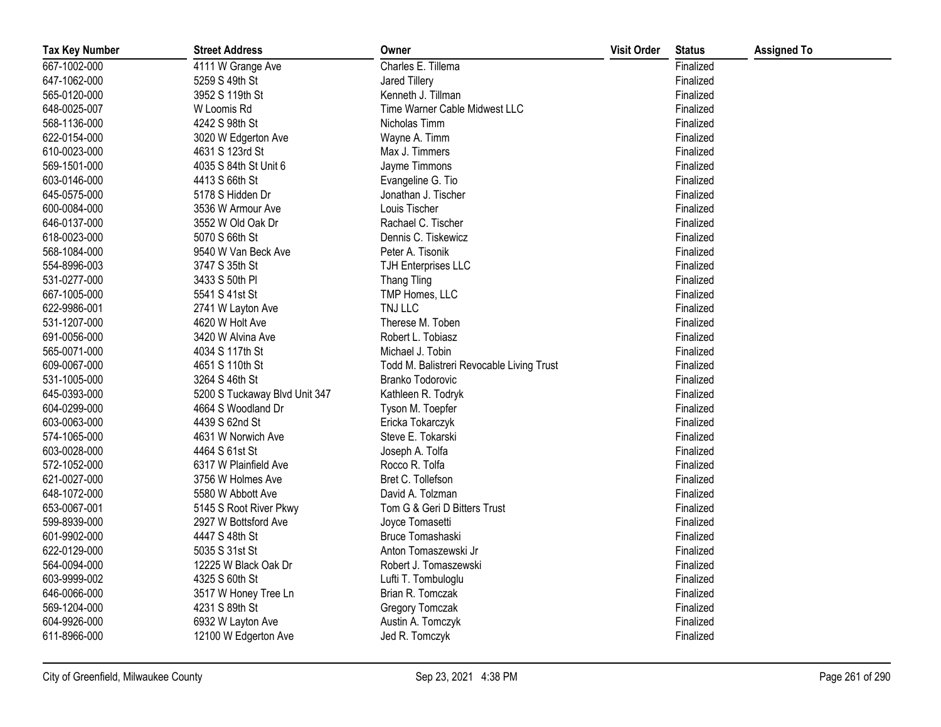| <b>Tax Key Number</b> | <b>Street Address</b>         | Owner                                     | <b>Visit Order</b> | <b>Status</b> | <b>Assigned To</b> |
|-----------------------|-------------------------------|-------------------------------------------|--------------------|---------------|--------------------|
| 667-1002-000          | 4111 W Grange Ave             | Charles E. Tillema                        |                    | Finalized     |                    |
| 647-1062-000          | 5259 S 49th St                | Jared Tillery                             |                    | Finalized     |                    |
| 565-0120-000          | 3952 S 119th St               | Kenneth J. Tillman                        |                    | Finalized     |                    |
| 648-0025-007          | W Loomis Rd                   | Time Warner Cable Midwest LLC             |                    | Finalized     |                    |
| 568-1136-000          | 4242 S 98th St                | Nicholas Timm                             |                    | Finalized     |                    |
| 622-0154-000          | 3020 W Edgerton Ave           | Wayne A. Timm                             |                    | Finalized     |                    |
| 610-0023-000          | 4631 S 123rd St               | Max J. Timmers                            |                    | Finalized     |                    |
| 569-1501-000          | 4035 S 84th St Unit 6         | Jayme Timmons                             |                    | Finalized     |                    |
| 603-0146-000          | 4413 S 66th St                | Evangeline G. Tio                         |                    | Finalized     |                    |
| 645-0575-000          | 5178 S Hidden Dr              | Jonathan J. Tischer                       |                    | Finalized     |                    |
| 600-0084-000          | 3536 W Armour Ave             | Louis Tischer                             |                    | Finalized     |                    |
| 646-0137-000          | 3552 W Old Oak Dr             | Rachael C. Tischer                        |                    | Finalized     |                    |
| 618-0023-000          | 5070 S 66th St                | Dennis C. Tiskewicz                       |                    | Finalized     |                    |
| 568-1084-000          | 9540 W Van Beck Ave           | Peter A. Tisonik                          |                    | Finalized     |                    |
| 554-8996-003          | 3747 S 35th St                | <b>TJH Enterprises LLC</b>                |                    | Finalized     |                    |
| 531-0277-000          | 3433 S 50th PI                | <b>Thang Tling</b>                        |                    | Finalized     |                    |
| 667-1005-000          | 5541 S 41st St                | TMP Homes, LLC                            |                    | Finalized     |                    |
| 622-9986-001          | 2741 W Layton Ave             | TNJ LLC                                   |                    | Finalized     |                    |
| 531-1207-000          | 4620 W Holt Ave               | Therese M. Toben                          |                    | Finalized     |                    |
| 691-0056-000          | 3420 W Alvina Ave             | Robert L. Tobiasz                         |                    | Finalized     |                    |
| 565-0071-000          | 4034 S 117th St               | Michael J. Tobin                          |                    | Finalized     |                    |
| 609-0067-000          | 4651 S 110th St               | Todd M. Balistreri Revocable Living Trust |                    | Finalized     |                    |
| 531-1005-000          | 3264 S 46th St                | <b>Branko Todorovic</b>                   |                    | Finalized     |                    |
| 645-0393-000          | 5200 S Tuckaway Blvd Unit 347 | Kathleen R. Todryk                        |                    | Finalized     |                    |
| 604-0299-000          | 4664 S Woodland Dr            | Tyson M. Toepfer                          |                    | Finalized     |                    |
| 603-0063-000          | 4439 S 62nd St                | Ericka Tokarczyk                          |                    | Finalized     |                    |
| 574-1065-000          | 4631 W Norwich Ave            | Steve E. Tokarski                         |                    | Finalized     |                    |
| 603-0028-000          | 4464 S 61st St                | Joseph A. Tolfa                           |                    | Finalized     |                    |
| 572-1052-000          | 6317 W Plainfield Ave         | Rocco R. Tolfa                            |                    | Finalized     |                    |
| 621-0027-000          | 3756 W Holmes Ave             | Bret C. Tollefson                         |                    | Finalized     |                    |
| 648-1072-000          | 5580 W Abbott Ave             | David A. Tolzman                          |                    | Finalized     |                    |
| 653-0067-001          | 5145 S Root River Pkwy        | Tom G & Geri D Bitters Trust              |                    | Finalized     |                    |
| 599-8939-000          | 2927 W Bottsford Ave          | Joyce Tomasetti                           |                    | Finalized     |                    |
| 601-9902-000          | 4447 S 48th St                | Bruce Tomashaski                          |                    | Finalized     |                    |
| 622-0129-000          | 5035 S 31st St                | Anton Tomaszewski Jr                      |                    | Finalized     |                    |
| 564-0094-000          | 12225 W Black Oak Dr          | Robert J. Tomaszewski                     |                    | Finalized     |                    |
| 603-9999-002          | 4325 S 60th St                | Lufti T. Tombuloglu                       |                    | Finalized     |                    |
| 646-0066-000          | 3517 W Honey Tree Ln          | Brian R. Tomczak                          |                    | Finalized     |                    |
| 569-1204-000          | 4231 S 89th St                | Gregory Tomczak                           |                    | Finalized     |                    |
| 604-9926-000          | 6932 W Layton Ave             | Austin A. Tomczyk                         |                    | Finalized     |                    |
| 611-8966-000          | 12100 W Edgerton Ave          | Jed R. Tomczyk                            |                    | Finalized     |                    |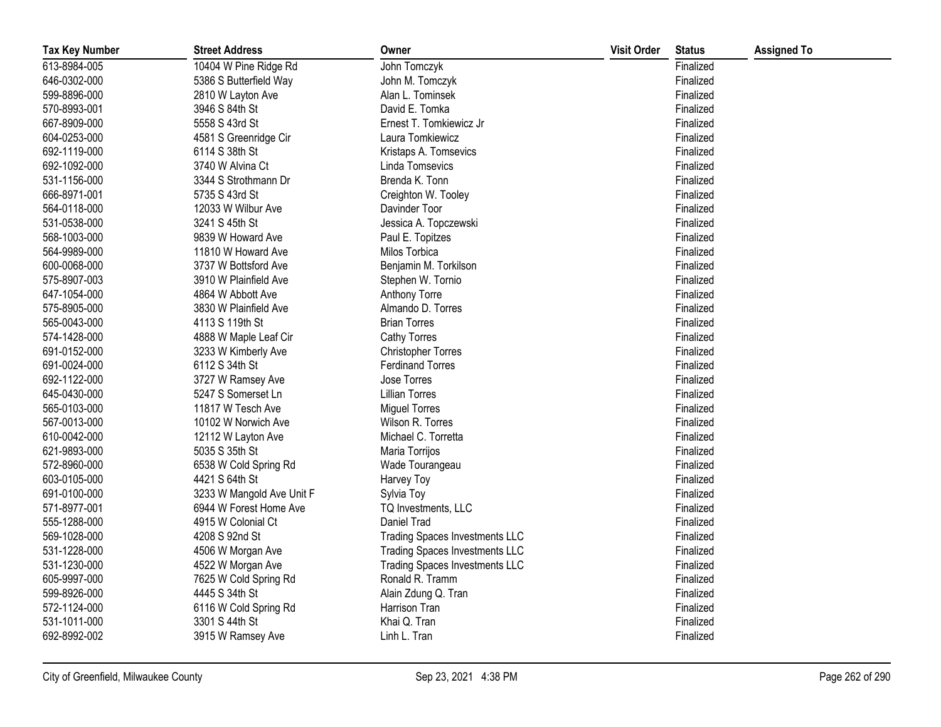| <b>Tax Key Number</b> | <b>Street Address</b>     | Owner                                 | <b>Visit Order</b> | <b>Status</b> | <b>Assigned To</b> |
|-----------------------|---------------------------|---------------------------------------|--------------------|---------------|--------------------|
| 613-8984-005          | 10404 W Pine Ridge Rd     | John Tomczyk                          |                    | Finalized     |                    |
| 646-0302-000          | 5386 S Butterfield Way    | John M. Tomczyk                       |                    | Finalized     |                    |
| 599-8896-000          | 2810 W Layton Ave         | Alan L. Tominsek                      |                    | Finalized     |                    |
| 570-8993-001          | 3946 S 84th St            | David E. Tomka                        |                    | Finalized     |                    |
| 667-8909-000          | 5558 S 43rd St            | Ernest T. Tomkiewicz Jr               |                    | Finalized     |                    |
| 604-0253-000          | 4581 S Greenridge Cir     | Laura Tomkiewicz                      |                    | Finalized     |                    |
| 692-1119-000          | 6114 S 38th St            | Kristaps A. Tomsevics                 |                    | Finalized     |                    |
| 692-1092-000          | 3740 W Alvina Ct          | Linda Tomsevics                       |                    | Finalized     |                    |
| 531-1156-000          | 3344 S Strothmann Dr      | Brenda K. Tonn                        |                    | Finalized     |                    |
| 666-8971-001          | 5735 S 43rd St            | Creighton W. Tooley                   |                    | Finalized     |                    |
| 564-0118-000          | 12033 W Wilbur Ave        | Davinder Toor                         |                    | Finalized     |                    |
| 531-0538-000          | 3241 S 45th St            | Jessica A. Topczewski                 |                    | Finalized     |                    |
| 568-1003-000          | 9839 W Howard Ave         | Paul E. Topitzes                      |                    | Finalized     |                    |
| 564-9989-000          | 11810 W Howard Ave        | Milos Torbica                         |                    | Finalized     |                    |
| 600-0068-000          | 3737 W Bottsford Ave      | Benjamin M. Torkilson                 |                    | Finalized     |                    |
| 575-8907-003          | 3910 W Plainfield Ave     | Stephen W. Tornio                     |                    | Finalized     |                    |
| 647-1054-000          | 4864 W Abbott Ave         | Anthony Torre                         |                    | Finalized     |                    |
| 575-8905-000          | 3830 W Plainfield Ave     | Almando D. Torres                     |                    | Finalized     |                    |
| 565-0043-000          | 4113 S 119th St           | <b>Brian Torres</b>                   |                    | Finalized     |                    |
| 574-1428-000          | 4888 W Maple Leaf Cir     | <b>Cathy Torres</b>                   |                    | Finalized     |                    |
| 691-0152-000          | 3233 W Kimberly Ave       | <b>Christopher Torres</b>             |                    | Finalized     |                    |
| 691-0024-000          | 6112 S 34th St            | <b>Ferdinand Torres</b>               |                    | Finalized     |                    |
| 692-1122-000          | 3727 W Ramsey Ave         | Jose Torres                           |                    | Finalized     |                    |
| 645-0430-000          | 5247 S Somerset Ln        | <b>Lillian Torres</b>                 |                    | Finalized     |                    |
| 565-0103-000          | 11817 W Tesch Ave         | <b>Miguel Torres</b>                  |                    | Finalized     |                    |
| 567-0013-000          | 10102 W Norwich Ave       | Wilson R. Torres                      |                    | Finalized     |                    |
| 610-0042-000          | 12112 W Layton Ave        | Michael C. Torretta                   |                    | Finalized     |                    |
| 621-9893-000          | 5035 S 35th St            | Maria Torrijos                        |                    | Finalized     |                    |
| 572-8960-000          | 6538 W Cold Spring Rd     | Wade Tourangeau                       |                    | Finalized     |                    |
| 603-0105-000          | 4421 S 64th St            | Harvey Toy                            |                    | Finalized     |                    |
| 691-0100-000          | 3233 W Mangold Ave Unit F | Sylvia Toy                            |                    | Finalized     |                    |
| 571-8977-001          | 6944 W Forest Home Ave    | TQ Investments, LLC                   |                    | Finalized     |                    |
| 555-1288-000          | 4915 W Colonial Ct        | Daniel Trad                           |                    | Finalized     |                    |
| 569-1028-000          | 4208 S 92nd St            | <b>Trading Spaces Investments LLC</b> |                    | Finalized     |                    |
| 531-1228-000          | 4506 W Morgan Ave         | <b>Trading Spaces Investments LLC</b> |                    | Finalized     |                    |
| 531-1230-000          | 4522 W Morgan Ave         | <b>Trading Spaces Investments LLC</b> |                    | Finalized     |                    |
| 605-9997-000          | 7625 W Cold Spring Rd     | Ronald R. Tramm                       |                    | Finalized     |                    |
| 599-8926-000          | 4445 S 34th St            | Alain Zdung Q. Tran                   |                    | Finalized     |                    |
| 572-1124-000          | 6116 W Cold Spring Rd     | Harrison Tran                         |                    | Finalized     |                    |
| 531-1011-000          | 3301 S 44th St            | Khai Q. Tran                          |                    | Finalized     |                    |
| 692-8992-002          | 3915 W Ramsey Ave         | Linh L. Tran                          |                    | Finalized     |                    |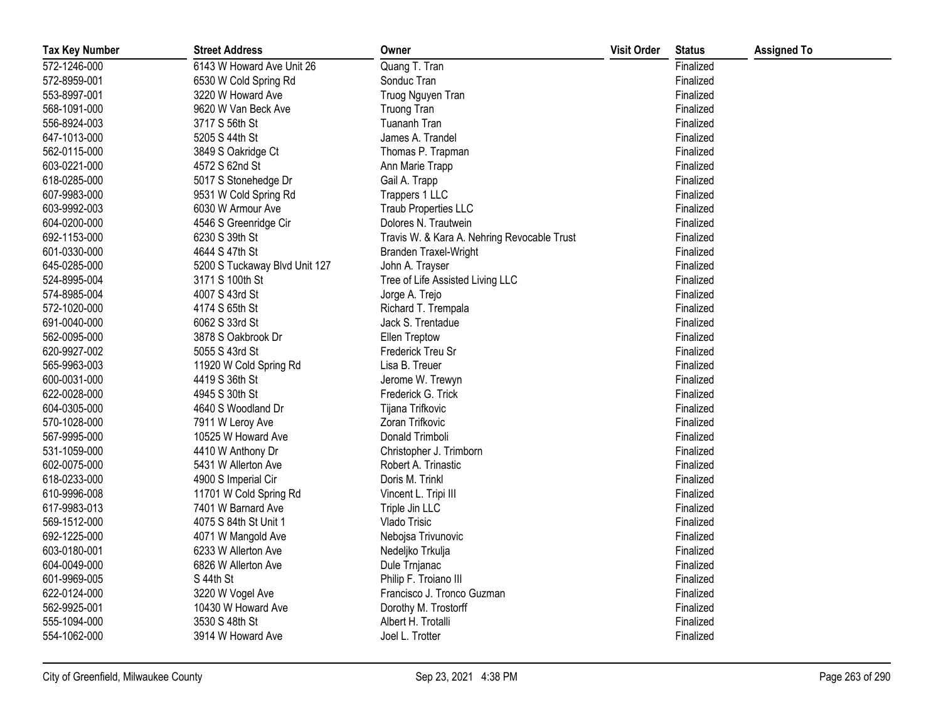| <b>Tax Key Number</b> | <b>Street Address</b>         | Owner                                       | <b>Visit Order</b> | <b>Status</b> | <b>Assigned To</b> |
|-----------------------|-------------------------------|---------------------------------------------|--------------------|---------------|--------------------|
| 572-1246-000          | 6143 W Howard Ave Unit 26     | Quang T. Tran                               |                    | Finalized     |                    |
| 572-8959-001          | 6530 W Cold Spring Rd         | Sonduc Tran                                 |                    | Finalized     |                    |
| 553-8997-001          | 3220 W Howard Ave             | Truog Nguyen Tran                           |                    | Finalized     |                    |
| 568-1091-000          | 9620 W Van Beck Ave           | <b>Truong Tran</b>                          |                    | Finalized     |                    |
| 556-8924-003          | 3717 S 56th St                | Tuananh Tran                                |                    | Finalized     |                    |
| 647-1013-000          | 5205 S 44th St                | James A. Trandel                            |                    | Finalized     |                    |
| 562-0115-000          | 3849 S Oakridge Ct            | Thomas P. Trapman                           |                    | Finalized     |                    |
| 603-0221-000          | 4572 S 62nd St                | Ann Marie Trapp                             |                    | Finalized     |                    |
| 618-0285-000          | 5017 S Stonehedge Dr          | Gail A. Trapp                               |                    | Finalized     |                    |
| 607-9983-000          | 9531 W Cold Spring Rd         | Trappers 1 LLC                              |                    | Finalized     |                    |
| 603-9992-003          | 6030 W Armour Ave             | Traub Properties LLC                        |                    | Finalized     |                    |
| 604-0200-000          | 4546 S Greenridge Cir         | Dolores N. Trautwein                        |                    | Finalized     |                    |
| 692-1153-000          | 6230 S 39th St                | Travis W. & Kara A. Nehring Revocable Trust |                    | Finalized     |                    |
| 601-0330-000          | 4644 S 47th St                | <b>Branden Traxel-Wright</b>                |                    | Finalized     |                    |
| 645-0285-000          | 5200 S Tuckaway Blvd Unit 127 | John A. Trayser                             |                    | Finalized     |                    |
| 524-8995-004          | 3171 S 100th St               | Tree of Life Assisted Living LLC            |                    | Finalized     |                    |
| 574-8985-004          | 4007 S 43rd St                | Jorge A. Trejo                              |                    | Finalized     |                    |
| 572-1020-000          | 4174 S 65th St                | Richard T. Trempala                         |                    | Finalized     |                    |
| 691-0040-000          | 6062 S 33rd St                | Jack S. Trentadue                           |                    | Finalized     |                    |
| 562-0095-000          | 3878 S Oakbrook Dr            | <b>Ellen Treptow</b>                        |                    | Finalized     |                    |
| 620-9927-002          | 5055 S 43rd St                | Frederick Treu Sr                           |                    | Finalized     |                    |
| 565-9963-003          | 11920 W Cold Spring Rd        | Lisa B. Treuer                              |                    | Finalized     |                    |
| 600-0031-000          | 4419 S 36th St                | Jerome W. Trewyn                            |                    | Finalized     |                    |
| 622-0028-000          | 4945 S 30th St                | Frederick G. Trick                          |                    | Finalized     |                    |
| 604-0305-000          | 4640 S Woodland Dr            | Tijana Trifkovic                            |                    | Finalized     |                    |
| 570-1028-000          | 7911 W Leroy Ave              | Zoran Trifkovic                             |                    | Finalized     |                    |
| 567-9995-000          | 10525 W Howard Ave            | Donald Trimboli                             |                    | Finalized     |                    |
| 531-1059-000          | 4410 W Anthony Dr             | Christopher J. Trimborn                     |                    | Finalized     |                    |
| 602-0075-000          | 5431 W Allerton Ave           | Robert A. Trinastic                         |                    | Finalized     |                    |
| 618-0233-000          | 4900 S Imperial Cir           | Doris M. Trinkl                             |                    | Finalized     |                    |
| 610-9996-008          | 11701 W Cold Spring Rd        | Vincent L. Tripi III                        |                    | Finalized     |                    |
| 617-9983-013          | 7401 W Barnard Ave            | Triple Jin LLC                              |                    | Finalized     |                    |
| 569-1512-000          | 4075 S 84th St Unit 1         | Vlado Trisic                                |                    | Finalized     |                    |
| 692-1225-000          | 4071 W Mangold Ave            | Nebojsa Trivunovic                          |                    | Finalized     |                    |
| 603-0180-001          | 6233 W Allerton Ave           | Nedeljko Trkulja                            |                    | Finalized     |                    |
| 604-0049-000          | 6826 W Allerton Ave           | Dule Trnjanac                               |                    | Finalized     |                    |
| 601-9969-005          | S 44th St                     | Philip F. Troiano III                       |                    | Finalized     |                    |
| 622-0124-000          | 3220 W Vogel Ave              | Francisco J. Tronco Guzman                  |                    | Finalized     |                    |
| 562-9925-001          | 10430 W Howard Ave            | Dorothy M. Trostorff                        |                    | Finalized     |                    |
| 555-1094-000          | 3530 S 48th St                | Albert H. Trotalli                          |                    | Finalized     |                    |
| 554-1062-000          | 3914 W Howard Ave             | Joel L. Trotter                             |                    | Finalized     |                    |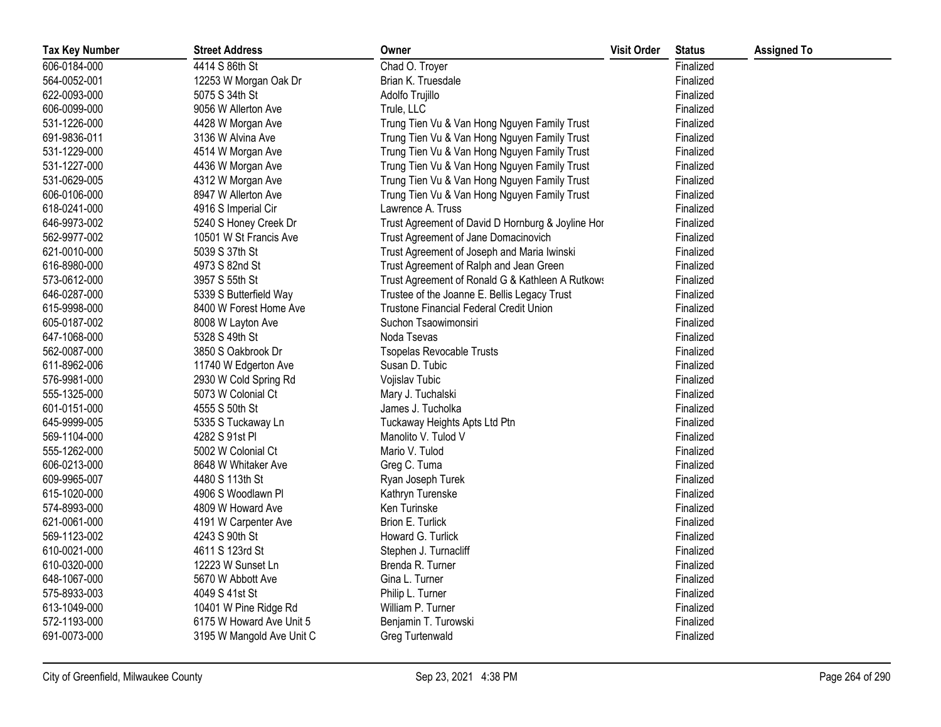| <b>Tax Key Number</b> | <b>Street Address</b>     | Owner                                             | <b>Visit Order</b> | <b>Status</b> | <b>Assigned To</b> |
|-----------------------|---------------------------|---------------------------------------------------|--------------------|---------------|--------------------|
| 606-0184-000          | 4414 S 86th St            | Chad O. Troyer                                    |                    | Finalized     |                    |
| 564-0052-001          | 12253 W Morgan Oak Dr     | Brian K. Truesdale                                |                    | Finalized     |                    |
| 622-0093-000          | 5075 S 34th St            | Adolfo Trujillo                                   |                    | Finalized     |                    |
| 606-0099-000          | 9056 W Allerton Ave       | Trule, LLC                                        |                    | Finalized     |                    |
| 531-1226-000          | 4428 W Morgan Ave         | Trung Tien Vu & Van Hong Nguyen Family Trust      |                    | Finalized     |                    |
| 691-9836-011          | 3136 W Alvina Ave         | Trung Tien Vu & Van Hong Nguyen Family Trust      |                    | Finalized     |                    |
| 531-1229-000          | 4514 W Morgan Ave         | Trung Tien Vu & Van Hong Nguyen Family Trust      |                    | Finalized     |                    |
| 531-1227-000          | 4436 W Morgan Ave         | Trung Tien Vu & Van Hong Nguyen Family Trust      |                    | Finalized     |                    |
| 531-0629-005          | 4312 W Morgan Ave         | Trung Tien Vu & Van Hong Nguyen Family Trust      |                    | Finalized     |                    |
| 606-0106-000          | 8947 W Allerton Ave       | Trung Tien Vu & Van Hong Nguyen Family Trust      |                    | Finalized     |                    |
| 618-0241-000          | 4916 S Imperial Cir       | Lawrence A. Truss                                 |                    | Finalized     |                    |
| 646-9973-002          | 5240 S Honey Creek Dr     | Trust Agreement of David D Hornburg & Joyline Hor |                    | Finalized     |                    |
| 562-9977-002          | 10501 W St Francis Ave    | Trust Agreement of Jane Domacinovich              |                    | Finalized     |                    |
| 621-0010-000          | 5039 S 37th St            | Trust Agreement of Joseph and Maria Iwinski       |                    | Finalized     |                    |
| 616-8980-000          | 4973 S 82nd St            | Trust Agreement of Ralph and Jean Green           |                    | Finalized     |                    |
| 573-0612-000          | 3957 S 55th St            | Trust Agreement of Ronald G & Kathleen A Rutkows  |                    | Finalized     |                    |
| 646-0287-000          | 5339 S Butterfield Way    | Trustee of the Joanne E. Bellis Legacy Trust      |                    | Finalized     |                    |
| 615-9998-000          | 8400 W Forest Home Ave    | Trustone Financial Federal Credit Union           |                    | Finalized     |                    |
| 605-0187-002          | 8008 W Layton Ave         | Suchon Tsaowimonsiri                              |                    | Finalized     |                    |
| 647-1068-000          | 5328 S 49th St            | Noda Tsevas                                       |                    | Finalized     |                    |
| 562-0087-000          | 3850 S Oakbrook Dr        | <b>Tsopelas Revocable Trusts</b>                  |                    | Finalized     |                    |
| 611-8962-006          | 11740 W Edgerton Ave      | Susan D. Tubic                                    |                    | Finalized     |                    |
| 576-9981-000          | 2930 W Cold Spring Rd     | Vojislav Tubic                                    |                    | Finalized     |                    |
| 555-1325-000          | 5073 W Colonial Ct        | Mary J. Tuchalski                                 |                    | Finalized     |                    |
| 601-0151-000          | 4555 S 50th St            | James J. Tucholka                                 |                    | Finalized     |                    |
| 645-9999-005          | 5335 S Tuckaway Ln        | Tuckaway Heights Apts Ltd Ptn                     |                    | Finalized     |                    |
| 569-1104-000          | 4282 S 91st Pl            | Manolito V. Tulod V                               |                    | Finalized     |                    |
| 555-1262-000          | 5002 W Colonial Ct        | Mario V. Tulod                                    |                    | Finalized     |                    |
| 606-0213-000          | 8648 W Whitaker Ave       | Greg C. Tuma                                      |                    | Finalized     |                    |
| 609-9965-007          | 4480 S 113th St           | Ryan Joseph Turek                                 |                    | Finalized     |                    |
| 615-1020-000          | 4906 S Woodlawn Pl        | Kathryn Turenske                                  |                    | Finalized     |                    |
| 574-8993-000          | 4809 W Howard Ave         | Ken Turinske                                      |                    | Finalized     |                    |
| 621-0061-000          | 4191 W Carpenter Ave      | Brion E. Turlick                                  |                    | Finalized     |                    |
| 569-1123-002          | 4243 S 90th St            | Howard G. Turlick                                 |                    | Finalized     |                    |
| 610-0021-000          | 4611 S 123rd St           | Stephen J. Turnacliff                             |                    | Finalized     |                    |
| 610-0320-000          | 12223 W Sunset Ln         | Brenda R. Turner                                  |                    | Finalized     |                    |
| 648-1067-000          | 5670 W Abbott Ave         | Gina L. Turner                                    |                    | Finalized     |                    |
| 575-8933-003          | 4049 S 41st St            | Philip L. Turner                                  |                    | Finalized     |                    |
| 613-1049-000          | 10401 W Pine Ridge Rd     | William P. Turner                                 |                    | Finalized     |                    |
| 572-1193-000          | 6175 W Howard Ave Unit 5  | Benjamin T. Turowski                              |                    | Finalized     |                    |
| 691-0073-000          | 3195 W Mangold Ave Unit C | Greg Turtenwald                                   |                    | Finalized     |                    |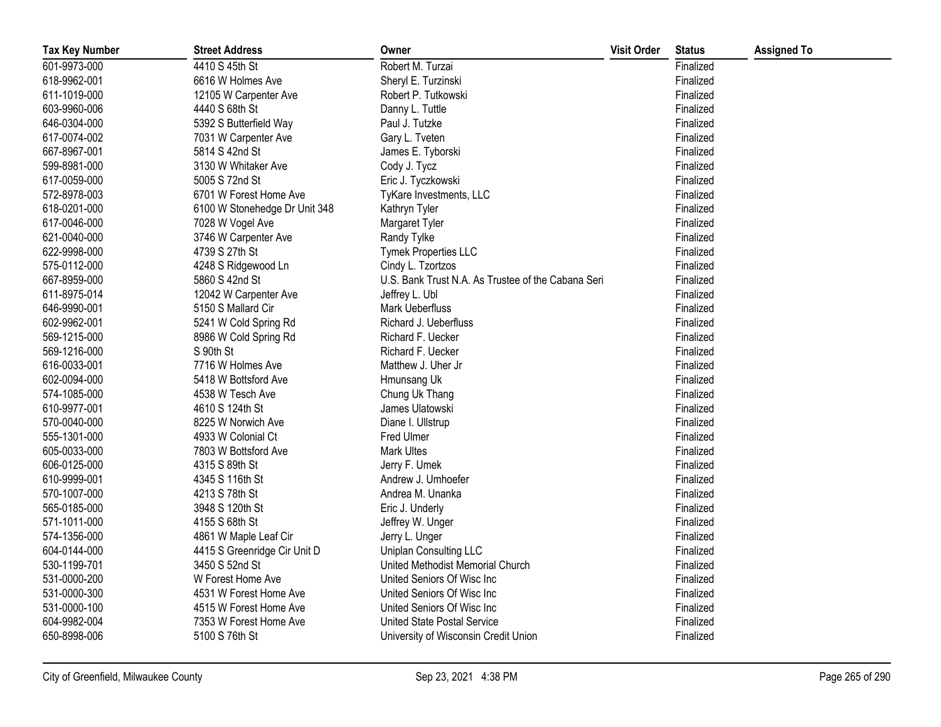| <b>Tax Key Number</b> | <b>Street Address</b>         | Owner                                              | <b>Visit Order</b> | <b>Status</b> | <b>Assigned To</b> |
|-----------------------|-------------------------------|----------------------------------------------------|--------------------|---------------|--------------------|
| 601-9973-000          | 4410 S 45th St                | Robert M. Turzai                                   |                    | Finalized     |                    |
| 618-9962-001          | 6616 W Holmes Ave             | Sheryl E. Turzinski                                |                    | Finalized     |                    |
| 611-1019-000          | 12105 W Carpenter Ave         | Robert P. Tutkowski                                |                    | Finalized     |                    |
| 603-9960-006          | 4440 S 68th St                | Danny L. Tuttle                                    |                    | Finalized     |                    |
| 646-0304-000          | 5392 S Butterfield Way        | Paul J. Tutzke                                     |                    | Finalized     |                    |
| 617-0074-002          | 7031 W Carpenter Ave          | Gary L. Tveten                                     |                    | Finalized     |                    |
| 667-8967-001          | 5814 S 42nd St                | James E. Tyborski                                  |                    | Finalized     |                    |
| 599-8981-000          | 3130 W Whitaker Ave           | Cody J. Tycz                                       |                    | Finalized     |                    |
| 617-0059-000          | 5005 S 72nd St                | Eric J. Tyczkowski                                 |                    | Finalized     |                    |
| 572-8978-003          | 6701 W Forest Home Ave        | TyKare Investments, LLC                            |                    | Finalized     |                    |
| 618-0201-000          | 6100 W Stonehedge Dr Unit 348 | Kathryn Tyler                                      |                    | Finalized     |                    |
| 617-0046-000          | 7028 W Vogel Ave              | Margaret Tyler                                     |                    | Finalized     |                    |
| 621-0040-000          | 3746 W Carpenter Ave          | Randy Tylke                                        |                    | Finalized     |                    |
| 622-9998-000          | 4739 S 27th St                | Tymek Properties LLC                               |                    | Finalized     |                    |
| 575-0112-000          | 4248 S Ridgewood Ln           | Cindy L. Tzortzos                                  |                    | Finalized     |                    |
| 667-8959-000          | 5860 S 42nd St                | U.S. Bank Trust N.A. As Trustee of the Cabana Seri |                    | Finalized     |                    |
| 611-8975-014          | 12042 W Carpenter Ave         | Jeffrey L. Ubl                                     |                    | Finalized     |                    |
| 646-9990-001          | 5150 S Mallard Cir            | Mark Ueberfluss                                    |                    | Finalized     |                    |
| 602-9962-001          | 5241 W Cold Spring Rd         | Richard J. Ueberfluss                              |                    | Finalized     |                    |
| 569-1215-000          | 8986 W Cold Spring Rd         | Richard F. Uecker                                  |                    | Finalized     |                    |
| 569-1216-000          | S 90th St                     | Richard F. Uecker                                  |                    | Finalized     |                    |
| 616-0033-001          | 7716 W Holmes Ave             | Matthew J. Uher Jr                                 |                    | Finalized     |                    |
| 602-0094-000          | 5418 W Bottsford Ave          | Hmunsang Uk                                        |                    | Finalized     |                    |
| 574-1085-000          | 4538 W Tesch Ave              | Chung Uk Thang                                     |                    | Finalized     |                    |
| 610-9977-001          | 4610 S 124th St               | James Ulatowski                                    |                    | Finalized     |                    |
| 570-0040-000          | 8225 W Norwich Ave            | Diane I. Ullstrup                                  |                    | Finalized     |                    |
| 555-1301-000          | 4933 W Colonial Ct            | Fred Ulmer                                         |                    | Finalized     |                    |
| 605-0033-000          | 7803 W Bottsford Ave          | <b>Mark Ultes</b>                                  |                    | Finalized     |                    |
| 606-0125-000          | 4315 S 89th St                | Jerry F. Umek                                      |                    | Finalized     |                    |
| 610-9999-001          | 4345 S 116th St               | Andrew J. Umhoefer                                 |                    | Finalized     |                    |
| 570-1007-000          | 4213 S 78th St                | Andrea M. Unanka                                   |                    | Finalized     |                    |
| 565-0185-000          | 3948 S 120th St               | Eric J. Underly                                    |                    | Finalized     |                    |
| 571-1011-000          | 4155 S 68th St                | Jeffrey W. Unger                                   |                    | Finalized     |                    |
| 574-1356-000          | 4861 W Maple Leaf Cir         | Jerry L. Unger                                     |                    | Finalized     |                    |
| 604-0144-000          | 4415 S Greenridge Cir Unit D  | Uniplan Consulting LLC                             |                    | Finalized     |                    |
| 530-1199-701          | 3450 S 52nd St                | United Methodist Memorial Church                   |                    | Finalized     |                    |
| 531-0000-200          | W Forest Home Ave             | United Seniors Of Wisc Inc                         |                    | Finalized     |                    |
| 531-0000-300          | 4531 W Forest Home Ave        | United Seniors Of Wisc Inc                         |                    | Finalized     |                    |
| 531-0000-100          | 4515 W Forest Home Ave        | United Seniors Of Wisc Inc                         |                    | Finalized     |                    |
| 604-9982-004          | 7353 W Forest Home Ave        | <b>United State Postal Service</b>                 |                    | Finalized     |                    |
| 650-8998-006          | 5100 S 76th St                | University of Wisconsin Credit Union               |                    | Finalized     |                    |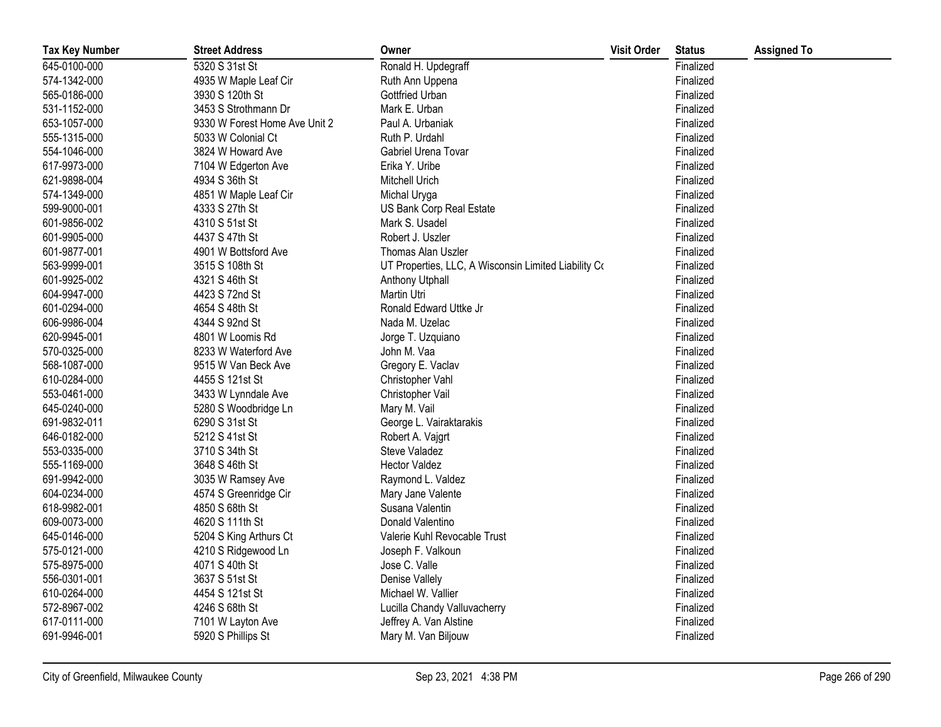| <b>Tax Key Number</b> | <b>Street Address</b>         | Owner                                                | <b>Visit Order</b> | <b>Status</b> | <b>Assigned To</b> |
|-----------------------|-------------------------------|------------------------------------------------------|--------------------|---------------|--------------------|
| 645-0100-000          | 5320 S 31st St                | Ronald H. Updegraff                                  |                    | Finalized     |                    |
| 574-1342-000          | 4935 W Maple Leaf Cir         | Ruth Ann Uppena                                      |                    | Finalized     |                    |
| 565-0186-000          | 3930 S 120th St               | Gottfried Urban                                      |                    | Finalized     |                    |
| 531-1152-000          | 3453 S Strothmann Dr          | Mark E. Urban                                        |                    | Finalized     |                    |
| 653-1057-000          | 9330 W Forest Home Ave Unit 2 | Paul A. Urbaniak                                     |                    | Finalized     |                    |
| 555-1315-000          | 5033 W Colonial Ct            | Ruth P. Urdahl                                       |                    | Finalized     |                    |
| 554-1046-000          | 3824 W Howard Ave             | Gabriel Urena Tovar                                  |                    | Finalized     |                    |
| 617-9973-000          | 7104 W Edgerton Ave           | Erika Y. Uribe                                       |                    | Finalized     |                    |
| 621-9898-004          | 4934 S 36th St                | Mitchell Urich                                       |                    | Finalized     |                    |
| 574-1349-000          | 4851 W Maple Leaf Cir         | Michal Uryga                                         |                    | Finalized     |                    |
| 599-9000-001          | 4333 S 27th St                | US Bank Corp Real Estate                             |                    | Finalized     |                    |
| 601-9856-002          | 4310 S 51st St                | Mark S. Usadel                                       |                    | Finalized     |                    |
| 601-9905-000          | 4437 S 47th St                | Robert J. Uszler                                     |                    | Finalized     |                    |
| 601-9877-001          | 4901 W Bottsford Ave          | Thomas Alan Uszler                                   |                    | Finalized     |                    |
| 563-9999-001          | 3515 S 108th St               | UT Properties, LLC, A Wisconsin Limited Liability Co |                    | Finalized     |                    |
| 601-9925-002          | 4321 S 46th St                | <b>Anthony Utphall</b>                               |                    | Finalized     |                    |
| 604-9947-000          | 4423 S 72nd St                | Martin Utri                                          |                    | Finalized     |                    |
| 601-0294-000          | 4654 S 48th St                | Ronald Edward Uttke Jr                               |                    | Finalized     |                    |
| 606-9986-004          | 4344 S 92nd St                | Nada M. Uzelac                                       |                    | Finalized     |                    |
| 620-9945-001          | 4801 W Loomis Rd              | Jorge T. Uzquiano                                    |                    | Finalized     |                    |
| 570-0325-000          | 8233 W Waterford Ave          | John M. Vaa                                          |                    | Finalized     |                    |
| 568-1087-000          | 9515 W Van Beck Ave           | Gregory E. Vaclav                                    |                    | Finalized     |                    |
| 610-0284-000          | 4455 S 121st St               | Christopher Vahl                                     |                    | Finalized     |                    |
| 553-0461-000          | 3433 W Lynndale Ave           | Christopher Vail                                     |                    | Finalized     |                    |
| 645-0240-000          | 5280 S Woodbridge Ln          | Mary M. Vail                                         |                    | Finalized     |                    |
| 691-9832-011          | 6290 S 31st St                | George L. Vairaktarakis                              |                    | Finalized     |                    |
| 646-0182-000          | 5212 S 41st St                | Robert A. Vajgrt                                     |                    | Finalized     |                    |
| 553-0335-000          | 3710 S 34th St                | Steve Valadez                                        |                    | Finalized     |                    |
| 555-1169-000          | 3648 S 46th St                | <b>Hector Valdez</b>                                 |                    | Finalized     |                    |
| 691-9942-000          | 3035 W Ramsey Ave             | Raymond L. Valdez                                    |                    | Finalized     |                    |
| 604-0234-000          | 4574 S Greenridge Cir         | Mary Jane Valente                                    |                    | Finalized     |                    |
| 618-9982-001          | 4850 S 68th St                | Susana Valentin                                      |                    | Finalized     |                    |
| 609-0073-000          | 4620 S 111th St               | Donald Valentino                                     |                    | Finalized     |                    |
| 645-0146-000          | 5204 S King Arthurs Ct        | Valerie Kuhl Revocable Trust                         |                    | Finalized     |                    |
| 575-0121-000          | 4210 S Ridgewood Ln           | Joseph F. Valkoun                                    |                    | Finalized     |                    |
| 575-8975-000          | 4071 S 40th St                | Jose C. Valle                                        |                    | Finalized     |                    |
| 556-0301-001          | 3637 S 51st St                | Denise Vallely                                       |                    | Finalized     |                    |
| 610-0264-000          | 4454 S 121st St               | Michael W. Vallier                                   |                    | Finalized     |                    |
| 572-8967-002          | 4246 S 68th St                | Lucilla Chandy Valluvacherry                         |                    | Finalized     |                    |
| 617-0111-000          | 7101 W Layton Ave             | Jeffrey A. Van Alstine                               |                    | Finalized     |                    |
| 691-9946-001          | 5920 S Phillips St            | Mary M. Van Biljouw                                  |                    | Finalized     |                    |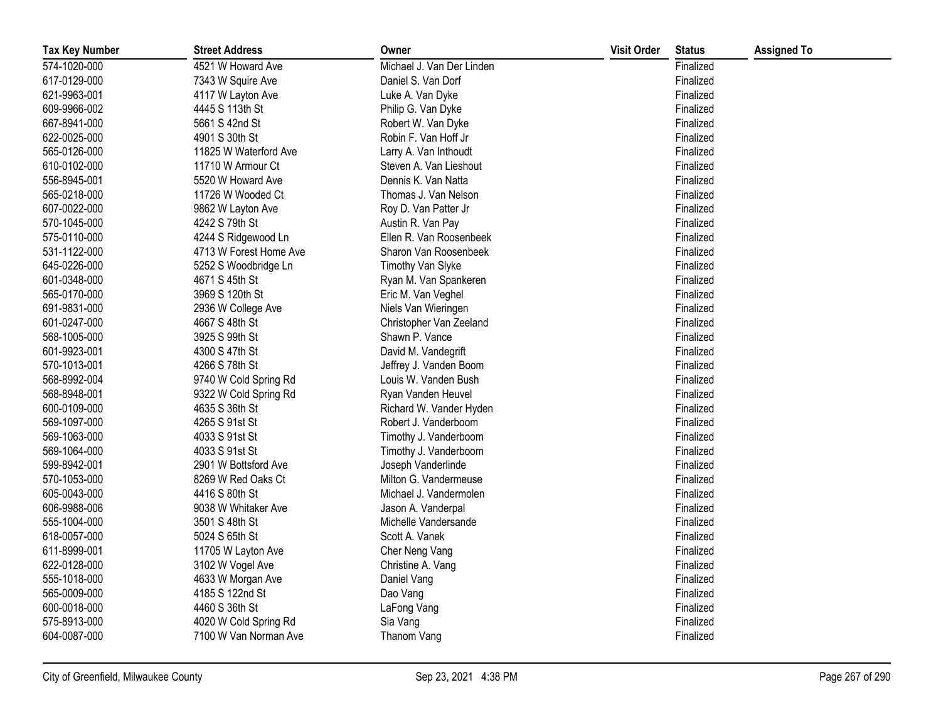| <b>Tax Key Number</b> | <b>Street Address</b>  | Owner                     | <b>Visit Order</b> | <b>Status</b> | <b>Assigned To</b> |
|-----------------------|------------------------|---------------------------|--------------------|---------------|--------------------|
| 574-1020-000          | 4521 W Howard Ave      | Michael J. Van Der Linden |                    | Finalized     |                    |
| 617-0129-000          | 7343 W Squire Ave      | Daniel S. Van Dorf        |                    | Finalized     |                    |
| 621-9963-001          | 4117 W Layton Ave      | Luke A. Van Dyke          |                    | Finalized     |                    |
| 609-9966-002          | 4445 S 113th St        | Philip G. Van Dyke        |                    | Finalized     |                    |
| 667-8941-000          | 5661 S 42nd St         | Robert W. Van Dyke        |                    | Finalized     |                    |
| 622-0025-000          | 4901 S 30th St         | Robin F. Van Hoff Jr      |                    | Finalized     |                    |
| 565-0126-000          | 11825 W Waterford Ave  | Larry A. Van Inthoudt     |                    | Finalized     |                    |
| 610-0102-000          | 11710 W Armour Ct      | Steven A. Van Lieshout    |                    | Finalized     |                    |
| 556-8945-001          | 5520 W Howard Ave      | Dennis K. Van Natta       |                    | Finalized     |                    |
| 565-0218-000          | 11726 W Wooded Ct      | Thomas J. Van Nelson      |                    | Finalized     |                    |
| 607-0022-000          | 9862 W Layton Ave      | Roy D. Van Patter Jr      |                    | Finalized     |                    |
| 570-1045-000          | 4242 S 79th St         | Austin R. Van Pay         |                    | Finalized     |                    |
| 575-0110-000          | 4244 S Ridgewood Ln    | Ellen R. Van Roosenbeek   |                    | Finalized     |                    |
| 531-1122-000          | 4713 W Forest Home Ave | Sharon Van Roosenbeek     |                    | Finalized     |                    |
| 645-0226-000          | 5252 S Woodbridge Ln   | Timothy Van Slyke         |                    | Finalized     |                    |
| 601-0348-000          | 4671 S 45th St         | Ryan M. Van Spankeren     |                    | Finalized     |                    |
| 565-0170-000          | 3969 S 120th St        | Eric M. Van Veghel        |                    | Finalized     |                    |
| 691-9831-000          | 2936 W College Ave     | Niels Van Wieringen       |                    | Finalized     |                    |
| 601-0247-000          | 4667 S 48th St         | Christopher Van Zeeland   |                    | Finalized     |                    |
| 568-1005-000          | 3925 S 99th St         | Shawn P. Vance            |                    | Finalized     |                    |
| 601-9923-001          | 4300 S 47th St         | David M. Vandegrift       |                    | Finalized     |                    |
| 570-1013-001          | 4266 S 78th St         | Jeffrey J. Vanden Boom    |                    | Finalized     |                    |
| 568-8992-004          | 9740 W Cold Spring Rd  | Louis W. Vanden Bush      |                    | Finalized     |                    |
| 568-8948-001          | 9322 W Cold Spring Rd  | Ryan Vanden Heuvel        |                    | Finalized     |                    |
| 600-0109-000          | 4635 S 36th St         | Richard W. Vander Hyden   |                    | Finalized     |                    |
| 569-1097-000          | 4265 S 91st St         | Robert J. Vanderboom      |                    | Finalized     |                    |
| 569-1063-000          | 4033 S 91st St         | Timothy J. Vanderboom     |                    | Finalized     |                    |
| 569-1064-000          | 4033 S 91st St         | Timothy J. Vanderboom     |                    | Finalized     |                    |
| 599-8942-001          | 2901 W Bottsford Ave   | Joseph Vanderlinde        |                    | Finalized     |                    |
| 570-1053-000          | 8269 W Red Oaks Ct     | Milton G. Vandermeuse     |                    | Finalized     |                    |
| 605-0043-000          | 4416 S 80th St         | Michael J. Vandermolen    |                    | Finalized     |                    |
| 606-9988-006          | 9038 W Whitaker Ave    | Jason A. Vanderpal        |                    | Finalized     |                    |
| 555-1004-000          | 3501 S 48th St         | Michelle Vandersande      |                    | Finalized     |                    |
| 618-0057-000          | 5024 S 65th St         | Scott A. Vanek            |                    | Finalized     |                    |
| 611-8999-001          | 11705 W Layton Ave     | Cher Neng Vang            |                    | Finalized     |                    |
| 622-0128-000          | 3102 W Vogel Ave       | Christine A. Vang         |                    | Finalized     |                    |
| 555-1018-000          | 4633 W Morgan Ave      | Daniel Vang               |                    | Finalized     |                    |
| 565-0009-000          | 4185 S 122nd St        | Dao Vang                  |                    | Finalized     |                    |
| 600-0018-000          | 4460 S 36th St         | LaFong Vang               |                    | Finalized     |                    |
| 575-8913-000          | 4020 W Cold Spring Rd  | Sia Vang                  |                    | Finalized     |                    |
| 604-0087-000          | 7100 W Van Norman Ave  | Thanom Vang               |                    | Finalized     |                    |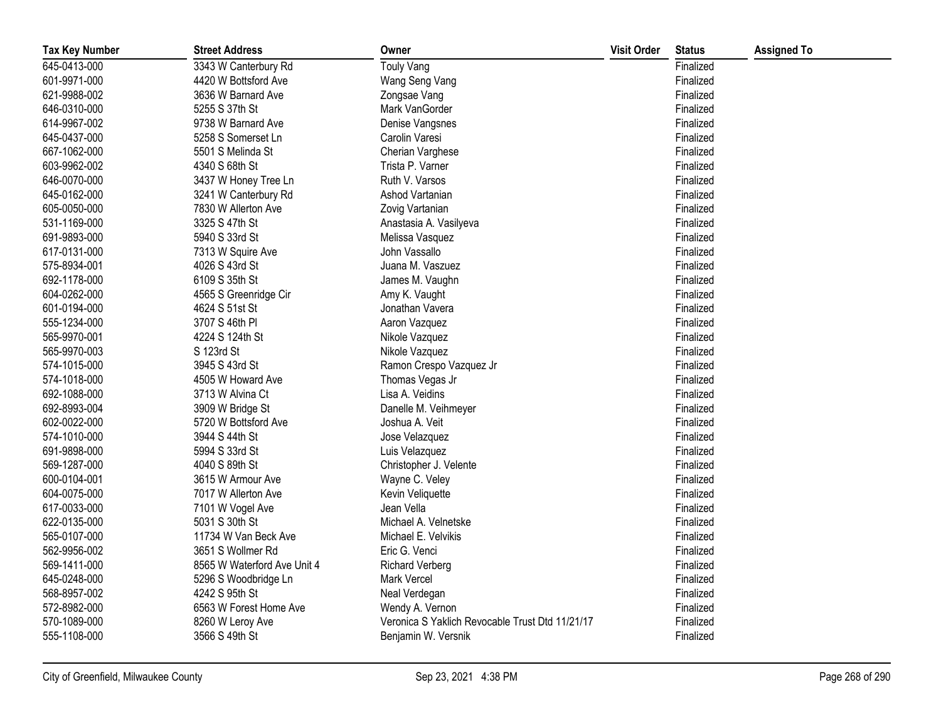| <b>Tax Key Number</b> | <b>Street Address</b>       | Owner                                           | <b>Visit Order</b> | <b>Status</b> | <b>Assigned To</b> |
|-----------------------|-----------------------------|-------------------------------------------------|--------------------|---------------|--------------------|
| 645-0413-000          | 3343 W Canterbury Rd        | Touly Vang                                      |                    | Finalized     |                    |
| 601-9971-000          | 4420 W Bottsford Ave        | Wang Seng Vang                                  |                    | Finalized     |                    |
| 621-9988-002          | 3636 W Barnard Ave          | Zongsae Vang                                    |                    | Finalized     |                    |
| 646-0310-000          | 5255 S 37th St              | Mark VanGorder                                  |                    | Finalized     |                    |
| 614-9967-002          | 9738 W Barnard Ave          | Denise Vangsnes                                 |                    | Finalized     |                    |
| 645-0437-000          | 5258 S Somerset Ln          | Carolin Varesi                                  |                    | Finalized     |                    |
| 667-1062-000          | 5501 S Melinda St           | Cherian Varghese                                |                    | Finalized     |                    |
| 603-9962-002          | 4340 S 68th St              | Trista P. Varner                                |                    | Finalized     |                    |
| 646-0070-000          | 3437 W Honey Tree Ln        | Ruth V. Varsos                                  |                    | Finalized     |                    |
| 645-0162-000          | 3241 W Canterbury Rd        | Ashod Vartanian                                 |                    | Finalized     |                    |
| 605-0050-000          | 7830 W Allerton Ave         | Zovig Vartanian                                 |                    | Finalized     |                    |
| 531-1169-000          | 3325 S 47th St              | Anastasia A. Vasilyeva                          |                    | Finalized     |                    |
| 691-9893-000          | 5940 S 33rd St              | Melissa Vasquez                                 |                    | Finalized     |                    |
| 617-0131-000          | 7313 W Squire Ave           | John Vassallo                                   |                    | Finalized     |                    |
| 575-8934-001          | 4026 S 43rd St              | Juana M. Vaszuez                                |                    | Finalized     |                    |
| 692-1178-000          | 6109 S 35th St              | James M. Vaughn                                 |                    | Finalized     |                    |
| 604-0262-000          | 4565 S Greenridge Cir       | Amy K. Vaught                                   |                    | Finalized     |                    |
| 601-0194-000          | 4624 S 51st St              | Jonathan Vavera                                 |                    | Finalized     |                    |
| 555-1234-000          | 3707 S 46th PI              | Aaron Vazquez                                   |                    | Finalized     |                    |
| 565-9970-001          | 4224 S 124th St             | Nikole Vazquez                                  |                    | Finalized     |                    |
| 565-9970-003          | S 123rd St                  | Nikole Vazquez                                  |                    | Finalized     |                    |
| 574-1015-000          | 3945 S 43rd St              | Ramon Crespo Vazquez Jr                         |                    | Finalized     |                    |
| 574-1018-000          | 4505 W Howard Ave           | Thomas Vegas Jr                                 |                    | Finalized     |                    |
| 692-1088-000          | 3713 W Alvina Ct            | Lisa A. Veidins                                 |                    | Finalized     |                    |
| 692-8993-004          | 3909 W Bridge St            | Danelle M. Veihmeyer                            |                    | Finalized     |                    |
| 602-0022-000          | 5720 W Bottsford Ave        | Joshua A. Veit                                  |                    | Finalized     |                    |
| 574-1010-000          | 3944 S 44th St              | Jose Velazquez                                  |                    | Finalized     |                    |
| 691-9898-000          | 5994 S 33rd St              | Luis Velazquez                                  |                    | Finalized     |                    |
| 569-1287-000          | 4040 S 89th St              | Christopher J. Velente                          |                    | Finalized     |                    |
| 600-0104-001          | 3615 W Armour Ave           | Wayne C. Veley                                  |                    | Finalized     |                    |
| 604-0075-000          | 7017 W Allerton Ave         | Kevin Veliquette                                |                    | Finalized     |                    |
| 617-0033-000          | 7101 W Vogel Ave            | Jean Vella                                      |                    | Finalized     |                    |
| 622-0135-000          | 5031 S 30th St              | Michael A. Velnetske                            |                    | Finalized     |                    |
| 565-0107-000          | 11734 W Van Beck Ave        | Michael E. Velvikis                             |                    | Finalized     |                    |
| 562-9956-002          | 3651 S Wollmer Rd           | Eric G. Venci                                   |                    | Finalized     |                    |
| 569-1411-000          | 8565 W Waterford Ave Unit 4 | <b>Richard Verberg</b>                          |                    | Finalized     |                    |
| 645-0248-000          | 5296 S Woodbridge Ln        | <b>Mark Vercel</b>                              |                    | Finalized     |                    |
| 568-8957-002          | 4242 S 95th St              | Neal Verdegan                                   |                    | Finalized     |                    |
| 572-8982-000          | 6563 W Forest Home Ave      | Wendy A. Vernon                                 |                    | Finalized     |                    |
| 570-1089-000          | 8260 W Leroy Ave            | Veronica S Yaklich Revocable Trust Dtd 11/21/17 |                    | Finalized     |                    |
| 555-1108-000          | 3566 S 49th St              | Benjamin W. Versnik                             |                    | Finalized     |                    |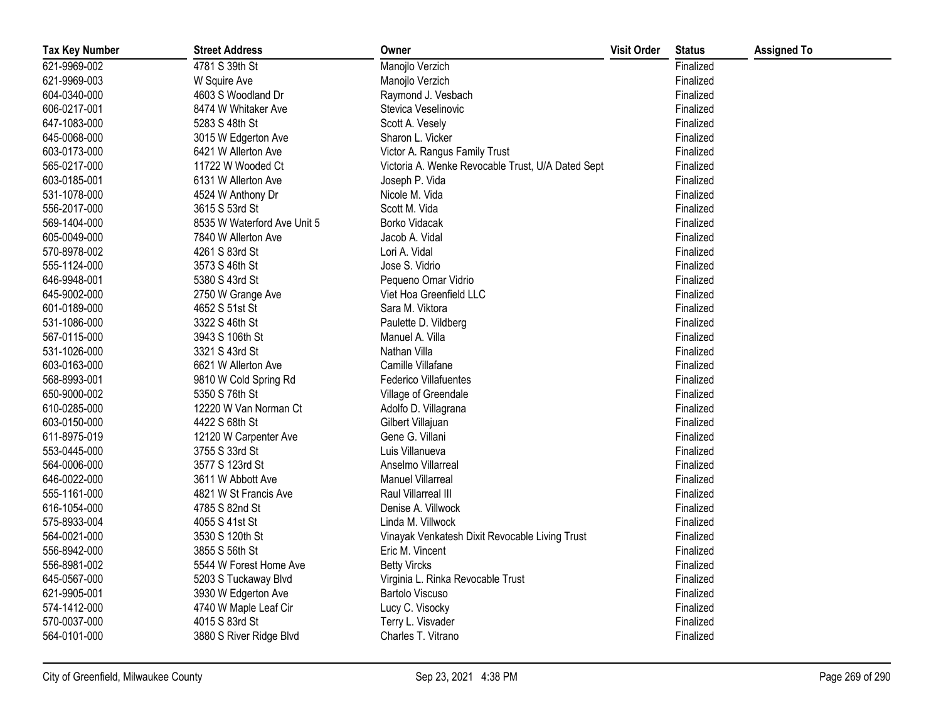| <b>Tax Key Number</b> | <b>Street Address</b>       | Owner                                             | <b>Visit Order</b> | <b>Status</b> | <b>Assigned To</b> |
|-----------------------|-----------------------------|---------------------------------------------------|--------------------|---------------|--------------------|
| 621-9969-002          | 4781 S 39th St              | Manojlo Verzich                                   |                    | Finalized     |                    |
| 621-9969-003          | W Squire Ave                | Manojlo Verzich                                   |                    | Finalized     |                    |
| 604-0340-000          | 4603 S Woodland Dr          | Raymond J. Vesbach                                |                    | Finalized     |                    |
| 606-0217-001          | 8474 W Whitaker Ave         | Stevica Veselinovic                               |                    | Finalized     |                    |
| 647-1083-000          | 5283 S 48th St              | Scott A. Vesely                                   |                    | Finalized     |                    |
| 645-0068-000          | 3015 W Edgerton Ave         | Sharon L. Vicker                                  |                    | Finalized     |                    |
| 603-0173-000          | 6421 W Allerton Ave         | Victor A. Rangus Family Trust                     |                    | Finalized     |                    |
| 565-0217-000          | 11722 W Wooded Ct           | Victoria A. Wenke Revocable Trust, U/A Dated Sept |                    | Finalized     |                    |
| 603-0185-001          | 6131 W Allerton Ave         | Joseph P. Vida                                    |                    | Finalized     |                    |
| 531-1078-000          | 4524 W Anthony Dr           | Nicole M. Vida                                    |                    | Finalized     |                    |
| 556-2017-000          | 3615 S 53rd St              | Scott M. Vida                                     |                    | Finalized     |                    |
| 569-1404-000          | 8535 W Waterford Ave Unit 5 | Borko Vidacak                                     |                    | Finalized     |                    |
| 605-0049-000          | 7840 W Allerton Ave         | Jacob A. Vidal                                    |                    | Finalized     |                    |
| 570-8978-002          | 4261 S 83rd St              | Lori A. Vidal                                     |                    | Finalized     |                    |
| 555-1124-000          | 3573 S 46th St              | Jose S. Vidrio                                    |                    | Finalized     |                    |
| 646-9948-001          | 5380 S 43rd St              | Pequeno Omar Vidrio                               |                    | Finalized     |                    |
| 645-9002-000          | 2750 W Grange Ave           | Viet Hoa Greenfield LLC                           |                    | Finalized     |                    |
| 601-0189-000          | 4652 S 51st St              | Sara M. Viktora                                   |                    | Finalized     |                    |
| 531-1086-000          | 3322 S 46th St              | Paulette D. Vildberg                              |                    | Finalized     |                    |
| 567-0115-000          | 3943 S 106th St             | Manuel A. Villa                                   |                    | Finalized     |                    |
| 531-1026-000          | 3321 S 43rd St              | Nathan Villa                                      |                    | Finalized     |                    |
| 603-0163-000          | 6621 W Allerton Ave         | Camille Villafane                                 |                    | Finalized     |                    |
| 568-8993-001          | 9810 W Cold Spring Rd       | Federico Villafuentes                             |                    | Finalized     |                    |
| 650-9000-002          | 5350 S 76th St              | Village of Greendale                              |                    | Finalized     |                    |
| 610-0285-000          | 12220 W Van Norman Ct       | Adolfo D. Villagrana                              |                    | Finalized     |                    |
| 603-0150-000          | 4422 S 68th St              | Gilbert Villajuan                                 |                    | Finalized     |                    |
| 611-8975-019          | 12120 W Carpenter Ave       | Gene G. Villani                                   |                    | Finalized     |                    |
| 553-0445-000          | 3755 S 33rd St              | Luis Villanueva                                   |                    | Finalized     |                    |
| 564-0006-000          | 3577 S 123rd St             | Anselmo Villarreal                                |                    | Finalized     |                    |
| 646-0022-000          | 3611 W Abbott Ave           | <b>Manuel Villarreal</b>                          |                    | Finalized     |                    |
| 555-1161-000          | 4821 W St Francis Ave       | Raul Villarreal III                               |                    | Finalized     |                    |
| 616-1054-000          | 4785 S 82nd St              | Denise A. Villwock                                |                    | Finalized     |                    |
| 575-8933-004          | 4055 S 41st St              | Linda M. Villwock                                 |                    | Finalized     |                    |
| 564-0021-000          | 3530 S 120th St             | Vinayak Venkatesh Dixit Revocable Living Trust    |                    | Finalized     |                    |
| 556-8942-000          | 3855 S 56th St              | Eric M. Vincent                                   |                    | Finalized     |                    |
| 556-8981-002          | 5544 W Forest Home Ave      | <b>Betty Vircks</b>                               |                    | Finalized     |                    |
| 645-0567-000          | 5203 S Tuckaway Blvd        | Virginia L. Rinka Revocable Trust                 |                    | Finalized     |                    |
| 621-9905-001          | 3930 W Edgerton Ave         | <b>Bartolo Viscuso</b>                            |                    | Finalized     |                    |
| 574-1412-000          | 4740 W Maple Leaf Cir       | Lucy C. Visocky                                   |                    | Finalized     |                    |
| 570-0037-000          | 4015 S 83rd St              | Terry L. Visvader                                 |                    | Finalized     |                    |
| 564-0101-000          | 3880 S River Ridge Blvd     | Charles T. Vitrano                                |                    | Finalized     |                    |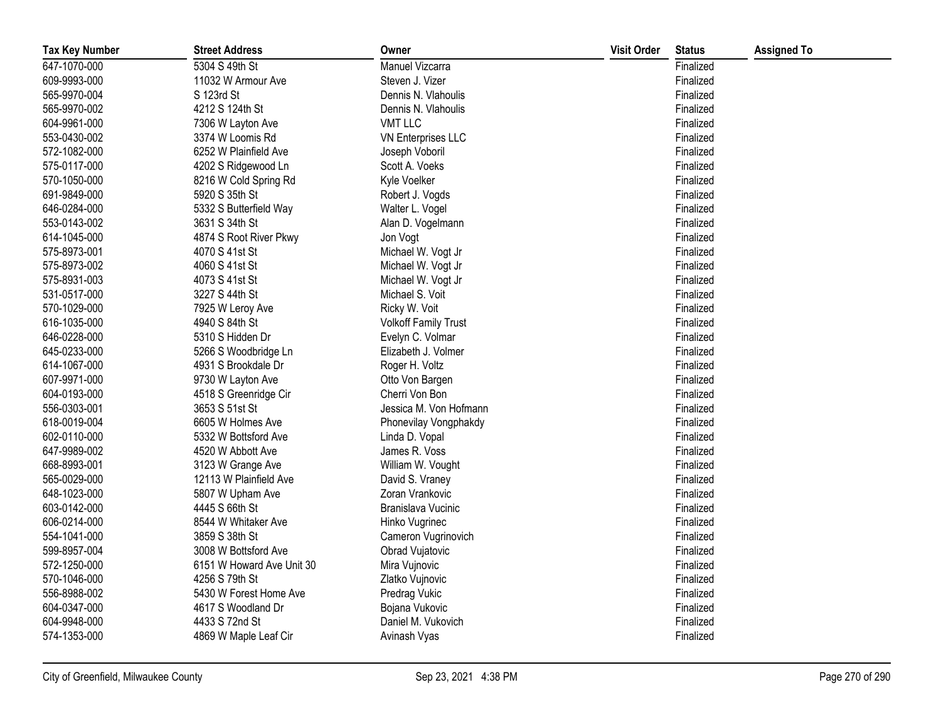| <b>Tax Key Number</b> | <b>Street Address</b>     | Owner                       | <b>Visit Order</b> | <b>Status</b> | <b>Assigned To</b> |
|-----------------------|---------------------------|-----------------------------|--------------------|---------------|--------------------|
| 647-1070-000          | 5304 S 49th St            | Manuel Vizcarra             |                    | Finalized     |                    |
| 609-9993-000          | 11032 W Armour Ave        | Steven J. Vizer             |                    | Finalized     |                    |
| 565-9970-004          | S 123rd St                | Dennis N. Vlahoulis         |                    | Finalized     |                    |
| 565-9970-002          | 4212 S 124th St           | Dennis N. Vlahoulis         |                    | Finalized     |                    |
| 604-9961-000          | 7306 W Layton Ave         | <b>VMT LLC</b>              |                    | Finalized     |                    |
| 553-0430-002          | 3374 W Loomis Rd          | <b>VN Enterprises LLC</b>   |                    | Finalized     |                    |
| 572-1082-000          | 6252 W Plainfield Ave     | Joseph Voboril              |                    | Finalized     |                    |
| 575-0117-000          | 4202 S Ridgewood Ln       | Scott A. Voeks              |                    | Finalized     |                    |
| 570-1050-000          | 8216 W Cold Spring Rd     | Kyle Voelker                |                    | Finalized     |                    |
| 691-9849-000          | 5920 S 35th St            | Robert J. Vogds             |                    | Finalized     |                    |
| 646-0284-000          | 5332 S Butterfield Way    | Walter L. Vogel             |                    | Finalized     |                    |
| 553-0143-002          | 3631 S 34th St            | Alan D. Vogelmann           |                    | Finalized     |                    |
| 614-1045-000          | 4874 S Root River Pkwy    | Jon Vogt                    |                    | Finalized     |                    |
| 575-8973-001          | 4070 S 41st St            | Michael W. Vogt Jr          |                    | Finalized     |                    |
| 575-8973-002          | 4060 S 41st St            | Michael W. Vogt Jr          |                    | Finalized     |                    |
| 575-8931-003          | 4073 S 41st St            | Michael W. Vogt Jr          |                    | Finalized     |                    |
| 531-0517-000          | 3227 S 44th St            | Michael S. Voit             |                    | Finalized     |                    |
| 570-1029-000          | 7925 W Leroy Ave          | Ricky W. Voit               |                    | Finalized     |                    |
| 616-1035-000          | 4940 S 84th St            | <b>Volkoff Family Trust</b> |                    | Finalized     |                    |
| 646-0228-000          | 5310 S Hidden Dr          | Evelyn C. Volmar            |                    | Finalized     |                    |
| 645-0233-000          | 5266 S Woodbridge Ln      | Elizabeth J. Volmer         |                    | Finalized     |                    |
| 614-1067-000          | 4931 S Brookdale Dr       | Roger H. Voltz              |                    | Finalized     |                    |
| 607-9971-000          | 9730 W Layton Ave         | Otto Von Bargen             |                    | Finalized     |                    |
| 604-0193-000          | 4518 S Greenridge Cir     | Cherri Von Bon              |                    | Finalized     |                    |
| 556-0303-001          | 3653 S 51st St            | Jessica M. Von Hofmann      |                    | Finalized     |                    |
| 618-0019-004          | 6605 W Holmes Ave         | Phonevilay Vongphakdy       |                    | Finalized     |                    |
| 602-0110-000          | 5332 W Bottsford Ave      | Linda D. Vopal              |                    | Finalized     |                    |
| 647-9989-002          | 4520 W Abbott Ave         | James R. Voss               |                    | Finalized     |                    |
| 668-8993-001          | 3123 W Grange Ave         | William W. Vought           |                    | Finalized     |                    |
| 565-0029-000          | 12113 W Plainfield Ave    | David S. Vraney             |                    | Finalized     |                    |
| 648-1023-000          | 5807 W Upham Ave          | Zoran Vrankovic             |                    | Finalized     |                    |
| 603-0142-000          | 4445 S 66th St            | Branislava Vucinic          |                    | Finalized     |                    |
| 606-0214-000          | 8544 W Whitaker Ave       | Hinko Vugrinec              |                    | Finalized     |                    |
| 554-1041-000          | 3859 S 38th St            | Cameron Vugrinovich         |                    | Finalized     |                    |
| 599-8957-004          | 3008 W Bottsford Ave      | Obrad Vujatovic             |                    | Finalized     |                    |
| 572-1250-000          | 6151 W Howard Ave Unit 30 | Mira Vujnovic               |                    | Finalized     |                    |
| 570-1046-000          | 4256 S 79th St            | Zlatko Vujnovic             |                    | Finalized     |                    |
| 556-8988-002          | 5430 W Forest Home Ave    | Predrag Vukic               |                    | Finalized     |                    |
| 604-0347-000          | 4617 S Woodland Dr        | Bojana Vukovic              |                    | Finalized     |                    |
| 604-9948-000          | 4433 S 72nd St            | Daniel M. Vukovich          |                    | Finalized     |                    |
| 574-1353-000          | 4869 W Maple Leaf Cir     | Avinash Vyas                |                    | Finalized     |                    |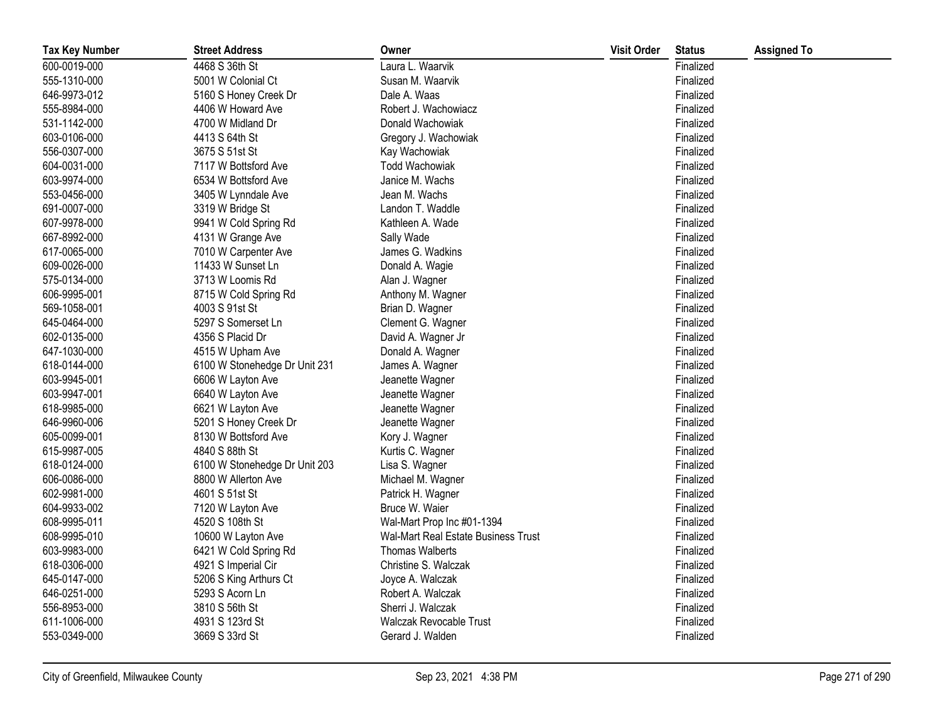| <b>Tax Key Number</b> | <b>Street Address</b>         | Owner                                      | <b>Visit Order</b> | <b>Status</b> | <b>Assigned To</b> |
|-----------------------|-------------------------------|--------------------------------------------|--------------------|---------------|--------------------|
| 600-0019-000          | 4468 S 36th St                | Laura L. Waarvik                           |                    | Finalized     |                    |
| 555-1310-000          | 5001 W Colonial Ct            | Susan M. Waarvik                           |                    | Finalized     |                    |
| 646-9973-012          | 5160 S Honey Creek Dr         | Dale A. Waas                               |                    | Finalized     |                    |
| 555-8984-000          | 4406 W Howard Ave             | Robert J. Wachowiacz                       |                    | Finalized     |                    |
| 531-1142-000          | 4700 W Midland Dr             | Donald Wachowiak                           |                    | Finalized     |                    |
| 603-0106-000          | 4413 S 64th St                | Gregory J. Wachowiak                       |                    | Finalized     |                    |
| 556-0307-000          | 3675 S 51st St                | Kay Wachowiak                              |                    | Finalized     |                    |
| 604-0031-000          | 7117 W Bottsford Ave          | <b>Todd Wachowiak</b>                      |                    | Finalized     |                    |
| 603-9974-000          | 6534 W Bottsford Ave          | Janice M. Wachs                            |                    | Finalized     |                    |
| 553-0456-000          | 3405 W Lynndale Ave           | Jean M. Wachs                              |                    | Finalized     |                    |
| 691-0007-000          | 3319 W Bridge St              | Landon T. Waddle                           |                    | Finalized     |                    |
| 607-9978-000          | 9941 W Cold Spring Rd         | Kathleen A. Wade                           |                    | Finalized     |                    |
| 667-8992-000          | 4131 W Grange Ave             | Sally Wade                                 |                    | Finalized     |                    |
| 617-0065-000          | 7010 W Carpenter Ave          | James G. Wadkins                           |                    | Finalized     |                    |
| 609-0026-000          | 11433 W Sunset Ln             | Donald A. Wagie                            |                    | Finalized     |                    |
| 575-0134-000          | 3713 W Loomis Rd              | Alan J. Wagner                             |                    | Finalized     |                    |
| 606-9995-001          | 8715 W Cold Spring Rd         | Anthony M. Wagner                          |                    | Finalized     |                    |
| 569-1058-001          | 4003 S 91st St                | Brian D. Wagner                            |                    | Finalized     |                    |
| 645-0464-000          | 5297 S Somerset Ln            | Clement G. Wagner                          |                    | Finalized     |                    |
| 602-0135-000          | 4356 S Placid Dr              | David A. Wagner Jr                         |                    | Finalized     |                    |
| 647-1030-000          | 4515 W Upham Ave              | Donald A. Wagner                           |                    | Finalized     |                    |
| 618-0144-000          | 6100 W Stonehedge Dr Unit 231 | James A. Wagner                            |                    | Finalized     |                    |
| 603-9945-001          | 6606 W Layton Ave             | Jeanette Wagner                            |                    | Finalized     |                    |
| 603-9947-001          | 6640 W Layton Ave             | Jeanette Wagner                            |                    | Finalized     |                    |
| 618-9985-000          | 6621 W Layton Ave             | Jeanette Wagner                            |                    | Finalized     |                    |
| 646-9960-006          | 5201 S Honey Creek Dr         | Jeanette Wagner                            |                    | Finalized     |                    |
| 605-0099-001          | 8130 W Bottsford Ave          | Kory J. Wagner                             |                    | Finalized     |                    |
| 615-9987-005          | 4840 S 88th St                | Kurtis C. Wagner                           |                    | Finalized     |                    |
| 618-0124-000          | 6100 W Stonehedge Dr Unit 203 | Lisa S. Wagner                             |                    | Finalized     |                    |
| 606-0086-000          | 8800 W Allerton Ave           | Michael M. Wagner                          |                    | Finalized     |                    |
| 602-9981-000          | 4601 S 51st St                | Patrick H. Wagner                          |                    | Finalized     |                    |
| 604-9933-002          | 7120 W Layton Ave             | Bruce W. Waier                             |                    | Finalized     |                    |
| 608-9995-011          | 4520 S 108th St               | Wal-Mart Prop Inc #01-1394                 |                    | Finalized     |                    |
| 608-9995-010          | 10600 W Layton Ave            | <b>Wal-Mart Real Estate Business Trust</b> |                    | Finalized     |                    |
| 603-9983-000          | 6421 W Cold Spring Rd         | <b>Thomas Walberts</b>                     |                    | Finalized     |                    |
| 618-0306-000          | 4921 S Imperial Cir           | Christine S. Walczak                       |                    | Finalized     |                    |
| 645-0147-000          | 5206 S King Arthurs Ct        | Joyce A. Walczak                           |                    | Finalized     |                    |
| 646-0251-000          | 5293 S Acorn Ln               | Robert A. Walczak                          |                    | Finalized     |                    |
| 556-8953-000          | 3810 S 56th St                | Sherri J. Walczak                          |                    | Finalized     |                    |
| 611-1006-000          | 4931 S 123rd St               | <b>Walczak Revocable Trust</b>             |                    | Finalized     |                    |
| 553-0349-000          | 3669 S 33rd St                | Gerard J. Walden                           |                    | Finalized     |                    |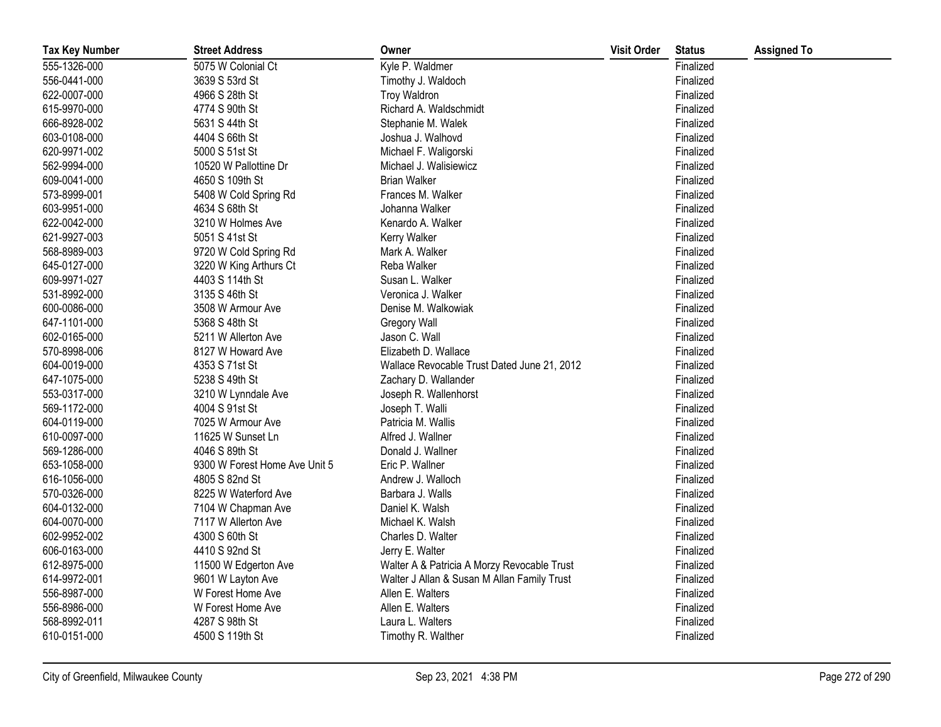| <b>Tax Key Number</b> | <b>Street Address</b>         | Owner                                       | <b>Visit Order</b> | <b>Status</b> | <b>Assigned To</b> |
|-----------------------|-------------------------------|---------------------------------------------|--------------------|---------------|--------------------|
| 555-1326-000          | 5075 W Colonial Ct            | Kyle P. Waldmer                             |                    | Finalized     |                    |
| 556-0441-000          | 3639 S 53rd St                | Timothy J. Waldoch                          |                    | Finalized     |                    |
| 622-0007-000          | 4966 S 28th St                | <b>Troy Waldron</b>                         |                    | Finalized     |                    |
| 615-9970-000          | 4774 S 90th St                | Richard A. Waldschmidt                      |                    | Finalized     |                    |
| 666-8928-002          | 5631 S 44th St                | Stephanie M. Walek                          |                    | Finalized     |                    |
| 603-0108-000          | 4404 S 66th St                | Joshua J. Walhovd                           |                    | Finalized     |                    |
| 620-9971-002          | 5000 S 51st St                | Michael F. Waligorski                       |                    | Finalized     |                    |
| 562-9994-000          | 10520 W Pallottine Dr         | Michael J. Walisiewicz                      |                    | Finalized     |                    |
| 609-0041-000          | 4650 S 109th St               | <b>Brian Walker</b>                         |                    | Finalized     |                    |
| 573-8999-001          | 5408 W Cold Spring Rd         | Frances M. Walker                           |                    | Finalized     |                    |
| 603-9951-000          | 4634 S 68th St                | Johanna Walker                              |                    | Finalized     |                    |
| 622-0042-000          | 3210 W Holmes Ave             | Kenardo A. Walker                           |                    | Finalized     |                    |
| 621-9927-003          | 5051 S 41st St                | <b>Kerry Walker</b>                         |                    | Finalized     |                    |
| 568-8989-003          | 9720 W Cold Spring Rd         | Mark A. Walker                              |                    | Finalized     |                    |
| 645-0127-000          | 3220 W King Arthurs Ct        | Reba Walker                                 |                    | Finalized     |                    |
| 609-9971-027          | 4403 S 114th St               | Susan L. Walker                             |                    | Finalized     |                    |
| 531-8992-000          | 3135 S 46th St                | Veronica J. Walker                          |                    | Finalized     |                    |
| 600-0086-000          | 3508 W Armour Ave             | Denise M. Walkowiak                         |                    | Finalized     |                    |
| 647-1101-000          | 5368 S 48th St                | Gregory Wall                                |                    | Finalized     |                    |
| 602-0165-000          | 5211 W Allerton Ave           | Jason C. Wall                               |                    | Finalized     |                    |
| 570-8998-006          | 8127 W Howard Ave             | Elizabeth D. Wallace                        |                    | Finalized     |                    |
| 604-0019-000          | 4353 S 71st St                | Wallace Revocable Trust Dated June 21, 2012 |                    | Finalized     |                    |
| 647-1075-000          | 5238 S 49th St                | Zachary D. Wallander                        |                    | Finalized     |                    |
| 553-0317-000          | 3210 W Lynndale Ave           | Joseph R. Wallenhorst                       |                    | Finalized     |                    |
| 569-1172-000          | 4004 S 91st St                | Joseph T. Walli                             |                    | Finalized     |                    |
| 604-0119-000          | 7025 W Armour Ave             | Patricia M. Wallis                          |                    | Finalized     |                    |
| 610-0097-000          | 11625 W Sunset Ln             | Alfred J. Wallner                           |                    | Finalized     |                    |
| 569-1286-000          | 4046 S 89th St                | Donald J. Wallner                           |                    | Finalized     |                    |
| 653-1058-000          | 9300 W Forest Home Ave Unit 5 | Eric P. Wallner                             |                    | Finalized     |                    |
| 616-1056-000          | 4805 S 82nd St                | Andrew J. Walloch                           |                    | Finalized     |                    |
| 570-0326-000          | 8225 W Waterford Ave          | Barbara J. Walls                            |                    | Finalized     |                    |
| 604-0132-000          | 7104 W Chapman Ave            | Daniel K. Walsh                             |                    | Finalized     |                    |
| 604-0070-000          | 7117 W Allerton Ave           | Michael K. Walsh                            |                    | Finalized     |                    |
| 602-9952-002          | 4300 S 60th St                | Charles D. Walter                           |                    | Finalized     |                    |
| 606-0163-000          | 4410 S 92nd St                | Jerry E. Walter                             |                    | Finalized     |                    |
| 612-8975-000          | 11500 W Edgerton Ave          | Walter A & Patricia A Morzy Revocable Trust |                    | Finalized     |                    |
| 614-9972-001          | 9601 W Layton Ave             | Walter J Allan & Susan M Allan Family Trust |                    | Finalized     |                    |
| 556-8987-000          | W Forest Home Ave             | Allen E. Walters                            |                    | Finalized     |                    |
| 556-8986-000          | W Forest Home Ave             | Allen E. Walters                            |                    | Finalized     |                    |
| 568-8992-011          | 4287 S 98th St                | Laura L. Walters                            |                    | Finalized     |                    |
| 610-0151-000          | 4500 S 119th St               | Timothy R. Walther                          |                    | Finalized     |                    |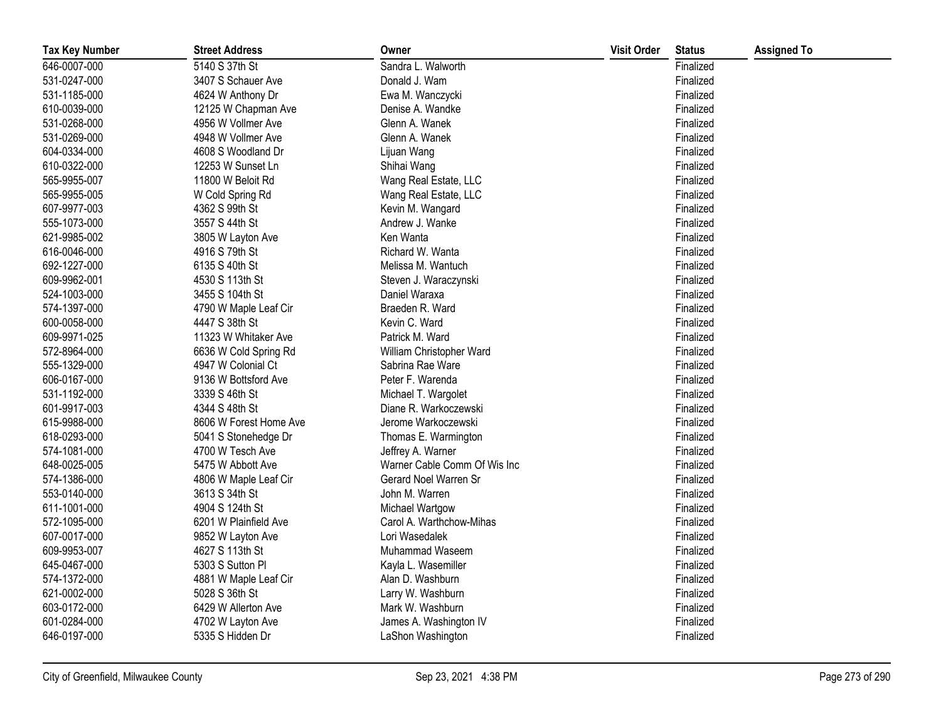| <b>Tax Key Number</b> | <b>Street Address</b>  | Owner                        | <b>Visit Order</b> | <b>Status</b> | <b>Assigned To</b> |
|-----------------------|------------------------|------------------------------|--------------------|---------------|--------------------|
| 646-0007-000          | 5140 S 37th St         | Sandra L. Walworth           |                    | Finalized     |                    |
| 531-0247-000          | 3407 S Schauer Ave     | Donald J. Wam                |                    | Finalized     |                    |
| 531-1185-000          | 4624 W Anthony Dr      | Ewa M. Wanczycki             |                    | Finalized     |                    |
| 610-0039-000          | 12125 W Chapman Ave    | Denise A. Wandke             |                    | Finalized     |                    |
| 531-0268-000          | 4956 W Vollmer Ave     | Glenn A. Wanek               |                    | Finalized     |                    |
| 531-0269-000          | 4948 W Vollmer Ave     | Glenn A. Wanek               |                    | Finalized     |                    |
| 604-0334-000          | 4608 S Woodland Dr     | Lijuan Wang                  |                    | Finalized     |                    |
| 610-0322-000          | 12253 W Sunset Ln      | Shihai Wang                  |                    | Finalized     |                    |
| 565-9955-007          | 11800 W Beloit Rd      | Wang Real Estate, LLC        |                    | Finalized     |                    |
| 565-9955-005          | W Cold Spring Rd       | Wang Real Estate, LLC        |                    | Finalized     |                    |
| 607-9977-003          | 4362 S 99th St         | Kevin M. Wangard             |                    | Finalized     |                    |
| 555-1073-000          | 3557 S 44th St         | Andrew J. Wanke              |                    | Finalized     |                    |
| 621-9985-002          | 3805 W Layton Ave      | Ken Wanta                    |                    | Finalized     |                    |
| 616-0046-000          | 4916 S 79th St         | Richard W. Wanta             |                    | Finalized     |                    |
| 692-1227-000          | 6135 S 40th St         | Melissa M. Wantuch           |                    | Finalized     |                    |
| 609-9962-001          | 4530 S 113th St        | Steven J. Waraczynski        |                    | Finalized     |                    |
| 524-1003-000          | 3455 S 104th St        | Daniel Waraxa                |                    | Finalized     |                    |
| 574-1397-000          | 4790 W Maple Leaf Cir  | Braeden R. Ward              |                    | Finalized     |                    |
| 600-0058-000          | 4447 S 38th St         | Kevin C. Ward                |                    | Finalized     |                    |
| 609-9971-025          | 11323 W Whitaker Ave   | Patrick M. Ward              |                    | Finalized     |                    |
| 572-8964-000          | 6636 W Cold Spring Rd  | William Christopher Ward     |                    | Finalized     |                    |
| 555-1329-000          | 4947 W Colonial Ct     | Sabrina Rae Ware             |                    | Finalized     |                    |
| 606-0167-000          | 9136 W Bottsford Ave   | Peter F. Warenda             |                    | Finalized     |                    |
| 531-1192-000          | 3339 S 46th St         | Michael T. Wargolet          |                    | Finalized     |                    |
| 601-9917-003          | 4344 S 48th St         | Diane R. Warkoczewski        |                    | Finalized     |                    |
| 615-9988-000          | 8606 W Forest Home Ave | Jerome Warkoczewski          |                    | Finalized     |                    |
| 618-0293-000          | 5041 S Stonehedge Dr   | Thomas E. Warmington         |                    | Finalized     |                    |
| 574-1081-000          | 4700 W Tesch Ave       | Jeffrey A. Warner            |                    | Finalized     |                    |
| 648-0025-005          | 5475 W Abbott Ave      | Warner Cable Comm Of Wis Inc |                    | Finalized     |                    |
| 574-1386-000          | 4806 W Maple Leaf Cir  | Gerard Noel Warren Sr        |                    | Finalized     |                    |
| 553-0140-000          | 3613 S 34th St         | John M. Warren               |                    | Finalized     |                    |
| 611-1001-000          | 4904 S 124th St        | Michael Wartgow              |                    | Finalized     |                    |
| 572-1095-000          | 6201 W Plainfield Ave  | Carol A. Warthchow-Mihas     |                    | Finalized     |                    |
| 607-0017-000          | 9852 W Layton Ave      | Lori Wasedalek               |                    | Finalized     |                    |
| 609-9953-007          | 4627 S 113th St        | Muhammad Waseem              |                    | Finalized     |                    |
| 645-0467-000          | 5303 S Sutton Pl       | Kayla L. Wasemiller          |                    | Finalized     |                    |
| 574-1372-000          | 4881 W Maple Leaf Cir  | Alan D. Washburn             |                    | Finalized     |                    |
| 621-0002-000          | 5028 S 36th St         | Larry W. Washburn            |                    | Finalized     |                    |
| 603-0172-000          | 6429 W Allerton Ave    | Mark W. Washburn             |                    | Finalized     |                    |
| 601-0284-000          | 4702 W Layton Ave      | James A. Washington IV       |                    | Finalized     |                    |
| 646-0197-000          | 5335 S Hidden Dr       | LaShon Washington            |                    | Finalized     |                    |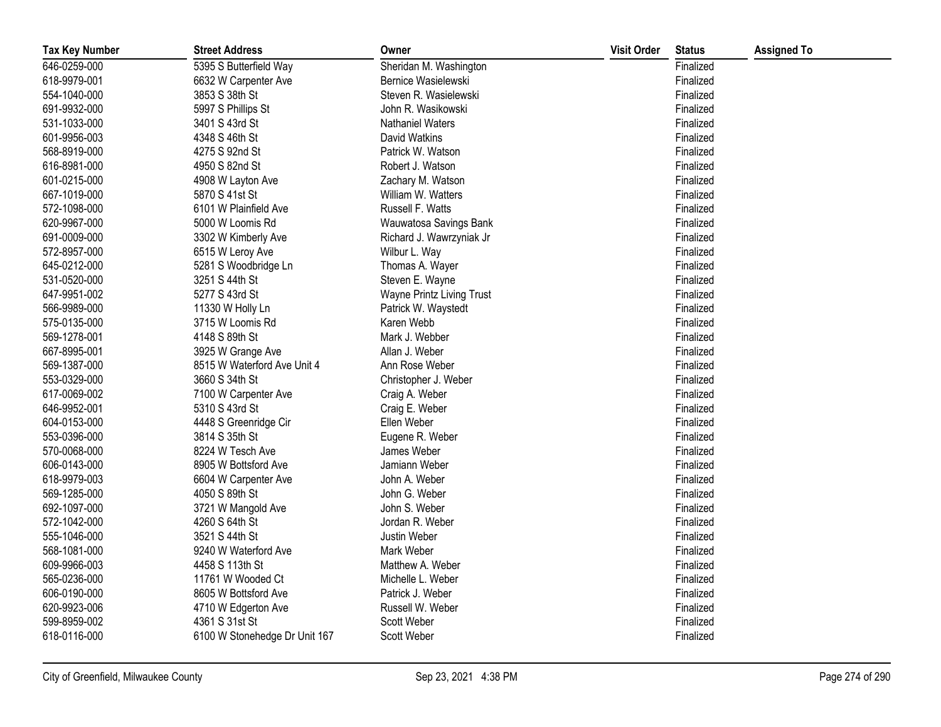| <b>Tax Key Number</b> | <b>Street Address</b>         | Owner                     | <b>Visit Order</b> | <b>Status</b> | <b>Assigned To</b> |
|-----------------------|-------------------------------|---------------------------|--------------------|---------------|--------------------|
| 646-0259-000          | 5395 S Butterfield Way        | Sheridan M. Washington    |                    | Finalized     |                    |
| 618-9979-001          | 6632 W Carpenter Ave          | Bernice Wasielewski       |                    | Finalized     |                    |
| 554-1040-000          | 3853 S 38th St                | Steven R. Wasielewski     |                    | Finalized     |                    |
| 691-9932-000          | 5997 S Phillips St            | John R. Wasikowski        |                    | Finalized     |                    |
| 531-1033-000          | 3401 S 43rd St                | Nathaniel Waters          |                    | Finalized     |                    |
| 601-9956-003          | 4348 S 46th St                | David Watkins             |                    | Finalized     |                    |
| 568-8919-000          | 4275 S 92nd St                | Patrick W. Watson         |                    | Finalized     |                    |
| 616-8981-000          | 4950 S 82nd St                | Robert J. Watson          |                    | Finalized     |                    |
| 601-0215-000          | 4908 W Layton Ave             | Zachary M. Watson         |                    | Finalized     |                    |
| 667-1019-000          | 5870 S 41st St                | William W. Watters        |                    | Finalized     |                    |
| 572-1098-000          | 6101 W Plainfield Ave         | Russell F. Watts          |                    | Finalized     |                    |
| 620-9967-000          | 5000 W Loomis Rd              | Wauwatosa Savings Bank    |                    | Finalized     |                    |
| 691-0009-000          | 3302 W Kimberly Ave           | Richard J. Wawrzyniak Jr  |                    | Finalized     |                    |
| 572-8957-000          | 6515 W Leroy Ave              | Wilbur L. Way             |                    | Finalized     |                    |
| 645-0212-000          | 5281 S Woodbridge Ln          | Thomas A. Wayer           |                    | Finalized     |                    |
| 531-0520-000          | 3251 S 44th St                | Steven E. Wayne           |                    | Finalized     |                    |
| 647-9951-002          | 5277 S 43rd St                | Wayne Printz Living Trust |                    | Finalized     |                    |
| 566-9989-000          | 11330 W Holly Ln              | Patrick W. Waystedt       |                    | Finalized     |                    |
| 575-0135-000          | 3715 W Loomis Rd              | Karen Webb                |                    | Finalized     |                    |
| 569-1278-001          | 4148 S 89th St                | Mark J. Webber            |                    | Finalized     |                    |
| 667-8995-001          | 3925 W Grange Ave             | Allan J. Weber            |                    | Finalized     |                    |
| 569-1387-000          | 8515 W Waterford Ave Unit 4   | Ann Rose Weber            |                    | Finalized     |                    |
| 553-0329-000          | 3660 S 34th St                | Christopher J. Weber      |                    | Finalized     |                    |
| 617-0069-002          | 7100 W Carpenter Ave          | Craig A. Weber            |                    | Finalized     |                    |
| 646-9952-001          | 5310 S 43rd St                | Craig E. Weber            |                    | Finalized     |                    |
| 604-0153-000          | 4448 S Greenridge Cir         | Ellen Weber               |                    | Finalized     |                    |
| 553-0396-000          | 3814 S 35th St                | Eugene R. Weber           |                    | Finalized     |                    |
| 570-0068-000          | 8224 W Tesch Ave              | James Weber               |                    | Finalized     |                    |
| 606-0143-000          | 8905 W Bottsford Ave          | Jamiann Weber             |                    | Finalized     |                    |
| 618-9979-003          | 6604 W Carpenter Ave          | John A. Weber             |                    | Finalized     |                    |
| 569-1285-000          | 4050 S 89th St                | John G. Weber             |                    | Finalized     |                    |
| 692-1097-000          | 3721 W Mangold Ave            | John S. Weber             |                    | Finalized     |                    |
| 572-1042-000          | 4260 S 64th St                | Jordan R. Weber           |                    | Finalized     |                    |
| 555-1046-000          | 3521 S 44th St                | Justin Weber              |                    | Finalized     |                    |
| 568-1081-000          | 9240 W Waterford Ave          | Mark Weber                |                    | Finalized     |                    |
| 609-9966-003          | 4458 S 113th St               | Matthew A. Weber          |                    | Finalized     |                    |
| 565-0236-000          | 11761 W Wooded Ct             | Michelle L. Weber         |                    | Finalized     |                    |
| 606-0190-000          | 8605 W Bottsford Ave          | Patrick J. Weber          |                    | Finalized     |                    |
| 620-9923-006          | 4710 W Edgerton Ave           | Russell W. Weber          |                    | Finalized     |                    |
| 599-8959-002          | 4361 S 31st St                | Scott Weber               |                    | Finalized     |                    |
| 618-0116-000          | 6100 W Stonehedge Dr Unit 167 | <b>Scott Weber</b>        |                    | Finalized     |                    |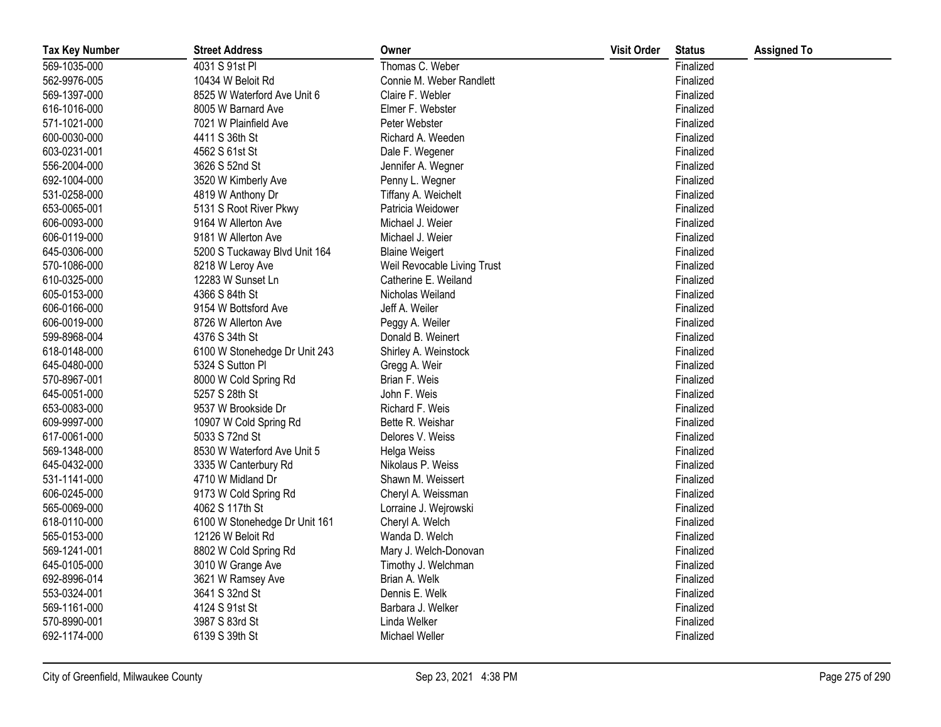| <b>Tax Key Number</b> | <b>Street Address</b>         | Owner                       | <b>Visit Order</b> | <b>Status</b> | <b>Assigned To</b> |
|-----------------------|-------------------------------|-----------------------------|--------------------|---------------|--------------------|
| 569-1035-000          | 4031 S 91st Pl                | Thomas C. Weber             |                    | Finalized     |                    |
| 562-9976-005          | 10434 W Beloit Rd             | Connie M. Weber Randlett    |                    | Finalized     |                    |
| 569-1397-000          | 8525 W Waterford Ave Unit 6   | Claire F. Webler            |                    | Finalized     |                    |
| 616-1016-000          | 8005 W Barnard Ave            | Elmer F. Webster            |                    | Finalized     |                    |
| 571-1021-000          | 7021 W Plainfield Ave         | Peter Webster               |                    | Finalized     |                    |
| 600-0030-000          | 4411 S 36th St                | Richard A. Weeden           |                    | Finalized     |                    |
| 603-0231-001          | 4562 S 61st St                | Dale F. Wegener             |                    | Finalized     |                    |
| 556-2004-000          | 3626 S 52nd St                | Jennifer A. Wegner          |                    | Finalized     |                    |
| 692-1004-000          | 3520 W Kimberly Ave           | Penny L. Wegner             |                    | Finalized     |                    |
| 531-0258-000          | 4819 W Anthony Dr             | Tiffany A. Weichelt         |                    | Finalized     |                    |
| 653-0065-001          | 5131 S Root River Pkwy        | Patricia Weidower           |                    | Finalized     |                    |
| 606-0093-000          | 9164 W Allerton Ave           | Michael J. Weier            |                    | Finalized     |                    |
| 606-0119-000          | 9181 W Allerton Ave           | Michael J. Weier            |                    | Finalized     |                    |
| 645-0306-000          | 5200 S Tuckaway Blvd Unit 164 | <b>Blaine Weigert</b>       |                    | Finalized     |                    |
| 570-1086-000          | 8218 W Leroy Ave              | Weil Revocable Living Trust |                    | Finalized     |                    |
| 610-0325-000          | 12283 W Sunset Ln             | Catherine E. Weiland        |                    | Finalized     |                    |
| 605-0153-000          | 4366 S 84th St                | Nicholas Weiland            |                    | Finalized     |                    |
| 606-0166-000          | 9154 W Bottsford Ave          | Jeff A. Weiler              |                    | Finalized     |                    |
| 606-0019-000          | 8726 W Allerton Ave           | Peggy A. Weiler             |                    | Finalized     |                    |
| 599-8968-004          | 4376 S 34th St                | Donald B. Weinert           |                    | Finalized     |                    |
| 618-0148-000          | 6100 W Stonehedge Dr Unit 243 | Shirley A. Weinstock        |                    | Finalized     |                    |
| 645-0480-000          | 5324 S Sutton PI              | Gregg A. Weir               |                    | Finalized     |                    |
| 570-8967-001          | 8000 W Cold Spring Rd         | Brian F. Weis               |                    | Finalized     |                    |
| 645-0051-000          | 5257 S 28th St                | John F. Weis                |                    | Finalized     |                    |
| 653-0083-000          | 9537 W Brookside Dr           | Richard F. Weis             |                    | Finalized     |                    |
| 609-9997-000          | 10907 W Cold Spring Rd        | Bette R. Weishar            |                    | Finalized     |                    |
| 617-0061-000          | 5033 S 72nd St                | Delores V. Weiss            |                    | Finalized     |                    |
| 569-1348-000          | 8530 W Waterford Ave Unit 5   | Helga Weiss                 |                    | Finalized     |                    |
| 645-0432-000          | 3335 W Canterbury Rd          | Nikolaus P. Weiss           |                    | Finalized     |                    |
| 531-1141-000          | 4710 W Midland Dr             | Shawn M. Weissert           |                    | Finalized     |                    |
| 606-0245-000          | 9173 W Cold Spring Rd         | Cheryl A. Weissman          |                    | Finalized     |                    |
| 565-0069-000          | 4062 S 117th St               | Lorraine J. Wejrowski       |                    | Finalized     |                    |
| 618-0110-000          | 6100 W Stonehedge Dr Unit 161 | Cheryl A. Welch             |                    | Finalized     |                    |
| 565-0153-000          | 12126 W Beloit Rd             | Wanda D. Welch              |                    | Finalized     |                    |
| 569-1241-001          | 8802 W Cold Spring Rd         | Mary J. Welch-Donovan       |                    | Finalized     |                    |
| 645-0105-000          | 3010 W Grange Ave             | Timothy J. Welchman         |                    | Finalized     |                    |
| 692-8996-014          | 3621 W Ramsey Ave             | Brian A. Welk               |                    | Finalized     |                    |
| 553-0324-001          | 3641 S 32nd St                | Dennis E. Welk              |                    | Finalized     |                    |
| 569-1161-000          | 4124 S 91st St                | Barbara J. Welker           |                    | Finalized     |                    |
| 570-8990-001          | 3987 S 83rd St                | Linda Welker                |                    | Finalized     |                    |
| 692-1174-000          | 6139 S 39th St                | Michael Weller              |                    | Finalized     |                    |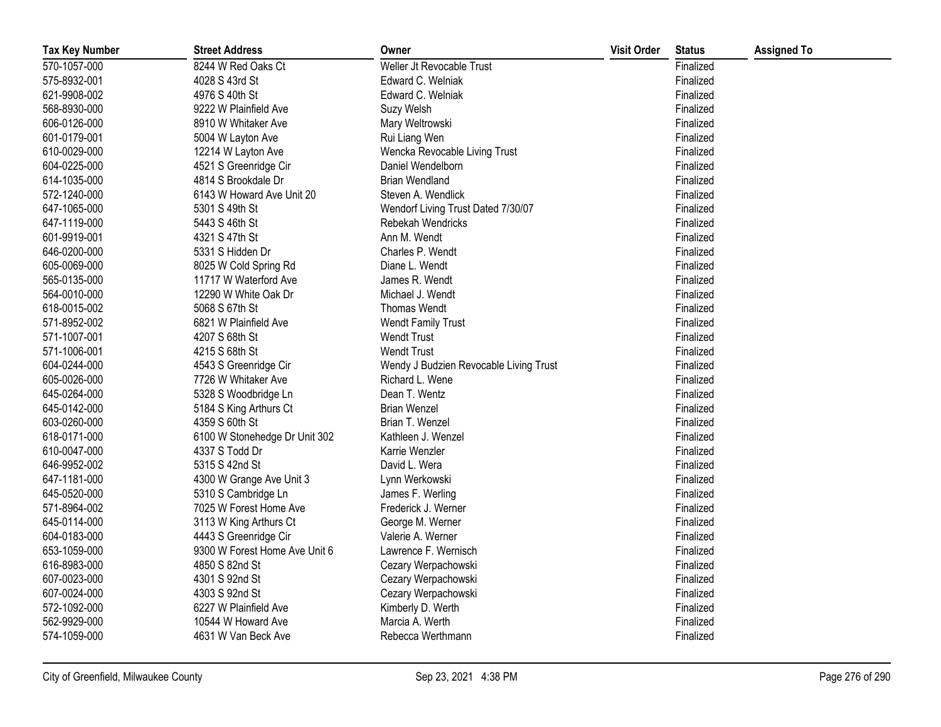| <b>Tax Key Number</b> | <b>Street Address</b>         | Owner                                  | <b>Visit Order</b> | <b>Status</b> | <b>Assigned To</b> |
|-----------------------|-------------------------------|----------------------------------------|--------------------|---------------|--------------------|
| 570-1057-000          | 8244 W Red Oaks Ct            | Weller Jt Revocable Trust              |                    | Finalized     |                    |
| 575-8932-001          | 4028 S 43rd St                | Edward C. Welniak                      |                    | Finalized     |                    |
| 621-9908-002          | 4976 S 40th St                | Edward C. Welniak                      |                    | Finalized     |                    |
| 568-8930-000          | 9222 W Plainfield Ave         | Suzy Welsh                             |                    | Finalized     |                    |
| 606-0126-000          | 8910 W Whitaker Ave           | Mary Weltrowski                        |                    | Finalized     |                    |
| 601-0179-001          | 5004 W Layton Ave             | Rui Liang Wen                          |                    | Finalized     |                    |
| 610-0029-000          | 12214 W Layton Ave            | Wencka Revocable Living Trust          |                    | Finalized     |                    |
| 604-0225-000          | 4521 S Greenridge Cir         | Daniel Wendelborn                      |                    | Finalized     |                    |
| 614-1035-000          | 4814 S Brookdale Dr           | <b>Brian Wendland</b>                  |                    | Finalized     |                    |
| 572-1240-000          | 6143 W Howard Ave Unit 20     | Steven A. Wendlick                     |                    | Finalized     |                    |
| 647-1065-000          | 5301 S 49th St                | Wendorf Living Trust Dated 7/30/07     |                    | Finalized     |                    |
| 647-1119-000          | 5443 S 46th St                | Rebekah Wendricks                      |                    | Finalized     |                    |
| 601-9919-001          | 4321 S 47th St                | Ann M. Wendt                           |                    | Finalized     |                    |
| 646-0200-000          | 5331 S Hidden Dr              | Charles P. Wendt                       |                    | Finalized     |                    |
| 605-0069-000          | 8025 W Cold Spring Rd         | Diane L. Wendt                         |                    | Finalized     |                    |
| 565-0135-000          | 11717 W Waterford Ave         | James R. Wendt                         |                    | Finalized     |                    |
| 564-0010-000          | 12290 W White Oak Dr          | Michael J. Wendt                       |                    | Finalized     |                    |
| 618-0015-002          | 5068 S 67th St                | <b>Thomas Wendt</b>                    |                    | Finalized     |                    |
| 571-8952-002          | 6821 W Plainfield Ave         | <b>Wendt Family Trust</b>              |                    | Finalized     |                    |
| 571-1007-001          | 4207 S 68th St                | <b>Wendt Trust</b>                     |                    | Finalized     |                    |
| 571-1006-001          | 4215 S 68th St                | <b>Wendt Trust</b>                     |                    | Finalized     |                    |
| 604-0244-000          | 4543 S Greenridge Cir         | Wendy J Budzien Revocable Living Trust |                    | Finalized     |                    |
| 605-0026-000          | 7726 W Whitaker Ave           | Richard L. Wene                        |                    | Finalized     |                    |
| 645-0264-000          | 5328 S Woodbridge Ln          | Dean T. Wentz                          |                    | Finalized     |                    |
| 645-0142-000          | 5184 S King Arthurs Ct        | <b>Brian Wenzel</b>                    |                    | Finalized     |                    |
| 603-0260-000          | 4359 S 60th St                | Brian T. Wenzel                        |                    | Finalized     |                    |
| 618-0171-000          | 6100 W Stonehedge Dr Unit 302 | Kathleen J. Wenzel                     |                    | Finalized     |                    |
| 610-0047-000          | 4337 S Todd Dr                | Karrie Wenzler                         |                    | Finalized     |                    |
| 646-9952-002          | 5315 S 42nd St                | David L. Wera                          |                    | Finalized     |                    |
| 647-1181-000          | 4300 W Grange Ave Unit 3      | Lynn Werkowski                         |                    | Finalized     |                    |
| 645-0520-000          | 5310 S Cambridge Ln           | James F. Werling                       |                    | Finalized     |                    |
| 571-8964-002          | 7025 W Forest Home Ave        | Frederick J. Werner                    |                    | Finalized     |                    |
| 645-0114-000          | 3113 W King Arthurs Ct        | George M. Werner                       |                    | Finalized     |                    |
| 604-0183-000          | 4443 S Greenridge Cir         | Valerie A. Werner                      |                    | Finalized     |                    |
| 653-1059-000          | 9300 W Forest Home Ave Unit 6 | Lawrence F. Wernisch                   |                    | Finalized     |                    |
| 616-8983-000          | 4850 S 82nd St                | Cezary Werpachowski                    |                    | Finalized     |                    |
| 607-0023-000          | 4301 S 92nd St                | Cezary Werpachowski                    |                    | Finalized     |                    |
| 607-0024-000          | 4303 S 92nd St                | Cezary Werpachowski                    |                    | Finalized     |                    |
| 572-1092-000          | 6227 W Plainfield Ave         | Kimberly D. Werth                      |                    | Finalized     |                    |
| 562-9929-000          | 10544 W Howard Ave            | Marcia A. Werth                        |                    | Finalized     |                    |
| 574-1059-000          | 4631 W Van Beck Ave           | Rebecca Werthmann                      |                    | Finalized     |                    |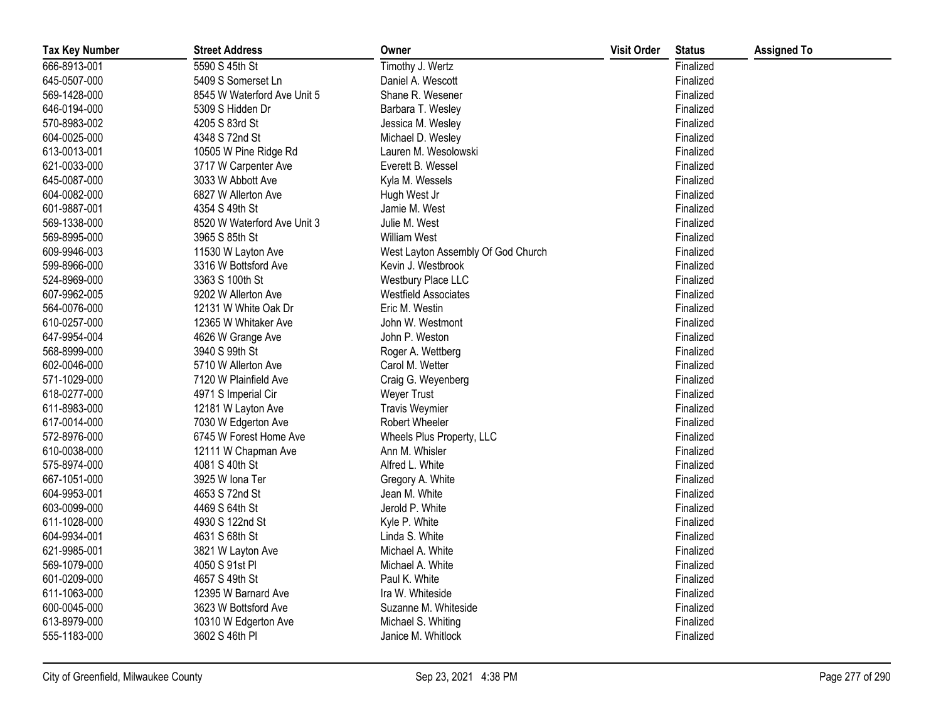| <b>Tax Key Number</b> | <b>Street Address</b>       | Owner                              | <b>Visit Order</b> | <b>Status</b> | <b>Assigned To</b> |
|-----------------------|-----------------------------|------------------------------------|--------------------|---------------|--------------------|
| 666-8913-001          | 5590 S 45th St              | Timothy J. Wertz                   |                    | Finalized     |                    |
| 645-0507-000          | 5409 S Somerset Ln          | Daniel A. Wescott                  |                    | Finalized     |                    |
| 569-1428-000          | 8545 W Waterford Ave Unit 5 | Shane R. Wesener                   |                    | Finalized     |                    |
| 646-0194-000          | 5309 S Hidden Dr            | Barbara T. Wesley                  |                    | Finalized     |                    |
| 570-8983-002          | 4205 S 83rd St              | Jessica M. Wesley                  |                    | Finalized     |                    |
| 604-0025-000          | 4348 S 72nd St              | Michael D. Wesley                  |                    | Finalized     |                    |
| 613-0013-001          | 10505 W Pine Ridge Rd       | Lauren M. Wesolowski               |                    | Finalized     |                    |
| 621-0033-000          | 3717 W Carpenter Ave        | Everett B. Wessel                  |                    | Finalized     |                    |
| 645-0087-000          | 3033 W Abbott Ave           | Kyla M. Wessels                    |                    | Finalized     |                    |
| 604-0082-000          | 6827 W Allerton Ave         | Hugh West Jr                       |                    | Finalized     |                    |
| 601-9887-001          | 4354 S 49th St              | Jamie M. West                      |                    | Finalized     |                    |
| 569-1338-000          | 8520 W Waterford Ave Unit 3 | Julie M. West                      |                    | Finalized     |                    |
| 569-8995-000          | 3965 S 85th St              | <b>William West</b>                |                    | Finalized     |                    |
| 609-9946-003          | 11530 W Layton Ave          | West Layton Assembly Of God Church |                    | Finalized     |                    |
| 599-8966-000          | 3316 W Bottsford Ave        | Kevin J. Westbrook                 |                    | Finalized     |                    |
| 524-8969-000          | 3363 S 100th St             | Westbury Place LLC                 |                    | Finalized     |                    |
| 607-9962-005          | 9202 W Allerton Ave         | <b>Westfield Associates</b>        |                    | Finalized     |                    |
| 564-0076-000          | 12131 W White Oak Dr        | Eric M. Westin                     |                    | Finalized     |                    |
| 610-0257-000          | 12365 W Whitaker Ave        | John W. Westmont                   |                    | Finalized     |                    |
| 647-9954-004          | 4626 W Grange Ave           | John P. Weston                     |                    | Finalized     |                    |
| 568-8999-000          | 3940 S 99th St              | Roger A. Wettberg                  |                    | Finalized     |                    |
| 602-0046-000          | 5710 W Allerton Ave         | Carol M. Wetter                    |                    | Finalized     |                    |
| 571-1029-000          | 7120 W Plainfield Ave       | Craig G. Weyenberg                 |                    | Finalized     |                    |
| 618-0277-000          | 4971 S Imperial Cir         | Weyer Trust                        |                    | Finalized     |                    |
| 611-8983-000          | 12181 W Layton Ave          | <b>Travis Weymier</b>              |                    | Finalized     |                    |
| 617-0014-000          | 7030 W Edgerton Ave         | Robert Wheeler                     |                    | Finalized     |                    |
| 572-8976-000          | 6745 W Forest Home Ave      | Wheels Plus Property, LLC          |                    | Finalized     |                    |
| 610-0038-000          | 12111 W Chapman Ave         | Ann M. Whisler                     |                    | Finalized     |                    |
| 575-8974-000          | 4081 S 40th St              | Alfred L. White                    |                    | Finalized     |                    |
| 667-1051-000          | 3925 W Iona Ter             | Gregory A. White                   |                    | Finalized     |                    |
| 604-9953-001          | 4653 S 72nd St              | Jean M. White                      |                    | Finalized     |                    |
| 603-0099-000          | 4469 S 64th St              | Jerold P. White                    |                    | Finalized     |                    |
| 611-1028-000          | 4930 S 122nd St             | Kyle P. White                      |                    | Finalized     |                    |
| 604-9934-001          | 4631 S 68th St              | Linda S. White                     |                    | Finalized     |                    |
| 621-9985-001          | 3821 W Layton Ave           | Michael A. White                   |                    | Finalized     |                    |
| 569-1079-000          | 4050 S 91st PI              | Michael A. White                   |                    | Finalized     |                    |
| 601-0209-000          | 4657 S 49th St              | Paul K. White                      |                    | Finalized     |                    |
| 611-1063-000          | 12395 W Barnard Ave         | Ira W. Whiteside                   |                    | Finalized     |                    |
| 600-0045-000          | 3623 W Bottsford Ave        | Suzanne M. Whiteside               |                    | Finalized     |                    |
| 613-8979-000          | 10310 W Edgerton Ave        | Michael S. Whiting                 |                    | Finalized     |                    |
| 555-1183-000          | 3602 S 46th PI              | Janice M. Whitlock                 |                    | Finalized     |                    |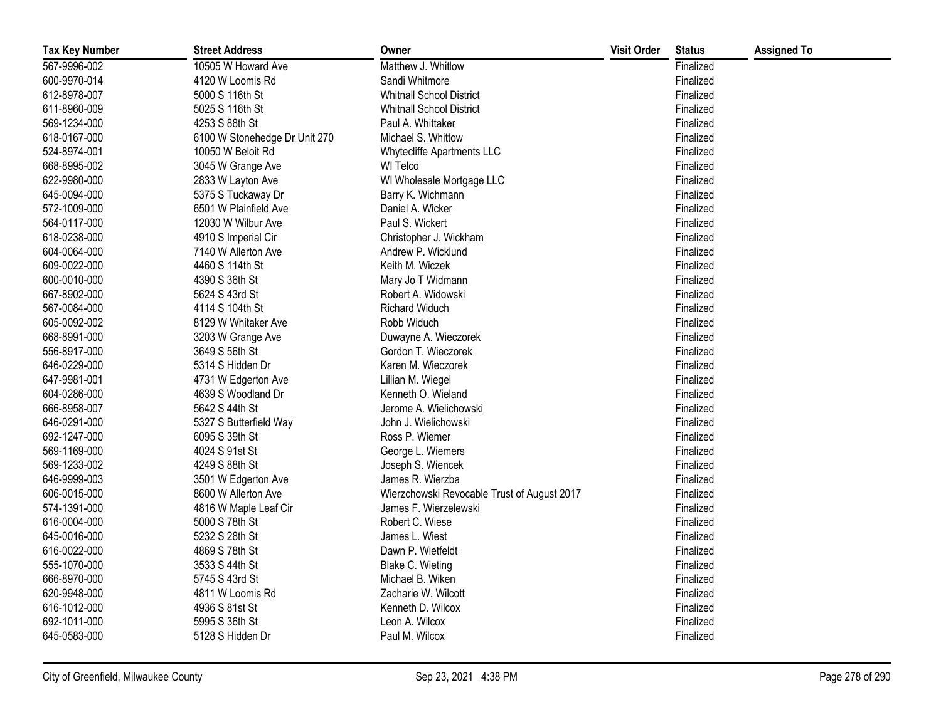| <b>Tax Key Number</b> | <b>Street Address</b>         | Owner                                       | <b>Visit Order</b> | <b>Status</b> | <b>Assigned To</b> |
|-----------------------|-------------------------------|---------------------------------------------|--------------------|---------------|--------------------|
| 567-9996-002          | 10505 W Howard Ave            | Matthew J. Whitlow                          |                    | Finalized     |                    |
| 600-9970-014          | 4120 W Loomis Rd              | Sandi Whitmore                              |                    | Finalized     |                    |
| 612-8978-007          | 5000 S 116th St               | <b>Whitnall School District</b>             |                    | Finalized     |                    |
| 611-8960-009          | 5025 S 116th St               | <b>Whitnall School District</b>             |                    | Finalized     |                    |
| 569-1234-000          | 4253 S 88th St                | Paul A. Whittaker                           |                    | Finalized     |                    |
| 618-0167-000          | 6100 W Stonehedge Dr Unit 270 | Michael S. Whittow                          |                    | Finalized     |                    |
| 524-8974-001          | 10050 W Beloit Rd             | Whytecliffe Apartments LLC                  |                    | Finalized     |                    |
| 668-8995-002          | 3045 W Grange Ave             | WI Telco                                    |                    | Finalized     |                    |
| 622-9980-000          | 2833 W Layton Ave             | WI Wholesale Mortgage LLC                   |                    | Finalized     |                    |
| 645-0094-000          | 5375 S Tuckaway Dr            | Barry K. Wichmann                           |                    | Finalized     |                    |
| 572-1009-000          | 6501 W Plainfield Ave         | Daniel A. Wicker                            |                    | Finalized     |                    |
| 564-0117-000          | 12030 W Wilbur Ave            | Paul S. Wickert                             |                    | Finalized     |                    |
| 618-0238-000          | 4910 S Imperial Cir           | Christopher J. Wickham                      |                    | Finalized     |                    |
| 604-0064-000          | 7140 W Allerton Ave           | Andrew P. Wicklund                          |                    | Finalized     |                    |
| 609-0022-000          | 4460 S 114th St               | Keith M. Wiczek                             |                    | Finalized     |                    |
| 600-0010-000          | 4390 S 36th St                | Mary Jo T Widmann                           |                    | Finalized     |                    |
| 667-8902-000          | 5624 S 43rd St                | Robert A. Widowski                          |                    | Finalized     |                    |
| 567-0084-000          | 4114 S 104th St               | Richard Widuch                              |                    | Finalized     |                    |
| 605-0092-002          | 8129 W Whitaker Ave           | Robb Widuch                                 |                    | Finalized     |                    |
| 668-8991-000          | 3203 W Grange Ave             | Duwayne A. Wieczorek                        |                    | Finalized     |                    |
| 556-8917-000          | 3649 S 56th St                | Gordon T. Wieczorek                         |                    | Finalized     |                    |
| 646-0229-000          | 5314 S Hidden Dr              | Karen M. Wieczorek                          |                    | Finalized     |                    |
| 647-9981-001          | 4731 W Edgerton Ave           | Lillian M. Wiegel                           |                    | Finalized     |                    |
| 604-0286-000          | 4639 S Woodland Dr            | Kenneth O. Wieland                          |                    | Finalized     |                    |
| 666-8958-007          | 5642 S 44th St                | Jerome A. Wielichowski                      |                    | Finalized     |                    |
| 646-0291-000          | 5327 S Butterfield Way        | John J. Wielichowski                        |                    | Finalized     |                    |
| 692-1247-000          | 6095 S 39th St                | Ross P. Wiemer                              |                    | Finalized     |                    |
| 569-1169-000          | 4024 S 91st St                | George L. Wiemers                           |                    | Finalized     |                    |
| 569-1233-002          | 4249 S 88th St                | Joseph S. Wiencek                           |                    | Finalized     |                    |
| 646-9999-003          | 3501 W Edgerton Ave           | James R. Wierzba                            |                    | Finalized     |                    |
| 606-0015-000          | 8600 W Allerton Ave           | Wierzchowski Revocable Trust of August 2017 |                    | Finalized     |                    |
| 574-1391-000          | 4816 W Maple Leaf Cir         | James F. Wierzelewski                       |                    | Finalized     |                    |
| 616-0004-000          | 5000 S 78th St                | Robert C. Wiese                             |                    | Finalized     |                    |
| 645-0016-000          | 5232 S 28th St                | James L. Wiest                              |                    | Finalized     |                    |
| 616-0022-000          | 4869 S 78th St                | Dawn P. Wietfeldt                           |                    | Finalized     |                    |
| 555-1070-000          | 3533 S 44th St                | Blake C. Wieting                            |                    | Finalized     |                    |
| 666-8970-000          | 5745 S 43rd St                | Michael B. Wiken                            |                    | Finalized     |                    |
| 620-9948-000          | 4811 W Loomis Rd              | Zacharie W. Wilcott                         |                    | Finalized     |                    |
| 616-1012-000          | 4936 S 81st St                | Kenneth D. Wilcox                           |                    | Finalized     |                    |
| 692-1011-000          | 5995 S 36th St                | Leon A. Wilcox                              |                    | Finalized     |                    |
| 645-0583-000          | 5128 S Hidden Dr              | Paul M. Wilcox                              |                    | Finalized     |                    |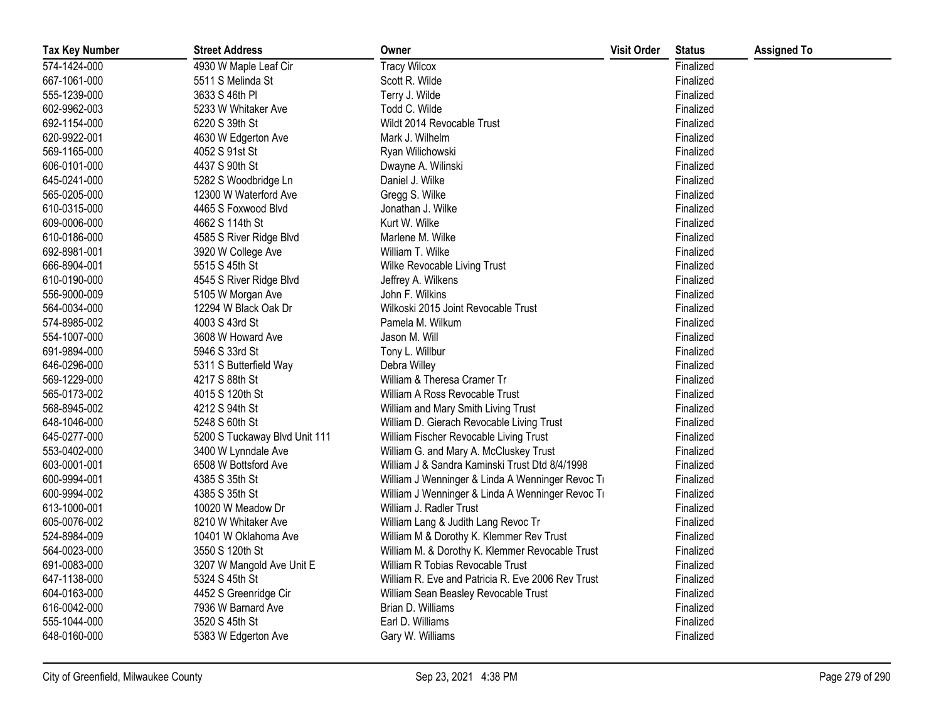| <b>Tax Key Number</b> | <b>Street Address</b>         | Owner                                             | <b>Visit Order</b> | <b>Status</b> | <b>Assigned To</b> |
|-----------------------|-------------------------------|---------------------------------------------------|--------------------|---------------|--------------------|
| 574-1424-000          | 4930 W Maple Leaf Cir         | <b>Tracy Wilcox</b>                               |                    | Finalized     |                    |
| 667-1061-000          | 5511 S Melinda St             | Scott R. Wilde                                    |                    | Finalized     |                    |
| 555-1239-000          | 3633 S 46th PI                | Terry J. Wilde                                    |                    | Finalized     |                    |
| 602-9962-003          | 5233 W Whitaker Ave           | Todd C. Wilde                                     |                    | Finalized     |                    |
| 692-1154-000          | 6220 S 39th St                | Wildt 2014 Revocable Trust                        |                    | Finalized     |                    |
| 620-9922-001          | 4630 W Edgerton Ave           | Mark J. Wilhelm                                   |                    | Finalized     |                    |
| 569-1165-000          | 4052 S 91st St                | Ryan Wilichowski                                  |                    | Finalized     |                    |
| 606-0101-000          | 4437 S 90th St                | Dwayne A. Wilinski                                |                    | Finalized     |                    |
| 645-0241-000          | 5282 S Woodbridge Ln          | Daniel J. Wilke                                   |                    | Finalized     |                    |
| 565-0205-000          | 12300 W Waterford Ave         | Gregg S. Wilke                                    |                    | Finalized     |                    |
| 610-0315-000          | 4465 S Foxwood Blvd           | Jonathan J. Wilke                                 |                    | Finalized     |                    |
| 609-0006-000          | 4662 S 114th St               | Kurt W. Wilke                                     |                    | Finalized     |                    |
| 610-0186-000          | 4585 S River Ridge Blvd       | Marlene M. Wilke                                  |                    | Finalized     |                    |
| 692-8981-001          | 3920 W College Ave            | William T. Wilke                                  |                    | Finalized     |                    |
| 666-8904-001          | 5515 S 45th St                | Wilke Revocable Living Trust                      |                    | Finalized     |                    |
| 610-0190-000          | 4545 S River Ridge Blvd       | Jeffrey A. Wilkens                                |                    | Finalized     |                    |
| 556-9000-009          | 5105 W Morgan Ave             | John F. Wilkins                                   |                    | Finalized     |                    |
| 564-0034-000          | 12294 W Black Oak Dr          | Wilkoski 2015 Joint Revocable Trust               |                    | Finalized     |                    |
| 574-8985-002          | 4003 S 43rd St                | Pamela M. Wilkum                                  |                    | Finalized     |                    |
| 554-1007-000          | 3608 W Howard Ave             | Jason M. Will                                     |                    | Finalized     |                    |
| 691-9894-000          | 5946 S 33rd St                | Tony L. Willbur                                   |                    | Finalized     |                    |
| 646-0296-000          | 5311 S Butterfield Way        | Debra Willey                                      |                    | Finalized     |                    |
| 569-1229-000          | 4217 S 88th St                | William & Theresa Cramer Tr                       |                    | Finalized     |                    |
| 565-0173-002          | 4015 S 120th St               | William A Ross Revocable Trust                    |                    | Finalized     |                    |
| 568-8945-002          | 4212 S 94th St                | William and Mary Smith Living Trust               |                    | Finalized     |                    |
| 648-1046-000          | 5248 S 60th St                | William D. Gierach Revocable Living Trust         |                    | Finalized     |                    |
| 645-0277-000          | 5200 S Tuckaway Blvd Unit 111 | William Fischer Revocable Living Trust            |                    | Finalized     |                    |
| 553-0402-000          | 3400 W Lynndale Ave           | William G. and Mary A. McCluskey Trust            |                    | Finalized     |                    |
| 603-0001-001          | 6508 W Bottsford Ave          | William J & Sandra Kaminski Trust Dtd 8/4/1998    |                    | Finalized     |                    |
| 600-9994-001          | 4385 S 35th St                | William J Wenninger & Linda A Wenninger Revoc Ti  |                    | Finalized     |                    |
| 600-9994-002          | 4385 S 35th St                | William J Wenninger & Linda A Wenninger Revoc Ti  |                    | Finalized     |                    |
| 613-1000-001          | 10020 W Meadow Dr             | William J. Radler Trust                           |                    | Finalized     |                    |
| 605-0076-002          | 8210 W Whitaker Ave           | William Lang & Judith Lang Revoc Tr               |                    | Finalized     |                    |
| 524-8984-009          | 10401 W Oklahoma Ave          | William M & Dorothy K. Klemmer Rev Trust          |                    | Finalized     |                    |
| 564-0023-000          | 3550 S 120th St               | William M. & Dorothy K. Klemmer Revocable Trust   |                    | Finalized     |                    |
| 691-0083-000          | 3207 W Mangold Ave Unit E     | William R Tobias Revocable Trust                  |                    | Finalized     |                    |
| 647-1138-000          | 5324 S 45th St                | William R. Eve and Patricia R. Eve 2006 Rev Trust |                    | Finalized     |                    |
| 604-0163-000          | 4452 S Greenridge Cir         | William Sean Beasley Revocable Trust              |                    | Finalized     |                    |
| 616-0042-000          | 7936 W Barnard Ave            | Brian D. Williams                                 |                    | Finalized     |                    |
| 555-1044-000          | 3520 S 45th St                | Earl D. Williams                                  |                    | Finalized     |                    |
| 648-0160-000          | 5383 W Edgerton Ave           | Gary W. Williams                                  |                    | Finalized     |                    |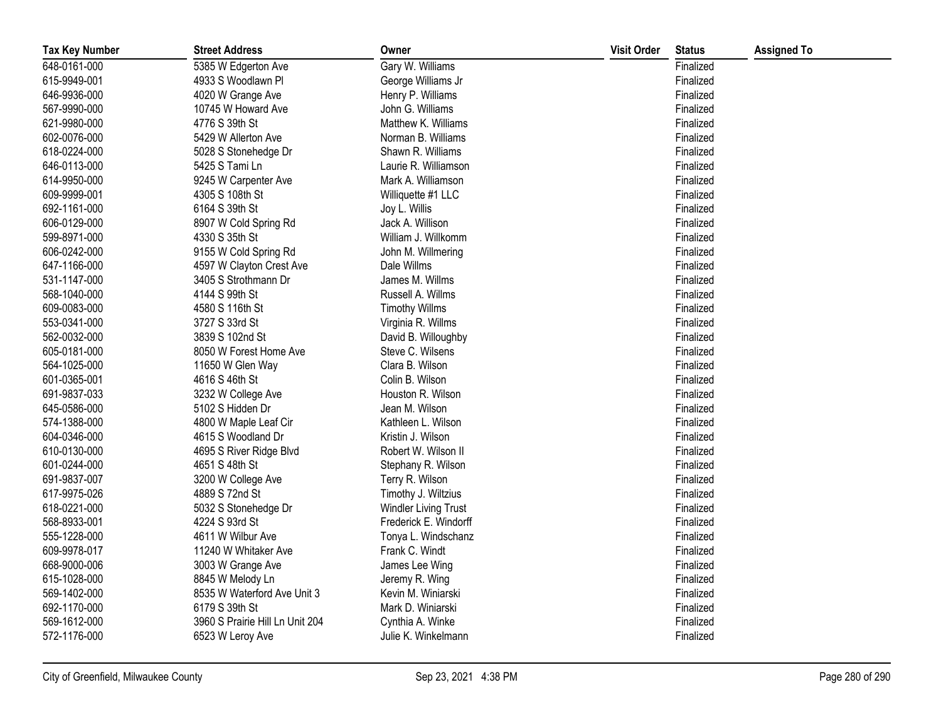| <b>Tax Key Number</b> | <b>Street Address</b>           | Owner                 | <b>Visit Order</b> | <b>Status</b> | <b>Assigned To</b> |
|-----------------------|---------------------------------|-----------------------|--------------------|---------------|--------------------|
| 648-0161-000          | 5385 W Edgerton Ave             | Gary W. Williams      |                    | Finalized     |                    |
| 615-9949-001          | 4933 S Woodlawn Pl              | George Williams Jr    |                    | Finalized     |                    |
| 646-9936-000          | 4020 W Grange Ave               | Henry P. Williams     |                    | Finalized     |                    |
| 567-9990-000          | 10745 W Howard Ave              | John G. Williams      |                    | Finalized     |                    |
| 621-9980-000          | 4776 S 39th St                  | Matthew K. Williams   |                    | Finalized     |                    |
| 602-0076-000          | 5429 W Allerton Ave             | Norman B. Williams    |                    | Finalized     |                    |
| 618-0224-000          | 5028 S Stonehedge Dr            | Shawn R. Williams     |                    | Finalized     |                    |
| 646-0113-000          | 5425 S Tami Ln                  | Laurie R. Williamson  |                    | Finalized     |                    |
| 614-9950-000          | 9245 W Carpenter Ave            | Mark A. Williamson    |                    | Finalized     |                    |
| 609-9999-001          | 4305 S 108th St                 | Williquette #1 LLC    |                    | Finalized     |                    |
| 692-1161-000          | 6164 S 39th St                  | Joy L. Willis         |                    | Finalized     |                    |
| 606-0129-000          | 8907 W Cold Spring Rd           | Jack A. Willison      |                    | Finalized     |                    |
| 599-8971-000          | 4330 S 35th St                  | William J. Willkomm   |                    | Finalized     |                    |
| 606-0242-000          | 9155 W Cold Spring Rd           | John M. Willmering    |                    | Finalized     |                    |
| 647-1166-000          | 4597 W Clayton Crest Ave        | Dale Willms           |                    | Finalized     |                    |
| 531-1147-000          | 3405 S Strothmann Dr            | James M. Willms       |                    | Finalized     |                    |
| 568-1040-000          | 4144 S 99th St                  | Russell A. Willms     |                    | Finalized     |                    |
| 609-0083-000          | 4580 S 116th St                 | <b>Timothy Willms</b> |                    | Finalized     |                    |
| 553-0341-000          | 3727 S 33rd St                  | Virginia R. Willms    |                    | Finalized     |                    |
| 562-0032-000          | 3839 S 102nd St                 | David B. Willoughby   |                    | Finalized     |                    |
| 605-0181-000          | 8050 W Forest Home Ave          | Steve C. Wilsens      |                    | Finalized     |                    |
| 564-1025-000          | 11650 W Glen Way                | Clara B. Wilson       |                    | Finalized     |                    |
| 601-0365-001          | 4616 S 46th St                  | Colin B. Wilson       |                    | Finalized     |                    |
| 691-9837-033          | 3232 W College Ave              | Houston R. Wilson     |                    | Finalized     |                    |
| 645-0586-000          | 5102 S Hidden Dr                | Jean M. Wilson        |                    | Finalized     |                    |
| 574-1388-000          | 4800 W Maple Leaf Cir           | Kathleen L. Wilson    |                    | Finalized     |                    |
| 604-0346-000          | 4615 S Woodland Dr              | Kristin J. Wilson     |                    | Finalized     |                    |
| 610-0130-000          | 4695 S River Ridge Blvd         | Robert W. Wilson II   |                    | Finalized     |                    |
| 601-0244-000          | 4651 S 48th St                  | Stephany R. Wilson    |                    | Finalized     |                    |
| 691-9837-007          | 3200 W College Ave              | Terry R. Wilson       |                    | Finalized     |                    |
| 617-9975-026          | 4889 S 72nd St                  | Timothy J. Wiltzius   |                    | Finalized     |                    |
| 618-0221-000          | 5032 S Stonehedge Dr            | Windler Living Trust  |                    | Finalized     |                    |
| 568-8933-001          | 4224 S 93rd St                  | Frederick E. Windorff |                    | Finalized     |                    |
| 555-1228-000          | 4611 W Wilbur Ave               | Tonya L. Windschanz   |                    | Finalized     |                    |
| 609-9978-017          | 11240 W Whitaker Ave            | Frank C. Windt        |                    | Finalized     |                    |
| 668-9000-006          | 3003 W Grange Ave               | James Lee Wing        |                    | Finalized     |                    |
| 615-1028-000          | 8845 W Melody Ln                | Jeremy R. Wing        |                    | Finalized     |                    |
| 569-1402-000          | 8535 W Waterford Ave Unit 3     | Kevin M. Winiarski    |                    | Finalized     |                    |
| 692-1170-000          | 6179 S 39th St                  | Mark D. Winiarski     |                    | Finalized     |                    |
| 569-1612-000          | 3960 S Prairie Hill Ln Unit 204 | Cynthia A. Winke      |                    | Finalized     |                    |
| 572-1176-000          | 6523 W Leroy Ave                | Julie K. Winkelmann   |                    | Finalized     |                    |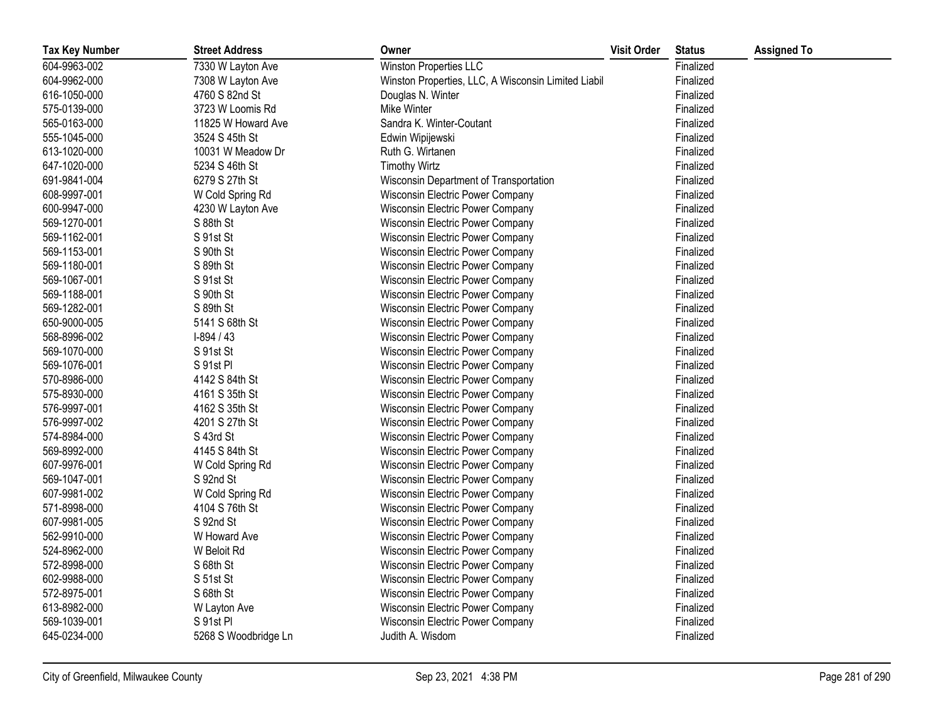| <b>Tax Key Number</b> | <b>Street Address</b> | Owner                                               | <b>Visit Order</b> | <b>Status</b> | <b>Assigned To</b> |
|-----------------------|-----------------------|-----------------------------------------------------|--------------------|---------------|--------------------|
| 604-9963-002          | 7330 W Layton Ave     | <b>Winston Properties LLC</b>                       |                    | Finalized     |                    |
| 604-9962-000          | 7308 W Layton Ave     | Winston Properties, LLC, A Wisconsin Limited Liabil |                    | Finalized     |                    |
| 616-1050-000          | 4760 S 82nd St        | Douglas N. Winter                                   |                    | Finalized     |                    |
| 575-0139-000          | 3723 W Loomis Rd      | Mike Winter                                         |                    | Finalized     |                    |
| 565-0163-000          | 11825 W Howard Ave    | Sandra K. Winter-Coutant                            |                    | Finalized     |                    |
| 555-1045-000          | 3524 S 45th St        | Edwin Wipijewski                                    |                    | Finalized     |                    |
| 613-1020-000          | 10031 W Meadow Dr     | Ruth G. Wirtanen                                    |                    | Finalized     |                    |
| 647-1020-000          | 5234 S 46th St        | <b>Timothy Wirtz</b>                                |                    | Finalized     |                    |
| 691-9841-004          | 6279 S 27th St        | Wisconsin Department of Transportation              |                    | Finalized     |                    |
| 608-9997-001          | W Cold Spring Rd      | Wisconsin Electric Power Company                    |                    | Finalized     |                    |
| 600-9947-000          | 4230 W Layton Ave     | Wisconsin Electric Power Company                    |                    | Finalized     |                    |
| 569-1270-001          | S 88th St             | Wisconsin Electric Power Company                    |                    | Finalized     |                    |
| 569-1162-001          | S 91st St             | Wisconsin Electric Power Company                    |                    | Finalized     |                    |
| 569-1153-001          | S 90th St             | Wisconsin Electric Power Company                    |                    | Finalized     |                    |
| 569-1180-001          | S 89th St             | Wisconsin Electric Power Company                    |                    | Finalized     |                    |
| 569-1067-001          | S 91st St             | Wisconsin Electric Power Company                    |                    | Finalized     |                    |
| 569-1188-001          | S 90th St             | Wisconsin Electric Power Company                    |                    | Finalized     |                    |
| 569-1282-001          | S 89th St             | Wisconsin Electric Power Company                    |                    | Finalized     |                    |
| 650-9000-005          | 5141 S 68th St        | Wisconsin Electric Power Company                    |                    | Finalized     |                    |
| 568-8996-002          | $I-894/43$            | Wisconsin Electric Power Company                    |                    | Finalized     |                    |
| 569-1070-000          | S 91st St             | Wisconsin Electric Power Company                    |                    | Finalized     |                    |
| 569-1076-001          | S 91st Pl             | Wisconsin Electric Power Company                    |                    | Finalized     |                    |
| 570-8986-000          | 4142 S 84th St        | Wisconsin Electric Power Company                    |                    | Finalized     |                    |
| 575-8930-000          | 4161 S 35th St        | Wisconsin Electric Power Company                    |                    | Finalized     |                    |
| 576-9997-001          | 4162 S 35th St        | Wisconsin Electric Power Company                    |                    | Finalized     |                    |
| 576-9997-002          | 4201 S 27th St        | Wisconsin Electric Power Company                    |                    | Finalized     |                    |
| 574-8984-000          | S 43rd St             | Wisconsin Electric Power Company                    |                    | Finalized     |                    |
| 569-8992-000          | 4145 S 84th St        | Wisconsin Electric Power Company                    |                    | Finalized     |                    |
| 607-9976-001          | W Cold Spring Rd      | Wisconsin Electric Power Company                    |                    | Finalized     |                    |
| 569-1047-001          | S 92nd St             | <b>Wisconsin Electric Power Company</b>             |                    | Finalized     |                    |
| 607-9981-002          | W Cold Spring Rd      | Wisconsin Electric Power Company                    |                    | Finalized     |                    |
| 571-8998-000          | 4104 S 76th St        | Wisconsin Electric Power Company                    |                    | Finalized     |                    |
| 607-9981-005          | S 92nd St             | Wisconsin Electric Power Company                    |                    | Finalized     |                    |
| 562-9910-000          | W Howard Ave          | Wisconsin Electric Power Company                    |                    | Finalized     |                    |
| 524-8962-000          | W Beloit Rd           | Wisconsin Electric Power Company                    |                    | Finalized     |                    |
| 572-8998-000          | S 68th St             | Wisconsin Electric Power Company                    |                    | Finalized     |                    |
| 602-9988-000          | S 51st St             | Wisconsin Electric Power Company                    |                    | Finalized     |                    |
| 572-8975-001          | S 68th St             | Wisconsin Electric Power Company                    |                    | Finalized     |                    |
| 613-8982-000          | W Layton Ave          | Wisconsin Electric Power Company                    |                    | Finalized     |                    |
| 569-1039-001          | S 91st Pl             | Wisconsin Electric Power Company                    |                    | Finalized     |                    |
| 645-0234-000          | 5268 S Woodbridge Ln  | Judith A. Wisdom                                    |                    | Finalized     |                    |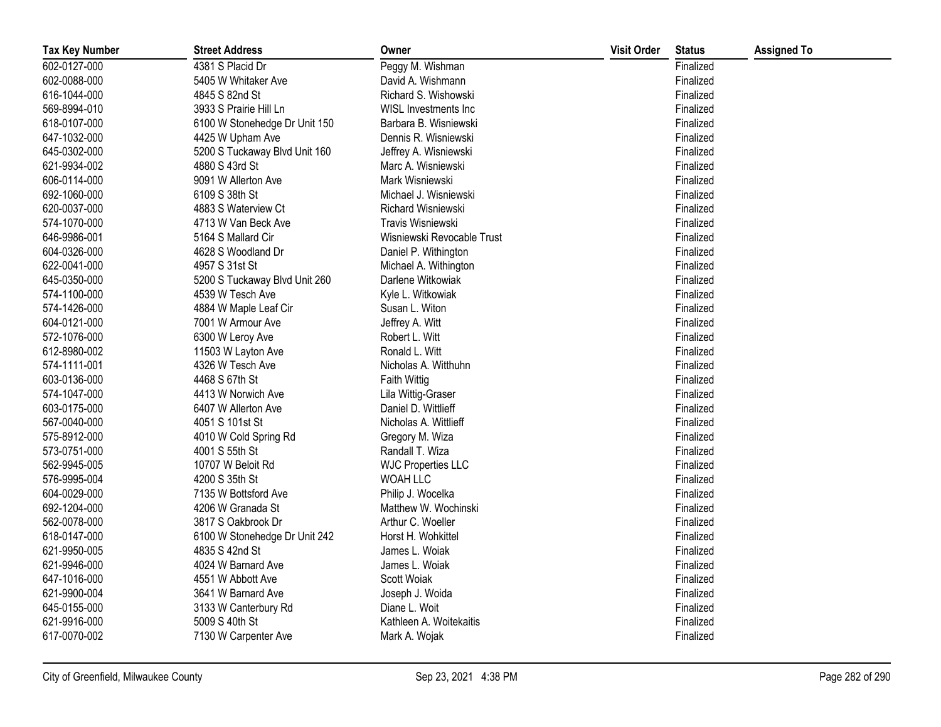| <b>Tax Key Number</b> | <b>Street Address</b>         | Owner                      | <b>Visit Order</b> | <b>Status</b> | <b>Assigned To</b> |
|-----------------------|-------------------------------|----------------------------|--------------------|---------------|--------------------|
| 602-0127-000          | 4381 S Placid Dr              | Peggy M. Wishman           |                    | Finalized     |                    |
| 602-0088-000          | 5405 W Whitaker Ave           | David A. Wishmann          |                    | Finalized     |                    |
| 616-1044-000          | 4845 S 82nd St                | Richard S. Wishowski       |                    | Finalized     |                    |
| 569-8994-010          | 3933 S Prairie Hill Ln        | WISL Investments Inc       |                    | Finalized     |                    |
| 618-0107-000          | 6100 W Stonehedge Dr Unit 150 | Barbara B. Wisniewski      |                    | Finalized     |                    |
| 647-1032-000          | 4425 W Upham Ave              | Dennis R. Wisniewski       |                    | Finalized     |                    |
| 645-0302-000          | 5200 S Tuckaway Blvd Unit 160 | Jeffrey A. Wisniewski      |                    | Finalized     |                    |
| 621-9934-002          | 4880 S 43rd St                | Marc A. Wisniewski         |                    | Finalized     |                    |
| 606-0114-000          | 9091 W Allerton Ave           | Mark Wisniewski            |                    | Finalized     |                    |
| 692-1060-000          | 6109 S 38th St                | Michael J. Wisniewski      |                    | Finalized     |                    |
| 620-0037-000          | 4883 S Waterview Ct           | Richard Wisniewski         |                    | Finalized     |                    |
| 574-1070-000          | 4713 W Van Beck Ave           | Travis Wisniewski          |                    | Finalized     |                    |
| 646-9986-001          | 5164 S Mallard Cir            | Wisniewski Revocable Trust |                    | Finalized     |                    |
| 604-0326-000          | 4628 S Woodland Dr            | Daniel P. Withington       |                    | Finalized     |                    |
| 622-0041-000          | 4957 S 31st St                | Michael A. Withington      |                    | Finalized     |                    |
| 645-0350-000          | 5200 S Tuckaway Blvd Unit 260 | Darlene Witkowiak          |                    | Finalized     |                    |
| 574-1100-000          | 4539 W Tesch Ave              | Kyle L. Witkowiak          |                    | Finalized     |                    |
| 574-1426-000          | 4884 W Maple Leaf Cir         | Susan L. Witon             |                    | Finalized     |                    |
| 604-0121-000          | 7001 W Armour Ave             | Jeffrey A. Witt            |                    | Finalized     |                    |
| 572-1076-000          | 6300 W Leroy Ave              | Robert L. Witt             |                    | Finalized     |                    |
| 612-8980-002          | 11503 W Layton Ave            | Ronald L. Witt             |                    | Finalized     |                    |
| 574-1111-001          | 4326 W Tesch Ave              | Nicholas A. Witthuhn       |                    | Finalized     |                    |
| 603-0136-000          | 4468 S 67th St                | <b>Faith Wittig</b>        |                    | Finalized     |                    |
| 574-1047-000          | 4413 W Norwich Ave            | Lila Wittig-Graser         |                    | Finalized     |                    |
| 603-0175-000          | 6407 W Allerton Ave           | Daniel D. Wittlieff        |                    | Finalized     |                    |
| 567-0040-000          | 4051 S 101st St               | Nicholas A. Wittlieff      |                    | Finalized     |                    |
| 575-8912-000          | 4010 W Cold Spring Rd         | Gregory M. Wiza            |                    | Finalized     |                    |
| 573-0751-000          | 4001 S 55th St                | Randall T. Wiza            |                    | Finalized     |                    |
| 562-9945-005          | 10707 W Beloit Rd             | <b>WJC Properties LLC</b>  |                    | Finalized     |                    |
| 576-9995-004          | 4200 S 35th St                | WOAH LLC                   |                    | Finalized     |                    |
| 604-0029-000          | 7135 W Bottsford Ave          | Philip J. Wocelka          |                    | Finalized     |                    |
| 692-1204-000          | 4206 W Granada St             | Matthew W. Wochinski       |                    | Finalized     |                    |
| 562-0078-000          | 3817 S Oakbrook Dr            | Arthur C. Woeller          |                    | Finalized     |                    |
| 618-0147-000          | 6100 W Stonehedge Dr Unit 242 | Horst H. Wohkittel         |                    | Finalized     |                    |
| 621-9950-005          | 4835 S 42nd St                | James L. Woiak             |                    | Finalized     |                    |
| 621-9946-000          | 4024 W Barnard Ave            | James L. Woiak             |                    | Finalized     |                    |
| 647-1016-000          | 4551 W Abbott Ave             | Scott Woiak                |                    | Finalized     |                    |
| 621-9900-004          | 3641 W Barnard Ave            | Joseph J. Woida            |                    | Finalized     |                    |
| 645-0155-000          | 3133 W Canterbury Rd          | Diane L. Woit              |                    | Finalized     |                    |
| 621-9916-000          | 5009 S 40th St                | Kathleen A. Woitekaitis    |                    | Finalized     |                    |
| 617-0070-002          | 7130 W Carpenter Ave          | Mark A. Wojak              |                    | Finalized     |                    |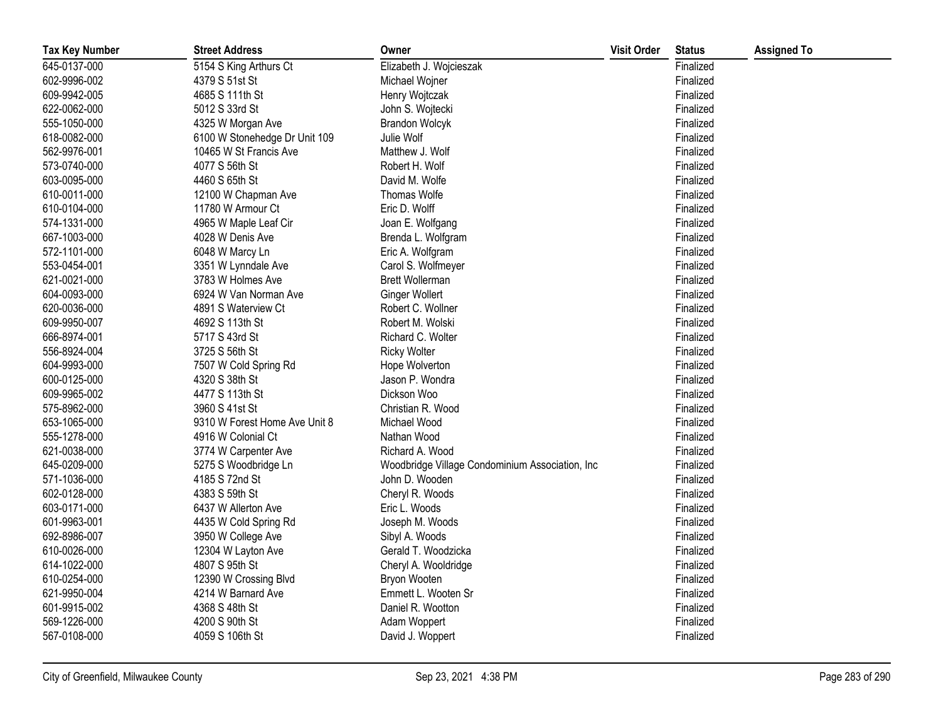| <b>Tax Key Number</b> | <b>Street Address</b>         | Owner                                           | <b>Visit Order</b> | <b>Status</b> | <b>Assigned To</b> |
|-----------------------|-------------------------------|-------------------------------------------------|--------------------|---------------|--------------------|
| 645-0137-000          | 5154 S King Arthurs Ct        | Elizabeth J. Wojcieszak                         |                    | Finalized     |                    |
| 602-9996-002          | 4379 S 51st St                | Michael Wojner                                  |                    | Finalized     |                    |
| 609-9942-005          | 4685 S 111th St               | Henry Wojtczak                                  |                    | Finalized     |                    |
| 622-0062-000          | 5012 S 33rd St                | John S. Wojtecki                                |                    | Finalized     |                    |
| 555-1050-000          | 4325 W Morgan Ave             | <b>Brandon Wolcyk</b>                           |                    | Finalized     |                    |
| 618-0082-000          | 6100 W Stonehedge Dr Unit 109 | Julie Wolf                                      |                    | Finalized     |                    |
| 562-9976-001          | 10465 W St Francis Ave        | Matthew J. Wolf                                 |                    | Finalized     |                    |
| 573-0740-000          | 4077 S 56th St                | Robert H. Wolf                                  |                    | Finalized     |                    |
| 603-0095-000          | 4460 S 65th St                | David M. Wolfe                                  |                    | Finalized     |                    |
| 610-0011-000          | 12100 W Chapman Ave           | Thomas Wolfe                                    |                    | Finalized     |                    |
| 610-0104-000          | 11780 W Armour Ct             | Eric D. Wolff                                   |                    | Finalized     |                    |
| 574-1331-000          | 4965 W Maple Leaf Cir         | Joan E. Wolfgang                                |                    | Finalized     |                    |
| 667-1003-000          | 4028 W Denis Ave              | Brenda L. Wolfgram                              |                    | Finalized     |                    |
| 572-1101-000          | 6048 W Marcy Ln               | Eric A. Wolfgram                                |                    | Finalized     |                    |
| 553-0454-001          | 3351 W Lynndale Ave           | Carol S. Wolfmeyer                              |                    | Finalized     |                    |
| 621-0021-000          | 3783 W Holmes Ave             | <b>Brett Wollerman</b>                          |                    | Finalized     |                    |
| 604-0093-000          | 6924 W Van Norman Ave         | <b>Ginger Wollert</b>                           |                    | Finalized     |                    |
| 620-0036-000          | 4891 S Waterview Ct           | Robert C. Wollner                               |                    | Finalized     |                    |
| 609-9950-007          | 4692 S 113th St               | Robert M. Wolski                                |                    | Finalized     |                    |
| 666-8974-001          | 5717 S 43rd St                | Richard C. Wolter                               |                    | Finalized     |                    |
| 556-8924-004          | 3725 S 56th St                | <b>Ricky Wolter</b>                             |                    | Finalized     |                    |
| 604-9993-000          | 7507 W Cold Spring Rd         | Hope Wolverton                                  |                    | Finalized     |                    |
| 600-0125-000          | 4320 S 38th St                | Jason P. Wondra                                 |                    | Finalized     |                    |
| 609-9965-002          | 4477 S 113th St               | Dickson Woo                                     |                    | Finalized     |                    |
| 575-8962-000          | 3960 S 41st St                | Christian R. Wood                               |                    | Finalized     |                    |
| 653-1065-000          | 9310 W Forest Home Ave Unit 8 | Michael Wood                                    |                    | Finalized     |                    |
| 555-1278-000          | 4916 W Colonial Ct            | Nathan Wood                                     |                    | Finalized     |                    |
| 621-0038-000          | 3774 W Carpenter Ave          | Richard A. Wood                                 |                    | Finalized     |                    |
| 645-0209-000          | 5275 S Woodbridge Ln          | Woodbridge Village Condominium Association, Inc |                    | Finalized     |                    |
| 571-1036-000          | 4185 S 72nd St                | John D. Wooden                                  |                    | Finalized     |                    |
| 602-0128-000          | 4383 S 59th St                | Cheryl R. Woods                                 |                    | Finalized     |                    |
| 603-0171-000          | 6437 W Allerton Ave           | Eric L. Woods                                   |                    | Finalized     |                    |
| 601-9963-001          | 4435 W Cold Spring Rd         | Joseph M. Woods                                 |                    | Finalized     |                    |
| 692-8986-007          | 3950 W College Ave            | Sibyl A. Woods                                  |                    | Finalized     |                    |
| 610-0026-000          | 12304 W Layton Ave            | Gerald T. Woodzicka                             |                    | Finalized     |                    |
| 614-1022-000          | 4807 S 95th St                | Cheryl A. Wooldridge                            |                    | Finalized     |                    |
| 610-0254-000          | 12390 W Crossing Blvd         | Bryon Wooten                                    |                    | Finalized     |                    |
| 621-9950-004          | 4214 W Barnard Ave            | Emmett L. Wooten Sr                             |                    | Finalized     |                    |
| 601-9915-002          | 4368 S 48th St                | Daniel R. Wootton                               |                    | Finalized     |                    |
| 569-1226-000          | 4200 S 90th St                | Adam Woppert                                    |                    | Finalized     |                    |
| 567-0108-000          | 4059 S 106th St               | David J. Woppert                                |                    | Finalized     |                    |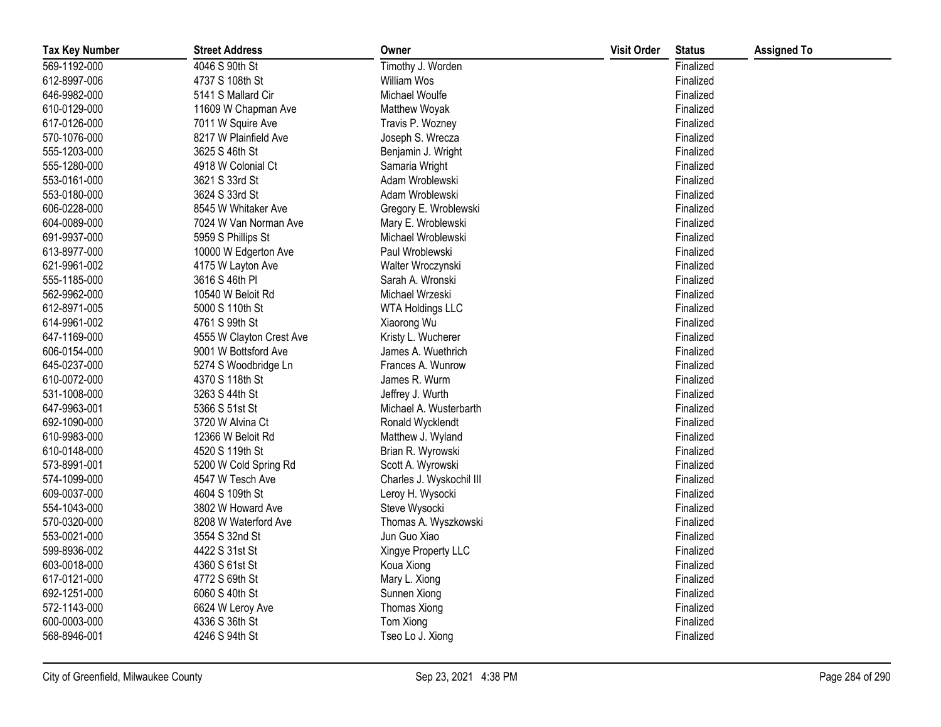| <b>Tax Key Number</b> | <b>Street Address</b>    | Owner                    | <b>Visit Order</b> | <b>Status</b> | <b>Assigned To</b> |
|-----------------------|--------------------------|--------------------------|--------------------|---------------|--------------------|
| 569-1192-000          | 4046 S 90th St           | Timothy J. Worden        |                    | Finalized     |                    |
| 612-8997-006          | 4737 S 108th St          | William Wos              |                    | Finalized     |                    |
| 646-9982-000          | 5141 S Mallard Cir       | Michael Woulfe           |                    | Finalized     |                    |
| 610-0129-000          | 11609 W Chapman Ave      | Matthew Woyak            |                    | Finalized     |                    |
| 617-0126-000          | 7011 W Squire Ave        | Travis P. Wozney         |                    | Finalized     |                    |
| 570-1076-000          | 8217 W Plainfield Ave    | Joseph S. Wrecza         |                    | Finalized     |                    |
| 555-1203-000          | 3625 S 46th St           | Benjamin J. Wright       |                    | Finalized     |                    |
| 555-1280-000          | 4918 W Colonial Ct       | Samaria Wright           |                    | Finalized     |                    |
| 553-0161-000          | 3621 S 33rd St           | Adam Wroblewski          |                    | Finalized     |                    |
| 553-0180-000          | 3624 S 33rd St           | Adam Wroblewski          |                    | Finalized     |                    |
| 606-0228-000          | 8545 W Whitaker Ave      | Gregory E. Wroblewski    |                    | Finalized     |                    |
| 604-0089-000          | 7024 W Van Norman Ave    | Mary E. Wroblewski       |                    | Finalized     |                    |
| 691-9937-000          | 5959 S Phillips St       | Michael Wroblewski       |                    | Finalized     |                    |
| 613-8977-000          | 10000 W Edgerton Ave     | Paul Wroblewski          |                    | Finalized     |                    |
| 621-9961-002          | 4175 W Layton Ave        | Walter Wroczynski        |                    | Finalized     |                    |
| 555-1185-000          | 3616 S 46th PI           | Sarah A. Wronski         |                    | Finalized     |                    |
| 562-9962-000          | 10540 W Beloit Rd        | Michael Wrzeski          |                    | Finalized     |                    |
| 612-8971-005          | 5000 S 110th St          | <b>WTA Holdings LLC</b>  |                    | Finalized     |                    |
| 614-9961-002          | 4761 S 99th St           | Xiaorong Wu              |                    | Finalized     |                    |
| 647-1169-000          | 4555 W Clayton Crest Ave | Kristy L. Wucherer       |                    | Finalized     |                    |
| 606-0154-000          | 9001 W Bottsford Ave     | James A. Wuethrich       |                    | Finalized     |                    |
| 645-0237-000          | 5274 S Woodbridge Ln     | Frances A. Wunrow        |                    | Finalized     |                    |
| 610-0072-000          | 4370 S 118th St          | James R. Wurm            |                    | Finalized     |                    |
| 531-1008-000          | 3263 S 44th St           | Jeffrey J. Wurth         |                    | Finalized     |                    |
| 647-9963-001          | 5366 S 51st St           | Michael A. Wusterbarth   |                    | Finalized     |                    |
| 692-1090-000          | 3720 W Alvina Ct         | Ronald Wycklendt         |                    | Finalized     |                    |
| 610-9983-000          | 12366 W Beloit Rd        | Matthew J. Wyland        |                    | Finalized     |                    |
| 610-0148-000          | 4520 S 119th St          | Brian R. Wyrowski        |                    | Finalized     |                    |
| 573-8991-001          | 5200 W Cold Spring Rd    | Scott A. Wyrowski        |                    | Finalized     |                    |
| 574-1099-000          | 4547 W Tesch Ave         | Charles J. Wyskochil III |                    | Finalized     |                    |
| 609-0037-000          | 4604 S 109th St          | Leroy H. Wysocki         |                    | Finalized     |                    |
| 554-1043-000          | 3802 W Howard Ave        | Steve Wysocki            |                    | Finalized     |                    |
| 570-0320-000          | 8208 W Waterford Ave     | Thomas A. Wyszkowski     |                    | Finalized     |                    |
| 553-0021-000          | 3554 S 32nd St           | Jun Guo Xiao             |                    | Finalized     |                    |
| 599-8936-002          | 4422 S 31st St           | Xingye Property LLC      |                    | Finalized     |                    |
| 603-0018-000          | 4360 S 61st St           | Koua Xiong               |                    | Finalized     |                    |
| 617-0121-000          | 4772 S 69th St           | Mary L. Xiong            |                    | Finalized     |                    |
| 692-1251-000          | 6060 S 40th St           | Sunnen Xiong             |                    | Finalized     |                    |
| 572-1143-000          | 6624 W Leroy Ave         | Thomas Xiong             |                    | Finalized     |                    |
| 600-0003-000          | 4336 S 36th St           | Tom Xiong                |                    | Finalized     |                    |
| 568-8946-001          | 4246 S 94th St           | Tseo Lo J. Xiong         |                    | Finalized     |                    |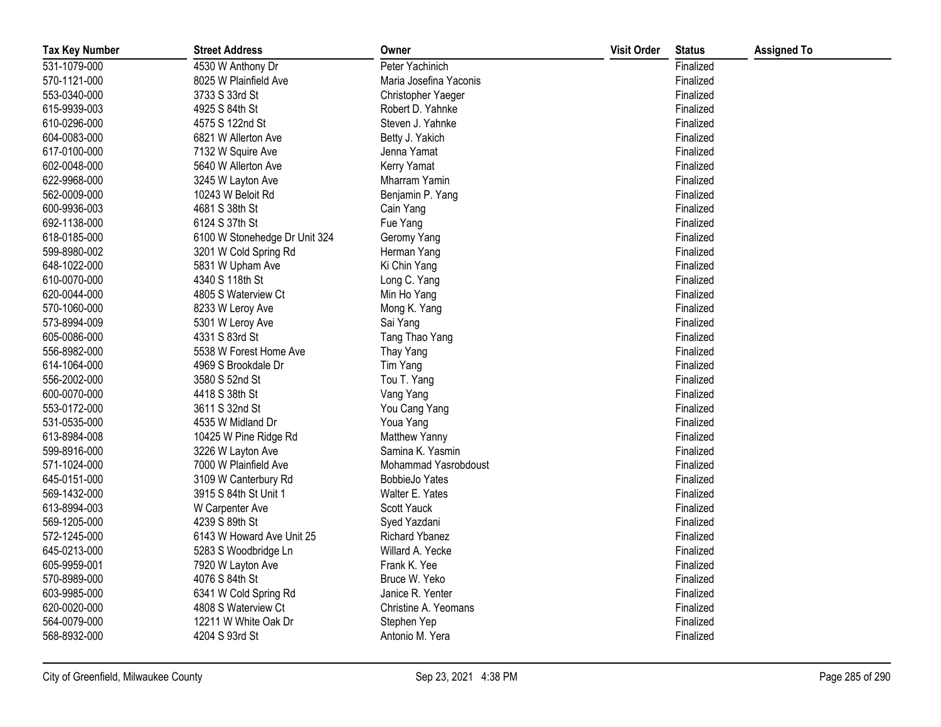| <b>Tax Key Number</b> | <b>Street Address</b>         | Owner                  | <b>Visit Order</b> | <b>Status</b> | <b>Assigned To</b> |
|-----------------------|-------------------------------|------------------------|--------------------|---------------|--------------------|
| 531-1079-000          | 4530 W Anthony Dr             | Peter Yachinich        |                    | Finalized     |                    |
| 570-1121-000          | 8025 W Plainfield Ave         | Maria Josefina Yaconis |                    | Finalized     |                    |
| 553-0340-000          | 3733 S 33rd St                | Christopher Yaeger     |                    | Finalized     |                    |
| 615-9939-003          | 4925 S 84th St                | Robert D. Yahnke       |                    | Finalized     |                    |
| 610-0296-000          | 4575 S 122nd St               | Steven J. Yahnke       |                    | Finalized     |                    |
| 604-0083-000          | 6821 W Allerton Ave           | Betty J. Yakich        |                    | Finalized     |                    |
| 617-0100-000          | 7132 W Squire Ave             | Jenna Yamat            |                    | Finalized     |                    |
| 602-0048-000          | 5640 W Allerton Ave           | Kerry Yamat            |                    | Finalized     |                    |
| 622-9968-000          | 3245 W Layton Ave             | Mharram Yamin          |                    | Finalized     |                    |
| 562-0009-000          | 10243 W Beloit Rd             | Benjamin P. Yang       |                    | Finalized     |                    |
| 600-9936-003          | 4681 S 38th St                | Cain Yang              |                    | Finalized     |                    |
| 692-1138-000          | 6124 S 37th St                | Fue Yang               |                    | Finalized     |                    |
| 618-0185-000          | 6100 W Stonehedge Dr Unit 324 | Geromy Yang            |                    | Finalized     |                    |
| 599-8980-002          | 3201 W Cold Spring Rd         | Herman Yang            |                    | Finalized     |                    |
| 648-1022-000          | 5831 W Upham Ave              | Ki Chin Yang           |                    | Finalized     |                    |
| 610-0070-000          | 4340 S 118th St               | Long C. Yang           |                    | Finalized     |                    |
| 620-0044-000          | 4805 S Waterview Ct           | Min Ho Yang            |                    | Finalized     |                    |
| 570-1060-000          | 8233 W Leroy Ave              | Mong K. Yang           |                    | Finalized     |                    |
| 573-8994-009          | 5301 W Leroy Ave              | Sai Yang               |                    | Finalized     |                    |
| 605-0086-000          | 4331 S 83rd St                | Tang Thao Yang         |                    | Finalized     |                    |
| 556-8982-000          | 5538 W Forest Home Ave        | Thay Yang              |                    | Finalized     |                    |
| 614-1064-000          | 4969 S Brookdale Dr           | Tim Yang               |                    | Finalized     |                    |
| 556-2002-000          | 3580 S 52nd St                | Tou T. Yang            |                    | Finalized     |                    |
| 600-0070-000          | 4418 S 38th St                | Vang Yang              |                    | Finalized     |                    |
| 553-0172-000          | 3611 S 32nd St                | You Cang Yang          |                    | Finalized     |                    |
| 531-0535-000          | 4535 W Midland Dr             | Youa Yang              |                    | Finalized     |                    |
| 613-8984-008          | 10425 W Pine Ridge Rd         | Matthew Yanny          |                    | Finalized     |                    |
| 599-8916-000          | 3226 W Layton Ave             | Samina K. Yasmin       |                    | Finalized     |                    |
| 571-1024-000          | 7000 W Plainfield Ave         | Mohammad Yasrobdoust   |                    | Finalized     |                    |
| 645-0151-000          | 3109 W Canterbury Rd          | <b>BobbieJo Yates</b>  |                    | Finalized     |                    |
| 569-1432-000          | 3915 S 84th St Unit 1         | Walter E. Yates        |                    | Finalized     |                    |
| 613-8994-003          | W Carpenter Ave               | Scott Yauck            |                    | Finalized     |                    |
| 569-1205-000          | 4239 S 89th St                | Syed Yazdani           |                    | Finalized     |                    |
| 572-1245-000          | 6143 W Howard Ave Unit 25     | Richard Ybanez         |                    | Finalized     |                    |
| 645-0213-000          | 5283 S Woodbridge Ln          | Willard A. Yecke       |                    | Finalized     |                    |
| 605-9959-001          | 7920 W Layton Ave             | Frank K. Yee           |                    | Finalized     |                    |
| 570-8989-000          | 4076 S 84th St                | Bruce W. Yeko          |                    | Finalized     |                    |
| 603-9985-000          | 6341 W Cold Spring Rd         | Janice R. Yenter       |                    | Finalized     |                    |
| 620-0020-000          | 4808 S Waterview Ct           | Christine A. Yeomans   |                    | Finalized     |                    |
| 564-0079-000          | 12211 W White Oak Dr          | Stephen Yep            |                    | Finalized     |                    |
| 568-8932-000          | 4204 S 93rd St                | Antonio M. Yera        |                    | Finalized     |                    |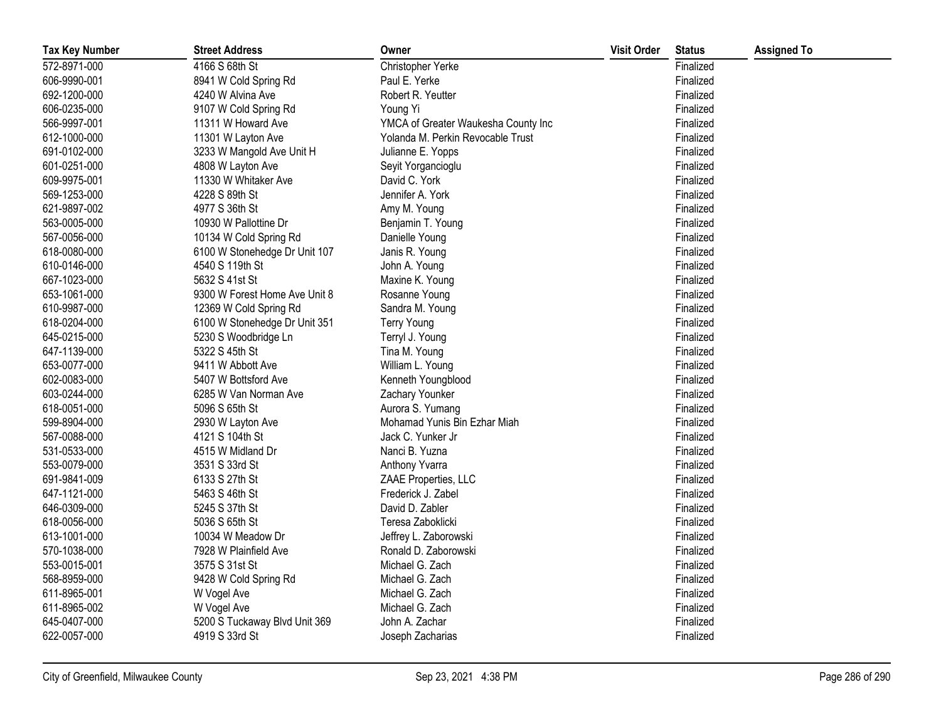| <b>Tax Key Number</b> | <b>Street Address</b>         | Owner                               | <b>Visit Order</b> | <b>Status</b> | <b>Assigned To</b> |
|-----------------------|-------------------------------|-------------------------------------|--------------------|---------------|--------------------|
| 572-8971-000          | 4166 S 68th St                | Christopher Yerke                   |                    | Finalized     |                    |
| 606-9990-001          | 8941 W Cold Spring Rd         | Paul E. Yerke                       |                    | Finalized     |                    |
| 692-1200-000          | 4240 W Alvina Ave             | Robert R. Yeutter                   |                    | Finalized     |                    |
| 606-0235-000          | 9107 W Cold Spring Rd         | Young Yi                            |                    | Finalized     |                    |
| 566-9997-001          | 11311 W Howard Ave            | YMCA of Greater Waukesha County Inc |                    | Finalized     |                    |
| 612-1000-000          | 11301 W Layton Ave            | Yolanda M. Perkin Revocable Trust   |                    | Finalized     |                    |
| 691-0102-000          | 3233 W Mangold Ave Unit H     | Julianne E. Yopps                   |                    | Finalized     |                    |
| 601-0251-000          | 4808 W Layton Ave             | Seyit Yorgancioglu                  |                    | Finalized     |                    |
| 609-9975-001          | 11330 W Whitaker Ave          | David C. York                       |                    | Finalized     |                    |
| 569-1253-000          | 4228 S 89th St                | Jennifer A. York                    |                    | Finalized     |                    |
| 621-9897-002          | 4977 S 36th St                | Amy M. Young                        |                    | Finalized     |                    |
| 563-0005-000          | 10930 W Pallottine Dr         | Benjamin T. Young                   |                    | Finalized     |                    |
| 567-0056-000          | 10134 W Cold Spring Rd        | Danielle Young                      |                    | Finalized     |                    |
| 618-0080-000          | 6100 W Stonehedge Dr Unit 107 | Janis R. Young                      |                    | Finalized     |                    |
| 610-0146-000          | 4540 S 119th St               | John A. Young                       |                    | Finalized     |                    |
| 667-1023-000          | 5632 S 41st St                | Maxine K. Young                     |                    | Finalized     |                    |
| 653-1061-000          | 9300 W Forest Home Ave Unit 8 | Rosanne Young                       |                    | Finalized     |                    |
| 610-9987-000          | 12369 W Cold Spring Rd        | Sandra M. Young                     |                    | Finalized     |                    |
| 618-0204-000          | 6100 W Stonehedge Dr Unit 351 | <b>Terry Young</b>                  |                    | Finalized     |                    |
| 645-0215-000          | 5230 S Woodbridge Ln          | Terryl J. Young                     |                    | Finalized     |                    |
| 647-1139-000          | 5322 S 45th St                | Tina M. Young                       |                    | Finalized     |                    |
| 653-0077-000          | 9411 W Abbott Ave             | William L. Young                    |                    | Finalized     |                    |
| 602-0083-000          | 5407 W Bottsford Ave          | Kenneth Youngblood                  |                    | Finalized     |                    |
| 603-0244-000          | 6285 W Van Norman Ave         | Zachary Younker                     |                    | Finalized     |                    |
| 618-0051-000          | 5096 S 65th St                | Aurora S. Yumang                    |                    | Finalized     |                    |
| 599-8904-000          | 2930 W Layton Ave             | Mohamad Yunis Bin Ezhar Miah        |                    | Finalized     |                    |
| 567-0088-000          | 4121 S 104th St               | Jack C. Yunker Jr                   |                    | Finalized     |                    |
| 531-0533-000          | 4515 W Midland Dr             | Nanci B. Yuzna                      |                    | Finalized     |                    |
| 553-0079-000          | 3531 S 33rd St                | Anthony Yvarra                      |                    | Finalized     |                    |
| 691-9841-009          | 6133 S 27th St                | ZAAE Properties, LLC                |                    | Finalized     |                    |
| 647-1121-000          | 5463 S 46th St                | Frederick J. Zabel                  |                    | Finalized     |                    |
| 646-0309-000          | 5245 S 37th St                | David D. Zabler                     |                    | Finalized     |                    |
| 618-0056-000          | 5036 S 65th St                | Teresa Zaboklicki                   |                    | Finalized     |                    |
| 613-1001-000          | 10034 W Meadow Dr             | Jeffrey L. Zaborowski               |                    | Finalized     |                    |
| 570-1038-000          | 7928 W Plainfield Ave         | Ronald D. Zaborowski                |                    | Finalized     |                    |
| 553-0015-001          | 3575 S 31st St                | Michael G. Zach                     |                    | Finalized     |                    |
| 568-8959-000          | 9428 W Cold Spring Rd         | Michael G. Zach                     |                    | Finalized     |                    |
| 611-8965-001          | W Vogel Ave                   | Michael G. Zach                     |                    | Finalized     |                    |
| 611-8965-002          | W Vogel Ave                   | Michael G. Zach                     |                    | Finalized     |                    |
| 645-0407-000          | 5200 S Tuckaway Blvd Unit 369 | John A. Zachar                      |                    | Finalized     |                    |
| 622-0057-000          | 4919 S 33rd St                | Joseph Zacharias                    |                    | Finalized     |                    |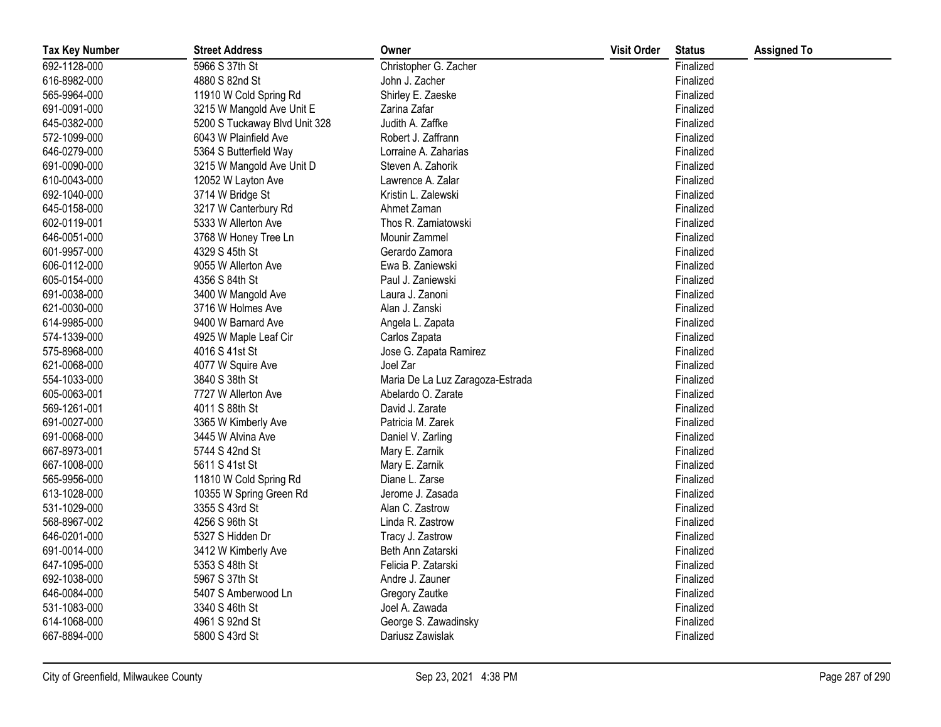| <b>Tax Key Number</b> | <b>Street Address</b>         | Owner                            | <b>Visit Order</b> | <b>Status</b> | <b>Assigned To</b> |
|-----------------------|-------------------------------|----------------------------------|--------------------|---------------|--------------------|
| 692-1128-000          | 5966 S 37th St                | Christopher G. Zacher            |                    | Finalized     |                    |
| 616-8982-000          | 4880 S 82nd St                | John J. Zacher                   |                    | Finalized     |                    |
| 565-9964-000          | 11910 W Cold Spring Rd        | Shirley E. Zaeske                |                    | Finalized     |                    |
| 691-0091-000          | 3215 W Mangold Ave Unit E     | Zarina Zafar                     |                    | Finalized     |                    |
| 645-0382-000          | 5200 S Tuckaway Blvd Unit 328 | Judith A. Zaffke                 |                    | Finalized     |                    |
| 572-1099-000          | 6043 W Plainfield Ave         | Robert J. Zaffrann               |                    | Finalized     |                    |
| 646-0279-000          | 5364 S Butterfield Way        | Lorraine A. Zaharias             |                    | Finalized     |                    |
| 691-0090-000          | 3215 W Mangold Ave Unit D     | Steven A. Zahorik                |                    | Finalized     |                    |
| 610-0043-000          | 12052 W Layton Ave            | Lawrence A. Zalar                |                    | Finalized     |                    |
| 692-1040-000          | 3714 W Bridge St              | Kristin L. Zalewski              |                    | Finalized     |                    |
| 645-0158-000          | 3217 W Canterbury Rd          | Ahmet Zaman                      |                    | Finalized     |                    |
| 602-0119-001          | 5333 W Allerton Ave           | Thos R. Zamiatowski              |                    | Finalized     |                    |
| 646-0051-000          | 3768 W Honey Tree Ln          | Mounir Zammel                    |                    | Finalized     |                    |
| 601-9957-000          | 4329 S 45th St                | Gerardo Zamora                   |                    | Finalized     |                    |
| 606-0112-000          | 9055 W Allerton Ave           | Ewa B. Zaniewski                 |                    | Finalized     |                    |
| 605-0154-000          | 4356 S 84th St                | Paul J. Zaniewski                |                    | Finalized     |                    |
| 691-0038-000          | 3400 W Mangold Ave            | Laura J. Zanoni                  |                    | Finalized     |                    |
| 621-0030-000          | 3716 W Holmes Ave             | Alan J. Zanski                   |                    | Finalized     |                    |
| 614-9985-000          | 9400 W Barnard Ave            | Angela L. Zapata                 |                    | Finalized     |                    |
| 574-1339-000          | 4925 W Maple Leaf Cir         | Carlos Zapata                    |                    | Finalized     |                    |
| 575-8968-000          | 4016 S 41st St                | Jose G. Zapata Ramirez           |                    | Finalized     |                    |
| 621-0068-000          | 4077 W Squire Ave             | Joel Zar                         |                    | Finalized     |                    |
| 554-1033-000          | 3840 S 38th St                | Maria De La Luz Zaragoza-Estrada |                    | Finalized     |                    |
| 605-0063-001          | 7727 W Allerton Ave           | Abelardo O. Zarate               |                    | Finalized     |                    |
| 569-1261-001          | 4011 S 88th St                | David J. Zarate                  |                    | Finalized     |                    |
| 691-0027-000          | 3365 W Kimberly Ave           | Patricia M. Zarek                |                    | Finalized     |                    |
| 691-0068-000          | 3445 W Alvina Ave             | Daniel V. Zarling                |                    | Finalized     |                    |
| 667-8973-001          | 5744 S 42nd St                | Mary E. Zarnik                   |                    | Finalized     |                    |
| 667-1008-000          | 5611 S 41st St                | Mary E. Zarnik                   |                    | Finalized     |                    |
| 565-9956-000          | 11810 W Cold Spring Rd        | Diane L. Zarse                   |                    | Finalized     |                    |
| 613-1028-000          | 10355 W Spring Green Rd       | Jerome J. Zasada                 |                    | Finalized     |                    |
| 531-1029-000          | 3355 S 43rd St                | Alan C. Zastrow                  |                    | Finalized     |                    |
| 568-8967-002          | 4256 S 96th St                | Linda R. Zastrow                 |                    | Finalized     |                    |
| 646-0201-000          | 5327 S Hidden Dr              | Tracy J. Zastrow                 |                    | Finalized     |                    |
| 691-0014-000          | 3412 W Kimberly Ave           | Beth Ann Zatarski                |                    | Finalized     |                    |
| 647-1095-000          | 5353 S 48th St                | Felicia P. Zatarski              |                    | Finalized     |                    |
| 692-1038-000          | 5967 S 37th St                | Andre J. Zauner                  |                    | Finalized     |                    |
| 646-0084-000          | 5407 S Amberwood Ln           | Gregory Zautke                   |                    | Finalized     |                    |
| 531-1083-000          | 3340 S 46th St                | Joel A. Zawada                   |                    | Finalized     |                    |
| 614-1068-000          | 4961 S 92nd St                | George S. Zawadinsky             |                    | Finalized     |                    |
| 667-8894-000          | 5800 S 43rd St                | Dariusz Zawislak                 |                    | Finalized     |                    |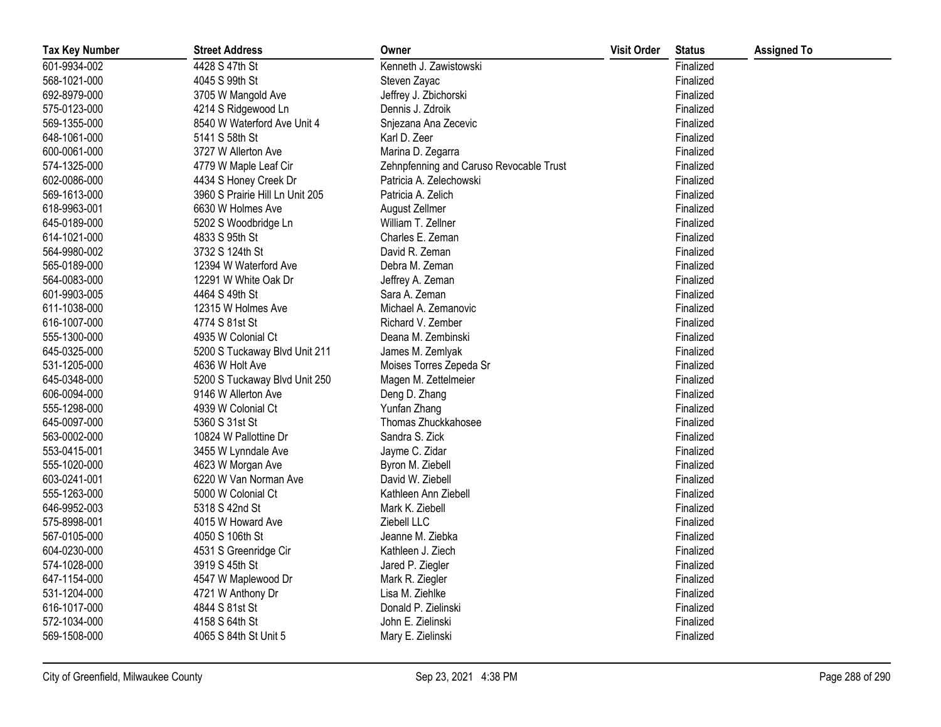| <b>Tax Key Number</b> | <b>Street Address</b>           | Owner                                   | <b>Visit Order</b> | <b>Status</b> | <b>Assigned To</b> |
|-----------------------|---------------------------------|-----------------------------------------|--------------------|---------------|--------------------|
| 601-9934-002          | 4428 S 47th St                  | Kenneth J. Zawistowski                  |                    | Finalized     |                    |
| 568-1021-000          | 4045 S 99th St                  | Steven Zayac                            |                    | Finalized     |                    |
| 692-8979-000          | 3705 W Mangold Ave              | Jeffrey J. Zbichorski                   |                    | Finalized     |                    |
| 575-0123-000          | 4214 S Ridgewood Ln             | Dennis J. Zdroik                        |                    | Finalized     |                    |
| 569-1355-000          | 8540 W Waterford Ave Unit 4     | Snjezana Ana Zecevic                    |                    | Finalized     |                    |
| 648-1061-000          | 5141 S 58th St                  | Karl D. Zeer                            |                    | Finalized     |                    |
| 600-0061-000          | 3727 W Allerton Ave             | Marina D. Zegarra                       |                    | Finalized     |                    |
| 574-1325-000          | 4779 W Maple Leaf Cir           | Zehnpfenning and Caruso Revocable Trust |                    | Finalized     |                    |
| 602-0086-000          | 4434 S Honey Creek Dr           | Patricia A. Zelechowski                 |                    | Finalized     |                    |
| 569-1613-000          | 3960 S Prairie Hill Ln Unit 205 | Patricia A. Zelich                      |                    | Finalized     |                    |
| 618-9963-001          | 6630 W Holmes Ave               | August Zellmer                          |                    | Finalized     |                    |
| 645-0189-000          | 5202 S Woodbridge Ln            | William T. Zellner                      |                    | Finalized     |                    |
| 614-1021-000          | 4833 S 95th St                  | Charles E. Zeman                        |                    | Finalized     |                    |
| 564-9980-002          | 3732 S 124th St                 | David R. Zeman                          |                    | Finalized     |                    |
| 565-0189-000          | 12394 W Waterford Ave           | Debra M. Zeman                          |                    | Finalized     |                    |
| 564-0083-000          | 12291 W White Oak Dr            | Jeffrey A. Zeman                        |                    | Finalized     |                    |
| 601-9903-005          | 4464 S 49th St                  | Sara A. Zeman                           |                    | Finalized     |                    |
| 611-1038-000          | 12315 W Holmes Ave              | Michael A. Zemanovic                    |                    | Finalized     |                    |
| 616-1007-000          | 4774 S 81st St                  | Richard V. Zember                       |                    | Finalized     |                    |
| 555-1300-000          | 4935 W Colonial Ct              | Deana M. Zembinski                      |                    | Finalized     |                    |
| 645-0325-000          | 5200 S Tuckaway Blvd Unit 211   | James M. Zemlyak                        |                    | Finalized     |                    |
| 531-1205-000          | 4636 W Holt Ave                 | Moises Torres Zepeda Sr                 |                    | Finalized     |                    |
| 645-0348-000          | 5200 S Tuckaway Blvd Unit 250   | Magen M. Zettelmeier                    |                    | Finalized     |                    |
| 606-0094-000          | 9146 W Allerton Ave             | Deng D. Zhang                           |                    | Finalized     |                    |
| 555-1298-000          | 4939 W Colonial Ct              | Yunfan Zhang                            |                    | Finalized     |                    |
| 645-0097-000          | 5360 S 31st St                  | Thomas Zhuckkahosee                     |                    | Finalized     |                    |
| 563-0002-000          | 10824 W Pallottine Dr           | Sandra S. Zick                          |                    | Finalized     |                    |
| 553-0415-001          | 3455 W Lynndale Ave             | Jayme C. Zidar                          |                    | Finalized     |                    |
| 555-1020-000          | 4623 W Morgan Ave               | Byron M. Ziebell                        |                    | Finalized     |                    |
| 603-0241-001          | 6220 W Van Norman Ave           | David W. Ziebell                        |                    | Finalized     |                    |
| 555-1263-000          | 5000 W Colonial Ct              | Kathleen Ann Ziebell                    |                    | Finalized     |                    |
| 646-9952-003          | 5318 S 42nd St                  | Mark K. Ziebell                         |                    | Finalized     |                    |
| 575-8998-001          | 4015 W Howard Ave               | Ziebell LLC                             |                    | Finalized     |                    |
| 567-0105-000          | 4050 S 106th St                 | Jeanne M. Ziebka                        |                    | Finalized     |                    |
| 604-0230-000          | 4531 S Greenridge Cir           | Kathleen J. Ziech                       |                    | Finalized     |                    |
| 574-1028-000          | 3919 S 45th St                  | Jared P. Ziegler                        |                    | Finalized     |                    |
| 647-1154-000          | 4547 W Maplewood Dr             | Mark R. Ziegler                         |                    | Finalized     |                    |
| 531-1204-000          | 4721 W Anthony Dr               | Lisa M. Ziehlke                         |                    | Finalized     |                    |
| 616-1017-000          | 4844 S 81st St                  | Donald P. Zielinski                     |                    | Finalized     |                    |
| 572-1034-000          | 4158 S 64th St                  | John E. Zielinski                       |                    | Finalized     |                    |
| 569-1508-000          | 4065 S 84th St Unit 5           | Mary E. Zielinski                       |                    | Finalized     |                    |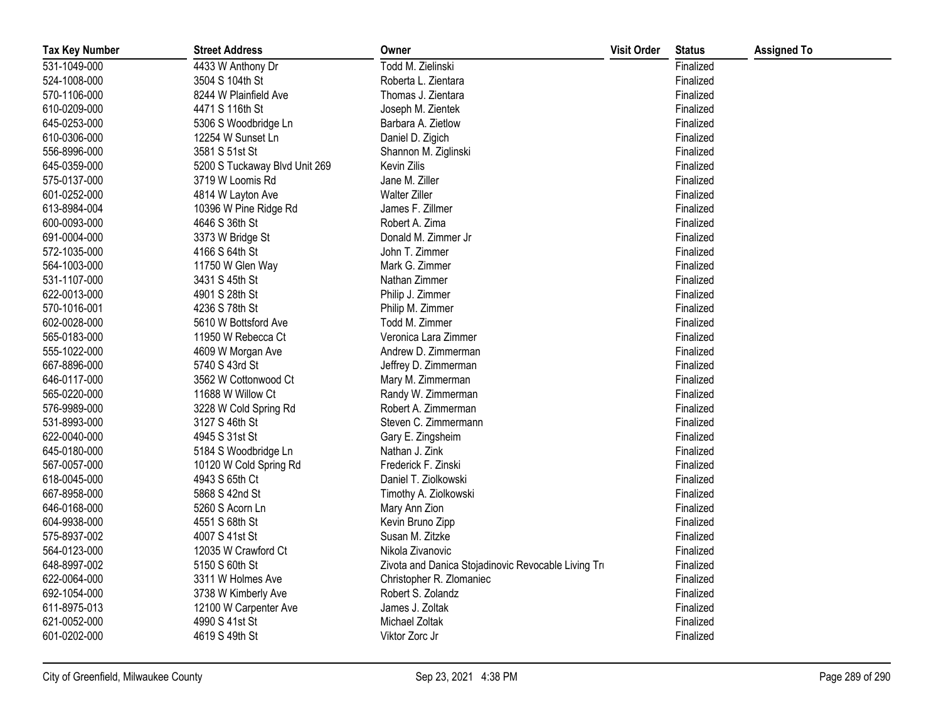| <b>Tax Key Number</b> | <b>Street Address</b>         | Owner                                               | <b>Visit Order</b> | <b>Status</b> | <b>Assigned To</b> |
|-----------------------|-------------------------------|-----------------------------------------------------|--------------------|---------------|--------------------|
| 531-1049-000          | 4433 W Anthony Dr             | Todd M. Zielinski                                   |                    | Finalized     |                    |
| 524-1008-000          | 3504 S 104th St               | Roberta L. Zientara                                 |                    | Finalized     |                    |
| 570-1106-000          | 8244 W Plainfield Ave         | Thomas J. Zientara                                  |                    | Finalized     |                    |
| 610-0209-000          | 4471 S 116th St               | Joseph M. Zientek                                   |                    | Finalized     |                    |
| 645-0253-000          | 5306 S Woodbridge Ln          | Barbara A. Zietlow                                  |                    | Finalized     |                    |
| 610-0306-000          | 12254 W Sunset Ln             | Daniel D. Zigich                                    |                    | Finalized     |                    |
| 556-8996-000          | 3581 S 51st St                | Shannon M. Ziglinski                                |                    | Finalized     |                    |
| 645-0359-000          | 5200 S Tuckaway Blvd Unit 269 | Kevin Zilis                                         |                    | Finalized     |                    |
| 575-0137-000          | 3719 W Loomis Rd              | Jane M. Ziller                                      |                    | Finalized     |                    |
| 601-0252-000          | 4814 W Layton Ave             | <b>Walter Ziller</b>                                |                    | Finalized     |                    |
| 613-8984-004          | 10396 W Pine Ridge Rd         | James F. Zillmer                                    |                    | Finalized     |                    |
| 600-0093-000          | 4646 S 36th St                | Robert A. Zima                                      |                    | Finalized     |                    |
| 691-0004-000          | 3373 W Bridge St              | Donald M. Zimmer Jr                                 |                    | Finalized     |                    |
| 572-1035-000          | 4166 S 64th St                | John T. Zimmer                                      |                    | Finalized     |                    |
| 564-1003-000          | 11750 W Glen Way              | Mark G. Zimmer                                      |                    | Finalized     |                    |
| 531-1107-000          | 3431 S 45th St                | Nathan Zimmer                                       |                    | Finalized     |                    |
| 622-0013-000          | 4901 S 28th St                | Philip J. Zimmer                                    |                    | Finalized     |                    |
| 570-1016-001          | 4236 S 78th St                | Philip M. Zimmer                                    |                    | Finalized     |                    |
| 602-0028-000          | 5610 W Bottsford Ave          | Todd M. Zimmer                                      |                    | Finalized     |                    |
| 565-0183-000          | 11950 W Rebecca Ct            | Veronica Lara Zimmer                                |                    | Finalized     |                    |
| 555-1022-000          | 4609 W Morgan Ave             | Andrew D. Zimmerman                                 |                    | Finalized     |                    |
| 667-8896-000          | 5740 S 43rd St                | Jeffrey D. Zimmerman                                |                    | Finalized     |                    |
| 646-0117-000          | 3562 W Cottonwood Ct          | Mary M. Zimmerman                                   |                    | Finalized     |                    |
| 565-0220-000          | 11688 W Willow Ct             | Randy W. Zimmerman                                  |                    | Finalized     |                    |
| 576-9989-000          | 3228 W Cold Spring Rd         | Robert A. Zimmerman                                 |                    | Finalized     |                    |
| 531-8993-000          | 3127 S 46th St                | Steven C. Zimmermann                                |                    | Finalized     |                    |
| 622-0040-000          | 4945 S 31st St                | Gary E. Zingsheim                                   |                    | Finalized     |                    |
| 645-0180-000          | 5184 S Woodbridge Ln          | Nathan J. Zink                                      |                    | Finalized     |                    |
| 567-0057-000          | 10120 W Cold Spring Rd        | Frederick F. Zinski                                 |                    | Finalized     |                    |
| 618-0045-000          | 4943 S 65th Ct                | Daniel T. Ziolkowski                                |                    | Finalized     |                    |
| 667-8958-000          | 5868 S 42nd St                | Timothy A. Ziolkowski                               |                    | Finalized     |                    |
| 646-0168-000          | 5260 S Acorn Ln               | Mary Ann Zion                                       |                    | Finalized     |                    |
| 604-9938-000          | 4551 S 68th St                | Kevin Bruno Zipp                                    |                    | Finalized     |                    |
| 575-8937-002          | 4007 S 41st St                | Susan M. Zitzke                                     |                    | Finalized     |                    |
| 564-0123-000          | 12035 W Crawford Ct           | Nikola Zivanovic                                    |                    | Finalized     |                    |
| 648-8997-002          | 5150 S 60th St                | Zivota and Danica Stojadinovic Revocable Living Tru |                    | Finalized     |                    |
| 622-0064-000          | 3311 W Holmes Ave             | Christopher R. Zlomaniec                            |                    | Finalized     |                    |
| 692-1054-000          | 3738 W Kimberly Ave           | Robert S. Zolandz                                   |                    | Finalized     |                    |
| 611-8975-013          | 12100 W Carpenter Ave         | James J. Zoltak                                     |                    | Finalized     |                    |
| 621-0052-000          | 4990 S 41st St                | Michael Zoltak                                      |                    | Finalized     |                    |
| 601-0202-000          | 4619 S 49th St                | Viktor Zorc Jr                                      |                    | Finalized     |                    |